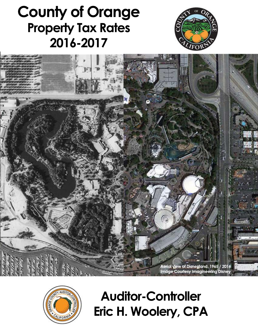# **County of Orange Property Tax Rates 2016-2017**







**Auditor-Controller** Eric H. Woolery, CPA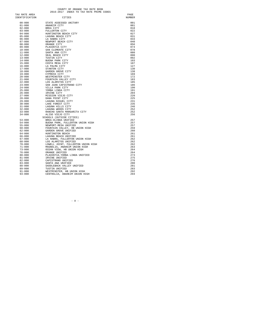#### COUNTY OF ORANGE TAX RATE BOOK<br>2016-2017 INDEX TO TAX RATE PRIME CODES

| TAX RATE AREA  |                                    | PAGE   |
|----------------|------------------------------------|--------|
| IDENTIFICATION | CITIES                             | NUMBER |
|                |                                    |        |
| $00 - 000$     | STATE ASSESSED UNITARY             | 001    |
| $01 - 000$     | ANAHEIM CITY                       | 001    |
| $02 - 000$     | BREA CITY                          | 018    |
| $03 - 000$     | FULLERTON CITY                     | 022    |
| $04 - 000$     | HUNTINGTON BEACH CITY              | 027    |
| $05 - 000$     | LAGUNA BEACH CITY                  | 031    |
| $06 - 000$     | LA HABRA CITY                      | 033    |
| $07 - 000$     | NEWPORT BEACH CITY                 | 040    |
| $08 - 000$     | ORANGE CITY                        | 056    |
| $09 - 000$     | PLACENTIA CITY                     | 074    |
| $10 - 000$     | SAN CLEMENTE CITY                  | 078    |
| $11 - 000$     | SANTA ANA CITY                     | 080    |
| $12 - 000$     | SEAL BEACH CITY                    | 090    |
| $13 - 000$     | TUSTIN CITY                        | 092    |
| $14 - 000$     | BUENA PARK CITY                    | 103    |
| $15 - 000$     | COSTA MESA CITY                    | 107    |
| 16-000         | LA PALMA CITY                      | 127    |
| $17 - 000$     | STANTON CITY                       | 130    |
| $18 - 000$     | GARDEN GROVE CITY                  | 138    |
| $19 - 000$     | CYPRESS CITY                       | 169    |
| $20 - 000$     | WESTMINSTER CITY                   | 172    |
| $21 - 000$     | FOUNTAIN VALLEY CITY               | 183    |
| $22 - 000$     | LOS ALAMITOS CITY                  | 185    |
| $23 - 000$     | SAN JUAN CAPISTRANO CITY           | 186    |
| 24-000         | VILLA PARK CITY                    | 190    |
| $25 - 000$     | YORBA LINDA CITY                   | 191    |
| 26-000         | IRVINE CITY                        | 204    |
| $27 - 000$     | MISSION VIEJO CITY                 | 220    |
| 28-000         | DANA POINT CITY                    | 225    |
| $29 - 000$     | LAGUNA NIGUEL CITY                 | 231    |
| $30 - 000$     | LAKE FOREST CITY                   | 235    |
| $31 - 000$     | LAGUNA HILLS CITY                  | 246    |
| $32 - 000$     | LAGUNA WOODS CITY                  | 252    |
| $33 - 000$     | RANCHO SANTA MARGARITA CITY        | 252    |
| $34 - 000$     | ALISO VIEJO CITY                   | 256    |
|                | SCHOOLS (OUTSIDE CITIES)           |        |
| $53 - 000$     | BREA-OLINDA UNIFIED                | 257    |
| $54 - 000$     | BUENA PARK, FULLERTON UNION HIGH   | 257    |
| $55 - 000$     | NEWPORT-MESA UNIFIED               | 257    |
| $60 - 000$     | FOUNTAIN VALLEY, HB UNION HIGH     | 259    |
| $62 - 000$     | GARDEN GROVE UNIFIED               | 260    |
| $64 - 000$     | HUNTINGTON BEACH                   | 261    |
| 66-000         | LAGUNA BEACH UNIFIED               | 261    |
| 67-000         | LA HABRA, FULLERTON UNION HIGH     | 262    |
| 68-000         | LOS ALAMITOS UNIFIED               | 262    |
| $70 - 000$     | LOWELL JOINT, FULLERTON UNION HIGH | 262    |
| $71 - 000$     | MAGNOLIA, ANAHEIM UNION HIGH       | 263    |
| $73 - 000$     | OCEAN VIEW, HB UNION HIGH          | 264    |
| $76 - 000$     | ORANGE UNIFIED                     | 264    |
| $80 - 000$     | PLACENTIA-YORBA LINDA UNIFIED      | 273    |
| $81 - 000$     | IRVINE UNIFIED                     | 275    |
| $82 - 000$     | CAPISTRANO UNIFIED                 | 276    |
| $83 - 000$     | SANTA ANA UNIFIED                  | 280    |
| $88 - 000$     | SADDLEBACK VALLEY UNIFIED          | 281    |
| $89 - 000$     | TUSTIN UNIFIED                     | 283    |
| $91 - 000$     | WESTMINSTER, HB UNION HIGH         | 292    |
| $93 - 000$     | CENTRALIA, ANAHEIM UNION HIGH      | 294    |

 $-$  A  $-$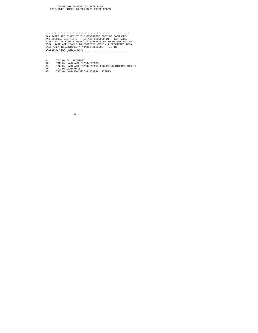\* \* \* \* \* \* \* \* \* \* \* \* \* \* \* \* \* \* \* \* \* \* \* \* \* \* \* \* TAX RATES ARE FIXED BY THE GOVERNING BODY OF EACH CITY AND SPECIAL DISTRICT. THEY ARE GROUPED WITH TAX RATES FIXED BY THE COUNTY BOARD OF SUPERVISORS TO DETERMINE THE TOTAL RATE APPLICABLE TO PROPERTY WITHIN A SPECIFIED AREA. EACH AREA IS ASSIGNED A NUMBER HEREIN. THIS IS CALLED A "TAX RATE AREA". \* \* \* \* \* \* \* \* \* \* \* \* \* \* \* \* \* \* \* \* \* \* \* \* \* \* \* \*

- 
- A1 TAX ON ALL PROPERTY<br>A2 TAX ON LAND AND IMPROVEMENTS<br>A3 TAX ON LAND AND IMPROVEMENTS EXCLUDING MINERAL RIGHTS<br>A4 TAX ON LAND EXCLUDING MINERAL RIGHTS<br>A5 TAX ON LAND EXCLUDING MINERAL RIGHTS
	-

 $-$  B  $-$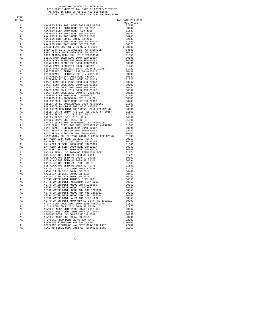## COUNTY OF ORANGE TAX RATE BOOK<br>2016-2017 INDEX TO TAX RATE BY CITIES/DISTRICT<br>ALPHABETIC LIST OF CITIES AND DISTRICTS<br>CONTAINED IN TAX RATE AREA LISTINGS OF THIS BOOK

TYPE<br>OF TAX

| OF TAX   |                                                                                                                                                                                                              | TAX RATE PER \$100<br>FULL VALUE |
|----------|--------------------------------------------------------------------------------------------------------------------------------------------------------------------------------------------------------------|----------------------------------|
| A1       |                                                                                                                                                                                                              |                                  |
| A1       |                                                                                                                                                                                                              |                                  |
| A1       |                                                                                                                                                                                                              |                                  |
| A1       |                                                                                                                                                                                                              |                                  |
| A1       |                                                                                                                                                                                                              |                                  |
| A1       |                                                                                                                                                                                                              |                                  |
| A1<br>A1 |                                                                                                                                                                                                              |                                  |
| A1       |                                                                                                                                                                                                              |                                  |
| A1       |                                                                                                                                                                                                              |                                  |
| A1       |                                                                                                                                                                                                              |                                  |
| A1       |                                                                                                                                                                                                              |                                  |
| A1       |                                                                                                                                                                                                              |                                  |
| A1       |                                                                                                                                                                                                              |                                  |
| A1       |                                                                                                                                                                                                              |                                  |
| A1<br>A1 |                                                                                                                                                                                                              |                                  |
| A1       |                                                                                                                                                                                                              |                                  |
| A1       |                                                                                                                                                                                                              |                                  |
| A1       |                                                                                                                                                                                                              |                                  |
| A1       |                                                                                                                                                                                                              |                                  |
| A1       |                                                                                                                                                                                                              |                                  |
| A1       |                                                                                                                                                                                                              |                                  |
| A1       |                                                                                                                                                                                                              |                                  |
| A1       |                                                                                                                                                                                                              |                                  |
| A1       |                                                                                                                                                                                                              |                                  |
| A1<br>A1 |                                                                                                                                                                                                              |                                  |
| A1       |                                                                                                                                                                                                              |                                  |
| A1       |                                                                                                                                                                                                              |                                  |
| A1       |                                                                                                                                                                                                              |                                  |
| A1       |                                                                                                                                                                                                              |                                  |
| A1       |                                                                                                                                                                                                              |                                  |
| A1       |                                                                                                                                                                                                              |                                  |
| A1       |                                                                                                                                                                                                              |                                  |
| A1       |                                                                                                                                                                                                              |                                  |
| A1<br>A1 |                                                                                                                                                                                                              |                                  |
| A1       |                                                                                                                                                                                                              |                                  |
| A1       |                                                                                                                                                                                                              |                                  |
| A1       |                                                                                                                                                                                                              |                                  |
| A1       |                                                                                                                                                                                                              |                                  |
| A1       |                                                                                                                                                                                                              |                                  |
| A1       |                                                                                                                                                                                                              |                                  |
| A1       |                                                                                                                                                                                                              |                                  |
| A1       |                                                                                                                                                                                                              |                                  |
| A1<br>A1 |                                                                                                                                                                                                              |                                  |
| A1       |                                                                                                                                                                                                              |                                  |
| A1       |                                                                                                                                                                                                              |                                  |
| A1       |                                                                                                                                                                                                              |                                  |
| A1       |                                                                                                                                                                                                              |                                  |
| A1       |                                                                                                                                                                                                              |                                  |
| A1       |                                                                                                                                                                                                              |                                  |
| A1       |                                                                                                                                                                                                              |                                  |
| A1<br>A1 |                                                                                                                                                                                                              |                                  |
| A1       |                                                                                                                                                                                                              |                                  |
| A1       |                                                                                                                                                                                                              |                                  |
| A1       |                                                                                                                                                                                                              |                                  |
| A1       |                                                                                                                                                                                                              |                                  |
| A1       | METRO WALEK DIST-MWOOC-ANX #8D 1205010<br>METRO WATER DIST-MWDOC-ANX #8E 1205011<br>METRO WATER DIST-MWDOC-ANX #8E 1205011<br>METRO WATER DIST-MWDOC-ANX #8H 1205014<br>METRO WATER DIST-SANTA ANA CITY 1202 |                                  |
| A1       |                                                                                                                                                                                                              |                                  |
| A1       |                                                                                                                                                                                                              | .00350                           |
| A1       | METRO WATER DIST-SANTA ANA CITY 1202                                                                                                                                                                         | .00350                           |
| A1<br>A1 |                                                                                                                                                                                                              |                                  |
| A1       |                                                                                                                                                                                                              |                                  |
| A1       |                                                                                                                                                                                                              |                                  |
| A1       |                                                                                                                                                                                                              |                                  |
| A1       |                                                                                                                                                                                                              |                                  |
| A1       |                                                                                                                                                                                                              |                                  |
| A1       |                                                                                                                                                                                                              |                                  |
| A1       |                                                                                                                                                                                                              |                                  |
| A1       |                                                                                                                                                                                                              |                                  |
| A1       |                                                                                                                                                                                                              | .01368                           |

 $-$  C  $-$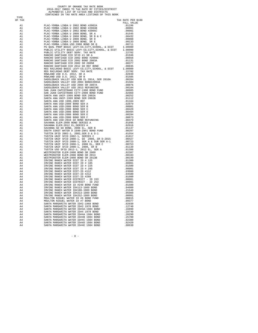## COUNTY OF ORANGE TAX RATE BOOK<br>2016-2017 INDEX TO TAX RATE BY CITIES/DISTRICT<br>ALPHABETIC LIST OF CITIES AND DISTRICTS<br>CONTAINED IN TAX RATE AREA LISTINGS OF THIS BOOK

TYPE<br>OF TAX

| OF TAX | 72. A<br>$\lambda$ a<br>$\lambda$ a<br>$\lambda$ a<br>$\lambda$ a<br>$\lambda$ a<br>$\lambda$ a<br>$\lambda$ a<br>$\lambda$ a<br>$\lambda$ a<br>$\lambda$ a<br>$\lambda$ a<br>$\lambda$ a<br>$\lambda$ a<br>$\lambda$ a<br>$\lambda$ a<br>$\lambda$ a<br>$\lambda$ a<br>$\lambda$ a<br>$\lambda$ a<br>$\lambda$ a<br>$\lambda$ a<br>$\lambda$ a<br>$\lambda$ a<br>$\lambda$ a<br>$\lambda$ a<br>$\lambda$ a<br>$\lambda$ a | TAX RATE PER \$100 |
|--------|----------------------------------------------------------------------------------------------------------------------------------------------------------------------------------------------------------------------------------------------------------------------------------------------------------------------------------------------------------------------------------------------------------------------------|--------------------|
|        |                                                                                                                                                                                                                                                                                                                                                                                                                            | FULL VALUE         |
|        |                                                                                                                                                                                                                                                                                                                                                                                                                            |                    |
|        |                                                                                                                                                                                                                                                                                                                                                                                                                            |                    |
|        |                                                                                                                                                                                                                                                                                                                                                                                                                            |                    |
|        |                                                                                                                                                                                                                                                                                                                                                                                                                            |                    |
|        |                                                                                                                                                                                                                                                                                                                                                                                                                            |                    |
|        |                                                                                                                                                                                                                                                                                                                                                                                                                            |                    |
|        |                                                                                                                                                                                                                                                                                                                                                                                                                            |                    |
|        |                                                                                                                                                                                                                                                                                                                                                                                                                            |                    |
|        |                                                                                                                                                                                                                                                                                                                                                                                                                            |                    |
|        |                                                                                                                                                                                                                                                                                                                                                                                                                            |                    |
|        |                                                                                                                                                                                                                                                                                                                                                                                                                            |                    |
|        |                                                                                                                                                                                                                                                                                                                                                                                                                            |                    |
|        |                                                                                                                                                                                                                                                                                                                                                                                                                            |                    |
|        |                                                                                                                                                                                                                                                                                                                                                                                                                            |                    |
|        |                                                                                                                                                                                                                                                                                                                                                                                                                            |                    |
|        |                                                                                                                                                                                                                                                                                                                                                                                                                            |                    |
|        |                                                                                                                                                                                                                                                                                                                                                                                                                            |                    |
|        |                                                                                                                                                                                                                                                                                                                                                                                                                            |                    |
|        |                                                                                                                                                                                                                                                                                                                                                                                                                            |                    |
|        |                                                                                                                                                                                                                                                                                                                                                                                                                            |                    |
|        |                                                                                                                                                                                                                                                                                                                                                                                                                            |                    |
|        |                                                                                                                                                                                                                                                                                                                                                                                                                            |                    |
|        |                                                                                                                                                                                                                                                                                                                                                                                                                            |                    |
|        |                                                                                                                                                                                                                                                                                                                                                                                                                            |                    |
|        |                                                                                                                                                                                                                                                                                                                                                                                                                            |                    |
|        |                                                                                                                                                                                                                                                                                                                                                                                                                            |                    |
|        |                                                                                                                                                                                                                                                                                                                                                                                                                            |                    |
|        |                                                                                                                                                                                                                                                                                                                                                                                                                            |                    |
|        |                                                                                                                                                                                                                                                                                                                                                                                                                            |                    |
|        |                                                                                                                                                                                                                                                                                                                                                                                                                            |                    |
|        |                                                                                                                                                                                                                                                                                                                                                                                                                            |                    |
|        |                                                                                                                                                                                                                                                                                                                                                                                                                            |                    |
|        |                                                                                                                                                                                                                                                                                                                                                                                                                            |                    |
|        |                                                                                                                                                                                                                                                                                                                                                                                                                            |                    |
|        |                                                                                                                                                                                                                                                                                                                                                                                                                            |                    |
|        |                                                                                                                                                                                                                                                                                                                                                                                                                            |                    |
|        |                                                                                                                                                                                                                                                                                                                                                                                                                            |                    |
|        |                                                                                                                                                                                                                                                                                                                                                                                                                            |                    |
|        |                                                                                                                                                                                                                                                                                                                                                                                                                            |                    |
|        |                                                                                                                                                                                                                                                                                                                                                                                                                            |                    |
|        |                                                                                                                                                                                                                                                                                                                                                                                                                            |                    |
|        |                                                                                                                                                                                                                                                                                                                                                                                                                            |                    |
|        |                                                                                                                                                                                                                                                                                                                                                                                                                            |                    |
|        |                                                                                                                                                                                                                                                                                                                                                                                                                            |                    |
|        |                                                                                                                                                                                                                                                                                                                                                                                                                            |                    |
|        |                                                                                                                                                                                                                                                                                                                                                                                                                            |                    |
|        |                                                                                                                                                                                                                                                                                                                                                                                                                            |                    |
|        |                                                                                                                                                                                                                                                                                                                                                                                                                            |                    |
|        |                                                                                                                                                                                                                                                                                                                                                                                                                            |                    |
|        |                                                                                                                                                                                                                                                                                                                                                                                                                            |                    |
|        |                                                                                                                                                                                                                                                                                                                                                                                                                            |                    |
|        |                                                                                                                                                                                                                                                                                                                                                                                                                            |                    |
|        |                                                                                                                                                                                                                                                                                                                                                                                                                            |                    |
|        |                                                                                                                                                                                                                                                                                                                                                                                                                            |                    |
|        |                                                                                                                                                                                                                                                                                                                                                                                                                            |                    |
|        |                                                                                                                                                                                                                                                                                                                                                                                                                            |                    |
|        |                                                                                                                                                                                                                                                                                                                                                                                                                            |                    |
|        |                                                                                                                                                                                                                                                                                                                                                                                                                            |                    |
|        |                                                                                                                                                                                                                                                                                                                                                                                                                            |                    |
|        |                                                                                                                                                                                                                                                                                                                                                                                                                            |                    |
|        |                                                                                                                                                                                                                                                                                                                                                                                                                            |                    |
|        |                                                                                                                                                                                                                                                                                                                                                                                                                            |                    |
|        |                                                                                                                                                                                                                                                                                                                                                                                                                            |                    |
|        |                                                                                                                                                                                                                                                                                                                                                                                                                            |                    |
|        |                                                                                                                                                                                                                                                                                                                                                                                                                            |                    |
|        |                                                                                                                                                                                                                                                                                                                                                                                                                            |                    |
|        |                                                                                                                                                                                                                                                                                                                                                                                                                            |                    |

 $-$  D  $-$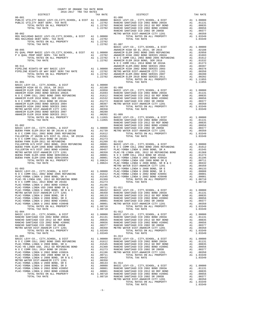| 2016-2017 TRA TAX RATES<br>DISTRICT                                                                                                                                                                                                                                                                                                                                                      | TAX RATE | <b>EXECUTE:</b> $01-006$ | TAX RATE |
|------------------------------------------------------------------------------------------------------------------------------------------------------------------------------------------------------------------------------------------------------------------------------------------------------------------------------------------------------------------------------------------|----------|--------------------------|----------|
| $00 - 001$                                                                                                                                                                                                                                                                                                                                                                               |          |                          |          |
|                                                                                                                                                                                                                                                                                                                                                                                          |          |                          |          |
| $\begin{tabular}{c cccc} $00-001$ & $01-006$ & $01-006$ & $01-006$ & $01-006$ & $01-006$ & $01-006$ & $01-006$ & $01-006$ & $01-006$ & $01-006$ & $01-006$ & $01-008$ & $01-0000$ & $01-008$ & $01-0000$ & $01-0000$ & $01-0000$ & $01-0000$ & $01-0000$ & $01-0000$ & $01-0000$ & $01-$                                                                                                 |          |                          |          |
|                                                                                                                                                                                                                                                                                                                                                                                          |          |                          |          |
|                                                                                                                                                                                                                                                                                                                                                                                          |          |                          |          |
|                                                                                                                                                                                                                                                                                                                                                                                          |          |                          |          |
|                                                                                                                                                                                                                                                                                                                                                                                          |          |                          |          |
|                                                                                                                                                                                                                                                                                                                                                                                          |          |                          |          |
|                                                                                                                                                                                                                                                                                                                                                                                          |          |                          |          |
|                                                                                                                                                                                                                                                                                                                                                                                          |          |                          |          |
|                                                                                                                                                                                                                                                                                                                                                                                          |          |                          |          |
|                                                                                                                                                                                                                                                                                                                                                                                          |          |                          |          |
|                                                                                                                                                                                                                                                                                                                                                                                          |          |                          |          |
|                                                                                                                                                                                                                                                                                                                                                                                          |          |                          |          |
|                                                                                                                                                                                                                                                                                                                                                                                          |          |                          |          |
|                                                                                                                                                                                                                                                                                                                                                                                          |          |                          |          |
|                                                                                                                                                                                                                                                                                                                                                                                          |          |                          |          |
|                                                                                                                                                                                                                                                                                                                                                                                          |          |                          |          |
|                                                                                                                                                                                                                                                                                                                                                                                          |          |                          |          |
|                                                                                                                                                                                                                                                                                                                                                                                          |          |                          |          |
|                                                                                                                                                                                                                                                                                                                                                                                          |          |                          |          |
|                                                                                                                                                                                                                                                                                                                                                                                          |          |                          |          |
|                                                                                                                                                                                                                                                                                                                                                                                          |          |                          |          |
|                                                                                                                                                                                                                                                                                                                                                                                          |          |                          |          |
|                                                                                                                                                                                                                                                                                                                                                                                          |          |                          |          |
|                                                                                                                                                                                                                                                                                                                                                                                          |          |                          |          |
|                                                                                                                                                                                                                                                                                                                                                                                          |          |                          |          |
|                                                                                                                                                                                                                                                                                                                                                                                          |          |                          |          |
|                                                                                                                                                                                                                                                                                                                                                                                          |          |                          |          |
|                                                                                                                                                                                                                                                                                                                                                                                          |          |                          |          |
|                                                                                                                                                                                                                                                                                                                                                                                          |          |                          |          |
|                                                                                                                                                                                                                                                                                                                                                                                          |          |                          |          |
|                                                                                                                                                                                                                                                                                                                                                                                          |          |                          |          |
|                                                                                                                                                                                                                                                                                                                                                                                          |          |                          |          |
|                                                                                                                                                                                                                                                                                                                                                                                          |          |                          |          |
|                                                                                                                                                                                                                                                                                                                                                                                          |          |                          |          |
|                                                                                                                                                                                                                                                                                                                                                                                          |          |                          |          |
| $\begin{tabular}{cccccccc} 01-004 & 01-012 \\ \text{BASIC LEV-CO., CITY, SCHOOL, & DIST & A1 & 1.00000 \\ \text{RANCE SANTIAGO CCD 2002 BOND 2003A & A1 & .01131 \\ \text{RANCEO SANTIAGO CCD 2002 BOND 2003A & A1 & .01131 \\ \text{RANCEO SANTIAGO CCD 2002 BOND 2003A & A1 & .01131 \\ \text{RANCEO SANTIAGO CCD 2002 BOND 2003A & A1 & .01131 \\ \text{RANCEO SANTIAO CCD 2002 BOND$ |          |                          |          |
|                                                                                                                                                                                                                                                                                                                                                                                          |          |                          |          |
|                                                                                                                                                                                                                                                                                                                                                                                          |          |                          |          |
|                                                                                                                                                                                                                                                                                                                                                                                          |          |                          |          |
|                                                                                                                                                                                                                                                                                                                                                                                          |          |                          |          |
|                                                                                                                                                                                                                                                                                                                                                                                          |          |                          |          |
|                                                                                                                                                                                                                                                                                                                                                                                          |          |                          |          |
|                                                                                                                                                                                                                                                                                                                                                                                          |          |                          |          |
|                                                                                                                                                                                                                                                                                                                                                                                          |          |                          |          |
|                                                                                                                                                                                                                                                                                                                                                                                          |          |                          |          |
|                                                                                                                                                                                                                                                                                                                                                                                          |          | TOTAL TAX RATE           | 1.03349  |

COUNTY OF ORANGE TAX RATE BOOK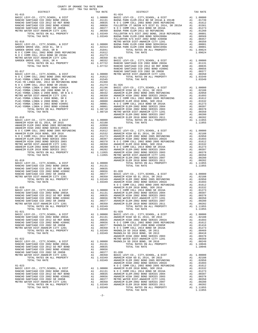| COUNTY OF ORANGE TAX RATE BOOK<br>2016-2017 TRA TAX RATES<br>$2016-2017 \quad \text{TRA RATES}$ DISTRICT $\hspace{2.5cm}$ |          |                           |          |
|---------------------------------------------------------------------------------------------------------------------------|----------|---------------------------|----------|
|                                                                                                                           | TAX RATE | DISTRICT                  | TAX RATE |
|                                                                                                                           |          |                           |          |
|                                                                                                                           |          |                           |          |
|                                                                                                                           |          |                           |          |
|                                                                                                                           |          |                           |          |
|                                                                                                                           |          |                           |          |
|                                                                                                                           |          |                           |          |
|                                                                                                                           |          |                           |          |
|                                                                                                                           |          |                           |          |
|                                                                                                                           |          |                           |          |
|                                                                                                                           |          |                           |          |
|                                                                                                                           |          |                           |          |
|                                                                                                                           |          |                           |          |
|                                                                                                                           |          |                           |          |
|                                                                                                                           |          |                           |          |
|                                                                                                                           |          |                           |          |
|                                                                                                                           |          |                           |          |
|                                                                                                                           |          |                           |          |
|                                                                                                                           |          |                           |          |
|                                                                                                                           |          |                           |          |
|                                                                                                                           |          |                           |          |
|                                                                                                                           |          |                           |          |
|                                                                                                                           |          |                           |          |
|                                                                                                                           |          |                           |          |
|                                                                                                                           |          |                           |          |
|                                                                                                                           |          |                           |          |
|                                                                                                                           |          |                           |          |
|                                                                                                                           |          |                           |          |
|                                                                                                                           |          |                           |          |
|                                                                                                                           |          |                           |          |
|                                                                                                                           |          |                           |          |
|                                                                                                                           |          |                           |          |
|                                                                                                                           |          |                           |          |
|                                                                                                                           |          |                           |          |
|                                                                                                                           |          |                           |          |
|                                                                                                                           |          |                           |          |
|                                                                                                                           |          |                           |          |
|                                                                                                                           |          |                           |          |
|                                                                                                                           |          |                           |          |
|                                                                                                                           |          |                           |          |
|                                                                                                                           |          |                           |          |
|                                                                                                                           |          |                           |          |
|                                                                                                                           |          |                           |          |
|                                                                                                                           |          |                           |          |
|                                                                                                                           |          |                           |          |
|                                                                                                                           |          |                           |          |
|                                                                                                                           |          |                           |          |
|                                                                                                                           |          |                           |          |
|                                                                                                                           |          |                           |          |
|                                                                                                                           |          |                           |          |
|                                                                                                                           |          |                           |          |
|                                                                                                                           |          |                           |          |
|                                                                                                                           |          |                           |          |
|                                                                                                                           |          |                           |          |
|                                                                                                                           |          |                           |          |
|                                                                                                                           |          |                           |          |
|                                                                                                                           |          |                           |          |
|                                                                                                                           |          |                           |          |
|                                                                                                                           |          |                           |          |
|                                                                                                                           |          |                           |          |
|                                                                                                                           |          |                           |          |
|                                                                                                                           |          |                           |          |
|                                                                                                                           |          |                           |          |
|                                                                                                                           |          |                           |          |
|                                                                                                                           |          |                           |          |
|                                                                                                                           |          |                           |          |
|                                                                                                                           |          |                           |          |
|                                                                                                                           |          |                           |          |
|                                                                                                                           |          |                           |          |
|                                                                                                                           |          |                           |          |
|                                                                                                                           |          |                           |          |
|                                                                                                                           |          |                           |          |
|                                                                                                                           |          |                           |          |
|                                                                                                                           |          |                           |          |
|                                                                                                                           |          |                           |          |
|                                                                                                                           |          |                           |          |
|                                                                                                                           |          |                           |          |
|                                                                                                                           |          |                           |          |
|                                                                                                                           |          |                           |          |
|                                                                                                                           |          |                           |          |
|                                                                                                                           |          | TOTAL TAX RATE<br>1.11955 |          |

-2-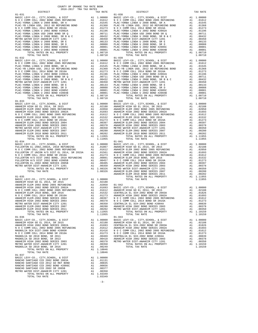COUNTY OF ORANGE TAX RATE BOOK 2016-2017 TRA TAX RATES 01-031 01-038 METRO WATER DIST-ANAHEIM CITY 1201 A1 .00350 TOTAL RATES ON ALL PROPERTY A1 1.10159<br>MAGNOLIA SD 2010 BOND, SR 2016 A1 .00249 TOTAL TAX RATE 1.10159<br>TOTAL TAX RATE 1.10159 BOND, SR 2016 A1 1.10046<br>TOTAL TAX RATE 01-037 BASIC LEVY-CO., CITY,SCHOOL, & DIST A1 1.00000 RANCHO SANTIAGO CCD 2002 BOND 2003A A1 .01131 RANCHO SANTIAGO CCD 2012 GO REF BOND A1 .00835 RANCHO SANTIAGO CCD 2002 BOND #2006C A1 .00656

 RANCHO SANTIAGO CCD 2002 SR 2005B A1 .00377 METRO WATER DIST-ANAHEIM CITY 1201 A1 .00350 TOTAL RATES ON ALL PROPERTY A1 1.03349 TOTAL TAX RATE 1.03349

 DISTRICT TAX RATE DISTRICT TAX RATE BASIC LEVY-CO., CITY,SCHOOL, & DIST A1 1.00000 BASIC LEVY-CO., CITY,SCHOOL, & DIST A1 1.00000 N O C COMM COLL 2002 BOND 2005 REFUNDING A1 .01612 N O C COMM COLL 2002 BOND 2005 REFUNDING A1 .01612 PLAC-YORBA LINDA U 2008 BOND, SR A A1 .01545 PLAC-YORBA LINDA U 2008 BOND, SR A A1 .01545 PLAC-YB LINDA USD, 2012 GO REFUNDING BOND A1 .01368 PLAC-YB LINDA USD, 2012 GO REFUNDING BOND A1 .01368 N O C COMM COLL 2014 BOND SR 2016A A1 .01273 N O C COMM COLL 2014 BOND SR 2016A A1 .01273 PLAC-YORBA LINDA U 2002 BOND #2002A A1 .01196 PLAC-YORBA LINDA U 2002 BOND #2002A A1 .01196 PLAC-YORBA LINDA USD 2008 BOND SR Q A1 .00711 PLAC-YORBA LINDA USD 2008 BOND SR Q A1 .00711 PLAC-YORBA LINDA U 2008 BOND, SR B & C A1 .00432 PLAC-YORBA LINDA U 2008 BOND, SR B & C A1 .00432 METRO WATER DIST-ANAHEIM CITY 1201 A1 .00350 METRO WATER DIST-ANAHEIM CITY 1201 A1 .00350 PLAC-YORBA LINDA U 2008 BOND, SR E A1 .00133 PLAC-YORBA LINDA U 2008 BOND, SR E A1 .00133 PLAC-YORBA LINDA U 2008 BOND, SR D **A1** .00033<br>
METRO WATER DIST-ANAHEIM CITY 1201 **A1** .00088 PLAC-YORBA LINDA U 2008 BOND, SR D **PLAC-YORBA LINDA U 2008 BOND**, SR D PLAC-YORBA LINDA U 2008 BOND, SR D PLAC-YORBA LINDA U PLAC-YORBA LINDA U 2002 BOND #2005C A1 .00001 PLAC-YORBA LINDA U 2002 BOND #2005C A1 .00001 PLAC-YORBA LINDA U 2002 BOND #2005C PLAC-YORBA LINDA U 2002 BOND #2005C PLAC-YORBA LINDA U 2002 BOND #2005C PLAC-YORBA LINDA U 200 PLAC-YORBA LINDA U 2002 BOND #2004B A1 .00001 PLAC-YORBA LINDA U 2002 BOND #2004B A1 .00001 TOTAL RATES ON ALL PROPERTY A1 1.08710 TOTAL RATES ON ALL PROPERTY A1 1.08710  $\begin{array}{ccccccccc} \text{RISTC LEVI-COS} & \text{CLOWI CDCL} & \text{CLOM0} & \text{RISTC LEVI-COS} & \text{A1} & 1.00000 & \text{RSC LEVI-COS} & \text{A1} & 1.00000 \\ \text{PLAC-YORBA LINDN U 2008 BOND, SR R} & \text{A1} & 0.000000 & \text{A1} & 0.000000 \\ \text{PLAC-YORBA LINDN U 2008 BOND, SR R} & \text{A2} & 0.000000 \\ \text{PLAC-YORBA LINDN U 2008 BOND$  01-032 01-039 BASIC LEVY-CO., CITY,SCHOOL, & DIST A1 1.00000 BASIC LEVY-CO., CITY,SCHOOL, & DIST A1 1.00000 N O C COMM COLL 2002 BOND 2005 REFUNDING A1 .01612 N O C COMM COLL 2002 BOND 2005 REFUNDING A1 .01612 1.01545 PLAC-YORBA LINDA U 2008 BOND, SR A (01545 PLAC-YORBA LINDA U 2008 BOND, SR A (01545 PLAC-YORBA LINDA U<br>PLAC-YB LINDA USD, 2012 GO REFUNDING BOND A1 (01368 PLAC-YB LINDA USD, 2012 GO REFUNDING BOND A1 (01368<br>N O C C PLAC-YORBA LINDA U 2002 BOND #2002<br>
PLAC-YORBA LINDA U 2002 BOND #2002<br>
PLAC-YORBA LINDA U 2002 BOND FRO (A1 .001196 PLAC-YORBA LINDA U 2002 BOND FRO (A1 .001196<br>
PLAC-YORBA LINDA U 2008 BOND, SR B & C (A1 .0011 PLAC-YORBA  $\begin{tabular}{l|c|c|c|c|c} \hline \texttt{PLAC-YORBA LINDA U 2008 BOND S R Q} & \texttt{A1} & .00711 & \texttt{PLAC-YORBA LINDA U 2008 BOND S R Q} & \texttt{A1} & .00711 \\ \hline \texttt{PLAC-YORBA LINDA U 2008 BOND S R Q} & \texttt{A1} & .00432 & \texttt{PLAC-YORBA LINDA U 2008 BOND S R Q} & \texttt{A1} & .00432 \\ \hline \texttt{METRO WATER DIST-ANAEEIM CITY 1201} & \texttt{A1} &$ PLAC-YORBA LINDA U 2002 BOND #2004B<br>
PLAC-YORBA LINDA U 2002 BOND #2004B<br>
TOTAL RATES ON ALL PROPERTY<br>
TOTAL TAX RATE 1.08710<br>
TOTAL TAX RATE 1.08710<br>
1.08710<br>
1.08710<br>
1.08710<br>
1.08710<br>
1.08710<br>
1.08710<br>
1.08710<br>
1.08710<br> 01-033 01-040 BASIC LEVY-CO., CITY,SCHOOL, & DIST A1 1.00000 BASIC LEVY-CO., CITY,SCHOOL, & DIST A1 1.00000 ANAHEIM HIGH GO EL 2014, SR 2015 A1 .02188 ANAHEIM HIGH GO EL 2014, SR 2015 A1 .02188 ANAHEIM ELEM 2002 BOND 2005 REFUNDING A1 .02050 ANAHEIM ELEM 2002 BOND 2005 REFUNDING A1 .02050 ANAHEIM HIGH 2002 BOND SERIES 2002A A1 .01693 ANAHEIM HIGH 2002 BOND SERIES 2002A A1 .01693 N O C COMM COLL 2002 BOND 2005 REFUNDING A1 .01612 N O C COMM COLL 2002 BOND 2005 REFUNDING A1 .01612 ANAHEIM ELEM 2010 BOND, SER 2016 A1 .01532 ANAHEIM ELEM 2010 BOND, SER 2016 A1 .01532 N O C COMM COLL 2014 BOND, SER 2016<br>
N O C COMM COLL 2014 BOND SR 2016<br>
N O C COMM COLL 2014 BOND SR 2016<br>
ANAHEIM ELEM 2002 BOND SR 2016<br>
A1 .01273 N O C COMM COLL 2014 BOND SR 2016<br>
A1 .00379 NNAHEIM HIGH 2002 BOND SRIES ANAHEIM ELEM-2002 BOND SERIES 2004 A1 .00397 ANAHEIM ELEM-2002 BOND SERIES 2004 A1 .00397 ANAHEIM HIGH 2002 BOND SERIES 2003 A1 .00378 ANAHEIM HIGH 2002 BOND SERIES 2003 A1 .00378 METRO WATER DIST-ANAHEIM CITY 1201 A1 .00350 METRO WATER DIST-ANAHEIM CITY 1201 A1 .00350 ANAHEIM ELEM-2002 BOND SERIES 2007 A1 .00280 ANAHEIM ELEM-2002 BOND SERIES 2007 A1 .00280 ANAHEIM ELEM 2010 BOND SERIES 2011 A1 .00202 ANAHEIM ELEM 2010 BOND SERIES 2011 A1 .00202 TOTAL RATES ON ALL PROPERTY A1 1.11955 TOTAL RATES ON ALL PROPERTY A1 1.11955 TOTAL TAX RATE 1.11955 TOTAL TAX RATE 1.11955 01-034 01-041 01-034<br>BASIC LEVY-CO., CITY, SCHOOL, & DIST A1 1.00000 BASIC LEVY-CO., CITY, SCHOOL, & DIST A1 1.00000<br>FULLERTON EL-2002, 2002 BOND 2005 REFUNDING A1 .01667 ANAHEIM HIGH GO EL 2014, SR 2015 A1 .02188<br>RULLERTON JT UNION H/S FULLERTON EL-2002,2002A, 2010 REFUNDING A1 .01867 ANAHEIM HIGH GO EL 2014, SR 2015 A1 .02188 N O C COMM COLL 2002 BOND 2005 REFUNDING A1 .01612 ANAHEIM ELEM 2002 BOND 2005 REFUNDING A1 .02050 FULLERTON JT UNION H/S DIST EL 2014, SR 2015A A1 .01561 ANAHEIM HIGH 2002 BOND SERIES 2002A A1 .01693 N O C COMM COLL 2014 BOND SR 2016A A1 .01273 N O C COMM COLL 2002 BOND 2005 REFUNDING A1 .01612 FULLERTON H/S DIST 2002 BOND, 2010 REFUNDING A1 .00801 ANAHEIM ELEM 2010 BOND, SER 2016 A1 .01532 101. FULLERTON H/S DIST 2002 BOND #2005B A1 .00457 N O C COMM COLL 2014 BOND SR 2016A A1.<br>10397 PULLERTON EL-2002 BOND SERIES 2005B A1 .00405 ANAHEIM ELEM-2002 BOND SERIES 2004 00378 METRO WATER DIST-ANAHEIM CITY 1201 A1 .00350 ANAHEIM HIGH 2002 BOND SERIES 2003<br>00350 A1 .00326 METRO ATTES ON ALL PROPERTY AT L00326 ANAHEIM ELEM-2002 BOND SERIES 2001 A1 .00326 ATTES ON A<br>00200 A1 .00326 ANAHEIM EL TOTAL RATES ON ALL PROPERTY A1 1.08326 METRO WATER DIST-ANAHEIM CITY 1201 A1 .00350 TOTAL TAX RATE 1.08326 ANAHEIM ELEM-2002 BOND SERIES 2007 A1 .00280 ANAHEIM ELEM 2010 BOND SERIES 2011 A1 .00202 01-035 TOTAL RATES ON ALL PROPERTY A1 1.11955 BASIC LEVY-CO., CITY,SCHOOL, & DIST A1 1.00000 TOTAL TAX RATE 1.11955 ANAHEIM HIGH GO EL 2014, SR 2015 A1 .02188 ANAHEIM ELEM 2002 BOND 2005 REFUNDING A1 .02050 01-042 ANAHEIM HIGH 2002 BOND SERIES 2002A A1 .01693 BASIC LEVY-CO., CITY,SCHOOL, & DIST A1 1.00000 N O C COMM COLL 2002 BOND 2005 REFUNDING A1 .01612 ANAHEIM HIGH GO EL 2014, SR 2015 A1 .02188 ANAHEIM ELEM 2010 BOND, SER 2016 A1 .01532 CENTRALIA EL SCH-2002 BOND SR 2003A A1 .01826 N O C COMM COLL 2014 BOND SR 2016A A1 .01273 ANAHEIM HIGH 2002 BOND SERIES 2002A A1 .01693 ANAHEIM ELEM-2002 BOND SERIES 2004 A1 .00397 N O C COMM COLL 2002 BOND 2005 REFUNDING A1 .01612 ANAHEIM HIGH 2002 BOND SERIES 2003 A1 .00378 N O C COMM COLL 2014 BOND SR 2016A A1 .01273 NAHEIM ELEM-2002 BOND SERIES 2004 A1 .00397 NO COMM COLL 2002 BOND 2005 REFUNDING A1 .01612<br>ANAHEIM HIGH 2002 BOND SERIES 2003 A1 .00378 NO COMM COLL 2014 BOND SR 2016A A1 .01273<br>ANAHEIM ELEM-2002 BOND SERIES 2003 A1 .0035 ANAHEIM ELEM-2002 BOND SERIES 2007 A1 .00280 ANAHEIM HIGH 2002 BOND SERIES 2003 A1 .00378 ANAHEIM ELEM 2010 BOND SERIES 2011 A1 .00202 METRO WATER DIST-ANAHEIM CITY 1201 A1 .00350<br>TOTAL RATES ON ALL PROPERTY A1 1.11955 TOTAL RATES ON ALL PROPERTY A1 1.10159 TOTAL RATES ON ALL PROPERTY AI 1.11955 TOTAL RATES ON ALL PROPERTY AT L.11955 TOTAL TAX RATE 1.10159 01-036<br>BASIC LEVY-CO., CITY, SCHOOL, & DIST<br>ANAHEIM HIGHGO EL 2014, SR 2015 A1 .00000 BASIC LEVY-CO., CITY, SCHOOL, & DIST A1 .00000<br>ANAHEIM HIGH 2002 BOND SERIES 2002A A1 .01693 CENTRALIA EL SCH-2002 BOND SR 2003A A1 .016 MAGNOLIA SCH DIST-2000 BOND #2005R A1 .01416 N O C COMM COLL 2002 BOND 2005 REFUNDING A1 .01612 N O C COMM COLL 2014 BOND SR 2016A A1 .01273 N O C COMM COLL 2014 BOND SR 2016A A1 .01273 MAGNOLIA SD 2010 BOND, SR 2011 A1 .00469 CENTRALIA EL SCH-2002 BOND #2004A A1 .00839 MAGNOLIA SD 2010 BOND, SR 2013 A1 .00418 ANAHEIM HIGH 2002 BOND SERIES 2003 A1 .00378 ANAHEIM HIGH 2002 BOND SERIES 2003 A1 .00378 METRO WATER DIST-ANAHEIM CITY 1201 A1 .00350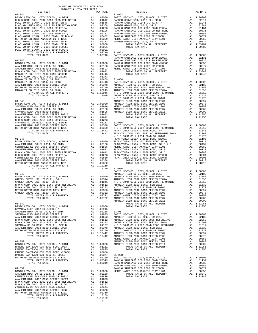| COUNTY OF ORANGE TAX RATE BOOK<br>$2016-2017 \quad \text{TRA RATES}$ DISTRICT $\hspace{2.5cm}$                                                                                                                                     |          |          |          |
|------------------------------------------------------------------------------------------------------------------------------------------------------------------------------------------------------------------------------------|----------|----------|----------|
|                                                                                                                                                                                                                                    | TAX RATE | DISTRICT | TAX RATE |
|                                                                                                                                                                                                                                    |          |          |          |
|                                                                                                                                                                                                                                    |          |          |          |
|                                                                                                                                                                                                                                    |          |          |          |
|                                                                                                                                                                                                                                    |          |          |          |
|                                                                                                                                                                                                                                    |          |          |          |
|                                                                                                                                                                                                                                    |          |          |          |
|                                                                                                                                                                                                                                    |          |          |          |
|                                                                                                                                                                                                                                    |          |          |          |
|                                                                                                                                                                                                                                    |          |          |          |
|                                                                                                                                                                                                                                    |          |          |          |
|                                                                                                                                                                                                                                    |          |          |          |
|                                                                                                                                                                                                                                    |          |          |          |
|                                                                                                                                                                                                                                    |          |          |          |
|                                                                                                                                                                                                                                    |          |          |          |
|                                                                                                                                                                                                                                    |          |          |          |
|                                                                                                                                                                                                                                    |          |          |          |
|                                                                                                                                                                                                                                    |          |          |          |
|                                                                                                                                                                                                                                    |          |          |          |
|                                                                                                                                                                                                                                    |          |          |          |
|                                                                                                                                                                                                                                    |          |          |          |
|                                                                                                                                                                                                                                    |          |          |          |
|                                                                                                                                                                                                                                    |          |          |          |
|                                                                                                                                                                                                                                    |          |          |          |
|                                                                                                                                                                                                                                    |          |          |          |
|                                                                                                                                                                                                                                    |          |          |          |
|                                                                                                                                                                                                                                    |          |          |          |
|                                                                                                                                                                                                                                    |          |          |          |
|                                                                                                                                                                                                                                    |          |          |          |
|                                                                                                                                                                                                                                    |          |          |          |
|                                                                                                                                                                                                                                    |          |          |          |
|                                                                                                                                                                                                                                    |          |          |          |
|                                                                                                                                                                                                                                    |          |          |          |
|                                                                                                                                                                                                                                    |          |          |          |
|                                                                                                                                                                                                                                    |          |          |          |
|                                                                                                                                                                                                                                    |          |          |          |
|                                                                                                                                                                                                                                    |          |          |          |
|                                                                                                                                                                                                                                    |          |          |          |
|                                                                                                                                                                                                                                    |          |          |          |
|                                                                                                                                                                                                                                    |          |          |          |
|                                                                                                                                                                                                                                    |          |          |          |
|                                                                                                                                                                                                                                    |          |          |          |
|                                                                                                                                                                                                                                    |          |          |          |
|                                                                                                                                                                                                                                    |          |          |          |
|                                                                                                                                                                                                                                    |          |          |          |
|                                                                                                                                                                                                                                    |          |          |          |
|                                                                                                                                                                                                                                    |          |          |          |
|                                                                                                                                                                                                                                    |          |          |          |
|                                                                                                                                                                                                                                    |          |          |          |
|                                                                                                                                                                                                                                    |          |          |          |
|                                                                                                                                                                                                                                    |          |          |          |
|                                                                                                                                                                                                                                    |          |          |          |
|                                                                                                                                                                                                                                    |          |          |          |
|                                                                                                                                                                                                                                    |          |          |          |
|                                                                                                                                                                                                                                    |          |          |          |
|                                                                                                                                                                                                                                    |          |          |          |
|                                                                                                                                                                                                                                    |          |          |          |
| <b>M</b> 26 C COMM CELL-2010. And 2012 and 2014 and 2012 and 2014 and 2013 and 2014 and 2013 and 2014 and 2013 and 2014 and 2013 and 2014 and 2013 and 2014 and 2013 and 2014 and 2013 and 2014 and 2013 and 2014 and 2013 and 201 |          |          |          |
|                                                                                                                                                                                                                                    |          |          |          |
|                                                                                                                                                                                                                                    |          |          |          |
|                                                                                                                                                                                                                                    |          |          |          |
|                                                                                                                                                                                                                                    |          |          |          |
|                                                                                                                                                                                                                                    |          |          |          |
|                                                                                                                                                                                                                                    |          |          |          |
|                                                                                                                                                                                                                                    |          |          |          |
|                                                                                                                                                                                                                                    |          |          |          |
|                                                                                                                                                                                                                                    |          |          |          |
|                                                                                                                                                                                                                                    |          |          |          |
|                                                                                                                                                                                                                                    |          |          |          |
|                                                                                                                                                                                                                                    |          |          |          |
|                                                                                                                                                                                                                                    |          |          |          |
|                                                                                                                                                                                                                                    |          |          |          |
|                                                                                                                                                                                                                                    |          |          |          |
|                                                                                                                                                                                                                                    |          |          |          |
|                                                                                                                                                                                                                                    |          |          |          |
|                                                                                                                                                                                                                                    |          |          |          |
|                                                                                                                                                                                                                                    |          |          |          |
|                                                                                                                                                                                                                                    |          |          |          |
|                                                                                                                                                                                                                                    |          |          |          |
|                                                                                                                                                                                                                                    |          |          |          |
|                                                                                                                                                                                                                                    |          |          |          |
|                                                                                                                                                                                                                                    |          |          |          |
|                                                                                                                                                                                                                                    |          |          |          |
|                                                                                                                                                                                                                                    |          |          |          |
|                                                                                                                                                                                                                                    |          |          |          |

 $-4-$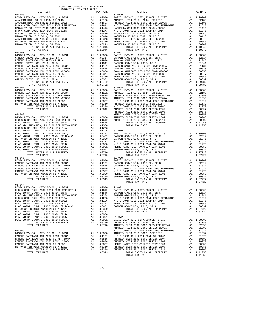| $01 - 059$ |                                                                                                                                                      |                                                                                                                                                                                             |                  | $01 - 066$                |
|------------|------------------------------------------------------------------------------------------------------------------------------------------------------|---------------------------------------------------------------------------------------------------------------------------------------------------------------------------------------------|------------------|---------------------------|
|            |                                                                                                                                                      |                                                                                                                                                                                             |                  |                           |
|            |                                                                                                                                                      |                                                                                                                                                                                             |                  |                           |
|            |                                                                                                                                                      |                                                                                                                                                                                             |                  |                           |
|            |                                                                                                                                                      |                                                                                                                                                                                             |                  |                           |
|            |                                                                                                                                                      |                                                                                                                                                                                             |                  |                           |
|            |                                                                                                                                                      |                                                                                                                                                                                             |                  |                           |
|            |                                                                                                                                                      |                                                                                                                                                                                             |                  |                           |
|            |                                                                                                                                                      |                                                                                                                                                                                             |                  |                           |
|            |                                                                                                                                                      |                                                                                                                                                                                             |                  |                           |
|            | TOTAL RATES ON ALL PROPERTY                                                                                                                          |                                                                                                                                                                                             | A1 1.10046       |                           |
|            | TOTAL TAX RATE                                                                                                                                       |                                                                                                                                                                                             | 1.10046          |                           |
| $01 - 060$ |                                                                                                                                                      |                                                                                                                                                                                             |                  | $01 - 067$                |
|            |                                                                                                                                                      |                                                                                                                                                                                             |                  |                           |
|            |                                                                                                                                                      |                                                                                                                                                                                             |                  |                           |
|            |                                                                                                                                                      |                                                                                                                                                                                             |                  |                           |
|            |                                                                                                                                                      |                                                                                                                                                                                             |                  |                           |
|            |                                                                                                                                                      |                                                                                                                                                                                             |                  |                           |
|            |                                                                                                                                                      |                                                                                                                                                                                             |                  |                           |
|            |                                                                                                                                                      |                                                                                                                                                                                             |                  |                           |
|            |                                                                                                                                                      |                                                                                                                                                                                             |                  |                           |
|            |                                                                                                                                                      |                                                                                                                                                                                             |                  |                           |
|            | TOTAL TAX RATE                                                                                                                                       |                                                                                                                                                                                             | 1.09782          |                           |
| $01 - 061$ |                                                                                                                                                      |                                                                                                                                                                                             |                  | $01 - 068$                |
|            | BASIC LEVY-CO., CITY, SCHOOL, & DIST                                                                                                                 |                                                                                                                                                                                             |                  |                           |
|            | RANCHO SANTIAGO CCD 2002 BOND 2003A                                                                                                                  |                                                                                                                                                                                             |                  |                           |
|            | NEW DANTIFIC CONTROL 2012 GO REF BOND RANCHO SANTIAGO CCD 2002 BOND #2006C<br>RANCHO SANTIAGO CCD 2002 SR 2005B<br>METRO WATER DIGT BY 2002 SR 2005B |                                                                                                                                                                                             |                  |                           |
|            |                                                                                                                                                      |                                                                                                                                                                                             |                  |                           |
|            |                                                                                                                                                      |                                                                                                                                                                                             |                  |                           |
|            | METRO WATER DIST-ANAHEIM CITY 1201<br>TOTAL RATES ON ALL PROPERTY<br>TOTAL RATES ON ALL PROPERTY                                                     | 01-068<br>A1 1.00000 BASIC L<br>A1 .01131 ANAHEIM<br>A1 .00835 ANAHEIM<br>A1 .00856 ANAHEIM<br>A1 .00377 NOCC<br>A1 .00377 NOCC<br>A1 1.03349 ANAHEIM<br>1.03349 ANAHEIM<br>1.03349 ANAHEIM |                  |                           |
|            | TOTAL TAX RATE                                                                                                                                       |                                                                                                                                                                                             |                  |                           |
|            |                                                                                                                                                      |                                                                                                                                                                                             |                  | ANAHEIM                   |
| $01 - 062$ |                                                                                                                                                      |                                                                                                                                                                                             |                  | METRO W                   |
|            |                                                                                                                                                      |                                                                                                                                                                                             |                  |                           |
|            |                                                                                                                                                      |                                                                                                                                                                                             |                  |                           |
|            | PLAC-YORBA LINDA U 2008 BOND, SR A<br>PLAC-YB LINDA USD, 2012 GO REFUNDING BOND A1 .01368                                                            |                                                                                                                                                                                             | A1 .01545        |                           |
|            | N O C COMM COLL 2014 BOND SR 2016A                                                                                                                   |                                                                                                                                                                                             | A1 .01273        |                           |
|            |                                                                                                                                                      |                                                                                                                                                                                             |                  |                           |
|            |                                                                                                                                                      |                                                                                                                                                                                             |                  |                           |
|            |                                                                                                                                                      |                                                                                                                                                                                             |                  |                           |
|            |                                                                                                                                                      |                                                                                                                                                                                             |                  |                           |
|            |                                                                                                                                                      |                                                                                                                                                                                             |                  |                           |
|            |                                                                                                                                                      |                                                                                                                                                                                             |                  |                           |
|            |                                                                                                                                                      |                                                                                                                                                                                             |                  |                           |
|            | TOTAL RATES ON ALL PROPERTY                                                                                                                          |                                                                                                                                                                                             | A1 1.08710       |                           |
|            | TOTAL TAX RATE                                                                                                                                       |                                                                                                                                                                                             | 1.08710          |                           |
| $01 - 063$ |                                                                                                                                                      | 01-070<br>A1 1.00000 BASIC L<br>A1 .0131 GARDEN<br>A1 .00835 GARDEN<br>A1 .00656 N O C C<br>A1 .00570 N O C C<br>A1 .00339 METRO W<br>A1 1.03349 GARDEN<br>A1 1.03349 GARDEN                |                  |                           |
|            | BASIC LEVY-CO., CITY, SCHOOL, & DIST                                                                                                                 |                                                                                                                                                                                             |                  |                           |
|            | RANCHO SANTIAGO CCD 2002 BOND 2003A<br>RANCHO SANTIAGO CCD 2012 GO REF BOND                                                                          |                                                                                                                                                                                             |                  |                           |
|            | RANCHO SANTIAGO CCD 2002 BOND #2006C                                                                                                                 |                                                                                                                                                                                             |                  |                           |
|            | RANCHO SANTIAGO CCD 2002 SR 2005B                                                                                                                    |                                                                                                                                                                                             |                  |                           |
|            | METRO WATER DIST-ANAHEIM CITY 1201                                                                                                                   |                                                                                                                                                                                             |                  |                           |
|            | TOTAL RATES ON ALL PROPERTY                                                                                                                          |                                                                                                                                                                                             |                  |                           |
|            | TOTAL TAX RATE                                                                                                                                       |                                                                                                                                                                                             | 1.03349          |                           |
|            |                                                                                                                                                      |                                                                                                                                                                                             |                  |                           |
| $01 - 064$ |                                                                                                                                                      |                                                                                                                                                                                             |                  |                           |
|            |                                                                                                                                                      |                                                                                                                                                                                             |                  |                           |
|            |                                                                                                                                                      |                                                                                                                                                                                             |                  |                           |
|            |                                                                                                                                                      |                                                                                                                                                                                             |                  |                           |
|            |                                                                                                                                                      |                                                                                                                                                                                             |                  |                           |
|            |                                                                                                                                                      |                                                                                                                                                                                             |                  |                           |
|            | PLAC-YORBA LINDA USD 2008 BOND SR Q<br>PLAC-YORBA LINDA U 2008 BOND, SR B & C                                                                        | A1<br>A1                                                                                                                                                                                    | .00711<br>.00432 | METRO W<br>GARDEN         |
|            | METRO WATER DIST-ANAHEIM CITY 1201                                                                                                                   | A1                                                                                                                                                                                          | .00350           |                           |
|            | PLAC-YORBA LINDA U 2008 BOND, SR E                                                                                                                   | A1                                                                                                                                                                                          | .00133           |                           |
|            | PLAC-YORBA LINDA U 2008 BOND, SR D                                                                                                                   | A1                                                                                                                                                                                          | .00088           |                           |
|            | PLAC-YORBA LINDA U 2002 BOND #2005C                                                                                                                  | A1                                                                                                                                                                                          | .00001           | $01 - 072$                |
|            | PLAC-YORBA LINDA U 2002 BOND #2004B                                                                                                                  | A1                                                                                                                                                                                          | .00001           | BASIC L                   |
|            | TOTAL RATES ON ALL PROPERTY                                                                                                                          |                                                                                                                                                                                             | A1 1.08710       | ANAHEIM                   |
|            | TOTAL TAX RATE                                                                                                                                       |                                                                                                                                                                                             | 1.08710          | ANAHEIM<br><b>ANAHEIM</b> |
| $01 - 065$ |                                                                                                                                                      |                                                                                                                                                                                             |                  | NOCC                      |
|            | BASIC LEVY-CO., CITY, SCHOOL, & DIST                                                                                                                 | A1                                                                                                                                                                                          | 1.00000          | <b>ANAHEIM</b>            |
|            | RANCHO SANTIAGO CCD 2002 BOND 2003A                                                                                                                  | A1                                                                                                                                                                                          | .01131           | NOCC                      |
|            | RANCHO SANTIAGO CCD 2012 GO REF BOND                                                                                                                 | A1                                                                                                                                                                                          | .00835           | ANAHEIM                   |
|            | RANCHO SANTIAGO CCD 2002 BOND #2006C                                                                                                                 | A1                                                                                                                                                                                          | .00656           | ANAHEIM                   |
|            | RANCHO SANTIAGO CCD 2002 SR 2005B                                                                                                                    | A1                                                                                                                                                                                          | .00377           | METRO W                   |
|            | METRO WATER DIST-ANAHEIM CITY 1201                                                                                                                   | A1                                                                                                                                                                                          | .00350           | ANAHEIM                   |

| WATER DIST-ANAHEIM CITY 1201 |                            |  |  |  |  |
|------------------------------|----------------------------|--|--|--|--|
|                              | TOTAL RATES ON ALL PROPERT |  |  |  |  |
|                              |                            |  |  |  |  |

| COUNTY OF ORANGE TAX RATE BOOK<br>2016-2017 TRA TAX RATES                                                                                                                                                                                                                                                                                                                     |          |                          |          |
|-------------------------------------------------------------------------------------------------------------------------------------------------------------------------------------------------------------------------------------------------------------------------------------------------------------------------------------------------------------------------------|----------|--------------------------|----------|
|                                                                                                                                                                                                                                                                                                                                                                               | TAX RATE | DISTRICT                 | TAX RATE |
| $01 - 059$<br>$01 - 060$                                                                                                                                                                                                                                                                                                                                                      |          | $01 - 066$<br>$01 - 067$ |          |
|                                                                                                                                                                                                                                                                                                                                                                               |          |                          |          |
|                                                                                                                                                                                                                                                                                                                                                                               |          |                          |          |
|                                                                                                                                                                                                                                                                                                                                                                               |          |                          |          |
| $01 - 063$<br>$01 - 064$                                                                                                                                                                                                                                                                                                                                                      |          | $01 - 070$               |          |
| 01-064<br>BASIC LEVY-CO., CITY, SCHOOL, & DIST<br>NO COOMM COLL 2002 BOND 2005 REFUNDING AI .01612 BASIC LEVY-CO., CITY, SCHOOL, & DIST AI 1.00000<br>PLAC-YORBA LINDA U 2008 BOND, SR A AI .01545 GARDEN GROVE USD, 2010 EL, SR C A                                                                                                                                          |          |                          |          |
| $\begin{tabular}{l cccc} \hline \texttt{PLG--VBID} & \texttt{MDI U 2001} & \texttt{G.11} & \texttt{G.12} & \texttt{G.12} & \texttt{G.12} & \texttt{G.12} & \texttt{G.12} & \texttt{G.12} & \texttt{G.12} & \texttt{G.12} & \texttt{G.12} & \texttt{G.12} & \texttt{G.12} & \texttt{G.12} & \texttt{G.12} & \texttt{G.12} & \texttt{G.12} & \texttt{G.12} & \texttt{G.12} & \$ |          | TOTAL TAX RATE           | 1.11955  |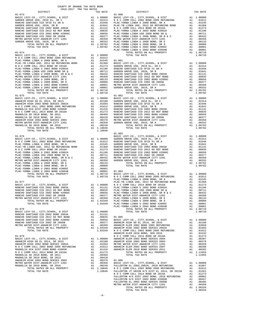| COUNTY OF ORANGE TAX RATE BOOK<br>$2016-2017 \quad \text{TRA RATES}$ DISTRICT $\hspace{2.5cm}$ | TAX RATE | DISTRICT                                                                                                                                                                                                                                  | TAX RATE |
|------------------------------------------------------------------------------------------------|----------|-------------------------------------------------------------------------------------------------------------------------------------------------------------------------------------------------------------------------------------------|----------|
| $01 - 073$                                                                                     |          | $01 - 080$                                                                                                                                                                                                                                |          |
|                                                                                                |          |                                                                                                                                                                                                                                           |          |
|                                                                                                |          |                                                                                                                                                                                                                                           |          |
|                                                                                                |          |                                                                                                                                                                                                                                           |          |
|                                                                                                |          |                                                                                                                                                                                                                                           |          |
|                                                                                                |          |                                                                                                                                                                                                                                           |          |
|                                                                                                |          |                                                                                                                                                                                                                                           |          |
|                                                                                                |          |                                                                                                                                                                                                                                           |          |
|                                                                                                |          |                                                                                                                                                                                                                                           |          |
|                                                                                                |          |                                                                                                                                                                                                                                           |          |
|                                                                                                |          |                                                                                                                                                                                                                                           |          |
|                                                                                                |          |                                                                                                                                                                                                                                           |          |
|                                                                                                |          |                                                                                                                                                                                                                                           |          |
|                                                                                                |          |                                                                                                                                                                                                                                           |          |
|                                                                                                |          |                                                                                                                                                                                                                                           |          |
|                                                                                                |          |                                                                                                                                                                                                                                           |          |
|                                                                                                |          |                                                                                                                                                                                                                                           |          |
|                                                                                                |          |                                                                                                                                                                                                                                           |          |
|                                                                                                |          |                                                                                                                                                                                                                                           |          |
|                                                                                                |          |                                                                                                                                                                                                                                           |          |
|                                                                                                |          |                                                                                                                                                                                                                                           |          |
|                                                                                                |          |                                                                                                                                                                                                                                           |          |
|                                                                                                |          |                                                                                                                                                                                                                                           |          |
|                                                                                                |          |                                                                                                                                                                                                                                           |          |
|                                                                                                |          |                                                                                                                                                                                                                                           |          |
| $01 - 075$                                                                                     |          | $01 - 082$                                                                                                                                                                                                                                |          |
|                                                                                                |          |                                                                                                                                                                                                                                           |          |
|                                                                                                |          |                                                                                                                                                                                                                                           |          |
|                                                                                                |          |                                                                                                                                                                                                                                           |          |
|                                                                                                |          |                                                                                                                                                                                                                                           |          |
|                                                                                                |          |                                                                                                                                                                                                                                           |          |
|                                                                                                |          |                                                                                                                                                                                                                                           |          |
|                                                                                                |          |                                                                                                                                                                                                                                           |          |
|                                                                                                |          |                                                                                                                                                                                                                                           |          |
|                                                                                                |          |                                                                                                                                                                                                                                           |          |
|                                                                                                |          |                                                                                                                                                                                                                                           |          |
| TOTAL TAX RATE                                                                                 | 1.10046  |                                                                                                                                                                                                                                           |          |
|                                                                                                |          | $01 - 083$                                                                                                                                                                                                                                |          |
|                                                                                                |          |                                                                                                                                                                                                                                           |          |
|                                                                                                |          |                                                                                                                                                                                                                                           |          |
|                                                                                                |          |                                                                                                                                                                                                                                           |          |
|                                                                                                |          |                                                                                                                                                                                                                                           |          |
|                                                                                                |          |                                                                                                                                                                                                                                           |          |
|                                                                                                |          |                                                                                                                                                                                                                                           |          |
|                                                                                                |          |                                                                                                                                                                                                                                           |          |
|                                                                                                |          |                                                                                                                                                                                                                                           |          |
|                                                                                                |          |                                                                                                                                                                                                                                           |          |
|                                                                                                |          |                                                                                                                                                                                                                                           |          |
|                                                                                                |          |                                                                                                                                                                                                                                           |          |
|                                                                                                |          |                                                                                                                                                                                                                                           |          |
|                                                                                                |          |                                                                                                                                                                                                                                           |          |
|                                                                                                |          |                                                                                                                                                                                                                                           |          |
|                                                                                                |          |                                                                                                                                                                                                                                           |          |
|                                                                                                |          |                                                                                                                                                                                                                                           |          |
|                                                                                                |          |                                                                                                                                                                                                                                           |          |
|                                                                                                |          |                                                                                                                                                                                                                                           |          |
|                                                                                                |          |                                                                                                                                                                                                                                           |          |
|                                                                                                |          |                                                                                                                                                                                                                                           |          |
|                                                                                                |          |                                                                                                                                                                                                                                           |          |
|                                                                                                |          |                                                                                                                                                                                                                                           |          |
|                                                                                                |          |                                                                                                                                                                                                                                           |          |
|                                                                                                |          |                                                                                                                                                                                                                                           |          |
|                                                                                                |          |                                                                                                                                                                                                                                           |          |
|                                                                                                |          |                                                                                                                                                                                                                                           |          |
|                                                                                                |          |                                                                                                                                                                                                                                           |          |
|                                                                                                |          |                                                                                                                                                                                                                                           |          |
|                                                                                                |          |                                                                                                                                                                                                                                           |          |
|                                                                                                |          |                                                                                                                                                                                                                                           |          |
|                                                                                                |          |                                                                                                                                                                                                                                           |          |
|                                                                                                |          |                                                                                                                                                                                                                                           |          |
|                                                                                                |          |                                                                                                                                                                                                                                           |          |
|                                                                                                |          |                                                                                                                                                                                                                                           |          |
|                                                                                                |          |                                                                                                                                                                                                                                           |          |
|                                                                                                |          |                                                                                                                                                                                                                                           |          |
|                                                                                                |          |                                                                                                                                                                                                                                           |          |
|                                                                                                |          |                                                                                                                                                                                                                                           |          |
|                                                                                                |          |                                                                                                                                                                                                                                           |          |
|                                                                                                |          |                                                                                                                                                                                                                                           |          |
|                                                                                                |          |                                                                                                                                                                                                                                           |          |
|                                                                                                |          |                                                                                                                                                                                                                                           |          |
|                                                                                                |          |                                                                                                                                                                                                                                           |          |
|                                                                                                |          |                                                                                                                                                                                                                                           |          |
|                                                                                                |          | VOC COMM COLL 2014 BOND SR 2016<br>FULLERTON H/S DIST 2002 BOND, 2010 REFUNDING<br>FULLERTON H/S DIST 2002 BOND, 2010 REFUNDING<br>FULLERTON H/S DIST 2002 BOND #2005B<br>FULLERTON EL-2002 BOND SERIES 2005B<br>A1 .00457<br>METRO WATER |          |
|                                                                                                |          |                                                                                                                                                                                                                                           |          |
|                                                                                                |          |                                                                                                                                                                                                                                           |          |
|                                                                                                |          |                                                                                                                                                                                                                                           |          |

TOTAL RATES ON ALL PROPERTY A1 1.08326<br>
TOTAL TAX RATE 1.08326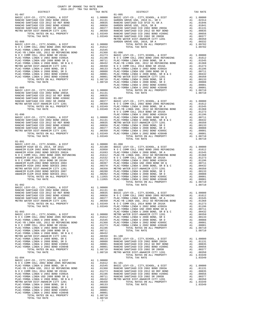|  | TAX RATE | DISTRICT | TAX RATE |
|--|----------|----------|----------|
|  |          |          |          |
|  |          |          |          |
|  |          |          |          |
|  |          |          |          |
|  |          |          |          |
|  |          |          |          |
|  |          |          |          |
|  |          |          |          |
|  |          |          |          |
|  |          |          |          |
|  |          |          |          |
|  |          |          |          |
|  |          |          |          |
|  |          |          |          |
|  |          |          |          |
|  |          |          |          |
|  |          |          |          |
|  |          |          |          |
|  |          |          |          |
|  |          |          |          |
|  |          |          |          |
|  |          |          |          |
|  |          |          |          |
|  |          |          |          |
|  |          |          |          |
|  |          |          |          |
|  |          |          |          |
|  |          |          |          |
|  |          |          |          |
|  |          |          |          |
|  |          |          |          |
|  |          |          |          |
|  |          |          |          |
|  |          |          |          |
|  |          |          |          |
|  |          |          |          |
|  |          |          |          |
|  |          |          |          |
|  |          |          |          |
|  |          |          |          |
|  |          |          |          |
|  |          |          |          |
|  |          |          |          |
|  |          |          |          |
|  |          |          |          |
|  |          |          |          |
|  |          |          |          |
|  |          |          |          |
|  |          |          |          |
|  |          |          |          |
|  |          |          |          |
|  |          |          |          |
|  |          |          |          |
|  |          |          |          |
|  |          |          |          |
|  |          |          |          |
|  |          |          |          |
|  |          |          |          |
|  |          |          |          |
|  |          |          |          |
|  |          |          |          |
|  |          |          |          |
|  |          |          |          |
|  |          |          |          |
|  |          |          |          |
|  |          |          |          |
|  |          |          |          |
|  |          |          |          |
|  |          |          |          |
|  |          |          |          |
|  |          |          |          |
|  |          |          |          |
|  |          |          |          |
|  |          |          |          |
|  |          |          |          |
|  |          |          |          |
|  |          |          |          |
|  |          |          |          |
|  |          |          |          |
|  |          |          |          |
|  |          |          |          |
|  |          |          |          |
|  |          |          |          |
|  |          |          |          |
|  |          |          |          |
|  |          |          |          |
|  |          |          |          |
|  |          |          |          |
|  |          |          |          |
|  |          |          |          |
|  |          |          |          |
|  |          |          |          |
|  |          |          |          |
|  |          |          |          |
|  |          |          |          |
|  |          |          |          |
|  |          |          |          |
|  |          |          |          |
|  |          |          |          |
|  |          |          |          |
|  |          |          |          |
|  |          |          |          |

COUNTY OF ORANGE TAX RATE BOOK 2016-2017 TRA TAX RATES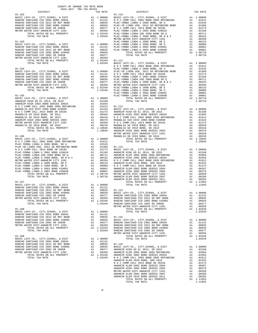| 2016-2017 TRA TAX RATES<br>DISTRICT |  |                                                                                                                                                                                                                                                                                                                                              | TAX RATE |
|-------------------------------------|--|----------------------------------------------------------------------------------------------------------------------------------------------------------------------------------------------------------------------------------------------------------------------------------------------------------------------------------------------|----------|
|                                     |  | $\begin{array}{c}\n\text{TAX RATE} \\ 01-110\n\end{array}$<br>DISTRICT                                                                                                                                                                                                                                                                       |          |
|                                     |  |                                                                                                                                                                                                                                                                                                                                              |          |
|                                     |  |                                                                                                                                                                                                                                                                                                                                              |          |
|                                     |  |                                                                                                                                                                                                                                                                                                                                              |          |
|                                     |  |                                                                                                                                                                                                                                                                                                                                              |          |
|                                     |  |                                                                                                                                                                                                                                                                                                                                              |          |
|                                     |  |                                                                                                                                                                                                                                                                                                                                              |          |
|                                     |  |                                                                                                                                                                                                                                                                                                                                              |          |
|                                     |  |                                                                                                                                                                                                                                                                                                                                              |          |
|                                     |  |                                                                                                                                                                                                                                                                                                                                              |          |
|                                     |  |                                                                                                                                                                                                                                                                                                                                              |          |
|                                     |  |                                                                                                                                                                                                                                                                                                                                              |          |
|                                     |  |                                                                                                                                                                                                                                                                                                                                              |          |
|                                     |  |                                                                                                                                                                                                                                                                                                                                              |          |
|                                     |  |                                                                                                                                                                                                                                                                                                                                              |          |
|                                     |  |                                                                                                                                                                                                                                                                                                                                              |          |
|                                     |  |                                                                                                                                                                                                                                                                                                                                              |          |
|                                     |  |                                                                                                                                                                                                                                                                                                                                              |          |
|                                     |  |                                                                                                                                                                                                                                                                                                                                              |          |
|                                     |  |                                                                                                                                                                                                                                                                                                                                              |          |
|                                     |  |                                                                                                                                                                                                                                                                                                                                              |          |
|                                     |  |                                                                                                                                                                                                                                                                                                                                              |          |
|                                     |  |                                                                                                                                                                                                                                                                                                                                              |          |
|                                     |  |                                                                                                                                                                                                                                                                                                                                              |          |
|                                     |  |                                                                                                                                                                                                                                                                                                                                              |          |
|                                     |  |                                                                                                                                                                                                                                                                                                                                              |          |
|                                     |  |                                                                                                                                                                                                                                                                                                                                              |          |
|                                     |  |                                                                                                                                                                                                                                                                                                                                              |          |
|                                     |  |                                                                                                                                                                                                                                                                                                                                              |          |
|                                     |  |                                                                                                                                                                                                                                                                                                                                              |          |
|                                     |  |                                                                                                                                                                                                                                                                                                                                              |          |
|                                     |  |                                                                                                                                                                                                                                                                                                                                              |          |
|                                     |  |                                                                                                                                                                                                                                                                                                                                              |          |
|                                     |  |                                                                                                                                                                                                                                                                                                                                              |          |
|                                     |  |                                                                                                                                                                                                                                                                                                                                              |          |
|                                     |  |                                                                                                                                                                                                                                                                                                                                              |          |
|                                     |  |                                                                                                                                                                                                                                                                                                                                              |          |
|                                     |  |                                                                                                                                                                                                                                                                                                                                              |          |
|                                     |  |                                                                                                                                                                                                                                                                                                                                              |          |
|                                     |  |                                                                                                                                                                                                                                                                                                                                              |          |
|                                     |  |                                                                                                                                                                                                                                                                                                                                              |          |
|                                     |  |                                                                                                                                                                                                                                                                                                                                              |          |
|                                     |  |                                                                                                                                                                                                                                                                                                                                              |          |
|                                     |  |                                                                                                                                                                                                                                                                                                                                              |          |
|                                     |  |                                                                                                                                                                                                                                                                                                                                              |          |
|                                     |  |                                                                                                                                                                                                                                                                                                                                              |          |
|                                     |  |                                                                                                                                                                                                                                                                                                                                              |          |
|                                     |  |                                                                                                                                                                                                                                                                                                                                              |          |
|                                     |  |                                                                                                                                                                                                                                                                                                                                              |          |
|                                     |  |                                                                                                                                                                                                                                                                                                                                              |          |
|                                     |  |                                                                                                                                                                                                                                                                                                                                              |          |
|                                     |  |                                                                                                                                                                                                                                                                                                                                              |          |
|                                     |  |                                                                                                                                                                                                                                                                                                                                              |          |
|                                     |  |                                                                                                                                                                                                                                                                                                                                              |          |
|                                     |  |                                                                                                                                                                                                                                                                                                                                              |          |
|                                     |  |                                                                                                                                                                                                                                                                                                                                              |          |
|                                     |  | $\begin{tabular}{l c c c c c c c} \multicolumn{4}{c}{\textbf{RAMCHO SMITIAGO CCD 2002 BOND 2002 BOND 2002 BOND 2002 BOND 2002 BOND 2002 BOND 2002 BOND 2002 BOND 2002 BOND 2002 BOND 2002 BOND 2002 BOND 2002 BOND 2002 BOND 2002 BOND 2002 BOND 2002 BOND 2002 BOND 2003 BARD 2003 BARD 2003 BARD 2003 BARD 2003 BARD 2003 BARD 2003 BARD $ |          |
|                                     |  |                                                                                                                                                                                                                                                                                                                                              |          |
|                                     |  |                                                                                                                                                                                                                                                                                                                                              |          |
|                                     |  |                                                                                                                                                                                                                                                                                                                                              |          |
|                                     |  |                                                                                                                                                                                                                                                                                                                                              |          |
|                                     |  |                                                                                                                                                                                                                                                                                                                                              |          |
|                                     |  |                                                                                                                                                                                                                                                                                                                                              |          |
|                                     |  |                                                                                                                                                                                                                                                                                                                                              |          |
|                                     |  |                                                                                                                                                                                                                                                                                                                                              |          |
|                                     |  |                                                                                                                                                                                                                                                                                                                                              |          |
|                                     |  |                                                                                                                                                                                                                                                                                                                                              |          |
|                                     |  |                                                                                                                                                                                                                                                                                                                                              |          |
|                                     |  |                                                                                                                                                                                                                                                                                                                                              |          |
|                                     |  |                                                                                                                                                                                                                                                                                                                                              |          |
|                                     |  |                                                                                                                                                                                                                                                                                                                                              |          |
|                                     |  |                                                                                                                                                                                                                                                                                                                                              |          |
|                                     |  |                                                                                                                                                                                                                                                                                                                                              |          |
|                                     |  |                                                                                                                                                                                                                                                                                                                                              |          |
|                                     |  |                                                                                                                                                                                                                                                                                                                                              |          |
|                                     |  |                                                                                                                                                                                                                                                                                                                                              |          |
|                                     |  |                                                                                                                                                                                                                                                                                                                                              |          |
|                                     |  |                                                                                                                                                                                                                                                                                                                                              |          |
|                                     |  |                                                                                                                                                                                                                                                                                                                                              |          |
|                                     |  |                                                                                                                                                                                                                                                                                                                                              |          |
|                                     |  |                                                                                                                                                                                                                                                                                                                                              |          |
|                                     |  |                                                                                                                                                                                                                                                                                                                                              |          |
|                                     |  |                                                                                                                                                                                                                                                                                                                                              |          |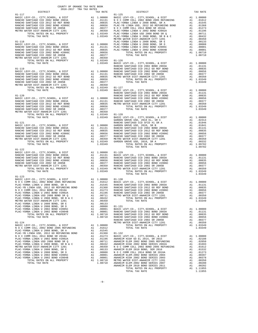| 2016-2017 TRA TAX RATES<br>DISTRICT<br>RA TAX RATES<br>TAX RATE<br>DISTRICT<br>$01 - 117$<br>$01 - 125$<br>$01 - 123$ | TAX RATE |  |  |  |  |
|-----------------------------------------------------------------------------------------------------------------------|----------|--|--|--|--|
|                                                                                                                       |          |  |  |  |  |
|                                                                                                                       |          |  |  |  |  |
|                                                                                                                       |          |  |  |  |  |
|                                                                                                                       |          |  |  |  |  |
|                                                                                                                       |          |  |  |  |  |
|                                                                                                                       |          |  |  |  |  |
|                                                                                                                       |          |  |  |  |  |
|                                                                                                                       |          |  |  |  |  |
|                                                                                                                       |          |  |  |  |  |
|                                                                                                                       |          |  |  |  |  |
|                                                                                                                       |          |  |  |  |  |
|                                                                                                                       |          |  |  |  |  |
|                                                                                                                       |          |  |  |  |  |
|                                                                                                                       |          |  |  |  |  |
|                                                                                                                       |          |  |  |  |  |
|                                                                                                                       |          |  |  |  |  |
|                                                                                                                       |          |  |  |  |  |
|                                                                                                                       |          |  |  |  |  |
|                                                                                                                       |          |  |  |  |  |
|                                                                                                                       |          |  |  |  |  |
|                                                                                                                       |          |  |  |  |  |
|                                                                                                                       |          |  |  |  |  |
|                                                                                                                       |          |  |  |  |  |
|                                                                                                                       |          |  |  |  |  |
|                                                                                                                       |          |  |  |  |  |
|                                                                                                                       |          |  |  |  |  |
|                                                                                                                       |          |  |  |  |  |
|                                                                                                                       |          |  |  |  |  |
|                                                                                                                       |          |  |  |  |  |
|                                                                                                                       |          |  |  |  |  |
|                                                                                                                       |          |  |  |  |  |
|                                                                                                                       |          |  |  |  |  |
|                                                                                                                       |          |  |  |  |  |
|                                                                                                                       |          |  |  |  |  |
|                                                                                                                       |          |  |  |  |  |
|                                                                                                                       |          |  |  |  |  |
|                                                                                                                       |          |  |  |  |  |
|                                                                                                                       |          |  |  |  |  |
|                                                                                                                       |          |  |  |  |  |
|                                                                                                                       |          |  |  |  |  |
|                                                                                                                       |          |  |  |  |  |
|                                                                                                                       |          |  |  |  |  |
|                                                                                                                       |          |  |  |  |  |
|                                                                                                                       |          |  |  |  |  |
|                                                                                                                       |          |  |  |  |  |
|                                                                                                                       |          |  |  |  |  |
|                                                                                                                       |          |  |  |  |  |
|                                                                                                                       |          |  |  |  |  |
|                                                                                                                       |          |  |  |  |  |
|                                                                                                                       |          |  |  |  |  |
|                                                                                                                       |          |  |  |  |  |
|                                                                                                                       |          |  |  |  |  |
|                                                                                                                       |          |  |  |  |  |
|                                                                                                                       |          |  |  |  |  |
|                                                                                                                       |          |  |  |  |  |
|                                                                                                                       |          |  |  |  |  |
|                                                                                                                       |          |  |  |  |  |
|                                                                                                                       |          |  |  |  |  |
|                                                                                                                       |          |  |  |  |  |
|                                                                                                                       |          |  |  |  |  |
|                                                                                                                       |          |  |  |  |  |
|                                                                                                                       |          |  |  |  |  |
|                                                                                                                       |          |  |  |  |  |
|                                                                                                                       |          |  |  |  |  |
|                                                                                                                       |          |  |  |  |  |
|                                                                                                                       |          |  |  |  |  |
|                                                                                                                       |          |  |  |  |  |
|                                                                                                                       |          |  |  |  |  |
|                                                                                                                       |          |  |  |  |  |
|                                                                                                                       |          |  |  |  |  |
|                                                                                                                       |          |  |  |  |  |
|                                                                                                                       |          |  |  |  |  |
|                                                                                                                       |          |  |  |  |  |
|                                                                                                                       |          |  |  |  |  |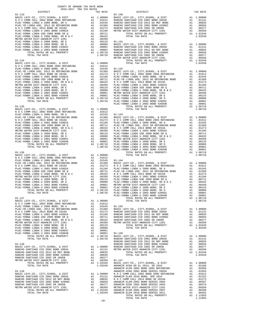|  | $-10-$ |  |  |
|--|--------|--|--|
|  |        |  |  |

COUNTY OF ORANGE TAX RATE BOOK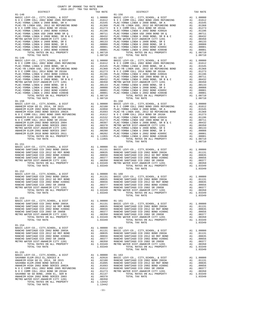| COUNTY OF ORANGE TAX RATE BOOK<br>$2016-2017\quad\text{TRA TAX RATES}\label{eq:2016-2017}$ DISTRICT |          |                                                                                                                                                                                                                                     |          |
|-----------------------------------------------------------------------------------------------------|----------|-------------------------------------------------------------------------------------------------------------------------------------------------------------------------------------------------------------------------------------|----------|
|                                                                                                     | TAX RATE | DISTRICT<br>$01 - 156$                                                                                                                                                                                                              | TAX RATE |
|                                                                                                     |          |                                                                                                                                                                                                                                     |          |
|                                                                                                     |          |                                                                                                                                                                                                                                     |          |
|                                                                                                     |          |                                                                                                                                                                                                                                     |          |
|                                                                                                     |          |                                                                                                                                                                                                                                     |          |
|                                                                                                     |          |                                                                                                                                                                                                                                     |          |
|                                                                                                     |          |                                                                                                                                                                                                                                     |          |
|                                                                                                     |          |                                                                                                                                                                                                                                     |          |
|                                                                                                     |          |                                                                                                                                                                                                                                     |          |
|                                                                                                     |          |                                                                                                                                                                                                                                     |          |
|                                                                                                     |          |                                                                                                                                                                                                                                     |          |
|                                                                                                     |          |                                                                                                                                                                                                                                     |          |
|                                                                                                     |          |                                                                                                                                                                                                                                     |          |
|                                                                                                     |          |                                                                                                                                                                                                                                     |          |
|                                                                                                     |          |                                                                                                                                                                                                                                     |          |
|                                                                                                     |          | 11.08710<br>01-149 FORM COMMERCIAL PROPERTY AND 11.08710<br>01-149 FORM COMMERCIAL PROPERTY CONTROLL AND THE COMMERCIAL COMMERCIAL CONTROLL AND THE COMMERCIAL PROPERTY AND 11.08710<br>PROCESSION COMMERCIAL COMMERCIAL COMMERCIAL |          |
|                                                                                                     |          |                                                                                                                                                                                                                                     |          |
|                                                                                                     |          |                                                                                                                                                                                                                                     |          |
|                                                                                                     |          |                                                                                                                                                                                                                                     |          |
|                                                                                                     |          |                                                                                                                                                                                                                                     |          |
|                                                                                                     |          |                                                                                                                                                                                                                                     |          |
|                                                                                                     |          |                                                                                                                                                                                                                                     |          |
|                                                                                                     |          | TOTAL TAX RATE                                                                                                                                                                                                                      |          |
|                                                                                                     |          |                                                                                                                                                                                                                                     |          |
|                                                                                                     |          |                                                                                                                                                                                                                                     |          |
|                                                                                                     |          |                                                                                                                                                                                                                                     |          |
|                                                                                                     |          |                                                                                                                                                                                                                                     |          |
| $01 - 152$                                                                                          |          |                                                                                                                                                                                                                                     |          |
|                                                                                                     |          |                                                                                                                                                                                                                                     |          |
|                                                                                                     |          |                                                                                                                                                                                                                                     |          |
|                                                                                                     |          |                                                                                                                                                                                                                                     |          |
|                                                                                                     |          | $\frac{1}{2}$<br>TOTAL TAX RATE                                                                                                                                                                                                     | 1.03349  |
| $01 - 153$                                                                                          |          |                                                                                                                                                                                                                                     |          |
|                                                                                                     |          |                                                                                                                                                                                                                                     |          |
|                                                                                                     |          |                                                                                                                                                                                                                                     |          |
|                                                                                                     |          |                                                                                                                                                                                                                                     |          |
|                                                                                                     |          |                                                                                                                                                                                                                                     |          |
|                                                                                                     |          |                                                                                                                                                                                                                                     |          |
|                                                                                                     |          |                                                                                                                                                                                                                                     |          |
|                                                                                                     |          |                                                                                                                                                                                                                                     |          |
|                                                                                                     |          |                                                                                                                                                                                                                                     |          |
|                                                                                                     |          |                                                                                                                                                                                                                                     |          |
| $01 - 155$                                                                                          |          |                                                                                                                                                                                                                                     |          |
|                                                                                                     |          |                                                                                                                                                                                                                                     |          |
|                                                                                                     |          |                                                                                                                                                                                                                                     |          |
|                                                                                                     |          |                                                                                                                                                                                                                                     |          |
|                                                                                                     |          |                                                                                                                                                                                                                                     |          |
|                                                                                                     |          |                                                                                                                                                                                                                                     |          |
|                                                                                                     |          |                                                                                                                                                                                                                                     |          |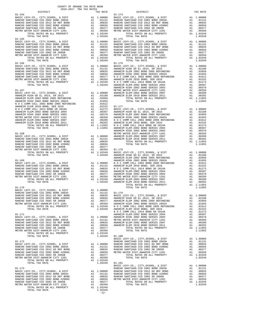| COUNTY OF ORANGE TAX RATE BOOK<br>2016-2017 TRA TAX RATES<br>$2016-2017\begin{array}{l} \multicolumn{1}{c}{\text{ITR}}\end{array}$<br>PLSTRICT $$\tt 2016-2017$\tt TRA}$ TRA RATES                                                                                                                                                                                                                              |          |            |          |  |
|-----------------------------------------------------------------------------------------------------------------------------------------------------------------------------------------------------------------------------------------------------------------------------------------------------------------------------------------------------------------------------------------------------------------|----------|------------|----------|--|
|                                                                                                                                                                                                                                                                                                                                                                                                                 | TAX RATE | DISTRICT   | TAX RATE |  |
| $01 - 164$<br>$\begin{tabular}{cccccccc} 01-164 & 01-174 & 01-174 \\ \text{BASIC LEVY-CO. , CITY, SCHOOL, & E DIST & A1 & 1.00000 \\ \text{RANCE BANTIAGO CCD 2002 BOND 2003A} & A1 & .01131 \\ \text{RANCEO SANTIAGO CCD 2002 BOND 2003A} & A1 & .01131 \\ \text{RANCEO SANTIAGO CCD 2012 GO REF BOND & A1 & .001335 \\ \text{RANCEO SANTIAGO CCD 2012 GO REF BOND & A1 & .00835 \\ \text{RANCEO SANTIAGO CCD$ |          | $01 - 174$ |          |  |
|                                                                                                                                                                                                                                                                                                                                                                                                                 |          |            |          |  |
|                                                                                                                                                                                                                                                                                                                                                                                                                 |          |            |          |  |
|                                                                                                                                                                                                                                                                                                                                                                                                                 |          |            |          |  |
|                                                                                                                                                                                                                                                                                                                                                                                                                 |          |            |          |  |
|                                                                                                                                                                                                                                                                                                                                                                                                                 |          |            |          |  |
|                                                                                                                                                                                                                                                                                                                                                                                                                 |          |            |          |  |
|                                                                                                                                                                                                                                                                                                                                                                                                                 |          |            |          |  |
|                                                                                                                                                                                                                                                                                                                                                                                                                 |          |            |          |  |
|                                                                                                                                                                                                                                                                                                                                                                                                                 |          |            |          |  |
|                                                                                                                                                                                                                                                                                                                                                                                                                 |          |            |          |  |
|                                                                                                                                                                                                                                                                                                                                                                                                                 |          |            |          |  |
|                                                                                                                                                                                                                                                                                                                                                                                                                 |          |            |          |  |
|                                                                                                                                                                                                                                                                                                                                                                                                                 |          |            |          |  |
|                                                                                                                                                                                                                                                                                                                                                                                                                 |          |            |          |  |
|                                                                                                                                                                                                                                                                                                                                                                                                                 |          |            |          |  |
|                                                                                                                                                                                                                                                                                                                                                                                                                 |          |            |          |  |
|                                                                                                                                                                                                                                                                                                                                                                                                                 |          |            |          |  |
|                                                                                                                                                                                                                                                                                                                                                                                                                 |          |            |          |  |
|                                                                                                                                                                                                                                                                                                                                                                                                                 |          |            |          |  |
|                                                                                                                                                                                                                                                                                                                                                                                                                 |          |            |          |  |
|                                                                                                                                                                                                                                                                                                                                                                                                                 |          |            |          |  |
|                                                                                                                                                                                                                                                                                                                                                                                                                 |          |            |          |  |
|                                                                                                                                                                                                                                                                                                                                                                                                                 |          |            |          |  |
|                                                                                                                                                                                                                                                                                                                                                                                                                 |          |            |          |  |
|                                                                                                                                                                                                                                                                                                                                                                                                                 |          |            |          |  |
|                                                                                                                                                                                                                                                                                                                                                                                                                 |          |            |          |  |
|                                                                                                                                                                                                                                                                                                                                                                                                                 |          |            |          |  |
|                                                                                                                                                                                                                                                                                                                                                                                                                 |          |            |          |  |
|                                                                                                                                                                                                                                                                                                                                                                                                                 |          |            |          |  |
|                                                                                                                                                                                                                                                                                                                                                                                                                 |          |            |          |  |
|                                                                                                                                                                                                                                                                                                                                                                                                                 |          |            |          |  |
|                                                                                                                                                                                                                                                                                                                                                                                                                 |          |            |          |  |
|                                                                                                                                                                                                                                                                                                                                                                                                                 |          |            |          |  |
|                                                                                                                                                                                                                                                                                                                                                                                                                 |          |            |          |  |
|                                                                                                                                                                                                                                                                                                                                                                                                                 |          |            |          |  |
|                                                                                                                                                                                                                                                                                                                                                                                                                 |          |            |          |  |
|                                                                                                                                                                                                                                                                                                                                                                                                                 |          |            |          |  |
|                                                                                                                                                                                                                                                                                                                                                                                                                 |          |            |          |  |
|                                                                                                                                                                                                                                                                                                                                                                                                                 |          |            |          |  |
|                                                                                                                                                                                                                                                                                                                                                                                                                 |          |            |          |  |
|                                                                                                                                                                                                                                                                                                                                                                                                                 |          |            |          |  |
|                                                                                                                                                                                                                                                                                                                                                                                                                 |          |            |          |  |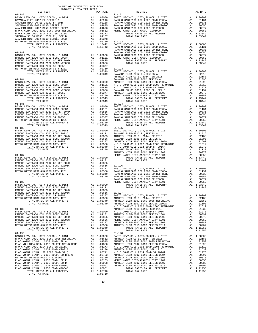| COUNTY OF ORANGE TAX RATE BOOK<br>2016-2017 TRA TAX RATES<br>$2016-2017\begin{array}{lcl} & \text{square} & \text{IAX RATE BC} \\ & 2016-2017 & \text{TRA TAX RATES} \end{array}$ |          |            |          |
|-----------------------------------------------------------------------------------------------------------------------------------------------------------------------------------|----------|------------|----------|
|                                                                                                                                                                                   | TAX RATE | DISTRICT   | TAX RATE |
|                                                                                                                                                                                   |          |            |          |
|                                                                                                                                                                                   |          |            |          |
|                                                                                                                                                                                   |          |            |          |
|                                                                                                                                                                                   |          |            |          |
|                                                                                                                                                                                   |          |            |          |
|                                                                                                                                                                                   |          |            |          |
|                                                                                                                                                                                   |          |            |          |
|                                                                                                                                                                                   |          |            |          |
|                                                                                                                                                                                   |          |            |          |
|                                                                                                                                                                                   |          |            |          |
|                                                                                                                                                                                   |          |            |          |
|                                                                                                                                                                                   |          |            |          |
|                                                                                                                                                                                   |          |            |          |
|                                                                                                                                                                                   |          |            |          |
|                                                                                                                                                                                   |          |            |          |
|                                                                                                                                                                                   |          |            |          |
|                                                                                                                                                                                   |          |            |          |
|                                                                                                                                                                                   |          |            |          |
|                                                                                                                                                                                   |          |            |          |
|                                                                                                                                                                                   |          |            |          |
|                                                                                                                                                                                   |          |            |          |
|                                                                                                                                                                                   |          |            |          |
|                                                                                                                                                                                   |          |            |          |
|                                                                                                                                                                                   |          |            |          |
|                                                                                                                                                                                   |          |            |          |
|                                                                                                                                                                                   |          |            |          |
|                                                                                                                                                                                   |          |            |          |
|                                                                                                                                                                                   |          |            |          |
|                                                                                                                                                                                   |          |            |          |
|                                                                                                                                                                                   |          |            |          |
|                                                                                                                                                                                   |          |            |          |
|                                                                                                                                                                                   |          |            |          |
|                                                                                                                                                                                   |          |            |          |
|                                                                                                                                                                                   |          |            |          |
| $01 - 186$                                                                                                                                                                        |          | $01 - 195$ |          |
|                                                                                                                                                                                   |          |            |          |
|                                                                                                                                                                                   |          |            |          |
|                                                                                                                                                                                   |          |            |          |
|                                                                                                                                                                                   |          |            |          |
|                                                                                                                                                                                   |          |            |          |
|                                                                                                                                                                                   |          |            |          |
|                                                                                                                                                                                   |          |            |          |
|                                                                                                                                                                                   |          |            |          |
|                                                                                                                                                                                   |          |            |          |
|                                                                                                                                                                                   |          |            |          |
|                                                                                                                                                                                   |          |            |          |
|                                                                                                                                                                                   |          |            |          |
|                                                                                                                                                                                   |          |            |          |
|                                                                                                                                                                                   |          |            |          |
|                                                                                                                                                                                   |          |            |          |
|                                                                                                                                                                                   |          |            |          |
|                                                                                                                                                                                   |          |            |          |
|                                                                                                                                                                                   |          |            |          |
|                                                                                                                                                                                   |          |            |          |
|                                                                                                                                                                                   |          |            |          |
|                                                                                                                                                                                   |          |            |          |
|                                                                                                                                                                                   |          |            |          |
|                                                                                                                                                                                   |          |            |          |
|                                                                                                                                                                                   |          |            |          |
|                                                                                                                                                                                   |          |            |          |
|                                                                                                                                                                                   |          |            |          |
|                                                                                                                                                                                   |          |            |          |
|                                                                                                                                                                                   |          |            |          |
|                                                                                                                                                                                   |          |            |          |
|                                                                                                                                                                                   |          |            |          |
| $01 - 190$                                                                                                                                                                        |          | $01 - 198$ |          |
|                                                                                                                                                                                   |          |            |          |
|                                                                                                                                                                                   |          |            |          |
|                                                                                                                                                                                   |          |            |          |
|                                                                                                                                                                                   |          |            |          |
|                                                                                                                                                                                   |          |            |          |
|                                                                                                                                                                                   |          |            |          |
|                                                                                                                                                                                   |          |            |          |
|                                                                                                                                                                                   |          |            |          |
|                                                                                                                                                                                   |          |            |          |
|                                                                                                                                                                                   |          |            |          |
|                                                                                                                                                                                   |          |            |          |
|                                                                                                                                                                                   |          |            |          |

-13-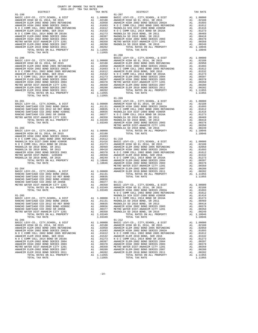| COUNTY OF ORANGE TAX RATE BOOK<br>2016-2017 TRA TAX RATES<br>$2016-2017\quad\text{TRA TAX RATES}\label{eq:2016-2017}$ DISTRICT |          |                        |          |
|--------------------------------------------------------------------------------------------------------------------------------|----------|------------------------|----------|
| $01 - 199$                                                                                                                     | TAX RATE | DISTRICT<br>$01 - 207$ | TAX RATE |
|                                                                                                                                |          |                        |          |
|                                                                                                                                |          |                        |          |
|                                                                                                                                |          |                        |          |
|                                                                                                                                |          |                        |          |
|                                                                                                                                |          |                        |          |
|                                                                                                                                |          |                        |          |
|                                                                                                                                |          |                        |          |
|                                                                                                                                |          |                        |          |
|                                                                                                                                |          |                        |          |
|                                                                                                                                |          |                        |          |
|                                                                                                                                |          |                        |          |
|                                                                                                                                |          |                        |          |
|                                                                                                                                |          |                        |          |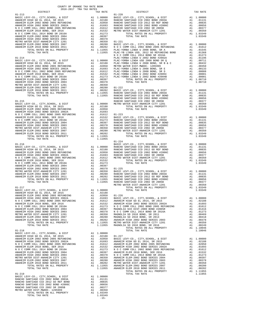| $\begin{tabular}{l c c c c} \multicolumn{1}{c}{AMHEIM HUBU} & MOMHEIM ELEM 2002 BOND 2005 RREUNDING & A1 & .02050 RANCHO \\ \multicolumn{1}{c}{AMHEIM HGBU} & MOM CDLL 2002 BOND 2005 RREUNDING & A1 & .01693 & RANCHO \\ \multicolumn{1}{c}{N O C COMM COLL 2002 BOND 2005 RREUNDING} & A1 & .01612 & RANCHO \\ \multicolumn{1}{c}{ANHEIM ELEM 2010 BOND S} & RRETDIDING & A1 & .01532 & METRO W \\ \mult$ |          |                                                                                                                                      |                 |
|-------------------------------------------------------------------------------------------------------------------------------------------------------------------------------------------------------------------------------------------------------------------------------------------------------------------------------------------------------------------------------------------------------------|----------|--------------------------------------------------------------------------------------------------------------------------------------|-----------------|
|                                                                                                                                                                                                                                                                                                                                                                                                             |          |                                                                                                                                      |                 |
|                                                                                                                                                                                                                                                                                                                                                                                                             |          |                                                                                                                                      |                 |
|                                                                                                                                                                                                                                                                                                                                                                                                             |          |                                                                                                                                      |                 |
|                                                                                                                                                                                                                                                                                                                                                                                                             |          |                                                                                                                                      |                 |
|                                                                                                                                                                                                                                                                                                                                                                                                             |          |                                                                                                                                      |                 |
|                                                                                                                                                                                                                                                                                                                                                                                                             |          |                                                                                                                                      |                 |
|                                                                                                                                                                                                                                                                                                                                                                                                             |          |                                                                                                                                      |                 |
|                                                                                                                                                                                                                                                                                                                                                                                                             |          |                                                                                                                                      |                 |
| $01 - 214$                                                                                                                                                                                                                                                                                                                                                                                                  |          |                                                                                                                                      | NOCC<br>PLAC-YO |
|                                                                                                                                                                                                                                                                                                                                                                                                             |          |                                                                                                                                      |                 |
|                                                                                                                                                                                                                                                                                                                                                                                                             |          |                                                                                                                                      |                 |
|                                                                                                                                                                                                                                                                                                                                                                                                             |          |                                                                                                                                      |                 |
|                                                                                                                                                                                                                                                                                                                                                                                                             |          |                                                                                                                                      |                 |
|                                                                                                                                                                                                                                                                                                                                                                                                             |          |                                                                                                                                      |                 |
|                                                                                                                                                                                                                                                                                                                                                                                                             |          |                                                                                                                                      |                 |
|                                                                                                                                                                                                                                                                                                                                                                                                             |          |                                                                                                                                      |                 |
|                                                                                                                                                                                                                                                                                                                                                                                                             |          |                                                                                                                                      |                 |
|                                                                                                                                                                                                                                                                                                                                                                                                             |          |                                                                                                                                      |                 |
|                                                                                                                                                                                                                                                                                                                                                                                                             |          |                                                                                                                                      |                 |
|                                                                                                                                                                                                                                                                                                                                                                                                             |          |                                                                                                                                      |                 |
|                                                                                                                                                                                                                                                                                                                                                                                                             |          |                                                                                                                                      |                 |
| $01 - 215$                                                                                                                                                                                                                                                                                                                                                                                                  |          |                                                                                                                                      | RANCHO          |
|                                                                                                                                                                                                                                                                                                                                                                                                             |          |                                                                                                                                      |                 |
|                                                                                                                                                                                                                                                                                                                                                                                                             |          |                                                                                                                                      |                 |
|                                                                                                                                                                                                                                                                                                                                                                                                             |          |                                                                                                                                      |                 |
|                                                                                                                                                                                                                                                                                                                                                                                                             |          |                                                                                                                                      |                 |
|                                                                                                                                                                                                                                                                                                                                                                                                             |          |                                                                                                                                      |                 |
|                                                                                                                                                                                                                                                                                                                                                                                                             |          |                                                                                                                                      |                 |
|                                                                                                                                                                                                                                                                                                                                                                                                             |          |                                                                                                                                      |                 |
|                                                                                                                                                                                                                                                                                                                                                                                                             |          |                                                                                                                                      |                 |
|                                                                                                                                                                                                                                                                                                                                                                                                             |          |                                                                                                                                      |                 |
| TOTAL TAX RATE                                                                                                                                                                                                                                                                                                                                                                                              |          | 1.11955                                                                                                                              |                 |
|                                                                                                                                                                                                                                                                                                                                                                                                             |          |                                                                                                                                      | $01 - 224$      |
| $01 - 216$                                                                                                                                                                                                                                                                                                                                                                                                  |          |                                                                                                                                      | BASIC L         |
|                                                                                                                                                                                                                                                                                                                                                                                                             |          |                                                                                                                                      |                 |
|                                                                                                                                                                                                                                                                                                                                                                                                             |          |                                                                                                                                      |                 |
|                                                                                                                                                                                                                                                                                                                                                                                                             |          |                                                                                                                                      |                 |
|                                                                                                                                                                                                                                                                                                                                                                                                             |          |                                                                                                                                      |                 |
|                                                                                                                                                                                                                                                                                                                                                                                                             |          |                                                                                                                                      |                 |
|                                                                                                                                                                                                                                                                                                                                                                                                             |          |                                                                                                                                      |                 |
|                                                                                                                                                                                                                                                                                                                                                                                                             |          |                                                                                                                                      |                 |
|                                                                                                                                                                                                                                                                                                                                                                                                             |          |                                                                                                                                      |                 |
|                                                                                                                                                                                                                                                                                                                                                                                                             |          |                                                                                                                                      |                 |
|                                                                                                                                                                                                                                                                                                                                                                                                             |          |                                                                                                                                      |                 |
|                                                                                                                                                                                                                                                                                                                                                                                                             |          |                                                                                                                                      | METRO W         |
| $01 - 217$                                                                                                                                                                                                                                                                                                                                                                                                  |          |                                                                                                                                      |                 |
|                                                                                                                                                                                                                                                                                                                                                                                                             |          |                                                                                                                                      |                 |
|                                                                                                                                                                                                                                                                                                                                                                                                             |          |                                                                                                                                      |                 |
|                                                                                                                                                                                                                                                                                                                                                                                                             |          |                                                                                                                                      |                 |
|                                                                                                                                                                                                                                                                                                                                                                                                             |          |                                                                                                                                      |                 |
|                                                                                                                                                                                                                                                                                                                                                                                                             |          |                                                                                                                                      |                 |
|                                                                                                                                                                                                                                                                                                                                                                                                             |          |                                                                                                                                      |                 |
| ANAHEIM HIGH 2002 BOND SERIES 2003                                                                                                                                                                                                                                                                                                                                                                          | A1       |                                                                                                                                      | .00378 NOCC     |
| METRO WATER DIST-ANAHEIM CITY 1201<br>ANAHEIM ELEM-2002 BOND SERIES 2007                                                                                                                                                                                                                                                                                                                                    | A1       | .00350                                                                                                                               | MAGNOLI         |
| ANAHEIM ELEM 2010 BOND SERIES 2011                                                                                                                                                                                                                                                                                                                                                                          |          | A1 .00280 MAGNOLI<br>A1 .00202 ANAHEIM<br>A1 .11955 METRO W<br>1.11955 MAGNOLI                                                       |                 |
| TOTAL RATES ON ALL PROPERTY                                                                                                                                                                                                                                                                                                                                                                                 |          |                                                                                                                                      |                 |
| TOTAL TAX RATE                                                                                                                                                                                                                                                                                                                                                                                              |          |                                                                                                                                      |                 |
| $01 - 218$                                                                                                                                                                                                                                                                                                                                                                                                  |          |                                                                                                                                      |                 |
| BASIC LEVY-CO., CITY, SCHOOL, & DIST ANAHEIM HIGH GO EL 2014, SR 2015                                                                                                                                                                                                                                                                                                                                       | A1       | 1.00000                                                                                                                              |                 |
|                                                                                                                                                                                                                                                                                                                                                                                                             |          |                                                                                                                                      |                 |
|                                                                                                                                                                                                                                                                                                                                                                                                             |          |                                                                                                                                      |                 |
|                                                                                                                                                                                                                                                                                                                                                                                                             |          |                                                                                                                                      |                 |
|                                                                                                                                                                                                                                                                                                                                                                                                             |          |                                                                                                                                      |                 |
|                                                                                                                                                                                                                                                                                                                                                                                                             |          |                                                                                                                                      |                 |
| ANAHEIM HIGH 2002 BOND SERIES 2003                                                                                                                                                                                                                                                                                                                                                                          |          |                                                                                                                                      |                 |
| METRO WATER DIST-ANAHEIM CITY 1201                                                                                                                                                                                                                                                                                                                                                                          |          |                                                                                                                                      |                 |
| ANAHEIM ELEM-2002 BOND SERIES 2007<br>ANAHEIM ELEM 2010 BOND SERIES 2011                                                                                                                                                                                                                                                                                                                                    |          |                                                                                                                                      |                 |
| <b>ELEM-2002 BOND SERIES 2007<br/>ELEM-2002 BOND SERIES 2007<br/>ELEM 2010 BOND SERIES 2011<br/>TOTAL RATES ON ALL PROPERTY</b>                                                                                                                                                                                                                                                                             |          |                                                                                                                                      |                 |
| TOTAL TAX RATE                                                                                                                                                                                                                                                                                                                                                                                              |          | AL .00378<br>AL .00378 N OCC<br>AL .00350 ANAHEIM<br>AL .00280 ANAHEIM<br>AL .00202 METRO W<br>AL 1.11955 ANAHEIM<br>1.11955 ANAHEIM |                 |
| $01 - 219$                                                                                                                                                                                                                                                                                                                                                                                                  |          |                                                                                                                                      |                 |
| BASIC LEVY-CO., CITY, SCHOOL, & DIST                                                                                                                                                                                                                                                                                                                                                                        |          | A1 1.00000                                                                                                                           |                 |
| RANCHO SANTIAGO CCD 2002 BOND 2003A                                                                                                                                                                                                                                                                                                                                                                         |          | A1 .01131                                                                                                                            |                 |
| RANCHO SANTIAGO CCD 2012 GO REF BOND                                                                                                                                                                                                                                                                                                                                                                        | A1       | .00835                                                                                                                               |                 |
| RANCHO SANTIAGO CCD 2002 BOND #2006C<br>RANCHO SANTIAGO CCD 2002 SR 2005B                                                                                                                                                                                                                                                                                                                                   | A1<br>A1 | .00656<br>.00377                                                                                                                     |                 |
| METRO WATER DIST-MWDOC- 1205999                                                                                                                                                                                                                                                                                                                                                                             | A1       | .00350                                                                                                                               |                 |
| TOTAL RATES ON ALL PROPERTY<br>TOTAL TAX RATE                                                                                                                                                                                                                                                                                                                                                               |          | A1 1.03349<br>1.03349                                                                                                                |                 |
|                                                                                                                                                                                                                                                                                                                                                                                                             |          |                                                                                                                                      |                 |

-15-

| TAX RATE<br>DISTRICT |  | DISTRICT   | TAX RATE |
|----------------------|--|------------|----------|
|                      |  | $01 - 220$ |          |
|                      |  |            |          |
|                      |  |            |          |
|                      |  |            |          |
|                      |  |            |          |
|                      |  |            |          |
|                      |  |            |          |
|                      |  |            |          |
|                      |  |            |          |
|                      |  |            |          |
|                      |  |            |          |
|                      |  |            |          |
|                      |  |            |          |
|                      |  |            |          |
|                      |  |            |          |
|                      |  |            |          |
|                      |  |            |          |
|                      |  |            |          |
|                      |  |            |          |
|                      |  |            |          |
|                      |  |            |          |
|                      |  |            |          |
|                      |  |            |          |
|                      |  |            |          |
|                      |  |            |          |
|                      |  |            |          |
|                      |  |            |          |
|                      |  |            |          |
|                      |  |            |          |
|                      |  |            |          |
|                      |  |            |          |
|                      |  |            |          |
|                      |  |            |          |
|                      |  |            |          |
|                      |  |            |          |
|                      |  |            |          |
|                      |  |            |          |
|                      |  |            |          |
|                      |  |            |          |
|                      |  |            |          |
|                      |  | $01 - 224$ |          |
|                      |  |            |          |
|                      |  |            |          |
|                      |  |            |          |
|                      |  |            |          |
|                      |  |            |          |
|                      |  |            |          |
|                      |  |            |          |
|                      |  |            |          |
|                      |  |            |          |
|                      |  |            |          |
|                      |  |            |          |
|                      |  |            |          |
|                      |  |            |          |
|                      |  |            |          |
|                      |  |            |          |
|                      |  |            |          |
|                      |  |            |          |
|                      |  |            |          |
|                      |  |            |          |
|                      |  |            |          |
|                      |  |            |          |
|                      |  |            |          |
|                      |  |            |          |
|                      |  |            |          |
|                      |  |            |          |
|                      |  |            |          |
|                      |  |            |          |
|                      |  |            |          |
|                      |  |            |          |
|                      |  |            |          |
|                      |  |            |          |
|                      |  |            |          |
|                      |  |            |          |
|                      |  |            |          |
|                      |  |            |          |
|                      |  |            |          |
|                      |  |            |          |
|                      |  |            |          |
|                      |  |            |          |
|                      |  |            |          |
|                      |  |            |          |
|                      |  |            |          |
|                      |  |            |          |
|                      |  |            |          |
|                      |  |            |          |
|                      |  |            |          |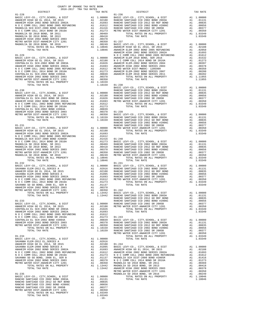| COUNTY OF ORANGE TAX RATE BOOK<br>2016-2017 TRA TAX RATES<br>$2016-2017\quad\text{TRA RATES}\label{eq:2016-2017}$ DISTRICT $$$ |          |            |          |
|--------------------------------------------------------------------------------------------------------------------------------|----------|------------|----------|
|                                                                                                                                | TAX RATE | DISTRICT   | TAX RATE |
| $01 - 228$                                                                                                                     |          | $01 - 236$ |          |
|                                                                                                                                |          |            |          |
|                                                                                                                                |          |            |          |
|                                                                                                                                |          |            |          |
|                                                                                                                                |          |            |          |
|                                                                                                                                |          |            |          |
|                                                                                                                                |          |            |          |
|                                                                                                                                |          |            |          |
|                                                                                                                                |          |            |          |
|                                                                                                                                |          |            |          |
|                                                                                                                                |          |            |          |
|                                                                                                                                |          |            |          |
|                                                                                                                                |          |            |          |
|                                                                                                                                |          |            |          |
|                                                                                                                                |          |            |          |
|                                                                                                                                |          |            |          |
|                                                                                                                                |          |            |          |
|                                                                                                                                |          |            |          |
|                                                                                                                                |          |            |          |
|                                                                                                                                |          |            |          |
|                                                                                                                                |          |            |          |
|                                                                                                                                |          |            |          |
|                                                                                                                                |          |            |          |
|                                                                                                                                |          |            |          |
|                                                                                                                                |          |            |          |
|                                                                                                                                |          |            |          |
|                                                                                                                                |          |            |          |
|                                                                                                                                |          |            |          |
|                                                                                                                                |          |            |          |
|                                                                                                                                |          |            |          |
|                                                                                                                                |          |            |          |
|                                                                                                                                |          |            |          |
|                                                                                                                                |          |            |          |
|                                                                                                                                |          |            |          |
|                                                                                                                                |          |            |          |
|                                                                                                                                |          |            |          |
|                                                                                                                                |          |            |          |
|                                                                                                                                |          |            |          |
|                                                                                                                                |          |            |          |
|                                                                                                                                |          |            |          |
|                                                                                                                                |          |            |          |
|                                                                                                                                |          |            |          |
|                                                                                                                                |          |            |          |
|                                                                                                                                |          |            |          |
|                                                                                                                                |          |            |          |
|                                                                                                                                |          |            |          |
|                                                                                                                                |          |            |          |
|                                                                                                                                |          |            |          |
|                                                                                                                                |          |            |          |
|                                                                                                                                |          |            |          |
|                                                                                                                                |          |            |          |
|                                                                                                                                |          |            |          |
|                                                                                                                                |          |            |          |
|                                                                                                                                |          |            |          |
|                                                                                                                                |          |            |          |
|                                                                                                                                |          |            |          |
|                                                                                                                                |          |            |          |
|                                                                                                                                |          |            |          |
|                                                                                                                                |          |            |          |
|                                                                                                                                |          |            |          |
|                                                                                                                                |          |            |          |
|                                                                                                                                |          |            |          |
|                                                                                                                                |          |            |          |
|                                                                                                                                |          |            |          |
|                                                                                                                                |          |            |          |
|                                                                                                                                |          |            |          |
|                                                                                                                                |          |            |          |
|                                                                                                                                |          |            |          |
|                                                                                                                                |          |            |          |
|                                                                                                                                |          |            |          |
|                                                                                                                                |          |            |          |
|                                                                                                                                |          |            |          |
|                                                                                                                                |          |            |          |
|                                                                                                                                |          |            |          |
|                                                                                                                                |          |            |          |
|                                                                                                                                |          |            |          |
|                                                                                                                                |          |            |          |
|                                                                                                                                |          |            |          |
|                                                                                                                                | $-16-$   |            |          |
|                                                                                                                                |          |            |          |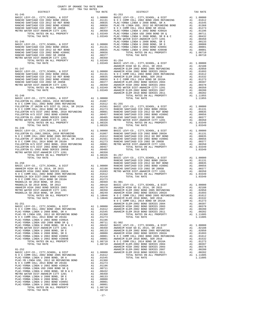| COUNTY OF ORANGE TAX RATE BOOK<br>2016-2017 TRA TAX RATES<br>$2016-2017\quad\text{TRA TAX RATES}\label{eq:2016-2017}$ DISTRICT                                                                                                |          |            |          |
|-------------------------------------------------------------------------------------------------------------------------------------------------------------------------------------------------------------------------------|----------|------------|----------|
|                                                                                                                                                                                                                               | TAX RATE | DISTRICT   | TAX RATE |
|                                                                                                                                                                                                                               |          |            |          |
|                                                                                                                                                                                                                               |          |            |          |
|                                                                                                                                                                                                                               |          |            |          |
|                                                                                                                                                                                                                               |          |            |          |
|                                                                                                                                                                                                                               |          |            |          |
|                                                                                                                                                                                                                               |          |            |          |
|                                                                                                                                                                                                                               |          |            |          |
|                                                                                                                                                                                                                               |          |            |          |
|                                                                                                                                                                                                                               |          |            |          |
|                                                                                                                                                                                                                               |          |            |          |
|                                                                                                                                                                                                                               |          |            |          |
|                                                                                                                                                                                                                               |          |            |          |
|                                                                                                                                                                                                                               |          |            |          |
|                                                                                                                                                                                                                               |          |            |          |
|                                                                                                                                                                                                                               |          |            |          |
|                                                                                                                                                                                                                               |          |            |          |
|                                                                                                                                                                                                                               |          |            |          |
|                                                                                                                                                                                                                               |          |            |          |
|                                                                                                                                                                                                                               |          |            |          |
|                                                                                                                                                                                                                               |          |            |          |
|                                                                                                                                                                                                                               |          |            |          |
|                                                                                                                                                                                                                               |          |            |          |
|                                                                                                                                                                                                                               |          |            |          |
|                                                                                                                                                                                                                               |          |            |          |
|                                                                                                                                                                                                                               |          |            |          |
|                                                                                                                                                                                                                               |          |            |          |
|                                                                                                                                                                                                                               |          |            |          |
|                                                                                                                                                                                                                               |          |            |          |
|                                                                                                                                                                                                                               |          |            |          |
| $01 - 249$                                                                                                                                                                                                                    |          | $01 - 256$ |          |
|                                                                                                                                                                                                                               |          |            |          |
|                                                                                                                                                                                                                               |          |            |          |
|                                                                                                                                                                                                                               |          |            |          |
|                                                                                                                                                                                                                               |          |            |          |
|                                                                                                                                                                                                                               |          |            |          |
|                                                                                                                                                                                                                               |          |            |          |
|                                                                                                                                                                                                                               |          |            |          |
|                                                                                                                                                                                                                               |          |            |          |
|                                                                                                                                                                                                                               |          |            |          |
|                                                                                                                                                                                                                               |          |            |          |
|                                                                                                                                                                                                                               |          |            |          |
|                                                                                                                                                                                                                               |          |            |          |
|                                                                                                                                                                                                                               |          |            |          |
|                                                                                                                                                                                                                               |          |            |          |
|                                                                                                                                                                                                                               |          |            |          |
|                                                                                                                                                                                                                               |          |            |          |
|                                                                                                                                                                                                                               |          |            |          |
|                                                                                                                                                                                                                               |          |            |          |
|                                                                                                                                                                                                                               |          |            |          |
|                                                                                                                                                                                                                               |          |            |          |
|                                                                                                                                                                                                                               |          |            |          |
|                                                                                                                                                                                                                               |          |            |          |
|                                                                                                                                                                                                                               |          |            |          |
|                                                                                                                                                                                                                               |          |            |          |
|                                                                                                                                                                                                                               |          |            |          |
|                                                                                                                                                                                                                               |          |            |          |
|                                                                                                                                                                                                                               |          |            |          |
|                                                                                                                                                                                                                               |          |            |          |
|                                                                                                                                                                                                                               |          |            |          |
|                                                                                                                                                                                                                               |          |            |          |
|                                                                                                                                                                                                                               |          |            |          |
|                                                                                                                                                                                                                               |          |            |          |
|                                                                                                                                                                                                                               |          |            |          |
| WHOM PATHE ULIFT AND THE SET AND 1993 AND 2003 AND 2003 AND 2003 AND 2003 AND 2003 AND 2003 AND 2003 AND 2003 AND 2003 AND 2003 AND 2003 AND 2003 AND 2003 AND 2003 AND 2003 AND 2003 AND 2003 AND 2003 AND 2003 AND 2003 AND |          |            |          |
|                                                                                                                                                                                                                               |          |            |          |
|                                                                                                                                                                                                                               |          |            |          |
|                                                                                                                                                                                                                               |          |            |          |
|                                                                                                                                                                                                                               |          |            |          |
|                                                                                                                                                                                                                               |          |            |          |
|                                                                                                                                                                                                                               |          |            |          |
|                                                                                                                                                                                                                               |          |            |          |
|                                                                                                                                                                                                                               |          |            |          |

-17-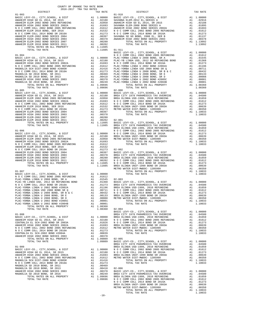| COUNTY OF ORANGE TAX RATE BOOK<br>2016-2017 TRA TAX RATES<br>DISTRICT |    |                                                                                  |                       |
|-----------------------------------------------------------------------|----|----------------------------------------------------------------------------------|-----------------------|
|                                                                       |    | TAX RATE                                                                         |                       |
|                                                                       |    |                                                                                  |                       |
|                                                                       |    |                                                                                  |                       |
|                                                                       |    |                                                                                  |                       |
|                                                                       |    |                                                                                  |                       |
|                                                                       |    |                                                                                  |                       |
|                                                                       |    |                                                                                  |                       |
|                                                                       |    |                                                                                  |                       |
|                                                                       |    |                                                                                  |                       |
|                                                                       |    |                                                                                  |                       |
|                                                                       |    |                                                                                  |                       |
|                                                                       |    |                                                                                  |                       |
|                                                                       |    |                                                                                  |                       |
|                                                                       |    |                                                                                  | BASIC L               |
|                                                                       |    |                                                                                  |                       |
|                                                                       |    |                                                                                  |                       |
|                                                                       |    |                                                                                  |                       |
|                                                                       |    |                                                                                  |                       |
|                                                                       |    |                                                                                  |                       |
|                                                                       |    |                                                                                  |                       |
|                                                                       |    |                                                                                  |                       |
|                                                                       |    |                                                                                  |                       |
|                                                                       |    |                                                                                  |                       |
|                                                                       |    |                                                                                  |                       |
|                                                                       |    |                                                                                  |                       |
|                                                                       |    |                                                                                  |                       |
|                                                                       |    |                                                                                  |                       |
|                                                                       |    |                                                                                  |                       |
|                                                                       |    |                                                                                  |                       |
|                                                                       |    |                                                                                  |                       |
|                                                                       |    |                                                                                  |                       |
|                                                                       |    |                                                                                  |                       |
|                                                                       |    |                                                                                  |                       |
|                                                                       |    |                                                                                  |                       |
|                                                                       |    |                                                                                  |                       |
|                                                                       |    |                                                                                  |                       |
|                                                                       |    |                                                                                  |                       |
|                                                                       |    |                                                                                  | BREA OL               |
|                                                                       |    |                                                                                  |                       |
|                                                                       |    |                                                                                  |                       |
|                                                                       |    |                                                                                  |                       |
|                                                                       |    |                                                                                  |                       |
|                                                                       |    |                                                                                  |                       |
|                                                                       |    |                                                                                  |                       |
|                                                                       |    |                                                                                  |                       |
|                                                                       |    |                                                                                  |                       |
|                                                                       |    |                                                                                  |                       |
|                                                                       |    |                                                                                  |                       |
|                                                                       |    |                                                                                  |                       |
|                                                                       |    |                                                                                  |                       |
|                                                                       |    |                                                                                  |                       |
|                                                                       |    |                                                                                  | METRO W               |
| $01 - 907$                                                            |    |                                                                                  |                       |
| BASIC LEVY-CO., CITY, SCHOOL, & DIST                                  |    |                                                                                  |                       |
|                                                                       |    |                                                                                  |                       |
|                                                                       |    |                                                                                  |                       |
|                                                                       |    |                                                                                  |                       |
|                                                                       |    |                                                                                  |                       |
|                                                                       |    |                                                                                  |                       |
|                                                                       |    |                                                                                  |                       |
|                                                                       |    |                                                                                  |                       |
| PLAC-YORBA LINDA U 2008 BOND, SR E                                    |    | A1 .00133                                                                        | BREA OL               |
| PLAC-YORBA LINDA U 2008 BOND, SR D                                    | A1 | .00088                                                                           | METRO W               |
| PLAC-YORBA LINDA U 2002 BOND #2005C                                   | A1 | .00001                                                                           |                       |
| PLAC-YORBA LINDA U 2002 BOND #2004B                                   |    | A1 .00001                                                                        |                       |
| TOTAL RATES ON ALL PROPERTY                                           |    | A1 1.08360                                                                       |                       |
| TOTAL TAX RATE                                                        |    | 1.08360                                                                          | $02 - 004$<br>BASIC L |
| $01 - 908$                                                            |    |                                                                                  | BREA CI               |
|                                                                       |    |                                                                                  |                       |
|                                                                       |    |                                                                                  |                       |
|                                                                       |    |                                                                                  |                       |
|                                                                       |    |                                                                                  |                       |
|                                                                       |    |                                                                                  |                       |
|                                                                       |    |                                                                                  |                       |
| CENTRALIA EL SCH-2002 BOND #2004A                                     | A1 | .00839                                                                           |                       |
| ANAHEIM HIGH 2002 BOND SERIES 2003                                    |    | A1 .00378                                                                        |                       |
| TOTAL RATES ON ALL PROPERTY                                           |    | A1 1.09809 02-005<br>1.09809 BASIC L                                             |                       |
| TOTAL TAX RATE                                                        |    |                                                                                  |                       |
|                                                                       |    |                                                                                  | BREA CI               |
| $01 - 909$                                                            |    |                                                                                  | BREA OL               |
| BASIC LEVY-CO., CITY, SCHOOL, & DIST                                  |    | A1 1.00000 NOCC<br>A1 .02188 NOCC<br>A1 .01693 BREA OL<br>A1 .01612 METRO W      |                       |
| ANAHEIM HIGH GO EL 2014, SR 2015                                      |    |                                                                                  |                       |
| ANAHEIM HIGH 2002 BOND SERIES 2002A                                   |    |                                                                                  |                       |
|                                                                       |    |                                                                                  |                       |
|                                                                       |    | A1 .01416                                                                        |                       |
| N O C COMM COLL 2014 BOND SR 2016A                                    |    | A1.01273                                                                         |                       |
| MAGNOLIA SD 2010 BOND, SR 2011                                        |    | A1.00469                                                                         |                       |
| MAGNOLIA SD 2010 BOND, SR 2013                                        |    |                                                                                  |                       |
| ANAHEIM HIGH 2002 BOND SERIES 2003                                    |    |                                                                                  |                       |
| MAGNOLIA SD 2010 BOND, SR 2016<br>TOTAL RATES ON ALL PROPERTY         |    | A1 .00418 02-006<br>A1 .00378 BASIC L<br>A1 .00249 BREA CI<br>A1 1.09696 BREA OL |                       |
|                                                                       |    | 1.09696 NOCC                                                                     |                       |
| TOTAL TAX RATE                                                        |    |                                                                                  |                       |

| DISTRICT   | SUIG-SUIT TRA TAX RAILS | TAX RATE | DISTRICT                                                                                                                                                                                                                                                                                                                                                                                  | TAX RATE |
|------------|-------------------------|----------|-------------------------------------------------------------------------------------------------------------------------------------------------------------------------------------------------------------------------------------------------------------------------------------------------------------------------------------------------------------------------------------------|----------|
| $01 - 903$ |                         |          | $01 - 910$                                                                                                                                                                                                                                                                                                                                                                                |          |
|            |                         |          |                                                                                                                                                                                                                                                                                                                                                                                           |          |
|            |                         |          |                                                                                                                                                                                                                                                                                                                                                                                           |          |
|            |                         |          |                                                                                                                                                                                                                                                                                                                                                                                           |          |
|            |                         |          |                                                                                                                                                                                                                                                                                                                                                                                           |          |
|            |                         |          |                                                                                                                                                                                                                                                                                                                                                                                           |          |
|            |                         |          |                                                                                                                                                                                                                                                                                                                                                                                           |          |
|            |                         |          |                                                                                                                                                                                                                                                                                                                                                                                           |          |
|            |                         |          |                                                                                                                                                                                                                                                                                                                                                                                           |          |
|            |                         |          |                                                                                                                                                                                                                                                                                                                                                                                           |          |
|            |                         |          |                                                                                                                                                                                                                                                                                                                                                                                           |          |
|            |                         |          |                                                                                                                                                                                                                                                                                                                                                                                           |          |
|            |                         |          |                                                                                                                                                                                                                                                                                                                                                                                           |          |
|            |                         |          |                                                                                                                                                                                                                                                                                                                                                                                           |          |
|            |                         |          |                                                                                                                                                                                                                                                                                                                                                                                           |          |
|            |                         |          |                                                                                                                                                                                                                                                                                                                                                                                           |          |
|            |                         |          |                                                                                                                                                                                                                                                                                                                                                                                           |          |
|            |                         |          |                                                                                                                                                                                                                                                                                                                                                                                           |          |
|            |                         |          |                                                                                                                                                                                                                                                                                                                                                                                           |          |
|            |                         |          |                                                                                                                                                                                                                                                                                                                                                                                           |          |
|            |                         |          | 11.1996 (2013) 2013 (2014) 2013 (2014) 2014) 2014) 2014) 2014) 2014) 2014) 2014) 2014) 2014) 2014) 2014) 2014<br>2014-021 (2014) 2014 (2014) 2014) 2014 (2014) 2014) 2014) 2014) 2014) 2014) 2014) 2014 (2014) 2014) 2014 (2014                                                                                                                                                           |          |
|            |                         |          |                                                                                                                                                                                                                                                                                                                                                                                           |          |
|            |                         |          |                                                                                                                                                                                                                                                                                                                                                                                           |          |
|            |                         |          |                                                                                                                                                                                                                                                                                                                                                                                           |          |
|            |                         |          |                                                                                                                                                                                                                                                                                                                                                                                           |          |
|            |                         |          |                                                                                                                                                                                                                                                                                                                                                                                           |          |
|            |                         |          |                                                                                                                                                                                                                                                                                                                                                                                           |          |
|            |                         |          |                                                                                                                                                                                                                                                                                                                                                                                           |          |
|            |                         |          |                                                                                                                                                                                                                                                                                                                                                                                           |          |
|            |                         |          |                                                                                                                                                                                                                                                                                                                                                                                           |          |
|            |                         |          |                                                                                                                                                                                                                                                                                                                                                                                           |          |
|            |                         |          |                                                                                                                                                                                                                                                                                                                                                                                           |          |
|            |                         |          |                                                                                                                                                                                                                                                                                                                                                                                           |          |
|            |                         |          |                                                                                                                                                                                                                                                                                                                                                                                           |          |
|            |                         |          |                                                                                                                                                                                                                                                                                                                                                                                           |          |
|            |                         |          |                                                                                                                                                                                                                                                                                                                                                                                           |          |
|            |                         |          |                                                                                                                                                                                                                                                                                                                                                                                           |          |
|            |                         |          |                                                                                                                                                                                                                                                                                                                                                                                           |          |
|            |                         |          |                                                                                                                                                                                                                                                                                                                                                                                           |          |
|            |                         |          |                                                                                                                                                                                                                                                                                                                                                                                           |          |
|            |                         |          |                                                                                                                                                                                                                                                                                                                                                                                           |          |
|            |                         |          |                                                                                                                                                                                                                                                                                                                                                                                           |          |
|            |                         |          |                                                                                                                                                                                                                                                                                                                                                                                           |          |
|            |                         |          |                                                                                                                                                                                                                                                                                                                                                                                           |          |
|            |                         |          |                                                                                                                                                                                                                                                                                                                                                                                           |          |
|            |                         |          |                                                                                                                                                                                                                                                                                                                                                                                           |          |
|            |                         |          |                                                                                                                                                                                                                                                                                                                                                                                           |          |
|            |                         |          |                                                                                                                                                                                                                                                                                                                                                                                           |          |
|            |                         |          |                                                                                                                                                                                                                                                                                                                                                                                           |          |
|            |                         |          |                                                                                                                                                                                                                                                                                                                                                                                           |          |
|            |                         |          |                                                                                                                                                                                                                                                                                                                                                                                           |          |
|            |                         |          |                                                                                                                                                                                                                                                                                                                                                                                           |          |
|            |                         |          | $\begin{tabular}{l c c c c c c c c c c c c} \hline \texttt{PLAC-YORRA LINDA U 2008 BOD} & \texttt{AL} & \texttt{.00639} & \texttt{AL} & \texttt{.00639} & \texttt{AL} & \texttt{.00639} \\ \hline \texttt{PLAC-YORBA LINDA U 2008 BOND, SR D} & \texttt{AL} & \texttt{.00088} & \texttt{METRO WATER DIST-MMDC-1205999} & \texttt{AL} & \texttt{.00038} \\ \hline \texttt{PLAC-YORBA LIND$ |          |
|            |                         |          |                                                                                                                                                                                                                                                                                                                                                                                           |          |
|            |                         |          |                                                                                                                                                                                                                                                                                                                                                                                           |          |
|            |                         |          |                                                                                                                                                                                                                                                                                                                                                                                           |          |
|            |                         |          |                                                                                                                                                                                                                                                                                                                                                                                           |          |
|            |                         |          |                                                                                                                                                                                                                                                                                                                                                                                           |          |
|            |                         |          |                                                                                                                                                                                                                                                                                                                                                                                           |          |
|            |                         |          |                                                                                                                                                                                                                                                                                                                                                                                           |          |
|            |                         |          |                                                                                                                                                                                                                                                                                                                                                                                           |          |
|            |                         |          |                                                                                                                                                                                                                                                                                                                                                                                           |          |
|            |                         |          |                                                                                                                                                                                                                                                                                                                                                                                           |          |
|            |                         |          |                                                                                                                                                                                                                                                                                                                                                                                           |          |
|            |                         |          |                                                                                                                                                                                                                                                                                                                                                                                           |          |
|            |                         |          |                                                                                                                                                                                                                                                                                                                                                                                           |          |
|            |                         |          |                                                                                                                                                                                                                                                                                                                                                                                           |          |
|            |                         |          |                                                                                                                                                                                                                                                                                                                                                                                           |          |
|            |                         |          |                                                                                                                                                                                                                                                                                                                                                                                           |          |
|            |                         |          |                                                                                                                                                                                                                                                                                                                                                                                           |          |
|            |                         |          |                                                                                                                                                                                                                                                                                                                                                                                           |          |
|            |                         |          |                                                                                                                                                                                                                                                                                                                                                                                           |          |
|            |                         |          |                                                                                                                                                                                                                                                                                                                                                                                           |          |
|            |                         |          |                                                                                                                                                                                                                                                                                                                                                                                           |          |
|            |                         |          |                                                                                                                                                                                                                                                                                                                                                                                           |          |
|            |                         | $-18-$   |                                                                                                                                                                                                                                                                                                                                                                                           |          |
|            |                         |          |                                                                                                                                                                                                                                                                                                                                                                                           |          |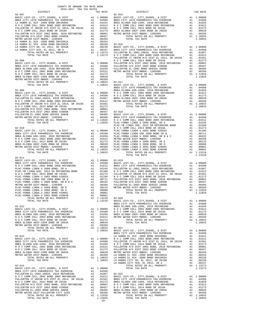| COUNTY OF ORANGE TAX RATE BOOK<br>2016-2017 TRA TAX RATES          |            |                   |
|--------------------------------------------------------------------|------------|-------------------|
| DISTRICT                                                           | TAX RATE   |                   |
|                                                                    |            |                   |
|                                                                    |            |                   |
|                                                                    |            |                   |
|                                                                    |            |                   |
|                                                                    |            |                   |
|                                                                    |            |                   |
|                                                                    |            |                   |
|                                                                    |            |                   |
|                                                                    |            |                   |
|                                                                    |            |                   |
|                                                                    |            |                   |
|                                                                    |            | FULLERT           |
| $02 - 008$                                                         |            | NOCC              |
|                                                                    |            |                   |
|                                                                    |            |                   |
|                                                                    |            |                   |
|                                                                    |            |                   |
|                                                                    |            |                   |
|                                                                    |            |                   |
|                                                                    |            |                   |
|                                                                    |            | BREA CI           |
|                                                                    |            |                   |
|                                                                    |            |                   |
|                                                                    |            |                   |
|                                                                    |            |                   |
|                                                                    |            |                   |
|                                                                    |            |                   |
|                                                                    |            |                   |
|                                                                    |            |                   |
|                                                                    |            |                   |
|                                                                    |            |                   |
|                                                                    |            | PLAC-YB           |
|                                                                    |            |                   |
|                                                                    |            |                   |
|                                                                    |            |                   |
|                                                                    |            |                   |
|                                                                    |            |                   |
|                                                                    |            |                   |
|                                                                    |            |                   |
|                                                                    |            |                   |
| $02 - 011$                                                         |            |                   |
|                                                                    |            |                   |
|                                                                    |            |                   |
|                                                                    |            |                   |
|                                                                    |            |                   |
|                                                                    |            |                   |
|                                                                    |            |                   |
|                                                                    |            |                   |
|                                                                    |            |                   |
|                                                                    |            |                   |
| Al .00001<br>Al .00001<br>Al 1.13210                               |            |                   |
| PLAC-YORBA LINDA U 2002 BOND #2004B<br>TOTAL RATES ON ALL PROPERTY | A1 1.13210 |                   |
| TOTAL TAX RATE                                                     | 1.13210    | 02-020<br>BASIC L |
|                                                                    |            | BREA CI           |
| $02 - 012$                                                         |            | BREA OL           |
|                                                                    |            |                   |
|                                                                    |            |                   |
|                                                                    |            |                   |
|                                                                    |            |                   |
|                                                                    |            |                   |
|                                                                    |            |                   |
|                                                                    |            | BREA CI           |
| $02 - 013$                                                         |            | LA HABR           |
|                                                                    |            |                   |
|                                                                    |            |                   |
|                                                                    |            |                   |
|                                                                    |            |                   |
|                                                                    |            |                   |
|                                                                    |            |                   |
|                                                                    |            |                   |
|                                                                    |            | LA HABR           |
| $02 - 014$                                                         |            |                   |
|                                                                    |            |                   |
|                                                                    |            |                   |
|                                                                    |            |                   |
|                                                                    |            |                   |
|                                                                    |            |                   |
|                                                                    |            |                   |
|                                                                    |            |                   |
|                                                                    |            |                   |
| TOTAL TAX RATE                                                     | 1.12826    |                   |
|                                                                    | $-19-$     |                   |

|                                                                                            |  |        | $\begin{smallmatrix} 12.487 & 10.71 & 0.71 & 0.71 & 0.71 & 0.71 & 0.71 & 0.71 & 0.71 & 0.71 & 0.71 & 0.71 & 0.71 & 0.71 & 0.71 & 0.71 & 0.71 & 0.71 & 0.71 & 0.71 & 0.71 & 0.71 & 0.71 & 0.71 & 0.71 & 0.71 & 0.71 & 0.71 & 0.71 & 0.71 & 0.71 & 0.71 & 0.71 & 0.71 & 0.71 & $ |  |
|--------------------------------------------------------------------------------------------|--|--------|--------------------------------------------------------------------------------------------------------------------------------------------------------------------------------------------------------------------------------------------------------------------------------|--|
|                                                                                            |  |        |                                                                                                                                                                                                                                                                                |  |
|                                                                                            |  |        |                                                                                                                                                                                                                                                                                |  |
|                                                                                            |  |        |                                                                                                                                                                                                                                                                                |  |
|                                                                                            |  |        |                                                                                                                                                                                                                                                                                |  |
|                                                                                            |  |        |                                                                                                                                                                                                                                                                                |  |
|                                                                                            |  |        |                                                                                                                                                                                                                                                                                |  |
| $02 - 011$                                                                                 |  |        | $02 - 020$                                                                                                                                                                                                                                                                     |  |
| COTAL RATES ON ALL PROPERTY A1 1.13210<br>TOTAL TAX RATE (NATES AT ALL PROPERTY A1 1.13210 |  |        |                                                                                                                                                                                                                                                                                |  |
|                                                                                            |  |        | $\begin{tabular}{cccccccc} $e_{-406} $-1084 & 144.04 & 14.0404 & 14.044 & 1.04041 & 1.12210 & 02-020 & 0.0717, 0.90000, & 6.9187 & 8.1 & 1.00000 & 0.0000 & 0.0000 & 0.0000 & 0.0000 & 0.0000 & 0.0000 & 0.0000 & 0.0000 & 0.0000 & 0.0000 & 0.0000 & 0.0000 & 0.0000 & $      |  |
|                                                                                            |  | $-19-$ |                                                                                                                                                                                                                                                                                |  |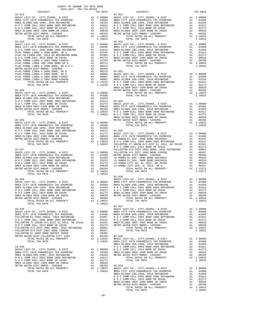| DISTRICT                                                                             |    | TAX RATE                                                  |            |
|--------------------------------------------------------------------------------------|----|-----------------------------------------------------------|------------|
|                                                                                      |    |                                                           |            |
|                                                                                      |    |                                                           |            |
|                                                                                      |    |                                                           |            |
|                                                                                      |    |                                                           |            |
|                                                                                      |    |                                                           |            |
|                                                                                      |    |                                                           |            |
|                                                                                      |    |                                                           |            |
|                                                                                      |    |                                                           |            |
|                                                                                      |    |                                                           |            |
| $02 - 024$                                                                           |    |                                                           | $02 - 032$ |
|                                                                                      |    |                                                           |            |
|                                                                                      |    |                                                           |            |
|                                                                                      |    |                                                           |            |
|                                                                                      |    |                                                           |            |
|                                                                                      |    |                                                           |            |
|                                                                                      |    |                                                           |            |
|                                                                                      |    |                                                           |            |
|                                                                                      |    |                                                           |            |
|                                                                                      |    |                                                           |            |
|                                                                                      |    |                                                           |            |
|                                                                                      |    |                                                           |            |
|                                                                                      |    |                                                           |            |
|                                                                                      |    |                                                           |            |
|                                                                                      |    |                                                           |            |
|                                                                                      |    |                                                           | BREA OL    |
|                                                                                      |    |                                                           |            |
|                                                                                      |    |                                                           |            |
|                                                                                      |    |                                                           |            |
|                                                                                      |    |                                                           |            |
|                                                                                      |    |                                                           |            |
|                                                                                      |    |                                                           |            |
|                                                                                      |    |                                                           |            |
|                                                                                      |    |                                                           |            |
|                                                                                      |    |                                                           |            |
|                                                                                      |    |                                                           |            |
|                                                                                      |    |                                                           | BREA OL    |
| $02 - 026$                                                                           |    |                                                           | METRO W    |
|                                                                                      |    |                                                           |            |
|                                                                                      |    |                                                           |            |
|                                                                                      |    |                                                           |            |
|                                                                                      |    |                                                           |            |
|                                                                                      |    |                                                           |            |
|                                                                                      |    |                                                           |            |
|                                                                                      |    |                                                           |            |
|                                                                                      |    |                                                           |            |
|                                                                                      |    |                                                           | NOCC       |
|                                                                                      |    |                                                           |            |
|                                                                                      |    |                                                           |            |
|                                                                                      |    |                                                           |            |
|                                                                                      |    |                                                           |            |
|                                                                                      |    |                                                           |            |
|                                                                                      |    |                                                           |            |
|                                                                                      |    |                                                           |            |
|                                                                                      |    |                                                           |            |
|                                                                                      |    |                                                           |            |
|                                                                                      |    |                                                           | $02 - 036$ |
|                                                                                      |    |                                                           |            |
|                                                                                      |    |                                                           |            |
|                                                                                      |    |                                                           |            |
|                                                                                      |    |                                                           |            |
|                                                                                      |    |                                                           |            |
|                                                                                      |    |                                                           |            |
|                                                                                      |    |                                                           |            |
| TOTAL RATES ON ALL PROPERTY                                                          |    |                                                           |            |
| TOTAL TAX RATE                                                                       |    | 1.10033                                                   |            |
|                                                                                      |    |                                                           | $02 - 037$ |
| $02 - 029$                                                                           |    |                                                           | BASIC L    |
|                                                                                      |    |                                                           |            |
|                                                                                      |    |                                                           |            |
|                                                                                      |    |                                                           |            |
|                                                                                      |    |                                                           |            |
|                                                                                      |    |                                                           |            |
|                                                                                      |    |                                                           |            |
|                                                                                      |    |                                                           |            |
| FULLERTON EL-2002 BOND SERIES 2005B                                                  |    | A1 .00405                                                 |            |
| METRO WATER DIST-FULLERTON CITY 1203                                                 |    | $A1 \t .00350$                                            |            |
| TOTAL RATES ON ALL PROPERTY                                                          |    | A1 .00350 02-038<br>A1 1.12826 BASIC L<br>1.12826 BREA CI |            |
| TOTAL TAX RATE                                                                       |    |                                                           | BREA OL    |
| $02 - 030$                                                                           |    |                                                           | NOCC       |
| BASIC LEVY-CO., CITY, SCHOOL, & DIST                                                 |    |                                                           |            |
| BREA CITY 1978 PARAMEDICS TAX OVERRIDE                                               |    | A1 1.00000 NOC<br>A1 .04500 BREA OL<br>A1 .01659 METRO W  |            |
| BREA OLINDA USD-1999, 2010 REFUNDING                                                 |    |                                                           |            |
| N O C COMM COLL 2002 BOND 2005 REFUNDING<br>N O C COMM COLL 2002 BOND 2005 REFUNDING | A1 | .01612                                                    |            |
| N O C COMM COLL 2014 BOND SR 2016A                                                   | A1 | .01273                                                    |            |
| BREA OLINDA UNIF-1999 BOND SR 2003A                                                  |    | A1 .00639<br>A1 .00350                                    |            |
| METRO WATER DIST-MWDOC- 1205999                                                      |    | A1 .00350 02-039<br>A1 1.10033 BASIC L                    |            |
| TOTAL RATES ON ALL PROPERTY                                                          |    |                                                           |            |
| TOTAL TAX RATE                                                                       |    | 1.10033 BREA CI                                           |            |

| COUNTY OF ORANGE TAX RATE BOOK<br>2016-2017 TRA TAX RATES<br>$2016-2017\begin{array}{l} \multicolumn{1}{c}{\text{ITR}}\end{array}\text{RA} \text{RATE BC}$ DISTRICT |          |                                                                                                                                                                                                                               |          |
|---------------------------------------------------------------------------------------------------------------------------------------------------------------------|----------|-------------------------------------------------------------------------------------------------------------------------------------------------------------------------------------------------------------------------------|----------|
|                                                                                                                                                                     | TAX RATE | DISTRICT                                                                                                                                                                                                                      | TAX RATE |
| $02 - 023$                                                                                                                                                          |          | $02 - 031$                                                                                                                                                                                                                    |          |
|                                                                                                                                                                     |          |                                                                                                                                                                                                                               |          |
|                                                                                                                                                                     |          |                                                                                                                                                                                                                               |          |
|                                                                                                                                                                     |          |                                                                                                                                                                                                                               |          |
|                                                                                                                                                                     |          |                                                                                                                                                                                                                               |          |
|                                                                                                                                                                     |          |                                                                                                                                                                                                                               |          |
|                                                                                                                                                                     |          |                                                                                                                                                                                                                               |          |
|                                                                                                                                                                     |          |                                                                                                                                                                                                                               |          |
|                                                                                                                                                                     |          |                                                                                                                                                                                                                               |          |
|                                                                                                                                                                     |          |                                                                                                                                                                                                                               |          |
|                                                                                                                                                                     |          |                                                                                                                                                                                                                               |          |
|                                                                                                                                                                     |          |                                                                                                                                                                                                                               |          |
|                                                                                                                                                                     |          |                                                                                                                                                                                                                               |          |
|                                                                                                                                                                     |          |                                                                                                                                                                                                                               |          |
|                                                                                                                                                                     |          |                                                                                                                                                                                                                               |          |
|                                                                                                                                                                     |          |                                                                                                                                                                                                                               |          |
|                                                                                                                                                                     |          |                                                                                                                                                                                                                               |          |
|                                                                                                                                                                     |          |                                                                                                                                                                                                                               |          |
|                                                                                                                                                                     |          |                                                                                                                                                                                                                               |          |
|                                                                                                                                                                     |          |                                                                                                                                                                                                                               |          |
|                                                                                                                                                                     |          |                                                                                                                                                                                                                               |          |
|                                                                                                                                                                     |          |                                                                                                                                                                                                                               |          |
|                                                                                                                                                                     |          |                                                                                                                                                                                                                               |          |
|                                                                                                                                                                     |          |                                                                                                                                                                                                                               |          |
|                                                                                                                                                                     |          |                                                                                                                                                                                                                               |          |
|                                                                                                                                                                     |          | 23. 2012 12. 2012 12. 2013 12. 2013 12. 2013 12. 2013 12. 2013 12. 2013 12. 2013 12. 2014 12. 2013 12. 2014 12. 2014 12. 2014 12. 2014 12. 2014 12. 2014 12. 2014 12. 2014 12. 2014 12. 2014 12. 2014 12. 2014 12. 2014 12. 2 |          |
|                                                                                                                                                                     |          |                                                                                                                                                                                                                               |          |
|                                                                                                                                                                     |          |                                                                                                                                                                                                                               |          |
|                                                                                                                                                                     |          |                                                                                                                                                                                                                               |          |
|                                                                                                                                                                     |          |                                                                                                                                                                                                                               |          |
|                                                                                                                                                                     |          |                                                                                                                                                                                                                               |          |
|                                                                                                                                                                     |          |                                                                                                                                                                                                                               |          |
|                                                                                                                                                                     |          |                                                                                                                                                                                                                               |          |
|                                                                                                                                                                     |          |                                                                                                                                                                                                                               |          |
|                                                                                                                                                                     |          |                                                                                                                                                                                                                               |          |
|                                                                                                                                                                     |          |                                                                                                                                                                                                                               |          |
|                                                                                                                                                                     |          |                                                                                                                                                                                                                               |          |
|                                                                                                                                                                     |          |                                                                                                                                                                                                                               |          |
|                                                                                                                                                                     |          |                                                                                                                                                                                                                               |          |
|                                                                                                                                                                     |          |                                                                                                                                                                                                                               |          |
|                                                                                                                                                                     |          |                                                                                                                                                                                                                               |          |
|                                                                                                                                                                     |          |                                                                                                                                                                                                                               |          |
|                                                                                                                                                                     |          |                                                                                                                                                                                                                               |          |
|                                                                                                                                                                     |          |                                                                                                                                                                                                                               |          |
|                                                                                                                                                                     |          |                                                                                                                                                                                                                               |          |
|                                                                                                                                                                     |          |                                                                                                                                                                                                                               |          |
|                                                                                                                                                                     |          | $02 - 036$                                                                                                                                                                                                                    |          |
|                                                                                                                                                                     |          |                                                                                                                                                                                                                               |          |
|                                                                                                                                                                     |          |                                                                                                                                                                                                                               |          |
|                                                                                                                                                                     |          |                                                                                                                                                                                                                               |          |
|                                                                                                                                                                     |          |                                                                                                                                                                                                                               |          |
|                                                                                                                                                                     |          |                                                                                                                                                                                                                               |          |
|                                                                                                                                                                     |          |                                                                                                                                                                                                                               |          |
|                                                                                                                                                                     |          |                                                                                                                                                                                                                               |          |
|                                                                                                                                                                     |          | $02 - 037$                                                                                                                                                                                                                    |          |
|                                                                                                                                                                     |          |                                                                                                                                                                                                                               |          |
|                                                                                                                                                                     |          |                                                                                                                                                                                                                               |          |
|                                                                                                                                                                     |          |                                                                                                                                                                                                                               |          |
|                                                                                                                                                                     |          |                                                                                                                                                                                                                               |          |
|                                                                                                                                                                     |          |                                                                                                                                                                                                                               |          |
|                                                                                                                                                                     |          |                                                                                                                                                                                                                               |          |
|                                                                                                                                                                     |          |                                                                                                                                                                                                                               |          |
|                                                                                                                                                                     |          |                                                                                                                                                                                                                               |          |
|                                                                                                                                                                     |          |                                                                                                                                                                                                                               |          |
|                                                                                                                                                                     |          |                                                                                                                                                                                                                               |          |
|                                                                                                                                                                     |          |                                                                                                                                                                                                                               |          |
|                                                                                                                                                                     |          |                                                                                                                                                                                                                               |          |
|                                                                                                                                                                     |          |                                                                                                                                                                                                                               |          |
|                                                                                                                                                                     |          |                                                                                                                                                                                                                               |          |
|                                                                                                                                                                     |          |                                                                                                                                                                                                                               |          |
|                                                                                                                                                                     |          |                                                                                                                                                                                                                               |          |
|                                                                                                                                                                     |          |                                                                                                                                                                                                                               |          |
|                                                                                                                                                                     |          |                                                                                                                                                                                                                               |          |
|                                                                                                                                                                     |          |                                                                                                                                                                                                                               |          |
|                                                                                                                                                                     |          |                                                                                                                                                                                                                               |          |
|                                                                                                                                                                     |          |                                                                                                                                                                                                                               |          |
|                                                                                                                                                                     |          |                                                                                                                                                                                                                               |          |
|                                                                                                                                                                     |          |                                                                                                                                                                                                                               |          |
|                                                                                                                                                                     |          | TOTAL TAX RATE                                                                                                                                                                                                                | 1.10033  |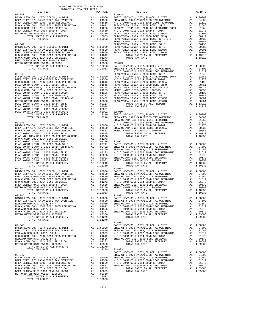| COUNTY OF ORANGE TAX RATE BOOK<br>$2016-2017\quad\text{TRA TAX RATES}\label{eq:2016-2017}$ DISTRICT |          |            |          |
|-----------------------------------------------------------------------------------------------------|----------|------------|----------|
|                                                                                                     | TAX RATE | DISTRICT   | TAX RATE |
|                                                                                                     |          |            |          |
|                                                                                                     |          |            |          |
|                                                                                                     |          |            |          |
|                                                                                                     |          |            |          |
|                                                                                                     |          |            |          |
|                                                                                                     |          |            |          |
|                                                                                                     |          |            |          |
|                                                                                                     |          |            |          |
|                                                                                                     |          |            |          |
|                                                                                                     |          |            |          |
|                                                                                                     |          |            |          |
|                                                                                                     |          |            |          |
|                                                                                                     |          |            |          |
|                                                                                                     |          |            |          |
|                                                                                                     |          |            |          |
|                                                                                                     |          |            |          |
|                                                                                                     |          |            |          |
|                                                                                                     |          |            |          |
|                                                                                                     |          |            |          |
|                                                                                                     |          |            |          |
|                                                                                                     |          |            |          |
|                                                                                                     |          |            |          |
|                                                                                                     |          |            |          |
|                                                                                                     |          |            |          |
|                                                                                                     |          |            |          |
|                                                                                                     |          |            |          |
|                                                                                                     |          |            |          |
|                                                                                                     |          |            |          |
|                                                                                                     |          |            |          |
|                                                                                                     |          |            |          |
|                                                                                                     |          |            |          |
|                                                                                                     |          |            |          |
|                                                                                                     |          |            |          |
|                                                                                                     |          |            |          |
|                                                                                                     |          |            |          |
|                                                                                                     |          |            |          |
|                                                                                                     |          |            |          |
|                                                                                                     |          |            |          |
|                                                                                                     |          |            |          |
|                                                                                                     |          |            |          |
|                                                                                                     |          |            |          |
|                                                                                                     |          |            |          |
|                                                                                                     |          | $02 - 052$ |          |
|                                                                                                     |          |            |          |
|                                                                                                     |          |            |          |
|                                                                                                     |          |            |          |
|                                                                                                     |          |            |          |
|                                                                                                     |          |            |          |
|                                                                                                     |          |            |          |
|                                                                                                     |          |            |          |
| $02 - 045$                                                                                          |          | $02 - 901$ |          |
|                                                                                                     |          |            |          |
|                                                                                                     |          |            |          |
|                                                                                                     |          |            |          |
|                                                                                                     |          |            |          |
|                                                                                                     |          |            |          |
|                                                                                                     |          |            |          |
|                                                                                                     |          |            |          |
|                                                                                                     |          |            |          |
|                                                                                                     |          |            |          |
|                                                                                                     |          |            |          |
|                                                                                                     |          |            |          |
|                                                                                                     |          |            |          |
|                                                                                                     |          |            |          |
|                                                                                                     |          |            |          |
|                                                                                                     |          |            |          |
|                                                                                                     |          |            |          |
|                                                                                                     |          |            |          |
|                                                                                                     |          |            |          |
|                                                                                                     |          |            |          |
|                                                                                                     |          |            |          |
|                                                                                                     |          |            |          |
|                                                                                                     |          |            |          |

TOTAL TAX RATE 1.10033

-21-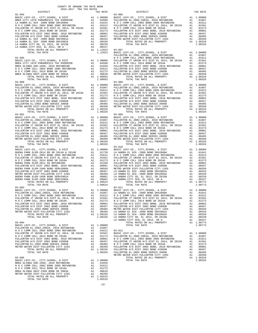COUNTY OF ORANGE TAX RATE BOOK 2016-2017 TRA TAX RATES 02-904 03-006 TOTAL RATES ON ALL PROPERTY A1 1.12923<br>
TOTAL TAX RATE ALL PROPERTY A1 1.12923 BREA OLINDA USD-1999, 2010 REFUNDING A1 .01659 N O C COMM COLL 2002 BOND 2005 REFUNDING A1 .01612

 N O C COMM COLL 2014 BOND SR 2016A A1 .01273 BREA OLINDA UNIF-1999 BOND SR 2003A A1 .00639 METRO WATER DIST-FULLERTON CITY 1203 A1 .00350 A1 .005533 TOTAL RATES ON ALL PROPERTY A1 1.05533 TOTAL TAX RATE 1.05533

#### DISTRICT TAX RATE DISTRICT TAX RATE BASIC LEVY-CO., CITY,SCHOOL, & DIST A1 1.00000 BASIC LEVY-CO., CITY,SCHOOL, & DIST A1 1.00000 BREA CITY 1978 PARAMEDICS TAX OVERRIDE A1 .04500 FULLERTON EL-2002,2002A, 2010 REFUNDING A1 .01867 101612. IA HABRA EL SCH-2000 BOND SR#2000A A1 .01641 NO COOMM COLL 2002 BOND 2005 REFUNDING A1<br>NO COOLL 2002 BOND 2005 REFUNDING A1 .01612 FULLERTON JT UNION H/S DIST EL 2014, SR 2015A A1<br>FULLERTON JT UNION H/S DIST EL 20 N O C COMM COLL 2014 BOND SR 2016A A1 .01273 FULLERTON H/S DIST 2002 BOND, 2010 REFUNDING A1 .00801 FULLERTON H/S DIST 2002 BOND, 2010 REFUNDING A1 .00801 FULLERTON H/S DIST 2002 BOND #2005B A1 .00457 FULLERTON H/S DIST 2002 BOND #2005B A1 .00457 FULLERTON EL-2002 BOND SERIES 2005B A1 .00405<br>
LA HABRA EL SCH -2000 BOND SR#2001A A1 .00339 A1 .00339 TOTAL RATES ON ALL PROPERTY A1 .00350<br>
LA HABRA CLTY SD, EL 2012, SR 2015 03-007<br>
BASIC LEVY-CO., CITY, SCHOOL, & DIST<br>
FULLERTON EL-2002, 2002A, 2010 REFUNDING A1 .01867<br>
N O C COMM COLL 2002 BOND 2005 REFUNDING A1 .01612 FULLERTON EL-2002,2002A, 2010 REFUNDING A1 .01867<br>10161. A1 .01612 N O C COMM COLL 2002 BOND 2005 REFUNDING A1 .01612 BASIC LEVY-CO., CITY,SCHOOL, & DIST A1 1.00000 FULLERTON JT UNION H/S DIST EL 2014, SR 2015A A1 .01561 BREA CITY 1978 PARAMEDICS TAX OVERRIDE A1 .04500 N O C COMM COLL 2014 BOND SR 2016A A1 .01273 BREA OLINDA USD-1999, 2010 REFUNDING A1 .01659 FULLERTON H/S DIST 2002 BOND, 2010 REFUNDING A1 .00801 N O C COMM COLL 2002 BOND 2005 REFUNDING A1 .01612 FULLERTON H/S DIST 2002 BOND #2005B A1 .00457 N O C COMM COLL 2014 BOND SR 2016A A1 .01273 FULLERTON EL-2002 BOND SERIES 2005B A1 .00405 OLINDA UNIF-1999 BOND SR 2003A A1 .00639 METRO WATER DIST-FULLERTON CITY 1203 A1 .00350<br>A1 1.08326 A1 1.08326 TOTAL RATES ON ALL PROPERTY A1 1.09683 TOTAL TAX RATE 1.09683 TOTAL TAX RATE 1.08326 03-000 03-008 BASIC LEVY-CO., CITY,SCHOOL, & DIST A1 1.00000 BASIC LEVY-CO., CITY,SCHOOL, & DIST A1 1.00000 FULLERTON EL-2002,2002A, 2010 REFUNDING A1 .01867 FULLERTON EL-2002,2002A, 2010 REFUNDING A1 .01867 N O C COMM COLL 2002 BOND 2005 REFUNDING A1 .01612 N O C COMM COLL 2002 BOND 2005 REFUNDING A1 .01612 FULLERTON JT UNION H/S DIST EL 2014, SR 2015A A1 .01561 FULLERTON JT UNION H/S DIST EL 2014, SR 2015A A1 .01561 N O C COMM COLL 2014 BOND SR 2016A A1 .01273 N O C COMM COLL 2014 BOND SR 2016A A1 .01273 FULLERTON H/S DIST 2002 BOND, 2010 REFUNDING A1 .00801 FULLERTON H/S DIST 2002 BOND, 2010 REFUNDING A1 .00801 FULLERTON H/S DIST 2002 BOND #2005B A1 .00457 FULLERTON H/S DIST 2002 BOND #2005B A1 .00457  $\begin{tabular}{l|c|c|c|c|c|c|c|c|c|c|c} \multicolumn{1}{c}{\textbf{FULERTON} & \textbf{DIST 2002 BOND} & \textbf{2010} & \textbf{REFUNDING} & \textbf{A1} & .00405 & \textbf{FULLERTON} & \textbf{H/S DIST 2002 BOND} & \textbf{2010} & \textbf{REFUNDING} & \textbf{A1} & .00457 \\ \multicolumn{1}{c}{\textbf{FULLERTON} & \textbf{H/S DIST 2002 BOND} & \textbf{2010} & \textbf{REFUNDING} & \textbf{$ METRO WATER DIST-FULLERTON CITY 1203 A1 .00350 METRO WATER DIST-FULLERTON CITY 1203 A1 .00350<br>TOTAL RATES ON ALL PROPERTY A1 1.08326 TOTAL RATES ON ALL PROPERTY 120326 1.08326<br>1.08326 1.08326 TOTAL TAX RATE 03-001 03-009 BASIC LEVY-CO., CITY,SCHOOL, & DIST A1 1.00000 BASIC LEVY-CO., CITY,SCHOOL, & DIST A1 1.00000 FULLERTON EL-2002,2002A, 2010 REFUNDING A1 .01867 FULLERTON EL-2002,2002A, 2010 REFUNDING A1 .01867 N O C COMM COLL 2002 BOND 2005 REFUNDING A1 .01612 N O C COMM COLL 2002 BOND 2005 REFUNDING A1 .01612 FULLERTON JT UNION H/S DIST EL 2014, SR 2015A A1 .01561 FULLERTON JT UNION H/S DIST EL 2014, SR 2015A A1 .01561 N O C COMM COLL 2014 BOND SR 2016A A1 .01273 N O C COMM COLL 2014 BOND SR 2016A A1 .01273 FULLERTON H/S DIST 2002 BOND, 2010 REFUNDING A1 .00801 FULLERTON H/S DIST 2002 BOND, 2010 REFUNDING A1 .00801 FULLERTON H/S DIST 2002 BOND #2005B A1 .00457 FULLERTON H/S DIST 2002 BOND #2005B A1 .00457 FULLERTON EL-2002 BOND SERIES 2005B A1 .00405 FULLERTON EL-2002 BOND SERIES 2005B A1 .00405 METRO WATER DIST-FULLERTON CITY 1203 A1 .00350 METRO WATER DIST-FULLERTON CITY 1203 A1 .00350 TOTAL RATES ON ALL PROPERTY A1 1.08326 TOTAL RATES ON ALL PROPERTY A1 1.08326 TOTAL TAX RATE 1.08326 TOTAL TAX RATE 1.08326 03-002 03-010 BASIC LEVY-CO., CITY,SCHOOL, & DIST A1 1.00000 BASIC LEVY-CO., CITY,SCHOOL, & DIST A1 1.00000 101641. BUENA PARK ELEM-2014 BD SR 2014A & 2014B A1 .01739 LA HABRA EL SCH-2000 BOND SR#2000A A1 .01641<br>NOC COMM COLL 2002 BOND 2005 REUNDING A1 .01612 NOC COMM COLL 2002 BOND 2005 REFUNDING<br>FULLERTON JT UNION H/S DIST EL 0 C COMM COLL 2014 BOND SR 2016A A1 .01273 N O C COMM COLL 2014 BOND SR 2016A A1 .01273<br>BUENA PARK ELEM-2011 GO REFUNDING A1 .01260 FULLERTON H/S DIST 2002 BOND, 2010 REFUNDING A1 .00801 FULLERTON H/S DIST 2002 BOND, 2010 REFUNDING A1 .00801 FULLERTON H/S DIST 2002 BOND #2005B A1 .00457 BUENA PARK ELEM-1998 BOND SER#2000A A1 .00569 METRO WATER DIST-FULLERTON CITY 1203 A1 .00350 FULLERTON H/S DIST 2002 BOND #2005B A1 .00457 LA HABRA EL SCH -2000 BOND SR#2001A A1 .00343 METRO WATER DIST-FULLERTON CITY 1203 A1 .00350 LA HABRA EL SCH -2000 BOND SR#2002A A1 .00339 BUENA PARK ELEM-1998 BOND SER#2001A A1 .00001 LA HABRA CITY SD, EL 2012, SR 2015B A1 .00239 BUENA PARK ELEM-1998 BOND SER#1999A A1 .00001 LA HABRA CITY SCH, EL 2012, SR A A1 .00157 TOTAL RATES ON LUE PROPERTY A1 1.09624 TOTAL RATES ON ALL PROPERTY A1 1.08773<br>TOTAL RATES ON ALL PROPERTY A1 1.09773<br>TOTAL TAX RATE 1.08773 TOTAL TAX RATE 1.09624 TOTAL TAX RATE 1.08773 03-003<br>BASIC LEVY-CO., CITY, SCHOOL, & DIST A1 1.00000 BASIC LEVY-CO., CITY, SCHOOL, & DIST A1 1.00000<br>FULLERTON EL-2002,2002A, 2010 REFUNDING A1 .01867 LA HABRA EL SCH-2000 BOND SR#2000A A1 .01641<br>NOCCOMM COLL 2002 BOND 2 FULLERTON JT UNION H/S DIST EL 2014, SR 2015A A1 .01561 FULLERTON JT UNION H/S DIST EL 2014, SR 2015A A1 .01561<br>N O C COMM COLL 2014 BOND SR 2016A A1 .0173 N O C COMM COLL 2014 SR 2015A A1 .0173<br>FULLERTON H/S DIST 2002 BON 0 C COMM COLL 2014 BOND SR 2016A A1 .01273 N O C COMM COLL 2014 BOND SR 2016A A1 .01273<br>FULLERTON H/S DIST 2002 BOND, 2010 REFUNDING A1 .00801 FULLERTON H/S DIST 2002 BOND, 2010 REFUNDING A1 .00801 FULLERTON H/S DIST 2002 BOND #2005B FULLERTON EIST 2002 BOND #2005B FULLERTON EL-2002 BOND ENGENERTON EL-2002 BOND ENGENERTON CITY 1203 A1 .00457 METRO WELTRON CITY 1203 A1 .00455 A1 .00457 METRO WERE DIST-FULLERTON CITY 1 BASIC LEVY-CO., CITY,SCHOOL, & DIST A1 1.00000 TOTAL TAX RATE 1.08773 FULLERTON EL-2002,2002A, 2010 REFUNDING A1 .01867 N O C COMM COLL 2002 BOND 2005 REFUNDING A1 .01612 03-012 FULLERTON JT UNION H/S DIST EL 2014, SR 2015A A1 .01561 BASIC LEVY-CO., CITY,SCHOOL, & DIST A1 1.00000 01867. NOCCOMM COLL 2014 BOND SR 2016A 1 A1 .01273 FULLERTON EL-2002,2002A, 2010 REFUNDING A1 .01867<br>FULLERTON H/S DIST 2002 BOND, 2000 REFUNDING A1 .00801 NOCCOMM COLL 2002 BOND 2005 REFUNDING POLL 2010 REFUNDIN<br>FULLERTON FULLERTON EL-2002 BOND SERIES 2005B A1 .00405 N O C COMM COLL 2014 BOND SR 2016A A1 .01273 METRO WATER DIST-FULLERTON CITY 1203 A1 .00350 FULLERTON H/S DIST 2002 BOND, 2010 REFUNDING A1 .00801 TOTAL RATES ON ALL PROPERTY A1 1.08326 FULLERTON H/S DIST 2002 BOND #2005B A1 .00457 TOTAL RATES ON ALL PROPERTY AND 1.08326 FULLERTON H/S DIST 2002 BOND #2005B AND ALL 1.00457<br>TOTAL TAX RATE 1.08326 FULLERTON EL-2002 BOND SERIES 2005B A1 .00457<br>TOTAL TAX RATE 1.08326 FULLERTON H/S DIST 2002 BOND SERIES 20 03-005. METRO WATER DIST-FULLERTON CITY 1203<br>108310 A1 .00350 A1 .00326 TOTAL RATES ON ALL PROPERTY<br>1.08326 1.08326 A1 .00000 1.08326 A1 .00000 ISLEME 1.08326

-22-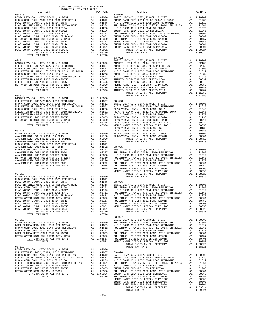| COUNTY OF ORANGE TAX RATE BOOK<br>2016-2017 TRA TAX RATES                                                                                                                                                                                                                                                                                                                                                  |  |                                                                                                                                                                                                                                                                                                                                                                                                        |          |
|------------------------------------------------------------------------------------------------------------------------------------------------------------------------------------------------------------------------------------------------------------------------------------------------------------------------------------------------------------------------------------------------------------|--|--------------------------------------------------------------------------------------------------------------------------------------------------------------------------------------------------------------------------------------------------------------------------------------------------------------------------------------------------------------------------------------------------------|----------|
| DISTRICT                                                                                                                                                                                                                                                                                                                                                                                                   |  |                                                                                                                                                                                                                                                                                                                                                                                                        | TAX RATE |
| $03 - 013$                                                                                                                                                                                                                                                                                                                                                                                                 |  | $03 - 020$                                                                                                                                                                                                                                                                                                                                                                                             |          |
|                                                                                                                                                                                                                                                                                                                                                                                                            |  |                                                                                                                                                                                                                                                                                                                                                                                                        |          |
|                                                                                                                                                                                                                                                                                                                                                                                                            |  |                                                                                                                                                                                                                                                                                                                                                                                                        |          |
|                                                                                                                                                                                                                                                                                                                                                                                                            |  |                                                                                                                                                                                                                                                                                                                                                                                                        |          |
|                                                                                                                                                                                                                                                                                                                                                                                                            |  |                                                                                                                                                                                                                                                                                                                                                                                                        |          |
|                                                                                                                                                                                                                                                                                                                                                                                                            |  |                                                                                                                                                                                                                                                                                                                                                                                                        |          |
|                                                                                                                                                                                                                                                                                                                                                                                                            |  |                                                                                                                                                                                                                                                                                                                                                                                                        |          |
|                                                                                                                                                                                                                                                                                                                                                                                                            |  |                                                                                                                                                                                                                                                                                                                                                                                                        |          |
|                                                                                                                                                                                                                                                                                                                                                                                                            |  |                                                                                                                                                                                                                                                                                                                                                                                                        |          |
|                                                                                                                                                                                                                                                                                                                                                                                                            |  |                                                                                                                                                                                                                                                                                                                                                                                                        |          |
|                                                                                                                                                                                                                                                                                                                                                                                                            |  |                                                                                                                                                                                                                                                                                                                                                                                                        |          |
|                                                                                                                                                                                                                                                                                                                                                                                                            |  |                                                                                                                                                                                                                                                                                                                                                                                                        |          |
|                                                                                                                                                                                                                                                                                                                                                                                                            |  |                                                                                                                                                                                                                                                                                                                                                                                                        |          |
|                                                                                                                                                                                                                                                                                                                                                                                                            |  |                                                                                                                                                                                                                                                                                                                                                                                                        |          |
|                                                                                                                                                                                                                                                                                                                                                                                                            |  |                                                                                                                                                                                                                                                                                                                                                                                                        |          |
|                                                                                                                                                                                                                                                                                                                                                                                                            |  |                                                                                                                                                                                                                                                                                                                                                                                                        |          |
|                                                                                                                                                                                                                                                                                                                                                                                                            |  |                                                                                                                                                                                                                                                                                                                                                                                                        |          |
|                                                                                                                                                                                                                                                                                                                                                                                                            |  |                                                                                                                                                                                                                                                                                                                                                                                                        |          |
|                                                                                                                                                                                                                                                                                                                                                                                                            |  |                                                                                                                                                                                                                                                                                                                                                                                                        |          |
|                                                                                                                                                                                                                                                                                                                                                                                                            |  |                                                                                                                                                                                                                                                                                                                                                                                                        |          |
|                                                                                                                                                                                                                                                                                                                                                                                                            |  |                                                                                                                                                                                                                                                                                                                                                                                                        |          |
|                                                                                                                                                                                                                                                                                                                                                                                                            |  |                                                                                                                                                                                                                                                                                                                                                                                                        |          |
|                                                                                                                                                                                                                                                                                                                                                                                                            |  |                                                                                                                                                                                                                                                                                                                                                                                                        |          |
|                                                                                                                                                                                                                                                                                                                                                                                                            |  |                                                                                                                                                                                                                                                                                                                                                                                                        |          |
|                                                                                                                                                                                                                                                                                                                                                                                                            |  |                                                                                                                                                                                                                                                                                                                                                                                                        |          |
|                                                                                                                                                                                                                                                                                                                                                                                                            |  |                                                                                                                                                                                                                                                                                                                                                                                                        |          |
|                                                                                                                                                                                                                                                                                                                                                                                                            |  |                                                                                                                                                                                                                                                                                                                                                                                                        |          |
|                                                                                                                                                                                                                                                                                                                                                                                                            |  |                                                                                                                                                                                                                                                                                                                                                                                                        |          |
|                                                                                                                                                                                                                                                                                                                                                                                                            |  |                                                                                                                                                                                                                                                                                                                                                                                                        |          |
|                                                                                                                                                                                                                                                                                                                                                                                                            |  |                                                                                                                                                                                                                                                                                                                                                                                                        |          |
|                                                                                                                                                                                                                                                                                                                                                                                                            |  |                                                                                                                                                                                                                                                                                                                                                                                                        |          |
|                                                                                                                                                                                                                                                                                                                                                                                                            |  |                                                                                                                                                                                                                                                                                                                                                                                                        |          |
|                                                                                                                                                                                                                                                                                                                                                                                                            |  |                                                                                                                                                                                                                                                                                                                                                                                                        |          |
|                                                                                                                                                                                                                                                                                                                                                                                                            |  |                                                                                                                                                                                                                                                                                                                                                                                                        |          |
|                                                                                                                                                                                                                                                                                                                                                                                                            |  |                                                                                                                                                                                                                                                                                                                                                                                                        |          |
|                                                                                                                                                                                                                                                                                                                                                                                                            |  |                                                                                                                                                                                                                                                                                                                                                                                                        |          |
|                                                                                                                                                                                                                                                                                                                                                                                                            |  |                                                                                                                                                                                                                                                                                                                                                                                                        |          |
|                                                                                                                                                                                                                                                                                                                                                                                                            |  |                                                                                                                                                                                                                                                                                                                                                                                                        |          |
|                                                                                                                                                                                                                                                                                                                                                                                                            |  |                                                                                                                                                                                                                                                                                                                                                                                                        |          |
|                                                                                                                                                                                                                                                                                                                                                                                                            |  |                                                                                                                                                                                                                                                                                                                                                                                                        |          |
|                                                                                                                                                                                                                                                                                                                                                                                                            |  |                                                                                                                                                                                                                                                                                                                                                                                                        |          |
|                                                                                                                                                                                                                                                                                                                                                                                                            |  |                                                                                                                                                                                                                                                                                                                                                                                                        |          |
|                                                                                                                                                                                                                                                                                                                                                                                                            |  |                                                                                                                                                                                                                                                                                                                                                                                                        |          |
|                                                                                                                                                                                                                                                                                                                                                                                                            |  |                                                                                                                                                                                                                                                                                                                                                                                                        |          |
|                                                                                                                                                                                                                                                                                                                                                                                                            |  | $\begin{tabular}{l c c c c c c c} \multicolumn{4}{c}{\textbf{PLAC-YORBA LINDA U 2008 BOND SRE Q} & \multicolumn{4}{c}{A1} & .00711 & FULLERTON JT UNION H/S DIST EL 2014, SR 2015A & A1 & .01561 \\ \multicolumn{4}{c}{\textbf{PLAC-YORBA LINDA U 2008 BOND, SRE B & C & A1 & .00432 & N & 0 C COM M COL 2014 BOND SR 2016A & & 0.0432 \\ \multicolumn{4}{c}{\textbf{METRO WATER DIST-TULLERTON CITY $ |          |
|                                                                                                                                                                                                                                                                                                                                                                                                            |  | $03 - 027$                                                                                                                                                                                                                                                                                                                                                                                             |          |
|                                                                                                                                                                                                                                                                                                                                                                                                            |  |                                                                                                                                                                                                                                                                                                                                                                                                        |          |
|                                                                                                                                                                                                                                                                                                                                                                                                            |  |                                                                                                                                                                                                                                                                                                                                                                                                        |          |
|                                                                                                                                                                                                                                                                                                                                                                                                            |  |                                                                                                                                                                                                                                                                                                                                                                                                        |          |
|                                                                                                                                                                                                                                                                                                                                                                                                            |  |                                                                                                                                                                                                                                                                                                                                                                                                        |          |
|                                                                                                                                                                                                                                                                                                                                                                                                            |  |                                                                                                                                                                                                                                                                                                                                                                                                        |          |
| $\begin{tabular}{c c c c c} \multicolumn{4}{c}{\textbf{103-019}} & \multicolumn{4}{c}{\textbf{104-010}} & \multicolumn{4}{c}{\textbf{105-010}} & \multicolumn{4}{c}{\textbf{106-010}} & \multicolumn{4}{c}{\textbf{107-010}} & \multicolumn{4}{c}{\textbf{108-020}} & \multicolumn{4}{c}{\textbf{108-020}} & \multicolumn{4}{c}{\textbf{108-020}} & \multicolumn{4}{c}{\textbf{108-020}} & \multicolumn{4$ |  | $\begin{tabular}{cccc} \textbf{03-018} & \textbf{03-027} & \textbf{03-027} & \textbf{03-027} \\ \textbf{BASE LEVY-CO.}, \text{ CITY, SCHOOL}, \text{ & BASTC LEVY-CO.}, \text{ CITY, SCHOOL}, \text{ & BISTL.} \\ \textbf{BRES CLIND A USD-1999, 2010 REFUNDING & \textbf{A1} & 1.00000 & \textbf{REUIDERTON EL-2002, 2002A, 2010 REFUNDING & \textbf{A1} & .01867 \\ \textbf{RIC LEVY-CO.}, \text$    |          |
|                                                                                                                                                                                                                                                                                                                                                                                                            |  |                                                                                                                                                                                                                                                                                                                                                                                                        |          |
|                                                                                                                                                                                                                                                                                                                                                                                                            |  |                                                                                                                                                                                                                                                                                                                                                                                                        |          |
|                                                                                                                                                                                                                                                                                                                                                                                                            |  |                                                                                                                                                                                                                                                                                                                                                                                                        |          |
|                                                                                                                                                                                                                                                                                                                                                                                                            |  |                                                                                                                                                                                                                                                                                                                                                                                                        |          |
|                                                                                                                                                                                                                                                                                                                                                                                                            |  |                                                                                                                                                                                                                                                                                                                                                                                                        |          |
|                                                                                                                                                                                                                                                                                                                                                                                                            |  |                                                                                                                                                                                                                                                                                                                                                                                                        |          |
|                                                                                                                                                                                                                                                                                                                                                                                                            |  |                                                                                                                                                                                                                                                                                                                                                                                                        |          |
|                                                                                                                                                                                                                                                                                                                                                                                                            |  |                                                                                                                                                                                                                                                                                                                                                                                                        |          |
|                                                                                                                                                                                                                                                                                                                                                                                                            |  |                                                                                                                                                                                                                                                                                                                                                                                                        |          |
|                                                                                                                                                                                                                                                                                                                                                                                                            |  |                                                                                                                                                                                                                                                                                                                                                                                                        |          |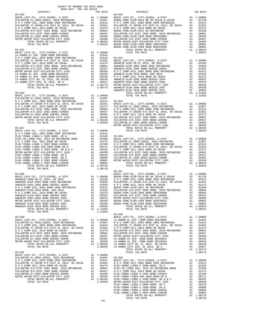| COUNTY OF ORANGE TAX RATE BOOK                                    |          |                                                                                                                                                                                                                                                                                                                                                                                                                                                         |          |  |
|-------------------------------------------------------------------|----------|---------------------------------------------------------------------------------------------------------------------------------------------------------------------------------------------------------------------------------------------------------------------------------------------------------------------------------------------------------------------------------------------------------------------------------------------------------|----------|--|
| $2016-2017\quad\text{TRA TAX RATES}\label{eq:2016-2017}$ DISTRICT | TAX RATE | DISTRICT                                                                                                                                                                                                                                                                                                                                                                                                                                                | TAX RATE |  |
|                                                                   |          |                                                                                                                                                                                                                                                                                                                                                                                                                                                         |          |  |
|                                                                   |          |                                                                                                                                                                                                                                                                                                                                                                                                                                                         |          |  |
|                                                                   |          |                                                                                                                                                                                                                                                                                                                                                                                                                                                         |          |  |
|                                                                   |          |                                                                                                                                                                                                                                                                                                                                                                                                                                                         |          |  |
|                                                                   |          |                                                                                                                                                                                                                                                                                                                                                                                                                                                         |          |  |
|                                                                   |          |                                                                                                                                                                                                                                                                                                                                                                                                                                                         |          |  |
|                                                                   |          |                                                                                                                                                                                                                                                                                                                                                                                                                                                         |          |  |
|                                                                   |          |                                                                                                                                                                                                                                                                                                                                                                                                                                                         |          |  |
|                                                                   |          |                                                                                                                                                                                                                                                                                                                                                                                                                                                         |          |  |
|                                                                   |          |                                                                                                                                                                                                                                                                                                                                                                                                                                                         |          |  |
|                                                                   |          |                                                                                                                                                                                                                                                                                                                                                                                                                                                         |          |  |
|                                                                   |          |                                                                                                                                                                                                                                                                                                                                                                                                                                                         |          |  |
|                                                                   |          |                                                                                                                                                                                                                                                                                                                                                                                                                                                         |          |  |
|                                                                   |          |                                                                                                                                                                                                                                                                                                                                                                                                                                                         |          |  |
|                                                                   |          |                                                                                                                                                                                                                                                                                                                                                                                                                                                         |          |  |
|                                                                   |          |                                                                                                                                                                                                                                                                                                                                                                                                                                                         |          |  |
|                                                                   |          |                                                                                                                                                                                                                                                                                                                                                                                                                                                         |          |  |
|                                                                   |          |                                                                                                                                                                                                                                                                                                                                                                                                                                                         |          |  |
|                                                                   |          |                                                                                                                                                                                                                                                                                                                                                                                                                                                         |          |  |
|                                                                   |          |                                                                                                                                                                                                                                                                                                                                                                                                                                                         |          |  |
|                                                                   |          |                                                                                                                                                                                                                                                                                                                                                                                                                                                         |          |  |
|                                                                   |          |                                                                                                                                                                                                                                                                                                                                                                                                                                                         |          |  |
|                                                                   |          |                                                                                                                                                                                                                                                                                                                                                                                                                                                         |          |  |
|                                                                   |          |                                                                                                                                                                                                                                                                                                                                                                                                                                                         |          |  |
|                                                                   |          |                                                                                                                                                                                                                                                                                                                                                                                                                                                         |          |  |
|                                                                   |          |                                                                                                                                                                                                                                                                                                                                                                                                                                                         |          |  |
|                                                                   |          |                                                                                                                                                                                                                                                                                                                                                                                                                                                         |          |  |
|                                                                   |          |                                                                                                                                                                                                                                                                                                                                                                                                                                                         |          |  |
|                                                                   |          |                                                                                                                                                                                                                                                                                                                                                                                                                                                         |          |  |
|                                                                   |          |                                                                                                                                                                                                                                                                                                                                                                                                                                                         |          |  |
|                                                                   |          |                                                                                                                                                                                                                                                                                                                                                                                                                                                         |          |  |
|                                                                   |          |                                                                                                                                                                                                                                                                                                                                                                                                                                                         |          |  |
|                                                                   |          |                                                                                                                                                                                                                                                                                                                                                                                                                                                         |          |  |
|                                                                   |          |                                                                                                                                                                                                                                                                                                                                                                                                                                                         |          |  |
|                                                                   |          |                                                                                                                                                                                                                                                                                                                                                                                                                                                         |          |  |
|                                                                   |          |                                                                                                                                                                                                                                                                                                                                                                                                                                                         |          |  |
|                                                                   |          |                                                                                                                                                                                                                                                                                                                                                                                                                                                         |          |  |
|                                                                   |          |                                                                                                                                                                                                                                                                                                                                                                                                                                                         |          |  |
|                                                                   |          |                                                                                                                                                                                                                                                                                                                                                                                                                                                         |          |  |
|                                                                   |          |                                                                                                                                                                                                                                                                                                                                                                                                                                                         |          |  |
|                                                                   |          |                                                                                                                                                                                                                                                                                                                                                                                                                                                         |          |  |
|                                                                   |          |                                                                                                                                                                                                                                                                                                                                                                                                                                                         |          |  |
|                                                                   |          | $03 - 047$                                                                                                                                                                                                                                                                                                                                                                                                                                              |          |  |
|                                                                   |          |                                                                                                                                                                                                                                                                                                                                                                                                                                                         |          |  |
|                                                                   |          |                                                                                                                                                                                                                                                                                                                                                                                                                                                         |          |  |
|                                                                   |          |                                                                                                                                                                                                                                                                                                                                                                                                                                                         |          |  |
|                                                                   |          |                                                                                                                                                                                                                                                                                                                                                                                                                                                         |          |  |
|                                                                   |          |                                                                                                                                                                                                                                                                                                                                                                                                                                                         |          |  |
|                                                                   |          |                                                                                                                                                                                                                                                                                                                                                                                                                                                         |          |  |
|                                                                   |          |                                                                                                                                                                                                                                                                                                                                                                                                                                                         |          |  |
|                                                                   |          |                                                                                                                                                                                                                                                                                                                                                                                                                                                         |          |  |
|                                                                   |          |                                                                                                                                                                                                                                                                                                                                                                                                                                                         |          |  |
|                                                                   |          |                                                                                                                                                                                                                                                                                                                                                                                                                                                         |          |  |
|                                                                   |          | $\begin{tabular}{l c c c c c c} \multicolumn{2}{c}{\textbf{NMEIM} PAK} \multicolumn{2}{c}{\textbf{D01}} & \multicolumn{2}{c}{\textbf{NMEIM} PAK} \multicolumn{2}{c}{\textbf{D1}} & \multicolumn{2}{c}{\textbf{NMEIM} PAK} \multicolumn{2}{c}{\textbf{D1}} & \multicolumn{2}{c}{\textbf{NMEINN} PAK} \multicolumn{2}{c}{\textbf{D1}} & \multicolumn{2}{c}{\textbf{NMEINN PAK} PKE} \multicolumn{2}{c}{\textbf{D1}} & \multicolumn{2}{c}{\$<br>$03 - 048$ |          |  |
|                                                                   |          |                                                                                                                                                                                                                                                                                                                                                                                                                                                         |          |  |
|                                                                   |          |                                                                                                                                                                                                                                                                                                                                                                                                                                                         |          |  |
|                                                                   |          |                                                                                                                                                                                                                                                                                                                                                                                                                                                         |          |  |
|                                                                   |          |                                                                                                                                                                                                                                                                                                                                                                                                                                                         |          |  |
|                                                                   |          |                                                                                                                                                                                                                                                                                                                                                                                                                                                         |          |  |
|                                                                   |          |                                                                                                                                                                                                                                                                                                                                                                                                                                                         |          |  |
|                                                                   |          |                                                                                                                                                                                                                                                                                                                                                                                                                                                         |          |  |
|                                                                   |          |                                                                                                                                                                                                                                                                                                                                                                                                                                                         |          |  |
|                                                                   |          |                                                                                                                                                                                                                                                                                                                                                                                                                                                         |          |  |
|                                                                   |          |                                                                                                                                                                                                                                                                                                                                                                                                                                                         |          |  |
|                                                                   |          |                                                                                                                                                                                                                                                                                                                                                                                                                                                         |          |  |
|                                                                   |          |                                                                                                                                                                                                                                                                                                                                                                                                                                                         |          |  |
|                                                                   |          |                                                                                                                                                                                                                                                                                                                                                                                                                                                         |          |  |
|                                                                   |          |                                                                                                                                                                                                                                                                                                                                                                                                                                                         |          |  |
|                                                                   |          |                                                                                                                                                                                                                                                                                                                                                                                                                                                         |          |  |
|                                                                   |          |                                                                                                                                                                                                                                                                                                                                                                                                                                                         |          |  |
|                                                                   |          |                                                                                                                                                                                                                                                                                                                                                                                                                                                         |          |  |
|                                                                   |          |                                                                                                                                                                                                                                                                                                                                                                                                                                                         |          |  |
|                                                                   |          |                                                                                                                                                                                                                                                                                                                                                                                                                                                         |          |  |
|                                                                   |          |                                                                                                                                                                                                                                                                                                                                                                                                                                                         |          |  |
|                                                                   |          |                                                                                                                                                                                                                                                                                                                                                                                                                                                         |          |  |
|                                                                   |          |                                                                                                                                                                                                                                                                                                                                                                                                                                                         |          |  |
|                                                                   |          |                                                                                                                                                                                                                                                                                                                                                                                                                                                         |          |  |
|                                                                   |          |                                                                                                                                                                                                                                                                                                                                                                                                                                                         |          |  |

-24-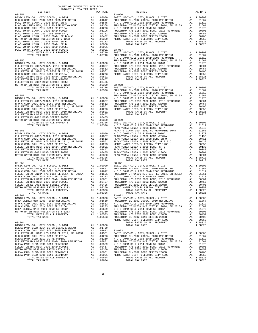| COUNTY OF ORANGE TAX RATE BOOK<br>2016-2017 TRA TAX RATES |         |         |                                                                                                                                                                                                                                                                                                                                                                                                                       |          |
|-----------------------------------------------------------|---------|---------|-----------------------------------------------------------------------------------------------------------------------------------------------------------------------------------------------------------------------------------------------------------------------------------------------------------------------------------------------------------------------------------------------------------------------|----------|
| DISTRICT                                                  |         |         | EATES<br>TAX RATE<br>DISTRICT                                                                                                                                                                                                                                                                                                                                                                                         | TAX RATE |
| $03 - 051$                                                |         |         | $03 - 066$                                                                                                                                                                                                                                                                                                                                                                                                            |          |
| $03 - 055$                                                |         |         | 9207, EVY-CO., CITY, SCHOOL, & DIST A1 1.00000<br>FULLERTON EL-2002, 2002A, 2010 REFUNDING A1 .01867<br>NOCCOMM COLL 2002 BOND 2005 REFUNDING A1 .01612<br>FULLERTON JT UNION H/S DIST_EL_2014, SR 2015A A1 .01561                                                                                                                                                                                                    |          |
|                                                           |         |         |                                                                                                                                                                                                                                                                                                                                                                                                                       |          |
| $03 - 057$                                                |         |         |                                                                                                                                                                                                                                                                                                                                                                                                                       |          |
|                                                           |         |         |                                                                                                                                                                                                                                                                                                                                                                                                                       |          |
| $03 - 059$                                                |         |         | $\begin{tabular}{l c c c c c c} \texttt{METRO WATER DIST-FULLERTON CITY 1203 & $\check{1}$ & 0.0050 & 03-069 \\ \texttt{10TA RATES ON ALL PROPERTIES}\end{tabular} \begin{tabular}{llllllll} \texttt{METRO WATEN DIST-FULLERTON CITY} & $\check{2011}$ & 0.0000 \\ \texttt{10A1} & $\check{101612}$ & 0.0000 \\ \texttt{10A2} & $\check{101612}$ & 0.0000 \\ \texttt{10A3} & $\check{101612}$ & 0.0000$<br>$03 - 071$ |          |
| TOTAL TAX RATE                                            | 1.08326 |         | TOTAL TAX RATE                                                                                                                                                                                                                                                                                                                                                                                                        | 1.08326  |
| 03-061                                                    |         |         | $03 - 072$                                                                                                                                                                                                                                                                                                                                                                                                            |          |
|                                                           |         |         |                                                                                                                                                                                                                                                                                                                                                                                                                       |          |
| TOTAL TAX RATE                                            |         | 1.09624 | TOTAL TAX RATE                                                                                                                                                                                                                                                                                                                                                                                                        | 1.08326  |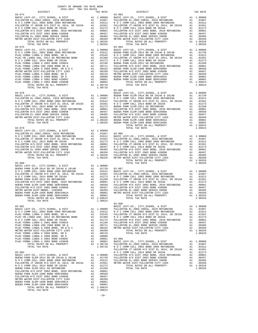| COUNTY OF ORANGE TAX RATE BOOK<br>2016-2017 TRA TAX RATES                                                                  |          |                                                                                                                                                                                                                                                                        |                       |
|----------------------------------------------------------------------------------------------------------------------------|----------|------------------------------------------------------------------------------------------------------------------------------------------------------------------------------------------------------------------------------------------------------------------------|-----------------------|
| DISTRICT                                                                                                                   | TAX RATE | DISTRICT                                                                                                                                                                                                                                                               | TAX RATE              |
| $03 - 074$                                                                                                                 |          | $03 - 083$                                                                                                                                                                                                                                                             |                       |
|                                                                                                                            |          |                                                                                                                                                                                                                                                                        |                       |
|                                                                                                                            |          |                                                                                                                                                                                                                                                                        |                       |
|                                                                                                                            |          | $03 - 085$                                                                                                                                                                                                                                                             |                       |
|                                                                                                                            |          | $\begin{tabular}{cccccc} 03-078 & 03-078 & 03-085 & 03-085 & 03-085 & 03-085 & 03-085 & 03-085 & 03-085 & 03-085 & 03-085 & 03-085 & 03-085 & 03-085 & 03-085 & 03-085 & 03-085 & 03-085 & 03-085 & 03-085 & 03-085 & 03-085 & 03-085 & 03-085 & 03-085 & 03-085 & 03$ |                       |
|                                                                                                                            |          |                                                                                                                                                                                                                                                                        |                       |
| A1 .00001<br>A1 1.09624<br>1.09624<br>BUENA PARK ELEM-1998 BOND SER#1999A<br>TOTAL RATES ON ALL PROPERTY<br>TOTAL TAX RATE | 1.09624  | $03 - 087$<br>TOTAL RATES ON ALL PROPERTY<br>TOTAL TAX RATE                                                                                                                                                                                                            | A1 1.08326<br>1.08326 |
|                                                                                                                            |          | $03 - 088$                                                                                                                                                                                                                                                             |                       |
| $03 - 082$                                                                                                                 |          | FULLERTON JT UNION H/S DIST EL 2014, SR 2015A A1 .01561<br>N O C COMM COLL 2014 BOND SR 2016A<br>TOTAL TAX RATE                                                                                                                                                        | A1 .01273<br>1.08326  |
| TOTAL TAX RATE                                                                                                             | 1.09624  |                                                                                                                                                                                                                                                                        |                       |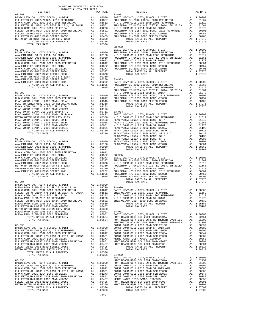| DISTRICT | TAX RATE | <b>DISTRICT</b>                                                                                                                                                                                                                                                                                                                                                                                                                                                        | TAX RATE |
|----------|----------|------------------------------------------------------------------------------------------------------------------------------------------------------------------------------------------------------------------------------------------------------------------------------------------------------------------------------------------------------------------------------------------------------------------------------------------------------------------------|----------|
|          |          |                                                                                                                                                                                                                                                                                                                                                                                                                                                                        |          |
|          |          | $\begin{bmatrix} 1.011 & 0.11 & 0.11 & 0.11 & 0.11 & 0.11 & 0.11 & 0.11 & 0.11 & 0.11 & 0.11 & 0.11 & 0.11 & 0.11 & 0.11 & 0.11 & 0.11 & 0.11 & 0.11 & 0.11 & 0.11 & 0.11 & 0.11 & 0.11 & 0.11 & 0.11 & 0.11 & 0.11 & 0.11 & 0.11 & 0.11 & 0.11 & 0.11 & 0.11 & 0.11 & 0.$                                                                                                                                                                                             |          |
|          |          |                                                                                                                                                                                                                                                                                                                                                                                                                                                                        |          |
|          |          |                                                                                                                                                                                                                                                                                                                                                                                                                                                                        |          |
|          |          |                                                                                                                                                                                                                                                                                                                                                                                                                                                                        |          |
|          |          |                                                                                                                                                                                                                                                                                                                                                                                                                                                                        |          |
|          |          | $\begin{tabular}{l c c c c c c} \hline $\mathbf{R} & $\mathbf{U} & $\mathbf{C}$ & $\mathbf{C} & $\mathbf{C} & $\mathbf{C} & $\mathbf{C} & $\mathbf{C}$ & $\mathbf{A} & $\mathbf{I} & $\mathbf{0}$ & $\mathbf{0}$ & $\mathbf{0}$ & $\mathbf{0}$ & $\mathbf{0}$ & $\mathbf{0}$ & $\mathbf{0}$ & $\mathbf{0}$ & $\mathbf{0}$ & $\mathbf{0}$ & $\mathbf{0}$ & $\mathbf{0}$ & $\mathbf{0}$ & $\mathbf{0}$ & $\mathbf{0}$ & $\mathbf{0}$ & $\mathbf{0}$ & $\mathbf{0}$ & $\$ |          |
|          |          | HUNTINGTON BCH EL 2002 2014A & 2015A REFUNDING A1 .01308                                                                                                                                                                                                                                                                                                                                                                                                               |          |
|          |          |                                                                                                                                                                                                                                                                                                                                                                                                                                                                        |          |
|          |          |                                                                                                                                                                                                                                                                                                                                                                                                                                                                        |          |

-27-

COUNTY OF ORANGE TAX RATE BOOK 2016-2017 TRA TAX RATES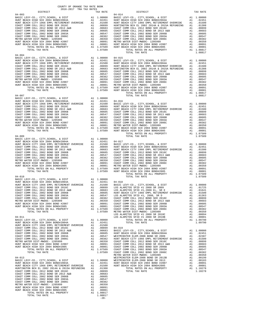| DISTRICT   | TAX RATE | DISTRICT                                                                                                                                                                                                                      | TAX RATE |
|------------|----------|-------------------------------------------------------------------------------------------------------------------------------------------------------------------------------------------------------------------------------|----------|
| $04 - 003$ |          | $04 - 014$                                                                                                                                                                                                                    |          |
|            |          |                                                                                                                                                                                                                               |          |
|            |          |                                                                                                                                                                                                                               |          |
|            |          |                                                                                                                                                                                                                               |          |
|            |          |                                                                                                                                                                                                                               |          |
|            |          |                                                                                                                                                                                                                               |          |
|            |          |                                                                                                                                                                                                                               |          |
|            |          |                                                                                                                                                                                                                               |          |
|            |          |                                                                                                                                                                                                                               |          |
|            |          |                                                                                                                                                                                                                               |          |
|            |          |                                                                                                                                                                                                                               |          |
|            |          |                                                                                                                                                                                                                               |          |
| $04 - 004$ |          |                                                                                                                                                                                                                               |          |
|            |          |                                                                                                                                                                                                                               |          |
|            |          |                                                                                                                                                                                                                               |          |
|            |          |                                                                                                                                                                                                                               |          |
|            |          |                                                                                                                                                                                                                               |          |
|            |          |                                                                                                                                                                                                                               |          |
|            |          |                                                                                                                                                                                                                               |          |
|            |          |                                                                                                                                                                                                                               |          |
|            |          |                                                                                                                                                                                                                               |          |
|            |          |                                                                                                                                                                                                                               |          |
|            |          |                                                                                                                                                                                                                               |          |
|            |          |                                                                                                                                                                                                                               |          |
|            |          | TOTAL TAX RATE                                                                                                                                                                                                                | 1.08817  |
|            |          |                                                                                                                                                                                                                               |          |
|            |          |                                                                                                                                                                                                                               |          |
|            |          |                                                                                                                                                                                                                               |          |
|            |          |                                                                                                                                                                                                                               |          |
|            |          |                                                                                                                                                                                                                               |          |
|            |          |                                                                                                                                                                                                                               |          |
|            |          |                                                                                                                                                                                                                               |          |
|            |          |                                                                                                                                                                                                                               |          |
|            |          |                                                                                                                                                                                                                               |          |
|            |          |                                                                                                                                                                                                                               |          |
|            |          |                                                                                                                                                                                                                               |          |
|            |          |                                                                                                                                                                                                                               |          |
|            |          |                                                                                                                                                                                                                               |          |
|            |          |                                                                                                                                                                                                                               |          |
|            |          |                                                                                                                                                                                                                               |          |
|            |          |                                                                                                                                                                                                                               |          |
|            |          |                                                                                                                                                                                                                               |          |
|            |          |                                                                                                                                                                                                                               |          |
|            |          |                                                                                                                                                                                                                               |          |
|            |          |                                                                                                                                                                                                                               |          |
|            |          |                                                                                                                                                                                                                               |          |
|            |          |                                                                                                                                                                                                                               |          |
|            |          |                                                                                                                                                                                                                               |          |
|            |          |                                                                                                                                                                                                                               |          |
|            |          |                                                                                                                                                                                                                               |          |
|            |          |                                                                                                                                                                                                                               |          |
|            |          |                                                                                                                                                                                                                               |          |
|            |          |                                                                                                                                                                                                                               |          |
|            |          |                                                                                                                                                                                                                               |          |
|            |          |                                                                                                                                                                                                                               |          |
|            |          |                                                                                                                                                                                                                               |          |
|            |          |                                                                                                                                                                                                                               |          |
|            |          |                                                                                                                                                                                                                               |          |
|            |          |                                                                                                                                                                                                                               |          |
|            |          |                                                                                                                                                                                                                               |          |
|            |          |                                                                                                                                                                                                                               |          |
|            |          |                                                                                                                                                                                                                               |          |
|            |          |                                                                                                                                                                                                                               |          |
|            |          |                                                                                                                                                                                                                               |          |
|            |          |                                                                                                                                                                                                                               |          |
|            |          |                                                                                                                                                                                                                               |          |
|            |          |                                                                                                                                                                                                                               |          |
|            |          |                                                                                                                                                                                                                               |          |
|            |          |                                                                                                                                                                                                                               |          |
|            |          |                                                                                                                                                                                                                               |          |
|            |          |                                                                                                                                                                                                                               |          |
|            |          |                                                                                                                                                                                                                               |          |
|            |          |                                                                                                                                                                                                                               |          |
|            |          |                                                                                                                                                                                                                               |          |
|            |          |                                                                                                                                                                                                                               |          |
|            |          |                                                                                                                                                                                                                               |          |
|            |          |                                                                                                                                                                                                                               |          |
|            |          |                                                                                                                                                                                                                               |          |
|            |          |                                                                                                                                                                                                                               |          |
|            |          |                                                                                                                                                                                                                               |          |
|            |          |                                                                                                                                                                                                                               |          |
|            |          |                                                                                                                                                                                                                               |          |
|            | $-28-$   | 1791. THE REAL PROPERTY AS A SERIE PROPERTY AND THE PROPERTY AND THE REAL PROPERTY AND THE REAL PROPERTY AND A SERIE PROPERTY AND A SERIE PROPERTY AND THE REAL PROPERTY AND REAL PROPERTY AND REAL PROPERTY AND REAL PROPERT |          |
|            |          |                                                                                                                                                                                                                               |          |

COUNTY OF ORANGE TAX RATE BOOK 2016-2017 TRA TAX RATES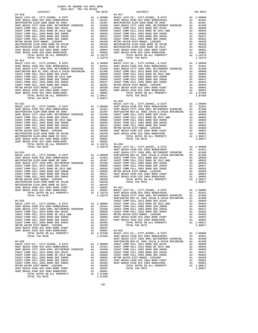| $04 - 028$<br>$04 - 021$<br>1.08817<br>TOTAL TAX RATE<br>$\begin{tabular}{cccc} 0.4-0.22 & 0.4-0.29 & 0.4-0.29 & 0.4-0.29 & 0.4-0.29 & 0.4-0.29 & 0.4-0.29 & 0.4-0.29 & 0.4-0.29 & 0.4-0.29 & 0.4-0.29 & 0.4-0.29 & 0.4-0.29 & 0.4-0.29 & 0.4-0.29 & 0.4-0.29 & 0.4-0.29 & 0.4-0.29 & 0.4-0.29 & 0.4-0.29 & 0.4-0.29 & 0$<br>$\begin{tabular}{cccccccc} \textsc{HOMY BACI HMIS OR NLOI} & \textsc{MMI} & \textsc{MMI} & \textsc{MMI} & \textsc{MMI} & \textsc{MMI} & \textsc{MMI} & \textsc{MMI} & \textsc{MMI} & \textsc{MMI} & \textsc{MMI} & \textsc{MMI} & \textsc{MMI} & \textsc{MMI} & \textsc{MMI} & \textsc{MMI} & \textsc{MMI} & \textsc{MMI} & \textsc{MMI} & \textsc{MMI} & \textsc{MMI} & \textsc{MMI} & \textsc{MMI} & \textsc{MMI} & \textsc{MMI} &$<br>HUNTINGTON BCH EL 2002 2014A & 2015A REFUNDING A1 .01308 | DISTRICT | TAX RATE | DISTRICT | TAX RATE |
|--------------------------------------------------------------------------------------------------------------------------------------------------------------------------------------------------------------------------------------------------------------------------------------------------------------------------------------------------------------------------------------------------------------------------------------------------------------------------------------------------------------------------------------------------------------------------------------------------------------------------------------------------------------------------------------------------------------------------------------------------------------------------------------------------------------------------------|----------|----------|----------|----------|
|                                                                                                                                                                                                                                                                                                                                                                                                                                                                                                                                                                                                                                                                                                                                                                                                                                |          |          |          |          |
|                                                                                                                                                                                                                                                                                                                                                                                                                                                                                                                                                                                                                                                                                                                                                                                                                                |          |          |          |          |
|                                                                                                                                                                                                                                                                                                                                                                                                                                                                                                                                                                                                                                                                                                                                                                                                                                |          |          |          |          |
|                                                                                                                                                                                                                                                                                                                                                                                                                                                                                                                                                                                                                                                                                                                                                                                                                                |          |          |          |          |
|                                                                                                                                                                                                                                                                                                                                                                                                                                                                                                                                                                                                                                                                                                                                                                                                                                |          |          |          |          |
|                                                                                                                                                                                                                                                                                                                                                                                                                                                                                                                                                                                                                                                                                                                                                                                                                                |          |          |          |          |
|                                                                                                                                                                                                                                                                                                                                                                                                                                                                                                                                                                                                                                                                                                                                                                                                                                |          |          |          |          |
|                                                                                                                                                                                                                                                                                                                                                                                                                                                                                                                                                                                                                                                                                                                                                                                                                                |          |          |          |          |
|                                                                                                                                                                                                                                                                                                                                                                                                                                                                                                                                                                                                                                                                                                                                                                                                                                |          |          |          |          |
|                                                                                                                                                                                                                                                                                                                                                                                                                                                                                                                                                                                                                                                                                                                                                                                                                                |          |          |          |          |
|                                                                                                                                                                                                                                                                                                                                                                                                                                                                                                                                                                                                                                                                                                                                                                                                                                |          |          |          |          |
|                                                                                                                                                                                                                                                                                                                                                                                                                                                                                                                                                                                                                                                                                                                                                                                                                                |          |          |          |          |
|                                                                                                                                                                                                                                                                                                                                                                                                                                                                                                                                                                                                                                                                                                                                                                                                                                |          |          |          |          |
|                                                                                                                                                                                                                                                                                                                                                                                                                                                                                                                                                                                                                                                                                                                                                                                                                                |          |          |          |          |
|                                                                                                                                                                                                                                                                                                                                                                                                                                                                                                                                                                                                                                                                                                                                                                                                                                |          |          |          |          |
|                                                                                                                                                                                                                                                                                                                                                                                                                                                                                                                                                                                                                                                                                                                                                                                                                                |          |          |          |          |
|                                                                                                                                                                                                                                                                                                                                                                                                                                                                                                                                                                                                                                                                                                                                                                                                                                |          |          |          |          |
|                                                                                                                                                                                                                                                                                                                                                                                                                                                                                                                                                                                                                                                                                                                                                                                                                                |          |          |          |          |
|                                                                                                                                                                                                                                                                                                                                                                                                                                                                                                                                                                                                                                                                                                                                                                                                                                |          |          |          |          |
|                                                                                                                                                                                                                                                                                                                                                                                                                                                                                                                                                                                                                                                                                                                                                                                                                                |          |          |          |          |
|                                                                                                                                                                                                                                                                                                                                                                                                                                                                                                                                                                                                                                                                                                                                                                                                                                |          |          |          |          |
|                                                                                                                                                                                                                                                                                                                                                                                                                                                                                                                                                                                                                                                                                                                                                                                                                                |          |          |          |          |
|                                                                                                                                                                                                                                                                                                                                                                                                                                                                                                                                                                                                                                                                                                                                                                                                                                |          |          |          |          |
|                                                                                                                                                                                                                                                                                                                                                                                                                                                                                                                                                                                                                                                                                                                                                                                                                                |          |          |          |          |
|                                                                                                                                                                                                                                                                                                                                                                                                                                                                                                                                                                                                                                                                                                                                                                                                                                |          |          |          |          |
|                                                                                                                                                                                                                                                                                                                                                                                                                                                                                                                                                                                                                                                                                                                                                                                                                                |          |          |          |          |
|                                                                                                                                                                                                                                                                                                                                                                                                                                                                                                                                                                                                                                                                                                                                                                                                                                |          |          |          |          |
|                                                                                                                                                                                                                                                                                                                                                                                                                                                                                                                                                                                                                                                                                                                                                                                                                                |          |          |          |          |
|                                                                                                                                                                                                                                                                                                                                                                                                                                                                                                                                                                                                                                                                                                                                                                                                                                |          |          |          |          |
|                                                                                                                                                                                                                                                                                                                                                                                                                                                                                                                                                                                                                                                                                                                                                                                                                                |          |          |          |          |
|                                                                                                                                                                                                                                                                                                                                                                                                                                                                                                                                                                                                                                                                                                                                                                                                                                |          |          |          |          |
|                                                                                                                                                                                                                                                                                                                                                                                                                                                                                                                                                                                                                                                                                                                                                                                                                                |          |          |          |          |
|                                                                                                                                                                                                                                                                                                                                                                                                                                                                                                                                                                                                                                                                                                                                                                                                                                |          |          |          |          |
|                                                                                                                                                                                                                                                                                                                                                                                                                                                                                                                                                                                                                                                                                                                                                                                                                                |          |          |          |          |
|                                                                                                                                                                                                                                                                                                                                                                                                                                                                                                                                                                                                                                                                                                                                                                                                                                |          |          |          |          |
|                                                                                                                                                                                                                                                                                                                                                                                                                                                                                                                                                                                                                                                                                                                                                                                                                                |          |          |          |          |
|                                                                                                                                                                                                                                                                                                                                                                                                                                                                                                                                                                                                                                                                                                                                                                                                                                |          |          |          |          |
|                                                                                                                                                                                                                                                                                                                                                                                                                                                                                                                                                                                                                                                                                                                                                                                                                                |          |          |          |          |
|                                                                                                                                                                                                                                                                                                                                                                                                                                                                                                                                                                                                                                                                                                                                                                                                                                |          |          |          |          |
|                                                                                                                                                                                                                                                                                                                                                                                                                                                                                                                                                                                                                                                                                                                                                                                                                                |          |          |          |          |
|                                                                                                                                                                                                                                                                                                                                                                                                                                                                                                                                                                                                                                                                                                                                                                                                                                |          |          |          |          |
|                                                                                                                                                                                                                                                                                                                                                                                                                                                                                                                                                                                                                                                                                                                                                                                                                                |          |          |          |          |
|                                                                                                                                                                                                                                                                                                                                                                                                                                                                                                                                                                                                                                                                                                                                                                                                                                |          |          |          |          |
|                                                                                                                                                                                                                                                                                                                                                                                                                                                                                                                                                                                                                                                                                                                                                                                                                                |          |          |          |          |
|                                                                                                                                                                                                                                                                                                                                                                                                                                                                                                                                                                                                                                                                                                                                                                                                                                |          |          |          |          |
|                                                                                                                                                                                                                                                                                                                                                                                                                                                                                                                                                                                                                                                                                                                                                                                                                                |          |          |          |          |
|                                                                                                                                                                                                                                                                                                                                                                                                                                                                                                                                                                                                                                                                                                                                                                                                                                |          |          |          |          |
|                                                                                                                                                                                                                                                                                                                                                                                                                                                                                                                                                                                                                                                                                                                                                                                                                                |          |          |          |          |
|                                                                                                                                                                                                                                                                                                                                                                                                                                                                                                                                                                                                                                                                                                                                                                                                                                |          |          |          |          |
|                                                                                                                                                                                                                                                                                                                                                                                                                                                                                                                                                                                                                                                                                                                                                                                                                                |          |          |          |          |
|                                                                                                                                                                                                                                                                                                                                                                                                                                                                                                                                                                                                                                                                                                                                                                                                                                |          |          |          |          |
|                                                                                                                                                                                                                                                                                                                                                                                                                                                                                                                                                                                                                                                                                                                                                                                                                                |          |          |          |          |
|                                                                                                                                                                                                                                                                                                                                                                                                                                                                                                                                                                                                                                                                                                                                                                                                                                |          |          |          |          |
|                                                                                                                                                                                                                                                                                                                                                                                                                                                                                                                                                                                                                                                                                                                                                                                                                                |          |          |          |          |
|                                                                                                                                                                                                                                                                                                                                                                                                                                                                                                                                                                                                                                                                                                                                                                                                                                |          |          |          |          |
|                                                                                                                                                                                                                                                                                                                                                                                                                                                                                                                                                                                                                                                                                                                                                                                                                                |          |          |          |          |
|                                                                                                                                                                                                                                                                                                                                                                                                                                                                                                                                                                                                                                                                                                                                                                                                                                |          |          |          |          |
|                                                                                                                                                                                                                                                                                                                                                                                                                                                                                                                                                                                                                                                                                                                                                                                                                                |          |          |          |          |
|                                                                                                                                                                                                                                                                                                                                                                                                                                                                                                                                                                                                                                                                                                                                                                                                                                |          |          |          |          |
|                                                                                                                                                                                                                                                                                                                                                                                                                                                                                                                                                                                                                                                                                                                                                                                                                                |          |          |          |          |
|                                                                                                                                                                                                                                                                                                                                                                                                                                                                                                                                                                                                                                                                                                                                                                                                                                |          |          |          |          |
|                                                                                                                                                                                                                                                                                                                                                                                                                                                                                                                                                                                                                                                                                                                                                                                                                                |          |          |          |          |
|                                                                                                                                                                                                                                                                                                                                                                                                                                                                                                                                                                                                                                                                                                                                                                                                                                |          |          |          |          |
|                                                                                                                                                                                                                                                                                                                                                                                                                                                                                                                                                                                                                                                                                                                                                                                                                                |          |          |          |          |
|                                                                                                                                                                                                                                                                                                                                                                                                                                                                                                                                                                                                                                                                                                                                                                                                                                |          |          |          |          |
|                                                                                                                                                                                                                                                                                                                                                                                                                                                                                                                                                                                                                                                                                                                                                                                                                                |          |          |          |          |
|                                                                                                                                                                                                                                                                                                                                                                                                                                                                                                                                                                                                                                                                                                                                                                                                                                |          |          |          |          |
|                                                                                                                                                                                                                                                                                                                                                                                                                                                                                                                                                                                                                                                                                                                                                                                                                                |          |          |          |          |
|                                                                                                                                                                                                                                                                                                                                                                                                                                                                                                                                                                                                                                                                                                                                                                                                                                |          |          |          |          |
|                                                                                                                                                                                                                                                                                                                                                                                                                                                                                                                                                                                                                                                                                                                                                                                                                                |          |          |          |          |
|                                                                                                                                                                                                                                                                                                                                                                                                                                                                                                                                                                                                                                                                                                                                                                                                                                |          |          |          |          |
|                                                                                                                                                                                                                                                                                                                                                                                                                                                                                                                                                                                                                                                                                                                                                                                                                                |          |          |          |          |
|                                                                                                                                                                                                                                                                                                                                                                                                                                                                                                                                                                                                                                                                                                                                                                                                                                |          |          |          |          |
|                                                                                                                                                                                                                                                                                                                                                                                                                                                                                                                                                                                                                                                                                                                                                                                                                                |          |          |          |          |
|                                                                                                                                                                                                                                                                                                                                                                                                                                                                                                                                                                                                                                                                                                                                                                                                                                |          |          |          |          |
|                                                                                                                                                                                                                                                                                                                                                                                                                                                                                                                                                                                                                                                                                                                                                                                                                                |          |          |          |          |
|                                                                                                                                                                                                                                                                                                                                                                                                                                                                                                                                                                                                                                                                                                                                                                                                                                |          |          |          |          |
|                                                                                                                                                                                                                                                                                                                                                                                                                                                                                                                                                                                                                                                                                                                                                                                                                                |          |          |          |          |
|                                                                                                                                                                                                                                                                                                                                                                                                                                                                                                                                                                                                                                                                                                                                                                                                                                |          |          |          |          |
|                                                                                                                                                                                                                                                                                                                                                                                                                                                                                                                                                                                                                                                                                                                                                                                                                                |          |          |          |          |
|                                                                                                                                                                                                                                                                                                                                                                                                                                                                                                                                                                                                                                                                                                                                                                                                                                |          |          |          |          |

-29-

COUNTY OF ORANGE TAX RATE BOOK 2016-2017 TRA TAX RATES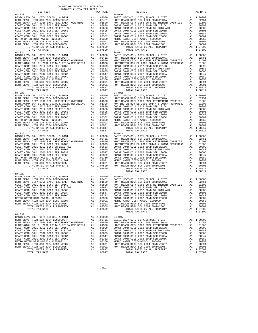| 2016-2017 TRA TAX RATES<br>DISTRICT | TAX RATE | DISTRICT                                                                                                                                                                                                                                                                                                                                                            | TAX RATE |
|-------------------------------------|----------|---------------------------------------------------------------------------------------------------------------------------------------------------------------------------------------------------------------------------------------------------------------------------------------------------------------------------------------------------------------------|----------|
| $04 - 033$                          |          | $04 - 040$                                                                                                                                                                                                                                                                                                                                                          |          |
|                                     |          |                                                                                                                                                                                                                                                                                                                                                                     |          |
|                                     |          |                                                                                                                                                                                                                                                                                                                                                                     |          |
|                                     |          |                                                                                                                                                                                                                                                                                                                                                                     |          |
|                                     |          |                                                                                                                                                                                                                                                                                                                                                                     |          |
|                                     |          |                                                                                                                                                                                                                                                                                                                                                                     |          |
|                                     |          |                                                                                                                                                                                                                                                                                                                                                                     |          |
|                                     |          |                                                                                                                                                                                                                                                                                                                                                                     |          |
|                                     |          |                                                                                                                                                                                                                                                                                                                                                                     |          |
|                                     |          |                                                                                                                                                                                                                                                                                                                                                                     |          |
|                                     |          |                                                                                                                                                                                                                                                                                                                                                                     |          |
|                                     |          |                                                                                                                                                                                                                                                                                                                                                                     |          |
|                                     |          |                                                                                                                                                                                                                                                                                                                                                                     |          |
|                                     |          |                                                                                                                                                                                                                                                                                                                                                                     |          |
|                                     |          |                                                                                                                                                                                                                                                                                                                                                                     |          |
|                                     |          |                                                                                                                                                                                                                                                                                                                                                                     |          |
|                                     |          |                                                                                                                                                                                                                                                                                                                                                                     |          |
|                                     |          |                                                                                                                                                                                                                                                                                                                                                                     |          |
|                                     |          |                                                                                                                                                                                                                                                                                                                                                                     |          |
|                                     |          |                                                                                                                                                                                                                                                                                                                                                                     |          |
|                                     |          |                                                                                                                                                                                                                                                                                                                                                                     |          |
|                                     |          |                                                                                                                                                                                                                                                                                                                                                                     |          |
|                                     |          |                                                                                                                                                                                                                                                                                                                                                                     |          |
|                                     |          |                                                                                                                                                                                                                                                                                                                                                                     |          |
|                                     |          |                                                                                                                                                                                                                                                                                                                                                                     |          |
|                                     |          |                                                                                                                                                                                                                                                                                                                                                                     |          |
|                                     |          |                                                                                                                                                                                                                                                                                                                                                                     |          |
|                                     |          |                                                                                                                                                                                                                                                                                                                                                                     |          |
|                                     |          |                                                                                                                                                                                                                                                                                                                                                                     |          |
|                                     |          |                                                                                                                                                                                                                                                                                                                                                                     |          |
|                                     |          |                                                                                                                                                                                                                                                                                                                                                                     |          |
|                                     |          |                                                                                                                                                                                                                                                                                                                                                                     |          |
|                                     |          |                                                                                                                                                                                                                                                                                                                                                                     |          |
|                                     |          |                                                                                                                                                                                                                                                                                                                                                                     |          |
|                                     |          |                                                                                                                                                                                                                                                                                                                                                                     |          |
|                                     |          |                                                                                                                                                                                                                                                                                                                                                                     |          |
|                                     |          | $\begin{tabular}{l c c c c c c} {\it HUNT BEACH CITY 1966 E MPD REZHE NPT OVERIDER & 0.01500 & {\it HUNT BEACH CITY 1966 E MPDEREDER} & 0.01500 & 0.010000 & {\it HUNT BEACH CITY 1966 E MPDEREDER} & 0.01500 & 0.010000 & 0.0100000 & 0.0100000 & 0.01000000 \\ \hline \end{tabular} \begin{tabular}{l c c c c c c} {\it HUNT BECH DINC} & 0.0150$                 |          |
|                                     |          |                                                                                                                                                                                                                                                                                                                                                                     |          |
|                                     |          |                                                                                                                                                                                                                                                                                                                                                                     |          |
|                                     |          |                                                                                                                                                                                                                                                                                                                                                                     |          |
|                                     |          |                                                                                                                                                                                                                                                                                                                                                                     |          |
|                                     |          |                                                                                                                                                                                                                                                                                                                                                                     |          |
|                                     |          |                                                                                                                                                                                                                                                                                                                                                                     |          |
|                                     |          |                                                                                                                                                                                                                                                                                                                                                                     |          |
|                                     |          |                                                                                                                                                                                                                                                                                                                                                                     |          |
|                                     |          |                                                                                                                                                                                                                                                                                                                                                                     |          |
|                                     |          |                                                                                                                                                                                                                                                                                                                                                                     |          |
|                                     |          |                                                                                                                                                                                                                                                                                                                                                                     |          |
|                                     |          |                                                                                                                                                                                                                                                                                                                                                                     |          |
|                                     |          |                                                                                                                                                                                                                                                                                                                                                                     |          |
|                                     |          |                                                                                                                                                                                                                                                                                                                                                                     |          |
|                                     |          |                                                                                                                                                                                                                                                                                                                                                                     |          |
| $04 - 038$                          |          |                                                                                                                                                                                                                                                                                                                                                                     |          |
|                                     |          |                                                                                                                                                                                                                                                                                                                                                                     |          |
|                                     |          |                                                                                                                                                                                                                                                                                                                                                                     |          |
|                                     |          |                                                                                                                                                                                                                                                                                                                                                                     |          |
|                                     |          |                                                                                                                                                                                                                                                                                                                                                                     |          |
|                                     |          |                                                                                                                                                                                                                                                                                                                                                                     |          |
|                                     |          |                                                                                                                                                                                                                                                                                                                                                                     |          |
|                                     |          |                                                                                                                                                                                                                                                                                                                                                                     |          |
|                                     |          |                                                                                                                                                                                                                                                                                                                                                                     |          |
|                                     |          | COAST COMM COLL 2002 BOND SER 2006<br>METRO WATER DIST COMM COLL 2002 BOND SER 2006C<br>METRO WATER DIST -MWDOC- 120599<br>HUNT BEACH HIGH SCH 2004 BOND #2007<br>HUNT BEACH HIGH SCH 2004 BOND #2007<br>HUNT BEACH HIGH SCH 2004 BOND                                                                                                                              |          |
|                                     |          |                                                                                                                                                                                                                                                                                                                                                                     |          |
|                                     |          |                                                                                                                                                                                                                                                                                                                                                                     |          |
|                                     |          | TOTAL TAX RATE                                                                                                                                                                                                                                                                                                                                                      | 1.07509  |
| $04 - 039$                          |          |                                                                                                                                                                                                                                                                                                                                                                     |          |
|                                     |          |                                                                                                                                                                                                                                                                                                                                                                     |          |
|                                     |          |                                                                                                                                                                                                                                                                                                                                                                     |          |
|                                     |          |                                                                                                                                                                                                                                                                                                                                                                     |          |
|                                     |          |                                                                                                                                                                                                                                                                                                                                                                     |          |
|                                     |          |                                                                                                                                                                                                                                                                                                                                                                     |          |
|                                     |          |                                                                                                                                                                                                                                                                                                                                                                     |          |
|                                     |          |                                                                                                                                                                                                                                                                                                                                                                     |          |
|                                     |          |                                                                                                                                                                                                                                                                                                                                                                     |          |
|                                     |          | $\begin{tabular}{cccccc} 04-039 & 04-039 & 04-046 \\ \hline HOMT BEACH HIGH SCH 2004 BONDH2004A & 01.00000 & 04-045 \\ \hline HUMT BEACH HIGH SCH 2004 BONDH2004A & 01.02451 & 02451 \\ \hline HUMT BEACH HIGH SCH 2004 BONDH2014A & 2015A RETUNDING & 1.0350 \\ \hline HOMT T BEACH HIGH 2012  BOND SER 2016C & 1.0350 \\ \hline COAST COMM COLL 2012 BOND SER 20$ |          |
|                                     |          |                                                                                                                                                                                                                                                                                                                                                                     |          |
|                                     |          |                                                                                                                                                                                                                                                                                                                                                                     |          |
|                                     |          |                                                                                                                                                                                                                                                                                                                                                                     |          |

COUNTY OF ORANGE TAX RATE BOOK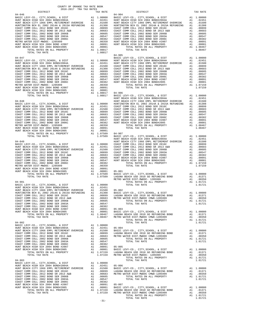| COUNTY OF ORANGE TAX RATE BOOK<br>2016-2017 TRA TAX RATES<br>$2016-2017\quad\text{TRA RATES}\label{eq:2016-2017}$ DISTRICT |          |                                                                                                                                                                                                                                                                                                                                                                                                                                                                                                                        |            |
|----------------------------------------------------------------------------------------------------------------------------|----------|------------------------------------------------------------------------------------------------------------------------------------------------------------------------------------------------------------------------------------------------------------------------------------------------------------------------------------------------------------------------------------------------------------------------------------------------------------------------------------------------------------------------|------------|
|                                                                                                                            | TAX RATE | DISTRICT                                                                                                                                                                                                                                                                                                                                                                                                                                                                                                               | TAX RATE   |
| $04 - 046$                                                                                                                 |          | $04 - 904$                                                                                                                                                                                                                                                                                                                                                                                                                                                                                                             |            |
|                                                                                                                            |          |                                                                                                                                                                                                                                                                                                                                                                                                                                                                                                                        |            |
|                                                                                                                            |          |                                                                                                                                                                                                                                                                                                                                                                                                                                                                                                                        |            |
|                                                                                                                            |          |                                                                                                                                                                                                                                                                                                                                                                                                                                                                                                                        |            |
|                                                                                                                            |          |                                                                                                                                                                                                                                                                                                                                                                                                                                                                                                                        |            |
|                                                                                                                            |          |                                                                                                                                                                                                                                                                                                                                                                                                                                                                                                                        |            |
|                                                                                                                            |          |                                                                                                                                                                                                                                                                                                                                                                                                                                                                                                                        |            |
|                                                                                                                            |          |                                                                                                                                                                                                                                                                                                                                                                                                                                                                                                                        |            |
|                                                                                                                            |          |                                                                                                                                                                                                                                                                                                                                                                                                                                                                                                                        |            |
|                                                                                                                            |          |                                                                                                                                                                                                                                                                                                                                                                                                                                                                                                                        |            |
| TOTAL TAX RATE                                                                                                             | 1.08817  |                                                                                                                                                                                                                                                                                                                                                                                                                                                                                                                        |            |
|                                                                                                                            |          |                                                                                                                                                                                                                                                                                                                                                                                                                                                                                                                        |            |
|                                                                                                                            |          |                                                                                                                                                                                                                                                                                                                                                                                                                                                                                                                        |            |
|                                                                                                                            |          |                                                                                                                                                                                                                                                                                                                                                                                                                                                                                                                        |            |
|                                                                                                                            |          |                                                                                                                                                                                                                                                                                                                                                                                                                                                                                                                        |            |
|                                                                                                                            |          |                                                                                                                                                                                                                                                                                                                                                                                                                                                                                                                        |            |
|                                                                                                                            |          |                                                                                                                                                                                                                                                                                                                                                                                                                                                                                                                        |            |
|                                                                                                                            |          |                                                                                                                                                                                                                                                                                                                                                                                                                                                                                                                        |            |
|                                                                                                                            |          |                                                                                                                                                                                                                                                                                                                                                                                                                                                                                                                        |            |
|                                                                                                                            |          |                                                                                                                                                                                                                                                                                                                                                                                                                                                                                                                        |            |
|                                                                                                                            |          |                                                                                                                                                                                                                                                                                                                                                                                                                                                                                                                        |            |
|                                                                                                                            |          |                                                                                                                                                                                                                                                                                                                                                                                                                                                                                                                        |            |
|                                                                                                                            |          |                                                                                                                                                                                                                                                                                                                                                                                                                                                                                                                        |            |
|                                                                                                                            |          |                                                                                                                                                                                                                                                                                                                                                                                                                                                                                                                        |            |
|                                                                                                                            |          |                                                                                                                                                                                                                                                                                                                                                                                                                                                                                                                        |            |
|                                                                                                                            |          |                                                                                                                                                                                                                                                                                                                                                                                                                                                                                                                        |            |
|                                                                                                                            |          |                                                                                                                                                                                                                                                                                                                                                                                                                                                                                                                        |            |
|                                                                                                                            |          |                                                                                                                                                                                                                                                                                                                                                                                                                                                                                                                        |            |
|                                                                                                                            |          |                                                                                                                                                                                                                                                                                                                                                                                                                                                                                                                        |            |
|                                                                                                                            |          |                                                                                                                                                                                                                                                                                                                                                                                                                                                                                                                        |            |
|                                                                                                                            |          |                                                                                                                                                                                                                                                                                                                                                                                                                                                                                                                        |            |
|                                                                                                                            |          |                                                                                                                                                                                                                                                                                                                                                                                                                                                                                                                        |            |
|                                                                                                                            |          |                                                                                                                                                                                                                                                                                                                                                                                                                                                                                                                        |            |
|                                                                                                                            |          |                                                                                                                                                                                                                                                                                                                                                                                                                                                                                                                        |            |
|                                                                                                                            |          |                                                                                                                                                                                                                                                                                                                                                                                                                                                                                                                        |            |
|                                                                                                                            |          |                                                                                                                                                                                                                                                                                                                                                                                                                                                                                                                        |            |
|                                                                                                                            |          |                                                                                                                                                                                                                                                                                                                                                                                                                                                                                                                        |            |
|                                                                                                                            |          |                                                                                                                                                                                                                                                                                                                                                                                                                                                                                                                        |            |
|                                                                                                                            |          |                                                                                                                                                                                                                                                                                                                                                                                                                                                                                                                        |            |
|                                                                                                                            |          |                                                                                                                                                                                                                                                                                                                                                                                                                                                                                                                        |            |
|                                                                                                                            |          |                                                                                                                                                                                                                                                                                                                                                                                                                                                                                                                        |            |
|                                                                                                                            |          |                                                                                                                                                                                                                                                                                                                                                                                                                                                                                                                        |            |
|                                                                                                                            |          |                                                                                                                                                                                                                                                                                                                                                                                                                                                                                                                        |            |
|                                                                                                                            |          |                                                                                                                                                                                                                                                                                                                                                                                                                                                                                                                        |            |
|                                                                                                                            |          |                                                                                                                                                                                                                                                                                                                                                                                                                                                                                                                        |            |
|                                                                                                                            |          |                                                                                                                                                                                                                                                                                                                                                                                                                                                                                                                        |            |
|                                                                                                                            |          | $\begin{tabular}{l cccc} \multicolumn{4}{c}{\begin{tabular}{l cccccccc} \multicolumn{4}{c}{\begin{tabular}{l cccc} \multicolumn{4}{c}{\begin{tabular}{l cccc} \multicolumn{4}{c}{\begin{tabular}{l cccc} \multicolumn{4}{c}{\begin{tabular}{l cccc} \multicolumn{4}{c}{\begin{tabular}{l cccc} \multicolumn{4}{c}{\begin{tabular}{l cccc} \multicolumn{4}{c}{\begin{tabular}{l cccc} \multicolumn{4}{c}{\begin{tabular}{l cccc} \multicolumn{4}{c}{\begin{tabular}{l cccc} \multicolumn{4}{c}{\begin{tabular}{l cccc}$ |            |
|                                                                                                                            |          |                                                                                                                                                                                                                                                                                                                                                                                                                                                                                                                        |            |
|                                                                                                                            |          |                                                                                                                                                                                                                                                                                                                                                                                                                                                                                                                        |            |
|                                                                                                                            |          | HUNTINGTON BCH EL 2002 2014A & 2015A REFUNDING A1 .01308 BASIC LEVY-CO., CITY, SCHOOL, & DIST                                                                                                                                                                                                                                                                                                                                                                                                                          | A1 1.00000 |
|                                                                                                                            |          |                                                                                                                                                                                                                                                                                                                                                                                                                                                                                                                        |            |
|                                                                                                                            |          |                                                                                                                                                                                                                                                                                                                                                                                                                                                                                                                        |            |
|                                                                                                                            |          |                                                                                                                                                                                                                                                                                                                                                                                                                                                                                                                        |            |
|                                                                                                                            |          |                                                                                                                                                                                                                                                                                                                                                                                                                                                                                                                        |            |
|                                                                                                                            |          |                                                                                                                                                                                                                                                                                                                                                                                                                                                                                                                        |            |
|                                                                                                                            |          |                                                                                                                                                                                                                                                                                                                                                                                                                                                                                                                        |            |
|                                                                                                                            |          |                                                                                                                                                                                                                                                                                                                                                                                                                                                                                                                        |            |
|                                                                                                                            |          |                                                                                                                                                                                                                                                                                                                                                                                                                                                                                                                        |            |
|                                                                                                                            |          |                                                                                                                                                                                                                                                                                                                                                                                                                                                                                                                        |            |
|                                                                                                                            |          |                                                                                                                                                                                                                                                                                                                                                                                                                                                                                                                        |            |
|                                                                                                                            |          |                                                                                                                                                                                                                                                                                                                                                                                                                                                                                                                        |            |
|                                                                                                                            |          |                                                                                                                                                                                                                                                                                                                                                                                                                                                                                                                        |            |
|                                                                                                                            |          |                                                                                                                                                                                                                                                                                                                                                                                                                                                                                                                        |            |
|                                                                                                                            |          |                                                                                                                                                                                                                                                                                                                                                                                                                                                                                                                        |            |
|                                                                                                                            |          |                                                                                                                                                                                                                                                                                                                                                                                                                                                                                                                        |            |
|                                                                                                                            |          |                                                                                                                                                                                                                                                                                                                                                                                                                                                                                                                        |            |
|                                                                                                                            |          |                                                                                                                                                                                                                                                                                                                                                                                                                                                                                                                        |            |
|                                                                                                                            |          |                                                                                                                                                                                                                                                                                                                                                                                                                                                                                                                        |            |
|                                                                                                                            |          |                                                                                                                                                                                                                                                                                                                                                                                                                                                                                                                        |            |
|                                                                                                                            |          |                                                                                                                                                                                                                                                                                                                                                                                                                                                                                                                        |            |
|                                                                                                                            |          |                                                                                                                                                                                                                                                                                                                                                                                                                                                                                                                        |            |
|                                                                                                                            |          |                                                                                                                                                                                                                                                                                                                                                                                                                                                                                                                        |            |
|                                                                                                                            |          |                                                                                                                                                                                                                                                                                                                                                                                                                                                                                                                        |            |
|                                                                                                                            |          |                                                                                                                                                                                                                                                                                                                                                                                                                                                                                                                        |            |
|                                                                                                                            |          |                                                                                                                                                                                                                                                                                                                                                                                                                                                                                                                        |            |
|                                                                                                                            |          | <b>HOTE BANK SICHO SOLU 2003 BORD RESERVATION CONTROLL AND A CONSIDERATION CONTROLL A DESIGNATION CONTROLL 2013 BORD 2003 BORD 2013 BORD 2013 BORD 2013 BORD 2013 BORD 2013 BORD 2013 BORD 2013 BORD 2013 BORD 2013 BORD 2013 B</b>                                                                                                                                                                                                                                                                                    |            |
|                                                                                                                            |          |                                                                                                                                                                                                                                                                                                                                                                                                                                                                                                                        |            |
|                                                                                                                            |          |                                                                                                                                                                                                                                                                                                                                                                                                                                                                                                                        |            |
|                                                                                                                            |          |                                                                                                                                                                                                                                                                                                                                                                                                                                                                                                                        |            |
|                                                                                                                            | $-31-$   |                                                                                                                                                                                                                                                                                                                                                                                                                                                                                                                        |            |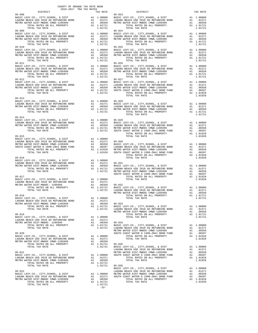| COUNTY OF ORANGE TAX RATE BOOK<br>2016-2017 TRA TAX RATES                                                                                                                                                                                                                                                                                                                                                                           |  |                                                                                                                                                                                                                                                                                                                                   |          |
|-------------------------------------------------------------------------------------------------------------------------------------------------------------------------------------------------------------------------------------------------------------------------------------------------------------------------------------------------------------------------------------------------------------------------------------|--|-----------------------------------------------------------------------------------------------------------------------------------------------------------------------------------------------------------------------------------------------------------------------------------------------------------------------------------|----------|
| $2016-2017 \begin{array}{l} \text{I.A. KATE } \text{BOOK} \\ \text{TRR TAX RATES} \end{array}$ DISTRICT                                                                                                                                                                                                                                                                                                                             |  | $\begin{array}{ccc}\n\text{1.1.1}\n\text{1.2.1}\n\text{1.3.1}\n\text{1.4.1}\n\text{1.5.1}\n\text{1.6.1}\n\text{1.7.1}\n\text{1.7.1}\n\text{1.7.1}\n\text{1.7.1}\n\text{1.7.1}\n\text{1.7.1}\n\text{1.7.1}\n\text{1.7.1}\n\text{1.7.1}\n\text{1.7.1}\n\text{1.7.1}\n\text{1.7.1}\n\text{1.7.1}\n\text{1.7.1}\n\text{1.7.1}\n\text$ | TAX RATE |
|                                                                                                                                                                                                                                                                                                                                                                                                                                     |  |                                                                                                                                                                                                                                                                                                                                   |          |
|                                                                                                                                                                                                                                                                                                                                                                                                                                     |  |                                                                                                                                                                                                                                                                                                                                   |          |
|                                                                                                                                                                                                                                                                                                                                                                                                                                     |  |                                                                                                                                                                                                                                                                                                                                   |          |
|                                                                                                                                                                                                                                                                                                                                                                                                                                     |  |                                                                                                                                                                                                                                                                                                                                   |          |
| $\begin{tabular}{@{}c@{}}05-008 & \begin{tabular}{@{}}c@{}} \textbf{0.5-008} & \begin{tabular}{@{}}c@{}} \textbf{0.5-008} & \begin{tabular}{@{}}c@{}} \textbf{0.5-008} & \begin{tabular}{@{}}c@{}} \textbf{0.5-008} & \begin{tabular}{@{}}c@{}} \textbf{0.5-008} & \begin{tabular}{@{}}c@{}} \textbf{0.5-008} & \begin{tabular}{@{}}c@{}} \textbf{0.5-008} & \textbf{0.5-023} & \textbf{0.$                                         |  |                                                                                                                                                                                                                                                                                                                                   |          |
|                                                                                                                                                                                                                                                                                                                                                                                                                                     |  |                                                                                                                                                                                                                                                                                                                                   |          |
|                                                                                                                                                                                                                                                                                                                                                                                                                                     |  |                                                                                                                                                                                                                                                                                                                                   |          |
| $05 - 014$                                                                                                                                                                                                                                                                                                                                                                                                                          |  |                                                                                                                                                                                                                                                                                                                                   |          |
|                                                                                                                                                                                                                                                                                                                                                                                                                                     |  |                                                                                                                                                                                                                                                                                                                                   |          |
|                                                                                                                                                                                                                                                                                                                                                                                                                                     |  |                                                                                                                                                                                                                                                                                                                                   |          |
|                                                                                                                                                                                                                                                                                                                                                                                                                                     |  |                                                                                                                                                                                                                                                                                                                                   |          |
|                                                                                                                                                                                                                                                                                                                                                                                                                                     |  |                                                                                                                                                                                                                                                                                                                                   |          |
|                                                                                                                                                                                                                                                                                                                                                                                                                                     |  |                                                                                                                                                                                                                                                                                                                                   |          |
|                                                                                                                                                                                                                                                                                                                                                                                                                                     |  |                                                                                                                                                                                                                                                                                                                                   |          |
|                                                                                                                                                                                                                                                                                                                                                                                                                                     |  |                                                                                                                                                                                                                                                                                                                                   |          |
|                                                                                                                                                                                                                                                                                                                                                                                                                                     |  |                                                                                                                                                                                                                                                                                                                                   |          |
|                                                                                                                                                                                                                                                                                                                                                                                                                                     |  |                                                                                                                                                                                                                                                                                                                                   |          |
| $\begin{tabular}{l c c c c c} \hline \texttt{TCTAL TAX RATE} & \texttt{TOTAL TAX RATE} \\ \hline \texttt{BASIC LEV-CO.}, & \texttt{CTY1}, \texttt{SCHOO.}, & \texttt{\&}\texttt{DIST} \\ \texttt{LAGUBRATE} & \texttt{BING 2010 G0} & \texttt{BRE} & \texttt{AD 1.0000} & \texttt{TOTAL TAX RATE} \\ \texttt{METRO WATE DIST-MMDC CUMD-1205999} & \texttt{A1} & 0.0350 & 05-033 \\ \texttt{TOTAL RATES ON ALL PROPERTIES} & \$      |  |                                                                                                                                                                                                                                                                                                                                   |          |
|                                                                                                                                                                                                                                                                                                                                                                                                                                     |  |                                                                                                                                                                                                                                                                                                                                   |          |
|                                                                                                                                                                                                                                                                                                                                                                                                                                     |  |                                                                                                                                                                                                                                                                                                                                   |          |
|                                                                                                                                                                                                                                                                                                                                                                                                                                     |  |                                                                                                                                                                                                                                                                                                                                   |          |
|                                                                                                                                                                                                                                                                                                                                                                                                                                     |  |                                                                                                                                                                                                                                                                                                                                   |          |
| $\begin{tabular}{c c c c c} \multicolumn{3}{c }{\text{\small{05-022}} & \multicolumn{3}{c }{\text{\small{05-036}} & \multicolumn{3}{c }{\text{\small{05-036}} & \multicolumn{3}{c }{\text{\small{05-036}} & \multicolumn{3}{c }{\text{\small{05-036}} & \multicolumn{3}{c }{\text{\small{05-036}} & \multicolumn{3}{c }{\text{\small{05-036}} & \multicolumn{3}{c }{\text{\small{05-036}} & \multicolumn{3}{c }{\text{\small{05-03$ |  |                                                                                                                                                                                                                                                                                                                                   |          |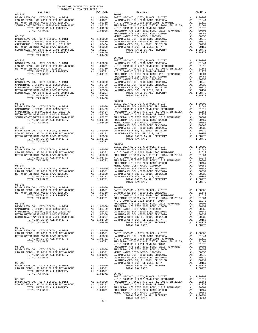|            |  | 01-9-45 BASIC LEVY-CO., CITY, SCHOOL, & DIST<br>LAGUNA BEACH USD 2010 GO REFUNDING BOND A1 01371 BASIC LEVY-CO., CITY, SCHOOL, & DIST A1 1.00000<br>LAGUNA BEACH USD 2010 GO REFUNDING BOND A1 01370 A1 00350 LAGUNA BEACH 2000 BO                                                                                            |  |
|------------|--|-------------------------------------------------------------------------------------------------------------------------------------------------------------------------------------------------------------------------------------------------------------------------------------------------------------------------------|--|
|            |  |                                                                                                                                                                                                                                                                                                                               |  |
|            |  |                                                                                                                                                                                                                                                                                                                               |  |
|            |  |                                                                                                                                                                                                                                                                                                                               |  |
|            |  |                                                                                                                                                                                                                                                                                                                               |  |
|            |  |                                                                                                                                                                                                                                                                                                                               |  |
|            |  |                                                                                                                                                                                                                                                                                                                               |  |
|            |  |                                                                                                                                                                                                                                                                                                                               |  |
| $05 - 048$ |  |                                                                                                                                                                                                                                                                                                                               |  |
|            |  |                                                                                                                                                                                                                                                                                                                               |  |
|            |  |                                                                                                                                                                                                                                                                                                                               |  |
|            |  |                                                                                                                                                                                                                                                                                                                               |  |
|            |  |                                                                                                                                                                                                                                                                                                                               |  |
|            |  | 01-918 UBASIC LEVY-CO., CITY, SCHOOL, & DIST Al 1.00000 06-006<br>LAGUNA BEACH USD 2010 GO REFUNDING BOND A1 .01371 BASIC LEVY-CO., CITY, SCHOOL, & DIST A1 1.00000<br>LAGUNA BEACH USD 2010 GO REFUNDING BOND A1 .01371 BASIC LEV                                                                                            |  |
|            |  |                                                                                                                                                                                                                                                                                                                               |  |
|            |  |                                                                                                                                                                                                                                                                                                                               |  |
|            |  |                                                                                                                                                                                                                                                                                                                               |  |
|            |  |                                                                                                                                                                                                                                                                                                                               |  |
|            |  |                                                                                                                                                                                                                                                                                                                               |  |
|            |  |                                                                                                                                                                                                                                                                                                                               |  |
|            |  |                                                                                                                                                                                                                                                                                                                               |  |
|            |  |                                                                                                                                                                                                                                                                                                                               |  |
|            |  |                                                                                                                                                                                                                                                                                                                               |  |
|            |  | $\begin{tabular}{cccc} 05-901 & 01731 & FULERTON - VUU L Q014 BOND 2005 REFUNDING & 011731RMGUL-REV-CO. , CITY, SCHOOL, & DIST & 011731RASTC LEVY-CO. , CITY, SCHOOL, & DIST & 011731RAUNA BRACH USD 2011 GO. REFUNDINGLAGUNA BRACH USD 2010 GO REFUNDINGTOTAL TAX RATE & 011732033505-902 & 011733077AL TAX RATE & 017307AL$ |  |
|            |  |                                                                                                                                                                                                                                                                                                                               |  |
|            |  |                                                                                                                                                                                                                                                                                                                               |  |
|            |  |                                                                                                                                                                                                                                                                                                                               |  |
|            |  |                                                                                                                                                                                                                                                                                                                               |  |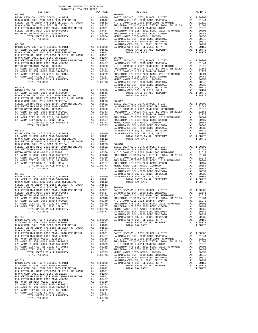|                | TAX RATE | DISTRICT | TAX RATE |
|----------------|----------|----------|----------|
|                |          |          |          |
|                |          |          |          |
|                |          |          |          |
|                |          |          |          |
|                |          |          |          |
|                |          |          |          |
|                |          |          |          |
|                |          |          |          |
|                |          |          |          |
|                |          |          |          |
|                |          |          |          |
|                |          |          |          |
|                |          |          |          |
|                |          |          |          |
|                |          |          |          |
|                |          |          |          |
|                |          |          |          |
|                |          |          |          |
|                |          |          |          |
|                |          |          |          |
|                |          |          |          |
|                |          |          |          |
|                |          |          |          |
|                |          |          |          |
|                |          |          |          |
|                |          |          |          |
|                |          |          |          |
|                |          |          |          |
|                |          |          |          |
|                |          |          |          |
|                |          |          |          |
|                |          |          |          |
|                |          |          |          |
|                |          |          |          |
|                |          |          |          |
|                |          |          |          |
|                |          |          |          |
|                |          |          |          |
|                |          |          |          |
|                |          |          |          |
|                |          |          |          |
|                |          |          |          |
|                |          |          |          |
|                |          |          |          |
|                |          |          |          |
|                |          |          |          |
|                |          |          |          |
|                |          |          |          |
|                |          |          |          |
|                |          |          |          |
|                |          |          |          |
|                |          |          |          |
|                |          |          |          |
|                |          |          |          |
|                |          |          |          |
|                |          |          |          |
|                |          |          |          |
|                |          |          |          |
|                |          |          |          |
|                |          |          |          |
|                |          |          |          |
|                |          |          |          |
|                |          |          |          |
|                |          |          |          |
|                |          |          |          |
|                |          |          |          |
|                |          |          |          |
|                |          |          |          |
|                |          |          |          |
|                |          |          |          |
|                |          |          |          |
|                |          |          |          |
|                |          |          |          |
|                |          |          |          |
|                |          |          |          |
|                |          |          |          |
|                |          |          |          |
|                |          |          |          |
|                |          |          |          |
|                |          |          |          |
|                |          |          |          |
|                |          |          |          |
|                |          |          |          |
|                |          |          |          |
|                |          |          |          |
|                |          |          |          |
|                |          |          |          |
|                |          |          |          |
|                |          |          |          |
|                |          |          |          |
|                |          |          |          |
|                |          |          |          |
| TOTAL TAX RATE |          |          |          |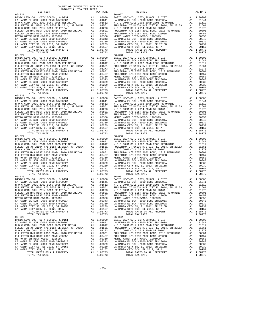| COUNTY OF ORANGE TAX RATE BOOK<br>$2016-2017 \quad \text{TRA RATE} \label{eq:Q016}$ DISTRICT 2016–2017 TRA TAX RATES |          |                                                                                                                                                                                                                                                                                                                                                                                                              |          |
|----------------------------------------------------------------------------------------------------------------------|----------|--------------------------------------------------------------------------------------------------------------------------------------------------------------------------------------------------------------------------------------------------------------------------------------------------------------------------------------------------------------------------------------------------------------|----------|
|                                                                                                                      | TAX RATE | DISTRICT                                                                                                                                                                                                                                                                                                                                                                                                     | TAX RATE |
|                                                                                                                      |          |                                                                                                                                                                                                                                                                                                                                                                                                              |          |
|                                                                                                                      |          |                                                                                                                                                                                                                                                                                                                                                                                                              |          |
|                                                                                                                      |          |                                                                                                                                                                                                                                                                                                                                                                                                              |          |
|                                                                                                                      |          |                                                                                                                                                                                                                                                                                                                                                                                                              |          |
|                                                                                                                      |          |                                                                                                                                                                                                                                                                                                                                                                                                              |          |
|                                                                                                                      |          |                                                                                                                                                                                                                                                                                                                                                                                                              |          |
|                                                                                                                      |          |                                                                                                                                                                                                                                                                                                                                                                                                              |          |
|                                                                                                                      |          |                                                                                                                                                                                                                                                                                                                                                                                                              |          |
|                                                                                                                      |          |                                                                                                                                                                                                                                                                                                                                                                                                              |          |
|                                                                                                                      |          |                                                                                                                                                                                                                                                                                                                                                                                                              |          |
|                                                                                                                      |          |                                                                                                                                                                                                                                                                                                                                                                                                              |          |
|                                                                                                                      |          |                                                                                                                                                                                                                                                                                                                                                                                                              |          |
|                                                                                                                      |          |                                                                                                                                                                                                                                                                                                                                                                                                              |          |
|                                                                                                                      |          |                                                                                                                                                                                                                                                                                                                                                                                                              |          |
| TOTAL TAX RATE<br>$06 - 026$                                                                                         | 1.08773  | $\begin{tabular}{l c c c c c c c c} FULLERTON H/S DIST & 2002 BOND, 2010 REFUNDING & A1 & .00801 & FULLERTON H/S DIST & 2002 BOND, 2010 REFUNDING & A1 & .00801 \\ FULLERTON H/S DIST & 2002 BOND, 2010 REFUNDING & A1 & .00457 & FULLERTON H/S DIST & 2002 BOND, 2010 REFUNDICS & A1 & .00457 & FULLERTON H/S DIST & 2002 BOND & A1 & .0047 & FUDC-1205999 & A1 & .00350 &$<br>TOTAL TAX RATE<br>$06 - 032$ | 1.08773  |
|                                                                                                                      |          |                                                                                                                                                                                                                                                                                                                                                                                                              |          |
|                                                                                                                      |          | $\begin{tabular}{l c c c c c} \multicolumn{1}{c}{\textbf{A1}} & 00350 & 00350 & 00350 & 00350 & 00350 & 00350 & 00350 & 00350 & 00350 & 00350 & 00350 & 00350 & 00350 & 00350 & 00350 & 00350 & 00350 & 00350 & 00350 & 00350 & 00350 & 00350 & 00350 & 00350 & 00350 & 00350 & 00$                                                                                                                          |          |
| TOTAL TAX RATE                                                                                                       | 1.08773  | TOTAL TAX RATE                                                                                                                                                                                                                                                                                                                                                                                               | 1.08773  |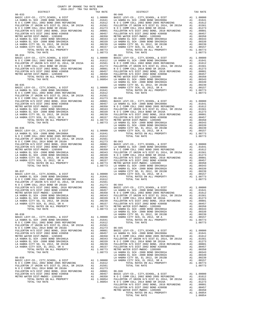|  | $-36-$ |  |  |
|--|--------|--|--|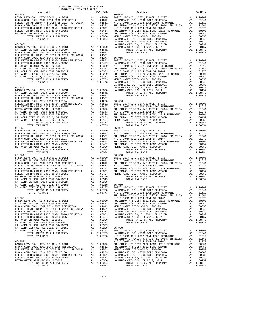| COUNTY OF ORANGE TAX RATE BOOK<br>2016–2017 יחס המד מחר<br>$2016-2017\quad\text{TRA TAX RATES}\label{eq:2016-2017}$ DISTRICT                                                                                  |  |                                                                                                                                                                                                                                                                                                                                                                        |           |
|---------------------------------------------------------------------------------------------------------------------------------------------------------------------------------------------------------------|--|------------------------------------------------------------------------------------------------------------------------------------------------------------------------------------------------------------------------------------------------------------------------------------------------------------------------------------------------------------------------|-----------|
|                                                                                                                                                                                                               |  | ---<br>TAX RATE 06-054 DISTRICT                                                                                                                                                                                                                                                                                                                                        | TAX RATE  |
| $06 - 047$                                                                                                                                                                                                    |  |                                                                                                                                                                                                                                                                                                                                                                        |           |
|                                                                                                                                                                                                               |  |                                                                                                                                                                                                                                                                                                                                                                        |           |
|                                                                                                                                                                                                               |  |                                                                                                                                                                                                                                                                                                                                                                        |           |
|                                                                                                                                                                                                               |  |                                                                                                                                                                                                                                                                                                                                                                        |           |
|                                                                                                                                                                                                               |  |                                                                                                                                                                                                                                                                                                                                                                        |           |
|                                                                                                                                                                                                               |  |                                                                                                                                                                                                                                                                                                                                                                        |           |
|                                                                                                                                                                                                               |  |                                                                                                                                                                                                                                                                                                                                                                        |           |
|                                                                                                                                                                                                               |  |                                                                                                                                                                                                                                                                                                                                                                        |           |
|                                                                                                                                                                                                               |  |                                                                                                                                                                                                                                                                                                                                                                        |           |
|                                                                                                                                                                                                               |  |                                                                                                                                                                                                                                                                                                                                                                        |           |
|                                                                                                                                                                                                               |  |                                                                                                                                                                                                                                                                                                                                                                        |           |
|                                                                                                                                                                                                               |  |                                                                                                                                                                                                                                                                                                                                                                        |           |
|                                                                                                                                                                                                               |  |                                                                                                                                                                                                                                                                                                                                                                        |           |
|                                                                                                                                                                                                               |  |                                                                                                                                                                                                                                                                                                                                                                        |           |
|                                                                                                                                                                                                               |  |                                                                                                                                                                                                                                                                                                                                                                        |           |
|                                                                                                                                                                                                               |  |                                                                                                                                                                                                                                                                                                                                                                        |           |
|                                                                                                                                                                                                               |  |                                                                                                                                                                                                                                                                                                                                                                        |           |
|                                                                                                                                                                                                               |  |                                                                                                                                                                                                                                                                                                                                                                        |           |
|                                                                                                                                                                                                               |  |                                                                                                                                                                                                                                                                                                                                                                        |           |
|                                                                                                                                                                                                               |  |                                                                                                                                                                                                                                                                                                                                                                        |           |
|                                                                                                                                                                                                               |  |                                                                                                                                                                                                                                                                                                                                                                        |           |
|                                                                                                                                                                                                               |  |                                                                                                                                                                                                                                                                                                                                                                        |           |
|                                                                                                                                                                                                               |  |                                                                                                                                                                                                                                                                                                                                                                        |           |
|                                                                                                                                                                                                               |  |                                                                                                                                                                                                                                                                                                                                                                        |           |
|                                                                                                                                                                                                               |  |                                                                                                                                                                                                                                                                                                                                                                        |           |
|                                                                                                                                                                                                               |  |                                                                                                                                                                                                                                                                                                                                                                        |           |
|                                                                                                                                                                                                               |  |                                                                                                                                                                                                                                                                                                                                                                        |           |
|                                                                                                                                                                                                               |  |                                                                                                                                                                                                                                                                                                                                                                        |           |
|                                                                                                                                                                                                               |  |                                                                                                                                                                                                                                                                                                                                                                        |           |
|                                                                                                                                                                                                               |  |                                                                                                                                                                                                                                                                                                                                                                        |           |
|                                                                                                                                                                                                               |  |                                                                                                                                                                                                                                                                                                                                                                        |           |
|                                                                                                                                                                                                               |  |                                                                                                                                                                                                                                                                                                                                                                        |           |
|                                                                                                                                                                                                               |  |                                                                                                                                                                                                                                                                                                                                                                        |           |
|                                                                                                                                                                                                               |  | NO C COMM COLL 2007 2003 REPUBBING AND 10.01213<br>FULLERYON STORIC 10000 00001 REPUBBING AND 2003 REPUBBING AND 10.0121<br>FULLERYON H/S DEST 2002 BORD REPUBBING AND 10.0121<br>FULLERYON H/S DEST 2002 BORD REPUBBING AND 10.000                                                                                                                                    |           |
|                                                                                                                                                                                                               |  |                                                                                                                                                                                                                                                                                                                                                                        |           |
| $06 - 050$                                                                                                                                                                                                    |  | $06 - 057$                                                                                                                                                                                                                                                                                                                                                             |           |
|                                                                                                                                                                                                               |  |                                                                                                                                                                                                                                                                                                                                                                        |           |
|                                                                                                                                                                                                               |  |                                                                                                                                                                                                                                                                                                                                                                        |           |
|                                                                                                                                                                                                               |  |                                                                                                                                                                                                                                                                                                                                                                        |           |
|                                                                                                                                                                                                               |  |                                                                                                                                                                                                                                                                                                                                                                        |           |
|                                                                                                                                                                                                               |  |                                                                                                                                                                                                                                                                                                                                                                        |           |
|                                                                                                                                                                                                               |  |                                                                                                                                                                                                                                                                                                                                                                        |           |
|                                                                                                                                                                                                               |  |                                                                                                                                                                                                                                                                                                                                                                        |           |
|                                                                                                                                                                                                               |  |                                                                                                                                                                                                                                                                                                                                                                        |           |
|                                                                                                                                                                                                               |  |                                                                                                                                                                                                                                                                                                                                                                        |           |
|                                                                                                                                                                                                               |  |                                                                                                                                                                                                                                                                                                                                                                        |           |
|                                                                                                                                                                                                               |  |                                                                                                                                                                                                                                                                                                                                                                        |           |
|                                                                                                                                                                                                               |  |                                                                                                                                                                                                                                                                                                                                                                        |           |
|                                                                                                                                                                                                               |  |                                                                                                                                                                                                                                                                                                                                                                        |           |
|                                                                                                                                                                                                               |  |                                                                                                                                                                                                                                                                                                                                                                        |           |
|                                                                                                                                                                                                               |  |                                                                                                                                                                                                                                                                                                                                                                        |           |
|                                                                                                                                                                                                               |  |                                                                                                                                                                                                                                                                                                                                                                        |           |
|                                                                                                                                                                                                               |  |                                                                                                                                                                                                                                                                                                                                                                        |           |
|                                                                                                                                                                                                               |  |                                                                                                                                                                                                                                                                                                                                                                        |           |
|                                                                                                                                                                                                               |  |                                                                                                                                                                                                                                                                                                                                                                        |           |
|                                                                                                                                                                                                               |  |                                                                                                                                                                                                                                                                                                                                                                        |           |
|                                                                                                                                                                                                               |  | FULLERTON JT UNION H/S DIST EL 2014, SR 2015A A1 .01561                                                                                                                                                                                                                                                                                                                |           |
| $06 - 052$                                                                                                                                                                                                    |  | N O C COMM COLL 2014 BOND SR 2016A                                                                                                                                                                                                                                                                                                                                     | A1 .01273 |
|                                                                                                                                                                                                               |  | FULLERTON H/S DIST 2002 BOND, 2010 REFUNDING A1 .00801                                                                                                                                                                                                                                                                                                                 |           |
| BASIC LEVY-CO., CITY, SCHOOL, & DIST<br>LA HABRA EL SCH -2000 BOND SR#2000A<br>NO C COMM COLL 2002 BOND 2005 REFUNDING<br>NO C COMM COLL 2002 BOND 2005 REFUNDING<br>A1 .01612 METRO WATER DIST-MWDOC-1205999 |  |                                                                                                                                                                                                                                                                                                                                                                        |           |
|                                                                                                                                                                                                               |  |                                                                                                                                                                                                                                                                                                                                                                        |           |
|                                                                                                                                                                                                               |  |                                                                                                                                                                                                                                                                                                                                                                        |           |
|                                                                                                                                                                                                               |  |                                                                                                                                                                                                                                                                                                                                                                        |           |
|                                                                                                                                                                                                               |  |                                                                                                                                                                                                                                                                                                                                                                        |           |
|                                                                                                                                                                                                               |  |                                                                                                                                                                                                                                                                                                                                                                        |           |
|                                                                                                                                                                                                               |  |                                                                                                                                                                                                                                                                                                                                                                        |           |
|                                                                                                                                                                                                               |  |                                                                                                                                                                                                                                                                                                                                                                        |           |
|                                                                                                                                                                                                               |  |                                                                                                                                                                                                                                                                                                                                                                        |           |
|                                                                                                                                                                                                               |  |                                                                                                                                                                                                                                                                                                                                                                        |           |
|                                                                                                                                                                                                               |  |                                                                                                                                                                                                                                                                                                                                                                        |           |
|                                                                                                                                                                                                               |  |                                                                                                                                                                                                                                                                                                                                                                        |           |
|                                                                                                                                                                                                               |  |                                                                                                                                                                                                                                                                                                                                                                        |           |
|                                                                                                                                                                                                               |  |                                                                                                                                                                                                                                                                                                                                                                        |           |
| FULLERTON JT UNION H/S DIST EL 2014, SR 2015A A1 .01561 METRO WATER DIST-MWDOC- 1205999                                                                                                                       |  |                                                                                                                                                                                                                                                                                                                                                                        | A1.00350  |
|                                                                                                                                                                                                               |  |                                                                                                                                                                                                                                                                                                                                                                        |           |
|                                                                                                                                                                                                               |  |                                                                                                                                                                                                                                                                                                                                                                        |           |
|                                                                                                                                                                                                               |  |                                                                                                                                                                                                                                                                                                                                                                        |           |
|                                                                                                                                                                                                               |  |                                                                                                                                                                                                                                                                                                                                                                        |           |
|                                                                                                                                                                                                               |  | $\begin{tabular}{l c c c c c c c c} FULERTON JT UNION H/S DIST EL 2014, SR 2015A & A1 .01561 METRO WATER DIST-MWDOC- 120599 & A1 .00350NO CC COM MCOL 2014 BOND SR 2016A & A1 .01273FULLERTON H/S DIST 2002 BOND, 2016 REFUNDING & A1 .00373 & LA HARRA EL SCH -2000 BOND SR#2002A & A1 .00349FULLERTON H/S DIST 2002 BOND #2005B & A1 .00457 LA HARRA CLTY SD, EL 20$ |           |
|                                                                                                                                                                                                               |  |                                                                                                                                                                                                                                                                                                                                                                        |           |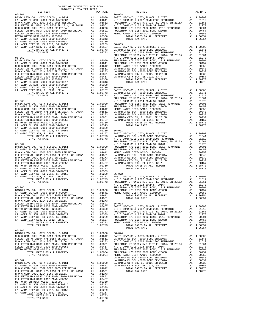| COUNTY OF ORANGE TAX RATE BOOK<br>$2016-2017\begin{array}{l} \text{1.2}\footnotesize\text{The RAM RATE} \\ \text{2016}-2017\end{array}$ TRA TAX RATES |          |            |          |
|-------------------------------------------------------------------------------------------------------------------------------------------------------|----------|------------|----------|
|                                                                                                                                                       | TAX RATE | DISTRICT   | TAX RATE |
| $06 - 061$                                                                                                                                            |          | $06 - 068$ |          |
|                                                                                                                                                       |          |            |          |
|                                                                                                                                                       |          |            |          |
|                                                                                                                                                       |          |            |          |
|                                                                                                                                                       |          |            |          |
|                                                                                                                                                       |          |            |          |
|                                                                                                                                                       |          |            |          |
|                                                                                                                                                       |          |            |          |
|                                                                                                                                                       |          |            |          |
|                                                                                                                                                       |          |            |          |
|                                                                                                                                                       |          |            |          |
|                                                                                                                                                       |          |            |          |
|                                                                                                                                                       |          |            |          |
|                                                                                                                                                       |          |            |          |
|                                                                                                                                                       |          |            |          |
|                                                                                                                                                       |          |            |          |
|                                                                                                                                                       |          |            |          |
|                                                                                                                                                       |          |            |          |
| $06 - 066$                                                                                                                                            |          |            |          |
|                                                                                                                                                       |          |            |          |
|                                                                                                                                                       |          |            |          |
|                                                                                                                                                       |          |            |          |
|                                                                                                                                                       |          |            |          |
| $-38-$                                                                                                                                                |          |            |          |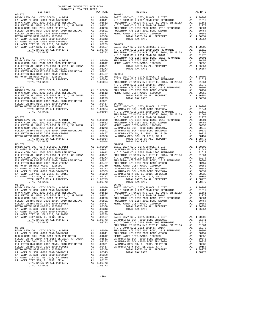| DISTRICT | 2016-2017 TRA TAX RATES | TAX RATE | DISTRICT                                                                                                                                                                                                                      | TAX RATE |
|----------|-------------------------|----------|-------------------------------------------------------------------------------------------------------------------------------------------------------------------------------------------------------------------------------|----------|
|          |                         |          |                                                                                                                                                                                                                               |          |
|          |                         |          |                                                                                                                                                                                                                               |          |
|          |                         |          |                                                                                                                                                                                                                               |          |
|          |                         |          |                                                                                                                                                                                                                               |          |
|          |                         |          |                                                                                                                                                                                                                               |          |
|          |                         |          |                                                                                                                                                                                                                               |          |
|          |                         |          |                                                                                                                                                                                                                               |          |
|          |                         |          |                                                                                                                                                                                                                               |          |
|          |                         |          |                                                                                                                                                                                                                               |          |
|          |                         |          |                                                                                                                                                                                                                               |          |
|          |                         |          | NO COOM COLL 2010 AND 2013 (1912) 1000 AND 2013 FOR EVIDENT IN 10000 AND 2013 (1912) 10000 AND 2013 (1912) 2013 (1912) 2013 (1912) 2013 (1912) 2013 (1913) 2014 (1913) 2014 (1913) 2014 (1913) 2014 (1913) 2014 (1914) 2014 ( |          |

COUNTY OF ORANGE TAX RATE BOOK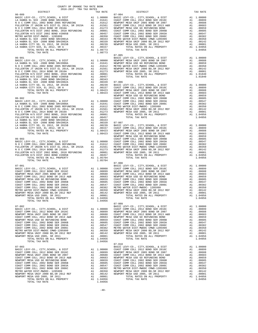| $(37-001 \put(2017) \put(2017) \put(2017) \put(2017) \put(2017) \put(2017) \put(2017) \put(2017) \put(2017) \put(2017) \put(2017) \put(2017) \put(2017) \put(2017) \put(2017) \put(2017) \put(2017) \put(2017) \put(2017) \put(2017) \put(2017) \put(2017) \put(2017) \put(2017) \put(2017) \put(2017) \put(20$ |  |  |  |
|-----------------------------------------------------------------------------------------------------------------------------------------------------------------------------------------------------------------------------------------------------------------------------------------------------------------|--|--|--|
|                                                                                                                                                                                                                                                                                                                 |  |  |  |
|                                                                                                                                                                                                                                                                                                                 |  |  |  |
|                                                                                                                                                                                                                                                                                                                 |  |  |  |
|                                                                                                                                                                                                                                                                                                                 |  |  |  |
|                                                                                                                                                                                                                                                                                                                 |  |  |  |
|                                                                                                                                                                                                                                                                                                                 |  |  |  |
|                                                                                                                                                                                                                                                                                                                 |  |  |  |
|                                                                                                                                                                                                                                                                                                                 |  |  |  |
|                                                                                                                                                                                                                                                                                                                 |  |  |  |
|                                                                                                                                                                                                                                                                                                                 |  |  |  |
|                                                                                                                                                                                                                                                                                                                 |  |  |  |
|                                                                                                                                                                                                                                                                                                                 |  |  |  |
|                                                                                                                                                                                                                                                                                                                 |  |  |  |
|                                                                                                                                                                                                                                                                                                                 |  |  |  |
|                                                                                                                                                                                                                                                                                                                 |  |  |  |
|                                                                                                                                                                                                                                                                                                                 |  |  |  |
|                                                                                                                                                                                                                                                                                                                 |  |  |  |
|                                                                                                                                                                                                                                                                                                                 |  |  |  |
|                                                                                                                                                                                                                                                                                                                 |  |  |  |
|                                                                                                                                                                                                                                                                                                                 |  |  |  |
|                                                                                                                                                                                                                                                                                                                 |  |  |  |
|                                                                                                                                                                                                                                                                                                                 |  |  |  |
|                                                                                                                                                                                                                                                                                                                 |  |  |  |
|                                                                                                                                                                                                                                                                                                                 |  |  |  |
|                                                                                                                                                                                                                                                                                                                 |  |  |  |
|                                                                                                                                                                                                                                                                                                                 |  |  |  |
|                                                                                                                                                                                                                                                                                                                 |  |  |  |
|                                                                                                                                                                                                                                                                                                                 |  |  |  |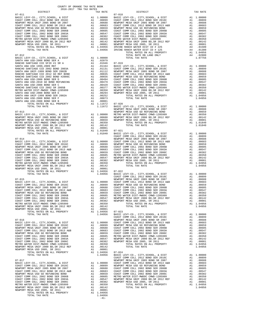| COUNTY OF ORANGE TAX RATE BOOK<br>2016-2017 TRA TAX RATES |        |                                                                                                                                          |          |
|-----------------------------------------------------------|--------|------------------------------------------------------------------------------------------------------------------------------------------|----------|
| DISTRICT                                                  |        | $\begin{tabular}{lllllllll} \bf{TAX} & \bf{RATES} & & & & & \tt{DISTRICT} \\ & \tt{TAX} & \tt{RATE} & & & & \tt{DISTRICT} \end{tabular}$ | TAX RATE |
| $07 - 011$                                                |        | $07 - 018$                                                                                                                               |          |
|                                                           |        |                                                                                                                                          |          |
|                                                           |        |                                                                                                                                          |          |
|                                                           |        |                                                                                                                                          |          |
|                                                           |        |                                                                                                                                          |          |
|                                                           |        |                                                                                                                                          |          |
|                                                           |        |                                                                                                                                          |          |
|                                                           |        |                                                                                                                                          |          |
|                                                           |        |                                                                                                                                          |          |
|                                                           |        |                                                                                                                                          |          |
|                                                           |        |                                                                                                                                          |          |
|                                                           |        |                                                                                                                                          |          |
|                                                           |        |                                                                                                                                          |          |
|                                                           |        |                                                                                                                                          |          |
|                                                           |        |                                                                                                                                          |          |
|                                                           |        |                                                                                                                                          |          |
|                                                           |        |                                                                                                                                          |          |
|                                                           |        |                                                                                                                                          |          |
|                                                           |        |                                                                                                                                          |          |
|                                                           |        |                                                                                                                                          |          |
|                                                           |        |                                                                                                                                          |          |
|                                                           |        |                                                                                                                                          |          |
|                                                           |        |                                                                                                                                          |          |
|                                                           |        |                                                                                                                                          |          |
|                                                           |        |                                                                                                                                          |          |
|                                                           |        |                                                                                                                                          |          |
|                                                           |        |                                                                                                                                          |          |
|                                                           |        |                                                                                                                                          |          |
|                                                           |        |                                                                                                                                          |          |
|                                                           |        |                                                                                                                                          |          |
|                                                           |        |                                                                                                                                          |          |
|                                                           |        |                                                                                                                                          |          |
|                                                           |        |                                                                                                                                          |          |
|                                                           |        |                                                                                                                                          |          |
|                                                           |        |                                                                                                                                          |          |
|                                                           |        |                                                                                                                                          |          |
|                                                           |        |                                                                                                                                          |          |
|                                                           |        |                                                                                                                                          |          |
|                                                           |        |                                                                                                                                          |          |
|                                                           |        |                                                                                                                                          |          |
|                                                           |        |                                                                                                                                          |          |
|                                                           |        |                                                                                                                                          |          |
|                                                           |        |                                                                                                                                          |          |
|                                                           |        |                                                                                                                                          |          |
|                                                           |        |                                                                                                                                          |          |
|                                                           |        |                                                                                                                                          |          |
|                                                           |        |                                                                                                                                          |          |
|                                                           |        |                                                                                                                                          |          |
|                                                           |        |                                                                                                                                          |          |
|                                                           |        |                                                                                                                                          |          |
|                                                           |        |                                                                                                                                          |          |
|                                                           |        |                                                                                                                                          |          |
|                                                           |        |                                                                                                                                          |          |
|                                                           |        |                                                                                                                                          |          |
|                                                           |        |                                                                                                                                          |          |
|                                                           |        |                                                                                                                                          |          |
|                                                           |        |                                                                                                                                          |          |
|                                                           |        |                                                                                                                                          |          |
|                                                           |        |                                                                                                                                          |          |
|                                                           |        |                                                                                                                                          |          |
|                                                           |        |                                                                                                                                          |          |
|                                                           |        |                                                                                                                                          |          |
|                                                           |        |                                                                                                                                          |          |
|                                                           |        |                                                                                                                                          |          |
|                                                           |        |                                                                                                                                          |          |
|                                                           |        |                                                                                                                                          |          |
|                                                           |        |                                                                                                                                          |          |
|                                                           |        |                                                                                                                                          |          |
|                                                           |        |                                                                                                                                          |          |
|                                                           |        |                                                                                                                                          |          |
|                                                           | $-41-$ |                                                                                                                                          |          |

|              |                                                                                                                                                                                                                                                  | A1       |                                  |
|--------------|--------------------------------------------------------------------------------------------------------------------------------------------------------------------------------------------------------------------------------------------------|----------|----------------------------------|
|              |                                                                                                                                                                                                                                                  | A1       | $\cdot$                          |
|              | 0688 NEWPORT MESA UNIT 2005 BOND SR 2007<br>0683 COAST COMM COLL 2012 BOND SR 2013 A&B<br>0659 NEWPORT MESA USD GO REFUNDING BOND<br>0659 COAST COMM COLL 2002 BOND SER 2003A<br>0382 COAST COMM COLL 2002 BOND SER 2003A<br>0382 COAST COMM     | A1<br>A1 | $\cdot$                          |
|              |                                                                                                                                                                                                                                                  | A1       |                                  |
|              |                                                                                                                                                                                                                                                  |          |                                  |
|              |                                                                                                                                                                                                                                                  | A1<br>A1 |                                  |
|              |                                                                                                                                                                                                                                                  | A1       |                                  |
|              |                                                                                                                                                                                                                                                  | A1       |                                  |
|              |                                                                                                                                                                                                                                                  | A4       |                                  |
|              |                                                                                                                                                                                                                                                  | A4       |                                  |
|              | TOTAL RATES ON ALL PROPERTY                                                                                                                                                                                                                      | A1 1.    |                                  |
|              | TOTAL RATE ON LAND ONLY                                                                                                                                                                                                                          | A4       |                                  |
| 0000         | TOTAL TAX RATE                                                                                                                                                                                                                                   |          | 1.                               |
|              | 2079<br>1946 07-019<br>1946 07-019<br>1946 07-019<br>1946 07-019<br>1946 07-019<br>1958 CAST COMM COLL 2012 BOND SER 2016C<br>1112<br>11311 COAST COMM COLL 2012 BOND SER 2016<br>1958 COAST COMM COLL 2012 BOND SER 2005<br>1955 0887 COMM COLL |          |                                  |
|              |                                                                                                                                                                                                                                                  |          |                                  |
|              |                                                                                                                                                                                                                                                  | A1       | 1.                               |
|              |                                                                                                                                                                                                                                                  | A1       |                                  |
|              |                                                                                                                                                                                                                                                  | A1       |                                  |
|              |                                                                                                                                                                                                                                                  | A1       |                                  |
|              |                                                                                                                                                                                                                                                  | A1       |                                  |
|              |                                                                                                                                                                                                                                                  | A1       |                                  |
|              |                                                                                                                                                                                                                                                  |          |                                  |
|              |                                                                                                                                                                                                                                                  |          |                                  |
|              |                                                                                                                                                                                                                                                  |          |                                  |
|              |                                                                                                                                                                                                                                                  | A1       |                                  |
|              |                                                                                                                                                                                                                                                  | A1 1.    |                                  |
| 0073         | TOTAL TAX RATE                                                                                                                                                                                                                                   |          | 1.                               |
| 0001         |                                                                                                                                                                                                                                                  |          |                                  |
| 1672         |                                                                                                                                                                                                                                                  |          |                                  |
| 1672         | 07-020<br>BASIC LEVY-CO., CITY,SCHOOL, & DIST                                                                                                                                                                                                    | A1       | 1.                               |
|              | NEWPORT MESA UNIF 2005 BOND SR 2007                                                                                                                                                                                                              | A1       |                                  |
|              | NEWPORT MESA USD GO REFUNDING BOND                                                                                                                                                                                                               | A1       |                                  |
| 0000         | METRO WATER DIST-MWDOC CMWD-1205999<br>NEWPORT MESA UNIF 2000 BD, SR 2012 REF<br>NEWPORT MESA USD 2005, SR 2011                                                                                                                                  | A1       |                                  |
| 0688         |                                                                                                                                                                                                                                                  | A1       |                                  |
| 0659         |                                                                                                                                                                                                                                                  | A1       |                                  |
| 0350         | TOTAL RATES ON ALL PROPERTY                                                                                                                                                                                                                      | A1       | 1.                               |
| 0142         | TOTAL TAX RATE                                                                                                                                                                                                                                   |          | 1.                               |
| 0001         |                                                                                                                                                                                                                                                  |          |                                  |
| 1840         | $07 - 021$                                                                                                                                                                                                                                       |          |                                  |
| 1840         | BASIC LEVY-CO., CITY, SCHOOL, & DIST<br>COAST COMM COLL 2012 BOND SER 2016C                                                                                                                                                                      | A1       | 1.                               |
|              | NEWPORT MESA UNIF 2005 BOND SR 2007                                                                                                                                                                                                              | A1       |                                  |
|              |                                                                                                                                                                                                                                                  | A1<br>A1 |                                  |
|              |                                                                                                                                                                                                                                                  | A1       |                                  |
|              |                                                                                                                                                                                                                                                  | A1       | $\blacksquare$<br>$\blacksquare$ |
|              |                                                                                                                                                                                                                                                  | A1       |                                  |
|              |                                                                                                                                                                                                                                                  | A1       |                                  |
|              |                                                                                                                                                                                                                                                  | A1       |                                  |
|              | NEWPORT MESA UNIF 2005 BOND SR 2007<br>0000 COAST COMM COLL 2012 BOND SR 2013 A&B<br>0899 NEWPORT MESA USD GO REFUNDING BOND<br>0688 COAST COMM COLL 2002 BOND SER 2006B<br>0683 COAST COMM COLL 2002 BOND SER 2003<br>0659 COAST COMM C         | A1       |                                  |
|              |                                                                                                                                                                                                                                                  | A1       |                                  |
|              |                                                                                                                                                                                                                                                  | A1       | 1.                               |
| 0142         | TOTAL TAX RATE                                                                                                                                                                                                                                   |          | 1.                               |
| 0001         |                                                                                                                                                                                                                                                  |          |                                  |
| 4956         | 07-022                                                                                                                                                                                                                                           |          |                                  |
| 4956         | BASIC LEVY-CO., CITY, SCHOOL, & DIST                                                                                                                                                                                                             | A1       | 1.                               |
|              | COAST COMM COLL 2012 BOND SER 2016C                                                                                                                                                                                                              | A1       |                                  |
|              | NEWPORT MESA UNIF 2005 BOND SR 2007                                                                                                                                                                                                              | A1       | $\cdot$                          |
|              |                                                                                                                                                                                                                                                  | A1       | $\cdot$                          |
|              |                                                                                                                                                                                                                                                  | A1<br>A1 |                                  |
|              |                                                                                                                                                                                                                                                  | A1       |                                  |
|              |                                                                                                                                                                                                                                                  | A1       |                                  |
|              |                                                                                                                                                                                                                                                  | A1       |                                  |
|              |                                                                                                                                                                                                                                                  | A1       |                                  |
|              |                                                                                                                                                                                                                                                  | A1       | $\blacksquare$                   |
|              | NEWPORT MESA UNIF 2005 BOND SR 2007<br>0000 COAST COMM COLL 2012 BOND SR 2013 A&B<br>0899 NEWPORT MESA USD GO REFUNDING BOND<br>0688 COAST COMM COLL 2002 BOND SER 2006B<br>0683 COAST COMM COLL 2002 BOND SER 2003A<br>0659 COAST COMM COLL     | A1       | 1.                               |
| 0142         | TOTAL TAX RATE                                                                                                                                                                                                                                   |          | 1.                               |
| 0001         |                                                                                                                                                                                                                                                  |          |                                  |
| 4956         | $07 - 023$                                                                                                                                                                                                                                       |          |                                  |
| 4956         | BASIC LEVY-CO., CITY, SCHOOL, & DIST                                                                                                                                                                                                             | A1       | 1.                               |
|              | COAST COMM COLL 2012 BOND SER 2016C                                                                                                                                                                                                              | A1       | $\cdot$                          |
|              | NEWPORT MESA UNIF 2005 BOND SR 2007                                                                                                                                                                                                              | Α1       | $\cdot$                          |
| 0000         | COAST COMM COLL 2012 BOND SR 2013 A&B                                                                                                                                                                                                            | A1       |                                  |
| 0899         | NEWPORT MESA USD GO REFUNDING BOND                                                                                                                                                                                                               | A1       |                                  |
| 0688         | COAST COMM COLL 2002 BOND SER 2006B                                                                                                                                                                                                              | A1       |                                  |
| 0683         | COAST COMM COLL 2002 BOND SER 2003A                                                                                                                                                                                                              | A1       |                                  |
| 0659         | COAST COMM COLL 2002 BOND SER 2006C<br>METRO WATER DIST-MWDOC CMWD-1205999                                                                                                                                                                       | A1       |                                  |
| 0605<br>0547 | NEWPORT MESA UNIF 2000 BD, SR 2012 REF                                                                                                                                                                                                           | A1       |                                  |
| 0382         | NEWPORT MESA USD 2005, SR 2011                                                                                                                                                                                                                   | Α1<br>A1 | $\,$ .                           |
| 0350         | TOTAL RATES ON ALL PROPERTY                                                                                                                                                                                                                      | A1       | 1.                               |
| 0142         | TOTAL TAX RATE                                                                                                                                                                                                                                   |          | 1.                               |
| 0001         |                                                                                                                                                                                                                                                  |          |                                  |
| 4956         | $07 - 024$                                                                                                                                                                                                                                       |          |                                  |
| 4956         | BASIC LEVY-CO., CITY, SCHOOL, & DIST                                                                                                                                                                                                             | A1       | $1\,.$                           |
|              | COAST COMM COLL 2012 BOND SER 2016C                                                                                                                                                                                                              | A1       | $\cdot$                          |
|              | NEWPORT MESA UNIF 2005 BOND SR 2007                                                                                                                                                                                                              | A1       | $\cdot$                          |
| 0000         | COAST COMM COLL 2012 BOND SR 2013 A&B                                                                                                                                                                                                            | A1       |                                  |
| 0899         | NEWPORT MESA USD GO REFUNDING BOND                                                                                                                                                                                                               | A1       |                                  |
| 0688         | COAST COMM COLL 2002 BOND SER 2006B                                                                                                                                                                                                              | A1       |                                  |
| 0683         | COAST COMM COLL 2002 BOND SER 2003A                                                                                                                                                                                                              | A1       |                                  |
| 0659         | COAST COMM COLL 2002 BOND SER 2006C                                                                                                                                                                                                              | A1       |                                  |
| 0605         | METRO WATER DIST-MWDOC CMWD-1205999                                                                                                                                                                                                              | A1       | $\cdot$                          |
| 0547         | NEWPORT MESA UNIF 2000 BD, SR 2012 REF                                                                                                                                                                                                           | Α1       | $\,$ .                           |
| 0382         | NEWPORT MESA USD 2005, SR 2011                                                                                                                                                                                                                   | Α1       | $\cdot$                          |
| 0350<br>0142 | TOTAL RATES ON ALL PROPERTY<br>TOTAL TAX RATE                                                                                                                                                                                                    | A1       | 1.<br>1.                         |
|              |                                                                                                                                                                                                                                                  |          |                                  |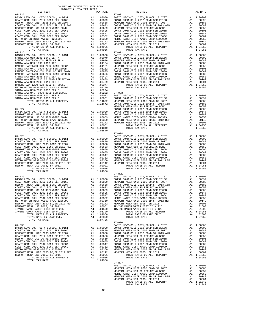| RANCHO SANTIAGO CCD 2002 BOND 2003A<br>SANTA ANA UNIF-1999 BOND SER 2002B<br>RANCHO SANTIAGO CCD 2012 GO REF BOND |                                                                                                                                                                                                                                                                          |         |                       |
|-------------------------------------------------------------------------------------------------------------------|--------------------------------------------------------------------------------------------------------------------------------------------------------------------------------------------------------------------------------------------------------------------------|---------|-----------------------|
| RANCHO SANTIAGO CCD 2002 BOND #2006C<br>SANTA ANA USD-2008 BOND SER D                                             |                                                                                                                                                                                                                                                                          |         |                       |
| SANTA ANA USD-2010 GO BOND REFUNDING<br>SANTA ANA USD-2008 BOND SER C<br>RANCHO SANTIAGO CCD 2002 SR 2005B        |                                                                                                                                                                                                                                                                          |         |                       |
| METRO WATER DIST-MWDOC CMWD-1205999<br>SANTA ANA USD-2008 BOND SER E                                              |                                                                                                                                                                                                                                                                          |         |                       |
| SANTA ANA UNIF-1999 BOND SER 2002A<br>SANTA ANA USD-2008 BOND SER F<br>SANTA ANA USD-2008 BOND SER B              |                                                                                                                                                                                                                                                                          |         |                       |
| TOTAL RATES ON ALL PROPERTY<br>TOTAL TAX RATE<br>$07 - 027$                                                       | A1 .01131 NEWPORT<br>A1 .01012 COAST C<br>A1 .00635 COAST C<br>A1 .00635 COAST C<br>A1 .00656 COAST C<br>A1 .00494 METAD NEWPORT<br>A1 .00429 NEWPORT<br>A1 .00350<br>A1 .00294<br>A1 .00294<br>A1 .00294<br>A1 .00292 07-033<br>A1 .00292<br>A1 .00292 07-033<br>A1 .00 |         | NEWPORT<br>COAST C    |
|                                                                                                                   |                                                                                                                                                                                                                                                                          |         |                       |
|                                                                                                                   |                                                                                                                                                                                                                                                                          |         |                       |
| TOTAL TAX RATE                                                                                                    |                                                                                                                                                                                                                                                                          | 1.01840 | $07 - 034$            |
|                                                                                                                   |                                                                                                                                                                                                                                                                          |         | BASIC L               |
|                                                                                                                   |                                                                                                                                                                                                                                                                          |         |                       |
|                                                                                                                   |                                                                                                                                                                                                                                                                          |         |                       |
|                                                                                                                   |                                                                                                                                                                                                                                                                          |         |                       |
| $07 - 029$                                                                                                        |                                                                                                                                                                                                                                                                          |         | $07 - 035$<br>BASIC L |
|                                                                                                                   |                                                                                                                                                                                                                                                                          |         |                       |
|                                                                                                                   |                                                                                                                                                                                                                                                                          |         |                       |
|                                                                                                                   |                                                                                                                                                                                                                                                                          |         |                       |
|                                                                                                                   |                                                                                                                                                                                                                                                                          |         |                       |
|                                                                                                                   |                                                                                                                                                                                                                                                                          |         |                       |
| TOTAL TAX RATE                                                                                                    |                                                                                                                                                                                                                                                                          | 1.07756 | $07 - 036$            |
| $07 - 030$                                                                                                        |                                                                                                                                                                                                                                                                          |         | BASIC L               |
|                                                                                                                   |                                                                                                                                                                                                                                                                          |         |                       |
|                                                                                                                   |                                                                                                                                                                                                                                                                          |         |                       |
| NEWDOPT MECA INITE 2000 PD CP 2012 PER                                                                            | $\mathbb{R}^n$                                                                                                                                                                                                                                                           | 00142   | חסמת שתו              |

| $2016-2017\begin{array}{lcl} & \text{if a} & \text{RATE} & \text{E}\\ & 2016-2017 & \text{TRA TAX RATES} & \text{DISTRICT} & \end{array}$ | TAX RATE | DISTRICT                                                                                                                                                                                                                                                                                                                                                                                                                                                                                                                                                                     | TAX RATE |
|-------------------------------------------------------------------------------------------------------------------------------------------|----------|------------------------------------------------------------------------------------------------------------------------------------------------------------------------------------------------------------------------------------------------------------------------------------------------------------------------------------------------------------------------------------------------------------------------------------------------------------------------------------------------------------------------------------------------------------------------------|----------|
| $07 - 025$                                                                                                                                |          | $07 - 031$                                                                                                                                                                                                                                                                                                                                                                                                                                                                                                                                                                   |          |
|                                                                                                                                           |          |                                                                                                                                                                                                                                                                                                                                                                                                                                                                                                                                                                              |          |
|                                                                                                                                           |          |                                                                                                                                                                                                                                                                                                                                                                                                                                                                                                                                                                              |          |
|                                                                                                                                           |          |                                                                                                                                                                                                                                                                                                                                                                                                                                                                                                                                                                              |          |
|                                                                                                                                           |          |                                                                                                                                                                                                                                                                                                                                                                                                                                                                                                                                                                              |          |
|                                                                                                                                           |          |                                                                                                                                                                                                                                                                                                                                                                                                                                                                                                                                                                              |          |
|                                                                                                                                           |          |                                                                                                                                                                                                                                                                                                                                                                                                                                                                                                                                                                              |          |
|                                                                                                                                           |          |                                                                                                                                                                                                                                                                                                                                                                                                                                                                                                                                                                              |          |
|                                                                                                                                           |          |                                                                                                                                                                                                                                                                                                                                                                                                                                                                                                                                                                              |          |
|                                                                                                                                           |          |                                                                                                                                                                                                                                                                                                                                                                                                                                                                                                                                                                              |          |
|                                                                                                                                           |          |                                                                                                                                                                                                                                                                                                                                                                                                                                                                                                                                                                              |          |
| $07 - 026$                                                                                                                                |          | $07 - 032$                                                                                                                                                                                                                                                                                                                                                                                                                                                                                                                                                                   |          |
|                                                                                                                                           |          |                                                                                                                                                                                                                                                                                                                                                                                                                                                                                                                                                                              |          |
|                                                                                                                                           |          |                                                                                                                                                                                                                                                                                                                                                                                                                                                                                                                                                                              |          |
|                                                                                                                                           |          |                                                                                                                                                                                                                                                                                                                                                                                                                                                                                                                                                                              |          |
|                                                                                                                                           |          |                                                                                                                                                                                                                                                                                                                                                                                                                                                                                                                                                                              |          |
|                                                                                                                                           |          |                                                                                                                                                                                                                                                                                                                                                                                                                                                                                                                                                                              |          |
|                                                                                                                                           |          |                                                                                                                                                                                                                                                                                                                                                                                                                                                                                                                                                                              |          |
|                                                                                                                                           |          |                                                                                                                                                                                                                                                                                                                                                                                                                                                                                                                                                                              |          |
|                                                                                                                                           |          |                                                                                                                                                                                                                                                                                                                                                                                                                                                                                                                                                                              |          |
|                                                                                                                                           |          |                                                                                                                                                                                                                                                                                                                                                                                                                                                                                                                                                                              |          |
|                                                                                                                                           |          |                                                                                                                                                                                                                                                                                                                                                                                                                                                                                                                                                                              |          |
|                                                                                                                                           |          |                                                                                                                                                                                                                                                                                                                                                                                                                                                                                                                                                                              |          |
|                                                                                                                                           |          |                                                                                                                                                                                                                                                                                                                                                                                                                                                                                                                                                                              |          |
|                                                                                                                                           |          |                                                                                                                                                                                                                                                                                                                                                                                                                                                                                                                                                                              |          |
|                                                                                                                                           |          |                                                                                                                                                                                                                                                                                                                                                                                                                                                                                                                                                                              |          |
|                                                                                                                                           |          |                                                                                                                                                                                                                                                                                                                                                                                                                                                                                                                                                                              |          |
|                                                                                                                                           |          |                                                                                                                                                                                                                                                                                                                                                                                                                                                                                                                                                                              |          |
|                                                                                                                                           |          |                                                                                                                                                                                                                                                                                                                                                                                                                                                                                                                                                                              |          |
|                                                                                                                                           |          |                                                                                                                                                                                                                                                                                                                                                                                                                                                                                                                                                                              |          |
|                                                                                                                                           |          |                                                                                                                                                                                                                                                                                                                                                                                                                                                                                                                                                                              |          |
|                                                                                                                                           |          | $\begin{array}{cccccccc} \text{total} & \text{total} & \text{total} & \text{total} & \text{total} & \text{total} & \text{total} & \text{total} & \text{total} & \text{total} & \text{total} & \text{total} & \text{total} & \text{total} & \text{total} & \text{total} & \text{total} & \text{total} & \text{total} & \text{total} & \text{total} & \text{total} & \text{total} & \text{total} & \text{total} & \text{total} & \text{total} & \text{total} & \text{total} & \text{total} & \text{total} & \text{total} & \text{total} & \text{total} & \text{total} & \text$ |          |
|                                                                                                                                           |          |                                                                                                                                                                                                                                                                                                                                                                                                                                                                                                                                                                              |          |
|                                                                                                                                           |          |                                                                                                                                                                                                                                                                                                                                                                                                                                                                                                                                                                              |          |
|                                                                                                                                           |          |                                                                                                                                                                                                                                                                                                                                                                                                                                                                                                                                                                              |          |
|                                                                                                                                           |          |                                                                                                                                                                                                                                                                                                                                                                                                                                                                                                                                                                              |          |
| TOTAL TAX RATE                                                                                                                            | 1.01840  | $07 - 034$                                                                                                                                                                                                                                                                                                                                                                                                                                                                                                                                                                   |          |
|                                                                                                                                           |          |                                                                                                                                                                                                                                                                                                                                                                                                                                                                                                                                                                              |          |
|                                                                                                                                           |          |                                                                                                                                                                                                                                                                                                                                                                                                                                                                                                                                                                              |          |
|                                                                                                                                           |          |                                                                                                                                                                                                                                                                                                                                                                                                                                                                                                                                                                              |          |
|                                                                                                                                           |          |                                                                                                                                                                                                                                                                                                                                                                                                                                                                                                                                                                              |          |
|                                                                                                                                           |          |                                                                                                                                                                                                                                                                                                                                                                                                                                                                                                                                                                              |          |
|                                                                                                                                           |          |                                                                                                                                                                                                                                                                                                                                                                                                                                                                                                                                                                              |          |
|                                                                                                                                           |          |                                                                                                                                                                                                                                                                                                                                                                                                                                                                                                                                                                              |          |
|                                                                                                                                           |          |                                                                                                                                                                                                                                                                                                                                                                                                                                                                                                                                                                              |          |
|                                                                                                                                           |          |                                                                                                                                                                                                                                                                                                                                                                                                                                                                                                                                                                              |          |
|                                                                                                                                           |          |                                                                                                                                                                                                                                                                                                                                                                                                                                                                                                                                                                              |          |
|                                                                                                                                           |          |                                                                                                                                                                                                                                                                                                                                                                                                                                                                                                                                                                              |          |
| TOTAL TAX RATE                                                                                                                            | 1.04956  |                                                                                                                                                                                                                                                                                                                                                                                                                                                                                                                                                                              |          |
|                                                                                                                                           |          | $07 - 035$                                                                                                                                                                                                                                                                                                                                                                                                                                                                                                                                                                   |          |
|                                                                                                                                           |          |                                                                                                                                                                                                                                                                                                                                                                                                                                                                                                                                                                              |          |
|                                                                                                                                           |          |                                                                                                                                                                                                                                                                                                                                                                                                                                                                                                                                                                              |          |
|                                                                                                                                           |          |                                                                                                                                                                                                                                                                                                                                                                                                                                                                                                                                                                              |          |
|                                                                                                                                           |          |                                                                                                                                                                                                                                                                                                                                                                                                                                                                                                                                                                              |          |
|                                                                                                                                           |          |                                                                                                                                                                                                                                                                                                                                                                                                                                                                                                                                                                              |          |
|                                                                                                                                           |          |                                                                                                                                                                                                                                                                                                                                                                                                                                                                                                                                                                              |          |
|                                                                                                                                           |          |                                                                                                                                                                                                                                                                                                                                                                                                                                                                                                                                                                              |          |
|                                                                                                                                           |          |                                                                                                                                                                                                                                                                                                                                                                                                                                                                                                                                                                              |          |
|                                                                                                                                           |          |                                                                                                                                                                                                                                                                                                                                                                                                                                                                                                                                                                              |          |
|                                                                                                                                           |          |                                                                                                                                                                                                                                                                                                                                                                                                                                                                                                                                                                              |          |
|                                                                                                                                           |          |                                                                                                                                                                                                                                                                                                                                                                                                                                                                                                                                                                              |          |
|                                                                                                                                           |          |                                                                                                                                                                                                                                                                                                                                                                                                                                                                                                                                                                              |          |
|                                                                                                                                           |          |                                                                                                                                                                                                                                                                                                                                                                                                                                                                                                                                                                              |          |
|                                                                                                                                           |          |                                                                                                                                                                                                                                                                                                                                                                                                                                                                                                                                                                              |          |
|                                                                                                                                           |          |                                                                                                                                                                                                                                                                                                                                                                                                                                                                                                                                                                              |          |
|                                                                                                                                           |          |                                                                                                                                                                                                                                                                                                                                                                                                                                                                                                                                                                              |          |
|                                                                                                                                           |          |                                                                                                                                                                                                                                                                                                                                                                                                                                                                                                                                                                              |          |
|                                                                                                                                           |          |                                                                                                                                                                                                                                                                                                                                                                                                                                                                                                                                                                              |          |
|                                                                                                                                           |          |                                                                                                                                                                                                                                                                                                                                                                                                                                                                                                                                                                              |          |
|                                                                                                                                           |          |                                                                                                                                                                                                                                                                                                                                                                                                                                                                                                                                                                              |          |
|                                                                                                                                           |          |                                                                                                                                                                                                                                                                                                                                                                                                                                                                                                                                                                              |          |
|                                                                                                                                           |          |                                                                                                                                                                                                                                                                                                                                                                                                                                                                                                                                                                              |          |
|                                                                                                                                           |          |                                                                                                                                                                                                                                                                                                                                                                                                                                                                                                                                                                              |          |
|                                                                                                                                           |          |                                                                                                                                                                                                                                                                                                                                                                                                                                                                                                                                                                              |          |
|                                                                                                                                           |          |                                                                                                                                                                                                                                                                                                                                                                                                                                                                                                                                                                              |          |
|                                                                                                                                           |          |                                                                                                                                                                                                                                                                                                                                                                                                                                                                                                                                                                              |          |
|                                                                                                                                           |          |                                                                                                                                                                                                                                                                                                                                                                                                                                                                                                                                                                              |          |
|                                                                                                                                           |          |                                                                                                                                                                                                                                                                                                                                                                                                                                                                                                                                                                              |          |
|                                                                                                                                           |          |                                                                                                                                                                                                                                                                                                                                                                                                                                                                                                                                                                              |          |
|                                                                                                                                           |          |                                                                                                                                                                                                                                                                                                                                                                                                                                                                                                                                                                              |          |
|                                                                                                                                           |          |                                                                                                                                                                                                                                                                                                                                                                                                                                                                                                                                                                              |          |
|                                                                                                                                           |          |                                                                                                                                                                                                                                                                                                                                                                                                                                                                                                                                                                              |          |
|                                                                                                                                           |          |                                                                                                                                                                                                                                                                                                                                                                                                                                                                                                                                                                              |          |
|                                                                                                                                           |          |                                                                                                                                                                                                                                                                                                                                                                                                                                                                                                                                                                              |          |

TOTAL TAX RATE  $1.01840$  $-42-$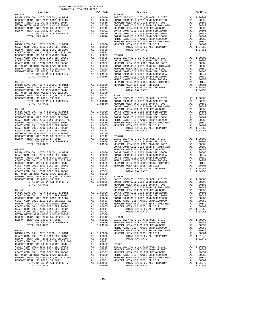| NEWPORT MESA USD GO REFUNDING BOND SER 2006B AL 0.0659 07-046 COAST COMM COLL 2002 BOND SER 2006B AL 0.0659 BASIC L<br>COAST COMM COLL 2002 BOND SER 2003A AL 0.0547 COAST COMM COLL 2002 BOND SER 2003A AL 0.0547 COAST COAST |                                                                                                                                                                                                                                  |                    |
|--------------------------------------------------------------------------------------------------------------------------------------------------------------------------------------------------------------------------------|----------------------------------------------------------------------------------------------------------------------------------------------------------------------------------------------------------------------------------|--------------------|
|                                                                                                                                                                                                                                |                                                                                                                                                                                                                                  |                    |
|                                                                                                                                                                                                                                |                                                                                                                                                                                                                                  |                    |
|                                                                                                                                                                                                                                |                                                                                                                                                                                                                                  |                    |
|                                                                                                                                                                                                                                |                                                                                                                                                                                                                                  |                    |
|                                                                                                                                                                                                                                |                                                                                                                                                                                                                                  |                    |
|                                                                                                                                                                                                                                |                                                                                                                                                                                                                                  |                    |
|                                                                                                                                                                                                                                |                                                                                                                                                                                                                                  |                    |
| $07 - 040$                                                                                                                                                                                                                     |                                                                                                                                                                                                                                  | NEWPORT            |
| BASIC LEVY-CO., CITY, SCHOOL, & DIST                                                                                                                                                                                           | A1 1.00000 NEWPORT<br>A1 .00688<br>A1 .00689<br>A1 .00659<br>A1 .00350<br>A1 .00142 07-047<br>A1 .00011 BAST C<br>A1 1.01840 COAST C<br>1.01840 NEWPORT                                                                          |                    |
| NEWPORT MESA UNIF 2005 BOND SR 2007<br>NEWPORT MESA USD GO REFUNDING BOND                                                                                                                                                      |                                                                                                                                                                                                                                  |                    |
| METRO WATER DIST-MWDOC CMWD-1205999                                                                                                                                                                                            |                                                                                                                                                                                                                                  |                    |
| NEWPORT MESA UNIF 2000 BD, SR 2012 REF<br>NEWPORT MESA UNIF 2000 BD, SR 2012 REF                                                                                                                                               |                                                                                                                                                                                                                                  |                    |
| NEWPORT MESA USD 2005, SR 2011                                                                                                                                                                                                 |                                                                                                                                                                                                                                  |                    |
| TOTAL RATES ON ALL PROPERTY                                                                                                                                                                                                    |                                                                                                                                                                                                                                  |                    |
| TOTAL TAX RATE                                                                                                                                                                                                                 |                                                                                                                                                                                                                                  |                    |
| $07 - 041$                                                                                                                                                                                                                     |                                                                                                                                                                                                                                  | NEWPORT            |
|                                                                                                                                                                                                                                |                                                                                                                                                                                                                                  |                    |
|                                                                                                                                                                                                                                |                                                                                                                                                                                                                                  |                    |
|                                                                                                                                                                                                                                |                                                                                                                                                                                                                                  |                    |
|                                                                                                                                                                                                                                |                                                                                                                                                                                                                                  |                    |
|                                                                                                                                                                                                                                |                                                                                                                                                                                                                                  |                    |
|                                                                                                                                                                                                                                |                                                                                                                                                                                                                                  |                    |
|                                                                                                                                                                                                                                |                                                                                                                                                                                                                                  |                    |
|                                                                                                                                                                                                                                |                                                                                                                                                                                                                                  |                    |
|                                                                                                                                                                                                                                |                                                                                                                                                                                                                                  |                    |
|                                                                                                                                                                                                                                |                                                                                                                                                                                                                                  |                    |
|                                                                                                                                                                                                                                |                                                                                                                                                                                                                                  |                    |
|                                                                                                                                                                                                                                |                                                                                                                                                                                                                                  | COAST C            |
| $07 - 042$                                                                                                                                                                                                                     |                                                                                                                                                                                                                                  | NEWPORT            |
|                                                                                                                                                                                                                                |                                                                                                                                                                                                                                  |                    |
|                                                                                                                                                                                                                                |                                                                                                                                                                                                                                  |                    |
|                                                                                                                                                                                                                                |                                                                                                                                                                                                                                  |                    |
|                                                                                                                                                                                                                                |                                                                                                                                                                                                                                  |                    |
|                                                                                                                                                                                                                                |                                                                                                                                                                                                                                  |                    |
|                                                                                                                                                                                                                                |                                                                                                                                                                                                                                  |                    |
|                                                                                                                                                                                                                                |                                                                                                                                                                                                                                  |                    |
|                                                                                                                                                                                                                                |                                                                                                                                                                                                                                  |                    |
|                                                                                                                                                                                                                                |                                                                                                                                                                                                                                  |                    |
|                                                                                                                                                                                                                                |                                                                                                                                                                                                                                  |                    |
|                                                                                                                                                                                                                                |                                                                                                                                                                                                                                  |                    |
|                                                                                                                                                                                                                                |                                                                                                                                                                                                                                  | COAST C            |
| $07 - 043$                                                                                                                                                                                                                     | COAST COAST COAST COAST COAST COAST CORP<br>A1 1.00000 COAST COAST COAST COAST COAST COAST COAST COAST COAST COAST COAST COAST COAST COAST COAST COAST COAST COAST COAST COAST COAST COAST COAST COAST COAST COAST COAST COAST C |                    |
| BASIC LEVY-CO., CITY, SCHOOL, & DIST COAST COMM COLL 2012 BOND SER 2016C                                                                                                                                                       |                                                                                                                                                                                                                                  |                    |
| NEWPORT MESA UNIF 2005 BOND SR 2007                                                                                                                                                                                            |                                                                                                                                                                                                                                  |                    |
| COAST COMM COLL 2012 BOND SR 2013 A&B                                                                                                                                                                                          |                                                                                                                                                                                                                                  |                    |
| NEWPORT MESA USD GO REFUNDING BOND                                                                                                                                                                                             |                                                                                                                                                                                                                                  |                    |
| COAST COMM COLL 2002 BOND SER 2006B                                                                                                                                                                                            |                                                                                                                                                                                                                                  |                    |
| COAST COMM COLL 2002 BOND SER 2003A<br>COAST COMM COLL 2002 BOND SER 2006C                                                                                                                                                     |                                                                                                                                                                                                                                  |                    |
| METRO WATER DIST-MWDOC CMWD-1205999                                                                                                                                                                                            |                                                                                                                                                                                                                                  |                    |
| NEWPORT MESA UNIF 2000 BD, SR 2012 REF                                                                                                                                                                                         |                                                                                                                                                                                                                                  |                    |
| NEWPORT MESA USD 2005, SR 2011 TOTAL RATES ON ALL PROPERTY                                                                                                                                                                     |                                                                                                                                                                                                                                  |                    |
|                                                                                                                                                                                                                                |                                                                                                                                                                                                                                  |                    |
| TOTAL TAX RATE                                                                                                                                                                                                                 |                                                                                                                                                                                                                                  |                    |
| $07 - 044$                                                                                                                                                                                                                     |                                                                                                                                                                                                                                  | METRO W<br>NEWPORT |
|                                                                                                                                                                                                                                |                                                                                                                                                                                                                                  | NEWPORT            |
|                                                                                                                                                                                                                                |                                                                                                                                                                                                                                  |                    |
| NEWPORT MESA UNIF 2005 BOND SR 2007                                                                                                                                                                                            |                                                                                                                                                                                                                                  |                    |
| COAST COMM COLL 2012 BOND SR 2013 A&B                                                                                                                                                                                          | A1 .00683<br>A1 .00683<br>A1 .00659 07-051<br>A1 .00659 BASIC L<br>A1 .00547 NEWPORT<br>A1 .00382 NEWPORT<br>A1 .00382 MEWPORT<br>A1 .00142 NEWPORT                                                                              |                    |
| NEWPORT MESA USD GO REFUNDING BOND                                                                                                                                                                                             |                                                                                                                                                                                                                                  |                    |
| COAST COMM COLL 2002 BOND SER 2006B<br>COAST COMM COLL 2002 BOND SER 2003A                                                                                                                                                     |                                                                                                                                                                                                                                  |                    |
| COAST COMM COLL 2002 BOND SER 2006C                                                                                                                                                                                            |                                                                                                                                                                                                                                  |                    |
| METRO WATER DIST-MWDOC CMWD-1205999                                                                                                                                                                                            |                                                                                                                                                                                                                                  |                    |
| NEWDORT MESA HNIE 2000 RD SP 2012 PER                                                                                                                                                                                          | $\mathbf{A}$ , $\mathbf{A}$                                                                                                                                                                                                      | $0.0142$ NEMPORT   |

| COUNTY OF ORANGE TAX RATE BOOK<br>$2016-2017\begin{array}{l} \multicolumn{1}{c}{\text{ITR}}\end{array}\text{RA} \text{RATE BC}$ DISTRICT |          |          |          |
|------------------------------------------------------------------------------------------------------------------------------------------|----------|----------|----------|
|                                                                                                                                          | TAX RATE | DISTRICT | TAX RATE |
|                                                                                                                                          |          |          |          |
|                                                                                                                                          |          |          |          |
|                                                                                                                                          |          |          |          |
|                                                                                                                                          |          |          |          |
|                                                                                                                                          |          |          |          |
|                                                                                                                                          |          |          |          |
|                                                                                                                                          |          |          |          |
|                                                                                                                                          |          |          |          |
|                                                                                                                                          |          |          |          |
|                                                                                                                                          |          |          |          |
|                                                                                                                                          |          |          |          |
|                                                                                                                                          |          |          |          |
|                                                                                                                                          |          |          |          |
|                                                                                                                                          |          |          |          |
|                                                                                                                                          |          |          |          |
|                                                                                                                                          |          |          |          |
|                                                                                                                                          |          |          |          |
|                                                                                                                                          |          |          |          |
|                                                                                                                                          |          |          |          |
|                                                                                                                                          |          |          |          |
|                                                                                                                                          |          |          |          |
|                                                                                                                                          |          |          |          |
|                                                                                                                                          |          |          |          |
|                                                                                                                                          |          |          |          |
|                                                                                                                                          |          |          |          |
|                                                                                                                                          |          |          |          |
|                                                                                                                                          |          |          |          |
|                                                                                                                                          |          |          |          |
|                                                                                                                                          |          |          |          |
|                                                                                                                                          |          |          |          |
|                                                                                                                                          |          |          |          |
|                                                                                                                                          |          |          |          |
|                                                                                                                                          |          |          |          |
|                                                                                                                                          |          |          |          |
|                                                                                                                                          |          |          |          |
|                                                                                                                                          |          |          |          |
|                                                                                                                                          |          |          |          |
|                                                                                                                                          |          |          |          |
|                                                                                                                                          |          |          |          |
|                                                                                                                                          |          |          |          |
|                                                                                                                                          |          |          |          |
|                                                                                                                                          |          |          |          |
|                                                                                                                                          |          |          |          |
|                                                                                                                                          |          |          |          |
|                                                                                                                                          |          |          |          |
|                                                                                                                                          |          |          |          |
|                                                                                                                                          |          |          |          |
|                                                                                                                                          |          |          |          |
|                                                                                                                                          |          |          |          |
|                                                                                                                                          |          |          |          |
|                                                                                                                                          |          |          |          |
|                                                                                                                                          |          |          |          |
|                                                                                                                                          |          |          |          |
|                                                                                                                                          |          |          |          |
|                                                                                                                                          |          |          |          |
|                                                                                                                                          |          |          |          |
|                                                                                                                                          |          |          |          |
|                                                                                                                                          |          |          |          |
|                                                                                                                                          |          |          |          |
|                                                                                                                                          |          |          |          |
|                                                                                                                                          |          |          |          |
|                                                                                                                                          |          |          |          |
|                                                                                                                                          |          |          |          |
|                                                                                                                                          |          |          |          |
|                                                                                                                                          |          |          |          |
|                                                                                                                                          |          |          |          |
|                                                                                                                                          |          |          |          |
|                                                                                                                                          |          |          |          |
|                                                                                                                                          |          |          |          |
|                                                                                                                                          |          |          |          |
|                                                                                                                                          |          |          |          |
|                                                                                                                                          |          |          |          |
|                                                                                                                                          |          |          |          |
|                                                                                                                                          |          |          |          |
|                                                                                                                                          |          |          |          |
|                                                                                                                                          |          |          |          |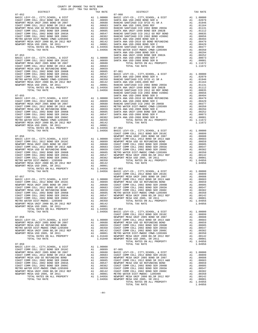| $01 - 030$     |         | <b>INDMPURI</b> |
|----------------|---------|-----------------|
|                |         |                 |
|                |         |                 |
|                |         |                 |
|                |         |                 |
|                |         |                 |
|                |         |                 |
|                |         |                 |
|                |         |                 |
|                |         |                 |
|                |         |                 |
|                |         |                 |
|                |         |                 |
| TOTAL TAX RATE | 1.04956 | BASIC L         |
|                |         | COAST C         |
| $07 - 057$     |         | NEWPORT         |
|                |         |                 |
|                |         |                 |
|                |         |                 |
|                |         |                 |
|                |         |                 |
|                |         |                 |
|                |         |                 |
|                |         |                 |
|                |         |                 |
|                |         |                 |
|                |         |                 |
|                |         |                 |
|                |         |                 |
|                |         | COAST C         |
| $07 - 058$     |         |                 |
|                |         | NEWPORT         |
|                |         |                 |
|                |         |                 |
|                |         |                 |
|                |         |                 |
|                |         |                 |
|                |         |                 |
|                |         |                 |
|                |         |                 |
| $07 - 059$     |         |                 |
|                |         |                 |
|                |         |                 |
|                |         |                 |
|                |         |                 |
|                |         |                 |
|                |         |                 |
|                |         |                 |
|                |         |                 |
|                |         |                 |
|                |         |                 |
|                |         |                 |
|                |         |                 |
|                |         |                 |
|                |         |                 |

| NEWPORT MESA USD GO REFUNDING BOND A1 .00659                                                                                                                                                                                            |                        |                           |
|-----------------------------------------------------------------------------------------------------------------------------------------------------------------------------------------------------------------------------------------|------------------------|---------------------------|
|                                                                                                                                                                                                                                         |                        |                           |
|                                                                                                                                                                                                                                         |                        |                           |
|                                                                                                                                                                                                                                         |                        |                           |
|                                                                                                                                                                                                                                         | A1 .00350<br>A1 .00142 | RANCHO                    |
|                                                                                                                                                                                                                                         |                        | SANTA A                   |
|                                                                                                                                                                                                                                         | A1 .00001              | RANCHO                    |
| COAST COMPUTE DISTRIBUTION OF A CONTROLLATION OF A CONSIDERT ON ATTER DISTRIBUTE ON THE MERICULAR OF A CONSIDER<br>NEWPORT MESA UNIF 2000 BD, SR 2012 REF A 1 .000350<br>NEWPORT MESA USD 2005, SR 2011 A 1 .00001<br>TOTAL RATES ON    |                        | SANTA A                   |
| TOTAL TAX RATE                                                                                                                                                                                                                          | 1.04956                | RANCHO                    |
|                                                                                                                                                                                                                                         |                        | RANCHO                    |
| $07 - 055$                                                                                                                                                                                                                              |                        | SANTA A                   |
| BASIC LEVY-CO., CITY, SCHOOL, & DIST A1 1.00000                                                                                                                                                                                         |                        | SANTA A                   |
| 20089 20089 2012 2012 2012 2022 2023 2024 2035 20487 2048 2048 2048 2048 2048 2048 2048 2049 2048 2049 2048 204                                                                                                                         |                        | SANTA A                   |
|                                                                                                                                                                                                                                         |                        | RANCHO                    |
|                                                                                                                                                                                                                                         |                        | METRO W                   |
| COAST COMM COLL 2012 DUND ON 2012<br>NEWPORT MESA USD CO REFUNDING BOND<br>2006 POND OF 2012 2014                                                                                                                                       | A1.00659<br>A1.00605   | SANTA A                   |
| COAST COMM COLL 2002 BOND SER 2006B                                                                                                                                                                                                     |                        | SANTA A                   |
| COAST COMM COLL 2002 BOND SER 2003A                                                                                                                                                                                                     | $A1 \t .00547$         | SANTA A                   |
| COAST COMM COLL 2002 BOND SER 2006C<br>COAST COMM COLL 2002 BOND SER 2006C<br>METRO WATER DIST-MWDOC CMWD-1205999 A1 .00350                                                                                                             | A1 .00382              | SANTA A                   |
|                                                                                                                                                                                                                                         |                        |                           |
|                                                                                                                                                                                                                                         |                        |                           |
| TOTAL RATES ON ALL PROPERTY A1 1.04956                                                                                                                                                                                                  |                        |                           |
| TOTAL TAX RATE                                                                                                                                                                                                                          |                        | $07 - 062$                |
|                                                                                                                                                                                                                                         | 1.04956                | <b>BASIC L</b><br>COAST C |
| $07 - 056$                                                                                                                                                                                                                              |                        | NEWPORT                   |
|                                                                                                                                                                                                                                         |                        | COAST C                   |
| BASIC LEVY-CO., CITY, SCHOOL, & DIST A1 1.00000<br>COAST COMM COLL 2012 BOND SER 2016C A1 .00899                                                                                                                                        |                        | NEWPORT                   |
|                                                                                                                                                                                                                                         |                        | COAST C                   |
|                                                                                                                                                                                                                                         |                        | COAST C                   |
|                                                                                                                                                                                                                                         |                        | COAST C                   |
|                                                                                                                                                                                                                                         |                        | METRO W                   |
| COAST COMM COLL 2002 BOND SER 2006B<br>COAST COMM COLL 2002 BOND SER 2003A                                                                                                                                                              | A1 .00605<br>A1 .00547 | NEWPORT                   |
| COAST COMM COLL 2002 BOND SER 2006C                                                                                                                                                                                                     |                        | NEWPORT                   |
|                                                                                                                                                                                                                                         | A1.00382<br>A1.00350   |                           |
|                                                                                                                                                                                                                                         |                        |                           |
| COAST COMM COLL 2002 2002 2012<br>METRO WATER DIST-MWDOC- 120599 21 .00142<br>NEWPORT MESA UNIF 2000 BD, SR 2012 REF 21 .00142<br>100001 11 21 .00001<br>Al .00001 AU 2005, SK 2011 Al .00001<br>TOTAL RATES ON ALL PROPERTY Al 1.04956 |                        |                           |
|                                                                                                                                                                                                                                         | 1.04956                | $07 - 063$                |
| TOTAL TAX RATE                                                                                                                                                                                                                          | 1.04956                | <b>BASIC L</b>            |
|                                                                                                                                                                                                                                         |                        | COAST C                   |
| $07 - 057$                                                                                                                                                                                                                              |                        | NEWPORT                   |
|                                                                                                                                                                                                                                         |                        | COAST C                   |
| BASIC LEVY-CO., CITY, SCHOOL, & DIST A1 1.00000<br>COAST COMM COLL 2012 BOND SER 2016C A1 .00899                                                                                                                                        |                        | NEWPORT                   |
| NEWPORT MESA UNIF 2005 BOND SR 2007                                                                                                                                                                                                     | A1 .00688              | COAST C                   |
|                                                                                                                                                                                                                                         |                        | COAST C                   |
|                                                                                                                                                                                                                                         |                        | COAST C                   |
|                                                                                                                                                                                                                                         |                        |                           |

| IVIAU KAILO VR AUU FRVEBRII           |     | $-1.1$     | <b>NATACITA</b> |
|---------------------------------------|-----|------------|-----------------|
| TOTAL TAX RATE                        |     | 1.04956    | METRO W         |
|                                       |     |            | SANTA A         |
| $07 - 053$                            |     |            | SANTA A         |
| BASIC LEVY-CO., CITY, SCHOOL, & DIST  |     | A1 1,00000 | SANTA A         |
| COAST COMM COLL 2012 BOND SER 2016C   | A1  | .00899     | SANTA A         |
| NEWPORT MESA UNIF 2005 BOND SR 2007   | A1  | .00688     |                 |
| COAST COMM COLL 2012 BOND SR 2013 A&B | A1  | .00683     |                 |
| NEWPORT MESA USD GO REFUNDING BOND    | A1  | .00659     |                 |
| COAST COMM COLL 2002 BOND SER 2006B   | A1  | .00605     | $07 - 061$      |
| COAST COMM COLL 2002 BOND SER 2003A   | A 1 | .00547     | <b>BASIC L</b>  |
| COAST COMM COLL 2002 BOND SER 2006C   | A1  | .00382     | SANTA A         |
| METRO WATER DIST-MWDOC CMWD-1205999   | A1  | .00350     | RANCHO          |
| NEWPORT MESA UNIF 2000 BD.SR 2012 REF | A1. | .00142     | SANTA A         |
| NEWPORT MESA HSD 2005 SR 2011         | A1  | 00001      | RANCHO          |

| n Jan Cin                             | IAA RAIB     |                |  |
|---------------------------------------|--------------|----------------|--|
| $07 - 052$                            |              | $07 - 060$     |  |
| BASIC LEVY-CO., CITY, SCHOOL, & DIST  | A1 1.00000   | <b>BASIC L</b> |  |
| COAST COMM COLL 2012 BOND SER 2016C   | .00899<br>A1 | SANTA A        |  |
| NEWPORT MESA UNIF 2005 BOND SR 2007   | A1<br>.00688 | RANCHO         |  |
| COAST COMM COLL 2012 BOND SR 2013 A&B | .00683<br>A1 | SANTA A        |  |
| NEWPORT MESA USD GO REFUNDING BOND    | A1<br>.00659 | RANCHO         |  |
| COAST COMM COLL 2002 BOND SER 2006B   | A1<br>.00605 | SANTA A        |  |
| COAST COMM COLL 2002 BOND SER 2003A   | .00547<br>A1 | RANCHO         |  |
| COAST COMM COLL 2002 BOND SER 2006C   | A1<br>.00382 | RANCHO         |  |
| METRO WATER DIST-MWDOC CMWD-1205999   | A1<br>.00350 | SANTA A        |  |
| NEWPORT MESA UNIF 2000 BD.SR 2012 REF | A1<br>.00142 | SANTA A        |  |
| NEWPORT MESA USD 2005, SR 2011        | A1<br>.00001 | SANTA A        |  |
| TOTAL RATES ON ALL PROPERTY           | A1 1.04956   | RANCHO         |  |
| TOTAL TAX RATE                        | 1 04956      | METRO W        |  |

COUNTY OF ORANGE TAX RATE BOOK<br>2016-2017 TRA TAX RATES DISTRICT DISTRICT TAX RATE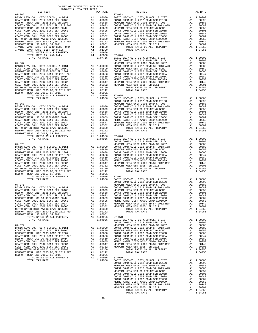| RANCH WATER DIST ID # 125<br>TOTAL RATES ON ALL PROPERTY                   |          |                                                   |                                  |
|----------------------------------------------------------------------------|----------|---------------------------------------------------|----------------------------------|
| TOTAL RATE ON LAND ONLY                                                    |          | A1 1.04956<br>A4 .02800 07-074<br>1.07756 BASIC L |                                  |
| TOTAL TAX RATE                                                             |          |                                                   |                                  |
| $07 - 067$                                                                 |          |                                                   | COAST C<br>NEWPORT               |
|                                                                            |          |                                                   |                                  |
|                                                                            |          |                                                   |                                  |
|                                                                            |          |                                                   |                                  |
|                                                                            |          |                                                   |                                  |
|                                                                            |          |                                                   |                                  |
|                                                                            |          |                                                   |                                  |
|                                                                            |          |                                                   |                                  |
|                                                                            |          |                                                   |                                  |
|                                                                            |          |                                                   |                                  |
|                                                                            |          |                                                   |                                  |
| TOTAL TAX RATE                                                             |          | 1.04956                                           | BASIC L                          |
|                                                                            |          |                                                   | COAST C                          |
|                                                                            |          |                                                   |                                  |
|                                                                            |          |                                                   |                                  |
|                                                                            |          |                                                   |                                  |
|                                                                            |          |                                                   |                                  |
|                                                                            |          |                                                   |                                  |
|                                                                            |          |                                                   |                                  |
|                                                                            |          |                                                   |                                  |
|                                                                            |          |                                                   |                                  |
|                                                                            |          |                                                   |                                  |
|                                                                            |          |                                                   |                                  |
|                                                                            |          |                                                   |                                  |
| TOTAL TAX RATE                                                             |          | 1.04956                                           | BASIC L                          |
|                                                                            |          |                                                   | COAST C                          |
|                                                                            |          |                                                   |                                  |
|                                                                            |          |                                                   |                                  |
|                                                                            |          |                                                   |                                  |
|                                                                            |          |                                                   |                                  |
|                                                                            |          |                                                   |                                  |
|                                                                            |          |                                                   |                                  |
|                                                                            |          |                                                   |                                  |
|                                                                            |          |                                                   |                                  |
|                                                                            |          |                                                   |                                  |
| NEWPORT MESA USD 2005, SR 2011                                             |          | A1 .00142<br>A1 .00001<br>A1 1.04956 07-077       |                                  |
| TOTAL RATES ON ALL PROPERTY                                                |          |                                                   |                                  |
| TOTAL TAX RATE                                                             |          | 1.04956                                           | BASIC L                          |
|                                                                            |          |                                                   | COAST C                          |
| $07 - 071$                                                                 |          |                                                   | NEWPORT                          |
|                                                                            |          |                                                   |                                  |
|                                                                            |          |                                                   |                                  |
|                                                                            |          |                                                   |                                  |
|                                                                            |          |                                                   |                                  |
|                                                                            |          |                                                   |                                  |
| COAST COMM COLL 2002 BOND SER 2006C                                        |          | .00382                                            |                                  |
| METRO WATER DIST-MWDOC CMWD-1205999                                        | A1<br>A1 | .00350                                            | NEWPORT                          |
| NEWPORT MESA UNIF 2000 BD, SR 2012 REF                                     | A1       | .00142                                            |                                  |
| NEWPORT MESA USD 2005, SR 2011                                             | A1       | .00001                                            |                                  |
| TOTAL RATES ON ALL PROPERTY                                                |          | A1 1.04956                                        | $07 - 078$                       |
| TOTAL TAX RATE                                                             |          | 1.04956                                           | BASIC L                          |
| $07 - 072$                                                                 |          |                                                   | COAST C<br>NEWPORT               |
| BASIC LEVY-CO., CITY, SCHOOL, & DIST                                       | A1       | 1.00000                                           | COAST C                          |
| COAST COMM COLL 2012 BOND SER 2016C                                        |          | A1.00899                                          | NEWPORT                          |
| NEWPORT MESA UNIF 2005 BOND SR 2007                                        | A1       | .00688                                            | COAST C                          |
| COAST COMM COLL 2012 BOND SR 2013 A&B                                      | A1       | .00683                                            | COAST C                          |
| NEWPORT MESA USD GO REFUNDING BOND                                         | A1       | .00659                                            | COAST C                          |
| COAST COMM COLL 2002 BOND SER 2006B                                        |          | A1.00605                                          | METRO W                          |
| COAST COMM COLL 2002 BOND SER 2003A<br>COAST COMM COLL 2002 BOND SER 2006C | A1       | A1.00547<br>.00382                                | NEWPORT<br>NEWPORT               |
| METRO WATER DIST-MWDOC CMWD-1205999                                        | A1       | .00350                                            |                                  |
| NEWPORT MESA UNIF 2000 BD, SR 2012 REF                                     | A1       | .00142                                            |                                  |
| NEWPORT MESA USD 2005, SR 2011                                             | A1       | .00001                                            |                                  |
| TOTAL RATES ON ALL PROPERTY<br>TOTAL TAY RATE                              |          | A1 1.04956                                        | $07 - 079$<br>$1.04956$ RASTO T. |
|                                                                            |          |                                                   |                                  |

| DISTRICT   | ZUID-ZUI/ TRA TAX RATES<br>TAX RATE | DISTRICT                                                                                                                                                                                                                                                                                                                                                                                            | TAX RATE |
|------------|-------------------------------------|-----------------------------------------------------------------------------------------------------------------------------------------------------------------------------------------------------------------------------------------------------------------------------------------------------------------------------------------------------------------------------------------------------|----------|
| $07 - 066$ |                                     | $07 - 073$                                                                                                                                                                                                                                                                                                                                                                                          |          |
|            |                                     |                                                                                                                                                                                                                                                                                                                                                                                                     |          |
|            |                                     |                                                                                                                                                                                                                                                                                                                                                                                                     |          |
|            |                                     |                                                                                                                                                                                                                                                                                                                                                                                                     |          |
|            |                                     |                                                                                                                                                                                                                                                                                                                                                                                                     |          |
|            |                                     |                                                                                                                                                                                                                                                                                                                                                                                                     |          |
|            |                                     |                                                                                                                                                                                                                                                                                                                                                                                                     |          |
|            |                                     |                                                                                                                                                                                                                                                                                                                                                                                                     |          |
|            |                                     |                                                                                                                                                                                                                                                                                                                                                                                                     |          |
|            |                                     |                                                                                                                                                                                                                                                                                                                                                                                                     |          |
|            |                                     |                                                                                                                                                                                                                                                                                                                                                                                                     |          |
|            |                                     |                                                                                                                                                                                                                                                                                                                                                                                                     |          |
|            |                                     |                                                                                                                                                                                                                                                                                                                                                                                                     |          |
|            |                                     |                                                                                                                                                                                                                                                                                                                                                                                                     |          |
|            |                                     |                                                                                                                                                                                                                                                                                                                                                                                                     |          |
|            |                                     |                                                                                                                                                                                                                                                                                                                                                                                                     |          |
|            |                                     |                                                                                                                                                                                                                                                                                                                                                                                                     |          |
|            |                                     |                                                                                                                                                                                                                                                                                                                                                                                                     |          |
|            |                                     |                                                                                                                                                                                                                                                                                                                                                                                                     |          |
|            |                                     |                                                                                                                                                                                                                                                                                                                                                                                                     |          |
|            |                                     |                                                                                                                                                                                                                                                                                                                                                                                                     |          |
|            |                                     |                                                                                                                                                                                                                                                                                                                                                                                                     |          |
|            |                                     |                                                                                                                                                                                                                                                                                                                                                                                                     |          |
|            |                                     |                                                                                                                                                                                                                                                                                                                                                                                                     |          |
|            |                                     |                                                                                                                                                                                                                                                                                                                                                                                                     |          |
|            |                                     |                                                                                                                                                                                                                                                                                                                                                                                                     |          |
|            |                                     |                                                                                                                                                                                                                                                                                                                                                                                                     |          |
|            |                                     |                                                                                                                                                                                                                                                                                                                                                                                                     |          |
|            |                                     |                                                                                                                                                                                                                                                                                                                                                                                                     |          |
|            |                                     |                                                                                                                                                                                                                                                                                                                                                                                                     |          |
|            |                                     |                                                                                                                                                                                                                                                                                                                                                                                                     |          |
|            |                                     |                                                                                                                                                                                                                                                                                                                                                                                                     |          |
|            |                                     |                                                                                                                                                                                                                                                                                                                                                                                                     |          |
|            |                                     |                                                                                                                                                                                                                                                                                                                                                                                                     |          |
|            |                                     |                                                                                                                                                                                                                                                                                                                                                                                                     |          |
|            |                                     |                                                                                                                                                                                                                                                                                                                                                                                                     |          |
|            |                                     |                                                                                                                                                                                                                                                                                                                                                                                                     |          |
|            |                                     |                                                                                                                                                                                                                                                                                                                                                                                                     |          |
|            |                                     |                                                                                                                                                                                                                                                                                                                                                                                                     |          |
|            |                                     |                                                                                                                                                                                                                                                                                                                                                                                                     |          |
|            |                                     |                                                                                                                                                                                                                                                                                                                                                                                                     |          |
|            |                                     |                                                                                                                                                                                                                                                                                                                                                                                                     |          |
|            |                                     |                                                                                                                                                                                                                                                                                                                                                                                                     |          |
|            |                                     |                                                                                                                                                                                                                                                                                                                                                                                                     |          |
|            |                                     |                                                                                                                                                                                                                                                                                                                                                                                                     |          |
|            |                                     | $\begin{tabular}{l ll} \hline \textbf{18} \textbf{R} \textbf{19} \textbf{19} \textbf{19} \textbf{19} \textbf{19} \textbf{19} \textbf{19} \textbf{19} \textbf{19} \textbf{19} \textbf{19} \textbf{19} \textbf{19} \textbf{19} \textbf{19} \textbf{19} \textbf{19} \textbf{19} \textbf{19} \textbf{19} \textbf{19} \textbf{19} \textbf{19} \textbf{19} \textbf{19} \textbf{19} \textbf{19} \textbf{1$ |          |
|            |                                     |                                                                                                                                                                                                                                                                                                                                                                                                     |          |
|            |                                     |                                                                                                                                                                                                                                                                                                                                                                                                     |          |
|            |                                     |                                                                                                                                                                                                                                                                                                                                                                                                     |          |
|            |                                     |                                                                                                                                                                                                                                                                                                                                                                                                     |          |
|            |                                     |                                                                                                                                                                                                                                                                                                                                                                                                     |          |
|            |                                     |                                                                                                                                                                                                                                                                                                                                                                                                     |          |
|            |                                     |                                                                                                                                                                                                                                                                                                                                                                                                     |          |
|            |                                     |                                                                                                                                                                                                                                                                                                                                                                                                     |          |
|            |                                     |                                                                                                                                                                                                                                                                                                                                                                                                     |          |
|            |                                     |                                                                                                                                                                                                                                                                                                                                                                                                     |          |
|            |                                     |                                                                                                                                                                                                                                                                                                                                                                                                     |          |
|            |                                     |                                                                                                                                                                                                                                                                                                                                                                                                     |          |
|            |                                     |                                                                                                                                                                                                                                                                                                                                                                                                     |          |
|            |                                     |                                                                                                                                                                                                                                                                                                                                                                                                     |          |
|            |                                     |                                                                                                                                                                                                                                                                                                                                                                                                     |          |
|            |                                     |                                                                                                                                                                                                                                                                                                                                                                                                     |          |
|            |                                     |                                                                                                                                                                                                                                                                                                                                                                                                     |          |
|            |                                     |                                                                                                                                                                                                                                                                                                                                                                                                     |          |
|            |                                     |                                                                                                                                                                                                                                                                                                                                                                                                     |          |
|            |                                     |                                                                                                                                                                                                                                                                                                                                                                                                     |          |
|            |                                     |                                                                                                                                                                                                                                                                                                                                                                                                     |          |
|            |                                     |                                                                                                                                                                                                                                                                                                                                                                                                     |          |
|            |                                     | WERFORT WERE, UNIT 2005 SOMET COMPARATION (1995 2007 CONFIDENT MEAL 1.0005 2007 COMPARATION (1993 2007 COMPARATION (1993 2007 COMPARATION (1993 2007 COMPARATION (1993 2007 COMPARATION (1993 2007 COMPARATION (1993 2007 COM                                                                                                                                                                       |          |
|            |                                     |                                                                                                                                                                                                                                                                                                                                                                                                     |          |
|            |                                     |                                                                                                                                                                                                                                                                                                                                                                                                     |          |
|            |                                     |                                                                                                                                                                                                                                                                                                                                                                                                     |          |
|            |                                     |                                                                                                                                                                                                                                                                                                                                                                                                     |          |
|            |                                     |                                                                                                                                                                                                                                                                                                                                                                                                     |          |
|            |                                     |                                                                                                                                                                                                                                                                                                                                                                                                     |          |
|            |                                     |                                                                                                                                                                                                                                                                                                                                                                                                     |          |
|            |                                     |                                                                                                                                                                                                                                                                                                                                                                                                     |          |
|            |                                     |                                                                                                                                                                                                                                                                                                                                                                                                     |          |
|            |                                     |                                                                                                                                                                                                                                                                                                                                                                                                     |          |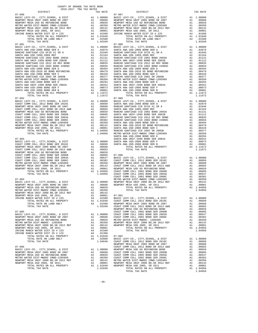|                                                                                                                                                                                                                                                                                                                                                                                                | COUNTY OF ORANGE TAX RATE BOOK<br>2016-2017 TRA TAX RATES |    |                                                                                                                                                  |            |
|------------------------------------------------------------------------------------------------------------------------------------------------------------------------------------------------------------------------------------------------------------------------------------------------------------------------------------------------------------------------------------------------|-----------------------------------------------------------|----|--------------------------------------------------------------------------------------------------------------------------------------------------|------------|
| DISTRICT                                                                                                                                                                                                                                                                                                                                                                                       |                                                           |    | TAX RATE                                                                                                                                         |            |
| $07 - 080$<br>$\begin{tabular}{l c c c c} \multicolumn{1}{c}{0.7-0.0000} & 0.7-0.07 & 0.7-0.07 & 0.7-0.07 \\ \multicolumn{1}{c}{\textbf{BASIC }} \textbf{LEVY-C0.} & \textbf{C TTY, SCHOOL, & $D$ I T} & $A1$ & $1.00000$ & $B\textrm{A}BIC L \\ \multicolumn{1}{c}{\textbf{NEWPORT}}\textbf{ MESA UNIF } 2005\textbf{ BOND SR } 2007 & $A1$ & $0.0688$ & $N\textbf{ENPORT} \\ \multicolumn{1$ |                                                           |    |                                                                                                                                                  | $07 - 087$ |
|                                                                                                                                                                                                                                                                                                                                                                                                |                                                           |    |                                                                                                                                                  |            |
|                                                                                                                                                                                                                                                                                                                                                                                                |                                                           |    |                                                                                                                                                  |            |
|                                                                                                                                                                                                                                                                                                                                                                                                |                                                           |    |                                                                                                                                                  |            |
|                                                                                                                                                                                                                                                                                                                                                                                                |                                                           |    |                                                                                                                                                  |            |
|                                                                                                                                                                                                                                                                                                                                                                                                |                                                           |    |                                                                                                                                                  |            |
|                                                                                                                                                                                                                                                                                                                                                                                                |                                                           |    |                                                                                                                                                  |            |
|                                                                                                                                                                                                                                                                                                                                                                                                |                                                           |    |                                                                                                                                                  |            |
| TOTAL TAX RATE                                                                                                                                                                                                                                                                                                                                                                                 |                                                           |    | 1.03340                                                                                                                                          |            |
| $07 - 081$                                                                                                                                                                                                                                                                                                                                                                                     |                                                           |    |                                                                                                                                                  | $07 - 088$ |
|                                                                                                                                                                                                                                                                                                                                                                                                |                                                           |    |                                                                                                                                                  |            |
|                                                                                                                                                                                                                                                                                                                                                                                                |                                                           |    |                                                                                                                                                  |            |
|                                                                                                                                                                                                                                                                                                                                                                                                |                                                           |    |                                                                                                                                                  |            |
|                                                                                                                                                                                                                                                                                                                                                                                                |                                                           |    |                                                                                                                                                  |            |
|                                                                                                                                                                                                                                                                                                                                                                                                |                                                           |    |                                                                                                                                                  |            |
|                                                                                                                                                                                                                                                                                                                                                                                                |                                                           |    |                                                                                                                                                  |            |
|                                                                                                                                                                                                                                                                                                                                                                                                |                                                           |    |                                                                                                                                                  |            |
|                                                                                                                                                                                                                                                                                                                                                                                                |                                                           |    |                                                                                                                                                  |            |
|                                                                                                                                                                                                                                                                                                                                                                                                |                                                           |    |                                                                                                                                                  |            |
|                                                                                                                                                                                                                                                                                                                                                                                                |                                                           |    |                                                                                                                                                  |            |
|                                                                                                                                                                                                                                                                                                                                                                                                |                                                           |    |                                                                                                                                                  |            |
|                                                                                                                                                                                                                                                                                                                                                                                                |                                                           |    |                                                                                                                                                  |            |
|                                                                                                                                                                                                                                                                                                                                                                                                |                                                           |    |                                                                                                                                                  |            |
|                                                                                                                                                                                                                                                                                                                                                                                                |                                                           |    |                                                                                                                                                  |            |
|                                                                                                                                                                                                                                                                                                                                                                                                |                                                           |    |                                                                                                                                                  |            |
|                                                                                                                                                                                                                                                                                                                                                                                                |                                                           |    |                                                                                                                                                  |            |
| TOTAL TAX RATE                                                                                                                                                                                                                                                                                                                                                                                 |                                                           |    | 1.11672                                                                                                                                          |            |
|                                                                                                                                                                                                                                                                                                                                                                                                |                                                           |    |                                                                                                                                                  |            |
|                                                                                                                                                                                                                                                                                                                                                                                                |                                                           |    |                                                                                                                                                  |            |
|                                                                                                                                                                                                                                                                                                                                                                                                |                                                           |    |                                                                                                                                                  |            |
|                                                                                                                                                                                                                                                                                                                                                                                                |                                                           |    |                                                                                                                                                  |            |
|                                                                                                                                                                                                                                                                                                                                                                                                |                                                           |    |                                                                                                                                                  |            |
|                                                                                                                                                                                                                                                                                                                                                                                                |                                                           |    |                                                                                                                                                  |            |
|                                                                                                                                                                                                                                                                                                                                                                                                |                                                           |    |                                                                                                                                                  |            |
|                                                                                                                                                                                                                                                                                                                                                                                                |                                                           |    |                                                                                                                                                  |            |
|                                                                                                                                                                                                                                                                                                                                                                                                |                                                           |    |                                                                                                                                                  |            |
|                                                                                                                                                                                                                                                                                                                                                                                                |                                                           |    |                                                                                                                                                  |            |
|                                                                                                                                                                                                                                                                                                                                                                                                |                                                           |    |                                                                                                                                                  |            |
|                                                                                                                                                                                                                                                                                                                                                                                                |                                                           |    |                                                                                                                                                  |            |
|                                                                                                                                                                                                                                                                                                                                                                                                |                                                           |    |                                                                                                                                                  |            |
| $07 - 083$                                                                                                                                                                                                                                                                                                                                                                                     |                                                           |    |                                                                                                                                                  | SANTA A    |
|                                                                                                                                                                                                                                                                                                                                                                                                |                                                           |    |                                                                                                                                                  | SANTA A    |
|                                                                                                                                                                                                                                                                                                                                                                                                |                                                           |    |                                                                                                                                                  |            |
|                                                                                                                                                                                                                                                                                                                                                                                                |                                                           |    |                                                                                                                                                  |            |
|                                                                                                                                                                                                                                                                                                                                                                                                |                                                           |    |                                                                                                                                                  |            |
|                                                                                                                                                                                                                                                                                                                                                                                                |                                                           |    |                                                                                                                                                  |            |
|                                                                                                                                                                                                                                                                                                                                                                                                |                                                           |    |                                                                                                                                                  |            |
|                                                                                                                                                                                                                                                                                                                                                                                                |                                                           |    |                                                                                                                                                  |            |
|                                                                                                                                                                                                                                                                                                                                                                                                |                                                           |    |                                                                                                                                                  |            |
|                                                                                                                                                                                                                                                                                                                                                                                                |                                                           |    |                                                                                                                                                  |            |
|                                                                                                                                                                                                                                                                                                                                                                                                |                                                           |    |                                                                                                                                                  |            |
|                                                                                                                                                                                                                                                                                                                                                                                                |                                                           |    |                                                                                                                                                  |            |
|                                                                                                                                                                                                                                                                                                                                                                                                |                                                           |    |                                                                                                                                                  |            |
|                                                                                                                                                                                                                                                                                                                                                                                                |                                                           |    |                                                                                                                                                  | COAST C    |
| $07 - 084$                                                                                                                                                                                                                                                                                                                                                                                     |                                                           |    |                                                                                                                                                  | METRO W    |
|                                                                                                                                                                                                                                                                                                                                                                                                |                                                           |    |                                                                                                                                                  |            |
|                                                                                                                                                                                                                                                                                                                                                                                                |                                                           |    |                                                                                                                                                  |            |
|                                                                                                                                                                                                                                                                                                                                                                                                |                                                           |    |                                                                                                                                                  |            |
|                                                                                                                                                                                                                                                                                                                                                                                                |                                                           |    |                                                                                                                                                  |            |
| NEWPORT MESA USD 2005, SR 2011                                                                                                                                                                                                                                                                                                                                                                 |                                                           |    |                                                                                                                                                  |            |
| IRVINE RANCH WATER DIST ID # 225                                                                                                                                                                                                                                                                                                                                                               |                                                           |    | A1 .00001 07-091<br>A4 .01500 BASIC L<br>A1 .01500 BASIC L<br>A4 .01500 NEWPORT<br>1.03340 COAST C                                               |            |
| TOTAL RATES ON ALL PROPERTY                                                                                                                                                                                                                                                                                                                                                                    |                                                           |    |                                                                                                                                                  |            |
| TOTAL RATE ON LAND ONLY                                                                                                                                                                                                                                                                                                                                                                        |                                                           |    |                                                                                                                                                  |            |
| TOTAL TAX RATE                                                                                                                                                                                                                                                                                                                                                                                 |                                                           |    |                                                                                                                                                  | NEWPORT    |
| $07 - 085$                                                                                                                                                                                                                                                                                                                                                                                     |                                                           |    |                                                                                                                                                  | COAST C    |
| BASIC LEVY-CO., CITY, SCHOOL, & DIST                                                                                                                                                                                                                                                                                                                                                           |                                                           |    | A1 1.00000                                                                                                                                       | COAST C    |
| NEWPORT MESA UNIF 2005 BOND SR 2007                                                                                                                                                                                                                                                                                                                                                            |                                                           |    |                                                                                                                                                  |            |
| NEWPORT MESA USD GO REFUNDING BOND                                                                                                                                                                                                                                                                                                                                                             |                                                           |    |                                                                                                                                                  |            |
| METRO WATER DIST-MWDOC- 1205999                                                                                                                                                                                                                                                                                                                                                                |                                                           |    | A1.000688<br>A1.00688<br>A1.00659<br>METRO WERPORT<br>A1.00142<br>MEWPORT<br>A1.00142<br>MEWPORT                                                 |            |
| NEWPORT MESA UNIF 2000 BD, SR 2012 REF                                                                                                                                                                                                                                                                                                                                                         |                                                           |    |                                                                                                                                                  |            |
| NEWPORT MESA USD 2005, SR 2011<br>IRVINE RANCH WATER DIST ID # 225                                                                                                                                                                                                                                                                                                                             |                                                           | A4 | A1 .00001                                                                                                                                        |            |
| IRVINE RANCH WATER DIST ID # 125                                                                                                                                                                                                                                                                                                                                                               |                                                           | A4 | .01500<br>.01300                                                                                                                                 |            |
| TOTAL RATES ON ALL PROPERTY                                                                                                                                                                                                                                                                                                                                                                    |                                                           |    | A1 1.01840                                                                                                                                       |            |
| TOTAL RATE ON LAND ONLY                                                                                                                                                                                                                                                                                                                                                                        |                                                           |    |                                                                                                                                                  |            |
| TOTAL TAX RATE                                                                                                                                                                                                                                                                                                                                                                                 |                                                           |    | A1 1.01840 07-092<br>A4 .02800 BASIC L<br>1.04640 COAST C                                                                                        |            |
|                                                                                                                                                                                                                                                                                                                                                                                                |                                                           |    |                                                                                                                                                  | NEWPORT    |
| $07 - 086$                                                                                                                                                                                                                                                                                                                                                                                     |                                                           |    |                                                                                                                                                  | COAST C    |
| BASIC LEVY-CO., CITY, SCHOOL, & DIST                                                                                                                                                                                                                                                                                                                                                           |                                                           |    |                                                                                                                                                  |            |
| NEWPORT MESA UNIF 2005 BOND SR 2007                                                                                                                                                                                                                                                                                                                                                            |                                                           |    |                                                                                                                                                  |            |
| NEWPORT MESA USD GO REFUNDING BOND<br>METRO WATER DIST-MWDOC CMWD-1205999                                                                                                                                                                                                                                                                                                                      |                                                           |    |                                                                                                                                                  |            |
| NEWPORT MESA UNIF 2000 BD, SR 2012 REF                                                                                                                                                                                                                                                                                                                                                         |                                                           |    | A1 1.00000 MEWPORT<br>A1 .00688 COAST C<br>A1 .00659 COAST C<br>A1 .00350 COAST C<br>A1 .00142 METRO W<br>A1 .00001 NEWPORT<br>A1 101840 NEWPORT |            |
| NEWPORT MESA USD 2005, SR 2011                                                                                                                                                                                                                                                                                                                                                                 |                                                           |    |                                                                                                                                                  |            |
| TOTAL RATES ON ALL DRODERTY                                                                                                                                                                                                                                                                                                                                                                    |                                                           |    |                                                                                                                                                  |            |

| DISTRICT   | 2016-2017 TRA TAX RATES | TAX RATE | DISTRICT                                                                                                                                                                                                                                                             | TAX RATE |
|------------|-------------------------|----------|----------------------------------------------------------------------------------------------------------------------------------------------------------------------------------------------------------------------------------------------------------------------|----------|
|            |                         |          |                                                                                                                                                                                                                                                                      |          |
|            |                         |          |                                                                                                                                                                                                                                                                      |          |
|            |                         |          |                                                                                                                                                                                                                                                                      |          |
|            |                         |          |                                                                                                                                                                                                                                                                      |          |
|            |                         |          |                                                                                                                                                                                                                                                                      |          |
|            |                         |          |                                                                                                                                                                                                                                                                      |          |
|            |                         |          |                                                                                                                                                                                                                                                                      |          |
|            |                         |          |                                                                                                                                                                                                                                                                      |          |
|            |                         |          | $\begin{array}{ccccccccc} 0.791 & 0.0000 & 0.0000 & 0.00000 & 0.00000 & 0.00000 & 0.00000 & 0.00000 & 0.00000 & 0.00000 & 0.00000 & 0.00000 & 0.00000 & 0.00000 & 0.00000 & 0.00000 & 0.00000 & 0.00000 & 0.00000 & 0.00000 & 0.00000 & 0.00000 & 0.00000 & 0.00000$ |          |
|            |                         |          |                                                                                                                                                                                                                                                                      |          |
|            |                         |          |                                                                                                                                                                                                                                                                      |          |
|            |                         |          |                                                                                                                                                                                                                                                                      |          |
|            |                         |          |                                                                                                                                                                                                                                                                      |          |
|            |                         |          |                                                                                                                                                                                                                                                                      |          |
|            |                         |          |                                                                                                                                                                                                                                                                      |          |
|            |                         |          |                                                                                                                                                                                                                                                                      |          |
|            |                         |          |                                                                                                                                                                                                                                                                      |          |
|            |                         |          |                                                                                                                                                                                                                                                                      |          |
|            |                         |          |                                                                                                                                                                                                                                                                      |          |
|            |                         |          |                                                                                                                                                                                                                                                                      |          |
|            |                         |          |                                                                                                                                                                                                                                                                      |          |
|            |                         |          |                                                                                                                                                                                                                                                                      |          |
|            |                         |          |                                                                                                                                                                                                                                                                      |          |
| $07 - 082$ |                         |          | $07 - 089$                                                                                                                                                                                                                                                           |          |
|            |                         |          |                                                                                                                                                                                                                                                                      |          |
|            |                         |          |                                                                                                                                                                                                                                                                      |          |
|            |                         |          |                                                                                                                                                                                                                                                                      |          |
|            |                         |          |                                                                                                                                                                                                                                                                      |          |
|            |                         |          |                                                                                                                                                                                                                                                                      |          |
|            |                         |          |                                                                                                                                                                                                                                                                      |          |
|            |                         |          |                                                                                                                                                                                                                                                                      |          |
|            |                         |          |                                                                                                                                                                                                                                                                      |          |
|            |                         |          |                                                                                                                                                                                                                                                                      |          |
|            |                         |          |                                                                                                                                                                                                                                                                      |          |
|            |                         |          |                                                                                                                                                                                                                                                                      |          |
|            |                         |          |                                                                                                                                                                                                                                                                      |          |
|            |                         |          |                                                                                                                                                                                                                                                                      |          |
|            |                         |          |                                                                                                                                                                                                                                                                      |          |
|            |                         |          |                                                                                                                                                                                                                                                                      |          |
|            |                         |          |                                                                                                                                                                                                                                                                      |          |
|            |                         |          |                                                                                                                                                                                                                                                                      |          |
|            |                         |          |                                                                                                                                                                                                                                                                      |          |
|            |                         |          |                                                                                                                                                                                                                                                                      |          |
|            |                         |          |                                                                                                                                                                                                                                                                      |          |
|            |                         |          |                                                                                                                                                                                                                                                                      |          |
|            |                         |          |                                                                                                                                                                                                                                                                      |          |
|            |                         |          |                                                                                                                                                                                                                                                                      |          |
|            |                         |          |                                                                                                                                                                                                                                                                      |          |
|            |                         |          |                                                                                                                                                                                                                                                                      |          |
|            |                         |          |                                                                                                                                                                                                                                                                      |          |
|            |                         |          |                                                                                                                                                                                                                                                                      |          |
|            |                         |          |                                                                                                                                                                                                                                                                      |          |
|            |                         |          |                                                                                                                                                                                                                                                                      |          |
|            |                         |          |                                                                                                                                                                                                                                                                      |          |
|            |                         |          |                                                                                                                                                                                                                                                                      |          |
|            |                         |          |                                                                                                                                                                                                                                                                      |          |
|            |                         |          |                                                                                                                                                                                                                                                                      |          |
|            |                         |          |                                                                                                                                                                                                                                                                      |          |
|            |                         |          |                                                                                                                                                                                                                                                                      |          |
|            |                         |          |                                                                                                                                                                                                                                                                      |          |
|            |                         |          |                                                                                                                                                                                                                                                                      |          |
|            |                         |          |                                                                                                                                                                                                                                                                      |          |
|            |                         |          |                                                                                                                                                                                                                                                                      |          |
|            |                         |          |                                                                                                                                                                                                                                                                      |          |
|            |                         |          |                                                                                                                                                                                                                                                                      |          |
|            |                         |          |                                                                                                                                                                                                                                                                      |          |
|            |                         |          |                                                                                                                                                                                                                                                                      |          |
|            |                         |          |                                                                                                                                                                                                                                                                      |          |
|            |                         |          |                                                                                                                                                                                                                                                                      |          |
|            |                         |          |                                                                                                                                                                                                                                                                      |          |
|            |                         |          |                                                                                                                                                                                                                                                                      |          |
|            |                         |          |                                                                                                                                                                                                                                                                      |          |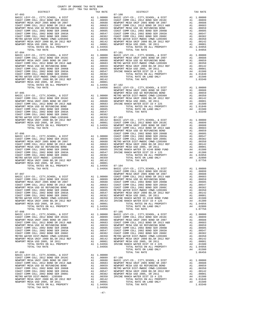| $\begin{tabular}{lcccc} \texttt{METRO} & \texttt{METRO} & \texttt{METRO} & \texttt{METRO} & \texttt{NETRO} & \texttt{NETRO} & \texttt{NETRO} \\ \texttt{NEWPORT} & \texttt{MESA} & \texttt{UNIF} & 2000 & \texttt{BD}, \texttt{SR} & 2012 & \texttt{REF} & \texttt{A1} & .00350 \\ \texttt{NEWPORT} & \texttt{MESA} & \texttt{USD} & 2005 & \texttt{SR} & 2011 & \texttt{REF} & \texttt{A1} & .00001 \\ \texttt{TOTAL} & \$ |                                       |         |            |
|-----------------------------------------------------------------------------------------------------------------------------------------------------------------------------------------------------------------------------------------------------------------------------------------------------------------------------------------------------------------------------------------------------------------------------|---------------------------------------|---------|------------|
|                                                                                                                                                                                                                                                                                                                                                                                                                             |                                       |         |            |
|                                                                                                                                                                                                                                                                                                                                                                                                                             |                                       |         |            |
|                                                                                                                                                                                                                                                                                                                                                                                                                             |                                       |         |            |
| TOTAL TAX RATE                                                                                                                                                                                                                                                                                                                                                                                                              |                                       | 1.04956 | BASIC L    |
|                                                                                                                                                                                                                                                                                                                                                                                                                             |                                       |         | COAST C    |
|                                                                                                                                                                                                                                                                                                                                                                                                                             |                                       |         |            |
|                                                                                                                                                                                                                                                                                                                                                                                                                             |                                       |         |            |
|                                                                                                                                                                                                                                                                                                                                                                                                                             |                                       |         |            |
|                                                                                                                                                                                                                                                                                                                                                                                                                             |                                       |         |            |
|                                                                                                                                                                                                                                                                                                                                                                                                                             |                                       |         |            |
|                                                                                                                                                                                                                                                                                                                                                                                                                             |                                       |         |            |
|                                                                                                                                                                                                                                                                                                                                                                                                                             |                                       |         |            |
|                                                                                                                                                                                                                                                                                                                                                                                                                             |                                       |         |            |
|                                                                                                                                                                                                                                                                                                                                                                                                                             |                                       |         |            |
|                                                                                                                                                                                                                                                                                                                                                                                                                             |                                       |         |            |
|                                                                                                                                                                                                                                                                                                                                                                                                                             |                                       |         |            |
|                                                                                                                                                                                                                                                                                                                                                                                                                             |                                       |         |            |
|                                                                                                                                                                                                                                                                                                                                                                                                                             |                                       |         |            |
| TOTAL TAX RATE                                                                                                                                                                                                                                                                                                                                                                                                              |                                       | 1.04956 |            |
| $07 - 098$                                                                                                                                                                                                                                                                                                                                                                                                                  |                                       |         | $07 - 105$ |
|                                                                                                                                                                                                                                                                                                                                                                                                                             |                                       |         |            |
|                                                                                                                                                                                                                                                                                                                                                                                                                             |                                       |         |            |
|                                                                                                                                                                                                                                                                                                                                                                                                                             |                                       |         |            |
|                                                                                                                                                                                                                                                                                                                                                                                                                             |                                       |         |            |
|                                                                                                                                                                                                                                                                                                                                                                                                                             |                                       |         |            |
|                                                                                                                                                                                                                                                                                                                                                                                                                             |                                       |         |            |
|                                                                                                                                                                                                                                                                                                                                                                                                                             |                                       |         |            |
|                                                                                                                                                                                                                                                                                                                                                                                                                             |                                       |         |            |
|                                                                                                                                                                                                                                                                                                                                                                                                                             |                                       |         |            |
|                                                                                                                                                                                                                                                                                                                                                                                                                             |                                       |         |            |
|                                                                                                                                                                                                                                                                                                                                                                                                                             |                                       |         |            |
|                                                                                                                                                                                                                                                                                                                                                                                                                             |                                       |         |            |
| TOTAL TAX RATE                                                                                                                                                                                                                                                                                                                                                                                                              |                                       | 1.04956 |            |
|                                                                                                                                                                                                                                                                                                                                                                                                                             |                                       |         |            |
| $07 - 099$                                                                                                                                                                                                                                                                                                                                                                                                                  |                                       |         |            |
|                                                                                                                                                                                                                                                                                                                                                                                                                             |                                       |         |            |
|                                                                                                                                                                                                                                                                                                                                                                                                                             | A1 .00899 07-106<br>A1 .00688 BASIC L |         |            |
|                                                                                                                                                                                                                                                                                                                                                                                                                             |                                       |         |            |
| VERPOORT NEWS USE ON COLL 2012 BOND SR 2013 A&B<br>NEWSPORT NESA USD GO REFUNDING BOND SR 2013 A&B<br>NEWSPORT NESA USD GO REFUNDING BOND SER 2006B<br>COAST COMM COLL 2002 BOND SER 2003A<br>COAST COMM COLL 2002 BOND SER 2003A<br>A1                                                                                                                                                                                     |                                       |         |            |
|                                                                                                                                                                                                                                                                                                                                                                                                                             |                                       |         |            |
|                                                                                                                                                                                                                                                                                                                                                                                                                             |                                       |         |            |
| COAST COMM COLL 2002 BOND SER 2003A<br>COAST COMM COLL 2002 BOND SER 2006C                                                                                                                                                                                                                                                                                                                                                  |                                       |         |            |
|                                                                                                                                                                                                                                                                                                                                                                                                                             |                                       |         |            |
|                                                                                                                                                                                                                                                                                                                                                                                                                             |                                       |         |            |
| COAST COMM COLL 2002 BOND SER 2006C<br>METRO WATER DIST-MWDOC-1205999 A1 .00382 NEWPORT<br>METRO WATER DIST-MWDOC-1205999 A1 .00382 IRVINE<br>NEWPORT MESA UNIF 2000 BD, SR 2012 REF A1 .00142<br>NEWPORT MESA USD 2005, SR 2011 A1 .0                                                                                                                                                                                      |                                       |         |            |
|                                                                                                                                                                                                                                                                                                                                                                                                                             |                                       |         |            |
| TOTAL RATES ON ALL PROPERTY A1 1.04956                                                                                                                                                                                                                                                                                                                                                                                      |                                       |         |            |
| TOTAL TAX RATE                                                                                                                                                                                                                                                                                                                                                                                                              |                                       | 1.04956 |            |
|                                                                                                                                                                                                                                                                                                                                                                                                                             |                                       |         |            |

 $-47-$ 

07-094 07-101

07-093 07-100

 BASIC LEVY-CO., CITY,SCHOOL, & DIST A1 1.00000 BASIC LEVY-CO., CITY,SCHOOL, & DIST A1 1.00000 COAST COMM COLL 2012 BOND SER 2016C A1 .00899 COAST COMM COLL 2012 BOND SER 2016C A1 .00899 NEWPORT MESA UNIF 2005 BOND SR 2007 A1 .00688 NEWPORT MESA UNIF 2005 BOND SR 2007 A1 .00688 COAST COMM COLL 2012 BOND SR 2013 A&B A1 .00683<br>
NEWPORT MESA USD GO REFUNDING BOND A1 .00659 NEWPORT MESA USD GO REFUNDING BOND A1 .00659 NEWPORT MESA USD GO REFUNDING BOND A1 .00659 COAST COMM COLL 2002 BOND SER 2006B A1 .00605 COAST COMM COLL 2002 BOND SER 2006B A1 .00605 COAST COMM COLL 2002 BOND SER 2003A A1 .00547 COAST COMM COLL 2002 BOND SER 2003A A1 .00547 COAST COMM COLL 2002 BOND SER 2006C A1 .00382 COAST COMM COLL 2002 BOND SER 2006C A1 .00382 METRO WATER DIST-MWDOC CMWD-1205999 A1 .00350 METRO WATER DIST-MWDOC CMWD-1205999 A1 .00350<br>NEWPORT MESA USP 2006 BD, SR 2012 REF A1 .00101 NEWPORT MESA USP 2005, SR 2012 REF A1 .00142<br>NEWPORT MESA USP 2005, SR 2011 A1 .00 BASIC LEVY-CO., CITY,SCHOOL, & DIST A1 1.00000 BASIC LEVY-CO., CITY,SCHOOL, & DIST A1 1.00000 COAST COMM COLL 2012 BOND SER 2016C A1 .00899 NEWPORT MESA UNIF 2005 BOND SR 2007 A1 .00688 NEWPORT MESA UNIF 2005 BOND SR 2007 A1 .00688 NEWPORT MESA USD GO REFUNDING BOND A1 .00659 A1 .00699 A1 .00699 A1 .00699 A1 .00689 NETRO WATER DIST-MWDOC CMWD-1205999 A1 .00350 COAST COMM COLL 2012 BOND SR 2013 A&B A1 .00683 METRO WATER DIST-MWDOC CMWD-1205999 A1 .00350 00142 NEWPORT MESA USD GO REFUNDING BOND MORE AL .00659 NEWPORT MESA UNIF 2000 BD, SR 2012 REF AL .00142<br>COAST COMM COLL 2002 BOND SER 2006B AL .00605 BENEVORT MESA USD 2005, SR 2011<br>COAST COMM COLL 2002 BOND SER 2003A AL COAST COMM COLL 2002 BOND SER 2006C A1 .00382 TOTAL RATES ON ALL PROPERTY A1 1.01840 METRO WATER DIST-MWDOC CMWD-1205999 A1 .00350 TOTAL RATE ON LAND ONLY A4 .01500 NEWPORT MESA UNIF 2000 BD,SR 2012 REF A1 .00142 TOTAL TAX RATE 1.03340 NEWPORT MESA USD 2005, SR 2011 A1 .00001 TOTAL RATES ON ALL PROPERTY A1 1.04956 07-102 TOTAL TAX RATE 1.04956 BASIC LEVY-CO., CITY,SCHOOL, & DIST A1 1.00000 NEWPORT MESA UNIF 2005 BOND SR 2007 A1 .00688 07-095 NEWPORT MESA USD GO REFUNDING BOND A1 .00659 BASIC LEVY-CO., CITY,SCHOOL, & DIST A1 1.00000 METRO WATER DIST-MWDOC CMWD-1205999 A1 .00350 COAST COMM COLL 2012 BOND SER 2016C A1 .00899 NEWPORT MESA UNIF 2000 BD,SR 2012 REF A1 .00142 NEWPORT MESA UNIF 2005 BOND SR 2007 A1 .00688 NEWPORT MESA USD 2005, SR 2011 A1 .00001 COAST COMM COLL 2012 BOND SR 2013 A&B A1 .00683 IRVINE RANCH WATER DIST ID # 225 A4 .01500 NEWPORT MESA USD GO REFUNDING BOND A1 .00659 TOTAL RATES ON ALL PROPERTY A1 1.01840 COAST COMM COLL 2002 BOND SER 2006B A1 .00605 TOTAL RATE ON LAND ONLY A4 .01500 COAST COMM COLL 2002 BOND SER 2003A A1 .00547 TOTAL TAX RATE <br>COAST COMM COLL 2002 BOND SER 2006C A1 .00382 METRO WATER DIST-MWDOC CMWD-1205999 A1 .00350 07-103 NEWPORT MESA UNIF 2000 BD,SR 2012 REF A1 .00142 BASIC LEVY-CO., CITY,SCHOOL, & DIST A1 1.00000 NEWPORT MESA USD 2005, SR 2011 A1 .00001 COAST COMM COLL 2012 BOND SER 2016C A1 .00899 TOTAL RATES ON ALL PROPERTY A1 1.04956 NEWPORT MESA UNIF 2005 BOND SR 2007 A1 .00688 TOTAL RATES ON ALL PROPERTY AND 1.04956 COMM COLL 2012 BOND SR 2016<br>TOTAL RATES ON ALL PROPERTY AND 1.04956 COAST COMM COLL 2012 BOND SR 2016<br>TOTAL TAX RATE 1.04956 COAST COMM COLL 2012 BOND SR 2013 A&B A1 .00683<br>TOTAL TAX NEWPORT MESA USD GO REFUNDING BOND A1 .00659 07-096 COAST COMM COLL 2002 BOND SER 2006B A1 .00605  $\begin{tabular}{ c| c| c|c|c|c|c} \multicolumn{1}{c}{ \begin{tabular}{c} \multicolumn{1}{c}{ \begin{tabular}{c} \multicolumn{1}{c}{ \begin{tabular}{c} \multicolumn{1}{c}{ \begin{tabular}{c} \multicolumn{1}{c}{ \begin{tabular}{c} \multicolumn{1}{c}{ \begin{tabular}{c} \multicolumn{1}{c}{ \begin{tabular}{c} \multicolumn{1}{c}{ \begin{tabular}{c} \multicolumn{1}{c}{ \begin{tabular}{c} \multicolumn{1}{c}{ \multicolumn{1}{c}{ \multicolumn{1}{c}{ \multicolumn{1}{c}{ \multicolumn{1}{c}{ \mult$  TOTAL TAX RATE 1.04956 BASIC LEVY-CO., CITY,SCHOOL, & DIST A1 1.00000 COAST COMM COLL 2012 BOND SER 2016C A1 .00899 07-097 16 07-097 NEWPORT MESA UNIF 2005 BOND SR 2007 A1<br>BASIC LEVY-CO., CITY,SCHOOL, & DIST A1 1.00000 COAST COMM COLL 2012 BOND SR 2013 A&B COAST COMM COLL 2012 BOND SER 2016C A1 .00899 NEWPORT MESA USD GO REFUNDING BOND A1 .00659 NEWPORT MESA UNIF 2005 BOND SR 2007 A1 .00688 COAST COMM COLL 2002 BOND SER 2006B A1 .00605 OOAST COMM COLL 2012 BOND SR 2013 A&B A1 .00683 COAST COMM COLL 2002 BOND SER 2003A A1 .00547<br>NEWPORT MESA USD GO REFUNDING BOND A1 .00659 COAST COMM COLL 2002 BOND SER 2006C A1 .00382 A1 .00683 COAST COMM COLL 2002 BOND SER 2003A A1 .00547<br>A1 .00659 COAST COMM COLL 2002 BOND SER 2006C A1 .00382<br>A1 .00605 METRO WATER DIST-MWDOC CMWD-1205999 A1 .00547 NEWPORT MESA UNIF 2000 BD SR 2012 REF A1 .00142 COAST COMM COLL 2002 BOND SER 2003A A1 .00547 NEWPORT MESA UNIF 2000 BD,SR 2012 REF A1 .00142 COAST COMM COLL 2002 BOND SER 2006C A1 .00382 NEWPORT MESA USD 2005, SR 2011 A1 .00001 METRO WATER DIST-MWDOC CMWD-1205999 A1 .00350 IRVINE RANCH WATER ID #240 BOND FUND A4 .01500 NEWPORT MESA UNIF 2000 BD,SR 2012 REF A1 .00142 IRVINE RANCH WATER DIST ID # 125 A4 .01300 NEWPORT MESA USD 2005, SR 2011 A1 .00001 TOTAL RATES ON ALL PROPERTY A1 1.04956 TOTAL RATE ON LAND ONLY A1 1.04956 TOTAL RATE ON LAND ONLY A4 .02800 1.04956 TOTAL RATE ON LAND ONLY  $\begin{array}{cc} 1.04956 & 1.07756 \end{array}$  $\begin{tabular}{ll} \multicolumn{2}{l} {\begin{tabular}{l} \bf{1.6} \end{tabular}} \hline \multicolumn{2}{l}{\begin{tabular}{l} \bf{1.6} \end{tabular}} \hline \multicolumn{2}{l}{\begin{tabular}{l} \bf{1.6} \end{tabular}} \hline \multicolumn{2}{l}{\begin{tabular}{l} \bf{1.6} \end{tabular}} \hline \multicolumn{2}{l}{\begin{tabular}{l} \bf{1.6} \end{tabular}} \hline \multicolumn{2}{l}{\begin{tabular}{l} \bf{1.6} \end{tabular}} \hline \multicolumn{2}{l}{\begin{tabular$ BASIC LEVY-CO., CITY, SCHOOL, & DIST<br>COAST COMM COLL 2012 BOND SER 2016C MORE ALL 00000 BASIC LEVY-CO., CITY, SCHOOL, 2012 BOND SER 2016C<br>NEWPORT MESA UNIF 2005 BOND SR 2007 ALL 00688 NEWPORT MESA UNIF 2005 BOND SR 2007 AL NEWPORT MESA USD GO REFUNDING BOND A1 .00659 NEWPORT MESA USD GO REFUNDING BOND A1 .00605<br>A1 .00605 COAST COMM COLL 2002 BOND SER 2006B A1 .00605 00605. COAST COMM COLL 2002 BOND SER 2006B A1 .00605 COAST COMM COLL 2002 BOND SER 2006B<br>COAST COMM COLL 2002 BOND SER 2003A COAST COAST COAST COAST COMM COLL 2003 BOND SER 2003A AND COLL 2002 BOND S<br>COAST COMM COLL 2002 B METRO WATER DIST-MWDOC CMWD-1205999 A1 .00350 METRO WATER DIST-MWDOC CMWD-1205999 A1 .00350 NEWPORT MESA UNIF 2000 BD,SR 2012 REF A1 .00142 NEWPORT MESA UNIF 2000 BD,SR 2012 REF A1 .00142 NEWPORT MESA USD 2005, SR 2011 A1 .00001 NEWPORT MESA USD 2005, SR 2011 A1 .00001 TOTAL RATES ON ALL PROPERTY A1 1.04956 IRVINE RANCH WATER DIST ID # 225 A4 .01500 TOTAL TAX RATE 1.04956 TOTAL RATES ON ALL PROPERTY A1 1.04956 TOTAL RATE ON LAND ONLY A4 .01500<br>
TOTAL RATE ON LAND ONLY A4 .01500<br>
1.06456  $07-099$  and  $07-099$  and  $07-099$  and  $07-099$  and  $07-099$  and  $07-099$  and  $07-099$  and  $07-099$  and  $07-099$  and  $07-099$  and  $07-099$  and  $07-099$  and  $07-099$  and  $07-099$  and  $07-099$  and  $07-099$  and  $07-099$  and A1 1.00000<br>A1 .00899 A1 .00899 07-106<br>A1 .00688 BASIC LEVY-CO., CITY,SCHOOL, & DIST A1 1.00000<br>A1 .00683 NEWPORT MESA USD GO REFUNDING BOND A1 .00659<br>A1 .00659 NEWPORT MESA USD GO REFUNDING BOND A1 .00659 COAST COMM COLL 2012 BOND SR 2013 A&B A1 .00683 NEWPORT MESA UNIF 2005 BOND SR 2007 A1 .00688<br>NEWPORT MESA USD GO REFUNDING BOND A1 .00659 NEWPORT MESA USD GO REFUNDING BOND A1 .00659 COAST COMM COLL 2002 BOND SER 2006B A1 .00605 METRO WATER DIST-MWDOC CMWD-1205999 A1 .00350 COAST COMM COLL 2002 BOND SER 2003A A1 .00547 NEWPORT MESA UNIF 2000 BD,SR 2012 REF A1 .00142 COAST COMM COLL 2002 BOND SER 2006C A1 .00382 NEWPORT MESA USD 2005, SR 2011 A1 .00001 METRO WATER DIST-MWDOC- 1205999 A1 .00350 IRVINE RANCH WATER DIST ID # 225 A4 .01500 NEWPORT MESA UNIF 2000 BD,SR 2012 REF A1 .00142 TOTAL RATES ON ALL PROPERTY A1 1.01840 NEWPORT MESA USD 2005, SR 2011 A1 .00001 TOTAL RATE ON LAND ONLY A4 .01500 TOTAL RATES ON ALL PROPERTY A1 1.04956 TOTAL TAX RATE 1.03340

DISTRICT TAX RATE DISTRICT TAX RATE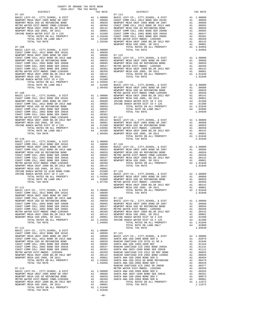| COUNTY OF ORANGE TAX RATE BOOK<br>$2016-2017\begin{array}{l} \multicolumn{1}{c}{\begin{tabular}{c} \multicolumn{1}{c}{\textbf{1.A}}\end{tabular}}\end{array}}\begin{tabular}{l} \multicolumn{1}{c}{\textbf{1.A}}\end{tabular}}\end{tabular}\begin{tabular}{c}{\textbf{1.A}}\end{tabular}}\label{tab1}$ DISTRICT |          |                                                                                                                                                                                                                                                                                          |          |
|-----------------------------------------------------------------------------------------------------------------------------------------------------------------------------------------------------------------------------------------------------------------------------------------------------------------|----------|------------------------------------------------------------------------------------------------------------------------------------------------------------------------------------------------------------------------------------------------------------------------------------------|----------|
|                                                                                                                                                                                                                                                                                                                 | TAX RATE | DISTRICT                                                                                                                                                                                                                                                                                 | TAX RATE |
|                                                                                                                                                                                                                                                                                                                 |          | $\begin{tabular}{ c  c  c } \hline & $0.1711$ & $0.0711$ & $0.0711$ & $0.0711$ & $0.0711$ & $0.0711$ & $0.0711$ & $0.0711$ & $0.0711$ & $0.0711$ & $0.0711$ & $0.0711$ & $0.0711$ & $0.0711$ \\ \hline & 0.07111$ & 0.07111$ & 0.07111$ & 0.07111$ & 0.07111$ & 0.07111$ & 0.07111$ & 0$ |          |
|                                                                                                                                                                                                                                                                                                                 |          |                                                                                                                                                                                                                                                                                          |          |
|                                                                                                                                                                                                                                                                                                                 |          |                                                                                                                                                                                                                                                                                          |          |
|                                                                                                                                                                                                                                                                                                                 |          |                                                                                                                                                                                                                                                                                          |          |
|                                                                                                                                                                                                                                                                                                                 |          |                                                                                                                                                                                                                                                                                          |          |
|                                                                                                                                                                                                                                                                                                                 |          |                                                                                                                                                                                                                                                                                          |          |
|                                                                                                                                                                                                                                                                                                                 |          |                                                                                                                                                                                                                                                                                          |          |
|                                                                                                                                                                                                                                                                                                                 |          |                                                                                                                                                                                                                                                                                          |          |
|                                                                                                                                                                                                                                                                                                                 |          |                                                                                                                                                                                                                                                                                          |          |
|                                                                                                                                                                                                                                                                                                                 |          |                                                                                                                                                                                                                                                                                          |          |
|                                                                                                                                                                                                                                                                                                                 |          |                                                                                                                                                                                                                                                                                          |          |
|                                                                                                                                                                                                                                                                                                                 |          |                                                                                                                                                                                                                                                                                          |          |
|                                                                                                                                                                                                                                                                                                                 |          |                                                                                                                                                                                                                                                                                          |          |
|                                                                                                                                                                                                                                                                                                                 |          |                                                                                                                                                                                                                                                                                          |          |
|                                                                                                                                                                                                                                                                                                                 |          |                                                                                                                                                                                                                                                                                          |          |
|                                                                                                                                                                                                                                                                                                                 |          |                                                                                                                                                                                                                                                                                          |          |
|                                                                                                                                                                                                                                                                                                                 |          |                                                                                                                                                                                                                                                                                          |          |
|                                                                                                                                                                                                                                                                                                                 |          |                                                                                                                                                                                                                                                                                          |          |
|                                                                                                                                                                                                                                                                                                                 |          |                                                                                                                                                                                                                                                                                          |          |
|                                                                                                                                                                                                                                                                                                                 |          |                                                                                                                                                                                                                                                                                          |          |
|                                                                                                                                                                                                                                                                                                                 |          | TOTAL TAX RATE                                                                                                                                                                                                                                                                           | 1.01840  |
|                                                                                                                                                                                                                                                                                                                 |          |                                                                                                                                                                                                                                                                                          |          |
|                                                                                                                                                                                                                                                                                                                 |          |                                                                                                                                                                                                                                                                                          |          |
|                                                                                                                                                                                                                                                                                                                 |          |                                                                                                                                                                                                                                                                                          |          |
|                                                                                                                                                                                                                                                                                                                 |          |                                                                                                                                                                                                                                                                                          |          |
|                                                                                                                                                                                                                                                                                                                 |          |                                                                                                                                                                                                                                                                                          |          |
|                                                                                                                                                                                                                                                                                                                 |          |                                                                                                                                                                                                                                                                                          |          |
|                                                                                                                                                                                                                                                                                                                 |          |                                                                                                                                                                                                                                                                                          |          |
|                                                                                                                                                                                                                                                                                                                 |          |                                                                                                                                                                                                                                                                                          |          |
|                                                                                                                                                                                                                                                                                                                 |          |                                                                                                                                                                                                                                                                                          |          |
|                                                                                                                                                                                                                                                                                                                 |          |                                                                                                                                                                                                                                                                                          |          |
|                                                                                                                                                                                                                                                                                                                 |          |                                                                                                                                                                                                                                                                                          |          |
|                                                                                                                                                                                                                                                                                                                 |          |                                                                                                                                                                                                                                                                                          |          |
|                                                                                                                                                                                                                                                                                                                 |          |                                                                                                                                                                                                                                                                                          |          |
|                                                                                                                                                                                                                                                                                                                 |          |                                                                                                                                                                                                                                                                                          |          |
|                                                                                                                                                                                                                                                                                                                 |          |                                                                                                                                                                                                                                                                                          |          |
|                                                                                                                                                                                                                                                                                                                 |          |                                                                                                                                                                                                                                                                                          |          |
|                                                                                                                                                                                                                                                                                                                 |          |                                                                                                                                                                                                                                                                                          |          |
|                                                                                                                                                                                                                                                                                                                 |          |                                                                                                                                                                                                                                                                                          |          |
|                                                                                                                                                                                                                                                                                                                 |          |                                                                                                                                                                                                                                                                                          |          |
|                                                                                                                                                                                                                                                                                                                 |          |                                                                                                                                                                                                                                                                                          |          |
|                                                                                                                                                                                                                                                                                                                 |          |                                                                                                                                                                                                                                                                                          |          |
|                                                                                                                                                                                                                                                                                                                 |          |                                                                                                                                                                                                                                                                                          |          |
|                                                                                                                                                                                                                                                                                                                 |          |                                                                                                                                                                                                                                                                                          |          |
|                                                                                                                                                                                                                                                                                                                 |          |                                                                                                                                                                                                                                                                                          |          |
|                                                                                                                                                                                                                                                                                                                 |          |                                                                                                                                                                                                                                                                                          |          |
|                                                                                                                                                                                                                                                                                                                 |          |                                                                                                                                                                                                                                                                                          |          |
|                                                                                                                                                                                                                                                                                                                 |          |                                                                                                                                                                                                                                                                                          |          |
|                                                                                                                                                                                                                                                                                                                 |          |                                                                                                                                                                                                                                                                                          |          |
|                                                                                                                                                                                                                                                                                                                 |          |                                                                                                                                                                                                                                                                                          |          |
|                                                                                                                                                                                                                                                                                                                 |          |                                                                                                                                                                                                                                                                                          |          |
|                                                                                                                                                                                                                                                                                                                 |          |                                                                                                                                                                                                                                                                                          |          |
|                                                                                                                                                                                                                                                                                                                 |          |                                                                                                                                                                                                                                                                                          |          |

 $-48-$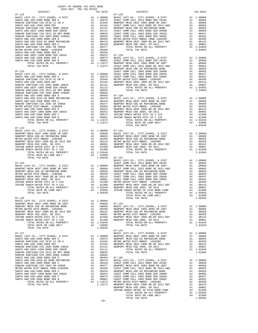| nteigter                                                                                             | IAA RAID                                                                                                                                                                                                                                                           |            |
|------------------------------------------------------------------------------------------------------|--------------------------------------------------------------------------------------------------------------------------------------------------------------------------------------------------------------------------------------------------------------------|------------|
| $07 - 122$                                                                                           |                                                                                                                                                                                                                                                                    | $07 - 128$ |
|                                                                                                      |                                                                                                                                                                                                                                                                    |            |
|                                                                                                      |                                                                                                                                                                                                                                                                    |            |
|                                                                                                      |                                                                                                                                                                                                                                                                    |            |
|                                                                                                      |                                                                                                                                                                                                                                                                    |            |
|                                                                                                      |                                                                                                                                                                                                                                                                    |            |
|                                                                                                      |                                                                                                                                                                                                                                                                    |            |
|                                                                                                      |                                                                                                                                                                                                                                                                    |            |
|                                                                                                      |                                                                                                                                                                                                                                                                    |            |
|                                                                                                      |                                                                                                                                                                                                                                                                    |            |
|                                                                                                      |                                                                                                                                                                                                                                                                    |            |
|                                                                                                      |                                                                                                                                                                                                                                                                    |            |
|                                                                                                      |                                                                                                                                                                                                                                                                    |            |
|                                                                                                      |                                                                                                                                                                                                                                                                    |            |
|                                                                                                      |                                                                                                                                                                                                                                                                    |            |
|                                                                                                      |                                                                                                                                                                                                                                                                    |            |
|                                                                                                      |                                                                                                                                                                                                                                                                    |            |
|                                                                                                      |                                                                                                                                                                                                                                                                    |            |
|                                                                                                      |                                                                                                                                                                                                                                                                    |            |
|                                                                                                      |                                                                                                                                                                                                                                                                    | NEWPORT    |
| $07 - 123$                                                                                           |                                                                                                                                                                                                                                                                    |            |
| BASIC LEVY-CO., CITY, SCHOOL, & DIST                                                                 |                                                                                                                                                                                                                                                                    |            |
| SANTA ANA USD-2008 BOND SER A                                                                        |                                                                                                                                                                                                                                                                    |            |
| RANCHO SANTIAGO CCD SFID #1 SR A                                                                     |                                                                                                                                                                                                                                                                    |            |
| SANTA ANA USD 1999, 2009 REF                                                                         |                                                                                                                                                                                                                                                                    |            |
| RANCHO SANTIAGO CCD 2002 BOND 2003A                                                                  |                                                                                                                                                                                                                                                                    |            |
| SANTA ANA UNIF-1999 BOND SER 2002B                                                                   |                                                                                                                                                                                                                                                                    |            |
| RANCHO SANTIAGO CCD 2012 GO REF BOND<br>RANCHO SANTIAGO CCD 2002 BOND #2006C                         |                                                                                                                                                                                                                                                                    |            |
| SANTA ANA USD-2008 BOND SER D                                                                        |                                                                                                                                                                                                                                                                    |            |
|                                                                                                      |                                                                                                                                                                                                                                                                    |            |
| SANTA ANA USD-2010 GO BOND REFUNDING<br>SANTA ANA USD-2008 BOND SER C                                |                                                                                                                                                                                                                                                                    |            |
|                                                                                                      |                                                                                                                                                                                                                                                                    |            |
| RANCHO SANTIAGO CCD 2002 SR 2005B<br>METRO WATER DIST-MWDOC- 1205999                                 |                                                                                                                                                                                                                                                                    |            |
| SANTA ANA USD-2008 BOND SER E                                                                        |                                                                                                                                                                                                                                                                    |            |
| SANTA ANA UNIF-1999 BOND SER 2002A<br>SANTA ANA USD-2008 BOND SER F<br>SANTA ANA USD-2008 BOND SER F |                                                                                                                                                                                                                                                                    |            |
| SANTA ANA USD-2008 BOND SER F                                                                        |                                                                                                                                                                                                                                                                    |            |
| SANTA ANA USD-2008 BOND SER B                                                                        |                                                                                                                                                                                                                                                                    |            |
| TOTAL RATES ON ALL PROPERTY                                                                          |                                                                                                                                                                                                                                                                    |            |
| TOTAL TAX RATE                                                                                       | 1.11672                                                                                                                                                                                                                                                            |            |
|                                                                                                      |                                                                                                                                                                                                                                                                    |            |
| $07 - 124$                                                                                           |                                                                                                                                                                                                                                                                    |            |
| BASIC LEVY-CO., CITY, SCHOOL, & DIST                                                                 |                                                                                                                                                                                                                                                                    |            |
| NEWPORT MESA UNIF 2005 BOND SR 2007                                                                  |                                                                                                                                                                                                                                                                    |            |
| NEWPORT MESA USD GO REFUNDING BOND                                                                   |                                                                                                                                                                                                                                                                    |            |
| METRO WATER DIST-MWDOC- 1205999                                                                      |                                                                                                                                                                                                                                                                    |            |
| NEWPORT MESA UNIF 2000 BD, SR 2012 REF                                                               |                                                                                                                                                                                                                                                                    |            |
| NEWPORT MESA USD 2005, SR 2011                                                                       |                                                                                                                                                                                                                                                                    |            |
| IRVINE RANCH WATER DIST ID # 225                                                                     |                                                                                                                                                                                                                                                                    |            |
| IRVINE RANCH WATER DIST ID # 125                                                                     |                                                                                                                                                                                                                                                                    |            |
|                                                                                                      |                                                                                                                                                                                                                                                                    |            |
|                                                                                                      |                                                                                                                                                                                                                                                                    |            |
| TOTAL TAX RATE                                                                                       | 1.04640                                                                                                                                                                                                                                                            | $07 - 132$ |
|                                                                                                      |                                                                                                                                                                                                                                                                    | BASIC L    |
| $07 - 125$                                                                                           |                                                                                                                                                                                                                                                                    | COAST C    |
| BASIC LEVY-CO., CITY, SCHOOL, & DIST                                                                 |                                                                                                                                                                                                                                                                    |            |
| NEWPORT MESA UNIF 2005 BOND SR 2007                                                                  |                                                                                                                                                                                                                                                                    |            |
| NEWPORT MESA USD GO REFUNDING BOND                                                                   |                                                                                                                                                                                                                                                                    |            |
| METRO WATER DIST-MWDOC- 1205999                                                                      |                                                                                                                                                                                                                                                                    |            |
| NEWPORT MESA UNIF 2000 BD, SR 2012 REF                                                               |                                                                                                                                                                                                                                                                    |            |
| NEWPORT MESA USD 2005, SR 2011                                                                       |                                                                                                                                                                                                                                                                    |            |
| IRVINE RANCH WATER DIST ID # 225<br>IRVINE RANCH WATER DIST ID # 125                                 |                                                                                                                                                                                                                                                                    |            |
|                                                                                                      |                                                                                                                                                                                                                                                                    |            |
|                                                                                                      |                                                                                                                                                                                                                                                                    |            |
| TOTAL TAX RATE                                                                                       | 1.04640                                                                                                                                                                                                                                                            |            |
|                                                                                                      |                                                                                                                                                                                                                                                                    |            |
| $07 - 126$                                                                                           |                                                                                                                                                                                                                                                                    |            |
| BASIC LEVY-CO., CITY, SCHOOL, & DIST                                                                 | A1 1.00000                                                                                                                                                                                                                                                         |            |
| NEWPORT MESA UNIF 2005 BOND SR 2007                                                                  |                                                                                                                                                                                                                                                                    |            |
| NEWPORT MESA USD GO REFUNDING BOND                                                                   |                                                                                                                                                                                                                                                                    |            |
| METRO WATER DIST-MWDOC- 1205999                                                                      | A1 .00688 07-133<br>A1 .00688 07-133<br>A1 .00559 BASIC L<br>A1 .00350 NEWPORT<br>A1 .00142 NEWPORT<br>A4 .01500 NEWPORT<br>A4 .01500 NEWPORT<br>A4 .01300 NEWPORT<br>A4 .01300 NEWPORT                                                                            |            |
| NEWPORT MESA UNIF 2000 BD, SR 2012 REF                                                               |                                                                                                                                                                                                                                                                    |            |
| NEWPORT MESA USD 2005, SR 2011                                                                       |                                                                                                                                                                                                                                                                    |            |
| IRVINE RANCH WATER DIST ID # 225                                                                     |                                                                                                                                                                                                                                                                    |            |
| IRVINE RANCH WATER DIST ID # 125                                                                     |                                                                                                                                                                                                                                                                    |            |
| TOTAL RATES ON ALL PROPERTY                                                                          | A1 1.01840                                                                                                                                                                                                                                                         |            |
| TOTAL RATE ON LAND ONLY                                                                              | A4 .02800                                                                                                                                                                                                                                                          |            |
| TOTAL TAX RATE                                                                                       | 1.04640                                                                                                                                                                                                                                                            |            |
|                                                                                                      |                                                                                                                                                                                                                                                                    | $07 - 134$ |
| $07 - 127$                                                                                           |                                                                                                                                                                                                                                                                    | BASIC L    |
| BASIC LEVY-CO., CITY, SCHOOL, & DIST                                                                 | A1 1.00000                                                                                                                                                                                                                                                         | NEWPORT    |
| SANTA ANA USD-2008 BOND SER A                                                                        |                                                                                                                                                                                                                                                                    |            |
| RANCHO SANTIAGO CCD SFID #1 SR A                                                                     | A1 .02079 NEWPORT<br>A1 .01946 METRO W<br>A1 .01164 NEWPORT<br>A1 .01131 NEWPORT                                                                                                                                                                                   |            |
| SANTA ANA USD 1999, 2009 REF                                                                         |                                                                                                                                                                                                                                                                    |            |
| RANCHO SANTIAGO CCD 2002 BOND 2003A                                                                  |                                                                                                                                                                                                                                                                    |            |
| SANTA ANA UNIF-1999 BOND SER 2002B                                                                   | A1 .01112                                                                                                                                                                                                                                                          |            |
| RANCHO SANTIAGO CCD 2012 GO REF BOND                                                                 | A1.00835<br>A1 .00835<br>A1 .00656<br>A1 .00494 07-135<br>A1 .00499 BASIC L<br>A1 .00429 COAST C<br>A1 .00377 NEWPORT<br>A1 .00350 COAST C<br>A1 .00252 COAST C<br>A1 .00252 COAST C<br>A1 .00073 COAST C<br>A1 .00073 COAST C<br>A1 .00073 COAST C<br>A1 .00073 C |            |
| RANCHO SANTIAGO CCD 2002 BOND #2006C                                                                 |                                                                                                                                                                                                                                                                    |            |
| SANTA ANA USD-2008 BOND SER D                                                                        |                                                                                                                                                                                                                                                                    |            |
| SANTA ANA USD-2010 GO BOND REFUNDING                                                                 |                                                                                                                                                                                                                                                                    |            |
| SANTA ANA USD-2008 BOND SER C<br>RANCHO SANTIAGO CCD 2002 SR 2005B                                   |                                                                                                                                                                                                                                                                    |            |
| METRO WATER DIST-MWDOC CMWD-1205999                                                                  |                                                                                                                                                                                                                                                                    |            |
| SANTA ANA USD-2008 BOND SER E                                                                        |                                                                                                                                                                                                                                                                    |            |
| SANTA ANA UNIF-1999 BOND SER 2002A                                                                   |                                                                                                                                                                                                                                                                    |            |
| SANTA ANA USD-2008 BOND SER F                                                                        |                                                                                                                                                                                                                                                                    |            |
| SANTA ANA USD-2008 BOND SER B                                                                        |                                                                                                                                                                                                                                                                    |            |
| TOTAL RATES ON ALL PROPERTY                                                                          |                                                                                                                                                                                                                                                                    |            |

| DISTRICT                                                                                                                                                                                                                                                                                                                                                           | TAX RATE | DISTRICT   | TAX RATE |
|--------------------------------------------------------------------------------------------------------------------------------------------------------------------------------------------------------------------------------------------------------------------------------------------------------------------------------------------------------------------|----------|------------|----------|
|                                                                                                                                                                                                                                                                                                                                                                    |          | $07 - 128$ |          |
|                                                                                                                                                                                                                                                                                                                                                                    |          |            |          |
|                                                                                                                                                                                                                                                                                                                                                                    |          |            |          |
| $07 - 124$                                                                                                                                                                                                                                                                                                                                                         |          |            |          |
| $\begin{tabular}{l c c c c c} 07-124 & 07-124 & 010000 & 07-131 \\ \hline BASIC LEVY-CO., CITY, SCHOOL, & DIST & A1 & 0.0000 & 07-131 \\ \hline NEWPORT MESA UNIF 2005 BOND SR 2007 & A1 & .00688 & BASIC LEVY-CO., CITY, SCHOOL, & DIST & A1 & 1.00000 \\ \hline NENDORT MESA UST = MWDOC-120599 & A1 & .0059 & NEWPORT MESA UNIF 2000 BD, SR 2012 REF & A1 & .0$ |          |            |          |
|                                                                                                                                                                                                                                                                                                                                                                    |          |            |          |
|                                                                                                                                                                                                                                                                                                                                                                    |          | $07 - 134$ |          |
|                                                                                                                                                                                                                                                                                                                                                                    |          |            |          |
|                                                                                                                                                                                                                                                                                                                                                                    |          |            |          |
|                                                                                                                                                                                                                                                                                                                                                                    | $-49-$   |            |          |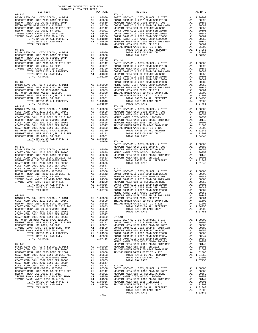| COUNTY OF ORANGE TAX RATE BOOK<br>2016-2017 TRA TAX RATES |                    |                    |
|-----------------------------------------------------------|--------------------|--------------------|
| DISTRICT                                                  | TAX RATE           |                    |
| $07 - 136$                                                |                    | $07 - 143$         |
|                                                           |                    |                    |
|                                                           |                    |                    |
|                                                           |                    |                    |
|                                                           |                    |                    |
|                                                           |                    |                    |
|                                                           |                    |                    |
|                                                           |                    |                    |
|                                                           |                    |                    |
|                                                           |                    |                    |
|                                                           |                    |                    |
|                                                           |                    |                    |
|                                                           |                    |                    |
|                                                           |                    |                    |
|                                                           |                    |                    |
|                                                           |                    |                    |
|                                                           |                    |                    |
|                                                           |                    |                    |
|                                                           |                    |                    |
|                                                           |                    |                    |
| $07 - 138$                                                |                    | COAST C            |
|                                                           |                    |                    |
|                                                           |                    |                    |
|                                                           |                    |                    |
|                                                           |                    |                    |
|                                                           |                    |                    |
|                                                           |                    |                    |
|                                                           |                    |                    |
| $07 - 139$                                                |                    | $07 - 145$         |
|                                                           |                    |                    |
|                                                           |                    |                    |
|                                                           |                    |                    |
|                                                           |                    |                    |
|                                                           |                    |                    |
|                                                           |                    |                    |
|                                                           |                    |                    |
|                                                           |                    |                    |
|                                                           |                    |                    |
|                                                           |                    |                    |
| TOTAL TAX RATE                                            | $1.04956$ $07-146$ |                    |
| $07 - 140$                                                |                    | BASIC L<br>NEWPORT |
|                                                           |                    |                    |
|                                                           |                    |                    |
|                                                           |                    |                    |
|                                                           |                    |                    |
|                                                           |                    |                    |
|                                                           |                    |                    |
|                                                           |                    |                    |
|                                                           |                    |                    |
|                                                           |                    |                    |
|                                                           |                    |                    |
|                                                           |                    |                    |
|                                                           |                    |                    |
|                                                           |                    |                    |
|                                                           |                    |                    |
|                                                           |                    | METRO W            |
| 07-141                                                    |                    | NEWPORT            |
|                                                           |                    |                    |
|                                                           |                    |                    |
|                                                           |                    |                    |
|                                                           |                    |                    |
|                                                           |                    |                    |
|                                                           |                    |                    |
|                                                           |                    |                    |
|                                                           |                    |                    |
|                                                           |                    |                    |
|                                                           |                    |                    |
|                                                           |                    |                    |
|                                                           |                    |                    |
|                                                           |                    |                    |
|                                                           |                    |                    |
|                                                           |                    |                    |
|                                                           |                    |                    |
|                                                           |                    |                    |
|                                                           |                    |                    |
|                                                           |                    |                    |
|                                                           |                    |                    |
|                                                           |                    |                    |
|                                                           |                    |                    |
|                                                           |                    |                    |
|                                                           |                    |                    |
|                                                           |                    |                    |
|                                                           |                    |                    |
|                                                           |                    |                    |
|                                                           |                    |                    |

| $07 - 143$                                                                                                                                                                                                                                                                     | TAX RATE |
|--------------------------------------------------------------------------------------------------------------------------------------------------------------------------------------------------------------------------------------------------------------------------------|----------|
|                                                                                                                                                                                                                                                                                |          |
|                                                                                                                                                                                                                                                                                |          |
|                                                                                                                                                                                                                                                                                |          |
|                                                                                                                                                                                                                                                                                |          |
|                                                                                                                                                                                                                                                                                |          |
|                                                                                                                                                                                                                                                                                |          |
|                                                                                                                                                                                                                                                                                |          |
|                                                                                                                                                                                                                                                                                |          |
|                                                                                                                                                                                                                                                                                |          |
|                                                                                                                                                                                                                                                                                |          |
|                                                                                                                                                                                                                                                                                |          |
|                                                                                                                                                                                                                                                                                |          |
|                                                                                                                                                                                                                                                                                |          |
|                                                                                                                                                                                                                                                                                |          |
|                                                                                                                                                                                                                                                                                |          |
|                                                                                                                                                                                                                                                                                |          |
|                                                                                                                                                                                                                                                                                |          |
|                                                                                                                                                                                                                                                                                |          |
|                                                                                                                                                                                                                                                                                |          |
|                                                                                                                                                                                                                                                                                |          |
|                                                                                                                                                                                                                                                                                |          |
|                                                                                                                                                                                                                                                                                |          |
|                                                                                                                                                                                                                                                                                |          |
|                                                                                                                                                                                                                                                                                |          |
|                                                                                                                                                                                                                                                                                |          |
|                                                                                                                                                                                                                                                                                |          |
| $\begin{smallmatrix} 07-240 & 0.07 & 0.07 & 0.07 & 0.08 & 0.07 & 0.08 & 0.08 & 0.08 & 0.08 & 0.08 & 0.08 & 0.08 & 0.08 & 0.08 & 0.08 & 0.08 & 0.08 & 0.08 & 0.08 & 0.08 & 0.08 & 0.08 & 0.08 & 0.08 & 0.08 & 0.08 & 0.08 & 0.08 & 0.08 & 0.08 & 0.08 & 0.08 & 0.08 & 0.08 & 0$ |          |
|                                                                                                                                                                                                                                                                                |          |
|                                                                                                                                                                                                                                                                                |          |
|                                                                                                                                                                                                                                                                                |          |
|                                                                                                                                                                                                                                                                                |          |
|                                                                                                                                                                                                                                                                                |          |
|                                                                                                                                                                                                                                                                                |          |
|                                                                                                                                                                                                                                                                                |          |
|                                                                                                                                                                                                                                                                                |          |
|                                                                                                                                                                                                                                                                                |          |
|                                                                                                                                                                                                                                                                                |          |
|                                                                                                                                                                                                                                                                                |          |
|                                                                                                                                                                                                                                                                                |          |
|                                                                                                                                                                                                                                                                                |          |
|                                                                                                                                                                                                                                                                                |          |
|                                                                                                                                                                                                                                                                                |          |
|                                                                                                                                                                                                                                                                                |          |
|                                                                                                                                                                                                                                                                                |          |
|                                                                                                                                                                                                                                                                                |          |
|                                                                                                                                                                                                                                                                                |          |
|                                                                                                                                                                                                                                                                                |          |
|                                                                                                                                                                                                                                                                                |          |
|                                                                                                                                                                                                                                                                                |          |
|                                                                                                                                                                                                                                                                                |          |
|                                                                                                                                                                                                                                                                                |          |
|                                                                                                                                                                                                                                                                                |          |
|                                                                                                                                                                                                                                                                                |          |
|                                                                                                                                                                                                                                                                                |          |
|                                                                                                                                                                                                                                                                                |          |
|                                                                                                                                                                                                                                                                                |          |
|                                                                                                                                                                                                                                                                                |          |
|                                                                                                                                                                                                                                                                                |          |
|                                                                                                                                                                                                                                                                                |          |
|                                                                                                                                                                                                                                                                                |          |
|                                                                                                                                                                                                                                                                                |          |
|                                                                                                                                                                                                                                                                                |          |
|                                                                                                                                                                                                                                                                                |          |
|                                                                                                                                                                                                                                                                                |          |
|                                                                                                                                                                                                                                                                                |          |
|                                                                                                                                                                                                                                                                                |          |
|                                                                                                                                                                                                                                                                                |          |
|                                                                                                                                                                                                                                                                                |          |
|                                                                                                                                                                                                                                                                                |          |
|                                                                                                                                                                                                                                                                                |          |
|                                                                                                                                                                                                                                                                                |          |
|                                                                                                                                                                                                                                                                                |          |
|                                                                                                                                                                                                                                                                                |          |
|                                                                                                                                                                                                                                                                                |          |
|                                                                                                                                                                                                                                                                                |          |
|                                                                                                                                                                                                                                                                                |          |
|                                                                                                                                                                                                                                                                                |          |
|                                                                                                                                                                                                                                                                                |          |
|                                                                                                                                                                                                                                                                                |          |
|                                                                                                                                                                                                                                                                                |          |
|                                                                                                                                                                                                                                                                                |          |
|                                                                                                                                                                                                                                                                                |          |
|                                                                                                                                                                                                                                                                                |          |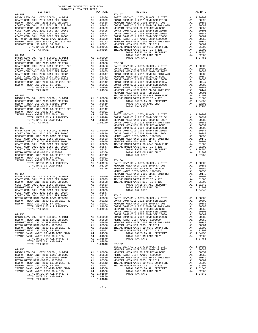| COUNTY OF ORANGE TAX RATE BOOK<br>$2016-2017\begin{array}{l} \multicolumn{1}{c}{\begin{tabular}{c} \multicolumn{1}{c}{\textbf{1.A}}\end{tabular}}\end{array}}\begin{tabular}{l} \multicolumn{1}{c}{\textbf{1.A}}\end{tabular}}\end{tabular}\begin{tabular}{c}{\textbf{1.A}}\end{tabular}}\label{tab1}$ DISTRICT                                                                                                         |          |                                                                                                                                                                                                                                       |          |
|-------------------------------------------------------------------------------------------------------------------------------------------------------------------------------------------------------------------------------------------------------------------------------------------------------------------------------------------------------------------------------------------------------------------------|----------|---------------------------------------------------------------------------------------------------------------------------------------------------------------------------------------------------------------------------------------|----------|
|                                                                                                                                                                                                                                                                                                                                                                                                                         | TAX RATE | DISTRICT                                                                                                                                                                                                                              | TAX RATE |
|                                                                                                                                                                                                                                                                                                                                                                                                                         |          |                                                                                                                                                                                                                                       |          |
|                                                                                                                                                                                                                                                                                                                                                                                                                         |          |                                                                                                                                                                                                                                       |          |
|                                                                                                                                                                                                                                                                                                                                                                                                                         |          |                                                                                                                                                                                                                                       |          |
|                                                                                                                                                                                                                                                                                                                                                                                                                         |          |                                                                                                                                                                                                                                       |          |
|                                                                                                                                                                                                                                                                                                                                                                                                                         |          |                                                                                                                                                                                                                                       |          |
|                                                                                                                                                                                                                                                                                                                                                                                                                         |          |                                                                                                                                                                                                                                       |          |
|                                                                                                                                                                                                                                                                                                                                                                                                                         |          |                                                                                                                                                                                                                                       |          |
|                                                                                                                                                                                                                                                                                                                                                                                                                         |          |                                                                                                                                                                                                                                       |          |
|                                                                                                                                                                                                                                                                                                                                                                                                                         |          |                                                                                                                                                                                                                                       |          |
|                                                                                                                                                                                                                                                                                                                                                                                                                         |          |                                                                                                                                                                                                                                       |          |
|                                                                                                                                                                                                                                                                                                                                                                                                                         |          |                                                                                                                                                                                                                                       |          |
|                                                                                                                                                                                                                                                                                                                                                                                                                         |          |                                                                                                                                                                                                                                       |          |
|                                                                                                                                                                                                                                                                                                                                                                                                                         |          |                                                                                                                                                                                                                                       |          |
|                                                                                                                                                                                                                                                                                                                                                                                                                         |          |                                                                                                                                                                                                                                       |          |
|                                                                                                                                                                                                                                                                                                                                                                                                                         |          |                                                                                                                                                                                                                                       |          |
|                                                                                                                                                                                                                                                                                                                                                                                                                         |          |                                                                                                                                                                                                                                       |          |
|                                                                                                                                                                                                                                                                                                                                                                                                                         |          |                                                                                                                                                                                                                                       |          |
|                                                                                                                                                                                                                                                                                                                                                                                                                         |          |                                                                                                                                                                                                                                       |          |
|                                                                                                                                                                                                                                                                                                                                                                                                                         |          |                                                                                                                                                                                                                                       |          |
|                                                                                                                                                                                                                                                                                                                                                                                                                         |          |                                                                                                                                                                                                                                       |          |
|                                                                                                                                                                                                                                                                                                                                                                                                                         |          |                                                                                                                                                                                                                                       |          |
|                                                                                                                                                                                                                                                                                                                                                                                                                         |          |                                                                                                                                                                                                                                       |          |
|                                                                                                                                                                                                                                                                                                                                                                                                                         |          |                                                                                                                                                                                                                                       |          |
|                                                                                                                                                                                                                                                                                                                                                                                                                         |          |                                                                                                                                                                                                                                       |          |
|                                                                                                                                                                                                                                                                                                                                                                                                                         |          |                                                                                                                                                                                                                                       |          |
|                                                                                                                                                                                                                                                                                                                                                                                                                         |          |                                                                                                                                                                                                                                       |          |
|                                                                                                                                                                                                                                                                                                                                                                                                                         |          |                                                                                                                                                                                                                                       |          |
|                                                                                                                                                                                                                                                                                                                                                                                                                         |          |                                                                                                                                                                                                                                       |          |
|                                                                                                                                                                                                                                                                                                                                                                                                                         |          |                                                                                                                                                                                                                                       |          |
|                                                                                                                                                                                                                                                                                                                                                                                                                         |          |                                                                                                                                                                                                                                       |          |
|                                                                                                                                                                                                                                                                                                                                                                                                                         |          |                                                                                                                                                                                                                                       |          |
|                                                                                                                                                                                                                                                                                                                                                                                                                         |          |                                                                                                                                                                                                                                       |          |
|                                                                                                                                                                                                                                                                                                                                                                                                                         |          |                                                                                                                                                                                                                                       |          |
|                                                                                                                                                                                                                                                                                                                                                                                                                         |          |                                                                                                                                                                                                                                       |          |
|                                                                                                                                                                                                                                                                                                                                                                                                                         |          |                                                                                                                                                                                                                                       |          |
|                                                                                                                                                                                                                                                                                                                                                                                                                         |          |                                                                                                                                                                                                                                       |          |
|                                                                                                                                                                                                                                                                                                                                                                                                                         |          |                                                                                                                                                                                                                                       |          |
|                                                                                                                                                                                                                                                                                                                                                                                                                         |          |                                                                                                                                                                                                                                       |          |
|                                                                                                                                                                                                                                                                                                                                                                                                                         |          |                                                                                                                                                                                                                                       |          |
|                                                                                                                                                                                                                                                                                                                                                                                                                         |          |                                                                                                                                                                                                                                       |          |
|                                                                                                                                                                                                                                                                                                                                                                                                                         |          |                                                                                                                                                                                                                                       |          |
|                                                                                                                                                                                                                                                                                                                                                                                                                         |          |                                                                                                                                                                                                                                       |          |
|                                                                                                                                                                                                                                                                                                                                                                                                                         |          |                                                                                                                                                                                                                                       |          |
|                                                                                                                                                                                                                                                                                                                                                                                                                         |          |                                                                                                                                                                                                                                       |          |
|                                                                                                                                                                                                                                                                                                                                                                                                                         |          |                                                                                                                                                                                                                                       |          |
|                                                                                                                                                                                                                                                                                                                                                                                                                         |          |                                                                                                                                                                                                                                       |          |
|                                                                                                                                                                                                                                                                                                                                                                                                                         |          |                                                                                                                                                                                                                                       |          |
|                                                                                                                                                                                                                                                                                                                                                                                                                         |          |                                                                                                                                                                                                                                       |          |
|                                                                                                                                                                                                                                                                                                                                                                                                                         |          |                                                                                                                                                                                                                                       |          |
|                                                                                                                                                                                                                                                                                                                                                                                                                         |          |                                                                                                                                                                                                                                       |          |
|                                                                                                                                                                                                                                                                                                                                                                                                                         |          |                                                                                                                                                                                                                                       |          |
|                                                                                                                                                                                                                                                                                                                                                                                                                         |          |                                                                                                                                                                                                                                       |          |
|                                                                                                                                                                                                                                                                                                                                                                                                                         |          |                                                                                                                                                                                                                                       |          |
|                                                                                                                                                                                                                                                                                                                                                                                                                         |          |                                                                                                                                                                                                                                       |          |
|                                                                                                                                                                                                                                                                                                                                                                                                                         |          |                                                                                                                                                                                                                                       |          |
|                                                                                                                                                                                                                                                                                                                                                                                                                         |          |                                                                                                                                                                                                                                       |          |
|                                                                                                                                                                                                                                                                                                                                                                                                                         |          | COAST COMM COLL 2002 BOND SER 2003<br>COAST COMM COLL 2002 BOND SER 2003<br>COAST COMM COLL 2002 BOND SER 2003<br>METRO WITER INTERNATION COMMO-1205299<br>METRO WITER SINTER P2005 DOB CREAT AND CONSTRUCT AND CONSTRUCT AND CONSTRU |          |
|                                                                                                                                                                                                                                                                                                                                                                                                                         |          |                                                                                                                                                                                                                                       |          |
|                                                                                                                                                                                                                                                                                                                                                                                                                         |          |                                                                                                                                                                                                                                       |          |
|                                                                                                                                                                                                                                                                                                                                                                                                                         |          |                                                                                                                                                                                                                                       |          |
|                                                                                                                                                                                                                                                                                                                                                                                                                         |          |                                                                                                                                                                                                                                       |          |
|                                                                                                                                                                                                                                                                                                                                                                                                                         |          |                                                                                                                                                                                                                                       |          |
|                                                                                                                                                                                                                                                                                                                                                                                                                         |          |                                                                                                                                                                                                                                       |          |
|                                                                                                                                                                                                                                                                                                                                                                                                                         |          |                                                                                                                                                                                                                                       |          |
|                                                                                                                                                                                                                                                                                                                                                                                                                         |          |                                                                                                                                                                                                                                       |          |
|                                                                                                                                                                                                                                                                                                                                                                                                                         |          |                                                                                                                                                                                                                                       |          |
|                                                                                                                                                                                                                                                                                                                                                                                                                         |          |                                                                                                                                                                                                                                       |          |
|                                                                                                                                                                                                                                                                                                                                                                                                                         |          |                                                                                                                                                                                                                                       |          |
| $\begin{tabular}{c c c c c} \multicolumn{4}{c c c} \multicolumn{4}{c c} $\mathsf{L} \mathsf{U}\mathsf{A}\mathsf{L}$ & $\mathsf{1.04640}$ & $\mathsf{0.7-162}$ & $\mathsf{BASTC}~\text{LEVY-CO.}, $\mathsf{CITY},\mathsf{SCHODL}$ & $\mathsf{BASTC}~\text{LEVY-CO.}, $\mathsf{CITY},\mathsf{SCHODL}$ & $\mathsf{RAI}~\mathsf{0.0000}$ \\ \multicolumn{4}{c c c} $\mathsf{B}\mathsf{ASIC}~\text{LEVY-CO.}, $\mathsf{CITY$ |          |                                                                                                                                                                                                                                       |          |
|                                                                                                                                                                                                                                                                                                                                                                                                                         |          |                                                                                                                                                                                                                                       |          |
|                                                                                                                                                                                                                                                                                                                                                                                                                         |          |                                                                                                                                                                                                                                       |          |
|                                                                                                                                                                                                                                                                                                                                                                                                                         |          |                                                                                                                                                                                                                                       |          |
|                                                                                                                                                                                                                                                                                                                                                                                                                         |          |                                                                                                                                                                                                                                       |          |
|                                                                                                                                                                                                                                                                                                                                                                                                                         |          |                                                                                                                                                                                                                                       |          |

-51-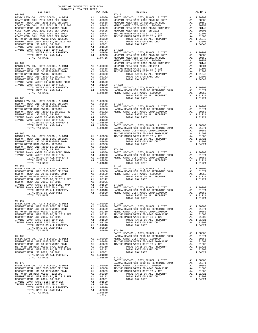| COUNTY OF ORANGE TAX RATE BOOK<br>2016-2017 TRA TAX RATES<br>$2016-2017\begin{array}{lcl} & \text{otherwise} & \text{IAA} & \text{RATE} & \text{R}\text{NTE} \\ & 2016-2017 & \text{TRA} & \text{TAA} & \text{RATES} \\ \end{array}$ | TAX RATE | DISTRICT                                                                                                                                                                                                                                                                                                                                                                                                 |            | TAX RATE |
|--------------------------------------------------------------------------------------------------------------------------------------------------------------------------------------------------------------------------------------|----------|----------------------------------------------------------------------------------------------------------------------------------------------------------------------------------------------------------------------------------------------------------------------------------------------------------------------------------------------------------------------------------------------------------|------------|----------|
|                                                                                                                                                                                                                                      |          | $07 - 171$                                                                                                                                                                                                                                                                                                                                                                                               |            |          |
|                                                                                                                                                                                                                                      |          |                                                                                                                                                                                                                                                                                                                                                                                                          |            |          |
|                                                                                                                                                                                                                                      |          |                                                                                                                                                                                                                                                                                                                                                                                                          |            |          |
|                                                                                                                                                                                                                                      |          |                                                                                                                                                                                                                                                                                                                                                                                                          |            |          |
|                                                                                                                                                                                                                                      |          |                                                                                                                                                                                                                                                                                                                                                                                                          |            |          |
|                                                                                                                                                                                                                                      |          |                                                                                                                                                                                                                                                                                                                                                                                                          |            |          |
|                                                                                                                                                                                                                                      |          |                                                                                                                                                                                                                                                                                                                                                                                                          |            |          |
|                                                                                                                                                                                                                                      |          |                                                                                                                                                                                                                                                                                                                                                                                                          |            |          |
|                                                                                                                                                                                                                                      |          |                                                                                                                                                                                                                                                                                                                                                                                                          |            |          |
|                                                                                                                                                                                                                                      |          |                                                                                                                                                                                                                                                                                                                                                                                                          |            |          |
|                                                                                                                                                                                                                                      |          |                                                                                                                                                                                                                                                                                                                                                                                                          |            |          |
|                                                                                                                                                                                                                                      |          |                                                                                                                                                                                                                                                                                                                                                                                                          |            |          |
|                                                                                                                                                                                                                                      |          |                                                                                                                                                                                                                                                                                                                                                                                                          |            |          |
|                                                                                                                                                                                                                                      |          |                                                                                                                                                                                                                                                                                                                                                                                                          |            |          |
|                                                                                                                                                                                                                                      |          |                                                                                                                                                                                                                                                                                                                                                                                                          |            |          |
|                                                                                                                                                                                                                                      |          |                                                                                                                                                                                                                                                                                                                                                                                                          |            |          |
|                                                                                                                                                                                                                                      |          |                                                                                                                                                                                                                                                                                                                                                                                                          |            |          |
|                                                                                                                                                                                                                                      |          |                                                                                                                                                                                                                                                                                                                                                                                                          |            |          |
|                                                                                                                                                                                                                                      |          |                                                                                                                                                                                                                                                                                                                                                                                                          |            |          |
|                                                                                                                                                                                                                                      |          |                                                                                                                                                                                                                                                                                                                                                                                                          |            |          |
|                                                                                                                                                                                                                                      |          |                                                                                                                                                                                                                                                                                                                                                                                                          |            |          |
|                                                                                                                                                                                                                                      |          |                                                                                                                                                                                                                                                                                                                                                                                                          |            |          |
|                                                                                                                                                                                                                                      |          |                                                                                                                                                                                                                                                                                                                                                                                                          |            |          |
|                                                                                                                                                                                                                                      |          |                                                                                                                                                                                                                                                                                                                                                                                                          |            |          |
|                                                                                                                                                                                                                                      |          |                                                                                                                                                                                                                                                                                                                                                                                                          |            |          |
|                                                                                                                                                                                                                                      |          |                                                                                                                                                                                                                                                                                                                                                                                                          |            |          |
|                                                                                                                                                                                                                                      |          |                                                                                                                                                                                                                                                                                                                                                                                                          |            |          |
|                                                                                                                                                                                                                                      |          |                                                                                                                                                                                                                                                                                                                                                                                                          |            |          |
|                                                                                                                                                                                                                                      |          |                                                                                                                                                                                                                                                                                                                                                                                                          |            |          |
|                                                                                                                                                                                                                                      |          |                                                                                                                                                                                                                                                                                                                                                                                                          |            |          |
|                                                                                                                                                                                                                                      |          |                                                                                                                                                                                                                                                                                                                                                                                                          |            |          |
|                                                                                                                                                                                                                                      |          |                                                                                                                                                                                                                                                                                                                                                                                                          |            |          |
|                                                                                                                                                                                                                                      |          |                                                                                                                                                                                                                                                                                                                                                                                                          |            |          |
|                                                                                                                                                                                                                                      |          |                                                                                                                                                                                                                                                                                                                                                                                                          |            |          |
|                                                                                                                                                                                                                                      |          |                                                                                                                                                                                                                                                                                                                                                                                                          |            |          |
|                                                                                                                                                                                                                                      |          |                                                                                                                                                                                                                                                                                                                                                                                                          |            |          |
|                                                                                                                                                                                                                                      |          |                                                                                                                                                                                                                                                                                                                                                                                                          |            |          |
|                                                                                                                                                                                                                                      |          |                                                                                                                                                                                                                                                                                                                                                                                                          |            |          |
|                                                                                                                                                                                                                                      |          |                                                                                                                                                                                                                                                                                                                                                                                                          |            |          |
|                                                                                                                                                                                                                                      |          |                                                                                                                                                                                                                                                                                                                                                                                                          |            |          |
|                                                                                                                                                                                                                                      |          |                                                                                                                                                                                                                                                                                                                                                                                                          |            |          |
|                                                                                                                                                                                                                                      |          |                                                                                                                                                                                                                                                                                                                                                                                                          |            |          |
|                                                                                                                                                                                                                                      |          |                                                                                                                                                                                                                                                                                                                                                                                                          |            |          |
|                                                                                                                                                                                                                                      |          |                                                                                                                                                                                                                                                                                                                                                                                                          |            |          |
|                                                                                                                                                                                                                                      |          |                                                                                                                                                                                                                                                                                                                                                                                                          |            |          |
|                                                                                                                                                                                                                                      |          | $\begin{array}{ccccccccc} 07-1.65 & 0.744 & 0.744 & 0.744 & 0.744 & 0.744 & 0.744 & 0.744 & 0.744 & 0.744 & 0.744 & 0.744 & 0.744 & 0.744 & 0.744 & 0.744 & 0.744 & 0.744 & 0.744 & 0.744 & 0.744 & 0.744 & 0.744 & 0.744 & 0.744 & 0.744 & 0.744 & 0.744 & 0.744 & 0.744$                                                                                                                               |            |          |
|                                                                                                                                                                                                                                      |          |                                                                                                                                                                                                                                                                                                                                                                                                          |            |          |
|                                                                                                                                                                                                                                      |          |                                                                                                                                                                                                                                                                                                                                                                                                          |            |          |
|                                                                                                                                                                                                                                      |          |                                                                                                                                                                                                                                                                                                                                                                                                          |            |          |
|                                                                                                                                                                                                                                      |          |                                                                                                                                                                                                                                                                                                                                                                                                          |            |          |
|                                                                                                                                                                                                                                      |          |                                                                                                                                                                                                                                                                                                                                                                                                          |            |          |
|                                                                                                                                                                                                                                      |          |                                                                                                                                                                                                                                                                                                                                                                                                          |            |          |
|                                                                                                                                                                                                                                      |          |                                                                                                                                                                                                                                                                                                                                                                                                          |            |          |
|                                                                                                                                                                                                                                      |          |                                                                                                                                                                                                                                                                                                                                                                                                          |            |          |
|                                                                                                                                                                                                                                      |          |                                                                                                                                                                                                                                                                                                                                                                                                          |            |          |
|                                                                                                                                                                                                                                      |          |                                                                                                                                                                                                                                                                                                                                                                                                          |            |          |
|                                                                                                                                                                                                                                      |          |                                                                                                                                                                                                                                                                                                                                                                                                          |            |          |
|                                                                                                                                                                                                                                      |          |                                                                                                                                                                                                                                                                                                                                                                                                          |            |          |
|                                                                                                                                                                                                                                      |          |                                                                                                                                                                                                                                                                                                                                                                                                          |            |          |
|                                                                                                                                                                                                                                      |          |                                                                                                                                                                                                                                                                                                                                                                                                          | A1 1.01721 |          |
| $07 - 168$                                                                                                                                                                                                                           |          | TOTAL TAX RATE                                                                                                                                                                                                                                                                                                                                                                                           |            | 1.01721  |
|                                                                                                                                                                                                                                      |          |                                                                                                                                                                                                                                                                                                                                                                                                          |            |          |
|                                                                                                                                                                                                                                      |          |                                                                                                                                                                                                                                                                                                                                                                                                          |            |          |
|                                                                                                                                                                                                                                      |          |                                                                                                                                                                                                                                                                                                                                                                                                          |            |          |
|                                                                                                                                                                                                                                      |          |                                                                                                                                                                                                                                                                                                                                                                                                          |            |          |
|                                                                                                                                                                                                                                      |          |                                                                                                                                                                                                                                                                                                                                                                                                          |            |          |
|                                                                                                                                                                                                                                      |          |                                                                                                                                                                                                                                                                                                                                                                                                          |            |          |
|                                                                                                                                                                                                                                      |          |                                                                                                                                                                                                                                                                                                                                                                                                          |            |          |
|                                                                                                                                                                                                                                      |          |                                                                                                                                                                                                                                                                                                                                                                                                          |            |          |
|                                                                                                                                                                                                                                      |          |                                                                                                                                                                                                                                                                                                                                                                                                          |            |          |
|                                                                                                                                                                                                                                      |          |                                                                                                                                                                                                                                                                                                                                                                                                          |            |          |
|                                                                                                                                                                                                                                      |          |                                                                                                                                                                                                                                                                                                                                                                                                          |            |          |
|                                                                                                                                                                                                                                      |          |                                                                                                                                                                                                                                                                                                                                                                                                          |            |          |
|                                                                                                                                                                                                                                      |          |                                                                                                                                                                                                                                                                                                                                                                                                          |            |          |
|                                                                                                                                                                                                                                      |          |                                                                                                                                                                                                                                                                                                                                                                                                          |            |          |
|                                                                                                                                                                                                                                      |          |                                                                                                                                                                                                                                                                                                                                                                                                          |            |          |
|                                                                                                                                                                                                                                      |          |                                                                                                                                                                                                                                                                                                                                                                                                          |            |          |
|                                                                                                                                                                                                                                      |          |                                                                                                                                                                                                                                                                                                                                                                                                          |            |          |
|                                                                                                                                                                                                                                      |          |                                                                                                                                                                                                                                                                                                                                                                                                          |            |          |
|                                                                                                                                                                                                                                      |          |                                                                                                                                                                                                                                                                                                                                                                                                          |            |          |
|                                                                                                                                                                                                                                      |          | $\begin{tabular}{c c c c c} \multicolumn{3}{c c c c} \multicolumn{3}{c c c} \multicolumn{3}{c c c} \multicolumn{3}{c c c} \multicolumn{3}{c c c} \multicolumn{3}{c c c} \multicolumn{3}{c c c} \multicolumn{3}{c c c} \multicolumn{3}{c c c} \multicolumn{3}{c c c} \multicolumn{3}{c c c} \multicolumn{3}{c c c} \multicolumn{3}{c c c} \multicolumn{3}{c c c} \multicolumn{3}{c c c} \multicolumn{3}{$ |            |          |
|                                                                                                                                                                                                                                      |          |                                                                                                                                                                                                                                                                                                                                                                                                          |            |          |
|                                                                                                                                                                                                                                      |          |                                                                                                                                                                                                                                                                                                                                                                                                          |            |          |

1.00350 BASIC LEVY-CO., CITY, SCHOOL, & DIST<br>NEWPORT MESA UNIF 2005 SR DOS ON TRING AND AND LOOGO IN THE RESOLUT MATER ID #240 DOSSO ON DEWPORT MESSOLOGY A<br>NEWPORT MESA USD GO REFUNDING BOND MANAL AND ALL .00659 IRVINE RAN METRO WATER DIST-MWDOC-1205999 (ALLY 2000150 MENDORT MALLY PROPERTY AND RESOURCE AT A LOUGE 100012 (ALLY 21 1<br>NEWPORT MESA USING 10000 BOS, SR 2011 (ALLY 21 100001 TOTAL RATE ON LAND ONLY A4 .02800<br>IRVINE RANCH WATER DIST TOTAL RATES ON ALL PROPERTY A1 1.01840 TOTAL RATE ON LAND ONLY A4 .02800 TOTAL TAX RATE 1.04640<br>  $-52-$ 

-52-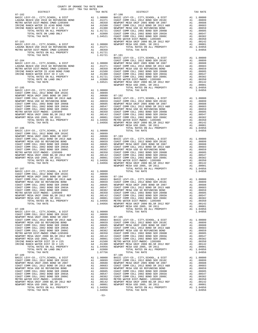| COUNTY OF ORANGE TAX RATE BOOK      |          |                        |          |
|-------------------------------------|----------|------------------------|----------|
| 2016-2017 TRA TAX RATES<br>DISTRICT | TAX RATE | $07 - 190$<br>DISTRICT | TAX RATE |
| $07 - 182$                          |          |                        |          |
|                                     |          |                        |          |
|                                     |          |                        |          |
|                                     |          |                        |          |
|                                     |          |                        |          |
|                                     |          |                        |          |
|                                     |          |                        |          |
|                                     |          |                        |          |
|                                     |          |                        |          |
|                                     |          |                        |          |
|                                     |          |                        |          |
|                                     |          |                        |          |
|                                     |          |                        |          |
|                                     |          |                        |          |
|                                     |          |                        |          |
|                                     |          |                        |          |
|                                     |          |                        |          |
|                                     |          |                        |          |
|                                     |          |                        |          |
|                                     |          |                        |          |
|                                     |          |                        |          |
|                                     |          |                        |          |
|                                     |          |                        |          |
|                                     |          |                        |          |
|                                     |          |                        |          |
|                                     |          |                        |          |
|                                     |          |                        |          |
|                                     |          |                        |          |
|                                     |          |                        |          |
|                                     |          |                        |          |
|                                     |          |                        |          |
|                                     |          |                        |          |
|                                     |          |                        |          |
|                                     |          |                        |          |
|                                     |          |                        |          |
|                                     |          |                        |          |
|                                     |          |                        |          |
|                                     |          |                        |          |
|                                     |          |                        |          |
|                                     |          |                        |          |
|                                     |          |                        |          |
|                                     |          |                        |          |
|                                     |          |                        |          |
|                                     |          |                        |          |
|                                     |          |                        |          |
|                                     |          |                        |          |
|                                     |          |                        |          |
|                                     |          |                        |          |
|                                     |          |                        |          |
|                                     |          |                        |          |
|                                     |          |                        |          |
|                                     |          |                        |          |
|                                     |          |                        |          |
|                                     |          |                        |          |
|                                     |          |                        |          |
|                                     |          |                        |          |
|                                     |          |                        |          |
|                                     |          |                        |          |
|                                     |          |                        |          |
|                                     |          |                        |          |
|                                     |          |                        |          |
|                                     |          |                        |          |
|                                     |          |                        |          |
|                                     |          |                        |          |
|                                     |          |                        |          |
|                                     |          |                        |          |
|                                     |          |                        |          |
|                                     |          |                        |          |
|                                     |          |                        |          |
|                                     |          |                        |          |
|                                     |          |                        |          |
|                                     |          |                        |          |
|                                     |          |                        |          |
|                                     |          |                        |          |
|                                     |          |                        |          |
|                                     |          |                        |          |
|                                     |          |                        |          |
|                                     |          |                        |          |
|                                     |          |                        |          |
|                                     |          |                        |          |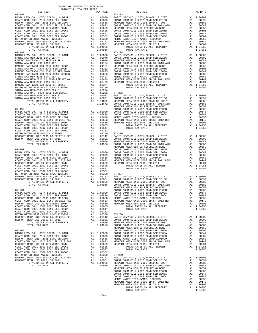| RANCHO SANTIAGO CCD SFID #1 SR A<br>SANTA ANA USD 1999, 2009 REF           | A1 .01946 NEWPORT<br>A1 .01164 COAST C<br>A1 .01151 NEWPORT<br>A1 .01131 NEWPORT<br>A1 .00835 COAST C<br>A1 .00656 COAST C<br>A1 .00656 COAST C<br>A1 .00479 NEWPORT<br>A1 .00479 NEWPORT<br>A1 .00350<br>A1 .00350<br>A1 .00350<br>A1 .00254<br>A1 .002     |        |         |
|----------------------------------------------------------------------------|--------------------------------------------------------------------------------------------------------------------------------------------------------------------------------------------------------------------------------------------------------------|--------|---------|
| RANCHO SANTIAGO CCD 2002 BOND 2003A                                        |                                                                                                                                                                                                                                                              |        |         |
| SANTA ANA UNIF-1999 BOND SER 2002B                                         |                                                                                                                                                                                                                                                              |        |         |
| RANCHO SANTIAGO CCD 2012 GO REF BOND                                       |                                                                                                                                                                                                                                                              |        |         |
| RANCHO SANTIAGO CCD 2002 BOND #2006C                                       |                                                                                                                                                                                                                                                              |        |         |
| SANTA ANA USD-2008 BOND SER D                                              |                                                                                                                                                                                                                                                              |        |         |
| SANTA ANA USD-2010 GO BOND REFUNDING<br>SANTA ANA USD-2008 BOND SER C      |                                                                                                                                                                                                                                                              |        |         |
| RANCHO SANTIAGO CCD 2002 SR 2005B                                          |                                                                                                                                                                                                                                                              |        |         |
| METRO WATER DIST-MWDOC CMWD-1205999                                        |                                                                                                                                                                                                                                                              |        |         |
| SANTA ANA USD-2008 BOND SER E                                              |                                                                                                                                                                                                                                                              |        |         |
| SANTA ANA UNIF-1999 BOND SER 2002A                                         |                                                                                                                                                                                                                                                              |        |         |
| SANTA ANA UNIFILIOS LIL<br>SANTA ANA USD-2008 BOND SER F                   |                                                                                                                                                                                                                                                              |        |         |
| SANTA ANA USD-2008 BOND SER B                                              |                                                                                                                                                                                                                                                              |        |         |
| TOTAL RATES ON ALL PROPERTY<br>TOTAL TAX RATE                              |                                                                                                                                                                                                                                                              |        |         |
|                                                                            |                                                                                                                                                                                                                                                              |        |         |
| $07 - 199$                                                                 |                                                                                                                                                                                                                                                              |        | COAST C |
|                                                                            |                                                                                                                                                                                                                                                              |        |         |
|                                                                            |                                                                                                                                                                                                                                                              |        |         |
|                                                                            |                                                                                                                                                                                                                                                              |        |         |
|                                                                            |                                                                                                                                                                                                                                                              |        |         |
|                                                                            |                                                                                                                                                                                                                                                              |        |         |
|                                                                            |                                                                                                                                                                                                                                                              |        |         |
|                                                                            |                                                                                                                                                                                                                                                              |        |         |
|                                                                            |                                                                                                                                                                                                                                                              |        |         |
|                                                                            |                                                                                                                                                                                                                                                              |        |         |
|                                                                            |                                                                                                                                                                                                                                                              |        |         |
|                                                                            |                                                                                                                                                                                                                                                              |        |         |
|                                                                            |                                                                                                                                                                                                                                                              |        |         |
|                                                                            |                                                                                                                                                                                                                                                              |        | NEWPORT |
|                                                                            |                                                                                                                                                                                                                                                              |        |         |
|                                                                            |                                                                                                                                                                                                                                                              |        |         |
|                                                                            |                                                                                                                                                                                                                                                              |        |         |
|                                                                            |                                                                                                                                                                                                                                                              |        |         |
|                                                                            |                                                                                                                                                                                                                                                              |        |         |
|                                                                            |                                                                                                                                                                                                                                                              |        |         |
|                                                                            |                                                                                                                                                                                                                                                              |        |         |
|                                                                            |                                                                                                                                                                                                                                                              |        |         |
|                                                                            |                                                                                                                                                                                                                                                              |        |         |
|                                                                            |                                                                                                                                                                                                                                                              |        |         |
|                                                                            |                                                                                                                                                                                                                                                              |        |         |
|                                                                            |                                                                                                                                                                                                                                                              |        |         |
|                                                                            |                                                                                                                                                                                                                                                              |        | NEWPORT |
| $07 - 201$<br>BASIC LEVY-CO., CITY, SCHOOL, & DIST                         |                                                                                                                                                                                                                                                              |        |         |
| COAST COMM COLL 2012 BOND SER 2016C                                        |                                                                                                                                                                                                                                                              |        |         |
| NEWPORT MESA UNIF 2005 BOND SR 2007                                        |                                                                                                                                                                                                                                                              |        |         |
| COAST COMM COLL 2012 BOND SR 2013 A&B                                      |                                                                                                                                                                                                                                                              |        |         |
| NEWPORT MESA USD GO REFUNDING BOND                                         | COAST COAST COAST COAST COAST COAST COAST COAST COAST COAST COAST COAST COAST COAST COAST COAST COAST COAST CO<br>A1 006689 METRO W<br>A1 006689 MEWPORT A1 006659<br>A1 00665                                                                               |        |         |
| COAST COMM COLL 2002 BOND SER 2006B                                        |                                                                                                                                                                                                                                                              |        |         |
| COAST COMM COLL 2002 BOND SER 2003A                                        |                                                                                                                                                                                                                                                              |        |         |
| COAST COMM COLL 2002 BOND SER 2006C<br>METRO WATER DIST-MWDOC CMWD-1205999 |                                                                                                                                                                                                                                                              |        |         |
| NEWPORT MESA UNIF 2000 BD, SR 2012 REF                                     |                                                                                                                                                                                                                                                              |        |         |
| NEWPORT MESA USD 2005, SR 2011                                             |                                                                                                                                                                                                                                                              |        |         |
| TOTAL RATES ON ALL PROPERTY                                                |                                                                                                                                                                                                                                                              |        |         |
| TOTAL TAX RATE                                                             |                                                                                                                                                                                                                                                              |        |         |
|                                                                            |                                                                                                                                                                                                                                                              |        |         |
| $07 - 202$                                                                 | A1 .00547<br>A1 .00547<br>A1 .00382<br>A1 .00382<br>A1 .00380<br>A1 .00142<br>BASIC L<br>A1 .00001 COAST C<br>A1 1.04956<br>COAST C<br>COAST C<br>COAST C<br>COAST C<br>COAST C<br>COAST C<br>COAST C<br>COAST C<br>COAST C<br>COAST C<br>COAST C<br>COAST C |        |         |
|                                                                            |                                                                                                                                                                                                                                                              |        |         |
|                                                                            |                                                                                                                                                                                                                                                              |        |         |
|                                                                            |                                                                                                                                                                                                                                                              |        |         |
|                                                                            |                                                                                                                                                                                                                                                              |        |         |
|                                                                            |                                                                                                                                                                                                                                                              |        |         |
|                                                                            |                                                                                                                                                                                                                                                              |        |         |
|                                                                            |                                                                                                                                                                                                                                                              |        |         |
|                                                                            |                                                                                                                                                                                                                                                              |        |         |
| $0.005 - 0.01$<br>$\cdots$<br>$\frac{1}{2}$                                | $-1$                                                                                                                                                                                                                                                         | 0.0001 |         |

-54-

| COUNTY OF ORANGE TAX RATE BOOK<br>$2016-2017\quad\text{TRA TAX RATES}\label{eq:2016-2017}$ DISTRICT |          |            |          |
|-----------------------------------------------------------------------------------------------------|----------|------------|----------|
|                                                                                                     | TAX RATE | DISTRICT   | TAX RATE |
| $07 - 197$                                                                                          |          | $07 - 203$ |          |
|                                                                                                     |          |            |          |
|                                                                                                     |          |            |          |
|                                                                                                     |          |            |          |
|                                                                                                     |          |            |          |
|                                                                                                     |          |            |          |
|                                                                                                     |          |            |          |
|                                                                                                     |          |            |          |
|                                                                                                     |          |            |          |
|                                                                                                     |          |            |          |
|                                                                                                     |          |            |          |
|                                                                                                     |          |            |          |
|                                                                                                     |          |            |          |
|                                                                                                     |          |            |          |
|                                                                                                     |          |            |          |
|                                                                                                     |          |            |          |
|                                                                                                     |          |            |          |
|                                                                                                     |          |            |          |
|                                                                                                     |          |            |          |
|                                                                                                     |          |            |          |
|                                                                                                     |          |            |          |
|                                                                                                     |          |            |          |
|                                                                                                     |          |            |          |
|                                                                                                     |          |            |          |
|                                                                                                     |          |            |          |
|                                                                                                     |          |            |          |
|                                                                                                     |          |            |          |
|                                                                                                     |          |            |          |
|                                                                                                     |          |            |          |
|                                                                                                     |          |            |          |
|                                                                                                     |          |            |          |
|                                                                                                     |          |            |          |
|                                                                                                     |          |            |          |
|                                                                                                     |          |            |          |
|                                                                                                     |          |            |          |
|                                                                                                     |          |            |          |
|                                                                                                     |          |            |          |
|                                                                                                     |          |            |          |
|                                                                                                     |          |            |          |
|                                                                                                     |          |            |          |
|                                                                                                     |          |            |          |
|                                                                                                     |          |            |          |
|                                                                                                     |          |            |          |
|                                                                                                     |          |            |          |
|                                                                                                     |          |            |          |
|                                                                                                     |          |            |          |
|                                                                                                     |          |            |          |
|                                                                                                     |          |            |          |
|                                                                                                     |          |            |          |
|                                                                                                     |          |            |          |
|                                                                                                     |          |            |          |
|                                                                                                     |          |            |          |
|                                                                                                     |          |            |          |
|                                                                                                     |          |            |          |
|                                                                                                     |          |            |          |
|                                                                                                     |          |            |          |
|                                                                                                     |          |            |          |
|                                                                                                     |          |            |          |
|                                                                                                     |          |            |          |
|                                                                                                     |          |            |          |
|                                                                                                     |          |            |          |
|                                                                                                     |          |            |          |
|                                                                                                     |          |            |          |
|                                                                                                     |          |            |          |
|                                                                                                     |          |            |          |
|                                                                                                     |          |            |          |
|                                                                                                     |          |            |          |
|                                                                                                     |          |            |          |
|                                                                                                     |          |            |          |
|                                                                                                     |          |            |          |
|                                                                                                     |          |            |          |
|                                                                                                     |          |            |          |
|                                                                                                     |          |            |          |
|                                                                                                     |          |            |          |
|                                                                                                     |          |            |          |
|                                                                                                     |          |            |          |
|                                                                                                     |          |            |          |
|                                                                                                     |          |            |          |
|                                                                                                     |          |            |          |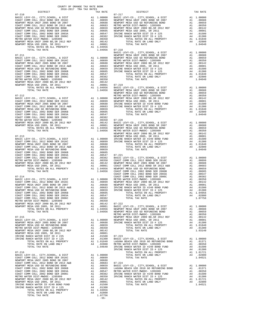| $07 - 212$ | TOTAL TAX RATE                                                                                                                                                                                                                                                                                                                                                                                                 |                                                                                                                                             |                          | L.04956 NEWPORT<br>NEWPORT<br>METRO W<br>NEWPORT |
|------------|----------------------------------------------------------------------------------------------------------------------------------------------------------------------------------------------------------------------------------------------------------------------------------------------------------------------------------------------------------------------------------------------------------------|---------------------------------------------------------------------------------------------------------------------------------------------|--------------------------|--------------------------------------------------|
|            |                                                                                                                                                                                                                                                                                                                                                                                                                |                                                                                                                                             |                          |                                                  |
|            |                                                                                                                                                                                                                                                                                                                                                                                                                |                                                                                                                                             |                          |                                                  |
|            |                                                                                                                                                                                                                                                                                                                                                                                                                |                                                                                                                                             |                          |                                                  |
|            |                                                                                                                                                                                                                                                                                                                                                                                                                |                                                                                                                                             |                          |                                                  |
| $07 - 213$ |                                                                                                                                                                                                                                                                                                                                                                                                                |                                                                                                                                             |                          | NEWPORT<br>NEWPORT                               |
|            |                                                                                                                                                                                                                                                                                                                                                                                                                |                                                                                                                                             |                          |                                                  |
|            |                                                                                                                                                                                                                                                                                                                                                                                                                |                                                                                                                                             |                          |                                                  |
|            |                                                                                                                                                                                                                                                                                                                                                                                                                |                                                                                                                                             |                          |                                                  |
|            |                                                                                                                                                                                                                                                                                                                                                                                                                |                                                                                                                                             |                          |                                                  |
|            |                                                                                                                                                                                                                                                                                                                                                                                                                |                                                                                                                                             |                          |                                                  |
|            | $\begin{tabular}{l c c c c c} \multicolumn{1}{c}{\textbf{NEWPORT} MESA UN11-2002} & $\textbf{X} & $\textbf{X}$ & $\textbf{X}$ & $\textbf{X}$ & $\textbf{0.0659}$ \\ \multicolumn{1}{c}{\textbf{NEWPORT} COMM COLL 2012 BOMD SER 2006B} & $\textbf{A1}$ & 00659 \\ \multicolumn{1}{c}{\textbf{NEMPORT} MESA USD G O RETUNDING BOMD} & $\textbf{A1}$ & 00605 \\ \multicolumn{1}{c}{\textbf{COAST} COMM COLL 200$ |                                                                                                                                             |                          |                                                  |
| $07 - 214$ |                                                                                                                                                                                                                                                                                                                                                                                                                |                                                                                                                                             |                          | COAST C                                          |
|            |                                                                                                                                                                                                                                                                                                                                                                                                                |                                                                                                                                             |                          |                                                  |
|            |                                                                                                                                                                                                                                                                                                                                                                                                                |                                                                                                                                             |                          |                                                  |
|            |                                                                                                                                                                                                                                                                                                                                                                                                                |                                                                                                                                             |                          |                                                  |
|            |                                                                                                                                                                                                                                                                                                                                                                                                                |                                                                                                                                             |                          |                                                  |
|            |                                                                                                                                                                                                                                                                                                                                                                                                                |                                                                                                                                             |                          |                                                  |
|            |                                                                                                                                                                                                                                                                                                                                                                                                                |                                                                                                                                             |                          | METRO W                                          |
| $07 - 215$ | BASIC LEVY-CO., CITY, SCHOOL, & DIST                                                                                                                                                                                                                                                                                                                                                                           |                                                                                                                                             |                          | NEWPORT                                          |
|            | NEWPORT MESA UNIF 2005 BOND SR 2007<br>NEWPORT MESA UNIF 2005 BOND SR 2007<br>NEWPORT MESA USD GO REFUNDING BOND                                                                                                                                                                                                                                                                                               | A1 1.00000 NEWPORT<br>A1 .00688 IRVINE<br>A1 .00659<br>A1 .00350                                                                            |                          |                                                  |
|            | METRO WATER DIST-MWDOC- 1205999<br>NEWPORT MESA UNIF 2000 BD, SR 2012 REF                                                                                                                                                                                                                                                                                                                                      |                                                                                                                                             | A1. .00330<br>A1. .00142 |                                                  |
|            | NEWPORT MESA USD 2005, SR 2011<br>IRVINE RANCH WATER DIST ID # 225                                                                                                                                                                                                                                                                                                                                             |                                                                                                                                             | A1 .00001                |                                                  |
|            | IRVINE RANCH WATER DIST ID # 125                                                                                                                                                                                                                                                                                                                                                                               |                                                                                                                                             |                          |                                                  |
|            |                                                                                                                                                                                                                                                                                                                                                                                                                |                                                                                                                                             |                          | IRVINE                                           |
| $07 - 216$ | BASIC LEVY-CO., CITY, SCHOOL, & DIST<br>COAST COMM COLL 2012 BOND SER 2016C                                                                                                                                                                                                                                                                                                                                    | IRVINE<br>Al 1.00009<br>Al .00689<br>Al .00688<br>Al .00683<br>Al .00689<br>Al .00659<br>Al .00605 LAGUNA<br>Al .00547 METRO W<br>Al .00547 |                          |                                                  |
|            | NEWPORT MESA UNIF 2005 BOND SR 2007<br>COAST COMM COLL 2012 BOND SR 2013 A&B                                                                                                                                                                                                                                                                                                                                   |                                                                                                                                             |                          |                                                  |
|            | NEWPORT MESA USD GO REFUNDING BOND<br>COAST COMM COLL 2002 BOND SER 2006B                                                                                                                                                                                                                                                                                                                                      |                                                                                                                                             |                          |                                                  |
|            | COAST COMM COLL 2002 BOND SER 2003A<br>COAST COMM COLL 2002 BOND SER 2006C                                                                                                                                                                                                                                                                                                                                     |                                                                                                                                             |                          |                                                  |
|            | METRO WATER DIST-MWDOC- 1205999<br>METRO WATER DIST-MWDOC- 1205999<br>NEWPORT MESA UNIF 2000 BD, SR 2012 REF                                                                                                                                                                                                                                                                                                   |                                                                                                                                             | A1 .00350                | IRVINE                                           |
|            | NEWPORT MESA USD 2005, SR 2011<br>IRVINE RANCH WATER ID #240 BOND FUND                                                                                                                                                                                                                                                                                                                                         |                                                                                                                                             |                          |                                                  |
|            | IRVINE RANCH WATER DIST ID # 125                                                                                                                                                                                                                                                                                                                                                                               |                                                                                                                                             |                          |                                                  |
|            |                                                                                                                                                                                                                                                                                                                                                                                                                |                                                                                                                                             | $-55-$                   |                                                  |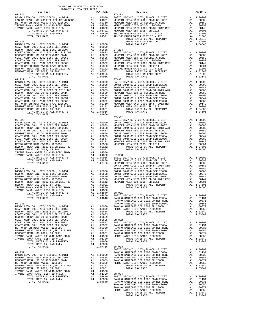| DISTRICT | 2016-2017 TRA TAX RATES<br>TAX RATE | DISTRICT                                                                                                                                                                                                                                                                              | TAX RATE |
|----------|-------------------------------------|---------------------------------------------------------------------------------------------------------------------------------------------------------------------------------------------------------------------------------------------------------------------------------------|----------|
|          |                                     |                                                                                                                                                                                                                                                                                       |          |
|          |                                     |                                                                                                                                                                                                                                                                                       |          |
|          |                                     |                                                                                                                                                                                                                                                                                       |          |
|          |                                     |                                                                                                                                                                                                                                                                                       |          |
|          |                                     |                                                                                                                                                                                                                                                                                       |          |
|          |                                     |                                                                                                                                                                                                                                                                                       |          |
|          |                                     |                                                                                                                                                                                                                                                                                       |          |
|          |                                     |                                                                                                                                                                                                                                                                                       |          |
|          |                                     |                                                                                                                                                                                                                                                                                       |          |
|          |                                     |                                                                                                                                                                                                                                                                                       |          |
|          |                                     |                                                                                                                                                                                                                                                                                       |          |
|          |                                     |                                                                                                                                                                                                                                                                                       |          |
|          |                                     |                                                                                                                                                                                                                                                                                       |          |
|          |                                     |                                                                                                                                                                                                                                                                                       |          |
|          |                                     |                                                                                                                                                                                                                                                                                       |          |
|          |                                     |                                                                                                                                                                                                                                                                                       |          |
|          |                                     |                                                                                                                                                                                                                                                                                       |          |
|          |                                     |                                                                                                                                                                                                                                                                                       |          |
|          |                                     |                                                                                                                                                                                                                                                                                       |          |
|          |                                     |                                                                                                                                                                                                                                                                                       |          |
|          |                                     |                                                                                                                                                                                                                                                                                       |          |
|          |                                     |                                                                                                                                                                                                                                                                                       |          |
|          |                                     |                                                                                                                                                                                                                                                                                       |          |
|          |                                     |                                                                                                                                                                                                                                                                                       |          |
|          |                                     |                                                                                                                                                                                                                                                                                       |          |
|          |                                     |                                                                                                                                                                                                                                                                                       |          |
|          |                                     |                                                                                                                                                                                                                                                                                       |          |
|          |                                     |                                                                                                                                                                                                                                                                                       |          |
|          |                                     |                                                                                                                                                                                                                                                                                       |          |
|          |                                     |                                                                                                                                                                                                                                                                                       |          |
|          |                                     |                                                                                                                                                                                                                                                                                       |          |
|          |                                     |                                                                                                                                                                                                                                                                                       |          |
|          |                                     |                                                                                                                                                                                                                                                                                       |          |
|          |                                     |                                                                                                                                                                                                                                                                                       |          |
|          |                                     |                                                                                                                                                                                                                                                                                       |          |
|          |                                     |                                                                                                                                                                                                                                                                                       |          |
|          |                                     |                                                                                                                                                                                                                                                                                       |          |
|          |                                     |                                                                                                                                                                                                                                                                                       |          |
|          |                                     |                                                                                                                                                                                                                                                                                       |          |
|          |                                     |                                                                                                                                                                                                                                                                                       |          |
|          |                                     |                                                                                                                                                                                                                                                                                       |          |
|          |                                     |                                                                                                                                                                                                                                                                                       |          |
|          |                                     |                                                                                                                                                                                                                                                                                       |          |
|          |                                     |                                                                                                                                                                                                                                                                                       |          |
|          |                                     |                                                                                                                                                                                                                                                                                       |          |
|          |                                     |                                                                                                                                                                                                                                                                                       |          |
|          |                                     | $\begin{tabular}{cccc} {\bf 107AL RATE \; ON LAND \; ONLY & \tt107AL RATE & 1.00000 & 0.012 & 0.02500 & 0.025000 & 0.025000 & 0.025000 & 0.025000 & 0.025000 & 0.025000 & 0.025000 & 0.025000 & 0.025000 & 0.025000 & 0.025000 & 0.025000 & 0.025000 & 0.025000 & 0.025000 & 0.02500$ |          |
|          |                                     |                                                                                                                                                                                                                                                                                       |          |
|          |                                     |                                                                                                                                                                                                                                                                                       |          |
|          |                                     |                                                                                                                                                                                                                                                                                       |          |
|          |                                     |                                                                                                                                                                                                                                                                                       |          |
|          |                                     |                                                                                                                                                                                                                                                                                       |          |
|          |                                     |                                                                                                                                                                                                                                                                                       |          |
|          |                                     |                                                                                                                                                                                                                                                                                       |          |
|          |                                     |                                                                                                                                                                                                                                                                                       |          |
|          |                                     |                                                                                                                                                                                                                                                                                       |          |
|          |                                     |                                                                                                                                                                                                                                                                                       |          |
|          |                                     |                                                                                                                                                                                                                                                                                       |          |
|          |                                     |                                                                                                                                                                                                                                                                                       |          |
|          |                                     |                                                                                                                                                                                                                                                                                       |          |
|          |                                     |                                                                                                                                                                                                                                                                                       |          |
|          |                                     |                                                                                                                                                                                                                                                                                       |          |
|          |                                     |                                                                                                                                                                                                                                                                                       |          |
|          |                                     |                                                                                                                                                                                                                                                                                       |          |
|          |                                     |                                                                                                                                                                                                                                                                                       |          |
|          |                                     |                                                                                                                                                                                                                                                                                       |          |
|          |                                     |                                                                                                                                                                                                                                                                                       |          |
|          |                                     |                                                                                                                                                                                                                                                                                       |          |
|          |                                     | $\begin{tabular}{cccccc} 1712.174X RATE & 0.854011 & 0.00001 & 0.0001 & 0.00001 & 0.00001 & 0.00001 & 0.00001 & 0.00001 & 0.00001 & 0.00001 & 0.00001 & 0.00001 & 0.00001 & 0.00001 & 0.00001 & 0.00001 & 0.00001 & 0.00001 & 0.00001 & 0.00001 & 0.00001 & 0.00001 &$                |          |
|          |                                     |                                                                                                                                                                                                                                                                                       |          |
|          |                                     |                                                                                                                                                                                                                                                                                       |          |

COUNTY OF ORANGE TAX RATE BOOK

TOTAL TAX RATE 1.03349 -56-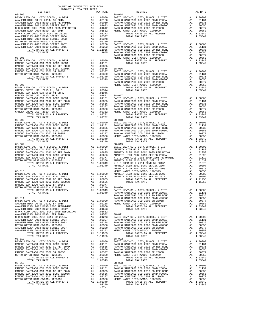| $\begin{tabular}{l c c c c c} \multicolumn{1}{c}{\textbf{RANCHO}} \multicolumn{1}{c}{\textbf{NAMCHO}} \multicolumn{1}{c}{\textbf{NAMCHO}} \multicolumn{1}{c}{\textbf{NAMCHO}} \multicolumn{1}{c}{\textbf{NAMCHO}} \multicolumn{1}{c}{\textbf{NAMCHO}} \multicolumn{1}{c}{\textbf{NAMCHO}} \multicolumn{1}{c}{\textbf{NAMCHO}} \multicolumn{1}{c}{\textbf{NAMCHO}} \multicolumn{1}{c}{\textbf{NAMCHO}} \multicolumn{1}{c}{\textbf{NAMCHO}} \multicolumn{$ |          |                                                                                                                                                                                                                                                                                                                            |                  |
|----------------------------------------------------------------------------------------------------------------------------------------------------------------------------------------------------------------------------------------------------------------------------------------------------------------------------------------------------------------------------------------------------------------------------------------------------------|----------|----------------------------------------------------------------------------------------------------------------------------------------------------------------------------------------------------------------------------------------------------------------------------------------------------------------------------|------------------|
|                                                                                                                                                                                                                                                                                                                                                                                                                                                          |          |                                                                                                                                                                                                                                                                                                                            |                  |
|                                                                                                                                                                                                                                                                                                                                                                                                                                                          |          |                                                                                                                                                                                                                                                                                                                            |                  |
|                                                                                                                                                                                                                                                                                                                                                                                                                                                          |          |                                                                                                                                                                                                                                                                                                                            |                  |
|                                                                                                                                                                                                                                                                                                                                                                                                                                                          |          |                                                                                                                                                                                                                                                                                                                            |                  |
|                                                                                                                                                                                                                                                                                                                                                                                                                                                          |          |                                                                                                                                                                                                                                                                                                                            | RANCHO           |
| $08 - 007$                                                                                                                                                                                                                                                                                                                                                                                                                                               |          | Al 1.00000<br>Al .02314<br>Al .01946                                                                                                                                                                                                                                                                                       | METRO W          |
| BASIC LEVY-CO., CITY, SCHOOL, & DIST                                                                                                                                                                                                                                                                                                                                                                                                                     |          |                                                                                                                                                                                                                                                                                                                            |                  |
| GARDEN GROVE USD, 2010 EL, SR C<br>RANCHO SANTIAGO CCD SFID #1 SR A                                                                                                                                                                                                                                                                                                                                                                                      |          |                                                                                                                                                                                                                                                                                                                            |                  |
| GARDEN GROVE USD, 2010, SR B                                                                                                                                                                                                                                                                                                                                                                                                                             |          |                                                                                                                                                                                                                                                                                                                            |                  |
| RANCHO SANTIAGO CCD 2002 BOND 2003A                                                                                                                                                                                                                                                                                                                                                                                                                      |          |                                                                                                                                                                                                                                                                                                                            |                  |
| RANCHO SANTIAGO CCD 2002 BOND 2003A<br>RANCHO SANTIAGO CCD 2012 GO REF BOND<br>RANCHO SANTIAGO CCD 2002 BOND #2006C                                                                                                                                                                                                                                                                                                                                      |          |                                                                                                                                                                                                                                                                                                                            |                  |
|                                                                                                                                                                                                                                                                                                                                                                                                                                                          |          |                                                                                                                                                                                                                                                                                                                            |                  |
| RANCHO SANTIAGO CCD 2002 SR 2005B                                                                                                                                                                                                                                                                                                                                                                                                                        |          |                                                                                                                                                                                                                                                                                                                            |                  |
| METRO WATER DIST-MWDOC- 1205999<br>GARDEN GROVE USD, 2010, SR A                                                                                                                                                                                                                                                                                                                                                                                          |          |                                                                                                                                                                                                                                                                                                                            |                  |
|                                                                                                                                                                                                                                                                                                                                                                                                                                                          |          |                                                                                                                                                                                                                                                                                                                            |                  |
| TOTAL TAX RATE                                                                                                                                                                                                                                                                                                                                                                                                                                           |          | 1.09782<br>$\begin{tabular}{cc} & & . \\ \hline \text{A1} & 1.00000 & \text{BASE L} \\ \text{A1} & .01131 & \text{RANCHO} \\ \text{A1} & .00835 & \text{RANCHO} \\ \text{A1} & .00656 & \text{RANCHO} \\ \text{A1} & .00377 & \text{RANCHO} \\ \text{A1} & .00379 & \text{RANCHO} \\ \text{A1} & .003349 \\ \end{tabular}$ |                  |
| $08 - 008$                                                                                                                                                                                                                                                                                                                                                                                                                                               |          |                                                                                                                                                                                                                                                                                                                            |                  |
| BASIC LEVY-CO., CITY, SCHOOL, & DIST<br>RANCHO SANTIAGO CCD 2002 BOND 2003A                                                                                                                                                                                                                                                                                                                                                                              |          |                                                                                                                                                                                                                                                                                                                            |                  |
| RANCHO SANTIAGO CCD 2012 GU RAL LUIL<br>RANCHO SANTIAGO CCD 2002 BOND #2006C<br>TANGHO SANTIAGO CCD 2002 SR 2005B                                                                                                                                                                                                                                                                                                                                        |          |                                                                                                                                                                                                                                                                                                                            |                  |
|                                                                                                                                                                                                                                                                                                                                                                                                                                                          |          |                                                                                                                                                                                                                                                                                                                            |                  |
|                                                                                                                                                                                                                                                                                                                                                                                                                                                          |          |                                                                                                                                                                                                                                                                                                                            |                  |
| METRO WATER DIST-MWDOC- 1205999                                                                                                                                                                                                                                                                                                                                                                                                                          |          |                                                                                                                                                                                                                                                                                                                            |                  |
| TOTAL RATES ON ALL PROPERTY                                                                                                                                                                                                                                                                                                                                                                                                                              |          |                                                                                                                                                                                                                                                                                                                            |                  |
| TOTAL TAX RATE<br>$08 - 009$                                                                                                                                                                                                                                                                                                                                                                                                                             |          |                                                                                                                                                                                                                                                                                                                            | $08 - 019$       |
| BASIC LEVY-CO., CITY, SCHOOL, & DIST                                                                                                                                                                                                                                                                                                                                                                                                                     |          | V - UP-019<br>A1 00000 BASIC L<br>A1 01131 ANAHEIM<br>A1 00656 ANAHEIM<br>A1 00656 ANAHEIM<br>A1 00377 N O C C<br>A1 0.03349 ANAHEIM<br>1.03349 ANAHEIM<br>1.03349 ANAHEIM                                                                                                                                                 |                  |
| BASIC LEVI-CO., CIII,SCHOOL, & DISI<br>RANCHO SANTIAGO CCD 2002 BOND 2003A<br>RANCHO SANTIAGO CCD 2012 GO REF BOND<br>RANCHO SANTIAGO CCD 2002 BOND #2006C                                                                                                                                                                                                                                                                                               |          |                                                                                                                                                                                                                                                                                                                            |                  |
|                                                                                                                                                                                                                                                                                                                                                                                                                                                          |          |                                                                                                                                                                                                                                                                                                                            |                  |
| RANCHO SANTIAGO CCD 2002 BOND #2006C                                                                                                                                                                                                                                                                                                                                                                                                                     |          |                                                                                                                                                                                                                                                                                                                            |                  |
|                                                                                                                                                                                                                                                                                                                                                                                                                                                          |          |                                                                                                                                                                                                                                                                                                                            |                  |
| RANCHO SANTIAGO CCD 2002 SR 2005B<br>METRO WATER DIST-MWDOC- 1205999<br>TOTAL RATES ON ALL PROPERTY                                                                                                                                                                                                                                                                                                                                                      |          |                                                                                                                                                                                                                                                                                                                            |                  |
| TOTAL TAX RATE                                                                                                                                                                                                                                                                                                                                                                                                                                           |          |                                                                                                                                                                                                                                                                                                                            |                  |
|                                                                                                                                                                                                                                                                                                                                                                                                                                                          |          |                                                                                                                                                                                                                                                                                                                            | ANAHEIM          |
| $08 - 010$                                                                                                                                                                                                                                                                                                                                                                                                                                               |          |                                                                                                                                                                                                                                                                                                                            | METRO W          |
|                                                                                                                                                                                                                                                                                                                                                                                                                                                          |          |                                                                                                                                                                                                                                                                                                                            |                  |
|                                                                                                                                                                                                                                                                                                                                                                                                                                                          |          |                                                                                                                                                                                                                                                                                                                            |                  |
|                                                                                                                                                                                                                                                                                                                                                                                                                                                          |          |                                                                                                                                                                                                                                                                                                                            |                  |
| RANCHO SANTIAGO CCD 2002 BOND #2006C<br>RANCHO SANTIAGO CCD 2002 SR 2005B<br>METRO WATER DIST-MWDOC- 1205999                                                                                                                                                                                                                                                                                                                                             |          |                                                                                                                                                                                                                                                                                                                            |                  |
|                                                                                                                                                                                                                                                                                                                                                                                                                                                          |          |                                                                                                                                                                                                                                                                                                                            |                  |
|                                                                                                                                                                                                                                                                                                                                                                                                                                                          |          |                                                                                                                                                                                                                                                                                                                            |                  |
|                                                                                                                                                                                                                                                                                                                                                                                                                                                          |          |                                                                                                                                                                                                                                                                                                                            |                  |
| $\begin{tabular}{l c c c} $\mathsf{L}_{\mathsf{L}}$ & $\mathsf{RW}:\mathsf{CO}$. & $\mathsf{R}\mathsf{A}\mathsf{N}\mathsf{A}\mathsf{B}\mathsf{C}\mathsf{H}\mathsf{O}$ & $\mathsf{R}\mathsf{A}\mathsf{N}\mathsf{A}\mathsf{C}\mathsf{H}\mathsf{O}$ \\[.8em] $\mathsf{A}\mathsf{NAHEIM} \mathsf{H}\mathsf{I}\mathsf{G}\mathsf{I}\mathsf{B}\mathsf{I}\mathsf{I}\mathsf{I}\mathsf{O}\mathsf{I}\mathsf{I}\mathsf{I}\mathsf{I}\mathsf{I}\mathsf{I}\mathsf{I}\$  |          |                                                                                                                                                                                                                                                                                                                            | RANCHO           |
|                                                                                                                                                                                                                                                                                                                                                                                                                                                          |          |                                                                                                                                                                                                                                                                                                                            |                  |
|                                                                                                                                                                                                                                                                                                                                                                                                                                                          |          |                                                                                                                                                                                                                                                                                                                            |                  |
|                                                                                                                                                                                                                                                                                                                                                                                                                                                          |          |                                                                                                                                                                                                                                                                                                                            |                  |
|                                                                                                                                                                                                                                                                                                                                                                                                                                                          |          |                                                                                                                                                                                                                                                                                                                            |                  |
|                                                                                                                                                                                                                                                                                                                                                                                                                                                          |          |                                                                                                                                                                                                                                                                                                                            |                  |
|                                                                                                                                                                                                                                                                                                                                                                                                                                                          |          |                                                                                                                                                                                                                                                                                                                            |                  |
|                                                                                                                                                                                                                                                                                                                                                                                                                                                          |          |                                                                                                                                                                                                                                                                                                                            |                  |
|                                                                                                                                                                                                                                                                                                                                                                                                                                                          |          |                                                                                                                                                                                                                                                                                                                            |                  |
|                                                                                                                                                                                                                                                                                                                                                                                                                                                          |          |                                                                                                                                                                                                                                                                                                                            |                  |
|                                                                                                                                                                                                                                                                                                                                                                                                                                                          |          |                                                                                                                                                                                                                                                                                                                            |                  |
|                                                                                                                                                                                                                                                                                                                                                                                                                                                          |          |                                                                                                                                                                                                                                                                                                                            |                  |
|                                                                                                                                                                                                                                                                                                                                                                                                                                                          |          |                                                                                                                                                                                                                                                                                                                            |                  |
|                                                                                                                                                                                                                                                                                                                                                                                                                                                          |          |                                                                                                                                                                                                                                                                                                                            |                  |
|                                                                                                                                                                                                                                                                                                                                                                                                                                                          |          |                                                                                                                                                                                                                                                                                                                            |                  |
| RANCHO SANTIAGO CCD 2002 BOND 2003A                                                                                                                                                                                                                                                                                                                                                                                                                      |          |                                                                                                                                                                                                                                                                                                                            |                  |
| RANCHO SANTIAGO CCD 2012 GO REF BOND                                                                                                                                                                                                                                                                                                                                                                                                                     |          | A1 1.00000 BASIC<br>A1 .01131 RANCHO<br>A1 .00835 RANCHO<br>A1 .00656 RANCHO<br>A1 .00656 RANCHO                                                                                                                                                                                                                           |                  |
| RANCHO SANTIAGO CCD 2002 BOND #2006C<br>RANCHO SANTIAGO CCD 2002 SR 2005B                                                                                                                                                                                                                                                                                                                                                                                | A1       |                                                                                                                                                                                                                                                                                                                            | RANCHO           |
| METRO WATER DIST-MWDOC- 1205999                                                                                                                                                                                                                                                                                                                                                                                                                          | A1       | .00377<br>.00350                                                                                                                                                                                                                                                                                                           | METRO W          |
| TOTAL RATES ON ALL PROPERTY                                                                                                                                                                                                                                                                                                                                                                                                                              |          | A1 1.03349                                                                                                                                                                                                                                                                                                                 |                  |
| TOTAL TAX RATE                                                                                                                                                                                                                                                                                                                                                                                                                                           |          | 1.03349                                                                                                                                                                                                                                                                                                                    |                  |
| $08 - 013$                                                                                                                                                                                                                                                                                                                                                                                                                                               |          |                                                                                                                                                                                                                                                                                                                            | $08 - 023$       |
| BASIC LEVY-CO., CITY, SCHOOL, & DIST<br>RANCHO SANTIAGO CCD 2002 BOND 2003A                                                                                                                                                                                                                                                                                                                                                                              | A1       | 1.00000                                                                                                                                                                                                                                                                                                                    | BASIC L          |
| RANCHO SANTIAGO CCD 2012 GO REF BOND                                                                                                                                                                                                                                                                                                                                                                                                                     | A1<br>A1 | .01131<br>.00835                                                                                                                                                                                                                                                                                                           | RANCHO<br>RANCHO |
| RANCHO SANTIAGO CCD 2002 BOND #2006C                                                                                                                                                                                                                                                                                                                                                                                                                     | A1       | .00656                                                                                                                                                                                                                                                                                                                     | RANCHO           |
| RANCHO SANTIAGO CCD 2002 SR 2005B                                                                                                                                                                                                                                                                                                                                                                                                                        | A1       | .00377                                                                                                                                                                                                                                                                                                                     | RANCHO           |
| METRO WATER DIST-MWDOC- 1205999                                                                                                                                                                                                                                                                                                                                                                                                                          | A1       | .00350                                                                                                                                                                                                                                                                                                                     | METRO W          |
| TOTAL RATES ON ALL PROPERTY                                                                                                                                                                                                                                                                                                                                                                                                                              |          | A1 1.03349                                                                                                                                                                                                                                                                                                                 |                  |
| TOTAL TAX RATE                                                                                                                                                                                                                                                                                                                                                                                                                                           |          | 1.03349<br>$-57-$                                                                                                                                                                                                                                                                                                          |                  |
|                                                                                                                                                                                                                                                                                                                                                                                                                                                          |          |                                                                                                                                                                                                                                                                                                                            |                  |

| TAX RATE<br>DISTRICT                                                                                                                                                                                                                                                                                                                            |        | DISTRICT   | TAX RATE |
|-------------------------------------------------------------------------------------------------------------------------------------------------------------------------------------------------------------------------------------------------------------------------------------------------------------------------------------------------|--------|------------|----------|
|                                                                                                                                                                                                                                                                                                                                                 |        |            |          |
|                                                                                                                                                                                                                                                                                                                                                 |        |            |          |
|                                                                                                                                                                                                                                                                                                                                                 |        |            |          |
|                                                                                                                                                                                                                                                                                                                                                 |        |            |          |
|                                                                                                                                                                                                                                                                                                                                                 |        |            |          |
|                                                                                                                                                                                                                                                                                                                                                 |        |            |          |
|                                                                                                                                                                                                                                                                                                                                                 |        |            |          |
|                                                                                                                                                                                                                                                                                                                                                 |        |            |          |
|                                                                                                                                                                                                                                                                                                                                                 |        |            |          |
|                                                                                                                                                                                                                                                                                                                                                 |        |            |          |
|                                                                                                                                                                                                                                                                                                                                                 |        |            |          |
|                                                                                                                                                                                                                                                                                                                                                 |        |            |          |
|                                                                                                                                                                                                                                                                                                                                                 |        |            |          |
|                                                                                                                                                                                                                                                                                                                                                 |        |            |          |
|                                                                                                                                                                                                                                                                                                                                                 |        |            |          |
|                                                                                                                                                                                                                                                                                                                                                 |        |            |          |
|                                                                                                                                                                                                                                                                                                                                                 |        |            |          |
|                                                                                                                                                                                                                                                                                                                                                 |        |            |          |
|                                                                                                                                                                                                                                                                                                                                                 |        |            |          |
|                                                                                                                                                                                                                                                                                                                                                 |        |            |          |
|                                                                                                                                                                                                                                                                                                                                                 |        |            |          |
|                                                                                                                                                                                                                                                                                                                                                 |        |            |          |
|                                                                                                                                                                                                                                                                                                                                                 |        |            |          |
|                                                                                                                                                                                                                                                                                                                                                 |        |            |          |
|                                                                                                                                                                                                                                                                                                                                                 |        |            |          |
|                                                                                                                                                                                                                                                                                                                                                 |        |            |          |
|                                                                                                                                                                                                                                                                                                                                                 |        |            |          |
|                                                                                                                                                                                                                                                                                                                                                 |        |            |          |
|                                                                                                                                                                                                                                                                                                                                                 |        |            |          |
|                                                                                                                                                                                                                                                                                                                                                 |        |            |          |
|                                                                                                                                                                                                                                                                                                                                                 |        |            |          |
|                                                                                                                                                                                                                                                                                                                                                 |        |            |          |
|                                                                                                                                                                                                                                                                                                                                                 |        |            |          |
|                                                                                                                                                                                                                                                                                                                                                 |        |            |          |
|                                                                                                                                                                                                                                                                                                                                                 |        |            |          |
|                                                                                                                                                                                                                                                                                                                                                 |        |            |          |
|                                                                                                                                                                                                                                                                                                                                                 |        |            |          |
|                                                                                                                                                                                                                                                                                                                                                 |        |            |          |
|                                                                                                                                                                                                                                                                                                                                                 |        |            |          |
|                                                                                                                                                                                                                                                                                                                                                 |        |            |          |
|                                                                                                                                                                                                                                                                                                                                                 |        |            |          |
|                                                                                                                                                                                                                                                                                                                                                 |        |            |          |
|                                                                                                                                                                                                                                                                                                                                                 |        |            |          |
|                                                                                                                                                                                                                                                                                                                                                 |        |            |          |
|                                                                                                                                                                                                                                                                                                                                                 |        |            |          |
|                                                                                                                                                                                                                                                                                                                                                 |        |            |          |
|                                                                                                                                                                                                                                                                                                                                                 |        |            |          |
|                                                                                                                                                                                                                                                                                                                                                 |        |            |          |
|                                                                                                                                                                                                                                                                                                                                                 |        | $08 - 019$ |          |
|                                                                                                                                                                                                                                                                                                                                                 |        |            |          |
|                                                                                                                                                                                                                                                                                                                                                 |        |            |          |
|                                                                                                                                                                                                                                                                                                                                                 |        |            |          |
|                                                                                                                                                                                                                                                                                                                                                 |        |            |          |
|                                                                                                                                                                                                                                                                                                                                                 |        |            |          |
|                                                                                                                                                                                                                                                                                                                                                 |        |            |          |
|                                                                                                                                                                                                                                                                                                                                                 |        |            |          |
|                                                                                                                                                                                                                                                                                                                                                 |        |            |          |
|                                                                                                                                                                                                                                                                                                                                                 |        |            |          |
|                                                                                                                                                                                                                                                                                                                                                 |        |            |          |
|                                                                                                                                                                                                                                                                                                                                                 |        |            |          |
|                                                                                                                                                                                                                                                                                                                                                 |        |            |          |
|                                                                                                                                                                                                                                                                                                                                                 |        |            |          |
|                                                                                                                                                                                                                                                                                                                                                 |        |            |          |
|                                                                                                                                                                                                                                                                                                                                                 |        |            |          |
|                                                                                                                                                                                                                                                                                                                                                 |        |            |          |
|                                                                                                                                                                                                                                                                                                                                                 |        |            |          |
|                                                                                                                                                                                                                                                                                                                                                 |        |            |          |
|                                                                                                                                                                                                                                                                                                                                                 |        |            |          |
|                                                                                                                                                                                                                                                                                                                                                 |        |            |          |
|                                                                                                                                                                                                                                                                                                                                                 |        |            |          |
|                                                                                                                                                                                                                                                                                                                                                 |        |            |          |
|                                                                                                                                                                                                                                                                                                                                                 |        |            |          |
|                                                                                                                                                                                                                                                                                                                                                 |        |            |          |
|                                                                                                                                                                                                                                                                                                                                                 |        |            |          |
|                                                                                                                                                                                                                                                                                                                                                 |        |            |          |
|                                                                                                                                                                                                                                                                                                                                                 |        |            |          |
|                                                                                                                                                                                                                                                                                                                                                 |        |            |          |
|                                                                                                                                                                                                                                                                                                                                                 |        |            |          |
|                                                                                                                                                                                                                                                                                                                                                 |        |            |          |
|                                                                                                                                                                                                                                                                                                                                                 |        |            |          |
|                                                                                                                                                                                                                                                                                                                                                 |        |            |          |
|                                                                                                                                                                                                                                                                                                                                                 |        |            |          |
|                                                                                                                                                                                                                                                                                                                                                 |        |            |          |
|                                                                                                                                                                                                                                                                                                                                                 |        |            |          |
|                                                                                                                                                                                                                                                                                                                                                 |        |            |          |
|                                                                                                                                                                                                                                                                                                                                                 |        |            |          |
|                                                                                                                                                                                                                                                                                                                                                 |        |            |          |
|                                                                                                                                                                                                                                                                                                                                                 |        |            |          |
|                                                                                                                                                                                                                                                                                                                                                 |        |            |          |
|                                                                                                                                                                                                                                                                                                                                                 |        |            |          |
|                                                                                                                                                                                                                                                                                                                                                 |        |            |          |
|                                                                                                                                                                                                                                                                                                                                                 |        |            |          |
|                                                                                                                                                                                                                                                                                                                                                 |        |            |          |
|                                                                                                                                                                                                                                                                                                                                                 |        |            |          |
|                                                                                                                                                                                                                                                                                                                                                 |        |            |          |
|                                                                                                                                                                                                                                                                                                                                                 |        |            |          |
|                                                                                                                                                                                                                                                                                                                                                 |        |            |          |
|                                                                                                                                                                                                                                                                                                                                                 |        |            |          |
|                                                                                                                                                                                                                                                                                                                                                 |        |            |          |
|                                                                                                                                                                                                                                                                                                                                                 |        |            |          |
|                                                                                                                                                                                                                                                                                                                                                 |        |            |          |
| $\begin{tabular}{cccccc} 08-012 & 10444& 146& 8441& 103049& 108-012& 10444& 144& 8441& 100309\\ \hline \text{RANCLO SANTIAGO CCD, 2 CTP, SCHOOL, 6 DIST RANCLO SANTIAGO COD 2002 BOND 2003A & 11.00100\\ \hline \text{RANCLO SANTIAGO COD 2012 GO REF BOND} & 11.00000& 11.00000\\ \hline \text{RANCLO SANTIAGO COD 2012 GO REF BOND} & 11.000$ | $-57-$ |            |          |
|                                                                                                                                                                                                                                                                                                                                                 |        |            |          |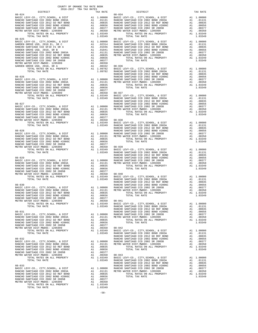| TOTAL TAX RATE                                                                                                                                                                                                                                                                                                                                                                                                                                                                   |                                       | 1.03349                                                                                                                                    |                                       |
|----------------------------------------------------------------------------------------------------------------------------------------------------------------------------------------------------------------------------------------------------------------------------------------------------------------------------------------------------------------------------------------------------------------------------------------------------------------------------------|---------------------------------------|--------------------------------------------------------------------------------------------------------------------------------------------|---------------------------------------|
|                                                                                                                                                                                                                                                                                                                                                                                                                                                                                  |                                       |                                                                                                                                            |                                       |
|                                                                                                                                                                                                                                                                                                                                                                                                                                                                                  |                                       |                                                                                                                                            |                                       |
|                                                                                                                                                                                                                                                                                                                                                                                                                                                                                  |                                       |                                                                                                                                            |                                       |
|                                                                                                                                                                                                                                                                                                                                                                                                                                                                                  |                                       |                                                                                                                                            |                                       |
|                                                                                                                                                                                                                                                                                                                                                                                                                                                                                  |                                       |                                                                                                                                            | RANCHO                                |
| $\begin{tabular}{l c c c c} \multicolumn{1}{c}{\textbf{RATIC LEVY-CO.}}, & CITY, SCHOOL, & & DIST & \multicolumn{1}{c}{\textbf{RANCHO}} & \multicolumn{1}{c}{\textbf{RANCHO}} & \multicolumn{1}{c}{\textbf{RANCHO}} & \multicolumn{1}{c}{\textbf{RANCHO}} & \multicolumn{1}{c}{\textbf{RANCHO}} & \multicolumn{1}{c}{\textbf{RANCHO}} & \multicolumn{1}{c}{\textbf{RANCHO}} & \multicolumn{1}{c}{\textbf{RANCHO}} & \multicolumn{1}{c}{\textbf{RANCHO}} & \multicolumn{1}{$      |                                       |                                                                                                                                            |                                       |
|                                                                                                                                                                                                                                                                                                                                                                                                                                                                                  |                                       |                                                                                                                                            |                                       |
|                                                                                                                                                                                                                                                                                                                                                                                                                                                                                  |                                       |                                                                                                                                            |                                       |
|                                                                                                                                                                                                                                                                                                                                                                                                                                                                                  |                                       |                                                                                                                                            |                                       |
| $\begin{tabular}{l c c c c} \multicolumn{1}{c}{\textbf{RANCHO}} & \multicolumn{1}{c}{\textbf{RANCHO}} \\ \multicolumn{1}{c}{\textbf{RANCHO}} & \multicolumn{1}{c}{\textbf{RANCHO}} & \multicolumn{1}{c}{\textbf{RANCHO}} \\ \multicolumn{1}{c}{\textbf{RANCHO}} & \multicolumn{1}{c}{\textbf{RANCHO}} & \multicolumn{1}{c}{\textbf{RANCHO}} & \multicolumn{1}{c}{\textbf{RANCHO}} \\ \multicolumn{1}{c}{\textbf{RANCHO}} & \multicolumn{1}{c}{\textbf{RANCHO}} & \multicolumn{1$ |                                       |                                                                                                                                            |                                       |
|                                                                                                                                                                                                                                                                                                                                                                                                                                                                                  |                                       |                                                                                                                                            |                                       |
|                                                                                                                                                                                                                                                                                                                                                                                                                                                                                  |                                       |                                                                                                                                            |                                       |
| 08-031                                                                                                                                                                                                                                                                                                                                                                                                                                                                           |                                       |                                                                                                                                            | RANCHO<br>RANCHO                      |
| BASIC LEVY-CO., CITY, SCHOOL, & DIST<br>RANCHO SANTIAGO CCD 2002 BOND 2003A<br>RANCHO SANTIAGO CCD 2012 GO REF BOND<br>RANCHO SANTIAGO CCD 2002 BOND #2006C<br>RANCHO SANTIAGO CCD 2002 SR 2005B<br>METRO WATER DIST-MWDOC- 1205999                                                                                                                                                                                                                                              | A1                                    | A1 1.00000 RANCHO<br>A1 .01131 METRO W<br>A1.00835<br>A1 .00656<br>A1 .00377<br>.00350                                                     | $08 - 042$                            |
| TOTAL RATES ON ALL PROPERTY<br>TOTAL TAX RATE<br>$08 - 032$                                                                                                                                                                                                                                                                                                                                                                                                                      |                                       | A1 1.03349<br>1.03349                                                                                                                      | BASIC L<br>RANCHO<br>RANCHO<br>RANCHO |
| BASIC LEVY-CO., CITY, SCHOOL, & DIST<br>RANCHO SANTIAGO CCD 2002 BOND 2003A<br>RANCHO SANTIAGO CCD 2012 GO REF BOND<br>RANCHO SANTIAGO CCD 2002 BOND #2006C<br>RANCHO SANTIAGO CCD 2002 SR 2005B                                                                                                                                                                                                                                                                                 | A1 1.00000 RANCHO<br>A1 .01131 METROW | A1 .00835<br>A1 .00656                                                                                                                     |                                       |
| METRO WATER DIST-MWDOC- 1205999<br>TOTAL RATES ON ALL PROPERTY<br>TOTAL TAX RATE<br>$08 - 033$                                                                                                                                                                                                                                                                                                                                                                                   |                                       | A1 .00050<br>A1 .00377<br>A1 .00350 08-043<br>A1 1.03349 BASIC L<br>1.03349 RANCHO                                                         | RANCHO<br>RANCHO                      |
| BASIC LEVY-CO., CITY, SCHOOL, & DIST<br>RANCHO SANTIAGO CCD 2002 BOND 2003A<br>RANCHO SANTIAGO CCD 2012 GO REF BOND<br>RANCHO SANTIAGO CCD 2002 BOND #2006C<br>RANCHO SANTIAGO CCD 2002 SR 2005B<br>METRO WATER DIST-MWDOC- 1205999<br>TOTAL RATES ON ALL PROPERTY<br>TOTAL TAX RATE                                                                                                                                                                                             |                                       | A1 1.00000 RANCHO<br>A1 .01131 METROW<br>للنللال. Al<br>00835. Al<br>00656.<br>A1.00656<br>A1 .00377<br>A1 .00350<br>A1 1.03349<br>1.03349 |                                       |
|                                                                                                                                                                                                                                                                                                                                                                                                                                                                                  |                                       |                                                                                                                                            |                                       |

-58-

| DISTRICT | 2016-2017 TRA TAX RATES | TAX RATE | DISTRICT   | TAX RATE |
|----------|-------------------------|----------|------------|----------|
|          |                         |          | $08 - 034$ |          |
|          |                         |          |            |          |
|          |                         |          |            |          |
|          |                         |          |            |          |
|          |                         |          |            |          |
|          |                         |          |            |          |
|          |                         |          |            |          |
|          |                         |          |            |          |
|          |                         |          |            |          |
|          |                         |          |            |          |
|          |                         |          |            |          |
|          |                         |          |            |          |
|          |                         |          |            |          |
|          |                         |          |            |          |
|          |                         |          |            |          |
|          |                         |          |            |          |
|          |                         |          |            |          |
|          |                         |          |            |          |
|          |                         |          |            |          |
|          |                         |          |            |          |
|          |                         |          |            |          |
|          |                         |          |            |          |
|          |                         |          |            |          |
|          |                         |          |            |          |
|          |                         |          |            |          |
|          |                         |          |            |          |
|          |                         |          |            |          |
|          |                         |          |            |          |
|          |                         |          |            |          |
|          |                         |          |            |          |
|          |                         |          |            |          |
|          |                         |          |            |          |
|          |                         |          |            |          |
|          |                         |          |            |          |
|          |                         |          |            |          |
|          |                         |          |            |          |
|          |                         |          |            |          |
|          |                         |          |            |          |
|          |                         |          |            |          |
|          |                         |          |            |          |
|          |                         |          |            |          |
|          |                         |          |            |          |
|          |                         |          |            |          |
|          |                         |          |            |          |
|          |                         |          |            |          |
|          |                         |          |            |          |
|          |                         |          |            |          |
|          |                         |          |            |          |
|          |                         |          |            |          |
|          |                         |          |            |          |
|          |                         |          |            |          |
|          |                         |          |            |          |
|          |                         |          |            |          |
|          |                         |          |            |          |
|          |                         |          |            |          |
|          |                         |          |            |          |
|          |                         |          |            |          |
|          |                         |          |            |          |
|          |                         |          |            |          |
|          |                         |          |            |          |
|          |                         |          |            |          |
|          |                         |          |            |          |
|          |                         |          |            |          |
|          |                         |          |            |          |
|          |                         |          |            |          |
|          |                         |          |            |          |
|          |                         |          |            |          |
|          |                         |          |            |          |
|          |                         |          |            |          |
|          |                         |          |            |          |
|          |                         |          |            |          |
|          |                         |          |            |          |
|          |                         |          |            |          |
|          |                         |          |            |          |
|          |                         |          |            |          |
|          |                         |          |            |          |
|          |                         |          |            |          |
|          |                         |          |            |          |
|          |                         |          |            |          |
|          |                         |          |            |          |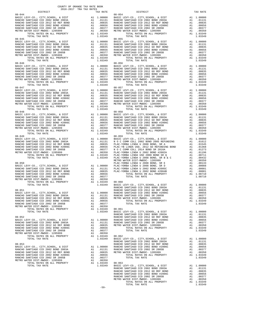| $08 - 044$                                                                                                                                             |                                                                                                                                                                    |                                                                                                                                                                                                                                                                  | $08 - 054$        |
|--------------------------------------------------------------------------------------------------------------------------------------------------------|--------------------------------------------------------------------------------------------------------------------------------------------------------------------|------------------------------------------------------------------------------------------------------------------------------------------------------------------------------------------------------------------------------------------------------------------|-------------------|
| BASIC LEVY-CO., CITY, SCHOOL, & DIST                                                                                                                   | M1 1.00000 BASIC L<br>A1 .01131 RANCHO<br>A1 .00835 RANCHO<br>A1 .00656 RANCHO<br>A1 .00357 RANCHO<br>A1 .00377 RANCHO<br>A1 .00370 METRO W                        |                                                                                                                                                                                                                                                                  |                   |
| RANCHO SANTIAGO CCD 2002 BOND 2003A                                                                                                                    |                                                                                                                                                                    |                                                                                                                                                                                                                                                                  |                   |
| RANCHO SANTIAGO CCD 2012 GO REF BOND                                                                                                                   |                                                                                                                                                                    |                                                                                                                                                                                                                                                                  |                   |
| RANCHO SANTIAGO CCD 2002 BOND #2006C<br>RANCHO SANTIAGO CCD 2002 BOND #2006C<br>RANCHO SANTIAGO CCD 2002 SR 2005B<br>RANCHO SANTIAGO CCD 2002 SR 2005B |                                                                                                                                                                    |                                                                                                                                                                                                                                                                  |                   |
| METRO WATER DIST-MWDOC- 1205999                                                                                                                        |                                                                                                                                                                    |                                                                                                                                                                                                                                                                  |                   |
| TOTAL RATES ON ALL PROPERTY                                                                                                                            |                                                                                                                                                                    | A1 1.03349                                                                                                                                                                                                                                                       |                   |
| TOTAL TAX RATE                                                                                                                                         |                                                                                                                                                                    | 1.03349                                                                                                                                                                                                                                                          |                   |
| $08 - 045$                                                                                                                                             | 08-055<br>Al 1.00000 BASIC L<br>Al .01131 RANCHO<br>Al .00835 RANCHO<br>Al .00656 RANCHO<br>Al .00357 RANCHO<br>Al .00350 METRO W<br>Al 1.03349<br>1.03349         |                                                                                                                                                                                                                                                                  |                   |
| BASIC LEVY-CO., CITY, SCHOOL, & DIST                                                                                                                   |                                                                                                                                                                    |                                                                                                                                                                                                                                                                  |                   |
| RANCHO SANTIAGO CCD 2002 BOND 2003A                                                                                                                    |                                                                                                                                                                    |                                                                                                                                                                                                                                                                  |                   |
| RANCHO SANTIAGO CCD 2012 GO REF BOND                                                                                                                   |                                                                                                                                                                    |                                                                                                                                                                                                                                                                  |                   |
| RANCHO SANTIAGO CCD 2002 BOND #2006C                                                                                                                   |                                                                                                                                                                    |                                                                                                                                                                                                                                                                  |                   |
| RANCHO SANTIAGO CCD 2002 SR 2005B                                                                                                                      |                                                                                                                                                                    |                                                                                                                                                                                                                                                                  |                   |
| METRO WATER DIST-MWDOC- 1205999<br>TOTAL RATES ON ALL PROPERTY                                                                                         |                                                                                                                                                                    |                                                                                                                                                                                                                                                                  |                   |
| TOTAL TAX RATE                                                                                                                                         |                                                                                                                                                                    |                                                                                                                                                                                                                                                                  |                   |
| $08 - 046$                                                                                                                                             |                                                                                                                                                                    |                                                                                                                                                                                                                                                                  | $08 - 056$        |
| BASIC LEVY-CO., CITY, SCHOOL, & DIST                                                                                                                   | A1 1.00000 BASIC L<br>A1 .01131 RANCHO<br>A1 .00835 RANCHO<br>A1 .00856 RANCHO<br>A1 .00377 RANCHO<br>A1 .00350 METROW                                             |                                                                                                                                                                                                                                                                  |                   |
| RANCHO SANTIAGO CCD 2002 BOND 2003A                                                                                                                    |                                                                                                                                                                    |                                                                                                                                                                                                                                                                  |                   |
| RANCHO SANTIAGO CCD 2012 GO REF BOND                                                                                                                   |                                                                                                                                                                    |                                                                                                                                                                                                                                                                  |                   |
| RANCHO SANTIAGO CCD 2002 BOND #2006C                                                                                                                   |                                                                                                                                                                    |                                                                                                                                                                                                                                                                  |                   |
| RANCHO SANTIAGO CCD 2002 SR 2005B                                                                                                                      |                                                                                                                                                                    |                                                                                                                                                                                                                                                                  |                   |
| METRO WATER DIST-MWDOC- 1205999                                                                                                                        |                                                                                                                                                                    |                                                                                                                                                                                                                                                                  |                   |
| TOTAL RATES ON ALL PROPERTY<br>TOTAL TAX RATE                                                                                                          |                                                                                                                                                                    | A1 1.03349<br>1.03349                                                                                                                                                                                                                                            |                   |
| $08 - 047$                                                                                                                                             |                                                                                                                                                                    |                                                                                                                                                                                                                                                                  | $08 - 057$        |
|                                                                                                                                                        |                                                                                                                                                                    |                                                                                                                                                                                                                                                                  |                   |
| BASIC LEVY-CO., CITY, SCHOOL, & DIST<br>RANCHO SANTIAGO CCD 2002 BOND 2003A                                                                            |                                                                                                                                                                    |                                                                                                                                                                                                                                                                  |                   |
|                                                                                                                                                        | 08-057<br>A1 .00000 BASIC L<br>A1 .01131 RANCHO<br>A1 .00835 RANCHO<br>A1 .00356 RANCHO<br>A1 .00377 RANCHO<br>A1 .00377 RANCHO<br>A1 .00377 METRO W<br>A1 .003349 |                                                                                                                                                                                                                                                                  |                   |
| RANCHO SANTIAGO CCD 2002 BOND #2006C<br>RANCHO SANTIAGO CCD 2002 BOND #2006C<br>RANCHO SANTIAGO CCD 2002 SR 2005R                                      |                                                                                                                                                                    |                                                                                                                                                                                                                                                                  |                   |
|                                                                                                                                                        |                                                                                                                                                                    |                                                                                                                                                                                                                                                                  |                   |
| METRO WATER DIST-MWDOC- 1205999                                                                                                                        |                                                                                                                                                                    |                                                                                                                                                                                                                                                                  |                   |
| TOTAL RATES ON ALL PROPERTY                                                                                                                            |                                                                                                                                                                    | A1 1.03349                                                                                                                                                                                                                                                       |                   |
| TOTAL TAX RATE                                                                                                                                         |                                                                                                                                                                    | 1.03349<br>08-058<br>A1 1.00000 BASIC L<br>A1 .01131 RANCHO<br>A1 .00835 RANCHO<br>A1 .00855 RANCHO<br>A1 .00377 RANCHO<br>A1 .00370 RANCHO<br>A1 .00359 METROW<br>A1 1.03349                                                                                    |                   |
| $08 - 048$                                                                                                                                             |                                                                                                                                                                    |                                                                                                                                                                                                                                                                  |                   |
| BASIC LEVY-CO., CITY, SCHOOL, & DIST<br>RANCHO SANTIAGO CCD 2002 BOND 2003A                                                                            |                                                                                                                                                                    |                                                                                                                                                                                                                                                                  |                   |
| RANCHO SANTIAGO CCD 2012 GO REF BOND                                                                                                                   |                                                                                                                                                                    |                                                                                                                                                                                                                                                                  |                   |
| RANCHO SANTIAGO CCD 2002 BOND #2006C                                                                                                                   |                                                                                                                                                                    |                                                                                                                                                                                                                                                                  |                   |
| RANCHO SANTIAGO CCD 2002 SR 2005B                                                                                                                      |                                                                                                                                                                    |                                                                                                                                                                                                                                                                  |                   |
| METRO WATER DIST-MWDOC- 1205999                                                                                                                        |                                                                                                                                                                    |                                                                                                                                                                                                                                                                  |                   |
| TOTAL RATES ON ALL PROPERTY                                                                                                                            |                                                                                                                                                                    | A1 1.03349                                                                                                                                                                                                                                                       |                   |
| TOTAL TAX RATE                                                                                                                                         |                                                                                                                                                                    | 1.03349                                                                                                                                                                                                                                                          |                   |
| $08 - 049$                                                                                                                                             |                                                                                                                                                                    |                                                                                                                                                                                                                                                                  |                   |
| BASIC LEVY-CO., CITY, SCHOOL, & DIST                                                                                                                   |                                                                                                                                                                    |                                                                                                                                                                                                                                                                  |                   |
| RANCHO SANTIAGO CCD 2002 BOND 2003A<br>RANCHO SANTIAGO CCD 2012 GO REF BOND                                                                            |                                                                                                                                                                    |                                                                                                                                                                                                                                                                  |                   |
| RANCHO SANTIAGO CCD 2002 BOND #2006C                                                                                                                   |                                                                                                                                                                    |                                                                                                                                                                                                                                                                  |                   |
| RANCHO SANTIAGO CCD 2002 SR 2005B                                                                                                                      |                                                                                                                                                                    |                                                                                                                                                                                                                                                                  |                   |
| METRO WATER DIST-MWDOC- 1205999                                                                                                                        |                                                                                                                                                                    |                                                                                                                                                                                                                                                                  |                   |
|                                                                                                                                                        |                                                                                                                                                                    |                                                                                                                                                                                                                                                                  |                   |
|                                                                                                                                                        |                                                                                                                                                                    |                                                                                                                                                                                                                                                                  |                   |
|                                                                                                                                                        |                                                                                                                                                                    | $\begin{tabular}{cc} $\mu$ \texttt{LAC-YC} \\ \texttt{METAC N} \\ \texttt{PERO} \\ \texttt{R} \\ \texttt{A1} & 1.00000 \\ \texttt{A1} & .01131 \\ \texttt{A1} & .00835 \\ \texttt{A1} & .00656 \\ \texttt{A1} & .00377 \\ \texttt{A2} & .00377 \\ \end{tabular}$ |                   |
| $08 - 050$                                                                                                                                             |                                                                                                                                                                    |                                                                                                                                                                                                                                                                  |                   |
| BASIC LEVY-CO., CITY, SCHOOL, & DIST<br>RANCHO SANTIAGO CCD 2002 BOND 2003A                                                                            |                                                                                                                                                                    |                                                                                                                                                                                                                                                                  |                   |
| RANCHO SANTIAGO CCD 2012 GO REF BOND                                                                                                                   |                                                                                                                                                                    |                                                                                                                                                                                                                                                                  |                   |
| RANCHO SANTIAGO CCD 2012 GO REF BOND<br>RANCHO SANTIAGO CCD 2002 BOND #2006C<br>RANCHO SANTIAGO CCD 2002 SR 2005R                                      |                                                                                                                                                                    |                                                                                                                                                                                                                                                                  |                   |
| RANCHO SANTIAGO CCD 2002 SR 2005B                                                                                                                      |                                                                                                                                                                    |                                                                                                                                                                                                                                                                  |                   |
| METRO WATER DIST-MWDOC- 1205999                                                                                                                        |                                                                                                                                                                    |                                                                                                                                                                                                                                                                  |                   |
| TOTAL RATES ON ALL PROPERTY                                                                                                                            |                                                                                                                                                                    | A1 1.03349 08-060<br>1.03349 BASIC L<br>1.03349 BASIC L                                                                                                                                                                                                          |                   |
| TOTAL TAX RATE                                                                                                                                         |                                                                                                                                                                    |                                                                                                                                                                                                                                                                  |                   |
|                                                                                                                                                        |                                                                                                                                                                    |                                                                                                                                                                                                                                                                  | RANCHO            |
| $08 - 051$                                                                                                                                             | EANCHO<br>A1 1.00000 RANCHO<br>A1 .01131 RANCHO<br>A1 .00835 METRO W<br>$\frac{100835}{2100835}$ METRO W                                                           |                                                                                                                                                                                                                                                                  |                   |
| BASIC LEVY-CO., CITY, SCHOOL, & DIST<br>RANCHO SANTIAGO CCD 2002 BOND 2003A                                                                            |                                                                                                                                                                    |                                                                                                                                                                                                                                                                  |                   |
| RANCHO SANTIAGO CCD 2012 GO REF BOND                                                                                                                   |                                                                                                                                                                    |                                                                                                                                                                                                                                                                  |                   |
| RANCHO SANTIAGO CCD 2002 BOND #2006C                                                                                                                   | A1 00656                                                                                                                                                           |                                                                                                                                                                                                                                                                  |                   |
| RANCHO SANTIAGO CCD 2002 SR 2005B                                                                                                                      |                                                                                                                                                                    | A1 .00377                                                                                                                                                                                                                                                        |                   |
| METRO WATER DIST-MWDOC- 1205999                                                                                                                        | A1                                                                                                                                                                 | .00350                                                                                                                                                                                                                                                           |                   |
| TOTAL RATES ON ALL PROPERTY                                                                                                                            |                                                                                                                                                                    | A1 1.03349                                                                                                                                                                                                                                                       | 08-061            |
| TOTAL TAX RATE                                                                                                                                         |                                                                                                                                                                    | 1.03349                                                                                                                                                                                                                                                          | <b>BASIC L</b>    |
|                                                                                                                                                        |                                                                                                                                                                    |                                                                                                                                                                                                                                                                  | RANCHO            |
| $08 - 052$                                                                                                                                             |                                                                                                                                                                    |                                                                                                                                                                                                                                                                  | RANCHO            |
| BASIC LEVY-CO., CITY, SCHOOL, & DIST                                                                                                                   |                                                                                                                                                                    | A1 1,00000                                                                                                                                                                                                                                                       | RANCHO            |
| RANCHO SANTIAGO CCD 2002 BOND 2003A<br>RANCHO SANTIAGO CCD 2012 GO REF BOND                                                                            | A1                                                                                                                                                                 | A1 .01131<br>.00835                                                                                                                                                                                                                                              | RANCHO<br>METRO W |
| RANCHO SANTIAGO CCD 2002 BOND #2006C                                                                                                                   | A1                                                                                                                                                                 | .00656                                                                                                                                                                                                                                                           |                   |
| RANCHO SANTIAGO CCD 2002 SR 2005B                                                                                                                      | A1                                                                                                                                                                 | .00377                                                                                                                                                                                                                                                           |                   |
| METRO WATER DIST-MWDOC- 1205999                                                                                                                        | A1                                                                                                                                                                 | .00350                                                                                                                                                                                                                                                           |                   |
| TOTAL RATES ON ALL PROPERTY                                                                                                                            |                                                                                                                                                                    | A1 1.03349                                                                                                                                                                                                                                                       | $08 - 062$        |
| TOTAL TAX RATE                                                                                                                                         |                                                                                                                                                                    | 1.03349                                                                                                                                                                                                                                                          | BASIC L           |
|                                                                                                                                                        |                                                                                                                                                                    |                                                                                                                                                                                                                                                                  | RANCHO            |
| $08 - 053$                                                                                                                                             |                                                                                                                                                                    |                                                                                                                                                                                                                                                                  | RANCHO            |
| BASIC LEVY-CO., CITY, SCHOOL, & DIST                                                                                                                   | A1                                                                                                                                                                 | 1.00000                                                                                                                                                                                                                                                          | RANCHO            |
| RANCHO SANTIAGO CCD 2002 BOND 2003A                                                                                                                    | A1                                                                                                                                                                 |                                                                                                                                                                                                                                                                  | $.01131$ RANCHO   |
| RANCHO SANTIAGO CCD 2012 GO REF BOND<br>RANCHO SANTIAGO CCD 2002 BOND #2006C                                                                           | A1<br>A1                                                                                                                                                           | .00835<br>.00656                                                                                                                                                                                                                                                 | METRO W           |
| RANCHO SANTIAGO CCD 2002 SR 2005B                                                                                                                      | A1                                                                                                                                                                 | .00377                                                                                                                                                                                                                                                           |                   |
| METRO WATER DIST-MWDOC- 1205999                                                                                                                        |                                                                                                                                                                    | A1 .00350                                                                                                                                                                                                                                                        |                   |
|                                                                                                                                                        |                                                                                                                                                                    |                                                                                                                                                                                                                                                                  |                   |

| レエウエルエニエ   | tuv vute | ----------                                                                                                                                                                                                                                                                                                                                                                                      | tuv vute |
|------------|----------|-------------------------------------------------------------------------------------------------------------------------------------------------------------------------------------------------------------------------------------------------------------------------------------------------------------------------------------------------------------------------------------------------|----------|
| $08 - 044$ |          | $08 - 054$                                                                                                                                                                                                                                                                                                                                                                                      |          |
|            |          |                                                                                                                                                                                                                                                                                                                                                                                                 |          |
|            |          |                                                                                                                                                                                                                                                                                                                                                                                                 |          |
|            |          |                                                                                                                                                                                                                                                                                                                                                                                                 |          |
|            |          |                                                                                                                                                                                                                                                                                                                                                                                                 |          |
|            |          |                                                                                                                                                                                                                                                                                                                                                                                                 |          |
|            |          |                                                                                                                                                                                                                                                                                                                                                                                                 |          |
|            |          |                                                                                                                                                                                                                                                                                                                                                                                                 |          |
| $08 - 045$ |          | $08 - 055$                                                                                                                                                                                                                                                                                                                                                                                      |          |
|            |          |                                                                                                                                                                                                                                                                                                                                                                                                 |          |
|            |          |                                                                                                                                                                                                                                                                                                                                                                                                 |          |
|            |          |                                                                                                                                                                                                                                                                                                                                                                                                 |          |
|            |          |                                                                                                                                                                                                                                                                                                                                                                                                 |          |
|            |          |                                                                                                                                                                                                                                                                                                                                                                                                 |          |
|            |          |                                                                                                                                                                                                                                                                                                                                                                                                 |          |
|            |          |                                                                                                                                                                                                                                                                                                                                                                                                 |          |
|            |          |                                                                                                                                                                                                                                                                                                                                                                                                 |          |
|            |          |                                                                                                                                                                                                                                                                                                                                                                                                 |          |
|            |          | $\begin{tabular}{cccccccc} 08-045 & 08-055 \\ \texttt{BASIC LEVY-CO.}, CITY, SCHOOL, & DIST & \texttt{A1} & 1.00000 \\ \texttt{RANCE BATIC LEVY-CO.}, CITY, SCHOOL, & DIST & \texttt{A1} & 1.00000 \\ \texttt{RANCEO SANTIAGO CCD 2002 BOND 2003A} & \texttt{A1} & .01131 \\ \texttt{RANCEO SANTIAGO CCD 2002 BOND 2003A} & \texttt{A1} & .01131 \\ \texttt{RANCEO SANTIAGO CCD 2002 BOND 2003$ |          |
|            |          |                                                                                                                                                                                                                                                                                                                                                                                                 |          |
|            |          |                                                                                                                                                                                                                                                                                                                                                                                                 |          |
|            |          |                                                                                                                                                                                                                                                                                                                                                                                                 |          |
|            |          |                                                                                                                                                                                                                                                                                                                                                                                                 |          |
|            |          |                                                                                                                                                                                                                                                                                                                                                                                                 |          |
|            |          |                                                                                                                                                                                                                                                                                                                                                                                                 |          |
|            |          |                                                                                                                                                                                                                                                                                                                                                                                                 |          |
|            |          |                                                                                                                                                                                                                                                                                                                                                                                                 |          |
|            |          |                                                                                                                                                                                                                                                                                                                                                                                                 |          |
|            |          |                                                                                                                                                                                                                                                                                                                                                                                                 |          |
|            |          |                                                                                                                                                                                                                                                                                                                                                                                                 |          |
|            |          |                                                                                                                                                                                                                                                                                                                                                                                                 |          |
|            |          |                                                                                                                                                                                                                                                                                                                                                                                                 |          |
|            |          |                                                                                                                                                                                                                                                                                                                                                                                                 |          |
|            |          |                                                                                                                                                                                                                                                                                                                                                                                                 |          |
|            |          |                                                                                                                                                                                                                                                                                                                                                                                                 |          |
|            |          |                                                                                                                                                                                                                                                                                                                                                                                                 |          |
|            |          |                                                                                                                                                                                                                                                                                                                                                                                                 |          |
|            |          |                                                                                                                                                                                                                                                                                                                                                                                                 |          |
|            |          |                                                                                                                                                                                                                                                                                                                                                                                                 |          |
|            |          |                                                                                                                                                                                                                                                                                                                                                                                                 |          |
|            |          |                                                                                                                                                                                                                                                                                                                                                                                                 |          |
|            |          |                                                                                                                                                                                                                                                                                                                                                                                                 |          |
|            |          |                                                                                                                                                                                                                                                                                                                                                                                                 |          |
|            |          |                                                                                                                                                                                                                                                                                                                                                                                                 |          |
|            |          |                                                                                                                                                                                                                                                                                                                                                                                                 |          |
|            |          |                                                                                                                                                                                                                                                                                                                                                                                                 |          |
|            |          |                                                                                                                                                                                                                                                                                                                                                                                                 |          |
|            |          |                                                                                                                                                                                                                                                                                                                                                                                                 |          |
|            |          |                                                                                                                                                                                                                                                                                                                                                                                                 |          |
|            |          |                                                                                                                                                                                                                                                                                                                                                                                                 |          |
|            |          |                                                                                                                                                                                                                                                                                                                                                                                                 |          |
|            |          |                                                                                                                                                                                                                                                                                                                                                                                                 |          |
|            |          |                                                                                                                                                                                                                                                                                                                                                                                                 |          |
|            |          |                                                                                                                                                                                                                                                                                                                                                                                                 |          |
|            |          |                                                                                                                                                                                                                                                                                                                                                                                                 |          |
|            |          |                                                                                                                                                                                                                                                                                                                                                                                                 |          |
|            |          |                                                                                                                                                                                                                                                                                                                                                                                                 |          |
|            |          |                                                                                                                                                                                                                                                                                                                                                                                                 |          |
|            |          |                                                                                                                                                                                                                                                                                                                                                                                                 |          |
|            |          |                                                                                                                                                                                                                                                                                                                                                                                                 |          |
|            |          |                                                                                                                                                                                                                                                                                                                                                                                                 |          |
|            |          |                                                                                                                                                                                                                                                                                                                                                                                                 |          |
|            |          |                                                                                                                                                                                                                                                                                                                                                                                                 |          |
|            |          |                                                                                                                                                                                                                                                                                                                                                                                                 |          |
|            |          |                                                                                                                                                                                                                                                                                                                                                                                                 |          |
|            |          |                                                                                                                                                                                                                                                                                                                                                                                                 |          |
|            |          |                                                                                                                                                                                                                                                                                                                                                                                                 |          |
|            |          |                                                                                                                                                                                                                                                                                                                                                                                                 |          |
|            |          |                                                                                                                                                                                                                                                                                                                                                                                                 |          |
|            |          |                                                                                                                                                                                                                                                                                                                                                                                                 |          |
|            |          |                                                                                                                                                                                                                                                                                                                                                                                                 |          |
|            |          |                                                                                                                                                                                                                                                                                                                                                                                                 |          |
|            |          |                                                                                                                                                                                                                                                                                                                                                                                                 |          |
|            |          |                                                                                                                                                                                                                                                                                                                                                                                                 |          |
|            |          |                                                                                                                                                                                                                                                                                                                                                                                                 |          |
|            |          |                                                                                                                                                                                                                                                                                                                                                                                                 |          |
|            |          |                                                                                                                                                                                                                                                                                                                                                                                                 |          |
|            |          |                                                                                                                                                                                                                                                                                                                                                                                                 |          |
|            |          |                                                                                                                                                                                                                                                                                                                                                                                                 |          |
|            |          |                                                                                                                                                                                                                                                                                                                                                                                                 |          |
|            |          |                                                                                                                                                                                                                                                                                                                                                                                                 |          |
|            |          |                                                                                                                                                                                                                                                                                                                                                                                                 |          |
|            |          |                                                                                                                                                                                                                                                                                                                                                                                                 |          |
|            |          |                                                                                                                                                                                                                                                                                                                                                                                                 |          |
|            |          |                                                                                                                                                                                                                                                                                                                                                                                                 |          |
|            |          |                                                                                                                                                                                                                                                                                                                                                                                                 |          |
|            |          |                                                                                                                                                                                                                                                                                                                                                                                                 |          |
|            |          |                                                                                                                                                                                                                                                                                                                                                                                                 |          |
|            |          |                                                                                                                                                                                                                                                                                                                                                                                                 |          |
|            |          |                                                                                                                                                                                                                                                                                                                                                                                                 |          |
|            |          |                                                                                                                                                                                                                                                                                                                                                                                                 |          |
|            |          |                                                                                                                                                                                                                                                                                                                                                                                                 |          |
|            |          |                                                                                                                                                                                                                                                                                                                                                                                                 |          |
|            |          |                                                                                                                                                                                                                                                                                                                                                                                                 |          |
|            |          |                                                                                                                                                                                                                                                                                                                                                                                                 |          |
|            |          | $\begin{tabular}{cccccccc} \texttt{RAMGIO} SARTICI GIO: 2002 SOR & 2002 SOR & 2002 SOR \\ \texttt{RAMGIO} SARTICIO: 2002 SOR & 2002 SOR \\ \texttt{RAMGIO} SARTICIO: 2002 SOR \\ \texttt{RAMGIO} SARTICIO: 2002 SOR \\ \texttt{RAMGIO} SARTICIO: 2002 SOR \\ \texttt{RAMGIO} SARTICIO: 2002 SOR \\ \texttt{RAMGIO} SARTICIO: 2002 SOR \\ \texttt{RAMGIO} SARTICIO: 2002 SOR \\ \texttt{RAMGIO}$ |          |
|            |          |                                                                                                                                                                                                                                                                                                                                                                                                 |          |
|            |          |                                                                                                                                                                                                                                                                                                                                                                                                 |          |
|            |          |                                                                                                                                                                                                                                                                                                                                                                                                 |          |
|            |          |                                                                                                                                                                                                                                                                                                                                                                                                 |          |
|            |          |                                                                                                                                                                                                                                                                                                                                                                                                 |          |
|            |          |                                                                                                                                                                                                                                                                                                                                                                                                 |          |
|            |          |                                                                                                                                                                                                                                                                                                                                                                                                 |          |
|            |          |                                                                                                                                                                                                                                                                                                                                                                                                 |          |
|            |          |                                                                                                                                                                                                                                                                                                                                                                                                 |          |

-59-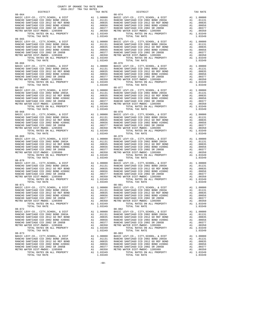| $08 - 066$                                                                                                                      |  | $08 - 076$                                                                                                                                                                                                                                                                                                                                       |  |
|---------------------------------------------------------------------------------------------------------------------------------|--|--------------------------------------------------------------------------------------------------------------------------------------------------------------------------------------------------------------------------------------------------------------------------------------------------------------------------------------------------|--|
|                                                                                                                                 |  |                                                                                                                                                                                                                                                                                                                                                  |  |
|                                                                                                                                 |  |                                                                                                                                                                                                                                                                                                                                                  |  |
|                                                                                                                                 |  |                                                                                                                                                                                                                                                                                                                                                  |  |
| $08 - 071$                                                                                                                      |  | $08 - 081$                                                                                                                                                                                                                                                                                                                                       |  |
| TER DIST-MWDOU- 1205999<br>TOTAL RATES ON ALL PROPERTY AI 1.03349<br>TOTAL TAX RATE 1.03349<br>TOTAL TAX RATE 1.03349<br>AC 282 |  | $\begin{tabular}{cccccc} 08-071 & 08-081 & 08-081 & 08-081 & 08-081 & 08-081 & 08-081 & 08-081 & 08-081 & 08-081 & 08-081 & 08-081 & 08-081 & 08-081 & 08-081 & 08-081 & 08-081 & 08-081 & 08-081 & 08-081 & 08-081 & 08-081 & 08-081 & 08-081 & 08-081 & 08-081 & 08$<br>TOTAL RATES ON ALL PROPERTY A1 1.03349<br>TOTAL TAX RATE<br>$08 - 082$ |  |
| $08 - 072$                                                                                                                      |  |                                                                                                                                                                                                                                                                                                                                                  |  |
|                                                                                                                                 |  |                                                                                                                                                                                                                                                                                                                                                  |  |

-60-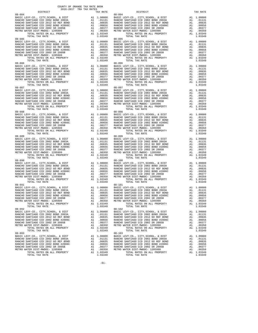| $08 - 086$                                                                                                                                       |  | $08 - 096$<br>$\begin{tabular}{cccc} 08-086 & 077.47 & 0.717 & 0.717 & 0.717 & 0.717 & 0.717 & 0.717 & 0.717 & 0.717 & 0.717 & 0.717 & 0.717 & 0.717 & 0.717 & 0.717 & 0.717 & 0.717 & 0.717 & 0.717 & 0.717 & 0.717 & 0.717 & 0.717 & 0.717 & 0.717 & 0.717 & 0.717 & 0.717 & 0.717 &$                                                          |  |
|--------------------------------------------------------------------------------------------------------------------------------------------------|--|--------------------------------------------------------------------------------------------------------------------------------------------------------------------------------------------------------------------------------------------------------------------------------------------------------------------------------------------------|--|
|                                                                                                                                                  |  |                                                                                                                                                                                                                                                                                                                                                  |  |
|                                                                                                                                                  |  |                                                                                                                                                                                                                                                                                                                                                  |  |
|                                                                                                                                                  |  |                                                                                                                                                                                                                                                                                                                                                  |  |
|                                                                                                                                                  |  | $08 - 101$                                                                                                                                                                                                                                                                                                                                       |  |
| $08 - 091$<br>TER DIST-MWDOU- 1205999<br>TOTAL RATES ON ALL PROPERTY AI 1.03349<br>TOTAL TAX RATE 103349<br>TOTAL TAX RATE 1.03349<br>$08 - 092$ |  | $\begin{tabular}{cccccc} 08-091 & 08-101 & 08-101 & 08-101 & 08-101 & 08-101 & 08-101 & 08-101 & 08-101 & 08-101 & 08-101 & 08-101 & 08-101 & 08-101 & 08-101 & 08-101 & 08-101 & 08-101 & 08-101 & 08-101 & 08-101 & 08-101 & 08-101 & 08-101 & 08-101 & 08-101 & 08$<br>TOTAL RATES ON ALL PROPERTY A1 1.03349<br>TOTAL TAX RATE<br>$08 - 102$ |  |
|                                                                                                                                                  |  |                                                                                                                                                                                                                                                                                                                                                  |  |
|                                                                                                                                                  |  |                                                                                                                                                                                                                                                                                                                                                  |  |

| .00350             | METRO WATER DIST-MWDOC- 1205999                                                                                                                                                                                                                                                                                                                                                                                                | A1        | .00350                  |
|--------------------|--------------------------------------------------------------------------------------------------------------------------------------------------------------------------------------------------------------------------------------------------------------------------------------------------------------------------------------------------------------------------------------------------------------------------------|-----------|-------------------------|
| 1.03349<br>1.03349 |                                                                                                                                                                                                                                                                                                                                                                                                                                | A1        | 1.03349<br>1.03349      |
|                    |                                                                                                                                                                                                                                                                                                                                                                                                                                |           |                         |
|                    | 1.00000 BASIC LEVY-CO., CITY, SCHOOL, & DIST<br>.01131 RANCHO SANTIAGO CCD 2002 BOND 2003A<br>.00835 RANCHO SANTIAGO CCD 2002 GORE BOND<br>.00656 RANCHO SANTIAGO CCD 2002 BOND #2006C<br>.00350 RANCHO SANTIAGO CCD 2002 SR 2005B<br>.                                                                                                                                                                                        |           | A1 1.00000              |
|                    |                                                                                                                                                                                                                                                                                                                                                                                                                                | A1<br>A1  | .01131<br>.00835        |
|                    |                                                                                                                                                                                                                                                                                                                                                                                                                                |           | A1 .00656               |
|                    |                                                                                                                                                                                                                                                                                                                                                                                                                                |           | A1 .00377<br>A1 .00350  |
|                    |                                                                                                                                                                                                                                                                                                                                                                                                                                |           |                         |
| 1.03349<br>1.03349 | TOTAL RATES ON ALL PROPERTY<br>TOTAL TAX RATE                                                                                                                                                                                                                                                                                                                                                                                  | A1        | 1.03349<br>1.03349      |
|                    | $08 - 096$                                                                                                                                                                                                                                                                                                                                                                                                                     |           |                         |
|                    | BASIC LEVY-CO., CITY, SCHOOL, & DIST                                                                                                                                                                                                                                                                                                                                                                                           |           | A1 1.00000              |
|                    |                                                                                                                                                                                                                                                                                                                                                                                                                                | A1        | .01131                  |
|                    |                                                                                                                                                                                                                                                                                                                                                                                                                                | A1        | .00835                  |
|                    |                                                                                                                                                                                                                                                                                                                                                                                                                                |           | A1 .00656               |
|                    |                                                                                                                                                                                                                                                                                                                                                                                                                                |           | A1 .00377<br>A1 .00350  |
| 1.03349            | TOTAL RATES ON ALL PROPERTY                                                                                                                                                                                                                                                                                                                                                                                                    |           | A1 1.03349              |
| 1.03349            | TOTAL TAX RATE                                                                                                                                                                                                                                                                                                                                                                                                                 |           | 1.03349                 |
|                    | $\begin{tabular}{ c c c c} \multicolumn{1}{c}{0.8-97} \multicolumn{1}{c}{1.014 \text{L}} \multicolumn{1}{c}{\text{L}} \\ \multicolumn{1}{c}{0.8-097} \multicolumn{1}{c}{0.8-097} \multicolumn{1}{c}{\text{D}} \\ \multicolumn{1}{c}{0.8-097} \multicolumn{1}{c}{\text{R}} \\ \multicolumn{1}{c}{0.8-097} \multicolumn{1}{c}{\text{R}} \\ \multicolumn{1}{c}{0.8-097} \multicolumn{1}{c}{\text{R}} \\ \multicolumn{1}{c}{0.8-0$ |           | A1 1.00000              |
|                    |                                                                                                                                                                                                                                                                                                                                                                                                                                |           | A1 .01131               |
|                    |                                                                                                                                                                                                                                                                                                                                                                                                                                | A1        | .00835                  |
|                    |                                                                                                                                                                                                                                                                                                                                                                                                                                | A1        | .00656                  |
|                    |                                                                                                                                                                                                                                                                                                                                                                                                                                | A1        | A1 .00377<br>.00350     |
| 1.03349            | TOTAL RATES ON ALL PROPERTY                                                                                                                                                                                                                                                                                                                                                                                                    |           | A1 1.03349              |
|                    |                                                                                                                                                                                                                                                                                                                                                                                                                                |           | 1.03349                 |
|                    |                                                                                                                                                                                                                                                                                                                                                                                                                                |           |                         |
|                    |                                                                                                                                                                                                                                                                                                                                                                                                                                |           | A1 1.00000<br>A1 .01131 |
|                    |                                                                                                                                                                                                                                                                                                                                                                                                                                | A1        | .00835                  |
|                    |                                                                                                                                                                                                                                                                                                                                                                                                                                | A1        | .00656                  |
|                    |                                                                                                                                                                                                                                                                                                                                                                                                                                | A1        | .00377                  |
|                    | TOTAL RATES ON ALL PROPERTY                                                                                                                                                                                                                                                                                                                                                                                                    | A1<br>A1  | .00350<br>1.03349       |
|                    |                                                                                                                                                                                                                                                                                                                                                                                                                                |           | 1.03349                 |
|                    |                                                                                                                                                                                                                                                                                                                                                                                                                                |           |                         |
|                    |                                                                                                                                                                                                                                                                                                                                                                                                                                | A1        | A1 1.00000              |
|                    |                                                                                                                                                                                                                                                                                                                                                                                                                                | A1        | .01131<br>.00835        |
|                    |                                                                                                                                                                                                                                                                                                                                                                                                                                | A1        | .00656                  |
|                    |                                                                                                                                                                                                                                                                                                                                                                                                                                |           | A1.00377<br>31.00350    |
|                    |                                                                                                                                                                                                                                                                                                                                                                                                                                | A1        | .00350                  |
|                    |                                                                                                                                                                                                                                                                                                                                                                                                                                |           | A1 1.03349<br>1.03349   |
|                    | $08 - 100$                                                                                                                                                                                                                                                                                                                                                                                                                     |           |                         |
|                    | 1.00000 BASIC LEVY-CO., CITY, SCHOOL, & DIST<br>.01131 RANCHO SANTIAGO CCD 2002 BOND 2003A<br>.00835 RANCHO SANTIAGO CCD 2002 GORE BOND<br>.00656 RANCHO SANTIAGO CCD 2002 BOND #2006C<br>.00350 RANCHO SANTIAGO CCD 2002 SR 2005B<br>.                                                                                                                                                                                        |           | A1 1.00000              |
|                    |                                                                                                                                                                                                                                                                                                                                                                                                                                |           | A1 .01131<br>A1 .00835  |
|                    |                                                                                                                                                                                                                                                                                                                                                                                                                                |           | A1 .00656               |
|                    |                                                                                                                                                                                                                                                                                                                                                                                                                                |           | A1 .00377               |
|                    |                                                                                                                                                                                                                                                                                                                                                                                                                                | A1        | .00350                  |
| 1.03349            | TOTAL RATES ON ALL PROPERTY                                                                                                                                                                                                                                                                                                                                                                                                    |           | A1 1.03349              |
| 1.03349            | TOTAL TAX RATE<br>$08 - 101$                                                                                                                                                                                                                                                                                                                                                                                                   |           | 1.03349                 |
|                    | 1.00000 BASIC LEVY-CO., CITY, SCHOOL, & DIST<br>.01131 RANCHO SANTIAGO CCD 2002 BOND 2003A<br>.00835 RANCHO SANTIAGO CCD 2012 GOREF BOND<br>.00656 RANCHO SANTIAGO CCD 2002 BOND #2006C<br>.00350 RANCHO SANTIAGO CCD 2002 SR 2005B<br>                                                                                                                                                                                        |           | A1 1.00000              |
|                    |                                                                                                                                                                                                                                                                                                                                                                                                                                |           | A1 .01131               |
|                    |                                                                                                                                                                                                                                                                                                                                                                                                                                | A1        | .00835                  |
|                    |                                                                                                                                                                                                                                                                                                                                                                                                                                | A1        | A1 .00656<br>00377      |
|                    |                                                                                                                                                                                                                                                                                                                                                                                                                                | A1        | .00350                  |
| 1.03349            | TOTAL RATES ON ALL PROPERTY                                                                                                                                                                                                                                                                                                                                                                                                    |           | A1 1.03349              |
| 1.03349            | TOTAL TAX RATE                                                                                                                                                                                                                                                                                                                                                                                                                 |           | 1.03349                 |
|                    |                                                                                                                                                                                                                                                                                                                                                                                                                                |           | A1 1.00000              |
|                    |                                                                                                                                                                                                                                                                                                                                                                                                                                |           | A1 .01131               |
|                    | .00835 RANCHO SANTIAGO CCD 2012 GO REF BOND                                                                                                                                                                                                                                                                                                                                                                                    | A1        | .00835                  |
| .00656             | RANCHO SANTIAGO CCD 2002 BOND #2006C<br>RANCHO SANTIAGO CCD 2002 SR 2005B                                                                                                                                                                                                                                                                                                                                                      | A1        | .00656                  |
| .00377<br>.00350   | METRO WATER DIST-MWDOC- 1205999                                                                                                                                                                                                                                                                                                                                                                                                | A1<br>A1  | .00377<br>.00350        |
| 1.03349            | TOTAL RATES ON ALL PROPERTY                                                                                                                                                                                                                                                                                                                                                                                                    | Α1        | 1.03349                 |
| 1.03349            | TOTAL TAX RATE                                                                                                                                                                                                                                                                                                                                                                                                                 |           | 1.03349                 |
|                    | $08 - 103$                                                                                                                                                                                                                                                                                                                                                                                                                     |           |                         |
| 1.00000<br>.01131  | BASIC LEVY-CO., CITY, SCHOOL, & DIST<br>RANCHO SANTIAGO CCD 2002 BOND 2003A                                                                                                                                                                                                                                                                                                                                                    | A1<br>A1  | 1.00000<br>.01131       |
| .00835             | RANCHO SANTIAGO CCD 2012 GO REF BOND                                                                                                                                                                                                                                                                                                                                                                                           | A1        | .00835                  |
| .00656             | RANCHO SANTIAGO CCD 2002 BOND #2006C                                                                                                                                                                                                                                                                                                                                                                                           | Α1        | .00656                  |
| .00377<br>00350    | RANCHO SANTIAGO CCD 2002 SR 2005B<br>METRO WATER DIST-MWDOC- 1205999                                                                                                                                                                                                                                                                                                                                                           | Α1<br>2.1 | .00377<br>00350         |
|                    |                                                                                                                                                                                                                                                                                                                                                                                                                                |           |                         |

-61-

COUNTY OF ORANGE TAX RATE BOOK 2016-2017 TRA TAX RATES

DISTRICT TAX RATE DISTRICT TAX RATE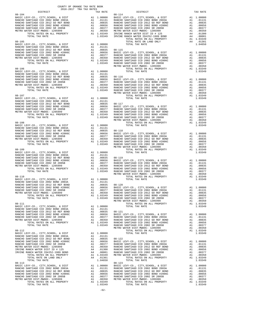| DISTRICT | 2016-2017 TRA TAX RATES | TAX RATE | DISTRICT | TAX RATE |
|----------|-------------------------|----------|----------|----------|
|          |                         |          |          |          |
|          |                         |          |          |          |
|          |                         |          |          |          |
|          |                         |          |          |          |
|          |                         |          |          |          |
|          |                         |          |          |          |
|          |                         |          |          |          |
|          |                         |          |          |          |
|          |                         |          |          |          |
|          |                         |          |          |          |
|          |                         |          |          |          |
|          |                         |          |          |          |
|          |                         |          |          |          |
|          |                         |          |          |          |
|          |                         |          |          |          |
|          |                         |          |          |          |
|          |                         |          |          |          |
|          |                         |          |          |          |
|          |                         |          |          |          |
|          |                         |          |          |          |
|          |                         |          |          |          |
|          |                         |          |          |          |
|          |                         |          |          |          |
|          |                         |          |          |          |
|          |                         |          |          |          |
|          |                         |          |          |          |
|          |                         |          |          |          |
|          |                         |          |          |          |
|          |                         |          |          |          |
|          |                         |          |          |          |
|          |                         |          |          |          |
|          |                         |          |          |          |
|          |                         |          |          |          |
|          |                         |          |          |          |
|          |                         |          |          |          |
|          |                         |          |          |          |
|          |                         |          |          |          |
|          |                         |          |          |          |
|          |                         |          |          |          |
|          |                         |          |          |          |
|          |                         |          |          |          |
|          |                         |          |          |          |
|          |                         |          |          |          |
|          |                         |          |          |          |
|          |                         |          |          |          |
|          |                         |          |          |          |
|          |                         |          |          |          |
|          |                         |          |          |          |
|          |                         |          |          |          |
|          |                         |          |          |          |
|          |                         |          |          |          |
|          |                         |          |          |          |
|          |                         |          |          |          |
|          |                         |          |          |          |
|          |                         |          |          |          |
|          |                         |          |          |          |
|          |                         |          |          |          |
|          |                         |          |          |          |
|          |                         |          |          |          |
|          |                         |          |          |          |
|          |                         |          |          |          |
|          |                         |          |          |          |
|          |                         |          |          |          |
|          |                         |          |          |          |
|          |                         |          |          |          |
|          |                         |          |          |          |
|          |                         |          |          |          |
|          |                         |          |          |          |
|          |                         |          |          |          |
|          |                         |          |          |          |
|          |                         |          |          |          |
|          |                         |          |          |          |
|          |                         |          |          |          |
|          |                         |          |          |          |
|          |                         |          |          |          |
|          |                         |          |          |          |
|          |                         |          |          |          |
|          |                         |          |          |          |
|          |                         |          |          |          |
|          |                         |          |          |          |
|          |                         |          |          |          |
|          |                         |          |          |          |
|          |                         |          |          |          |

COUNTY OF ORANGE TAX RATE BOOK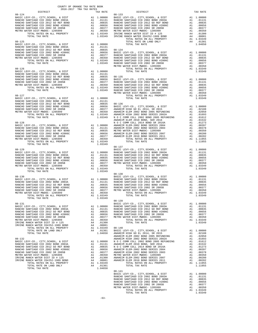| $\begin{tabular}{lcccc} RANCHO & SANTIAGO & CCD & 2002 & BOND & \#2006C & & & & & & 0.0656 & RANCHO \\ RANCHO & SANTIAGO & COD & 2002 & SR & 2005B & & & & & 0.0377 & RANCHO \\ METRO & WETRO & WTETLO & MDE & 0.0350 & METRO & METRO \\ TOTAL RATES & ON ALL PROPERTIES & & & & & & 0.0350 & METRO \\ TOTAL TAX RATE & & & & & & & 1.03349 & IRVINE \\ \end{tabular}$                                                             |                                              |                                                                                                        |                                                                                                                        |
|------------------------------------------------------------------------------------------------------------------------------------------------------------------------------------------------------------------------------------------------------------------------------------------------------------------------------------------------------------------------------------------------------------------------------------|----------------------------------------------|--------------------------------------------------------------------------------------------------------|------------------------------------------------------------------------------------------------------------------------|
|                                                                                                                                                                                                                                                                                                                                                                                                                                    |                                              |                                                                                                        |                                                                                                                        |
|                                                                                                                                                                                                                                                                                                                                                                                                                                    |                                              |                                                                                                        |                                                                                                                        |
| $08 - 127$                                                                                                                                                                                                                                                                                                                                                                                                                         |                                              |                                                                                                        | <b>ANAHEIM</b>                                                                                                         |
|                                                                                                                                                                                                                                                                                                                                                                                                                                    |                                              |                                                                                                        |                                                                                                                        |
|                                                                                                                                                                                                                                                                                                                                                                                                                                    |                                              |                                                                                                        | $08 - 137$                                                                                                             |
| $08 - 130$                                                                                                                                                                                                                                                                                                                                                                                                                         |                                              |                                                                                                        | $08 - 138$<br>BASIC L                                                                                                  |
| $08 - 131$<br>BASIC LEVY-CO., CITY, SCHOOL, & DIST A1 1.00000 RANCHO ANNOHO BANTIAGO CCD 2002 BOND 2003A A1 .01131 RANCHO ANCHO ANCHO ANCHO ANCHO AND ANNOHO A1 .00835 RANCHO<br>RANCHO SANTIAGO CCD 2002 BOND #2006C<br>RANCHO SANTIAGO CCD 2002 SR 2005B<br>METRO WATER DIST-MWDOC- 1205999<br>IRVINE RANCH WATER DIST ID # 125<br>IRVINE RANCH WATER ID#252-1989 BOND<br>TOTAL RATES ON ALL PROPERTY<br>TOTAL RATE ON LAND ONLY | A1<br>A1<br>A1<br>A4<br>A4                   | .00656<br>.00377<br>.00350<br>.01300<br>.00001<br>A1 1.03349<br>A4 .01301                              | $08 - 139$<br>BASIC L<br>${\tt RANCHO}$<br>METRO W<br>$08 - 140$<br>BASIC L                                            |
| TOTAL TAX RATE<br>$08 - 132$<br>BASIC LEVY-CO., CITY, SCHOOL, & DIST<br>RANCHO SANTIAGO CCD 2002 BOND 2003A<br>RANCHO SANTIAGO CCD 2012 GO REF BOND<br>RANCHO SANTIAGO CCD 2002 BOND #2006C<br>RANCHO SANTIAGO CCD 2002 SR 2005B<br>METRO WATER DIST-MWDOC- 1205999<br>IRVINE RANCH WATER DIST ID # 125<br>IRVINE RANCH WATER ID#252-1989 BOND<br>TOTAL RATES ON ALL PROPERTY                                                      | A1<br>A1<br>A1<br>A1<br>A1<br>A1<br>A4<br>A4 | 1.04650<br>1.00000<br>.01131<br>.00835<br>.00656<br>.00377<br>.00350<br>.01300<br>.00001<br>A1 1.03349 | ANAHEIM<br>ANAHEIM<br>ANAHEIM<br>NOCC<br>ANAHEIM<br>NOCC<br>ANAHEIM<br>ANAHEIM<br>METRO W<br><b>ANAHEIM</b><br>ANAHEIM |

| COUNTY OF ORANGE TAX RATE BOOK                                                                                              |          |                                                                                                                                                                                                                                                                                                                                                      |          |
|-----------------------------------------------------------------------------------------------------------------------------|----------|------------------------------------------------------------------------------------------------------------------------------------------------------------------------------------------------------------------------------------------------------------------------------------------------------------------------------------------------------|----------|
| $2016-2017\begin{array}{l} \texttt{?} \\ \texttt{TRA} \\ \texttt{TRA} \\ \texttt{RATES} \end{array}$ DISTRICT<br>$08 - 124$ | TAX RATE | DISTRICT<br>$08 - 133$                                                                                                                                                                                                                                                                                                                               | TAX RATE |
|                                                                                                                             |          |                                                                                                                                                                                                                                                                                                                                                      |          |
|                                                                                                                             |          |                                                                                                                                                                                                                                                                                                                                                      |          |
|                                                                                                                             |          |                                                                                                                                                                                                                                                                                                                                                      |          |
|                                                                                                                             |          |                                                                                                                                                                                                                                                                                                                                                      |          |
|                                                                                                                             |          |                                                                                                                                                                                                                                                                                                                                                      |          |
|                                                                                                                             |          |                                                                                                                                                                                                                                                                                                                                                      |          |
|                                                                                                                             |          |                                                                                                                                                                                                                                                                                                                                                      |          |
|                                                                                                                             |          |                                                                                                                                                                                                                                                                                                                                                      |          |
|                                                                                                                             |          |                                                                                                                                                                                                                                                                                                                                                      |          |
|                                                                                                                             |          |                                                                                                                                                                                                                                                                                                                                                      |          |
|                                                                                                                             |          |                                                                                                                                                                                                                                                                                                                                                      |          |
|                                                                                                                             |          |                                                                                                                                                                                                                                                                                                                                                      |          |
|                                                                                                                             |          |                                                                                                                                                                                                                                                                                                                                                      |          |
|                                                                                                                             |          |                                                                                                                                                                                                                                                                                                                                                      |          |
|                                                                                                                             |          |                                                                                                                                                                                                                                                                                                                                                      |          |
|                                                                                                                             |          |                                                                                                                                                                                                                                                                                                                                                      |          |
|                                                                                                                             |          |                                                                                                                                                                                                                                                                                                                                                      |          |
|                                                                                                                             |          |                                                                                                                                                                                                                                                                                                                                                      |          |
|                                                                                                                             |          |                                                                                                                                                                                                                                                                                                                                                      |          |
|                                                                                                                             |          |                                                                                                                                                                                                                                                                                                                                                      |          |
|                                                                                                                             |          |                                                                                                                                                                                                                                                                                                                                                      |          |
|                                                                                                                             |          |                                                                                                                                                                                                                                                                                                                                                      |          |
|                                                                                                                             |          |                                                                                                                                                                                                                                                                                                                                                      |          |
|                                                                                                                             |          |                                                                                                                                                                                                                                                                                                                                                      |          |
|                                                                                                                             |          |                                                                                                                                                                                                                                                                                                                                                      |          |
|                                                                                                                             |          |                                                                                                                                                                                                                                                                                                                                                      |          |
|                                                                                                                             |          |                                                                                                                                                                                                                                                                                                                                                      |          |
|                                                                                                                             |          |                                                                                                                                                                                                                                                                                                                                                      |          |
|                                                                                                                             |          |                                                                                                                                                                                                                                                                                                                                                      |          |
|                                                                                                                             |          |                                                                                                                                                                                                                                                                                                                                                      |          |
|                                                                                                                             |          |                                                                                                                                                                                                                                                                                                                                                      |          |
|                                                                                                                             |          |                                                                                                                                                                                                                                                                                                                                                      |          |
|                                                                                                                             |          |                                                                                                                                                                                                                                                                                                                                                      |          |
|                                                                                                                             |          | $08 - 137$                                                                                                                                                                                                                                                                                                                                           |          |
|                                                                                                                             |          |                                                                                                                                                                                                                                                                                                                                                      |          |
|                                                                                                                             |          |                                                                                                                                                                                                                                                                                                                                                      |          |
|                                                                                                                             |          |                                                                                                                                                                                                                                                                                                                                                      |          |
|                                                                                                                             |          |                                                                                                                                                                                                                                                                                                                                                      |          |
|                                                                                                                             |          |                                                                                                                                                                                                                                                                                                                                                      |          |
| TOTAL TAX RATE                                                                                                              | 1.03349  |                                                                                                                                                                                                                                                                                                                                                      |          |
|                                                                                                                             |          | $\begin{tabular}{cccccc} 08-130 & 08-138 & 08-138 & 08-138 & 08-138 & 08-138 & 08-138 & 08-138 & 08-138 & 08-138 & 08-138 & 08-138 & 08-138 & 08-138 & 08-138 & 08-138 & 08-138 & 08-138 & 08-138 & 08-138 & 08-138 & 08-138 & 08-138 & 08-138 & 08-138 & 08-138 & 08$                                                                               |          |
|                                                                                                                             |          |                                                                                                                                                                                                                                                                                                                                                      |          |
|                                                                                                                             |          |                                                                                                                                                                                                                                                                                                                                                      |          |
|                                                                                                                             |          |                                                                                                                                                                                                                                                                                                                                                      |          |
|                                                                                                                             |          |                                                                                                                                                                                                                                                                                                                                                      |          |
|                                                                                                                             |          |                                                                                                                                                                                                                                                                                                                                                      |          |
| XANIANO COL COL 1205999<br>ATER DIST-MWDOC-1205999<br>TOTAL RATES ON ALL PROPERTY A1 1.03349<br>1.03349<br>1.03349          |          | $\overline{a}$ and $\overline{a}$ and $\overline{a}$ and $\overline{a}$ and $\overline{a}$ and $\overline{a}$ and $\overline{a}$ and $\overline{a}$ and $\overline{a}$ and $\overline{a}$ and $\overline{a}$ and $\overline{a}$ and $\overline{a}$ and $\overline{a}$ and $\overline{a}$ and $\overline{a}$ and $\overline{a}$ and<br>TOTAL TAX RATE | 1.03349  |
|                                                                                                                             |          |                                                                                                                                                                                                                                                                                                                                                      |          |
|                                                                                                                             |          |                                                                                                                                                                                                                                                                                                                                                      |          |
|                                                                                                                             |          |                                                                                                                                                                                                                                                                                                                                                      |          |
|                                                                                                                             |          |                                                                                                                                                                                                                                                                                                                                                      |          |
|                                                                                                                             |          |                                                                                                                                                                                                                                                                                                                                                      |          |
|                                                                                                                             |          |                                                                                                                                                                                                                                                                                                                                                      |          |
|                                                                                                                             |          |                                                                                                                                                                                                                                                                                                                                                      |          |
|                                                                                                                             |          |                                                                                                                                                                                                                                                                                                                                                      |          |
|                                                                                                                             |          |                                                                                                                                                                                                                                                                                                                                                      |          |
|                                                                                                                             |          |                                                                                                                                                                                                                                                                                                                                                      |          |
|                                                                                                                             |          |                                                                                                                                                                                                                                                                                                                                                      |          |
|                                                                                                                             |          |                                                                                                                                                                                                                                                                                                                                                      |          |
|                                                                                                                             |          |                                                                                                                                                                                                                                                                                                                                                      |          |
|                                                                                                                             |          |                                                                                                                                                                                                                                                                                                                                                      |          |
|                                                                                                                             |          |                                                                                                                                                                                                                                                                                                                                                      |          |
|                                                                                                                             |          |                                                                                                                                                                                                                                                                                                                                                      |          |
|                                                                                                                             |          |                                                                                                                                                                                                                                                                                                                                                      |          |
|                                                                                                                             |          |                                                                                                                                                                                                                                                                                                                                                      |          |
|                                                                                                                             |          |                                                                                                                                                                                                                                                                                                                                                      |          |
|                                                                                                                             |          |                                                                                                                                                                                                                                                                                                                                                      |          |
|                                                                                                                             |          |                                                                                                                                                                                                                                                                                                                                                      |          |
|                                                                                                                             |          |                                                                                                                                                                                                                                                                                                                                                      |          |
|                                                                                                                             |          |                                                                                                                                                                                                                                                                                                                                                      |          |
|                                                                                                                             |          |                                                                                                                                                                                                                                                                                                                                                      |          |
|                                                                                                                             |          |                                                                                                                                                                                                                                                                                                                                                      |          |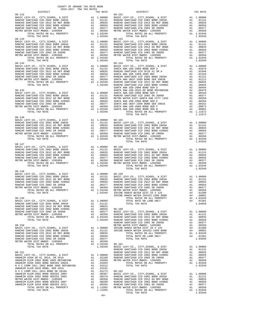| 2016-2017 TRA TAX RATES<br>DISTRICT | TAX RATE | DISTRICT                                                                                                                                                                                                                                                                                                                                                                                         | TAX RATE |
|-------------------------------------|----------|--------------------------------------------------------------------------------------------------------------------------------------------------------------------------------------------------------------------------------------------------------------------------------------------------------------------------------------------------------------------------------------------------|----------|
|                                     |          | $\begin{tabular}{cccccc} 08-142 & DISTRICT & TAX RATE & DISTRICT & TAX RATE \\ BASIC LEV-CO, CITT, SEIOOD, & DISTT & A1 & 1,00000 & BASIC LEV-CO, & CITT, SCIBOD, & DISTT & A1 & 1,00000 \\ RANCE BANTIAGO CCD 2012 BOND 2003A & A1 & 00131 & RANCEO SANTIAO CO2 2012 GO REF BOND & A1 & 00131 & 01010 \\ RANCEO SANTIAGO CCD 2012 BOND 2003C BOND 2003A & A1 & 0131 & 01000 \\ RANCEO SANTIAGO$ |          |
|                                     |          |                                                                                                                                                                                                                                                                                                                                                                                                  |          |
|                                     |          |                                                                                                                                                                                                                                                                                                                                                                                                  |          |
|                                     |          |                                                                                                                                                                                                                                                                                                                                                                                                  |          |
|                                     |          |                                                                                                                                                                                                                                                                                                                                                                                                  |          |
|                                     |          |                                                                                                                                                                                                                                                                                                                                                                                                  |          |
|                                     |          |                                                                                                                                                                                                                                                                                                                                                                                                  |          |
|                                     |          |                                                                                                                                                                                                                                                                                                                                                                                                  |          |
|                                     |          |                                                                                                                                                                                                                                                                                                                                                                                                  |          |
|                                     |          |                                                                                                                                                                                                                                                                                                                                                                                                  |          |
|                                     |          |                                                                                                                                                                                                                                                                                                                                                                                                  |          |
|                                     |          |                                                                                                                                                                                                                                                                                                                                                                                                  |          |
|                                     |          |                                                                                                                                                                                                                                                                                                                                                                                                  |          |
|                                     |          |                                                                                                                                                                                                                                                                                                                                                                                                  |          |
|                                     |          |                                                                                                                                                                                                                                                                                                                                                                                                  |          |
|                                     |          |                                                                                                                                                                                                                                                                                                                                                                                                  |          |
|                                     |          |                                                                                                                                                                                                                                                                                                                                                                                                  |          |
|                                     |          |                                                                                                                                                                                                                                                                                                                                                                                                  |          |
|                                     |          |                                                                                                                                                                                                                                                                                                                                                                                                  |          |
|                                     |          |                                                                                                                                                                                                                                                                                                                                                                                                  |          |
|                                     |          |                                                                                                                                                                                                                                                                                                                                                                                                  |          |
|                                     |          |                                                                                                                                                                                                                                                                                                                                                                                                  |          |
|                                     |          |                                                                                                                                                                                                                                                                                                                                                                                                  |          |
|                                     |          |                                                                                                                                                                                                                                                                                                                                                                                                  |          |
|                                     |          |                                                                                                                                                                                                                                                                                                                                                                                                  |          |
|                                     |          | $\begin{tabular}{cccccc} 08-146 & 070 \text{AL} & 08-146 \text{NMC} \\ 08-144 & 0.0000 & 0.0000 & 0.0000 \\ 08-15 & 0.00000 & 0.00000 & 0.00000 \\ 08-15 & 0.00000 & 0.00000 & 0.00000 \\ 08-15 & 0.00000 & 0.00000 & 0.00000 \\ 08-15 & 0.00000 & 0.00000 & 0.00000 \\ 08-15 & 0.0$                                                                                                             |          |
|                                     |          |                                                                                                                                                                                                                                                                                                                                                                                                  |          |
|                                     |          |                                                                                                                                                                                                                                                                                                                                                                                                  |          |
|                                     |          |                                                                                                                                                                                                                                                                                                                                                                                                  |          |
|                                     |          |                                                                                                                                                                                                                                                                                                                                                                                                  |          |
|                                     |          |                                                                                                                                                                                                                                                                                                                                                                                                  |          |
|                                     |          |                                                                                                                                                                                                                                                                                                                                                                                                  |          |
|                                     |          |                                                                                                                                                                                                                                                                                                                                                                                                  |          |
|                                     |          |                                                                                                                                                                                                                                                                                                                                                                                                  |          |
|                                     |          |                                                                                                                                                                                                                                                                                                                                                                                                  |          |
|                                     |          |                                                                                                                                                                                                                                                                                                                                                                                                  |          |
|                                     |          |                                                                                                                                                                                                                                                                                                                                                                                                  |          |
|                                     |          |                                                                                                                                                                                                                                                                                                                                                                                                  |          |
|                                     |          | TOTAL TAX RATE                                                                                                                                                                                                                                                                                                                                                                                   | 1.03349  |
| $08 - 148$                          |          |                                                                                                                                                                                                                                                                                                                                                                                                  |          |
|                                     |          |                                                                                                                                                                                                                                                                                                                                                                                                  |          |
|                                     |          |                                                                                                                                                                                                                                                                                                                                                                                                  |          |
|                                     |          |                                                                                                                                                                                                                                                                                                                                                                                                  |          |
|                                     |          |                                                                                                                                                                                                                                                                                                                                                                                                  |          |
|                                     |          |                                                                                                                                                                                                                                                                                                                                                                                                  |          |
|                                     |          |                                                                                                                                                                                                                                                                                                                                                                                                  |          |
|                                     |          |                                                                                                                                                                                                                                                                                                                                                                                                  |          |
|                                     |          |                                                                                                                                                                                                                                                                                                                                                                                                  |          |
|                                     |          |                                                                                                                                                                                                                                                                                                                                                                                                  |          |
|                                     |          |                                                                                                                                                                                                                                                                                                                                                                                                  |          |
|                                     |          |                                                                                                                                                                                                                                                                                                                                                                                                  |          |
|                                     |          |                                                                                                                                                                                                                                                                                                                                                                                                  |          |
|                                     |          |                                                                                                                                                                                                                                                                                                                                                                                                  |          |
|                                     |          |                                                                                                                                                                                                                                                                                                                                                                                                  |          |
|                                     |          |                                                                                                                                                                                                                                                                                                                                                                                                  |          |
|                                     |          |                                                                                                                                                                                                                                                                                                                                                                                                  |          |
|                                     |          |                                                                                                                                                                                                                                                                                                                                                                                                  |          |
|                                     |          |                                                                                                                                                                                                                                                                                                                                                                                                  |          |
|                                     |          |                                                                                                                                                                                                                                                                                                                                                                                                  |          |
|                                     |          |                                                                                                                                                                                                                                                                                                                                                                                                  |          |
|                                     |          |                                                                                                                                                                                                                                                                                                                                                                                                  |          |
|                                     |          |                                                                                                                                                                                                                                                                                                                                                                                                  |          |
|                                     |          |                                                                                                                                                                                                                                                                                                                                                                                                  |          |
|                                     |          |                                                                                                                                                                                                                                                                                                                                                                                                  |          |
|                                     |          |                                                                                                                                                                                                                                                                                                                                                                                                  |          |
|                                     |          |                                                                                                                                                                                                                                                                                                                                                                                                  |          |
|                                     |          |                                                                                                                                                                                                                                                                                                                                                                                                  |          |
|                                     |          |                                                                                                                                                                                                                                                                                                                                                                                                  |          |
|                                     |          |                                                                                                                                                                                                                                                                                                                                                                                                  |          |
|                                     |          |                                                                                                                                                                                                                                                                                                                                                                                                  |          |
|                                     |          |                                                                                                                                                                                                                                                                                                                                                                                                  |          |
|                                     |          |                                                                                                                                                                                                                                                                                                                                                                                                  |          |

-64-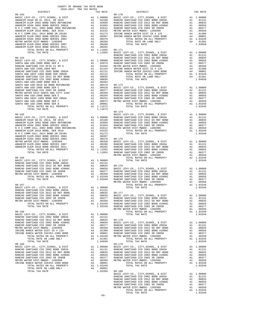|                                                                         |          |                  | RANCHO           |
|-------------------------------------------------------------------------|----------|------------------|------------------|
|                                                                         |          |                  |                  |
|                                                                         |          |                  |                  |
|                                                                         |          |                  |                  |
|                                                                         |          |                  |                  |
|                                                                         |          |                  |                  |
|                                                                         |          |                  |                  |
|                                                                         |          |                  |                  |
|                                                                         |          |                  |                  |
|                                                                         |          |                  |                  |
|                                                                         |          |                  |                  |
|                                                                         |          |                  |                  |
|                                                                         |          |                  |                  |
|                                                                         |          |                  |                  |
|                                                                         |          |                  |                  |
|                                                                         |          |                  |                  |
|                                                                         |          |                  |                  |
|                                                                         |          |                  |                  |
|                                                                         |          |                  |                  |
|                                                                         |          |                  |                  |
|                                                                         |          |                  |                  |
|                                                                         |          |                  |                  |
|                                                                         |          |                  |                  |
|                                                                         |          |                  |                  |
|                                                                         |          |                  |                  |
|                                                                         |          |                  |                  |
|                                                                         |          |                  |                  |
|                                                                         |          |                  |                  |
|                                                                         |          |                  |                  |
|                                                                         |          |                  |                  |
|                                                                         |          |                  |                  |
|                                                                         |          |                  |                  |
|                                                                         |          |                  |                  |
|                                                                         |          |                  | METRO W          |
|                                                                         |          |                  |                  |
|                                                                         |          |                  |                  |
|                                                                         |          |                  |                  |
|                                                                         |          |                  |                  |
|                                                                         |          |                  |                  |
|                                                                         |          |                  |                  |
|                                                                         |          |                  |                  |
|                                                                         |          |                  | METRO W          |
|                                                                         |          |                  |                  |
|                                                                         |          |                  |                  |
|                                                                         |          |                  |                  |
|                                                                         |          |                  |                  |
|                                                                         |          |                  |                  |
|                                                                         |          |                  |                  |
|                                                                         |          |                  |                  |
|                                                                         |          |                  |                  |
|                                                                         |          |                  | METRO W          |
| $08 - 168$                                                              |          |                  |                  |
| BASIC LEVY-CO., CITY, SCHOOL, & DIST                                    | A1       | 1.00000          |                  |
| RANCHO SANTIAGO CCD 2002 BOND 2003A                                     |          | A1 .01131        |                  |
| RANCHO SANTIAGO CCD 2012 GO REF BOND                                    | A1       | .00835           | $08 - 178$       |
| RANCHO SANTIAGO CCD 2002 BOND #2006C                                    | A1       | .00656           | BASIC L          |
| RANCHO SANTIAGO CCD 2002 SR 2005B                                       | A1       | .00377           | RANCHO           |
| METRO WATER DIST-MWDOC- 1205999                                         | A1       | .00350           | RANCHO<br>RANCHO |
| IRVINE RANCH WATER DIST ID # 125<br>IRVINE RANCH WATER ID#252-1989 BOND | A4<br>A4 | .01300<br>.00001 | RANCHO           |
| TOTAL RATES ON ALL PROPERTY                                             |          | A1 1.03349       | METRO W          |
| TOTAL RATE ON LAND ONLY                                                 |          | A4 .01301        |                  |
| TOTAL TAX RATE                                                          |          | 1.04650          |                  |
| $08 - 169$                                                              |          |                  | 08-179           |
| BASIC LEVY-CO., CITY, SCHOOL, & DIST                                    |          | A1 1.00000       | BASIC L          |
| RANCHO SANTIAGO CCD 2002 BOND 2003A                                     |          | A1 .01131        | RANCHO           |
| RANCHO SANTIAGO CCD 2012 GO REF BOND                                    | A1       | .00835           | RANCHO           |
| RANCHO SANTIAGO CCD 2002 BOND #2006C                                    | A1       | .00656           | RANCHO           |
| RANCHO SANTIAGO CCD 2002 SR 2005B                                       | A1       | .00377           | RANCHO           |
| METRO WATER DIST-MWDOC- 1205999                                         | A1<br>A4 | .00350           | METRO W          |
| IRVINE RANCH WATER ID#252-1989 BOND<br>TOTAL RATES ON ALL PROPERTY      |          | .00001           |                  |
| ∨ דואר תואגז זה מידי אפ זגידרים                                         |          | A1 1.03349       |                  |

|  | TAX RATE |            | TAX RATE |
|--|----------|------------|----------|
|  |          | $08 - 170$ |          |
|  |          |            |          |
|  |          |            |          |
|  |          |            |          |
|  |          |            |          |
|  |          |            |          |
|  |          |            |          |
|  |          |            |          |
|  |          |            |          |
|  |          |            |          |
|  |          |            |          |
|  |          |            |          |
|  |          |            |          |
|  |          |            |          |
|  |          |            |          |
|  |          |            |          |
|  |          |            |          |
|  |          |            |          |
|  |          |            |          |
|  |          |            |          |
|  |          |            |          |
|  |          |            |          |
|  |          |            |          |
|  |          |            |          |
|  |          |            |          |
|  |          |            |          |
|  |          |            |          |
|  |          |            |          |
|  |          |            |          |
|  |          |            |          |
|  |          |            |          |
|  |          |            |          |
|  |          |            |          |
|  |          |            |          |
|  |          |            |          |
|  |          |            |          |
|  |          |            |          |
|  |          |            |          |
|  |          |            |          |
|  |          |            |          |
|  |          |            |          |
|  |          |            |          |
|  |          |            |          |
|  |          |            |          |
|  |          |            |          |
|  |          |            |          |
|  |          |            |          |
|  |          |            |          |
|  |          |            |          |
|  |          |            |          |
|  |          |            |          |
|  |          |            |          |
|  |          |            |          |
|  |          |            |          |
|  |          |            |          |
|  |          |            |          |
|  |          |            |          |
|  |          |            |          |
|  |          |            |          |
|  |          |            |          |
|  |          |            |          |
|  |          |            |          |
|  |          |            |          |
|  |          |            |          |
|  |          |            |          |
|  |          |            |          |
|  |          |            |          |
|  |          |            |          |
|  |          |            |          |
|  |          |            |          |
|  |          |            |          |
|  |          |            |          |
|  |          |            |          |
|  |          |            |          |
|  |          |            |          |
|  |          |            |          |
|  |          |            |          |
|  |          |            |          |
|  |          |            |          |
|  |          |            |          |
|  |          |            |          |
|  |          |            |          |
|  |          |            |          |
|  |          |            |          |
|  |          |            |          |
|  |          |            |          |
|  |          |            |          |
|  |          |            |          |
|  |          |            |          |
|  |          |            |          |
|  |          |            |          |
|  |          |            |          |
|  |          |            |          |
|  |          |            |          |
|  |          |            |          |
|  |          |            |          |
|  |          |            |          |
|  |          |            |          |
|  |          |            |          |
|  |          |            |          |
|  |          |            |          |
|  |          |            |          |
|  |          |            |          |
|  |          |            |          |
|  |          |            |          |
|  |          |            |          |
|  |          |            |          |
|  |          |            |          |
|  |          |            |          |
|  |          |            |          |
|  |          |            |          |
|  |          |            |          |
|  |          |            |          |
|  |          |            |          |
|  |          |            |          |
|  |          |            |          |
|  |          |            |          |
|  |          |            |          |
|  |          |            |          |
|  |          |            |          |
|  |          |            |          |
|  |          |            |          |
|  |          |            |          |
|  |          |            |          |
|  | $-65-$   |            |          |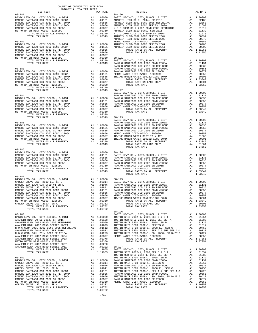| 2016-2017 TRA TAX RATES<br>DISTRICT | TAX RATE | DISTRICT                                                                                                                                                                                                                                                                                            | TAX RATE |
|-------------------------------------|----------|-----------------------------------------------------------------------------------------------------------------------------------------------------------------------------------------------------------------------------------------------------------------------------------------------------|----------|
| $08 - 181$                          |          | $08 - 190$<br>$\begin{tabular}{cccccc} 08-181 & 0157107 \\ 08-181 & 010000 \\ 08-180 & 0117 & 00000 \\ 08-180 & 0117 & 00000 \\ 08-181 & 00000 \\ 08-180 & 00000 \\ 08-180 & 00000 \\ 08-180 & 00000 \\ 08-180 & 00000 \\ 08-180 & 00000 \\ 08-180 & 00000 \\ 08-180 & 00000 \\ 08-180 & 00000 \\ $ |          |
|                                     |          |                                                                                                                                                                                                                                                                                                     |          |
|                                     |          |                                                                                                                                                                                                                                                                                                     |          |
|                                     |          |                                                                                                                                                                                                                                                                                                     |          |
|                                     |          |                                                                                                                                                                                                                                                                                                     |          |
|                                     |          |                                                                                                                                                                                                                                                                                                     |          |
|                                     |          |                                                                                                                                                                                                                                                                                                     |          |
|                                     |          |                                                                                                                                                                                                                                                                                                     |          |
|                                     |          |                                                                                                                                                                                                                                                                                                     |          |
|                                     |          |                                                                                                                                                                                                                                                                                                     |          |
|                                     |          |                                                                                                                                                                                                                                                                                                     |          |
|                                     |          |                                                                                                                                                                                                                                                                                                     |          |
|                                     |          |                                                                                                                                                                                                                                                                                                     |          |
|                                     |          |                                                                                                                                                                                                                                                                                                     |          |
|                                     |          |                                                                                                                                                                                                                                                                                                     |          |
|                                     |          |                                                                                                                                                                                                                                                                                                     |          |
|                                     |          |                                                                                                                                                                                                                                                                                                     |          |
|                                     |          |                                                                                                                                                                                                                                                                                                     |          |
|                                     |          |                                                                                                                                                                                                                                                                                                     |          |
|                                     |          |                                                                                                                                                                                                                                                                                                     |          |
|                                     |          |                                                                                                                                                                                                                                                                                                     |          |
|                                     |          |                                                                                                                                                                                                                                                                                                     |          |
|                                     |          |                                                                                                                                                                                                                                                                                                     |          |
|                                     |          |                                                                                                                                                                                                                                                                                                     |          |
|                                     |          |                                                                                                                                                                                                                                                                                                     |          |
|                                     |          |                                                                                                                                                                                                                                                                                                     |          |
|                                     |          |                                                                                                                                                                                                                                                                                                     |          |
|                                     |          |                                                                                                                                                                                                                                                                                                     |          |
|                                     |          |                                                                                                                                                                                                                                                                                                     |          |
|                                     |          |                                                                                                                                                                                                                                                                                                     |          |
|                                     |          |                                                                                                                                                                                                                                                                                                     |          |
|                                     |          |                                                                                                                                                                                                                                                                                                     |          |
|                                     |          |                                                                                                                                                                                                                                                                                                     |          |
|                                     |          |                                                                                                                                                                                                                                                                                                     |          |
|                                     |          |                                                                                                                                                                                                                                                                                                     |          |
|                                     |          | $\begin{tabular}{cccccc} TUTAL TAX RATE & 1.03349 & 08-193 & 08-193 & 08-192 & 08-193 & 08-194 & 08-195 & 08-196 & 08-197 & 08-198 & 08-197 & 08-198 & 08-198 & 08-198 & 08-198 & 08-198 & 08-198 & 08-198 & 08-198 & 08-198 & 08-198 & 08-198 & 08-198 & 08-198 & 08-198 & 0$                      |          |
|                                     |          |                                                                                                                                                                                                                                                                                                     |          |
|                                     |          |                                                                                                                                                                                                                                                                                                     |          |
| $08 - 186$                          |          |                                                                                                                                                                                                                                                                                                     |          |
|                                     |          |                                                                                                                                                                                                                                                                                                     |          |
|                                     |          |                                                                                                                                                                                                                                                                                                     |          |
|                                     |          |                                                                                                                                                                                                                                                                                                     |          |
|                                     |          |                                                                                                                                                                                                                                                                                                     |          |
|                                     |          |                                                                                                                                                                                                                                                                                                     |          |
|                                     |          |                                                                                                                                                                                                                                                                                                     |          |
|                                     |          | TOTAL TAX RATE                                                                                                                                                                                                                                                                                      | 1.03349  |
|                                     |          |                                                                                                                                                                                                                                                                                                     |          |
|                                     |          |                                                                                                                                                                                                                                                                                                     |          |
|                                     |          |                                                                                                                                                                                                                                                                                                     |          |
|                                     |          |                                                                                                                                                                                                                                                                                                     |          |
|                                     |          |                                                                                                                                                                                                                                                                                                     |          |
|                                     |          |                                                                                                                                                                                                                                                                                                     |          |
|                                     |          |                                                                                                                                                                                                                                                                                                     |          |
|                                     |          |                                                                                                                                                                                                                                                                                                     |          |
|                                     |          |                                                                                                                                                                                                                                                                                                     |          |
|                                     |          |                                                                                                                                                                                                                                                                                                     |          |
|                                     |          |                                                                                                                                                                                                                                                                                                     |          |
|                                     |          |                                                                                                                                                                                                                                                                                                     |          |
|                                     |          |                                                                                                                                                                                                                                                                                                     |          |
|                                     |          |                                                                                                                                                                                                                                                                                                     |          |
|                                     |          |                                                                                                                                                                                                                                                                                                     |          |
|                                     |          |                                                                                                                                                                                                                                                                                                     |          |
|                                     |          |                                                                                                                                                                                                                                                                                                     |          |
|                                     |          |                                                                                                                                                                                                                                                                                                     |          |
|                                     |          |                                                                                                                                                                                                                                                                                                     |          |
|                                     |          |                                                                                                                                                                                                                                                                                                     |          |
|                                     |          |                                                                                                                                                                                                                                                                                                     |          |
|                                     |          |                                                                                                                                                                                                                                                                                                     |          |
|                                     |          |                                                                                                                                                                                                                                                                                                     |          |
|                                     |          |                                                                                                                                                                                                                                                                                                     |          |
|                                     |          |                                                                                                                                                                                                                                                                                                     |          |
|                                     |          |                                                                                                                                                                                                                                                                                                     |          |
|                                     |          |                                                                                                                                                                                                                                                                                                     |          |
|                                     |          |                                                                                                                                                                                                                                                                                                     |          |
|                                     |          |                                                                                                                                                                                                                                                                                                     |          |
|                                     |          |                                                                                                                                                                                                                                                                                                     |          |
|                                     |          |                                                                                                                                                                                                                                                                                                     |          |
|                                     |          |                                                                                                                                                                                                                                                                                                     |          |
|                                     |          |                                                                                                                                                                                                                                                                                                     |          |
|                                     |          |                                                                                                                                                                                                                                                                                                     |          |

COUNTY OF ORANGE TAX RATE BOOK

|              | A1 1.00000                                                                                                                                                                                                                                                                                                                                                                 |                 |                                                                            |
|--------------|----------------------------------------------------------------------------------------------------------------------------------------------------------------------------------------------------------------------------------------------------------------------------------------------------------------------------------------------------------------------------|-----------------|----------------------------------------------------------------------------|
|              |                                                                                                                                                                                                                                                                                                                                                                            | A1              | A1.02188<br>.02050                                                         |
|              |                                                                                                                                                                                                                                                                                                                                                                            | A1              | .01693                                                                     |
|              |                                                                                                                                                                                                                                                                                                                                                                            | A1              | .01612                                                                     |
|              |                                                                                                                                                                                                                                                                                                                                                                            |                 |                                                                            |
|              |                                                                                                                                                                                                                                                                                                                                                                            |                 |                                                                            |
|              | 0000 BASIC LEVY-CO., CITY, SCHOOL, & DIST<br>11311 ANAHEIM HIGH GOEL 2014, SR 2015<br>10835 ANAHEIM HIGH GOEL 2014, SR 2015<br>10856 ANAHEIM HIGH 2002 BOND 2015 REFUNDING<br>10377 N O COMM COLL 2002 BOND 2005 REFUNDING<br>10377 N O COMM                                                                                                                               |                 | A1 .01532<br>A1 .01273<br>A1 .00397<br>A1 .00378<br>A1 .00350<br>A1 .00350 |
|              | METRO WATER DIST-MWDOC- 1205999                                                                                                                                                                                                                                                                                                                                            |                 |                                                                            |
|              | 0000 ANAHEIM ELEM-2002 BOND SERIES 2007<br>1131 ANAHEIM ELEM 2010 BOND SERIES 2011<br>0835 TOTAL RATES ON ALL PROPERTY                                                                                                                                                                                                                                                     |                 | A1 .00280<br>A1 .00202                                                     |
| 0835         | TOTAL RATES ON ALL PROPERTY                                                                                                                                                                                                                                                                                                                                                |                 | A1 1.11955                                                                 |
| 0656         | TOTAL TAX RATE                                                                                                                                                                                                                                                                                                                                                             |                 | 1.11955                                                                    |
| 0377         |                                                                                                                                                                                                                                                                                                                                                                            |                 |                                                                            |
| 0350         | 08-191<br>BASIC LEVY-CO., CITY,SCHOOL, & DIST<br>RANCHO SANTIAGO CCD 2002 BOND 2003A<br>RANCHO SANTIAGO CCD 2012 GO REF BOND                                                                                                                                                                                                                                               |                 |                                                                            |
| 3349         |                                                                                                                                                                                                                                                                                                                                                                            |                 | A1 1.00000                                                                 |
|              |                                                                                                                                                                                                                                                                                                                                                                            | A1              | A1 .01131<br>.00835                                                        |
|              |                                                                                                                                                                                                                                                                                                                                                                            | A1              | .00656                                                                     |
|              |                                                                                                                                                                                                                                                                                                                                                                            | A1              | .00377                                                                     |
|              |                                                                                                                                                                                                                                                                                                                                                                            |                 | A1 .00350<br>A4 .00001<br>A1 1.03349                                       |
|              |                                                                                                                                                                                                                                                                                                                                                                            |                 |                                                                            |
|              |                                                                                                                                                                                                                                                                                                                                                                            |                 |                                                                            |
|              |                                                                                                                                                                                                                                                                                                                                                                            |                 | A4 .00001                                                                  |
| 0350<br>3349 | TOTAL TAX RATE                                                                                                                                                                                                                                                                                                                                                             |                 | 1.03350                                                                    |
| 3349         | $08 - 192$                                                                                                                                                                                                                                                                                                                                                                 |                 |                                                                            |
|              |                                                                                                                                                                                                                                                                                                                                                                            | A1              | 1.00000                                                                    |
|              |                                                                                                                                                                                                                                                                                                                                                                            |                 | A1 .01131                                                                  |
|              |                                                                                                                                                                                                                                                                                                                                                                            | A1              | .00835                                                                     |
|              |                                                                                                                                                                                                                                                                                                                                                                            | A1              | .00656                                                                     |
|              |                                                                                                                                                                                                                                                                                                                                                                            | A1              | .00377                                                                     |
| 0377         |                                                                                                                                                                                                                                                                                                                                                                            | A1              | .00350<br>A1 1.03349                                                       |
| 0350         | TOTAL TAX RATE                                                                                                                                                                                                                                                                                                                                                             |                 | 1.03349                                                                    |
| 3349         |                                                                                                                                                                                                                                                                                                                                                                            |                 |                                                                            |
|              | 3349 08-193                                                                                                                                                                                                                                                                                                                                                                |                 |                                                                            |
|              | BASIC LEVY-CO., CITY, SCHOOL, & DIST                                                                                                                                                                                                                                                                                                                                       |                 | A1 1.00000                                                                 |
|              | RANCHO SANTIAGO CCD 2002 BOND 2003A                                                                                                                                                                                                                                                                                                                                        |                 | A1 .01131                                                                  |
|              |                                                                                                                                                                                                                                                                                                                                                                            | A1              | .00835                                                                     |
|              |                                                                                                                                                                                                                                                                                                                                                                            |                 |                                                                            |
|              |                                                                                                                                                                                                                                                                                                                                                                            |                 |                                                                            |
|              |                                                                                                                                                                                                                                                                                                                                                                            |                 |                                                                            |
|              | RANCHO SANTIAGO CCD 2012 SON 2001<br>1131 RANCHO SANTIAGO CCD 2012 GO REF BOMD<br>1131 RANCHO SANTIAGO CCD 2002 BOND #2006C<br>11331 RANCHO SANTIAGO CCD 2002 SR 2005B<br>10356 RENCHO WATER DIST-MWDOC-1205999<br>10377 IRVINE RANCH WA                                                                                                                                   |                 | A1 .00656<br>A1 .00377<br>A1 .00350<br>A4 .01300<br>A4 .00001              |
|              |                                                                                                                                                                                                                                                                                                                                                                            |                 | A1 1.03349                                                                 |
|              |                                                                                                                                                                                                                                                                                                                                                                            | A4              | .01301                                                                     |
|              | TOTAL TAX RATE                                                                                                                                                                                                                                                                                                                                                             |                 | 1.04650                                                                    |
|              |                                                                                                                                                                                                                                                                                                                                                                            |                 |                                                                            |
|              |                                                                                                                                                                                                                                                                                                                                                                            |                 | A1 1.00000                                                                 |
|              |                                                                                                                                                                                                                                                                                                                                                                            |                 | A1 .01131                                                                  |
|              |                                                                                                                                                                                                                                                                                                                                                                            | A1              | .00835                                                                     |
|              |                                                                                                                                                                                                                                                                                                                                                                            | $\overline{A1}$ | .00656                                                                     |
|              | $\begin{tabular}{llllll} 0.0000 & 08-194 & \text{BASIC LEVY-CO.}, & CITY, SCHOOL, & & DIST \\ \hline 0.815 & RANCHO SANTIAGO CCD 2002 BOND 2003A & RANCHO SANTIAGO CCD 2012 GO REF BOND \\ 0.656 & RANCHO SANTIAGO CCD 2012 GOR EF BOND & RANCHO SANTIAGO CCD 2002 SR 2005B & METRO WATER DIST-MWO- 1205999 \\ \hline 3349 & TOTAL RATES ON ALL PROBERTY \\ \end{tabular}$ |                 | A1 .00377<br>A1 .00350                                                     |
|              |                                                                                                                                                                                                                                                                                                                                                                            |                 |                                                                            |
| 3349         | TOTAL RATES ON ALL PROPERTY                                                                                                                                                                                                                                                                                                                                                |                 | A1 1.03349                                                                 |
|              | TOTAL TAX RATE<br>0000 08-195<br>2314 BASIC LEVY-CO., CITY, SCHOOL, & DIST<br>1946 RANCHO SANTIAGO CCD 2002 BOND 2003<br>1841 RANCHO SANTIAGO CCD 2012 GO REF BOND<br>1131 RANCHO SANTIAGO CCD 2002 SOND #2006C<br>0835 RANCHO SANTIAGO CCD 2002 SR 2005B                                                                                                                  |                 | 1.03349                                                                    |
|              |                                                                                                                                                                                                                                                                                                                                                                            |                 |                                                                            |
|              |                                                                                                                                                                                                                                                                                                                                                                            |                 | A1 1.00000                                                                 |
|              |                                                                                                                                                                                                                                                                                                                                                                            | A1              | .01131                                                                     |
|              |                                                                                                                                                                                                                                                                                                                                                                            | A1              | .00835                                                                     |
|              |                                                                                                                                                                                                                                                                                                                                                                            | A1              | .00656                                                                     |
|              |                                                                                                                                                                                                                                                                                                                                                                            | A1              | .00377                                                                     |
|              |                                                                                                                                                                                                                                                                                                                                                                            |                 | A1 .00350<br>A4 .00001                                                     |
|              | TOTAL RATES ON ALL PROPERTY                                                                                                                                                                                                                                                                                                                                                |                 | A1 1.03349                                                                 |
| 0332         | TOTAL RATE ON LAND ONLY                                                                                                                                                                                                                                                                                                                                                    |                 | A4 .00001                                                                  |
| 9782         | TOTAL TAX RATE                                                                                                                                                                                                                                                                                                                                                             |                 | 1.03350                                                                    |
| 9782         |                                                                                                                                                                                                                                                                                                                                                                            |                 |                                                                            |
|              | $08 - 196$                                                                                                                                                                                                                                                                                                                                                                 |                 |                                                                            |
|              |                                                                                                                                                                                                                                                                                                                                                                            |                 |                                                                            |
|              |                                                                                                                                                                                                                                                                                                                                                                            |                 |                                                                            |
|              |                                                                                                                                                                                                                                                                                                                                                                            |                 |                                                                            |
|              |                                                                                                                                                                                                                                                                                                                                                                            |                 |                                                                            |
|              |                                                                                                                                                                                                                                                                                                                                                                            |                 |                                                                            |
|              |                                                                                                                                                                                                                                                                                                                                                                            |                 |                                                                            |
|              |                                                                                                                                                                                                                                                                                                                                                                            |                 |                                                                            |
|              |                                                                                                                                                                                                                                                                                                                                                                            |                 |                                                                            |
| 0350         | TOTAL TAX RATE                                                                                                                                                                                                                                                                                                                                                             |                 | 1.07351                                                                    |
| 0280         |                                                                                                                                                                                                                                                                                                                                                                            |                 |                                                                            |
| 0202         | 08-197<br>BASIC LEVY-CO., CITY, SCHOOL, & DIST<br>TUSTIN SFID 2002-1, 2002, SER D & D-1<br>THETIN HED SFID 2012-1, 2012 FL, SER, 2                                                                                                                                                                                                                                         |                 |                                                                            |
| 1955         |                                                                                                                                                                                                                                                                                                                                                                            | A1              | 1.00000                                                                    |
| 1955         | TUSTIN SFID 2002-1, 2002, SER D & D-1<br>TUSTIN USD SFID 2012-1, 2012 EL, SER A                                                                                                                                                                                                                                                                                            |                 | A1.01554                                                                   |
|              | TUSTIN UNIF SFID 2008-1, 2008, SR B                                                                                                                                                                                                                                                                                                                                        | A1<br>A1        | .01388<br>.01139                                                           |
|              |                                                                                                                                                                                                                                                                                                                                                                            |                 |                                                                            |
|              |                                                                                                                                                                                                                                                                                                                                                                            |                 |                                                                            |
|              |                                                                                                                                                                                                                                                                                                                                                                            |                 |                                                                            |
|              |                                                                                                                                                                                                                                                                                                                                                                            |                 |                                                                            |
|              |                                                                                                                                                                                                                                                                                                                                                                            |                 |                                                                            |
|              |                                                                                                                                                                                                                                                                                                                                                                            |                 |                                                                            |
|              |                                                                                                                                                                                                                                                                                                                                                                            |                 |                                                                            |
|              |                                                                                                                                                                                                                                                                                                                                                                            |                 |                                                                            |
| 0332         | TOTAL RATES ON ALL PROPERTY                                                                                                                                                                                                                                                                                                                                                |                 | A1 1.10350                                                                 |
| 9782         | TOTAL TAX RATE                                                                                                                                                                                                                                                                                                                                                             |                 | 1.10350                                                                    |
|              |                                                                                                                                                                                                                                                                                                                                                                            |                 |                                                                            |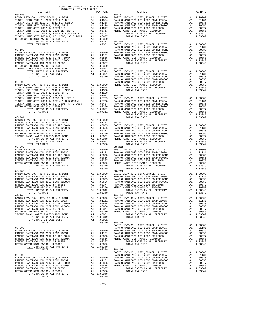|                                                                                                                                                                                                                                 | COUNTY OF ORANGE TAX RATE BOOK<br>2016-2017 TRA TAX RATES |          |            |          |
|---------------------------------------------------------------------------------------------------------------------------------------------------------------------------------------------------------------------------------|-----------------------------------------------------------|----------|------------|----------|
| $2016-2017\quad\text{TRA RATE B}$ DISTRICT 2016-2017 TRA TAX RATES                                                                                                                                                              |                                                           | TAX RATE | DISTRICT   | TAX RATE |
| $08 - 198$                                                                                                                                                                                                                      |                                                           |          | $08 - 207$ |          |
|                                                                                                                                                                                                                                 |                                                           |          |            |          |
|                                                                                                                                                                                                                                 |                                                           |          |            |          |
|                                                                                                                                                                                                                                 |                                                           |          |            |          |
|                                                                                                                                                                                                                                 |                                                           |          |            |          |
|                                                                                                                                                                                                                                 |                                                           |          |            |          |
|                                                                                                                                                                                                                                 |                                                           |          |            |          |
| METRO WITHO LETTAMINDON LIGHER POPERTY AND 1.00350 SPACE LEVY-CO., CITY, SCHOOL, & DIST<br>17976. VICHOL TAX ANTHON COLOREST AND ANNOUNCE COLOREST AND TRANSPORTED AND COLOREST AND COLOREST AND COLOREST AND COLOREST AND COLO |                                                           |          |            |          |
|                                                                                                                                                                                                                                 |                                                           |          |            |          |
|                                                                                                                                                                                                                                 |                                                           |          |            |          |
|                                                                                                                                                                                                                                 |                                                           |          |            |          |
|                                                                                                                                                                                                                                 |                                                           |          |            |          |
|                                                                                                                                                                                                                                 |                                                           |          |            |          |
|                                                                                                                                                                                                                                 |                                                           |          |            |          |
|                                                                                                                                                                                                                                 |                                                           |          |            |          |
|                                                                                                                                                                                                                                 |                                                           |          |            |          |
|                                                                                                                                                                                                                                 |                                                           |          |            |          |
|                                                                                                                                                                                                                                 |                                                           |          |            |          |
|                                                                                                                                                                                                                                 |                                                           |          |            |          |
|                                                                                                                                                                                                                                 |                                                           |          |            |          |
|                                                                                                                                                                                                                                 |                                                           |          |            |          |
|                                                                                                                                                                                                                                 |                                                           |          |            |          |
|                                                                                                                                                                                                                                 |                                                           |          |            |          |
|                                                                                                                                                                                                                                 |                                                           |          |            |          |
|                                                                                                                                                                                                                                 |                                                           |          |            |          |
|                                                                                                                                                                                                                                 |                                                           |          |            |          |
|                                                                                                                                                                                                                                 |                                                           |          |            |          |
|                                                                                                                                                                                                                                 |                                                           |          |            |          |
|                                                                                                                                                                                                                                 |                                                           |          |            |          |
|                                                                                                                                                                                                                                 |                                                           |          |            |          |
|                                                                                                                                                                                                                                 |                                                           |          |            |          |
|                                                                                                                                                                                                                                 |                                                           |          |            |          |
|                                                                                                                                                                                                                                 |                                                           |          |            |          |
|                                                                                                                                                                                                                                 |                                                           |          |            |          |
|                                                                                                                                                                                                                                 |                                                           |          |            |          |
|                                                                                                                                                                                                                                 |                                                           |          |            |          |
|                                                                                                                                                                                                                                 |                                                           |          |            |          |
|                                                                                                                                                                                                                                 |                                                           |          |            |          |
|                                                                                                                                                                                                                                 |                                                           |          |            |          |
|                                                                                                                                                                                                                                 |                                                           |          |            |          |
|                                                                                                                                                                                                                                 |                                                           |          |            |          |
|                                                                                                                                                                                                                                 |                                                           |          |            |          |
|                                                                                                                                                                                                                                 |                                                           |          |            |          |
|                                                                                                                                                                                                                                 |                                                           |          |            |          |
|                                                                                                                                                                                                                                 |                                                           |          | $08 - 213$ |          |
| $08 - 203$                                                                                                                                                                                                                      |                                                           |          |            |          |
|                                                                                                                                                                                                                                 |                                                           |          |            |          |
|                                                                                                                                                                                                                                 |                                                           |          |            |          |
|                                                                                                                                                                                                                                 |                                                           |          |            |          |
|                                                                                                                                                                                                                                 |                                                           |          |            |          |
|                                                                                                                                                                                                                                 |                                                           |          |            |          |
|                                                                                                                                                                                                                                 |                                                           |          |            |          |
|                                                                                                                                                                                                                                 |                                                           |          |            |          |
| 08-204                                                                                                                                                                                                                          |                                                           |          | $08 - 214$ |          |
|                                                                                                                                                                                                                                 |                                                           |          |            |          |
|                                                                                                                                                                                                                                 |                                                           |          |            |          |
|                                                                                                                                                                                                                                 |                                                           |          |            |          |
|                                                                                                                                                                                                                                 |                                                           |          |            |          |
|                                                                                                                                                                                                                                 |                                                           |          |            |          |
|                                                                                                                                                                                                                                 |                                                           |          |            |          |
|                                                                                                                                                                                                                                 |                                                           |          |            |          |
|                                                                                                                                                                                                                                 |                                                           |          |            |          |
|                                                                                                                                                                                                                                 |                                                           |          |            |          |
|                                                                                                                                                                                                                                 |                                                           |          |            |          |
|                                                                                                                                                                                                                                 |                                                           |          |            |          |
|                                                                                                                                                                                                                                 |                                                           |          |            |          |
|                                                                                                                                                                                                                                 |                                                           |          |            |          |
|                                                                                                                                                                                                                                 |                                                           |          |            |          |
|                                                                                                                                                                                                                                 |                                                           |          |            |          |
|                                                                                                                                                                                                                                 |                                                           |          |            |          |
|                                                                                                                                                                                                                                 |                                                           |          |            |          |
|                                                                                                                                                                                                                                 |                                                           |          |            |          |
|                                                                                                                                                                                                                                 |                                                           |          |            |          |
|                                                                                                                                                                                                                                 |                                                           |          |            |          |
|                                                                                                                                                                                                                                 |                                                           |          |            |          |
|                                                                                                                                                                                                                                 |                                                           |          |            |          |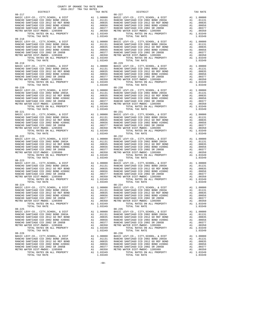| $08 - 219$                                                                                                                                                                                                                                                                                                                                                            |  | $08 - 229$                                                                               |  |
|-----------------------------------------------------------------------------------------------------------------------------------------------------------------------------------------------------------------------------------------------------------------------------------------------------------------------------------------------------------------------|--|------------------------------------------------------------------------------------------|--|
|                                                                                                                                                                                                                                                                                                                                                                       |  |                                                                                          |  |
|                                                                                                                                                                                                                                                                                                                                                                       |  |                                                                                          |  |
|                                                                                                                                                                                                                                                                                                                                                                       |  |                                                                                          |  |
| $\begin{tabular}{cccccc} TOTAL TAX RATE & 1.03349 & TOTAL TAX RATE & 1.03349\\ 08-222 & 08-222 & 08-232 & 08-232 & 08-232 & 08-232 & 08-232 & 08-232 & 08-232 & 08-232 & 08-232 & 08-232 & 08-232 & 08-232 & 08-232 & 08-232 & 08-232 & 08-232 & 08-232 & 08-232 & 08-232 & 08-232 & 08$                                                                              |  |                                                                                          |  |
| $08 - 224$                                                                                                                                                                                                                                                                                                                                                            |  | $08 - 234$                                                                               |  |
| $\begin{tabular}{cccccc} 08-224 & 08-234 & 08-234 & 08-234 & 08-234 & 08-234 & 08-234 & 08-234 & 08-234 & 08-234 & 08-234 & 08-234 & 08-234 & 08-234 & 08-234 & 08-234 & 08-234 & 08-234 & 08-234 & 08-234 & 08-234 & 08-234 & 08-234 & 08-234 & 08-234 & 08-234 & 08$<br>TER DIST-MWDUC- 1205999<br>TOTAL RATES ON ALL PROPERTY Al 1.03349<br>TOTAL TAX RATE 1.03349 |  | TOTAL RATES ON ALL PROPERTY A1 1.03349<br>TOTAL TAX RATE<br>TOTAL TAX RATE<br>$08 - 235$ |  |
| $08 - 225$<br>$\begin{tabular}{cccccc} 08-225 & 04144 & 048 & 08-225 & 0414 & 048 & 08-225 & 0414 & 048 & 041 & 04000 & 048.81 & 04000 & 041 & 048.81 & 04000 \\ \hline \text{RANCIO SANTIAGO COCD 2012 GO RETRO USP BOND 2003A & 041 & 040000 & 041 & 048.81 & 040000 \\ \text{RANCIO SANTIAGO COD 2012 GO RETRO WARTIAO COD 2012 GO RET$                            |  |                                                                                          |  |
|                                                                                                                                                                                                                                                                                                                                                                       |  |                                                                                          |  |

COUNTY OF ORANGE TAX RATE BOOK 2016-2017 TRA TAX RATES

-68-

DISTRICT TAX RATE DISTRICT TAX RATE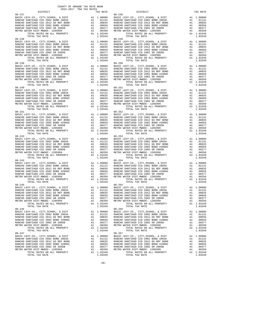| $08 - 237$<br>BASIC LEVY-CO., CITY, SCHOOL, & DIST<br>RANCHO SANTIAGO CCD 2002 BOND 2003A                                       | V-2-10 (BASIC LAND 10000 BASIC LAND 100835 RANCHO A1 000835 RANCHO A1 000377 RANCHO A1 00377 RANCHO M1 00350 METRO W                     |                                                                                                                                                              | 08-248            |
|---------------------------------------------------------------------------------------------------------------------------------|------------------------------------------------------------------------------------------------------------------------------------------|--------------------------------------------------------------------------------------------------------------------------------------------------------------|-------------------|
| RANCHO SANTIAGO CCD 2012 GO REF BOND                                                                                            |                                                                                                                                          |                                                                                                                                                              |                   |
| RANCHO SANTIAGO CCD 2002 BOND #2006C<br>RANCHO SANTIAGO CCD 2002 SR 2005B                                                       |                                                                                                                                          |                                                                                                                                                              |                   |
| METRO WATER DIST-MWDOC- 1205999                                                                                                 |                                                                                                                                          |                                                                                                                                                              |                   |
| TOTAL RATES ON ALL PROPERTY                                                                                                     |                                                                                                                                          | A1 1.03349<br>1.03349                                                                                                                                        |                   |
| TOTAL TAX RATE<br>$08 - 238$                                                                                                    |                                                                                                                                          |                                                                                                                                                              | $08 - 249$        |
| BASIC LEVY-CO., CITY, SCHOOL, & DIST                                                                                            | US-249<br>A1 1.00000 BASIC L<br>A1 .01831 RANCHO<br>A1 .00835 RANCHO<br>A1 .00357 RANCHO<br>A1 .00350 METRO W<br>A1 1.03349              |                                                                                                                                                              |                   |
| RANCHO SANTIAGO CCD 2002 BOND 2003A<br>RANCHO SANTIAGO CCD 2012 GO REF BOND                                                     |                                                                                                                                          |                                                                                                                                                              |                   |
| RANCHO SANTIAGO CCD 2002 BOND #2006C                                                                                            |                                                                                                                                          |                                                                                                                                                              |                   |
| RANCHO SANTIAGO CCD 2002 SR 2005B                                                                                               |                                                                                                                                          |                                                                                                                                                              |                   |
| METRO WATER DIST-MWDOC- 1205999<br>TOTAL RATES ON ALL PROPERTY                                                                  |                                                                                                                                          |                                                                                                                                                              |                   |
| TOTAL TAX RATE                                                                                                                  |                                                                                                                                          | 1.03349                                                                                                                                                      |                   |
| $08 - 239$<br>BASIC LEVY-CO., CITY, SCHOOL, & DIST                                                                              |                                                                                                                                          | 08-250<br>Al 1.00000 BASIC L<br>Al 00131 RANCHO<br>Al 00835 RANCHO<br>Al 00656 RANCHO<br>Al 00377 RANCHO<br>Al 00370 RANCHO<br>Al 00350 METROW<br>Al 1.03349 |                   |
| RANCHO SANTIAGO CCD 2002 BOND 2003A                                                                                             |                                                                                                                                          |                                                                                                                                                              |                   |
| RANCHO SANTIAGO CCD 2012 GO REF BOND                                                                                            |                                                                                                                                          |                                                                                                                                                              |                   |
| RANCHO SANTIAGO CCD 2002 BOND #2006C<br>RANCHO SANTIAGO CCD 2002 SR 2005B<br>WINTEG ULL UNITED TO THE MANUSCO CCD 2002 SR 2005B |                                                                                                                                          |                                                                                                                                                              |                   |
| METRO WATER DIST-MWDOC- 1205999                                                                                                 |                                                                                                                                          |                                                                                                                                                              |                   |
| TOTAL RATES ON ALL PROPERTY<br>TOTAL TAX RATE                                                                                   |                                                                                                                                          | A1 1.03349<br>1.03349                                                                                                                                        |                   |
| $08 - 240$                                                                                                                      |                                                                                                                                          |                                                                                                                                                              | $08 - 251$        |
| BASIC LEVY-CO., CITY, SCHOOL, & DIST<br>RANCHO SANTIAGO CCD 2002 BOND 2003A                                                     |                                                                                                                                          |                                                                                                                                                              |                   |
| RANCHO SANTIAGO CCD 2012 GO REF BOND                                                                                            |                                                                                                                                          |                                                                                                                                                              |                   |
| RANCHO SANTIAGO CCD 2002 BOND #2006C                                                                                            |                                                                                                                                          |                                                                                                                                                              |                   |
| RANCHO SANTIAGO CCD 2002 SR 2005B                                                                                               |                                                                                                                                          |                                                                                                                                                              |                   |
| METRO WATER DIST-MWDOC- 1205999                                                                                                 |                                                                                                                                          |                                                                                                                                                              |                   |
|                                                                                                                                 |                                                                                                                                          |                                                                                                                                                              |                   |
| $08 - 241$<br>BASIC LEVY-CO., CITY, SCHOOL, & DIST                                                                              |                                                                                                                                          |                                                                                                                                                              |                   |
| RANCHO SANTIAGO CCD 2002 BOND 2003A                                                                                             |                                                                                                                                          |                                                                                                                                                              |                   |
| RANCHO SANTIAGO CCD 2012 GO REF BOND                                                                                            |                                                                                                                                          |                                                                                                                                                              |                   |
| RANCHO SANTIAGO CCD 2002 BOND #2006C<br>RANCHO SANTIAGO CCD 2002 SR 2005B<br>RANCHO SANTIAGO CCD 2002 SR 2005B                  |                                                                                                                                          |                                                                                                                                                              |                   |
| METRO WATER DIST-MWDOC- 1205999                                                                                                 |                                                                                                                                          |                                                                                                                                                              |                   |
| TOTAL RATES ON ALL PROPERTY<br>TOTAL TAX RATE                                                                                   |                                                                                                                                          |                                                                                                                                                              |                   |
| $08 - 242$                                                                                                                      |                                                                                                                                          |                                                                                                                                                              |                   |
| BASIC LEVY-CO., CITY, SCHOOL, & DIST<br>RANCHO SANTIAGO CCD 2002 BOND 2003A                                                     |                                                                                                                                          |                                                                                                                                                              |                   |
| RANCHO SANTIAGO CCD 2012 GO REF BOND                                                                                            |                                                                                                                                          |                                                                                                                                                              |                   |
| RANCHO SANTIAGO CCD 2002 BOND #2006C                                                                                            |                                                                                                                                          |                                                                                                                                                              |                   |
| RANCHO SANTIAGO CCD 2002 SR 2005B<br>METRO WATER DIST-MWDOC- 1205999                                                            |                                                                                                                                          |                                                                                                                                                              |                   |
| TOTAL RATES ON ALL PROPERTY                                                                                                     |                                                                                                                                          |                                                                                                                                                              |                   |
| TOTAL TAX RATE<br>$08 - 243$                                                                                                    |                                                                                                                                          |                                                                                                                                                              |                   |
| BASIC LEVY-CO., CITY, SCHOOL, & DIST                                                                                            |                                                                                                                                          |                                                                                                                                                              | $08 - 254$        |
| RANCHO SANTIAGO CCD 2002 BOND 2003A                                                                                             |                                                                                                                                          |                                                                                                                                                              |                   |
| RANCHO SANTIAGO CCD 2012 GO REF BOND<br>RANCHO SANTIAGO CCD 2002 BOND #2006C                                                    |                                                                                                                                          |                                                                                                                                                              |                   |
| RANCHO SANTIAGO CCD 2002 SR 2005B                                                                                               |                                                                                                                                          |                                                                                                                                                              |                   |
| METRO WATER DIST-MWDOC- 1205999                                                                                                 | A1 1.00000 BASIC<br>A1 .01131 RANCHO<br>A1 .00835 RANCHO<br>A1 .00856 RANCHO<br>A1 .00377 RANCHO<br>A1 .00350 METROW<br>A1 .00350 METROW |                                                                                                                                                              |                   |
| TOTAL RATES ON ALL PROPERTY<br>TOTAL TAX RATE                                                                                   |                                                                                                                                          | A1 1.03349<br>1.03349                                                                                                                                        |                   |
| $08 - 245$                                                                                                                      |                                                                                                                                          |                                                                                                                                                              | $08 - 255$        |
| BASIC LEVY-CO., CITY, SCHOOL, & DIST<br>RANCHO SANTIAGO CCD 2002 BOND 2003A                                                     | M1 1.00000 BASIC<br>A1 .01131 RANCHO<br>A1 .00835 RANCHO<br>A1 .00835 RANCHO<br>A1 .00377 RANCHO<br>A1 .00350 METROW<br>A1 .00350 METROW |                                                                                                                                                              |                   |
| RANCHO SANTIAGO CCD 2012 GO REF BOND                                                                                            |                                                                                                                                          |                                                                                                                                                              |                   |
| RANCHO SANTIAGO CCD 2002 BOND #2006C                                                                                            |                                                                                                                                          |                                                                                                                                                              |                   |
| RANCHO SANTIAGO CCD 2002 SR 2005B<br>METRO WATER DIST-MWDOC- 1205999                                                            |                                                                                                                                          |                                                                                                                                                              |                   |
| TOTAL RATES ON ALL PROPERTY                                                                                                     |                                                                                                                                          | A1 1.03349                                                                                                                                                   |                   |
| TOTAL TAX RATE<br>$08 - 246$                                                                                                    |                                                                                                                                          | 1.03349                                                                                                                                                      | $08 - 256$        |
| BASIC LEVY-CO., CITY, SCHOOL, & DIST                                                                                            | A1                                                                                                                                       | 1.00000                                                                                                                                                      | BASIC L           |
| RANCHO SANTIAGO CCD 2002 BOND 2003A                                                                                             |                                                                                                                                          | A1 .01131                                                                                                                                                    | RANCHO            |
| RANCHO SANTIAGO CCD 2012 GO REF BOND<br>RANCHO SANTIAGO CCD 2002 BOND #2006C                                                    | A1<br>A1                                                                                                                                 | .00835<br>.00656                                                                                                                                             | RANCHO<br>RANCHO  |
| RANCHO SANTIAGO CCD 2002 SR 2005B                                                                                               | A1                                                                                                                                       | .00377                                                                                                                                                       | RANCHO            |
| METRO WATER DIST-MWDOC- 1205999                                                                                                 | A1                                                                                                                                       | .00350                                                                                                                                                       | METRO W           |
| TOTAL RATES ON ALL PROPERTY<br>TOTAL TAX RATE                                                                                   |                                                                                                                                          | A1 1.03349<br>1.03349                                                                                                                                        |                   |
| $08 - 247$                                                                                                                      |                                                                                                                                          |                                                                                                                                                              | $08 - 257$        |
| BASIC LEVY-CO., CITY, SCHOOL, & DIST<br>RANCHO SANTIAGO CCD 2002 BOND 2003A                                                     | A1                                                                                                                                       | 1.00000<br>A1 .01131                                                                                                                                         | BASIC L<br>RANCHO |
| RANCHO SANTIAGO CCD 2012 GO REF BOND                                                                                            | A1                                                                                                                                       | .00835                                                                                                                                                       | RANCHO            |
| RANCHO SANTIAGO CCD 2002 BOND #2006C                                                                                            | A1                                                                                                                                       | .00656                                                                                                                                                       | RANCHO            |
| RANCHO SANTIAGO CCD 2002 SR 2005B<br>METRO WATER DIST-MWDOC- 1205999                                                            | A1                                                                                                                                       | .00377<br>A1 .00350 METRO W                                                                                                                                  | RANCHO            |
|                                                                                                                                 |                                                                                                                                          |                                                                                                                                                              |                   |

| COUNTY OF ORANGE TAX RATE BOOK<br>2016-2017 יחס המדי 2016<br>$2016-2017\begin{array}{l} \multicolumn{1}{c}{\text{Tr}}\text{A} & \text{RATE} \end{array}$ DISTRICT $$\tt 2016-2017$\tt TRA}$ |          |                                                                                                                                                                                                                                                                                                                                                                                    |          |
|---------------------------------------------------------------------------------------------------------------------------------------------------------------------------------------------|----------|------------------------------------------------------------------------------------------------------------------------------------------------------------------------------------------------------------------------------------------------------------------------------------------------------------------------------------------------------------------------------------|----------|
| $08 - 237$                                                                                                                                                                                  | TAX RATE | DISTRICT<br>$08 - 248$                                                                                                                                                                                                                                                                                                                                                             | TAX RATE |
|                                                                                                                                                                                             |          |                                                                                                                                                                                                                                                                                                                                                                                    |          |
|                                                                                                                                                                                             |          |                                                                                                                                                                                                                                                                                                                                                                                    |          |
|                                                                                                                                                                                             |          |                                                                                                                                                                                                                                                                                                                                                                                    |          |
|                                                                                                                                                                                             |          |                                                                                                                                                                                                                                                                                                                                                                                    |          |
| $08 - 238$                                                                                                                                                                                  |          | $08 - 249$                                                                                                                                                                                                                                                                                                                                                                         |          |
|                                                                                                                                                                                             |          |                                                                                                                                                                                                                                                                                                                                                                                    |          |
|                                                                                                                                                                                             |          |                                                                                                                                                                                                                                                                                                                                                                                    |          |
|                                                                                                                                                                                             |          |                                                                                                                                                                                                                                                                                                                                                                                    |          |
|                                                                                                                                                                                             |          |                                                                                                                                                                                                                                                                                                                                                                                    |          |
|                                                                                                                                                                                             |          |                                                                                                                                                                                                                                                                                                                                                                                    |          |
|                                                                                                                                                                                             |          |                                                                                                                                                                                                                                                                                                                                                                                    |          |
|                                                                                                                                                                                             |          |                                                                                                                                                                                                                                                                                                                                                                                    |          |
|                                                                                                                                                                                             |          |                                                                                                                                                                                                                                                                                                                                                                                    |          |
|                                                                                                                                                                                             |          |                                                                                                                                                                                                                                                                                                                                                                                    |          |
|                                                                                                                                                                                             |          |                                                                                                                                                                                                                                                                                                                                                                                    |          |
|                                                                                                                                                                                             |          |                                                                                                                                                                                                                                                                                                                                                                                    |          |
|                                                                                                                                                                                             |          |                                                                                                                                                                                                                                                                                                                                                                                    |          |
|                                                                                                                                                                                             |          |                                                                                                                                                                                                                                                                                                                                                                                    |          |
|                                                                                                                                                                                             |          |                                                                                                                                                                                                                                                                                                                                                                                    |          |
|                                                                                                                                                                                             |          |                                                                                                                                                                                                                                                                                                                                                                                    |          |
|                                                                                                                                                                                             |          |                                                                                                                                                                                                                                                                                                                                                                                    |          |
|                                                                                                                                                                                             |          |                                                                                                                                                                                                                                                                                                                                                                                    |          |
|                                                                                                                                                                                             |          |                                                                                                                                                                                                                                                                                                                                                                                    |          |
|                                                                                                                                                                                             |          |                                                                                                                                                                                                                                                                                                                                                                                    |          |
|                                                                                                                                                                                             |          |                                                                                                                                                                                                                                                                                                                                                                                    |          |
|                                                                                                                                                                                             |          |                                                                                                                                                                                                                                                                                                                                                                                    |          |
|                                                                                                                                                                                             |          |                                                                                                                                                                                                                                                                                                                                                                                    |          |
|                                                                                                                                                                                             |          |                                                                                                                                                                                                                                                                                                                                                                                    |          |
|                                                                                                                                                                                             |          |                                                                                                                                                                                                                                                                                                                                                                                    |          |
| $08 - 242$                                                                                                                                                                                  |          | $08 - 253$                                                                                                                                                                                                                                                                                                                                                                         |          |
|                                                                                                                                                                                             |          |                                                                                                                                                                                                                                                                                                                                                                                    |          |
|                                                                                                                                                                                             |          |                                                                                                                                                                                                                                                                                                                                                                                    |          |
|                                                                                                                                                                                             |          |                                                                                                                                                                                                                                                                                                                                                                                    |          |
|                                                                                                                                                                                             |          |                                                                                                                                                                                                                                                                                                                                                                                    |          |
|                                                                                                                                                                                             |          |                                                                                                                                                                                                                                                                                                                                                                                    |          |
|                                                                                                                                                                                             |          |                                                                                                                                                                                                                                                                                                                                                                                    |          |
|                                                                                                                                                                                             |          |                                                                                                                                                                                                                                                                                                                                                                                    |          |
|                                                                                                                                                                                             |          |                                                                                                                                                                                                                                                                                                                                                                                    |          |
|                                                                                                                                                                                             |          |                                                                                                                                                                                                                                                                                                                                                                                    |          |
|                                                                                                                                                                                             |          |                                                                                                                                                                                                                                                                                                                                                                                    |          |
|                                                                                                                                                                                             |          |                                                                                                                                                                                                                                                                                                                                                                                    |          |
|                                                                                                                                                                                             |          |                                                                                                                                                                                                                                                                                                                                                                                    |          |
|                                                                                                                                                                                             |          |                                                                                                                                                                                                                                                                                                                                                                                    |          |
|                                                                                                                                                                                             |          |                                                                                                                                                                                                                                                                                                                                                                                    |          |
|                                                                                                                                                                                             |          |                                                                                                                                                                                                                                                                                                                                                                                    |          |
|                                                                                                                                                                                             |          |                                                                                                                                                                                                                                                                                                                                                                                    |          |
|                                                                                                                                                                                             |          | $\begin{tabular}{l c c c c c c c c} \multicolumn{1}{c}{\textbf{RANCHO SMTHAGO CCD 2002 BOND 42006C} & \multicolumn{1}{c}{\textbf{RANCHO SMTHAGO CCD 2002 BOND 42006C} & \multicolumn{1}{c}{\textbf{RANCHO SMTHAGO CCD 2002 BOND 42006C} & \multicolumn{1}{c}{\textbf{A1}} & .00656 & \multicolumn{1}{c}{\textbf{RANCHO SMTHAGO CCD 2002 SIND 42006C} & \multicolumn{1}{c}{\textbf$ |          |
| $08 - 246$                                                                                                                                                                                  |          | $08 - 256$                                                                                                                                                                                                                                                                                                                                                                         |          |
|                                                                                                                                                                                             |          |                                                                                                                                                                                                                                                                                                                                                                                    |          |
|                                                                                                                                                                                             |          |                                                                                                                                                                                                                                                                                                                                                                                    |          |
|                                                                                                                                                                                             |          |                                                                                                                                                                                                                                                                                                                                                                                    |          |
|                                                                                                                                                                                             |          |                                                                                                                                                                                                                                                                                                                                                                                    |          |
|                                                                                                                                                                                             |          |                                                                                                                                                                                                                                                                                                                                                                                    |          |
|                                                                                                                                                                                             |          |                                                                                                                                                                                                                                                                                                                                                                                    |          |
| $08 - 247$                                                                                                                                                                                  |          | $08 - 257$                                                                                                                                                                                                                                                                                                                                                                         |          |
|                                                                                                                                                                                             |          |                                                                                                                                                                                                                                                                                                                                                                                    |          |
|                                                                                                                                                                                             |          |                                                                                                                                                                                                                                                                                                                                                                                    |          |
|                                                                                                                                                                                             |          |                                                                                                                                                                                                                                                                                                                                                                                    |          |
|                                                                                                                                                                                             |          |                                                                                                                                                                                                                                                                                                                                                                                    |          |
|                                                                                                                                                                                             |          |                                                                                                                                                                                                                                                                                                                                                                                    |          |

-69-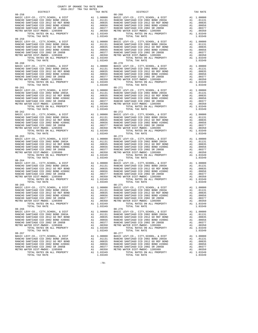| $08 - 258$<br>BASIC LEVY-CO., CITY, SCHOOL, & DIST                                                                | M1 1.00000 BASIC L<br>A1 .01131 RANCHO<br>A1 .00855 RANCHO<br>A1 .00855 RANCHO<br>A1 .00377 RANCHO<br>A1 .00377 RANCHO<br>A1 .00350 METRO W |                                                                                                                                                                    | 08-268           |
|-------------------------------------------------------------------------------------------------------------------|---------------------------------------------------------------------------------------------------------------------------------------------|--------------------------------------------------------------------------------------------------------------------------------------------------------------------|------------------|
| RANCHO SANTIAGO CCD 2002 BOND 2003A<br>RANCHO SANTIAGO CCD 2012 GO REF BOND                                       |                                                                                                                                             |                                                                                                                                                                    |                  |
| RANCHO SANTIAGO CCD 2002 BOND #2006C                                                                              |                                                                                                                                             |                                                                                                                                                                    |                  |
| RANCHO SANTIAGO CCD 2002 SR 2005B                                                                                 |                                                                                                                                             |                                                                                                                                                                    |                  |
| METRO WATER DIST-MWDOC- 1205999                                                                                   |                                                                                                                                             |                                                                                                                                                                    |                  |
| TOTAL RATES ON ALL PROPERTY<br>TOTAL TAX RATE                                                                     |                                                                                                                                             | A1 1.03349<br>1.03349                                                                                                                                              |                  |
| $08 - 259$                                                                                                        |                                                                                                                                             |                                                                                                                                                                    | $08 - 269$       |
| BASIC LEVY-CO., CITY, SCHOOL, & DIST                                                                              | US-209 US-2010<br>A1 .00000 BASIC L<br>A1 .00835 RANCHO<br>A1 .00656 RANCHO<br>A1 .00377 RANCHO<br>A1 .00370 METRO W<br>A1 1.03349          |                                                                                                                                                                    |                  |
| RANCHO SANTIAGO CCD 2002 BOND 2003A<br>RANCHO SANTIAGO CCD 2012 GO REF BOND                                       |                                                                                                                                             |                                                                                                                                                                    |                  |
| RANCHO SANTIAGO CCD 2002 BOND #2006C                                                                              |                                                                                                                                             |                                                                                                                                                                    |                  |
| RANCHO SANTIAGO CCD 2002 SR 2005B                                                                                 |                                                                                                                                             |                                                                                                                                                                    |                  |
| METRO WATER DIST-MWDOC- 1205999                                                                                   |                                                                                                                                             |                                                                                                                                                                    |                  |
| TOTAL RATES ON ALL PROPERTY<br>TOTAL TAX RATE                                                                     |                                                                                                                                             | 1.03349                                                                                                                                                            |                  |
| $08 - 260$                                                                                                        |                                                                                                                                             | 08-270<br>A1 1.00000 BASIC L<br>A1 .01131 RANCHO<br>A1 .00835 RANCHO<br>A1 .00656 RANCHO<br>A1 .00377 RANCHO<br>A1 .00370 RANCHO<br>A1 .00380 METROW<br>A1 1.03349 |                  |
| BASIC LEVY-CO., CITY, SCHOOL, & DIST                                                                              |                                                                                                                                             |                                                                                                                                                                    |                  |
| RANCHO SANTIAGO CCD 2002 BOND 2003A<br>RANCHO SANTIAGO CCD 2012 GO REF BOND                                       |                                                                                                                                             |                                                                                                                                                                    |                  |
|                                                                                                                   |                                                                                                                                             |                                                                                                                                                                    |                  |
| RANCHO SANTIAGO CCD 2002 BOND #2006C<br>RANCHO SANTIAGO CCD 2002 BOND #2006C<br>MENCHO SANTIAGO CCD 2002 SR 2005B |                                                                                                                                             |                                                                                                                                                                    |                  |
| METRO WATER DIST-MWDOC- 1205999                                                                                   |                                                                                                                                             |                                                                                                                                                                    |                  |
| TOTAL RATES ON ALL PROPERTY<br>TOTAL TAX RATE                                                                     |                                                                                                                                             | A1 1.03349<br>1.03349                                                                                                                                              |                  |
| $08 - 261$                                                                                                        |                                                                                                                                             |                                                                                                                                                                    | $08 - 271$       |
| BASIC LEVY-CO., CITY, SCHOOL, & DIST<br>RANCHO SANTIAGO CCD 2002 BOND 2003A                                       |                                                                                                                                             |                                                                                                                                                                    |                  |
|                                                                                                                   |                                                                                                                                             |                                                                                                                                                                    |                  |
| RANCHO SANTIAGO CCD 2012 GO REF BOND<br>RANCHO SANTIAGO CCD 2002 BOND #2006C                                      |                                                                                                                                             |                                                                                                                                                                    |                  |
| RANCHO SANTIAGO CCD 2002 SR 2005B                                                                                 |                                                                                                                                             |                                                                                                                                                                    |                  |
| METRO WATER DIST-MWDOC- 1205999                                                                                   |                                                                                                                                             |                                                                                                                                                                    |                  |
|                                                                                                                   |                                                                                                                                             |                                                                                                                                                                    |                  |
| $08 - 262$                                                                                                        |                                                                                                                                             |                                                                                                                                                                    |                  |
| BASIC LEVY-CO., CITY, SCHOOL, & DIST                                                                              |                                                                                                                                             |                                                                                                                                                                    |                  |
| RANCHO SANTIAGO CCD 2002 BOND 2003A                                                                               |                                                                                                                                             |                                                                                                                                                                    |                  |
| RANCHO SANTIAGO CCD 2012 GO REF BOND                                                                              |                                                                                                                                             |                                                                                                                                                                    |                  |
| RANCHO SANTIAGO CCD 2002 BOND #2006C<br>RANCHO SANTIAGO CCD 2002 SR 2005B<br>RANCHO SANTIAGO CCD 2002 SR 2005B    |                                                                                                                                             |                                                                                                                                                                    |                  |
| METRO WATER DIST-MWDOC- 1205999                                                                                   |                                                                                                                                             |                                                                                                                                                                    |                  |
| TOTAL RATES ON ALL PROPERTY<br>TOTAL TAX RATE                                                                     |                                                                                                                                             |                                                                                                                                                                    |                  |
| $08 - 263$                                                                                                        |                                                                                                                                             |                                                                                                                                                                    |                  |
| BASIC LEVY-CO., CITY, SCHOOL, & DIST                                                                              |                                                                                                                                             |                                                                                                                                                                    |                  |
| RANCHO SANTIAGO CCD 2002 BOND 2003A                                                                               |                                                                                                                                             |                                                                                                                                                                    |                  |
| RANCHO SANTIAGO CCD 2012 GO REF BOND<br>RANCHO SANTIAGO CCD 2002 BOND #2006C                                      |                                                                                                                                             |                                                                                                                                                                    |                  |
| RANCHO SANTIAGO CCD 2002 SR 2005B                                                                                 |                                                                                                                                             |                                                                                                                                                                    |                  |
| METRO WATER DIST-MWDOC- 1205999                                                                                   |                                                                                                                                             |                                                                                                                                                                    |                  |
| TOTAL RATES ON ALL PROPERTY<br>TOTAL TAX RATE                                                                     |                                                                                                                                             |                                                                                                                                                                    |                  |
| $08 - 264$                                                                                                        |                                                                                                                                             |                                                                                                                                                                    | $08 - 274$       |
| BASIC LEVY-CO., CITY, SCHOOL, & DIST                                                                              | A1 1.00000 BASIC<br>A1 .01131 RANCHO<br>A1 .00835 RANCHO<br>A1 .00856 RANCHO<br>A1 .00377 RANCHO<br>A1 .00350 METROW<br>A1 .00350 METROW    |                                                                                                                                                                    |                  |
| RANCHO SANTIAGO CCD 2002 BOND 2003A<br>RANCHO SANTIAGO CCD 2012 GO REF BOND                                       |                                                                                                                                             |                                                                                                                                                                    |                  |
| RANCHO SANTIAGO CCD 2002 BOND #2006C                                                                              |                                                                                                                                             |                                                                                                                                                                    |                  |
| RANCHO SANTIAGO CCD 2002 SR 2005B                                                                                 |                                                                                                                                             |                                                                                                                                                                    |                  |
| METRO WATER DIST-MWDOC- 1205999                                                                                   |                                                                                                                                             |                                                                                                                                                                    |                  |
| TOTAL RATES ON ALL PROPERTY<br>TOTAL TAX RATE                                                                     |                                                                                                                                             | A1 1.03349<br>1.03349                                                                                                                                              |                  |
| $08 - 265$                                                                                                        |                                                                                                                                             |                                                                                                                                                                    | $08 - 275$       |
| BASIC LEVY-CO., CITY, SCHOOL, & DIST                                                                              | M1 1.00000 BASIC<br>A1 .01131 RANCHO<br>A1 .00835 RANCHO<br>A1 .00835 RANCHO<br>A1 .00377 RANCHO<br>A1 .00350 METRO W                       |                                                                                                                                                                    |                  |
| RANCHO SANTIAGO CCD 2002 BOND 2003A                                                                               |                                                                                                                                             |                                                                                                                                                                    |                  |
| RANCHO SANTIAGO CCD 2012 GO REF BOND<br>RANCHO SANTIAGO CCD 2002 BOND #2006C                                      |                                                                                                                                             |                                                                                                                                                                    |                  |
| RANCHO SANTIAGO CCD 2002 SR 2005B                                                                                 |                                                                                                                                             |                                                                                                                                                                    |                  |
| METRO WATER DIST-MWDOC- 1205999                                                                                   |                                                                                                                                             |                                                                                                                                                                    |                  |
| TOTAL RATES ON ALL PROPERTY<br>TOTAL TAX RATE                                                                     |                                                                                                                                             | A1 1.03349<br>1.03349                                                                                                                                              |                  |
| $08 - 266$                                                                                                        |                                                                                                                                             |                                                                                                                                                                    | $08 - 276$       |
| BASIC LEVY-CO., CITY, SCHOOL, & DIST                                                                              | A1                                                                                                                                          | 1.00000                                                                                                                                                            | BASIC L          |
| RANCHO SANTIAGO CCD 2002 BOND 2003A                                                                               |                                                                                                                                             | A1 .01131                                                                                                                                                          | RANCHO<br>RANCHO |
| RANCHO SANTIAGO CCD 2012 GO REF BOND<br>RANCHO SANTIAGO CCD 2002 BOND #2006C                                      | A1<br>A1                                                                                                                                    | .00835<br>.00656                                                                                                                                                   | RANCHO           |
| RANCHO SANTIAGO CCD 2002 SR 2005B                                                                                 | A1                                                                                                                                          | .00377                                                                                                                                                             | RANCHO           |
| METRO WATER DIST-MWDOC- 1205999                                                                                   | A1                                                                                                                                          | .00350                                                                                                                                                             | METRO W          |
| TOTAL RATES ON ALL PROPERTY                                                                                       |                                                                                                                                             | A1 1.03349                                                                                                                                                         |                  |
| TOTAL TAX RATE<br>$08 - 267$                                                                                      |                                                                                                                                             | 1.03349                                                                                                                                                            | $08 - 277$       |
| BASIC LEVY-CO., CITY, SCHOOL, & DIST                                                                              | A1                                                                                                                                          | 1.00000                                                                                                                                                            | BASIC L          |
| RANCHO SANTIAGO CCD 2002 BOND 2003A                                                                               |                                                                                                                                             | A1.01131                                                                                                                                                           | RANCHO           |
| RANCHO SANTIAGO CCD 2012 GO REF BOND<br>RANCHO SANTIAGO CCD 2002 BOND #2006C                                      | A1<br>A1                                                                                                                                    | .00835<br>.00656                                                                                                                                                   | RANCHO<br>RANCHO |
| RANCHO SANTIAGO CCD 2002 SR 2005B                                                                                 | A1                                                                                                                                          | .00377                                                                                                                                                             | RANCHO           |
| METRO WATER DIST-MWDOC- 1205999                                                                                   | A1                                                                                                                                          | .00350                                                                                                                                                             | METRO W          |
|                                                                                                                   |                                                                                                                                             |                                                                                                                                                                    |                  |

 DISTRICT TAX RATE DISTRICT TAX RATE BASIC LEVY-CO., CITY,SCHOOL, & DIST A1 1.00000 BASIC LEVY-CO., CITY,SCHOOL, & DIST A1 1.00000 RANCHO SANTIAGO CCD 2002 BOND 2003A A1 .01131 RANCHO SANTIAGO CCD 2002 BOND 2003A A1 .01131 RANCHO SANTIAGO CCD 2012 GO REF BOND A1 .00835 RANCHO SANTIAGO CCD 2012 GO REF BOND A1 .00835 RANCHO SANTIAGO CCD 2002 BOND #2006C A1 .00656 RANCHO SANTIAGO CCD 2002 BOND #2006C A1 .00656 RANCHO SANTIAGO CCD 2002 SR 2005B A1 .00377 RANCHO SANTIAGO CCD 2002 SR 2005B A1 .00377 METRO WATER DIST-MWDOC- 1205999 A1 .00350 METRO WATER DIST-MWDOC- 1205999 A1 .00350 TOTAL RATES ON ALL PROPERTY A1 1.03349 TOTAL RATES ON ALL PROPERTY A1 1.03349 USING THE TRUE THE TAX RATES ON ALL PROPERTY AND TOTAL TAX RATE 1.03349 TOTAL TAX RATE 1.03349 BASIC LEVY-CO., CITY, SCHOOL, & DIST<br>RANCHO SANTIAGO CCD 2002 200D 2003A RADIO A1 1.00000 BASIC LEVY-CO., CITY, SCHOOL, ADIST ANCHO BANCHO AND 1013<br>RANCHO SANTIAGO CCD 2012 GO REF BOND A1 .00835 RANCHO SANTIAGO CCD 2012 GO RANCHO SANTIAGO CCD 2002 BOND #2006C A1 .00656 RANCHO SANTIAGO CCD 2002 BOND #2006C A1 .00656 RANCHO SANTIAGO CCD 2002 SR 2005B A1 .00377 RANCHO SANTIAGO CCD 2002 SR 2005B A1 .00377 METRO WATER DIST-MWDOC- 1205999 A1 .00350 METRO WATER DIST-MWDOC- 1205999 A1 .00350 TOTAL RATES ON ALL PROPERTY A1 1.03349 TOTAL RATES ON ALL PROPERTY A1 1.03349  $1.03349$  TOTAL TAX RATE 1.03349 BASIC LEVY-CO., CITY, SCHOOL, & DIST<br>RANCHO SANTIAGO CCD 2002 200D 2003A RADIO A1 1.00000 BASIC LEVY-CO., CITY, SCHOOL, ADIST ANCHO BANCHO AND 1013<br>RANCHO SANTIAGO CCD 2012 GO REF BOND A1 .00835 RANCHO SANTIAGO CCD 2012 GO RANCHO SANTIAGO CCD 2002 BOND #2006C A1 .00656 RANCHO SANTIAGO CCD 2002 BOND #2006C A1 .00656 RANCHO SANTIAGO CCD 2002 SR 2005B A1 .00377 RANCHO SANTIAGO CCD 2002 SR 2005B A1 .00377 METRO WATER DIST-MWDOC- 1205999 A1 .00350 METRO WATER DIST-MWDOC- 1205999 A1 .00350<br>TOTAL RATES ON ALL PROPERTY A1 1.03349 TOTAL RATES ON ALL PROPERTY TOTAL TAX RATE<br>1.03349 1.03349 1.03349 TOTAL TAX RATE BASIC LEVY-CO., CITY,SCHOOL, & DIST A1 1.00000 BASIC LEVY-CO., CITY,SCHOOL, & DIST A1 1.00000 01131 RANCHO SANTIAGO CCD 2002 BOND 2003A A1 .01131 RANCHO SANTIAGO CCD 2002 BOND 2003A A1 .01131<br>RANCHO SANTIAGO CCD 2012 GO REF BOND A1 .00835 RANCHO SANTIAGO CCD 2012 GO REF BOND A1 .00835 RANCHO SANTIAGO CCD 2002 BOND #2006C A1 .00656 RANCHO SANTIAGO CCD 2002 BOND #2006C A1 .00656 RANCHO SANTIAGO CCD 2002 SR 2005B A1 .00377 RANCHO SANTIAGO CCD 2002 SR 2005B A1 .00377 METRO WATER DIST-MWDOC- 1205999 A1 .00350 METRO WATER DIST-MWDOC- 1205999 A1 .00350<br>TOTAL RATES ON ALL PROPERTY A1 1.03349 TOTAL RATES ON ALL PROPERTY TOTAL TAX RATE<br>1.03349 1.03349 1.03349 TOTAL TAX RATE 0000 BASIC LEVY-CO., CITY, SCHOOL, & DIST 41 1.00000<br>
90000 BASIC LEVY-CO., CITY, SCHOOL, & DIST 41 1.00000.<br>
900035 RANCHO SANTIAGO CCD 2012 GO REF BOND 41 .00835. 01131 RANCHO SANTIAGO CCD 2002 BOND 2003A A1 .01131 RANCHO SANTIAGO CCD 2002 BOND 2003A A1 .01131<br>RANCHO SANTIAGO CCD 2012 GO REF BOND A1 .00835 RANCHO SANTIAGO CCD 2012 GO REF BOND A1 .00835 RANCHO SANTIAGO CCD 2002 BOND #2006C A1 .00656 RANCHO SANTIAGO CCD 2002 BOND #2006C A1 .00656 RANCHO SANTIAGO CCD 2002 SR 2005B A1 .00377 RANCHO SANTIAGO CCD 2002 SR 2005B A1 .00377 00350 METRO WATER DIST-MWDOC- 1205999 A1 .00350<br>203349 TOTAL RATES ON ALL PROPERTY A1 1.03349 TOTAL RATES ON ALL PROPERTY A1 1.03349 TOTAL RATES ON ALL PROPERTY A1 1.03349 TOTAL TAX RATE 1.03349 TOTAL TAX RATE 1.03349 BASIC LEVY-CO., CITY,SCHOOL, & DIST A1 1.00000 BASIC LEVY-CO., CITY,SCHOOL, & DIST A1 1.00000 01131 RANCHO SANTIAGO CCD 2002 BOND 2003A A1 .01131 RANCHO SANTIAGO CCD 2002 BOND 2003A A1 .01131<br>RANCHO SANTIAGO CCD 2012 GO REF BOND A1 .00835 RANCHO SANTIAGO CCD 2012 GO REF BOND A1 .00835 RANCHO SANTIAGO CCD 2002 BOND #2006C A1 .00656 RANCHO SANTIAGO CCD 2002 BOND #2006C A1 .00656 RANCHO SANTIAGO CCD 2002 SR 2005B A1 .00377 RANCHO SANTIAGO CCD 2002 SR 2005B A1 .00377 METRO WATER DIST-MWDOC- 1205999 A1 .00350 METRO WATER DIST-MWDOC- 1205999 A1 .00350 TOTAL RATES ON ALL PROPERTY A1 1.03349 TOTAL RATES ON ALL PROPERTY A1 1.03349 TOTAL TAX RATE 1.03319 TOTAL TAX RATE 1.03349 TOTAL TAX RATE BASIC LEVY-CO., CITY,SCHOOL, & DIST A1 1.00000 BASIC LEVY-CO., CITY,SCHOOL, & DIST A1 1.00000  $\begin{tabular}{l|c|c|c|c|c|c} \multicolumn{4}{c}{\textbf{RANCHO}} \multicolumn{4}{c}{\textbf{RANCHO}} \multicolumn{4}{c}{\textbf{RANCHO}} \multicolumn{4}{c}{\textbf{RANCHO}} \multicolumn{4}{c}{\textbf{RANCHO}} \multicolumn{4}{c}{\textbf{RANCHO}} \multicolumn{4}{c}{\textbf{RANCHO}} \multicolumn{4}{c}{\textbf{RANCHO}} \multicolumn{4}{c}{\textbf{RANCHO}} \multicolumn{4}{c}{\textbf{RANCHO}} \multicolumn{4}{c}{\textbf{RANCHO}} \multicolumn{4}{c}{\textbf{$ TOTAL TAX RATE 1.1.1 PHYSICS 2008-275<br>1.03349 TOTAL TAX RATE 1.03349 BASIC LEVY-CO., CITY, SCHOOL, & DIST<br>RANCHO SANTIAGO CCD 2002 BOND 2003A RANCHO SANTIAGO COD 2002 BOND 2003 BOND 2003 BOND 2003A RANCHO SANTIAGO CC<br>RANCHO SANTIAGO CCD 2012 GO REF BOND A1 .00835 RANCHO SANTIAGO CCD 2012 GO RANCHO SANTIAGO CCD 2002 SR 2005B A1 .00377 RANCHO SANTIAGO CCD 2002 SR 2005B A1 .00377 METRO WATER DIST-MWDOC- 1205999 A1 .00350 METRO WATER DIST-MWDOC- 1205999 A1 .00350 TOTAL RATES ON ALL PROPERTY A1 1.03349 TOTAL RATES ON ALL PROPERTY A1 1.03349 TOTAL TAX RATE 1.1.1 1.1.2 1.1.2 1.1.2 1.03349<br>1.03349 1.03349<br>08-276 BASIC LEVY-CO., CITY, SCHOOL, & DIST<br>RANCHO SANTIAGO CCD 2002 200D 2003A RADIO A1 1.00000 BASIC LEVY-CO., CITY, SCHOOL, ADIST ANCHO SANTIAGO CCD 20<br>RANCHO SANTIAGO CCD 2012 GO REF BOND A1 .00835 RANCHO SANTIAGO CCD 2012 GO RANCHO SANTIAGO CCD 2002 BOND #2006C A1 .00656 RANCHO SANTIAGO CCD 2002 BOND #2006C A1 .00656 RANCHO SANTIAGO CCD 2002 SR 2005B A1 .00377 RANCHO SANTIAGO CCD 2002 SR 2005B A1 .00377 METRO WATER DIST-MWDOC- 1205999 A1 .00350 METRO WATER DIST-MWDOC- 1205999 A1 .00350 TOTAL RATES ON ALL PROPERTY A1 1.03349 TOTAL RATES ON ALL PROPERTY A1 1.03349 TOTAL TAX RATE 1.03-277 BASIC LEVY-CO., CITY, SCHOOL, & DIST<br>RANCHO SANTIAGO CCD 2002 DO 2012 AND 101011 RANCHO SANTIAGO CCD 2002 BOND 2003A<br>RANCHO SANTIAGO CCD 2012 GO REF BOND A 1 1.00835 RANCHO SANTIAGO CCD 2012 GO REF BOND A 1 01331 .0131<br>RAN RANCHO SANTIAGO CCD 2002 BOND #2006C A1 .00656 RANCHO SANTIAGO CCD 2002 BOND #2006C A1 .00656 RANCHO SANTIAGO CCD 2002 SR 2005B A1 .00377 RANCHO SANTIAGO CCD 2002 SR 2005B A1 .00377 METRO WATER DIST-MWDOC- 1205999 A1 .00350 METRO WATER DIST-MWDOC- 1205999 A1 .00350 TOTAL RATES ON ALL PROPERTY A1 1.03349 TOTAL RATES ON ALL PROPERTY A1 1.03349 TOTAL TAX RATE 1.03349 TOTAL TAX RATE 1.03349

-70-

COUNTY OF ORANGE TAX RATE BOOK 2016-2017 TRA TAX RATES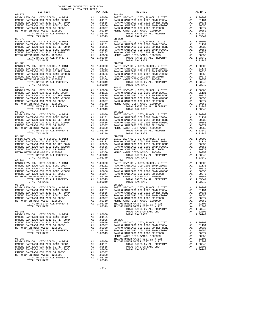| $08 - 278$                                                                                                          |                                                                                                                                                                                |                                                         | $08 - 288$ |
|---------------------------------------------------------------------------------------------------------------------|--------------------------------------------------------------------------------------------------------------------------------------------------------------------------------|---------------------------------------------------------|------------|
| BASIC LEVY-CO., CITY, SCHOOL, & DIST<br>RANCHO SANTIAGO CCD 2002 BOND 2003A                                         | 08-288<br>A1 1.00000 BASIC L<br>A1 .01131 RANCHO<br>A1 .00835 RANCHO<br>A1 .00855 RANCHO<br>A1 .00377 RANCHO<br>A1 .00370 RANCHO<br>A1 .00350 METRO W<br>A1 .00350 METRO W     |                                                         |            |
| RANCHO SANTIAGO CCD 2012 GO REF BOND                                                                                |                                                                                                                                                                                |                                                         |            |
| RANCHO SANTIAGO CCD 2002 BOND #2006C                                                                                |                                                                                                                                                                                |                                                         |            |
| RANCHO SANTIAGO CCD 2002 SR 2005B                                                                                   |                                                                                                                                                                                |                                                         |            |
| METRO WATER DIST-MWDOC- 1205999<br>TOTAL RATES ON ALL PROPERTY                                                      |                                                                                                                                                                                | A1 1.03349                                              |            |
| TOTAL TAX RATE                                                                                                      |                                                                                                                                                                                | 1.03349                                                 |            |
| $08 - 279$                                                                                                          |                                                                                                                                                                                |                                                         | 08-289     |
| BASIC LEVY-CO., CITY, SCHOOL, & DIST<br>RANCHO SANTIAGO CCD 2002 BOND 2003A                                         | A1 1.00000 BASIC L<br>A1 .01131 RANCHO<br>A1 .00855 RANCHO<br>A1 .00656 RANCHO<br>A1 .00357 RANCHO<br>A1 .00350 METROW                                                         |                                                         |            |
| RANCHO SANTIAGO CCD 2012 GO REF BOND                                                                                |                                                                                                                                                                                |                                                         |            |
| RANCHO SANTIAGO CCD 2002 BOND #2006C                                                                                |                                                                                                                                                                                |                                                         |            |
| RANCHO SANTIAGO CCD 2002 SR 2005B                                                                                   |                                                                                                                                                                                |                                                         |            |
| METRO WATER DIST-MWDOC- 1205999                                                                                     |                                                                                                                                                                                |                                                         |            |
| TOTAL RATES ON ALL PROPERTY                                                                                         |                                                                                                                                                                                | A1 1.03349<br>1.03349                                   |            |
| TOTAL TAX RATE<br>$08 - 280$                                                                                        |                                                                                                                                                                                |                                                         | $08 - 290$ |
| BASIC LEVY-CO., CITY, SCHOOL, & DIST                                                                                | M1 1.00000 BASIC<br>M1 .01131 RANCHO<br>M1 .00835 RANCHO<br>M1 .00656 RANCHO<br>M1 .00377 RANCHO<br>M1 .00377 RANCHO<br>M1 .00350 METRO W                                      |                                                         |            |
| RANCHO SANTIAGO CCD 2002 BOND 2003A                                                                                 |                                                                                                                                                                                |                                                         |            |
| RANCHO SANTIAGO CCD 2002 BOND 2003A<br>RANCHO SANTIAGO CCD 2012 GO REF BOND<br>RANCHO SANTIAGO CCD 2002 BOND #2006C |                                                                                                                                                                                |                                                         |            |
| RANCHO SANTIAGO CCD 2002 SR 2005B                                                                                   |                                                                                                                                                                                |                                                         |            |
| METRO WATER DIST-MWDOC- 1205999                                                                                     |                                                                                                                                                                                |                                                         |            |
| TOTAL RATES ON ALL PROPERTY                                                                                         |                                                                                                                                                                                | A1 1.03349                                              |            |
| TOTAL TAX RATE<br>$08 - 281$                                                                                        | 08-291<br>A1 1.00000 BASIC L<br>A1 .01131 RANCHO<br>A1 .00835 RANCHO<br>A1 .00656 RANCHO<br>A1 .00377 RANCHO<br>A1 .00377 RANCHO<br>A1 .00359 METRO W<br>A1 1.03349<br>1.03349 | 1.03349                                                 |            |
| BASIC LEVY-CO., CITY, SCHOOL, & DIST                                                                                |                                                                                                                                                                                |                                                         |            |
| RANCHO SANTIAGO CCD 2002 BOND 2003A                                                                                 |                                                                                                                                                                                |                                                         |            |
| RANCHO SANTIAGO CCD 2012 GO REF BOND                                                                                |                                                                                                                                                                                |                                                         |            |
| RANCHO SANTIAGO CCD 2002 BOND #2006C<br>RANCHO SANTIAGO CCD 2002 SR 2005B                                           |                                                                                                                                                                                |                                                         |            |
| METRO WATER DIST-MWDOC- 1205999                                                                                     |                                                                                                                                                                                |                                                         |            |
| TOTAL RATES ON ALL PROPERTY                                                                                         |                                                                                                                                                                                |                                                         |            |
| TOTAL TAX RATE                                                                                                      |                                                                                                                                                                                |                                                         |            |
| $08 - 282$                                                                                                          |                                                                                                                                                                                |                                                         | $08 - 292$ |
| BASIC LEVY-CO., CITY, SCHOOL, & DIST<br>RANCHO SANTIAGO CCD 2002 BOND 2003A                                         |                                                                                                                                                                                |                                                         |            |
| RANCHO SANTIAGO CCD 2012 GO REF BOND                                                                                |                                                                                                                                                                                |                                                         |            |
| RANCHO SANTIAGO CCD 2002 BOND #2006C<br>RANCHO SANTIAGO CCD 2002 SP 2005P                                           | 08-292<br>A1 1.00000 BASIC L<br>A1 .01131 RANCHO<br>A1 .00835 RANCHO<br>A1 .00356 RANCHO<br>A1 .00377 RANCHO<br>A1 .00350 METRO W<br>A1 1.03349                                |                                                         |            |
| RANCHO SANTIAGO CCD 2002 SR 2005B                                                                                   |                                                                                                                                                                                |                                                         |            |
| METRO WATER DIST-MWDOC- 1205999<br>TOTAL RATES ON ALL PROPERTY                                                      |                                                                                                                                                                                |                                                         |            |
| TOTAL TAX RATE                                                                                                      |                                                                                                                                                                                | 1.03349                                                 |            |
| $08 - 283$                                                                                                          | 08-293<br>A1 1.00000 BASIC L<br>A1 .0131 RANCHO<br>A1 .00635 RANCHO<br>A1 .00656 RANCHO<br>A1 .00556 RANCHO<br>A1 .00377 RANCHO<br>A1 .00377 RANCHO<br>A1 .00350 METRO W       |                                                         |            |
| BASIC LEVY-CO., CITY, SCHOOL, & DIST<br>RANCHO SANTIAGO CCD 2002 BOND 2003A                                         |                                                                                                                                                                                |                                                         |            |
| RANCHO SANTIAGO CCD 2012 GO REF BOND                                                                                |                                                                                                                                                                                |                                                         |            |
| RANCHO SANTIAGO CCD 2002 BOND #2006C<br>RANCHO SANTIAGO CCD 2002 BOND #2006C                                        |                                                                                                                                                                                |                                                         |            |
| RANCHO SANTIAGO CCD 2002 SR 2005B                                                                                   |                                                                                                                                                                                |                                                         |            |
| METRO WATER DIST-MWDOC- 1205999                                                                                     |                                                                                                                                                                                |                                                         |            |
| TOTAL RATES ON ALL PROPERTY<br>TOTAL TAX RATE                                                                       |                                                                                                                                                                                | 1.03349                                                 |            |
| $08 - 284$                                                                                                          |                                                                                                                                                                                |                                                         | $08 - 294$ |
| BASIC LEVY-CO., CITY, SCHOOL, & DIST                                                                                |                                                                                                                                                                                |                                                         |            |
| RANCHO SANTIAGO CCD 2002 BOND 2003A                                                                                 |                                                                                                                                                                                |                                                         |            |
| RANCHO SANTIAGO CCD 2012 GO REF BOND<br>RANCHO SANTIAGO CCD 2002 BOND #2006C                                        |                                                                                                                                                                                |                                                         |            |
| RANCHO SANTIAGO CCD 2002 SR 2005B                                                                                   |                                                                                                                                                                                |                                                         |            |
| METRO WATER DIST-MWDOC- 1205999                                                                                     |                                                                                                                                                                                |                                                         |            |
| TOTAL RATES ON ALL PROPERTY                                                                                         |                                                                                                                                                                                |                                                         |            |
| TOTAL TAX RATE                                                                                                      |                                                                                                                                                                                | 1.03349                                                 |            |
| $08 - 285$<br>BASIC LEVY-CO., CITY, SCHOOL, & DIST                                                                  |                                                                                                                                                                                |                                                         | $08 - 295$ |
| RANCHO SANTIAGO CCD 2002 BOND 2003A                                                                                 |                                                                                                                                                                                |                                                         |            |
| RANCHO SANTIAGO CCD 2012 GO REF BOND                                                                                | A1 1.00000 BASIC L<br>A1 .01131 RANCHO<br>A1 .00835 RANCHO<br>A1 .00856 RANCHO<br>A1 .00377 RANCHO<br>A1 .00370 METRO M<br>A1 .00330 METRO M                                   |                                                         |            |
| RANCHO SANTIAGO CCD 2002 BOND #2006C                                                                                |                                                                                                                                                                                |                                                         |            |
| RANCHO SANTIAGO CCD 2002 SR 2005B                                                                                   |                                                                                                                                                                                |                                                         |            |
| METRO WATER DIST-MWDOC- 1205999<br>TOTAL RATES ON ALL PROPERTY                                                      |                                                                                                                                                                                | A1 1.03349 IRVINE                                       |            |
| TOTAL TAX RATE                                                                                                      |                                                                                                                                                                                | 1.03349                                                 | IRVINE     |
|                                                                                                                     |                                                                                                                                                                                |                                                         |            |
| $08 - 286$<br>BASIC LEVY-CO., CITY, SCHOOL, & DIST                                                                  |                                                                                                                                                                                |                                                         |            |
| RANCHO SANTIAGO CCD 2002 BOND 2003A                                                                                 |                                                                                                                                                                                | A1 1.00000<br>A1 .01131                                 |            |
| RANCHO SANTIAGO CCD 2012 GO REF BOND                                                                                | A1                                                                                                                                                                             | .00835                                                  | $08 - 296$ |
| RANCHO SANTIAGO CCD 2002 BOND #2006C                                                                                | A1                                                                                                                                                                             | .00656                                                  | BASIC L    |
| RANCHO SANTIAGO CCD 2002 SR 2005B                                                                                   |                                                                                                                                                                                | A1 .00377                                               | RANCHO     |
| METRO WATER DIST-MWDOC- 1205999<br>TOTAL RATES ON ALL PROPERTY                                                      |                                                                                                                                                                                |                                                         |            |
| TOTAL TAX RATE                                                                                                      |                                                                                                                                                                                | A1 .00350 RANCHO<br>A1 1.03349 RANCHO<br>1.03349 RANCHO |            |
|                                                                                                                     |                                                                                                                                                                                |                                                         | METRO W    |
| $08 - 287$                                                                                                          |                                                                                                                                                                                |                                                         | IRVINE     |
| BASIC LEVY-CO., CITY, SCHOOL, & DIST                                                                                |                                                                                                                                                                                | A1 1.00000                                              | IRVINE     |
| RANCHO SANTIAGO CCD 2002 BOND 2003A<br>RANCHO SANTIAGO CCD 2012 GO REF BOND                                         | A1                                                                                                                                                                             | A1 .01131<br>.00835                                     |            |
| RANCHO SANTIAGO CCD 2002 BOND #2006C                                                                                | A1                                                                                                                                                                             | .00656                                                  |            |
| RANCHO SANTIAGO CCD 2002 SR 2005B                                                                                   | A1                                                                                                                                                                             | .00377                                                  |            |
| METRO WATER DIST-MWDOC- 1205999                                                                                     | A1                                                                                                                                                                             | .00350                                                  |            |
| TOTAL RATES ON ALL PROPERTY<br>TOTAL TAX RATE                                                                       |                                                                                                                                                                                | A1 1.03349<br>1.03349                                   |            |
|                                                                                                                     |                                                                                                                                                                                |                                                         |            |

COUNTY OF ORANGE TAX RATE BOOK 2016-2017 TRA TAX RATES

|            | TAX RATE |            |  |
|------------|----------|------------|--|
|            |          |            |  |
|            |          |            |  |
|            |          |            |  |
|            |          |            |  |
|            |          |            |  |
|            |          |            |  |
|            |          |            |  |
|            |          |            |  |
|            |          |            |  |
|            |          |            |  |
|            |          |            |  |
|            |          |            |  |
|            |          |            |  |
|            |          |            |  |
|            |          |            |  |
|            |          |            |  |
|            |          |            |  |
|            |          |            |  |
| $08 - 280$ |          | $08 - 290$ |  |
|            |          |            |  |
|            |          |            |  |
|            |          |            |  |
|            |          |            |  |
|            |          |            |  |
|            |          |            |  |
|            |          |            |  |
|            |          |            |  |
|            |          |            |  |
|            |          |            |  |
|            |          |            |  |
|            |          |            |  |
|            |          |            |  |
|            |          |            |  |
|            |          |            |  |
|            |          |            |  |
|            |          |            |  |
|            |          |            |  |
|            |          |            |  |
|            |          |            |  |
|            |          |            |  |
|            |          |            |  |
|            |          |            |  |
|            |          |            |  |
|            |          |            |  |
|            |          |            |  |
|            |          |            |  |
|            |          |            |  |
|            |          |            |  |
|            |          |            |  |
|            |          |            |  |
|            |          |            |  |
|            |          |            |  |
|            |          |            |  |
|            |          |            |  |
|            |          |            |  |
|            |          |            |  |
|            |          |            |  |
|            |          |            |  |
|            |          |            |  |
|            |          |            |  |
|            |          |            |  |
|            |          |            |  |
|            |          |            |  |
|            |          |            |  |
|            |          | $08 - 295$ |  |
|            |          |            |  |
|            |          |            |  |
|            |          |            |  |
|            |          |            |  |
|            |          |            |  |
|            |          |            |  |
|            |          |            |  |
|            |          |            |  |
|            |          |            |  |
|            |          |            |  |
|            |          |            |  |
|            |          |            |  |
|            |          |            |  |
|            |          |            |  |
|            |          |            |  |
|            |          |            |  |
|            |          |            |  |
|            |          |            |  |
|            |          |            |  |
|            |          |            |  |
|            |          |            |  |
|            |          |            |  |
|            |          |            |  |
|            |          |            |  |
|            |          |            |  |
|            |          |            |  |

-71-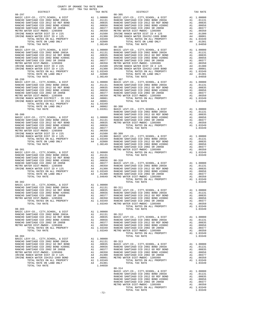| COUNTY OF ORANGE TAX RATE BOOK<br>2016-2017 TRA TAX RATES                   |          |                                                                                                    |                   |
|-----------------------------------------------------------------------------|----------|----------------------------------------------------------------------------------------------------|-------------------|
| DISTRICT                                                                    |          | TAX RATE                                                                                           |                   |
|                                                                             |          |                                                                                                    |                   |
|                                                                             |          |                                                                                                    |                   |
|                                                                             |          |                                                                                                    |                   |
|                                                                             |          |                                                                                                    |                   |
|                                                                             |          |                                                                                                    |                   |
|                                                                             |          |                                                                                                    |                   |
|                                                                             |          |                                                                                                    |                   |
|                                                                             |          |                                                                                                    |                   |
|                                                                             |          |                                                                                                    |                   |
|                                                                             |          |                                                                                                    |                   |
|                                                                             |          |                                                                                                    |                   |
|                                                                             |          |                                                                                                    |                   |
|                                                                             |          |                                                                                                    |                   |
|                                                                             |          |                                                                                                    |                   |
|                                                                             |          |                                                                                                    |                   |
| $08 - 299$                                                                  |          |                                                                                                    | $08 - 307$        |
|                                                                             |          |                                                                                                    |                   |
|                                                                             |          |                                                                                                    |                   |
|                                                                             |          |                                                                                                    |                   |
|                                                                             |          |                                                                                                    |                   |
|                                                                             |          |                                                                                                    |                   |
|                                                                             |          |                                                                                                    |                   |
|                                                                             |          |                                                                                                    |                   |
|                                                                             |          |                                                                                                    | RANCHO            |
| $08 - 300$                                                                  |          |                                                                                                    | RANCHO            |
|                                                                             |          |                                                                                                    |                   |
|                                                                             |          |                                                                                                    |                   |
|                                                                             |          |                                                                                                    |                   |
|                                                                             |          |                                                                                                    |                   |
|                                                                             |          |                                                                                                    |                   |
|                                                                             |          |                                                                                                    |                   |
|                                                                             |          |                                                                                                    |                   |
| $08 - 301$                                                                  |          |                                                                                                    | RANCHO<br>METRO W |
|                                                                             |          |                                                                                                    |                   |
|                                                                             |          |                                                                                                    |                   |
|                                                                             |          |                                                                                                    |                   |
|                                                                             |          |                                                                                                    |                   |
|                                                                             |          |                                                                                                    |                   |
|                                                                             |          |                                                                                                    |                   |
|                                                                             |          |                                                                                                    |                   |
| $08 - 302$                                                                  |          |                                                                                                    |                   |
|                                                                             |          |                                                                                                    |                   |
|                                                                             |          |                                                                                                    |                   |
|                                                                             |          |                                                                                                    |                   |
| RANCHO SANTIAGO CCD 2002 SR 2005B<br>METRO WATER DIST-MWDOC- 1205999        | A1<br>A1 | $.00377$ RANCHO<br>.00350                                                                          | RANCHO            |
| TOTAL RATES ON ALL PROPERTY                                                 |          | A1 1.03349                                                                                         | ${\tt RANCHO}$    |
| TOTAL TAX RATE                                                              |          | 1.03349                                                                                            | METRO W           |
| $08 - 303$                                                                  |          |                                                                                                    |                   |
| BASIC LEVY-CO., CITY, SCHOOL, & DIST<br>RANCHO SANTIAGO CCD 2002 BOND 2003A |          | A1 1.00000<br>A1 .01131                                                                            | $08 - 312$        |
| RANCHO SANTIAGO CCD 2012 GO REF BOND                                        | A1       | .00835                                                                                             | BASIC L           |
| RANCHO SANTIAGO CCD 2002 BOND #2006C                                        |          |                                                                                                    |                   |
| RANCHO SANTIAGO CCD 2002 SR 2005B<br>METRO WATER DIST-MWDOC- 1205999        |          |                                                                                                    |                   |
| TOTAL RATES ON ALL PROPERTY                                                 |          | A1 .00656 RANCHO<br>A1 .00656 RANCHO<br>A1 .00377 RANCHO<br>A1 .00350 RANCHO<br>A1 1.03349 METRO W |                   |
| TOTAL TAX RATE                                                              |          |                                                                                                    |                   |
| $08 - 304$                                                                  |          |                                                                                                    |                   |
| BASIC LEVY-CO., CITY, SCHOOL, & DIST<br>RANCHO SANTIAGO CCD 2002 BOND 2003A | A1       | 1.00000<br>A1 .01131 08-313                                                                        |                   |
| RANCHO SANTIAGO CCD 2012 GO REF BOND                                        | A1       | .00835                                                                                             | BASIC L           |
| RANCHO SANTIAGO CCD 2002 BOND #2006C<br>RANCHO SANTIAGO CCD 2002 SR 2005B   | A1<br>A1 | .00656<br>.00377                                                                                   | RANCHO<br>RANCHO  |
| METRO WATER DIST-MWDOC- 1205999                                             | A1       | .00350                                                                                             | RANCHO            |
| IRVINE RANCH WATER DIST ID # 125<br>IRVINE RANCH WATER ID#252-1989 BOND     | A4<br>A4 | .01300 RANCHO<br>.00001 METRO W                                                                    |                   |
| TOTAL RATES ON ALL PROPERTY                                                 |          | $A1 \quad 1.03349$                                                                                 |                   |
| TOTAL RATE ON LAND ONLY<br>TOTAL TAX RATE                                   | A4       | .01301<br>1.04650                                                                                  |                   |
|                                                                             |          |                                                                                                    | 22.5              |

| DISTRICT                                                                                                                                                                                                                                                                             | TAX RATE | DISTRICT   | TAX RATE |
|--------------------------------------------------------------------------------------------------------------------------------------------------------------------------------------------------------------------------------------------------------------------------------------|----------|------------|----------|
| $08 - 297$                                                                                                                                                                                                                                                                           |          | $08 - 305$ |          |
| $08 - 299$                                                                                                                                                                                                                                                                           |          | $08 - 307$ |          |
| $\begin{bmatrix} 10001 & 00010 \\ 00010 & 00101 \\ 00010 & 00101 \\ 00010 & 00101 \\ 00010 & 00101 \\ 00010 & 00101 \\ 00010 & 00101 \\ 00010 & 00101 \\ 00010 & 00101 \\ 00010 & 00101 \\ 00010 & 00101 \\ 00010 & 00101 \\ 00010 & 00101 \\ 00010 & 00101 \\ 00010 & 00101 \\ 000$ |          |            |          |
|                                                                                                                                                                                                                                                                                      |          |            |          |
|                                                                                                                                                                                                                                                                                      |          |            |          |
|                                                                                                                                                                                                                                                                                      |          |            |          |
|                                                                                                                                                                                                                                                                                      |          |            |          |
|                                                                                                                                                                                                                                                                                      |          |            |          |
|                                                                                                                                                                                                                                                                                      |          |            |          |
|                                                                                                                                                                                                                                                                                      | $-72-$   | $08 - 314$ |          |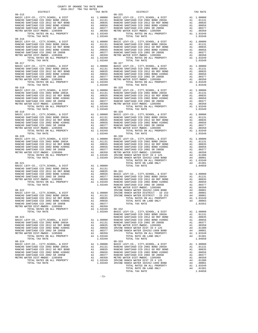| $08 - 315$<br>BASIC LEVY-CO., CITY, SCHOOL, & DIST<br>RANCHO SANTIAGO CCD 2002 BOND 2003A<br>RANCHO SANTIAGO CCD 2012 GO REF BOND<br>RANCHO SANTIAGO CCD 2002 BOND #2006C<br>RANCHO SANTIAGO CCD 2002 BOND #2006C<br>RANCHO SANTIAGO CCD 2002 SR 2005B<br>METRO WATER DIST-MWDOC- 1205999<br>TOTAL RATES ON ALL PROPERTY                                                                                                                                                                                                                                                                             | 08-325<br>A1 1.00000 BASIC L<br>A1 .01131 RANCHO<br>A1 .00835 RANCHO<br>A1 .00556 RANCHO<br>A1 .00377 RANCHO<br>A1 .00370 METRO W<br>A1 1.03349 METRO W                                                                                                       | A1 1.03349                                                                                                                                                             | $08 - 325$                                                                                   |
|------------------------------------------------------------------------------------------------------------------------------------------------------------------------------------------------------------------------------------------------------------------------------------------------------------------------------------------------------------------------------------------------------------------------------------------------------------------------------------------------------------------------------------------------------------------------------------------------------|---------------------------------------------------------------------------------------------------------------------------------------------------------------------------------------------------------------------------------------------------------------|------------------------------------------------------------------------------------------------------------------------------------------------------------------------|----------------------------------------------------------------------------------------------|
| TOTAL TAX RATE<br>$08 - 316$<br>BASIC LEVY-CO., CITY, SCHOOL, & DIST<br>RANCHO SANTIAGO CCD 2002 BOND 2003A<br>RANCHO SANTIAGO CCD 2012 GO REF BOND<br>RANCHO SANTIAGO CCD 2002 BOND #2006C<br>RANCHO SANTIAGO CCD 2002 SR 2005B<br><i>LIST-MWDOC- 1205999</i><br>TOTAL RATES ON ALL PROPERTY<br>TOTAL TAX RATE<br>METRO WATER DIST-MWDOC- 1205999<br>$08 - 317$                                                                                                                                                                                                                                     |                                                                                                                                                                                                                                                               | 1.03349<br>08-326<br>A1 1.00000 BASIC L<br>A1 .01131 RANCHO<br>A1 .00835 RANCHO<br>A1 .00656 RANCHO<br>A1 .00350 METRO W<br>A1 .00350 METRO W<br>A1 1.03349<br>1.03349 | $08 - 326$<br>$08 - 327$                                                                     |
| BASIC LEVY-CO., CITY, SCHOOL, & DIST<br>RANCHO SANTIAGO CCD 2002 BOND 2003A<br>RANCHO SANTIAGO CCD 2012 GO REF BOND<br>RANCHO SANTIAGO CCD 2002 BOND #2006C<br>RANCHO SANTIAGO CCD 2002 SR 2005B<br>METRO WATER DIST-MWDOC- 1205999<br>TOTAL RATES ON ALL PROPERTY<br>TOTAL TAX RATE                                                                                                                                                                                                                                                                                                                 | N1 1.00000 DASIC L<br>A1 .01131 RANCHO<br>A1 .00835 RANCHO<br>A1 .00855 RANCHO<br>A1 .00357 RANCHO<br>A1 .00350 METRO W<br>A1 1.03349                                                                                                                         | 1.03349                                                                                                                                                                |                                                                                              |
| $08 - 318$<br>BASIC LEVY-CO., CITY, SCHOOL, & DIST<br>RANCHO SANTIAGO CCD 2002 BOND 2003A<br>RANCHO SANTIAGO CCD 2012 GO REF BOND RANCHO SANTIAGO CCD 2002 BOND #2006C<br>RANCHO SANTIAGO CCD 2002 SR 2005B<br>RANCHO SANTIAGO CCD 2002 SR 2005B<br>METRO WATER DIST-MWDOC- 1205999<br>TOTAL RATES ON ALL PROPERTY<br>TOTAL TAX RATE                                                                                                                                                                                                                                                                 | 08-328<br>Al 1.00000 BASIC L<br>Al 00131 RANCHO<br>Al 00835 RANCHO<br>Al 00656 RANCHO<br>Al 00377 RANCHO<br>Al 00377 RANCHO<br>Al 00350 METRO W<br>Al 1.03349                                                                                                 | A1 1.03349<br>1.03349                                                                                                                                                  |                                                                                              |
| $08 - 319$                                                                                                                                                                                                                                                                                                                                                                                                                                                                                                                                                                                           |                                                                                                                                                                                                                                                               |                                                                                                                                                                        | $08 - 329$                                                                                   |
| $08 - 320$<br>BASIC LEVY-CO., CITY, SCHOOL, & DIST<br>RANCHO SANTIAGO CCD 2002 BOND 2003A<br>RANCHO SANTIAGO CCD 2012 GO REF BOND<br>RANCHO SANTIAGO CCD 2002 BOND #2006C<br>RANCHO SANTIAGO CCD 2002 SR_2005B<br>METRO WATER DIST-MWDOC- 1205999                                                                                                                                                                                                                                                                                                                                                    |                                                                                                                                                                                                                                                               |                                                                                                                                                                        |                                                                                              |
| $08 - 321$<br>BASIC LEVY-CO., CITY, SCHOOL, & DIST<br>RANCHO SANTIAGO CCD 2002 BOND 2003A<br>RANCHO SANTIAGO CCD 2012 GO REF BOND<br>RANCHO SANTIAGO CCD 2002 BOND #2006C<br>RANCHO SANTIAGO CCD 2002 SR 2005B<br>METRO NATIAGO CCD 2002 SR 2005B<br>METRO WATER DIST-MWDOC- 1205999<br>TOTAL RATES ON ALL PROPERTY<br>TOTAL TAX RATE<br>$08 - 322$<br>BASIC LEVY-CO., CITY, SCHOOL, & DIST<br>RANCHO SANTIAGO CCD 2002 BOND 2003A<br>RANCHO SANTIAGO CCD 2012 GO REF BOND<br>RANCHO SANTIAGO CCD 2002 BOND #2006C A1 .00656<br>RANCHO SANTIAGO CCD 2002 SR 2005B<br>METRO WATER DIST-MWDOC- 1205999 | A1 1.00000<br>A1 1.00000<br>A1 .01131<br>A1 .00835 08-331<br>A1 .00656 BASIC L<br>A1 .00377 RANCHO<br>A1 .00370 RANCHO<br>A1 1.03349 RANCHO<br>1.03349 RANCHO<br>1.03349 RANCHO<br>A1 1.00000 IRVINE<br>A1 .01131 IRVINE<br>A1 .00835<br>A1 00635<br>A1<br>A1 | .00377<br>.00350                                                                                                                                                       | METRO W<br>IRVINE                                                                            |
| TOTAL RATES ON ALL PROPERTY<br>TOTAL TAX RATE<br>$08 - 323$<br>BASIC LEVY-CO., CITY, SCHOOL, & DIST<br>RANCHO SANTIAGO CCD 2002 BOND 2003A<br>RANCHO SANTIAGO CCD 2012 GO REF BOND<br>RANCHO SANTIAGO CCD 2002 BOND #2006C<br>RANCHO SANTIAGO CCD 2002 SR 2005B<br>METRO WATER DIST-MWDOC- 1205999<br>TOTAL RATES ON ALL PROPERTY                                                                                                                                                                                                                                                                    | A1<br>A1<br>A1<br>A1                                                                                                                                                                                                                                          | A1 1.03349<br>1.03349<br>A1 1.00000<br>A1 .01131<br>.00835<br>.00656<br>.00377<br>.00350<br>A1 1.03349                                                                 | $08 - 332$<br>BASIC L<br>RANCHO<br>RANCHO<br>RANCHO<br>RANCHO<br>METRO W<br>IRVINE<br>IRVINE |
| TOTAL TAX RATE<br>$08 - 324$<br>BASIC LEVY-CO., CITY, SCHOOL, & DIST<br>RANCHO SANTIAGO CCD 2002 BOND 2003A<br>RANCHO SANTIAGO CCD 2012 GO REF BOND<br>RANCHO SANTIAGO CCD 2002 BOND #2006C<br>RANCHO SANTIAGO CCD 2002 SR 2005B<br>METRO WATER DIST-MWDOC- 1205999<br>TOTAL RATES ON ALL PROPERTY                                                                                                                                                                                                                                                                                                   | A1<br>A1<br>A1                                                                                                                                                                                                                                                | 1.03349<br>A1 1.00000<br>A1 .01131<br>.00835<br>.00656<br>A1 .00377<br>A1 .00350 METROW<br>A1 1.03349 IRVINE                                                           | $08 - 333$<br>BASIC L<br>RANCHO<br>RANCHO<br>RANCHO<br>RANCHO<br>METRO W                     |

| $2016-2017\quad\text{TRA TAX RATES}\label{eq:2016-2017}$ DISTRICT | TAX RATE | DISTRICT                                                                                                                                                                                                                                                                                                                         | TAX RATE |
|-------------------------------------------------------------------|----------|----------------------------------------------------------------------------------------------------------------------------------------------------------------------------------------------------------------------------------------------------------------------------------------------------------------------------------|----------|
| $08 - 315$                                                        |          | $08 - 325$                                                                                                                                                                                                                                                                                                                       |          |
|                                                                   |          |                                                                                                                                                                                                                                                                                                                                  |          |
|                                                                   |          |                                                                                                                                                                                                                                                                                                                                  |          |
|                                                                   |          |                                                                                                                                                                                                                                                                                                                                  |          |
|                                                                   |          |                                                                                                                                                                                                                                                                                                                                  |          |
|                                                                   |          |                                                                                                                                                                                                                                                                                                                                  |          |
| $08 - 316$                                                        |          | $08 - 326$                                                                                                                                                                                                                                                                                                                       |          |
|                                                                   |          |                                                                                                                                                                                                                                                                                                                                  |          |
|                                                                   |          |                                                                                                                                                                                                                                                                                                                                  |          |
|                                                                   |          |                                                                                                                                                                                                                                                                                                                                  |          |
|                                                                   |          |                                                                                                                                                                                                                                                                                                                                  |          |
|                                                                   |          |                                                                                                                                                                                                                                                                                                                                  |          |
|                                                                   |          |                                                                                                                                                                                                                                                                                                                                  |          |
|                                                                   |          |                                                                                                                                                                                                                                                                                                                                  |          |
|                                                                   |          |                                                                                                                                                                                                                                                                                                                                  |          |
|                                                                   |          |                                                                                                                                                                                                                                                                                                                                  |          |
|                                                                   |          |                                                                                                                                                                                                                                                                                                                                  |          |
|                                                                   |          |                                                                                                                                                                                                                                                                                                                                  |          |
|                                                                   |          |                                                                                                                                                                                                                                                                                                                                  |          |
|                                                                   |          |                                                                                                                                                                                                                                                                                                                                  |          |
|                                                                   |          |                                                                                                                                                                                                                                                                                                                                  |          |
|                                                                   |          |                                                                                                                                                                                                                                                                                                                                  |          |
|                                                                   |          |                                                                                                                                                                                                                                                                                                                                  |          |
|                                                                   |          |                                                                                                                                                                                                                                                                                                                                  |          |
|                                                                   |          |                                                                                                                                                                                                                                                                                                                                  |          |
|                                                                   |          |                                                                                                                                                                                                                                                                                                                                  |          |
|                                                                   |          |                                                                                                                                                                                                                                                                                                                                  |          |
|                                                                   |          |                                                                                                                                                                                                                                                                                                                                  |          |
|                                                                   |          |                                                                                                                                                                                                                                                                                                                                  |          |
|                                                                   |          |                                                                                                                                                                                                                                                                                                                                  |          |
|                                                                   |          |                                                                                                                                                                                                                                                                                                                                  |          |
| $08 - 320$                                                        |          | $08 - 330$                                                                                                                                                                                                                                                                                                                       |          |
|                                                                   |          |                                                                                                                                                                                                                                                                                                                                  |          |
|                                                                   |          |                                                                                                                                                                                                                                                                                                                                  |          |
|                                                                   |          |                                                                                                                                                                                                                                                                                                                                  |          |
|                                                                   |          |                                                                                                                                                                                                                                                                                                                                  |          |
|                                                                   |          |                                                                                                                                                                                                                                                                                                                                  |          |
|                                                                   |          | $\begin{tabular}{cccc} {\bf 08-320} & {\bf 077AL TAX RATE} & 1.03349 & {\bf 077AL TAX RATE} & 1.03349 & {\bf 08-320} & {\bf 08-320} & {\bf 08-320} & {\bf 08-320} & {\bf 08-320} & {\bf 08-320} & {\bf 08-320} & {\bf 08-320} & {\bf 08-320} & {\bf 08-320} & {\bf 08-320} & {\bf 08-320} & {\bf 08-320} & {\bf 08-320} & {\bf $ |          |
|                                                                   |          |                                                                                                                                                                                                                                                                                                                                  |          |
|                                                                   |          |                                                                                                                                                                                                                                                                                                                                  |          |
|                                                                   |          |                                                                                                                                                                                                                                                                                                                                  |          |
|                                                                   |          |                                                                                                                                                                                                                                                                                                                                  |          |
|                                                                   |          |                                                                                                                                                                                                                                                                                                                                  |          |
|                                                                   |          |                                                                                                                                                                                                                                                                                                                                  |          |
|                                                                   |          |                                                                                                                                                                                                                                                                                                                                  |          |
|                                                                   |          |                                                                                                                                                                                                                                                                                                                                  |          |
|                                                                   |          |                                                                                                                                                                                                                                                                                                                                  |          |
|                                                                   |          |                                                                                                                                                                                                                                                                                                                                  |          |
|                                                                   |          |                                                                                                                                                                                                                                                                                                                                  |          |
|                                                                   |          |                                                                                                                                                                                                                                                                                                                                  |          |
|                                                                   |          |                                                                                                                                                                                                                                                                                                                                  |          |
|                                                                   |          |                                                                                                                                                                                                                                                                                                                                  |          |
|                                                                   |          |                                                                                                                                                                                                                                                                                                                                  |          |
|                                                                   |          |                                                                                                                                                                                                                                                                                                                                  |          |
|                                                                   |          |                                                                                                                                                                                                                                                                                                                                  |          |
|                                                                   |          |                                                                                                                                                                                                                                                                                                                                  |          |
|                                                                   |          |                                                                                                                                                                                                                                                                                                                                  |          |
|                                                                   |          |                                                                                                                                                                                                                                                                                                                                  |          |
|                                                                   |          |                                                                                                                                                                                                                                                                                                                                  |          |
|                                                                   |          |                                                                                                                                                                                                                                                                                                                                  |          |
|                                                                   |          |                                                                                                                                                                                                                                                                                                                                  |          |
|                                                                   |          |                                                                                                                                                                                                                                                                                                                                  |          |
|                                                                   |          |                                                                                                                                                                                                                                                                                                                                  |          |
|                                                                   |          |                                                                                                                                                                                                                                                                                                                                  |          |
|                                                                   |          |                                                                                                                                                                                                                                                                                                                                  |          |
|                                                                   |          |                                                                                                                                                                                                                                                                                                                                  |          |
|                                                                   |          |                                                                                                                                                                                                                                                                                                                                  |          |
|                                                                   |          |                                                                                                                                                                                                                                                                                                                                  |          |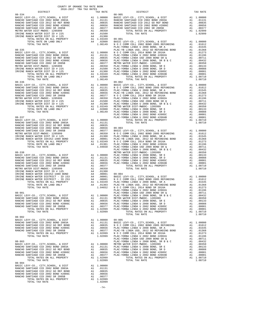| DISTRICT   | 2016-2017 TRA TAX RATES<br>TAX RATE | DISTRICT                                                                                                                                                                                                                                                                                                                                                                                                                                                       | TAX RATE |
|------------|-------------------------------------|----------------------------------------------------------------------------------------------------------------------------------------------------------------------------------------------------------------------------------------------------------------------------------------------------------------------------------------------------------------------------------------------------------------------------------------------------------------|----------|
|            |                                     |                                                                                                                                                                                                                                                                                                                                                                                                                                                                |          |
|            |                                     |                                                                                                                                                                                                                                                                                                                                                                                                                                                                |          |
|            |                                     |                                                                                                                                                                                                                                                                                                                                                                                                                                                                |          |
|            |                                     |                                                                                                                                                                                                                                                                                                                                                                                                                                                                |          |
|            |                                     |                                                                                                                                                                                                                                                                                                                                                                                                                                                                |          |
|            |                                     |                                                                                                                                                                                                                                                                                                                                                                                                                                                                |          |
|            |                                     |                                                                                                                                                                                                                                                                                                                                                                                                                                                                |          |
|            |                                     |                                                                                                                                                                                                                                                                                                                                                                                                                                                                |          |
|            |                                     |                                                                                                                                                                                                                                                                                                                                                                                                                                                                |          |
|            |                                     |                                                                                                                                                                                                                                                                                                                                                                                                                                                                |          |
|            |                                     |                                                                                                                                                                                                                                                                                                                                                                                                                                                                |          |
|            |                                     |                                                                                                                                                                                                                                                                                                                                                                                                                                                                |          |
|            |                                     |                                                                                                                                                                                                                                                                                                                                                                                                                                                                |          |
|            |                                     |                                                                                                                                                                                                                                                                                                                                                                                                                                                                |          |
|            |                                     |                                                                                                                                                                                                                                                                                                                                                                                                                                                                |          |
|            |                                     |                                                                                                                                                                                                                                                                                                                                                                                                                                                                |          |
|            |                                     |                                                                                                                                                                                                                                                                                                                                                                                                                                                                |          |
|            |                                     |                                                                                                                                                                                                                                                                                                                                                                                                                                                                |          |
|            |                                     |                                                                                                                                                                                                                                                                                                                                                                                                                                                                |          |
|            |                                     |                                                                                                                                                                                                                                                                                                                                                                                                                                                                |          |
|            |                                     |                                                                                                                                                                                                                                                                                                                                                                                                                                                                |          |
|            |                                     |                                                                                                                                                                                                                                                                                                                                                                                                                                                                |          |
|            |                                     |                                                                                                                                                                                                                                                                                                                                                                                                                                                                |          |
|            |                                     |                                                                                                                                                                                                                                                                                                                                                                                                                                                                |          |
|            |                                     |                                                                                                                                                                                                                                                                                                                                                                                                                                                                |          |
|            |                                     |                                                                                                                                                                                                                                                                                                                                                                                                                                                                |          |
|            |                                     |                                                                                                                                                                                                                                                                                                                                                                                                                                                                |          |
|            |                                     |                                                                                                                                                                                                                                                                                                                                                                                                                                                                |          |
|            |                                     |                                                                                                                                                                                                                                                                                                                                                                                                                                                                |          |
|            |                                     |                                                                                                                                                                                                                                                                                                                                                                                                                                                                |          |
|            |                                     |                                                                                                                                                                                                                                                                                                                                                                                                                                                                |          |
|            |                                     |                                                                                                                                                                                                                                                                                                                                                                                                                                                                |          |
|            |                                     |                                                                                                                                                                                                                                                                                                                                                                                                                                                                |          |
|            |                                     |                                                                                                                                                                                                                                                                                                                                                                                                                                                                |          |
|            |                                     |                                                                                                                                                                                                                                                                                                                                                                                                                                                                |          |
|            |                                     |                                                                                                                                                                                                                                                                                                                                                                                                                                                                |          |
|            |                                     |                                                                                                                                                                                                                                                                                                                                                                                                                                                                |          |
|            |                                     |                                                                                                                                                                                                                                                                                                                                                                                                                                                                |          |
|            |                                     |                                                                                                                                                                                                                                                                                                                                                                                                                                                                |          |
|            |                                     |                                                                                                                                                                                                                                                                                                                                                                                                                                                                |          |
|            |                                     |                                                                                                                                                                                                                                                                                                                                                                                                                                                                |          |
|            |                                     |                                                                                                                                                                                                                                                                                                                                                                                                                                                                |          |
|            |                                     |                                                                                                                                                                                                                                                                                                                                                                                                                                                                |          |
|            |                                     |                                                                                                                                                                                                                                                                                                                                                                                                                                                                |          |
|            |                                     |                                                                                                                                                                                                                                                                                                                                                                                                                                                                |          |
|            |                                     |                                                                                                                                                                                                                                                                                                                                                                                                                                                                |          |
|            |                                     |                                                                                                                                                                                                                                                                                                                                                                                                                                                                |          |
|            |                                     |                                                                                                                                                                                                                                                                                                                                                                                                                                                                |          |
|            |                                     |                                                                                                                                                                                                                                                                                                                                                                                                                                                                |          |
|            |                                     |                                                                                                                                                                                                                                                                                                                                                                                                                                                                |          |
|            |                                     |                                                                                                                                                                                                                                                                                                                                                                                                                                                                |          |
|            |                                     |                                                                                                                                                                                                                                                                                                                                                                                                                                                                |          |
|            |                                     |                                                                                                                                                                                                                                                                                                                                                                                                                                                                |          |
|            |                                     |                                                                                                                                                                                                                                                                                                                                                                                                                                                                |          |
|            |                                     |                                                                                                                                                                                                                                                                                                                                                                                                                                                                |          |
|            |                                     |                                                                                                                                                                                                                                                                                                                                                                                                                                                                |          |
|            |                                     |                                                                                                                                                                                                                                                                                                                                                                                                                                                                |          |
|            |                                     | $\begin{tabular}{l c c c c c} \multicolumn{4}{c}{\textbf{RAC}} & \multicolumn{4}{c}{\textbf{BAC}} & \multicolumn{4}{c}{\textbf{RAC}} & \multicolumn{4}{c}{\textbf{RAC}} & \multicolumn{4}{c}{\textbf{RAC}} & \multicolumn{4}{c}{\textbf{RAC}} & \multicolumn{4}{c}{\textbf{RAC}} & \multicolumn{4}{c}{\textbf{RAC}} & \multicolumn{4}{c}{\textbf{RAC}} & \multicolumn{4}{c}{\textbf{RAC}} & \multicolumn{4}{c}{\textbf{RAC}} & \multicolumn{4}{c}{\textbf{RAC$ |          |
|            |                                     |                                                                                                                                                                                                                                                                                                                                                                                                                                                                |          |
|            |                                     |                                                                                                                                                                                                                                                                                                                                                                                                                                                                |          |
| $08 - 902$ |                                     |                                                                                                                                                                                                                                                                                                                                                                                                                                                                |          |
|            |                                     |                                                                                                                                                                                                                                                                                                                                                                                                                                                                |          |
|            |                                     |                                                                                                                                                                                                                                                                                                                                                                                                                                                                |          |
|            |                                     |                                                                                                                                                                                                                                                                                                                                                                                                                                                                |          |
|            |                                     |                                                                                                                                                                                                                                                                                                                                                                                                                                                                |          |
|            |                                     |                                                                                                                                                                                                                                                                                                                                                                                                                                                                |          |
|            |                                     |                                                                                                                                                                                                                                                                                                                                                                                                                                                                |          |
|            |                                     |                                                                                                                                                                                                                                                                                                                                                                                                                                                                |          |
|            |                                     |                                                                                                                                                                                                                                                                                                                                                                                                                                                                |          |
|            |                                     |                                                                                                                                                                                                                                                                                                                                                                                                                                                                |          |
|            |                                     |                                                                                                                                                                                                                                                                                                                                                                                                                                                                |          |
|            |                                     |                                                                                                                                                                                                                                                                                                                                                                                                                                                                |          |
|            |                                     |                                                                                                                                                                                                                                                                                                                                                                                                                                                                |          |
|            |                                     |                                                                                                                                                                                                                                                                                                                                                                                                                                                                |          |
| $08 - 904$ |                                     |                                                                                                                                                                                                                                                                                                                                                                                                                                                                |          |
|            |                                     |                                                                                                                                                                                                                                                                                                                                                                                                                                                                |          |
|            |                                     |                                                                                                                                                                                                                                                                                                                                                                                                                                                                |          |
|            |                                     |                                                                                                                                                                                                                                                                                                                                                                                                                                                                |          |
|            |                                     |                                                                                                                                                                                                                                                                                                                                                                                                                                                                |          |
|            |                                     |                                                                                                                                                                                                                                                                                                                                                                                                                                                                |          |
|            |                                     |                                                                                                                                                                                                                                                                                                                                                                                                                                                                |          |

COUNTY OF ORANGE TAX RATE BOOK

- 
- 
- -74-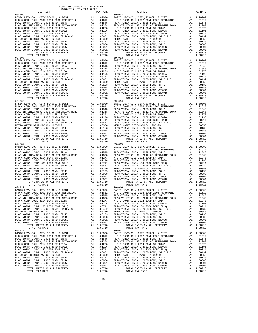COUNTY OF ORANGE TAX RATE BOOK 2016-2017 TRA TAX RATES DISTRICT TAX RATE DISTRICT TAX RATE 09-006 09-012 BASIC LEVY-CO., CITY,SCHOOL, & DIST A1 1.00000 BASIC LEVY-CO., CITY,SCHOOL, & DIST A1 1.00000 N O C COMM COLL 2002 BOND 2005 REFUNDING A1 .01612 N O C COMM COLL 2002 BOND 2005 REFUNDING A1 .01612 PLAC-YORBA LINDA U 2008 BOND, SR A A1 .01545 PLAC-YORBA LINDA U 2008 BOND, SR A A1 .01545 PLAC-YB LINDA USD, 2012 GO REFUNDING BOND A1 .01368 PLAC-YB LINDA USD, 2012 GO REFUNDING BOND A1 .01368 N O C COMM COLL 2014 BOND SR 2016A A1 .01273 N O C COMM COLL 2014 BOND SR 2016A A1 .01273 PLAC-YORBA LINDA U 2002 BOND #2002A A1 .01196 PLAC-YORBA LINDA U 2002 BOND #2002A A1 .01196 PLAC-YORBA LINDA USD 2008 BOND SR Q A1 .00711 PLAC-YORBA LINDA USD 2008 BOND SR Q A1 .00711 PLAC-YORBA LINDA U 2008 BOND, SR B & C A1 .00432 PLAC-YORBA LINDA U 2008 BOND, SR B & C A1 .00432 METRO WATER DIST-MWDOC- 1205999 A1 .00350 METRO WATER DIST-MWDOC- 1205999 A1 .00350 PLAC-YORBA LINDA U 2008 BOND, SR E A1 .00133 PLAC-YORBA LINDA U 2008 BOND, SR E A1 .00133 PLAC-YORBA LINDA U 2008 BOND, SR D A1 .00088 PLAC-YORBA LINDA U 2008 BOND, SR D A1 .00088 PLAC-YORBA LINDA U 2002 BOND #2005C A1 .00001 PLAC-YORBA LINDA U 2002 BOND #2005C A1 .00001 PLAC-YORBA LINDA U 2002 BOND #2004B A1 .00001 PLAC-YORBA LINDA U 2002 BOND #2004B A1 .00001 TOTAL RATES ON ALL PROPERTY A1 1.08710 TOTAL RATES ON ALL PROPERTY A1 1.08710 TOTAL TAX RATE 1.08710 TOTAL TAX RATE 1.08710 09-007 09-013 BASIC LEVY-CO., CITY,SCHOOL, & DIST A1 1.00000 BASIC LEVY-CO., CITY,SCHOOL, & DIST A1 1.00000 N O C COMM COLL 2002 BOND 2005 REFUNDING A1 .01612 N O C COMM COLL 2002 BOND 2005 REFUNDING A1 .01612 PLAC-YORBA LINDA U 2008 BOND, SR A A1 .01545 PLAC-YORBA LINDA U 2008 BOND, SR A A1 .01545 PLAC-YB LINDA USD, 2012 GO REFUNDING BOND A1 .01368 PLAC-YB LINDA USD, 2012 GO REFUNDING BOND A1 .01368 N O C COMM COLL 2014 BOND SR 2016A A1 .01273 N O C COMM COLL 2014 BOND SR 2016A A1 .01273 PLAC-YORBA LINDA U 2002 BOND #2002A A1 .01196 PLAC-YORBA LINDA U 2002 BOND #2002A A1 .01196 PLAC-YORBA LINDA USD 2008 BOND SR Q A1 .00711 PLAC-YORBA LINDA USD 2008 BOND SR Q A1 .00711 9 PLAC -YORBA LINDA U 2008 BOND, SR B & C<br>
METRO WATER DIST -WINDOC - 120599 PLAC -YORBA LINDA U 2008 BOND, SR B & C<br>
METRO WATER DIST -WINDOC - 120599 PLAC -YORBA LINDA U 2008 BOND, SR B A 1<br>
PLAC -YORBA LINDA U 2008 BOND 09-008 09-014 BASIC LEVY-CO., CITY,SCHOOL, & DIST A1 1.00000 BASIC LEVY-CO., CITY,SCHOOL, & DIST A1 1.00000 N O C COMM COLL 2002 BOND 2005 REFUNDING A1 .01612 N O C COMM COLL 2002 BOND 2005 REFUNDING A1 .01612 PLAC-YORBA LINDA U 2008 BOND, SR A A1 .01545 PLAC-YORBA LINDA U 2008 BOND, SR A A1 .01545 PLAC-YB LINDA USD, 2012 GO REFUNDING BOND A1 .01368 PLAC-YB LINDA USD, 2012 GO REFUNDING BOND A1 .01368 N O C COMM COLL 2014 BOND SR 2016A A1 .01273 N O C COMM COLL 2014 BOND SR 2016A A1 .01273 PLAC-YORBA LINDA U 2002 BOND #2002A A1 .01196 PLAC-YORBA LINDA U 2002 BOND #2002A A1 .01196 PLAC-YORBA LINDA USD 2008 BOND SR Q A1 .00711 PLAC-YORBA LINDA USD 2008 BOND SR Q A1 .00711 PLAC-YORBA LINDA U 2008 BOND, SR B & C A1 .00432 PLAC-YORBA LINDA U 2008 BOND, SR B & C A1 .00432 METRO WATER DIST-MWDOC- 1205999 A1 .00350 METRO WATER DIST-MWDOC- 1205999 A1 .00350 PLAC-YORBA LINDA U 2008 BOND, SR E A1 .00133 PLAC-YORBA LINDA U 2008 BOND, SR E A1 .00133 PLAC-YORBA LINDA U 2008 BOND, SR D A1 .00088 PLAC-YORBA LINDA U 2008 BOND, SR D A1 .00088 PLAC-YORBA LINDA U 2002 BOND #2005C A1 .00001 PLAC-YORBA LINDA U 2002 BOND #2005C A1 .00001 PLAC-YORBA LINDA U 2002 BOND #2004B A1 .00001 PLAC-YORBA LINDA U 2002 BOND #2004B A1 .00001 TOTAL RATES ON ALL PROPERTY A1 1.08710 TOTAL RATES ON ALL PROPERTY A1 1.08710 TOTAL TAX RATE 1.08710 TOTAL TAX RATE 1.08710 09-009 09-015 BASIC LEVY-CO., CITY,SCHOOL, & DIST A1 1.00000 BASIC LEVY-CO., CITY,SCHOOL, & DIST A1 1.00000 N O C COMM COLL 2002 BOND 2005 REFUNDING A1 .01612 N O C COMM COLL 2002 BOND 2005 REFUNDING A1 .01612 PLAC-YORBA LINDA U 2008 BOND, SR A A1 .01545 PLAC-YORBA LINDA U 2008 BOND, SR A A1 .01545 PLAC-YB LINDA USD, 2012 GO REFUNDING BOND A1 .01368 PLAC-YB LINDA USD, 2012 GO REFUNDING BOND A1 .01368 N O C COMM COLL 2014 BOND SR 2016A A1 .01273 N O C COMM COLL 2014 BOND SR 2016A A1 .01273 PLAC-YORBA LINDA U 2002 BOND #2002A A1 .01196 PLAC-YORBA LINDA U 2002 BOND #2002A A1 .01196 PLAC-YORBA LINDA USD 2008 BOND SR Q A1 .00711 PLAC-YORBA LINDA USD 2008 BOND SR Q A1 .00711 PLAC-YORBA LINDA U 2008 BOND, SR B & C A1 .00432 PLAC-YORBA LINDA U 2008 BOND, SR B & C A1 .00432 METRO WATER DIST-MWDOC- 1205999 A1 .00350 METRO WATER DIST-MWDOC- 1205999 A1 .00350 PLAC-YORBA LINDA U 2008 BOND, SR E A1 .00133 PLAC-YORBA LINDA U 2008 BOND, SR E A1 .00133 PLAC-YORBA LINDA U 2008 BOND, SR D A1 .00088 PLAC-YORBA LINDA U 2008 BOND, SR D A1 .00088 PLAC-YORBA LINDA U 2002 BOND #2005C A1 .00001 PLAC-YORBA LINDA U 2002 BOND #2005C A1 .00001 PLAC-YORBA LINDA U 2002 BOND #2004B A1 .00001 PLAC-YORBA LINDA U 2002 BOND #2004B A1 .00001 TOTAL RATES ON ALL PROPERTY A1 1.08710 TOTAL RATES ON ALL PROPERTY A1 1.08710 TOTAL TAX RATE 1.08710 TOTAL TAX RATE 1.08710 09-010 09-016 BASIC LEVY-CO., CITY,SCHOOL, & DIST A1 1.00000 BASIC LEVY-CO., CITY,SCHOOL, & DIST A1 1.00000 N O C COMM COLL 2002 BOND 2005 REFUNDING A1 .01612 N O C COMM COLL 2002 BOND 2005 REFUNDING A1 .01612 PLAC-YORBA LINDA U 2008 BOND, SR A A1 .01545 PLAC-YORBA LINDA U 2008 BOND, SR A A1 .01545 PLAC-YB LINDA USD, 2012 GO REFUNDING BOND A1 .01368 PLAC-YB LINDA USD, 2012 GO REFUNDING BOND A1 .01368 N O C COMM COLL 2014 BOND SR 2016A A1 .01273 N O C COMM COLL 2014 BOND SR 2016A A1 .01273 PLAC-YORBA LINDA U 2002 BOND #2002A A1 .01196 PLAC-YORBA LINDA U 2002 BOND #2002A A1 .01196 PLAC-YORBA LINDA USD 2008 BOND SR Q A1 .00711 PLAC-YORBA LINDA USD 2008 BOND SR Q A1 .00711 PLAC-YORBA LINDA U 2008 BOND, SR B & C A1 .00432 PLAC-YORBA LINDA U 2008 BOND, SR B & C A1 .00432 METRO WATER DIST-MWDOC- 1205999 A1 .00350 METRO WATER DIST-MWDOC- 1205999 A1 .00350 PLAC-YORBA LINDA U 2008 BOND, SR E A1 .00133 PLAC-YORBA LINDA U 2008 BOND, SR E A1 .00133 PLAC-YORBA LINDA U 2008 BOND, SR D A1 .00088 PLAC-YORBA LINDA U 2008 BOND, SR D A1 .00088 PLAC-YORBA LINDA U 2002 BOND #2005C A1 .00001 PLAC-YORBA LINDA U 2002 BOND #2005C A1 .00001 PLAC-YORBA LINDA U 2002 BOND #2004B A1 .00001 PLAC-YORBA LINDA U 2002 BOND #2004B A1 .00001 TOTAL RATES ON ALL PROPERTY A1 1.08710 TOTAL RATES ON ALL PROPERTY A1 1.08710 TOTAL TAX RATE 1.08710 TOTAL TAX RATE 1.08710 09-011 09-017 BASIC LEVY-CO., CITY, SCHOOL, & DIST<br>NOC COMM COLL 2002 DON DONG COMM COLL 2002 BOND 2008 DONG COMM COLL 2002 DONG COMM COLL 2002 DONG COMM COLL 20<br>PLAC-YORBA LINDA U 2008 DONG DONG RETUNDING A1 .01545 PLAC-YORBA LINDA U 2  $\begin{tabular}{0.95\textwidth} {\bf N O C COM COL} 2014 BOND SR 2016 A & 0.1273 & 0.1273  
PLAC-YORBA LINDA U 2002 BOND 42008 BOND SR 2016 A & 0.1273  
PLAC-YORBA LINDA U 2008 BOND SR Q & 0.10011  
PLAC-YORBA LINDA U 2008 BOND SR R Q & 0.100111  
PLAC-YORBA LINDA U 2008 BOND SR R B & 0.100121  
MLCP-YORBA LINDA U 2008 BOND SER B & 1.0032  
MLPC-$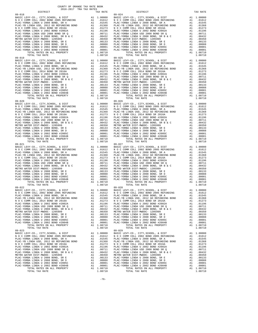COUNTY OF ORANGE TAX RATE BOOK 2016-2017 TRA TAX RATES DISTRICT TAX RATE DISTRICT TAX RATE 09-018 09-024 BASIC LEVY-CO., CITY,SCHOOL, & DIST A1 1.00000 BASIC LEVY-CO., CITY,SCHOOL, & DIST A1 1.00000 N O C COMM COLL 2002 BOND 2005 REFUNDING A1 .01612 N O C COMM COLL 2002 BOND 2005 REFUNDING A1 .01612 PLAC-YORBA LINDA U 2008 BOND, SR A A1 .01545 PLAC-YORBA LINDA U 2008 BOND, SR A A1 .01545 PLAC-YB LINDA USD, 2012 GO REFUNDING BOND A1 .01368 PLAC-YB LINDA USD, 2012 GO REFUNDING BOND A1 .01368 N O C COMM COLL 2014 BOND SR 2016A A1 .01273 N O C COMM COLL 2014 BOND SR 2016A A1 .01273 PLAC-YORBA LINDA U 2002 BOND #2002A A1 .01196 PLAC-YORBA LINDA U 2002 BOND #2002A A1 .01196 PLAC-YORBA LINDA USD 2008 BOND SR Q A1 .00711 PLAC-YORBA LINDA USD 2008 BOND SR Q A1 .00711 PLAC-YORBA LINDA U 2008 BOND, SR B & C A1 .00432 PLAC-YORBA LINDA U 2008 BOND, SR B & C A1 .00432 METRO WATER DIST-MWDOC- 1205999 A1 .00350 METRO WATER DIST-MWDOC- 1205999 A1 .00350 PLAC-YORBA LINDA U 2008 BOND, SR E A1 .00133 PLAC-YORBA LINDA U 2008 BOND, SR E A1 .00133 PLAC-YORBA LINDA U 2008 BOND, SR D A1 .00088 PLAC-YORBA LINDA U 2008 BOND, SR D A1 .00088 PLAC-YORBA LINDA U 2002 BOND #2005C A1 .00001 PLAC-YORBA LINDA U 2002 BOND #2005C A1 .00001 PLAC-YORBA LINDA U 2002 BOND #2004B A1 .00001 PLAC-YORBA LINDA U 2002 BOND #2004B A1 .00001 TOTAL RATES ON ALL PROPERTY A1 1.08710 TOTAL RATES ON ALL PROPERTY A1 1.08710 TOTAL TAX RATE 1.08710 TOTAL TAX RATE 1.08710 09-019 09-025 BASIC LEVY-CO., CITY,SCHOOL, & DIST A1 1.00000 BASIC LEVY-CO., CITY,SCHOOL, & DIST A1 1.00000 N O C COMM COLL 2002 BOND 2005 REFUNDING A1 .01612 N O C COMM COLL 2002 BOND 2005 REFUNDING A1 .01612 PLAC-YORBA LINDA U 2008 BOND, SR A A1 .01545 PLAC-YORBA LINDA U 2008 BOND, SR A A1 .01545 PLAC-YB LINDA USD, 2012 GO REFUNDING BOND A1 .01368 PLAC-YB LINDA USD, 2012 GO REFUNDING BOND A1 .01368 N O C COMM COLL 2014 BOND SR 2016A A1 .01273 N O C COMM COLL 2014 BOND SR 2016A A1 .01273 PLAC-YORBA LINDA U 2002 BOND #2002A A1 .01196 PLAC-YORBA LINDA U 2002 BOND #2002A A1 .01196 PLAC-YORBA LINDA USD 2008 BOND SR Q A1 .00711 PLAC-YORBA LINDA USD 2008 BOND SR Q A1 .00711 9 PLAC -YORBA LINDA U 2008 BOND, SR B & C<br>
METRO WATER DIST -WINDOC - 120599 PLAC -YORBA LINDA U 2008 BOND, SR B & C<br>
METRO WATER DIST -WINDOC - 120599 PLAC -YORBA LINDA U 2008 BOND, SR B A 1<br>
PLAC -YORBA LINDA U 2008 BOND 09-020 09-026 BASIC LEVY-CO., CITY,SCHOOL, & DIST A1 1.00000 BASIC LEVY-CO., CITY,SCHOOL, & DIST A1 1.00000 N O C COMM COLL 2002 BOND 2005 REFUNDING A1 .01612 N O C COMM COLL 2002 BOND 2005 REFUNDING A1 .01612 PLAC-YORBA LINDA U 2008 BOND, SR A A1 .01545 PLAC-YORBA LINDA U 2008 BOND, SR A A1 .01545 PLAC-YB LINDA USD, 2012 GO REFUNDING BOND A1 .01368 PLAC-YB LINDA USD, 2012 GO REFUNDING BOND A1 .01368 N O C COMM COLL 2014 BOND SR 2016A A1 .01273 N O C COMM COLL 2014 BOND SR 2016A A1 .01273 PLAC-YORBA LINDA U 2002 BOND #2002A A1 .01196 PLAC-YORBA LINDA U 2002 BOND #2002A A1 .01196 PLAC-YORBA LINDA USD 2008 BOND SR Q A1 .00711 PLAC-YORBA LINDA USD 2008 BOND SR Q A1 .00711 PLAC-YORBA LINDA U 2008 BOND, SR B & C A1 .00432 PLAC-YORBA LINDA U 2008 BOND, SR B & C A1 .00432 METRO WATER DIST-MWDOC- 1205999 A1 .00350 METRO WATER DIST-MWDOC- 1205999 A1 .00350 PLAC-YORBA LINDA U 2008 BOND, SR E A1 .00133 PLAC-YORBA LINDA U 2008 BOND, SR E A1 .00133 PLAC-YORBA LINDA U 2008 BOND, SR D A1 .00088 PLAC-YORBA LINDA U 2008 BOND, SR D A1 .00088 PLAC-YORBA LINDA U 2002 BOND #2005C A1 .00001 PLAC-YORBA LINDA U 2002 BOND #2005C A1 .00001 PLAC-YORBA LINDA U 2002 BOND #2004B A1 .00001 PLAC-YORBA LINDA U 2002 BOND #2004B A1 .00001 TOTAL RATES ON ALL PROPERTY A1 1.08710 TOTAL RATES ON ALL PROPERTY A1 1.08710 TOTAL TAX RATE 1.08710 TOTAL TAX RATE 1.08710 09-021 09-027 BASIC LEVY-CO., CITY,SCHOOL, & DIST A1 1.00000 BASIC LEVY-CO., CITY,SCHOOL, & DIST A1 1.00000 N O C COMM COLL 2002 BOND 2005 REFUNDING A1 .01612 N O C COMM COLL 2002 BOND 2005 REFUNDING A1 .01612 PLAC-YORBA LINDA U 2008 BOND, SR A A1 .01545 PLAC-YORBA LINDA U 2008 BOND, SR A A1 .01545 PLAC-YB LINDA USD, 2012 GO REFUNDING BOND A1 .01368 PLAC-YB LINDA USD, 2012 GO REFUNDING BOND A1 .01368 N O C COMM COLL 2014 BOND SR 2016A A1 .01273 N O C COMM COLL 2014 BOND SR 2016A A1 .01273 PLAC-YORBA LINDA U 2002 BOND #2002A A1 .01196 PLAC-YORBA LINDA U 2002 BOND #2002A A1 .01196 PLAC-YORBA LINDA USD 2008 BOND SR Q A1 .00711 PLAC-YORBA LINDA USD 2008 BOND SR Q A1 .00711 PLAC-YORBA LINDA U 2008 BOND, SR B & C A1 .00432 PLAC-YORBA LINDA U 2008 BOND, SR B & C A1 .00432 METRO WATER DIST-MWDOC- 1205999 A1 .00350 METRO WATER DIST-MWDOC- 1205999 A1 .00350 PLAC-YORBA LINDA U 2008 BOND, SR E A1 .00133 PLAC-YORBA LINDA U 2008 BOND, SR E A1 .00133 PLAC-YORBA LINDA U 2008 BOND, SR D A1 .00088 PLAC-YORBA LINDA U 2008 BOND, SR D A1 .00088 PLAC-YORBA LINDA U 2002 BOND #2005C A1 .00001 PLAC-YORBA LINDA U 2002 BOND #2005C A1 .00001 PLAC-YORBA LINDA U 2002 BOND #2004B A1 .00001 PLAC-YORBA LINDA U 2002 BOND #2004B A1 .00001 TOTAL RATES ON ALL PROPERTY A1 1.08710 TOTAL RATES ON ALL PROPERTY A1 1.08710 TOTAL TAX RATE 1.08710 TOTAL TAX RATE 1.08710 09-022 09-028 BASIC LEVY-CO., CITY,SCHOOL, & DIST A1 1.00000 BASIC LEVY-CO., CITY,SCHOOL, & DIST A1 1.00000 N O C COMM COLL 2002 BOND 2005 REFUNDING A1 .01612 N O C COMM COLL 2002 BOND 2005 REFUNDING A1 .01612 PLAC-YORBA LINDA U 2008 BOND, SR A A1 .01545 PLAC-YORBA LINDA U 2008 BOND, SR A A1 .01545 PLAC-YB LINDA USD, 2012 GO REFUNDING BOND A1 .01368 PLAC-YB LINDA USD, 2012 GO REFUNDING BOND A1 .01368 N O C COMM COLL 2014 BOND SR 2016A A1 .01273 N O C COMM COLL 2014 BOND SR 2016A A1 .01273 PLAC-YORBA LINDA U 2002 BOND #2002A A1 .01196 PLAC-YORBA LINDA U 2002 BOND #2002A A1 .01196 PLAC-YORBA LINDA USD 2008 BOND SR Q A1 .00711 PLAC-YORBA LINDA USD 2008 BOND SR Q A1 .00711 PLAC-YORBA LINDA U 2008 BOND, SR B & C A1 .00432 PLAC-YORBA LINDA U 2008 BOND, SR B & C A1 .00432 METRO WATER DIST-MWDOC- 1205999 A1 .00350 METRO WATER DIST-MWDOC- 1205999 A1 .00350 PLAC-YORBA LINDA U 2008 BOND, SR E A1 .00133 PLAC-YORBA LINDA U 2008 BOND, SR E A1 .00133 PLAC-YORBA LINDA U 2008 BOND, SR D A1 .00088 PLAC-YORBA LINDA U 2008 BOND, SR D A1 .00088 PLAC-YORBA LINDA U 2002 BOND #2005C A1 .00001 PLAC-YORBA LINDA U 2002 BOND #2005C A1 .00001 PLAC-YORBA LINDA U 2002 BOND #2004B A1 .00001 PLAC-YORBA LINDA U 2002 BOND #2004B A1 .00001 TOTAL RATES ON ALL PROPERTY A1 1.08710 TOTAL RATES ON ALL PROPERTY A1 1.08710 TOTAL TAX RATE 1.08710 TOTAL TAX RATE 1.08710 09-023 09-029 BASIC LEVY-CO., CITY, SCHOOL, & DIST<br>NOC COMM COLL 2002 DON DONG COMM COLL 2002 BOND 2008 DONG COMM COLL 2002 DONG COMM COLL 2002 DONG COMM COLL 20<br>PLAC-YORBA LINDA U 2008 DONG DONG RETUNDING A1 .01545 PLAC-YORBA LINDA U 2  $\begin{tabular}{0.95\textwidth} {\bf N O C COM COL} 2014 BOND SR 2016 A & 0.1273 & 0.1273  
PLAC-YORBA LINDA U 2002 BOND 42008 BOND SR 2016 A & 0.1273  
PLAC-YORBA LINDA U 2008 BOND SR Q & 0.10011  
PLAC-YORBA LINDA U 2008 BOND SR R Q & 0.100111  
PLAC-YORBA LINDA U 2008 BOND SR R B & 0.100121  
MLCP-YORBA LINDA U 2008 BOND SER B & 1.0032  
MLPC-$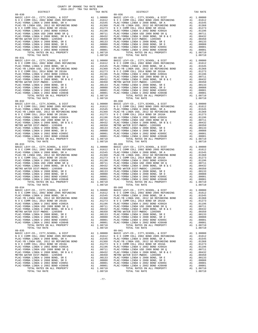COUNTY OF ORANGE TAX RATE BOOK 2016-2017 TRA TAX RATES DISTRICT TAX RATE DISTRICT TAX RATE 09-030 09-036 BASIC LEVY-CO., CITY,SCHOOL, & DIST A1 1.00000 BASIC LEVY-CO., CITY,SCHOOL, & DIST A1 1.00000 N O C COMM COLL 2002 BOND 2005 REFUNDING A1 .01612 N O C COMM COLL 2002 BOND 2005 REFUNDING A1 .01612 PLAC-YORBA LINDA U 2008 BOND, SR A A1 .01545 PLAC-YORBA LINDA U 2008 BOND, SR A A1 .01545 PLAC-YB LINDA USD, 2012 GO REFUNDING BOND A1 .01368 PLAC-YB LINDA USD, 2012 GO REFUNDING BOND A1 .01368 N O C COMM COLL 2014 BOND SR 2016A A1 .01273 N O C COMM COLL 2014 BOND SR 2016A A1 .01273 PLAC-YORBA LINDA U 2002 BOND #2002A A1 .01196 PLAC-YORBA LINDA U 2002 BOND #2002A A1 .01196 PLAC-YORBA LINDA USD 2008 BOND SR Q A1 .00711 PLAC-YORBA LINDA USD 2008 BOND SR Q A1 .00711 PLAC-YORBA LINDA U 2008 BOND, SR B & C A1 .00432 PLAC-YORBA LINDA U 2008 BOND, SR B & C A1 .00432 METRO WATER DIST-MWDOC- 1205999 A1 .00350 METRO WATER DIST-MWDOC- 1205999 A1 .00350 PLAC-YORBA LINDA U 2008 BOND, SR E A1 .00133 PLAC-YORBA LINDA U 2008 BOND, SR E A1 .00133 PLAC-YORBA LINDA U 2008 BOND, SR D A1 .00088 PLAC-YORBA LINDA U 2008 BOND, SR D A1 .00088 PLAC-YORBA LINDA U 2002 BOND #2005C A1 .00001 PLAC-YORBA LINDA U 2002 BOND #2005C A1 .00001 PLAC-YORBA LINDA U 2002 BOND #2004B A1 .00001 PLAC-YORBA LINDA U 2002 BOND #2004B A1 .00001 TOTAL RATES ON ALL PROPERTY A1 1.08710 TOTAL RATES ON ALL PROPERTY A1 1.08710 TOTAL TAX RATE 1.08710 TOTAL TAX RATE 1.08710 09-031 09-037 BASIC LEVY-CO., CITY,SCHOOL, & DIST A1 1.00000 BASIC LEVY-CO., CITY,SCHOOL, & DIST A1 1.00000 N O C COMM COLL 2002 BOND 2005 REFUNDING A1 .01612 N O C COMM COLL 2002 BOND 2005 REFUNDING A1 .01612 PLAC-YORBA LINDA U 2008 BOND, SR A A1 .01545 PLAC-YORBA LINDA U 2008 BOND, SR A A1 .01545 PLAC-YB LINDA USD, 2012 GO REFUNDING BOND A1 .01368 PLAC-YB LINDA USD, 2012 GO REFUNDING BOND A1 .01368 N O C COMM COLL 2014 BOND SR 2016A A1 .01273 N O C COMM COLL 2014 BOND SR 2016A A1 .01273 PLAC-YORBA LINDA U 2002 BOND #2002A A1 .01196 PLAC-YORBA LINDA U 2002 BOND #2002A A1 .01196 PLAC-YORBA LINDA USD 2008 BOND SR Q A1 .00711 PLAC-YORBA LINDA USD 2008 BOND SR Q A1 .00711 9 PLAC -YORBA LINDA U 2008 BOND, SR B & C<br>
METRO WATER DIST -WINDOC - 120599 PLAC -YORBA LINDA U 2008 BOND, SR B & C<br>
METRO WATER DIST -WINDOC - 120599 PLAC -YORBA LINDA U 2008 BOND, SR B A 1<br>
PLAC -YORBA LINDA U 2008 BOND 09-032 09-038 BASIC LEVY-CO., CITY,SCHOOL, & DIST A1 1.00000 BASIC LEVY-CO., CITY,SCHOOL, & DIST A1 1.00000 N O C COMM COLL 2002 BOND 2005 REFUNDING A1 .01612 N O C COMM COLL 2002 BOND 2005 REFUNDING A1 .01612 PLAC-YORBA LINDA U 2008 BOND, SR A A1 .01545 PLAC-YORBA LINDA U 2008 BOND, SR A A1 .01545 PLAC-YB LINDA USD, 2012 GO REFUNDING BOND A1 .01368 PLAC-YB LINDA USD, 2012 GO REFUNDING BOND A1 .01368 N O C COMM COLL 2014 BOND SR 2016A A1 .01273 N O C COMM COLL 2014 BOND SR 2016A A1 .01273 PLAC-YORBA LINDA U 2002 BOND #2002A A1 .01196 PLAC-YORBA LINDA U 2002 BOND #2002A A1 .01196 PLAC-YORBA LINDA USD 2008 BOND SR Q A1 .00711 PLAC-YORBA LINDA USD 2008 BOND SR Q A1 .00711 PLAC-YORBA LINDA U 2008 BOND, SR B & C A1 .00432 PLAC-YORBA LINDA U 2008 BOND, SR B & C A1 .00432 METRO WATER DIST-MWDOC- 1205999 A1 .00350 METRO WATER DIST-MWDOC- 1205999 A1 .00350 PLAC-YORBA LINDA U 2008 BOND, SR E A1 .00133 PLAC-YORBA LINDA U 2008 BOND, SR E A1 .00133 PLAC-YORBA LINDA U 2008 BOND, SR D A1 .00088 PLAC-YORBA LINDA U 2008 BOND, SR D A1 .00088 PLAC-YORBA LINDA U 2002 BOND #2005C A1 .00001 PLAC-YORBA LINDA U 2002 BOND #2005C A1 .00001 PLAC-YORBA LINDA U 2002 BOND #2004B A1 .00001 PLAC-YORBA LINDA U 2002 BOND #2004B A1 .00001 TOTAL RATES ON ALL PROPERTY A1 1.08710 TOTAL RATES ON ALL PROPERTY A1 1.08710 TOTAL TAX RATE 1.08710 TOTAL TAX RATE 1.08710 09-033 09-039 BASIC LEVY-CO., CITY,SCHOOL, & DIST A1 1.00000 BASIC LEVY-CO., CITY,SCHOOL, & DIST A1 1.00000 N O C COMM COLL 2002 BOND 2005 REFUNDING A1 .01612 N O C COMM COLL 2002 BOND 2005 REFUNDING A1 .01612 PLAC-YORBA LINDA U 2008 BOND, SR A A1 .01545 PLAC-YORBA LINDA U 2008 BOND, SR A A1 .01545 PLAC-YB LINDA USD, 2012 GO REFUNDING BOND A1 .01368 PLAC-YB LINDA USD, 2012 GO REFUNDING BOND A1 .01368 N O C COMM COLL 2014 BOND SR 2016A A1 .01273 N O C COMM COLL 2014 BOND SR 2016A A1 .01273 PLAC-YORBA LINDA U 2002 BOND #2002A A1 .01196 PLAC-YORBA LINDA U 2002 BOND #2002A A1 .01196 PLAC-YORBA LINDA USD 2008 BOND SR Q A1 .00711 PLAC-YORBA LINDA USD 2008 BOND SR Q A1 .00711 PLAC-YORBA LINDA U 2008 BOND, SR B & C A1 .00432 PLAC-YORBA LINDA U 2008 BOND, SR B & C A1 .00432 METRO WATER DIST-MWDOC- 1205999 A1 .00350 METRO WATER DIST-MWDOC- 1205999 A1 .00350 PLAC-YORBA LINDA U 2008 BOND, SR E A1 .00133 PLAC-YORBA LINDA U 2008 BOND, SR E A1 .00133 PLAC-YORBA LINDA U 2008 BOND, SR D A1 .00088 PLAC-YORBA LINDA U 2008 BOND, SR D A1 .00088 PLAC-YORBA LINDA U 2002 BOND #2005C A1 .00001 PLAC-YORBA LINDA U 2002 BOND #2005C A1 .00001 PLAC-YORBA LINDA U 2002 BOND #2004B A1 .00001 PLAC-YORBA LINDA U 2002 BOND #2004B A1 .00001 TOTAL RATES ON ALL PROPERTY A1 1.08710 TOTAL RATES ON ALL PROPERTY A1 1.08710 TOTAL TAX RATE 1.08710 TOTAL TAX RATE 1.08710 09-034 09-040 BASIC LEVY-CO., CITY,SCHOOL, & DIST A1 1.00000 BASIC LEVY-CO., CITY,SCHOOL, & DIST A1 1.00000 N O C COMM COLL 2002 BOND 2005 REFUNDING A1 .01612 N O C COMM COLL 2002 BOND 2005 REFUNDING A1 .01612 PLAC-YORBA LINDA U 2008 BOND, SR A A1 .01545 PLAC-YORBA LINDA U 2008 BOND, SR A A1 .01545 PLAC-YB LINDA USD, 2012 GO REFUNDING BOND A1 .01368 PLAC-YB LINDA USD, 2012 GO REFUNDING BOND A1 .01368 N O C COMM COLL 2014 BOND SR 2016A A1 .01273 N O C COMM COLL 2014 BOND SR 2016A A1 .01273 PLAC-YORBA LINDA U 2002 BOND #2002A A1 .01196 PLAC-YORBA LINDA U 2002 BOND #2002A A1 .01196 PLAC-YORBA LINDA USD 2008 BOND SR Q A1 .00711 PLAC-YORBA LINDA USD 2008 BOND SR Q A1 .00711 PLAC-YORBA LINDA U 2008 BOND, SR B & C A1 .00432 PLAC-YORBA LINDA U 2008 BOND, SR B & C A1 .00432 METRO WATER DIST-MWDOC- 1205999 A1 .00350 METRO WATER DIST-MWDOC- 1205999 A1 .00350 PLAC-YORBA LINDA U 2008 BOND, SR E A1 .00133 PLAC-YORBA LINDA U 2008 BOND, SR E A1 .00133 PLAC-YORBA LINDA U 2008 BOND, SR D A1 .00088 PLAC-YORBA LINDA U 2008 BOND, SR D A1 .00088 PLAC-YORBA LINDA U 2002 BOND #2005C A1 .00001 PLAC-YORBA LINDA U 2002 BOND #2005C A1 .00001 PLAC-YORBA LINDA U 2002 BOND #2004B A1 .00001 PLAC-YORBA LINDA U 2002 BOND #2004B A1 .00001 TOTAL RATES ON ALL PROPERTY A1 1.08710 TOTAL RATES ON ALL PROPERTY A1 1.08710 TOTAL TAX RATE 1.08710 TOTAL TAX RATE 1.08710 09-035 09-041 BASIC LEVY-CO., CITY, SCHOOL, & DIST<br>NOC COMM COLL 2002 DON DONG COMM COLL 2002 BOND 2008 DONG COMM COLL 2002 DONG COMM COLL 2002 DONG COMM COLL 20<br>PLAC-YORBA LINDA U 2008 DONG DONG RETUNDING A1 .01545 PLAC-YORBA LINDA U 2  $\begin{tabular}{0.95\textwidth} {\bf N O C COM COL} 2014 BOND SR 2016 A & 0.1273 & 0.1273  
PLAC-YORBA LINDA U 2002 BOND 42008 BOND SR 2016 A & 0.1273  
PLAC-YORBA LINDA U 2008 BOND SR Q & 0.10011  
PLAC-YORBA LINDA U 2008 BOND SR R Q & 0.100111  
PLAC-YORBA LINDA U 2008 BOND SR R B & 0.100121  
MLCP-YORBA LINDA U 2008 BOND SER B & 1.0032  
MLPC-$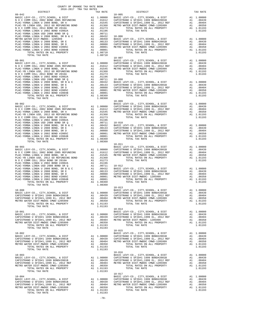|  |  | $\begin{tabular}{cccc} 09-902 & 1.04193 & 1.04194 \\ \hline \texttt{N} & \texttt{O} & \texttt{C} & \texttt{CIVY-CO}, \texttt{CITY}, \texttt{SCHOOL}, \texttt{ & \texttt{D1-009}} \\ \texttt{N} & \texttt{O} & \texttt{C} & \texttt{CIVY-CO}, \texttt{CITY}, \texttt{SCHOOL}, \texttt{ & \texttt{DIST}} \\ \texttt{N} & \texttt{O} & \texttt{C} & \texttt{CONM} & \texttt{COLL} & \texttt{2002 BOND} & \texttt{2005} & \$ |  |
|--|--|--------------------------------------------------------------------------------------------------------------------------------------------------------------------------------------------------------------------------------------------------------------------------------------------------------------------------------------------------------------------------------------------------------------------------|--|
|  |  |                                                                                                                                                                                                                                                                                                                                                                                                                          |  |
|  |  |                                                                                                                                                                                                                                                                                                                                                                                                                          |  |
|  |  |                                                                                                                                                                                                                                                                                                                                                                                                                          |  |
|  |  | $\begin{tabular}{l c c c c c} \multicolumn{1}{c}{\textbf{10-000}} & \multicolumn{1}{c}{\textbf{0-013}} & \multicolumn{1}{c}{\textbf{10-000}} & \multicolumn{1}{c}{\textbf{0-013}} & \multicolumn{1}{c}{\textbf{10-000}} & \multicolumn{1}{c}{\textbf{0-013}} & \multicolumn{1}{c}{\textbf{0-014}} & \multicolumn{1}{c}{\textbf{0-015}} & \multicolumn{1}{c}{\textbf{0-016}} & \multicolumn{1}{c}{\textbf{0-017}}$        |  |
|  |  |                                                                                                                                                                                                                                                                                                                                                                                                                          |  |
|  |  |                                                                                                                                                                                                                                                                                                                                                                                                                          |  |
|  |  |                                                                                                                                                                                                                                                                                                                                                                                                                          |  |
|  |  |                                                                                                                                                                                                                                                                                                                                                                                                                          |  |

COUNTY OF ORANGE TAX RATE BOOK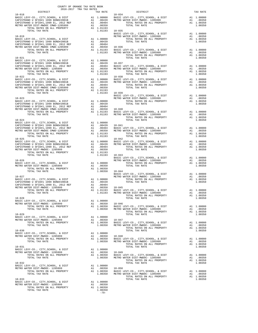| COUNTY OF ORANGE TAX RATE BOOK<br>2016-2017 TRA TAX RATES                                                                                                |                   |                                                                                                                                                                                                                                                                                                                                                                                                                                           |          |
|----------------------------------------------------------------------------------------------------------------------------------------------------------|-------------------|-------------------------------------------------------------------------------------------------------------------------------------------------------------------------------------------------------------------------------------------------------------------------------------------------------------------------------------------------------------------------------------------------------------------------------------------|----------|
| DISTRICT                                                                                                                                                 | TAX RATE $10-034$ | DISTRICT                                                                                                                                                                                                                                                                                                                                                                                                                                  | TAX RATE |
| $10 - 018$                                                                                                                                               |                   | 10–018<br>BASIC LEVY-CO., CITY, SCHOOL, & DIST<br>CAPISTRANO U SFID#1 1999 BOND#2001B<br>CAPISTRANO U SFID#1 1999 BOND#2001B<br>CAPISTRANO U SFID#1,1999 BOND#2001B<br>CAPISTRANO U SFID#1,1999 BOND#2001B<br>CAPISTRANO U SFID#1 1999 BON                                                                                                                                                                                                |          |
|                                                                                                                                                          |                   |                                                                                                                                                                                                                                                                                                                                                                                                                                           |          |
|                                                                                                                                                          |                   |                                                                                                                                                                                                                                                                                                                                                                                                                                           |          |
|                                                                                                                                                          |                   |                                                                                                                                                                                                                                                                                                                                                                                                                                           |          |
|                                                                                                                                                          |                   | 1.01193 10-019<br>MASIC LEVY-CO., CITY, SCHOOL, & DIST<br>MASIC LEVY-CO., CITY, SCHOOL, & DIST<br>MASIC LEVY-CO., CITY, SCHOOL, & DIST<br>CAPISTRANO U SFID#1 1999 BOND#2001B<br>CAPISTRANO U SFID#1 1999 BOND#2001B<br>CAPISTRANO U SFID#                                                                                                                                                                                                |          |
|                                                                                                                                                          |                   |                                                                                                                                                                                                                                                                                                                                                                                                                                           |          |
|                                                                                                                                                          |                   |                                                                                                                                                                                                                                                                                                                                                                                                                                           |          |
|                                                                                                                                                          |                   |                                                                                                                                                                                                                                                                                                                                                                                                                                           |          |
|                                                                                                                                                          |                   |                                                                                                                                                                                                                                                                                                                                                                                                                                           |          |
|                                                                                                                                                          |                   |                                                                                                                                                                                                                                                                                                                                                                                                                                           |          |
|                                                                                                                                                          |                   |                                                                                                                                                                                                                                                                                                                                                                                                                                           |          |
|                                                                                                                                                          |                   |                                                                                                                                                                                                                                                                                                                                                                                                                                           |          |
|                                                                                                                                                          |                   | 1.00350<br>BASIC LEVY-CO., CITY, SCHOOL, & DIST<br>CAPISTRANO U SFID#1 1999 BOND#2001B<br>CAPISTRANO U SFID#1 1999 BOND#2001B<br>CAPISTRANO U SFID#1 1999 BOND#2001B<br>CAPISTRANO U SFID#1 1999 BOND#2001B<br>CAPISTRANO U SFID#1 1999 BO                                                                                                                                                                                                |          |
|                                                                                                                                                          |                   |                                                                                                                                                                                                                                                                                                                                                                                                                                           |          |
|                                                                                                                                                          |                   |                                                                                                                                                                                                                                                                                                                                                                                                                                           |          |
|                                                                                                                                                          |                   |                                                                                                                                                                                                                                                                                                                                                                                                                                           |          |
| $10 - 022$                                                                                                                                               |                   | $10 - 038$                                                                                                                                                                                                                                                                                                                                                                                                                                |          |
|                                                                                                                                                          |                   |                                                                                                                                                                                                                                                                                                                                                                                                                                           |          |
|                                                                                                                                                          |                   |                                                                                                                                                                                                                                                                                                                                                                                                                                           |          |
|                                                                                                                                                          |                   |                                                                                                                                                                                                                                                                                                                                                                                                                                           |          |
|                                                                                                                                                          |                   |                                                                                                                                                                                                                                                                                                                                                                                                                                           |          |
|                                                                                                                                                          |                   |                                                                                                                                                                                                                                                                                                                                                                                                                                           |          |
|                                                                                                                                                          |                   |                                                                                                                                                                                                                                                                                                                                                                                                                                           |          |
|                                                                                                                                                          |                   |                                                                                                                                                                                                                                                                                                                                                                                                                                           |          |
|                                                                                                                                                          |                   |                                                                                                                                                                                                                                                                                                                                                                                                                                           |          |
|                                                                                                                                                          |                   |                                                                                                                                                                                                                                                                                                                                                                                                                                           |          |
|                                                                                                                                                          |                   |                                                                                                                                                                                                                                                                                                                                                                                                                                           |          |
|                                                                                                                                                          |                   |                                                                                                                                                                                                                                                                                                                                                                                                                                           |          |
|                                                                                                                                                          |                   |                                                                                                                                                                                                                                                                                                                                                                                                                                           |          |
|                                                                                                                                                          |                   |                                                                                                                                                                                                                                                                                                                                                                                                                                           |          |
|                                                                                                                                                          |                   |                                                                                                                                                                                                                                                                                                                                                                                                                                           |          |
|                                                                                                                                                          |                   |                                                                                                                                                                                                                                                                                                                                                                                                                                           |          |
|                                                                                                                                                          |                   |                                                                                                                                                                                                                                                                                                                                                                                                                                           |          |
|                                                                                                                                                          |                   |                                                                                                                                                                                                                                                                                                                                                                                                                                           |          |
|                                                                                                                                                          |                   |                                                                                                                                                                                                                                                                                                                                                                                                                                           |          |
|                                                                                                                                                          |                   |                                                                                                                                                                                                                                                                                                                                                                                                                                           |          |
|                                                                                                                                                          |                   | $\begin{tabular}{lllllllllllllllllll} \multicolumn{4}{c}{10-026} & & & & & & & 10-043 & \\ & & & & & & & & & & 10-043 & \\ & & & & & & & & & & & & 10-043 & \\ \hline \multicolumn{4}{c}{\textbf{BASE} & \textbf{LEVY} - \textbf{CO.}, & \textbf{CITY}, \textbf{SCHOOL}, & \& \textbf{DIST} & \textbf{M1} & 1.00000 & \\ & \textbf{BASE} & \textbf{LEVY} - \textbf{CO.}, & \textbf{CITY}, \textbf{SCHOOL}, & \& \textbf{DIST} & \textbf{$ |          |
|                                                                                                                                                          |                   |                                                                                                                                                                                                                                                                                                                                                                                                                                           |          |
|                                                                                                                                                          |                   |                                                                                                                                                                                                                                                                                                                                                                                                                                           |          |
|                                                                                                                                                          |                   |                                                                                                                                                                                                                                                                                                                                                                                                                                           |          |
|                                                                                                                                                          |                   |                                                                                                                                                                                                                                                                                                                                                                                                                                           |          |
|                                                                                                                                                          |                   |                                                                                                                                                                                                                                                                                                                                                                                                                                           |          |
|                                                                                                                                                          |                   |                                                                                                                                                                                                                                                                                                                                                                                                                                           |          |
|                                                                                                                                                          |                   |                                                                                                                                                                                                                                                                                                                                                                                                                                           |          |
|                                                                                                                                                          |                   |                                                                                                                                                                                                                                                                                                                                                                                                                                           |          |
|                                                                                                                                                          |                   |                                                                                                                                                                                                                                                                                                                                                                                                                                           |          |
|                                                                                                                                                          |                   |                                                                                                                                                                                                                                                                                                                                                                                                                                           |          |
|                                                                                                                                                          |                   |                                                                                                                                                                                                                                                                                                                                                                                                                                           |          |
|                                                                                                                                                          |                   |                                                                                                                                                                                                                                                                                                                                                                                                                                           |          |
|                                                                                                                                                          |                   |                                                                                                                                                                                                                                                                                                                                                                                                                                           |          |
|                                                                                                                                                          |                   |                                                                                                                                                                                                                                                                                                                                                                                                                                           |          |
|                                                                                                                                                          |                   |                                                                                                                                                                                                                                                                                                                                                                                                                                           |          |
|                                                                                                                                                          |                   |                                                                                                                                                                                                                                                                                                                                                                                                                                           |          |
|                                                                                                                                                          |                   |                                                                                                                                                                                                                                                                                                                                                                                                                                           |          |
|                                                                                                                                                          |                   |                                                                                                                                                                                                                                                                                                                                                                                                                                           |          |
|                                                                                                                                                          |                   |                                                                                                                                                                                                                                                                                                                                                                                                                                           |          |
|                                                                                                                                                          |                   | $\begin{tabular}{lllllllllllllllllllllll} \textsc{10-030} & \textsc{10-030} & \textsc{10-030} & \textsc{10-030} \\ \textsc{BASC LEVY-CO.}, & \textsc{CITY}, \textsc{SCHOOL}, & \textsc{6}\ \textsc{10-030} & \textsc{6}\ \textsc{10-030} & \textsc{6}\ \textsc{10-048} & \textsc{70} & \textsc{70} & \textsc{70} & \textsc{70} \\ \textsc{10-0350} & \textsc{10-0350} & \textsc{10-0350$                                                  |          |
|                                                                                                                                                          |                   |                                                                                                                                                                                                                                                                                                                                                                                                                                           |          |
|                                                                                                                                                          |                   |                                                                                                                                                                                                                                                                                                                                                                                                                                           |          |
|                                                                                                                                                          |                   |                                                                                                                                                                                                                                                                                                                                                                                                                                           |          |
|                                                                                                                                                          |                   |                                                                                                                                                                                                                                                                                                                                                                                                                                           |          |
|                                                                                                                                                          |                   | $\begin{tabular}{lllllllllllllllllllll} \textsc{10-031} & & & & & & \textsc{10-031} & & \\ \textsc{BASE LEVY-CO.}, & \textsc{CITY}, \textsc{SCHODL}, & \& \textsc{DIST} & & \textsc{Al} & 1.00000 & & \\ \textsc{METRO WATER DIST-MMDOC-1205999} & & \textsc{Al} & 1.00350 & \textsc{BNTC - LEVY-CO.}, & \textsc{CITY}, \textsc{SCHOOL}, & \& \textsc{DIST} & & \textsc{Al} & 1.00000 & \\ \textsc{TOTAL RATES ON ALL PRO$                |          |
|                                                                                                                                                          |                   |                                                                                                                                                                                                                                                                                                                                                                                                                                           |          |
|                                                                                                                                                          |                   |                                                                                                                                                                                                                                                                                                                                                                                                                                           |          |
|                                                                                                                                                          |                   |                                                                                                                                                                                                                                                                                                                                                                                                                                           |          |
|                                                                                                                                                          |                   | $\begin{tabular}{lllllllllllll} \multicolumn{4}{c}{\textbf{10-032}} & & & & & & & & \\ \multicolumn{4}{c}{\textbf{10-032}} & & & & & & & \\ \multicolumn{4}{c}{\textbf{10-032}} & & & & & & \\ \multicolumn{4}{c}{\textbf{METRO WATER DIST-MWDOC- 1205999}} & & & & & & \\ \multicolumn{4}{c}{\textbf{METRO WATER DIST-MWDOC- 1205999}} & & & & & & \\ \multicolumn{4}{c}{\textbf{10-0350}} & & & & & & \\ \multicolumn{4}{c}{\$          |          |
|                                                                                                                                                          |                   |                                                                                                                                                                                                                                                                                                                                                                                                                                           |          |
|                                                                                                                                                          |                   |                                                                                                                                                                                                                                                                                                                                                                                                                                           |          |
|                                                                                                                                                          |                   |                                                                                                                                                                                                                                                                                                                                                                                                                                           |          |
| BASIC LEVY-CO., CITY, SCHOOL, & DIST Al 1.00000<br>METRO WATER DIST-MWDOC- 1205999 Al .00350<br>TOTAL RATES ON ALL PROPERTY Al 1.00350<br>TOTAL TAX RATE |                   |                                                                                                                                                                                                                                                                                                                                                                                                                                           |          |
|                                                                                                                                                          |                   |                                                                                                                                                                                                                                                                                                                                                                                                                                           |          |
|                                                                                                                                                          |                   |                                                                                                                                                                                                                                                                                                                                                                                                                                           |          |

-79-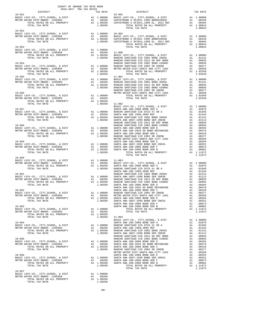|                                                                                            |  | $\begin{tabular}{c c c c c} \multicolumn{1}{c }{\begin{tabular}{c} \multicolumn{1}{c}{DISTRICT}\\ \multicolumn{1}{c}{DISTRICT}\\ \multicolumn{1}{c}{\begin{tabular}{c} {\bf DISTRICT}\\ \bf BASIC LEVY-CO, \; CITY, SCHOOL, \; & & \tt DISTRICT\\ \end{tabular} & \begin{tabular}{c} {\bf DISTRICT}\\ \bf BASIC LEVY-CO, \; CITY, SCHOOL, \; & & \tt DISTT\\ \end{tabular} & \begin{tabular}{c} {\bf DISTRICT}\\ \bf BASIC LEVY-CO, \; CITY, SCHOOL, \; & & \tt DISTT$ |  |
|--------------------------------------------------------------------------------------------|--|------------------------------------------------------------------------------------------------------------------------------------------------------------------------------------------------------------------------------------------------------------------------------------------------------------------------------------------------------------------------------------------------------------------------------------------------------------------------|--|
| $10 - 052$                                                                                 |  |                                                                                                                                                                                                                                                                                                                                                                                                                                                                        |  |
|                                                                                            |  |                                                                                                                                                                                                                                                                                                                                                                                                                                                                        |  |
|                                                                                            |  |                                                                                                                                                                                                                                                                                                                                                                                                                                                                        |  |
|                                                                                            |  |                                                                                                                                                                                                                                                                                                                                                                                                                                                                        |  |
|                                                                                            |  |                                                                                                                                                                                                                                                                                                                                                                                                                                                                        |  |
|                                                                                            |  |                                                                                                                                                                                                                                                                                                                                                                                                                                                                        |  |
|                                                                                            |  |                                                                                                                                                                                                                                                                                                                                                                                                                                                                        |  |
|                                                                                            |  |                                                                                                                                                                                                                                                                                                                                                                                                                                                                        |  |
|                                                                                            |  |                                                                                                                                                                                                                                                                                                                                                                                                                                                                        |  |
|                                                                                            |  |                                                                                                                                                                                                                                                                                                                                                                                                                                                                        |  |
|                                                                                            |  |                                                                                                                                                                                                                                                                                                                                                                                                                                                                        |  |
|                                                                                            |  |                                                                                                                                                                                                                                                                                                                                                                                                                                                                        |  |
|                                                                                            |  |                                                                                                                                                                                                                                                                                                                                                                                                                                                                        |  |
|                                                                                            |  |                                                                                                                                                                                                                                                                                                                                                                                                                                                                        |  |
|                                                                                            |  |                                                                                                                                                                                                                                                                                                                                                                                                                                                                        |  |
|                                                                                            |  |                                                                                                                                                                                                                                                                                                                                                                                                                                                                        |  |
|                                                                                            |  |                                                                                                                                                                                                                                                                                                                                                                                                                                                                        |  |
|                                                                                            |  |                                                                                                                                                                                                                                                                                                                                                                                                                                                                        |  |
|                                                                                            |  |                                                                                                                                                                                                                                                                                                                                                                                                                                                                        |  |
|                                                                                            |  |                                                                                                                                                                                                                                                                                                                                                                                                                                                                        |  |
|                                                                                            |  |                                                                                                                                                                                                                                                                                                                                                                                                                                                                        |  |
|                                                                                            |  |                                                                                                                                                                                                                                                                                                                                                                                                                                                                        |  |
|                                                                                            |  |                                                                                                                                                                                                                                                                                                                                                                                                                                                                        |  |
|                                                                                            |  |                                                                                                                                                                                                                                                                                                                                                                                                                                                                        |  |
|                                                                                            |  |                                                                                                                                                                                                                                                                                                                                                                                                                                                                        |  |
|                                                                                            |  |                                                                                                                                                                                                                                                                                                                                                                                                                                                                        |  |
|                                                                                            |  |                                                                                                                                                                                                                                                                                                                                                                                                                                                                        |  |
|                                                                                            |  |                                                                                                                                                                                                                                                                                                                                                                                                                                                                        |  |
|                                                                                            |  |                                                                                                                                                                                                                                                                                                                                                                                                                                                                        |  |
| $10 - 060$                                                                                 |  |                                                                                                                                                                                                                                                                                                                                                                                                                                                                        |  |
|                                                                                            |  |                                                                                                                                                                                                                                                                                                                                                                                                                                                                        |  |
|                                                                                            |  |                                                                                                                                                                                                                                                                                                                                                                                                                                                                        |  |
|                                                                                            |  |                                                                                                                                                                                                                                                                                                                                                                                                                                                                        |  |
|                                                                                            |  |                                                                                                                                                                                                                                                                                                                                                                                                                                                                        |  |
|                                                                                            |  |                                                                                                                                                                                                                                                                                                                                                                                                                                                                        |  |
|                                                                                            |  |                                                                                                                                                                                                                                                                                                                                                                                                                                                                        |  |
|                                                                                            |  |                                                                                                                                                                                                                                                                                                                                                                                                                                                                        |  |
|                                                                                            |  |                                                                                                                                                                                                                                                                                                                                                                                                                                                                        |  |
|                                                                                            |  |                                                                                                                                                                                                                                                                                                                                                                                                                                                                        |  |
|                                                                                            |  |                                                                                                                                                                                                                                                                                                                                                                                                                                                                        |  |
|                                                                                            |  |                                                                                                                                                                                                                                                                                                                                                                                                                                                                        |  |
|                                                                                            |  |                                                                                                                                                                                                                                                                                                                                                                                                                                                                        |  |
|                                                                                            |  | $\begin{tabular}{c c c c c c} \multicolumn{3}{c c c c} \multicolumn{3}{c c c} \multicolumn{3}{c c c} \multicolumn{3}{c c c} \multicolumn{3}{c c c} \multicolumn{3}{c c c} \multicolumn{3}{c c c} \multicolumn{3}{c c c} \multicolumn{3}{c c c} \multicolumn{3}{c c c} \multicolumn{3}{c c c} \multicolumn{3}{c c c} \multicolumn{3}{c c c} \multicolumn{3}{c c c} \multicolumn{3}{c c c} \multicolumn{$                                                                |  |
|                                                                                            |  |                                                                                                                                                                                                                                                                                                                                                                                                                                                                        |  |
|                                                                                            |  |                                                                                                                                                                                                                                                                                                                                                                                                                                                                        |  |
|                                                                                            |  |                                                                                                                                                                                                                                                                                                                                                                                                                                                                        |  |
|                                                                                            |  |                                                                                                                                                                                                                                                                                                                                                                                                                                                                        |  |
|                                                                                            |  |                                                                                                                                                                                                                                                                                                                                                                                                                                                                        |  |
|                                                                                            |  |                                                                                                                                                                                                                                                                                                                                                                                                                                                                        |  |
|                                                                                            |  |                                                                                                                                                                                                                                                                                                                                                                                                                                                                        |  |
|                                                                                            |  |                                                                                                                                                                                                                                                                                                                                                                                                                                                                        |  |
|                                                                                            |  |                                                                                                                                                                                                                                                                                                                                                                                                                                                                        |  |
|                                                                                            |  |                                                                                                                                                                                                                                                                                                                                                                                                                                                                        |  |
|                                                                                            |  |                                                                                                                                                                                                                                                                                                                                                                                                                                                                        |  |
| $10 - 067$                                                                                 |  |                                                                                                                                                                                                                                                                                                                                                                                                                                                                        |  |
| BASIC LEVY-CO., CITY, SCHOOL, & DIST Al 1.00000<br>METRO WATER DIST-MWDOC-1205999 AL 00350 |  |                                                                                                                                                                                                                                                                                                                                                                                                                                                                        |  |
|                                                                                            |  |                                                                                                                                                                                                                                                                                                                                                                                                                                                                        |  |

COUNTY OF ORANGE TAX RATE BOOK

METRO WATER DIST-MWDOC- 1205999 A1 .00350<br>TOTAL RATES ON ALL PROPERTY A1 1.00350<br>TOTAL TAX RATE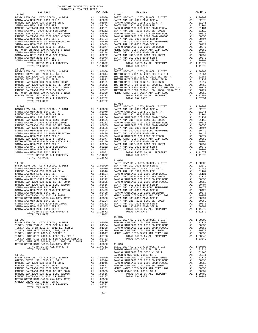| TOTAL TAX RATE                                                                                                    |                | 1.11672                                                                                                                                 |                  |
|-------------------------------------------------------------------------------------------------------------------|----------------|-----------------------------------------------------------------------------------------------------------------------------------------|------------------|
| $11 - 006$                                                                                                        |                |                                                                                                                                         | $11 - 012$       |
| BASIC LEVY-CO., CITY, SCHOOL, & DIST                                                                              |                |                                                                                                                                         |                  |
| SASIL DEVI CO., DIE 2010 EL, SR C<br>GARDEN GROVE USD, 2010 EL, SR C<br>RANCHO SANTIAGO CCD SFID #1 SR A          |                |                                                                                                                                         |                  |
| GARDEN GROVE USD, 2010, SR B                                                                                      |                |                                                                                                                                         |                  |
| RANCHO SANTIAGO CCD 2002 BOND 2003A                                                                               |                |                                                                                                                                         |                  |
| RANCHO SANTIAGO CCD 2002 BOND #2006C<br>RANCHO SANTIAGO CCD 2002 BOND #2006C<br>RANCHO SANTIAGO CCD 2002 SR 2005R |                |                                                                                                                                         |                  |
|                                                                                                                   |                |                                                                                                                                         |                  |
| METRO WATER DIST-SANTA ANA CITY 1202<br>GARDEN GROVE USD, 2010, SR A<br>GARDEN GROVE USD, 2010, SR A              |                |                                                                                                                                         |                  |
|                                                                                                                   |                |                                                                                                                                         |                  |
|                                                                                                                   |                |                                                                                                                                         | $11 - 013$       |
|                                                                                                                   |                |                                                                                                                                         |                  |
|                                                                                                                   |                |                                                                                                                                         |                  |
|                                                                                                                   |                |                                                                                                                                         |                  |
|                                                                                                                   |                |                                                                                                                                         |                  |
|                                                                                                                   |                |                                                                                                                                         |                  |
|                                                                                                                   |                |                                                                                                                                         |                  |
|                                                                                                                   |                |                                                                                                                                         |                  |
|                                                                                                                   |                |                                                                                                                                         |                  |
|                                                                                                                   |                |                                                                                                                                         |                  |
|                                                                                                                   |                |                                                                                                                                         |                  |
|                                                                                                                   |                |                                                                                                                                         |                  |
|                                                                                                                   |                |                                                                                                                                         |                  |
|                                                                                                                   |                |                                                                                                                                         |                  |
|                                                                                                                   |                |                                                                                                                                         |                  |
|                                                                                                                   |                |                                                                                                                                         |                  |
|                                                                                                                   |                |                                                                                                                                         |                  |
|                                                                                                                   |                |                                                                                                                                         |                  |
|                                                                                                                   |                |                                                                                                                                         |                  |
|                                                                                                                   |                |                                                                                                                                         |                  |
|                                                                                                                   |                |                                                                                                                                         |                  |
|                                                                                                                   |                |                                                                                                                                         |                  |
|                                                                                                                   |                |                                                                                                                                         |                  |
|                                                                                                                   |                |                                                                                                                                         |                  |
|                                                                                                                   |                |                                                                                                                                         |                  |
|                                                                                                                   |                |                                                                                                                                         |                  |
|                                                                                                                   |                |                                                                                                                                         |                  |
|                                                                                                                   |                |                                                                                                                                         |                  |
| SANTA ANA USD-2008 BOND SER F<br>SANTA ANA USD-2008 BOND SER B                                                    |                | A1 .00073<br>A1 .00001                                                                                                                  | SANTA A          |
| TOTAL RATES ON ALL PROPERTY                                                                                       |                | A1 1.11672                                                                                                                              |                  |
| TOTAL TAX RATE                                                                                                    |                | 1.11672                                                                                                                                 | $11 - 015$       |
| $11 - 009$                                                                                                        |                |                                                                                                                                         | BASIC L          |
|                                                                                                                   |                |                                                                                                                                         |                  |
|                                                                                                                   |                |                                                                                                                                         |                  |
|                                                                                                                   |                |                                                                                                                                         |                  |
|                                                                                                                   |                |                                                                                                                                         |                  |
|                                                                                                                   |                |                                                                                                                                         |                  |
|                                                                                                                   |                |                                                                                                                                         |                  |
|                                                                                                                   |                |                                                                                                                                         |                  |
|                                                                                                                   |                |                                                                                                                                         |                  |
| $11 - 010$                                                                                                        |                |                                                                                                                                         | RANCHO<br>GARDEN |
| BASIC LEVY-CO., CITY, SCHOOL, & DIST                                                                              |                |                                                                                                                                         |                  |
| GARDEN GROVE USD, 2010 EL, SR C                                                                                   |                | GRANCHO GRANCHO<br>A1 .02314 RANCHO<br>A1 .01946 RANCHO<br>A1 .01946 RANCHO<br>A1 .01841 RANCHO<br>A1 .00835 GARDEN<br>A1 .00835 GARDEN |                  |
| RANCHO SANTIAGO CCD SFID #1 SR A<br>GARDEN GROVE USD, 2010, SR B                                                  |                |                                                                                                                                         |                  |
| RANCHO SANTIAGO CCD 2002 BOND 2003A                                                                               |                |                                                                                                                                         |                  |
| RANCHO SANTIAGO CCD 2012 GO REF BOND<br>RANCHO SANTIAGO CCD 2002 BOND #2006C                                      | A1<br>A1<br>A1 | .00656                                                                                                                                  |                  |
| RANCHO SANTIAGO CCD 2002 SR 2005B                                                                                 | A1             | .00377                                                                                                                                  |                  |
| METRO WATER DIST-SANTA ANA CITY 1202                                                                              |                | A1 .00350<br>A1 .00332                                                                                                                  |                  |
| GARDEN GROVE USD, 2010, SR A<br>TOTAL RATES ON ALL PROPERTY                                                       |                | A1 1.09782                                                                                                                              |                  |
| TOTAL TAX RATE                                                                                                    |                | 1.09782                                                                                                                                 |                  |
|                                                                                                                   |                |                                                                                                                                         |                  |

-81-

| COUNTY OF ORANGE TAX RATE BOOK<br>$2016-2017\quad\text{TRA TAX RATES}\label{eq:2016-2017}$ DISTRICT | TAX RATE | DISTRICT   | TAX RATE |
|-----------------------------------------------------------------------------------------------------|----------|------------|----------|
| $11 - 005$                                                                                          |          | $11 - 011$ |          |
|                                                                                                     |          |            |          |
|                                                                                                     |          |            |          |
|                                                                                                     |          |            |          |
|                                                                                                     |          |            |          |
|                                                                                                     |          |            |          |
|                                                                                                     |          |            |          |
|                                                                                                     |          |            |          |
|                                                                                                     |          |            |          |
|                                                                                                     |          |            |          |
|                                                                                                     |          |            |          |
|                                                                                                     |          |            |          |
|                                                                                                     |          |            |          |
|                                                                                                     |          |            |          |
|                                                                                                     |          |            |          |
|                                                                                                     |          |            |          |
|                                                                                                     |          |            |          |
|                                                                                                     |          |            |          |
|                                                                                                     |          |            |          |
|                                                                                                     |          |            |          |
|                                                                                                     |          |            |          |
|                                                                                                     |          |            |          |
|                                                                                                     |          |            |          |
|                                                                                                     |          |            |          |
|                                                                                                     |          |            |          |
|                                                                                                     |          |            |          |
|                                                                                                     |          |            |          |
|                                                                                                     |          |            |          |
|                                                                                                     |          |            |          |
|                                                                                                     |          |            |          |
|                                                                                                     |          |            |          |
|                                                                                                     |          |            |          |
|                                                                                                     |          |            |          |
|                                                                                                     |          |            |          |
|                                                                                                     |          |            |          |
|                                                                                                     |          |            |          |
|                                                                                                     |          |            |          |
|                                                                                                     |          |            |          |
|                                                                                                     |          |            |          |
|                                                                                                     |          |            |          |
|                                                                                                     |          |            |          |
|                                                                                                     |          |            |          |
|                                                                                                     |          |            |          |
|                                                                                                     |          |            |          |
|                                                                                                     |          |            |          |
|                                                                                                     |          |            |          |
|                                                                                                     |          |            |          |
|                                                                                                     |          |            |          |
|                                                                                                     |          |            |          |
|                                                                                                     |          |            |          |
|                                                                                                     |          |            |          |
|                                                                                                     |          |            |          |
|                                                                                                     |          |            |          |
|                                                                                                     |          |            |          |
|                                                                                                     |          |            |          |
|                                                                                                     |          |            |          |
|                                                                                                     |          |            |          |
|                                                                                                     |          | $11 - 015$ |          |
|                                                                                                     |          |            |          |
|                                                                                                     |          |            |          |
|                                                                                                     |          |            |          |
|                                                                                                     |          |            |          |
|                                                                                                     |          |            |          |
|                                                                                                     |          |            |          |
|                                                                                                     |          |            |          |
|                                                                                                     |          |            |          |
|                                                                                                     |          |            |          |
|                                                                                                     |          |            |          |
|                                                                                                     |          |            |          |
|                                                                                                     |          |            |          |
|                                                                                                     |          |            |          |
|                                                                                                     |          |            |          |
|                                                                                                     |          |            |          |
|                                                                                                     |          |            |          |
|                                                                                                     |          |            |          |
|                                                                                                     |          |            |          |
|                                                                                                     |          |            |          |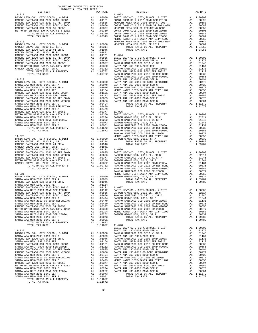| COUNTY OF ORANGE TAX RATE BOOK<br>2016-2017 TRA TAX RATES<br>$2016-2017\begin{array}{l} \texttt{?} \\ \texttt{TRA} \\ \texttt{TRA} \\ \texttt{RATES} \end{array}$ DISTRICT |          |          |          |
|----------------------------------------------------------------------------------------------------------------------------------------------------------------------------|----------|----------|----------|
|                                                                                                                                                                            | TAX RATE | DISTRICT | TAX RATE |
|                                                                                                                                                                            |          |          |          |
|                                                                                                                                                                            |          |          |          |
|                                                                                                                                                                            |          |          |          |
|                                                                                                                                                                            |          |          |          |
|                                                                                                                                                                            |          |          |          |
|                                                                                                                                                                            |          |          |          |
|                                                                                                                                                                            |          |          |          |
|                                                                                                                                                                            |          |          |          |
|                                                                                                                                                                            |          |          |          |
|                                                                                                                                                                            |          |          |          |
|                                                                                                                                                                            |          |          |          |
|                                                                                                                                                                            |          |          |          |
|                                                                                                                                                                            |          |          |          |
|                                                                                                                                                                            |          |          |          |
|                                                                                                                                                                            |          |          |          |
|                                                                                                                                                                            |          |          |          |
|                                                                                                                                                                            |          |          |          |
|                                                                                                                                                                            |          |          |          |
|                                                                                                                                                                            |          |          |          |
|                                                                                                                                                                            |          |          |          |
|                                                                                                                                                                            |          |          |          |
|                                                                                                                                                                            |          |          |          |
|                                                                                                                                                                            |          |          |          |
|                                                                                                                                                                            |          |          |          |
|                                                                                                                                                                            |          |          |          |
|                                                                                                                                                                            |          |          |          |
|                                                                                                                                                                            |          |          |          |
|                                                                                                                                                                            |          |          |          |
|                                                                                                                                                                            |          |          |          |
|                                                                                                                                                                            |          |          |          |
|                                                                                                                                                                            |          |          |          |
|                                                                                                                                                                            |          |          |          |
|                                                                                                                                                                            |          |          |          |
|                                                                                                                                                                            |          |          |          |
|                                                                                                                                                                            |          |          |          |
|                                                                                                                                                                            |          |          |          |
|                                                                                                                                                                            |          |          |          |
|                                                                                                                                                                            |          |          |          |
|                                                                                                                                                                            |          |          |          |
|                                                                                                                                                                            |          |          |          |
|                                                                                                                                                                            |          |          |          |
|                                                                                                                                                                            |          |          |          |
|                                                                                                                                                                            |          |          |          |
|                                                                                                                                                                            |          |          |          |
|                                                                                                                                                                            |          |          |          |
|                                                                                                                                                                            |          |          |          |
|                                                                                                                                                                            |          |          |          |
|                                                                                                                                                                            |          |          |          |
|                                                                                                                                                                            |          |          |          |
|                                                                                                                                                                            |          |          |          |
|                                                                                                                                                                            |          |          |          |
|                                                                                                                                                                            |          |          |          |
|                                                                                                                                                                            |          |          |          |
|                                                                                                                                                                            |          |          |          |
|                                                                                                                                                                            |          |          |          |
|                                                                                                                                                                            |          |          |          |
|                                                                                                                                                                            |          |          |          |
|                                                                                                                                                                            |          |          |          |
|                                                                                                                                                                            |          |          |          |
|                                                                                                                                                                            |          |          |          |
|                                                                                                                                                                            |          |          |          |
|                                                                                                                                                                            |          |          |          |
|                                                                                                                                                                            |          |          |          |
|                                                                                                                                                                            |          |          |          |
|                                                                                                                                                                            |          |          |          |
|                                                                                                                                                                            |          |          |          |
|                                                                                                                                                                            |          |          |          |
|                                                                                                                                                                            |          |          |          |
|                                                                                                                                                                            |          |          |          |
|                                                                                                                                                                            |          |          |          |
|                                                                                                                                                                            |          |          |          |
|                                                                                                                                                                            |          |          |          |
|                                                                                                                                                                            |          |          |          |
|                                                                                                                                                                            |          |          |          |
|                                                                                                                                                                            |          |          |          |
|                                                                                                                                                                            |          |          |          |
|                                                                                                                                                                            |          |          |          |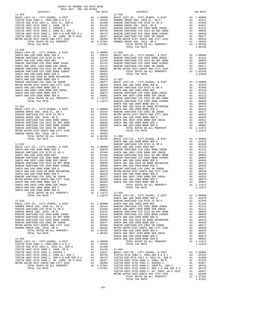| COUNTY OF ORANGE TAX RATE BOOK                                  |  |                                                                                                                                                                                                                                                                                     |          |
|-----------------------------------------------------------------|--|-------------------------------------------------------------------------------------------------------------------------------------------------------------------------------------------------------------------------------------------------------------------------------------|----------|
| $2016-2017\quad\text{TRA TAX RATES}\label{eq:201}$ DISTRICT $$$ |  |                                                                                                                                                                                                                                                                                     | TAX RATE |
| $11 - 029$                                                      |  | TAX RATE DISTRICT DISTRICT                                                                                                                                                                                                                                                          |          |
|                                                                 |  |                                                                                                                                                                                                                                                                                     |          |
|                                                                 |  |                                                                                                                                                                                                                                                                                     |          |
|                                                                 |  |                                                                                                                                                                                                                                                                                     |          |
|                                                                 |  |                                                                                                                                                                                                                                                                                     |          |
|                                                                 |  |                                                                                                                                                                                                                                                                                     |          |
|                                                                 |  |                                                                                                                                                                                                                                                                                     |          |
|                                                                 |  |                                                                                                                                                                                                                                                                                     |          |
|                                                                 |  |                                                                                                                                                                                                                                                                                     |          |
|                                                                 |  |                                                                                                                                                                                                                                                                                     |          |
| $11 - 030$                                                      |  |                                                                                                                                                                                                                                                                                     |          |
|                                                                 |  |                                                                                                                                                                                                                                                                                     |          |
|                                                                 |  |                                                                                                                                                                                                                                                                                     |          |
|                                                                 |  |                                                                                                                                                                                                                                                                                     |          |
|                                                                 |  |                                                                                                                                                                                                                                                                                     |          |
|                                                                 |  |                                                                                                                                                                                                                                                                                     |          |
|                                                                 |  |                                                                                                                                                                                                                                                                                     |          |
|                                                                 |  |                                                                                                                                                                                                                                                                                     |          |
|                                                                 |  |                                                                                                                                                                                                                                                                                     |          |
|                                                                 |  |                                                                                                                                                                                                                                                                                     |          |
|                                                                 |  |                                                                                                                                                                                                                                                                                     |          |
|                                                                 |  |                                                                                                                                                                                                                                                                                     |          |
|                                                                 |  |                                                                                                                                                                                                                                                                                     |          |
|                                                                 |  |                                                                                                                                                                                                                                                                                     |          |
|                                                                 |  |                                                                                                                                                                                                                                                                                     |          |
|                                                                 |  |                                                                                                                                                                                                                                                                                     |          |
|                                                                 |  | 1.5792<br>1.5792<br>1.5792<br>1.5792<br>1.5792<br>1.5792<br>1.5792<br>1.5792<br>1.5792<br>1.5792<br>1.5792<br>1.5792<br>1.5792<br>1.5792<br>1.5792<br>1.5792<br>1.5792<br>1.5792<br>1.5792<br>1.5792<br>1.5792<br>1.5792<br>1.5792<br>1.5792<br>1.5792<br>1.5792<br>1.5792<br>1.579 |          |
|                                                                 |  |                                                                                                                                                                                                                                                                                     |          |
|                                                                 |  |                                                                                                                                                                                                                                                                                     |          |
|                                                                 |  |                                                                                                                                                                                                                                                                                     |          |
|                                                                 |  |                                                                                                                                                                                                                                                                                     |          |
|                                                                 |  |                                                                                                                                                                                                                                                                                     |          |
|                                                                 |  |                                                                                                                                                                                                                                                                                     |          |
|                                                                 |  |                                                                                                                                                                                                                                                                                     |          |
|                                                                 |  |                                                                                                                                                                                                                                                                                     |          |
|                                                                 |  |                                                                                                                                                                                                                                                                                     |          |
|                                                                 |  |                                                                                                                                                                                                                                                                                     |          |
|                                                                 |  |                                                                                                                                                                                                                                                                                     |          |
|                                                                 |  |                                                                                                                                                                                                                                                                                     |          |
|                                                                 |  |                                                                                                                                                                                                                                                                                     |          |
|                                                                 |  |                                                                                                                                                                                                                                                                                     |          |
|                                                                 |  |                                                                                                                                                                                                                                                                                     |          |
|                                                                 |  |                                                                                                                                                                                                                                                                                     |          |
|                                                                 |  |                                                                                                                                                                                                                                                                                     |          |
|                                                                 |  |                                                                                                                                                                                                                                                                                     |          |
|                                                                 |  |                                                                                                                                                                                                                                                                                     |          |
|                                                                 |  |                                                                                                                                                                                                                                                                                     |          |
|                                                                 |  |                                                                                                                                                                                                                                                                                     |          |
|                                                                 |  |                                                                                                                                                                                                                                                                                     |          |
|                                                                 |  |                                                                                                                                                                                                                                                                                     |          |
|                                                                 |  |                                                                                                                                                                                                                                                                                     |          |
|                                                                 |  |                                                                                                                                                                                                                                                                                     |          |
|                                                                 |  |                                                                                                                                                                                                                                                                                     |          |
|                                                                 |  |                                                                                                                                                                                                                                                                                     |          |
|                                                                 |  |                                                                                                                                                                                                                                                                                     |          |
|                                                                 |  |                                                                                                                                                                                                                                                                                     |          |
|                                                                 |  |                                                                                                                                                                                                                                                                                     |          |
|                                                                 |  |                                                                                                                                                                                                                                                                                     |          |
|                                                                 |  |                                                                                                                                                                                                                                                                                     |          |
|                                                                 |  |                                                                                                                                                                                                                                                                                     |          |
|                                                                 |  |                                                                                                                                                                                                                                                                                     |          |
|                                                                 |  |                                                                                                                                                                                                                                                                                     |          |
|                                                                 |  |                                                                                                                                                                                                                                                                                     |          |
|                                                                 |  |                                                                                                                                                                                                                                                                                     |          |
|                                                                 |  |                                                                                                                                                                                                                                                                                     |          |
|                                                                 |  |                                                                                                                                                                                                                                                                                     |          |
|                                                                 |  |                                                                                                                                                                                                                                                                                     |          |
|                                                                 |  |                                                                                                                                                                                                                                                                                     |          |
|                                                                 |  |                                                                                                                                                                                                                                                                                     |          |
|                                                                 |  |                                                                                                                                                                                                                                                                                     |          |
|                                                                 |  |                                                                                                                                                                                                                                                                                     |          |
|                                                                 |  |                                                                                                                                                                                                                                                                                     |          |
|                                                                 |  |                                                                                                                                                                                                                                                                                     |          |
|                                                                 |  |                                                                                                                                                                                                                                                                                     |          |
|                                                                 |  |                                                                                                                                                                                                                                                                                     |          |
|                                                                 |  |                                                                                                                                                                                                                                                                                     |          |
|                                                                 |  |                                                                                                                                                                                                                                                                                     |          |
|                                                                 |  |                                                                                                                                                                                                                                                                                     |          |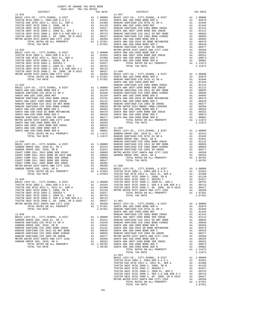| TAX RATE<br>DISTRICT                                                                                                                                                                                                                                                          |  | DISTRICT | TAX RATE |
|-------------------------------------------------------------------------------------------------------------------------------------------------------------------------------------------------------------------------------------------------------------------------------|--|----------|----------|
|                                                                                                                                                                                                                                                                               |  |          |          |
|                                                                                                                                                                                                                                                                               |  |          |          |
|                                                                                                                                                                                                                                                                               |  |          |          |
|                                                                                                                                                                                                                                                                               |  |          |          |
|                                                                                                                                                                                                                                                                               |  |          |          |
|                                                                                                                                                                                                                                                                               |  |          |          |
|                                                                                                                                                                                                                                                                               |  |          |          |
|                                                                                                                                                                                                                                                                               |  |          |          |
|                                                                                                                                                                                                                                                                               |  |          |          |
|                                                                                                                                                                                                                                                                               |  |          |          |
|                                                                                                                                                                                                                                                                               |  |          |          |
|                                                                                                                                                                                                                                                                               |  |          |          |
|                                                                                                                                                                                                                                                                               |  |          |          |
|                                                                                                                                                                                                                                                                               |  |          |          |
|                                                                                                                                                                                                                                                                               |  |          |          |
|                                                                                                                                                                                                                                                                               |  |          |          |
|                                                                                                                                                                                                                                                                               |  |          |          |
|                                                                                                                                                                                                                                                                               |  |          |          |
|                                                                                                                                                                                                                                                                               |  |          |          |
|                                                                                                                                                                                                                                                                               |  |          |          |
|                                                                                                                                                                                                                                                                               |  |          |          |
|                                                                                                                                                                                                                                                                               |  |          |          |
|                                                                                                                                                                                                                                                                               |  |          |          |
|                                                                                                                                                                                                                                                                               |  |          |          |
|                                                                                                                                                                                                                                                                               |  |          |          |
|                                                                                                                                                                                                                                                                               |  |          |          |
|                                                                                                                                                                                                                                                                               |  |          |          |
|                                                                                                                                                                                                                                                                               |  |          |          |
|                                                                                                                                                                                                                                                                               |  |          |          |
|                                                                                                                                                                                                                                                                               |  |          |          |
|                                                                                                                                                                                                                                                                               |  |          |          |
|                                                                                                                                                                                                                                                                               |  |          |          |
|                                                                                                                                                                                                                                                                               |  |          |          |
|                                                                                                                                                                                                                                                                               |  |          |          |
|                                                                                                                                                                                                                                                                               |  |          |          |
|                                                                                                                                                                                                                                                                               |  |          |          |
|                                                                                                                                                                                                                                                                               |  |          |          |
|                                                                                                                                                                                                                                                                               |  |          |          |
|                                                                                                                                                                                                                                                                               |  |          |          |
|                                                                                                                                                                                                                                                                               |  |          |          |
|                                                                                                                                                                                                                                                                               |  |          |          |
|                                                                                                                                                                                                                                                                               |  |          |          |
|                                                                                                                                                                                                                                                                               |  |          |          |
|                                                                                                                                                                                                                                                                               |  |          |          |
|                                                                                                                                                                                                                                                                               |  |          |          |
|                                                                                                                                                                                                                                                                               |  |          |          |
|                                                                                                                                                                                                                                                                               |  |          |          |
|                                                                                                                                                                                                                                                                               |  |          |          |
|                                                                                                                                                                                                                                                                               |  |          |          |
|                                                                                                                                                                                                                                                                               |  |          |          |
|                                                                                                                                                                                                                                                                               |  |          |          |
|                                                                                                                                                                                                                                                                               |  |          |          |
|                                                                                                                                                                                                                                                                               |  |          |          |
|                                                                                                                                                                                                                                                                               |  |          |          |
|                                                                                                                                                                                                                                                                               |  |          |          |
|                                                                                                                                                                                                                                                                               |  |          |          |
|                                                                                                                                                                                                                                                                               |  |          |          |
|                                                                                                                                                                                                                                                                               |  |          |          |
|                                                                                                                                                                                                                                                                               |  |          |          |
|                                                                                                                                                                                                                                                                               |  |          |          |
|                                                                                                                                                                                                                                                                               |  |          |          |
|                                                                                                                                                                                                                                                                               |  |          |          |
|                                                                                                                                                                                                                                                                               |  |          |          |
|                                                                                                                                                                                                                                                                               |  |          |          |
|                                                                                                                                                                                                                                                                               |  |          |          |
|                                                                                                                                                                                                                                                                               |  |          |          |
|                                                                                                                                                                                                                                                                               |  |          |          |
|                                                                                                                                                                                                                                                                               |  |          |          |
|                                                                                                                                                                                                                                                                               |  |          |          |
|                                                                                                                                                                                                                                                                               |  |          |          |
|                                                                                                                                                                                                                                                                               |  |          |          |
|                                                                                                                                                                                                                                                                               |  |          |          |
|                                                                                                                                                                                                                                                                               |  |          |          |
|                                                                                                                                                                                                                                                                               |  |          |          |
|                                                                                                                                                                                                                                                                               |  |          |          |
|                                                                                                                                                                                                                                                                               |  |          |          |
|                                                                                                                                                                                                                                                                               |  |          |          |
|                                                                                                                                                                                                                                                                               |  |          |          |
|                                                                                                                                                                                                                                                                               |  |          |          |
|                                                                                                                                                                                                                                                                               |  |          |          |
|                                                                                                                                                                                                                                                                               |  |          |          |
|                                                                                                                                                                                                                                                                               |  |          |          |
|                                                                                                                                                                                                                                                                               |  |          |          |
| $\begin{tabular}{l cccc} \hline 1 & 0.011 & 0.012 & 0.012 & 0.018 & 0.128 & 0.128 & 0.008 & 0.008 & 0.008 & 0.008 & 0.008 & 0.008 & 0.008 & 0.008 & 0.008 & 0.008 & 0.008 & 0.008 & 0.008 & 0.008 & 0.008 & 0.008 & 0.008 & 0.008 & 0.008 & 0.008 & 0.008 & 0.008 & 0.008 & $ |  |          |          |
|                                                                                                                                                                                                                                                                               |  |          |          |
|                                                                                                                                                                                                                                                                               |  |          |          |
|                                                                                                                                                                                                                                                                               |  |          |          |
|                                                                                                                                                                                                                                                                               |  |          |          |
|                                                                                                                                                                                                                                                                               |  |          |          |
|                                                                                                                                                                                                                                                                               |  |          |          |
|                                                                                                                                                                                                                                                                               |  |          |          |
|                                                                                                                                                                                                                                                                               |  |          |          |
|                                                                                                                                                                                                                                                                               |  |          |          |

COUNTY OF ORANGE TAX RATE BOOK 2016-2017 TRA TAX RATES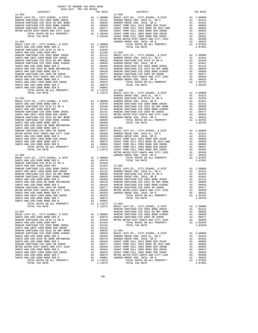| COUNTY OF ORANGE TAX RATE BOOK<br>2016-2017 TRA TAX RATES                                                  |    |                                                                                                                                                   |                                                                                                                                                                                                                                                                                                                                                                                             |
|------------------------------------------------------------------------------------------------------------|----|---------------------------------------------------------------------------------------------------------------------------------------------------|---------------------------------------------------------------------------------------------------------------------------------------------------------------------------------------------------------------------------------------------------------------------------------------------------------------------------------------------------------------------------------------------|
| DISTRICT                                                                                                   |    | TAX RATE                                                                                                                                          |                                                                                                                                                                                                                                                                                                                                                                                             |
| $11 - 053$                                                                                                 |    |                                                                                                                                                   | $11 - 058$                                                                                                                                                                                                                                                                                                                                                                                  |
|                                                                                                            |    |                                                                                                                                                   |                                                                                                                                                                                                                                                                                                                                                                                             |
|                                                                                                            |    |                                                                                                                                                   |                                                                                                                                                                                                                                                                                                                                                                                             |
|                                                                                                            |    |                                                                                                                                                   |                                                                                                                                                                                                                                                                                                                                                                                             |
|                                                                                                            |    |                                                                                                                                                   |                                                                                                                                                                                                                                                                                                                                                                                             |
|                                                                                                            |    |                                                                                                                                                   |                                                                                                                                                                                                                                                                                                                                                                                             |
|                                                                                                            |    |                                                                                                                                                   |                                                                                                                                                                                                                                                                                                                                                                                             |
|                                                                                                            |    |                                                                                                                                                   | METRO W                                                                                                                                                                                                                                                                                                                                                                                     |
| $11 - 054$                                                                                                 |    |                                                                                                                                                   | GARDEN                                                                                                                                                                                                                                                                                                                                                                                      |
| BASIC LEVY-CO., CITY, SCHOOL, & DIST                                                                       |    | A1 1.00000                                                                                                                                        |                                                                                                                                                                                                                                                                                                                                                                                             |
| SANTA ANA USD-2008 BOND SER A<br>RANCHO SANTIAGO CCD SFID #1 SR A                                          |    | A1 .02079                                                                                                                                         |                                                                                                                                                                                                                                                                                                                                                                                             |
|                                                                                                            |    | A1 .01946                                                                                                                                         |                                                                                                                                                                                                                                                                                                                                                                                             |
|                                                                                                            |    |                                                                                                                                                   |                                                                                                                                                                                                                                                                                                                                                                                             |
|                                                                                                            |    |                                                                                                                                                   |                                                                                                                                                                                                                                                                                                                                                                                             |
|                                                                                                            |    |                                                                                                                                                   |                                                                                                                                                                                                                                                                                                                                                                                             |
|                                                                                                            |    |                                                                                                                                                   |                                                                                                                                                                                                                                                                                                                                                                                             |
|                                                                                                            |    |                                                                                                                                                   |                                                                                                                                                                                                                                                                                                                                                                                             |
|                                                                                                            |    |                                                                                                                                                   |                                                                                                                                                                                                                                                                                                                                                                                             |
|                                                                                                            |    |                                                                                                                                                   |                                                                                                                                                                                                                                                                                                                                                                                             |
|                                                                                                            |    |                                                                                                                                                   |                                                                                                                                                                                                                                                                                                                                                                                             |
|                                                                                                            |    |                                                                                                                                                   |                                                                                                                                                                                                                                                                                                                                                                                             |
|                                                                                                            |    |                                                                                                                                                   |                                                                                                                                                                                                                                                                                                                                                                                             |
|                                                                                                            |    |                                                                                                                                                   |                                                                                                                                                                                                                                                                                                                                                                                             |
|                                                                                                            |    |                                                                                                                                                   |                                                                                                                                                                                                                                                                                                                                                                                             |
|                                                                                                            |    |                                                                                                                                                   |                                                                                                                                                                                                                                                                                                                                                                                             |
|                                                                                                            |    |                                                                                                                                                   |                                                                                                                                                                                                                                                                                                                                                                                             |
|                                                                                                            |    |                                                                                                                                                   | GARDEN                                                                                                                                                                                                                                                                                                                                                                                      |
| $11 - 055$                                                                                                 |    |                                                                                                                                                   | RANCHO                                                                                                                                                                                                                                                                                                                                                                                      |
|                                                                                                            |    |                                                                                                                                                   |                                                                                                                                                                                                                                                                                                                                                                                             |
|                                                                                                            |    |                                                                                                                                                   |                                                                                                                                                                                                                                                                                                                                                                                             |
|                                                                                                            |    |                                                                                                                                                   |                                                                                                                                                                                                                                                                                                                                                                                             |
|                                                                                                            |    |                                                                                                                                                   |                                                                                                                                                                                                                                                                                                                                                                                             |
|                                                                                                            |    |                                                                                                                                                   |                                                                                                                                                                                                                                                                                                                                                                                             |
|                                                                                                            |    |                                                                                                                                                   |                                                                                                                                                                                                                                                                                                                                                                                             |
|                                                                                                            |    |                                                                                                                                                   |                                                                                                                                                                                                                                                                                                                                                                                             |
|                                                                                                            |    |                                                                                                                                                   |                                                                                                                                                                                                                                                                                                                                                                                             |
| SANTA ANA USD-2008 BOND SER C                                                                              |    |                                                                                                                                                   |                                                                                                                                                                                                                                                                                                                                                                                             |
| SANTA ANA USD-2008 BOND SER C<br>RANCHO SANTIAGO CCD 2002 SR 2005B<br>METRO WATER DIST-SANTA ANA CITY 1202 |    |                                                                                                                                                   |                                                                                                                                                                                                                                                                                                                                                                                             |
|                                                                                                            |    |                                                                                                                                                   |                                                                                                                                                                                                                                                                                                                                                                                             |
| SANTA ANA USD-2008 BOND SER E                                                                              |    |                                                                                                                                                   |                                                                                                                                                                                                                                                                                                                                                                                             |
| SANTA ANA UNIF-1999 BOND SER 2002A                                                                         |    |                                                                                                                                                   |                                                                                                                                                                                                                                                                                                                                                                                             |
| SANTA ANA USD-2008 BOND SER F                                                                              |    |                                                                                                                                                   |                                                                                                                                                                                                                                                                                                                                                                                             |
| SANTA ANA USD-2008 BOND SER B                                                                              |    |                                                                                                                                                   |                                                                                                                                                                                                                                                                                                                                                                                             |
|                                                                                                            |    |                                                                                                                                                   |                                                                                                                                                                                                                                                                                                                                                                                             |
|                                                                                                            |    |                                                                                                                                                   | METRO W                                                                                                                                                                                                                                                                                                                                                                                     |
| $11 - 056$                                                                                                 |    |                                                                                                                                                   | GARDEN                                                                                                                                                                                                                                                                                                                                                                                      |
|                                                                                                            |    |                                                                                                                                                   |                                                                                                                                                                                                                                                                                                                                                                                             |
|                                                                                                            |    |                                                                                                                                                   |                                                                                                                                                                                                                                                                                                                                                                                             |
|                                                                                                            |    |                                                                                                                                                   |                                                                                                                                                                                                                                                                                                                                                                                             |
|                                                                                                            |    |                                                                                                                                                   |                                                                                                                                                                                                                                                                                                                                                                                             |
|                                                                                                            |    |                                                                                                                                                   |                                                                                                                                                                                                                                                                                                                                                                                             |
|                                                                                                            |    |                                                                                                                                                   |                                                                                                                                                                                                                                                                                                                                                                                             |
|                                                                                                            |    |                                                                                                                                                   |                                                                                                                                                                                                                                                                                                                                                                                             |
|                                                                                                            |    |                                                                                                                                                   |                                                                                                                                                                                                                                                                                                                                                                                             |
|                                                                                                            |    |                                                                                                                                                   |                                                                                                                                                                                                                                                                                                                                                                                             |
|                                                                                                            |    |                                                                                                                                                   |                                                                                                                                                                                                                                                                                                                                                                                             |
|                                                                                                            |    |                                                                                                                                                   |                                                                                                                                                                                                                                                                                                                                                                                             |
|                                                                                                            |    |                                                                                                                                                   |                                                                                                                                                                                                                                                                                                                                                                                             |
| SANTA ANA UNIF-1999 BOND SER 2002A                                                                         |    | A1.00252                                                                                                                                          |                                                                                                                                                                                                                                                                                                                                                                                             |
| SANTA ANA USD-2008 BOND SER F                                                                              | A1 | .00073                                                                                                                                            |                                                                                                                                                                                                                                                                                                                                                                                             |
| SANTA ANA USD-2008 BOND SER B                                                                              | A1 | .00001                                                                                                                                            |                                                                                                                                                                                                                                                                                                                                                                                             |
| TOTAL RATES ON ALL PROPERTY                                                                                |    | A1 1.11672                                                                                                                                        | $11 - 063$                                                                                                                                                                                                                                                                                                                                                                                  |
| TOTAL TAX RATE                                                                                             |    | 1.11672                                                                                                                                           | BASIC L                                                                                                                                                                                                                                                                                                                                                                                     |
|                                                                                                            |    |                                                                                                                                                   | RANCHO                                                                                                                                                                                                                                                                                                                                                                                      |
| $11 - 057$                                                                                                 |    | A1 1.00000                                                                                                                                        | RANCHO                                                                                                                                                                                                                                                                                                                                                                                      |
| BASIC LEVY-CO., CITY, SCHOOL, & DIST<br>SANTA ANA USD-2008 BOND SER A                                      | A1 | .02079                                                                                                                                            | $\begin{tabular}{ll} $\mathbb{Z}$ & $\mathbb{R}$ & \textbf{R}NCHO \\ $01946$ & \textbf{M} & \textbf{R} \\\ $01946$ & \textbf{M} & \textbf{R} \\\ $01164$ & \textbf{M} & \textbf{R} \\\ $01164$ & \textbf{M} & \textbf{M} \\\ $01164$ & \textbf{M} & \textbf{M} \\\ $01164$ & \textbf{M} & \textbf{M} \\\ $01164$ & \textbf{M} & \textbf{M} \\\ $01164$ & \textbf{M} & \textbf{M} \\\ $0116$ |
| RANCHO SANTIAGO CCD SFID #1 SR A                                                                           | A1 |                                                                                                                                                   |                                                                                                                                                                                                                                                                                                                                                                                             |
| SANTA ANA USD 1999, 2009 REF                                                                               | A1 |                                                                                                                                                   |                                                                                                                                                                                                                                                                                                                                                                                             |
| RANCHO SANTIAGO CCD 2002 BOND 2003A                                                                        | A1 | .01131                                                                                                                                            |                                                                                                                                                                                                                                                                                                                                                                                             |
| SANTA ANA UNIF-1999 BOND SER 2002B                                                                         |    | A1 .01112                                                                                                                                         |                                                                                                                                                                                                                                                                                                                                                                                             |
| RANCHO SANTIAGO CCD 2012 GO REF BOND                                                                       |    |                                                                                                                                                   |                                                                                                                                                                                                                                                                                                                                                                                             |
| RANCHO SANTIAGO CCD 2002 BOND #2006C<br>SANTA ANA USD-2008 BOND SER D                                      |    | A1 .00835 11-064<br>A1 .00656 BASIC L<br>A1 .00494 GARDEN                                                                                         |                                                                                                                                                                                                                                                                                                                                                                                             |
| SANTA ANA USD-2010 GO BOND REFUNDING                                                                       |    |                                                                                                                                                   |                                                                                                                                                                                                                                                                                                                                                                                             |
| SANTA ANA USD-2008 BOND SER C                                                                              |    |                                                                                                                                                   |                                                                                                                                                                                                                                                                                                                                                                                             |
| RANCHO SANTIAGO CCD 2002 SR 2005B                                                                          |    | Al .00494 BASIC .00050 BASIC .00494 GARDEN<br>Al .00494 GARDEN<br>Al .00479 GARDEN<br>Al .00377 COAST C<br>Al .00252 COAST C<br>Al .00252 COAST C |                                                                                                                                                                                                                                                                                                                                                                                             |
| METRO WATER DIST-SANTA ANA CITY 1202                                                                       |    |                                                                                                                                                   |                                                                                                                                                                                                                                                                                                                                                                                             |
| SANTA ANA USD-2008 BOND SER E                                                                              |    |                                                                                                                                                   |                                                                                                                                                                                                                                                                                                                                                                                             |
| SANTA ANA UNIF-1999 BOND SER 2002A                                                                         |    |                                                                                                                                                   |                                                                                                                                                                                                                                                                                                                                                                                             |
| SANTA ANA USD-2008 BOND SER F                                                                              |    | A1 .00073 METRO W<br>A1 .00001 GARDEN                                                                                                             |                                                                                                                                                                                                                                                                                                                                                                                             |
| SANTA ANA USD-2008 BOND SER B                                                                              |    |                                                                                                                                                   |                                                                                                                                                                                                                                                                                                                                                                                             |
| TOTAL RATES ON ALL PROPERTY                                                                                |    | A1 1.11672                                                                                                                                        |                                                                                                                                                                                                                                                                                                                                                                                             |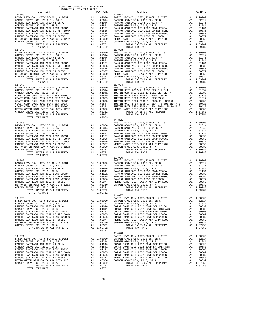|            | DISTRICT                                                                                                                                                                                                                                                                                                                                                                                                                         |                                                          | TAX RATE                                                                                                                                                                                                                                |                                                                                                                       |
|------------|----------------------------------------------------------------------------------------------------------------------------------------------------------------------------------------------------------------------------------------------------------------------------------------------------------------------------------------------------------------------------------------------------------------------------------|----------------------------------------------------------|-----------------------------------------------------------------------------------------------------------------------------------------------------------------------------------------------------------------------------------------|-----------------------------------------------------------------------------------------------------------------------|
| $11 - 065$ | TOTAL RATES ON ALL PROPERTY<br>TOTAL TAX RATE                                                                                                                                                                                                                                                                                                                                                                                    |                                                          | A1 1.09782<br>1.09782                                                                                                                                                                                                                   | 11-072                                                                                                                |
|            |                                                                                                                                                                                                                                                                                                                                                                                                                                  |                                                          |                                                                                                                                                                                                                                         |                                                                                                                       |
|            |                                                                                                                                                                                                                                                                                                                                                                                                                                  |                                                          |                                                                                                                                                                                                                                         |                                                                                                                       |
| $11 - 068$ | BASIC LEVY-CO., CITY, SCHOOL, & DIST<br>BASIC LEVI-CO., CITI, COLL, SR C<br>GARDEN GROVE USD, 2010 EL, SR C<br>GARDEN GROVE USD, 2010, SR B<br>RANCHO SANTIAGO CCD 2002 BOND 2003A<br>RANCHO SANTIAGO CCD 2012 GO REF BOND<br>RANCHO SANTIAGO CCD 2002 BOND #2006C<br>RANCHO SANTIAGO CCD 2002 SR 2005B<br>METRO WATER DIST-SANTA ANA CITY 1202<br>GARDEN GROVE USD, 2010, SR A                                                  |                                                          |                                                                                                                                                                                                                                         | BASIC L                                                                                                               |
| $11 - 069$ | TOTAL TAX RATE                                                                                                                                                                                                                                                                                                                                                                                                                   |                                                          | 1.09782                                                                                                                                                                                                                                 | $11 - 076$<br>BASIC L                                                                                                 |
| $11 - 070$ | BASIC LEVY-CO., CITY, SCHOOL, & DIST<br>GARDEN GROVE USD, 2010 EL, SR C<br>RANCHO SANTIAGO CCD SFID #1 SR A<br>GARDEN GROVE USD, 2010, SR B<br>RANCHO SANTIAGO CCD 2002 BOND 2003A<br>RANCHO SANTIAGO CCD 2012 GO REF BOND<br>RANCHO SANTIAGO CCD 2002 BOND #2006C<br>RANCHO SANTIAGO CCD 2002 SR 2005B<br>METRO WATER DIST-SANTA ANA CITY 1202<br>GARDEN GROVE USD, 2010, SR A<br>TOTAL RATES ON ALL PROPERTY<br>TOTAL TAX RATE | A1<br>A1<br>A1<br>A1<br>A1<br>A1<br>A1<br>A1<br>A1<br>A1 | 1.00000<br>.02314<br>.01946<br>.01841<br>.01131<br>.00835<br>.00656<br>.00377<br>.00350<br>.00332<br>A1 1.09782<br>1.09782                                                                                                              | $11 - 077$<br>BASIC L<br>GARDEN<br>GARDEN<br>COAST C<br>COAST C<br>COAST C<br>COAST C<br>COAST C<br>METRO W<br>GARDEN |
| 11-071     | BASIC LEVY-CO., CITY, SCHOOL, & DIST<br>GARDEN GROVE USD, 2010 EL, SR C<br>RANCHO SANTIAGO CCD SFID #1 SR A<br>GARDEN GROVE USD, 2010, SR B<br>RANCHO SANTIAGO CCD 2002 BOND 2003A<br>RANCHO SANTIAGO CCD 2012 GO REF BOND<br>RANCHO SANTIAGO CCD 2002 BOND #2006C<br>RANCHO SANTIAGO CCD 2002 SR 2005B<br>METRO WATER DIST-SANTA ANA CITY 1202<br>GARDEN GROVE USD, 2010, SR A<br>TOTAL RATES ON ALL PROPERTY<br>TOTAL TAX RATE | A1<br>A1<br>A1<br>A1<br>A1<br>A1<br>A1<br>A1<br>A1<br>A1 | $\begin{tabular}{c} 1.00000 & \texttt{GARDEN} \\ .02314 & \texttt{GARDEN} \\ .01946 & \texttt{COAST C} \\ .01841 & \texttt{COAST C} \end{tabular}$<br>.01131<br>.00835<br>.00656<br>.00377<br>.00350<br>.00332<br>A1 1.09782<br>1.09782 | $11 - 078$<br>BASIC L<br>COAST C<br>COAST C<br>COAST C<br>METRO W<br>GARDEN                                           |

| COUNTY OF ORANGE TAX RATE BOOK<br>$2016-2017\begin{array}{l} \texttt{if} \texttt{if} \texttt{if} \texttt{if} \texttt{if} \texttt{if} \texttt{if} \texttt{if} \texttt{if} \texttt{if} \texttt{if} \texttt{if} \texttt{if} \texttt{if} \texttt{if} \texttt{if} \texttt{if} \texttt{if} \texttt{if} \texttt{if} \texttt{if} \texttt{if} \texttt{if} \texttt{if} \texttt{if} \texttt{if} \texttt{if} \texttt{if} \texttt{if} \texttt{if} \texttt{if} \texttt{if} \texttt{if} \texttt{if}$ |          |                                                                                                                                                                                                                                                                                                                                                                                                                                                                           |          |
|---------------------------------------------------------------------------------------------------------------------------------------------------------------------------------------------------------------------------------------------------------------------------------------------------------------------------------------------------------------------------------------------------------------------------------------------------------------------------------------|----------|---------------------------------------------------------------------------------------------------------------------------------------------------------------------------------------------------------------------------------------------------------------------------------------------------------------------------------------------------------------------------------------------------------------------------------------------------------------------------|----------|
|                                                                                                                                                                                                                                                                                                                                                                                                                                                                                       | TAX RATE | DISTRICT                                                                                                                                                                                                                                                                                                                                                                                                                                                                  | TAX RATE |
| $11 - 065$                                                                                                                                                                                                                                                                                                                                                                                                                                                                            |          | $11 - 072$                                                                                                                                                                                                                                                                                                                                                                                                                                                                |          |
|                                                                                                                                                                                                                                                                                                                                                                                                                                                                                       |          |                                                                                                                                                                                                                                                                                                                                                                                                                                                                           |          |
|                                                                                                                                                                                                                                                                                                                                                                                                                                                                                       |          |                                                                                                                                                                                                                                                                                                                                                                                                                                                                           |          |
|                                                                                                                                                                                                                                                                                                                                                                                                                                                                                       |          | $\begin{tabular}{c cccc} \multicolumn{4}{c}{\begin{tabular}{@{}}c@{}} \multicolumn{4}{c}{\begin{tabular}{@{}}c@{}} \multicolumn{4}{c}{\begin{tabular}{@{}}c@{}} \multicolumn{4}{c}{\begin{tabular}{@{}}c@{}} \multicolumn{4}{c}{\begin{tabular}{@{}}c@{}} \multicolumn{4}{c}{\begin{tabular}{@{}}c@{}} \multicolumn{4}{c}{\begin{tabular}{@{}}c@{}} \multicolumn{4}{c}{\begin{tabular}{@{}}c@{}} \multicolumn{4}{c}{\begin{tabular}{@{}}c@{}} \multicolumn{4}{c}{\begin{$ |          |
|                                                                                                                                                                                                                                                                                                                                                                                                                                                                                       |          |                                                                                                                                                                                                                                                                                                                                                                                                                                                                           |          |
|                                                                                                                                                                                                                                                                                                                                                                                                                                                                                       |          |                                                                                                                                                                                                                                                                                                                                                                                                                                                                           |          |
|                                                                                                                                                                                                                                                                                                                                                                                                                                                                                       |          |                                                                                                                                                                                                                                                                                                                                                                                                                                                                           |          |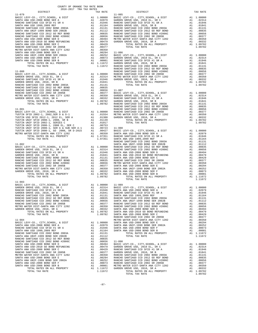| COUNTY OF ORANGE TAX RATE BOOK<br>2016-2017 TRA TAX RATES                 |          |                     |                  |
|---------------------------------------------------------------------------|----------|---------------------|------------------|
| DISTRICT                                                                  |          | TAX RATE            |                  |
| $11 - 079$                                                                |          |                     | $11 - 085$       |
|                                                                           |          |                     |                  |
|                                                                           |          |                     |                  |
|                                                                           |          |                     |                  |
|                                                                           |          |                     |                  |
|                                                                           |          |                     |                  |
|                                                                           |          |                     |                  |
|                                                                           |          |                     |                  |
|                                                                           |          |                     |                  |
|                                                                           |          |                     |                  |
|                                                                           |          |                     |                  |
|                                                                           |          |                     |                  |
|                                                                           |          |                     |                  |
|                                                                           |          |                     |                  |
|                                                                           |          |                     |                  |
|                                                                           |          |                     |                  |
|                                                                           |          |                     |                  |
|                                                                           |          |                     |                  |
| $11 - 080$                                                                |          |                     | RANCHO           |
|                                                                           |          |                     |                  |
|                                                                           |          |                     |                  |
|                                                                           |          |                     |                  |
|                                                                           |          |                     |                  |
|                                                                           |          |                     |                  |
|                                                                           |          |                     |                  |
|                                                                           |          |                     |                  |
|                                                                           |          |                     |                  |
|                                                                           |          |                     |                  |
|                                                                           |          |                     |                  |
|                                                                           |          |                     |                  |
|                                                                           |          |                     | RANCHO           |
| $11 - 081$                                                                |          |                     | RANCHO           |
|                                                                           |          |                     |                  |
|                                                                           |          |                     |                  |
|                                                                           |          |                     |                  |
|                                                                           |          |                     |                  |
|                                                                           |          |                     |                  |
|                                                                           |          |                     |                  |
|                                                                           |          |                     |                  |
|                                                                           |          |                     |                  |
|                                                                           |          |                     |                  |
|                                                                           |          |                     | RANCHO           |
| $11 - 082$                                                                |          |                     | SANTA A          |
|                                                                           |          |                     |                  |
|                                                                           |          |                     |                  |
|                                                                           |          |                     |                  |
|                                                                           |          |                     |                  |
|                                                                           |          |                     |                  |
|                                                                           |          |                     |                  |
|                                                                           |          |                     |                  |
|                                                                           |          |                     |                  |
|                                                                           |          |                     |                  |
|                                                                           |          |                     |                  |
| TOTAL TAX RATE                                                            |          | 1.09782             |                  |
| $11 - 083$                                                                |          |                     |                  |
|                                                                           |          |                     |                  |
|                                                                           |          |                     |                  |
|                                                                           |          |                     |                  |
|                                                                           |          |                     |                  |
| RANCHO SANTIAGO CCD 2002 BOND 2003A                                       | A1       | .01131              | SANTA A          |
| RANCHO SANTIAGO CCD 2012 GO REF BOND                                      | A1       | .00835              | RANCHO           |
| RANCHO SANTIAGO CCD 2002 BOND #2006C                                      | A1       | .00656              | SANTA A          |
| RANCHO SANTIAGO CCD 2002 SR 2005B<br>METRO WATER DIST-SANTA ANA CITY 1202 | A1       | A1 .00377<br>.00350 | RANCHO<br>RANCHO |
| GARDEN GROVE USD, 2010, SR A                                              | A1       | .00332              | SANTA A          |
| TOTAL RATES ON ALL PROPERTY                                               |          | A1 1.09782          | SANTA A          |
| TOTAL TAX RATE                                                            |          | 1.09782             | SANTA A          |
|                                                                           |          |                     | RANCHO           |
| $11 - 084$                                                                |          |                     | METRO W          |
| BASIC LEVY-CO., CITY, SCHOOL, & DIST                                      |          | A1 1.00000          | SANTA A          |
| SANTA ANA USD-2008 BOND SER A                                             |          | A1 .02079           | SANTA A          |
| RANCHO SANTIAGO CCD SFID #1 SR A                                          | A1       | .01946<br>.01164    | SANTA A          |
| SANTA ANA USD 1999, 2009 REF<br>RANCHO SANTIAGO CCD 2002 BOND 2003A       | A1<br>A1 | .01131              | SANTA A          |
| SANTA ANA UNIF-1999 BOND SER 2002B                                        | A1       | .01112              |                  |
| RANCHO SANTIAGO CCD 2012 GO REF BOND                                      | A1       | .00835              |                  |
| RANCHO SANTIAGO CCD 2002 BOND #2006C                                      |          | A1.00656            | $11 - 090$       |
| SANTA ANA USD-2008 BOND SER D                                             |          | A1.00494            | BASIC L          |
| SANTA ANA USD-2010 GO BOND REFUNDING                                      | A1       | .00479              | GARDEN           |
| SANTA ANA USD-2008 BOND SER C                                             | A1       | .00429              | RANCHO           |
| RANCHO SANTIAGO CCD 2002 SR 2005B                                         | A1       | .00377              | GARDEN           |
| METRO WATER DIST-SANTA ANA CITY 1202                                      | A1       | .00350              | RANCHO           |
| SANTA ANA USD-2008 BOND SER E<br>SANTA ANA UNIF-1999 BOND SER 2002A       | A1       | .00294<br>.00252    | RANCHO<br>RANCHO |
| SANTA ANA USD-2008 BOND SER F                                             | A1<br>A1 | .00073              | RANCHO           |
| SANTA ANA USD-2008 BOND SER B                                             | A1       | .00001              | METRO W          |
|                                                                           |          |                     |                  |

| 2016-2017 TRA TAX RATES<br>DISTRICT<br>$\begin{smallmatrix} 160.9 & 0.01 & 0.00 & 0.00 & 0.00 & 0.00 & 0.00 & 0.00 & 0.00 & 0.00 & 0.00 & 0.00 & 0.00 & 0.00 & 0.00 & 0.00 & 0.00 & 0.00 & 0.00 & 0.00 & 0.00 & 0.00 & 0.00 & 0.00 & 0.00 & 0.00 & 0.00 & 0.00 & 0.00 & 0.00 & 0.00 & 0.00 & 0.00 & 0.00 & 0.00 & 0.$ | TAX RATE | DISTRICT   | TAX RATE |
|-----------------------------------------------------------------------------------------------------------------------------------------------------------------------------------------------------------------------------------------------------------------------------------------------------------------------|----------|------------|----------|
|                                                                                                                                                                                                                                                                                                                       |          | $11 - 085$ |          |
|                                                                                                                                                                                                                                                                                                                       |          |            |          |
|                                                                                                                                                                                                                                                                                                                       |          |            |          |
|                                                                                                                                                                                                                                                                                                                       |          |            |          |
|                                                                                                                                                                                                                                                                                                                       |          |            |          |
|                                                                                                                                                                                                                                                                                                                       |          |            |          |
|                                                                                                                                                                                                                                                                                                                       |          |            |          |
|                                                                                                                                                                                                                                                                                                                       |          |            |          |
|                                                                                                                                                                                                                                                                                                                       |          |            |          |
|                                                                                                                                                                                                                                                                                                                       |          |            |          |
|                                                                                                                                                                                                                                                                                                                       |          |            |          |
|                                                                                                                                                                                                                                                                                                                       |          |            |          |
|                                                                                                                                                                                                                                                                                                                       |          |            |          |
|                                                                                                                                                                                                                                                                                                                       |          |            |          |
|                                                                                                                                                                                                                                                                                                                       |          |            |          |
|                                                                                                                                                                                                                                                                                                                       |          |            |          |
|                                                                                                                                                                                                                                                                                                                       |          |            |          |
|                                                                                                                                                                                                                                                                                                                       |          |            |          |
|                                                                                                                                                                                                                                                                                                                       |          |            |          |
|                                                                                                                                                                                                                                                                                                                       |          |            |          |
|                                                                                                                                                                                                                                                                                                                       |          |            |          |
|                                                                                                                                                                                                                                                                                                                       |          |            |          |
|                                                                                                                                                                                                                                                                                                                       |          |            |          |
|                                                                                                                                                                                                                                                                                                                       |          |            |          |
|                                                                                                                                                                                                                                                                                                                       |          |            |          |
|                                                                                                                                                                                                                                                                                                                       |          |            |          |
|                                                                                                                                                                                                                                                                                                                       |          |            |          |
|                                                                                                                                                                                                                                                                                                                       |          |            |          |
|                                                                                                                                                                                                                                                                                                                       |          |            |          |
|                                                                                                                                                                                                                                                                                                                       |          |            |          |
|                                                                                                                                                                                                                                                                                                                       |          |            |          |
|                                                                                                                                                                                                                                                                                                                       |          |            |          |
|                                                                                                                                                                                                                                                                                                                       |          |            |          |
|                                                                                                                                                                                                                                                                                                                       |          |            |          |
|                                                                                                                                                                                                                                                                                                                       |          |            |          |
|                                                                                                                                                                                                                                                                                                                       |          |            |          |
|                                                                                                                                                                                                                                                                                                                       |          |            |          |
|                                                                                                                                                                                                                                                                                                                       |          |            |          |
|                                                                                                                                                                                                                                                                                                                       |          |            |          |
|                                                                                                                                                                                                                                                                                                                       |          |            |          |
|                                                                                                                                                                                                                                                                                                                       |          |            |          |
|                                                                                                                                                                                                                                                                                                                       |          |            |          |
|                                                                                                                                                                                                                                                                                                                       |          |            |          |
|                                                                                                                                                                                                                                                                                                                       |          |            |          |
|                                                                                                                                                                                                                                                                                                                       |          |            |          |
|                                                                                                                                                                                                                                                                                                                       |          |            |          |
|                                                                                                                                                                                                                                                                                                                       |          |            |          |
|                                                                                                                                                                                                                                                                                                                       |          |            |          |
|                                                                                                                                                                                                                                                                                                                       |          |            |          |
| $11 - 083$                                                                                                                                                                                                                                                                                                            |          |            |          |
|                                                                                                                                                                                                                                                                                                                       |          |            |          |
|                                                                                                                                                                                                                                                                                                                       |          |            |          |
|                                                                                                                                                                                                                                                                                                                       |          |            |          |
|                                                                                                                                                                                                                                                                                                                       |          |            |          |
|                                                                                                                                                                                                                                                                                                                       |          |            |          |
|                                                                                                                                                                                                                                                                                                                       |          |            |          |
|                                                                                                                                                                                                                                                                                                                       |          |            |          |
|                                                                                                                                                                                                                                                                                                                       |          |            |          |
|                                                                                                                                                                                                                                                                                                                       |          |            |          |
|                                                                                                                                                                                                                                                                                                                       |          |            |          |
|                                                                                                                                                                                                                                                                                                                       |          |            |          |
|                                                                                                                                                                                                                                                                                                                       |          |            |          |
|                                                                                                                                                                                                                                                                                                                       |          |            |          |
|                                                                                                                                                                                                                                                                                                                       |          |            |          |
|                                                                                                                                                                                                                                                                                                                       |          |            |          |
|                                                                                                                                                                                                                                                                                                                       |          |            |          |
|                                                                                                                                                                                                                                                                                                                       |          |            |          |
|                                                                                                                                                                                                                                                                                                                       |          |            |          |
|                                                                                                                                                                                                                                                                                                                       |          |            |          |
|                                                                                                                                                                                                                                                                                                                       |          |            |          |
|                                                                                                                                                                                                                                                                                                                       |          |            |          |
|                                                                                                                                                                                                                                                                                                                       |          |            |          |
|                                                                                                                                                                                                                                                                                                                       |          |            |          |
|                                                                                                                                                                                                                                                                                                                       |          |            |          |
|                                                                                                                                                                                                                                                                                                                       |          |            |          |
|                                                                                                                                                                                                                                                                                                                       |          |            |          |
|                                                                                                                                                                                                                                                                                                                       |          |            |          |
|                                                                                                                                                                                                                                                                                                                       |          |            |          |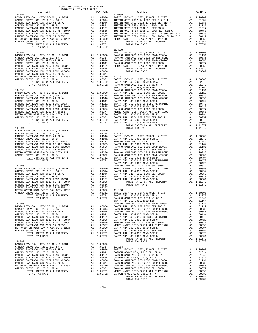|                                                                              | COUNTY OF ORANGE TAX RATE BOOK<br>2016-2017 TRA TAX RATES |                            |                                                                                                                                                                                                                                                          |                   |
|------------------------------------------------------------------------------|-----------------------------------------------------------|----------------------------|----------------------------------------------------------------------------------------------------------------------------------------------------------------------------------------------------------------------------------------------------------|-------------------|
| DISTRICT                                                                     |                                                           |                            | TAX RATE                                                                                                                                                                                                                                                 |                   |
| $11 - 091$                                                                   |                                                           |                            |                                                                                                                                                                                                                                                          | $11 - 099$        |
|                                                                              |                                                           |                            |                                                                                                                                                                                                                                                          |                   |
|                                                                              |                                                           |                            |                                                                                                                                                                                                                                                          |                   |
|                                                                              |                                                           |                            |                                                                                                                                                                                                                                                          |                   |
|                                                                              |                                                           |                            |                                                                                                                                                                                                                                                          |                   |
|                                                                              |                                                           |                            |                                                                                                                                                                                                                                                          |                   |
|                                                                              |                                                           |                            |                                                                                                                                                                                                                                                          |                   |
|                                                                              |                                                           |                            |                                                                                                                                                                                                                                                          |                   |
|                                                                              |                                                           |                            |                                                                                                                                                                                                                                                          |                   |
|                                                                              |                                                           |                            |                                                                                                                                                                                                                                                          |                   |
| TOTAL TAX RATE                                                               |                                                           |                            | 1.09782                                                                                                                                                                                                                                                  |                   |
|                                                                              |                                                           |                            |                                                                                                                                                                                                                                                          | $11 - 100$        |
| $11 - 092$                                                                   |                                                           |                            |                                                                                                                                                                                                                                                          | BASIC L           |
|                                                                              |                                                           |                            |                                                                                                                                                                                                                                                          |                   |
|                                                                              |                                                           |                            |                                                                                                                                                                                                                                                          |                   |
|                                                                              |                                                           |                            |                                                                                                                                                                                                                                                          |                   |
|                                                                              |                                                           |                            |                                                                                                                                                                                                                                                          |                   |
|                                                                              |                                                           |                            |                                                                                                                                                                                                                                                          |                   |
|                                                                              |                                                           |                            |                                                                                                                                                                                                                                                          |                   |
|                                                                              |                                                           |                            |                                                                                                                                                                                                                                                          |                   |
|                                                                              |                                                           |                            |                                                                                                                                                                                                                                                          |                   |
|                                                                              |                                                           |                            |                                                                                                                                                                                                                                                          |                   |
|                                                                              |                                                           |                            |                                                                                                                                                                                                                                                          |                   |
|                                                                              |                                                           |                            |                                                                                                                                                                                                                                                          | SANTA A           |
|                                                                              |                                                           |                            |                                                                                                                                                                                                                                                          |                   |
|                                                                              |                                                           |                            |                                                                                                                                                                                                                                                          |                   |
|                                                                              |                                                           |                            |                                                                                                                                                                                                                                                          |                   |
|                                                                              |                                                           |                            |                                                                                                                                                                                                                                                          |                   |
|                                                                              |                                                           |                            |                                                                                                                                                                                                                                                          |                   |
|                                                                              |                                                           |                            |                                                                                                                                                                                                                                                          |                   |
|                                                                              |                                                           |                            |                                                                                                                                                                                                                                                          |                   |
|                                                                              |                                                           |                            |                                                                                                                                                                                                                                                          |                   |
|                                                                              |                                                           |                            |                                                                                                                                                                                                                                                          |                   |
|                                                                              |                                                           |                            |                                                                                                                                                                                                                                                          |                   |
|                                                                              |                                                           |                            |                                                                                                                                                                                                                                                          |                   |
|                                                                              |                                                           |                            |                                                                                                                                                                                                                                                          |                   |
| $11 - 094$                                                                   |                                                           |                            |                                                                                                                                                                                                                                                          |                   |
|                                                                              |                                                           |                            |                                                                                                                                                                                                                                                          |                   |
|                                                                              |                                                           |                            |                                                                                                                                                                                                                                                          |                   |
|                                                                              |                                                           |                            |                                                                                                                                                                                                                                                          |                   |
|                                                                              |                                                           |                            |                                                                                                                                                                                                                                                          |                   |
|                                                                              |                                                           |                            |                                                                                                                                                                                                                                                          |                   |
|                                                                              |                                                           |                            |                                                                                                                                                                                                                                                          |                   |
|                                                                              |                                                           |                            |                                                                                                                                                                                                                                                          |                   |
|                                                                              |                                                           |                            |                                                                                                                                                                                                                                                          |                   |
|                                                                              |                                                           |                            |                                                                                                                                                                                                                                                          |                   |
|                                                                              |                                                           |                            |                                                                                                                                                                                                                                                          |                   |
|                                                                              |                                                           |                            |                                                                                                                                                                                                                                                          | SANTA A           |
|                                                                              |                                                           |                            |                                                                                                                                                                                                                                                          |                   |
|                                                                              |                                                           |                            |                                                                                                                                                                                                                                                          |                   |
|                                                                              |                                                           |                            |                                                                                                                                                                                                                                                          |                   |
|                                                                              |                                                           |                            |                                                                                                                                                                                                                                                          |                   |
|                                                                              |                                                           |                            |                                                                                                                                                                                                                                                          |                   |
|                                                                              |                                                           |                            |                                                                                                                                                                                                                                                          |                   |
|                                                                              |                                                           |                            |                                                                                                                                                                                                                                                          |                   |
|                                                                              |                                                           |                            |                                                                                                                                                                                                                                                          |                   |
|                                                                              |                                                           |                            |                                                                                                                                                                                                                                                          |                   |
|                                                                              |                                                           |                            |                                                                                                                                                                                                                                                          |                   |
| TOTAL RATES ON ALL PROPERTY                                                  |                                                           | $A1$ 1                     | 1.09782 SANTA A                                                                                                                                                                                                                                          |                   |
| TOTAL TAX RATE                                                               |                                                           |                            | 1.09782                                                                                                                                                                                                                                                  | RANCHO<br>SANTA A |
| $11 - 096$                                                                   |                                                           |                            |                                                                                                                                                                                                                                                          | RANCHO            |
| BASIC LEVY-CO., CITY, SCHOOL, & DIST                                         |                                                           |                            |                                                                                                                                                                                                                                                          |                   |
| GARDEN GROVE USD, 2010 EL, SR C                                              |                                                           |                            |                                                                                                                                                                                                                                                          |                   |
| RANCHO SANTIAGO CCD SFID #1 SR A                                             |                                                           |                            |                                                                                                                                                                                                                                                          |                   |
| GARDEN GROVE USD, 2010, SR B                                                 |                                                           |                            |                                                                                                                                                                                                                                                          |                   |
| RANCHO SANTIAGO CCD 2002 BOND 2003A                                          |                                                           |                            |                                                                                                                                                                                                                                                          |                   |
| RANCHO SANTIAGO CCD 2012 GO REF BOND<br>RANCHO SANTIAGO CCD 2002 BOND #2006C |                                                           |                            |                                                                                                                                                                                                                                                          |                   |
| RANCHO SANTIAGO CCD 2002 SR 2005B                                            |                                                           |                            |                                                                                                                                                                                                                                                          |                   |
| METRO WATER DIST-SANTA ANA CITY 1202                                         |                                                           |                            |                                                                                                                                                                                                                                                          |                   |
| GARDEN GROVE USD, 2010, SR A                                                 |                                                           |                            |                                                                                                                                                                                                                                                          |                   |
| TOTAL RATES ON ALL PROPERTY                                                  |                                                           |                            | RANCHO RANCHO<br>1.00000 SANTA A<br>1.02314 RANCHO<br>1.01941 RANCHO<br>1.01841 RANTA A<br>1.01841 SANTA A<br>1.0131 SANTA A<br>1.00355 SANTA A<br>1.00350 RANCHO<br>1.00377 METRO W<br>21.00350 SANTA A<br>21.00332 SANTA A<br>1.09782 SANTA A<br>1.097 |                   |
| TOTAL TAX RATE                                                               |                                                           |                            |                                                                                                                                                                                                                                                          |                   |
| $11 - 097$                                                                   |                                                           |                            |                                                                                                                                                                                                                                                          |                   |
| BASIC LEVY-CO., CITY, SCHOOL, & DIST                                         |                                                           |                            | A1 1.00000                                                                                                                                                                                                                                               |                   |
| GARDEN GROVE USD, 2010 EL, SR C                                              |                                                           |                            | A1 .02314 11-104                                                                                                                                                                                                                                         |                   |
| RANCHO SANTIAGO CCD SFID #1 SR A                                             |                                                           | A1                         | .01946                                                                                                                                                                                                                                                   | BASIC L           |
| GARDEN GROVE USD, 2010, SR B                                                 |                                                           | A1                         | .01841                                                                                                                                                                                                                                                   | GARDEN            |
| RANCHO SANTIAGO CCD 2002 BOND 2003A<br>RANCHO SANTIAGO CCD 2012 GO REF BOND  |                                                           | A1<br>A1<br>$\overline{ }$ | .01131                                                                                                                                                                                                                                                   | RANCHO            |
| RANCHO SANTIAGO CCD 2002 BOND #2006C                                         |                                                           |                            |                                                                                                                                                                                                                                                          |                   |
| RANCHO SANTIAGO CCD 2002 SR 2005B                                            |                                                           |                            |                                                                                                                                                                                                                                                          |                   |
| METRO WATER DIST-SANTA ANA CITY 1202                                         |                                                           |                            | A1 .01131 RANCHO<br>A1 .00835 GARDEN<br>A1 .00656 RANCHO<br>A1 .00377 RANCHO<br>A1 .00332 RANCHO<br>A1 .00332 RANCHO                                                                                                                                     |                   |
| GARDEN GROVE USD, 2010, SR A                                                 |                                                           |                            |                                                                                                                                                                                                                                                          |                   |

|            | 2016-2017 TRA TAX RATES |  | $\begin{tabular}{l c c c c c} {\small 11-091 & {\small 11-091} & {\small 11-099} & {\small 11-099} & {\small 11-099} & {\small 11-099} & {\small 11-099} & {\small 11-099} & {\small 11-099} & {\small 11-099} & {\small 11-099} & {\small 11-099} & {\small 11-099} & {\small 11-099} & {\small 11-099} & {\small 11-099} & {\small 11-099} & {\small 11-099} & {\small 11$ |         |
|------------|-------------------------|--|------------------------------------------------------------------------------------------------------------------------------------------------------------------------------------------------------------------------------------------------------------------------------------------------------------------------------------------------------------------------------|---------|
|            |                         |  |                                                                                                                                                                                                                                                                                                                                                                              |         |
|            |                         |  |                                                                                                                                                                                                                                                                                                                                                                              |         |
|            |                         |  |                                                                                                                                                                                                                                                                                                                                                                              |         |
|            |                         |  |                                                                                                                                                                                                                                                                                                                                                                              |         |
|            |                         |  |                                                                                                                                                                                                                                                                                                                                                                              |         |
|            |                         |  |                                                                                                                                                                                                                                                                                                                                                                              |         |
|            |                         |  |                                                                                                                                                                                                                                                                                                                                                                              |         |
|            |                         |  |                                                                                                                                                                                                                                                                                                                                                                              |         |
|            |                         |  |                                                                                                                                                                                                                                                                                                                                                                              |         |
|            |                         |  |                                                                                                                                                                                                                                                                                                                                                                              |         |
|            |                         |  |                                                                                                                                                                                                                                                                                                                                                                              |         |
|            |                         |  |                                                                                                                                                                                                                                                                                                                                                                              |         |
|            |                         |  |                                                                                                                                                                                                                                                                                                                                                                              |         |
|            |                         |  |                                                                                                                                                                                                                                                                                                                                                                              |         |
|            |                         |  |                                                                                                                                                                                                                                                                                                                                                                              |         |
|            |                         |  |                                                                                                                                                                                                                                                                                                                                                                              |         |
|            |                         |  |                                                                                                                                                                                                                                                                                                                                                                              |         |
|            |                         |  |                                                                                                                                                                                                                                                                                                                                                                              |         |
|            |                         |  |                                                                                                                                                                                                                                                                                                                                                                              |         |
|            |                         |  |                                                                                                                                                                                                                                                                                                                                                                              |         |
|            |                         |  |                                                                                                                                                                                                                                                                                                                                                                              |         |
|            |                         |  |                                                                                                                                                                                                                                                                                                                                                                              |         |
|            |                         |  |                                                                                                                                                                                                                                                                                                                                                                              |         |
|            |                         |  |                                                                                                                                                                                                                                                                                                                                                                              |         |
|            |                         |  |                                                                                                                                                                                                                                                                                                                                                                              |         |
|            |                         |  |                                                                                                                                                                                                                                                                                                                                                                              |         |
|            |                         |  |                                                                                                                                                                                                                                                                                                                                                                              |         |
|            |                         |  |                                                                                                                                                                                                                                                                                                                                                                              |         |
|            |                         |  |                                                                                                                                                                                                                                                                                                                                                                              |         |
|            |                         |  |                                                                                                                                                                                                                                                                                                                                                                              |         |
|            |                         |  |                                                                                                                                                                                                                                                                                                                                                                              |         |
|            |                         |  |                                                                                                                                                                                                                                                                                                                                                                              |         |
|            |                         |  |                                                                                                                                                                                                                                                                                                                                                                              |         |
| $11 - 094$ |                         |  | TOTAL TAX RATE                                                                                                                                                                                                                                                                                                                                                               | 1.11672 |
|            |                         |  |                                                                                                                                                                                                                                                                                                                                                                              |         |
|            |                         |  |                                                                                                                                                                                                                                                                                                                                                                              |         |
|            |                         |  |                                                                                                                                                                                                                                                                                                                                                                              |         |
|            |                         |  |                                                                                                                                                                                                                                                                                                                                                                              |         |
|            |                         |  |                                                                                                                                                                                                                                                                                                                                                                              |         |
|            |                         |  |                                                                                                                                                                                                                                                                                                                                                                              |         |
|            |                         |  |                                                                                                                                                                                                                                                                                                                                                                              |         |
|            |                         |  |                                                                                                                                                                                                                                                                                                                                                                              |         |
|            |                         |  |                                                                                                                                                                                                                                                                                                                                                                              |         |
|            |                         |  |                                                                                                                                                                                                                                                                                                                                                                              |         |
|            |                         |  |                                                                                                                                                                                                                                                                                                                                                                              |         |
|            |                         |  |                                                                                                                                                                                                                                                                                                                                                                              |         |
|            |                         |  |                                                                                                                                                                                                                                                                                                                                                                              |         |
|            |                         |  |                                                                                                                                                                                                                                                                                                                                                                              |         |
|            |                         |  |                                                                                                                                                                                                                                                                                                                                                                              |         |
|            |                         |  |                                                                                                                                                                                                                                                                                                                                                                              |         |
|            |                         |  |                                                                                                                                                                                                                                                                                                                                                                              |         |
|            |                         |  |                                                                                                                                                                                                                                                                                                                                                                              |         |
|            |                         |  |                                                                                                                                                                                                                                                                                                                                                                              |         |
|            |                         |  |                                                                                                                                                                                                                                                                                                                                                                              |         |
|            |                         |  |                                                                                                                                                                                                                                                                                                                                                                              |         |
|            |                         |  |                                                                                                                                                                                                                                                                                                                                                                              |         |
|            |                         |  |                                                                                                                                                                                                                                                                                                                                                                              |         |
|            |                         |  |                                                                                                                                                                                                                                                                                                                                                                              |         |
|            |                         |  |                                                                                                                                                                                                                                                                                                                                                                              |         |
|            |                         |  |                                                                                                                                                                                                                                                                                                                                                                              |         |
|            |                         |  |                                                                                                                                                                                                                                                                                                                                                                              |         |
|            |                         |  |                                                                                                                                                                                                                                                                                                                                                                              |         |
|            |                         |  |                                                                                                                                                                                                                                                                                                                                                                              |         |
|            |                         |  |                                                                                                                                                                                                                                                                                                                                                                              |         |
|            |                         |  |                                                                                                                                                                                                                                                                                                                                                                              |         |
|            |                         |  | $\begin{tabular}{cccccccc} 11.04 & 12.04 & 12.04 & 12.04 & 12.04 & 12.04 & 12.04 & 12.04 & 12.04 & 12.04 & 12.04 & 12.04 & 12.04 & 12.04 & 12.04 & 12.04 & 12.04 & 12.04 & 12.04 & 12.04 & 12.04 & 12.04 & 12.04 & 12.04 & 12.04 & 12.04 & 12.04 & 12.04 & 12.04 & 12.04 & $                                                                                                 |         |
|            |                         |  |                                                                                                                                                                                                                                                                                                                                                                              |         |
|            |                         |  |                                                                                                                                                                                                                                                                                                                                                                              |         |
|            |                         |  |                                                                                                                                                                                                                                                                                                                                                                              |         |
|            |                         |  |                                                                                                                                                                                                                                                                                                                                                                              |         |
|            |                         |  |                                                                                                                                                                                                                                                                                                                                                                              |         |
|            |                         |  |                                                                                                                                                                                                                                                                                                                                                                              |         |
|            |                         |  |                                                                                                                                                                                                                                                                                                                                                                              |         |
|            |                         |  |                                                                                                                                                                                                                                                                                                                                                                              |         |
|            |                         |  |                                                                                                                                                                                                                                                                                                                                                                              |         |
|            |                         |  |                                                                                                                                                                                                                                                                                                                                                                              |         |
|            |                         |  |                                                                                                                                                                                                                                                                                                                                                                              |         |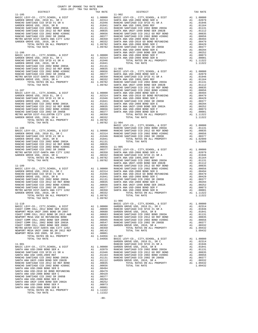| DISTRICT                                                                                                  |                                                                                                                                                                                                                                                                                                                                                                                          | TAX RATE                                |                       |
|-----------------------------------------------------------------------------------------------------------|------------------------------------------------------------------------------------------------------------------------------------------------------------------------------------------------------------------------------------------------------------------------------------------------------------------------------------------------------------------------------------------|-----------------------------------------|-----------------------|
| $11 - 105$                                                                                                |                                                                                                                                                                                                                                                                                                                                                                                          |                                         | $11 - 902$            |
| BASIC LEVY-CO., CITY, SCHOOL, & DIST                                                                      |                                                                                                                                                                                                                                                                                                                                                                                          |                                         |                       |
| GARDEN GROVE USD, 2010 EL, SR C<br>RANCHO SANTIAGO CCD SFID #1 SR A                                       |                                                                                                                                                                                                                                                                                                                                                                                          |                                         |                       |
| GARDEN GROVE USD, 2010, SR B                                                                              |                                                                                                                                                                                                                                                                                                                                                                                          |                                         |                       |
| RANCHO SANTIAGO CCD 2002 BOND 2003A                                                                       |                                                                                                                                                                                                                                                                                                                                                                                          |                                         |                       |
| RANCHO SANTIAGO CCD 2012 GO REF BOND                                                                      |                                                                                                                                                                                                                                                                                                                                                                                          |                                         |                       |
| RANCHO SANTIAGO CCD 2002 BOND #2006C                                                                      | $\begin{tabular}{cc} & 11-902 \\ \text{A1} & 1.00000 & \text{BASTC L} \\ \text{A1} & .02314 & \text{SANTA A} \\ \text{A1} & .01946 & \text{RANCHO} \\ \text{A1} & .01841 & \text{SANTA A} \\ \text{A1} & .01311 & \text{RANTA A} \\ \text{A1} & .00835 & \text{SANTA A} \\ \text{A1} & .00656 & \text{SANTA A} \\ \text{A1} & .00377 & \text{RANCHO} \\ \text{A1} & .00350 & \text{SANT$ |                                         |                       |
| RANCHO SANTIAGO CCD 2002 SR 2005B<br>METRO WATER DIST-SANTA ANA CITY 1202<br>GARDEN GROVE USD, 2010, SR A |                                                                                                                                                                                                                                                                                                                                                                                          |                                         |                       |
|                                                                                                           |                                                                                                                                                                                                                                                                                                                                                                                          |                                         |                       |
| TOTAL RATES ON ALL PROPERTY                                                                               |                                                                                                                                                                                                                                                                                                                                                                                          |                                         |                       |
| TOTAL TAX RATE                                                                                            |                                                                                                                                                                                                                                                                                                                                                                                          |                                         |                       |
|                                                                                                           |                                                                                                                                                                                                                                                                                                                                                                                          |                                         | SANTA A               |
| $11 - 106$<br>BASIC LEVY-CO., CITY, SCHOOL, & DIST                                                        |                                                                                                                                                                                                                                                                                                                                                                                          |                                         | SANTA A               |
| BASIC LEVY-CO., CITY, COLL, SR C<br>GARDEN GROVE USD, 2010 EL, SR C<br>---- COD SETD #1 SR A              |                                                                                                                                                                                                                                                                                                                                                                                          | A1 1.00000 SANTA A<br>A1 .02314 SANTA A |                       |
| RANCHO SANTIAGO CCD SFID #1 SR A                                                                          |                                                                                                                                                                                                                                                                                                                                                                                          | A1 .01946                               |                       |
|                                                                                                           |                                                                                                                                                                                                                                                                                                                                                                                          |                                         |                       |
|                                                                                                           |                                                                                                                                                                                                                                                                                                                                                                                          |                                         |                       |
|                                                                                                           |                                                                                                                                                                                                                                                                                                                                                                                          |                                         |                       |
|                                                                                                           |                                                                                                                                                                                                                                                                                                                                                                                          |                                         |                       |
|                                                                                                           |                                                                                                                                                                                                                                                                                                                                                                                          |                                         |                       |
|                                                                                                           |                                                                                                                                                                                                                                                                                                                                                                                          |                                         |                       |
|                                                                                                           |                                                                                                                                                                                                                                                                                                                                                                                          |                                         |                       |
|                                                                                                           |                                                                                                                                                                                                                                                                                                                                                                                          |                                         |                       |
| $11 - 107$                                                                                                |                                                                                                                                                                                                                                                                                                                                                                                          |                                         | RANCHO<br>RANCHO      |
|                                                                                                           |                                                                                                                                                                                                                                                                                                                                                                                          |                                         |                       |
|                                                                                                           |                                                                                                                                                                                                                                                                                                                                                                                          |                                         |                       |
|                                                                                                           |                                                                                                                                                                                                                                                                                                                                                                                          |                                         |                       |
|                                                                                                           |                                                                                                                                                                                                                                                                                                                                                                                          |                                         |                       |
|                                                                                                           |                                                                                                                                                                                                                                                                                                                                                                                          |                                         |                       |
|                                                                                                           |                                                                                                                                                                                                                                                                                                                                                                                          |                                         |                       |
|                                                                                                           |                                                                                                                                                                                                                                                                                                                                                                                          |                                         |                       |
|                                                                                                           |                                                                                                                                                                                                                                                                                                                                                                                          |                                         |                       |
|                                                                                                           |                                                                                                                                                                                                                                                                                                                                                                                          |                                         |                       |
|                                                                                                           |                                                                                                                                                                                                                                                                                                                                                                                          |                                         |                       |
| TOTAL TAX RATE                                                                                            |                                                                                                                                                                                                                                                                                                                                                                                          | 1.09782 11-904<br>BASIC L               |                       |
| $11 - 108$                                                                                                |                                                                                                                                                                                                                                                                                                                                                                                          |                                         | RANCHO                |
|                                                                                                           |                                                                                                                                                                                                                                                                                                                                                                                          |                                         |                       |
|                                                                                                           |                                                                                                                                                                                                                                                                                                                                                                                          |                                         |                       |
|                                                                                                           |                                                                                                                                                                                                                                                                                                                                                                                          |                                         |                       |
|                                                                                                           |                                                                                                                                                                                                                                                                                                                                                                                          |                                         |                       |
|                                                                                                           |                                                                                                                                                                                                                                                                                                                                                                                          |                                         |                       |
|                                                                                                           |                                                                                                                                                                                                                                                                                                                                                                                          |                                         |                       |
|                                                                                                           |                                                                                                                                                                                                                                                                                                                                                                                          |                                         |                       |
|                                                                                                           |                                                                                                                                                                                                                                                                                                                                                                                          |                                         |                       |
|                                                                                                           |                                                                                                                                                                                                                                                                                                                                                                                          |                                         |                       |
|                                                                                                           |                                                                                                                                                                                                                                                                                                                                                                                          |                                         |                       |
|                                                                                                           |                                                                                                                                                                                                                                                                                                                                                                                          |                                         | SANTA A               |
| $11 - 109$                                                                                                |                                                                                                                                                                                                                                                                                                                                                                                          |                                         | RANCHO                |
|                                                                                                           |                                                                                                                                                                                                                                                                                                                                                                                          |                                         |                       |
|                                                                                                           |                                                                                                                                                                                                                                                                                                                                                                                          |                                         |                       |
|                                                                                                           |                                                                                                                                                                                                                                                                                                                                                                                          |                                         |                       |
|                                                                                                           |                                                                                                                                                                                                                                                                                                                                                                                          |                                         |                       |
|                                                                                                           |                                                                                                                                                                                                                                                                                                                                                                                          |                                         |                       |
|                                                                                                           |                                                                                                                                                                                                                                                                                                                                                                                          |                                         |                       |
|                                                                                                           |                                                                                                                                                                                                                                                                                                                                                                                          |                                         |                       |
|                                                                                                           |                                                                                                                                                                                                                                                                                                                                                                                          |                                         |                       |
|                                                                                                           |                                                                                                                                                                                                                                                                                                                                                                                          |                                         |                       |
| TOTAL TAX RATE                                                                                            |                                                                                                                                                                                                                                                                                                                                                                                          | 1.09782                                 |                       |
| $11 - 110$                                                                                                |                                                                                                                                                                                                                                                                                                                                                                                          |                                         | $11 - 906$<br>BASIC L |
|                                                                                                           |                                                                                                                                                                                                                                                                                                                                                                                          |                                         |                       |
|                                                                                                           |                                                                                                                                                                                                                                                                                                                                                                                          |                                         |                       |
|                                                                                                           |                                                                                                                                                                                                                                                                                                                                                                                          |                                         |                       |
|                                                                                                           |                                                                                                                                                                                                                                                                                                                                                                                          |                                         |                       |
|                                                                                                           |                                                                                                                                                                                                                                                                                                                                                                                          |                                         |                       |
|                                                                                                           |                                                                                                                                                                                                                                                                                                                                                                                          |                                         |                       |
|                                                                                                           |                                                                                                                                                                                                                                                                                                                                                                                          |                                         |                       |
|                                                                                                           |                                                                                                                                                                                                                                                                                                                                                                                          |                                         |                       |
|                                                                                                           |                                                                                                                                                                                                                                                                                                                                                                                          |                                         |                       |
|                                                                                                           |                                                                                                                                                                                                                                                                                                                                                                                          |                                         |                       |
| TOTAL TAX RATE                                                                                            |                                                                                                                                                                                                                                                                                                                                                                                          |                                         |                       |
|                                                                                                           |                                                                                                                                                                                                                                                                                                                                                                                          |                                         | GARDEN                |
| $11 - 901$                                                                                                |                                                                                                                                                                                                                                                                                                                                                                                          |                                         | RANCHO                |
| BASIC LEVY-CO., CITY, SCHOOL, & DIST                                                                      |                                                                                                                                                                                                                                                                                                                                                                                          |                                         |                       |
| SANTA ANA USD-2008 BOND SER A<br>RANCHO SANTIAGO CCD SFID #1 SR A                                         | A1 1.00000 GARDEN<br>A1 .02079 RANCHO<br>A1 .01946 RANCHO<br>A1 .01164 RANCHO<br>A1 .01131 RANCHO<br>A1 .01111 RANCHO                                                                                                                                                                                                                                                                    |                                         |                       |
| SANTA ANA USD 1999, 2009 REF                                                                              |                                                                                                                                                                                                                                                                                                                                                                                          |                                         |                       |
|                                                                                                           |                                                                                                                                                                                                                                                                                                                                                                                          |                                         |                       |
|                                                                                                           |                                                                                                                                                                                                                                                                                                                                                                                          | A1 .01112                               | GARDEN                |
|                                                                                                           |                                                                                                                                                                                                                                                                                                                                                                                          | .00835                                  |                       |
|                                                                                                           |                                                                                                                                                                                                                                                                                                                                                                                          |                                         |                       |
|                                                                                                           |                                                                                                                                                                                                                                                                                                                                                                                          |                                         |                       |
|                                                                                                           |                                                                                                                                                                                                                                                                                                                                                                                          |                                         |                       |
|                                                                                                           |                                                                                                                                                                                                                                                                                                                                                                                          |                                         |                       |
|                                                                                                           |                                                                                                                                                                                                                                                                                                                                                                                          |                                         |                       |
| SANTA ANA UNIF-1999 BOND SER 2002A<br>SANTA ANA USD-2008 BOND SER F                                       | A1                                                                                                                                                                                                                                                                                                                                                                                       | .00252                                  |                       |
| SANTA ANA USD-2008 BOND SER B                                                                             |                                                                                                                                                                                                                                                                                                                                                                                          |                                         |                       |
| TOTAL RATES ON ALL PROPERTY                                                                               |                                                                                                                                                                                                                                                                                                                                                                                          | A1 1.11322                              |                       |
| TOTAL TAX RATE                                                                                            |                                                                                                                                                                                                                                                                                                                                                                                          | 1.11322                                 |                       |

| COUNTY OF ORANGE TAX RATE BOOK<br>2016-2017 TRA TAX RATES<br>$2016-2017\quad\text{TRA TAX RATES}\label{eq:2016-2017}$ DISTRICT |                                  |                                                                                                                                                                                                                                                                                                                                                                                                             |          |
|--------------------------------------------------------------------------------------------------------------------------------|----------------------------------|-------------------------------------------------------------------------------------------------------------------------------------------------------------------------------------------------------------------------------------------------------------------------------------------------------------------------------------------------------------------------------------------------------------|----------|
| $11 - 105$                                                                                                                     | TAX RATE                         | DISTRICT<br>$11 - 902$                                                                                                                                                                                                                                                                                                                                                                                      | TAX RATE |
|                                                                                                                                |                                  |                                                                                                                                                                                                                                                                                                                                                                                                             |          |
|                                                                                                                                |                                  |                                                                                                                                                                                                                                                                                                                                                                                                             |          |
|                                                                                                                                |                                  |                                                                                                                                                                                                                                                                                                                                                                                                             |          |
|                                                                                                                                |                                  |                                                                                                                                                                                                                                                                                                                                                                                                             |          |
|                                                                                                                                |                                  |                                                                                                                                                                                                                                                                                                                                                                                                             |          |
|                                                                                                                                |                                  |                                                                                                                                                                                                                                                                                                                                                                                                             |          |
|                                                                                                                                |                                  |                                                                                                                                                                                                                                                                                                                                                                                                             |          |
|                                                                                                                                |                                  |                                                                                                                                                                                                                                                                                                                                                                                                             |          |
|                                                                                                                                |                                  |                                                                                                                                                                                                                                                                                                                                                                                                             |          |
|                                                                                                                                |                                  |                                                                                                                                                                                                                                                                                                                                                                                                             |          |
|                                                                                                                                |                                  |                                                                                                                                                                                                                                                                                                                                                                                                             |          |
|                                                                                                                                |                                  |                                                                                                                                                                                                                                                                                                                                                                                                             |          |
|                                                                                                                                |                                  |                                                                                                                                                                                                                                                                                                                                                                                                             |          |
|                                                                                                                                |                                  |                                                                                                                                                                                                                                                                                                                                                                                                             |          |
|                                                                                                                                |                                  |                                                                                                                                                                                                                                                                                                                                                                                                             |          |
|                                                                                                                                |                                  |                                                                                                                                                                                                                                                                                                                                                                                                             |          |
|                                                                                                                                |                                  |                                                                                                                                                                                                                                                                                                                                                                                                             |          |
|                                                                                                                                |                                  |                                                                                                                                                                                                                                                                                                                                                                                                             |          |
|                                                                                                                                |                                  |                                                                                                                                                                                                                                                                                                                                                                                                             |          |
|                                                                                                                                |                                  |                                                                                                                                                                                                                                                                                                                                                                                                             |          |
|                                                                                                                                |                                  |                                                                                                                                                                                                                                                                                                                                                                                                             |          |
|                                                                                                                                |                                  |                                                                                                                                                                                                                                                                                                                                                                                                             |          |
|                                                                                                                                |                                  |                                                                                                                                                                                                                                                                                                                                                                                                             |          |
|                                                                                                                                |                                  |                                                                                                                                                                                                                                                                                                                                                                                                             |          |
|                                                                                                                                |                                  |                                                                                                                                                                                                                                                                                                                                                                                                             |          |
|                                                                                                                                |                                  |                                                                                                                                                                                                                                                                                                                                                                                                             |          |
|                                                                                                                                |                                  |                                                                                                                                                                                                                                                                                                                                                                                                             |          |
|                                                                                                                                |                                  |                                                                                                                                                                                                                                                                                                                                                                                                             |          |
|                                                                                                                                |                                  |                                                                                                                                                                                                                                                                                                                                                                                                             |          |
|                                                                                                                                |                                  |                                                                                                                                                                                                                                                                                                                                                                                                             |          |
|                                                                                                                                |                                  |                                                                                                                                                                                                                                                                                                                                                                                                             |          |
|                                                                                                                                |                                  |                                                                                                                                                                                                                                                                                                                                                                                                             |          |
|                                                                                                                                |                                  |                                                                                                                                                                                                                                                                                                                                                                                                             |          |
|                                                                                                                                |                                  |                                                                                                                                                                                                                                                                                                                                                                                                             |          |
|                                                                                                                                |                                  |                                                                                                                                                                                                                                                                                                                                                                                                             |          |
|                                                                                                                                |                                  |                                                                                                                                                                                                                                                                                                                                                                                                             |          |
|                                                                                                                                |                                  |                                                                                                                                                                                                                                                                                                                                                                                                             |          |
|                                                                                                                                |                                  |                                                                                                                                                                                                                                                                                                                                                                                                             |          |
|                                                                                                                                |                                  |                                                                                                                                                                                                                                                                                                                                                                                                             |          |
|                                                                                                                                |                                  |                                                                                                                                                                                                                                                                                                                                                                                                             |          |
|                                                                                                                                |                                  |                                                                                                                                                                                                                                                                                                                                                                                                             |          |
|                                                                                                                                |                                  |                                                                                                                                                                                                                                                                                                                                                                                                             |          |
|                                                                                                                                |                                  |                                                                                                                                                                                                                                                                                                                                                                                                             |          |
|                                                                                                                                |                                  |                                                                                                                                                                                                                                                                                                                                                                                                             |          |
|                                                                                                                                |                                  |                                                                                                                                                                                                                                                                                                                                                                                                             |          |
|                                                                                                                                |                                  |                                                                                                                                                                                                                                                                                                                                                                                                             |          |
|                                                                                                                                |                                  |                                                                                                                                                                                                                                                                                                                                                                                                             |          |
|                                                                                                                                |                                  |                                                                                                                                                                                                                                                                                                                                                                                                             |          |
|                                                                                                                                |                                  |                                                                                                                                                                                                                                                                                                                                                                                                             |          |
|                                                                                                                                |                                  |                                                                                                                                                                                                                                                                                                                                                                                                             |          |
|                                                                                                                                |                                  |                                                                                                                                                                                                                                                                                                                                                                                                             |          |
|                                                                                                                                |                                  |                                                                                                                                                                                                                                                                                                                                                                                                             |          |
|                                                                                                                                |                                  |                                                                                                                                                                                                                                                                                                                                                                                                             |          |
|                                                                                                                                |                                  |                                                                                                                                                                                                                                                                                                                                                                                                             |          |
|                                                                                                                                |                                  |                                                                                                                                                                                                                                                                                                                                                                                                             |          |
|                                                                                                                                |                                  |                                                                                                                                                                                                                                                                                                                                                                                                             |          |
|                                                                                                                                |                                  | $\overline{a}$<br>TOTAL TAX RATE                                                                                                                                                                                                                                                                                                                                                                            | 1.11322  |
| TOTAL RATES ON ALL PROPERTY<br>TOTAL TAX RATE                                                                                  | A1 1.09782<br>1.09782<br>1.09782 |                                                                                                                                                                                                                                                                                                                                                                                                             |          |
|                                                                                                                                |                                  |                                                                                                                                                                                                                                                                                                                                                                                                             |          |
|                                                                                                                                |                                  |                                                                                                                                                                                                                                                                                                                                                                                                             |          |
|                                                                                                                                |                                  |                                                                                                                                                                                                                                                                                                                                                                                                             |          |
|                                                                                                                                |                                  |                                                                                                                                                                                                                                                                                                                                                                                                             |          |
|                                                                                                                                |                                  |                                                                                                                                                                                                                                                                                                                                                                                                             |          |
|                                                                                                                                |                                  |                                                                                                                                                                                                                                                                                                                                                                                                             |          |
|                                                                                                                                |                                  |                                                                                                                                                                                                                                                                                                                                                                                                             |          |
|                                                                                                                                |                                  |                                                                                                                                                                                                                                                                                                                                                                                                             |          |
|                                                                                                                                |                                  |                                                                                                                                                                                                                                                                                                                                                                                                             |          |
|                                                                                                                                |                                  |                                                                                                                                                                                                                                                                                                                                                                                                             |          |
|                                                                                                                                |                                  |                                                                                                                                                                                                                                                                                                                                                                                                             |          |
|                                                                                                                                |                                  |                                                                                                                                                                                                                                                                                                                                                                                                             |          |
|                                                                                                                                |                                  | $\begin{tabular}{l c c c c c} \hline \text{TOTAL RATES ON ALL PROBERT} & \text{A1} & 1.04956 & 11-907 \\ \hline \text{11-901} & \text{GARIC LEVY-CO.}, \text{ CITY, SCHOOL}, & \text{A DIST} & \text{AAL 1.00000} \\ \hline \text{11-901} & \text{GARIC LEVY-CO.}, \text{ CITY, SCHOOL}, & \text{DIST} & \text{AIRNCHO GANTIAGO CO FID H1 ISR} & \text{A1} & 0.02314 \\ \text{BASIC LEVY-CO.}, \text{ CITY$ |          |
|                                                                                                                                |                                  |                                                                                                                                                                                                                                                                                                                                                                                                             |          |
|                                                                                                                                |                                  |                                                                                                                                                                                                                                                                                                                                                                                                             |          |
|                                                                                                                                |                                  |                                                                                                                                                                                                                                                                                                                                                                                                             |          |
|                                                                                                                                |                                  |                                                                                                                                                                                                                                                                                                                                                                                                             |          |
|                                                                                                                                |                                  |                                                                                                                                                                                                                                                                                                                                                                                                             |          |
|                                                                                                                                |                                  |                                                                                                                                                                                                                                                                                                                                                                                                             |          |
|                                                                                                                                |                                  |                                                                                                                                                                                                                                                                                                                                                                                                             |          |
|                                                                                                                                |                                  |                                                                                                                                                                                                                                                                                                                                                                                                             |          |
|                                                                                                                                |                                  |                                                                                                                                                                                                                                                                                                                                                                                                             |          |
|                                                                                                                                |                                  |                                                                                                                                                                                                                                                                                                                                                                                                             |          |
|                                                                                                                                |                                  |                                                                                                                                                                                                                                                                                                                                                                                                             |          |
| ספומר כס כממכ היא מאזידיווגים מעימוגים                                                                                         |                                  |                                                                                                                                                                                                                                                                                                                                                                                                             |          |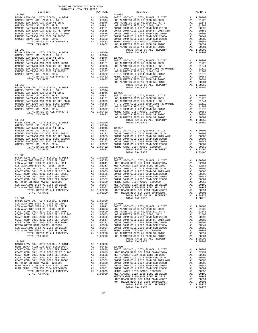| COUNTY OF ORANGE TAX RATE BOOK<br>$2016-2017\quad\text{TRA TAX RATES}\label{eq:2016-2017}$ DISTRICT |          |                                                                                      |          |
|-----------------------------------------------------------------------------------------------------|----------|--------------------------------------------------------------------------------------|----------|
|                                                                                                     | TAX RATE | DISTRICT                                                                             | TAX RATE |
| $11 - 908$                                                                                          |          | $12 - 003$                                                                           |          |
|                                                                                                     |          |                                                                                      |          |
|                                                                                                     |          |                                                                                      |          |
|                                                                                                     |          |                                                                                      |          |
|                                                                                                     |          |                                                                                      |          |
|                                                                                                     |          |                                                                                      |          |
|                                                                                                     |          |                                                                                      |          |
|                                                                                                     |          |                                                                                      |          |
|                                                                                                     |          |                                                                                      |          |
|                                                                                                     |          |                                                                                      |          |
|                                                                                                     |          |                                                                                      |          |
|                                                                                                     |          |                                                                                      |          |
|                                                                                                     |          |                                                                                      |          |
|                                                                                                     |          |                                                                                      |          |
|                                                                                                     |          |                                                                                      |          |
|                                                                                                     |          |                                                                                      |          |
|                                                                                                     |          |                                                                                      |          |
|                                                                                                     |          |                                                                                      |          |
|                                                                                                     |          |                                                                                      |          |
|                                                                                                     |          |                                                                                      |          |
|                                                                                                     |          |                                                                                      |          |
|                                                                                                     |          |                                                                                      |          |
|                                                                                                     |          |                                                                                      |          |
|                                                                                                     |          |                                                                                      |          |
|                                                                                                     |          |                                                                                      |          |
|                                                                                                     |          |                                                                                      |          |
|                                                                                                     |          |                                                                                      |          |
|                                                                                                     |          |                                                                                      |          |
|                                                                                                     |          |                                                                                      |          |
| $12 - 000$                                                                                          |          |                                                                                      |          |
|                                                                                                     |          |                                                                                      |          |
|                                                                                                     |          |                                                                                      |          |
|                                                                                                     |          |                                                                                      |          |
|                                                                                                     |          |                                                                                      |          |
|                                                                                                     |          |                                                                                      |          |
|                                                                                                     |          |                                                                                      |          |
|                                                                                                     |          |                                                                                      |          |
|                                                                                                     |          |                                                                                      |          |
| $12 - 001$                                                                                          |          | TOTAL RATES ON ALL PROPERTY FOTAL RATES ON ALL PROPERTY A1 1.08778<br>TOTAL TAX RATE | 1.08778  |
|                                                                                                     |          |                                                                                      |          |
|                                                                                                     |          |                                                                                      |          |
|                                                                                                     |          |                                                                                      |          |
|                                                                                                     |          |                                                                                      |          |
|                                                                                                     |          |                                                                                      |          |
|                                                                                                     |          |                                                                                      |          |
|                                                                                                     |          |                                                                                      |          |
|                                                                                                     |          |                                                                                      |          |
|                                                                                                     |          |                                                                                      |          |
|                                                                                                     |          |                                                                                      |          |
|                                                                                                     |          |                                                                                      |          |
|                                                                                                     |          |                                                                                      |          |
|                                                                                                     |          |                                                                                      |          |
|                                                                                                     |          |                                                                                      |          |
|                                                                                                     |          |                                                                                      |          |
|                                                                                                     |          |                                                                                      |          |
|                                                                                                     |          |                                                                                      |          |
|                                                                                                     |          |                                                                                      |          |
|                                                                                                     |          |                                                                                      |          |
|                                                                                                     |          |                                                                                      |          |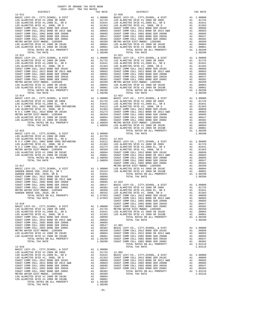| TOTAL TAX RATE                                                                                                                                                                                                                                                                                                                                                                                                                       |          | 1.08290                                                                                                                                                                            |                    |
|--------------------------------------------------------------------------------------------------------------------------------------------------------------------------------------------------------------------------------------------------------------------------------------------------------------------------------------------------------------------------------------------------------------------------------------|----------|------------------------------------------------------------------------------------------------------------------------------------------------------------------------------------|--------------------|
| $12 - 012$                                                                                                                                                                                                                                                                                                                                                                                                                           |          |                                                                                                                                                                                    | $12 - 021$         |
|                                                                                                                                                                                                                                                                                                                                                                                                                                      |          |                                                                                                                                                                                    |                    |
|                                                                                                                                                                                                                                                                                                                                                                                                                                      |          |                                                                                                                                                                                    |                    |
|                                                                                                                                                                                                                                                                                                                                                                                                                                      |          |                                                                                                                                                                                    |                    |
|                                                                                                                                                                                                                                                                                                                                                                                                                                      |          |                                                                                                                                                                                    |                    |
|                                                                                                                                                                                                                                                                                                                                                                                                                                      |          |                                                                                                                                                                                    |                    |
|                                                                                                                                                                                                                                                                                                                                                                                                                                      |          |                                                                                                                                                                                    |                    |
|                                                                                                                                                                                                                                                                                                                                                                                                                                      |          |                                                                                                                                                                                    |                    |
| TOTAL TAX RATE                                                                                                                                                                                                                                                                                                                                                                                                                       |          | 1.08290                                                                                                                                                                            |                    |
|                                                                                                                                                                                                                                                                                                                                                                                                                                      |          |                                                                                                                                                                                    |                    |
|                                                                                                                                                                                                                                                                                                                                                                                                                                      |          |                                                                                                                                                                                    |                    |
|                                                                                                                                                                                                                                                                                                                                                                                                                                      |          |                                                                                                                                                                                    |                    |
|                                                                                                                                                                                                                                                                                                                                                                                                                                      |          |                                                                                                                                                                                    |                    |
|                                                                                                                                                                                                                                                                                                                                                                                                                                      |          |                                                                                                                                                                                    |                    |
|                                                                                                                                                                                                                                                                                                                                                                                                                                      |          |                                                                                                                                                                                    |                    |
|                                                                                                                                                                                                                                                                                                                                                                                                                                      |          |                                                                                                                                                                                    |                    |
| $12 - 015$                                                                                                                                                                                                                                                                                                                                                                                                                           |          |                                                                                                                                                                                    | LOS ALA            |
|                                                                                                                                                                                                                                                                                                                                                                                                                                      |          |                                                                                                                                                                                    |                    |
|                                                                                                                                                                                                                                                                                                                                                                                                                                      |          |                                                                                                                                                                                    |                    |
|                                                                                                                                                                                                                                                                                                                                                                                                                                      |          |                                                                                                                                                                                    |                    |
|                                                                                                                                                                                                                                                                                                                                                                                                                                      |          |                                                                                                                                                                                    |                    |
|                                                                                                                                                                                                                                                                                                                                                                                                                                      |          |                                                                                                                                                                                    |                    |
|                                                                                                                                                                                                                                                                                                                                                                                                                                      |          |                                                                                                                                                                                    |                    |
|                                                                                                                                                                                                                                                                                                                                                                                                                                      |          |                                                                                                                                                                                    | COAST C            |
| $12 - 017$                                                                                                                                                                                                                                                                                                                                                                                                                           |          |                                                                                                                                                                                    | METRO W            |
|                                                                                                                                                                                                                                                                                                                                                                                                                                      |          |                                                                                                                                                                                    |                    |
|                                                                                                                                                                                                                                                                                                                                                                                                                                      |          |                                                                                                                                                                                    |                    |
| $\begin{tabular}{l c c c c} \multicolumn{1}{c}{\textbf{12-017}} & \multicolumn{1}{c}{\textbf{METRO W}} & \multicolumn{1}{c}{\textbf{METRO W}} \\ \multicolumn{1}{c}{\textbf{BASIC LEVY-CO. , CITY, SCHOOL, & DIST}} & \multicolumn{1}{c}{\textbf{A1}} & 1.00000 & \textbf{LOS ALA} \\ \multicolumn{1}{c}{\textbf{GARDEN GROVE USD, 2010, SER C}} & \multicolumn{1}{c}{\textbf{A1}} & .02314 & \textbf{LOS ALA} \\ \multicolumn{1}{c$ |          |                                                                                                                                                                                    |                    |
|                                                                                                                                                                                                                                                                                                                                                                                                                                      |          |                                                                                                                                                                                    |                    |
|                                                                                                                                                                                                                                                                                                                                                                                                                                      |          |                                                                                                                                                                                    |                    |
|                                                                                                                                                                                                                                                                                                                                                                                                                                      |          |                                                                                                                                                                                    |                    |
|                                                                                                                                                                                                                                                                                                                                                                                                                                      |          |                                                                                                                                                                                    |                    |
|                                                                                                                                                                                                                                                                                                                                                                                                                                      |          |                                                                                                                                                                                    | COAST C            |
| $\begin{array}{lllllll} 12-018 & \text{COAST C} \\ \text{BASC LEVY-CO.}, & \text{CITY, SCHOOL}, & \text{DIST} & \text{A1} & 1.00000 & \text{COAST C} \\ \text{LOS RLMITOS SFID #1} & 2008 SR 2009 & \text{A1} & .01725 & \text{METN OF} \\ \end{array}$                                                                                                                                                                              |          |                                                                                                                                                                                    |                    |
| LOS ALAMITOS SFID #1,2008 EL, SR E                                                                                                                                                                                                                                                                                                                                                                                                   | A1       | .01641                                                                                                                                                                             | LOS ALA            |
| LOS ALAMITOS SFID #1, 2008, SR D<br>COAST COMM COLL 2012 BOND SER 2016C                                                                                                                                                                                                                                                                                                                                                              | A1       | .01363                                                                                                                                                                             | LOS ALA            |
| COAST COMM COLL 2012 BOND SR 2013 A&B                                                                                                                                                                                                                                                                                                                                                                                                |          | A1 .00899<br>A1 .00683                                                                                                                                                             |                    |
| COAST COMM COLL 2002 BOND SER 2006B<br>COAST COMM COLL 2002 BOND SER 2003A                                                                                                                                                                                                                                                                                                                                                           |          | A1 .00605<br>A1.00547                                                                                                                                                              | $12 - 901$         |
| COAST COMM COLL 2002 BOND SER 2006C                                                                                                                                                                                                                                                                                                                                                                                                  |          | A1.00382                                                                                                                                                                           | BASIC L            |
| METRO WATER DIST-MWDOC- 1205999<br>LOS ALAMITOS SFID #1 2008 SR 2010C                                                                                                                                                                                                                                                                                                                                                                | A1<br>A1 | .00350<br>.00094                                                                                                                                                                   | COAST C<br>COAST C |
| LOS ALAMITOS SFID #1 2008 SR 2010B<br>TOTAL RATES ON ALL PROPERTY                                                                                                                                                                                                                                                                                                                                                                    |          | A1 .00001 COAST C<br>A1 1.08290 COAST C<br>A1 1.08290 COAST C                                                                                                                      |                    |
| TOTAL TAX RATE                                                                                                                                                                                                                                                                                                                                                                                                                       |          |                                                                                                                                                                                    |                    |
| $12 - 019$<br>BASIC LEVY-CO., CITY, SCHOOL, & DIST                                                                                                                                                                                                                                                                                                                                                                                   | A1       | 1.00000                                                                                                                                                                            |                    |
| LOS ALAMITOS SFID #1 2008 SR 2009<br>LOS ALAMITOS SFID #1,2008 EL, SR E                                                                                                                                                                                                                                                                                                                                                              |          | .01725 12-902<br>A1 .01641 BASIC I<br>A1 .01363 COAST C<br>A1 .00899 COAST C<br>A1 .00683 COAST C<br>A1 .00665 COAST C<br>A1 .00547 COAST C<br>A1 .00382<br>A1 .00382<br>A1 .00382 |                    |
| LOS ALAMITOS SFID #1, 2008, SR D                                                                                                                                                                                                                                                                                                                                                                                                     |          |                                                                                                                                                                                    |                    |
| COAST COMM COLL 2012 BOND SER 2016C<br>COAST COMM COLL 2012 BOND SR 2013 A&B                                                                                                                                                                                                                                                                                                                                                         |          |                                                                                                                                                                                    |                    |
| COAST COMM COLL 2002 BOND SER 2006B                                                                                                                                                                                                                                                                                                                                                                                                  |          |                                                                                                                                                                                    |                    |
| COAST COMM COLL 2002 BOND SER 2003A<br>COAST COMM COLL 2002 BOND SER 2006C                                                                                                                                                                                                                                                                                                                                                           |          |                                                                                                                                                                                    |                    |
| METRO WATER DIST-MWDOC- 1205999<br>LOS ALAMITOS SFID #1 2008 SR 2010C                                                                                                                                                                                                                                                                                                                                                                |          |                                                                                                                                                                                    |                    |
| LOS ALAMITOS SFID #1 2008 SR 2010B                                                                                                                                                                                                                                                                                                                                                                                                   |          |                                                                                                                                                                                    |                    |
| TOTAL RATES ON ALL PROPERTY<br>TOTAL TAX RATE                                                                                                                                                                                                                                                                                                                                                                                        |          | A1 1.08290<br>1.08290                                                                                                                                                              |                    |

-91-

| DISTRICT                                                                                                                                                                                                                                                                           | TAX RATE | DISTRICT   | TAX RATE |
|------------------------------------------------------------------------------------------------------------------------------------------------------------------------------------------------------------------------------------------------------------------------------------|----------|------------|----------|
| $12 - 011$                                                                                                                                                                                                                                                                         |          | $12 - 020$ |          |
|                                                                                                                                                                                                                                                                                    |          |            |          |
|                                                                                                                                                                                                                                                                                    |          |            |          |
|                                                                                                                                                                                                                                                                                    |          |            |          |
|                                                                                                                                                                                                                                                                                    |          |            |          |
|                                                                                                                                                                                                                                                                                    |          |            |          |
|                                                                                                                                                                                                                                                                                    |          |            |          |
| $12 - 012$<br>$\begin{tabular}{ c  c  c c c} 12-012 & 12-021 & 12-021 & 12-021 & 12-021 & 12-021 & 12-021 & 12-021 & 12-021 & 12-021 & 12-021 & 12-021 & 12-021 & 12-021 & 12-021 & 12-021 & 12-021 & 12-021 & 12-021 & 12-021 & 12-021 & 12-021 & 12-021 & 12-021 & 12-021 & 12-$ |          | $12 - 021$ |          |
|                                                                                                                                                                                                                                                                                    |          |            |          |
|                                                                                                                                                                                                                                                                                    |          |            |          |
|                                                                                                                                                                                                                                                                                    |          |            |          |
|                                                                                                                                                                                                                                                                                    |          |            |          |
|                                                                                                                                                                                                                                                                                    |          |            |          |
|                                                                                                                                                                                                                                                                                    |          |            |          |
|                                                                                                                                                                                                                                                                                    |          |            |          |
|                                                                                                                                                                                                                                                                                    |          |            |          |
|                                                                                                                                                                                                                                                                                    |          |            |          |
|                                                                                                                                                                                                                                                                                    |          |            |          |
|                                                                                                                                                                                                                                                                                    |          |            |          |
|                                                                                                                                                                                                                                                                                    |          |            |          |
|                                                                                                                                                                                                                                                                                    |          |            |          |
|                                                                                                                                                                                                                                                                                    |          |            |          |
|                                                                                                                                                                                                                                                                                    |          |            |          |
|                                                                                                                                                                                                                                                                                    |          |            |          |
|                                                                                                                                                                                                                                                                                    |          |            |          |
|                                                                                                                                                                                                                                                                                    |          |            |          |
|                                                                                                                                                                                                                                                                                    |          |            |          |
|                                                                                                                                                                                                                                                                                    |          |            |          |
|                                                                                                                                                                                                                                                                                    |          |            |          |
|                                                                                                                                                                                                                                                                                    |          |            |          |
|                                                                                                                                                                                                                                                                                    |          |            |          |
|                                                                                                                                                                                                                                                                                    |          |            |          |
|                                                                                                                                                                                                                                                                                    |          |            |          |
|                                                                                                                                                                                                                                                                                    |          |            |          |
|                                                                                                                                                                                                                                                                                    |          |            |          |
|                                                                                                                                                                                                                                                                                    |          |            |          |
|                                                                                                                                                                                                                                                                                    |          |            |          |
|                                                                                                                                                                                                                                                                                    |          |            |          |
|                                                                                                                                                                                                                                                                                    |          |            |          |
|                                                                                                                                                                                                                                                                                    |          |            |          |
|                                                                                                                                                                                                                                                                                    |          |            |          |
|                                                                                                                                                                                                                                                                                    |          |            |          |
|                                                                                                                                                                                                                                                                                    |          |            |          |
|                                                                                                                                                                                                                                                                                    |          |            |          |
|                                                                                                                                                                                                                                                                                    |          |            |          |
|                                                                                                                                                                                                                                                                                    |          |            |          |
|                                                                                                                                                                                                                                                                                    |          |            |          |
|                                                                                                                                                                                                                                                                                    |          |            |          |
|                                                                                                                                                                                                                                                                                    |          |            |          |
|                                                                                                                                                                                                                                                                                    |          |            |          |
|                                                                                                                                                                                                                                                                                    |          |            |          |
|                                                                                                                                                                                                                                                                                    |          |            |          |
|                                                                                                                                                                                                                                                                                    |          |            |          |
|                                                                                                                                                                                                                                                                                    |          |            |          |
|                                                                                                                                                                                                                                                                                    |          |            |          |
|                                                                                                                                                                                                                                                                                    |          |            |          |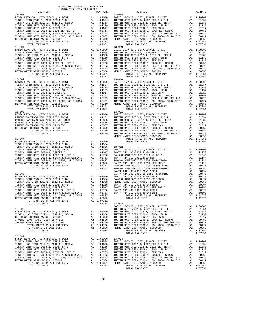| DISTRICT                                                                                                                                                                                                                                                                            | TAX RATE                                                                                                                               |                                       |
|-------------------------------------------------------------------------------------------------------------------------------------------------------------------------------------------------------------------------------------------------------------------------------------|----------------------------------------------------------------------------------------------------------------------------------------|---------------------------------------|
| $13 - 000$<br>$13 - 001$                                                                                                                                                                                                                                                            |                                                                                                                                        | $13 - 008$<br>$13 - 009$              |
|                                                                                                                                                                                                                                                                                     |                                                                                                                                        |                                       |
| $13 - 002$                                                                                                                                                                                                                                                                          |                                                                                                                                        | $13 - 010$                            |
| $13 - 003$                                                                                                                                                                                                                                                                          |                                                                                                                                        | $13 - 011$<br>METRO W                 |
| $13 - 004$                                                                                                                                                                                                                                                                          |                                                                                                                                        | SANTA A                               |
| $13 - 005$<br>TOTAL RATES ON ALL PROPERTY<br>TOTAL TAX RATE                                                                                                                                                                                                                         | A1 1.07351<br>1.07351                                                                                                                  | SANTA A<br>$13 - 013$                 |
| $13 - 006$<br>BASIC LEVY-CO., CITY, SCHOOL, & DIST<br>TUSTIN USD SFID 2012-1, 2012 EL, SER A<br>METRO WATER DIST-MWDOC- 1205999<br>IRVINE RANCH WATER DIST ID # 225<br>IRVINE RANCH WATER DIST ID # 125<br>TOTAL RATES ON ALL PROPERTY<br>TOTAL RATE ON LAND ONLY<br>TOTAL TAX RATE | A1 1.00000<br>A1 .01388<br>A1 .00350 TUSTIN<br>A4 .01500 TUSTIN<br>A4 .01500 TUSTIN<br>A4 .01300 TUSTIN<br>A1 .02800 METROW<br>1.04538 | BASIC L<br>TUSTIN<br>TUSTIN<br>TUSTIN |
| $13 - 007$<br>BASIC LEVY-CO., CITY, SCHOOL, & DIST<br>TUSTIN SFID 2002-1, 2002, SER D & D-1<br>TUSTIN USD SFID 2012-1, 2012 EL, SER A<br>TUSTIN UNIF SFID 2008-1 2012 EL, SER A                                                                                                     | A1 1.00000 13-014<br>A1 .01554 BASIC L<br>A1 .01388 TUSTIN<br>A1.01139                                                                 | TUSTIN                                |

| COUNTY OF ORANGE TAX RATE BOOK<br>2016-2017 TRA TAX RATES                                                                                                                                                                             |          |                                                                            |          |
|---------------------------------------------------------------------------------------------------------------------------------------------------------------------------------------------------------------------------------------|----------|----------------------------------------------------------------------------|----------|
| DISTRICT<br>$13 - 000$                                                                                                                                                                                                                | TAX RATE | DISTRICT<br>$13 - 008$                                                     | TAX RATE |
|                                                                                                                                                                                                                                       |          |                                                                            |          |
|                                                                                                                                                                                                                                       |          |                                                                            |          |
|                                                                                                                                                                                                                                       |          |                                                                            |          |
|                                                                                                                                                                                                                                       |          |                                                                            |          |
|                                                                                                                                                                                                                                       |          |                                                                            |          |
| TUSTIN UNIF SFID 2008-1, SER A & SUB SER A-1 A1 .007251 WHT SFID 2008-1, GO 2008, SR D-2015 A1 .00427 A1 .00350<br>METRO WATER DIST-MWDOC- 12059999 A1 .00427 A1 .00350<br>METRO WATER DIST-MWDOC- 12059998 A1 1.07351<br>TOTAL RATES |          | 1.0001 1.11672<br>TOTAL RATES ON ALL PROPERTY A1 1.11672<br>TOTAL TAX RATE |          |
|                                                                                                                                                                                                                                       |          |                                                                            |          |
|                                                                                                                                                                                                                                       |          |                                                                            |          |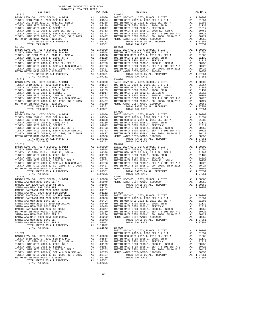TOTAL RATES ON ALL PROPERTY A1 1.07351 TOTAL TAX RATE

 COUNTY OF ORANGE TAX RATE BOOK 2016-2017 TRA TAX RATES DISTRICT TAX RATE DISTRICT TAX RATE 13-015 13-022 BASIC LEVY-CO., CITY,SCHOOL, & DIST A1 1.00000 BASIC LEVY-CO., CITY,SCHOOL, & DIST A1 1.00000 TUSTIN SFID 2002-1, 2002,SER D & D-1 A1 .01554 TUSTIN SFID 2002-1, 2002,SER D & D-1 A1 .01554 TUSTIN USD SFID 2012-1, 2012 EL, SER A A1 .01388 TUSTIN USD SFID 2012-1, 2012 EL, SER A A1 .01388 TUSTIN UNIF SFID 2008-1, 2008, SR B A1 .01139 TUSTIN UNIF SFID 2008-1, 2008, SR B A1 .01139 TUSTIN UNIF SFID 2002-1, SERIES C A1 .01017 TUSTIN UNIF SFID 2002-1, SERIES C A1 .01017 TUSTIN UNIF SFID 2008-1, 2008 EL, SER C A1 .00753 TUSTIN UNIF SFID 2008-1, 2008 EL, SER C A1 .00753 TUSTIN UNIF SFID 2008-1, SER A & SUB SER A-1 A1 .00723 TUSTIN UNIF SFID 2008-1, SER A & SUB SER A-1 A1 .00723 TUSTIN UNIF SFID 2008-1, GO 2008, SR D-2015 A1 .00427 TUSTIN UNIF SFID 2008-1, GO 2008, SR D-2015 A1 .00427 METRO WATER DIST-MWDOC- 1205999 A1 .00350 METRO WATER DIST-MWDOC- 1205999 A1 .00350 TOTAL RATES ON ALL PROPERTY A1 1.07351 TOTAL RATES ON ALL PROPERTY A1 1.07351 TOTAL TAX RATE 1.07351 TOTAL TAX RATE 1.07351 13-016 13-023 BASIC LEVY-CO., CITY,SCHOOL, & DIST A1 1.00000 BASIC LEVY-CO., CITY,SCHOOL, & DIST A1 1.00000 TUSTIN SFID 2002-1, 2002,SER D & D-1 A1 .01554 TUSTIN SFID 2002-1, 2002,SER D & D-1 A1 .01554 TUSTIN USD SFID 2012-1, 2012 EL, SER A A1 .01388 TUSTIN USD SFID 2012-1, 2012 EL, SER A A1 .01388 TUSTIN UNIF SFID 2008-1, 2008, SR B A1 .01139 TUSTIN UNIF SFID 2008-1, 2008, SR B A1 .01139 TUSTIN UNIF SFID 2002-1, SERIES C A1 .01017 TUSTIN UNIF SFID 2002-1, SERIES C A1 .01017 TUSTIN UNIF SFID 2008-1, 2008 EL, SER C A1 .00753 TUSTIN UNIF SFID 2008-1, 2008 EL, SER C A1 .00753 TUSTIN UNIF SFID 2008-1, SER A & SUB SER A-1 A1 .00723 TUSTIN UNIF SFID 2008-1, SER A & SUB SER A-1 A1 .00723 TUSTIN UNIF SFID 2008-1, GO 2008, SR D-2015 A1 .00427 TUSTIN UNIF SFID 2008-1, GO 2008, SR D-2015 A1 .00427 METRO WATER DIST-MWDOC- 1205999 A1 .00350 METRO WATER DIST-MWDOC- 1205999 A1 .00350  $\begin{tabular}{cccc} {\bf 13-017}\\ \text{TDAL RATES ON ALL PROPERTIES}\end{tabular} \begin{tabular}{cccc} {\bf 13-021}\\ \text{RASTIN STID Z002-1, 2002, 25RE D & 10133}\\ \text{RISTIN STID Z002-1, 2002, 5RE D & 10133}\\ \text{RISTIN STID Z002-1, 2002, 5RE D & 10133}\\ \text{RISTIN VINIF STD 2002-1, 2002, 5RE D & 101334}\\ \text{TUSTIN UNIF STD 2002-1, 2002, 5RE P$ BASIC LEVY-CO., CITY, SCHOOL, & DIST<br>TUSTIN SFID 2002-1, 2002, SER D & DIST AL 1.00000 BASIC LEVY-CO., CITY, SCHOOL, & DIST AL 1.00000<br>TUSTIN USD SFID 2012-1, 2012 EL, SER A Al .01388 TUSTIN USD SFID 2012-1, 2012 EL, SER A TUSTIN UNIF SFID 2002-1, SERIES C<br>TUSTIN UNIF SFID 2002-1, SERIES C<br>TUSTIN UNIF SFID 2008-1, 2008 EL, SER C<br>TUSTIN UNIF SFID 2008-1, SER A & SUB SER A-1 A1 .00753 TUSTIN UNIF SFID 2008-1, SER A & SUB SER A-1 A1 .00753<br>TUST TOTAL TAX RATE 1.07351 TOTAL TAX RATE 1.07351  $\begin{tabular}{cccc} 13-019 \\ \text{BASIC LEVY-CO., CITY, SCHOOL, & \& DIST \\ \text{TUSTIN SFD 2002-1, 2002, SER D & \& D-I \\ \text{TUSTIN SFD 2002-1, 2008-1, 2008-1, 2008-1, 2008-1, 2008-1, 2008-1, 2008-1, 2008-1, 2008-1, 2008-1, 2008-1, 2008-1, 2008-1, 2008-1, 2008-1, 2008-1, 2008-$ TUSTIN UNIF SFID 2008-1, SER ALL SER CONTROLLY, SER A & SUB SER A-1 .00753 TUSTIN UNIF SFID 2008-1, SER A & SUB SER A-1 .00753 TUSTIN UNIF SFID 2008-1, SER A & SUB SER A-1 .00723 TUSTIN UNIF SFID 2008-1, SER A & SUB SER A- $\begin{tabular}{l|cccc} \textbf{METRO} & \textbf{MIST-MR DIST-MRIST} & \textbf{M1} & .00350 & \textbf{MISTRO} & \textbf{MISTRO} & \textbf{MISTRO} & \textbf{MISTRO} & \textbf{MISTRO} & \textbf{MISTRO} & \textbf{MISTRO} & \textbf{MISTRO} & \textbf{MISTRO} & \textbf{MISTRO} & \textbf{MISTRO} & \textbf{MISTRO} & \textbf{MISTRO} & \textbf{MISTRO} & \textbf{MISTRO} & \textbf{MISTRO} & \textbf{MISTRO} & \textbf{MISTRO} & \textbf{MISTRO} &$  BASIC LEVY-CO., CITY,SCHOOL, & DIST A1 1.00000 TUSTIN USD SFID 2012-1, 2012 EL, SER A A1 .01388 TUSTIN SFID 2002-1, 2002,SER D & D-1 A1 .01554 TUSTIN UNIF SFID 2008-1, 2008, SR B A1 .01139 TUSTIN USD SFID 2012-1, 2012 EL, SER A A1 .01388 TUSTIN UNIF SFID 2002-1, SERIES C A1 .01017 TUSTIN UNIF SFID 2008-1, 2008, SR B A1 .01139 TUSTIN UNIF SFID 2008-1, 2008 EL, SER C A1 .00753 TUSTIN UNIF SFID 2002-1, SERIES C A1 .01017 TUSTIN UNIF SFID 2008-1, SER A & SUB SER A-1 A1 .00723 TUSTIN UNIF SFID 2008-1, 2008 EL, SER C A1 .00753 TUSTIN UNIF SFID 2008-1, GO 2008, SR D-2015 A1 .00427 TUSTIN UNIF SFID 2008-1, SER A & SUB SER A-1 A1 .00723 METRO WATER DIST-MWDOC- 1205999 A1 .00350 TUSTIN UNIF SFID 2008-1, GO 2008, SR D-2015 A1 .00427 TOTAL RATES ON ALL PROPERTY A1 1.07351 METRO WATER DIST-MWDOC- 1205999 A1 .00350 TOTAL TAX RATE 1.07351

-93-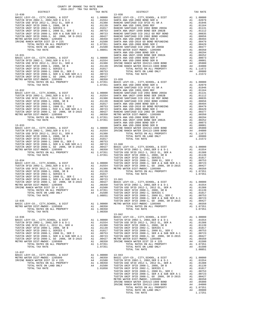| COUNTY OF ORANGE TAX RATE BOOK<br>2016-2017 TRA TAX RATES         |          |                                                                                                                                                                                                                                                                                                                                                                                                                   |          |
|-------------------------------------------------------------------|----------|-------------------------------------------------------------------------------------------------------------------------------------------------------------------------------------------------------------------------------------------------------------------------------------------------------------------------------------------------------------------------------------------------------------------|----------|
| $2016-2017\quad\text{TRA TAX RATES}\label{eq:2016-2017}$ DISTRICT | TAX RATE | DISTRICT                                                                                                                                                                                                                                                                                                                                                                                                          | TAX RATE |
|                                                                   |          |                                                                                                                                                                                                                                                                                                                                                                                                                   |          |
|                                                                   |          |                                                                                                                                                                                                                                                                                                                                                                                                                   |          |
|                                                                   |          |                                                                                                                                                                                                                                                                                                                                                                                                                   |          |
|                                                                   |          |                                                                                                                                                                                                                                                                                                                                                                                                                   |          |
|                                                                   |          |                                                                                                                                                                                                                                                                                                                                                                                                                   |          |
|                                                                   |          |                                                                                                                                                                                                                                                                                                                                                                                                                   |          |
|                                                                   |          |                                                                                                                                                                                                                                                                                                                                                                                                                   |          |
|                                                                   |          |                                                                                                                                                                                                                                                                                                                                                                                                                   |          |
|                                                                   |          |                                                                                                                                                                                                                                                                                                                                                                                                                   |          |
|                                                                   |          |                                                                                                                                                                                                                                                                                                                                                                                                                   |          |
|                                                                   |          |                                                                                                                                                                                                                                                                                                                                                                                                                   |          |
|                                                                   |          |                                                                                                                                                                                                                                                                                                                                                                                                                   |          |
|                                                                   |          |                                                                                                                                                                                                                                                                                                                                                                                                                   |          |
|                                                                   |          |                                                                                                                                                                                                                                                                                                                                                                                                                   |          |
|                                                                   |          |                                                                                                                                                                                                                                                                                                                                                                                                                   |          |
|                                                                   |          |                                                                                                                                                                                                                                                                                                                                                                                                                   |          |
|                                                                   |          |                                                                                                                                                                                                                                                                                                                                                                                                                   |          |
|                                                                   |          |                                                                                                                                                                                                                                                                                                                                                                                                                   |          |
|                                                                   |          |                                                                                                                                                                                                                                                                                                                                                                                                                   |          |
|                                                                   |          |                                                                                                                                                                                                                                                                                                                                                                                                                   |          |
|                                                                   |          |                                                                                                                                                                                                                                                                                                                                                                                                                   |          |
|                                                                   |          |                                                                                                                                                                                                                                                                                                                                                                                                                   |          |
|                                                                   |          |                                                                                                                                                                                                                                                                                                                                                                                                                   |          |
|                                                                   |          |                                                                                                                                                                                                                                                                                                                                                                                                                   |          |
|                                                                   |          |                                                                                                                                                                                                                                                                                                                                                                                                                   |          |
|                                                                   |          |                                                                                                                                                                                                                                                                                                                                                                                                                   |          |
|                                                                   |          |                                                                                                                                                                                                                                                                                                                                                                                                                   |          |
|                                                                   |          |                                                                                                                                                                                                                                                                                                                                                                                                                   |          |
|                                                                   |          |                                                                                                                                                                                                                                                                                                                                                                                                                   |          |
|                                                                   |          |                                                                                                                                                                                                                                                                                                                                                                                                                   |          |
|                                                                   |          |                                                                                                                                                                                                                                                                                                                                                                                                                   |          |
|                                                                   |          |                                                                                                                                                                                                                                                                                                                                                                                                                   |          |
|                                                                   |          |                                                                                                                                                                                                                                                                                                                                                                                                                   |          |
|                                                                   |          |                                                                                                                                                                                                                                                                                                                                                                                                                   |          |
|                                                                   |          |                                                                                                                                                                                                                                                                                                                                                                                                                   |          |
|                                                                   |          |                                                                                                                                                                                                                                                                                                                                                                                                                   |          |
|                                                                   |          |                                                                                                                                                                                                                                                                                                                                                                                                                   |          |
|                                                                   |          |                                                                                                                                                                                                                                                                                                                                                                                                                   |          |
|                                                                   |          |                                                                                                                                                                                                                                                                                                                                                                                                                   |          |
|                                                                   |          |                                                                                                                                                                                                                                                                                                                                                                                                                   |          |
|                                                                   |          |                                                                                                                                                                                                                                                                                                                                                                                                                   |          |
|                                                                   |          |                                                                                                                                                                                                                                                                                                                                                                                                                   |          |
|                                                                   |          |                                                                                                                                                                                                                                                                                                                                                                                                                   |          |
|                                                                   |          |                                                                                                                                                                                                                                                                                                                                                                                                                   |          |
|                                                                   |          |                                                                                                                                                                                                                                                                                                                                                                                                                   |          |
|                                                                   |          |                                                                                                                                                                                                                                                                                                                                                                                                                   |          |
|                                                                   |          |                                                                                                                                                                                                                                                                                                                                                                                                                   |          |
|                                                                   |          |                                                                                                                                                                                                                                                                                                                                                                                                                   |          |
|                                                                   |          |                                                                                                                                                                                                                                                                                                                                                                                                                   |          |
|                                                                   |          |                                                                                                                                                                                                                                                                                                                                                                                                                   |          |
|                                                                   |          |                                                                                                                                                                                                                                                                                                                                                                                                                   |          |
|                                                                   |          |                                                                                                                                                                                                                                                                                                                                                                                                                   |          |
|                                                                   |          |                                                                                                                                                                                                                                                                                                                                                                                                                   |          |
|                                                                   |          |                                                                                                                                                                                                                                                                                                                                                                                                                   |          |
|                                                                   |          |                                                                                                                                                                                                                                                                                                                                                                                                                   |          |
|                                                                   |          |                                                                                                                                                                                                                                                                                                                                                                                                                   |          |
|                                                                   |          |                                                                                                                                                                                                                                                                                                                                                                                                                   |          |
| TOTAL TAX RATE                                                    | 1.08851  |                                                                                                                                                                                                                                                                                                                                                                                                                   |          |
| $13 - 035$                                                        |          | 1.08851 TUSTIN UNIF SFID 2008-1, 2008 EL, SER C<br>1.08851 TUSTIN UNIF SFID 2008-1, 2008 EL, SER C<br>TUSTIN UNIF SFID 2008-1, SER A & SUB SER A-1 A1 .00753<br>TUSTIN UNIF SFID 2008-1, GO 2008, SR D-2015 A1 .00427                                                                                                                                                                                             |          |
|                                                                   |          |                                                                                                                                                                                                                                                                                                                                                                                                                   |          |
|                                                                   |          |                                                                                                                                                                                                                                                                                                                                                                                                                   |          |
|                                                                   |          | $\begin{array}{cccccccccccc} \texttt{I-015} & \texttt{METRO WATE} & \texttt{DIST} & \texttt{METRO WATE} & \texttt{DIST-UMIDOC-120599} & \texttt{A1} & \texttt{00010} & \texttt{METRO WATE} & \texttt{DIST-UMIDOC-120599} & \texttt{A1} & \texttt{00350} & \texttt{00350} & \texttt{00350} & \texttt{00350} & \texttt{00350} & \texttt{00350} & \texttt{00350} & \texttt{00350} & \texttt{00$                      |          |
| TOTAL TAX RATE                                                    | 1.00350  | $13 - 042$                                                                                                                                                                                                                                                                                                                                                                                                        |          |
|                                                                   |          |                                                                                                                                                                                                                                                                                                                                                                                                                   |          |
|                                                                   |          |                                                                                                                                                                                                                                                                                                                                                                                                                   |          |
|                                                                   |          |                                                                                                                                                                                                                                                                                                                                                                                                                   |          |
|                                                                   |          |                                                                                                                                                                                                                                                                                                                                                                                                                   |          |
|                                                                   |          |                                                                                                                                                                                                                                                                                                                                                                                                                   |          |
|                                                                   |          |                                                                                                                                                                                                                                                                                                                                                                                                                   |          |
|                                                                   |          |                                                                                                                                                                                                                                                                                                                                                                                                                   |          |
|                                                                   |          |                                                                                                                                                                                                                                                                                                                                                                                                                   |          |
|                                                                   |          |                                                                                                                                                                                                                                                                                                                                                                                                                   |          |
|                                                                   |          |                                                                                                                                                                                                                                                                                                                                                                                                                   |          |
|                                                                   |          |                                                                                                                                                                                                                                                                                                                                                                                                                   |          |
|                                                                   |          | $\begin{tabular}{cccc} 13-037 \\ BASTC LEVY-CO., CITY, SCHOOL, & & & & & & & & \\ BASTC LEVY-CO., CITY, SCHOOL, & & & & & & & & \\ & METRO WATER DIST-MWDCC-1205999 & & & & & & & & & \\ & METRO WATER DIST-MWDCC-1205999 & & & & & & & & & \\ & 10350 & & & & & & & & & & & \\ & 10350 & & & & & & & & & & & & \\ & 10350 & & & & & & & & & & & & \\ & 10350 & & & & & & & & & & & & \\ & 10350 & & & & & & & &$ |          |
|                                                                   |          |                                                                                                                                                                                                                                                                                                                                                                                                                   |          |
|                                                                   |          |                                                                                                                                                                                                                                                                                                                                                                                                                   |          |
|                                                                   |          |                                                                                                                                                                                                                                                                                                                                                                                                                   |          |
|                                                                   |          |                                                                                                                                                                                                                                                                                                                                                                                                                   |          |
|                                                                   |          |                                                                                                                                                                                                                                                                                                                                                                                                                   |          |
|                                                                   |          |                                                                                                                                                                                                                                                                                                                                                                                                                   |          |
|                                                                   |          |                                                                                                                                                                                                                                                                                                                                                                                                                   |          |
|                                                                   |          |                                                                                                                                                                                                                                                                                                                                                                                                                   |          |
|                                                                   |          |                                                                                                                                                                                                                                                                                                                                                                                                                   |          |
|                                                                   |          |                                                                                                                                                                                                                                                                                                                                                                                                                   |          |
|                                                                   |          |                                                                                                                                                                                                                                                                                                                                                                                                                   |          |
|                                                                   |          |                                                                                                                                                                                                                                                                                                                                                                                                                   |          |
|                                                                   |          |                                                                                                                                                                                                                                                                                                                                                                                                                   |          |
|                                                                   |          |                                                                                                                                                                                                                                                                                                                                                                                                                   |          |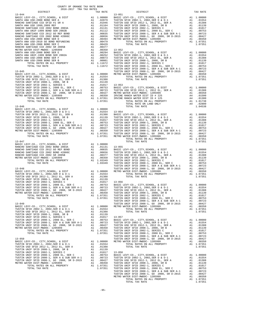| $2016-2017\quad\text{TRA TAX RATES}\label{eq:2016-2017}$ DISTRICT                                                                                                                                                                                                                    | TAX RATE | DISTRICT | TAX RATE |
|--------------------------------------------------------------------------------------------------------------------------------------------------------------------------------------------------------------------------------------------------------------------------------------|----------|----------|----------|
|                                                                                                                                                                                                                                                                                      |          |          |          |
|                                                                                                                                                                                                                                                                                      |          |          |          |
|                                                                                                                                                                                                                                                                                      |          |          |          |
|                                                                                                                                                                                                                                                                                      |          |          |          |
|                                                                                                                                                                                                                                                                                      |          |          |          |
|                                                                                                                                                                                                                                                                                      |          |          |          |
|                                                                                                                                                                                                                                                                                      |          |          |          |
|                                                                                                                                                                                                                                                                                      |          |          |          |
|                                                                                                                                                                                                                                                                                      |          |          |          |
|                                                                                                                                                                                                                                                                                      |          |          |          |
|                                                                                                                                                                                                                                                                                      |          |          |          |
|                                                                                                                                                                                                                                                                                      |          |          |          |
|                                                                                                                                                                                                                                                                                      |          |          |          |
|                                                                                                                                                                                                                                                                                      |          |          |          |
|                                                                                                                                                                                                                                                                                      |          |          |          |
|                                                                                                                                                                                                                                                                                      |          |          |          |
|                                                                                                                                                                                                                                                                                      |          |          |          |
|                                                                                                                                                                                                                                                                                      |          |          |          |
|                                                                                                                                                                                                                                                                                      |          |          |          |
|                                                                                                                                                                                                                                                                                      |          |          |          |
|                                                                                                                                                                                                                                                                                      |          |          |          |
|                                                                                                                                                                                                                                                                                      |          |          |          |
|                                                                                                                                                                                                                                                                                      |          |          |          |
|                                                                                                                                                                                                                                                                                      |          |          |          |
|                                                                                                                                                                                                                                                                                      |          |          |          |
|                                                                                                                                                                                                                                                                                      |          |          |          |
|                                                                                                                                                                                                                                                                                      |          |          |          |
|                                                                                                                                                                                                                                                                                      |          |          |          |
|                                                                                                                                                                                                                                                                                      |          |          |          |
|                                                                                                                                                                                                                                                                                      |          |          |          |
|                                                                                                                                                                                                                                                                                      |          |          |          |
|                                                                                                                                                                                                                                                                                      |          |          |          |
|                                                                                                                                                                                                                                                                                      |          |          |          |
|                                                                                                                                                                                                                                                                                      |          |          |          |
|                                                                                                                                                                                                                                                                                      |          |          |          |
|                                                                                                                                                                                                                                                                                      |          |          |          |
|                                                                                                                                                                                                                                                                                      |          |          |          |
|                                                                                                                                                                                                                                                                                      |          |          |          |
|                                                                                                                                                                                                                                                                                      |          |          |          |
|                                                                                                                                                                                                                                                                                      |          |          |          |
|                                                                                                                                                                                                                                                                                      |          |          |          |
|                                                                                                                                                                                                                                                                                      |          |          |          |
|                                                                                                                                                                                                                                                                                      |          |          |          |
|                                                                                                                                                                                                                                                                                      |          |          |          |
|                                                                                                                                                                                                                                                                                      |          |          |          |
|                                                                                                                                                                                                                                                                                      |          |          |          |
|                                                                                                                                                                                                                                                                                      |          |          |          |
|                                                                                                                                                                                                                                                                                      |          |          |          |
|                                                                                                                                                                                                                                                                                      |          |          |          |
|                                                                                                                                                                                                                                                                                      |          |          |          |
|                                                                                                                                                                                                                                                                                      |          |          |          |
|                                                                                                                                                                                                                                                                                      |          |          |          |
|                                                                                                                                                                                                                                                                                      |          |          |          |
|                                                                                                                                                                                                                                                                                      |          |          |          |
|                                                                                                                                                                                                                                                                                      |          |          |          |
|                                                                                                                                                                                                                                                                                      |          |          |          |
|                                                                                                                                                                                                                                                                                      |          |          |          |
|                                                                                                                                                                                                                                                                                      |          |          |          |
| WHE DIST-MWDOC- 1205999<br>TOTAL RATES ON ALL PROPERTY A1 1.07351<br>1.07351<br>1.07351                                                                                                                                                                                              |          |          |          |
|                                                                                                                                                                                                                                                                                      |          |          |          |
|                                                                                                                                                                                                                                                                                      |          |          |          |
|                                                                                                                                                                                                                                                                                      |          |          |          |
|                                                                                                                                                                                                                                                                                      |          |          |          |
|                                                                                                                                                                                                                                                                                      |          |          |          |
|                                                                                                                                                                                                                                                                                      |          |          |          |
|                                                                                                                                                                                                                                                                                      |          |          |          |
|                                                                                                                                                                                                                                                                                      |          |          |          |
|                                                                                                                                                                                                                                                                                      |          |          |          |
|                                                                                                                                                                                                                                                                                      |          |          |          |
|                                                                                                                                                                                                                                                                                      |          |          |          |
|                                                                                                                                                                                                                                                                                      |          |          |          |
|                                                                                                                                                                                                                                                                                      |          |          |          |
|                                                                                                                                                                                                                                                                                      |          |          |          |
|                                                                                                                                                                                                                                                                                      |          |          |          |
|                                                                                                                                                                                                                                                                                      |          |          |          |
|                                                                                                                                                                                                                                                                                      |          |          |          |
|                                                                                                                                                                                                                                                                                      |          |          |          |
|                                                                                                                                                                                                                                                                                      |          |          |          |
|                                                                                                                                                                                                                                                                                      |          |          |          |
|                                                                                                                                                                                                                                                                                      |          |          |          |
|                                                                                                                                                                                                                                                                                      |          |          |          |
|                                                                                                                                                                                                                                                                                      |          |          |          |
|                                                                                                                                                                                                                                                                                      |          |          |          |
|                                                                                                                                                                                                                                                                                      |          |          |          |
|                                                                                                                                                                                                                                                                                      |          |          |          |
|                                                                                                                                                                                                                                                                                      |          |          |          |
|                                                                                                                                                                                                                                                                                      |          |          |          |
| $\begin{tabular}{cccccccc} \hline 108711 & 0101 & 0101 & 0101 & 0101 & 0101 & 0101 & 0101 & 0101 & 0101 & 0101 & 0101 & 0101 & 0101 & 0101 & 0101 & 0101 & 0101 & 0101 & 0101 & 0101 & 0101 & 0101 & 0101 & 0101 & 0101 & 0101 & 0101 & 0101 & 0101 & 0101 & 0101 & 0101 & 0101 & 0$ |          |          |          |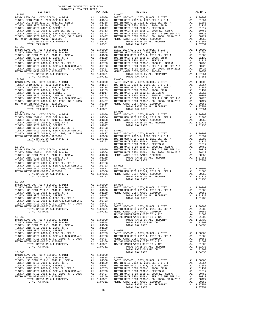| COUNTY OF ORANGE TAX RATE BOOK<br>2016-2017 TRA TAX RATES |          |            |          |
|-----------------------------------------------------------|----------|------------|----------|
| DISTRICT                                                  | TAX RATE | DISTRICT   | TAX RATE |
| $13 - 059$                                                |          | $13 - 067$ |          |
|                                                           |          |            |          |
|                                                           |          |            |          |
|                                                           |          |            |          |
|                                                           |          |            |          |
|                                                           |          |            |          |
|                                                           |          |            |          |
| $13 - 064$                                                |          |            |          |
|                                                           |          |            |          |
|                                                           |          |            |          |
|                                                           |          |            |          |
|                                                           | $-96-$   |            |          |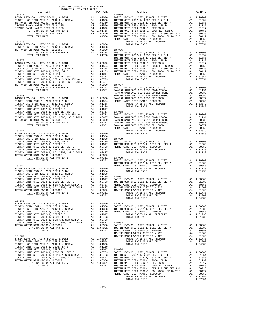| COUNTY OF ORANGE TAX RATE BOOK                                                                                                                                                                                                                                                                                                                                                                                                                                                                                               |  |                                         |          |
|------------------------------------------------------------------------------------------------------------------------------------------------------------------------------------------------------------------------------------------------------------------------------------------------------------------------------------------------------------------------------------------------------------------------------------------------------------------------------------------------------------------------------|--|-----------------------------------------|----------|
| $\begin{tabular}{lllllll} & $\textsc{--}\xspace$ & $\textsc{--}\xspace$ & $\textsc{--}\xspace$ & $\textsc{--}\xspace$ & $\textsc{--}\xspace$ & $\textsc{--}\xspace$ & $\textsc{--}\xspace$ & $\textsc{--}\xspace$ & $\textsc{--}\xspace$ & $\textsc{--}\xspace$ & $\textsc{--}\xspace$ & $\textsc{--}\xspace$ & $\textsc{--}\xspace$ & $\textsc{--}\xspace$ & $\textsc{--}\xspace$ & $\textsc{--}\xspace$ & $\textsc{--}\xspace$ & $\textsc{--}\xspace$ & $\textsc{--}\xspace$ & $\textsc{--}\xspace$ & $\textsc{--}\xspace$ |  | A TAX RATES<br>TAX RATE 13-085 DISTRICT | TAX RATE |
|                                                                                                                                                                                                                                                                                                                                                                                                                                                                                                                              |  |                                         |          |
|                                                                                                                                                                                                                                                                                                                                                                                                                                                                                                                              |  |                                         |          |
|                                                                                                                                                                                                                                                                                                                                                                                                                                                                                                                              |  |                                         |          |
|                                                                                                                                                                                                                                                                                                                                                                                                                                                                                                                              |  |                                         |          |
|                                                                                                                                                                                                                                                                                                                                                                                                                                                                                                                              |  |                                         |          |
|                                                                                                                                                                                                                                                                                                                                                                                                                                                                                                                              |  |                                         |          |
|                                                                                                                                                                                                                                                                                                                                                                                                                                                                                                                              |  |                                         |          |
|                                                                                                                                                                                                                                                                                                                                                                                                                                                                                                                              |  |                                         |          |
|                                                                                                                                                                                                                                                                                                                                                                                                                                                                                                                              |  |                                         |          |
|                                                                                                                                                                                                                                                                                                                                                                                                                                                                                                                              |  |                                         |          |
|                                                                                                                                                                                                                                                                                                                                                                                                                                                                                                                              |  |                                         |          |
|                                                                                                                                                                                                                                                                                                                                                                                                                                                                                                                              |  |                                         |          |
|                                                                                                                                                                                                                                                                                                                                                                                                                                                                                                                              |  |                                         |          |
|                                                                                                                                                                                                                                                                                                                                                                                                                                                                                                                              |  |                                         |          |
|                                                                                                                                                                                                                                                                                                                                                                                                                                                                                                                              |  |                                         |          |
|                                                                                                                                                                                                                                                                                                                                                                                                                                                                                                                              |  |                                         |          |
|                                                                                                                                                                                                                                                                                                                                                                                                                                                                                                                              |  |                                         |          |
|                                                                                                                                                                                                                                                                                                                                                                                                                                                                                                                              |  |                                         |          |
|                                                                                                                                                                                                                                                                                                                                                                                                                                                                                                                              |  |                                         |          |
|                                                                                                                                                                                                                                                                                                                                                                                                                                                                                                                              |  |                                         |          |
|                                                                                                                                                                                                                                                                                                                                                                                                                                                                                                                              |  |                                         |          |
|                                                                                                                                                                                                                                                                                                                                                                                                                                                                                                                              |  |                                         |          |
|                                                                                                                                                                                                                                                                                                                                                                                                                                                                                                                              |  |                                         |          |
|                                                                                                                                                                                                                                                                                                                                                                                                                                                                                                                              |  |                                         |          |
|                                                                                                                                                                                                                                                                                                                                                                                                                                                                                                                              |  |                                         |          |
|                                                                                                                                                                                                                                                                                                                                                                                                                                                                                                                              |  |                                         |          |
|                                                                                                                                                                                                                                                                                                                                                                                                                                                                                                                              |  |                                         |          |
|                                                                                                                                                                                                                                                                                                                                                                                                                                                                                                                              |  |                                         |          |
|                                                                                                                                                                                                                                                                                                                                                                                                                                                                                                                              |  |                                         |          |
|                                                                                                                                                                                                                                                                                                                                                                                                                                                                                                                              |  |                                         |          |
|                                                                                                                                                                                                                                                                                                                                                                                                                                                                                                                              |  |                                         |          |
|                                                                                                                                                                                                                                                                                                                                                                                                                                                                                                                              |  |                                         |          |
|                                                                                                                                                                                                                                                                                                                                                                                                                                                                                                                              |  |                                         |          |
|                                                                                                                                                                                                                                                                                                                                                                                                                                                                                                                              |  |                                         |          |
|                                                                                                                                                                                                                                                                                                                                                                                                                                                                                                                              |  |                                         |          |
|                                                                                                                                                                                                                                                                                                                                                                                                                                                                                                                              |  |                                         |          |
|                                                                                                                                                                                                                                                                                                                                                                                                                                                                                                                              |  |                                         |          |
|                                                                                                                                                                                                                                                                                                                                                                                                                                                                                                                              |  |                                         |          |
|                                                                                                                                                                                                                                                                                                                                                                                                                                                                                                                              |  |                                         |          |
|                                                                                                                                                                                                                                                                                                                                                                                                                                                                                                                              |  |                                         |          |
|                                                                                                                                                                                                                                                                                                                                                                                                                                                                                                                              |  |                                         |          |
|                                                                                                                                                                                                                                                                                                                                                                                                                                                                                                                              |  |                                         |          |
|                                                                                                                                                                                                                                                                                                                                                                                                                                                                                                                              |  |                                         |          |
|                                                                                                                                                                                                                                                                                                                                                                                                                                                                                                                              |  |                                         |          |
|                                                                                                                                                                                                                                                                                                                                                                                                                                                                                                                              |  |                                         |          |
|                                                                                                                                                                                                                                                                                                                                                                                                                                                                                                                              |  |                                         |          |
|                                                                                                                                                                                                                                                                                                                                                                                                                                                                                                                              |  |                                         |          |
|                                                                                                                                                                                                                                                                                                                                                                                                                                                                                                                              |  |                                         |          |
|                                                                                                                                                                                                                                                                                                                                                                                                                                                                                                                              |  |                                         |          |
|                                                                                                                                                                                                                                                                                                                                                                                                                                                                                                                              |  |                                         |          |
|                                                                                                                                                                                                                                                                                                                                                                                                                                                                                                                              |  |                                         |          |
|                                                                                                                                                                                                                                                                                                                                                                                                                                                                                                                              |  |                                         |          |
|                                                                                                                                                                                                                                                                                                                                                                                                                                                                                                                              |  |                                         |          |
|                                                                                                                                                                                                                                                                                                                                                                                                                                                                                                                              |  |                                         |          |
|                                                                                                                                                                                                                                                                                                                                                                                                                                                                                                                              |  |                                         |          |
|                                                                                                                                                                                                                                                                                                                                                                                                                                                                                                                              |  |                                         |          |
|                                                                                                                                                                                                                                                                                                                                                                                                                                                                                                                              |  |                                         |          |
|                                                                                                                                                                                                                                                                                                                                                                                                                                                                                                                              |  |                                         |          |
|                                                                                                                                                                                                                                                                                                                                                                                                                                                                                                                              |  |                                         |          |
|                                                                                                                                                                                                                                                                                                                                                                                                                                                                                                                              |  |                                         |          |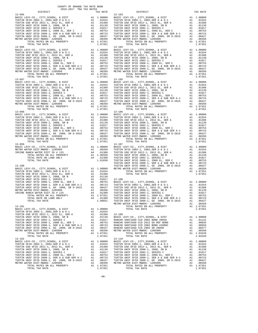COUNTY OF ORANGE TAX RATE BOOK 2016-2017 TRA TAX RATES DISTRICT TAX RATE DISTRICT TAX RATE  $\begin{tabular}{ c| c| c|c|c|c|c} & & & & & & 13-103 \\ \hline \texttt{BASTC LEVY-CO., CITY, SCHOOL, & & & & & & & 13-103 \\ \hline TUSTIN SFD 2002-1, & 2002, SER D & & & & & & 11 & 0.0000 \\ \hline TUSTIN SFD 2002-1, & 2002, SER D & & & & & & 10 & 0.0554 \\ \hline TUSTIN VSD SFTD 2012-1, & 2012 EL, SER A & & & & & 0.1554 \\ \hline TUSTIN UNIP SFD 2002-1, &$  13-096 13-104 BASIC LEVY-CO., CITY,SCHOOL, & DIST A1 1.00000 BASIC LEVY-CO., CITY,SCHOOL, & DIST A1 1.00000 TUSTIN SFID 2002-1, 2002,SER D & D-1 A1 .01554 TUSTIN SFID 2002-1, 2002,SER D & D-1 A1 .01554 TUSTIN USD SFID 2012-1, 2012 EL, SER A A1 .01388 TUSTIN USD SFID 2012-1, 2012 EL, SER A A1 .01388 TUSTIN UNIF SFID 2008-1, 2008, SR B A1 .01139 TUSTIN UNIF SFID 2008-1, 2008, SR B A1 .01139 TUSTIN UNIF SFID 2002-1, SERIES C A1 .01017 TUSTIN UNIF SFID 2002-1, SERIES C A1 .01017 TUSTIN UNIF SFID 2008-1, 2008 EL, SER C A1 .00753 TUSTIN UNIF SFID 2008-1, 2008 EL, SER C A1 .00753 TUSTIN UNIF SFID 2008-1, SER A & SUB SER A-1 A1 .00723 TUSTIN UNIF SFID 2008-1, SER A & SUB SER A-1 A1 .00723 TUSTIN UNIF SFID 2008-1, GO 2008, SR D-2015 A1 .00427 TUSTIN UNIF SFID 2008-1, GO 2008, SR D-2015 A1 .00427 METRO WATER DIST-MWDOC- 1205999 A1 .00350 METRO WATER DIST-MWDOC- 1205999 A1 .00350 TOTAL RATES ON ALL PROPERTY A1 1.07351 TOTAL RATES ON ALL PROPERTY A1 1.07351 TOTAL TAX RATE 1.07351 TOTAL TAX RATE 1.07351 13-097 13-105 BASIC LEVY-CO., CITY,SCHOOL, & DIST A1 1.00000 BASIC LEVY-CO., CITY,SCHOOL, & DIST A1 1.00000 TUSTIN SFID 2002-1, 2002,SER D & D-1 A1 .01554 TUSTIN SFID 2002-1, 2002,SER D & D-1 A1 .01554 TUSTIN USD SFID 2012-1, 2012 EL, SER A A1 .01388 TUSTIN USD SFID 2012-1, 2012 EL, SER A A1 .01388 TUSTIN UNIF SFID 2008-1, 2008, SR B A1 .01139 TUSTIN UNIF SFID 2008-1, 2008, SR B A1 .01139 TUSTIN UNIF SFID 2002-1, SERIES C A1 .01017 TUSTIN UNIF SFID 2002-1, SERIES C A1 .01017 TUSTIN UNIF SFID 2008-1, 2008 EL, SER C A1 .00753 TUSTIN UNIF SFID 2008-1, 2008 EL, SER C A1 .00753 TUSTIN UNIF SFID 2008-1, SER A & SUB SER A-1 A1 .00723 TUSTIN UNIF SFID 2008-1, SER A & SUB SER A-1 A1 .00723 TUSTIN UNIF SFID 2008-1, GO 2008, SR D-2015 A1 .00427 TUSTIN UNIF SFID 2008-1, GO 2008, SR D-2015 A1 .00427 METRO WATER DIST-MWDOC- 1205999 A1 .00350 METRO WATER DIST-MWDOC- 1205999 A1 .00350 TOTAL RATES ON ALL PROPERTY A1 1.07351 TOTAL RATES ON ALL PROPERTY A1 1.07351 TOTAL TAX RATE 1.07351 TOTAL TAX RATE 1.07351 13-098 13-106 3 (1 1 00000 BASIC LEVY-CO., CITY, SCHOOL, & DIST<br>
TUSTIN SFID 2002-1, 2002, SER D & D = 1<br>
TUSTIN USD STID 2002-1, 2012 EL, SER A al. 01354<br>
TUSTIN UNIF SFID 2008-1, 2008, SR B and 1.0139<br>
TUSTIN UNIF SFID 2008-1, 2008, S TOTAL TAX RATE 1.07351 TOTAL TAX RATE 1.07351 13-099 13-107 BASIC LEVY-CO., CITY, SCHOOL, & DIST<br>METRO WATRE DIST 100000 BASIC LEVY-CO., CITY, SCHOOL, & DIST 11.00000<br>IRVINE RANCH WATER DIST 1D # 125 41 .00350 TUSTIN USD SFID 2002-1, 2002, SER A 200-1, 2012<br>IRVINE RANCH WATER DIST TOTAL TAX RATE 1.01650 TUSTIN UNIF SFID 2008-1, 2008 EL, SER C A1 .00753 TUSTIN UNIF SFID 2008-1, SER A & SUB SER A-1 A1 .00723 13-100 TUSTIN UNIF SFID 2008-1, GO 2008, SR D-2015 A1 .00427 BASIC LEVY-CO., CITY,SCHOOL, & DIST A1 1.00000 METRO WATER DIST-MWDOC- 1205999 A1 .00350 TUSTIN SFID 2002-1, 2002,SER D & D-1 A1 .01554 TOTAL RATES ON ALL PROPERTY A1 1.07351 TUSTIN USD SFID 2012-1, 2012 EL, SER A A1 .01388 TOTAL TAX RATE 1.07351 TUSTIN UNIF SFID 2008-1, 2008, SR B A1 .01139 TUSTIN UNIF SFID 2002-1, SERIES C A1 .01017 13-108 TUSTIN UNIF SFID 2008-1, 2008 EL, SER C A1 .00753 BASIC LEVY-CO., CITY,SCHOOL, & DIST A1 1.00000 TUSTIN UNIF SFID 2008-1, SER A & SUB SER A-1 A1 .00723 TUSTIN SFID 2002-1, 2002,SER D & D-1 A1 .01554 TUSTIN UNIF SFID 2008-1, GO 2008, SR D-2015 A1 .00427 TUSTIN USD SFID 2012-1, 2012 EL, SER A A1 .01388 METRO WATER DIST-MWDOC- 1205999 A1 .00350 TUSTIN UNIF SFID 2008-1, 2008, SR B A1 .01139 IRVINE RANCH WATER DIST ID # 125 A4 .01300 TUSTIN UNIF SFID 2002-1, SERIES C A1 .01017 100753 TOTAL RATES ON ALL PROPERTY AI 1.07351 TUSTIN UNIF SFID 2008-1, 2008 EL, SER CALL 00753<br>TOTAL RATE ON LAND ONLY 1980 A4 1.01300 TUSTIN UNIF SFID 2008-1, SER A & SUB SER A-1 A1<br>2008-1, GO 2008, SR D-2015 A1 1.00427 ( METRO WATER DIST-MWDOC- 1205999 A1 .00350 13-101 TOTAL RATES ON ALL PROPERTY A1 1.07351<br>BASIC LEVY-CO., CITY, SCHOOL, & DIST A1 1.00000 TOTAL TAX RATE 1.07351 TOTAT TAX RATE 1.07351 TOTAL TAX RATE 1<br>TUSTIN USD SFID 2012-1, 2012 EL, SER A A1 .01388 13-109 TUSTIN UNIF SFID 2008-1, 2008, SR B A1 .01139 BASIC LEVY-CO., CITY,SCHOOL, & DIST A1 1.00000 TUSTIN UNIF SFID 2002-1, SERIES C A1 .01017 RANCHO SANTIAGO CCD 2002 BOND 2003A A1 .01131 TUSTIN UNIF SFID 2008-1, 2008 EL, SER C A1 .00753 RANCHO SANTIAGO CCD 2012 GO REF BOND A1 .00835 TUSTIN UNIF SFID 2008-1, SER A & SUB SER A-1 A1 .00723 RANCHO SANTIAGO CCD 2002 BOND #2006C A1 .00656 TUSTIN UNIF SFID 2008-1, GO 2008, SR D-2015 A1 .00427 RANCHO SANTIAGO CCD 2002 SR 2005B A1 .00377 METRO WATER DIST-MWDOC- 1205999 A1 .00350 METRO WATER DIST-MWDOC- 1205999 A1 .00350 TOTAL RATES ON ALL PROPERTY A1 1.07351 TOTAL RATES ON ALL PROPERTY A1 1.03349 TOTAL TAX RATE 1.07351 TOTAL TAX RATE 1.03349 13-102 13-110 BASIC LEVY-CO., CITY,SCHOOL, & DIST A1 1.00000 BASIC LEVY-CO., CITY,SCHOOL, & DIST A1 1.00000 TUSTIN SFID 2002-1, 2002,SER D & D-1 A1 .01554 TUSTIN SFID 2002-1, 2002,SER D & D-1 A1 .01554 TUSTIN USD SFID 2012-1, 2012 EL, SER A A1 .01388 TUSTIN USD SFID 2012-1, 2012 EL, SER A A1 .01388 TUSTIN UNIF SFID 2008-1, 2008, SR B A1 .01139 TUSTIN UNIF SFID 2008-1, 2008, SR B A1 .01139 TUSTIN UNIF SFID 2002-1, SERIES C A1 .01017 TUSTIN UNIF SFID 2002-1, SERIES C A1 .01017 TUSTIN UNIF SFID 2008-1, 2008 EL, SER C A1 .00753 TUSTIN UNIF SFID 2008-1, 2008 EL, SER C A1 .00753 TUSTIN UNIF SFID 2008-1, SER A & SUB SER A-1 A1 .00723 TUSTIN UNIF SFID 2008-1, SER A & SUB SER A-1 A1 .00723 TUSTIN UNIF SFID 2008-1, GO 2008, SR D-2015 A1 .00427 TUSTIN UNIF SFID 2008-1, GO 2008, SR D-2015 A1 .00427 METRO WATER DIST-MWDOC- 1205999 A1 .00350 METRO WATER DIST-MWDOC- 1205999 A1 .00350 TOTAL RATES ON ALL PROPERTY A1 1.07351 TOTAL RATES ON ALL PROPERTY A1 1.07351 TOTAL TAX RATE 1.07351 TOTAL TAX RATE 1.07351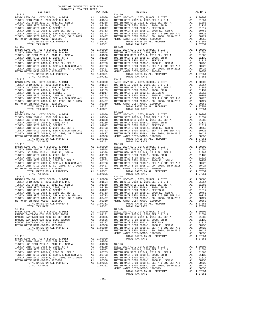| COUNTY OF ORANGE TAX RATE BOOK<br>2016-2017 TRA TAX RATES |          |                                                                                                                                                                                                                                                                                                                                                                                                                                                                                                       |          |
|-----------------------------------------------------------|----------|-------------------------------------------------------------------------------------------------------------------------------------------------------------------------------------------------------------------------------------------------------------------------------------------------------------------------------------------------------------------------------------------------------------------------------------------------------------------------------------------------------|----------|
| DISTRICT                                                  | TAX RATE | DISTRICT                                                                                                                                                                                                                                                                                                                                                                                                                                                                                              | TAX RATE |
| $13 - 111$                                                |          | $13 - 119$                                                                                                                                                                                                                                                                                                                                                                                                                                                                                            |          |
|                                                           |          |                                                                                                                                                                                                                                                                                                                                                                                                                                                                                                       |          |
|                                                           |          |                                                                                                                                                                                                                                                                                                                                                                                                                                                                                                       |          |
|                                                           |          |                                                                                                                                                                                                                                                                                                                                                                                                                                                                                                       |          |
|                                                           |          |                                                                                                                                                                                                                                                                                                                                                                                                                                                                                                       |          |
|                                                           |          | $\begin{tabular}{l c c c c c c c} \hline 13-116 & 14 & 1.00000 & 1.5 & 1.24 & 1.00000 & 1.5 & 1.00000 & 1.00000 & 1.00000 & 1.00000 & 1.00000 & 1.00000 & 1.00000 & 1.00000 & 1.00000 & 1.00000 & 1.00000 & 1.00000 & 1.00000 & 1.00000 & 1.00000 & 1.00000 & 1.00$<br>TUSTIN UNIF SFID 2008-1, SER A & SUB SER A-1 (00723 TUSTIN UNIF SFID 2008-1, SER A & SUB SER A-1 (00723 TUSTIN UNIF SFID 2008-1, SER A & SUB SER A-1 (00723 TUSTIN UNIF SFID 2008-1, SER A & SUB SER A-1 (00723 TUSTIN UNIF SF |          |
| $13 - 117$                                                |          | $13 - 125$                                                                                                                                                                                                                                                                                                                                                                                                                                                                                            |          |
|                                                           |          | $\begin{tabular}{cccccccc} 13-117 & TOTAL TAK RATS & 1.07351 & 107351 & 107351 & 107351 & 107351 & 107351 & 107351 & 107351 & 107351 & 107351 & 107351 & 107351 & 107351 & 107351 & 107351 & 107351 & 107351 & 107351 & 107351 & 107351 & 107351 & 107351 & 107351 & 107351 & $                                                                                                                                                                                                                       |          |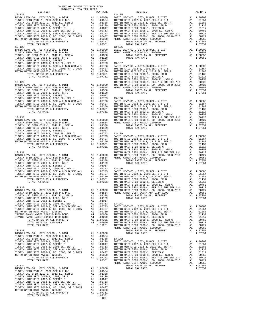| COUNTY OF ORANGE TAX RATE BOOK<br>2016-2017 TRA TAX RATES |          |            |
|-----------------------------------------------------------|----------|------------|
| DISTRICT<br>$13 - 127$                                    | TAX RATE | $13 - 135$ |
|                                                           |          |            |
|                                                           |          |            |
|                                                           |          |            |
|                                                           |          |            |
|                                                           |          |            |
|                                                           |          |            |
|                                                           |          |            |
|                                                           |          |            |
|                                                           |          |            |
|                                                           |          |            |
|                                                           |          |            |
|                                                           |          |            |
|                                                           |          |            |
|                                                           |          |            |
|                                                           |          |            |
|                                                           |          |            |
|                                                           |          |            |
|                                                           |          |            |
| $13 - 129$                                                |          | TUSTIN     |
|                                                           |          |            |
|                                                           |          |            |
|                                                           |          |            |
|                                                           |          |            |
|                                                           |          |            |
|                                                           |          |            |
|                                                           |          |            |
|                                                           |          |            |
|                                                           |          |            |
| $13 - 130$                                                |          | TUSTIN     |
|                                                           |          |            |
|                                                           |          |            |
|                                                           |          |            |
|                                                           |          |            |
|                                                           |          |            |
|                                                           |          |            |
|                                                           |          |            |
|                                                           |          |            |
|                                                           |          |            |
| 13-131                                                    |          | TUSTIN     |
|                                                           |          |            |
|                                                           |          |            |
|                                                           |          |            |
|                                                           |          |            |
|                                                           |          |            |
|                                                           |          |            |
|                                                           |          |            |
|                                                           |          |            |
|                                                           |          | TUSTIN     |
| 13-132                                                    |          | TUSTIN     |
|                                                           |          |            |
|                                                           |          |            |
|                                                           |          |            |
|                                                           |          |            |
|                                                           |          |            |
|                                                           |          |            |
|                                                           |          |            |
| IRVINE RANCH WATER ID#213-1989 BOND                       |          |            |
| IRVINE RANCH WATER ID#113-1989 BOND                       |          |            |
|                                                           |          |            |
|                                                           |          |            |
|                                                           |          | METRO W    |
| $13 - 133$                                                |          |            |
|                                                           |          |            |
|                                                           |          |            |
|                                                           |          |            |
|                                                           |          |            |
|                                                           |          |            |
|                                                           |          |            |
|                                                           |          |            |
|                                                           |          |            |
|                                                           |          | METRO W    |
| $13 - 134$                                                |          |            |
|                                                           |          |            |
|                                                           |          |            |
|                                                           |          |            |
|                                                           |          |            |
|                                                           |          |            |
|                                                           |          |            |
|                                                           |          |            |
|                                                           |          |            |
|                                                           | $-100-$  |            |

| 2016-2017 TRA TAX RATES<br>DISTRICT | TAX RATE | DISTRICT                                                                                                                                                                                                                                | TAX RATE |
|-------------------------------------|----------|-----------------------------------------------------------------------------------------------------------------------------------------------------------------------------------------------------------------------------------------|----------|
| $13 - 127$                          |          | $13 - 135$                                                                                                                                                                                                                              |          |
|                                     |          |                                                                                                                                                                                                                                         |          |
|                                     |          |                                                                                                                                                                                                                                         |          |
|                                     |          |                                                                                                                                                                                                                                         |          |
|                                     |          |                                                                                                                                                                                                                                         |          |
|                                     |          |                                                                                                                                                                                                                                         |          |
|                                     |          |                                                                                                                                                                                                                                         |          |
|                                     |          |                                                                                                                                                                                                                                         |          |
|                                     |          |                                                                                                                                                                                                                                         |          |
|                                     |          |                                                                                                                                                                                                                                         |          |
|                                     |          |                                                                                                                                                                                                                                         |          |
|                                     |          |                                                                                                                                                                                                                                         |          |
|                                     |          |                                                                                                                                                                                                                                         |          |
|                                     |          |                                                                                                                                                                                                                                         |          |
|                                     |          |                                                                                                                                                                                                                                         |          |
|                                     |          |                                                                                                                                                                                                                                         |          |
|                                     |          |                                                                                                                                                                                                                                         |          |
|                                     |          |                                                                                                                                                                                                                                         |          |
|                                     |          |                                                                                                                                                                                                                                         |          |
|                                     |          |                                                                                                                                                                                                                                         |          |
|                                     |          |                                                                                                                                                                                                                                         |          |
|                                     |          |                                                                                                                                                                                                                                         |          |
|                                     |          |                                                                                                                                                                                                                                         |          |
|                                     |          |                                                                                                                                                                                                                                         |          |
|                                     |          |                                                                                                                                                                                                                                         |          |
|                                     |          |                                                                                                                                                                                                                                         |          |
|                                     |          |                                                                                                                                                                                                                                         |          |
|                                     |          |                                                                                                                                                                                                                                         |          |
|                                     |          |                                                                                                                                                                                                                                         |          |
|                                     |          |                                                                                                                                                                                                                                         |          |
|                                     |          |                                                                                                                                                                                                                                         |          |
|                                     |          |                                                                                                                                                                                                                                         |          |
|                                     |          |                                                                                                                                                                                                                                         |          |
|                                     |          |                                                                                                                                                                                                                                         |          |
|                                     |          |                                                                                                                                                                                                                                         |          |
|                                     |          |                                                                                                                                                                                                                                         |          |
|                                     |          |                                                                                                                                                                                                                                         |          |
|                                     |          |                                                                                                                                                                                                                                         |          |
|                                     |          |                                                                                                                                                                                                                                         |          |
|                                     |          |                                                                                                                                                                                                                                         |          |
|                                     |          |                                                                                                                                                                                                                                         |          |
|                                     |          |                                                                                                                                                                                                                                         |          |
|                                     |          |                                                                                                                                                                                                                                         |          |
|                                     |          |                                                                                                                                                                                                                                         |          |
|                                     |          |                                                                                                                                                                                                                                         |          |
|                                     |          |                                                                                                                                                                                                                                         |          |
|                                     |          |                                                                                                                                                                                                                                         |          |
|                                     |          |                                                                                                                                                                                                                                         |          |
|                                     |          |                                                                                                                                                                                                                                         |          |
|                                     |          |                                                                                                                                                                                                                                         |          |
|                                     |          |                                                                                                                                                                                                                                         |          |
|                                     |          |                                                                                                                                                                                                                                         |          |
|                                     |          |                                                                                                                                                                                                                                         |          |
|                                     |          |                                                                                                                                                                                                                                         |          |
|                                     |          |                                                                                                                                                                                                                                         |          |
|                                     |          |                                                                                                                                                                                                                                         |          |
|                                     |          |                                                                                                                                                                                                                                         |          |
|                                     |          |                                                                                                                                                                                                                                         |          |
|                                     |          |                                                                                                                                                                                                                                         |          |
|                                     |          |                                                                                                                                                                                                                                         |          |
|                                     |          |                                                                                                                                                                                                                                         |          |
|                                     |          |                                                                                                                                                                                                                                         |          |
|                                     |          |                                                                                                                                                                                                                                         |          |
|                                     |          |                                                                                                                                                                                                                                         |          |
|                                     |          |                                                                                                                                                                                                                                         |          |
|                                     |          |                                                                                                                                                                                                                                         |          |
|                                     |          |                                                                                                                                                                                                                                         |          |
|                                     |          |                                                                                                                                                                                                                                         |          |
|                                     |          |                                                                                                                                                                                                                                         |          |
|                                     |          |                                                                                                                                                                                                                                         |          |
|                                     |          |                                                                                                                                                                                                                                         |          |
|                                     |          |                                                                                                                                                                                                                                         |          |
|                                     |          |                                                                                                                                                                                                                                         |          |
|                                     |          |                                                                                                                                                                                                                                         |          |
|                                     |          |                                                                                                                                                                                                                                         |          |
|                                     |          | TUSTIN SPID 2003-1, 2003.<br>FIGHT SPID 2003-1, 2003 ER -1 AN 101588<br>TUSTIN USE FE DE COSSE SE A AL 101588<br>TUSTIN USE FE DE COSSE SE A AL 201139<br>TUSTIN USE FE DE COSSE SE A AL 201139<br>TUSTIN USE FE DE COSSE SE A AL 20113 |          |
|                                     |          |                                                                                                                                                                                                                                         |          |
|                                     |          |                                                                                                                                                                                                                                         |          |
|                                     |          |                                                                                                                                                                                                                                         |          |
|                                     |          |                                                                                                                                                                                                                                         |          |
|                                     |          |                                                                                                                                                                                                                                         |          |
|                                     |          |                                                                                                                                                                                                                                         |          |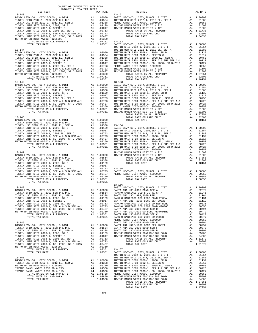| COUNTY OF ORANGE TAX RATE BOOK<br>2016-2017 TRA TAX RATES<br>$2016-2017\quad\text{TRA TAX RATES}\label{eq:2016-2017}$ DISTRICT |          |                                                                                                                                                                                                                                   |          |
|--------------------------------------------------------------------------------------------------------------------------------|----------|-----------------------------------------------------------------------------------------------------------------------------------------------------------------------------------------------------------------------------------|----------|
|                                                                                                                                | TAX RATE | DISTRICT                                                                                                                                                                                                                          | TAX RATE |
| $13 - 143$                                                                                                                     |          | $13 - 151$                                                                                                                                                                                                                        |          |
|                                                                                                                                |          |                                                                                                                                                                                                                                   |          |
|                                                                                                                                |          |                                                                                                                                                                                                                                   |          |
|                                                                                                                                |          |                                                                                                                                                                                                                                   |          |
|                                                                                                                                |          |                                                                                                                                                                                                                                   |          |
|                                                                                                                                |          |                                                                                                                                                                                                                                   |          |
|                                                                                                                                |          |                                                                                                                                                                                                                                   |          |
|                                                                                                                                |          |                                                                                                                                                                                                                                   |          |
|                                                                                                                                |          |                                                                                                                                                                                                                                   |          |
|                                                                                                                                |          |                                                                                                                                                                                                                                   |          |
|                                                                                                                                |          |                                                                                                                                                                                                                                   |          |
|                                                                                                                                |          |                                                                                                                                                                                                                                   |          |
|                                                                                                                                |          |                                                                                                                                                                                                                                   |          |
|                                                                                                                                |          |                                                                                                                                                                                                                                   |          |
|                                                                                                                                |          |                                                                                                                                                                                                                                   |          |
|                                                                                                                                |          |                                                                                                                                                                                                                                   |          |
|                                                                                                                                |          |                                                                                                                                                                                                                                   |          |
|                                                                                                                                |          |                                                                                                                                                                                                                                   |          |
|                                                                                                                                |          |                                                                                                                                                                                                                                   |          |
|                                                                                                                                |          |                                                                                                                                                                                                                                   |          |
|                                                                                                                                |          |                                                                                                                                                                                                                                   |          |
|                                                                                                                                |          | TORTH 6916 STIP DROS-1, 69 2018, 68 D-2015 A1. 195429<br>NETIN ONTOIC ACTION (POL. 1963-2016)<br>NETIN ON TOTAL TAX PATE 2012 COMPARENT AT A 1975-2012 COMPARENT AND SURVEY CONTINUOUS CONTINUOUS CONTINUOUS CONTINUOUS CONTINUOU |          |
|                                                                                                                                |          |                                                                                                                                                                                                                                   |          |
|                                                                                                                                |          |                                                                                                                                                                                                                                   |          |
|                                                                                                                                |          |                                                                                                                                                                                                                                   |          |
|                                                                                                                                |          |                                                                                                                                                                                                                                   |          |
|                                                                                                                                |          |                                                                                                                                                                                                                                   |          |
|                                                                                                                                |          |                                                                                                                                                                                                                                   |          |
|                                                                                                                                |          |                                                                                                                                                                                                                                   |          |
|                                                                                                                                |          |                                                                                                                                                                                                                                   |          |
|                                                                                                                                |          |                                                                                                                                                                                                                                   |          |
|                                                                                                                                |          |                                                                                                                                                                                                                                   |          |
|                                                                                                                                |          |                                                                                                                                                                                                                                   |          |
|                                                                                                                                |          |                                                                                                                                                                                                                                   |          |
|                                                                                                                                |          |                                                                                                                                                                                                                                   |          |
|                                                                                                                                |          |                                                                                                                                                                                                                                   |          |
|                                                                                                                                |          |                                                                                                                                                                                                                                   |          |
|                                                                                                                                |          |                                                                                                                                                                                                                                   |          |
|                                                                                                                                |          |                                                                                                                                                                                                                                   |          |
|                                                                                                                                |          |                                                                                                                                                                                                                                   |          |
|                                                                                                                                |          |                                                                                                                                                                                                                                   |          |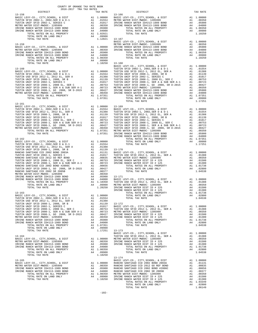| COUNTY OF ORANGE TAX RATE BOOK                                                                                                                                                                                                                                                                                                                                                                                                                                                                                                                                  |  |                                                                                                                                                                                                                                                                                                                                                                                                          |          |
|-----------------------------------------------------------------------------------------------------------------------------------------------------------------------------------------------------------------------------------------------------------------------------------------------------------------------------------------------------------------------------------------------------------------------------------------------------------------------------------------------------------------------------------------------------------------|--|----------------------------------------------------------------------------------------------------------------------------------------------------------------------------------------------------------------------------------------------------------------------------------------------------------------------------------------------------------------------------------------------------------|----------|
| $\begin{minipage}{0.5\textwidth} \begin{tabular}{c} \multicolumn{2}{c}{\textwidth} \begin{tabular}{c} $\color{red}\text{1} & $\color{blue}\text{1} & $\color{blue}\text{1} & $\color{blue}\text{1} & $\color{blue}\text{1} & $\color{blue}\text{1} & $\color{blue}\text{1} & $\color{blue}\text{1} & $\color{blue}\text{1} & $\color{blue}\text{1} & $\color{blue}\text{1} & $\color{blue}\text{1} & $\color{blue}\text{1} & $\color{blue}\text{1} & $\color{blue}\text{1} & $\color{blue}\text{1} & $\color{blue}\text{1} & $\color{blue}\text{$<br>$13 - 158$ |  | TAX RATE<br>TAX RATE<br>13-166<br>DISTRICT                                                                                                                                                                                                                                                                                                                                                               | TAX RATE |
|                                                                                                                                                                                                                                                                                                                                                                                                                                                                                                                                                                 |  | $\begin{tabular}{c c c c c} \hline 13-158 \\ 13-166 \\ TUSTI IN SFID 2002-1, 2002, SER D & D-T \\ TUSTIN SFID 2002-1, 2002, SER D & D-D \\ TUSTIN OFID 2002-1, 2002, SER D & D-D \\ TUSTIN IN FID 2002-1, 2002, SER D & D-D \\ TUSTIN UNIT F PID 2002-1, 2002, 2.055899 \\ TUSTIN UNIT F PID 2002-1, 2002, 2.5387 \\ TUSTIN UNIT F PID 2002$                                                             |          |
|                                                                                                                                                                                                                                                                                                                                                                                                                                                                                                                                                                 |  |                                                                                                                                                                                                                                                                                                                                                                                                          |          |
|                                                                                                                                                                                                                                                                                                                                                                                                                                                                                                                                                                 |  |                                                                                                                                                                                                                                                                                                                                                                                                          |          |
|                                                                                                                                                                                                                                                                                                                                                                                                                                                                                                                                                                 |  |                                                                                                                                                                                                                                                                                                                                                                                                          |          |
|                                                                                                                                                                                                                                                                                                                                                                                                                                                                                                                                                                 |  |                                                                                                                                                                                                                                                                                                                                                                                                          |          |
|                                                                                                                                                                                                                                                                                                                                                                                                                                                                                                                                                                 |  |                                                                                                                                                                                                                                                                                                                                                                                                          |          |
|                                                                                                                                                                                                                                                                                                                                                                                                                                                                                                                                                                 |  |                                                                                                                                                                                                                                                                                                                                                                                                          |          |
|                                                                                                                                                                                                                                                                                                                                                                                                                                                                                                                                                                 |  |                                                                                                                                                                                                                                                                                                                                                                                                          |          |
|                                                                                                                                                                                                                                                                                                                                                                                                                                                                                                                                                                 |  |                                                                                                                                                                                                                                                                                                                                                                                                          |          |
|                                                                                                                                                                                                                                                                                                                                                                                                                                                                                                                                                                 |  |                                                                                                                                                                                                                                                                                                                                                                                                          |          |
|                                                                                                                                                                                                                                                                                                                                                                                                                                                                                                                                                                 |  |                                                                                                                                                                                                                                                                                                                                                                                                          |          |
|                                                                                                                                                                                                                                                                                                                                                                                                                                                                                                                                                                 |  |                                                                                                                                                                                                                                                                                                                                                                                                          |          |
|                                                                                                                                                                                                                                                                                                                                                                                                                                                                                                                                                                 |  |                                                                                                                                                                                                                                                                                                                                                                                                          |          |
|                                                                                                                                                                                                                                                                                                                                                                                                                                                                                                                                                                 |  |                                                                                                                                                                                                                                                                                                                                                                                                          |          |
|                                                                                                                                                                                                                                                                                                                                                                                                                                                                                                                                                                 |  |                                                                                                                                                                                                                                                                                                                                                                                                          |          |
|                                                                                                                                                                                                                                                                                                                                                                                                                                                                                                                                                                 |  |                                                                                                                                                                                                                                                                                                                                                                                                          |          |
|                                                                                                                                                                                                                                                                                                                                                                                                                                                                                                                                                                 |  |                                                                                                                                                                                                                                                                                                                                                                                                          |          |
|                                                                                                                                                                                                                                                                                                                                                                                                                                                                                                                                                                 |  |                                                                                                                                                                                                                                                                                                                                                                                                          |          |
|                                                                                                                                                                                                                                                                                                                                                                                                                                                                                                                                                                 |  |                                                                                                                                                                                                                                                                                                                                                                                                          |          |
|                                                                                                                                                                                                                                                                                                                                                                                                                                                                                                                                                                 |  |                                                                                                                                                                                                                                                                                                                                                                                                          |          |
|                                                                                                                                                                                                                                                                                                                                                                                                                                                                                                                                                                 |  |                                                                                                                                                                                                                                                                                                                                                                                                          |          |
|                                                                                                                                                                                                                                                                                                                                                                                                                                                                                                                                                                 |  |                                                                                                                                                                                                                                                                                                                                                                                                          |          |
|                                                                                                                                                                                                                                                                                                                                                                                                                                                                                                                                                                 |  |                                                                                                                                                                                                                                                                                                                                                                                                          |          |
|                                                                                                                                                                                                                                                                                                                                                                                                                                                                                                                                                                 |  |                                                                                                                                                                                                                                                                                                                                                                                                          |          |
|                                                                                                                                                                                                                                                                                                                                                                                                                                                                                                                                                                 |  |                                                                                                                                                                                                                                                                                                                                                                                                          |          |
|                                                                                                                                                                                                                                                                                                                                                                                                                                                                                                                                                                 |  |                                                                                                                                                                                                                                                                                                                                                                                                          |          |
|                                                                                                                                                                                                                                                                                                                                                                                                                                                                                                                                                                 |  |                                                                                                                                                                                                                                                                                                                                                                                                          |          |
|                                                                                                                                                                                                                                                                                                                                                                                                                                                                                                                                                                 |  |                                                                                                                                                                                                                                                                                                                                                                                                          |          |
|                                                                                                                                                                                                                                                                                                                                                                                                                                                                                                                                                                 |  |                                                                                                                                                                                                                                                                                                                                                                                                          |          |
|                                                                                                                                                                                                                                                                                                                                                                                                                                                                                                                                                                 |  |                                                                                                                                                                                                                                                                                                                                                                                                          |          |
|                                                                                                                                                                                                                                                                                                                                                                                                                                                                                                                                                                 |  |                                                                                                                                                                                                                                                                                                                                                                                                          |          |
|                                                                                                                                                                                                                                                                                                                                                                                                                                                                                                                                                                 |  |                                                                                                                                                                                                                                                                                                                                                                                                          |          |
|                                                                                                                                                                                                                                                                                                                                                                                                                                                                                                                                                                 |  |                                                                                                                                                                                                                                                                                                                                                                                                          |          |
|                                                                                                                                                                                                                                                                                                                                                                                                                                                                                                                                                                 |  |                                                                                                                                                                                                                                                                                                                                                                                                          |          |
|                                                                                                                                                                                                                                                                                                                                                                                                                                                                                                                                                                 |  |                                                                                                                                                                                                                                                                                                                                                                                                          |          |
|                                                                                                                                                                                                                                                                                                                                                                                                                                                                                                                                                                 |  |                                                                                                                                                                                                                                                                                                                                                                                                          |          |
|                                                                                                                                                                                                                                                                                                                                                                                                                                                                                                                                                                 |  |                                                                                                                                                                                                                                                                                                                                                                                                          |          |
|                                                                                                                                                                                                                                                                                                                                                                                                                                                                                                                                                                 |  |                                                                                                                                                                                                                                                                                                                                                                                                          |          |
|                                                                                                                                                                                                                                                                                                                                                                                                                                                                                                                                                                 |  |                                                                                                                                                                                                                                                                                                                                                                                                          |          |
|                                                                                                                                                                                                                                                                                                                                                                                                                                                                                                                                                                 |  |                                                                                                                                                                                                                                                                                                                                                                                                          |          |
|                                                                                                                                                                                                                                                                                                                                                                                                                                                                                                                                                                 |  |                                                                                                                                                                                                                                                                                                                                                                                                          |          |
|                                                                                                                                                                                                                                                                                                                                                                                                                                                                                                                                                                 |  |                                                                                                                                                                                                                                                                                                                                                                                                          |          |
|                                                                                                                                                                                                                                                                                                                                                                                                                                                                                                                                                                 |  |                                                                                                                                                                                                                                                                                                                                                                                                          |          |
|                                                                                                                                                                                                                                                                                                                                                                                                                                                                                                                                                                 |  |                                                                                                                                                                                                                                                                                                                                                                                                          |          |
|                                                                                                                                                                                                                                                                                                                                                                                                                                                                                                                                                                 |  |                                                                                                                                                                                                                                                                                                                                                                                                          |          |
|                                                                                                                                                                                                                                                                                                                                                                                                                                                                                                                                                                 |  |                                                                                                                                                                                                                                                                                                                                                                                                          |          |
|                                                                                                                                                                                                                                                                                                                                                                                                                                                                                                                                                                 |  |                                                                                                                                                                                                                                                                                                                                                                                                          |          |
|                                                                                                                                                                                                                                                                                                                                                                                                                                                                                                                                                                 |  |                                                                                                                                                                                                                                                                                                                                                                                                          |          |
|                                                                                                                                                                                                                                                                                                                                                                                                                                                                                                                                                                 |  |                                                                                                                                                                                                                                                                                                                                                                                                          |          |
|                                                                                                                                                                                                                                                                                                                                                                                                                                                                                                                                                                 |  |                                                                                                                                                                                                                                                                                                                                                                                                          |          |
|                                                                                                                                                                                                                                                                                                                                                                                                                                                                                                                                                                 |  |                                                                                                                                                                                                                                                                                                                                                                                                          |          |
|                                                                                                                                                                                                                                                                                                                                                                                                                                                                                                                                                                 |  |                                                                                                                                                                                                                                                                                                                                                                                                          |          |
|                                                                                                                                                                                                                                                                                                                                                                                                                                                                                                                                                                 |  |                                                                                                                                                                                                                                                                                                                                                                                                          |          |
|                                                                                                                                                                                                                                                                                                                                                                                                                                                                                                                                                                 |  |                                                                                                                                                                                                                                                                                                                                                                                                          |          |
|                                                                                                                                                                                                                                                                                                                                                                                                                                                                                                                                                                 |  |                                                                                                                                                                                                                                                                                                                                                                                                          |          |
|                                                                                                                                                                                                                                                                                                                                                                                                                                                                                                                                                                 |  |                                                                                                                                                                                                                                                                                                                                                                                                          |          |
|                                                                                                                                                                                                                                                                                                                                                                                                                                                                                                                                                                 |  |                                                                                                                                                                                                                                                                                                                                                                                                          |          |
|                                                                                                                                                                                                                                                                                                                                                                                                                                                                                                                                                                 |  |                                                                                                                                                                                                                                                                                                                                                                                                          |          |
|                                                                                                                                                                                                                                                                                                                                                                                                                                                                                                                                                                 |  |                                                                                                                                                                                                                                                                                                                                                                                                          |          |
|                                                                                                                                                                                                                                                                                                                                                                                                                                                                                                                                                                 |  |                                                                                                                                                                                                                                                                                                                                                                                                          |          |
|                                                                                                                                                                                                                                                                                                                                                                                                                                                                                                                                                                 |  |                                                                                                                                                                                                                                                                                                                                                                                                          |          |
|                                                                                                                                                                                                                                                                                                                                                                                                                                                                                                                                                                 |  | $\begin{tabular}{c c c c c} \multicolumn{4}{c c c} \multicolumn{4}{c c c} \multicolumn{4}{c c c} \multicolumn{4}{c c c} \multicolumn{4}{c c c} \multicolumn{4}{c c c} \multicolumn{4}{c c c} \multicolumn{4}{c c c} \multicolumn{4}{c c c} \multicolumn{4}{c c c} \multicolumn{4}{c c c} \multicolumn{4}{c c c} \multicolumn{4}{c c c} \multicolumn{4}{c c c} \multicolumn{4}{c c c} \multicolumn{4}{c $ |          |
|                                                                                                                                                                                                                                                                                                                                                                                                                                                                                                                                                                 |  |                                                                                                                                                                                                                                                                                                                                                                                                          |          |
|                                                                                                                                                                                                                                                                                                                                                                                                                                                                                                                                                                 |  |                                                                                                                                                                                                                                                                                                                                                                                                          |          |
|                                                                                                                                                                                                                                                                                                                                                                                                                                                                                                                                                                 |  |                                                                                                                                                                                                                                                                                                                                                                                                          |          |
|                                                                                                                                                                                                                                                                                                                                                                                                                                                                                                                                                                 |  |                                                                                                                                                                                                                                                                                                                                                                                                          |          |
|                                                                                                                                                                                                                                                                                                                                                                                                                                                                                                                                                                 |  |                                                                                                                                                                                                                                                                                                                                                                                                          |          |
|                                                                                                                                                                                                                                                                                                                                                                                                                                                                                                                                                                 |  |                                                                                                                                                                                                                                                                                                                                                                                                          |          |
|                                                                                                                                                                                                                                                                                                                                                                                                                                                                                                                                                                 |  |                                                                                                                                                                                                                                                                                                                                                                                                          |          |
|                                                                                                                                                                                                                                                                                                                                                                                                                                                                                                                                                                 |  |                                                                                                                                                                                                                                                                                                                                                                                                          |          |
|                                                                                                                                                                                                                                                                                                                                                                                                                                                                                                                                                                 |  |                                                                                                                                                                                                                                                                                                                                                                                                          |          |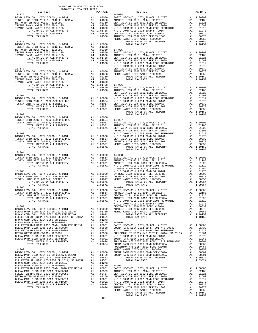| COUNTY OF ORANGE TAX RATE BOOK<br>2016-2017 TRA TAX RATES |  |                                                                                                                                                                                                                                                                                                                                                                                                                                           |          |
|-----------------------------------------------------------|--|-------------------------------------------------------------------------------------------------------------------------------------------------------------------------------------------------------------------------------------------------------------------------------------------------------------------------------------------------------------------------------------------------------------------------------------------|----------|
| DISTRICT<br>$13 - 175$                                    |  | RA TAX RATES<br>TAX RATE DISTRICT<br>$14 - 004$                                                                                                                                                                                                                                                                                                                                                                                           | TAX RATE |
|                                                           |  |                                                                                                                                                                                                                                                                                                                                                                                                                                           |          |
|                                                           |  |                                                                                                                                                                                                                                                                                                                                                                                                                                           |          |
|                                                           |  |                                                                                                                                                                                                                                                                                                                                                                                                                                           |          |
|                                                           |  |                                                                                                                                                                                                                                                                                                                                                                                                                                           |          |
|                                                           |  |                                                                                                                                                                                                                                                                                                                                                                                                                                           |          |
|                                                           |  |                                                                                                                                                                                                                                                                                                                                                                                                                                           |          |
|                                                           |  |                                                                                                                                                                                                                                                                                                                                                                                                                                           |          |
|                                                           |  |                                                                                                                                                                                                                                                                                                                                                                                                                                           |          |
|                                                           |  |                                                                                                                                                                                                                                                                                                                                                                                                                                           |          |
|                                                           |  |                                                                                                                                                                                                                                                                                                                                                                                                                                           |          |
|                                                           |  |                                                                                                                                                                                                                                                                                                                                                                                                                                           |          |
|                                                           |  | TOTAL TAX RATE                                                                                                                                                                                                                                                                                                                                                                                                                            | 1.10159  |
| $13 - 904$                                                |  |                                                                                                                                                                                                                                                                                                                                                                                                                                           |          |
|                                                           |  | $\begin{tabular}{cccc} 13-904 \\ TUSTIN INFF SFD 2002-1, 2002, SER D & & & & \\ TUSTIN INFF SFD 2002-1, 2002, SER D & & & \\ & & & & & \\ \hline \end{tabular} \hline \begin{tabular}{cccc} 13-904 \\ TUSTIN INFF SFD 2002-1, 2002, SER D & & & \\ & & & & & \\ \hline \end{tabular} \hline \begin{tabular}{cccc} 13-906 \\ TUSTIN INFF SFD 2002-1, 2002, SER D & & & \\ & & & & & \\ \hline \end{tabular} \hline \begin{tabular}{cccc} $ |          |
|                                                           |  |                                                                                                                                                                                                                                                                                                                                                                                                                                           |          |
|                                                           |  |                                                                                                                                                                                                                                                                                                                                                                                                                                           |          |
| $13 - 906$                                                |  | $14 - 009$<br>$14-009$<br>$14-009$<br>$14-009$<br>$14-009$<br>$14-009$<br>$14-009$<br>$14-009$<br>$14-009$<br>$14-009$<br>$14-009$<br>$14-009$<br>$14-009$<br>$14-009$<br>$14-009$<br>$14-009$<br>$14-009$<br>$14-009$<br>$14-009$<br>$14-009$<br>$14-009$<br>$14-009$<br>$14-009$<br>                                                                                                                                                    |          |
|                                                           |  |                                                                                                                                                                                                                                                                                                                                                                                                                                           |          |
|                                                           |  |                                                                                                                                                                                                                                                                                                                                                                                                                                           |          |
|                                                           |  |                                                                                                                                                                                                                                                                                                                                                                                                                                           |          |
|                                                           |  |                                                                                                                                                                                                                                                                                                                                                                                                                                           |          |
|                                                           |  |                                                                                                                                                                                                                                                                                                                                                                                                                                           |          |
|                                                           |  |                                                                                                                                                                                                                                                                                                                                                                                                                                           |          |
|                                                           |  |                                                                                                                                                                                                                                                                                                                                                                                                                                           |          |
|                                                           |  | $\begin{tabular}{l c c c c} \hline \texttt{FULLETON} & \texttt{JULDR} & \texttt{FULERTON} & \texttt{JULDS} & \texttt{A1} & 0.1564 \\ \hline \texttt{BUCLERTON} & \texttt{RULERTON} & \texttt{A1} & 0.1273 \\ \hline \texttt{BUCLAR} & \texttt{RMLRETON} & \texttt{A1} & 0.0001 \\ \hline \texttt{BUCLAR} & \texttt{RMLREION} & \texttt{A2} & 0.0008 \\ \hline \texttt{BUCLAR} & \texttt{RMLRE UNDUS} & \$                                 |          |
|                                                           |  |                                                                                                                                                                                                                                                                                                                                                                                                                                           |          |
|                                                           |  |                                                                                                                                                                                                                                                                                                                                                                                                                                           |          |
|                                                           |  |                                                                                                                                                                                                                                                                                                                                                                                                                                           |          |
|                                                           |  |                                                                                                                                                                                                                                                                                                                                                                                                                                           |          |
|                                                           |  |                                                                                                                                                                                                                                                                                                                                                                                                                                           |          |
|                                                           |  |                                                                                                                                                                                                                                                                                                                                                                                                                                           |          |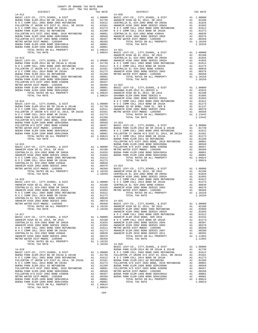-104-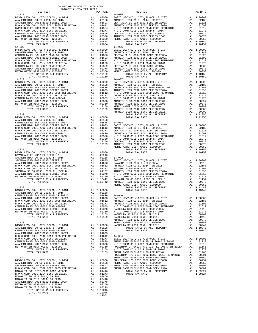| TOTAL RATES ON ALL PROPERTY<br>TOTAL TAX RATE                                   | A1 1.09854                                  | 1.09854                                                                  |                |
|---------------------------------------------------------------------------------|---------------------------------------------|--------------------------------------------------------------------------|----------------|
| $14 - 028$                                                                      |                                             |                                                                          | $14 - 036$     |
|                                                                                 |                                             |                                                                          |                |
|                                                                                 |                                             |                                                                          |                |
|                                                                                 |                                             |                                                                          |                |
|                                                                                 |                                             |                                                                          |                |
|                                                                                 |                                             |                                                                          |                |
|                                                                                 |                                             |                                                                          |                |
|                                                                                 |                                             |                                                                          |                |
|                                                                                 |                                             |                                                                          |                |
| TOTAL TAX RATE                                                                  |                                             | 1.10159                                                                  |                |
| $14 - 029$                                                                      |                                             |                                                                          | 14-037         |
|                                                                                 |                                             |                                                                          |                |
|                                                                                 |                                             |                                                                          |                |
|                                                                                 |                                             |                                                                          |                |
|                                                                                 |                                             |                                                                          |                |
|                                                                                 |                                             |                                                                          |                |
|                                                                                 |                                             |                                                                          |                |
|                                                                                 |                                             |                                                                          |                |
|                                                                                 |                                             |                                                                          |                |
|                                                                                 |                                             |                                                                          |                |
|                                                                                 |                                             |                                                                          | ANAHEIM        |
| $14 - 030$<br>BASIC LEVY-CO., CITY, SCHOOL, & DIST A1 1.00000                   |                                             |                                                                          |                |
|                                                                                 |                                             |                                                                          |                |
|                                                                                 |                                             |                                                                          |                |
|                                                                                 |                                             |                                                                          |                |
|                                                                                 |                                             |                                                                          |                |
|                                                                                 |                                             |                                                                          |                |
|                                                                                 |                                             |                                                                          |                |
|                                                                                 |                                             |                                                                          |                |
|                                                                                 |                                             |                                                                          |                |
|                                                                                 |                                             |                                                                          |                |
| $14 - 031$                                                                      |                                             |                                                                          | METRO W        |
| BASIC LEVY-CO., CITY, SCHOOL, & DIST A1 1.00000                                 |                                             |                                                                          |                |
|                                                                                 |                                             |                                                                          |                |
|                                                                                 |                                             |                                                                          |                |
|                                                                                 |                                             |                                                                          |                |
|                                                                                 |                                             |                                                                          |                |
|                                                                                 |                                             |                                                                          |                |
|                                                                                 |                                             |                                                                          |                |
|                                                                                 |                                             |                                                                          |                |
|                                                                                 |                                             |                                                                          |                |
|                                                                                 |                                             |                                                                          |                |
|                                                                                 |                                             |                                                                          | METRO W        |
|                                                                                 |                                             |                                                                          |                |
|                                                                                 |                                             |                                                                          |                |
|                                                                                 |                                             |                                                                          |                |
|                                                                                 |                                             |                                                                          |                |
|                                                                                 |                                             |                                                                          |                |
|                                                                                 |                                             |                                                                          |                |
|                                                                                 |                                             |                                                                          |                |
|                                                                                 |                                             |                                                                          |                |
|                                                                                 |                                             |                                                                          |                |
|                                                                                 |                                             |                                                                          |                |
|                                                                                 |                                             |                                                                          | <b>ANAHEIM</b> |
| $14 - 033$                                                                      |                                             |                                                                          | METRO W        |
| BASIC LEVY-CO., CITY, SCHOOL, & DIST<br>ANAHEIM HIGH GO EL 2014, SR 2015        | A1 1.00000 MAGNOLI<br>a1 02188<br>A1 .02188 |                                                                          |                |
| CENTRALIA EL SCH-2002 BOND SR 2003A                                             | A1                                          | .01826                                                                   |                |
| ANAHEIM HIGH 2002 BOND SERIES 2002A                                             |                                             | A1.01693                                                                 |                |
| ANAHEIM HIGH ZUUZ BOND SEKIES ZUUZA<br>N O C COMM COLL 2002 BOND 2005 REFUNDING |                                             | A1.01612                                                                 | $14 - 054$     |
| N O C COMM COLL 2014 BOND SR 2016A                                              | A1                                          | .01273                                                                   | BASIC L        |
| CENTRALIA EL SCH-2002 BOND #2004A                                               | A1                                          | .00839                                                                   | BUENA P        |
| ANAHEIM HIGH 2002 BOND SERIES 2003<br>METRO WATER DIST-MWDOC- 1205999           |                                             |                                                                          |                |
| TOTAL RATES ON ALL PROPERTY                                                     |                                             |                                                                          |                |
| TOTAL TAX RATE                                                                  |                                             | A1 .00378 NOCC<br>A1 .00350 FULLERT<br>A1 .10159 NOCC<br>1.10159 BUENA P |                |
|                                                                                 |                                             |                                                                          | FULLERT        |
| $14 - 034$                                                                      |                                             |                                                                          | BUENA P        |
|                                                                                 |                                             |                                                                          |                |
|                                                                                 |                                             |                                                                          |                |
|                                                                                 |                                             |                                                                          |                |
| MAGNOLIA SCH DIST-2000 BOND #2005R                                              |                                             | A1 .01416                                                                |                |
| N O C COMM COLL 2014 BOND SR 2016A                                              |                                             | A1.01273                                                                 |                |
| MAGNOLIA SD 2010 BOND, SR 2011<br>MAGNOLIA SD 2010 BOND, SR 2013                | A1<br>A1                                    | .00469<br>.00418                                                         |                |
| ANAHEIM HIGH 2002 BOND SERIES 2003                                              | A1                                          | .00378                                                                   |                |
| METRO WATER DIST-MWDOC- 1205999                                                 |                                             | A1 .00350                                                                |                |
| MAGNOLIA SD 2010 BOND, SR 2016                                                  | A1                                          | .00249                                                                   |                |
| TOTAL RATES ON ALL PROPERTY                                                     |                                             | A1 1.10046                                                               |                |
| TOTAL TAX RATE                                                                  |                                             | 1.10046                                                                  |                |
|                                                                                 |                                             | $-105-$                                                                  |                |

| TAX RATE<br>DISTRICT |  | DISTRICT                                                                                                                                                                                                                                                                                                                                                                                                                                                                  | TAX RATE |
|----------------------|--|---------------------------------------------------------------------------------------------------------------------------------------------------------------------------------------------------------------------------------------------------------------------------------------------------------------------------------------------------------------------------------------------------------------------------------------------------------------------------|----------|
|                      |  | $\begin{tabular}{l c c c c c} & \multicolumn{1}{c}{\textbf{DISTRICT}} & \multicolumn{1}{c}{\textbf{DISTRICT}} & \multicolumn{1}{c}{\textbf{TAX RATE}} & \multicolumn{1}{c}{\textbf{DISTRICT}} & \multicolumn{1}{c}{\textbf{TAX RATE}} & \multicolumn{1}{c}{\textbf{DISTRICT}} & \multicolumn{1}{c}{\textbf{TAX RATE}} & \multicolumn{1}{c}{\textbf{DISTRICT}} & \multicolumn{1}{c}{\textbf{TAX RATE}} & \multicolumn{1}{c}{\textbf{DISTRICT}} & \multicolumn{1}{c}{\text$ |          |
|                      |  |                                                                                                                                                                                                                                                                                                                                                                                                                                                                           |          |
|                      |  |                                                                                                                                                                                                                                                                                                                                                                                                                                                                           |          |
|                      |  |                                                                                                                                                                                                                                                                                                                                                                                                                                                                           |          |
|                      |  |                                                                                                                                                                                                                                                                                                                                                                                                                                                                           |          |
|                      |  |                                                                                                                                                                                                                                                                                                                                                                                                                                                                           |          |
|                      |  |                                                                                                                                                                                                                                                                                                                                                                                                                                                                           |          |
|                      |  |                                                                                                                                                                                                                                                                                                                                                                                                                                                                           |          |
|                      |  |                                                                                                                                                                                                                                                                                                                                                                                                                                                                           |          |
|                      |  |                                                                                                                                                                                                                                                                                                                                                                                                                                                                           |          |
|                      |  |                                                                                                                                                                                                                                                                                                                                                                                                                                                                           |          |
|                      |  |                                                                                                                                                                                                                                                                                                                                                                                                                                                                           |          |
|                      |  |                                                                                                                                                                                                                                                                                                                                                                                                                                                                           |          |
|                      |  |                                                                                                                                                                                                                                                                                                                                                                                                                                                                           |          |
|                      |  |                                                                                                                                                                                                                                                                                                                                                                                                                                                                           |          |
|                      |  |                                                                                                                                                                                                                                                                                                                                                                                                                                                                           |          |
|                      |  |                                                                                                                                                                                                                                                                                                                                                                                                                                                                           |          |
|                      |  |                                                                                                                                                                                                                                                                                                                                                                                                                                                                           |          |
|                      |  |                                                                                                                                                                                                                                                                                                                                                                                                                                                                           |          |
|                      |  |                                                                                                                                                                                                                                                                                                                                                                                                                                                                           |          |
|                      |  |                                                                                                                                                                                                                                                                                                                                                                                                                                                                           |          |
|                      |  |                                                                                                                                                                                                                                                                                                                                                                                                                                                                           |          |
|                      |  |                                                                                                                                                                                                                                                                                                                                                                                                                                                                           |          |
|                      |  |                                                                                                                                                                                                                                                                                                                                                                                                                                                                           |          |
|                      |  |                                                                                                                                                                                                                                                                                                                                                                                                                                                                           |          |
|                      |  |                                                                                                                                                                                                                                                                                                                                                                                                                                                                           |          |
|                      |  |                                                                                                                                                                                                                                                                                                                                                                                                                                                                           |          |
|                      |  |                                                                                                                                                                                                                                                                                                                                                                                                                                                                           |          |
|                      |  |                                                                                                                                                                                                                                                                                                                                                                                                                                                                           |          |
|                      |  |                                                                                                                                                                                                                                                                                                                                                                                                                                                                           |          |
|                      |  |                                                                                                                                                                                                                                                                                                                                                                                                                                                                           |          |
|                      |  |                                                                                                                                                                                                                                                                                                                                                                                                                                                                           |          |
|                      |  |                                                                                                                                                                                                                                                                                                                                                                                                                                                                           |          |
|                      |  |                                                                                                                                                                                                                                                                                                                                                                                                                                                                           |          |
|                      |  |                                                                                                                                                                                                                                                                                                                                                                                                                                                                           |          |
|                      |  |                                                                                                                                                                                                                                                                                                                                                                                                                                                                           |          |
|                      |  |                                                                                                                                                                                                                                                                                                                                                                                                                                                                           |          |
|                      |  |                                                                                                                                                                                                                                                                                                                                                                                                                                                                           |          |
|                      |  |                                                                                                                                                                                                                                                                                                                                                                                                                                                                           |          |
|                      |  |                                                                                                                                                                                                                                                                                                                                                                                                                                                                           |          |
|                      |  |                                                                                                                                                                                                                                                                                                                                                                                                                                                                           |          |
|                      |  |                                                                                                                                                                                                                                                                                                                                                                                                                                                                           |          |
|                      |  |                                                                                                                                                                                                                                                                                                                                                                                                                                                                           |          |
|                      |  |                                                                                                                                                                                                                                                                                                                                                                                                                                                                           |          |
|                      |  |                                                                                                                                                                                                                                                                                                                                                                                                                                                                           |          |
|                      |  |                                                                                                                                                                                                                                                                                                                                                                                                                                                                           |          |
|                      |  |                                                                                                                                                                                                                                                                                                                                                                                                                                                                           |          |
|                      |  |                                                                                                                                                                                                                                                                                                                                                                                                                                                                           |          |
|                      |  |                                                                                                                                                                                                                                                                                                                                                                                                                                                                           |          |
|                      |  |                                                                                                                                                                                                                                                                                                                                                                                                                                                                           |          |
|                      |  |                                                                                                                                                                                                                                                                                                                                                                                                                                                                           |          |
|                      |  |                                                                                                                                                                                                                                                                                                                                                                                                                                                                           |          |
|                      |  |                                                                                                                                                                                                                                                                                                                                                                                                                                                                           |          |
|                      |  |                                                                                                                                                                                                                                                                                                                                                                                                                                                                           |          |
|                      |  |                                                                                                                                                                                                                                                                                                                                                                                                                                                                           |          |
|                      |  |                                                                                                                                                                                                                                                                                                                                                                                                                                                                           |          |
|                      |  |                                                                                                                                                                                                                                                                                                                                                                                                                                                                           |          |
|                      |  |                                                                                                                                                                                                                                                                                                                                                                                                                                                                           |          |
|                      |  |                                                                                                                                                                                                                                                                                                                                                                                                                                                                           |          |
|                      |  |                                                                                                                                                                                                                                                                                                                                                                                                                                                                           |          |
|                      |  |                                                                                                                                                                                                                                                                                                                                                                                                                                                                           |          |
|                      |  |                                                                                                                                                                                                                                                                                                                                                                                                                                                                           |          |
|                      |  |                                                                                                                                                                                                                                                                                                                                                                                                                                                                           |          |
|                      |  |                                                                                                                                                                                                                                                                                                                                                                                                                                                                           |          |
|                      |  |                                                                                                                                                                                                                                                                                                                                                                                                                                                                           |          |
|                      |  |                                                                                                                                                                                                                                                                                                                                                                                                                                                                           |          |
|                      |  |                                                                                                                                                                                                                                                                                                                                                                                                                                                                           |          |
|                      |  |                                                                                                                                                                                                                                                                                                                                                                                                                                                                           |          |
|                      |  |                                                                                                                                                                                                                                                                                                                                                                                                                                                                           |          |
|                      |  |                                                                                                                                                                                                                                                                                                                                                                                                                                                                           |          |
|                      |  |                                                                                                                                                                                                                                                                                                                                                                                                                                                                           |          |
|                      |  |                                                                                                                                                                                                                                                                                                                                                                                                                                                                           |          |
|                      |  |                                                                                                                                                                                                                                                                                                                                                                                                                                                                           |          |
|                      |  |                                                                                                                                                                                                                                                                                                                                                                                                                                                                           |          |
|                      |  |                                                                                                                                                                                                                                                                                                                                                                                                                                                                           |          |
|                      |  |                                                                                                                                                                                                                                                                                                                                                                                                                                                                           |          |
|                      |  |                                                                                                                                                                                                                                                                                                                                                                                                                                                                           |          |
|                      |  |                                                                                                                                                                                                                                                                                                                                                                                                                                                                           |          |
|                      |  |                                                                                                                                                                                                                                                                                                                                                                                                                                                                           |          |
|                      |  |                                                                                                                                                                                                                                                                                                                                                                                                                                                                           |          |
|                      |  |                                                                                                                                                                                                                                                                                                                                                                                                                                                                           |          |
|                      |  |                                                                                                                                                                                                                                                                                                                                                                                                                                                                           |          |
|                      |  |                                                                                                                                                                                                                                                                                                                                                                                                                                                                           |          |
|                      |  |                                                                                                                                                                                                                                                                                                                                                                                                                                                                           |          |
|                      |  |                                                                                                                                                                                                                                                                                                                                                                                                                                                                           |          |
|                      |  |                                                                                                                                                                                                                                                                                                                                                                                                                                                                           |          |
|                      |  | NULLERTON HARR ELEM-2011 GO REFUNDING AN 101260<br>FULLERTON H/S DIST 2002 BOND, 2010 REFUNDING A1 .00801<br>BUENA PARK ELEM-1999 POND SEDIAL OR 1999 POLEN                                                                                                                                                                                                                                                                                                               |          |
|                      |  |                                                                                                                                                                                                                                                                                                                                                                                                                                                                           |          |
|                      |  |                                                                                                                                                                                                                                                                                                                                                                                                                                                                           |          |
|                      |  |                                                                                                                                                                                                                                                                                                                                                                                                                                                                           |          |
|                      |  |                                                                                                                                                                                                                                                                                                                                                                                                                                                                           |          |
|                      |  |                                                                                                                                                                                                                                                                                                                                                                                                                                                                           |          |
|                      |  |                                                                                                                                                                                                                                                                                                                                                                                                                                                                           |          |
|                      |  |                                                                                                                                                                                                                                                                                                                                                                                                                                                                           |          |
|                      |  |                                                                                                                                                                                                                                                                                                                                                                                                                                                                           |          |
|                      |  |                                                                                                                                                                                                                                                                                                                                                                                                                                                                           |          |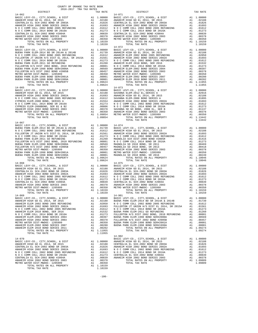| TOTAL TAX RATE | 1.09624 |            |
|----------------|---------|------------|
| $14 - 065$     |         | $14 - 073$ |
|                |         |            |
|                |         |            |
|                |         |            |
|                |         |            |
|                |         |            |
|                |         |            |
|                |         |            |
|                |         |            |
|                |         |            |
| TOTAL TAX RATE | 1.09854 |            |
|                |         |            |
| $14 - 067$     |         |            |
|                |         |            |
|                |         |            |
|                |         |            |
|                |         |            |
|                |         |            |
|                |         |            |
|                |         |            |
|                |         |            |
|                |         |            |
|                |         |            |
|                |         |            |
|                |         |            |
|                |         |            |
| TOTAL TAX RATE | 1.09624 |            |
| $14 - 068$     |         | $14 - 075$ |
|                |         |            |
|                |         |            |
|                |         |            |
|                |         |            |
|                |         |            |
|                |         |            |
|                |         |            |
|                |         |            |
|                |         |            |
| TOTAL TAX RATE | 1.10159 |            |
| $14 - 069$     |         | $14 - 901$ |
|                |         |            |
|                |         |            |
|                |         |            |
|                |         |            |
|                |         |            |
|                |         |            |
|                |         |            |
|                |         |            |
|                |         |            |
|                |         |            |
|                |         |            |
|                |         |            |
|                |         |            |
| TOTAL TAX RATE | 1.11955 |            |
|                |         | $14 - 902$ |
| $14 - 070$     |         | BASIC L    |
|                |         |            |
|                |         |            |
|                |         |            |
|                |         |            |
|                |         |            |
|                |         |            |
|                |         |            |

| METRO WATER DIST-MWDOC- 1205999               | A1 | .00350     | METRO W        |
|-----------------------------------------------|----|------------|----------------|
| TOTAL RATES ON ALL PROPERTY                   |    | A1 1.10159 |                |
| TOTAL TAX RATE                                |    | 1.10159    |                |
| $14 - 064$                                    |    |            | 14-072         |
| BASIC LEVY-CO., CITY, SCHOOL, & DIST          |    | A1 1.00000 | BASIC L        |
| BUENA PARK ELEM-2014 BD SR 2014A & 2014B      | A1 | .01739     | <b>ANAHEIM</b> |
| N O C COMM COLL 2002 BOND 2005 REFUNDING      | A1 | .01612     | <b>ANAHEIM</b> |
| FULLERTON JT UNION H/S DIST EL 2014. SR 2015A | A1 | .01561     | <b>ANAHEIM</b> |
| N O C COMM COLL 2014 BOND SR 2016A            | A1 | .01273     | NOCC           |
| BUENA PARK ELEM-2011 GO REFUNDING             | A1 | .01260     | <b>ANAHEIM</b> |
| FULLERTON H/S DIST 2002 BOND, 2010 REFUNDING  | A1 | .00801     | NOCC           |
| BUENA PARK ELEM-1998 BOND SER#2000A           | A1 | .00569     | <b>ANAHEIM</b> |
| FULLERTON H/S DIST 2002 BOND #2005B           | A1 | .00457     | <b>ANAHEIM</b> |
| METRO WATER DIST-MWDOC- 1205999               | A1 | .00350     | METRO W        |
| BUENA PARK ELEM-1998 BOND SER#2001A           | A1 | .00001     | <b>ANAHEIM</b> |
| BUENA PARK ELEM-1998 BOND SER#1999A           | A1 | .00001     | <b>ANAHEIM</b> |
| TOTAL RATES ON ALL PROPERTY                   | A1 | 1.09624    |                |
| TOTAL TAX RATE                                |    | 1.09624    |                |
| $14 - 065$                                    |    |            | $14 - 073$     |

| COUNTY OF ORANGE TAX RATE BOOK                |    |            |                                          |                |            |
|-----------------------------------------------|----|------------|------------------------------------------|----------------|------------|
| 2016-2017 TRA TAX RATES                       |    |            |                                          |                |            |
| DISTRICT                                      |    | TAX RATE   | DISTRICT                                 |                | TAX RATE   |
| $14 - 062$                                    |    |            | $14 - 071$                               |                |            |
| BASIC LEVY-CO., CITY, SCHOOL, & DIST          |    | A1 1,00000 | BASIC LEVY-CO., CITY, SCHOOL, & DIST     |                | A1 1,00000 |
| ANAHEIM HIGH GO EL 2014, SR 2015              | A1 | .02188     | ANAHEIM HIGH GO EL 2014, SR 2015         | A1             | .02188     |
| CENTRALIA EL SCH-2002 BOND SR 2003A           | A1 | .01826     | CENTRALIA EL SCH-2002 BOND SR 2003A      | A <sub>1</sub> | .01826     |
| ANAHEIM HIGH 2002 BOND SERIES 2002A           | A1 | .01693     | ANAHEIM HIGH 2002 BOND SERIES 2002A      | A1             | .01693     |
| N O C COMM COLL 2002 BOND 2005 REFUNDING      | A1 | .01612     | N O C COMM COLL 2002 BOND 2005 REFUNDING | A1             | .01612     |
| N O C COMM COLL 2014 BOND SR 2016A            | A1 | .01273     | N O C COMM COLL 2014 BOND SR 2016A       | A1             | .01273     |
| CENTRALIA EL SCH-2002 BOND #2004A             | A1 | .00839     | CENTRALIA EL SCH-2002 BOND #2004A        | A1             | .00839     |
| ANAHEIM HIGH 2002 BOND SERIES 2003            | A1 | .00378     | ANAHEIM HIGH 2002 BOND SERIES 2003       | A1             | .00378     |
| METRO WATER DIST-MWDOC- 1205999               | A1 | .00350     | METRO WATER DIST-MWDOC- 1205999          | A1             | .00350     |
| TOTAL RATES ON ALL PROPERTY                   |    | A1 1.10159 | TOTAL RATES ON ALL PROPERTY              |                | A1 1.10159 |
| TOTAL TAX RATE                                |    | 1,10159    | TOTAL TAX RATE                           |                | 1,10159    |
| $14 - 064$                                    |    |            | $14 - 072$                               |                |            |
| BASIC LEVY-CO., CITY, SCHOOL, & DIST          |    | A1 1.00000 | BASIC LEVY-CO., CITY, SCHOOL, & DIST     |                | A1 1,00000 |
| BUENA PARK ELEM-2014 BD SR 2014A & 2014B      |    | A1 .01739  | ANAHEIM HIGH GO EL 2014, SR 2015         | A1             | .02188     |
| N O C COMM COLL 2002 BOND 2005 REFUNDING      | A1 | .01612     | ANAHEIM ELEM 2002 BOND 2005 REFUNDING    | A1             | .02050     |
| FULLERTON JT UNION H/S DIST EL 2014, SR 2015A | A1 | .01561     | ANAHEIM HIGH 2002 BOND SERIES 2002A      | A1             | .01693     |

| 14-062     |  | $14 - 071$                                                                                                                                                                                                                                                                                                                                                                                                        |  |
|------------|--|-------------------------------------------------------------------------------------------------------------------------------------------------------------------------------------------------------------------------------------------------------------------------------------------------------------------------------------------------------------------------------------------------------------------|--|
|            |  | $\begin{tabular}{l c c c c c} \multicolumn{4}{c}{\textbf{A3-SC LEVY-CO., CITY, SCHOOL, & $\Delta$ DIST}\\ \multicolumn{4}{c}{\textbf{AASEIM HIGH 2002 BOND SERIES 2002A}} & $\textbf{A1} & 1.00000 & $\textbf{BASC LEVY-CO., CITY, SCHOOL, & $\Delta$ DIST}\\ \multicolumn{4}{c}{\textbf{ANAEEM HIGH 2002 BOND SERIES 2002A}} & $\textbf{A1} & .01828 & $\textbf{ANAEEM HIGH 2002 BOND SERIES 2002A}$ & $\textbf$ |  |
|            |  |                                                                                                                                                                                                                                                                                                                                                                                                                   |  |
|            |  |                                                                                                                                                                                                                                                                                                                                                                                                                   |  |
|            |  |                                                                                                                                                                                                                                                                                                                                                                                                                   |  |
|            |  |                                                                                                                                                                                                                                                                                                                                                                                                                   |  |
|            |  |                                                                                                                                                                                                                                                                                                                                                                                                                   |  |
|            |  |                                                                                                                                                                                                                                                                                                                                                                                                                   |  |
|            |  |                                                                                                                                                                                                                                                                                                                                                                                                                   |  |
|            |  |                                                                                                                                                                                                                                                                                                                                                                                                                   |  |
|            |  |                                                                                                                                                                                                                                                                                                                                                                                                                   |  |
|            |  |                                                                                                                                                                                                                                                                                                                                                                                                                   |  |
|            |  |                                                                                                                                                                                                                                                                                                                                                                                                                   |  |
|            |  |                                                                                                                                                                                                                                                                                                                                                                                                                   |  |
|            |  |                                                                                                                                                                                                                                                                                                                                                                                                                   |  |
|            |  |                                                                                                                                                                                                                                                                                                                                                                                                                   |  |
|            |  |                                                                                                                                                                                                                                                                                                                                                                                                                   |  |
|            |  |                                                                                                                                                                                                                                                                                                                                                                                                                   |  |
|            |  |                                                                                                                                                                                                                                                                                                                                                                                                                   |  |
|            |  |                                                                                                                                                                                                                                                                                                                                                                                                                   |  |
|            |  |                                                                                                                                                                                                                                                                                                                                                                                                                   |  |
|            |  |                                                                                                                                                                                                                                                                                                                                                                                                                   |  |
|            |  |                                                                                                                                                                                                                                                                                                                                                                                                                   |  |
|            |  |                                                                                                                                                                                                                                                                                                                                                                                                                   |  |
|            |  |                                                                                                                                                                                                                                                                                                                                                                                                                   |  |
|            |  |                                                                                                                                                                                                                                                                                                                                                                                                                   |  |
|            |  |                                                                                                                                                                                                                                                                                                                                                                                                                   |  |
|            |  |                                                                                                                                                                                                                                                                                                                                                                                                                   |  |
|            |  |                                                                                                                                                                                                                                                                                                                                                                                                                   |  |
|            |  |                                                                                                                                                                                                                                                                                                                                                                                                                   |  |
|            |  |                                                                                                                                                                                                                                                                                                                                                                                                                   |  |
|            |  |                                                                                                                                                                                                                                                                                                                                                                                                                   |  |
|            |  |                                                                                                                                                                                                                                                                                                                                                                                                                   |  |
|            |  |                                                                                                                                                                                                                                                                                                                                                                                                                   |  |
|            |  |                                                                                                                                                                                                                                                                                                                                                                                                                   |  |
|            |  |                                                                                                                                                                                                                                                                                                                                                                                                                   |  |
|            |  |                                                                                                                                                                                                                                                                                                                                                                                                                   |  |
|            |  |                                                                                                                                                                                                                                                                                                                                                                                                                   |  |
|            |  |                                                                                                                                                                                                                                                                                                                                                                                                                   |  |
|            |  |                                                                                                                                                                                                                                                                                                                                                                                                                   |  |
| $14 - 067$ |  |                                                                                                                                                                                                                                                                                                                                                                                                                   |  |
|            |  |                                                                                                                                                                                                                                                                                                                                                                                                                   |  |
|            |  |                                                                                                                                                                                                                                                                                                                                                                                                                   |  |
|            |  |                                                                                                                                                                                                                                                                                                                                                                                                                   |  |
|            |  |                                                                                                                                                                                                                                                                                                                                                                                                                   |  |
|            |  |                                                                                                                                                                                                                                                                                                                                                                                                                   |  |
|            |  |                                                                                                                                                                                                                                                                                                                                                                                                                   |  |
|            |  |                                                                                                                                                                                                                                                                                                                                                                                                                   |  |
|            |  |                                                                                                                                                                                                                                                                                                                                                                                                                   |  |
|            |  |                                                                                                                                                                                                                                                                                                                                                                                                                   |  |
|            |  |                                                                                                                                                                                                                                                                                                                                                                                                                   |  |
|            |  |                                                                                                                                                                                                                                                                                                                                                                                                                   |  |
|            |  |                                                                                                                                                                                                                                                                                                                                                                                                                   |  |
|            |  |                                                                                                                                                                                                                                                                                                                                                                                                                   |  |
|            |  |                                                                                                                                                                                                                                                                                                                                                                                                                   |  |
|            |  |                                                                                                                                                                                                                                                                                                                                                                                                                   |  |
|            |  |                                                                                                                                                                                                                                                                                                                                                                                                                   |  |
|            |  |                                                                                                                                                                                                                                                                                                                                                                                                                   |  |
|            |  |                                                                                                                                                                                                                                                                                                                                                                                                                   |  |
|            |  |                                                                                                                                                                                                                                                                                                                                                                                                                   |  |
|            |  |                                                                                                                                                                                                                                                                                                                                                                                                                   |  |
|            |  |                                                                                                                                                                                                                                                                                                                                                                                                                   |  |
|            |  |                                                                                                                                                                                                                                                                                                                                                                                                                   |  |
|            |  |                                                                                                                                                                                                                                                                                                                                                                                                                   |  |
|            |  |                                                                                                                                                                                                                                                                                                                                                                                                                   |  |
|            |  |                                                                                                                                                                                                                                                                                                                                                                                                                   |  |
|            |  |                                                                                                                                                                                                                                                                                                                                                                                                                   |  |
|            |  |                                                                                                                                                                                                                                                                                                                                                                                                                   |  |
|            |  |                                                                                                                                                                                                                                                                                                                                                                                                                   |  |
|            |  |                                                                                                                                                                                                                                                                                                                                                                                                                   |  |
|            |  |                                                                                                                                                                                                                                                                                                                                                                                                                   |  |
|            |  |                                                                                                                                                                                                                                                                                                                                                                                                                   |  |
|            |  |                                                                                                                                                                                                                                                                                                                                                                                                                   |  |
|            |  |                                                                                                                                                                                                                                                                                                                                                                                                                   |  |
|            |  |                                                                                                                                                                                                                                                                                                                                                                                                                   |  |
|            |  |                                                                                                                                                                                                                                                                                                                                                                                                                   |  |
|            |  |                                                                                                                                                                                                                                                                                                                                                                                                                   |  |
|            |  |                                                                                                                                                                                                                                                                                                                                                                                                                   |  |
|            |  |                                                                                                                                                                                                                                                                                                                                                                                                                   |  |
|            |  |                                                                                                                                                                                                                                                                                                                                                                                                                   |  |
|            |  | $\begin{tabular}{cccccccc} $14-068$ & $70714$ & $14,068$ & $10944$ & $10000$ & $14-0704$ & $10000$ & $14-0704$ & $10000$ & $14-0704$ & $10000$ & $14-0704$ & $10000$ & $14-0704$ & $10000$ & $14-0704$ & $10000$ & $14-0704$ & $10000$ & $14-0704$ & $10000$ & $14-0704$ & $10000$ & $14-070$                                                                                                                     |  |
|            |  |                                                                                                                                                                                                                                                                                                                                                                                                                   |  |
|            |  |                                                                                                                                                                                                                                                                                                                                                                                                                   |  |
|            |  |                                                                                                                                                                                                                                                                                                                                                                                                                   |  |
|            |  |                                                                                                                                                                                                                                                                                                                                                                                                                   |  |
|            |  |                                                                                                                                                                                                                                                                                                                                                                                                                   |  |
|            |  |                                                                                                                                                                                                                                                                                                                                                                                                                   |  |
|            |  |                                                                                                                                                                                                                                                                                                                                                                                                                   |  |
|            |  |                                                                                                                                                                                                                                                                                                                                                                                                                   |  |
|            |  |                                                                                                                                                                                                                                                                                                                                                                                                                   |  |
|            |  |                                                                                                                                                                                                                                                                                                                                                                                                                   |  |
|            |  |                                                                                                                                                                                                                                                                                                                                                                                                                   |  |
|            |  |                                                                                                                                                                                                                                                                                                                                                                                                                   |  |
|            |  |                                                                                                                                                                                                                                                                                                                                                                                                                   |  |
|            |  |                                                                                                                                                                                                                                                                                                                                                                                                                   |  |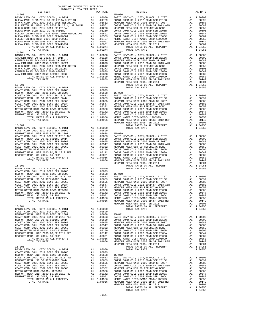| DISTRICT | TAX RATE | DISTRICT | TAX RATE |
|----------|----------|----------|----------|
|          |          |          |          |
|          |          |          |          |
|          |          |          |          |
|          |          |          |          |
|          |          |          |          |
|          |          |          |          |
|          |          |          |          |
|          |          |          |          |
|          |          |          |          |
|          |          |          |          |
|          |          |          |          |
|          |          |          |          |
|          |          |          |          |
|          |          |          |          |
|          |          |          |          |
|          |          |          |          |
|          |          |          |          |
|          |          |          |          |
|          |          |          |          |
|          |          |          |          |
|          |          |          |          |
|          |          |          |          |
|          |          |          |          |
|          |          |          |          |
|          |          |          |          |
|          |          |          |          |
|          |          |          |          |
|          |          |          |          |
|          |          |          |          |
|          |          |          |          |
|          |          |          |          |
|          |          |          |          |
|          |          |          |          |
|          |          |          |          |
|          |          |          |          |
|          |          |          |          |
|          |          |          |          |
|          |          |          |          |
|          |          |          |          |
|          |          |          |          |
|          |          |          |          |
|          |          |          |          |
|          |          |          |          |
|          |          |          |          |
|          |          |          |          |
|          |          |          |          |
|          |          |          |          |
|          |          |          |          |
|          |          |          |          |
|          |          |          |          |
|          |          |          |          |
|          |          |          |          |
|          |          |          |          |
|          |          |          |          |
|          |          |          |          |
|          |          |          |          |
|          |          |          |          |
|          |          |          |          |
|          |          |          |          |
|          |          |          |          |
|          |          |          |          |
|          |          |          |          |
|          |          |          |          |
|          |          |          |          |
|          |          |          |          |
|          |          |          |          |
|          |          |          |          |
|          |          |          |          |
|          |          |          |          |
|          |          |          |          |
|          |          |          |          |
|          |          |          |          |
|          |          |          |          |
|          |          |          |          |
|          |          |          |          |
|          |          |          |          |
|          |          |          |          |
|          |          |          |          |
|          |          |          |          |
|          |          |          |          |
|          |          |          |          |
|          |          |          |          |
|          |          |          |          |
|          |          |          |          |
|          |          |          |          |
|          |          |          |          |
|          |          |          |          |
|          |          |          |          |
|          |          |          |          |
|          |          |          |          |
|          |          |          |          |
|          |          |          |          |
|          |          |          |          |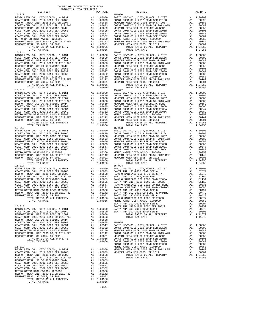| $\begin{tabular}{l c c c c c} \hline \multicolumn{3}{c}{\textbf{NENDCA}} & \multicolumn{3}{c}{\textbf{NENDCA}} & \multicolumn{3}{c}{\textbf{NEDA}} & \multicolumn{3}{c}{\textbf{NEDA}} & \multicolumn{3}{c}{\textbf{NEDA}} & \multicolumn{3}{c}{\textbf{NEDB}} & \multicolumn{3}{c}{\textbf{NEDB}} & \multicolumn{3}{c}{\textbf{NEDB}} & \multicolumn{3}{c}{\textbf{NEDB}} & \multicolumn{3}{c}{\textbf{NEDB}} & \multicolumn{3}{c}{\textbf{NEDB}} & \$ |                                                                                                                                                                                                                                                                                                                                             |                                                                                                                                                                                                                                                                         |            |
|---------------------------------------------------------------------------------------------------------------------------------------------------------------------------------------------------------------------------------------------------------------------------------------------------------------------------------------------------------------------------------------------------------------------------------------------------------|---------------------------------------------------------------------------------------------------------------------------------------------------------------------------------------------------------------------------------------------------------------------------------------------------------------------------------------------|-------------------------------------------------------------------------------------------------------------------------------------------------------------------------------------------------------------------------------------------------------------------------|------------|
|                                                                                                                                                                                                                                                                                                                                                                                                                                                         |                                                                                                                                                                                                                                                                                                                                             |                                                                                                                                                                                                                                                                         |            |
|                                                                                                                                                                                                                                                                                                                                                                                                                                                         |                                                                                                                                                                                                                                                                                                                                             |                                                                                                                                                                                                                                                                         |            |
|                                                                                                                                                                                                                                                                                                                                                                                                                                                         |                                                                                                                                                                                                                                                                                                                                             |                                                                                                                                                                                                                                                                         |            |
| METRO WATER DIST-MWDOC- 1205999<br>NEWPORT MESA UNIF 2000 BD, SR 2012 REF                                                                                                                                                                                                                                                                                                                                                                               |                                                                                                                                                                                                                                                                                                                                             |                                                                                                                                                                                                                                                                         |            |
| NEWPORT MESA USD 2005, SR 2011                                                                                                                                                                                                                                                                                                                                                                                                                          |                                                                                                                                                                                                                                                                                                                                             |                                                                                                                                                                                                                                                                         |            |
| TOTAL RATES ON ALL PROPERTY                                                                                                                                                                                                                                                                                                                                                                                                                             |                                                                                                                                                                                                                                                                                                                                             | A1 1.04956                                                                                                                                                                                                                                                              |            |
| TOTAL TAX RATE                                                                                                                                                                                                                                                                                                                                                                                                                                          |                                                                                                                                                                                                                                                                                                                                             | 1.04956                                                                                                                                                                                                                                                                 |            |
| $15 - 014$<br>BASIC LEVY-CO., CITY, SCHOOL, & DIST                                                                                                                                                                                                                                                                                                                                                                                                      | $\begin{tabular}{cc} \bf 15-021 \\ \bf 21 & 1.00000 \\ \bf 3A1 & .00899 \\ \bf 2A1 & .00688 \\ \bf 2B1 & .00683 \\ \bf 2CAST C \\ \bf 3A1 & .00655 \\ \bf 3COST C \\ \bf 3A1 & .00605 \\ \bf 3A1 & .00605 \\ \bf 3A1 & .00605 \\ \bf 3A1 & .00547 \\ \bf 3A1 & .00382 \\ \bf 3A2 & .00387 \\ \bf 4A1 & .00312 \\ \bf 3BKTC \\ \bf 4A1 & .0$ |                                                                                                                                                                                                                                                                         | $15 - 021$ |
| COAST COMM COLL 2012 BOND SER 2016C                                                                                                                                                                                                                                                                                                                                                                                                                     |                                                                                                                                                                                                                                                                                                                                             |                                                                                                                                                                                                                                                                         |            |
| NEWPORT MESA UNIF 2005 BOND SR 2007                                                                                                                                                                                                                                                                                                                                                                                                                     |                                                                                                                                                                                                                                                                                                                                             |                                                                                                                                                                                                                                                                         |            |
| COAST COMM COLL 2012 BOND SR 2013 A&B                                                                                                                                                                                                                                                                                                                                                                                                                   |                                                                                                                                                                                                                                                                                                                                             |                                                                                                                                                                                                                                                                         |            |
| NEWPORT MESA USD GO REFUNDING BOND<br>COAST COMM COLL 2002 BOND SER 2006B                                                                                                                                                                                                                                                                                                                                                                               |                                                                                                                                                                                                                                                                                                                                             |                                                                                                                                                                                                                                                                         |            |
| COAST COMM COLL 2002 BOND SER 2003A                                                                                                                                                                                                                                                                                                                                                                                                                     |                                                                                                                                                                                                                                                                                                                                             |                                                                                                                                                                                                                                                                         |            |
| COAST COMM COLL 2002 BOND SER 2006C                                                                                                                                                                                                                                                                                                                                                                                                                     |                                                                                                                                                                                                                                                                                                                                             |                                                                                                                                                                                                                                                                         |            |
| METRO WATER DIST-MWDOC- 1205999                                                                                                                                                                                                                                                                                                                                                                                                                         |                                                                                                                                                                                                                                                                                                                                             |                                                                                                                                                                                                                                                                         |            |
| NEWPORT MESA UNIF 2000 BD, SR 2012 REF<br>NEWPORT MESA USD 2005, SR 2011                                                                                                                                                                                                                                                                                                                                                                                |                                                                                                                                                                                                                                                                                                                                             |                                                                                                                                                                                                                                                                         |            |
| TOTAL RATES ON ALL PROPERTY                                                                                                                                                                                                                                                                                                                                                                                                                             |                                                                                                                                                                                                                                                                                                                                             |                                                                                                                                                                                                                                                                         |            |
| TOTAL TAX RATE                                                                                                                                                                                                                                                                                                                                                                                                                                          |                                                                                                                                                                                                                                                                                                                                             | 1.04956                                                                                                                                                                                                                                                                 |            |
| $15 - 015$                                                                                                                                                                                                                                                                                                                                                                                                                                              |                                                                                                                                                                                                                                                                                                                                             |                                                                                                                                                                                                                                                                         | $15 - 022$ |
| BASIC LEVY-CO., CITY, SCHOOL, & DIST                                                                                                                                                                                                                                                                                                                                                                                                                    | 15-022<br>A1 1.00000 BASIC L<br>A1 .00899 COAST C<br>A1 .00899 COAST C<br>A1 .00688 NEWPORT<br>A1 .00659 NEWPORT<br>A1 .00659 NEWPORT<br>A1 .00656 COAST C<br>A1 .00382 COAST C<br>A1 .00382 NEWPORT<br>A1 .00382 METRON NEWPORT<br>A1 .00001 NEWPOR                                                                                        |                                                                                                                                                                                                                                                                         |            |
| COAST COMM COLL 2012 BOND SER 2016C<br>NEWPORT MESA UNIF 2005 BOND SR 2007                                                                                                                                                                                                                                                                                                                                                                              |                                                                                                                                                                                                                                                                                                                                             |                                                                                                                                                                                                                                                                         |            |
| COAST COMM COLL 2012 BOND SR 2013 A&B                                                                                                                                                                                                                                                                                                                                                                                                                   |                                                                                                                                                                                                                                                                                                                                             |                                                                                                                                                                                                                                                                         |            |
| NEWPORT MESA USD GO REFUNDING BOND                                                                                                                                                                                                                                                                                                                                                                                                                      |                                                                                                                                                                                                                                                                                                                                             |                                                                                                                                                                                                                                                                         |            |
|                                                                                                                                                                                                                                                                                                                                                                                                                                                         |                                                                                                                                                                                                                                                                                                                                             |                                                                                                                                                                                                                                                                         |            |
|                                                                                                                                                                                                                                                                                                                                                                                                                                                         |                                                                                                                                                                                                                                                                                                                                             |                                                                                                                                                                                                                                                                         |            |
|                                                                                                                                                                                                                                                                                                                                                                                                                                                         |                                                                                                                                                                                                                                                                                                                                             |                                                                                                                                                                                                                                                                         |            |
|                                                                                                                                                                                                                                                                                                                                                                                                                                                         |                                                                                                                                                                                                                                                                                                                                             |                                                                                                                                                                                                                                                                         |            |
|                                                                                                                                                                                                                                                                                                                                                                                                                                                         |                                                                                                                                                                                                                                                                                                                                             |                                                                                                                                                                                                                                                                         |            |
|                                                                                                                                                                                                                                                                                                                                                                                                                                                         |                                                                                                                                                                                                                                                                                                                                             |                                                                                                                                                                                                                                                                         |            |
|                                                                                                                                                                                                                                                                                                                                                                                                                                                         |                                                                                                                                                                                                                                                                                                                                             | 1.04956                                                                                                                                                                                                                                                                 |            |
|                                                                                                                                                                                                                                                                                                                                                                                                                                                         |                                                                                                                                                                                                                                                                                                                                             |                                                                                                                                                                                                                                                                         | $15 - 023$ |
|                                                                                                                                                                                                                                                                                                                                                                                                                                                         |                                                                                                                                                                                                                                                                                                                                             |                                                                                                                                                                                                                                                                         |            |
|                                                                                                                                                                                                                                                                                                                                                                                                                                                         |                                                                                                                                                                                                                                                                                                                                             |                                                                                                                                                                                                                                                                         |            |
|                                                                                                                                                                                                                                                                                                                                                                                                                                                         |                                                                                                                                                                                                                                                                                                                                             |                                                                                                                                                                                                                                                                         |            |
|                                                                                                                                                                                                                                                                                                                                                                                                                                                         |                                                                                                                                                                                                                                                                                                                                             |                                                                                                                                                                                                                                                                         |            |
|                                                                                                                                                                                                                                                                                                                                                                                                                                                         |                                                                                                                                                                                                                                                                                                                                             |                                                                                                                                                                                                                                                                         |            |
|                                                                                                                                                                                                                                                                                                                                                                                                                                                         |                                                                                                                                                                                                                                                                                                                                             |                                                                                                                                                                                                                                                                         |            |
|                                                                                                                                                                                                                                                                                                                                                                                                                                                         |                                                                                                                                                                                                                                                                                                                                             |                                                                                                                                                                                                                                                                         |            |
|                                                                                                                                                                                                                                                                                                                                                                                                                                                         |                                                                                                                                                                                                                                                                                                                                             |                                                                                                                                                                                                                                                                         |            |
|                                                                                                                                                                                                                                                                                                                                                                                                                                                         |                                                                                                                                                                                                                                                                                                                                             |                                                                                                                                                                                                                                                                         |            |
| TOTAL RATES ON ALL PROPERTY<br>TOTAL TAX RATE                                                                                                                                                                                                                                                                                                                                                                                                           |                                                                                                                                                                                                                                                                                                                                             | A1 1.04956<br>1.04956                                                                                                                                                                                                                                                   |            |
| $15 - 017$                                                                                                                                                                                                                                                                                                                                                                                                                                              |                                                                                                                                                                                                                                                                                                                                             |                                                                                                                                                                                                                                                                         | $15 - 024$ |
| BASIC LEVY-CO., CITY, SCHOOL, & DIST                                                                                                                                                                                                                                                                                                                                                                                                                    | 15-024<br>A1 1.00000 BASIC L<br>A1 .00899 SANTA A<br>A1 .00688 RANCHO<br>A1 .00683 SANTA A<br>A1 .00663 SANTA A<br>A1 .00605 RANCHO<br>A1 .00605 RANCHO<br>A1 .00350 RANCHO<br>A1 .00350 SANTA A<br>A1 .00350 SANTA A<br>A1 .001612 SANTA A<br>A1 .001                                                                                      |                                                                                                                                                                                                                                                                         |            |
| COAST COMM COLL 2012 BOND SER 2016C                                                                                                                                                                                                                                                                                                                                                                                                                     |                                                                                                                                                                                                                                                                                                                                             |                                                                                                                                                                                                                                                                         |            |
| NEWPORT MESA UNIF 2005 BOND SR 2007                                                                                                                                                                                                                                                                                                                                                                                                                     |                                                                                                                                                                                                                                                                                                                                             |                                                                                                                                                                                                                                                                         |            |
| COAST COMM COLL 2012 BOND SR 2013 A&B<br>NEWPORT MESA USD GO REFUNDING BOND                                                                                                                                                                                                                                                                                                                                                                             |                                                                                                                                                                                                                                                                                                                                             |                                                                                                                                                                                                                                                                         |            |
| COAST COMM COLL 2002 BOND SER 2006B                                                                                                                                                                                                                                                                                                                                                                                                                     |                                                                                                                                                                                                                                                                                                                                             |                                                                                                                                                                                                                                                                         |            |
| COAST COMM COLL 2002 BOND SER 2003A                                                                                                                                                                                                                                                                                                                                                                                                                     |                                                                                                                                                                                                                                                                                                                                             |                                                                                                                                                                                                                                                                         |            |
| COAST COMM COLL 2002 BOND SER 2006C                                                                                                                                                                                                                                                                                                                                                                                                                     |                                                                                                                                                                                                                                                                                                                                             |                                                                                                                                                                                                                                                                         |            |
| METRO WATER DIST-MWDOC CMWD-1205999<br>NEWPORT MESA UNIF 2000 BD, SR 2012 REF                                                                                                                                                                                                                                                                                                                                                                           |                                                                                                                                                                                                                                                                                                                                             |                                                                                                                                                                                                                                                                         |            |
| NEWPORT MESA USD 2005, SR 2011                                                                                                                                                                                                                                                                                                                                                                                                                          |                                                                                                                                                                                                                                                                                                                                             |                                                                                                                                                                                                                                                                         |            |
| TOTAL RATES ON ALL PROPERTY                                                                                                                                                                                                                                                                                                                                                                                                                             |                                                                                                                                                                                                                                                                                                                                             |                                                                                                                                                                                                                                                                         |            |
| TOTAL TAX RATE                                                                                                                                                                                                                                                                                                                                                                                                                                          |                                                                                                                                                                                                                                                                                                                                             |                                                                                                                                                                                                                                                                         |            |
|                                                                                                                                                                                                                                                                                                                                                                                                                                                         |                                                                                                                                                                                                                                                                                                                                             |                                                                                                                                                                                                                                                                         | SANTA A    |
| $15 - 018$                                                                                                                                                                                                                                                                                                                                                                                                                                              |                                                                                                                                                                                                                                                                                                                                             |                                                                                                                                                                                                                                                                         | SANTA A    |
| BASIC LEVY-CO., CITY, SCHOOL, & DIST<br>COAST COMM COLL 2012 BOND SER 2016C                                                                                                                                                                                                                                                                                                                                                                             | A1 1.00000 SANTA A<br>A1 .00899 SANTA A                                                                                                                                                                                                                                                                                                     |                                                                                                                                                                                                                                                                         |            |
| NEWPORT MESA UNIF 2005 BOND SR 2007                                                                                                                                                                                                                                                                                                                                                                                                                     | A1                                                                                                                                                                                                                                                                                                                                          | .00688                                                                                                                                                                                                                                                                  |            |
| COAST COMM COLL 2012 BOND SR 2013 A&B                                                                                                                                                                                                                                                                                                                                                                                                                   |                                                                                                                                                                                                                                                                                                                                             |                                                                                                                                                                                                                                                                         |            |
| NEWPORT MESA USD GO REFUNDING BOND                                                                                                                                                                                                                                                                                                                                                                                                                      |                                                                                                                                                                                                                                                                                                                                             |                                                                                                                                                                                                                                                                         |            |
| COAST COMM COLL 2002 BOND SER 2006B                                                                                                                                                                                                                                                                                                                                                                                                                     |                                                                                                                                                                                                                                                                                                                                             |                                                                                                                                                                                                                                                                         |            |
| COAST COMM COLL 2002 BOND SER 2003A                                                                                                                                                                                                                                                                                                                                                                                                                     |                                                                                                                                                                                                                                                                                                                                             |                                                                                                                                                                                                                                                                         |            |
| COAST COMM COLL 2002 BOND SER 2006C                                                                                                                                                                                                                                                                                                                                                                                                                     |                                                                                                                                                                                                                                                                                                                                             |                                                                                                                                                                                                                                                                         |            |
|                                                                                                                                                                                                                                                                                                                                                                                                                                                         |                                                                                                                                                                                                                                                                                                                                             |                                                                                                                                                                                                                                                                         |            |
| naigk DIST-MWDOC CMWD-1205999<br>NEWPORT MESA UNIF 2000 BD, SR 2012 REF<br>NEWPORT MESA USD 2005, SR 2011<br>TOTAL TOTAL TO 1005, SR 2011                                                                                                                                                                                                                                                                                                               |                                                                                                                                                                                                                                                                                                                                             |                                                                                                                                                                                                                                                                         |            |
| TOTAL RATES ON ALL PROPERTY                                                                                                                                                                                                                                                                                                                                                                                                                             |                                                                                                                                                                                                                                                                                                                                             |                                                                                                                                                                                                                                                                         |            |
| TOTAL TAX RATE                                                                                                                                                                                                                                                                                                                                                                                                                                          |                                                                                                                                                                                                                                                                                                                                             | A1 .00683<br>A1 .00683<br>A1 .00659<br>A1 .00659<br>A1 .00547<br>A1 .00382<br>A1 .00382<br>A1 .00350<br>NEWPORT<br>A1 .00142<br>COAST C<br>A1 .00142<br>COAST C<br>A1 .00101<br>NEWPORT<br>A1 .00142<br>COAST C<br>A1 .004956<br>COAST C<br>COAST C<br>COAST C<br>COAST |            |
| $15 - 019$                                                                                                                                                                                                                                                                                                                                                                                                                                              |                                                                                                                                                                                                                                                                                                                                             |                                                                                                                                                                                                                                                                         | COAST C    |
| BASIC LEVY-CO., CITY, SCHOOL, & DIST                                                                                                                                                                                                                                                                                                                                                                                                                    | METRO W<br>A1 1.00000 NEWPORT<br>A1 .00899 NEWPORT<br>A1 .00688<br>A1 .00688<br>A1 .00688                                                                                                                                                                                                                                                   |                                                                                                                                                                                                                                                                         |            |
| COAST COMM COLL 2012 BOND SER 2016C                                                                                                                                                                                                                                                                                                                                                                                                                     |                                                                                                                                                                                                                                                                                                                                             |                                                                                                                                                                                                                                                                         |            |
| NEWPORT MESA UNIF 2005 BOND SR 2007                                                                                                                                                                                                                                                                                                                                                                                                                     |                                                                                                                                                                                                                                                                                                                                             |                                                                                                                                                                                                                                                                         |            |
| COAST COMM COLL 2012 BOND SR 2013 A&B                                                                                                                                                                                                                                                                                                                                                                                                                   |                                                                                                                                                                                                                                                                                                                                             | .00659                                                                                                                                                                                                                                                                  |            |
| NEWPORT MESA USD GO REFUNDING BOND<br>COAST COMM COLL 2002 BOND SER 2006B                                                                                                                                                                                                                                                                                                                                                                               |                                                                                                                                                                                                                                                                                                                                             |                                                                                                                                                                                                                                                                         |            |
| COAST COMM COLL 2002 BOND SER 2003A                                                                                                                                                                                                                                                                                                                                                                                                                     |                                                                                                                                                                                                                                                                                                                                             |                                                                                                                                                                                                                                                                         |            |
| COAST COMM COLL 2002 BOND SER 2006C                                                                                                                                                                                                                                                                                                                                                                                                                     | A1 .00035<br>A1 .00605<br>A1 .00342<br>A1 .00382<br>A1 00350                                                                                                                                                                                                                                                                                |                                                                                                                                                                                                                                                                         |            |
| METRO WATER DIST-MWDOC- 1205999<br>MEIRO WAIER DISI-MWDOC- 1205999<br>NEWPORT MESA UNIF 2000 BD, SR 2012 REF                                                                                                                                                                                                                                                                                                                                            |                                                                                                                                                                                                                                                                                                                                             | A1.00350                                                                                                                                                                                                                                                                |            |
|                                                                                                                                                                                                                                                                                                                                                                                                                                                         |                                                                                                                                                                                                                                                                                                                                             | A1 .00142                                                                                                                                                                                                                                                               |            |
| NEWPORT MESA USD 2005, SR 2011<br>TOTAL RATES ON ALL PROPERTY                                                                                                                                                                                                                                                                                                                                                                                           | A1                                                                                                                                                                                                                                                                                                                                          | .00001<br>A1 1.04956                                                                                                                                                                                                                                                    |            |
| TOTAL TAX RATE                                                                                                                                                                                                                                                                                                                                                                                                                                          |                                                                                                                                                                                                                                                                                                                                             | 1.04956                                                                                                                                                                                                                                                                 |            |
|                                                                                                                                                                                                                                                                                                                                                                                                                                                         |                                                                                                                                                                                                                                                                                                                                             |                                                                                                                                                                                                                                                                         |            |

-108-

| $15 - 013$ |  |            |  |
|------------|--|------------|--|
|            |  | $15 - 020$ |  |
|            |  |            |  |
|            |  |            |  |
|            |  |            |  |
|            |  |            |  |
|            |  |            |  |
|            |  |            |  |
|            |  |            |  |
|            |  |            |  |
|            |  |            |  |
|            |  |            |  |
|            |  |            |  |
|            |  |            |  |
|            |  |            |  |
|            |  |            |  |
|            |  |            |  |
|            |  |            |  |
|            |  |            |  |
|            |  |            |  |
|            |  |            |  |
|            |  |            |  |
|            |  |            |  |
|            |  |            |  |
|            |  |            |  |
|            |  |            |  |
|            |  |            |  |
|            |  |            |  |
|            |  |            |  |
|            |  |            |  |
|            |  |            |  |
|            |  |            |  |
|            |  |            |  |
|            |  |            |  |
|            |  |            |  |
|            |  |            |  |
|            |  |            |  |
|            |  |            |  |
|            |  |            |  |
|            |  |            |  |
|            |  |            |  |
|            |  |            |  |
|            |  |            |  |
|            |  |            |  |
|            |  |            |  |
|            |  |            |  |
| $15 - 016$ |  | $15 - 023$ |  |
|            |  |            |  |
|            |  |            |  |
|            |  |            |  |
|            |  |            |  |
|            |  |            |  |
|            |  |            |  |
|            |  |            |  |
|            |  |            |  |
|            |  |            |  |
|            |  |            |  |
|            |  |            |  |
|            |  |            |  |
|            |  |            |  |
|            |  |            |  |
| $15 - 017$ |  | $15 - 024$ |  |
|            |  |            |  |
|            |  |            |  |
|            |  |            |  |
|            |  |            |  |
|            |  |            |  |
|            |  |            |  |
|            |  |            |  |
|            |  |            |  |
|            |  |            |  |
|            |  |            |  |
|            |  |            |  |
|            |  |            |  |
|            |  |            |  |
|            |  |            |  |
|            |  |            |  |
|            |  |            |  |
|            |  |            |  |
|            |  |            |  |
|            |  |            |  |
|            |  |            |  |
|            |  |            |  |
|            |  |            |  |
|            |  |            |  |
|            |  |            |  |
|            |  |            |  |
|            |  |            |  |
|            |  |            |  |
|            |  |            |  |
|            |  |            |  |
|            |  |            |  |
|            |  |            |  |
|            |  |            |  |
|            |  |            |  |
|            |  |            |  |
|            |  |            |  |
|            |  |            |  |
|            |  |            |  |
|            |  |            |  |
|            |  |            |  |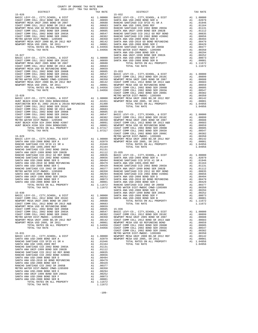| DISTRICT | TAX RATE | DISTRICT | TAX RATE |
|----------|----------|----------|----------|
|          |          |          |          |
|          |          |          |          |
|          |          |          |          |
|          |          |          |          |
|          |          |          |          |
|          |          |          |          |
|          |          |          |          |
|          |          |          |          |
|          |          |          |          |
|          |          |          |          |
|          |          |          |          |
|          |          |          |          |
|          |          |          |          |
|          |          |          |          |
|          |          |          |          |
|          |          |          |          |
|          |          |          |          |
|          |          |          |          |
|          |          |          |          |
|          |          |          |          |
|          |          |          |          |
|          |          |          |          |
|          |          |          |          |
|          |          |          |          |
|          |          |          |          |
|          |          |          |          |
|          |          |          |          |
|          |          |          |          |
|          |          |          |          |
|          |          |          |          |
|          |          |          |          |
|          |          |          |          |
|          |          |          |          |
|          |          |          |          |
|          |          |          |          |
|          |          |          |          |
|          |          |          |          |
|          |          |          |          |
|          |          |          |          |
|          |          |          |          |
|          |          |          |          |
|          |          |          |          |
|          |          |          |          |
|          |          |          |          |
|          |          |          |          |
|          |          |          |          |
|          |          |          |          |
|          |          |          |          |
|          |          |          |          |
|          |          |          |          |
|          |          |          |          |
|          |          |          |          |
|          |          |          |          |
|          |          |          |          |
|          |          |          |          |
|          |          |          |          |
|          |          |          |          |
|          |          |          |          |
|          |          |          |          |
|          |          |          |          |
|          |          |          |          |
|          |          |          |          |
|          |          |          |          |
|          |          |          |          |
|          |          |          |          |
|          |          |          |          |
|          |          |          |          |
|          |          |          |          |
|          |          |          |          |
|          |          |          |          |
|          |          |          |          |
|          |          |          |          |
|          |          |          |          |
|          |          |          |          |
|          |          |          |          |
|          |          |          |          |
|          |          |          |          |
|          |          |          |          |
|          |          |          |          |
|          |          |          |          |
|          |          |          |          |
|          |          |          |          |
|          |          |          |          |
|          |          |          |          |
|          |          |          |          |
|          |          |          |          |
|          |          |          |          |
|          |          |          |          |
|          |          |          |          |
|          |          |          |          |
|          |          |          |          |
|          |          |          |          |
|          |          |          |          |
|          |          |          |          |
|          |          |          |          |
|          |          |          |          |
|          |          |          |          |
|          |          |          |          |
|          |          |          |          |
|          |          |          |          |
|          |          |          |          |
|          |          |          |          |
|          | 1.11672  |          |          |

-109-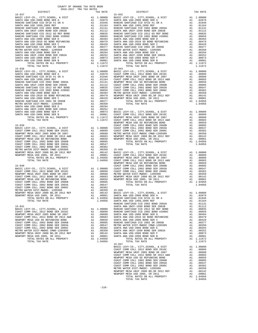| COUNTY OF ORANGE TAX RATE BOOK<br>2016-2017 TRA TAX RATES                                                                                                                                                                                                                                                                                                                                                                          |    |                    |                   |
|------------------------------------------------------------------------------------------------------------------------------------------------------------------------------------------------------------------------------------------------------------------------------------------------------------------------------------------------------------------------------------------------------------------------------------|----|--------------------|-------------------|
| DISTRICT                                                                                                                                                                                                                                                                                                                                                                                                                           |    | TAX RATE           |                   |
| $15 - 037$                                                                                                                                                                                                                                                                                                                                                                                                                         |    |                    | $15 - 042$        |
|                                                                                                                                                                                                                                                                                                                                                                                                                                    |    |                    |                   |
|                                                                                                                                                                                                                                                                                                                                                                                                                                    |    |                    |                   |
|                                                                                                                                                                                                                                                                                                                                                                                                                                    |    |                    |                   |
|                                                                                                                                                                                                                                                                                                                                                                                                                                    |    |                    |                   |
|                                                                                                                                                                                                                                                                                                                                                                                                                                    |    |                    |                   |
|                                                                                                                                                                                                                                                                                                                                                                                                                                    |    |                    |                   |
|                                                                                                                                                                                                                                                                                                                                                                                                                                    |    |                    |                   |
|                                                                                                                                                                                                                                                                                                                                                                                                                                    |    |                    |                   |
|                                                                                                                                                                                                                                                                                                                                                                                                                                    |    |                    |                   |
|                                                                                                                                                                                                                                                                                                                                                                                                                                    |    |                    |                   |
|                                                                                                                                                                                                                                                                                                                                                                                                                                    |    |                    |                   |
|                                                                                                                                                                                                                                                                                                                                                                                                                                    |    |                    |                   |
|                                                                                                                                                                                                                                                                                                                                                                                                                                    |    |                    |                   |
|                                                                                                                                                                                                                                                                                                                                                                                                                                    |    |                    |                   |
|                                                                                                                                                                                                                                                                                                                                                                                                                                    |    |                    |                   |
|                                                                                                                                                                                                                                                                                                                                                                                                                                    |    |                    |                   |
|                                                                                                                                                                                                                                                                                                                                                                                                                                    |    |                    |                   |
| $15 - 038$                                                                                                                                                                                                                                                                                                                                                                                                                         |    |                    | $15 - 043$        |
|                                                                                                                                                                                                                                                                                                                                                                                                                                    |    |                    |                   |
|                                                                                                                                                                                                                                                                                                                                                                                                                                    |    |                    |                   |
|                                                                                                                                                                                                                                                                                                                                                                                                                                    |    |                    |                   |
|                                                                                                                                                                                                                                                                                                                                                                                                                                    |    |                    |                   |
|                                                                                                                                                                                                                                                                                                                                                                                                                                    |    |                    |                   |
|                                                                                                                                                                                                                                                                                                                                                                                                                                    |    |                    |                   |
|                                                                                                                                                                                                                                                                                                                                                                                                                                    |    |                    |                   |
|                                                                                                                                                                                                                                                                                                                                                                                                                                    |    |                    |                   |
|                                                                                                                                                                                                                                                                                                                                                                                                                                    |    |                    |                   |
|                                                                                                                                                                                                                                                                                                                                                                                                                                    |    |                    |                   |
|                                                                                                                                                                                                                                                                                                                                                                                                                                    |    |                    |                   |
|                                                                                                                                                                                                                                                                                                                                                                                                                                    |    |                    |                   |
|                                                                                                                                                                                                                                                                                                                                                                                                                                    |    |                    |                   |
|                                                                                                                                                                                                                                                                                                                                                                                                                                    |    |                    |                   |
|                                                                                                                                                                                                                                                                                                                                                                                                                                    |    |                    |                   |
|                                                                                                                                                                                                                                                                                                                                                                                                                                    |    |                    |                   |
|                                                                                                                                                                                                                                                                                                                                                                                                                                    |    |                    |                   |
|                                                                                                                                                                                                                                                                                                                                                                                                                                    |    |                    | NEWPORT           |
|                                                                                                                                                                                                                                                                                                                                                                                                                                    |    |                    |                   |
|                                                                                                                                                                                                                                                                                                                                                                                                                                    |    |                    |                   |
|                                                                                                                                                                                                                                                                                                                                                                                                                                    |    |                    |                   |
|                                                                                                                                                                                                                                                                                                                                                                                                                                    |    |                    |                   |
|                                                                                                                                                                                                                                                                                                                                                                                                                                    |    |                    |                   |
|                                                                                                                                                                                                                                                                                                                                                                                                                                    |    |                    |                   |
|                                                                                                                                                                                                                                                                                                                                                                                                                                    |    |                    |                   |
|                                                                                                                                                                                                                                                                                                                                                                                                                                    |    |                    |                   |
|                                                                                                                                                                                                                                                                                                                                                                                                                                    |    |                    |                   |
|                                                                                                                                                                                                                                                                                                                                                                                                                                    |    |                    |                   |
|                                                                                                                                                                                                                                                                                                                                                                                                                                    |    |                    |                   |
|                                                                                                                                                                                                                                                                                                                                                                                                                                    |    |                    |                   |
|                                                                                                                                                                                                                                                                                                                                                                                                                                    |    |                    |                   |
|                                                                                                                                                                                                                                                                                                                                                                                                                                    |    |                    | NEWPORT           |
|                                                                                                                                                                                                                                                                                                                                                                                                                                    |    |                    |                   |
|                                                                                                                                                                                                                                                                                                                                                                                                                                    |    |                    |                   |
| $[15-040] \begin{tabular}{lcccc} \texttt{IS-040} & \texttt{INWPORT} & \texttt{C0AST} & \texttt{C0AST} \\ \texttt{E0AST} & \texttt{CONST}-\texttt{CONST}-\texttt{C0AST}\ \texttt{C} \\ \texttt{C0AST} & \texttt{COMST}-\texttt{CONST}-\texttt{C0AST}\ \texttt{C} \\ \texttt{NEWPORT} & \texttt{MESA} & \texttt{UNIF} & 2005 \text{ BOND} \text{ SR } 2007 & \text{A1} & .00688 & \text{METRO W \\ \texttt{NEWPORT} & \texttt{MESA}$ |    |                    |                   |
|                                                                                                                                                                                                                                                                                                                                                                                                                                    |    |                    |                   |
|                                                                                                                                                                                                                                                                                                                                                                                                                                    |    |                    |                   |
|                                                                                                                                                                                                                                                                                                                                                                                                                                    |    |                    |                   |
|                                                                                                                                                                                                                                                                                                                                                                                                                                    |    |                    |                   |
|                                                                                                                                                                                                                                                                                                                                                                                                                                    |    |                    |                   |
|                                                                                                                                                                                                                                                                                                                                                                                                                                    |    |                    |                   |
|                                                                                                                                                                                                                                                                                                                                                                                                                                    |    |                    |                   |
|                                                                                                                                                                                                                                                                                                                                                                                                                                    |    | A1 .00001          |                   |
| NEWPORT MESA USD 2005, SR 2011<br>TOTAL RATES ON ALL PROPERTY                                                                                                                                                                                                                                                                                                                                                                      |    |                    | SANTA A           |
| TOTAL TAX RATE                                                                                                                                                                                                                                                                                                                                                                                                                     | A1 | 1.04956<br>1.04956 | RANCHO<br>SANTA A |
|                                                                                                                                                                                                                                                                                                                                                                                                                                    |    |                    | RANCHO            |
| $15 - 041$                                                                                                                                                                                                                                                                                                                                                                                                                         |    |                    | SANTA A           |
| BASIC LEVY-CO., CITY, SCHOOL, & DIST                                                                                                                                                                                                                                                                                                                                                                                               | A1 | 1.00000            | RANCHO            |
| COAST COMM COLL 2012 BOND SER 2016C                                                                                                                                                                                                                                                                                                                                                                                                | A1 | .00899             | RANCHO            |
| NEWPORT MESA UNIF 2005 BOND SR 2007                                                                                                                                                                                                                                                                                                                                                                                                | A1 | .00688             | SANTA A           |
| COAST COMM COLL 2012 BOND SR 2013 A&B                                                                                                                                                                                                                                                                                                                                                                                              | A1 | .00683             | SANTA A           |
| NEWPORT MESA USD GO REFUNDING BOND                                                                                                                                                                                                                                                                                                                                                                                                 | A1 | .00659             | SANTA A           |
| COAST COMM COLL 2002 BOND SER 2006B                                                                                                                                                                                                                                                                                                                                                                                                | A1 | .00605             | RANCHO            |
| COAST COMM COLL 2002 BOND SER 2003A                                                                                                                                                                                                                                                                                                                                                                                                |    | A1 .00547          | METRO W           |
| COAST COMM COLL 2002 BOND SER 2006C                                                                                                                                                                                                                                                                                                                                                                                                | A1 | .00382             | SANTA A           |
| METRO WATER DIST-MWDOC CMWD-1205999                                                                                                                                                                                                                                                                                                                                                                                                | A1 | .00350             | SANTA A           |
| NEWPORT MESA UNIF 2000 BD, SR 2012 REF                                                                                                                                                                                                                                                                                                                                                                                             | A1 | .00142             | SANTA A           |
| NEWPORT MESA USD 2005, SR 2011                                                                                                                                                                                                                                                                                                                                                                                                     | A1 | .00001             | SANTA A           |
| TOTAL RATES ON ALL PROPERTY                                                                                                                                                                                                                                                                                                                                                                                                        |    | A1 1.04956         |                   |

| DISTRICT | TAX RATE | DISTRICT   | TAX RATE |
|----------|----------|------------|----------|
|          |          |            |          |
|          |          |            |          |
|          |          |            |          |
|          |          |            |          |
|          |          |            |          |
|          |          |            |          |
|          |          |            |          |
|          |          |            |          |
|          |          |            |          |
|          |          |            |          |
|          |          |            |          |
|          |          |            |          |
|          |          |            |          |
|          |          |            |          |
|          |          |            |          |
|          |          |            |          |
|          |          |            |          |
|          |          |            |          |
|          |          |            |          |
|          |          |            |          |
|          |          |            |          |
|          |          |            |          |
|          |          |            |          |
|          |          |            |          |
|          |          |            |          |
|          |          |            |          |
|          |          |            |          |
|          |          |            |          |
|          |          |            |          |
|          |          |            |          |
|          |          |            |          |
|          |          |            |          |
|          |          |            |          |
|          |          |            |          |
|          |          |            |          |
|          |          |            |          |
|          |          |            |          |
|          |          |            |          |
|          |          |            |          |
|          |          |            |          |
|          |          |            |          |
|          |          |            |          |
|          |          |            |          |
|          |          |            |          |
|          |          |            |          |
|          |          |            |          |
|          |          |            |          |
|          |          |            |          |
|          |          |            |          |
|          |          |            |          |
|          |          |            |          |
|          |          |            |          |
|          |          |            |          |
|          |          |            |          |
|          |          |            |          |
|          |          |            |          |
|          |          |            |          |
|          |          |            |          |
|          |          |            |          |
|          |          |            |          |
|          |          |            |          |
|          |          |            |          |
|          |          |            |          |
|          |          |            |          |
|          |          |            |          |
|          |          |            |          |
|          |          |            |          |
|          |          |            |          |
|          |          |            |          |
|          |          |            |          |
|          |          |            |          |
|          |          |            |          |
|          |          |            |          |
|          |          |            |          |
|          |          |            |          |
|          |          |            |          |
|          |          |            |          |
|          |          |            |          |
|          |          |            |          |
|          |          | $15 - 047$ |          |
|          |          |            |          |
|          |          |            |          |
|          |          |            |          |
|          |          |            |          |
|          |          |            |          |
|          |          |            |          |
|          |          |            |          |
|          |          |            |          |
|          |          |            |          |
|          |          |            |          |
|          |          |            |          |
|          |          |            |          |
|          |          |            |          |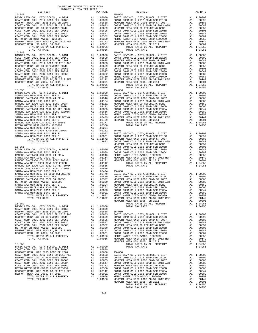COAST COMM COLL 2012 BOND SER 2016C A1 .00899 NEWPORT MESA UNIF 2005 BOND SR 2007 A1 .00688 15-060

 DISTRICT TAX RATE DISTRICT TAX RATE 15-048 15-054 BASIC LEVY-CO., CITY,SCHOOL, & DIST A1 1.00000 BASIC LEVY-CO., CITY,SCHOOL, & DIST A1 1.00000 COAST COMM COLL 2012 BOND SER 2016C A1 .00899 COAST COMM COLL 2012 BOND SER 2016C A1 .00899 NEWPORT MESA UNIF 2005 BOND SR 2007 A1 .00688 NEWPORT MESA UNIF 2005 BOND SR 2007 A1 .00688 COAST COMM COLL 2012 BOND SR 2013 A&B A1 .00683 COAST COMM COLL 2012 BOND SR 2013 A&B A1 .00683 NEWPORT MESA USD GO REFUNDING BOND A1 .00659 NEWPORT MESA USD GO REFUNDING BOND A1 .00659 COAST COMM COLL 2002 BOND SER 2006B A1 .00605 COAST COMM COLL 2002 BOND SER 2006B A1 .00605 COAST COMM COLL 2002 BOND SER 2003A A1 .00547 COAST COMM COLL 2002 BOND SER 2003A A1 .00547 COAST COMM COLL 2002 BOND SER 2006C A1 .00382 COAST COMM COLL 2002 BOND SER 2006C A1 .00382 METRO WATER DIST-MWDOC- 1205999 A1 .00350 METRO WATER DIST-MWDOC CMWD-1205999 A1 .00350 NEWPORT MESA UNIF 2000 BD,SR 2012 REF A1 .00142 NEWPORT MESA UNIF 2000 BD,SR 2012 REF A1 .00142 NEWPORT MESA USD 2005, SR 2011 A1 .00001 NEWPORT MESA USD 2005, SR 2011 A1 .00001 TOTAL RATES ON ALL PROPERTY A1 1.04956 TOTAL RATES ON ALL PROPERTY A1 1.04956 TOTAL TAX RATE 1.04956 TOTAL TAX RATE 1.04956 15-049 15-055  $\begin{tabular}{l|c|c|c|c|c|c|c|c} \multicolumn{1}{c}{\textbf{METRO WATER DIST-MHDOC}-1205999\textbf{.} & 0.0382 & 0.0372 & 0.0082 & 0.0082 & 0.0082 & 0.0082 & 0.0082 & 0.0082 & 0.0082 & 0.0082 & 0.0082 & 0.0082 & 0.0082 & 0.0082 & 0.0082 & 0.0082 & 0.0082 & 0.0082 & 0.0082 & 0.00$  $\begin{tabular}{ c| c| c| c|c|c|c} \hline \texttt{COAST COMM COLL 2012 BOND SER 2016C} & \texttt{A1} & .00899 & \texttt{COAST COMM COLL 2012 BOND SER 2016C} & \texttt{A1} & .00899 \\ \hline \texttt{NENPORT MESA UNIT 2005 BOND SR 2007 & \texttt{A1} & .00688 & \texttt{NENPORT MESA UNIT 2005 BOND SR 2007} & \texttt{A1} & .00688 \\ \hline \texttt{CQAST COMM COLL 2012 BOND SR 2007 & \$  TOTAL TAX RATE 1.04956 TOTAL TAX RATE 1.04956 15-050 15-056 BASIC LEVY-CO., CITY,SCHOOL, & DIST A1 1.00000 BASIC LEVY-CO., CITY,SCHOOL, & DIST A1 1.00000 SANTA ANA USD-2008 BOND SER A A1 .02079 COAST COMM COLL 2012 BOND SER 2016C A1 .00899 RANCHO SANTIAGO CCD SFID #1 SR A A1 .01946 NEWPORT MESA UNIF 2005 BOND SR 2007 A1 .00688 SANTA ANA USD 1999,2009 REF A1 .01164 COAST COMM COLL 2012 BOND SR 2013 A&B A1 .00683 RANCHO SANTIAGO CCD 2002 BOND 2003A A1 .01131 NEWPORT MESA USD GO REFUNDING BOND A1 .00659 SANTA ANA UNIF-1999 BOND SER 2002B A1 .01112 COAST COMM COLL 2002 BOND SER 2006B A1 .00605 RANCHO SANTIAGO CCD 2012 GO REF BOND A1 .00835 COAST COMM COLL 2002 BOND SER 2003A A1 .00547 RANCHO SANTIAGO CCD 2002 BOND #2006C A1 .00656 COAST COMM COLL 2002 BOND SER 2006C A1 .00382 SANTA ANA USD-2008 BOND SER D A1 .00494 METRO WATER DIST-MWDOC CMWD-1205999 A1 .00350 SANTA ANA USD-2010 GO BOND REFUNDING A1 .00479 NEWPORT MESA UNIF 2000 BD,SR 2012 REF A1 .00142 SANTA ANA USD-2008 BOND SER C A1 .00429 NEWPORT MESA USD 2005, SR 2011 A1 .00001 RANCHO SANTIAGO CCD 2002 SR 2005B A1 .00377 TOTAL RATES ON ALL PROPERTY A1 1.04956 METRO WATER DIST-MWDOC- 1205999 A1 .00350 TOTAL TAX RATE 1.04956 SANTA ANA USD-2008 BOND SER E A1 .00294 SANTA ANA UNIF-1999 BOND SER 2002A A1 .00252 15-057 SANTA ANA USD-2008 BOND SER F A1 .00073 BASIC LEVY-CO., CITY,SCHOOL, & DIST A1 1.00000 SANTA ANA USD-2008 BOND SER B A1 .00001 COAST COMM COLL 2012 BOND SER 2016C A1 .00899 TOTAL RATES ON ALL PROPERTY A1 1.11672 NEWPORT MESA UNIF 2005 BOND SR 2007 A1 .00688 TOTAL TAX RATE 1.11672 COAST COMM COLL 2012 BOND SR 2013 A&B A1 .00683 NEWPORT MESA USD GO REFUNDING BOND A1 .00659 15-051 COAST COMM COLL 2002 BOND SER 2006B A1 .00605 BASIC LEVY-CO., CITY,SCHOOL, & DIST A1 1.00000 COAST COMM COLL 2002 BOND SER 2003A A1 .00547 SANTA ANA USD-2008 BOND SER A A1 .02079 COAST COMM COLL 2002 BOND SER 2006C A1 .00382 RANCHO SANTIAGO CCD SFID #1 SR A A1 .01946 METRO WATER DIST-MWDOC- 1205999 A1 .00350 SANTA ANA USD 1999,2009 REF A1 .01164 NEWPORT MESA UNIF 2000 BD,SR 2012 REF A1 .00142 RANCHO SANTIAGO CCD 2002 BOND 2003A A1 .01131 NEWPORT MESA USD 2005, SR 2011 A1 .00001 SANTA ANA UNIF-1999 BOND SER 2002B A1 .01112 TOTAL RATES ON ALL PROPERTY A1 1.04956 RANCHO SANTIAGO CCD 2012 GO REF BOND A1 .00835 TOTAL TAX RATE 1.04956 RANCHO SANTIAGO CCD 2002 BOND #2006C A1 .00656 SANTA ANA USD-2008 BOND SER D A1 .00494 15-058 SANTA ANA USD-2010 GO BOND REFUNDING A1 .00479 BASIC LEVY-CO., CITY,SCHOOL, & DIST A1 1.00000 SANTA ANA USD-2008 BOND SER C A1 .00429 COAST COMM COLL 2012 BOND SER 2016C A1 .00899 RANCHO SANTIAGO CCD 2002 SR 2005B A1 .00377 NEWPORT MESA UNIF 2005 BOND SR 2007 A1 .00688 METRO WATER DIST-MWDOC- 1205999 A1 .00350 COAST COMM COLL 2012 BOND SR 2013 A&B A1 .00683 SANTA ANA USD-2008 BOND SER E A1 .00294 NEWPORT MESA USD GO REFUNDING BOND A1 .00659 SANTA ANA UNIF-1999 BOND SER 2002A A1 .00252 COAST COMM COLL 2002 BOND SER 2006B A1 .00605 SANTA ANA USD-2008 BOND SER F A1 .00073 COAST COMM COLL 2002 BOND SER 2003A A1 .00547 SANTA ANA USD-2008 BOND SER B A1 .00001 COAST COMM COLL 2002 BOND SER 2006C A1 .00382 TOTAL RATES ON ALL PROPERTY A1 1.11672 METRO WATER DIST-MWDOC CMWD-1205999 A1 .00350 TOTAL TAX RATE 1.11672 NEWPORT MESA UNIF 2000 BD,SR 2012 REF A1 .00142 NEWPORT MESA USD 2005, SR 2011 A1 .00001 15-052 TOTAL RATES ON ALL PROPERTY A1 1.04956 BASIC LEVY-CO., CITY,SCHOOL, & DIST A1 1.00000 TOTAL TAX RATE 1.04956 COAST COMM COLL 2012 BOND SER 2016C A1 .00899 NEWPORT MESA UNIF 2005 BOND SR 2007 A1 .00688 15-059 COAST COMM COLL 2012 BOND SR 2013 A&B A1 .00683 BASIC LEVY-CO., CITY,SCHOOL, & DIST A1 1.00000 NEWPORT MESA USD GO REFUNDING BOND A1 .00659 COAST COMM COLL 2012 BOND SER 2016C A1 .00899 COAST COMM COLL 2002 BOND SER 2006B A1 .00605 NEWPORT MESA UNIF 2005 BOND SR 2007 A1 .00688 COAST COMM COLL 2002 BOND SER 2003A A1 .00547 COAST COMM COLL 2012 BOND SR 2013 A&B A1 .00683 COAST COMM COLL 2002 BOND SER 2006C A1 .00382 NEWPORT MESA USD GO REFUNDING BOND A1 .00659 METRO WATER DIST-MWDOC- 1205999 A1 .00350 COAST COMM COLL 2002 BOND SER 2006B A1 .00605 NEWPORT MESA UNIF 2000 BD,SR 2012 REF A1 .00142 COAST COMM COLL 2002 BOND SER 2003A A1 .00547 NEWPORT MESA USD 2005, SR 2011 A1 .00001 COAST COMM COLL 2002 BOND SER 2006C A1 .00382 TOTAL RATES ON ALL PROPERTY A1 1.04956 METRO WATER DIST-MWDOC- 1205999 A1 .00350 TOTAL TAX RATE 1.04956 NEWPORT MESA UNIF 2000 BD,SR 2012 REF A1 .00142 NEWPORT MESA USD 2005, SR 2011 A1 .00001 15-053 TOTAL RATES ON ALL PROPERTY A1 1.04956 BASIC LEVY-CO., CITY,SCHOOL, & DIST A1 1.00000 TOTAL TAX RATE 1.04956 COAST COMM COLL 2012 BOND SR 2013 A&B A1 .00683 BASIC LEVY-CO., CITY,SCHOOL, & DIST A1 1.00000 NEWPORT MESA USD GO REFUNDING BOND A1 .00659 COAST COMM COLL 2012 BOND SER 2016C<br>
COAST COMM COLL 2002 BOND SER 2006B NEWPORT MESA UNIT 2002 BOND SR 2007<br>
COAST COMM COLL 2002 BOND SER 20068<br>
COAST COMM COLL 2002 BOND SER TOTAL RATES ON ALL PROPERTY A1 1.04956<br>TOTAL TAX RATE 1.04956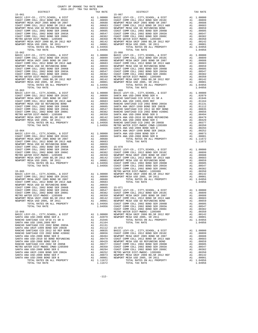| $\begin{tabular}{l c c c c c} {\bf NEWPORT} \hspace{0.08cm} {\tt MESA} \hspace{0.08cm} {\tt USD} \hspace{0.08cm} {\tt GOAET} \hspace{0.08cm} {\tt COND} \hspace{0.08cm} {\tt COAST} \hspace{0.08cm} {\tt COMM} \hspace{0.08cm} {\tt COAL} \hspace{0.08cm} {\tt 2002} \hspace{0.08cm} {\tt BND} \hspace{0.08cm} {\tt SCAST} \hspace{0.08cm} {\tt COMM} \hspace{0.08cm} {\tt COLL} \hspace{0.08cm}$ |          |                                                                                         |                    |
|---------------------------------------------------------------------------------------------------------------------------------------------------------------------------------------------------------------------------------------------------------------------------------------------------------------------------------------------------------------------------------------------------|----------|-----------------------------------------------------------------------------------------|--------------------|
|                                                                                                                                                                                                                                                                                                                                                                                                   |          |                                                                                         |                    |
|                                                                                                                                                                                                                                                                                                                                                                                                   |          |                                                                                         |                    |
|                                                                                                                                                                                                                                                                                                                                                                                                   |          |                                                                                         |                    |
|                                                                                                                                                                                                                                                                                                                                                                                                   |          |                                                                                         |                    |
|                                                                                                                                                                                                                                                                                                                                                                                                   |          |                                                                                         |                    |
|                                                                                                                                                                                                                                                                                                                                                                                                   |          |                                                                                         |                    |
| TOTAL TAX RATE                                                                                                                                                                                                                                                                                                                                                                                    |          | 1.04956                                                                                 |                    |
| $15 - 062$                                                                                                                                                                                                                                                                                                                                                                                        |          |                                                                                         | $15 - 068$         |
|                                                                                                                                                                                                                                                                                                                                                                                                   |          |                                                                                         |                    |
|                                                                                                                                                                                                                                                                                                                                                                                                   |          |                                                                                         |                    |
|                                                                                                                                                                                                                                                                                                                                                                                                   |          |                                                                                         |                    |
|                                                                                                                                                                                                                                                                                                                                                                                                   |          |                                                                                         |                    |
|                                                                                                                                                                                                                                                                                                                                                                                                   |          |                                                                                         |                    |
|                                                                                                                                                                                                                                                                                                                                                                                                   |          |                                                                                         |                    |
|                                                                                                                                                                                                                                                                                                                                                                                                   |          |                                                                                         |                    |
|                                                                                                                                                                                                                                                                                                                                                                                                   |          |                                                                                         |                    |
|                                                                                                                                                                                                                                                                                                                                                                                                   |          |                                                                                         |                    |
|                                                                                                                                                                                                                                                                                                                                                                                                   |          |                                                                                         |                    |
| TOTAL TAX RATE                                                                                                                                                                                                                                                                                                                                                                                    |          | 1.04956                                                                                 |                    |
| $15 - 063$                                                                                                                                                                                                                                                                                                                                                                                        |          |                                                                                         | $15 - 069$         |
|                                                                                                                                                                                                                                                                                                                                                                                                   |          |                                                                                         |                    |
|                                                                                                                                                                                                                                                                                                                                                                                                   |          |                                                                                         |                    |
|                                                                                                                                                                                                                                                                                                                                                                                                   |          |                                                                                         |                    |
|                                                                                                                                                                                                                                                                                                                                                                                                   |          |                                                                                         |                    |
|                                                                                                                                                                                                                                                                                                                                                                                                   |          |                                                                                         |                    |
|                                                                                                                                                                                                                                                                                                                                                                                                   |          |                                                                                         |                    |
|                                                                                                                                                                                                                                                                                                                                                                                                   |          |                                                                                         |                    |
|                                                                                                                                                                                                                                                                                                                                                                                                   |          |                                                                                         |                    |
|                                                                                                                                                                                                                                                                                                                                                                                                   |          |                                                                                         |                    |
|                                                                                                                                                                                                                                                                                                                                                                                                   |          |                                                                                         |                    |
|                                                                                                                                                                                                                                                                                                                                                                                                   |          |                                                                                         |                    |
|                                                                                                                                                                                                                                                                                                                                                                                                   |          |                                                                                         | SANTA A            |
| $15 - 064$                                                                                                                                                                                                                                                                                                                                                                                        |          |                                                                                         | SANTA A            |
|                                                                                                                                                                                                                                                                                                                                                                                                   |          |                                                                                         |                    |
|                                                                                                                                                                                                                                                                                                                                                                                                   |          |                                                                                         |                    |
|                                                                                                                                                                                                                                                                                                                                                                                                   |          |                                                                                         |                    |
|                                                                                                                                                                                                                                                                                                                                                                                                   |          |                                                                                         |                    |
|                                                                                                                                                                                                                                                                                                                                                                                                   |          |                                                                                         |                    |
|                                                                                                                                                                                                                                                                                                                                                                                                   |          |                                                                                         |                    |
|                                                                                                                                                                                                                                                                                                                                                                                                   |          |                                                                                         |                    |
|                                                                                                                                                                                                                                                                                                                                                                                                   |          |                                                                                         |                    |
|                                                                                                                                                                                                                                                                                                                                                                                                   |          |                                                                                         |                    |
|                                                                                                                                                                                                                                                                                                                                                                                                   |          |                                                                                         |                    |
|                                                                                                                                                                                                                                                                                                                                                                                                   |          |                                                                                         |                    |
| $15 - 065$                                                                                                                                                                                                                                                                                                                                                                                        |          |                                                                                         | COAST C<br>METRO W |
|                                                                                                                                                                                                                                                                                                                                                                                                   |          |                                                                                         |                    |
|                                                                                                                                                                                                                                                                                                                                                                                                   |          |                                                                                         |                    |
|                                                                                                                                                                                                                                                                                                                                                                                                   |          |                                                                                         |                    |
|                                                                                                                                                                                                                                                                                                                                                                                                   |          |                                                                                         |                    |
|                                                                                                                                                                                                                                                                                                                                                                                                   |          |                                                                                         |                    |
|                                                                                                                                                                                                                                                                                                                                                                                                   |          |                                                                                         |                    |
|                                                                                                                                                                                                                                                                                                                                                                                                   |          |                                                                                         |                    |
|                                                                                                                                                                                                                                                                                                                                                                                                   |          |                                                                                         |                    |
|                                                                                                                                                                                                                                                                                                                                                                                                   |          |                                                                                         |                    |
|                                                                                                                                                                                                                                                                                                                                                                                                   |          |                                                                                         |                    |
|                                                                                                                                                                                                                                                                                                                                                                                                   |          |                                                                                         |                    |
|                                                                                                                                                                                                                                                                                                                                                                                                   |          |                                                                                         | COAST C            |
| $15 - 066$                                                                                                                                                                                                                                                                                                                                                                                        |          |                                                                                         |                    |
| BASIC LEVY-CO., CITY, SCHOOL, & DIST                                                                                                                                                                                                                                                                                                                                                              |          | $\begin{tabular}{ll} \bf METRO & \tt W \\ \bf A1 & 1.00000 & \tt NEWPORT \end{tabular}$ |                    |
| SANTA ANA USD-2008 BOND SER A                                                                                                                                                                                                                                                                                                                                                                     | A1       | .02079                                                                                  | NEWPORT            |
| RANCHO SANTIAGO CCD SFID #1 SR A                                                                                                                                                                                                                                                                                                                                                                  | A1       | .01946                                                                                  |                    |
| SANTA ANA USD 1999, 2009 REF                                                                                                                                                                                                                                                                                                                                                                      | A1       | .01164                                                                                  |                    |
| RANCHO SANTIAGO CCD 2002 BOND 2003A<br>SANTA ANA UNIF-1999 BOND SER 2002B                                                                                                                                                                                                                                                                                                                         | A1<br>A1 | .01131<br>.01112                                                                        | $15 - 072$         |
| RANCHO SANTIAGO CCD 2012 GO REF BOND                                                                                                                                                                                                                                                                                                                                                              | A1       | .00835                                                                                  | BASIC L            |
| RANCHO SANTIAGO CCD 2002 BOND #2006C                                                                                                                                                                                                                                                                                                                                                              | A1       | .00656                                                                                  | COAST C            |
| SANTA ANA USD-2008 BOND SER D                                                                                                                                                                                                                                                                                                                                                                     | A1       | .00494                                                                                  | NEWPORT            |
| SANTA ANA USD-2010 GO BOND REFUNDING                                                                                                                                                                                                                                                                                                                                                              | A1       | .00479                                                                                  | COAST C            |
| SANTA ANA USD-2008 BOND SER C                                                                                                                                                                                                                                                                                                                                                                     | A1       | .00429                                                                                  | NEWPORT            |
| RANCHO SANTIAGO CCD 2002 SR 2005B                                                                                                                                                                                                                                                                                                                                                                 | A1       | .00377                                                                                  | COAST C            |
| METRO WATER DIST-MWDOC CMWD-1205999<br>SANTA ANA USD-2008 BOND SER E                                                                                                                                                                                                                                                                                                                              | A1<br>A1 | .00350<br>.00294                                                                        | COAST C<br>COAST C |
| SANTA ANA UNIF-1999 BOND SER 2002A                                                                                                                                                                                                                                                                                                                                                                | A1       | .00252                                                                                  | METRO W            |
| SANTA ANA USD-2008 BOND SER F                                                                                                                                                                                                                                                                                                                                                                     | A1       | .00073                                                                                  | NEWPORT            |
| SANTA ANA USD-2008 BOND SER B                                                                                                                                                                                                                                                                                                                                                                     | A1       | .00001                                                                                  | NEWPORT            |
| TOTAL RATES ON ALL PROPERTY                                                                                                                                                                                                                                                                                                                                                                       |          | A1 1.11672                                                                              |                    |

| DISTRICT | TAX RATE | DISTRICT | TAX RATE |
|----------|----------|----------|----------|
|          |          |          |          |
|          |          |          |          |
|          |          |          |          |
|          |          |          |          |
|          |          |          |          |
|          |          |          |          |
|          |          |          |          |
|          |          |          |          |
|          |          |          |          |
|          |          |          |          |
|          |          |          |          |
|          |          |          |          |
|          |          |          |          |
|          |          |          |          |
|          |          |          |          |
|          |          |          |          |
|          |          |          |          |
|          |          |          |          |
|          |          |          |          |
|          |          |          |          |
|          |          |          |          |
|          |          |          |          |
|          |          |          |          |
|          |          |          |          |
|          |          |          |          |
|          |          |          |          |
|          |          |          |          |
|          |          |          |          |
|          |          |          |          |
|          |          |          |          |
|          |          |          |          |
|          |          |          |          |
|          |          |          |          |
|          |          |          |          |
|          |          |          |          |
|          |          |          |          |
|          |          |          |          |
|          |          |          |          |
|          |          |          |          |
|          |          |          |          |
|          |          |          |          |
|          |          |          |          |
|          |          |          |          |
|          |          |          |          |
|          |          |          |          |
|          |          |          |          |
|          |          |          |          |
|          |          |          |          |
|          |          |          |          |
|          |          |          |          |
|          |          |          |          |
|          |          |          |          |
|          |          |          |          |
|          |          |          |          |
|          |          |          |          |
|          |          |          |          |
|          |          |          |          |
|          |          |          |          |
|          |          |          |          |
|          |          |          |          |
|          |          |          |          |
|          |          |          |          |
|          |          |          |          |
|          |          |          |          |
|          |          |          |          |
|          |          |          |          |
|          |          |          |          |
|          |          |          |          |
|          |          |          |          |
|          |          |          |          |
|          |          |          |          |
|          |          |          |          |
|          |          |          |          |
|          |          |          |          |
|          |          |          |          |
|          |          |          |          |
|          |          |          |          |
|          |          |          |          |
|          |          |          |          |
|          |          |          |          |
|          |          |          |          |
|          |          |          |          |
|          |          |          |          |
|          |          |          |          |
|          |          |          |          |
|          |          |          |          |
|          |          |          |          |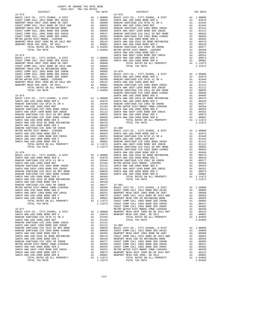|                                                                       |          |                                                                                         | SANTA A            |
|-----------------------------------------------------------------------|----------|-----------------------------------------------------------------------------------------|--------------------|
| $15 - 074$                                                            |          |                                                                                         | SANTA A            |
|                                                                       |          |                                                                                         |                    |
|                                                                       |          |                                                                                         |                    |
|                                                                       |          |                                                                                         |                    |
|                                                                       |          |                                                                                         |                    |
|                                                                       |          |                                                                                         |                    |
|                                                                       |          |                                                                                         |                    |
|                                                                       |          |                                                                                         |                    |
|                                                                       |          |                                                                                         |                    |
|                                                                       |          |                                                                                         |                    |
|                                                                       |          |                                                                                         |                    |
|                                                                       |          |                                                                                         |                    |
|                                                                       |          |                                                                                         | RANCHO             |
|                                                                       |          |                                                                                         |                    |
|                                                                       |          |                                                                                         |                    |
|                                                                       |          |                                                                                         |                    |
|                                                                       |          |                                                                                         |                    |
|                                                                       |          |                                                                                         |                    |
|                                                                       |          |                                                                                         |                    |
|                                                                       |          |                                                                                         |                    |
|                                                                       |          |                                                                                         |                    |
|                                                                       |          |                                                                                         |                    |
|                                                                       |          |                                                                                         |                    |
|                                                                       |          |                                                                                         |                    |
|                                                                       |          |                                                                                         |                    |
|                                                                       |          |                                                                                         |                    |
|                                                                       |          |                                                                                         |                    |
|                                                                       |          |                                                                                         |                    |
|                                                                       |          |                                                                                         |                    |
|                                                                       |          |                                                                                         |                    |
|                                                                       |          |                                                                                         |                    |
|                                                                       |          |                                                                                         | RANCHO             |
| $15 - 076$                                                            |          |                                                                                         | SANTA A            |
|                                                                       |          |                                                                                         |                    |
|                                                                       |          |                                                                                         |                    |
|                                                                       |          |                                                                                         |                    |
|                                                                       |          |                                                                                         |                    |
|                                                                       |          |                                                                                         |                    |
|                                                                       |          |                                                                                         |                    |
|                                                                       |          |                                                                                         |                    |
|                                                                       |          |                                                                                         |                    |
|                                                                       |          |                                                                                         |                    |
| SANTA ANA USD-2008 BOND SER C<br>RANCHO SANTIAGO CCD 2002 SR 2005B    |          |                                                                                         |                    |
| METRO WATER DIST-MWDOC CMWD-1205999                                   |          |                                                                                         |                    |
| SANTA ANA USD-2008 BOND SER E                                         |          |                                                                                         |                    |
| SANTA ANA UNIF-1999 BOND SER 2002A                                    |          |                                                                                         |                    |
| SANTA ANA USD-2008 BOND SER F                                         |          |                                                                                         |                    |
| SANTA ANA USD-2008 BOND SER B                                         |          |                                                                                         |                    |
|                                                                       |          |                                                                                         |                    |
|                                                                       |          |                                                                                         |                    |
| $15 - 077$                                                            |          |                                                                                         | COAST C            |
| BASIC LEVY-CO., CITY, SCHOOL, & DIST                                  |          | $\begin{tabular}{ll} \bf METRO & \tt W \\ \bf A1 & 1.00000 & \tt NEWPORT \end{tabular}$ |                    |
| SANTA ANA USD-2008 BOND SER A                                         | A1       | .02079                                                                                  | NEWPORT            |
| RANCHO SANTIAGO CCD SFID #1 SR A                                      | A1       | .01946                                                                                  |                    |
| SANTA ANA USD 1999, 2009 REF                                          | A1       | .01164                                                                                  |                    |
| RANCHO SANTIAGO CCD 2002 BOND 2003A                                   | A1       | .01131                                                                                  |                    |
| SANTA ANA UNIF-1999 BOND SER 2002B                                    | A1       | .01112                                                                                  | $15 - 082$         |
| RANCHO SANTIAGO CCD 2012 GO REF BOND                                  | A1<br>A1 | .00835                                                                                  | BASIC L            |
| RANCHO SANTIAGO CCD 2002 BOND #2006C<br>SANTA ANA USD-2008 BOND SER D | A1       | .00656<br>.00494                                                                        | COAST C<br>NEWPORT |
| SANTA ANA USD-2010 GO BOND REFUNDING                                  | A1       | .00479                                                                                  | COAST C            |
| SANTA ANA USD-2008 BOND SER C                                         | A1       | .00429                                                                                  | NEWPORT            |
| RANCHO SANTIAGO CCD 2002 SR 2005B                                     | A1       | .00377                                                                                  | COAST C            |
| METRO WATER DIST-MWDOC CMWD-1205999                                   | A1       | .00350                                                                                  | COAST C            |
| SANTA ANA USD-2008 BOND SER E                                         | A1       | .00294                                                                                  | COAST C            |
| SANTA ANA UNIF-1999 BOND SER 2002A                                    | A1       | .00252                                                                                  | METRO W            |
| SANTA ANA USD-2008 BOND SER F                                         |          | A1.00073                                                                                | NEWPORT            |

| DISTRICT | AUIU-AUIT IRA IAA RAIBU | TAX RATE | DISTRICT | TAX RATE |
|----------|-------------------------|----------|----------|----------|
|          |                         |          |          |          |
|          |                         |          |          |          |
|          |                         |          |          |          |
|          |                         |          |          |          |
|          |                         |          |          |          |
|          |                         |          |          |          |
|          |                         |          |          |          |
|          |                         |          |          |          |
|          |                         |          |          |          |
|          |                         |          |          |          |
|          |                         |          |          |          |
|          |                         |          |          |          |
|          |                         |          |          |          |
|          |                         |          |          |          |
|          |                         |          |          |          |
|          |                         |          |          |          |
|          |                         |          |          |          |
|          |                         |          |          |          |
|          |                         |          |          |          |
|          |                         |          |          |          |
|          |                         |          |          |          |
|          |                         |          |          |          |
|          |                         |          |          |          |
|          |                         |          |          |          |
|          |                         |          |          |          |
|          |                         |          |          |          |
|          |                         |          |          |          |
|          |                         |          |          |          |
|          |                         |          |          |          |
|          |                         |          |          |          |
|          |                         |          |          |          |
|          |                         |          |          |          |
|          |                         |          |          |          |
|          |                         |          |          |          |
|          |                         |          |          |          |
|          |                         |          |          |          |
|          |                         |          |          |          |
|          |                         |          |          |          |
|          |                         |          |          |          |
|          |                         |          |          |          |
|          |                         |          |          |          |
|          |                         |          |          |          |
|          |                         |          |          |          |
|          |                         |          |          |          |
|          |                         |          |          |          |
|          |                         |          |          |          |
|          |                         |          |          |          |
|          |                         |          |          |          |
|          |                         |          |          |          |
|          |                         |          |          |          |
|          |                         |          |          |          |
|          |                         |          |          |          |
|          |                         |          |          |          |
|          |                         |          |          |          |
|          |                         |          |          |          |
|          |                         |          |          |          |
|          |                         |          |          |          |
|          |                         |          |          |          |
|          |                         |          |          |          |
|          |                         |          |          |          |
|          |                         |          |          |          |
|          |                         |          |          |          |
|          |                         |          |          |          |
|          |                         |          |          |          |
|          |                         |          |          |          |
|          |                         |          |          |          |
|          |                         |          |          |          |
|          |                         |          |          |          |
|          |                         |          |          |          |
|          |                         |          |          |          |
|          |                         |          |          |          |
|          |                         |          |          |          |
|          |                         |          |          |          |
|          |                         |          |          |          |
|          |                         |          |          |          |
|          |                         |          |          |          |
|          |                         |          |          |          |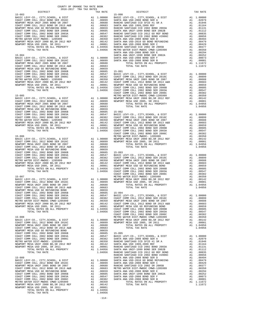| TOTAL RATES ON ALL PROPERTY           |    | A1 1.04956 |
|---------------------------------------|----|------------|
| TOTAL TAX RATE                        |    | 1.04956    |
|                                       |    |            |
| $15 - 089$                            |    |            |
| BASIC LEVY-CO., CITY, SCHOOL, & DIST  | A1 | 1,00000    |
| COAST COMM COLL 2012 BOND SER 2016C   | A1 | .00899     |
| NEWPORT MESA UNIF 2005 BOND SR 2007   | A1 | .00688     |
| COAST COMM COLL 2012 BOND SR 2013 A&B | A1 | .00683     |
| NEWPORT MESA USD GO REFUNDING BOND    | A1 | .00659     |
| COAST COMM COLL 2002 BOND SER 2006B   | A1 | .00605     |
| COAST COMM COLL 2002 BOND SER 2003A   | A1 | .00547     |
| COAST COMM COLL 2002 BOND SER 2006C   | A1 | .00382     |
| METRO WATER DIST-MWDOC CMWD-1205999   | A1 | .00350     |
| NEWPORT MESA UNIF 2000 BD.SR 2012 REF | A1 | .00142     |
| NEWPORT MESA USD 2005, SR 2011        | A1 | .00001     |
| TOTAL RATES ON ALL PROPERTY           | A1 | 1.04956    |
| TOTAL TAX RATE                        |    | 1.04956    |
|                                       |    |            |

-114-

## DISTRICT TAX RATE DISTRICT TAX RATE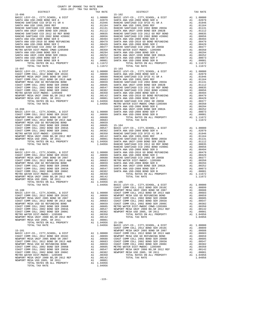| $15 - 097$     |         | $15 - 103$                                                                                                                 |            |
|----------------|---------|----------------------------------------------------------------------------------------------------------------------------|------------|
|                |         |                                                                                                                            |            |
|                |         |                                                                                                                            |            |
|                |         |                                                                                                                            |            |
|                |         |                                                                                                                            |            |
|                |         |                                                                                                                            |            |
|                |         |                                                                                                                            |            |
|                |         |                                                                                                                            |            |
|                |         |                                                                                                                            |            |
|                |         |                                                                                                                            |            |
|                |         |                                                                                                                            |            |
|                |         |                                                                                                                            |            |
|                |         |                                                                                                                            |            |
|                |         |                                                                                                                            |            |
|                |         |                                                                                                                            |            |
|                |         |                                                                                                                            |            |
|                |         |                                                                                                                            |            |
|                |         |                                                                                                                            |            |
|                |         |                                                                                                                            |            |
|                |         |                                                                                                                            |            |
|                |         |                                                                                                                            |            |
|                |         |                                                                                                                            |            |
|                |         |                                                                                                                            |            |
|                |         |                                                                                                                            |            |
|                |         |                                                                                                                            |            |
|                |         |                                                                                                                            |            |
|                |         |                                                                                                                            |            |
|                |         |                                                                                                                            |            |
|                |         |                                                                                                                            |            |
|                |         |                                                                                                                            |            |
|                |         |                                                                                                                            |            |
|                |         |                                                                                                                            |            |
|                |         |                                                                                                                            |            |
|                |         |                                                                                                                            |            |
|                |         |                                                                                                                            |            |
|                |         |                                                                                                                            |            |
|                |         |                                                                                                                            |            |
|                |         |                                                                                                                            |            |
|                |         |                                                                                                                            |            |
|                |         |                                                                                                                            |            |
|                |         |                                                                                                                            |            |
|                |         |                                                                                                                            |            |
|                |         |                                                                                                                            |            |
|                |         |                                                                                                                            |            |
|                |         |                                                                                                                            |            |
|                |         |                                                                                                                            |            |
|                |         |                                                                                                                            |            |
|                |         |                                                                                                                            |            |
|                |         |                                                                                                                            |            |
|                |         |                                                                                                                            |            |
|                |         |                                                                                                                            |            |
|                |         |                                                                                                                            |            |
|                |         |                                                                                                                            |            |
|                |         |                                                                                                                            | 1.04956    |
|                |         | TOTAL TAX RATE                                                                                                             |            |
|                |         | $15 - 106$                                                                                                                 |            |
| TOTAL TAX RATE |         |                                                                                                                            | A1 1.00000 |
|                |         | 1.04956 BASIC LEVY-CO., CITY, SCHOOL, & DIST<br>COAST COMM COLL 2012 BOND SER 2016C<br>NEWPORT MESA UNIF 2005 BOND SR 2007 | A1.00899   |
| $15 - 101$     |         |                                                                                                                            | A1 .00688  |
|                |         |                                                                                                                            |            |
|                |         |                                                                                                                            |            |
|                |         |                                                                                                                            |            |
|                |         |                                                                                                                            |            |
|                |         |                                                                                                                            |            |
|                |         |                                                                                                                            |            |
|                |         |                                                                                                                            |            |
|                |         |                                                                                                                            |            |
|                |         |                                                                                                                            |            |
|                |         |                                                                                                                            |            |
|                |         |                                                                                                                            |            |
|                |         |                                                                                                                            |            |
| TOTAL TAX RATE | 1.04956 |                                                                                                                            |            |

| DISTRICT                                                                    | 2016-2017 TRA TAX RATES | TAX RATE | DISTRICT                                                                                                                                                                                                                                                                                                                                                                                                            | TAX RATE |
|-----------------------------------------------------------------------------|-------------------------|----------|---------------------------------------------------------------------------------------------------------------------------------------------------------------------------------------------------------------------------------------------------------------------------------------------------------------------------------------------------------------------------------------------------------------------|----------|
| $15 - 096$                                                                  |                         |          | $15 - 102$                                                                                                                                                                                                                                                                                                                                                                                                          |          |
|                                                                             |                         |          |                                                                                                                                                                                                                                                                                                                                                                                                                     |          |
|                                                                             |                         |          |                                                                                                                                                                                                                                                                                                                                                                                                                     |          |
|                                                                             |                         |          |                                                                                                                                                                                                                                                                                                                                                                                                                     |          |
|                                                                             |                         |          |                                                                                                                                                                                                                                                                                                                                                                                                                     |          |
|                                                                             |                         |          |                                                                                                                                                                                                                                                                                                                                                                                                                     |          |
|                                                                             |                         |          |                                                                                                                                                                                                                                                                                                                                                                                                                     |          |
|                                                                             |                         |          |                                                                                                                                                                                                                                                                                                                                                                                                                     |          |
|                                                                             |                         |          |                                                                                                                                                                                                                                                                                                                                                                                                                     |          |
|                                                                             |                         |          |                                                                                                                                                                                                                                                                                                                                                                                                                     |          |
|                                                                             |                         |          |                                                                                                                                                                                                                                                                                                                                                                                                                     |          |
|                                                                             |                         |          |                                                                                                                                                                                                                                                                                                                                                                                                                     |          |
|                                                                             |                         |          |                                                                                                                                                                                                                                                                                                                                                                                                                     |          |
|                                                                             |                         |          |                                                                                                                                                                                                                                                                                                                                                                                                                     |          |
|                                                                             |                         |          |                                                                                                                                                                                                                                                                                                                                                                                                                     |          |
|                                                                             |                         |          |                                                                                                                                                                                                                                                                                                                                                                                                                     |          |
|                                                                             |                         |          |                                                                                                                                                                                                                                                                                                                                                                                                                     |          |
|                                                                             |                         |          |                                                                                                                                                                                                                                                                                                                                                                                                                     |          |
|                                                                             |                         |          |                                                                                                                                                                                                                                                                                                                                                                                                                     |          |
|                                                                             |                         |          |                                                                                                                                                                                                                                                                                                                                                                                                                     |          |
|                                                                             |                         |          |                                                                                                                                                                                                                                                                                                                                                                                                                     |          |
|                                                                             |                         |          |                                                                                                                                                                                                                                                                                                                                                                                                                     |          |
|                                                                             |                         |          |                                                                                                                                                                                                                                                                                                                                                                                                                     |          |
|                                                                             |                         |          |                                                                                                                                                                                                                                                                                                                                                                                                                     |          |
|                                                                             |                         |          |                                                                                                                                                                                                                                                                                                                                                                                                                     |          |
|                                                                             |                         |          |                                                                                                                                                                                                                                                                                                                                                                                                                     |          |
|                                                                             |                         |          |                                                                                                                                                                                                                                                                                                                                                                                                                     |          |
|                                                                             |                         |          |                                                                                                                                                                                                                                                                                                                                                                                                                     |          |
|                                                                             |                         |          |                                                                                                                                                                                                                                                                                                                                                                                                                     |          |
|                                                                             |                         |          |                                                                                                                                                                                                                                                                                                                                                                                                                     |          |
|                                                                             |                         |          |                                                                                                                                                                                                                                                                                                                                                                                                                     |          |
|                                                                             |                         |          |                                                                                                                                                                                                                                                                                                                                                                                                                     |          |
|                                                                             |                         |          |                                                                                                                                                                                                                                                                                                                                                                                                                     |          |
|                                                                             |                         |          |                                                                                                                                                                                                                                                                                                                                                                                                                     |          |
|                                                                             |                         |          |                                                                                                                                                                                                                                                                                                                                                                                                                     |          |
|                                                                             |                         |          |                                                                                                                                                                                                                                                                                                                                                                                                                     |          |
|                                                                             |                         |          |                                                                                                                                                                                                                                                                                                                                                                                                                     |          |
|                                                                             |                         |          |                                                                                                                                                                                                                                                                                                                                                                                                                     |          |
|                                                                             |                         |          |                                                                                                                                                                                                                                                                                                                                                                                                                     |          |
|                                                                             |                         |          |                                                                                                                                                                                                                                                                                                                                                                                                                     |          |
|                                                                             |                         |          |                                                                                                                                                                                                                                                                                                                                                                                                                     |          |
|                                                                             |                         |          |                                                                                                                                                                                                                                                                                                                                                                                                                     |          |
|                                                                             |                         |          |                                                                                                                                                                                                                                                                                                                                                                                                                     |          |
|                                                                             |                         |          |                                                                                                                                                                                                                                                                                                                                                                                                                     |          |
|                                                                             |                         |          |                                                                                                                                                                                                                                                                                                                                                                                                                     |          |
|                                                                             |                         |          |                                                                                                                                                                                                                                                                                                                                                                                                                     |          |
|                                                                             |                         |          |                                                                                                                                                                                                                                                                                                                                                                                                                     |          |
|                                                                             |                         |          |                                                                                                                                                                                                                                                                                                                                                                                                                     |          |
|                                                                             |                         |          |                                                                                                                                                                                                                                                                                                                                                                                                                     |          |
|                                                                             |                         |          |                                                                                                                                                                                                                                                                                                                                                                                                                     |          |
|                                                                             |                         |          |                                                                                                                                                                                                                                                                                                                                                                                                                     |          |
|                                                                             |                         |          |                                                                                                                                                                                                                                                                                                                                                                                                                     |          |
|                                                                             |                         |          |                                                                                                                                                                                                                                                                                                                                                                                                                     |          |
|                                                                             |                         |          |                                                                                                                                                                                                                                                                                                                                                                                                                     |          |
|                                                                             |                         |          |                                                                                                                                                                                                                                                                                                                                                                                                                     |          |
|                                                                             |                         |          | $\begin{tabular}{c c c c c c c c} \multicolumn{1}{c}{\textbf{A1}} & 1.04956 & \textbf{BASC LEVY-C0.}, & \text{CITY}, & \text{SCHODI}, & \& & \text{DIST} & & \text{A1} & 1.00000 \\ & & \text{COAST COMM COLL 2012 BOND SER 2016C} & & \text{A1} & .00899 \\ & & \text{NENPORT MESA UNF 2005 BOND SR 2007} & & \text{A1} & .00888 \\ \multicolumn{1}{c}{\textbf{A1}} & 1.00000 & \text{COAST COMM COLL 2$           |          |
|                                                                             |                         |          |                                                                                                                                                                                                                                                                                                                                                                                                                     |          |
| $15 - 100$                                                                  |                         |          |                                                                                                                                                                                                                                                                                                                                                                                                                     |          |
| BASIC LEVY-CO., CITY, SCHOOL, & DIST<br>COAST COMM COLL 2012 BOND SER 2016C |                         |          |                                                                                                                                                                                                                                                                                                                                                                                                                     |          |
|                                                                             |                         |          |                                                                                                                                                                                                                                                                                                                                                                                                                     |          |
|                                                                             |                         |          |                                                                                                                                                                                                                                                                                                                                                                                                                     |          |
|                                                                             |                         |          |                                                                                                                                                                                                                                                                                                                                                                                                                     |          |
|                                                                             |                         |          |                                                                                                                                                                                                                                                                                                                                                                                                                     |          |
|                                                                             |                         |          |                                                                                                                                                                                                                                                                                                                                                                                                                     |          |
|                                                                             |                         |          |                                                                                                                                                                                                                                                                                                                                                                                                                     |          |
|                                                                             |                         |          |                                                                                                                                                                                                                                                                                                                                                                                                                     |          |
|                                                                             |                         |          |                                                                                                                                                                                                                                                                                                                                                                                                                     |          |
|                                                                             |                         |          | $\begin{tabular}{l c c c c c c c} \multicolumn{1}{c}{\textbf{NENPORT MESA UNF 2010 SEND SER 2016} & \multicolumn{1}{c}{\textbf{NENPORT MESA UNF 2005 BOND SR R 2016} & \multicolumn{1}{c}{\textbf{NENPORT MESA UNF 2005 BOND SR R 2017} & \multicolumn{1}{c}{\textbf{A1}} & .00689 & \multicolumn{1}{c}{\textbf{COAST COMM COLL 2012 BOND SER 2003A} & \multicolumn{1}{c}{\textbf{A2}} & .00689 & \multicolumn{1}{$ |          |
|                                                                             |                         |          |                                                                                                                                                                                                                                                                                                                                                                                                                     |          |
|                                                                             |                         |          |                                                                                                                                                                                                                                                                                                                                                                                                                     |          |
|                                                                             |                         |          |                                                                                                                                                                                                                                                                                                                                                                                                                     |          |
|                                                                             |                         |          |                                                                                                                                                                                                                                                                                                                                                                                                                     |          |
|                                                                             |                         |          |                                                                                                                                                                                                                                                                                                                                                                                                                     |          |
|                                                                             |                         |          |                                                                                                                                                                                                                                                                                                                                                                                                                     |          |
|                                                                             |                         |          |                                                                                                                                                                                                                                                                                                                                                                                                                     |          |
|                                                                             |                         |          |                                                                                                                                                                                                                                                                                                                                                                                                                     |          |
|                                                                             |                         |          | $\begin{tabular}{c c c c c} \hline \text{15--101} & \text{15--106} \\ \hline \text{15--101} & \text{15--106} \\ \hline \text{15--101} & \text{15--106} \\ \hline \text{15--101} & \text{15--106} \\ \hline \text{15--101} & \text{15--106} \\ \hline \text{15--101} & \text{15--106} \\ \hline \text{15--101} & \text{15--106} \\ \hline \text{15--101} & \text{15--106} \\ \hline \$                               |          |
|                                                                             |                         |          |                                                                                                                                                                                                                                                                                                                                                                                                                     |          |
|                                                                             |                         |          |                                                                                                                                                                                                                                                                                                                                                                                                                     |          |
|                                                                             |                         |          |                                                                                                                                                                                                                                                                                                                                                                                                                     | 1.04956  |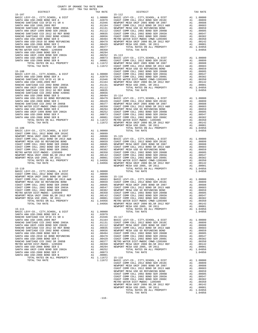| BASIC LEVY-CO., CITY, SCHOOL, & DIST<br>SANTA ANA USD-2008 BOND SER A<br>RANCHO SANTIAGO CCD SFID #1 SR A<br>SANTA ANA USD 1999, 2009 REF<br>RANCHO SANTIAGO CCD 2002 BOND 2003A<br>SANTA ANA UNIF-1999 BOND SER 2002B<br>RANCHO SANTIAGO CCD 2012 GO REF BOND<br>RANCHO SANTIAGO CCD 2002 BOND #2006C<br>SANTA ANA USD-2008 BOND SER D<br>SANTA ANA USD-2010 GO BOND REFUNDING<br>SANTA ANA USD-2008 BOND SER C<br>RANCHO SANTIAGO CCD 2002 SR 2005B<br>METRO WATER DIST-MWDOC- 1205999<br>SANTA ANA USD-2008 BOND SER E<br>SANTA ANA UNIF-1999 BOND SER 2002A<br>SANTA ANA USD-2008 BOND SER F<br>SANTA ANA USD-2008 BOND SER B                                                                | A1 1.00000 BASIC L<br>A1 .02079 COAST C<br>A1 .01946 NEWPORT<br>A1 .01144 NEWPORT<br>A1 .01144 NEWPORT<br>A1 .01151 NEWPORT<br>A1 .01121 NEWPORT<br>A1 .00835 COAST C<br>A1 .00439 NEWPORT<br>A1 .00499 NEWPORT<br>A1 .00499 NEWPORT<br>A1 .00377<br>A                                                               |                                                                                                                             |
|--------------------------------------------------------------------------------------------------------------------------------------------------------------------------------------------------------------------------------------------------------------------------------------------------------------------------------------------------------------------------------------------------------------------------------------------------------------------------------------------------------------------------------------------------------------------------------------------------------------------------------------------------------------------------------------------------|----------------------------------------------------------------------------------------------------------------------------------------------------------------------------------------------------------------------------------------------------------------------------------------------------------------------|-----------------------------------------------------------------------------------------------------------------------------|
| TOTAL RATES ON ALL PROPERTY<br>TOTAL TAX RATE<br>$15 - 108$                                                                                                                                                                                                                                                                                                                                                                                                                                                                                                                                                                                                                                      |                                                                                                                                                                                                                                                                                                                      | COAST C                                                                                                                     |
|                                                                                                                                                                                                                                                                                                                                                                                                                                                                                                                                                                                                                                                                                                  |                                                                                                                                                                                                                                                                                                                      |                                                                                                                             |
|                                                                                                                                                                                                                                                                                                                                                                                                                                                                                                                                                                                                                                                                                                  |                                                                                                                                                                                                                                                                                                                      | NEWPORT                                                                                                                     |
| $15 - 109$                                                                                                                                                                                                                                                                                                                                                                                                                                                                                                                                                                                                                                                                                       |                                                                                                                                                                                                                                                                                                                      | NEWPORT                                                                                                                     |
| $15 - 110$<br>$\begin{tabular}{lllllllllllll} \multicolumn{4}{c}{\textbf{CoAST COM M COL.} & $\cup$ 111, $SCHOOL$, & $\&$ DIST$} & $\&$ A1 & 1.00000 \\ \multicolumn{4}{c}{\textbf{COAST COM M COL.} & $2012$ BOND SER & $2016C$} & $\&$ A1 & .00899 \\ \multicolumn{4}{c}{\textbf{NEW DOT BAD MIJF 2005 BOND SR 2007}} & $\&$ A1 & .00899 \\ \multicolumn{4}{c}{\textbf{COAST COM M COL.} & $2015$ BOND SR 2007} & $\&$ A1 &$<br>TOTAL TAX RATE                                                                                                                                                                                                                                                 | 1.04956 NEWPORT                                                                                                                                                                                                                                                                                                      | NEWPORT                                                                                                                     |
| $15 - 111$<br>BASIC LEVY-CO., CITY, SCHOOL, & DIST<br>SANTA ANA USD-2008 BOND SER A<br>RANCHO SANTIAGO CCD SFID #1 SR A<br>SANTA ANA USD 1999, 2009 REF<br>RANCHO SANTIAGO CCD 2002 BOND 2003A<br>SANTA ANA UNIF-1999 BOND SER 2002B<br>RANCHO SANTIAGO CCD 2012 GO REF BOND<br>RANCHO SANTIAGO CCD 2002 BOND #2006C<br>SANTA ANA USD-2008 BOND SER D<br>SANTA ANA USD-2010 GO BOND REFUNDING<br>SANTA ANA USD-2008 BOND SER C<br>RANCHO SANTIAGO CCD 2002 SR 2005B<br>METRO WATER DIST-MWDOC- 1205999<br>SANTA ANA USD-2008 BOND SER E<br>SANTA ANA UNIF-1999 BOND SER 2002A<br>SANTA ANA USD-2008 BOND SER F<br>SANTA ANA USD-2008 BOND SER B<br>TOTAL RATES ON ALL PROPERTY<br>TOTAL TAX RATE | A1 1.00000<br>A1<br>.02079<br>A1<br>.01946<br>A1<br>.01164<br>A1<br>.01131<br>A1<br>.01112<br>A1<br>.00835<br>A1<br>.00656<br>A1<br>.00494<br>A1 .00479 COAST C<br>A1 .00429 COAST C<br>A1 .00377 METRO W<br>$A1 \t .00350$<br>A1<br>.00294<br>.00252<br>A1<br>.00073<br>A1<br>A1<br>.00001<br>A1 1.11672<br>1.11672 | $15 - 117$<br>BASIC L<br>COAST C<br>NEWPORT<br>COAST C<br>NEWPORT<br>COAST C<br>NEWPORT<br>NEWPORT<br>$15 - 118$<br>BASIC L |

| COUNTY OF ORANGE TAX RATE BOOK<br>$2016-2017\quad\text{TRA TAX RATES}\label{eq:2016-2017}$ DISTRICT |          |          |          |
|-----------------------------------------------------------------------------------------------------|----------|----------|----------|
|                                                                                                     | TAX RATE | DISTRICT | TAX RATE |
|                                                                                                     |          |          |          |
|                                                                                                     |          |          |          |
|                                                                                                     |          |          |          |
|                                                                                                     |          |          |          |
|                                                                                                     |          |          |          |
|                                                                                                     |          |          |          |
|                                                                                                     |          |          |          |
|                                                                                                     |          |          |          |
|                                                                                                     |          |          |          |
|                                                                                                     |          |          |          |
|                                                                                                     |          |          |          |
|                                                                                                     |          |          |          |
|                                                                                                     |          |          |          |
|                                                                                                     |          |          |          |
|                                                                                                     |          |          |          |
|                                                                                                     |          |          |          |
|                                                                                                     |          |          |          |
|                                                                                                     |          |          |          |
|                                                                                                     |          |          |          |
|                                                                                                     |          |          |          |
|                                                                                                     |          |          |          |
|                                                                                                     |          |          |          |
|                                                                                                     |          |          |          |
|                                                                                                     |          |          |          |
|                                                                                                     |          |          |          |
|                                                                                                     |          |          |          |
|                                                                                                     |          |          |          |
|                                                                                                     |          |          |          |
|                                                                                                     |          |          |          |
|                                                                                                     |          |          |          |
|                                                                                                     |          |          |          |
|                                                                                                     |          |          |          |
|                                                                                                     |          |          |          |
|                                                                                                     |          |          |          |
|                                                                                                     |          |          |          |
|                                                                                                     |          |          |          |
|                                                                                                     |          |          |          |
|                                                                                                     |          |          |          |
|                                                                                                     |          |          |          |
|                                                                                                     |          |          |          |
|                                                                                                     |          |          |          |
|                                                                                                     |          |          |          |
|                                                                                                     |          |          |          |
|                                                                                                     |          |          |          |
|                                                                                                     |          |          |          |
|                                                                                                     |          |          |          |
|                                                                                                     |          |          |          |
|                                                                                                     |          |          |          |
|                                                                                                     |          |          |          |
|                                                                                                     |          |          |          |
|                                                                                                     |          |          |          |
|                                                                                                     |          |          |          |
|                                                                                                     |          |          |          |
|                                                                                                     |          |          |          |
|                                                                                                     |          |          |          |
|                                                                                                     |          |          |          |
|                                                                                                     |          |          |          |
|                                                                                                     |          |          |          |
|                                                                                                     |          |          |          |
|                                                                                                     |          |          |          |
|                                                                                                     |          |          |          |
|                                                                                                     |          |          |          |
|                                                                                                     |          |          |          |
|                                                                                                     |          |          |          |
|                                                                                                     |          |          |          |
|                                                                                                     |          |          |          |
|                                                                                                     |          |          |          |
|                                                                                                     |          |          |          |
|                                                                                                     |          |          |          |
|                                                                                                     |          |          |          |
|                                                                                                     |          |          |          |
|                                                                                                     |          |          |          |
|                                                                                                     |          |          |          |
|                                                                                                     |          |          |          |
|                                                                                                     |          |          |          |
|                                                                                                     |          |          |          |
|                                                                                                     |          |          |          |
|                                                                                                     |          |          |          |
|                                                                                                     |          |          |          |
|                                                                                                     |          |          |          |
|                                                                                                     |          |          |          |
|                                                                                                     |          |          |          |
|                                                                                                     |          |          |          |
|                                                                                                     |          |          |          |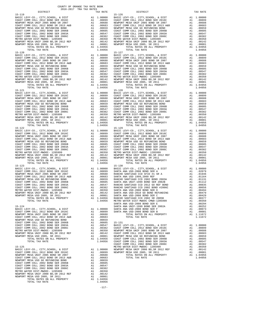| COAST COMM COLL 2002 BOND SER 2003A<br>COAST COMM COLL 2002 BOND SER 2006C<br>METRO WATER DIST-MWDOC- 1205999<br>NEWPORT MESA UNIF 2000 BD, SR 2012 REF<br>NEWPORT MESA USD 2005, SR 2011                                                                                                                                                                                                                                                                                                                                                                                                                                                                                                                         | A1 .00605 COAST C<br>A1 .00547 COAST C<br>A1 .00382 COAST C<br>A1 .00350 METRO W<br>A1 .00142 NEWPORT<br>A1 .00001 NEWPORT<br>A1 1.04956 |                                                                                                               |                                                                                                                                                                          |
|-------------------------------------------------------------------------------------------------------------------------------------------------------------------------------------------------------------------------------------------------------------------------------------------------------------------------------------------------------------------------------------------------------------------------------------------------------------------------------------------------------------------------------------------------------------------------------------------------------------------------------------------------------------------------------------------------------------------|------------------------------------------------------------------------------------------------------------------------------------------|---------------------------------------------------------------------------------------------------------------|--------------------------------------------------------------------------------------------------------------------------------------------------------------------------|
| TOTAL RATES ON ALL PROPERTY<br>TOTAL TAX RATE<br>$15 - 120$                                                                                                                                                                                                                                                                                                                                                                                                                                                                                                                                                                                                                                                       |                                                                                                                                          | 1.04956                                                                                                       | 15-127                                                                                                                                                                   |
|                                                                                                                                                                                                                                                                                                                                                                                                                                                                                                                                                                                                                                                                                                                   |                                                                                                                                          |                                                                                                               |                                                                                                                                                                          |
| TOTAL TAX RATE<br>$15 - 121$                                                                                                                                                                                                                                                                                                                                                                                                                                                                                                                                                                                                                                                                                      |                                                                                                                                          | 1.04956                                                                                                       | $15 - 128$                                                                                                                                                               |
| TOTAL TAX RATE                                                                                                                                                                                                                                                                                                                                                                                                                                                                                                                                                                                                                                                                                                    |                                                                                                                                          | 1.04956                                                                                                       |                                                                                                                                                                          |
| $15 - 122$<br>TOTAL TAX RATE                                                                                                                                                                                                                                                                                                                                                                                                                                                                                                                                                                                                                                                                                      |                                                                                                                                          | 1.04956                                                                                                       | $15 - 129$                                                                                                                                                               |
| $15 - 123$                                                                                                                                                                                                                                                                                                                                                                                                                                                                                                                                                                                                                                                                                                        |                                                                                                                                          |                                                                                                               | $15 - 130$<br>SANTA A                                                                                                                                                    |
| $15 - 124$<br>NEWPORT MESA USD GO REFUNDING BOND<br>COAST COMM COLL 2002 BOND SER 2006B<br>COAST COMM COLL 2002 BOND SER 2003A<br>COAST COMM COLL 2002 BOND SER 2006C<br>METRO WATER DIST-MWDOC- 1205999<br>METRO WATER DIST-MWDOC-1205999 AL<br>NEWPORT MESA UNIF 2000 BD, SR 2012 REF Al<br>NEWPORT MESA USD 2005, SR 2011 AL<br>Al TOTAL RATES ON ALL PROPERTY Al<br>TOTAL RATES ON ALL PROPERTY<br>TOTAL TAX RATE                                                                                                                                                                                                                                                                                             |                                                                                                                                          | A1 .00659<br>A1 .00605<br>A1 .00547<br>A1.00382                                                               | SANTA A<br>$15 - 131$<br>BASIC L<br>COAST C<br>A1 .00382 COAST C<br>A1 .00350 NEWPORT<br>A1 .00142 COAST C<br>A1 .00001 NEWPORT<br>A1 1.04956 COAST C<br>1.04956 COAST C |
| $15 - 125$<br>BASIC LEVY-CO., CITY, SCHOOL, & DIST<br>COAST COMM COLL 2012 BOND SER 2016C<br>NEWPORT MESA UNIF 2005 BOND SR 2007<br>COAST COMM COLL 2012 BOND SR 2013 A&B<br>NEWPORT MESA USD GO REFUNDING BOND<br>$\begin{tabular}{lllllllllllllllllllll} & $\mathbb{X}$ & $\mathbb{X}$ & $\mathbb{X}$ & $\mathbb{X}$ \\ & $\mathbb{X}$ & $\mathbb{X}$ & $\mathbb{X}$ & $\mathbb{X}$ \\ & $\mathbb{X}$ & $\mathbb{X}$ & $\mathbb{X}$ & $\mathbb{X}$ \\ & $\mathbb{X}$ & $\mathbb{X}$ & $\mathbb{X}$ & $\mathbb{X}$ \\ & $\mathbb{X}$ & $\mathbb{X}$ & $\mathbb{X}$ & $\mathbb{X}$ & $\mathbb{X}$ \\ & $\mathbb{X}$ & $\mathbb{X}$ & $\mathbb{X}$ & $\mathbb{X}$ & $\mathbb{X}$ & $\mathbb{X}$ \\ & $\mathbb{X}$$ | A1 1.00000 NEWPORT<br>A1 .00899 NEWPORT<br>A1 .00688                                                                                     | A1 .00683<br>A1.00659<br>A1 .00605<br>.00547<br>.00382<br>.00350<br>.00142<br>.00001<br>A1 1.04956<br>1.04956 | COAST C<br>METRO W                                                                                                                                                       |

-117-

| $2016-2017\quad\text{TRA RATES}\label{eq:2016-2017}$ DISTRICT | COUNTY OF ORANGE TAX RATE BOOK |                        |          |
|---------------------------------------------------------------|--------------------------------|------------------------|----------|
| $15 - 119$                                                    | TAX RATE                       | DISTRICT<br>$15 - 126$ | TAX RATE |
| $15 - 120$                                                    |                                | $15 - 127$             |          |
|                                                               |                                |                        |          |
| $15 - 122$                                                    |                                | $15 - 129$             |          |
|                                                               |                                |                        |          |
|                                                               |                                |                        |          |
|                                                               |                                |                        |          |
|                                                               |                                |                        |          |
| COAST COMM COLL 2002 BOND SER 2006B                           |                                |                        |          |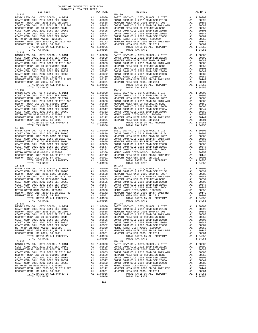| $15 - 133$                                                                 |          |                  | $15 - 140$         |
|----------------------------------------------------------------------------|----------|------------------|--------------------|
|                                                                            |          |                  |                    |
|                                                                            |          |                  |                    |
|                                                                            |          |                  |                    |
|                                                                            |          |                  |                    |
|                                                                            |          |                  |                    |
|                                                                            |          |                  |                    |
|                                                                            |          |                  |                    |
|                                                                            |          |                  |                    |
|                                                                            |          |                  |                    |
|                                                                            |          |                  |                    |
| TOTAL TAX RATE                                                             |          | 1.04956          |                    |
| $15 - 134$                                                                 |          |                  | $15 - 141$         |
|                                                                            |          |                  |                    |
|                                                                            |          |                  |                    |
|                                                                            |          |                  |                    |
|                                                                            |          |                  |                    |
|                                                                            |          |                  |                    |
|                                                                            |          |                  |                    |
|                                                                            |          |                  |                    |
|                                                                            |          |                  |                    |
|                                                                            |          |                  |                    |
|                                                                            |          |                  |                    |
|                                                                            |          |                  |                    |
| TOTAL TAX RATE                                                             |          | 1.04956          |                    |
| $15 - 135$                                                                 |          |                  | $15 - 142$         |
|                                                                            |          |                  |                    |
|                                                                            |          |                  |                    |
|                                                                            |          |                  |                    |
|                                                                            |          |                  |                    |
|                                                                            |          |                  |                    |
|                                                                            |          |                  |                    |
|                                                                            |          |                  |                    |
|                                                                            |          |                  |                    |
|                                                                            |          |                  |                    |
|                                                                            |          |                  |                    |
| TOTAL RATES ON ALL PROPERTY                                                |          | A1 1.04956       |                    |
| TOTAL TAX RATE                                                             |          | 1.04956          |                    |
| $15 - 136$                                                                 |          |                  | $15 - 143$         |
|                                                                            |          |                  |                    |
|                                                                            |          |                  |                    |
|                                                                            |          |                  |                    |
|                                                                            |          |                  |                    |
|                                                                            |          |                  |                    |
|                                                                            |          |                  |                    |
|                                                                            |          |                  |                    |
|                                                                            |          |                  |                    |
|                                                                            |          |                  |                    |
|                                                                            |          |                  |                    |
| TOTAL RATES ON ALL PROPERTY                                                |          | A1 1.04956       |                    |
| TOTAL TAX RATE                                                             |          | 1.04956          |                    |
| $15 - 137$                                                                 |          |                  | $15 - 144$         |
|                                                                            |          |                  |                    |
|                                                                            |          |                  |                    |
|                                                                            |          |                  |                    |
|                                                                            |          |                  |                    |
|                                                                            |          |                  |                    |
|                                                                            |          |                  |                    |
|                                                                            |          |                  |                    |
|                                                                            |          |                  |                    |
|                                                                            |          |                  |                    |
|                                                                            |          |                  |                    |
|                                                                            |          |                  |                    |
| TOTAL TAX RATE                                                             |          | 1.04956          |                    |
| 15-138                                                                     |          |                  | $15 - 145$         |
| BASIC LEVY-CO., CITY, SCHOOL, & DIST                                       | A1       | 1.00000          | BASIC L            |
| COAST COMM COLL 2012 BOND SER 2016C                                        | A1       | .00899           | COAST C            |
| NEWPORT MESA UNIF 2005 BOND SR 2007                                        | A1       | .00688           | NEWPORT            |
| COAST COMM COLL 2012 BOND SR 2013 A&B                                      | A1       | .00683           | COAST C            |
| NEWPORT MESA USD GO REFUNDING BOND                                         | A1       | .00659           | NEWPORT            |
| COAST COMM COLL 2002 BOND SER 2006B                                        | A1       | .00605           | COAST C            |
| COAST COMM COLL 2002 BOND SER 2003A<br>COAST COMM COLL 2002 BOND SER 2006C | A1<br>A1 | .00547           | COAST C<br>COAST C |
| METRO WATER DIST-MWDOC- 1205999                                            | A1       | .00382<br>.00350 | METRO W            |
| NEWPORT MESA UNIF 2000 BD, SR 2012 REF                                     | A1       | .00142           | NEWPORT            |
| NEWPORT MESA USD 2005, SR 2011                                             | A1       | .00001           | NEWPORT            |
| TOTAL RATES ON ALL PROPERTY                                                | A1       | 1.04956          |                    |
| TOTAL TAX RATE                                                             |          | 1.04956          |                    |
|                                                                            |          |                  |                    |

| DISTRICT | TAX RATE | DISTRICT   | TAX RATE |
|----------|----------|------------|----------|
|          |          |            |          |
|          |          |            |          |
|          |          |            |          |
|          |          |            |          |
|          |          |            |          |
|          |          |            |          |
|          |          |            |          |
|          |          |            |          |
|          |          |            |          |
|          |          |            |          |
|          |          |            |          |
|          |          |            |          |
|          |          |            |          |
|          |          |            |          |
|          |          |            |          |
|          |          |            |          |
|          |          |            |          |
|          |          |            |          |
|          |          |            |          |
|          |          |            |          |
|          |          |            |          |
|          |          |            |          |
|          |          |            |          |
|          |          |            |          |
|          |          |            |          |
|          |          |            |          |
|          |          |            |          |
|          |          |            |          |
|          |          |            |          |
|          |          |            |          |
|          |          |            |          |
|          |          |            |          |
|          |          |            |          |
|          |          |            |          |
|          |          |            |          |
|          |          |            |          |
|          |          |            |          |
|          |          |            |          |
|          |          |            |          |
|          |          |            |          |
|          |          |            |          |
|          |          |            |          |
|          |          |            |          |
|          |          |            |          |
|          |          |            |          |
|          |          |            |          |
|          |          |            |          |
|          |          |            |          |
|          |          |            |          |
|          |          |            |          |
|          |          |            |          |
|          |          |            |          |
|          |          |            |          |
|          |          |            |          |
|          |          |            |          |
|          |          |            |          |
|          |          |            |          |
|          |          |            |          |
|          |          |            |          |
| 15-137   |          | $15 - 144$ |          |
|          |          |            |          |
|          |          |            |          |
|          |          |            |          |
|          |          |            |          |
|          |          |            |          |
|          |          |            |          |
|          |          |            |          |
|          |          |            |          |
|          |          |            |          |
|          |          |            |          |
|          |          |            |          |
|          |          |            |          |
|          |          |            |          |
|          |          |            |          |
|          |          |            |          |
|          |          |            |          |
|          |          |            |          |
|          |          |            |          |
|          |          |            |          |
|          |          |            |          |
|          |          |            |          |
|          |          |            |          |
|          |          |            |          |
|          |          |            |          |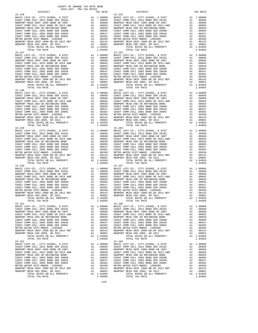| 15-147                                                                      |          |                      | 15-154             |
|-----------------------------------------------------------------------------|----------|----------------------|--------------------|
|                                                                             |          |                      |                    |
|                                                                             |          |                      |                    |
|                                                                             |          |                      |                    |
|                                                                             |          |                      |                    |
|                                                                             |          |                      |                    |
|                                                                             |          |                      |                    |
|                                                                             |          |                      |                    |
|                                                                             |          |                      |                    |
|                                                                             |          |                      |                    |
|                                                                             |          |                      |                    |
| TOTAL TAX RATE<br>$15 - 148$                                                |          | 1.04956              | $15 - 155$         |
|                                                                             |          |                      |                    |
|                                                                             |          |                      |                    |
|                                                                             |          |                      |                    |
|                                                                             |          |                      |                    |
|                                                                             |          |                      |                    |
|                                                                             |          |                      |                    |
|                                                                             |          |                      |                    |
|                                                                             |          |                      |                    |
|                                                                             |          |                      |                    |
|                                                                             |          |                      |                    |
| TOTAL TAX RATE                                                              |          | 1.04956              |                    |
| $15 - 149$                                                                  |          |                      | $15 - 156$         |
|                                                                             |          |                      |                    |
|                                                                             |          |                      |                    |
|                                                                             |          |                      |                    |
|                                                                             |          |                      |                    |
|                                                                             |          |                      |                    |
|                                                                             |          |                      |                    |
|                                                                             |          |                      |                    |
|                                                                             |          |                      |                    |
|                                                                             |          |                      |                    |
| TOTAL RATES ON ALL PROPERTY                                                 |          | A1 1.04956           |                    |
| TOTAL TAX RATE                                                              |          | 1.04956              |                    |
| $15 - 150$                                                                  |          |                      | $15 - 157$         |
|                                                                             |          |                      |                    |
|                                                                             |          |                      |                    |
|                                                                             |          |                      |                    |
|                                                                             |          |                      |                    |
|                                                                             |          |                      |                    |
|                                                                             |          |                      |                    |
|                                                                             |          |                      |                    |
|                                                                             |          |                      |                    |
|                                                                             |          |                      |                    |
|                                                                             |          |                      |                    |
|                                                                             |          |                      |                    |
| $15 - 151$                                                                  |          |                      | $15 - 158$         |
|                                                                             |          |                      |                    |
|                                                                             |          |                      |                    |
|                                                                             |          |                      |                    |
|                                                                             |          |                      |                    |
|                                                                             |          |                      |                    |
|                                                                             |          |                      |                    |
|                                                                             |          |                      |                    |
|                                                                             |          |                      |                    |
|                                                                             |          |                      |                    |
| TOTAL TAX RATE                                                              |          |                      |                    |
| $15 - 152$                                                                  |          | 1.04956              | $15 - 159$         |
|                                                                             | A1       | 1.00000              | BASIC L            |
| BASIC LEVY-CO., CITY, SCHOOL, & DIST COAST COMM COLL 2012 BOND SER 2016C    | A1       | .00899               | COAST C            |
| NEWPORT MESA UNIF 2005 BOND SR 2007                                         | A1       | .00688               | NEWPORT            |
| COAST COMM COLL 2012 BOND SR 2013 A&B<br>NEWPORT MESA USD GO REFUNDING BOND | A1       | .00683               | COAST C<br>NEWPORT |
| COAST COMM COLL 2002 BOND SER 2006B                                         | A1<br>A1 | .00659<br>.00605     | COAST C            |
| COAST COMM COLL 2002 BOND SER 2003A                                         | A1       | .00547               | COAST C            |
| COAST COMM COLL 2002 BOND SER 2006C                                         | A1       | .00382               | COAST C            |
| METRO WATER DIST-MWDOC- 1205999                                             | A1       | .00350               | METRO W            |
| NEWPORT MESA UNIF 2000 BD, SR 2012 REF                                      | A1       | .00142               | NEWPORT            |
| NEWPORT MESA USD 2005, SR 2011<br>TOTAL RATES ON ALL PROPERTY               | A1       | .00001<br>A1 1.04956 | NEWPORT            |
| TOTAL TAX RATE                                                              |          | 1.04956              |                    |
|                                                                             |          |                      |                    |

|            | ntergram       | IAA RAIB | <b>DTOIKTCI</b>                                                                                                                                                                                                                                           | TWV WHIP |
|------------|----------------|----------|-----------------------------------------------------------------------------------------------------------------------------------------------------------------------------------------------------------------------------------------------------------|----------|
| $15 - 146$ |                |          | $15 - 153$                                                                                                                                                                                                                                                |          |
|            |                |          |                                                                                                                                                                                                                                                           |          |
|            |                |          |                                                                                                                                                                                                                                                           |          |
|            |                |          |                                                                                                                                                                                                                                                           |          |
|            |                |          |                                                                                                                                                                                                                                                           |          |
|            |                |          |                                                                                                                                                                                                                                                           |          |
|            |                |          |                                                                                                                                                                                                                                                           |          |
|            |                |          |                                                                                                                                                                                                                                                           |          |
|            |                |          |                                                                                                                                                                                                                                                           |          |
|            |                |          |                                                                                                                                                                                                                                                           |          |
|            |                |          |                                                                                                                                                                                                                                                           |          |
|            |                |          |                                                                                                                                                                                                                                                           |          |
|            |                |          |                                                                                                                                                                                                                                                           |          |
|            |                |          |                                                                                                                                                                                                                                                           |          |
|            |                |          |                                                                                                                                                                                                                                                           |          |
|            |                |          |                                                                                                                                                                                                                                                           |          |
|            |                |          |                                                                                                                                                                                                                                                           |          |
|            |                |          |                                                                                                                                                                                                                                                           |          |
|            |                |          |                                                                                                                                                                                                                                                           |          |
|            |                |          |                                                                                                                                                                                                                                                           |          |
|            |                |          |                                                                                                                                                                                                                                                           |          |
|            |                |          |                                                                                                                                                                                                                                                           |          |
|            |                |          |                                                                                                                                                                                                                                                           |          |
|            |                |          |                                                                                                                                                                                                                                                           |          |
|            |                |          |                                                                                                                                                                                                                                                           |          |
|            |                |          |                                                                                                                                                                                                                                                           |          |
|            |                |          |                                                                                                                                                                                                                                                           |          |
|            |                |          |                                                                                                                                                                                                                                                           |          |
|            |                |          |                                                                                                                                                                                                                                                           |          |
|            |                |          |                                                                                                                                                                                                                                                           |          |
|            |                |          |                                                                                                                                                                                                                                                           |          |
|            |                |          |                                                                                                                                                                                                                                                           |          |
|            |                |          |                                                                                                                                                                                                                                                           |          |
|            |                |          |                                                                                                                                                                                                                                                           |          |
|            |                |          |                                                                                                                                                                                                                                                           |          |
|            |                |          |                                                                                                                                                                                                                                                           |          |
|            |                |          |                                                                                                                                                                                                                                                           |          |
|            |                |          |                                                                                                                                                                                                                                                           |          |
|            |                |          |                                                                                                                                                                                                                                                           |          |
|            |                |          |                                                                                                                                                                                                                                                           |          |
|            |                |          |                                                                                                                                                                                                                                                           |          |
|            |                |          |                                                                                                                                                                                                                                                           |          |
|            |                |          |                                                                                                                                                                                                                                                           |          |
|            |                |          |                                                                                                                                                                                                                                                           |          |
|            |                |          |                                                                                                                                                                                                                                                           |          |
|            |                |          |                                                                                                                                                                                                                                                           |          |
|            |                |          |                                                                                                                                                                                                                                                           |          |
|            |                |          |                                                                                                                                                                                                                                                           |          |
|            |                |          |                                                                                                                                                                                                                                                           |          |
|            |                |          |                                                                                                                                                                                                                                                           |          |
|            |                |          |                                                                                                                                                                                                                                                           |          |
|            |                |          |                                                                                                                                                                                                                                                           |          |
|            |                |          |                                                                                                                                                                                                                                                           |          |
|            |                |          |                                                                                                                                                                                                                                                           |          |
|            |                |          |                                                                                                                                                                                                                                                           |          |
|            |                |          |                                                                                                                                                                                                                                                           |          |
|            |                |          |                                                                                                                                                                                                                                                           |          |
|            |                |          |                                                                                                                                                                                                                                                           |          |
|            |                |          |                                                                                                                                                                                                                                                           |          |
|            |                |          |                                                                                                                                                                                                                                                           |          |
|            |                |          |                                                                                                                                                                                                                                                           |          |
|            |                |          |                                                                                                                                                                                                                                                           |          |
|            |                |          |                                                                                                                                                                                                                                                           |          |
|            |                |          |                                                                                                                                                                                                                                                           |          |
|            |                |          |                                                                                                                                                                                                                                                           |          |
|            |                |          |                                                                                                                                                                                                                                                           |          |
|            |                |          |                                                                                                                                                                                                                                                           |          |
|            |                |          |                                                                                                                                                                                                                                                           |          |
|            |                |          |                                                                                                                                                                                                                                                           |          |
|            |                |          |                                                                                                                                                                                                                                                           |          |
|            |                |          |                                                                                                                                                                                                                                                           |          |
| 15-151     | TOTAL TAX RATE | 1.04956  | 23.32 12.32 12.32 12.32 12.32 12.32 12.32 12.32 12.32 12.32 12.32 12.32 12.32 12.32 12.32 12.32 12.32 12.32 12.32 12.32 12.32 12.32 12.32 12.32 12.32 12.32 12.32 12.32 12.32 12.32 12.32 12.32 12.32 12.32 12.32 12.32 12.32<br>TOTAL TAX RATE<br>15-158 | 1.04956  |
|            |                |          |                                                                                                                                                                                                                                                           |          |
|            |                |          |                                                                                                                                                                                                                                                           |          |
|            |                |          |                                                                                                                                                                                                                                                           |          |
|            |                |          |                                                                                                                                                                                                                                                           |          |
|            |                |          |                                                                                                                                                                                                                                                           |          |
|            |                |          |                                                                                                                                                                                                                                                           |          |
|            |                |          |                                                                                                                                                                                                                                                           |          |
|            |                |          |                                                                                                                                                                                                                                                           |          |
|            |                |          |                                                                                                                                                                                                                                                           |          |
|            |                |          |                                                                                                                                                                                                                                                           |          |
|            |                |          |                                                                                                                                                                                                                                                           |          |
|            |                |          |                                                                                                                                                                                                                                                           |          |
|            |                |          |                                                                                                                                                                                                                                                           |          |
|            |                |          |                                                                                                                                                                                                                                                           |          |
|            |                |          |                                                                                                                                                                                                                                                           |          |
|            |                |          |                                                                                                                                                                                                                                                           |          |
|            |                |          |                                                                                                                                                                                                                                                           |          |
|            |                |          |                                                                                                                                                                                                                                                           |          |
|            |                |          |                                                                                                                                                                                                                                                           |          |
|            |                |          |                                                                                                                                                                                                                                                           |          |
|            |                |          |                                                                                                                                                                                                                                                           |          |
|            |                |          |                                                                                                                                                                                                                                                           |          |
|            |                |          |                                                                                                                                                                                                                                                           |          |
|            |                |          |                                                                                                                                                                                                                                                           |          |
|            |                |          |                                                                                                                                                                                                                                                           |          |
|            |                |          |                                                                                                                                                                                                                                                           |          |
|            |                |          |                                                                                                                                                                                                                                                           |          |
|            |                |          |                                                                                                                                                                                                                                                           |          |
|            |                |          |                                                                                                                                                                                                                                                           |          |

COUNTY OF ORANGE TAX RATE BOOK<br>2016-2017 TRA TAX RATES DISTRICT DISTRICT TAX RATE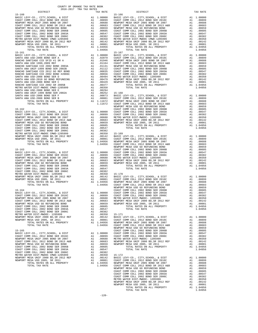| SANTA ANA USD 1999, 2009 REF<br>RANCHO SANTIAGO CCD 2002 BOND 2003A        | A1 .01164 COAST C<br>A1 .01131 NEWPORT<br>A1 .01131 COAST C<br>A1 .00835 COAST C<br>A1 .00656 COAST C<br>A1 .00494 METRO W<br>A1 .00499 NEWPORT<br>A1 .00429 NEWPORT<br>A1 .00377<br>A1 .00377<br>A1 .00252 15-168<br>A1 .00252 15-168<br>A1 .00025 BA                     |                    |
|----------------------------------------------------------------------------|----------------------------------------------------------------------------------------------------------------------------------------------------------------------------------------------------------------------------------------------------------------------------|--------------------|
| SANTA ANA UNIF-1999 BOND SER 2002B                                         |                                                                                                                                                                                                                                                                            |                    |
| RANCHO SANTIAGO CCD 2012 GO REF BOND                                       |                                                                                                                                                                                                                                                                            |                    |
| RANCHO SANTIAGO CCD 2002 BOND #2006C<br>SANTA ANA USD-2008 BOND SER D      |                                                                                                                                                                                                                                                                            |                    |
| SANTA ANA USD-2010 GO BOND REFUNDING                                       |                                                                                                                                                                                                                                                                            |                    |
| SANTA ANA USD-2008 BOND SER C                                              |                                                                                                                                                                                                                                                                            |                    |
| RANCHO SANTIAGO CCD 2002 SR 2005B                                          |                                                                                                                                                                                                                                                                            |                    |
| METRO WATER DIST-MWDOC CMWD-1205999                                        |                                                                                                                                                                                                                                                                            |                    |
| SANTA ANA USD-2008 BOND SER E<br>SANTA ANA UNIF-1999 BOND SER 2002A        |                                                                                                                                                                                                                                                                            |                    |
| SANTA ANA USD-2008 BOND SER F                                              |                                                                                                                                                                                                                                                                            |                    |
| SANTA ANA USD-2008 BOND SER B                                              |                                                                                                                                                                                                                                                                            |                    |
| TOTAL RATES ON ALL PROPERTY                                                |                                                                                                                                                                                                                                                                            |                    |
| TOTAL TAX RATE<br>$15 - 162$                                               |                                                                                                                                                                                                                                                                            | NEWPORT<br>COAST C |
|                                                                            |                                                                                                                                                                                                                                                                            |                    |
|                                                                            |                                                                                                                                                                                                                                                                            |                    |
|                                                                            |                                                                                                                                                                                                                                                                            |                    |
|                                                                            |                                                                                                                                                                                                                                                                            |                    |
|                                                                            |                                                                                                                                                                                                                                                                            |                    |
|                                                                            |                                                                                                                                                                                                                                                                            |                    |
|                                                                            |                                                                                                                                                                                                                                                                            |                    |
|                                                                            |                                                                                                                                                                                                                                                                            |                    |
|                                                                            |                                                                                                                                                                                                                                                                            |                    |
|                                                                            |                                                                                                                                                                                                                                                                            |                    |
|                                                                            |                                                                                                                                                                                                                                                                            |                    |
|                                                                            |                                                                                                                                                                                                                                                                            | NEWPORT            |
| $15 - 163$                                                                 |                                                                                                                                                                                                                                                                            | COAST C            |
|                                                                            |                                                                                                                                                                                                                                                                            |                    |
|                                                                            |                                                                                                                                                                                                                                                                            |                    |
|                                                                            |                                                                                                                                                                                                                                                                            |                    |
|                                                                            |                                                                                                                                                                                                                                                                            |                    |
|                                                                            |                                                                                                                                                                                                                                                                            |                    |
|                                                                            |                                                                                                                                                                                                                                                                            |                    |
|                                                                            |                                                                                                                                                                                                                                                                            |                    |
|                                                                            |                                                                                                                                                                                                                                                                            |                    |
|                                                                            |                                                                                                                                                                                                                                                                            |                    |
|                                                                            |                                                                                                                                                                                                                                                                            |                    |
|                                                                            |                                                                                                                                                                                                                                                                            | NEWPORT            |
|                                                                            |                                                                                                                                                                                                                                                                            |                    |
|                                                                            |                                                                                                                                                                                                                                                                            |                    |
|                                                                            |                                                                                                                                                                                                                                                                            |                    |
|                                                                            |                                                                                                                                                                                                                                                                            |                    |
|                                                                            |                                                                                                                                                                                                                                                                            |                    |
|                                                                            |                                                                                                                                                                                                                                                                            |                    |
|                                                                            |                                                                                                                                                                                                                                                                            |                    |
|                                                                            |                                                                                                                                                                                                                                                                            |                    |
|                                                                            |                                                                                                                                                                                                                                                                            |                    |
|                                                                            |                                                                                                                                                                                                                                                                            |                    |
|                                                                            | NEW PORT<br>200899 COAST C<br>20089 COAST C<br>20089 COAST C<br>20088 METRO W<br>200688 METRO W<br>200689 MEWPORT<br>200659 NEWPORT<br>200659<br>200892<br>20082<br>20082<br>20082<br>20082<br>20082<br>20082<br>20082<br>20082<br>20082<br>20082<br>20082<br>20082<br>200 | NEWPORT            |
| $15 - 165$<br>BASIC LEVY-CO., CITY, SCHOOL, & DIST                         |                                                                                                                                                                                                                                                                            |                    |
| COAST COMM COLL 2012 BOND SER 2016C                                        |                                                                                                                                                                                                                                                                            |                    |
| NEWPORT MESA UNIF 2005 BOND SR 2007                                        |                                                                                                                                                                                                                                                                            |                    |
| COAST COMM COLL 2012 BOND SR 2013 A&B                                      |                                                                                                                                                                                                                                                                            |                    |
| NEWPORT MESA USD GO REFUNDING BOND                                         |                                                                                                                                                                                                                                                                            |                    |
| COAST COMM COLL 2002 BOND SER 2006B<br>COAST COMM COLL 2002 BOND SER 2003A |                                                                                                                                                                                                                                                                            |                    |
| COAST COMM COLL 2002 BOND SER 2006C                                        |                                                                                                                                                                                                                                                                            |                    |
| METRO WATER DIST-MWDOC CMWD-1205999                                        |                                                                                                                                                                                                                                                                            |                    |
| NEWPORT MESA UNIF 2000 BD, SR 2012 REF<br>MEMBORT MECA HCD 2005 CD 2011    |                                                                                                                                                                                                                                                                            |                    |
|                                                                            |                                                                                                                                                                                                                                                                            |                    |

| NEWPORT MESA UNIF 2005 BOND SR 2007   | A1             | .00688     | NEWPORT    |
|---------------------------------------|----------------|------------|------------|
| COAST COMM COLL 2012 BOND SR 2013 A&B | A1             | .00683     | COAST C    |
| NEWPORT MESA USD GO REFUNDING BOND    | A1             | .00659     | NEWPORT    |
| COAST COMM COLL 2002 BOND SER 2006B   | A1             | .00605     | COAST C    |
| COAST COMM COLL 2002 BOND SER 2003A   | A1             | .00547     | COAST C    |
| COAST COMM COLL 2002 BOND SER 2006C   | A1             | .00382     | COAST C    |
| METRO WATER DIST-MWDOC CMWD-1205999   | A1             | .00350     | METRO W    |
| NEWPORT MESA UNIF 2000 BD.SR 2012 REF | A1             | .00142     | NEWPORT    |
| NEWPORT MESA USD 2005, SR 2011        |                | A1.00001   | NEWPORT    |
| TOTAL RATES ON ALL PROPERTY           |                | A1 1.04956 |            |
| TOTAL TAX RATE                        |                | 1.04956    |            |
| $15 - 161$                            |                |            | $15 - 167$ |
| BASIC LEVY-CO., CITY, SCHOOL, & DIST  |                | A1 1.00000 | BASIC L    |
| SANTA ANA USD-2008 BOND SER A         |                | A1.02079   | COAST C    |
| RANCHO SANTIAGO CCD SFID #1 SR A      | A1             | .01946     | NEWPORT    |
| SANTA ANA USD 1999.2009 REF           | A <sub>1</sub> | .01164     | COAST C    |

DISTRICT TAX RATE DISTRICT TAX RATE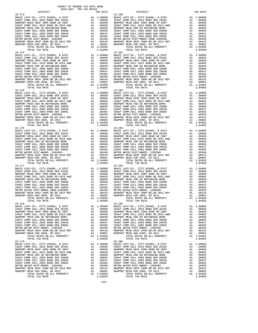| $15 - 174$                                                                 |          |                       | $15 - 181$         |
|----------------------------------------------------------------------------|----------|-----------------------|--------------------|
|                                                                            |          |                       |                    |
|                                                                            |          |                       |                    |
|                                                                            |          |                       |                    |
|                                                                            |          |                       |                    |
|                                                                            |          |                       |                    |
|                                                                            |          |                       |                    |
|                                                                            |          |                       |                    |
|                                                                            |          |                       |                    |
|                                                                            |          |                       |                    |
|                                                                            |          |                       |                    |
|                                                                            |          |                       |                    |
| TOTAL TAX RATE<br>$15 - 175$                                               |          | 1.04956               | $15 - 182$         |
|                                                                            |          |                       |                    |
|                                                                            |          |                       |                    |
|                                                                            |          |                       |                    |
|                                                                            |          |                       |                    |
|                                                                            |          |                       |                    |
|                                                                            |          |                       |                    |
|                                                                            |          |                       |                    |
|                                                                            |          |                       |                    |
|                                                                            |          |                       |                    |
|                                                                            |          |                       |                    |
|                                                                            |          |                       |                    |
|                                                                            |          |                       |                    |
| $15 - 176$                                                                 |          |                       | $15 - 183$         |
|                                                                            |          |                       |                    |
|                                                                            |          |                       |                    |
|                                                                            |          |                       |                    |
|                                                                            |          |                       |                    |
|                                                                            |          |                       |                    |
|                                                                            |          |                       |                    |
|                                                                            |          |                       |                    |
|                                                                            |          |                       |                    |
|                                                                            |          |                       |                    |
|                                                                            |          |                       |                    |
| TOTAL RATES ON ALL PROPERTY                                                |          | A1 1.04956            |                    |
| TOTAL TAX RATE                                                             |          | 1.04956               |                    |
| $15 - 177$                                                                 |          |                       | $15 - 184$         |
|                                                                            |          |                       |                    |
|                                                                            |          |                       |                    |
|                                                                            |          |                       |                    |
|                                                                            |          |                       |                    |
|                                                                            |          |                       |                    |
|                                                                            |          |                       |                    |
|                                                                            |          |                       |                    |
|                                                                            |          |                       |                    |
|                                                                            |          |                       |                    |
| TOTAL RATES ON ALL PROPERTY                                                |          | A1 1.04956            |                    |
| TOTAL TAX RATE                                                             |          | 1.04956               |                    |
| $15 - 178$                                                                 |          |                       | $15 - 185$         |
|                                                                            |          |                       |                    |
|                                                                            |          |                       |                    |
|                                                                            |          |                       |                    |
|                                                                            |          |                       |                    |
|                                                                            |          |                       |                    |
|                                                                            |          |                       |                    |
|                                                                            |          |                       |                    |
|                                                                            |          |                       |                    |
|                                                                            |          |                       |                    |
|                                                                            |          |                       |                    |
|                                                                            |          |                       |                    |
| TOTAL TAX RATE                                                             |          | 1.04956               |                    |
| $15 - 179$                                                                 |          |                       | 15-186             |
| BASIC LEVY-CO., CITY, SCHOOL, & DIST                                       | A1       | 1.00000               | BASIC L            |
| COAST COMM COLL 2012 BOND SER 2016C<br>NEWPORT MESA UNIF 2005 BOND SR 2007 | A1       | .00899                | COAST C            |
| COAST COMM COLL 2012 BOND SR 2013 A&B                                      | A1<br>A1 | .00688<br>.00683      | NEWPORT<br>COAST C |
| NEWPORT MESA USD GO REFUNDING BOND                                         | A1       | .00659                | NEWPORT            |
| COAST COMM COLL 2002 BOND SER 2006B                                        | A1       | .00605                | COAST C            |
| COAST COMM COLL 2002 BOND SER 2003A                                        | A1       | .00547                | COAST C            |
| COAST COMM COLL 2002 BOND SER 2006C                                        | A1       | .00382                | COAST C            |
| METRO WATER DIST-MWDOC- 1205999                                            | A1       | .00350                | METRO W            |
| NEWPORT MESA UNIF 2000 BD, SR 2012 REF                                     | A1       | .00142                | NEWPORT            |
| NEWPORT MESA USD 2005, SR 2011                                             |          |                       |                    |
|                                                                            | A1       | .00001                | NEWPORT            |
| TOTAL RATES ON ALL PROPERTY<br>TOTAL TAX RATE                              |          | A1 1.04956<br>1.04956 |                    |

| レエウエルエニエ | TWV WITH | ---------- |         | TWV WITH |
|----------|----------|------------|---------|----------|
|          |          |            |         |          |
|          |          |            |         |          |
|          |          |            |         |          |
|          |          |            |         |          |
|          |          |            |         |          |
|          |          |            |         |          |
|          |          |            |         |          |
|          |          |            |         |          |
|          |          |            |         |          |
|          |          |            |         |          |
|          |          |            |         |          |
|          |          |            |         |          |
|          |          |            |         |          |
|          |          |            |         |          |
|          |          |            |         |          |
|          |          |            |         |          |
|          |          |            |         |          |
|          |          |            |         |          |
|          |          |            |         |          |
|          |          |            |         |          |
|          |          |            |         |          |
|          |          |            |         |          |
|          |          |            |         |          |
|          |          |            |         |          |
|          |          |            |         |          |
|          |          |            |         |          |
|          |          |            |         |          |
|          |          |            |         |          |
|          |          |            |         |          |
|          |          |            |         |          |
|          |          |            |         |          |
|          |          |            |         |          |
|          |          |            |         |          |
|          |          |            |         |          |
|          |          |            |         |          |
|          |          |            |         |          |
|          |          |            |         |          |
|          |          |            |         |          |
|          |          |            |         |          |
|          |          |            |         |          |
|          |          |            |         |          |
|          |          |            |         |          |
|          |          |            |         |          |
|          |          |            |         |          |
|          |          |            |         |          |
|          |          |            |         |          |
|          |          |            |         |          |
|          |          |            |         |          |
|          |          |            |         |          |
|          |          |            |         |          |
|          |          |            |         |          |
|          |          |            |         |          |
|          |          |            |         |          |
|          |          |            |         |          |
|          |          |            |         |          |
|          |          |            |         |          |
|          |          |            |         |          |
|          |          |            |         |          |
|          |          |            |         |          |
|          |          |            |         |          |
|          |          |            |         |          |
|          |          |            |         |          |
|          |          |            |         |          |
|          |          |            |         |          |
|          |          |            |         |          |
|          |          |            |         |          |
|          |          |            |         |          |
|          |          |            |         |          |
|          |          |            |         |          |
|          |          |            |         |          |
|          |          |            |         |          |
|          |          |            |         |          |
|          |          |            |         |          |
|          |          |            |         |          |
|          |          |            |         |          |
|          |          |            |         |          |
|          |          |            |         |          |
|          |          |            |         |          |
|          |          |            |         |          |
|          |          |            |         |          |
|          |          |            |         |          |
|          |          |            |         |          |
|          |          |            |         |          |
|          |          |            |         |          |
|          |          |            |         |          |
|          |          |            |         |          |
|          |          |            |         |          |
|          |          |            |         |          |
|          |          |            |         |          |
|          |          |            |         |          |
|          |          |            |         |          |
|          |          |            |         |          |
|          |          |            |         |          |
|          |          |            |         |          |
|          |          |            |         |          |
|          |          |            |         |          |
|          |          |            |         |          |
|          |          |            |         |          |
|          |          |            | 1.04956 |          |

COUNTY OF ORANGE TAX RATE BOOK<br>2016-2017 TRA TAX RATES DISTRICT DISTRICT TAX RATE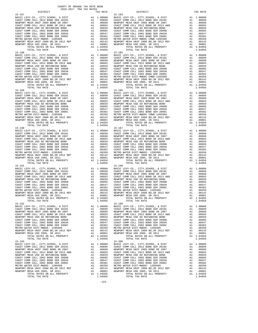15-193 15-200

 DISTRICT TAX RATE DISTRICT TAX RATE  $\begin{tabular}{cccccccc} 15-197 & 15-194 & 1.00000 & BR3TCE VY-C0., CITY, SCHOOL, & E DIST & A1 & 1.00000 & BR3TCE VY-C0., CITY, SCHOOL, & E DIST & A1 & 1.00000 & 10-100000 & 10-100000 & 10-100000 & 10-100000 & 10-100000 & 10-100000 & 10-100000 & 10-100000 & 10-100000 & 10-100000 & 10-10$  15-188 15-195 BASIC LEVY-CO., CITY,SCHOOL, & DIST A1 1.00000<br>
COAST COMM COLL 2012 BOND SER 2016C A1 .00899 COAST COMM COLL 2012 BOND SER 2016C A1 .00899 COAST COMM COLL 2012 BOND SER 2016C A1 .00899 NEWPORT MESA UNIF 2005 BOND SR 2007 A1 .00688 NEWPORT MESA UNIF 2005 BOND SR 2007 A1 .00688 COAST COMM COLL 2012 BOND SR 2013 A&B A1 .00683 COAST COMM COLL 2012 BOND SR 2013 A&B A1 .00683 NEWPORT MESA USD GO REFUNDING BOND SER 2006 PER 2006 PER 2006 PER 2006 COAST COMM COLL 2002 BOND SER 2006 PCOAST COMM COLL 2002 BOND SER 2006 PCOAST COMM COLL 2002 BOND SER 2006 COAST COMM COLL 2002 BOND SER 2006 COAST COM  $\begin{tabular}{cccc} 1.04956 \\ 15-189 & 1.04956 \\ 15-189 & 1.04956 \\ 15-180 & 1.00000 \\ 15-180 & 1.00000 \\ 15-180 & 1.00000 \\ 15-180 & 1.00000 \\ 15-180 & 1.00000 \\ 15-180 & 1.00000 \\ 15-180 & 1.00000 \\ 15-180 & 1.00000 \\ 15-180 & 1.00000 \\ 15-180 & 1.00000$  COAST COMM COLL 2012 BOND SR 2013 A&B A1 .00683 COAST COMM COLL 2012 BOND SR 2013 A&B A1 .00683 NEWPORT MESA USD GO REFUNDING BOND A1 .00659 NEWPORT MESA USD GO REFUNDING BOND A1 .00659 COAST COMM COLL 2002 BOND SER 2006B A1 .00605 COAST COMM COLL 2002 BOND SER 2006B A1 .00605 COAST COMM COLL 2002 BOND SER 2003A A1 .00547 COAST COMM COLL 2002 BOND SER 2003A A1 .00547 COAST COMM COLL 2002 BOND SER 2006C A1 .00382 COAST COMM COLL 2002 BOND SER 2006C A1 .00382 METRO WATER DIST-MWDOC- 1205999 A1 .00350 METRO WATER DIST-MWDOC- 1205999 A1 .00350 NEWPORT MESA UNIF 2000 BD,SR 2012 REF A1 .00142 NEWPORT MESA UNIF 2000 BD,SR 2012 REF A1 .00142 NEWPORT MESA USD 2005, SR 2011 A1 .00001 NEWPORT MESA USD 2005, SR 2011 A1 .00001 TOTAL RATES ON ALL PROPERTY A1 1.04956 TOTAL RATES ON ALL PROPERTY A1 1.04956 TOTAL TAX RATE 1.04956 TOTAL TAX RATE 1.04956  $\begin{tabular}{ c| c| c|c|c|c} \hline 15-191 & 15-198 & 15-198 & 15-198 & 15-198 & 15-198 & 15-198 & 15-198 & 15-198 & 15-198 & 15-198 & 15-198 & 15-198 & 15-198 & 15-198 & 15-198 & 15-198 & 15-198 & 15-198 & 15-198 & 15-198 & 15-198 & 15-198 & 15-198 & 15-198$  $\begin{tabular}{ c| c| c|c|c|c|c} \hline \texttt{COAST COM M COLL 2012 BOND SER 2016C} & \texttt{A1} & .00899 & \texttt{COAST COM M COLL 2012 BOND SER 2016C} & \texttt{A1} & .00899 \\ \hline \texttt{NEWPORT MESA UNF 2015 BOND SR 2007 & \texttt{A1} & .00688 & \texttt{NENPORT MESA UNF 2005 BOND OR E7 2007 & \texttt{A1} & .00688 \\ \hline \texttt{CQAST COMM COLL 2012 BOND SR 2007 & \$  BASIC LEVY-CO., CITY,SCHOOL, & DIST A1 1.00000 BASIC LEVY-CO., CITY,SCHOOL, & DIST A1 1.00000 COAST COMM COLL 2012 BOND SER 2016C A1 .00899 COAST COMM COLL 2012 BOND SER 2016C A1 .00899 NEWPORT MESA UNIF 2005 BOND SR 2007 A1 .00688 NEWPORT MESA UNIF 2005 BOND SR 2007 A1 .00688<br>COAST COMM COLL 2012 BOND SR 2013 A&B A1 .00683 COAST COMM COLL 2012 BOND SR 2013 A&B A1 .00683 NEWPORT MESA USD GO REFUNDING BOND A1 .00659 NEWPORT MESA USD GO REFUNDING BOND A1 .00659 COAST COMM COLL 2002 BOND SER 2006B A1 .00605 COAST COMM COLL 2002 BOND SER 2006B A1 .00605 COAST COMM COLL 2002 BOND SER 2003A A1 .00547 COAST COMM COLL 2002 BOND SER 2003A A1 .00547 COAST COMM COLL 2002 BOND SER 2006C A1 .00382 COAST COMM COLL 2002 BOND SER 2006C A1 .00382 METRO WATER DIST-MWDOC- 1205999 A1 .00350 METRO WATER DIST-MWDOC- 1205999 A1 .00350 NEWPORT MESA UNIF 2000 BD,SR 2012 REF A1 .00142 NEWPORT MESA UNIF 2000 BD,SR 2012 REF A1 .00142 NEWPORT MESA USD 2005, SR 2011 A1 .00001 NEWPORT MESA USD 2005, SR 2011 A1 .00001 TOTAL RATES ON ALL PROPERTY A1 1.04956 TOTAL RATES ON ALL PROPERTY A1 1.04956 TOTAL TAX RATE 1.04956 TOTAL TAX RATE 1.04956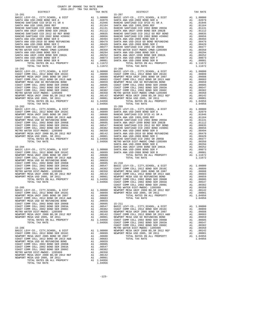| TOTAL TAX RATE                                                             |          | 1.11672              |                    |
|----------------------------------------------------------------------------|----------|----------------------|--------------------|
| $15 - 202$                                                                 |          |                      | $15 - 208$         |
|                                                                            |          |                      |                    |
|                                                                            |          |                      |                    |
|                                                                            |          |                      |                    |
|                                                                            |          |                      |                    |
|                                                                            |          |                      |                    |
|                                                                            |          |                      |                    |
|                                                                            |          |                      |                    |
|                                                                            |          |                      |                    |
|                                                                            |          |                      |                    |
|                                                                            |          |                      |                    |
| $15 - 203$                                                                 |          |                      | $15 - 209$         |
|                                                                            |          |                      |                    |
|                                                                            |          |                      |                    |
|                                                                            |          |                      |                    |
|                                                                            |          |                      |                    |
|                                                                            |          |                      |                    |
|                                                                            |          |                      |                    |
|                                                                            |          |                      |                    |
|                                                                            |          |                      |                    |
|                                                                            |          |                      |                    |
|                                                                            |          |                      |                    |
|                                                                            |          |                      | SANTA A            |
|                                                                            |          |                      |                    |
|                                                                            |          |                      |                    |
|                                                                            |          |                      |                    |
|                                                                            |          |                      |                    |
|                                                                            |          |                      |                    |
|                                                                            |          |                      |                    |
|                                                                            |          |                      |                    |
|                                                                            |          |                      |                    |
|                                                                            |          |                      |                    |
|                                                                            |          |                      |                    |
|                                                                            |          |                      | COAST C            |
|                                                                            |          |                      |                    |
|                                                                            |          |                      |                    |
|                                                                            |          |                      |                    |
|                                                                            |          |                      |                    |
|                                                                            |          |                      |                    |
|                                                                            |          |                      |                    |
|                                                                            |          |                      |                    |
|                                                                            |          |                      |                    |
|                                                                            |          |                      |                    |
| NEWPORT MESA USD 2005, SR 2011                                             | A1       | .00001               | NEWPORT            |
| TOTAL RATES ON ALL PROPERTY<br>TOTAL TAX RATE                              | A1       | 1.04956<br>1.04956   | COAST C<br>COAST C |
|                                                                            |          |                      | COAST C            |
| $15 - 206$                                                                 |          |                      | METRO W            |
| BASIC LEVY-CO., CITY, SCHOOL, & DIST                                       | A1       | 1.00000              | NEWPORT            |
| COAST COMM COLL 2012 BOND SER 2016C<br>NEWPORT MESA UNIF 2005 BOND SR 2007 | A1<br>A1 | .00899<br>.00688     | NEWPORT            |
| COAST COMM COLL 2012 BOND SR 2013 A&B                                      | A1       | .00683               |                    |
| NEWPORT MESA USD GO REFUNDING BOND                                         | A1       | .00659               |                    |
| COAST COMM COLL 2002 BOND SER 2006B                                        | A1       | .00605               |                    |
| COAST COMM COLL 2002 BOND SER 2003A<br>COAST COMM COLL 2002 BOND SER 2006C | A1<br>A1 | .00547<br>.00382     |                    |
| METRO WATER DIST-MWDOC- 1205999                                            | A1       | .00350               |                    |
| NEWPORT MESA UNIF 2000 BD, SR 2012 REF                                     | A1       | .00142               |                    |
| NEWPORT MESA USD 2005, SR 2011<br>TOTAL RATES ON ALL PROPERTY              | A1       | .00001<br>A1 1.04956 |                    |
| TOTAL TAX RATE                                                             |          | 1.04956              |                    |
|                                                                            |          |                      |                    |

| DISTRICT | AUIU-AUIT IRA IAA RAIBU | TAX RATE | DISTRICT                                                                                                                                                                                                                                | TAX RATE |
|----------|-------------------------|----------|-----------------------------------------------------------------------------------------------------------------------------------------------------------------------------------------------------------------------------------------|----------|
|          |                         |          |                                                                                                                                                                                                                                         |          |
|          |                         |          |                                                                                                                                                                                                                                         |          |
|          |                         |          |                                                                                                                                                                                                                                         |          |
|          |                         |          |                                                                                                                                                                                                                                         |          |
|          |                         |          |                                                                                                                                                                                                                                         |          |
|          |                         |          |                                                                                                                                                                                                                                         |          |
|          |                         |          |                                                                                                                                                                                                                                         |          |
|          |                         |          |                                                                                                                                                                                                                                         |          |
|          |                         |          |                                                                                                                                                                                                                                         |          |
|          |                         |          |                                                                                                                                                                                                                                         |          |
|          |                         |          |                                                                                                                                                                                                                                         |          |
|          |                         |          |                                                                                                                                                                                                                                         |          |
|          |                         |          |                                                                                                                                                                                                                                         |          |
|          |                         |          |                                                                                                                                                                                                                                         |          |
|          |                         |          |                                                                                                                                                                                                                                         |          |
|          |                         |          |                                                                                                                                                                                                                                         |          |
|          |                         |          |                                                                                                                                                                                                                                         |          |
|          |                         |          |                                                                                                                                                                                                                                         |          |
|          |                         |          |                                                                                                                                                                                                                                         |          |
|          |                         |          |                                                                                                                                                                                                                                         |          |
|          |                         |          |                                                                                                                                                                                                                                         |          |
|          |                         |          |                                                                                                                                                                                                                                         |          |
|          |                         |          |                                                                                                                                                                                                                                         |          |
|          |                         |          |                                                                                                                                                                                                                                         |          |
|          |                         |          |                                                                                                                                                                                                                                         |          |
|          |                         |          |                                                                                                                                                                                                                                         |          |
|          |                         |          |                                                                                                                                                                                                                                         |          |
|          |                         |          |                                                                                                                                                                                                                                         |          |
|          |                         |          |                                                                                                                                                                                                                                         |          |
|          |                         |          |                                                                                                                                                                                                                                         |          |
|          |                         |          |                                                                                                                                                                                                                                         |          |
|          |                         |          |                                                                                                                                                                                                                                         |          |
|          |                         |          |                                                                                                                                                                                                                                         |          |
|          |                         |          |                                                                                                                                                                                                                                         |          |
|          |                         |          |                                                                                                                                                                                                                                         |          |
|          |                         |          |                                                                                                                                                                                                                                         |          |
|          |                         |          |                                                                                                                                                                                                                                         |          |
|          |                         |          |                                                                                                                                                                                                                                         |          |
|          |                         |          |                                                                                                                                                                                                                                         |          |
|          |                         |          |                                                                                                                                                                                                                                         |          |
|          |                         |          |                                                                                                                                                                                                                                         |          |
|          |                         |          |                                                                                                                                                                                                                                         |          |
|          |                         |          |                                                                                                                                                                                                                                         |          |
|          |                         |          |                                                                                                                                                                                                                                         |          |
|          |                         |          |                                                                                                                                                                                                                                         |          |
|          |                         |          |                                                                                                                                                                                                                                         |          |
|          |                         |          |                                                                                                                                                                                                                                         |          |
|          |                         |          |                                                                                                                                                                                                                                         |          |
|          |                         |          |                                                                                                                                                                                                                                         |          |
|          |                         |          |                                                                                                                                                                                                                                         |          |
|          |                         |          |                                                                                                                                                                                                                                         |          |
|          |                         |          |                                                                                                                                                                                                                                         |          |
|          |                         |          |                                                                                                                                                                                                                                         |          |
|          |                         |          |                                                                                                                                                                                                                                         |          |
|          |                         |          |                                                                                                                                                                                                                                         |          |
|          |                         |          |                                                                                                                                                                                                                                         |          |
|          |                         |          |                                                                                                                                                                                                                                         |          |
|          |                         |          |                                                                                                                                                                                                                                         |          |
|          |                         |          |                                                                                                                                                                                                                                         |          |
|          |                         |          |                                                                                                                                                                                                                                         |          |
|          |                         |          |                                                                                                                                                                                                                                         |          |
|          |                         |          |                                                                                                                                                                                                                                         |          |
|          |                         |          |                                                                                                                                                                                                                                         |          |
|          |                         |          |                                                                                                                                                                                                                                         |          |
|          |                         |          |                                                                                                                                                                                                                                         |          |
|          |                         |          |                                                                                                                                                                                                                                         |          |
|          |                         |          |                                                                                                                                                                                                                                         |          |
|          |                         |          |                                                                                                                                                                                                                                         |          |
|          |                         |          | NEWFORT MESA UNIT 2005 BOND SR 2007<br>NOESE TOTAL TAX RATES ON ALL PROPERTY<br>NEWFORT MESA USE COAST COMM COLL 2012 BOND SR 2013 A&B<br>COAST COMM COLL 2012 BOND SR 2013 A&B<br>COAST COMM COLL 2012 BOND SR 2013<br>COAST COMM COLL |          |

-123-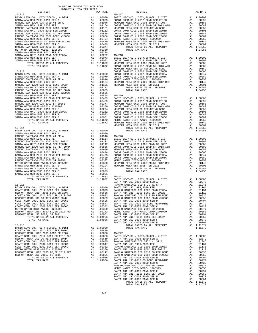|                                                                                                                                                                                               |    |                                                                                                                                                                                                                                                                                                                                                                                                   | NEWPORT                      |
|-----------------------------------------------------------------------------------------------------------------------------------------------------------------------------------------------|----|---------------------------------------------------------------------------------------------------------------------------------------------------------------------------------------------------------------------------------------------------------------------------------------------------------------------------------------------------------------------------------------------------|------------------------------|
| $15 - 213$                                                                                                                                                                                    |    |                                                                                                                                                                                                                                                                                                                                                                                                   | COAST C                      |
|                                                                                                                                                                                               |    |                                                                                                                                                                                                                                                                                                                                                                                                   |                              |
|                                                                                                                                                                                               |    |                                                                                                                                                                                                                                                                                                                                                                                                   |                              |
|                                                                                                                                                                                               |    |                                                                                                                                                                                                                                                                                                                                                                                                   |                              |
|                                                                                                                                                                                               |    |                                                                                                                                                                                                                                                                                                                                                                                                   |                              |
|                                                                                                                                                                                               |    |                                                                                                                                                                                                                                                                                                                                                                                                   |                              |
|                                                                                                                                                                                               |    |                                                                                                                                                                                                                                                                                                                                                                                                   |                              |
|                                                                                                                                                                                               |    |                                                                                                                                                                                                                                                                                                                                                                                                   |                              |
|                                                                                                                                                                                               |    |                                                                                                                                                                                                                                                                                                                                                                                                   |                              |
|                                                                                                                                                                                               |    |                                                                                                                                                                                                                                                                                                                                                                                                   |                              |
|                                                                                                                                                                                               |    |                                                                                                                                                                                                                                                                                                                                                                                                   |                              |
|                                                                                                                                                                                               |    |                                                                                                                                                                                                                                                                                                                                                                                                   |                              |
|                                                                                                                                                                                               |    |                                                                                                                                                                                                                                                                                                                                                                                                   |                              |
|                                                                                                                                                                                               |    |                                                                                                                                                                                                                                                                                                                                                                                                   |                              |
|                                                                                                                                                                                               |    |                                                                                                                                                                                                                                                                                                                                                                                                   |                              |
|                                                                                                                                                                                               |    |                                                                                                                                                                                                                                                                                                                                                                                                   |                              |
|                                                                                                                                                                                               |    |                                                                                                                                                                                                                                                                                                                                                                                                   | NEWPORT                      |
| $15 - 214$                                                                                                                                                                                    |    | $\begin{array}{ccc} \mathbb{A}1 & 1.00000 \\ \mathbb{A}1 & .02079 \\ \mathbb{A}1 & .010 \end{array}$                                                                                                                                                                                                                                                                                              |                              |
| BASIC LEVY-CO., CITY, SCHOOL, & DIST                                                                                                                                                          |    |                                                                                                                                                                                                                                                                                                                                                                                                   |                              |
| SANTA ANA USD-2008 BOND SER A<br>RANCHO SANTIAGO CCD SFID #1 SR A                                                                                                                             |    |                                                                                                                                                                                                                                                                                                                                                                                                   |                              |
| SANTA ANA USD 1999, 2009 REF                                                                                                                                                                  |    | $\begin{tabular}{llllll} \bf A1 & .02079 \\ \bf A1 & .01946 & 15-220 \\ \bf A1 & .01164 & \bf BASIC\ L \\ \bf A1 & .01164 & \bf BASIC\ L \\ \bf A1 & .01112 & \bf NEMPORT\ C \\ \bf A1 & .00835 & \bf COAST\ C \\ \bf A1 & .00656 & \bf NEWPORT \\ \bf A1 & .00494 & \bf COAST\ C \\ \bf A1 & .00479 & \bf COAST\ C \\ \bf A1 & .00429 & \bf COAST\ C \\ \bf A1 & .00377 & \bf METRO OF \\ \bf A$ |                              |
| SANTA ANA USD 1999,2009 REF<br>RANCHO SANTIAGO CCD 2002 BOND 2003A<br>SANCHO SANTIAGO CCD 2012 BOND SER 2002B<br>RANCHO SANTIAGO CCD 2012 GO REF BOND<br>RANCHO SANTIAGO CCD 2002 BOND #2006C |    |                                                                                                                                                                                                                                                                                                                                                                                                   |                              |
|                                                                                                                                                                                               |    |                                                                                                                                                                                                                                                                                                                                                                                                   |                              |
|                                                                                                                                                                                               |    |                                                                                                                                                                                                                                                                                                                                                                                                   |                              |
|                                                                                                                                                                                               |    |                                                                                                                                                                                                                                                                                                                                                                                                   |                              |
| SANTA ANA USD-2008 BOND SER D                                                                                                                                                                 |    |                                                                                                                                                                                                                                                                                                                                                                                                   |                              |
| SANTA ANA USD-2010 GO BOND REFUNDING<br>SANTA ANA USD-2008 BOND SER C                                                                                                                         |    |                                                                                                                                                                                                                                                                                                                                                                                                   |                              |
| RANCHO SANTIAGO CCD 2002 SR 2005B                                                                                                                                                             |    |                                                                                                                                                                                                                                                                                                                                                                                                   |                              |
| METRO WATER DIST-MWDOC CMWD-1205999                                                                                                                                                           |    |                                                                                                                                                                                                                                                                                                                                                                                                   |                              |
| SANTA ANA USD-2008 BOND SER E                                                                                                                                                                 |    |                                                                                                                                                                                                                                                                                                                                                                                                   |                              |
| SANTA ANA UNIF-1999 BOND SER 2002A                                                                                                                                                            |    |                                                                                                                                                                                                                                                                                                                                                                                                   |                              |
| SANTA ANA USD-2008 BOND SER F                                                                                                                                                                 |    | $00252$<br>A1 .00073<br>A1 .00001                                                                                                                                                                                                                                                                                                                                                                 |                              |
| SANTA ANA USD-2008 BOND SER B<br>TOTAL RATES ON ALL PROPERTY                                                                                                                                  |    | A1 1.11672                                                                                                                                                                                                                                                                                                                                                                                        |                              |
| TOTAL TAX RATE                                                                                                                                                                                |    | 1.11672<br>1.11672<br>BASIC L                                                                                                                                                                                                                                                                                                                                                                     |                              |
|                                                                                                                                                                                               |    |                                                                                                                                                                                                                                                                                                                                                                                                   | SANTA A                      |
| $15 - 215$                                                                                                                                                                                    |    |                                                                                                                                                                                                                                                                                                                                                                                                   | RANCHO                       |
|                                                                                                                                                                                               |    |                                                                                                                                                                                                                                                                                                                                                                                                   |                              |
|                                                                                                                                                                                               |    |                                                                                                                                                                                                                                                                                                                                                                                                   |                              |
|                                                                                                                                                                                               |    |                                                                                                                                                                                                                                                                                                                                                                                                   |                              |
|                                                                                                                                                                                               |    |                                                                                                                                                                                                                                                                                                                                                                                                   |                              |
|                                                                                                                                                                                               |    |                                                                                                                                                                                                                                                                                                                                                                                                   |                              |
|                                                                                                                                                                                               |    |                                                                                                                                                                                                                                                                                                                                                                                                   |                              |
|                                                                                                                                                                                               |    |                                                                                                                                                                                                                                                                                                                                                                                                   |                              |
|                                                                                                                                                                                               |    |                                                                                                                                                                                                                                                                                                                                                                                                   |                              |
| NEWPORT MESA UNIF 2000 BD, SR 2012 REF A1<br>NEWPORT MESA USD 2005, SR 2011                                                                                                                   | A1 | .00001                                                                                                                                                                                                                                                                                                                                                                                            | .00142 METRO W<br>SANTA A    |
| TOTAL RATES ON ALL PROPERTY                                                                                                                                                                   |    | A1 1.04956                                                                                                                                                                                                                                                                                                                                                                                        | SANTA A                      |
| TOTAL TAX RATE                                                                                                                                                                                |    | 1.04956                                                                                                                                                                                                                                                                                                                                                                                           | SANTA A<br>SANTA A           |
| $15 - 216$                                                                                                                                                                                    |    |                                                                                                                                                                                                                                                                                                                                                                                                   |                              |
| BASIC LEVY-CO., CITY, SCHOOL, & DIST                                                                                                                                                          |    | A1 1.00000                                                                                                                                                                                                                                                                                                                                                                                        |                              |
| COAST COMM COLL 2012 BOND SER 2016C<br>NEWPORT MESA UNIF 2005 BOND SR 2007                                                                                                                    |    | A1 .00899                                                                                                                                                                                                                                                                                                                                                                                         |                              |
| COAST COMM COLL 2012 BOND SR 2013 A&B                                                                                                                                                         |    | A1 .00688<br>A1 .00683<br>A1 .00659                                                                                                                                                                                                                                                                                                                                                               | 15-222<br>BASIC L            |
| NEWPORT MESA USD GO REFUNDING BOND                                                                                                                                                            |    |                                                                                                                                                                                                                                                                                                                                                                                                   |                              |
| COAST COMM COLL 2002 BOND SER 2006B                                                                                                                                                           |    | A1 .00605                                                                                                                                                                                                                                                                                                                                                                                         | SANTA A<br>RANCHO<br>SANTA A |
| COAST COMM COLL 2002 BOND SER 2003A                                                                                                                                                           |    | A1.00547                                                                                                                                                                                                                                                                                                                                                                                          |                              |
| COAST COMM COLL 2002 BOND SER 2006C                                                                                                                                                           |    | A1 .00382                                                                                                                                                                                                                                                                                                                                                                                         | RANCHO                       |
| METRO WATER DIST-MWDOC- 1205999<br>NEWPORT MESA UNIF 2000 BD, SR 2012 REF                                                                                                                     | A1 | .00350                                                                                                                                                                                                                                                                                                                                                                                            | SANTA A                      |
| NEWPORT MESA USD 2005, SR 2011                                                                                                                                                                |    | A1 .00142 RANCHO<br>A1 .00001 RANCHO<br>A1 1.04956 SANTA A                                                                                                                                                                                                                                                                                                                                        |                              |
| TOTAL RATES ON ALL PROPERTY                                                                                                                                                                   |    |                                                                                                                                                                                                                                                                                                                                                                                                   |                              |

| COUNTY OF ORANGE TAX RATE BOOK<br>2016-2017 TRA TAX RATES                                                                                                                                                                                                                                                                                                 |          |          |          |
|-----------------------------------------------------------------------------------------------------------------------------------------------------------------------------------------------------------------------------------------------------------------------------------------------------------------------------------------------------------|----------|----------|----------|
|                                                                                                                                                                                                                                                                                                                                                           | TAX RATE | DISTRICT | TAX RATE |
|                                                                                                                                                                                                                                                                                                                                                           |          |          |          |
|                                                                                                                                                                                                                                                                                                                                                           |          |          |          |
|                                                                                                                                                                                                                                                                                                                                                           |          |          |          |
|                                                                                                                                                                                                                                                                                                                                                           |          |          |          |
|                                                                                                                                                                                                                                                                                                                                                           |          |          |          |
|                                                                                                                                                                                                                                                                                                                                                           |          |          |          |
|                                                                                                                                                                                                                                                                                                                                                           |          |          |          |
|                                                                                                                                                                                                                                                                                                                                                           |          |          |          |
|                                                                                                                                                                                                                                                                                                                                                           |          |          |          |
|                                                                                                                                                                                                                                                                                                                                                           |          |          |          |
|                                                                                                                                                                                                                                                                                                                                                           |          |          |          |
|                                                                                                                                                                                                                                                                                                                                                           |          |          |          |
|                                                                                                                                                                                                                                                                                                                                                           |          |          |          |
|                                                                                                                                                                                                                                                                                                                                                           |          |          |          |
|                                                                                                                                                                                                                                                                                                                                                           |          |          |          |
|                                                                                                                                                                                                                                                                                                                                                           |          |          |          |
|                                                                                                                                                                                                                                                                                                                                                           |          |          |          |
|                                                                                                                                                                                                                                                                                                                                                           |          |          |          |
|                                                                                                                                                                                                                                                                                                                                                           |          |          |          |
|                                                                                                                                                                                                                                                                                                                                                           |          |          |          |
|                                                                                                                                                                                                                                                                                                                                                           |          |          |          |
|                                                                                                                                                                                                                                                                                                                                                           |          |          |          |
|                                                                                                                                                                                                                                                                                                                                                           |          |          |          |
|                                                                                                                                                                                                                                                                                                                                                           |          |          |          |
|                                                                                                                                                                                                                                                                                                                                                           |          |          |          |
|                                                                                                                                                                                                                                                                                                                                                           |          |          |          |
|                                                                                                                                                                                                                                                                                                                                                           |          |          |          |
|                                                                                                                                                                                                                                                                                                                                                           |          |          |          |
|                                                                                                                                                                                                                                                                                                                                                           |          |          |          |
|                                                                                                                                                                                                                                                                                                                                                           |          |          |          |
|                                                                                                                                                                                                                                                                                                                                                           |          |          |          |
|                                                                                                                                                                                                                                                                                                                                                           |          |          |          |
|                                                                                                                                                                                                                                                                                                                                                           |          |          |          |
|                                                                                                                                                                                                                                                                                                                                                           |          |          |          |
|                                                                                                                                                                                                                                                                                                                                                           |          |          |          |
|                                                                                                                                                                                                                                                                                                                                                           |          |          |          |
|                                                                                                                                                                                                                                                                                                                                                           |          |          |          |
|                                                                                                                                                                                                                                                                                                                                                           |          |          |          |
|                                                                                                                                                                                                                                                                                                                                                           |          |          |          |
|                                                                                                                                                                                                                                                                                                                                                           |          |          |          |
|                                                                                                                                                                                                                                                                                                                                                           |          |          |          |
|                                                                                                                                                                                                                                                                                                                                                           |          |          |          |
|                                                                                                                                                                                                                                                                                                                                                           |          |          |          |
|                                                                                                                                                                                                                                                                                                                                                           |          |          |          |
|                                                                                                                                                                                                                                                                                                                                                           |          |          |          |
|                                                                                                                                                                                                                                                                                                                                                           |          |          |          |
|                                                                                                                                                                                                                                                                                                                                                           |          |          |          |
| $\begin{tabular}{l c c c c c c} \hline NENDORT MESA UNIP-2005 BOND SR 20107\nCDAST COMM COLL 2012 BOND SR 2013 AAB\nCCOMM COLL 2012 BOND SR 2013 AAB\nCDAST COMM COLL 2002 BOND SR 2016\nCDAST COMM COLL 2002 BOND SR 2006B\nRINDP. TORDM. FANDR 2000 BB, SR 2012 BERN 1.00663\nCDAST COMM COLL 2002 BOND SER 2006B\nCDAST COMM COLL 2002 BOND SER 2$     |          |          |          |
|                                                                                                                                                                                                                                                                                                                                                           |          |          |          |
|                                                                                                                                                                                                                                                                                                                                                           |          |          |          |
|                                                                                                                                                                                                                                                                                                                                                           |          |          |          |
|                                                                                                                                                                                                                                                                                                                                                           |          |          |          |
|                                                                                                                                                                                                                                                                                                                                                           |          |          |          |
|                                                                                                                                                                                                                                                                                                                                                           |          |          |          |
|                                                                                                                                                                                                                                                                                                                                                           |          |          |          |
|                                                                                                                                                                                                                                                                                                                                                           |          |          |          |
|                                                                                                                                                                                                                                                                                                                                                           |          |          |          |
|                                                                                                                                                                                                                                                                                                                                                           |          |          |          |
|                                                                                                                                                                                                                                                                                                                                                           |          |          |          |
|                                                                                                                                                                                                                                                                                                                                                           |          |          |          |
|                                                                                                                                                                                                                                                                                                                                                           |          |          |          |
|                                                                                                                                                                                                                                                                                                                                                           |          |          |          |
|                                                                                                                                                                                                                                                                                                                                                           |          |          |          |
| $\begin{tabular}{cccccccc} \textbf{R} \textbf{REV} & \textbf{1.0000} & \textbf{1.00000} & \textbf{1.00000} & \textbf{1.00000} & \textbf{1.00000} & \textbf{1.00000} & \textbf{1.00000} & \textbf{1.00000} & \textbf{1.00000} & \textbf{1.00000} & \textbf{1.00000} & \textbf{1.00000} & \textbf{1.00000} & \textbf{1.00000} & \textbf{1.00000} & \textbf$ |          |          |          |
|                                                                                                                                                                                                                                                                                                                                                           |          |          |          |
|                                                                                                                                                                                                                                                                                                                                                           |          |          |          |
|                                                                                                                                                                                                                                                                                                                                                           |          |          |          |
|                                                                                                                                                                                                                                                                                                                                                           |          |          |          |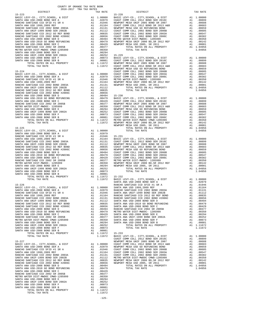| risting matsin pipel rimpog crimp taggaal | $\overline{1}$ | .          |
|-------------------------------------------|----------------|------------|
| SANTA ANA USD-2008 BOND SER E             | A1             | .00294     |
| SANTA ANA UNIF-1999 BOND SER 2002A        | A1             | .00252     |
| SANTA ANA USD-2008 BOND SER F             | A1             | .00073     |
| SANTA ANA USD-2008 BOND SER B             | A1             | .00001     |
| TOTAL RATES ON ALL PROPERTY               |                | A1 1.11672 |
| TOTAL TAX RATE                            |                | 1.11672    |
|                                           |                |            |
| $15 - 227$                                |                |            |
| BASIC LEVY-CO., CITY, SCHOOL, & DIST      |                | A1 1.00000 |
| SANTA ANA USD-2008 BOND SER A             | A1             | .02079     |
| RANCHO SANTIAGO CCD SFID #1 SR A          | A1             | .01946     |
| SANTA ANA USD 1999, 2009 REF              | A1             | .01164     |
| RANCHO SANTIAGO CCD 2002 BOND 2003A       | A1             | .01131     |
| SANTA ANA UNIF-1999 BOND SER 2002B        | A1             | .01112     |
| RANCHO SANTIAGO CCD 2012 GO REF BOND      | A1             | .00835     |
| RANCHO SANTIAGO CCD 2002 BOND #2006C      | A1             | .00656     |
| SANTA ANA USD-2008 BOND SER D             | A1             | .00494     |
| SANTA ANA USD-2010 GO BOND REFUNDING      | A1             | .00479     |
| SANTA ANA USD-2008 BOND SER C             | A1             | .00429     |
| RANCHO SANTIAGO CCD 2002 SR 2005B         | A1             | .00377     |
| METRO WATER DIST-MWDOC CMWD-1205999       | A1             | .00350     |
| SANTA ANA USD-2008 BOND SER E             | A1             | .00294     |
| SANTA ANA UNIF-1999 BOND SER 2002A        | A1             | .00252     |
| SANTA ANA USD-2008 BOND SER F             | A1             | .00073     |
| SANTA ANA USD-2008 BOND SER B             | A1             | .00001     |
| TOTAL RATES ON ALL PROPERTY               |                | A1 1.11672 |
| TOTAL TAX RATE                            |                | 1.11672    |
|                                           |                |            |

-125-

 COUNTY OF ORANGE TAX RATE BOOK 2016-2017 TRA TAX RATES DISTRICT TAX RATE DISTRICT TAX RATE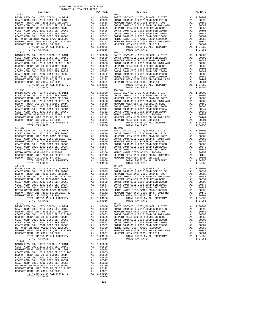| TOTAL TAX RATE                                                                                                                                                                                                                                   |                                                                                                                                                                                                                                                     | 1.04956          |            |
|--------------------------------------------------------------------------------------------------------------------------------------------------------------------------------------------------------------------------------------------------|-----------------------------------------------------------------------------------------------------------------------------------------------------------------------------------------------------------------------------------------------------|------------------|------------|
| $15 - 236$                                                                                                                                                                                                                                       |                                                                                                                                                                                                                                                     |                  | $15 - 244$ |
|                                                                                                                                                                                                                                                  |                                                                                                                                                                                                                                                     |                  |            |
|                                                                                                                                                                                                                                                  |                                                                                                                                                                                                                                                     |                  |            |
|                                                                                                                                                                                                                                                  |                                                                                                                                                                                                                                                     |                  |            |
|                                                                                                                                                                                                                                                  |                                                                                                                                                                                                                                                     |                  |            |
|                                                                                                                                                                                                                                                  |                                                                                                                                                                                                                                                     |                  |            |
|                                                                                                                                                                                                                                                  |                                                                                                                                                                                                                                                     |                  |            |
|                                                                                                                                                                                                                                                  |                                                                                                                                                                                                                                                     |                  |            |
|                                                                                                                                                                                                                                                  |                                                                                                                                                                                                                                                     |                  |            |
|                                                                                                                                                                                                                                                  |                                                                                                                                                                                                                                                     |                  |            |
|                                                                                                                                                                                                                                                  |                                                                                                                                                                                                                                                     |                  |            |
|                                                                                                                                                                                                                                                  |                                                                                                                                                                                                                                                     |                  |            |
| TOTAL TAX RATE                                                                                                                                                                                                                                   |                                                                                                                                                                                                                                                     | 1.04956          |            |
| $15 - 237$                                                                                                                                                                                                                                       |                                                                                                                                                                                                                                                     |                  | $15 - 245$ |
|                                                                                                                                                                                                                                                  |                                                                                                                                                                                                                                                     |                  |            |
|                                                                                                                                                                                                                                                  |                                                                                                                                                                                                                                                     |                  |            |
|                                                                                                                                                                                                                                                  |                                                                                                                                                                                                                                                     |                  |            |
|                                                                                                                                                                                                                                                  |                                                                                                                                                                                                                                                     |                  |            |
|                                                                                                                                                                                                                                                  |                                                                                                                                                                                                                                                     |                  |            |
|                                                                                                                                                                                                                                                  |                                                                                                                                                                                                                                                     |                  |            |
|                                                                                                                                                                                                                                                  |                                                                                                                                                                                                                                                     |                  |            |
|                                                                                                                                                                                                                                                  |                                                                                                                                                                                                                                                     |                  |            |
|                                                                                                                                                                                                                                                  |                                                                                                                                                                                                                                                     |                  |            |
|                                                                                                                                                                                                                                                  |                                                                                                                                                                                                                                                     |                  |            |
|                                                                                                                                                                                                                                                  |                                                                                                                                                                                                                                                     |                  |            |
| TOTAL RATES ON ALL PROPERTY                                                                                                                                                                                                                      |                                                                                                                                                                                                                                                     | A1 1.04956       |            |
| TOTAL TAX RATE<br>$15 - 238$                                                                                                                                                                                                                     |                                                                                                                                                                                                                                                     | 1.04956          |            |
|                                                                                                                                                                                                                                                  |                                                                                                                                                                                                                                                     |                  | $15 - 246$ |
|                                                                                                                                                                                                                                                  |                                                                                                                                                                                                                                                     |                  |            |
|                                                                                                                                                                                                                                                  |                                                                                                                                                                                                                                                     |                  |            |
|                                                                                                                                                                                                                                                  |                                                                                                                                                                                                                                                     |                  |            |
|                                                                                                                                                                                                                                                  |                                                                                                                                                                                                                                                     |                  |            |
|                                                                                                                                                                                                                                                  |                                                                                                                                                                                                                                                     |                  |            |
|                                                                                                                                                                                                                                                  |                                                                                                                                                                                                                                                     |                  |            |
|                                                                                                                                                                                                                                                  |                                                                                                                                                                                                                                                     |                  |            |
|                                                                                                                                                                                                                                                  |                                                                                                                                                                                                                                                     |                  |            |
|                                                                                                                                                                                                                                                  |                                                                                                                                                                                                                                                     |                  |            |
|                                                                                                                                                                                                                                                  |                                                                                                                                                                                                                                                     |                  |            |
|                                                                                                                                                                                                                                                  |                                                                                                                                                                                                                                                     |                  |            |
|                                                                                                                                                                                                                                                  |                                                                                                                                                                                                                                                     |                  |            |
| $15 - 239$                                                                                                                                                                                                                                       | 15-247<br>28 1.00000 BASIC L<br>28 200688 NEWPORT<br>28 21 00683 COAST C<br>28 21 00663 COAST C<br>28 21 00659 COAST COAST<br>21 00659 COAST COAST C<br>21 00350 METRO W<br>27 21 00350 METRO N<br>27 21 00342 NEWPORT<br>27 21 00142 NEWPORT<br>21 |                  | $15 - 247$ |
| BASIC LEVY-CO., CITY, SCHOOL, & DIST COAST COMM COLL 2012 BOND SER 2016C                                                                                                                                                                         |                                                                                                                                                                                                                                                     |                  |            |
| NEWPORT MESA UNIF 2005 BOND SR 2007                                                                                                                                                                                                              |                                                                                                                                                                                                                                                     |                  |            |
| COAST COMM COLL 2012 BOND SR 2013 A&B                                                                                                                                                                                                            |                                                                                                                                                                                                                                                     |                  |            |
| NEWPORT MESA USD GO REFUNDING BOND                                                                                                                                                                                                               |                                                                                                                                                                                                                                                     |                  |            |
|                                                                                                                                                                                                                                                  |                                                                                                                                                                                                                                                     |                  |            |
|                                                                                                                                                                                                                                                  |                                                                                                                                                                                                                                                     |                  |            |
|                                                                                                                                                                                                                                                  |                                                                                                                                                                                                                                                     |                  |            |
| COAST COMM COLL 2002 BOND SER 2006B<br>COAST COMM COLL 2002 BOND SER 2006C<br>COAST COMM COLL 2002 BOND SER 2006C<br>NETRO WATER DIST-MWDOC CMWD-1205999<br>NEWPORT MESA UNIF 2000 BD, SR 2011 REF<br>NEWPORT MESA UNIF 2000 BD, SR 2011<br>NEWP |                                                                                                                                                                                                                                                     |                  |            |
|                                                                                                                                                                                                                                                  |                                                                                                                                                                                                                                                     |                  |            |
|                                                                                                                                                                                                                                                  |                                                                                                                                                                                                                                                     |                  |            |
| TOTAL RATES ON ALL PROPERTY                                                                                                                                                                                                                      |                                                                                                                                                                                                                                                     | A1 1.04956       |            |
| TOTAL TAX RATE                                                                                                                                                                                                                                   |                                                                                                                                                                                                                                                     | 1.04956          |            |
| $15 - 240$                                                                                                                                                                                                                                       |                                                                                                                                                                                                                                                     |                  |            |
| BASIC LEVY-CO., CITY, SCHOOL, & DIST<br>COAST COMM COLL 2012 BOND SER 2016C                                                                                                                                                                      |                                                                                                                                                                                                                                                     | A1 1.00000       |            |
|                                                                                                                                                                                                                                                  | A1                                                                                                                                                                                                                                                  | .00899           |            |
| NEWPORT MESA UNIF 2005 BOND SR 2007                                                                                                                                                                                                              | A1                                                                                                                                                                                                                                                  | .00688           |            |
| COAST COMM COLL 2012 BOND SR 2013 A&B                                                                                                                                                                                                            | A1                                                                                                                                                                                                                                                  | .00683           |            |
| NEWPORT MESA USD GO REFUNDING BOND                                                                                                                                                                                                               | A1                                                                                                                                                                                                                                                  | .00659           |            |
| COAST COMM COLL 2002 BOND SER 2006B                                                                                                                                                                                                              | A1                                                                                                                                                                                                                                                  | .00605           |            |
| COAST COMM COLL 2002 BOND SER 2003A                                                                                                                                                                                                              | A1                                                                                                                                                                                                                                                  | .00547           |            |
| COAST COMM COLL 2002 BOND SER 2006C<br>METRO WATER DIST-MWDOC CMWD-1205999                                                                                                                                                                       | A1                                                                                                                                                                                                                                                  | .00382           |            |
| NEWPORT MESA UNIF 2000 BD, SR 2012 REF                                                                                                                                                                                                           | A1<br>A1                                                                                                                                                                                                                                            | .00350<br>.00142 |            |
| NEWPORT MESA USD 2005, SR 2011                                                                                                                                                                                                                   | A1                                                                                                                                                                                                                                                  | .00001           |            |
| TOTAL RATES ON ALL PROPERTY                                                                                                                                                                                                                      |                                                                                                                                                                                                                                                     | A1 1.04956       |            |
| TOTAL TAX RATE                                                                                                                                                                                                                                   |                                                                                                                                                                                                                                                     | 1.04956          |            |
|                                                                                                                                                                                                                                                  |                                                                                                                                                                                                                                                     |                  |            |

-126-

|                                                                                                                                                                                                                                          | TAX RATE   |
|------------------------------------------------------------------------------------------------------------------------------------------------------------------------------------------------------------------------------------------|------------|
|                                                                                                                                                                                                                                          |            |
|                                                                                                                                                                                                                                          |            |
|                                                                                                                                                                                                                                          |            |
|                                                                                                                                                                                                                                          |            |
|                                                                                                                                                                                                                                          |            |
|                                                                                                                                                                                                                                          |            |
|                                                                                                                                                                                                                                          |            |
|                                                                                                                                                                                                                                          |            |
|                                                                                                                                                                                                                                          |            |
|                                                                                                                                                                                                                                          |            |
|                                                                                                                                                                                                                                          |            |
|                                                                                                                                                                                                                                          |            |
|                                                                                                                                                                                                                                          |            |
|                                                                                                                                                                                                                                          |            |
|                                                                                                                                                                                                                                          |            |
|                                                                                                                                                                                                                                          |            |
|                                                                                                                                                                                                                                          |            |
|                                                                                                                                                                                                                                          |            |
|                                                                                                                                                                                                                                          |            |
|                                                                                                                                                                                                                                          |            |
|                                                                                                                                                                                                                                          |            |
|                                                                                                                                                                                                                                          |            |
|                                                                                                                                                                                                                                          |            |
|                                                                                                                                                                                                                                          |            |
|                                                                                                                                                                                                                                          |            |
|                                                                                                                                                                                                                                          |            |
|                                                                                                                                                                                                                                          |            |
|                                                                                                                                                                                                                                          |            |
|                                                                                                                                                                                                                                          |            |
|                                                                                                                                                                                                                                          |            |
|                                                                                                                                                                                                                                          |            |
|                                                                                                                                                                                                                                          |            |
|                                                                                                                                                                                                                                          |            |
|                                                                                                                                                                                                                                          |            |
|                                                                                                                                                                                                                                          |            |
|                                                                                                                                                                                                                                          |            |
|                                                                                                                                                                                                                                          |            |
|                                                                                                                                                                                                                                          |            |
|                                                                                                                                                                                                                                          |            |
|                                                                                                                                                                                                                                          |            |
|                                                                                                                                                                                                                                          |            |
|                                                                                                                                                                                                                                          |            |
|                                                                                                                                                                                                                                          |            |
|                                                                                                                                                                                                                                          |            |
|                                                                                                                                                                                                                                          |            |
|                                                                                                                                                                                                                                          |            |
|                                                                                                                                                                                                                                          |            |
|                                                                                                                                                                                                                                          |            |
|                                                                                                                                                                                                                                          |            |
|                                                                                                                                                                                                                                          |            |
|                                                                                                                                                                                                                                          |            |
|                                                                                                                                                                                                                                          |            |
|                                                                                                                                                                                                                                          |            |
|                                                                                                                                                                                                                                          |            |
|                                                                                                                                                                                                                                          |            |
|                                                                                                                                                                                                                                          |            |
|                                                                                                                                                                                                                                          |            |
|                                                                                                                                                                                                                                          |            |
|                                                                                                                                                                                                                                          |            |
|                                                                                                                                                                                                                                          |            |
|                                                                                                                                                                                                                                          |            |
|                                                                                                                                                                                                                                          |            |
|                                                                                                                                                                                                                                          |            |
|                                                                                                                                                                                                                                          |            |
|                                                                                                                                                                                                                                          |            |
|                                                                                                                                                                                                                                          | 1.04956    |
|                                                                                                                                                                                                                                          | A1 1.00000 |
| BASIC LEVY-CO., CITY, SCHOOL, & DIST<br>COAST COMM COLL 2012 BOND SER 2016C                                                                                                                                                              | A1.00899   |
| NEWPORT MESA UNIF 2005 BOND SR 2007                                                                                                                                                                                                      | A1 .00688  |
|                                                                                                                                                                                                                                          |            |
|                                                                                                                                                                                                                                          |            |
|                                                                                                                                                                                                                                          |            |
|                                                                                                                                                                                                                                          |            |
|                                                                                                                                                                                                                                          |            |
|                                                                                                                                                                                                                                          |            |
|                                                                                                                                                                                                                                          |            |
|                                                                                                                                                                                                                                          |            |
|                                                                                                                                                                                                                                          | 1.04956    |
| NEWPORT MESA UNIF 2002 BOND SR 2013<br>NEWPORT MESA UNIF 2005 BOND SR 2013 A&B<br>NEWPORT MESA USD GO REFUNDING BOND<br>COAST COMM COLL 2012 BOND SR 2013 A&B<br>NEWPORT MESA USD GO REFUNDING BOND<br>COAST COMM COLL 2002 BOND SRR 200 |            |
|                                                                                                                                                                                                                                          |            |
|                                                                                                                                                                                                                                          |            |
|                                                                                                                                                                                                                                          |            |
|                                                                                                                                                                                                                                          |            |
|                                                                                                                                                                                                                                          |            |
|                                                                                                                                                                                                                                          |            |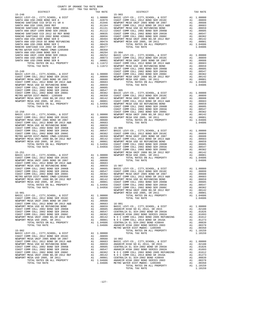| DISTRICT                                                                                                                                     |                                                                                                                                                                                                                                                          | TAX RATE                                                                                                                                                                                                                                                               |                               |
|----------------------------------------------------------------------------------------------------------------------------------------------|----------------------------------------------------------------------------------------------------------------------------------------------------------------------------------------------------------------------------------------------------------|------------------------------------------------------------------------------------------------------------------------------------------------------------------------------------------------------------------------------------------------------------------------|-------------------------------|
| $15 - 248$                                                                                                                                   | 15-903<br>A1 1.00000 BASIC L<br>A1 .02079 COAST C<br>A1 .01946 NEWPORT<br>A1 .01164 COAST C<br>A1 .01114 NEWPORT<br>A1 .01112 COAST C<br>A1 .00655 COAST C<br>A1 .00655 COAST C<br>A1 .00494 NEWPORT<br>A1 .00499 NEWPORT<br>A1 .00377<br>A1 .00377<br>A |                                                                                                                                                                                                                                                                        | $15 - 903$                    |
| BASIC LEVY-CO., CITY, SCHOOL, & DIST<br>SANTA ANA USD-2008 BOND SER A                                                                        |                                                                                                                                                                                                                                                          |                                                                                                                                                                                                                                                                        |                               |
|                                                                                                                                              |                                                                                                                                                                                                                                                          |                                                                                                                                                                                                                                                                        |                               |
| RANCHO SANTIAGO CCD SFID #1 SR A<br>SANTA ANA USD 1999,2009 REF<br>RANCHO SANTIAGO CCD 2002 BOND 2003A<br>RANCHO SANTIAGO COD 2002 BOND 2003 |                                                                                                                                                                                                                                                          |                                                                                                                                                                                                                                                                        |                               |
|                                                                                                                                              |                                                                                                                                                                                                                                                          |                                                                                                                                                                                                                                                                        |                               |
| SANTA ANA UNIF-1999 BOND SER 2002B                                                                                                           |                                                                                                                                                                                                                                                          |                                                                                                                                                                                                                                                                        |                               |
| RANCHO SANTIAGO CCD 2012 GO REF BOND                                                                                                         |                                                                                                                                                                                                                                                          |                                                                                                                                                                                                                                                                        |                               |
| RANCHO SANTIAGO CCD 2012 GO REF BOND<br>RANCHO SANTIAGO CCD 2002 BOND #2006C                                                                 |                                                                                                                                                                                                                                                          |                                                                                                                                                                                                                                                                        |                               |
| SANTA ANA USD-2008 BOND SER D                                                                                                                |                                                                                                                                                                                                                                                          |                                                                                                                                                                                                                                                                        |                               |
| SANTA ANA USD-2010 GO BOND REFUNDING                                                                                                         |                                                                                                                                                                                                                                                          |                                                                                                                                                                                                                                                                        |                               |
| SANTA ANA USD-2008 BOND SER C                                                                                                                |                                                                                                                                                                                                                                                          |                                                                                                                                                                                                                                                                        |                               |
| RANCHO SANTIAGO CCD 2002 SR 2005B                                                                                                            |                                                                                                                                                                                                                                                          |                                                                                                                                                                                                                                                                        |                               |
| METRO WATER DIST-MWDOC CMWD-1205999                                                                                                          |                                                                                                                                                                                                                                                          | Al .00479<br>Al .00429<br>Al .00329<br>Al .00350<br>Al .00294<br>Al .00294<br>Al .00295<br>Al .00252<br>Al .00073<br>COAST C<br>Al .00001<br>COAST COAST<br>Al .00001<br>COAST COAST<br>Al .10101<br>NEWPORT<br>Al 1.11672<br>NEWPORT<br>1.11672<br>NEWPORT<br>COAST C |                               |
| SANTA ANA USD-2008 BOND SER E                                                                                                                |                                                                                                                                                                                                                                                          |                                                                                                                                                                                                                                                                        |                               |
| SANTA ANA UNIF-1999 BOND SER 2002A<br>SANTA ANA USD-2008 BOND SER F                                                                          |                                                                                                                                                                                                                                                          |                                                                                                                                                                                                                                                                        |                               |
| SANTA ANA USD-2008 BOND SER B                                                                                                                |                                                                                                                                                                                                                                                          |                                                                                                                                                                                                                                                                        |                               |
| TOTAL RATES ON ALL PROPERTY                                                                                                                  |                                                                                                                                                                                                                                                          |                                                                                                                                                                                                                                                                        |                               |
| TOTAL TAX RATE                                                                                                                               |                                                                                                                                                                                                                                                          |                                                                                                                                                                                                                                                                        |                               |
|                                                                                                                                              |                                                                                                                                                                                                                                                          |                                                                                                                                                                                                                                                                        |                               |
| $15 - 249$                                                                                                                                   |                                                                                                                                                                                                                                                          |                                                                                                                                                                                                                                                                        | COAST C                       |
|                                                                                                                                              |                                                                                                                                                                                                                                                          |                                                                                                                                                                                                                                                                        |                               |
|                                                                                                                                              |                                                                                                                                                                                                                                                          |                                                                                                                                                                                                                                                                        |                               |
|                                                                                                                                              |                                                                                                                                                                                                                                                          |                                                                                                                                                                                                                                                                        |                               |
|                                                                                                                                              |                                                                                                                                                                                                                                                          |                                                                                                                                                                                                                                                                        |                               |
|                                                                                                                                              |                                                                                                                                                                                                                                                          |                                                                                                                                                                                                                                                                        |                               |
|                                                                                                                                              |                                                                                                                                                                                                                                                          |                                                                                                                                                                                                                                                                        |                               |
|                                                                                                                                              |                                                                                                                                                                                                                                                          |                                                                                                                                                                                                                                                                        |                               |
|                                                                                                                                              |                                                                                                                                                                                                                                                          |                                                                                                                                                                                                                                                                        |                               |
|                                                                                                                                              |                                                                                                                                                                                                                                                          |                                                                                                                                                                                                                                                                        |                               |
|                                                                                                                                              |                                                                                                                                                                                                                                                          |                                                                                                                                                                                                                                                                        |                               |
|                                                                                                                                              |                                                                                                                                                                                                                                                          |                                                                                                                                                                                                                                                                        |                               |
|                                                                                                                                              |                                                                                                                                                                                                                                                          |                                                                                                                                                                                                                                                                        |                               |
|                                                                                                                                              |                                                                                                                                                                                                                                                          |                                                                                                                                                                                                                                                                        | COAST C                       |
| $15 - 250$                                                                                                                                   |                                                                                                                                                                                                                                                          |                                                                                                                                                                                                                                                                        | COAST C                       |
|                                                                                                                                              |                                                                                                                                                                                                                                                          |                                                                                                                                                                                                                                                                        |                               |
|                                                                                                                                              |                                                                                                                                                                                                                                                          |                                                                                                                                                                                                                                                                        |                               |
|                                                                                                                                              |                                                                                                                                                                                                                                                          |                                                                                                                                                                                                                                                                        |                               |
|                                                                                                                                              |                                                                                                                                                                                                                                                          |                                                                                                                                                                                                                                                                        |                               |
|                                                                                                                                              |                                                                                                                                                                                                                                                          |                                                                                                                                                                                                                                                                        |                               |
|                                                                                                                                              |                                                                                                                                                                                                                                                          |                                                                                                                                                                                                                                                                        |                               |
|                                                                                                                                              |                                                                                                                                                                                                                                                          |                                                                                                                                                                                                                                                                        |                               |
|                                                                                                                                              |                                                                                                                                                                                                                                                          |                                                                                                                                                                                                                                                                        |                               |
|                                                                                                                                              |                                                                                                                                                                                                                                                          |                                                                                                                                                                                                                                                                        |                               |
|                                                                                                                                              |                                                                                                                                                                                                                                                          |                                                                                                                                                                                                                                                                        |                               |
|                                                                                                                                              |                                                                                                                                                                                                                                                          |                                                                                                                                                                                                                                                                        |                               |
|                                                                                                                                              |                                                                                                                                                                                                                                                          |                                                                                                                                                                                                                                                                        |                               |
|                                                                                                                                              |                                                                                                                                                                                                                                                          |                                                                                                                                                                                                                                                                        | COAST C                       |
| $15 - 251$<br>BASIC LEVY-CO., CITY, SCHOOL, & DIST                                                                                           | NEWPORT<br>A1 .00000 NEWPORT<br>A1 .00899<br>A1 .00683                                                                                                                                                                                                   |                                                                                                                                                                                                                                                                        |                               |
| BASIC LEVY-CO., CITY,SCHOOL, & DIST<br>COAST COMM COLL 2012 BOND SER 2016C<br>NEWDOPT MESA UNIE 2005 BOND SE 2007                            |                                                                                                                                                                                                                                                          |                                                                                                                                                                                                                                                                        |                               |
| NEWPORT MESA UNIF 2005 BOND SR 2007                                                                                                          |                                                                                                                                                                                                                                                          |                                                                                                                                                                                                                                                                        |                               |
| COAST COMM COLL 2012 BOND SR 2013 A&B                                                                                                        |                                                                                                                                                                                                                                                          |                                                                                                                                                                                                                                                                        |                               |
| NEWPORT MESA USD GO REFUNDING BOND                                                                                                           |                                                                                                                                                                                                                                                          |                                                                                                                                                                                                                                                                        |                               |
| COAST COMM COLL 2002 BOND SER 2006B                                                                                                          |                                                                                                                                                                                                                                                          |                                                                                                                                                                                                                                                                        |                               |
| COAST COMM COLL 2002 BOND SER 2003A                                                                                                          |                                                                                                                                                                                                                                                          |                                                                                                                                                                                                                                                                        |                               |
| COAST COMM COLL 2002 BOND SER 2006C                                                                                                          |                                                                                                                                                                                                                                                          |                                                                                                                                                                                                                                                                        |                               |
| METRO WATER DIST-MWDOC CMWD-1205999<br>METRO WATER DIST-MWDOC CMWD-1205999<br>NEWPORT MESA UNIF 2000 BD, SR 2012 REF                         |                                                                                                                                                                                                                                                          |                                                                                                                                                                                                                                                                        |                               |
|                                                                                                                                              |                                                                                                                                                                                                                                                          |                                                                                                                                                                                                                                                                        |                               |
| NEWPORT MESA USD 2005, SR 2011<br>TOTAL RATES ON ALL PROPERTY                                                                                |                                                                                                                                                                                                                                                          |                                                                                                                                                                                                                                                                        |                               |
| TOTAL TAX RATE                                                                                                                               |                                                                                                                                                                                                                                                          |                                                                                                                                                                                                                                                                        |                               |
|                                                                                                                                              |                                                                                                                                                                                                                                                          |                                                                                                                                                                                                                                                                        |                               |
| 15-901                                                                                                                                       | A1 .00688<br>A1 .00683<br>A1 .00659 15-907<br>A1 .00659 15-907<br>A1 .00659 CASIC L<br>A1 .00597 COAST C<br>A1 .00382 NEWPORT<br>A1 .00350 COAST C<br>A1 .00101 NEWPORT<br>A1 .00101 COAST C<br>A1 1.04956 COAST C<br>1.04956 COAST C<br>NEWPORT<br>NEWP |                                                                                                                                                                                                                                                                        | NEWPORT                       |
| BASIC LEVY-CO., CITY, SCHOOL, & DIST                                                                                                         | A1 1.00000<br>A1 .00899                                                                                                                                                                                                                                  |                                                                                                                                                                                                                                                                        |                               |
| COAST COMM COLL 2012 BOND SER 2016C                                                                                                          |                                                                                                                                                                                                                                                          |                                                                                                                                                                                                                                                                        |                               |
| NEWPORT MESA UNIF 2005 BOND SR 2007                                                                                                          | A1                                                                                                                                                                                                                                                       | .00688                                                                                                                                                                                                                                                                 |                               |
| COAST COMM COLL 2012 BOND SR 2013 A&B                                                                                                        | A1                                                                                                                                                                                                                                                       | .00683                                                                                                                                                                                                                                                                 | $16 - 001$                    |
| NEWPORT MESA USD GO REFUNDING BOND                                                                                                           | A1                                                                                                                                                                                                                                                       | .00659                                                                                                                                                                                                                                                                 | BASIC L                       |
| COAST COMM COLL 2002 BOND SER 2006B                                                                                                          | A1                                                                                                                                                                                                                                                       | .00605                                                                                                                                                                                                                                                                 |                               |
| COAST COMM COLL 2002 BOND SER 2003A<br>COAST COMM COLL 2002 BOND SER 2006C                                                                   | A1                                                                                                                                                                                                                                                       | .00547                                                                                                                                                                                                                                                                 | ANAHEIM<br>CENTRAL<br>ANAHEIM |
| NEWPORT MESA UNIF 2000 BD, SR 2012 REF                                                                                                       |                                                                                                                                                                                                                                                          | A1 .00382<br>A1 .00142                                                                                                                                                                                                                                                 | N O C C                       |
| NEWPORT MESA USD 2005, SR 2011                                                                                                               | A1                                                                                                                                                                                                                                                       | .00001                                                                                                                                                                                                                                                                 | NOCC                          |
| TOTAL RATES ON ALL PROPERTY                                                                                                                  |                                                                                                                                                                                                                                                          | A1 1.04606                                                                                                                                                                                                                                                             | CENTRAL                       |
| TOTAL TAX RATE                                                                                                                               |                                                                                                                                                                                                                                                          | 1.04606                                                                                                                                                                                                                                                                | ANAHEIM                       |
|                                                                                                                                              |                                                                                                                                                                                                                                                          |                                                                                                                                                                                                                                                                        | METRO W                       |
| $15 - 902$                                                                                                                                   |                                                                                                                                                                                                                                                          |                                                                                                                                                                                                                                                                        |                               |
| BASIC LEVY-CO., CITY, SCHOOL, & DIST                                                                                                         | A1                                                                                                                                                                                                                                                       | 1.00000                                                                                                                                                                                                                                                                |                               |
| COAST COMM COLL 2012 BOND SER 2016C                                                                                                          | A1                                                                                                                                                                                                                                                       | .00899                                                                                                                                                                                                                                                                 |                               |
| NEWPORT MESA UNIF 2005 BOND SR 2007                                                                                                          | A1                                                                                                                                                                                                                                                       | .00688                                                                                                                                                                                                                                                                 | 16-002<br>BASIC L             |
| COAST COMM COLL 2012 BOND SR 2013 A&B                                                                                                        | A1                                                                                                                                                                                                                                                       | .00683                                                                                                                                                                                                                                                                 |                               |
| NEWPORT MESA USD GO REFUNDING BOND                                                                                                           | A1                                                                                                                                                                                                                                                       | .00659                                                                                                                                                                                                                                                                 | ANAHEIM                       |
| COAST COMM COLL 2002 BOND SER 2006B<br>COAST COMM COLL 2002 BOND SER 2003A                                                                   | A1                                                                                                                                                                                                                                                       | .00605<br>.00547                                                                                                                                                                                                                                                       | CENTRAL<br>ANAHEIM            |
| COAST COMM COLL 2002 BOND SER 2006C                                                                                                          | A1                                                                                                                                                                                                                                                       | A1.00382                                                                                                                                                                                                                                                               | NOCC                          |
| NEWPORT MESA UNIF 2000 BD, SR 2012 REF                                                                                                       |                                                                                                                                                                                                                                                          | A1 .00142                                                                                                                                                                                                                                                              | NOCC                          |
| NEWPORT MESA USD 2005, SR 2011                                                                                                               |                                                                                                                                                                                                                                                          | A1 .00001 CENTRAL                                                                                                                                                                                                                                                      |                               |
|                                                                                                                                              |                                                                                                                                                                                                                                                          |                                                                                                                                                                                                                                                                        |                               |

| COUNTY OF ORANGE TAX RATE BOOK<br>2016-2017 TRA TAX RATES<br>$2016-2017\begin{array}{lcl} & \text{otherwise} & \text{1AX RATE BC} \\ & 2016-2017 & \text{TRA TAX RATES} \\ \end{array}$                                                                                                                              |          |          |          |
|----------------------------------------------------------------------------------------------------------------------------------------------------------------------------------------------------------------------------------------------------------------------------------------------------------------------|----------|----------|----------|
|                                                                                                                                                                                                                                                                                                                      | TAX RATE | DISTRICT | TAX RATE |
|                                                                                                                                                                                                                                                                                                                      |          |          |          |
|                                                                                                                                                                                                                                                                                                                      |          |          |          |
|                                                                                                                                                                                                                                                                                                                      |          |          |          |
|                                                                                                                                                                                                                                                                                                                      |          |          |          |
|                                                                                                                                                                                                                                                                                                                      |          |          |          |
|                                                                                                                                                                                                                                                                                                                      |          |          |          |
|                                                                                                                                                                                                                                                                                                                      |          |          |          |
|                                                                                                                                                                                                                                                                                                                      |          |          |          |
|                                                                                                                                                                                                                                                                                                                      |          |          |          |
|                                                                                                                                                                                                                                                                                                                      |          |          |          |
|                                                                                                                                                                                                                                                                                                                      |          |          |          |
|                                                                                                                                                                                                                                                                                                                      |          |          |          |
|                                                                                                                                                                                                                                                                                                                      |          |          |          |
|                                                                                                                                                                                                                                                                                                                      |          |          |          |
|                                                                                                                                                                                                                                                                                                                      |          |          |          |
|                                                                                                                                                                                                                                                                                                                      |          |          |          |
|                                                                                                                                                                                                                                                                                                                      |          |          |          |
|                                                                                                                                                                                                                                                                                                                      |          |          |          |
|                                                                                                                                                                                                                                                                                                                      |          |          |          |
|                                                                                                                                                                                                                                                                                                                      |          |          |          |
|                                                                                                                                                                                                                                                                                                                      |          |          |          |
|                                                                                                                                                                                                                                                                                                                      |          |          |          |
|                                                                                                                                                                                                                                                                                                                      |          |          |          |
|                                                                                                                                                                                                                                                                                                                      |          |          |          |
|                                                                                                                                                                                                                                                                                                                      |          |          |          |
|                                                                                                                                                                                                                                                                                                                      |          |          |          |
|                                                                                                                                                                                                                                                                                                                      |          |          |          |
|                                                                                                                                                                                                                                                                                                                      |          |          |          |
|                                                                                                                                                                                                                                                                                                                      |          |          |          |
|                                                                                                                                                                                                                                                                                                                      |          |          |          |
|                                                                                                                                                                                                                                                                                                                      |          |          |          |
|                                                                                                                                                                                                                                                                                                                      |          |          |          |
|                                                                                                                                                                                                                                                                                                                      |          |          |          |
|                                                                                                                                                                                                                                                                                                                      |          |          |          |
|                                                                                                                                                                                                                                                                                                                      |          |          |          |
|                                                                                                                                                                                                                                                                                                                      |          |          |          |
|                                                                                                                                                                                                                                                                                                                      |          |          |          |
|                                                                                                                                                                                                                                                                                                                      |          |          |          |
|                                                                                                                                                                                                                                                                                                                      |          |          |          |
|                                                                                                                                                                                                                                                                                                                      |          |          |          |
|                                                                                                                                                                                                                                                                                                                      |          |          |          |
|                                                                                                                                                                                                                                                                                                                      |          |          |          |
|                                                                                                                                                                                                                                                                                                                      |          |          |          |
|                                                                                                                                                                                                                                                                                                                      |          |          |          |
|                                                                                                                                                                                                                                                                                                                      |          |          |          |
|                                                                                                                                                                                                                                                                                                                      |          |          |          |
|                                                                                                                                                                                                                                                                                                                      |          |          |          |
|                                                                                                                                                                                                                                                                                                                      |          |          |          |
|                                                                                                                                                                                                                                                                                                                      |          |          |          |
|                                                                                                                                                                                                                                                                                                                      |          |          |          |
|                                                                                                                                                                                                                                                                                                                      |          |          |          |
|                                                                                                                                                                                                                                                                                                                      |          |          |          |
|                                                                                                                                                                                                                                                                                                                      |          |          |          |
|                                                                                                                                                                                                                                                                                                                      |          |          |          |
| $\begin{tabular}{l c c c c} TUTAL& IAA& \ldots .\\ \hline 15-901 & 100000 & 100010 & 100000 & 100000 & 100000 & 100000 \\ \hline COSAT & COMM & COAST & 0.00000 & 1000000 & 1000000 & 1000000 \\ \hline COSAT & COMM & COAST & 0.0000000 & 100000000 & 10000000 \\ \hline COSAT & COMM & 0.000000000000000000000000$ |          |          |          |
|                                                                                                                                                                                                                                                                                                                      |          |          |          |
|                                                                                                                                                                                                                                                                                                                      |          |          |          |
|                                                                                                                                                                                                                                                                                                                      |          |          |          |
|                                                                                                                                                                                                                                                                                                                      |          |          |          |
|                                                                                                                                                                                                                                                                                                                      |          |          |          |
|                                                                                                                                                                                                                                                                                                                      |          |          |          |
|                                                                                                                                                                                                                                                                                                                      |          |          |          |
|                                                                                                                                                                                                                                                                                                                      |          |          |          |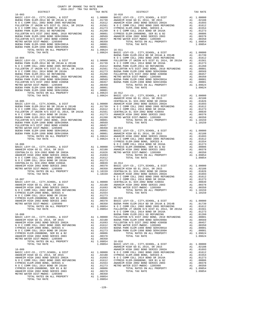| COUNTY OF ORANGE TAX RATE BOOK<br>2016-2017 TRA TAX RATES<br>$2016-2017\quad\text{TRA TAX RATES}\label{eq:2016-2017}$ DISTRICT |          |                                                                                                                                                                                                                                                                                                                                                                                        |           |
|--------------------------------------------------------------------------------------------------------------------------------|----------|----------------------------------------------------------------------------------------------------------------------------------------------------------------------------------------------------------------------------------------------------------------------------------------------------------------------------------------------------------------------------------------|-----------|
|                                                                                                                                | TAX RATE | DISTRICT                                                                                                                                                                                                                                                                                                                                                                               | TAX RATE  |
|                                                                                                                                |          |                                                                                                                                                                                                                                                                                                                                                                                        |           |
|                                                                                                                                |          |                                                                                                                                                                                                                                                                                                                                                                                        |           |
|                                                                                                                                |          |                                                                                                                                                                                                                                                                                                                                                                                        |           |
|                                                                                                                                |          |                                                                                                                                                                                                                                                                                                                                                                                        |           |
|                                                                                                                                |          |                                                                                                                                                                                                                                                                                                                                                                                        |           |
|                                                                                                                                |          |                                                                                                                                                                                                                                                                                                                                                                                        |           |
|                                                                                                                                |          |                                                                                                                                                                                                                                                                                                                                                                                        |           |
|                                                                                                                                |          |                                                                                                                                                                                                                                                                                                                                                                                        |           |
|                                                                                                                                |          |                                                                                                                                                                                                                                                                                                                                                                                        |           |
|                                                                                                                                |          |                                                                                                                                                                                                                                                                                                                                                                                        |           |
|                                                                                                                                |          |                                                                                                                                                                                                                                                                                                                                                                                        |           |
|                                                                                                                                |          |                                                                                                                                                                                                                                                                                                                                                                                        |           |
|                                                                                                                                |          |                                                                                                                                                                                                                                                                                                                                                                                        |           |
|                                                                                                                                |          |                                                                                                                                                                                                                                                                                                                                                                                        |           |
|                                                                                                                                |          |                                                                                                                                                                                                                                                                                                                                                                                        |           |
|                                                                                                                                |          |                                                                                                                                                                                                                                                                                                                                                                                        |           |
|                                                                                                                                |          |                                                                                                                                                                                                                                                                                                                                                                                        |           |
|                                                                                                                                |          |                                                                                                                                                                                                                                                                                                                                                                                        |           |
|                                                                                                                                |          |                                                                                                                                                                                                                                                                                                                                                                                        |           |
|                                                                                                                                |          |                                                                                                                                                                                                                                                                                                                                                                                        |           |
|                                                                                                                                |          |                                                                                                                                                                                                                                                                                                                                                                                        |           |
|                                                                                                                                |          |                                                                                                                                                                                                                                                                                                                                                                                        |           |
|                                                                                                                                |          |                                                                                                                                                                                                                                                                                                                                                                                        |           |
|                                                                                                                                |          |                                                                                                                                                                                                                                                                                                                                                                                        |           |
|                                                                                                                                |          |                                                                                                                                                                                                                                                                                                                                                                                        |           |
|                                                                                                                                |          |                                                                                                                                                                                                                                                                                                                                                                                        |           |
|                                                                                                                                |          |                                                                                                                                                                                                                                                                                                                                                                                        |           |
|                                                                                                                                |          |                                                                                                                                                                                                                                                                                                                                                                                        |           |
|                                                                                                                                |          |                                                                                                                                                                                                                                                                                                                                                                                        |           |
|                                                                                                                                |          |                                                                                                                                                                                                                                                                                                                                                                                        |           |
|                                                                                                                                |          |                                                                                                                                                                                                                                                                                                                                                                                        |           |
|                                                                                                                                |          |                                                                                                                                                                                                                                                                                                                                                                                        |           |
|                                                                                                                                |          |                                                                                                                                                                                                                                                                                                                                                                                        |           |
|                                                                                                                                |          |                                                                                                                                                                                                                                                                                                                                                                                        |           |
|                                                                                                                                |          |                                                                                                                                                                                                                                                                                                                                                                                        |           |
|                                                                                                                                |          |                                                                                                                                                                                                                                                                                                                                                                                        |           |
|                                                                                                                                |          |                                                                                                                                                                                                                                                                                                                                                                                        |           |
|                                                                                                                                |          |                                                                                                                                                                                                                                                                                                                                                                                        |           |
|                                                                                                                                |          |                                                                                                                                                                                                                                                                                                                                                                                        |           |
|                                                                                                                                |          |                                                                                                                                                                                                                                                                                                                                                                                        |           |
|                                                                                                                                |          |                                                                                                                                                                                                                                                                                                                                                                                        |           |
|                                                                                                                                |          |                                                                                                                                                                                                                                                                                                                                                                                        |           |
|                                                                                                                                |          |                                                                                                                                                                                                                                                                                                                                                                                        |           |
|                                                                                                                                |          |                                                                                                                                                                                                                                                                                                                                                                                        |           |
|                                                                                                                                |          |                                                                                                                                                                                                                                                                                                                                                                                        |           |
|                                                                                                                                |          |                                                                                                                                                                                                                                                                                                                                                                                        |           |
|                                                                                                                                |          |                                                                                                                                                                                                                                                                                                                                                                                        |           |
|                                                                                                                                |          |                                                                                                                                                                                                                                                                                                                                                                                        |           |
|                                                                                                                                |          |                                                                                                                                                                                                                                                                                                                                                                                        |           |
|                                                                                                                                |          |                                                                                                                                                                                                                                                                                                                                                                                        |           |
|                                                                                                                                |          |                                                                                                                                                                                                                                                                                                                                                                                        |           |
|                                                                                                                                |          |                                                                                                                                                                                                                                                                                                                                                                                        |           |
|                                                                                                                                |          |                                                                                                                                                                                                                                                                                                                                                                                        |           |
|                                                                                                                                |          |                                                                                                                                                                                                                                                                                                                                                                                        |           |
|                                                                                                                                |          |                                                                                                                                                                                                                                                                                                                                                                                        |           |
|                                                                                                                                |          |                                                                                                                                                                                                                                                                                                                                                                                        |           |
|                                                                                                                                |          |                                                                                                                                                                                                                                                                                                                                                                                        | A1 .01273 |
|                                                                                                                                |          | N O C COMM COLL 2014 BOND SR 2016A<br>BUENA PARK ELEM-2011 GO REFUNDING                                                                                                                                                                                                                                                                                                                |           |
|                                                                                                                                |          |                                                                                                                                                                                                                                                                                                                                                                                        |           |
|                                                                                                                                |          |                                                                                                                                                                                                                                                                                                                                                                                        |           |
|                                                                                                                                |          |                                                                                                                                                                                                                                                                                                                                                                                        |           |
|                                                                                                                                |          |                                                                                                                                                                                                                                                                                                                                                                                        |           |
|                                                                                                                                |          |                                                                                                                                                                                                                                                                                                                                                                                        |           |
|                                                                                                                                |          |                                                                                                                                                                                                                                                                                                                                                                                        |           |
|                                                                                                                                |          |                                                                                                                                                                                                                                                                                                                                                                                        |           |
|                                                                                                                                |          |                                                                                                                                                                                                                                                                                                                                                                                        |           |
|                                                                                                                                |          | $\begin{tabular}{c c c c} $\text{A1}$ & $\text{1.0954}$ & $\text{1.09654}$ & $\text{1.09654}$ \\ \hline $\text{16--09}$ & $\text{1.09654}$ & $\text{1.09654}$ & $\text{1.09654}$ \\ \hline $\text{16--09}$ & $\text{1.09654}$ & $\text{1.09654}$ & $\text{1.09654}$ & $\text{1.09654}$ \\ \hline $\text{16--09}$ & $\text{1.09654}$ & $\text{1.09654}$ & $\text{1.09654}$ & $\text{1.$ |           |
|                                                                                                                                |          |                                                                                                                                                                                                                                                                                                                                                                                        |           |
|                                                                                                                                |          |                                                                                                                                                                                                                                                                                                                                                                                        |           |
|                                                                                                                                |          |                                                                                                                                                                                                                                                                                                                                                                                        |           |
|                                                                                                                                |          |                                                                                                                                                                                                                                                                                                                                                                                        |           |
|                                                                                                                                |          |                                                                                                                                                                                                                                                                                                                                                                                        |           |
|                                                                                                                                |          |                                                                                                                                                                                                                                                                                                                                                                                        |           |
|                                                                                                                                |          |                                                                                                                                                                                                                                                                                                                                                                                        |           |
|                                                                                                                                |          |                                                                                                                                                                                                                                                                                                                                                                                        |           |
|                                                                                                                                |          |                                                                                                                                                                                                                                                                                                                                                                                        |           |
|                                                                                                                                |          |                                                                                                                                                                                                                                                                                                                                                                                        |           |

-128-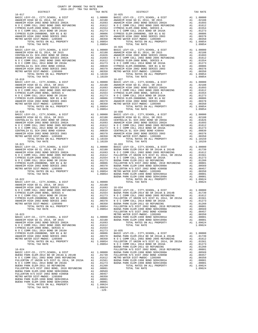| DISTRICT                                           |    | TAX RATE                                                                                             |            |
|----------------------------------------------------|----|------------------------------------------------------------------------------------------------------|------------|
| $16 - 017$                                         |    |                                                                                                      | $16 - 025$ |
|                                                    |    |                                                                                                      |            |
|                                                    |    |                                                                                                      |            |
|                                                    |    |                                                                                                      |            |
|                                                    |    |                                                                                                      |            |
|                                                    |    |                                                                                                      |            |
|                                                    |    |                                                                                                      |            |
|                                                    |    |                                                                                                      |            |
|                                                    |    |                                                                                                      |            |
|                                                    |    |                                                                                                      |            |
| TOTAL TAX RATE                                     |    | 1.09854                                                                                              |            |
| $16 - 018$                                         |    |                                                                                                      | $16 - 026$ |
|                                                    |    |                                                                                                      |            |
|                                                    |    |                                                                                                      |            |
|                                                    |    |                                                                                                      |            |
|                                                    |    |                                                                                                      |            |
|                                                    |    |                                                                                                      |            |
|                                                    |    |                                                                                                      |            |
|                                                    |    |                                                                                                      |            |
|                                                    |    |                                                                                                      |            |
|                                                    |    |                                                                                                      |            |
|                                                    |    |                                                                                                      |            |
| TOTAL TAX RATE<br>16-019                           |    | 1.10159                                                                                              | $16 - 027$ |
|                                                    |    |                                                                                                      |            |
|                                                    |    |                                                                                                      |            |
|                                                    |    |                                                                                                      |            |
|                                                    |    |                                                                                                      |            |
|                                                    |    |                                                                                                      |            |
|                                                    |    |                                                                                                      |            |
|                                                    |    |                                                                                                      |            |
|                                                    |    |                                                                                                      |            |
|                                                    |    |                                                                                                      |            |
|                                                    |    |                                                                                                      |            |
| TOTAL TAX RATE                                     |    | 1.09854                                                                                              |            |
| $16 - 020$                                         |    |                                                                                                      | $16 - 030$ |
|                                                    |    |                                                                                                      |            |
|                                                    |    |                                                                                                      |            |
|                                                    |    |                                                                                                      |            |
|                                                    |    |                                                                                                      |            |
|                                                    |    |                                                                                                      |            |
|                                                    |    |                                                                                                      |            |
|                                                    |    |                                                                                                      |            |
|                                                    |    |                                                                                                      |            |
|                                                    |    |                                                                                                      |            |
| TOTAL TAX RATE                                     |    | 1.10159                                                                                              |            |
|                                                    |    |                                                                                                      |            |
|                                                    |    |                                                                                                      |            |
|                                                    |    |                                                                                                      |            |
|                                                    |    |                                                                                                      |            |
|                                                    |    |                                                                                                      |            |
|                                                    |    |                                                                                                      |            |
|                                                    |    |                                                                                                      |            |
|                                                    |    |                                                                                                      |            |
|                                                    |    |                                                                                                      |            |
|                                                    |    |                                                                                                      |            |
|                                                    |    |                                                                                                      |            |
|                                                    |    |                                                                                                      |            |
| $16 - 022$                                         |    |                                                                                                      | BUENA P    |
|                                                    |    |                                                                                                      |            |
|                                                    |    |                                                                                                      |            |
|                                                    |    |                                                                                                      |            |
|                                                    |    |                                                                                                      |            |
|                                                    |    |                                                                                                      |            |
|                                                    |    |                                                                                                      |            |
|                                                    |    |                                                                                                      |            |
| ANAHEIM HIGH 2002 BOND SERIES 2003                 |    | A1 .00806 FOLDENT<br>A1 .00378 BUENA P<br>A1 .00350 BUENA P<br>A1 1.09854 BUENA P<br>1.09854 BUENA P |            |
| METRO WATER DIST-MWDOC- 1205999                    |    |                                                                                                      |            |
| TOTAL RATES ON ALL PROPERTY<br>TOTAL TAY DATE      |    |                                                                                                      |            |
| TOTAL TAX RATE                                     |    |                                                                                                      |            |
|                                                    |    |                                                                                                      | FULLERT    |
| $16 - 023$<br>BASIC LEVY-CO., CITY, SCHOOL, & DIST |    |                                                                                                      | METRO W    |
|                                                    |    | A1 1.00000 BUENA P<br>A1 .02188 BUENA P                                                              |            |
|                                                    |    |                                                                                                      |            |
|                                                    |    |                                                                                                      |            |
|                                                    |    |                                                                                                      |            |
|                                                    |    |                                                                                                      |            |
|                                                    |    |                                                                                                      |            |
|                                                    |    |                                                                                                      |            |
|                                                    |    |                                                                                                      |            |
|                                                    |    |                                                                                                      |            |
|                                                    |    |                                                                                                      |            |
|                                                    |    |                                                                                                      | BUENA P    |
|                                                    |    |                                                                                                      |            |
|                                                    |    |                                                                                                      |            |
|                                                    |    |                                                                                                      |            |
|                                                    |    |                                                                                                      |            |
|                                                    |    |                                                                                                      |            |
|                                                    |    |                                                                                                      |            |
|                                                    |    |                                                                                                      |            |
|                                                    |    |                                                                                                      |            |
|                                                    |    |                                                                                                      |            |
| METRO WATER DIST-MWDOC- 1205999                    |    | A1 .00350                                                                                            |            |
| BUENA PARK ELEM-1998 BOND SER#2001A                | A1 | .00001                                                                                               |            |
| BUENA PARK ELEM-1998 BOND SER#1999A                |    | A1 .00001<br>A1 .00001                                                                               |            |
| TOTAL RATES ON ALL PROPERTY                        |    | A1 1.09624                                                                                           |            |
| TOTAL TAX RATE                                     |    | 1.09624                                                                                              |            |

-129-

| $16 - 018$ |  | $16 - 026$                                                                                                                                                                       |  |
|------------|--|----------------------------------------------------------------------------------------------------------------------------------------------------------------------------------|--|
|            |  |                                                                                                                                                                                  |  |
|            |  |                                                                                                                                                                                  |  |
|            |  |                                                                                                                                                                                  |  |
|            |  |                                                                                                                                                                                  |  |
|            |  |                                                                                                                                                                                  |  |
|            |  |                                                                                                                                                                                  |  |
|            |  |                                                                                                                                                                                  |  |
|            |  |                                                                                                                                                                                  |  |
|            |  |                                                                                                                                                                                  |  |
|            |  |                                                                                                                                                                                  |  |
|            |  |                                                                                                                                                                                  |  |
|            |  |                                                                                                                                                                                  |  |
| $16 - 019$ |  | $16 - 027$                                                                                                                                                                       |  |
|            |  |                                                                                                                                                                                  |  |
|            |  |                                                                                                                                                                                  |  |
|            |  |                                                                                                                                                                                  |  |
|            |  |                                                                                                                                                                                  |  |
|            |  |                                                                                                                                                                                  |  |
|            |  |                                                                                                                                                                                  |  |
|            |  |                                                                                                                                                                                  |  |
|            |  |                                                                                                                                                                                  |  |
|            |  |                                                                                                                                                                                  |  |
|            |  |                                                                                                                                                                                  |  |
|            |  |                                                                                                                                                                                  |  |
|            |  |                                                                                                                                                                                  |  |
|            |  |                                                                                                                                                                                  |  |
|            |  |                                                                                                                                                                                  |  |
|            |  |                                                                                                                                                                                  |  |
|            |  |                                                                                                                                                                                  |  |
|            |  |                                                                                                                                                                                  |  |
|            |  |                                                                                                                                                                                  |  |
|            |  |                                                                                                                                                                                  |  |
|            |  |                                                                                                                                                                                  |  |
|            |  |                                                                                                                                                                                  |  |
|            |  |                                                                                                                                                                                  |  |
|            |  |                                                                                                                                                                                  |  |
|            |  |                                                                                                                                                                                  |  |
|            |  |                                                                                                                                                                                  |  |
|            |  |                                                                                                                                                                                  |  |
|            |  |                                                                                                                                                                                  |  |
|            |  |                                                                                                                                                                                  |  |
|            |  |                                                                                                                                                                                  |  |
|            |  |                                                                                                                                                                                  |  |
|            |  |                                                                                                                                                                                  |  |
|            |  |                                                                                                                                                                                  |  |
|            |  |                                                                                                                                                                                  |  |
|            |  |                                                                                                                                                                                  |  |
|            |  |                                                                                                                                                                                  |  |
|            |  |                                                                                                                                                                                  |  |
|            |  |                                                                                                                                                                                  |  |
|            |  |                                                                                                                                                                                  |  |
|            |  |                                                                                                                                                                                  |  |
|            |  |                                                                                                                                                                                  |  |
|            |  |                                                                                                                                                                                  |  |
|            |  |                                                                                                                                                                                  |  |
|            |  |                                                                                                                                                                                  |  |
|            |  |                                                                                                                                                                                  |  |
|            |  |                                                                                                                                                                                  |  |
|            |  |                                                                                                                                                                                  |  |
|            |  |                                                                                                                                                                                  |  |
|            |  |                                                                                                                                                                                  |  |
|            |  |                                                                                                                                                                                  |  |
|            |  |                                                                                                                                                                                  |  |
|            |  |                                                                                                                                                                                  |  |
|            |  |                                                                                                                                                                                  |  |
|            |  |                                                                                                                                                                                  |  |
|            |  |                                                                                                                                                                                  |  |
|            |  |                                                                                                                                                                                  |  |
|            |  |                                                                                                                                                                                  |  |
|            |  |                                                                                                                                                                                  |  |
|            |  |                                                                                                                                                                                  |  |
|            |  |                                                                                                                                                                                  |  |
|            |  |                                                                                                                                                                                  |  |
|            |  |                                                                                                                                                                                  |  |
|            |  |                                                                                                                                                                                  |  |
|            |  |                                                                                                                                                                                  |  |
|            |  |                                                                                                                                                                                  |  |
|            |  |                                                                                                                                                                                  |  |
|            |  | $1.09854 \qquad N \qquad C \qquad COMM \qquad COLL \qquad 2014 \qquad BOND \qquad SR \qquad 2016A \qquad \qquad A1 \qquad .01273$<br>BUENA PARK ELEM-2011 GO REFUNDING A1 .01260 |  |
|            |  | BUENA PARK ELEM-2011 GO REFUNDING                                                                                                                                                |  |
| $16 - 024$ |  |                                                                                                                                                                                  |  |
|            |  |                                                                                                                                                                                  |  |
|            |  |                                                                                                                                                                                  |  |
|            |  |                                                                                                                                                                                  |  |
|            |  |                                                                                                                                                                                  |  |
|            |  |                                                                                                                                                                                  |  |
|            |  |                                                                                                                                                                                  |  |
|            |  |                                                                                                                                                                                  |  |
|            |  |                                                                                                                                                                                  |  |
|            |  |                                                                                                                                                                                  |  |

COUNTY OF ORANGE TAX RATE BOOK<br>2016-2017 TRA TAX RATES DISTRICT DISTRICT TAX RATE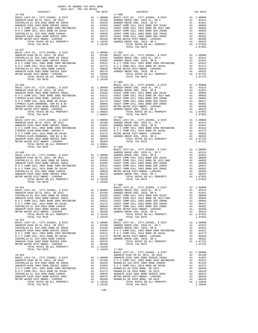| COUNTY OF ORANGE TAX RATE BOOK<br>2016-2017 TRA TAX RATES<br>$2016-2017\begin{array}{lcl} & \text{square} & \text{IAX RATE BC} \\ \text{PISTRICT} & & \\ \end{array}$ | TAX RATE | DISTRICT   | TAX RATE |
|-----------------------------------------------------------------------------------------------------------------------------------------------------------------------|----------|------------|----------|
| $16 - 036$                                                                                                                                                            |          | $17 - 000$ |          |
|                                                                                                                                                                       |          |            |          |
|                                                                                                                                                                       |          |            |          |
|                                                                                                                                                                       |          |            |          |
|                                                                                                                                                                       |          |            |          |
|                                                                                                                                                                       |          |            |          |
|                                                                                                                                                                       |          |            |          |
|                                                                                                                                                                       |          |            |          |
|                                                                                                                                                                       |          |            |          |
| $16 - 037$                                                                                                                                                            |          |            |          |
|                                                                                                                                                                       |          |            |          |
|                                                                                                                                                                       |          |            |          |
|                                                                                                                                                                       |          |            |          |
|                                                                                                                                                                       |          |            |          |
|                                                                                                                                                                       |          |            |          |
|                                                                                                                                                                       |          |            |          |
|                                                                                                                                                                       |          |            |          |
|                                                                                                                                                                       |          | $17 - 002$ |          |
|                                                                                                                                                                       |          |            |          |
|                                                                                                                                                                       |          |            |          |
|                                                                                                                                                                       |          |            |          |
|                                                                                                                                                                       |          |            |          |
|                                                                                                                                                                       |          |            |          |
|                                                                                                                                                                       |          |            |          |
|                                                                                                                                                                       |          |            |          |
|                                                                                                                                                                       |          |            |          |
|                                                                                                                                                                       |          |            |          |
|                                                                                                                                                                       |          |            |          |
|                                                                                                                                                                       |          |            |          |
|                                                                                                                                                                       |          |            |          |
|                                                                                                                                                                       |          |            |          |
|                                                                                                                                                                       |          |            |          |
|                                                                                                                                                                       |          |            |          |
|                                                                                                                                                                       |          |            |          |
|                                                                                                                                                                       |          |            |          |
|                                                                                                                                                                       |          |            |          |
|                                                                                                                                                                       |          |            |          |
|                                                                                                                                                                       |          |            |          |
|                                                                                                                                                                       |          |            |          |
|                                                                                                                                                                       |          |            |          |
|                                                                                                                                                                       |          |            |          |
|                                                                                                                                                                       |          |            |          |
|                                                                                                                                                                       |          |            |          |
|                                                                                                                                                                       |          |            |          |
|                                                                                                                                                                       |          |            |          |
|                                                                                                                                                                       |          |            |          |
|                                                                                                                                                                       |          |            |          |
|                                                                                                                                                                       |          |            |          |
|                                                                                                                                                                       |          |            |          |
|                                                                                                                                                                       |          |            |          |
|                                                                                                                                                                       |          |            |          |
|                                                                                                                                                                       |          |            |          |
|                                                                                                                                                                       |          |            |          |
|                                                                                                                                                                       |          |            |          |
|                                                                                                                                                                       |          |            |          |
|                                                                                                                                                                       |          |            |          |
|                                                                                                                                                                       |          |            |          |
|                                                                                                                                                                       |          |            |          |
|                                                                                                                                                                       |          |            |          |
|                                                                                                                                                                       |          |            |          |
|                                                                                                                                                                       |          |            |          |
|                                                                                                                                                                       |          |            |          |
|                                                                                                                                                                       |          |            |          |
|                                                                                                                                                                       |          |            |          |
|                                                                                                                                                                       |          |            |          |
|                                                                                                                                                                       |          |            |          |
|                                                                                                                                                                       |          |            |          |
|                                                                                                                                                                       |          |            |          |
|                                                                                                                                                                       |          |            |          |
|                                                                                                                                                                       |          |            |          |
|                                                                                                                                                                       |          |            |          |
|                                                                                                                                                                       |          |            |          |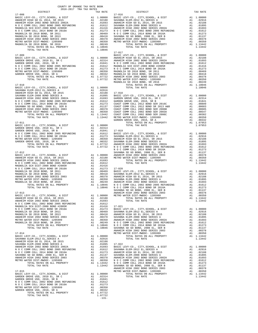| COUNTY OF ORANGE TAX RATE BOOK<br>2016-2017 TRA TAX RATES                                                                                                                                                                                                                                                                                                                                                                |    |                                                                                                                                                  |                 |
|--------------------------------------------------------------------------------------------------------------------------------------------------------------------------------------------------------------------------------------------------------------------------------------------------------------------------------------------------------------------------------------------------------------------------|----|--------------------------------------------------------------------------------------------------------------------------------------------------|-----------------|
| DISTRICT<br>$17 - 008$                                                                                                                                                                                                                                                                                                                                                                                                   |    | TAX RATE                                                                                                                                         | $17 - 016$      |
|                                                                                                                                                                                                                                                                                                                                                                                                                          |    |                                                                                                                                                  |                 |
|                                                                                                                                                                                                                                                                                                                                                                                                                          |    |                                                                                                                                                  |                 |
|                                                                                                                                                                                                                                                                                                                                                                                                                          |    |                                                                                                                                                  |                 |
|                                                                                                                                                                                                                                                                                                                                                                                                                          |    |                                                                                                                                                  |                 |
|                                                                                                                                                                                                                                                                                                                                                                                                                          |    |                                                                                                                                                  |                 |
|                                                                                                                                                                                                                                                                                                                                                                                                                          |    |                                                                                                                                                  |                 |
|                                                                                                                                                                                                                                                                                                                                                                                                                          |    |                                                                                                                                                  |                 |
|                                                                                                                                                                                                                                                                                                                                                                                                                          |    |                                                                                                                                                  |                 |
|                                                                                                                                                                                                                                                                                                                                                                                                                          |    |                                                                                                                                                  |                 |
|                                                                                                                                                                                                                                                                                                                                                                                                                          |    |                                                                                                                                                  |                 |
|                                                                                                                                                                                                                                                                                                                                                                                                                          |    |                                                                                                                                                  |                 |
| TOTAL TAX RATE                                                                                                                                                                                                                                                                                                                                                                                                           |    | 1.10046                                                                                                                                          |                 |
| $\begin{tabular}{l c c c c c} \multicolumn{1}{c}{\textbf{17--009}} & $\hspace{0.1cm} \multicolumn{1}{c}{\textbf{18-51--017}} & $\hspace{0.1cm} \multicolumn{1}{c}{\textbf{18-12--017}}\\ \multicolumn{1}{c}{\textbf{BASIC L }} & $\hspace{0.1cm}$ & $\hspace{0.1cm}$ & $\hspace{0.1cm}$ & $\hspace{0.1cm}$ & $\hspace{0.1cm}$ & $\hspace{0.1cm}$ & $\hspace{0.1cm}$ & $\hspace{0.1cm}$ & $\hspace{0.1cm}$ & $\hspace{0.$ |    |                                                                                                                                                  | $17 - 017$      |
|                                                                                                                                                                                                                                                                                                                                                                                                                          |    |                                                                                                                                                  |                 |
|                                                                                                                                                                                                                                                                                                                                                                                                                          |    |                                                                                                                                                  |                 |
|                                                                                                                                                                                                                                                                                                                                                                                                                          |    |                                                                                                                                                  |                 |
|                                                                                                                                                                                                                                                                                                                                                                                                                          |    |                                                                                                                                                  |                 |
|                                                                                                                                                                                                                                                                                                                                                                                                                          |    |                                                                                                                                                  |                 |
|                                                                                                                                                                                                                                                                                                                                                                                                                          |    |                                                                                                                                                  |                 |
|                                                                                                                                                                                                                                                                                                                                                                                                                          |    |                                                                                                                                                  |                 |
|                                                                                                                                                                                                                                                                                                                                                                                                                          |    |                                                                                                                                                  |                 |
|                                                                                                                                                                                                                                                                                                                                                                                                                          |    |                                                                                                                                                  | MAGNOLI         |
| $17 - 010$                                                                                                                                                                                                                                                                                                                                                                                                               |    |                                                                                                                                                  |                 |
| BASIC LEVY-CO., CITY, SCHOOL, & DIST $A1$ 1.00000<br>BASIC LEVY-CO., CITY, SCHOOL, & DIST                                                                                                                                                                                                                                                                                                                                |    |                                                                                                                                                  |                 |
|                                                                                                                                                                                                                                                                                                                                                                                                                          |    |                                                                                                                                                  |                 |
|                                                                                                                                                                                                                                                                                                                                                                                                                          |    |                                                                                                                                                  |                 |
|                                                                                                                                                                                                                                                                                                                                                                                                                          |    |                                                                                                                                                  |                 |
|                                                                                                                                                                                                                                                                                                                                                                                                                          |    |                                                                                                                                                  |                 |
|                                                                                                                                                                                                                                                                                                                                                                                                                          |    |                                                                                                                                                  |                 |
|                                                                                                                                                                                                                                                                                                                                                                                                                          |    |                                                                                                                                                  |                 |
|                                                                                                                                                                                                                                                                                                                                                                                                                          |    |                                                                                                                                                  |                 |
|                                                                                                                                                                                                                                                                                                                                                                                                                          |    |                                                                                                                                                  |                 |
|                                                                                                                                                                                                                                                                                                                                                                                                                          |    |                                                                                                                                                  |                 |
|                                                                                                                                                                                                                                                                                                                                                                                                                          |    |                                                                                                                                                  |                 |
|                                                                                                                                                                                                                                                                                                                                                                                                                          |    |                                                                                                                                                  | GARDEN          |
|                                                                                                                                                                                                                                                                                                                                                                                                                          |    |                                                                                                                                                  |                 |
|                                                                                                                                                                                                                                                                                                                                                                                                                          |    |                                                                                                                                                  |                 |
|                                                                                                                                                                                                                                                                                                                                                                                                                          |    |                                                                                                                                                  |                 |
|                                                                                                                                                                                                                                                                                                                                                                                                                          |    |                                                                                                                                                  |                 |
|                                                                                                                                                                                                                                                                                                                                                                                                                          |    |                                                                                                                                                  |                 |
|                                                                                                                                                                                                                                                                                                                                                                                                                          |    |                                                                                                                                                  |                 |
|                                                                                                                                                                                                                                                                                                                                                                                                                          |    |                                                                                                                                                  |                 |
|                                                                                                                                                                                                                                                                                                                                                                                                                          |    |                                                                                                                                                  |                 |
|                                                                                                                                                                                                                                                                                                                                                                                                                          |    |                                                                                                                                                  |                 |
| 17-012                                                                                                                                                                                                                                                                                                                                                                                                                   |    |                                                                                                                                                  | NOCC<br>SAVANNA |
|                                                                                                                                                                                                                                                                                                                                                                                                                          |    |                                                                                                                                                  |                 |
|                                                                                                                                                                                                                                                                                                                                                                                                                          |    |                                                                                                                                                  |                 |
|                                                                                                                                                                                                                                                                                                                                                                                                                          |    |                                                                                                                                                  |                 |
|                                                                                                                                                                                                                                                                                                                                                                                                                          |    |                                                                                                                                                  |                 |
|                                                                                                                                                                                                                                                                                                                                                                                                                          |    |                                                                                                                                                  |                 |
|                                                                                                                                                                                                                                                                                                                                                                                                                          |    |                                                                                                                                                  |                 |
|                                                                                                                                                                                                                                                                                                                                                                                                                          |    |                                                                                                                                                  |                 |
|                                                                                                                                                                                                                                                                                                                                                                                                                          |    |                                                                                                                                                  |                 |
|                                                                                                                                                                                                                                                                                                                                                                                                                          |    |                                                                                                                                                  |                 |
|                                                                                                                                                                                                                                                                                                                                                                                                                          |    |                                                                                                                                                  |                 |
|                                                                                                                                                                                                                                                                                                                                                                                                                          |    |                                                                                                                                                  |                 |
|                                                                                                                                                                                                                                                                                                                                                                                                                          |    |                                                                                                                                                  |                 |
|                                                                                                                                                                                                                                                                                                                                                                                                                          |    |                                                                                                                                                  |                 |
| $17 - 013$                                                                                                                                                                                                                                                                                                                                                                                                               |    |                                                                                                                                                  | ANAHEIM         |
|                                                                                                                                                                                                                                                                                                                                                                                                                          |    |                                                                                                                                                  |                 |
|                                                                                                                                                                                                                                                                                                                                                                                                                          |    |                                                                                                                                                  |                 |
|                                                                                                                                                                                                                                                                                                                                                                                                                          |    |                                                                                                                                                  |                 |
|                                                                                                                                                                                                                                                                                                                                                                                                                          |    |                                                                                                                                                  |                 |
| N O C COMM COLL 2014 BOND SR 2016A                                                                                                                                                                                                                                                                                                                                                                                       |    | A1 .01273                                                                                                                                        | BASIC L         |
| MAGNOLIA SD 2010 BOND, SR 2011                                                                                                                                                                                                                                                                                                                                                                                           |    | A1 .00469 SAVANNA<br>A1 .00469 SAVANNA<br>A1 .00418 ANAHELM<br>A1 .00378 SAVANNA<br>A1 .00350 ANAHELM<br>A1 .00249 N O C C<br>A1 1.10046 SAVANNA |                 |
| MAGNOLIA SD 2010 BOND, SR 2013                                                                                                                                                                                                                                                                                                                                                                                           |    |                                                                                                                                                  |                 |
| ANAHEIM HIGH 2002 BOND SERIES 2003                                                                                                                                                                                                                                                                                                                                                                                       |    |                                                                                                                                                  |                 |
| METRO WATER DIST-MWDOC- 1205999<br>EXECUTE DESCRIPTION OF TRANSPORTER SD 2010 BOND, SR 2016<br>TOTAL RATES ON ALL PROPERTY<br>MAGNOLIA SD 2010 BOND, SR 2016                                                                                                                                                                                                                                                             |    |                                                                                                                                                  |                 |
|                                                                                                                                                                                                                                                                                                                                                                                                                          |    |                                                                                                                                                  |                 |
| TOTAL TAX RATE                                                                                                                                                                                                                                                                                                                                                                                                           |    |                                                                                                                                                  |                 |
|                                                                                                                                                                                                                                                                                                                                                                                                                          |    |                                                                                                                                                  | ANAHEIM         |
| $17 - 014$                                                                                                                                                                                                                                                                                                                                                                                                               |    |                                                                                                                                                  | METRO W         |
| ${\tt BASIC~LEVY-CO.} \hbox{, CITY, SCHOOL, & \tt DIST} \hbox{A1 \hskip -3pt 1.00000}$                                                                                                                                                                                                                                                                                                                                   |    |                                                                                                                                                  |                 |
|                                                                                                                                                                                                                                                                                                                                                                                                                          |    |                                                                                                                                                  |                 |
|                                                                                                                                                                                                                                                                                                                                                                                                                          |    |                                                                                                                                                  |                 |
|                                                                                                                                                                                                                                                                                                                                                                                                                          |    |                                                                                                                                                  |                 |
|                                                                                                                                                                                                                                                                                                                                                                                                                          |    |                                                                                                                                                  |                 |
|                                                                                                                                                                                                                                                                                                                                                                                                                          |    |                                                                                                                                                  |                 |
|                                                                                                                                                                                                                                                                                                                                                                                                                          |    |                                                                                                                                                  |                 |
|                                                                                                                                                                                                                                                                                                                                                                                                                          |    |                                                                                                                                                  |                 |
|                                                                                                                                                                                                                                                                                                                                                                                                                          |    |                                                                                                                                                  |                 |
|                                                                                                                                                                                                                                                                                                                                                                                                                          |    |                                                                                                                                                  |                 |
|                                                                                                                                                                                                                                                                                                                                                                                                                          |    |                                                                                                                                                  |                 |
|                                                                                                                                                                                                                                                                                                                                                                                                                          |    |                                                                                                                                                  | ANAHEIM         |
| $17 - 015$<br>BASIC LEVY-CO., CITY, SCHOOL, & DIST                                                                                                                                                                                                                                                                                                                                                                       |    |                                                                                                                                                  | METRO W         |
| GARDEN GROVE USD, 2010 EL, SR C                                                                                                                                                                                                                                                                                                                                                                                          |    | $A1 \quad 1.00000$                                                                                                                               |                 |
| GARDEN GROVE USD, 2010, SR B                                                                                                                                                                                                                                                                                                                                                                                             |    | A1 .02314<br>A1 .01841                                                                                                                           |                 |
| N O C COMM COLL 2002 BOND 2005 REFUNDING A1 .01612                                                                                                                                                                                                                                                                                                                                                                       |    |                                                                                                                                                  |                 |
|                                                                                                                                                                                                                                                                                                                                                                                                                          | A1 | .01273                                                                                                                                           |                 |
| N O C COMM COLL 2002 BOND SR 2016A<br>N O C COMM COLL 2014 BOND SR 2016A<br>-- PIOT MADOC- 1205999                                                                                                                                                                                                                                                                                                                       | A1 | .00350                                                                                                                                           |                 |
| GARDEN GROVE USD, 2010, SR A<br>GROVE USD, 2010, SR A<br>TOTAL RATES ON ALL PROPERTY                                                                                                                                                                                                                                                                                                                                     | A1 | .00332                                                                                                                                           |                 |
|                                                                                                                                                                                                                                                                                                                                                                                                                          |    | A1 1.07722                                                                                                                                       |                 |
| TOTAL TAX RATE                                                                                                                                                                                                                                                                                                                                                                                                           |    | 1.07722<br>$-131-$                                                                                                                               |                 |
|                                                                                                                                                                                                                                                                                                                                                                                                                          |    |                                                                                                                                                  |                 |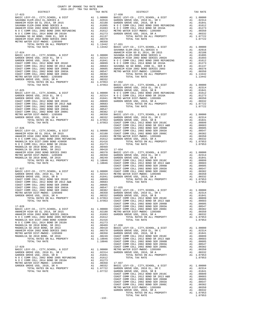| COUNTY OF ORANGE TAX RATE BOOK<br>2016-2017 TRA TAX RATES                      |                                                                                     |                                                                                                    |  |
|--------------------------------------------------------------------------------|-------------------------------------------------------------------------------------|----------------------------------------------------------------------------------------------------|--|
| DISTRICT                                                                       |                                                                                     | TAX RATE                                                                                           |  |
| $17 - 023$                                                                     |                                                                                     | $17 - 030$                                                                                         |  |
|                                                                                |                                                                                     |                                                                                                    |  |
|                                                                                |                                                                                     |                                                                                                    |  |
|                                                                                |                                                                                     |                                                                                                    |  |
|                                                                                |                                                                                     |                                                                                                    |  |
|                                                                                |                                                                                     |                                                                                                    |  |
|                                                                                |                                                                                     |                                                                                                    |  |
|                                                                                |                                                                                     |                                                                                                    |  |
|                                                                                |                                                                                     |                                                                                                    |  |
|                                                                                |                                                                                     |                                                                                                    |  |
|                                                                                |                                                                                     | SAVANNA                                                                                            |  |
|                                                                                |                                                                                     |                                                                                                    |  |
|                                                                                |                                                                                     |                                                                                                    |  |
|                                                                                |                                                                                     |                                                                                                    |  |
|                                                                                |                                                                                     |                                                                                                    |  |
|                                                                                |                                                                                     |                                                                                                    |  |
|                                                                                |                                                                                     |                                                                                                    |  |
|                                                                                |                                                                                     |                                                                                                    |  |
|                                                                                |                                                                                     |                                                                                                    |  |
|                                                                                |                                                                                     |                                                                                                    |  |
|                                                                                |                                                                                     |                                                                                                    |  |
|                                                                                |                                                                                     |                                                                                                    |  |
|                                                                                |                                                                                     | GARDEN                                                                                             |  |
|                                                                                |                                                                                     |                                                                                                    |  |
|                                                                                |                                                                                     |                                                                                                    |  |
|                                                                                |                                                                                     |                                                                                                    |  |
|                                                                                |                                                                                     |                                                                                                    |  |
|                                                                                |                                                                                     |                                                                                                    |  |
|                                                                                |                                                                                     |                                                                                                    |  |
|                                                                                |                                                                                     |                                                                                                    |  |
|                                                                                |                                                                                     |                                                                                                    |  |
|                                                                                |                                                                                     |                                                                                                    |  |
|                                                                                |                                                                                     |                                                                                                    |  |
|                                                                                |                                                                                     |                                                                                                    |  |
|                                                                                |                                                                                     | COAST C                                                                                            |  |
|                                                                                |                                                                                     |                                                                                                    |  |
|                                                                                |                                                                                     |                                                                                                    |  |
|                                                                                |                                                                                     |                                                                                                    |  |
|                                                                                |                                                                                     |                                                                                                    |  |
|                                                                                |                                                                                     |                                                                                                    |  |
|                                                                                |                                                                                     |                                                                                                    |  |
|                                                                                |                                                                                     |                                                                                                    |  |
|                                                                                |                                                                                     |                                                                                                    |  |
|                                                                                |                                                                                     |                                                                                                    |  |
|                                                                                |                                                                                     |                                                                                                    |  |
|                                                                                |                                                                                     |                                                                                                    |  |
|                                                                                |                                                                                     | COAST C                                                                                            |  |
| 17-027                                                                         | COAST C<br>A1 1.00000 COAST C<br>A1 .02314 METRO W<br>A1 .01841 GARDEN<br>A1 .00899 |                                                                                                    |  |
| BASIC LEVY-CO., CITY, SCHOOL, & DIST                                           |                                                                                     |                                                                                                    |  |
| GARDEN GROVE USD, 2010 EL, SR C                                                |                                                                                     |                                                                                                    |  |
| GARDEN GROVE USD, 2010, SR B                                                   |                                                                                     |                                                                                                    |  |
|                                                                                |                                                                                     |                                                                                                    |  |
|                                                                                |                                                                                     |                                                                                                    |  |
|                                                                                |                                                                                     |                                                                                                    |  |
|                                                                                |                                                                                     |                                                                                                    |  |
| GARDEN GROVE USD, 2010, SR A                                                   | A1 .00332                                                                           | GARDEN                                                                                             |  |
| TOTAL RATES ON ALL PROPERTY                                                    | A1                                                                                  | 1.07953                                                                                            |  |
| TOTAL TAX RATE                                                                 |                                                                                     | COAST C<br>COAST C<br>1.07953                                                                      |  |
|                                                                                |                                                                                     | COAST C                                                                                            |  |
| $17 - 028$                                                                     |                                                                                     | COAST C                                                                                            |  |
| BASIC LEVY-CO., CITY, SCHOOL, & DIST<br>ANAHEIM HIGH GO EL 2014, SR 2015       |                                                                                     |                                                                                                    |  |
| ANAHEIM HIGH 2002 BOND SERIES 2002A                                            |                                                                                     | A1 1.00000 COAST C<br>A1 .02188 METRO W<br>A1 .01693 GARDEN                                        |  |
| N O C COMM COLL 2002 BOND 2005 REFUNDING                                       | A1                                                                                  | .01612                                                                                             |  |
| MAGNOLIA SCH DIST-2000 BOND #2005R                                             | A1 .01416                                                                           |                                                                                                    |  |
| N O C COMM COLL 2014 BOND SR 2016A                                             | A1 .01273                                                                           |                                                                                                    |  |
| MAGNOLIA SD 2010 BOND, SR 2011<br>MAGNOLIA SD 2010 BOND, SR 2013               |                                                                                     | A1 .00469 17-036<br>A1 .00418 BASIC L                                                              |  |
| ANAHEIM HIGH 2002 BOND SERIES 2003                                             |                                                                                     |                                                                                                    |  |
| METRO WATER DIST-MWDOC- 1205999                                                |                                                                                     |                                                                                                    |  |
| MAGNOLIA SD 2010 BOND, SR 2016                                                 |                                                                                     |                                                                                                    |  |
| TOTAL RATES ON ALL PROPERTY                                                    |                                                                                     | A1 .00378 GARDEN<br>A1 .00350 GARDEN<br>A1 .00249 COAST C<br>A1 1.10046 COAST C<br>1.10046 COAST C |  |
| TOTAL TAX RATE                                                                 |                                                                                     | COAST C                                                                                            |  |
| $17 - 029$                                                                     |                                                                                     | COAST C                                                                                            |  |
| BASIC LEVY-CO., CITY, SCHOOL, & DIST                                           |                                                                                     |                                                                                                    |  |
| GARDEN GROVE USD, 2010 EL, SR C                                                |                                                                                     | A1 1.00000 METROW<br>A1 .02314 GARDEN                                                              |  |
| GARDEN GROVE USD, 2010, SR B                                                   | A1                                                                                  | .01841                                                                                             |  |
| N O C COMM COLL 2002 BOND 2005 REFUNDING<br>N O C COMM COLL 2014 BOND SR 2016A | A1                                                                                  | .01612                                                                                             |  |
| METRO WATER DIST-MWDOC- 1205999                                                | A1 .01273                                                                           |                                                                                                    |  |
| GARDEN GROVE USD, 2010, SR A                                                   |                                                                                     | A1 .00350 17-037<br>A1 .00332 BASIC L                                                              |  |
| TOTAL RATES ON ALL PROPERTY                                                    | A1 1.07722                                                                          | GARDEN                                                                                             |  |
| TOTAL TAX RATE                                                                 |                                                                                     | 1 07722 GARDEN                                                                                     |  |

| 2016-2017 TRA TAX RATES<br>DISTRICT | TAX RATE | DISTRICT   | TAX RATE |
|-------------------------------------|----------|------------|----------|
|                                     |          | $17 - 030$ |          |
|                                     |          |            |          |
|                                     |          |            |          |
|                                     |          |            |          |
|                                     |          |            |          |
|                                     |          |            |          |
|                                     |          |            |          |
|                                     |          |            |          |
|                                     |          |            |          |
|                                     |          |            |          |
|                                     |          |            |          |
|                                     |          |            |          |
|                                     |          |            |          |
|                                     |          |            |          |
|                                     |          |            |          |
|                                     |          |            |          |
|                                     |          |            |          |
|                                     |          |            |          |
|                                     |          |            |          |
|                                     |          |            |          |
|                                     |          |            |          |
|                                     |          |            |          |
|                                     |          |            |          |
|                                     |          |            |          |
|                                     |          |            |          |
|                                     |          |            |          |
|                                     |          |            |          |
|                                     |          |            |          |
|                                     |          |            |          |
|                                     |          |            |          |
|                                     |          |            |          |
|                                     |          |            |          |
|                                     |          |            |          |
|                                     |          |            |          |
|                                     |          |            |          |
|                                     |          |            |          |
|                                     |          |            |          |
|                                     |          |            |          |
|                                     |          |            |          |
|                                     |          |            |          |
|                                     |          |            |          |
|                                     |          |            |          |
|                                     |          |            |          |
|                                     |          |            |          |
|                                     |          |            |          |
|                                     |          |            |          |
|                                     |          |            |          |
|                                     |          |            |          |
|                                     |          |            |          |
|                                     |          |            |          |
|                                     |          |            |          |
|                                     |          |            |          |
|                                     |          |            |          |
|                                     |          |            |          |
|                                     |          |            |          |
|                                     |          |            |          |
|                                     |          |            |          |
|                                     |          |            |          |
|                                     |          |            |          |
|                                     |          |            |          |
|                                     |          |            |          |
|                                     |          |            |          |
|                                     |          |            |          |
|                                     |          |            |          |
|                                     |          |            |          |
|                                     |          |            |          |
|                                     |          |            |          |
|                                     |          |            |          |
|                                     |          |            |          |
|                                     |          |            |          |
|                                     |          |            |          |
|                                     |          |            |          |
|                                     |          |            |          |
|                                     |          |            |          |
|                                     |          |            |          |
|                                     |          |            |          |
|                                     |          |            |          |
|                                     |          |            |          |
|                                     |          |            |          |
|                                     |          |            |          |
|                                     | $-132-$  |            |          |
|                                     |          |            |          |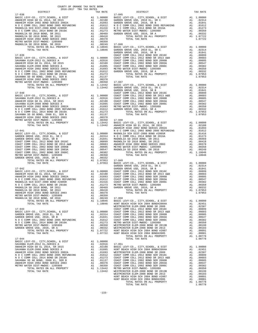| COUNTY OF ORANGE TAX RATE BOOK |          |          |          |
|--------------------------------|----------|----------|----------|
|                                | TAX RATE | DISTRICT | TAX RATE |
|                                |          |          |          |
|                                |          |          |          |
|                                |          |          |          |
|                                |          |          |          |
|                                |          |          |          |
|                                |          |          |          |
|                                |          |          |          |
|                                |          |          |          |
|                                |          |          |          |
|                                |          |          |          |
|                                |          |          |          |
|                                |          |          |          |
|                                |          |          |          |
|                                |          |          |          |
|                                |          |          |          |
|                                |          |          |          |
|                                |          |          |          |
|                                |          |          |          |
|                                |          |          |          |
|                                |          |          |          |
|                                |          |          |          |
|                                |          |          |          |
|                                |          |          |          |
|                                |          |          |          |
|                                |          |          |          |
|                                |          |          |          |
|                                |          |          |          |
|                                |          |          |          |
|                                |          |          |          |
|                                |          |          |          |
|                                |          |          |          |
|                                |          |          |          |
|                                |          |          |          |
|                                |          |          |          |
|                                |          |          |          |
|                                |          |          |          |
|                                |          |          |          |
|                                |          |          |          |
|                                |          |          |          |
|                                |          |          |          |
|                                |          |          |          |
|                                |          |          |          |
|                                |          |          |          |
|                                |          |          |          |
|                                |          |          |          |
|                                |          |          |          |
|                                |          |          |          |
|                                |          |          |          |
|                                |          |          |          |
|                                |          |          |          |
|                                |          |          |          |
|                                |          |          |          |
|                                |          |          |          |
|                                |          |          |          |
|                                |          |          |          |
|                                |          |          |          |
|                                |          |          |          |
|                                |          |          |          |
|                                |          |          |          |
|                                |          |          |          |
|                                |          |          |          |
|                                |          |          |          |
|                                |          |          |          |
|                                |          |          |          |
|                                |          |          |          |
|                                |          |          |          |
|                                |          |          |          |
|                                |          |          |          |
|                                |          |          |          |
|                                |          |          |          |
|                                |          |          |          |
|                                |          |          |          |
|                                |          |          |          |
|                                |          |          |          |
|                                |          |          |          |
|                                |          |          |          |
|                                |          |          |          |
|                                |          |          |          |
|                                |          |          |          |
|                                |          |          |          |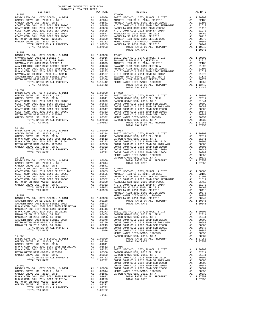| COUNTY OF ORANGE TAX RATE BOOK |          |                |          |
|--------------------------------|----------|----------------|----------|
|                                | TAX RATE | DISTRICT       | TAX RATE |
| $17 - 052$                     |          | $17 - 060$     |          |
|                                |          |                |          |
|                                |          |                |          |
|                                |          |                |          |
|                                |          |                |          |
|                                |          |                |          |
|                                |          | TOTAL TAX RATE | 1.10046  |
|                                |          |                |          |
|                                |          |                |          |
|                                |          |                |          |
|                                |          |                |          |
|                                |          |                |          |
|                                |          |                |          |
|                                |          |                |          |
| $17 - 054$                     |          |                |          |
|                                |          |                |          |
|                                |          |                |          |
|                                |          |                |          |
|                                |          |                |          |
|                                |          |                |          |
|                                |          |                |          |
|                                |          |                |          |
|                                |          |                |          |
|                                |          |                |          |
|                                |          |                |          |
|                                |          |                |          |
|                                |          |                |          |
|                                |          |                |          |
|                                |          |                |          |
|                                |          |                |          |
|                                |          |                |          |
|                                |          |                |          |
|                                |          |                |          |
|                                |          |                |          |
|                                |          |                |          |
|                                |          |                |          |
|                                |          |                |          |
|                                |          |                |          |
|                                |          |                |          |
|                                |          |                |          |
|                                |          |                |          |
|                                |          |                |          |
|                                |          |                |          |
|                                |          |                |          |
|                                |          |                |          |
|                                |          |                |          |
|                                |          |                |          |
|                                |          |                |          |
|                                |          |                |          |
|                                |          |                |          |
|                                |          |                |          |
|                                |          |                |          |
|                                |          |                |          |

-134-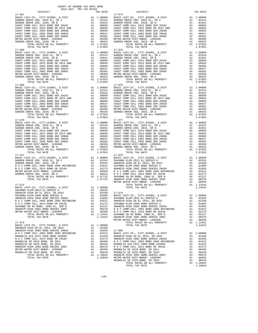| DISTRICT                                        |    | TAX RATE                                                                   |            |
|-------------------------------------------------|----|----------------------------------------------------------------------------|------------|
| $17 - 067$                                      |    |                                                                            | $17 - 074$ |
|                                                 |    |                                                                            |            |
|                                                 |    |                                                                            |            |
|                                                 |    |                                                                            |            |
|                                                 |    |                                                                            |            |
|                                                 |    |                                                                            |            |
|                                                 |    |                                                                            |            |
|                                                 |    |                                                                            |            |
|                                                 |    |                                                                            |            |
|                                                 |    |                                                                            |            |
|                                                 |    |                                                                            |            |
|                                                 |    |                                                                            |            |
|                                                 |    |                                                                            |            |
| TOTAL TAX RATE                                  |    | 1.07953                                                                    |            |
| $17 - 068$                                      |    |                                                                            | $17 - 075$ |
|                                                 |    |                                                                            |            |
|                                                 |    |                                                                            |            |
|                                                 |    |                                                                            |            |
|                                                 |    |                                                                            |            |
|                                                 |    |                                                                            |            |
|                                                 |    |                                                                            |            |
|                                                 |    |                                                                            |            |
|                                                 |    |                                                                            |            |
|                                                 |    |                                                                            |            |
|                                                 |    |                                                                            |            |
|                                                 |    |                                                                            |            |
| TOTAL RATES ON ALL PROPERTY                     |    |                                                                            |            |
| TOTAL TAX RATE                                  |    | 1.07953                                                                    |            |
| $17 - 069$                                      |    |                                                                            | 17-076     |
|                                                 |    |                                                                            |            |
|                                                 |    |                                                                            |            |
|                                                 |    |                                                                            |            |
|                                                 |    |                                                                            |            |
|                                                 |    |                                                                            |            |
|                                                 |    |                                                                            |            |
|                                                 |    |                                                                            |            |
|                                                 |    |                                                                            |            |
|                                                 |    |                                                                            |            |
|                                                 |    |                                                                            |            |
|                                                 |    |                                                                            |            |
| TOTAL RATES ON ALL PROPERTY                     |    |                                                                            |            |
|                                                 |    | 1.07953                                                                    |            |
| TOTAL TAX RATE                                  |    |                                                                            |            |
|                                                 |    |                                                                            |            |
|                                                 |    |                                                                            |            |
|                                                 |    |                                                                            |            |
|                                                 |    |                                                                            |            |
|                                                 |    |                                                                            |            |
|                                                 |    |                                                                            |            |
|                                                 |    |                                                                            |            |
|                                                 |    |                                                                            |            |
|                                                 |    |                                                                            |            |
|                                                 |    |                                                                            |            |
|                                                 |    |                                                                            |            |
|                                                 |    |                                                                            |            |
|                                                 |    |                                                                            |            |
| TOTAL TAX RATE                                  |    | 1.07953                                                                    |            |
| $17 - 071$                                      |    |                                                                            | $17 - 078$ |
|                                                 |    |                                                                            |            |
|                                                 |    |                                                                            |            |
|                                                 |    |                                                                            |            |
|                                                 |    |                                                                            |            |
|                                                 |    |                                                                            |            |
|                                                 |    |                                                                            |            |
|                                                 |    |                                                                            |            |
|                                                 |    |                                                                            |            |
|                                                 |    |                                                                            |            |
|                                                 |    |                                                                            |            |
|                                                 |    |                                                                            | METRO W    |
| 17-072                                          |    |                                                                            |            |
| BASIC LEVY-CO., CITY, SCHOOL, & DIST Al 1.00000 |    |                                                                            |            |
| SAVANNA ELEM-2012 EL, SERIES A                  |    | A1.02916                                                                   |            |
| ANAHEIM HIGH GO EL 2014, SR 2015                |    |                                                                            |            |
| SAVANNA ELEM-2008 BOND SERIES A                 |    |                                                                            |            |
| ANAHEIM HIGH 2002 BOND SERIES 2002A             |    | 11 .02916<br>17-079 02188 17-079<br>11 .01895 BASIC L<br>11 .01693 SAVANNA |            |
| N O C COMM COLL 2002 BOND 2005 REFUNDING        | Al | .01612                                                                     | ANAHEIM    |
| N O C COMM COLL 2014 BOND SR 2016A              | A1 | .01273                                                                     | SAVANNA    |
|                                                 |    |                                                                            | ANAHEIM    |
| SAVANNA SD GO BOND, 2008 EL, SER B              | A1 | .01137                                                                     |            |
| ANAHEIM HIGH 2002 BOND SERIES 2003              | A1 | .00378                                                                     | N O C C    |
| METRO WATER DIST-MWDOC- 1205999                 | A1 | .00350                                                                     | NOCC       |
| TOTAL RATES ON ALL PROPERTY                     |    | A1 1.13442                                                                 | SAVANNA    |
| TOTAL TAX RATE                                  |    | 1.13442                                                                    | ANAHEIM    |
|                                                 |    |                                                                            | METRO W    |
| 17-073                                          |    |                                                                            |            |
| BASIC LEVY-CO., CITY, SCHOOL, & DIST            | A1 | 1.00000                                                                    |            |
| ANAHEIM HIGH GO EL 2014, SR 2015                | A1 | .02188                                                                     |            |
|                                                 |    |                                                                            |            |
| ANAHEIM HIGH 2002 BOND SERIES 2002A             | A1 | .01693                                                                     | $17 - 080$ |
| N O C COMM COLL 2002 BOND 2005 REFUNDING        | A1 | .01612                                                                     | BASIC L    |
| MAGNOLIA SCH DIST-2000 BOND #2005R              | A1 | .01416                                                                     | ANAHEIM    |
| N O C COMM COLL 2014 BOND SR 2016A              | A1 | .01273                                                                     | ANAHEIM    |
| MAGNOLIA SD 2010 BOND, SR 2011                  | A1 | .00469                                                                     | N O C C    |
| MAGNOLIA SD 2010 BOND, SR 2013                  | A1 | .00418                                                                     | MAGNOLI    |
| ANAHEIM HIGH 2002 BOND SERIES 2003              | A1 | .00378                                                                     | N O C C    |
| METRO WATER DIST-MWDOC- 1205999                 |    | $A_{\perp}$ . 00350                                                        | MAGNOLI    |
| MACNOTIA SD 2010 RONTO SD 2016                  |    | <b>CACOO</b>                                                               | MACHIOT T  |

|                |  |  | LIA SD 2010 BOND, SR 2016  |  |
|----------------|--|--|----------------------------|--|
|                |  |  | TOTAL RATES ON ALL PROPERT |  |
| TOTAL TAX RATE |  |  |                            |  |

| TAX RATE<br>DISTRICT                                                                                                                                                                                                                                                                                                                                                                                                                     | DISTRICT | TAX RATE |
|------------------------------------------------------------------------------------------------------------------------------------------------------------------------------------------------------------------------------------------------------------------------------------------------------------------------------------------------------------------------------------------------------------------------------------------|----------|----------|
|                                                                                                                                                                                                                                                                                                                                                                                                                                          |          |          |
|                                                                                                                                                                                                                                                                                                                                                                                                                                          |          |          |
|                                                                                                                                                                                                                                                                                                                                                                                                                                          |          |          |
|                                                                                                                                                                                                                                                                                                                                                                                                                                          |          |          |
|                                                                                                                                                                                                                                                                                                                                                                                                                                          |          |          |
|                                                                                                                                                                                                                                                                                                                                                                                                                                          |          |          |
| $\begin{tabular}{c cccc} TOTAL MILB & \multicolumn{3}{c}{\begin{tabular}{c} TOTAL MILB} \end{tabular} & TOTAL MILB & TOTAL MILB & TOTAL MILB & TOTAL MILB & TOTAL MILB & TOTAL MILB & TOTAL MILB & TOTAL MILB & TOTAL MILB & TOTAL MILB & TOTAL MILB & TOTAL MILB & TOTAL MILB & TOTAL MILB & TOTAL MILB & TOTAL MILB & TOTAL MILB & TOTAL MILB & TOTAL MILB & TOTAL MILB & TOTAL MILB & TOTAL MILB & TOTAL MILB & TOTAL MILB & TOTAL M$ |          |          |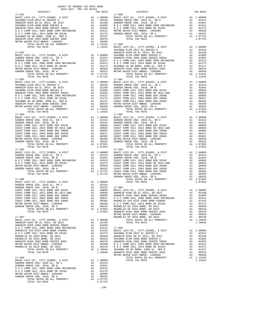| 2010 2017 This This Knipp<br>DISTRICT                                                |               | TAX RATE                                                                                                                                                        |                    |
|--------------------------------------------------------------------------------------|---------------|-----------------------------------------------------------------------------------------------------------------------------------------------------------------|--------------------|
| $17 - 081$                                                                           |               |                                                                                                                                                                 | 17-089             |
|                                                                                      |               |                                                                                                                                                                 |                    |
|                                                                                      |               |                                                                                                                                                                 |                    |
|                                                                                      |               |                                                                                                                                                                 |                    |
|                                                                                      |               |                                                                                                                                                                 |                    |
|                                                                                      |               |                                                                                                                                                                 |                    |
|                                                                                      |               |                                                                                                                                                                 |                    |
|                                                                                      |               |                                                                                                                                                                 |                    |
|                                                                                      |               |                                                                                                                                                                 |                    |
|                                                                                      |               |                                                                                                                                                                 |                    |
| $17 - 082$                                                                           |               |                                                                                                                                                                 | SAVANNA<br>ANAHEIM |
|                                                                                      |               |                                                                                                                                                                 |                    |
|                                                                                      |               |                                                                                                                                                                 |                    |
|                                                                                      |               |                                                                                                                                                                 |                    |
|                                                                                      |               |                                                                                                                                                                 |                    |
|                                                                                      |               |                                                                                                                                                                 |                    |
|                                                                                      |               |                                                                                                                                                                 |                    |
|                                                                                      |               |                                                                                                                                                                 |                    |
| TOTAL TAX RATE                                                                       |               | 1.07722                                                                                                                                                         |                    |
|                                                                                      |               |                                                                                                                                                                 |                    |
|                                                                                      |               |                                                                                                                                                                 |                    |
|                                                                                      |               |                                                                                                                                                                 |                    |
|                                                                                      |               |                                                                                                                                                                 |                    |
|                                                                                      |               |                                                                                                                                                                 |                    |
|                                                                                      |               |                                                                                                                                                                 |                    |
|                                                                                      |               |                                                                                                                                                                 |                    |
|                                                                                      |               |                                                                                                                                                                 |                    |
|                                                                                      |               |                                                                                                                                                                 |                    |
|                                                                                      |               |                                                                                                                                                                 |                    |
|                                                                                      |               |                                                                                                                                                                 |                    |
|                                                                                      |               |                                                                                                                                                                 |                    |
|                                                                                      |               |                                                                                                                                                                 |                    |
|                                                                                      |               |                                                                                                                                                                 |                    |
|                                                                                      |               |                                                                                                                                                                 |                    |
|                                                                                      |               |                                                                                                                                                                 |                    |
|                                                                                      |               |                                                                                                                                                                 |                    |
|                                                                                      |               |                                                                                                                                                                 |                    |
|                                                                                      |               |                                                                                                                                                                 |                    |
|                                                                                      |               |                                                                                                                                                                 |                    |
|                                                                                      |               |                                                                                                                                                                 |                    |
|                                                                                      |               |                                                                                                                                                                 |                    |
|                                                                                      |               |                                                                                                                                                                 | 17-093             |
|                                                                                      |               |                                                                                                                                                                 |                    |
|                                                                                      |               |                                                                                                                                                                 |                    |
|                                                                                      |               |                                                                                                                                                                 |                    |
|                                                                                      |               |                                                                                                                                                                 |                    |
|                                                                                      |               |                                                                                                                                                                 |                    |
|                                                                                      |               |                                                                                                                                                                 |                    |
|                                                                                      |               |                                                                                                                                                                 |                    |
|                                                                                      |               |                                                                                                                                                                 |                    |
|                                                                                      |               |                                                                                                                                                                 | GARDEN             |
| $17 - 086$                                                                           |               |                                                                                                                                                                 |                    |
|                                                                                      |               |                                                                                                                                                                 |                    |
|                                                                                      |               |                                                                                                                                                                 |                    |
|                                                                                      |               |                                                                                                                                                                 |                    |
|                                                                                      |               |                                                                                                                                                                 |                    |
|                                                                                      |               |                                                                                                                                                                 |                    |
| COAST COMM COLL 2002 BOND SER 2003A                                                  |               |                                                                                                                                                                 |                    |
| COAST COMM COLL 2002 BOND SER 2006C                                                  | $\mathtt{Al}$ |                                                                                                                                                                 | .00382 MAGNOLI     |
| METRO WATER DIST-MWDOC- 1205999<br>GARDEN GROVE USD, 2010, SR A                      | A1<br>A1      | .00350<br>.00332                                                                                                                                                | NOCC<br>MAGNOLI    |
| TOTAL RATES ON ALL PROPERTY                                                          |               |                                                                                                                                                                 |                    |
| TOTAL TAX RATE                                                                       |               | A1  1.07953 MAGNOLI<br>1.07953 ANAHEIM                                                                                                                          |                    |
|                                                                                      |               |                                                                                                                                                                 | METRO W            |
| $17 - 087$                                                                           |               |                                                                                                                                                                 | MAGNOLI            |
| BASIC LEVY-CO., CITY, SCHOOL, & DIST ANAHEIM HIGH GO EL 2014, SR 2015                | A1 1.00000    |                                                                                                                                                                 |                    |
|                                                                                      |               | A1 .02188<br>A1 .01693                                                                                                                                          |                    |
|                                                                                      |               |                                                                                                                                                                 |                    |
|                                                                                      |               |                                                                                                                                                                 |                    |
|                                                                                      |               |                                                                                                                                                                 |                    |
|                                                                                      |               |                                                                                                                                                                 |                    |
| MAGNOLIA SD 2010 BOND, SR 2013                                                       |               |                                                                                                                                                                 |                    |
| ANAHEIM HIGH 2002 BOND SERIES 2003<br>METRO WATER DIST-MWDOC- 1205999                |               |                                                                                                                                                                 |                    |
| MAGNOLIA SD 2010 BOND, SR 2016                                                       |               |                                                                                                                                                                 |                    |
| TOTAL RATES ON ALL PROPERTY                                                          |               |                                                                                                                                                                 |                    |
| TOTAL TAX RATE                                                                       |               | A1 .00418<br>AN .00378<br>A1 .00378<br>AN .00378<br>AN .00269<br>NOCC<br>A1 .00249<br>NOCC<br>A1 1.10046<br>ANAHEM<br>A1 .00249<br>NOCC<br>A1 1.10046<br>ANAHEM |                    |
|                                                                                      |               |                                                                                                                                                                 | METRO W            |
| $17 - 088$                                                                           |               |                                                                                                                                                                 |                    |
| BASIC LEVY-CO., CITY, SCHOOL, & DIST                                                 | A1 1.00000    |                                                                                                                                                                 |                    |
| GARDEN GROVE USD, 2010 EL, SR C<br>GARDEN GROVE USD, 2010, SR B                      |               | A1 .02314<br>A1 .01841                                                                                                                                          |                    |
| N O C COMM COLL 2002 BOND 2005 REFUNDING                                             |               | A1 .01612                                                                                                                                                       |                    |
| N O C COMM COLL 2014 BOND SR 2016A                                                   |               | A1.01273                                                                                                                                                        |                    |
| METRO WATER DIST-MWDOC- 1205999                                                      | A1            | .00350                                                                                                                                                          |                    |
| GARDEN GROVE USD, 2010, SR A<br>GROVE USD, 2010, SR A<br>TOTAL RATES ON ALL PROPERTY | A1            | .00332                                                                                                                                                          |                    |
| TOTAL TAX RATE                                                                       |               | A1 1.07722<br>1.07722                                                                                                                                           |                    |
|                                                                                      |               |                                                                                                                                                                 |                    |

| COUNTY OF ORANGE TAX RATE BOOK<br>2016-2017 TRA TAX RATES<br>$2016-2017\begin{array}{l} \text{C}\scriptsize{\textbf{C}\scriptsize{\textbf{C}\scriptsize{\textbf{C}}\scriptsize{\textbf{C}}\scriptsize{\textbf{C}}\scriptsize{\textbf{C}}\scriptsize{\textbf{C}}\scriptsize{\textbf{C}}\scriptsize{\textbf{C}}\scriptsize{\textbf{C}}\scriptsize{\textbf{C}}}\\\text{DISTRICT}\end{array}$ |          | DISTRICT | TAX RATE |
|-------------------------------------------------------------------------------------------------------------------------------------------------------------------------------------------------------------------------------------------------------------------------------------------------------------------------------------------------------------------------------------------|----------|----------|----------|
|                                                                                                                                                                                                                                                                                                                                                                                           | TAX RATE |          |          |
|                                                                                                                                                                                                                                                                                                                                                                                           |          |          |          |
|                                                                                                                                                                                                                                                                                                                                                                                           |          |          |          |
|                                                                                                                                                                                                                                                                                                                                                                                           |          |          |          |
|                                                                                                                                                                                                                                                                                                                                                                                           |          |          |          |
|                                                                                                                                                                                                                                                                                                                                                                                           |          |          |          |
|                                                                                                                                                                                                                                                                                                                                                                                           |          |          |          |
|                                                                                                                                                                                                                                                                                                                                                                                           |          |          |          |
|                                                                                                                                                                                                                                                                                                                                                                                           |          |          |          |
|                                                                                                                                                                                                                                                                                                                                                                                           |          |          |          |
|                                                                                                                                                                                                                                                                                                                                                                                           |          |          |          |
|                                                                                                                                                                                                                                                                                                                                                                                           |          |          |          |
|                                                                                                                                                                                                                                                                                                                                                                                           |          |          |          |
|                                                                                                                                                                                                                                                                                                                                                                                           |          |          |          |
|                                                                                                                                                                                                                                                                                                                                                                                           |          |          |          |
|                                                                                                                                                                                                                                                                                                                                                                                           |          |          |          |
|                                                                                                                                                                                                                                                                                                                                                                                           |          |          |          |
|                                                                                                                                                                                                                                                                                                                                                                                           |          |          |          |
|                                                                                                                                                                                                                                                                                                                                                                                           |          |          |          |
|                                                                                                                                                                                                                                                                                                                                                                                           |          |          |          |
|                                                                                                                                                                                                                                                                                                                                                                                           |          |          |          |
|                                                                                                                                                                                                                                                                                                                                                                                           |          |          |          |
|                                                                                                                                                                                                                                                                                                                                                                                           |          |          |          |
|                                                                                                                                                                                                                                                                                                                                                                                           |          |          |          |
|                                                                                                                                                                                                                                                                                                                                                                                           |          |          |          |
|                                                                                                                                                                                                                                                                                                                                                                                           |          |          |          |
|                                                                                                                                                                                                                                                                                                                                                                                           |          |          |          |
|                                                                                                                                                                                                                                                                                                                                                                                           |          |          |          |
|                                                                                                                                                                                                                                                                                                                                                                                           |          |          |          |
|                                                                                                                                                                                                                                                                                                                                                                                           |          |          |          |
|                                                                                                                                                                                                                                                                                                                                                                                           |          |          |          |
|                                                                                                                                                                                                                                                                                                                                                                                           |          |          |          |
|                                                                                                                                                                                                                                                                                                                                                                                           |          |          |          |
|                                                                                                                                                                                                                                                                                                                                                                                           |          |          |          |
|                                                                                                                                                                                                                                                                                                                                                                                           |          |          |          |
|                                                                                                                                                                                                                                                                                                                                                                                           |          |          |          |
|                                                                                                                                                                                                                                                                                                                                                                                           |          |          |          |
|                                                                                                                                                                                                                                                                                                                                                                                           |          |          |          |
|                                                                                                                                                                                                                                                                                                                                                                                           |          |          |          |
|                                                                                                                                                                                                                                                                                                                                                                                           |          |          |          |
|                                                                                                                                                                                                                                                                                                                                                                                           |          |          |          |
|                                                                                                                                                                                                                                                                                                                                                                                           |          |          |          |
|                                                                                                                                                                                                                                                                                                                                                                                           |          |          |          |
|                                                                                                                                                                                                                                                                                                                                                                                           |          |          |          |
|                                                                                                                                                                                                                                                                                                                                                                                           |          |          |          |
|                                                                                                                                                                                                                                                                                                                                                                                           |          |          |          |
|                                                                                                                                                                                                                                                                                                                                                                                           |          |          |          |
|                                                                                                                                                                                                                                                                                                                                                                                           |          |          |          |
|                                                                                                                                                                                                                                                                                                                                                                                           |          |          |          |
|                                                                                                                                                                                                                                                                                                                                                                                           |          |          |          |
|                                                                                                                                                                                                                                                                                                                                                                                           |          |          |          |
|                                                                                                                                                                                                                                                                                                                                                                                           |          |          |          |
|                                                                                                                                                                                                                                                                                                                                                                                           |          |          |          |
|                                                                                                                                                                                                                                                                                                                                                                                           |          |          |          |
|                                                                                                                                                                                                                                                                                                                                                                                           |          |          |          |
|                                                                                                                                                                                                                                                                                                                                                                                           |          |          |          |
|                                                                                                                                                                                                                                                                                                                                                                                           |          |          |          |
|                                                                                                                                                                                                                                                                                                                                                                                           |          |          |          |
|                                                                                                                                                                                                                                                                                                                                                                                           |          |          |          |
|                                                                                                                                                                                                                                                                                                                                                                                           |          |          |          |
|                                                                                                                                                                                                                                                                                                                                                                                           |          |          |          |
|                                                                                                                                                                                                                                                                                                                                                                                           |          |          |          |
|                                                                                                                                                                                                                                                                                                                                                                                           |          |          |          |
|                                                                                                                                                                                                                                                                                                                                                                                           |          |          |          |
|                                                                                                                                                                                                                                                                                                                                                                                           |          |          |          |
|                                                                                                                                                                                                                                                                                                                                                                                           |          |          |          |
|                                                                                                                                                                                                                                                                                                                                                                                           |          |          |          |
|                                                                                                                                                                                                                                                                                                                                                                                           |          |          |          |
|                                                                                                                                                                                                                                                                                                                                                                                           |          |          |          |
|                                                                                                                                                                                                                                                                                                                                                                                           |          |          |          |
|                                                                                                                                                                                                                                                                                                                                                                                           |          |          |          |
|                                                                                                                                                                                                                                                                                                                                                                                           |          |          |          |
|                                                                                                                                                                                                                                                                                                                                                                                           |          |          |          |
|                                                                                                                                                                                                                                                                                                                                                                                           |          |          |          |
| 179716 ANTERIOR (MATERIOR 12. 1979)<br>179716 ANTERIOR (1971) 2003 170716 ANTERIOR (1971) 2003 170716 ANTERIOR (1971) 2003 170716 ANTERIOR (1972) 2003 170716 170716 170716 170716 170716 17072<br>1870 1880 1880 1890 1890 1890                                                                                                                                                          |          |          |          |
|                                                                                                                                                                                                                                                                                                                                                                                           |          |          |          |
|                                                                                                                                                                                                                                                                                                                                                                                           |          |          |          |
|                                                                                                                                                                                                                                                                                                                                                                                           |          |          |          |
|                                                                                                                                                                                                                                                                                                                                                                                           |          |          |          |
|                                                                                                                                                                                                                                                                                                                                                                                           |          |          |          |

-136-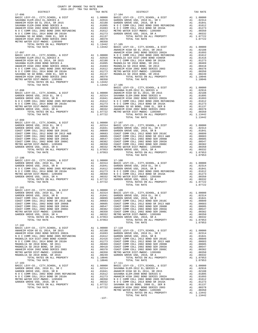| COUNTY OF ORANGE TAX RATE BOOK<br>2016-2017 TRA TAX RATES                                                                                                                                                                                                                                                                    |          |                                                                                                                                                                                                                                                                                                                                                                                                                                                              |          |
|------------------------------------------------------------------------------------------------------------------------------------------------------------------------------------------------------------------------------------------------------------------------------------------------------------------------------|----------|--------------------------------------------------------------------------------------------------------------------------------------------------------------------------------------------------------------------------------------------------------------------------------------------------------------------------------------------------------------------------------------------------------------------------------------------------------------|----------|
| $2016-2017\begin{array}{l} \text{C}\scriptsize{\textbf{C}\scriptsize{\textbf{C}\scriptsize{\textbf{C}}\scriptsize{\textbf{C}}\scriptsize{\textbf{C}}\scriptsize{\textbf{C}}\scriptsize{\textbf{C}}\scriptsize{\textbf{C}}\scriptsize{\textbf{C}}\scriptsize{\textbf{C}}\scriptsize{\textbf{C}}}\\\text{DISTRICT}\end{array}$ | TAX RATE | DISTRICT                                                                                                                                                                                                                                                                                                                                                                                                                                                     | TAX RATE |
| $17 - 096$                                                                                                                                                                                                                                                                                                                   |          | $17 - 104$                                                                                                                                                                                                                                                                                                                                                                                                                                                   |          |
|                                                                                                                                                                                                                                                                                                                              |          |                                                                                                                                                                                                                                                                                                                                                                                                                                                              |          |
|                                                                                                                                                                                                                                                                                                                              |          |                                                                                                                                                                                                                                                                                                                                                                                                                                                              |          |
|                                                                                                                                                                                                                                                                                                                              |          |                                                                                                                                                                                                                                                                                                                                                                                                                                                              |          |
|                                                                                                                                                                                                                                                                                                                              |          |                                                                                                                                                                                                                                                                                                                                                                                                                                                              |          |
|                                                                                                                                                                                                                                                                                                                              |          |                                                                                                                                                                                                                                                                                                                                                                                                                                                              |          |
|                                                                                                                                                                                                                                                                                                                              |          |                                                                                                                                                                                                                                                                                                                                                                                                                                                              |          |
|                                                                                                                                                                                                                                                                                                                              |          |                                                                                                                                                                                                                                                                                                                                                                                                                                                              |          |
|                                                                                                                                                                                                                                                                                                                              |          |                                                                                                                                                                                                                                                                                                                                                                                                                                                              |          |
|                                                                                                                                                                                                                                                                                                                              |          |                                                                                                                                                                                                                                                                                                                                                                                                                                                              |          |
|                                                                                                                                                                                                                                                                                                                              |          |                                                                                                                                                                                                                                                                                                                                                                                                                                                              |          |
|                                                                                                                                                                                                                                                                                                                              |          |                                                                                                                                                                                                                                                                                                                                                                                                                                                              |          |
|                                                                                                                                                                                                                                                                                                                              |          |                                                                                                                                                                                                                                                                                                                                                                                                                                                              |          |
|                                                                                                                                                                                                                                                                                                                              |          |                                                                                                                                                                                                                                                                                                                                                                                                                                                              |          |
|                                                                                                                                                                                                                                                                                                                              |          |                                                                                                                                                                                                                                                                                                                                                                                                                                                              |          |
|                                                                                                                                                                                                                                                                                                                              |          |                                                                                                                                                                                                                                                                                                                                                                                                                                                              |          |
|                                                                                                                                                                                                                                                                                                                              |          |                                                                                                                                                                                                                                                                                                                                                                                                                                                              |          |
|                                                                                                                                                                                                                                                                                                                              |          |                                                                                                                                                                                                                                                                                                                                                                                                                                                              |          |
|                                                                                                                                                                                                                                                                                                                              |          |                                                                                                                                                                                                                                                                                                                                                                                                                                                              |          |
|                                                                                                                                                                                                                                                                                                                              |          |                                                                                                                                                                                                                                                                                                                                                                                                                                                              |          |
|                                                                                                                                                                                                                                                                                                                              |          |                                                                                                                                                                                                                                                                                                                                                                                                                                                              |          |
|                                                                                                                                                                                                                                                                                                                              |          |                                                                                                                                                                                                                                                                                                                                                                                                                                                              |          |
|                                                                                                                                                                                                                                                                                                                              |          |                                                                                                                                                                                                                                                                                                                                                                                                                                                              |          |
|                                                                                                                                                                                                                                                                                                                              |          |                                                                                                                                                                                                                                                                                                                                                                                                                                                              |          |
|                                                                                                                                                                                                                                                                                                                              |          |                                                                                                                                                                                                                                                                                                                                                                                                                                                              |          |
|                                                                                                                                                                                                                                                                                                                              |          |                                                                                                                                                                                                                                                                                                                                                                                                                                                              |          |
|                                                                                                                                                                                                                                                                                                                              |          |                                                                                                                                                                                                                                                                                                                                                                                                                                                              |          |
|                                                                                                                                                                                                                                                                                                                              |          |                                                                                                                                                                                                                                                                                                                                                                                                                                                              |          |
|                                                                                                                                                                                                                                                                                                                              |          |                                                                                                                                                                                                                                                                                                                                                                                                                                                              |          |
|                                                                                                                                                                                                                                                                                                                              |          |                                                                                                                                                                                                                                                                                                                                                                                                                                                              |          |
|                                                                                                                                                                                                                                                                                                                              |          |                                                                                                                                                                                                                                                                                                                                                                                                                                                              |          |
|                                                                                                                                                                                                                                                                                                                              |          |                                                                                                                                                                                                                                                                                                                                                                                                                                                              |          |
|                                                                                                                                                                                                                                                                                                                              |          |                                                                                                                                                                                                                                                                                                                                                                                                                                                              |          |
|                                                                                                                                                                                                                                                                                                                              |          |                                                                                                                                                                                                                                                                                                                                                                                                                                                              |          |
|                                                                                                                                                                                                                                                                                                                              |          |                                                                                                                                                                                                                                                                                                                                                                                                                                                              |          |
|                                                                                                                                                                                                                                                                                                                              |          |                                                                                                                                                                                                                                                                                                                                                                                                                                                              |          |
|                                                                                                                                                                                                                                                                                                                              |          |                                                                                                                                                                                                                                                                                                                                                                                                                                                              |          |
|                                                                                                                                                                                                                                                                                                                              |          |                                                                                                                                                                                                                                                                                                                                                                                                                                                              |          |
|                                                                                                                                                                                                                                                                                                                              |          |                                                                                                                                                                                                                                                                                                                                                                                                                                                              |          |
|                                                                                                                                                                                                                                                                                                                              |          |                                                                                                                                                                                                                                                                                                                                                                                                                                                              |          |
|                                                                                                                                                                                                                                                                                                                              |          |                                                                                                                                                                                                                                                                                                                                                                                                                                                              |          |
|                                                                                                                                                                                                                                                                                                                              |          |                                                                                                                                                                                                                                                                                                                                                                                                                                                              |          |
|                                                                                                                                                                                                                                                                                                                              |          |                                                                                                                                                                                                                                                                                                                                                                                                                                                              |          |
|                                                                                                                                                                                                                                                                                                                              |          |                                                                                                                                                                                                                                                                                                                                                                                                                                                              |          |
|                                                                                                                                                                                                                                                                                                                              |          |                                                                                                                                                                                                                                                                                                                                                                                                                                                              |          |
|                                                                                                                                                                                                                                                                                                                              |          |                                                                                                                                                                                                                                                                                                                                                                                                                                                              |          |
|                                                                                                                                                                                                                                                                                                                              |          | $\begin{tabular}{l c c c c c} \multicolumn{4}{c}{\textbf{AREDEN GROV-CO., CITY, SCHOOL, & DIST} \end{tabular} \begin{tabular}{llllllll} \multicolumn{4}{c}{\textbf{AIC LEVY-CO., CITY, SCHOOL, & DIST} \end{tabular} \begin{tabular}{lllllllllllll} \multicolumn{4}{c}{\textbf{AIC LEVY-CO., CITY, SCHOOL, & DIST} \end{tabular} \begin{tabular}{lllllllllll} \multicolumn{4}{c}{\textbf{AIC LEVY-CO., CITY, SCHOOL, & DIST} \end{tabular} \begin{tabular}{$ |          |
|                                                                                                                                                                                                                                                                                                                              |          |                                                                                                                                                                                                                                                                                                                                                                                                                                                              |          |
|                                                                                                                                                                                                                                                                                                                              |          |                                                                                                                                                                                                                                                                                                                                                                                                                                                              |          |
|                                                                                                                                                                                                                                                                                                                              |          |                                                                                                                                                                                                                                                                                                                                                                                                                                                              |          |
|                                                                                                                                                                                                                                                                                                                              |          |                                                                                                                                                                                                                                                                                                                                                                                                                                                              |          |
|                                                                                                                                                                                                                                                                                                                              |          |                                                                                                                                                                                                                                                                                                                                                                                                                                                              |          |
|                                                                                                                                                                                                                                                                                                                              |          |                                                                                                                                                                                                                                                                                                                                                                                                                                                              |          |
|                                                                                                                                                                                                                                                                                                                              |          |                                                                                                                                                                                                                                                                                                                                                                                                                                                              |          |
|                                                                                                                                                                                                                                                                                                                              |          |                                                                                                                                                                                                                                                                                                                                                                                                                                                              |          |
|                                                                                                                                                                                                                                                                                                                              |          |                                                                                                                                                                                                                                                                                                                                                                                                                                                              |          |
|                                                                                                                                                                                                                                                                                                                              |          |                                                                                                                                                                                                                                                                                                                                                                                                                                                              |          |
| $17 - 102$                                                                                                                                                                                                                                                                                                                   |          |                                                                                                                                                                                                                                                                                                                                                                                                                                                              |          |
|                                                                                                                                                                                                                                                                                                                              |          |                                                                                                                                                                                                                                                                                                                                                                                                                                                              |          |
|                                                                                                                                                                                                                                                                                                                              |          |                                                                                                                                                                                                                                                                                                                                                                                                                                                              |          |
|                                                                                                                                                                                                                                                                                                                              |          |                                                                                                                                                                                                                                                                                                                                                                                                                                                              |          |
|                                                                                                                                                                                                                                                                                                                              |          |                                                                                                                                                                                                                                                                                                                                                                                                                                                              |          |
|                                                                                                                                                                                                                                                                                                                              |          |                                                                                                                                                                                                                                                                                                                                                                                                                                                              |          |
|                                                                                                                                                                                                                                                                                                                              |          |                                                                                                                                                                                                                                                                                                                                                                                                                                                              |          |
|                                                                                                                                                                                                                                                                                                                              |          |                                                                                                                                                                                                                                                                                                                                                                                                                                                              |          |
|                                                                                                                                                                                                                                                                                                                              |          |                                                                                                                                                                                                                                                                                                                                                                                                                                                              |          |
|                                                                                                                                                                                                                                                                                                                              |          |                                                                                                                                                                                                                                                                                                                                                                                                                                                              |          |
|                                                                                                                                                                                                                                                                                                                              |          |                                                                                                                                                                                                                                                                                                                                                                                                                                                              |          |
|                                                                                                                                                                                                                                                                                                                              |          |                                                                                                                                                                                                                                                                                                                                                                                                                                                              |          |
|                                                                                                                                                                                                                                                                                                                              |          |                                                                                                                                                                                                                                                                                                                                                                                                                                                              |          |
|                                                                                                                                                                                                                                                                                                                              |          |                                                                                                                                                                                                                                                                                                                                                                                                                                                              |          |
|                                                                                                                                                                                                                                                                                                                              |          |                                                                                                                                                                                                                                                                                                                                                                                                                                                              |          |
|                                                                                                                                                                                                                                                                                                                              |          |                                                                                                                                                                                                                                                                                                                                                                                                                                                              |          |
|                                                                                                                                                                                                                                                                                                                              |          |                                                                                                                                                                                                                                                                                                                                                                                                                                                              |          |
|                                                                                                                                                                                                                                                                                                                              |          |                                                                                                                                                                                                                                                                                                                                                                                                                                                              |          |
|                                                                                                                                                                                                                                                                                                                              |          |                                                                                                                                                                                                                                                                                                                                                                                                                                                              |          |
|                                                                                                                                                                                                                                                                                                                              |          |                                                                                                                                                                                                                                                                                                                                                                                                                                                              |          |
|                                                                                                                                                                                                                                                                                                                              |          |                                                                                                                                                                                                                                                                                                                                                                                                                                                              |          |

|         | $\begin{tabular}{l c c c c c c} \multicolumn{4}{c c c} \multicolumn{4}{c c c} \multicolumn{4}{c c c} \multicolumn{4}{c c c} \multicolumn{4}{c c c} \multicolumn{4}{c c c} \multicolumn{4}{c c c} \multicolumn{4}{c c c} \multicolumn{4}{c c c} \multicolumn{4}{c c c} \multicolumn{4}{c c c} \multicolumn{4}{c c c} \multicolumn{4}{c c c} \multicolumn{4}{c c c} \multicolumn{4}{c c c} \multicolumn{$ |  |
|---------|---------------------------------------------------------------------------------------------------------------------------------------------------------------------------------------------------------------------------------------------------------------------------------------------------------------------------------------------------------------------------------------------------------|--|
|         |                                                                                                                                                                                                                                                                                                                                                                                                         |  |
|         |                                                                                                                                                                                                                                                                                                                                                                                                         |  |
|         |                                                                                                                                                                                                                                                                                                                                                                                                         |  |
|         |                                                                                                                                                                                                                                                                                                                                                                                                         |  |
|         |                                                                                                                                                                                                                                                                                                                                                                                                         |  |
|         |                                                                                                                                                                                                                                                                                                                                                                                                         |  |
|         |                                                                                                                                                                                                                                                                                                                                                                                                         |  |
|         |                                                                                                                                                                                                                                                                                                                                                                                                         |  |
|         |                                                                                                                                                                                                                                                                                                                                                                                                         |  |
|         |                                                                                                                                                                                                                                                                                                                                                                                                         |  |
|         |                                                                                                                                                                                                                                                                                                                                                                                                         |  |
|         |                                                                                                                                                                                                                                                                                                                                                                                                         |  |
|         |                                                                                                                                                                                                                                                                                                                                                                                                         |  |
|         |                                                                                                                                                                                                                                                                                                                                                                                                         |  |
|         |                                                                                                                                                                                                                                                                                                                                                                                                         |  |
|         |                                                                                                                                                                                                                                                                                                                                                                                                         |  |
|         |                                                                                                                                                                                                                                                                                                                                                                                                         |  |
|         |                                                                                                                                                                                                                                                                                                                                                                                                         |  |
|         |                                                                                                                                                                                                                                                                                                                                                                                                         |  |
|         |                                                                                                                                                                                                                                                                                                                                                                                                         |  |
|         |                                                                                                                                                                                                                                                                                                                                                                                                         |  |
|         |                                                                                                                                                                                                                                                                                                                                                                                                         |  |
|         |                                                                                                                                                                                                                                                                                                                                                                                                         |  |
|         |                                                                                                                                                                                                                                                                                                                                                                                                         |  |
|         |                                                                                                                                                                                                                                                                                                                                                                                                         |  |
|         |                                                                                                                                                                                                                                                                                                                                                                                                         |  |
|         |                                                                                                                                                                                                                                                                                                                                                                                                         |  |
|         |                                                                                                                                                                                                                                                                                                                                                                                                         |  |
|         |                                                                                                                                                                                                                                                                                                                                                                                                         |  |
|         |                                                                                                                                                                                                                                                                                                                                                                                                         |  |
|         |                                                                                                                                                                                                                                                                                                                                                                                                         |  |
|         |                                                                                                                                                                                                                                                                                                                                                                                                         |  |
|         |                                                                                                                                                                                                                                                                                                                                                                                                         |  |
|         |                                                                                                                                                                                                                                                                                                                                                                                                         |  |
|         |                                                                                                                                                                                                                                                                                                                                                                                                         |  |
|         |                                                                                                                                                                                                                                                                                                                                                                                                         |  |
|         |                                                                                                                                                                                                                                                                                                                                                                                                         |  |
|         |                                                                                                                                                                                                                                                                                                                                                                                                         |  |
|         |                                                                                                                                                                                                                                                                                                                                                                                                         |  |
|         |                                                                                                                                                                                                                                                                                                                                                                                                         |  |
|         |                                                                                                                                                                                                                                                                                                                                                                                                         |  |
|         |                                                                                                                                                                                                                                                                                                                                                                                                         |  |
|         |                                                                                                                                                                                                                                                                                                                                                                                                         |  |
|         |                                                                                                                                                                                                                                                                                                                                                                                                         |  |
|         |                                                                                                                                                                                                                                                                                                                                                                                                         |  |
|         |                                                                                                                                                                                                                                                                                                                                                                                                         |  |
|         |                                                                                                                                                                                                                                                                                                                                                                                                         |  |
|         |                                                                                                                                                                                                                                                                                                                                                                                                         |  |
|         |                                                                                                                                                                                                                                                                                                                                                                                                         |  |
|         |                                                                                                                                                                                                                                                                                                                                                                                                         |  |
|         |                                                                                                                                                                                                                                                                                                                                                                                                         |  |
|         |                                                                                                                                                                                                                                                                                                                                                                                                         |  |
|         |                                                                                                                                                                                                                                                                                                                                                                                                         |  |
|         |                                                                                                                                                                                                                                                                                                                                                                                                         |  |
|         |                                                                                                                                                                                                                                                                                                                                                                                                         |  |
|         |                                                                                                                                                                                                                                                                                                                                                                                                         |  |
|         |                                                                                                                                                                                                                                                                                                                                                                                                         |  |
|         |                                                                                                                                                                                                                                                                                                                                                                                                         |  |
|         |                                                                                                                                                                                                                                                                                                                                                                                                         |  |
|         |                                                                                                                                                                                                                                                                                                                                                                                                         |  |
|         |                                                                                                                                                                                                                                                                                                                                                                                                         |  |
|         |                                                                                                                                                                                                                                                                                                                                                                                                         |  |
|         |                                                                                                                                                                                                                                                                                                                                                                                                         |  |
|         |                                                                                                                                                                                                                                                                                                                                                                                                         |  |
|         |                                                                                                                                                                                                                                                                                                                                                                                                         |  |
|         |                                                                                                                                                                                                                                                                                                                                                                                                         |  |
|         |                                                                                                                                                                                                                                                                                                                                                                                                         |  |
|         |                                                                                                                                                                                                                                                                                                                                                                                                         |  |
|         |                                                                                                                                                                                                                                                                                                                                                                                                         |  |
|         |                                                                                                                                                                                                                                                                                                                                                                                                         |  |
|         |                                                                                                                                                                                                                                                                                                                                                                                                         |  |
|         |                                                                                                                                                                                                                                                                                                                                                                                                         |  |
|         |                                                                                                                                                                                                                                                                                                                                                                                                         |  |
|         |                                                                                                                                                                                                                                                                                                                                                                                                         |  |
|         |                                                                                                                                                                                                                                                                                                                                                                                                         |  |
|         |                                                                                                                                                                                                                                                                                                                                                                                                         |  |
| $-137-$ | TOTAL TAX RATE                                                                                                                                                                                                                                                                                                                                                                                          |  |
|         |                                                                                                                                                                                                                                                                                                                                                                                                         |  |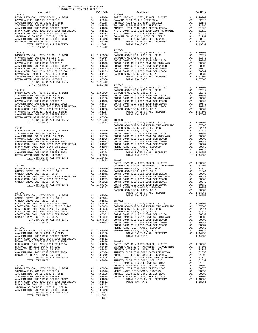| $-138-$ |  |
|---------|--|

| COUNTY OF ORANGE TAX RATE BOOK<br>2016-2017 TRA TAX RATES |  |                                                                                                                                                                                                                                 |  |
|-----------------------------------------------------------|--|---------------------------------------------------------------------------------------------------------------------------------------------------------------------------------------------------------------------------------|--|
|                                                           |  |                                                                                                                                                                                                                                 |  |
|                                                           |  |                                                                                                                                                                                                                                 |  |
|                                                           |  |                                                                                                                                                                                                                                 |  |
|                                                           |  |                                                                                                                                                                                                                                 |  |
|                                                           |  |                                                                                                                                                                                                                                 |  |
|                                                           |  |                                                                                                                                                                                                                                 |  |
|                                                           |  |                                                                                                                                                                                                                                 |  |
|                                                           |  |                                                                                                                                                                                                                                 |  |
|                                                           |  |                                                                                                                                                                                                                                 |  |
|                                                           |  |                                                                                                                                                                                                                                 |  |
|                                                           |  |                                                                                                                                                                                                                                 |  |
|                                                           |  |                                                                                                                                                                                                                                 |  |
|                                                           |  |                                                                                                                                                                                                                                 |  |
|                                                           |  |                                                                                                                                                                                                                                 |  |
|                                                           |  |                                                                                                                                                                                                                                 |  |
|                                                           |  |                                                                                                                                                                                                                                 |  |
|                                                           |  |                                                                                                                                                                                                                                 |  |
|                                                           |  |                                                                                                                                                                                                                                 |  |
|                                                           |  |                                                                                                                                                                                                                                 |  |
|                                                           |  |                                                                                                                                                                                                                                 |  |
|                                                           |  |                                                                                                                                                                                                                                 |  |
|                                                           |  |                                                                                                                                                                                                                                 |  |
|                                                           |  |                                                                                                                                                                                                                                 |  |
|                                                           |  |                                                                                                                                                                                                                                 |  |
|                                                           |  |                                                                                                                                                                                                                                 |  |
|                                                           |  |                                                                                                                                                                                                                                 |  |
|                                                           |  |                                                                                                                                                                                                                                 |  |
|                                                           |  |                                                                                                                                                                                                                                 |  |
|                                                           |  |                                                                                                                                                                                                                                 |  |
|                                                           |  |                                                                                                                                                                                                                                 |  |
|                                                           |  |                                                                                                                                                                                                                                 |  |
|                                                           |  |                                                                                                                                                                                                                                 |  |
|                                                           |  |                                                                                                                                                                                                                                 |  |
|                                                           |  |                                                                                                                                                                                                                                 |  |
|                                                           |  |                                                                                                                                                                                                                                 |  |
|                                                           |  |                                                                                                                                                                                                                                 |  |
|                                                           |  |                                                                                                                                                                                                                                 |  |
|                                                           |  |                                                                                                                                                                                                                                 |  |
|                                                           |  |                                                                                                                                                                                                                                 |  |
|                                                           |  |                                                                                                                                                                                                                                 |  |
|                                                           |  | METRO GATER SHOPA (1971-1987)<br>METRO STAT MONE CONFIGURATION AND THE SECTION OF THE SECTION OF THE SECTION AND THE SECTION OF THE SECTION AND THE SECTION AND SECTION AND ARREST THE SECTION OF THE SECTION OF THE SECTION OF |  |
|                                                           |  |                                                                                                                                                                                                                                 |  |
|                                                           |  |                                                                                                                                                                                                                                 |  |
|                                                           |  |                                                                                                                                                                                                                                 |  |
|                                                           |  |                                                                                                                                                                                                                                 |  |
|                                                           |  |                                                                                                                                                                                                                                 |  |
|                                                           |  |                                                                                                                                                                                                                                 |  |
|                                                           |  |                                                                                                                                                                                                                                 |  |
|                                                           |  |                                                                                                                                                                                                                                 |  |
|                                                           |  |                                                                                                                                                                                                                                 |  |
|                                                           |  |                                                                                                                                                                                                                                 |  |
|                                                           |  |                                                                                                                                                                                                                                 |  |
|                                                           |  |                                                                                                                                                                                                                                 |  |
|                                                           |  |                                                                                                                                                                                                                                 |  |
|                                                           |  |                                                                                                                                                                                                                                 |  |
|                                                           |  |                                                                                                                                                                                                                                 |  |
|                                                           |  |                                                                                                                                                                                                                                 |  |
|                                                           |  |                                                                                                                                                                                                                                 |  |
|                                                           |  |                                                                                                                                                                                                                                 |  |
|                                                           |  |                                                                                                                                                                                                                                 |  |
|                                                           |  |                                                                                                                                                                                                                                 |  |
|                                                           |  |                                                                                                                                                                                                                                 |  |
|                                                           |  |                                                                                                                                                                                                                                 |  |
|                                                           |  |                                                                                                                                                                                                                                 |  |
|                                                           |  |                                                                                                                                                                                                                                 |  |
|                                                           |  |                                                                                                                                                                                                                                 |  |
|                                                           |  |                                                                                                                                                                                                                                 |  |
|                                                           |  |                                                                                                                                                                                                                                 |  |
|                                                           |  |                                                                                                                                                                                                                                 |  |
|                                                           |  |                                                                                                                                                                                                                                 |  |
|                                                           |  |                                                                                                                                                                                                                                 |  |
|                                                           |  |                                                                                                                                                                                                                                 |  |
|                                                           |  |                                                                                                                                                                                                                                 |  |
|                                                           |  |                                                                                                                                                                                                                                 |  |
|                                                           |  |                                                                                                                                                                                                                                 |  |
|                                                           |  |                                                                                                                                                                                                                                 |  |
| ANAUPTM UTCU 2002 DONT CPDTPC 2002                        |  |                                                                                                                                                                                                                                 |  |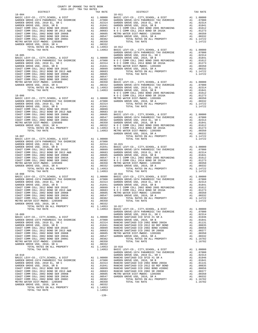| COUNTY OF ORANGE TAX RATE BOOK<br>2016-2017 TRA TAX RATES                          |    |                       |                       |
|------------------------------------------------------------------------------------|----|-----------------------|-----------------------|
| DISTRICT<br>$18 - 004$                                                             |    | TAX RATE              |                       |
|                                                                                    |    |                       | $18 - 011$            |
|                                                                                    |    |                       |                       |
|                                                                                    |    |                       |                       |
|                                                                                    |    |                       |                       |
|                                                                                    |    |                       |                       |
|                                                                                    |    |                       |                       |
|                                                                                    |    |                       |                       |
|                                                                                    |    |                       |                       |
|                                                                                    |    |                       |                       |
|                                                                                    |    |                       |                       |
|                                                                                    |    |                       |                       |
|                                                                                    |    |                       | GARDEN                |
|                                                                                    |    |                       |                       |
|                                                                                    |    |                       |                       |
|                                                                                    |    |                       |                       |
|                                                                                    |    |                       |                       |
|                                                                                    |    |                       |                       |
|                                                                                    |    |                       |                       |
|                                                                                    |    |                       |                       |
|                                                                                    |    |                       |                       |
|                                                                                    |    |                       |                       |
|                                                                                    |    |                       |                       |
|                                                                                    |    |                       |                       |
|                                                                                    |    |                       | NOCC                  |
|                                                                                    |    |                       |                       |
|                                                                                    |    |                       |                       |
|                                                                                    |    |                       |                       |
|                                                                                    |    |                       |                       |
|                                                                                    |    |                       |                       |
|                                                                                    |    |                       |                       |
|                                                                                    |    |                       |                       |
|                                                                                    |    |                       |                       |
|                                                                                    |    |                       |                       |
|                                                                                    |    |                       |                       |
|                                                                                    |    |                       |                       |
|                                                                                    |    |                       |                       |
| $18 - 007$                                                                         |    |                       | GARDEN                |
|                                                                                    |    |                       |                       |
|                                                                                    |    |                       |                       |
|                                                                                    |    |                       |                       |
|                                                                                    |    |                       |                       |
|                                                                                    |    |                       |                       |
|                                                                                    |    |                       |                       |
|                                                                                    |    |                       |                       |
|                                                                                    |    |                       |                       |
|                                                                                    |    |                       |                       |
|                                                                                    |    |                       |                       |
| TOTAL TAX RATE                                                                     |    | 1.14953               |                       |
|                                                                                    |    |                       |                       |
|                                                                                    |    |                       |                       |
|                                                                                    |    |                       |                       |
|                                                                                    |    |                       |                       |
|                                                                                    |    |                       |                       |
|                                                                                    |    |                       |                       |
| COAST COMM COLL 2002 BOND SER 2003A                                                |    | A1 .00547             | GARDEN                |
| COAST COMM COLL 2002 BOND SER 2006C                                                | A1 | .00382                |                       |
| METRO WATER DIST-MWDOC- 1205999                                                    | A1 | .00350                |                       |
| GARDEN GROVE USD, 2010, SR A                                                       | A1 | .00332                |                       |
| TOTAL RATES ON ALL PROPERTY<br>TOTAL TAX RATE                                      |    | A1 1.14953<br>1.14953 | $18 - 017$<br>BASIC L |
|                                                                                    |    |                       | GARDEN                |
| $18 - 009$                                                                         |    |                       | GARDEN                |
|                                                                                    |    |                       |                       |
|                                                                                    |    |                       |                       |
|                                                                                    |    |                       |                       |
|                                                                                    |    |                       |                       |
|                                                                                    |    |                       |                       |
|                                                                                    |    |                       |                       |
|                                                                                    |    |                       |                       |
|                                                                                    |    |                       |                       |
| GARDEN GROVE USD, 2010, SR A                                                       |    |                       |                       |
| GROVE USD, 2010, SR A $\qquad$ A1 .00332<br>TOTAL RATES ON ALL PROPERTY A1 1.14953 |    |                       | $18 - 018$            |
| TOTAL TAX RATE                                                                     |    | 1.14953               | BASIC L               |
| $18 - 010$                                                                         |    |                       | GARDEN<br>GARDEN      |
|                                                                                    |    |                       |                       |
|                                                                                    |    |                       |                       |
|                                                                                    |    |                       |                       |
|                                                                                    |    |                       |                       |
|                                                                                    |    |                       |                       |
|                                                                                    |    |                       |                       |
|                                                                                    |    |                       |                       |
|                                                                                    |    |                       |                       |
| GARDEN GROVE USD, 2010, SR A                                                       |    | A1 .00332             |                       |
| TOTAL RATES ON ALL PROPERTY                                                        |    | A1 1.14953            |                       |
| TOTAL TAX RATE                                                                     |    | 1.14953               |                       |

| CHINA ANI ANI INA TUSTUS<br>DISTRICT | TAX RATE | DISTRICT | TAX RATE |
|--------------------------------------|----------|----------|----------|
|                                      |          |          |          |
|                                      |          |          |          |
|                                      |          |          |          |
|                                      |          |          |          |
|                                      |          |          |          |
|                                      |          |          |          |
|                                      |          |          |          |
|                                      |          |          |          |
|                                      |          |          |          |
|                                      |          |          |          |
|                                      |          |          |          |
|                                      |          |          |          |
|                                      |          |          |          |
|                                      |          |          |          |
|                                      |          |          |          |
|                                      |          |          |          |
|                                      |          |          |          |
|                                      |          |          |          |
|                                      |          |          |          |
|                                      |          |          |          |
|                                      |          |          |          |
|                                      |          |          |          |
|                                      |          |          |          |
|                                      |          |          |          |
|                                      |          |          |          |
|                                      |          |          |          |
|                                      |          |          |          |
|                                      |          |          |          |
|                                      |          |          |          |
|                                      |          |          |          |
|                                      |          |          |          |
|                                      |          |          |          |
|                                      |          |          |          |
|                                      |          |          |          |
|                                      |          |          |          |
|                                      |          |          |          |
|                                      |          |          |          |
|                                      |          |          |          |
|                                      |          |          |          |
|                                      |          |          |          |
|                                      |          |          |          |
|                                      |          |          |          |
|                                      |          |          |          |
|                                      |          |          |          |
|                                      |          |          |          |
|                                      |          |          |          |
|                                      |          |          |          |
|                                      |          |          |          |
|                                      |          |          |          |
|                                      |          |          |          |
|                                      |          |          |          |
|                                      |          |          |          |
|                                      |          |          |          |
|                                      |          |          |          |
|                                      |          |          |          |
|                                      |          |          |          |
|                                      |          |          |          |
|                                      |          |          |          |
|                                      |          |          |          |
|                                      |          |          |          |
|                                      |          |          |          |
|                                      |          |          |          |
|                                      |          |          |          |
|                                      |          |          |          |
|                                      |          |          |          |
|                                      |          |          |          |
|                                      |          |          |          |
|                                      |          |          |          |
|                                      |          |          |          |
|                                      |          |          |          |
|                                      |          |          |          |
|                                      |          |          |          |
|                                      |          |          |          |
|                                      |          |          |          |
|                                      |          |          |          |
|                                      |          |          |          |
|                                      |          |          |          |
|                                      |          |          |          |
|                                      |          |          |          |
|                                      |          |          |          |
|                                      |          |          |          |
|                                      |          |          |          |

-139-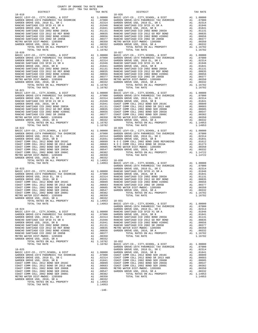| COUNTY OF ORANGE TAX RATE BOOK<br>2016-2017 TRA TAX RATES |                                  |            |
|-----------------------------------------------------------|----------------------------------|------------|
| DISTRICT<br>$18 - 019$                                    | TAX RATE                         | $18 - 026$ |
|                                                           |                                  |            |
|                                                           |                                  |            |
|                                                           |                                  |            |
|                                                           |                                  |            |
|                                                           |                                  |            |
|                                                           |                                  |            |
|                                                           |                                  |            |
|                                                           |                                  |            |
|                                                           |                                  |            |
|                                                           |                                  |            |
|                                                           |                                  |            |
|                                                           |                                  |            |
|                                                           |                                  |            |
|                                                           |                                  |            |
|                                                           |                                  |            |
|                                                           |                                  |            |
|                                                           |                                  |            |
|                                                           |                                  |            |
|                                                           |                                  |            |
|                                                           |                                  |            |
|                                                           |                                  |            |
|                                                           |                                  |            |
|                                                           |                                  |            |
|                                                           |                                  |            |
|                                                           |                                  |            |
|                                                           |                                  |            |
|                                                           |                                  |            |
|                                                           |                                  |            |
|                                                           |                                  |            |
|                                                           |                                  |            |
|                                                           |                                  |            |
|                                                           |                                  |            |
|                                                           |                                  |            |
|                                                           |                                  |            |
|                                                           |                                  |            |
|                                                           |                                  |            |
|                                                           |                                  |            |
|                                                           |                                  |            |
|                                                           |                                  |            |
|                                                           |                                  |            |
|                                                           |                                  |            |
|                                                           |                                  |            |
|                                                           |                                  |            |
|                                                           |                                  |            |
|                                                           |                                  | GARDEN     |
|                                                           |                                  |            |
|                                                           |                                  |            |
|                                                           |                                  |            |
|                                                           |                                  |            |
|                                                           |                                  |            |
|                                                           |                                  |            |
|                                                           |                                  |            |
|                                                           |                                  |            |
|                                                           | A1 .00350<br>A1 .00332<br>.00332 |            |
| RUVE USD, ZUIU, SK A<br>TOTAL RATES ON ALL PROPERTY       | A1 1.14953                       | $18 - 031$ |
| TOTAL TAX RATE                                            | 1.14953                          | BASIC L    |
|                                                           |                                  | GARDEN     |
| $18 - 024$                                                |                                  | GARDEN     |
|                                                           |                                  |            |
|                                                           |                                  |            |
|                                                           |                                  |            |
|                                                           |                                  |            |
|                                                           |                                  |            |
|                                                           |                                  |            |
|                                                           |                                  |            |
|                                                           |                                  |            |
|                                                           |                                  |            |
| TOTAL TAX RATE                                            | 1.16782                          | BASIC L    |
|                                                           |                                  | GARDEN     |
| $18 - 025$                                                |                                  | GARDEN     |
|                                                           |                                  |            |
|                                                           |                                  |            |
|                                                           |                                  |            |
|                                                           |                                  |            |
|                                                           |                                  |            |
|                                                           |                                  |            |
|                                                           |                                  |            |
| GARDEN GROVE USD, 2010, SR A                              | A1 .00350<br>A1 .00332           |            |
| TOTAL RATES ON ALL PROPERTY                               | A1 1.14953                       |            |
| TOTAL TAX RATE                                            | 1.14953                          |            |

| DISTRICT   | 2016-2017 TRA TAX RATES | TAX RATE | DISTRICT   | TAX RATE |
|------------|-------------------------|----------|------------|----------|
| $18 - 019$ |                         |          | $18 - 026$ |          |
|            |                         |          |            |          |
|            |                         |          |            |          |
|            |                         |          |            |          |
|            |                         |          |            |          |
|            |                         |          |            |          |
|            |                         |          |            |          |
|            |                         |          |            |          |
|            |                         |          |            |          |
|            |                         |          |            |          |
|            |                         |          |            |          |
|            |                         |          |            |          |
|            |                         |          |            |          |
|            |                         |          |            |          |
|            |                         |          |            |          |
|            |                         |          |            |          |
|            |                         |          |            |          |
|            |                         |          |            |          |
|            |                         |          |            |          |
|            |                         |          |            |          |
|            |                         |          |            |          |
|            |                         |          |            |          |
|            |                         |          |            |          |
|            |                         |          |            |          |
|            |                         |          |            |          |
|            |                         |          |            |          |
|            |                         |          |            |          |
|            |                         |          |            |          |
|            |                         |          |            |          |
|            |                         |          |            |          |
|            |                         |          |            |          |
|            |                         |          |            |          |
|            |                         |          |            |          |
|            |                         |          |            |          |
|            |                         |          |            |          |
|            |                         |          |            |          |
|            |                         |          |            |          |
|            |                         |          |            |          |
|            |                         |          |            |          |
|            |                         |          |            |          |
|            |                         |          |            |          |
|            |                         |          |            |          |
|            |                         |          |            |          |
|            |                         |          |            |          |
|            |                         |          |            |          |
|            |                         |          |            |          |
|            |                         |          |            |          |
|            |                         |          |            |          |
|            |                         |          |            |          |
|            |                         |          |            |          |
|            |                         |          |            |          |
|            |                         |          |            |          |
|            |                         |          |            |          |
|            |                         |          |            |          |
|            |                         |          |            |          |
|            |                         |          |            |          |
|            |                         |          |            |          |
|            |                         |          |            |          |
|            |                         |          |            |          |
|            |                         |          |            |          |
|            |                         |          |            |          |
|            |                         |          |            |          |
|            |                         |          |            |          |
|            |                         |          |            |          |
|            |                         |          |            |          |
|            |                         |          |            |          |
|            |                         |          |            |          |
|            |                         |          |            |          |
|            |                         |          |            |          |
|            |                         |          |            |          |
|            |                         |          |            |          |
|            |                         |          |            |          |
|            |                         |          |            |          |
|            |                         |          |            |          |
|            |                         |          |            |          |
|            |                         |          |            |          |
|            |                         |          |            |          |
|            |                         |          |            |          |
|            |                         |          |            |          |
|            |                         |          |            |          |
|            |                         |          |            |          |
|            |                         |          |            |          |
|            |                         |          |            |          |
|            |                         |          |            |          |
|            |                         |          |            |          |
|            |                         |          |            |          |
|            |                         |          |            |          |
|            |                         |          |            |          |
|            |                         |          |            |          |
|            |                         |          |            |          |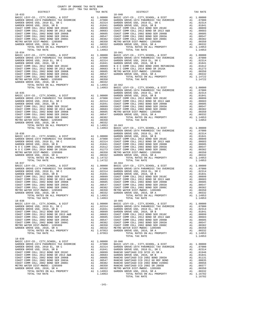| COUNTY OF ORANGE TAX RATE BOOK<br>2016-2017 TRA TAX RATES |                                                                                                                                                                                                                                                                       |            |
|-----------------------------------------------------------|-----------------------------------------------------------------------------------------------------------------------------------------------------------------------------------------------------------------------------------------------------------------------|------------|
| DISTRICT<br>$18 - 033$                                    | TAX RATE                                                                                                                                                                                                                                                              | $18 - 040$ |
|                                                           |                                                                                                                                                                                                                                                                       |            |
|                                                           |                                                                                                                                                                                                                                                                       |            |
|                                                           |                                                                                                                                                                                                                                                                       |            |
|                                                           |                                                                                                                                                                                                                                                                       |            |
|                                                           |                                                                                                                                                                                                                                                                       |            |
|                                                           |                                                                                                                                                                                                                                                                       |            |
|                                                           |                                                                                                                                                                                                                                                                       |            |
|                                                           |                                                                                                                                                                                                                                                                       |            |
|                                                           |                                                                                                                                                                                                                                                                       |            |
|                                                           |                                                                                                                                                                                                                                                                       |            |
|                                                           |                                                                                                                                                                                                                                                                       |            |
|                                                           |                                                                                                                                                                                                                                                                       |            |
|                                                           |                                                                                                                                                                                                                                                                       |            |
| $18 - 034$                                                |                                                                                                                                                                                                                                                                       | $18 - 041$ |
|                                                           |                                                                                                                                                                                                                                                                       |            |
|                                                           |                                                                                                                                                                                                                                                                       |            |
|                                                           |                                                                                                                                                                                                                                                                       |            |
|                                                           |                                                                                                                                                                                                                                                                       |            |
|                                                           |                                                                                                                                                                                                                                                                       |            |
|                                                           |                                                                                                                                                                                                                                                                       |            |
|                                                           |                                                                                                                                                                                                                                                                       |            |
|                                                           |                                                                                                                                                                                                                                                                       |            |
|                                                           |                                                                                                                                                                                                                                                                       |            |
|                                                           |                                                                                                                                                                                                                                                                       |            |
|                                                           |                                                                                                                                                                                                                                                                       |            |
|                                                           |                                                                                                                                                                                                                                                                       |            |
|                                                           |                                                                                                                                                                                                                                                                       | GARDEN     |
|                                                           |                                                                                                                                                                                                                                                                       |            |
|                                                           |                                                                                                                                                                                                                                                                       |            |
|                                                           |                                                                                                                                                                                                                                                                       |            |
|                                                           |                                                                                                                                                                                                                                                                       |            |
|                                                           |                                                                                                                                                                                                                                                                       |            |
|                                                           |                                                                                                                                                                                                                                                                       |            |
|                                                           |                                                                                                                                                                                                                                                                       |            |
|                                                           |                                                                                                                                                                                                                                                                       |            |
|                                                           |                                                                                                                                                                                                                                                                       |            |
|                                                           |                                                                                                                                                                                                                                                                       |            |
|                                                           |                                                                                                                                                                                                                                                                       |            |
|                                                           |                                                                                                                                                                                                                                                                       |            |
|                                                           |                                                                                                                                                                                                                                                                       |            |
|                                                           |                                                                                                                                                                                                                                                                       |            |
|                                                           |                                                                                                                                                                                                                                                                       | GARDEN     |
|                                                           |                                                                                                                                                                                                                                                                       |            |
|                                                           |                                                                                                                                                                                                                                                                       |            |
|                                                           |                                                                                                                                                                                                                                                                       |            |
|                                                           |                                                                                                                                                                                                                                                                       |            |
|                                                           |                                                                                                                                                                                                                                                                       |            |
|                                                           |                                                                                                                                                                                                                                                                       |            |
|                                                           |                                                                                                                                                                                                                                                                       |            |
|                                                           |                                                                                                                                                                                                                                                                       |            |
|                                                           |                                                                                                                                                                                                                                                                       |            |
|                                                           |                                                                                                                                                                                                                                                                       |            |
|                                                           |                                                                                                                                                                                                                                                                       |            |
| $18 - 037$                                                |                                                                                                                                                                                                                                                                       | $18 - 044$ |
|                                                           |                                                                                                                                                                                                                                                                       |            |
|                                                           |                                                                                                                                                                                                                                                                       |            |
|                                                           |                                                                                                                                                                                                                                                                       |            |
|                                                           |                                                                                                                                                                                                                                                                       |            |
|                                                           |                                                                                                                                                                                                                                                                       |            |
|                                                           |                                                                                                                                                                                                                                                                       |            |
|                                                           |                                                                                                                                                                                                                                                                       |            |
|                                                           |                                                                                                                                                                                                                                                                       |            |
|                                                           |                                                                                                                                                                                                                                                                       |            |
|                                                           |                                                                                                                                                                                                                                                                       |            |
|                                                           |                                                                                                                                                                                                                                                                       |            |
| TOTAL RATES ON ALL PROPERTY<br>TOTAL TAX RATE             | A1 1.14953<br>1.14953                                                                                                                                                                                                                                                 |            |
| $18 - 038$                                                |                                                                                                                                                                                                                                                                       | $18 - 045$ |
| BASIC LEVY-CO., CITY, SCHOOL, & DIST                      |                                                                                                                                                                                                                                                                       |            |
| GARDEN GROVE USD, 2010 EL, SR C                           |                                                                                                                                                                                                                                                                       |            |
| GARDEN GROVE USD, 2010, SR B                              |                                                                                                                                                                                                                                                                       |            |
| COAST COMM COLL 2012 BOND SER 2016C                       |                                                                                                                                                                                                                                                                       |            |
| COAST COMM COLL 2012 BOND SR 2013 A&B                     |                                                                                                                                                                                                                                                                       |            |
| COAST COMM COLL 2002 BOND SER 2006B                       |                                                                                                                                                                                                                                                                       |            |
| COAST COMM COLL 2002 BOND SER 2003A                       |                                                                                                                                                                                                                                                                       |            |
| COAST COMM COLL 2002 BOND SER 2006C                       |                                                                                                                                                                                                                                                                       |            |
| METRO WATER DIST-MWDOC- 1205999                           |                                                                                                                                                                                                                                                                       |            |
| GARDEN GROVE USD, 2010, SR A                              |                                                                                                                                                                                                                                                                       |            |
| TOTAL RATES ON ALL PROPERTY                               | 18-045<br>A1 1.00000 BASIC L<br>A1 .02314 GARDEN<br>A1 .01849 GARDEN<br>A1 .00699 GARDEN<br>A1 .00683 COAST C<br>A1 .00663 COAST C<br>A1 .00547 COAST C<br>A1 .00382 COAST C<br>A1 .00382 COAST C<br>A1 .00332 METRO W<br>A1 .00332 METRO W<br>A1 .00332 METRO W<br>A |            |
| TOTAL TAX RATE                                            | 1.07953                                                                                                                                                                                                                                                               |            |
| $18 - 039$                                                |                                                                                                                                                                                                                                                                       |            |
|                                                           |                                                                                                                                                                                                                                                                       |            |
|                                                           |                                                                                                                                                                                                                                                                       |            |
|                                                           |                                                                                                                                                                                                                                                                       |            |
|                                                           |                                                                                                                                                                                                                                                                       |            |
|                                                           |                                                                                                                                                                                                                                                                       |            |
| COAST COMM COLL 2012 BOND SR 2013 A&B                     |                                                                                                                                                                                                                                                                       |            |
| COAST COMM COLL 2002 BOND SER 2006B                       |                                                                                                                                                                                                                                                                       |            |
| COAST COMM COLL 2002 BOND SER 2003A                       | A1 .00899 NAHOLLAS<br>A1 .00683 GARDEN<br>A1 .00665 RANCHO<br>A1 .00547 RANCHO<br>A1 .00382 RANCHO                                                                                                                                                                    |            |
| COAST COMM COLL 2002 BOND SER 2006C                       |                                                                                                                                                                                                                                                                       |            |
|                                                           |                                                                                                                                                                                                                                                                       |            |

| OASI CUMM CULL ZUUZ BUND SER ZUUUB. |  |
|-------------------------------------|--|
| OAST COMM COLL 2002 BOND SER 2003A  |  |
| OAST COMM COLL 2002 BOND SER 2006C  |  |
| ETRO WATER DIST-MWDOC- 1205999      |  |
| ARDEN GROVE USD. 2010. SR A         |  |
| TOTAL RATES ON ALL PROPERTY         |  |
| <b>TOTAL TAY DATE</b>               |  |

| DISTRICT       | TAX RATE | DISTRICT               |         | TAX RATE |
|----------------|----------|------------------------|---------|----------|
| $18 - 033$     |          | $18 - 040$             |         |          |
|                |          |                        |         |          |
|                |          |                        |         |          |
|                |          |                        |         |          |
|                |          |                        |         |          |
|                |          |                        |         |          |
|                |          |                        |         |          |
|                |          |                        |         |          |
|                |          |                        |         |          |
|                |          |                        |         |          |
|                |          |                        |         |          |
|                |          |                        |         |          |
|                |          |                        |         |          |
|                |          |                        |         |          |
|                |          |                        |         |          |
|                |          |                        |         |          |
|                |          |                        |         |          |
|                |          |                        |         |          |
|                |          |                        |         |          |
|                |          |                        |         |          |
|                |          |                        |         |          |
|                |          |                        |         |          |
|                |          |                        |         |          |
|                |          |                        |         |          |
|                |          |                        |         |          |
|                |          |                        |         |          |
|                |          |                        |         |          |
|                |          |                        |         |          |
|                |          |                        |         |          |
|                |          |                        |         |          |
| $18 - 037$     |          | $18 - 044$             |         |          |
|                |          |                        |         |          |
|                |          |                        |         |          |
|                |          |                        |         |          |
|                |          |                        |         |          |
|                |          |                        |         |          |
|                |          |                        |         |          |
| TOTAL TAX RATE |          | 1.14953 TOTAL TAX RATE | 1.14953 |          |
| $18 - 038$     |          | $18 - 045$             |         |          |
|                |          |                        |         |          |
|                |          |                        |         |          |
|                |          |                        |         |          |
|                |          |                        |         |          |
|                |          |                        |         |          |
|                |          |                        |         |          |
|                |          |                        |         |          |
| $18 - 039$     |          |                        |         |          |
|                |          |                        |         |          |
|                |          |                        |         |          |
|                |          |                        |         |          |
|                |          |                        |         |          |
|                |          |                        |         |          |
|                |          |                        |         |          |
|                |          |                        |         |          |
|                |          |                        |         |          |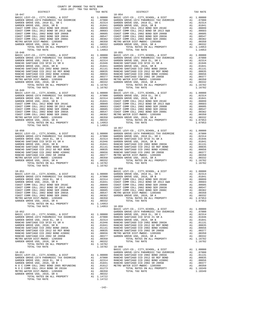| $18 - 047$                                                                                  |                                       | $18 - 054$        |
|---------------------------------------------------------------------------------------------|---------------------------------------|-------------------|
| TOTAL TAX RATE                                                                              | 1.14953                               |                   |
| $18 - 048$                                                                                  |                                       | $18 - 055$        |
|                                                                                             |                                       |                   |
|                                                                                             |                                       | $18 - 057$        |
|                                                                                             |                                       | $18 - 058$        |
| $18 - 052$                                                                                  |                                       | BASIC L<br>GARDEN |
| $18 - 053$<br>GARDEN GROVE USD, 2010, SR A<br>TOTAL RATES ON ALL PROPERTY<br>TOTAL TAX RATE | $A1$ . 00332<br>A1 1.14722<br>1.14722 | BASIC L<br>GARDEN |

| DISTRICT | 2016-2017 TRA TAX RATES | TAX RATE | DISTRICT                                                                                                                                                                                                                                                                                                                                                                                                                          | TAX RATE |
|----------|-------------------------|----------|-----------------------------------------------------------------------------------------------------------------------------------------------------------------------------------------------------------------------------------------------------------------------------------------------------------------------------------------------------------------------------------------------------------------------------------|----------|
|          |                         |          |                                                                                                                                                                                                                                                                                                                                                                                                                                   |          |
|          |                         |          |                                                                                                                                                                                                                                                                                                                                                                                                                                   |          |
|          |                         |          |                                                                                                                                                                                                                                                                                                                                                                                                                                   |          |
|          |                         |          |                                                                                                                                                                                                                                                                                                                                                                                                                                   |          |
|          |                         |          |                                                                                                                                                                                                                                                                                                                                                                                                                                   |          |
|          |                         |          |                                                                                                                                                                                                                                                                                                                                                                                                                                   |          |
|          |                         |          |                                                                                                                                                                                                                                                                                                                                                                                                                                   |          |
|          |                         |          |                                                                                                                                                                                                                                                                                                                                                                                                                                   |          |
|          |                         |          |                                                                                                                                                                                                                                                                                                                                                                                                                                   |          |
|          |                         |          |                                                                                                                                                                                                                                                                                                                                                                                                                                   |          |
|          |                         |          |                                                                                                                                                                                                                                                                                                                                                                                                                                   |          |
|          |                         |          |                                                                                                                                                                                                                                                                                                                                                                                                                                   |          |
|          |                         |          |                                                                                                                                                                                                                                                                                                                                                                                                                                   |          |
|          |                         |          |                                                                                                                                                                                                                                                                                                                                                                                                                                   |          |
|          |                         |          |                                                                                                                                                                                                                                                                                                                                                                                                                                   |          |
|          |                         |          |                                                                                                                                                                                                                                                                                                                                                                                                                                   |          |
|          |                         |          |                                                                                                                                                                                                                                                                                                                                                                                                                                   |          |
|          |                         |          |                                                                                                                                                                                                                                                                                                                                                                                                                                   |          |
|          |                         |          |                                                                                                                                                                                                                                                                                                                                                                                                                                   |          |
|          |                         |          |                                                                                                                                                                                                                                                                                                                                                                                                                                   |          |
|          |                         |          |                                                                                                                                                                                                                                                                                                                                                                                                                                   |          |
|          |                         |          |                                                                                                                                                                                                                                                                                                                                                                                                                                   |          |
|          |                         |          |                                                                                                                                                                                                                                                                                                                                                                                                                                   |          |
|          |                         |          |                                                                                                                                                                                                                                                                                                                                                                                                                                   |          |
|          |                         |          |                                                                                                                                                                                                                                                                                                                                                                                                                                   |          |
|          |                         |          |                                                                                                                                                                                                                                                                                                                                                                                                                                   |          |
|          |                         |          |                                                                                                                                                                                                                                                                                                                                                                                                                                   |          |
|          |                         |          |                                                                                                                                                                                                                                                                                                                                                                                                                                   |          |
|          |                         |          |                                                                                                                                                                                                                                                                                                                                                                                                                                   |          |
|          |                         |          |                                                                                                                                                                                                                                                                                                                                                                                                                                   |          |
|          |                         |          |                                                                                                                                                                                                                                                                                                                                                                                                                                   |          |
|          |                         |          |                                                                                                                                                                                                                                                                                                                                                                                                                                   |          |
|          |                         |          |                                                                                                                                                                                                                                                                                                                                                                                                                                   |          |
|          |                         |          |                                                                                                                                                                                                                                                                                                                                                                                                                                   |          |
|          |                         |          |                                                                                                                                                                                                                                                                                                                                                                                                                                   |          |
|          |                         |          |                                                                                                                                                                                                                                                                                                                                                                                                                                   |          |
|          |                         |          |                                                                                                                                                                                                                                                                                                                                                                                                                                   |          |
|          |                         |          |                                                                                                                                                                                                                                                                                                                                                                                                                                   |          |
|          |                         |          |                                                                                                                                                                                                                                                                                                                                                                                                                                   |          |
|          |                         |          |                                                                                                                                                                                                                                                                                                                                                                                                                                   |          |
|          |                         |          |                                                                                                                                                                                                                                                                                                                                                                                                                                   |          |
|          |                         |          |                                                                                                                                                                                                                                                                                                                                                                                                                                   |          |
|          |                         |          |                                                                                                                                                                                                                                                                                                                                                                                                                                   |          |
|          |                         |          |                                                                                                                                                                                                                                                                                                                                                                                                                                   |          |
|          |                         |          |                                                                                                                                                                                                                                                                                                                                                                                                                                   |          |
|          |                         |          |                                                                                                                                                                                                                                                                                                                                                                                                                                   |          |
|          |                         |          | $\begin{tabular}{c cccc} \multicolumn{4}{c}{\textbf{1.14953}} & \multicolumn{4}{c}{\textbf{1.14953}} & \multicolumn{4}{c}{\textbf{1.14953}} & \multicolumn{4}{c}{\textbf{1.14953}} & \multicolumn{4}{c}{\textbf{1.14953}} & \multicolumn{4}{c}{\textbf{1.14953}} & \multicolumn{4}{c}{\textbf{1.14953}} & \multicolumn{4}{c}{\textbf{1.10000}} & \multicolumn{4}{c}{\textbf{0.1415}} & \multicolumn{4}{c}{\textbf{$<br>$18 - 058$ |          |
|          |                         |          |                                                                                                                                                                                                                                                                                                                                                                                                                                   |          |
|          |                         |          |                                                                                                                                                                                                                                                                                                                                                                                                                                   |          |
|          |                         |          |                                                                                                                                                                                                                                                                                                                                                                                                                                   |          |
|          |                         |          |                                                                                                                                                                                                                                                                                                                                                                                                                                   |          |
|          |                         |          |                                                                                                                                                                                                                                                                                                                                                                                                                                   |          |
|          |                         |          |                                                                                                                                                                                                                                                                                                                                                                                                                                   |          |
|          |                         |          |                                                                                                                                                                                                                                                                                                                                                                                                                                   |          |
|          |                         |          |                                                                                                                                                                                                                                                                                                                                                                                                                                   |          |
|          |                         |          |                                                                                                                                                                                                                                                                                                                                                                                                                                   |          |
|          |                         |          |                                                                                                                                                                                                                                                                                                                                                                                                                                   |          |
|          |                         |          | VETRO WATER DIST-MWDOC-1205999 A1 .00352 GARDEN COASI CONSIL PROPERTY A1 1.07953<br>METRO WATER DIST-MWDOC-1205999 A1 .00330 TOTAL RATES ON ALL PROPERTY A1 1.07953<br>GARDEN GROE USD (SR A A1 .00332 TOTAL TAX RATE ALL PROPERTY                                                                                                                                                                                                |          |
|          |                         |          |                                                                                                                                                                                                                                                                                                                                                                                                                                   |          |
|          |                         |          |                                                                                                                                                                                                                                                                                                                                                                                                                                   |          |
|          |                         |          |                                                                                                                                                                                                                                                                                                                                                                                                                                   |          |
|          |                         |          |                                                                                                                                                                                                                                                                                                                                                                                                                                   |          |
|          |                         |          |                                                                                                                                                                                                                                                                                                                                                                                                                                   |          |
|          |                         |          |                                                                                                                                                                                                                                                                                                                                                                                                                                   |          |
|          |                         |          |                                                                                                                                                                                                                                                                                                                                                                                                                                   |          |
|          |                         |          |                                                                                                                                                                                                                                                                                                                                                                                                                                   |          |
|          |                         |          |                                                                                                                                                                                                                                                                                                                                                                                                                                   |          |
|          |                         |          |                                                                                                                                                                                                                                                                                                                                                                                                                                   |          |
|          |                         |          |                                                                                                                                                                                                                                                                                                                                                                                                                                   |          |
|          |                         |          |                                                                                                                                                                                                                                                                                                                                                                                                                                   |          |
|          |                         |          |                                                                                                                                                                                                                                                                                                                                                                                                                                   |          |
|          |                         |          |                                                                                                                                                                                                                                                                                                                                                                                                                                   |          |
|          |                         |          |                                                                                                                                                                                                                                                                                                                                                                                                                                   |          |
|          |                         |          |                                                                                                                                                                                                                                                                                                                                                                                                                                   |          |
|          |                         |          |                                                                                                                                                                                                                                                                                                                                                                                                                                   |          |
|          |                         |          |                                                                                                                                                                                                                                                                                                                                                                                                                                   |          |
|          |                         |          |                                                                                                                                                                                                                                                                                                                                                                                                                                   |          |
|          |                         |          |                                                                                                                                                                                                                                                                                                                                                                                                                                   |          |
|          |                         |          |                                                                                                                                                                                                                                                                                                                                                                                                                                   |          |
|          |                         |          |                                                                                                                                                                                                                                                                                                                                                                                                                                   |          |
|          |                         |          |                                                                                                                                                                                                                                                                                                                                                                                                                                   |          |
|          |                         |          |                                                                                                                                                                                                                                                                                                                                                                                                                                   |          |

-142-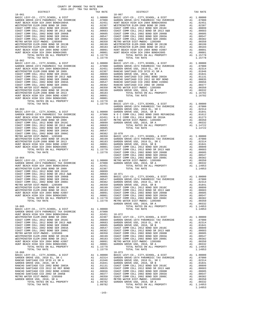| TOTAL TAX RATE                                                                   |                                                                                                                                                                                       | 1.15778                                                                                                                                                                                                                                                          |            |
|----------------------------------------------------------------------------------|---------------------------------------------------------------------------------------------------------------------------------------------------------------------------------------|------------------------------------------------------------------------------------------------------------------------------------------------------------------------------------------------------------------------------------------------------------------|------------|
| $18 - 062$                                                                       |                                                                                                                                                                                       |                                                                                                                                                                                                                                                                  | $18 - 068$ |
|                                                                                  |                                                                                                                                                                                       |                                                                                                                                                                                                                                                                  |            |
|                                                                                  |                                                                                                                                                                                       |                                                                                                                                                                                                                                                                  |            |
|                                                                                  |                                                                                                                                                                                       |                                                                                                                                                                                                                                                                  |            |
|                                                                                  |                                                                                                                                                                                       |                                                                                                                                                                                                                                                                  |            |
|                                                                                  |                                                                                                                                                                                       |                                                                                                                                                                                                                                                                  |            |
|                                                                                  |                                                                                                                                                                                       |                                                                                                                                                                                                                                                                  |            |
|                                                                                  |                                                                                                                                                                                       |                                                                                                                                                                                                                                                                  |            |
|                                                                                  |                                                                                                                                                                                       |                                                                                                                                                                                                                                                                  |            |
|                                                                                  |                                                                                                                                                                                       |                                                                                                                                                                                                                                                                  |            |
|                                                                                  |                                                                                                                                                                                       |                                                                                                                                                                                                                                                                  |            |
|                                                                                  |                                                                                                                                                                                       |                                                                                                                                                                                                                                                                  |            |
|                                                                                  |                                                                                                                                                                                       |                                                                                                                                                                                                                                                                  |            |
|                                                                                  |                                                                                                                                                                                       |                                                                                                                                                                                                                                                                  | GARDEN     |
| $18 - 063$                                                                       |                                                                                                                                                                                       |                                                                                                                                                                                                                                                                  | GARDEN     |
|                                                                                  |                                                                                                                                                                                       |                                                                                                                                                                                                                                                                  |            |
|                                                                                  |                                                                                                                                                                                       |                                                                                                                                                                                                                                                                  |            |
|                                                                                  |                                                                                                                                                                                       |                                                                                                                                                                                                                                                                  |            |
|                                                                                  |                                                                                                                                                                                       |                                                                                                                                                                                                                                                                  |            |
|                                                                                  |                                                                                                                                                                                       |                                                                                                                                                                                                                                                                  |            |
|                                                                                  |                                                                                                                                                                                       |                                                                                                                                                                                                                                                                  |            |
|                                                                                  |                                                                                                                                                                                       |                                                                                                                                                                                                                                                                  |            |
|                                                                                  |                                                                                                                                                                                       |                                                                                                                                                                                                                                                                  |            |
|                                                                                  |                                                                                                                                                                                       |                                                                                                                                                                                                                                                                  |            |
|                                                                                  |                                                                                                                                                                                       |                                                                                                                                                                                                                                                                  |            |
|                                                                                  |                                                                                                                                                                                       |                                                                                                                                                                                                                                                                  |            |
|                                                                                  |                                                                                                                                                                                       |                                                                                                                                                                                                                                                                  |            |
|                                                                                  |                                                                                                                                                                                       |                                                                                                                                                                                                                                                                  |            |
|                                                                                  |                                                                                                                                                                                       |                                                                                                                                                                                                                                                                  |            |
|                                                                                  |                                                                                                                                                                                       |                                                                                                                                                                                                                                                                  |            |
|                                                                                  |                                                                                                                                                                                       |                                                                                                                                                                                                                                                                  |            |
|                                                                                  |                                                                                                                                                                                       |                                                                                                                                                                                                                                                                  |            |
|                                                                                  |                                                                                                                                                                                       |                                                                                                                                                                                                                                                                  |            |
|                                                                                  |                                                                                                                                                                                       |                                                                                                                                                                                                                                                                  |            |
|                                                                                  |                                                                                                                                                                                       |                                                                                                                                                                                                                                                                  |            |
|                                                                                  |                                                                                                                                                                                       |                                                                                                                                                                                                                                                                  |            |
|                                                                                  |                                                                                                                                                                                       |                                                                                                                                                                                                                                                                  |            |
|                                                                                  |                                                                                                                                                                                       |                                                                                                                                                                                                                                                                  |            |
|                                                                                  |                                                                                                                                                                                       |                                                                                                                                                                                                                                                                  |            |
|                                                                                  |                                                                                                                                                                                       |                                                                                                                                                                                                                                                                  |            |
|                                                                                  |                                                                                                                                                                                       |                                                                                                                                                                                                                                                                  |            |
|                                                                                  |                                                                                                                                                                                       |                                                                                                                                                                                                                                                                  | GARDEN     |
| $18 - 065$                                                                       |                                                                                                                                                                                       | A1 1.00000                                                                                                                                                                                                                                                       |            |
| BASIC LEVY-CO., CITY, SCHOOL, & DIST<br>GARDEN GROVE-1974 PARAMEDIC TAX OVERRIDE | A1                                                                                                                                                                                    | .07000                                                                                                                                                                                                                                                           |            |
| HUNT BEACH HIGH SCH 2004 BOND#2004A                                              |                                                                                                                                                                                       |                                                                                                                                                                                                                                                                  |            |
| WESTMINSTER ELEM-2008 BOND SR 2009                                               |                                                                                                                                                                                       |                                                                                                                                                                                                                                                                  |            |
| COAST COMM COLL 2012 BOND SER 2016C<br>COAST COMM COLL 2012 BOND SR 2013 A&B     | A1 .02451 18-072<br>A1 .02387 BASIC L<br>A1 .00893 GARDEN<br>A1 .00683 GARDEN<br>A1 .00605 GARDEN<br>A1 .00507 COAST C<br>A1 .00382 COAST C<br>A1 .00350 COAST C<br>A1 .00350 COAST C |                                                                                                                                                                                                                                                                  |            |
| COAST COMM COLL 2002 BOND SER 2006B                                              |                                                                                                                                                                                       |                                                                                                                                                                                                                                                                  |            |
| COAST COMM COLL 2002 BOND SER 2003A                                              |                                                                                                                                                                                       |                                                                                                                                                                                                                                                                  |            |
| COAST COMM COLL 2002 BOND SER 2006C<br>METRO WATER DIST-MWDOC- 1205999           |                                                                                                                                                                                       |                                                                                                                                                                                                                                                                  |            |
| WESTMINSTER ELEM-2008 BOND SR 2013B                                              |                                                                                                                                                                                       |                                                                                                                                                                                                                                                                  |            |
| WESTMINSTER ELEM-2008 BOND SR 2013                                               |                                                                                                                                                                                       |                                                                                                                                                                                                                                                                  |            |
| HUNT BEACH HIGH SCH 2004 BOND #2007                                              |                                                                                                                                                                                       | AL .00382 COAST C<br>Al .00350 COAST C<br>Al .00350 COAST C<br>Al .00193 COAST C<br>Al .00001 COAST C<br>Al .00001 METRO W<br>Al .00001 METRO W<br>Al .00001 GARDEN                                                                                              |            |
| HUNT BEACH HIGH SCH 2004 BOND#2005<br>TOTAL RATES ON ALL PROPERTY                |                                                                                                                                                                                       | A1 1.15778                                                                                                                                                                                                                                                       |            |
| TOTAL TAX RATE                                                                   |                                                                                                                                                                                       | 1.15778                                                                                                                                                                                                                                                          |            |
| $18 - 066$                                                                       |                                                                                                                                                                                       |                                                                                                                                                                                                                                                                  | $18 - 073$ |
| BASIC LEVY-CO., CITY, SCHOOL, & DIST                                             |                                                                                                                                                                                       | 18-073<br>A1 1.00000 BASIC L<br>A1 .02314 GARDEN<br>A1 .01314 GARDEN<br>A1 .01841 GARDEN<br>A1 .01831 COAST C<br>A1 .00856 COAST C<br>A1 .00377 COAST C<br>A1 .00370 COAST C<br>A1 .00350 COAST C<br>A1 .00350 COAST C<br>A1 .00350 METRO N<br>A1 1.09782 GARDEN |            |
| GARDEN GROVE USD, 2010 EL, SR C<br>RANCHO SANTIAGO CCD SFID #1 SR A              |                                                                                                                                                                                       |                                                                                                                                                                                                                                                                  |            |
| GARDEN GROVE USD, 2010, SR B                                                     |                                                                                                                                                                                       |                                                                                                                                                                                                                                                                  |            |
| RANCHO SANTIAGO CCD 2002 BOND 2003A                                              |                                                                                                                                                                                       |                                                                                                                                                                                                                                                                  |            |
| RANCHO SANTIAGO CCD 2012 GO REF BOND<br>RANCHO SANTIAGO CCD 2002 BOND #2006C     | $\frac{\text{Al}}{\text{Al}}$                                                                                                                                                         |                                                                                                                                                                                                                                                                  |            |
| RANCHO SANTIAGO CCD 2002 SR 2005B                                                |                                                                                                                                                                                       |                                                                                                                                                                                                                                                                  |            |
| METRO WATER DIST-MWDOC- 1205999                                                  |                                                                                                                                                                                       |                                                                                                                                                                                                                                                                  |            |
| GARDEN GROVE USD, 2010, SR A                                                     |                                                                                                                                                                                       |                                                                                                                                                                                                                                                                  |            |
| TOTAL RATES ON ALL PROPERTY                                                      |                                                                                                                                                                                       |                                                                                                                                                                                                                                                                  |            |

| COUNTY OF ORANGE TAX RATE BOOK<br>2016-2017 TRA TAX RATES |          |            |          |
|-----------------------------------------------------------|----------|------------|----------|
| DISTRICT                                                  | TAX RATE | DISTRICT   | TAX RATE |
|                                                           |          | $18 - 067$ |          |
|                                                           |          |            |          |
|                                                           |          |            |          |
|                                                           |          |            |          |
|                                                           |          |            |          |
|                                                           |          |            |          |
|                                                           |          |            |          |
|                                                           |          |            |          |
|                                                           |          |            |          |
|                                                           |          |            |          |
|                                                           |          |            |          |
|                                                           |          |            |          |
|                                                           |          |            |          |
|                                                           |          |            |          |
|                                                           |          |            |          |
|                                                           |          |            |          |
|                                                           |          |            |          |
|                                                           |          |            |          |
|                                                           |          |            |          |
|                                                           |          |            |          |
|                                                           |          |            |          |
|                                                           |          |            |          |
|                                                           |          |            |          |
|                                                           |          |            |          |
|                                                           |          |            |          |
|                                                           |          |            |          |
|                                                           |          |            |          |
|                                                           |          |            |          |
|                                                           |          |            |          |
|                                                           |          |            |          |
|                                                           |          |            |          |
|                                                           |          |            |          |
|                                                           |          |            |          |
|                                                           |          |            |          |
|                                                           |          |            |          |
|                                                           |          |            |          |
|                                                           |          |            |          |
|                                                           |          |            |          |
|                                                           |          |            |          |
|                                                           |          |            |          |
|                                                           |          |            |          |
|                                                           |          |            |          |
|                                                           |          |            |          |
|                                                           |          |            |          |
|                                                           |          |            |          |
|                                                           |          |            |          |
|                                                           |          |            |          |
|                                                           |          |            |          |
|                                                           |          |            |          |
|                                                           |          |            |          |
|                                                           |          |            |          |
|                                                           |          |            |          |
|                                                           |          |            |          |
|                                                           |          |            |          |
|                                                           |          |            |          |
|                                                           |          |            |          |
|                                                           |          |            |          |
|                                                           |          |            |          |
|                                                           |          |            |          |
|                                                           |          |            |          |
|                                                           |          |            |          |
|                                                           |          |            |          |
|                                                           |          |            |          |
|                                                           |          |            |          |
|                                                           |          |            |          |
|                                                           |          |            |          |
|                                                           |          |            |          |
|                                                           |          |            |          |
|                                                           |          |            |          |
|                                                           |          |            |          |
|                                                           |          |            |          |
|                                                           |          |            |          |
|                                                           |          |            |          |
|                                                           |          |            |          |
|                                                           |          |            |          |
|                                                           |          |            |          |
|                                                           |          |            |          |
|                                                           |          |            |          |
|                                                           |          |            |          |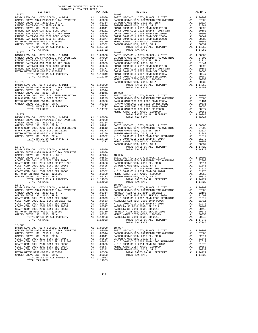| COUNTY OF ORANGE TAX RATE BOOK<br>2016-2017 TRA TAX RATES                                                                                                                                                                                                                                                                           |          |                                                                                                                              |                    |
|-------------------------------------------------------------------------------------------------------------------------------------------------------------------------------------------------------------------------------------------------------------------------------------------------------------------------------------|----------|------------------------------------------------------------------------------------------------------------------------------|--------------------|
| DISTRICT                                                                                                                                                                                                                                                                                                                            |          | TAX RATE                                                                                                                     |                    |
| $18 - 074$                                                                                                                                                                                                                                                                                                                          |          |                                                                                                                              | 18-081             |
|                                                                                                                                                                                                                                                                                                                                     |          |                                                                                                                              |                    |
|                                                                                                                                                                                                                                                                                                                                     |          |                                                                                                                              |                    |
|                                                                                                                                                                                                                                                                                                                                     |          |                                                                                                                              |                    |
|                                                                                                                                                                                                                                                                                                                                     |          |                                                                                                                              |                    |
|                                                                                                                                                                                                                                                                                                                                     |          |                                                                                                                              |                    |
|                                                                                                                                                                                                                                                                                                                                     |          |                                                                                                                              |                    |
|                                                                                                                                                                                                                                                                                                                                     |          |                                                                                                                              |                    |
|                                                                                                                                                                                                                                                                                                                                     |          |                                                                                                                              |                    |
|                                                                                                                                                                                                                                                                                                                                     |          |                                                                                                                              |                    |
|                                                                                                                                                                                                                                                                                                                                     |          |                                                                                                                              |                    |
|                                                                                                                                                                                                                                                                                                                                     |          |                                                                                                                              |                    |
|                                                                                                                                                                                                                                                                                                                                     |          |                                                                                                                              |                    |
|                                                                                                                                                                                                                                                                                                                                     |          |                                                                                                                              |                    |
|                                                                                                                                                                                                                                                                                                                                     |          |                                                                                                                              |                    |
|                                                                                                                                                                                                                                                                                                                                     |          |                                                                                                                              |                    |
|                                                                                                                                                                                                                                                                                                                                     |          |                                                                                                                              |                    |
|                                                                                                                                                                                                                                                                                                                                     |          |                                                                                                                              |                    |
|                                                                                                                                                                                                                                                                                                                                     |          |                                                                                                                              |                    |
|                                                                                                                                                                                                                                                                                                                                     |          |                                                                                                                              |                    |
|                                                                                                                                                                                                                                                                                                                                     |          |                                                                                                                              |                    |
| $18 - 076$                                                                                                                                                                                                                                                                                                                          |          |                                                                                                                              | GARDEN             |
| GARDEN GROVE-1974 PARAMEDIC TAX OVERRIDE A1 .00000 GARDEN GROVE-1974 PARAMEDIC TAX OVERRIDE A1 .07000 GARDEN GROVE USD 2010 EL, SR C                                                                                                                                                                                                |          |                                                                                                                              |                    |
|                                                                                                                                                                                                                                                                                                                                     |          | A1.02314                                                                                                                     |                    |
|                                                                                                                                                                                                                                                                                                                                     |          |                                                                                                                              |                    |
|                                                                                                                                                                                                                                                                                                                                     |          |                                                                                                                              |                    |
|                                                                                                                                                                                                                                                                                                                                     |          |                                                                                                                              |                    |
|                                                                                                                                                                                                                                                                                                                                     |          |                                                                                                                              |                    |
|                                                                                                                                                                                                                                                                                                                                     |          |                                                                                                                              |                    |
|                                                                                                                                                                                                                                                                                                                                     |          |                                                                                                                              |                    |
|                                                                                                                                                                                                                                                                                                                                     |          |                                                                                                                              | METRO W            |
|                                                                                                                                                                                                                                                                                                                                     |          |                                                                                                                              |                    |
|                                                                                                                                                                                                                                                                                                                                     |          |                                                                                                                              |                    |
|                                                                                                                                                                                                                                                                                                                                     |          |                                                                                                                              |                    |
|                                                                                                                                                                                                                                                                                                                                     |          |                                                                                                                              |                    |
|                                                                                                                                                                                                                                                                                                                                     |          |                                                                                                                              |                    |
|                                                                                                                                                                                                                                                                                                                                     |          |                                                                                                                              |                    |
|                                                                                                                                                                                                                                                                                                                                     |          |                                                                                                                              |                    |
|                                                                                                                                                                                                                                                                                                                                     |          |                                                                                                                              |                    |
|                                                                                                                                                                                                                                                                                                                                     |          |                                                                                                                              |                    |
|                                                                                                                                                                                                                                                                                                                                     |          |                                                                                                                              | GARDEN             |
| $18 - 078$                                                                                                                                                                                                                                                                                                                          |          |                                                                                                                              |                    |
|                                                                                                                                                                                                                                                                                                                                     |          |                                                                                                                              |                    |
|                                                                                                                                                                                                                                                                                                                                     |          |                                                                                                                              |                    |
|                                                                                                                                                                                                                                                                                                                                     |          |                                                                                                                              |                    |
|                                                                                                                                                                                                                                                                                                                                     |          |                                                                                                                              |                    |
|                                                                                                                                                                                                                                                                                                                                     |          |                                                                                                                              |                    |
|                                                                                                                                                                                                                                                                                                                                     |          |                                                                                                                              |                    |
|                                                                                                                                                                                                                                                                                                                                     |          |                                                                                                                              |                    |
|                                                                                                                                                                                                                                                                                                                                     |          |                                                                                                                              |                    |
|                                                                                                                                                                                                                                                                                                                                     |          |                                                                                                                              |                    |
|                                                                                                                                                                                                                                                                                                                                     |          |                                                                                                                              |                    |
|                                                                                                                                                                                                                                                                                                                                     |          |                                                                                                                              |                    |
| $\begin{tabular}{lllllllllll} 18-079 & & & & & & & & & 18-086 \\ \texttt{BASC LEVY-CO.}, & CITY, SCHOOL, & & DIST & & & & & & 10000 & BAST C & & & \\ \texttt{GARDEN GROVE-1974 PARRMEDIC TAX OVERILDE} & & & & & 1.00000 & BAST C & & \\ \texttt{GARDEN GROVE USD, 2010 EL, SR C} & & & & & & & 0.2314 & ANAHEIM \\ \end{tabular}$ |          |                                                                                                                              |                    |
|                                                                                                                                                                                                                                                                                                                                     |          |                                                                                                                              |                    |
|                                                                                                                                                                                                                                                                                                                                     |          |                                                                                                                              |                    |
| GARDEN GROVE USD, 2010, SR B                                                                                                                                                                                                                                                                                                        | A1       | .01841                                                                                                                       | ANAHEIM            |
| COAST COMM COLL 2012 BOND SER 2016C                                                                                                                                                                                                                                                                                                 | A1       | .00899                                                                                                                       | NOCC               |
| COAST COMM COLL 2012 BOND SR 2013 A&B                                                                                                                                                                                                                                                                                               | A1       | .00683                                                                                                                       | MAGNOLI            |
| COAST COMM COLL 2002 BOND SER 2006B                                                                                                                                                                                                                                                                                                 |          | A1 .00605 NOCC                                                                                                               |                    |
| COAST COMM COLL 2002 BOND SER 2003A<br>COAST COMM COLL 2002 BOND SER 2006C                                                                                                                                                                                                                                                          |          | A1.00547<br>A1.00382                                                                                                         | MAGNOLI<br>MAGNOLI |
| METRO WATER DIST-MWDOC- 1205999                                                                                                                                                                                                                                                                                                     | A1       | .00350                                                                                                                       | ANAHEIM            |
| GARDEN GROVE USD, 2010, SR A                                                                                                                                                                                                                                                                                                        | A1       | .00332                                                                                                                       | METRO W            |
| TOTAL RATES ON ALL PROPERTY                                                                                                                                                                                                                                                                                                         |          | A1 1.14953                                                                                                                   | MAGNOLI            |
| TOTAL TAX RATE                                                                                                                                                                                                                                                                                                                      |          | 1.14953                                                                                                                      |                    |
| $18 - 080$                                                                                                                                                                                                                                                                                                                          |          |                                                                                                                              |                    |
| BASIC LEVY-CO., CITY, SCHOOL, & DIST                                                                                                                                                                                                                                                                                                | A1       | 1.00000                                                                                                                      | 18-087             |
| GARDEN GROVE-1974 PARAMEDIC TAX OVERRIDE                                                                                                                                                                                                                                                                                            |          | A1 .07000                                                                                                                    | BASIC L            |
| GARDEN GROVE USD, 2010 EL, SR C<br>GARDEN GROVE USD, 2010, SR B                                                                                                                                                                                                                                                                     |          |                                                                                                                              |                    |
| COAST COMM COLL 2012 BOND SER 2016C                                                                                                                                                                                                                                                                                                 |          |                                                                                                                              |                    |
| COAST COMM COLL 2012 BOND SR 2013 A&B                                                                                                                                                                                                                                                                                               |          |                                                                                                                              |                    |
| COAST COMM COLL 2002 BOND SER 2006B                                                                                                                                                                                                                                                                                                 |          | A1 .0000 BASIC LARDEN<br>A1 .01841 GARDEN<br>A1 .01841 GARDEN<br>A1 .00683 N O C C<br>A1 .00683 N O C C<br>A1 .00647 METPO W |                    |
| COAST COMM COLL 2002 BOND SER 2003A                                                                                                                                                                                                                                                                                                 |          | A1.00547                                                                                                                     | METRO W            |
| COAST COMM COLL 2002 BOND SER 2006C                                                                                                                                                                                                                                                                                                 |          | A1 .00382<br>.00350                                                                                                          | GARDEN             |
| METRO WATER DIST-MWDOC- 1205999<br>GARDEN GROVE HSD 2010 SR A                                                                                                                                                                                                                                                                       | A1<br>A1 | 00332                                                                                                                        |                    |

| 2016-2017 TRA TAX RATES<br>DISTRICT | TAX RATE | DISTRICT | TAX RATE |
|-------------------------------------|----------|----------|----------|
|                                     |          |          |          |
|                                     |          |          |          |
|                                     |          |          |          |
|                                     |          |          |          |
|                                     |          |          |          |
|                                     |          |          |          |
|                                     |          |          |          |
|                                     |          |          |          |
|                                     |          |          |          |
|                                     |          |          |          |
|                                     |          |          |          |
|                                     |          |          |          |
|                                     |          |          |          |
|                                     |          |          |          |
|                                     |          |          |          |
|                                     |          |          |          |
|                                     |          |          |          |
|                                     |          |          |          |
|                                     |          |          |          |
|                                     |          |          |          |
|                                     |          |          |          |
|                                     |          |          |          |
|                                     |          |          |          |
|                                     |          |          |          |
|                                     |          |          |          |
|                                     |          |          |          |
|                                     |          |          |          |
|                                     |          |          |          |
|                                     |          |          |          |
|                                     |          |          |          |
|                                     |          |          |          |
|                                     |          |          |          |
|                                     |          |          |          |
|                                     |          |          |          |
|                                     |          |          |          |
|                                     |          |          |          |
|                                     |          |          |          |
|                                     |          |          |          |
|                                     |          |          |          |
|                                     |          |          |          |
|                                     |          |          |          |
|                                     |          |          |          |
|                                     |          |          |          |
|                                     |          |          |          |
|                                     |          |          |          |
|                                     |          |          |          |
|                                     |          |          |          |
|                                     |          |          |          |
|                                     |          |          |          |
|                                     |          |          |          |
|                                     |          |          |          |
|                                     |          |          |          |
|                                     |          |          |          |
|                                     |          |          |          |
|                                     |          |          |          |
|                                     |          |          |          |
|                                     |          |          |          |
|                                     |          |          |          |
| 18-080                              |          |          |          |
|                                     |          |          |          |
|                                     |          |          |          |
|                                     |          |          |          |
|                                     |          |          |          |
|                                     |          |          |          |
|                                     |          |          |          |
|                                     |          |          |          |
|                                     |          |          |          |
|                                     |          |          |          |
|                                     |          |          |          |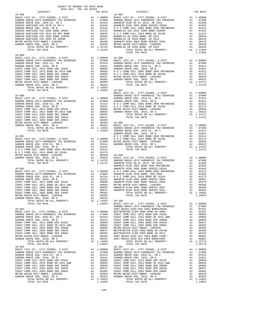| 2016-2017 TRA TAX RATES<br>$\begin{tabular}{l cccc} 18-088 & DISTRICT & 2016-2017 TRA TAR RATES & 18-095 \\ \hline \texttt{BASIC LEVY-CO.}, CITT, SCHOOL, & DISTR & 11.00000 & BASTC LEV-CO. , CITY, SCHOOL, & DISTR & 11.00000 \\ \texttt{GARDEN GROVE-1974 PARAMEDIC TAX OVERIDE & 11.00000 & BASTC LEV-CO. , CITY, SCHOOL, & DISTR & 11.00000 \\ \texttt{GARDEN GROVE-1974 PARAMEDIC TAX OVERIDE & 11.00000$ |  |  |  |
|-----------------------------------------------------------------------------------------------------------------------------------------------------------------------------------------------------------------------------------------------------------------------------------------------------------------------------------------------------------------------------------------------------------------|--|--|--|
|                                                                                                                                                                                                                                                                                                                                                                                                                 |  |  |  |
|                                                                                                                                                                                                                                                                                                                                                                                                                 |  |  |  |
|                                                                                                                                                                                                                                                                                                                                                                                                                 |  |  |  |
|                                                                                                                                                                                                                                                                                                                                                                                                                 |  |  |  |
|                                                                                                                                                                                                                                                                                                                                                                                                                 |  |  |  |
|                                                                                                                                                                                                                                                                                                                                                                                                                 |  |  |  |
|                                                                                                                                                                                                                                                                                                                                                                                                                 |  |  |  |
|                                                                                                                                                                                                                                                                                                                                                                                                                 |  |  |  |
|                                                                                                                                                                                                                                                                                                                                                                                                                 |  |  |  |
|                                                                                                                                                                                                                                                                                                                                                                                                                 |  |  |  |
|                                                                                                                                                                                                                                                                                                                                                                                                                 |  |  |  |
| $18 - 089$                                                                                                                                                                                                                                                                                                                                                                                                      |  |  |  |
|                                                                                                                                                                                                                                                                                                                                                                                                                 |  |  |  |
|                                                                                                                                                                                                                                                                                                                                                                                                                 |  |  |  |
|                                                                                                                                                                                                                                                                                                                                                                                                                 |  |  |  |
|                                                                                                                                                                                                                                                                                                                                                                                                                 |  |  |  |
|                                                                                                                                                                                                                                                                                                                                                                                                                 |  |  |  |
|                                                                                                                                                                                                                                                                                                                                                                                                                 |  |  |  |
|                                                                                                                                                                                                                                                                                                                                                                                                                 |  |  |  |
|                                                                                                                                                                                                                                                                                                                                                                                                                 |  |  |  |
|                                                                                                                                                                                                                                                                                                                                                                                                                 |  |  |  |
|                                                                                                                                                                                                                                                                                                                                                                                                                 |  |  |  |
|                                                                                                                                                                                                                                                                                                                                                                                                                 |  |  |  |
|                                                                                                                                                                                                                                                                                                                                                                                                                 |  |  |  |
|                                                                                                                                                                                                                                                                                                                                                                                                                 |  |  |  |
|                                                                                                                                                                                                                                                                                                                                                                                                                 |  |  |  |
|                                                                                                                                                                                                                                                                                                                                                                                                                 |  |  |  |
|                                                                                                                                                                                                                                                                                                                                                                                                                 |  |  |  |
|                                                                                                                                                                                                                                                                                                                                                                                                                 |  |  |  |
|                                                                                                                                                                                                                                                                                                                                                                                                                 |  |  |  |
|                                                                                                                                                                                                                                                                                                                                                                                                                 |  |  |  |
|                                                                                                                                                                                                                                                                                                                                                                                                                 |  |  |  |
|                                                                                                                                                                                                                                                                                                                                                                                                                 |  |  |  |
|                                                                                                                                                                                                                                                                                                                                                                                                                 |  |  |  |
|                                                                                                                                                                                                                                                                                                                                                                                                                 |  |  |  |
|                                                                                                                                                                                                                                                                                                                                                                                                                 |  |  |  |
|                                                                                                                                                                                                                                                                                                                                                                                                                 |  |  |  |
|                                                                                                                                                                                                                                                                                                                                                                                                                 |  |  |  |
|                                                                                                                                                                                                                                                                                                                                                                                                                 |  |  |  |
|                                                                                                                                                                                                                                                                                                                                                                                                                 |  |  |  |
|                                                                                                                                                                                                                                                                                                                                                                                                                 |  |  |  |
|                                                                                                                                                                                                                                                                                                                                                                                                                 |  |  |  |
|                                                                                                                                                                                                                                                                                                                                                                                                                 |  |  |  |
|                                                                                                                                                                                                                                                                                                                                                                                                                 |  |  |  |
|                                                                                                                                                                                                                                                                                                                                                                                                                 |  |  |  |
|                                                                                                                                                                                                                                                                                                                                                                                                                 |  |  |  |
|                                                                                                                                                                                                                                                                                                                                                                                                                 |  |  |  |
|                                                                                                                                                                                                                                                                                                                                                                                                                 |  |  |  |
|                                                                                                                                                                                                                                                                                                                                                                                                                 |  |  |  |
|                                                                                                                                                                                                                                                                                                                                                                                                                 |  |  |  |
|                                                                                                                                                                                                                                                                                                                                                                                                                 |  |  |  |
|                                                                                                                                                                                                                                                                                                                                                                                                                 |  |  |  |
|                                                                                                                                                                                                                                                                                                                                                                                                                 |  |  |  |
|                                                                                                                                                                                                                                                                                                                                                                                                                 |  |  |  |
|                                                                                                                                                                                                                                                                                                                                                                                                                 |  |  |  |
|                                                                                                                                                                                                                                                                                                                                                                                                                 |  |  |  |
|                                                                                                                                                                                                                                                                                                                                                                                                                 |  |  |  |
|                                                                                                                                                                                                                                                                                                                                                                                                                 |  |  |  |
|                                                                                                                                                                                                                                                                                                                                                                                                                 |  |  |  |
|                                                                                                                                                                                                                                                                                                                                                                                                                 |  |  |  |
|                                                                                                                                                                                                                                                                                                                                                                                                                 |  |  |  |
|                                                                                                                                                                                                                                                                                                                                                                                                                 |  |  |  |
|                                                                                                                                                                                                                                                                                                                                                                                                                 |  |  |  |
|                                                                                                                                                                                                                                                                                                                                                                                                                 |  |  |  |
|                                                                                                                                                                                                                                                                                                                                                                                                                 |  |  |  |
|                                                                                                                                                                                                                                                                                                                                                                                                                 |  |  |  |
|                                                                                                                                                                                                                                                                                                                                                                                                                 |  |  |  |
|                                                                                                                                                                                                                                                                                                                                                                                                                 |  |  |  |
|                                                                                                                                                                                                                                                                                                                                                                                                                 |  |  |  |
|                                                                                                                                                                                                                                                                                                                                                                                                                 |  |  |  |
|                                                                                                                                                                                                                                                                                                                                                                                                                 |  |  |  |
|                                                                                                                                                                                                                                                                                                                                                                                                                 |  |  |  |
|                                                                                                                                                                                                                                                                                                                                                                                                                 |  |  |  |
|                                                                                                                                                                                                                                                                                                                                                                                                                 |  |  |  |
|                                                                                                                                                                                                                                                                                                                                                                                                                 |  |  |  |
|                                                                                                                                                                                                                                                                                                                                                                                                                 |  |  |  |
|                                                                                                                                                                                                                                                                                                                                                                                                                 |  |  |  |
|                                                                                                                                                                                                                                                                                                                                                                                                                 |  |  |  |

COUNTY OF ORANGE TAX RATE BOOK

|  | TAX | Г |
|--|-----|---|
|  |     |   |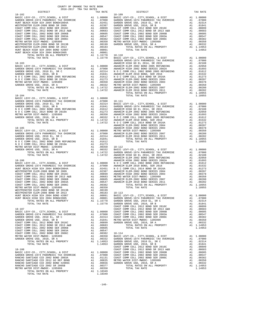| 2016-2017 TRA TAX RATES<br>DISTRICT | TAX RATE | DISTRICT | TAX RATE |
|-------------------------------------|----------|----------|----------|
|                                     |          |          |          |
|                                     |          |          |          |
|                                     |          |          |          |
|                                     |          |          |          |
|                                     |          |          |          |
|                                     |          |          |          |
|                                     |          |          |          |
|                                     |          |          |          |
|                                     |          |          |          |
|                                     |          |          |          |
|                                     |          |          |          |
|                                     |          |          |          |
|                                     |          |          |          |
|                                     |          |          |          |
|                                     |          |          |          |
|                                     |          |          |          |
|                                     |          |          |          |
|                                     |          |          |          |
|                                     |          |          |          |
|                                     |          |          |          |
|                                     |          |          |          |
|                                     |          |          |          |
|                                     |          |          |          |
|                                     |          |          |          |
|                                     |          |          |          |
|                                     |          |          |          |
|                                     |          |          |          |
|                                     |          |          |          |
|                                     |          |          |          |
|                                     |          |          |          |
|                                     |          |          |          |
|                                     |          |          |          |
|                                     |          |          |          |
|                                     |          |          |          |
|                                     |          |          |          |
|                                     |          |          |          |
|                                     |          |          |          |
|                                     |          |          |          |
|                                     |          |          |          |
|                                     |          |          |          |
|                                     |          |          |          |
|                                     |          |          |          |
|                                     |          |          |          |
|                                     |          |          |          |
|                                     |          |          |          |
|                                     |          |          |          |
|                                     |          |          |          |
|                                     |          |          |          |
|                                     |          |          |          |
|                                     |          |          |          |
|                                     |          |          |          |
|                                     |          |          |          |
|                                     |          |          |          |
|                                     |          |          |          |
|                                     |          |          |          |
|                                     |          |          |          |
|                                     |          |          |          |
|                                     |          |          |          |
|                                     |          |          |          |
|                                     |          |          |          |
|                                     |          |          |          |
|                                     |          |          |          |
|                                     |          |          |          |
|                                     |          |          |          |
|                                     |          |          |          |
|                                     |          |          |          |
|                                     |          |          |          |
|                                     |          |          |          |
|                                     |          |          |          |
|                                     |          |          |          |
|                                     |          |          |          |
|                                     |          |          |          |
|                                     |          |          |          |
|                                     |          |          |          |
|                                     |          |          |          |

COUNTY OF ORANGE TAX RATE BOOK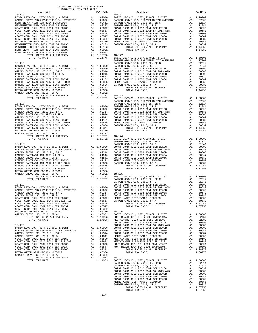| COUNTY OF ORANGE TAX RATE BOOK<br>2016-2017 TRA TAX RATES                                                                                                                                                                                                                                                                                                                                        |          |                                                                                                                                                                                                                                                                                                                                                                                                         |          |
|--------------------------------------------------------------------------------------------------------------------------------------------------------------------------------------------------------------------------------------------------------------------------------------------------------------------------------------------------------------------------------------------------|----------|---------------------------------------------------------------------------------------------------------------------------------------------------------------------------------------------------------------------------------------------------------------------------------------------------------------------------------------------------------------------------------------------------------|----------|
| DISTRICT                                                                                                                                                                                                                                                                                                                                                                                         | TAX RATE | DISTRICT                                                                                                                                                                                                                                                                                                                                                                                                | TAX RATE |
| $18 - 115$<br>$\begin{tabular}{cccc} 18-115 & \mbox{\small 18-115} & \mbox{\small 18-115} & \mbox{\small 18-115} & \mbox{\small 18-115} & \mbox{\small 18-115} & \mbox{\small 18-115} & \mbox{\small 18-125} & \mbox{\small 18-125} & \mbox{\small 18-125} & \mbox{\small 18-125} & \mbox{\small 18-125} & \mbox{\small 18-125} & \mbox{\small 18-125} & \mbox{\small 18-125} & \mbox{\small 18$ |          | $18 - 121$                                                                                                                                                                                                                                                                                                                                                                                              |          |
|                                                                                                                                                                                                                                                                                                                                                                                                  |          |                                                                                                                                                                                                                                                                                                                                                                                                         |          |
|                                                                                                                                                                                                                                                                                                                                                                                                  |          |                                                                                                                                                                                                                                                                                                                                                                                                         |          |
|                                                                                                                                                                                                                                                                                                                                                                                                  |          |                                                                                                                                                                                                                                                                                                                                                                                                         |          |
|                                                                                                                                                                                                                                                                                                                                                                                                  |          |                                                                                                                                                                                                                                                                                                                                                                                                         |          |
|                                                                                                                                                                                                                                                                                                                                                                                                  |          |                                                                                                                                                                                                                                                                                                                                                                                                         |          |
|                                                                                                                                                                                                                                                                                                                                                                                                  |          |                                                                                                                                                                                                                                                                                                                                                                                                         |          |
|                                                                                                                                                                                                                                                                                                                                                                                                  |          |                                                                                                                                                                                                                                                                                                                                                                                                         |          |
|                                                                                                                                                                                                                                                                                                                                                                                                  |          |                                                                                                                                                                                                                                                                                                                                                                                                         |          |
|                                                                                                                                                                                                                                                                                                                                                                                                  |          |                                                                                                                                                                                                                                                                                                                                                                                                         |          |
|                                                                                                                                                                                                                                                                                                                                                                                                  |          |                                                                                                                                                                                                                                                                                                                                                                                                         |          |
|                                                                                                                                                                                                                                                                                                                                                                                                  |          |                                                                                                                                                                                                                                                                                                                                                                                                         |          |
|                                                                                                                                                                                                                                                                                                                                                                                                  |          |                                                                                                                                                                                                                                                                                                                                                                                                         |          |
|                                                                                                                                                                                                                                                                                                                                                                                                  |          |                                                                                                                                                                                                                                                                                                                                                                                                         |          |
|                                                                                                                                                                                                                                                                                                                                                                                                  |          |                                                                                                                                                                                                                                                                                                                                                                                                         |          |
|                                                                                                                                                                                                                                                                                                                                                                                                  |          |                                                                                                                                                                                                                                                                                                                                                                                                         |          |
|                                                                                                                                                                                                                                                                                                                                                                                                  |          |                                                                                                                                                                                                                                                                                                                                                                                                         |          |
|                                                                                                                                                                                                                                                                                                                                                                                                  |          |                                                                                                                                                                                                                                                                                                                                                                                                         |          |
|                                                                                                                                                                                                                                                                                                                                                                                                  |          |                                                                                                                                                                                                                                                                                                                                                                                                         |          |
|                                                                                                                                                                                                                                                                                                                                                                                                  |          |                                                                                                                                                                                                                                                                                                                                                                                                         |          |
|                                                                                                                                                                                                                                                                                                                                                                                                  |          |                                                                                                                                                                                                                                                                                                                                                                                                         |          |
|                                                                                                                                                                                                                                                                                                                                                                                                  |          |                                                                                                                                                                                                                                                                                                                                                                                                         |          |
|                                                                                                                                                                                                                                                                                                                                                                                                  |          |                                                                                                                                                                                                                                                                                                                                                                                                         |          |
|                                                                                                                                                                                                                                                                                                                                                                                                  |          |                                                                                                                                                                                                                                                                                                                                                                                                         |          |
|                                                                                                                                                                                                                                                                                                                                                                                                  |          |                                                                                                                                                                                                                                                                                                                                                                                                         |          |
|                                                                                                                                                                                                                                                                                                                                                                                                  |          |                                                                                                                                                                                                                                                                                                                                                                                                         |          |
|                                                                                                                                                                                                                                                                                                                                                                                                  |          |                                                                                                                                                                                                                                                                                                                                                                                                         |          |
|                                                                                                                                                                                                                                                                                                                                                                                                  |          |                                                                                                                                                                                                                                                                                                                                                                                                         |          |
|                                                                                                                                                                                                                                                                                                                                                                                                  |          |                                                                                                                                                                                                                                                                                                                                                                                                         |          |
|                                                                                                                                                                                                                                                                                                                                                                                                  |          |                                                                                                                                                                                                                                                                                                                                                                                                         |          |
|                                                                                                                                                                                                                                                                                                                                                                                                  |          |                                                                                                                                                                                                                                                                                                                                                                                                         |          |
|                                                                                                                                                                                                                                                                                                                                                                                                  |          |                                                                                                                                                                                                                                                                                                                                                                                                         |          |
|                                                                                                                                                                                                                                                                                                                                                                                                  |          | $\begin{tabular}{cccccccc} {\bf 16-116}\\ \hline & {\bf 1774}, {\bf 1774}, {\bf 18-18}, {\bf 19-100}, {\bf 10000}\\ \hline \textbf{18-116}\\ \hline \textbf{18-116}\\ \hline \textbf{19-116}\\ \hline \textbf{19-116}\\ \hline \textbf{19-116}\\ \hline \textbf{19-116}\\ \hline \textbf{19-116}\\ \hline \textbf{19-116}\\ \hline \textbf{19-16}\\ \hline \textbf{19-16}\\ \hline \textbf{19-16}\\ \h$ |          |
|                                                                                                                                                                                                                                                                                                                                                                                                  |          |                                                                                                                                                                                                                                                                                                                                                                                                         |          |
|                                                                                                                                                                                                                                                                                                                                                                                                  |          |                                                                                                                                                                                                                                                                                                                                                                                                         |          |
|                                                                                                                                                                                                                                                                                                                                                                                                  |          |                                                                                                                                                                                                                                                                                                                                                                                                         |          |
|                                                                                                                                                                                                                                                                                                                                                                                                  |          |                                                                                                                                                                                                                                                                                                                                                                                                         |          |
|                                                                                                                                                                                                                                                                                                                                                                                                  |          |                                                                                                                                                                                                                                                                                                                                                                                                         |          |
|                                                                                                                                                                                                                                                                                                                                                                                                  |          |                                                                                                                                                                                                                                                                                                                                                                                                         |          |
|                                                                                                                                                                                                                                                                                                                                                                                                  |          |                                                                                                                                                                                                                                                                                                                                                                                                         |          |
|                                                                                                                                                                                                                                                                                                                                                                                                  |          |                                                                                                                                                                                                                                                                                                                                                                                                         |          |
|                                                                                                                                                                                                                                                                                                                                                                                                  |          |                                                                                                                                                                                                                                                                                                                                                                                                         |          |
|                                                                                                                                                                                                                                                                                                                                                                                                  |          |                                                                                                                                                                                                                                                                                                                                                                                                         |          |
|                                                                                                                                                                                                                                                                                                                                                                                                  |          |                                                                                                                                                                                                                                                                                                                                                                                                         |          |
|                                                                                                                                                                                                                                                                                                                                                                                                  |          |                                                                                                                                                                                                                                                                                                                                                                                                         |          |
|                                                                                                                                                                                                                                                                                                                                                                                                  |          |                                                                                                                                                                                                                                                                                                                                                                                                         |          |
|                                                                                                                                                                                                                                                                                                                                                                                                  |          |                                                                                                                                                                                                                                                                                                                                                                                                         |          |
|                                                                                                                                                                                                                                                                                                                                                                                                  |          |                                                                                                                                                                                                                                                                                                                                                                                                         |          |
|                                                                                                                                                                                                                                                                                                                                                                                                  |          |                                                                                                                                                                                                                                                                                                                                                                                                         |          |
|                                                                                                                                                                                                                                                                                                                                                                                                  |          |                                                                                                                                                                                                                                                                                                                                                                                                         |          |
|                                                                                                                                                                                                                                                                                                                                                                                                  |          |                                                                                                                                                                                                                                                                                                                                                                                                         |          |
|                                                                                                                                                                                                                                                                                                                                                                                                  |          |                                                                                                                                                                                                                                                                                                                                                                                                         |          |
|                                                                                                                                                                                                                                                                                                                                                                                                  |          |                                                                                                                                                                                                                                                                                                                                                                                                         |          |
|                                                                                                                                                                                                                                                                                                                                                                                                  |          |                                                                                                                                                                                                                                                                                                                                                                                                         |          |
|                                                                                                                                                                                                                                                                                                                                                                                                  |          |                                                                                                                                                                                                                                                                                                                                                                                                         |          |
|                                                                                                                                                                                                                                                                                                                                                                                                  |          |                                                                                                                                                                                                                                                                                                                                                                                                         |          |
|                                                                                                                                                                                                                                                                                                                                                                                                  |          |                                                                                                                                                                                                                                                                                                                                                                                                         |          |
|                                                                                                                                                                                                                                                                                                                                                                                                  |          |                                                                                                                                                                                                                                                                                                                                                                                                         |          |
|                                                                                                                                                                                                                                                                                                                                                                                                  |          |                                                                                                                                                                                                                                                                                                                                                                                                         |          |
|                                                                                                                                                                                                                                                                                                                                                                                                  |          |                                                                                                                                                                                                                                                                                                                                                                                                         |          |
|                                                                                                                                                                                                                                                                                                                                                                                                  |          |                                                                                                                                                                                                                                                                                                                                                                                                         |          |
|                                                                                                                                                                                                                                                                                                                                                                                                  |          |                                                                                                                                                                                                                                                                                                                                                                                                         |          |
|                                                                                                                                                                                                                                                                                                                                                                                                  |          |                                                                                                                                                                                                                                                                                                                                                                                                         |          |
|                                                                                                                                                                                                                                                                                                                                                                                                  |          |                                                                                                                                                                                                                                                                                                                                                                                                         |          |
|                                                                                                                                                                                                                                                                                                                                                                                                  |          |                                                                                                                                                                                                                                                                                                                                                                                                         |          |
|                                                                                                                                                                                                                                                                                                                                                                                                  |          |                                                                                                                                                                                                                                                                                                                                                                                                         |          |
|                                                                                                                                                                                                                                                                                                                                                                                                  |          |                                                                                                                                                                                                                                                                                                                                                                                                         |          |
|                                                                                                                                                                                                                                                                                                                                                                                                  |          |                                                                                                                                                                                                                                                                                                                                                                                                         |          |
|                                                                                                                                                                                                                                                                                                                                                                                                  |          |                                                                                                                                                                                                                                                                                                                                                                                                         |          |
|                                                                                                                                                                                                                                                                                                                                                                                                  |          |                                                                                                                                                                                                                                                                                                                                                                                                         |          |
|                                                                                                                                                                                                                                                                                                                                                                                                  |          |                                                                                                                                                                                                                                                                                                                                                                                                         |          |
|                                                                                                                                                                                                                                                                                                                                                                                                  |          |                                                                                                                                                                                                                                                                                                                                                                                                         |          |
|                                                                                                                                                                                                                                                                                                                                                                                                  |          |                                                                                                                                                                                                                                                                                                                                                                                                         |          |
|                                                                                                                                                                                                                                                                                                                                                                                                  |          |                                                                                                                                                                                                                                                                                                                                                                                                         |          |
|                                                                                                                                                                                                                                                                                                                                                                                                  |          |                                                                                                                                                                                                                                                                                                                                                                                                         |          |
|                                                                                                                                                                                                                                                                                                                                                                                                  |          |                                                                                                                                                                                                                                                                                                                                                                                                         |          |
|                                                                                                                                                                                                                                                                                                                                                                                                  |          |                                                                                                                                                                                                                                                                                                                                                                                                         |          |
|                                                                                                                                                                                                                                                                                                                                                                                                  |          |                                                                                                                                                                                                                                                                                                                                                                                                         |          |
|                                                                                                                                                                                                                                                                                                                                                                                                  |          |                                                                                                                                                                                                                                                                                                                                                                                                         |          |
|                                                                                                                                                                                                                                                                                                                                                                                                  |          |                                                                                                                                                                                                                                                                                                                                                                                                         |          |
|                                                                                                                                                                                                                                                                                                                                                                                                  |          |                                                                                                                                                                                                                                                                                                                                                                                                         |          |
|                                                                                                                                                                                                                                                                                                                                                                                                  |          |                                                                                                                                                                                                                                                                                                                                                                                                         |          |
|                                                                                                                                                                                                                                                                                                                                                                                                  |          |                                                                                                                                                                                                                                                                                                                                                                                                         |          |
|                                                                                                                                                                                                                                                                                                                                                                                                  |          |                                                                                                                                                                                                                                                                                                                                                                                                         |          |
|                                                                                                                                                                                                                                                                                                                                                                                                  |          |                                                                                                                                                                                                                                                                                                                                                                                                         |          |
|                                                                                                                                                                                                                                                                                                                                                                                                  |          |                                                                                                                                                                                                                                                                                                                                                                                                         |          |
|                                                                                                                                                                                                                                                                                                                                                                                                  |          |                                                                                                                                                                                                                                                                                                                                                                                                         |          |
|                                                                                                                                                                                                                                                                                                                                                                                                  |          |                                                                                                                                                                                                                                                                                                                                                                                                         |          |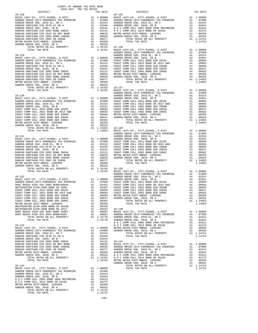| DISTRICT       | 2016-2017 TRA TAX RATES | TAX RATE |                  |
|----------------|-------------------------|----------|------------------|
|                |                         |          |                  |
|                |                         |          |                  |
|                |                         |          |                  |
|                |                         |          |                  |
|                |                         |          |                  |
|                |                         |          |                  |
|                |                         |          |                  |
|                |                         |          |                  |
|                |                         |          |                  |
|                |                         |          |                  |
|                |                         |          |                  |
|                |                         |          | GARDEN           |
|                |                         |          |                  |
|                |                         |          |                  |
|                |                         |          |                  |
|                |                         |          |                  |
|                |                         |          |                  |
|                |                         |          |                  |
|                |                         |          |                  |
|                |                         |          |                  |
|                |                         |          |                  |
|                |                         |          |                  |
|                |                         |          | GARDEN           |
|                |                         |          |                  |
|                |                         |          |                  |
|                |                         |          |                  |
|                |                         |          |                  |
|                |                         |          |                  |
|                |                         |          |                  |
|                |                         |          |                  |
|                |                         |          |                  |
|                |                         |          |                  |
|                |                         |          |                  |
|                |                         |          | GARDEN           |
|                |                         |          |                  |
|                |                         |          |                  |
|                |                         |          |                  |
|                |                         |          |                  |
|                |                         |          |                  |
|                |                         |          |                  |
|                |                         |          |                  |
|                |                         |          |                  |
|                |                         |          |                  |
|                |                         |          |                  |
|                |                         |          |                  |
| 18-132         |                         |          | GARDEN<br>GARDEN |
|                |                         |          |                  |
|                |                         |          |                  |
|                |                         |          |                  |
|                |                         |          |                  |
|                |                         |          |                  |
|                |                         |          |                  |
|                |                         |          |                  |
|                |                         |          |                  |
|                |                         |          |                  |
|                |                         |          |                  |
|                |                         |          |                  |
|                |                         |          |                  |
|                |                         |          |                  |
| $18 - 133$     |                         |          | NOCC             |
|                |                         |          |                  |
|                |                         |          |                  |
|                |                         |          |                  |
|                |                         |          |                  |
|                |                         |          |                  |
|                |                         |          |                  |
|                |                         |          |                  |
|                |                         |          |                  |
|                |                         |          |                  |
|                |                         |          |                  |
| $18 - 134$     |                         |          | GARDEN           |
|                |                         |          |                  |
|                |                         |          |                  |
|                |                         |          |                  |
|                |                         |          |                  |
|                |                         |          |                  |
|                |                         |          |                  |
|                |                         |          |                  |
| TOTAL TAX RATE |                         | 1.14722  |                  |

 $-148-$ 

| COUNTY OF ORANGE TAX RATE BOOK<br>2016-2017 TRA TAX RATES                                                                                                                                                                                                                                                                                                                                                          |          |                                                                                                                                                                                                                                                                                                                                                                                                           |          |
|--------------------------------------------------------------------------------------------------------------------------------------------------------------------------------------------------------------------------------------------------------------------------------------------------------------------------------------------------------------------------------------------------------------------|----------|-----------------------------------------------------------------------------------------------------------------------------------------------------------------------------------------------------------------------------------------------------------------------------------------------------------------------------------------------------------------------------------------------------------|----------|
| DISTRICT<br>$18 - 128$                                                                                                                                                                                                                                                                                                                                                                                             | TAX RATE | DISTRICT<br>$18 - 135$                                                                                                                                                                                                                                                                                                                                                                                    | TAX RATE |
|                                                                                                                                                                                                                                                                                                                                                                                                                    |          |                                                                                                                                                                                                                                                                                                                                                                                                           |          |
|                                                                                                                                                                                                                                                                                                                                                                                                                    |          |                                                                                                                                                                                                                                                                                                                                                                                                           |          |
|                                                                                                                                                                                                                                                                                                                                                                                                                    |          |                                                                                                                                                                                                                                                                                                                                                                                                           |          |
|                                                                                                                                                                                                                                                                                                                                                                                                                    |          |                                                                                                                                                                                                                                                                                                                                                                                                           |          |
|                                                                                                                                                                                                                                                                                                                                                                                                                    |          |                                                                                                                                                                                                                                                                                                                                                                                                           |          |
|                                                                                                                                                                                                                                                                                                                                                                                                                    |          |                                                                                                                                                                                                                                                                                                                                                                                                           |          |
|                                                                                                                                                                                                                                                                                                                                                                                                                    |          |                                                                                                                                                                                                                                                                                                                                                                                                           |          |
|                                                                                                                                                                                                                                                                                                                                                                                                                    |          |                                                                                                                                                                                                                                                                                                                                                                                                           |          |
|                                                                                                                                                                                                                                                                                                                                                                                                                    |          |                                                                                                                                                                                                                                                                                                                                                                                                           |          |
|                                                                                                                                                                                                                                                                                                                                                                                                                    |          |                                                                                                                                                                                                                                                                                                                                                                                                           |          |
|                                                                                                                                                                                                                                                                                                                                                                                                                    |          |                                                                                                                                                                                                                                                                                                                                                                                                           |          |
|                                                                                                                                                                                                                                                                                                                                                                                                                    |          |                                                                                                                                                                                                                                                                                                                                                                                                           |          |
|                                                                                                                                                                                                                                                                                                                                                                                                                    |          |                                                                                                                                                                                                                                                                                                                                                                                                           |          |
|                                                                                                                                                                                                                                                                                                                                                                                                                    |          |                                                                                                                                                                                                                                                                                                                                                                                                           |          |
|                                                                                                                                                                                                                                                                                                                                                                                                                    |          |                                                                                                                                                                                                                                                                                                                                                                                                           |          |
|                                                                                                                                                                                                                                                                                                                                                                                                                    |          |                                                                                                                                                                                                                                                                                                                                                                                                           |          |
|                                                                                                                                                                                                                                                                                                                                                                                                                    |          |                                                                                                                                                                                                                                                                                                                                                                                                           |          |
|                                                                                                                                                                                                                                                                                                                                                                                                                    |          |                                                                                                                                                                                                                                                                                                                                                                                                           |          |
|                                                                                                                                                                                                                                                                                                                                                                                                                    |          |                                                                                                                                                                                                                                                                                                                                                                                                           |          |
|                                                                                                                                                                                                                                                                                                                                                                                                                    |          |                                                                                                                                                                                                                                                                                                                                                                                                           |          |
|                                                                                                                                                                                                                                                                                                                                                                                                                    |          |                                                                                                                                                                                                                                                                                                                                                                                                           |          |
|                                                                                                                                                                                                                                                                                                                                                                                                                    |          |                                                                                                                                                                                                                                                                                                                                                                                                           |          |
|                                                                                                                                                                                                                                                                                                                                                                                                                    |          | $\begin{tabular}{c cccc} \multicolumn{4}{c}{\textbf{14.14793}} & \multicolumn{4}{c}{\textbf{15.16782}} & \multicolumn{4}{c}{\textbf{15.16782}} & \multicolumn{4}{c}{\textbf{15.16782}} & \multicolumn{4}{c}{\textbf{15.16782}} & \multicolumn{4}{c}{\textbf{15.16782}} & \multicolumn{4}{c}{\textbf{15.16782}} & \multicolumn{4}{c}{\textbf{15.16782}} & \multicolumn{4}{c}{\textbf{15.16782}} & \multic$ |          |
|                                                                                                                                                                                                                                                                                                                                                                                                                    |          |                                                                                                                                                                                                                                                                                                                                                                                                           |          |
|                                                                                                                                                                                                                                                                                                                                                                                                                    |          |                                                                                                                                                                                                                                                                                                                                                                                                           |          |
|                                                                                                                                                                                                                                                                                                                                                                                                                    |          |                                                                                                                                                                                                                                                                                                                                                                                                           |          |
|                                                                                                                                                                                                                                                                                                                                                                                                                    |          |                                                                                                                                                                                                                                                                                                                                                                                                           |          |
|                                                                                                                                                                                                                                                                                                                                                                                                                    |          |                                                                                                                                                                                                                                                                                                                                                                                                           |          |
|                                                                                                                                                                                                                                                                                                                                                                                                                    |          |                                                                                                                                                                                                                                                                                                                                                                                                           |          |
|                                                                                                                                                                                                                                                                                                                                                                                                                    |          |                                                                                                                                                                                                                                                                                                                                                                                                           |          |
|                                                                                                                                                                                                                                                                                                                                                                                                                    |          |                                                                                                                                                                                                                                                                                                                                                                                                           |          |
|                                                                                                                                                                                                                                                                                                                                                                                                                    |          |                                                                                                                                                                                                                                                                                                                                                                                                           |          |
|                                                                                                                                                                                                                                                                                                                                                                                                                    |          |                                                                                                                                                                                                                                                                                                                                                                                                           |          |
|                                                                                                                                                                                                                                                                                                                                                                                                                    |          |                                                                                                                                                                                                                                                                                                                                                                                                           |          |
|                                                                                                                                                                                                                                                                                                                                                                                                                    |          |                                                                                                                                                                                                                                                                                                                                                                                                           |          |
|                                                                                                                                                                                                                                                                                                                                                                                                                    |          |                                                                                                                                                                                                                                                                                                                                                                                                           |          |
|                                                                                                                                                                                                                                                                                                                                                                                                                    |          |                                                                                                                                                                                                                                                                                                                                                                                                           |          |
|                                                                                                                                                                                                                                                                                                                                                                                                                    |          |                                                                                                                                                                                                                                                                                                                                                                                                           |          |
|                                                                                                                                                                                                                                                                                                                                                                                                                    |          |                                                                                                                                                                                                                                                                                                                                                                                                           |          |
| $\begin{tabular}{c cccc} \multicolumn{4}{c}{\textbf{10.141}} \multicolumn{4}{c}{\textbf{1.14953}} & \multicolumn{4}{c}{\textbf{1.14953}} & \multicolumn{4}{c}{\textbf{1.14953}} & \multicolumn{4}{c}{\textbf{1.14953}} & \multicolumn{4}{c}{\textbf{1.14953}} & \multicolumn{4}{c}{\textbf{1.14953}} & \multicolumn{4}{c}{\textbf{1.14953}} & \multicolumn{4}{c}{\textbf{1.14953}} & \multicolumn{4}{c}{\textbf{1$ |          |                                                                                                                                                                                                                                                                                                                                                                                                           |          |
|                                                                                                                                                                                                                                                                                                                                                                                                                    |          |                                                                                                                                                                                                                                                                                                                                                                                                           |          |
|                                                                                                                                                                                                                                                                                                                                                                                                                    |          |                                                                                                                                                                                                                                                                                                                                                                                                           |          |
|                                                                                                                                                                                                                                                                                                                                                                                                                    |          |                                                                                                                                                                                                                                                                                                                                                                                                           |          |
|                                                                                                                                                                                                                                                                                                                                                                                                                    |          |                                                                                                                                                                                                                                                                                                                                                                                                           |          |
|                                                                                                                                                                                                                                                                                                                                                                                                                    |          |                                                                                                                                                                                                                                                                                                                                                                                                           |          |
|                                                                                                                                                                                                                                                                                                                                                                                                                    |          |                                                                                                                                                                                                                                                                                                                                                                                                           |          |
|                                                                                                                                                                                                                                                                                                                                                                                                                    |          |                                                                                                                                                                                                                                                                                                                                                                                                           |          |
|                                                                                                                                                                                                                                                                                                                                                                                                                    |          |                                                                                                                                                                                                                                                                                                                                                                                                           |          |
|                                                                                                                                                                                                                                                                                                                                                                                                                    |          |                                                                                                                                                                                                                                                                                                                                                                                                           |          |
|                                                                                                                                                                                                                                                                                                                                                                                                                    |          |                                                                                                                                                                                                                                                                                                                                                                                                           |          |
|                                                                                                                                                                                                                                                                                                                                                                                                                    |          |                                                                                                                                                                                                                                                                                                                                                                                                           |          |
|                                                                                                                                                                                                                                                                                                                                                                                                                    |          |                                                                                                                                                                                                                                                                                                                                                                                                           |          |
|                                                                                                                                                                                                                                                                                                                                                                                                                    |          |                                                                                                                                                                                                                                                                                                                                                                                                           |          |
|                                                                                                                                                                                                                                                                                                                                                                                                                    |          |                                                                                                                                                                                                                                                                                                                                                                                                           |          |
|                                                                                                                                                                                                                                                                                                                                                                                                                    |          |                                                                                                                                                                                                                                                                                                                                                                                                           |          |
|                                                                                                                                                                                                                                                                                                                                                                                                                    |          |                                                                                                                                                                                                                                                                                                                                                                                                           |          |
|                                                                                                                                                                                                                                                                                                                                                                                                                    |          |                                                                                                                                                                                                                                                                                                                                                                                                           |          |
|                                                                                                                                                                                                                                                                                                                                                                                                                    |          |                                                                                                                                                                                                                                                                                                                                                                                                           |          |
|                                                                                                                                                                                                                                                                                                                                                                                                                    |          |                                                                                                                                                                                                                                                                                                                                                                                                           |          |
|                                                                                                                                                                                                                                                                                                                                                                                                                    |          |                                                                                                                                                                                                                                                                                                                                                                                                           |          |
|                                                                                                                                                                                                                                                                                                                                                                                                                    |          |                                                                                                                                                                                                                                                                                                                                                                                                           |          |
|                                                                                                                                                                                                                                                                                                                                                                                                                    |          |                                                                                                                                                                                                                                                                                                                                                                                                           |          |
|                                                                                                                                                                                                                                                                                                                                                                                                                    |          |                                                                                                                                                                                                                                                                                                                                                                                                           |          |
|                                                                                                                                                                                                                                                                                                                                                                                                                    |          |                                                                                                                                                                                                                                                                                                                                                                                                           |          |
|                                                                                                                                                                                                                                                                                                                                                                                                                    |          |                                                                                                                                                                                                                                                                                                                                                                                                           |          |
|                                                                                                                                                                                                                                                                                                                                                                                                                    |          |                                                                                                                                                                                                                                                                                                                                                                                                           |          |
|                                                                                                                                                                                                                                                                                                                                                                                                                    |          |                                                                                                                                                                                                                                                                                                                                                                                                           |          |
|                                                                                                                                                                                                                                                                                                                                                                                                                    |          |                                                                                                                                                                                                                                                                                                                                                                                                           |          |
|                                                                                                                                                                                                                                                                                                                                                                                                                    |          |                                                                                                                                                                                                                                                                                                                                                                                                           |          |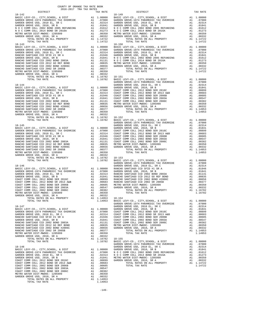| 2016-2017 TRA TAX RATES<br>DISTRICT | TAX RATE | DISTRICT | TAX RATE |
|-------------------------------------|----------|----------|----------|
|                                     |          |          |          |
|                                     |          |          |          |
|                                     |          |          |          |
|                                     |          |          |          |
|                                     |          |          |          |
|                                     |          |          |          |
|                                     |          |          |          |
|                                     |          |          |          |
|                                     |          |          |          |
|                                     |          |          |          |
|                                     |          |          |          |
|                                     |          |          |          |
|                                     |          |          |          |
|                                     |          |          |          |
|                                     |          |          |          |
|                                     |          |          |          |
|                                     |          |          |          |
|                                     |          |          |          |
|                                     |          |          |          |
|                                     |          |          |          |
|                                     |          |          |          |
|                                     |          |          |          |
|                                     |          |          |          |
|                                     |          |          |          |
|                                     |          |          |          |
|                                     |          |          |          |
|                                     |          |          |          |
|                                     |          |          |          |
|                                     |          |          |          |
|                                     |          |          |          |
|                                     |          |          |          |
|                                     |          |          |          |
|                                     |          |          |          |
|                                     |          |          |          |
|                                     |          |          |          |
|                                     |          |          |          |
|                                     |          |          |          |
|                                     |          |          |          |
|                                     |          |          |          |
|                                     |          |          |          |
|                                     |          |          |          |
|                                     |          |          |          |
|                                     |          |          |          |
|                                     |          |          |          |
|                                     |          |          |          |
|                                     |          |          |          |
|                                     |          |          |          |
|                                     |          |          |          |
|                                     |          |          |          |
|                                     |          |          |          |
|                                     |          |          |          |
|                                     |          |          |          |
|                                     |          |          |          |
|                                     |          |          |          |
|                                     |          |          |          |
|                                     |          |          |          |
|                                     |          |          |          |
|                                     |          |          |          |
|                                     |          |          |          |
|                                     |          |          |          |
|                                     |          |          |          |
|                                     |          |          |          |
|                                     |          |          |          |
|                                     |          |          |          |
|                                     |          |          |          |
|                                     |          |          |          |
|                                     |          |          |          |
|                                     |          |          |          |
|                                     |          |          |          |
|                                     |          |          |          |
|                                     |          |          |          |
|                                     |          |          |          |
|                                     |          |          |          |
|                                     |          |          |          |
|                                     |          |          |          |
|                                     |          |          |          |
|                                     |          |          |          |
|                                     |          |          |          |
|                                     |          |          |          |
|                                     |          |          |          |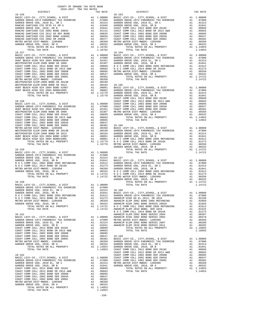| $\begin{tabular}{l c c c c c} \multicolumn{1}{c}{\textbf{RANCHO}} \multicolumn{1}{c}{\textbf{SANTHAGO}} \multicolumn{1}{c}{\textbf{CCD}} \multicolumn{1}{c}{\textbf{CLOATICO}} \multicolumn{1}{c}{\textbf{RANCHO}} \multicolumn{1}{c}{\textbf{CODATICO}} \multicolumn{1}{c}{\textbf{CODATICO}} \multicolumn{1}{c}{\textbf{CODATICO}} \multicolumn{1}{c}{\textbf{RANCHO}} \multicolumn{1}{c}{\textbf{SANTHAGO}} \multicolumn{1}{c}{\textbf{CCD}} \mult$ |    |                                                                                                                         |                    |
|--------------------------------------------------------------------------------------------------------------------------------------------------------------------------------------------------------------------------------------------------------------------------------------------------------------------------------------------------------------------------------------------------------------------------------------------------------|----|-------------------------------------------------------------------------------------------------------------------------|--------------------|
|                                                                                                                                                                                                                                                                                                                                                                                                                                                        |    |                                                                                                                         |                    |
|                                                                                                                                                                                                                                                                                                                                                                                                                                                        |    |                                                                                                                         |                    |
| TOTAL TAX RATE                                                                                                                                                                                                                                                                                                                                                                                                                                         |    | 1.16782                                                                                                                 |                    |
|                                                                                                                                                                                                                                                                                                                                                                                                                                                        |    |                                                                                                                         |                    |
|                                                                                                                                                                                                                                                                                                                                                                                                                                                        |    |                                                                                                                         |                    |
|                                                                                                                                                                                                                                                                                                                                                                                                                                                        |    |                                                                                                                         |                    |
|                                                                                                                                                                                                                                                                                                                                                                                                                                                        |    |                                                                                                                         |                    |
|                                                                                                                                                                                                                                                                                                                                                                                                                                                        |    |                                                                                                                         |                    |
|                                                                                                                                                                                                                                                                                                                                                                                                                                                        |    |                                                                                                                         |                    |
|                                                                                                                                                                                                                                                                                                                                                                                                                                                        |    |                                                                                                                         |                    |
|                                                                                                                                                                                                                                                                                                                                                                                                                                                        |    |                                                                                                                         |                    |
|                                                                                                                                                                                                                                                                                                                                                                                                                                                        |    |                                                                                                                         |                    |
|                                                                                                                                                                                                                                                                                                                                                                                                                                                        |    |                                                                                                                         |                    |
|                                                                                                                                                                                                                                                                                                                                                                                                                                                        |    |                                                                                                                         |                    |
|                                                                                                                                                                                                                                                                                                                                                                                                                                                        |    |                                                                                                                         |                    |
|                                                                                                                                                                                                                                                                                                                                                                                                                                                        |    |                                                                                                                         |                    |
|                                                                                                                                                                                                                                                                                                                                                                                                                                                        |    |                                                                                                                         | COAST C            |
| $18 - 158$                                                                                                                                                                                                                                                                                                                                                                                                                                             |    |                                                                                                                         | COAST C            |
|                                                                                                                                                                                                                                                                                                                                                                                                                                                        |    |                                                                                                                         |                    |
|                                                                                                                                                                                                                                                                                                                                                                                                                                                        |    |                                                                                                                         |                    |
|                                                                                                                                                                                                                                                                                                                                                                                                                                                        |    |                                                                                                                         |                    |
|                                                                                                                                                                                                                                                                                                                                                                                                                                                        |    |                                                                                                                         |                    |
|                                                                                                                                                                                                                                                                                                                                                                                                                                                        |    |                                                                                                                         |                    |
|                                                                                                                                                                                                                                                                                                                                                                                                                                                        |    |                                                                                                                         |                    |
|                                                                                                                                                                                                                                                                                                                                                                                                                                                        |    |                                                                                                                         |                    |
|                                                                                                                                                                                                                                                                                                                                                                                                                                                        |    |                                                                                                                         |                    |
|                                                                                                                                                                                                                                                                                                                                                                                                                                                        |    |                                                                                                                         |                    |
|                                                                                                                                                                                                                                                                                                                                                                                                                                                        |    |                                                                                                                         |                    |
|                                                                                                                                                                                                                                                                                                                                                                                                                                                        |    |                                                                                                                         |                    |
|                                                                                                                                                                                                                                                                                                                                                                                                                                                        |    |                                                                                                                         |                    |
|                                                                                                                                                                                                                                                                                                                                                                                                                                                        |    |                                                                                                                         | GARDEN             |
| $18 - 159$                                                                                                                                                                                                                                                                                                                                                                                                                                             |    |                                                                                                                         |                    |
|                                                                                                                                                                                                                                                                                                                                                                                                                                                        |    |                                                                                                                         |                    |
|                                                                                                                                                                                                                                                                                                                                                                                                                                                        |    |                                                                                                                         |                    |
|                                                                                                                                                                                                                                                                                                                                                                                                                                                        |    |                                                                                                                         |                    |
|                                                                                                                                                                                                                                                                                                                                                                                                                                                        |    |                                                                                                                         |                    |
|                                                                                                                                                                                                                                                                                                                                                                                                                                                        |    |                                                                                                                         |                    |
|                                                                                                                                                                                                                                                                                                                                                                                                                                                        |    |                                                                                                                         |                    |
|                                                                                                                                                                                                                                                                                                                                                                                                                                                        |    |                                                                                                                         |                    |
|                                                                                                                                                                                                                                                                                                                                                                                                                                                        |    |                                                                                                                         | GARDEN             |
| $18 - 160$                                                                                                                                                                                                                                                                                                                                                                                                                                             |    |                                                                                                                         |                    |
|                                                                                                                                                                                                                                                                                                                                                                                                                                                        |    |                                                                                                                         |                    |
|                                                                                                                                                                                                                                                                                                                                                                                                                                                        |    |                                                                                                                         |                    |
|                                                                                                                                                                                                                                                                                                                                                                                                                                                        |    |                                                                                                                         |                    |
|                                                                                                                                                                                                                                                                                                                                                                                                                                                        |    |                                                                                                                         |                    |
|                                                                                                                                                                                                                                                                                                                                                                                                                                                        |    |                                                                                                                         |                    |
|                                                                                                                                                                                                                                                                                                                                                                                                                                                        |    |                                                                                                                         |                    |
|                                                                                                                                                                                                                                                                                                                                                                                                                                                        |    |                                                                                                                         |                    |
|                                                                                                                                                                                                                                                                                                                                                                                                                                                        |    |                                                                                                                         |                    |
| 18-161                                                                                                                                                                                                                                                                                                                                                                                                                                                 |    |                                                                                                                         | NOCC<br>ANAHEIM    |
|                                                                                                                                                                                                                                                                                                                                                                                                                                                        |    |                                                                                                                         |                    |
|                                                                                                                                                                                                                                                                                                                                                                                                                                                        |    |                                                                                                                         |                    |
| GARDEN GROVE USD, 2010 EL, SR<br>GARDEN GROVE USD, 2010, SR B                                                                                                                                                                                                                                                                                                                                                                                          |    | A1 .02314 ANAHEIM<br>A1 .01841 ANAHEIM                                                                                  |                    |
| COAST COMM COLL 2012 BOND SER 2016C                                                                                                                                                                                                                                                                                                                                                                                                                    |    | A1.00899                                                                                                                |                    |
| COAST COMM COLL 2012 BOND SR 2013 A&B                                                                                                                                                                                                                                                                                                                                                                                                                  |    |                                                                                                                         |                    |
| COAST COMM COLL 2002 BOND SER 2006B                                                                                                                                                                                                                                                                                                                                                                                                                    |    | A1 .00683<br>A1 .00605<br>A1 .00547<br>A1 .00382                                                                        |                    |
| COAST COMM COLL 2002 BOND SER 2003A<br>COAST COMM COLL 2002 BOND SER 2006C                                                                                                                                                                                                                                                                                                                                                                             |    |                                                                                                                         |                    |
| METRO WATER DIST-MWDOC- 1205999                                                                                                                                                                                                                                                                                                                                                                                                                        |    |                                                                                                                         |                    |
| GARDEN GROVE USD, 2010, SR A                                                                                                                                                                                                                                                                                                                                                                                                                           |    |                                                                                                                         |                    |
| TOTAL RATES ON ALL PROPERTY                                                                                                                                                                                                                                                                                                                                                                                                                            |    | A1 .00547 18-169<br>A1 .00382 BASIC L<br>A1 .00350 GARDEN<br>A1 .00332 GARDEN<br>A1 1.14953 GARDEN<br>A1 1.14953 GARDEN |                    |
| TOTAL TAX RATE                                                                                                                                                                                                                                                                                                                                                                                                                                         |    | 1.14953                                                                                                                 | COAST C<br>COAST C |
| 18-162                                                                                                                                                                                                                                                                                                                                                                                                                                                 |    |                                                                                                                         | COAST C            |
| BASIC LEVY-CO., CITY, SCHOOL, & DIST                                                                                                                                                                                                                                                                                                                                                                                                                   |    | A1 1.00000 COAST C<br>A1 .07000 COAST C<br>A1 .02314 METRO W<br>A1 .01841 GARDEN                                        |                    |
| GARDEN GROVE-1974 PARAMEDIC TAX OVERRIDE                                                                                                                                                                                                                                                                                                                                                                                                               |    |                                                                                                                         |                    |
| GARDEN GROVE USD, 2010 EL, SR C<br>GARDEN GROVE USD, 2010, SR B                                                                                                                                                                                                                                                                                                                                                                                        |    |                                                                                                                         |                    |
| COAST COMM COLL 2012 BOND SER 2016C                                                                                                                                                                                                                                                                                                                                                                                                                    |    | A1 .00899                                                                                                               |                    |
| COAST COMM COLL 2012 BOND SR 2013 A&B                                                                                                                                                                                                                                                                                                                                                                                                                  |    |                                                                                                                         |                    |
| COAST COMM COLL 2002 BOND SER 2006B                                                                                                                                                                                                                                                                                                                                                                                                                    |    |                                                                                                                         |                    |
| COAST COMM COLL 2002 BOND SER 2003A<br>COAST COMM COLL 2002 BOND SER 2006C                                                                                                                                                                                                                                                                                                                                                                             |    | A1 .00683<br>A1 .00605<br>A1 .00547<br>A1 .00382                                                                        |                    |
| METRO WATER DIST-MWDOC- 1205999                                                                                                                                                                                                                                                                                                                                                                                                                        |    | A1 .00350                                                                                                               |                    |
| GARDEN GROVE USD, 2010, SR A                                                                                                                                                                                                                                                                                                                                                                                                                           | A1 | .00332                                                                                                                  |                    |
| TOTAL RATES ON ALL PROPERTY<br>TOTAL TAX RATE                                                                                                                                                                                                                                                                                                                                                                                                          |    | A1 1.14953<br>1.14953                                                                                                   |                    |
|                                                                                                                                                                                                                                                                                                                                                                                                                                                        |    |                                                                                                                         |                    |
|                                                                                                                                                                                                                                                                                                                                                                                                                                                        |    | $-150-$                                                                                                                 |                    |

| COUNTY OF ORANGE TAX RATE BOOK<br>2016-2017 TRA TAX RATES<br>$2016-2017\begin{array}{l} \multicolumn{1}{c}{\text{ITR}}\begin{array}{l}\text{HAX RATE BC}\\ \text{TRA TAX RATES}\end{array}\end{array}$ |          |            |          |  |
|--------------------------------------------------------------------------------------------------------------------------------------------------------------------------------------------------------|----------|------------|----------|--|
|                                                                                                                                                                                                        | TAX RATE | DISTRICT   | TAX RATE |  |
| $18 - 156$                                                                                                                                                                                             |          | $18 - 163$ |          |  |
|                                                                                                                                                                                                        |          |            |          |  |
|                                                                                                                                                                                                        |          |            |          |  |
|                                                                                                                                                                                                        |          |            |          |  |
|                                                                                                                                                                                                        |          |            |          |  |
|                                                                                                                                                                                                        |          |            |          |  |
|                                                                                                                                                                                                        |          |            |          |  |
|                                                                                                                                                                                                        |          |            |          |  |
|                                                                                                                                                                                                        |          |            |          |  |
|                                                                                                                                                                                                        |          |            |          |  |
|                                                                                                                                                                                                        |          |            |          |  |
|                                                                                                                                                                                                        |          |            |          |  |
|                                                                                                                                                                                                        |          |            |          |  |
|                                                                                                                                                                                                        |          |            |          |  |
|                                                                                                                                                                                                        |          |            |          |  |
|                                                                                                                                                                                                        |          |            |          |  |
|                                                                                                                                                                                                        |          |            |          |  |
|                                                                                                                                                                                                        |          |            |          |  |
|                                                                                                                                                                                                        |          |            |          |  |
|                                                                                                                                                                                                        |          |            |          |  |
|                                                                                                                                                                                                        |          |            |          |  |
|                                                                                                                                                                                                        |          |            |          |  |
|                                                                                                                                                                                                        |          |            |          |  |
|                                                                                                                                                                                                        |          |            |          |  |
|                                                                                                                                                                                                        |          |            |          |  |
|                                                                                                                                                                                                        |          |            |          |  |
|                                                                                                                                                                                                        |          |            |          |  |
|                                                                                                                                                                                                        |          |            |          |  |
|                                                                                                                                                                                                        |          |            |          |  |
|                                                                                                                                                                                                        |          |            |          |  |
|                                                                                                                                                                                                        |          |            |          |  |
|                                                                                                                                                                                                        |          |            |          |  |
|                                                                                                                                                                                                        |          |            |          |  |
|                                                                                                                                                                                                        |          |            |          |  |
|                                                                                                                                                                                                        |          |            |          |  |
|                                                                                                                                                                                                        |          |            |          |  |
|                                                                                                                                                                                                        |          |            |          |  |
|                                                                                                                                                                                                        |          |            |          |  |
|                                                                                                                                                                                                        |          |            |          |  |
|                                                                                                                                                                                                        |          |            |          |  |
|                                                                                                                                                                                                        |          |            |          |  |
|                                                                                                                                                                                                        |          |            |          |  |
|                                                                                                                                                                                                        |          |            |          |  |
|                                                                                                                                                                                                        |          |            |          |  |
|                                                                                                                                                                                                        |          |            |          |  |
|                                                                                                                                                                                                        |          |            |          |  |
|                                                                                                                                                                                                        |          |            |          |  |
|                                                                                                                                                                                                        |          |            |          |  |
|                                                                                                                                                                                                        |          |            |          |  |
|                                                                                                                                                                                                        |          |            |          |  |
|                                                                                                                                                                                                        |          |            |          |  |
|                                                                                                                                                                                                        |          |            |          |  |
|                                                                                                                                                                                                        |          |            |          |  |
|                                                                                                                                                                                                        |          |            |          |  |
|                                                                                                                                                                                                        |          |            |          |  |
|                                                                                                                                                                                                        |          |            |          |  |
|                                                                                                                                                                                                        |          |            |          |  |
|                                                                                                                                                                                                        |          |            |          |  |
|                                                                                                                                                                                                        |          |            |          |  |
|                                                                                                                                                                                                        |          |            |          |  |
|                                                                                                                                                                                                        |          |            |          |  |
|                                                                                                                                                                                                        |          |            |          |  |
|                                                                                                                                                                                                        |          |            |          |  |
|                                                                                                                                                                                                        |          |            |          |  |
|                                                                                                                                                                                                        |          |            |          |  |
|                                                                                                                                                                                                        |          |            |          |  |
|                                                                                                                                                                                                        |          |            |          |  |
|                                                                                                                                                                                                        |          |            |          |  |
|                                                                                                                                                                                                        |          |            |          |  |
|                                                                                                                                                                                                        |          |            |          |  |
|                                                                                                                                                                                                        |          |            |          |  |
|                                                                                                                                                                                                        |          |            |          |  |
|                                                                                                                                                                                                        |          |            |          |  |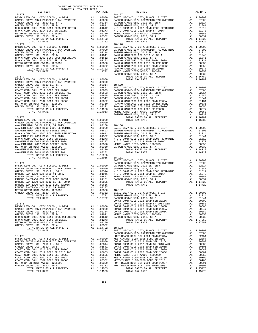| COUNTY OF ORANGE TAX RATE BOOK                                                                                                                                                                                                                                                                                                                                                                                                                                                                                                |  |                                                                                                                                                                                                                                         |          |
|-------------------------------------------------------------------------------------------------------------------------------------------------------------------------------------------------------------------------------------------------------------------------------------------------------------------------------------------------------------------------------------------------------------------------------------------------------------------------------------------------------------------------------|--|-----------------------------------------------------------------------------------------------------------------------------------------------------------------------------------------------------------------------------------------|----------|
| $\begin{tabular}{ccccc} & $\textsc{--}\xspace$ & $\textsc{--}\xspace$ & $\textsc{--}\xspace$ & $\textsc{--}\xspace$ & $\textsc{--}\xspace$ & $\textsc{--}\xspace$ & $\textsc{--}\xspace$ & $\textsc{--}\xspace$ & $\textsc{--}\xspace$ & $\textsc{--}\xspace$ & $\textsc{--}\xspace$ & $\textsc{--}\xspace$ & $\textsc{--}\xspace$ & $\textsc{--}\xspace$ & $\textsc{--}\xspace$ & $\textsc{--}\xspace$ & $\textsc{--}\xspace$ & $\textsc{--}\xspace$ & $\textsc{--}\xspace$ & $\textsc{--}\xspace$ & $\textsc{--}\xspace$ &$ |  |                                                                                                                                                                                                                                         | TAX RATE |
|                                                                                                                                                                                                                                                                                                                                                                                                                                                                                                                               |  |                                                                                                                                                                                                                                         |          |
|                                                                                                                                                                                                                                                                                                                                                                                                                                                                                                                               |  |                                                                                                                                                                                                                                         |          |
|                                                                                                                                                                                                                                                                                                                                                                                                                                                                                                                               |  |                                                                                                                                                                                                                                         |          |
|                                                                                                                                                                                                                                                                                                                                                                                                                                                                                                                               |  |                                                                                                                                                                                                                                         |          |
|                                                                                                                                                                                                                                                                                                                                                                                                                                                                                                                               |  |                                                                                                                                                                                                                                         |          |
|                                                                                                                                                                                                                                                                                                                                                                                                                                                                                                                               |  |                                                                                                                                                                                                                                         |          |
|                                                                                                                                                                                                                                                                                                                                                                                                                                                                                                                               |  |                                                                                                                                                                                                                                         |          |
|                                                                                                                                                                                                                                                                                                                                                                                                                                                                                                                               |  |                                                                                                                                                                                                                                         |          |
|                                                                                                                                                                                                                                                                                                                                                                                                                                                                                                                               |  |                                                                                                                                                                                                                                         |          |
|                                                                                                                                                                                                                                                                                                                                                                                                                                                                                                                               |  |                                                                                                                                                                                                                                         |          |
|                                                                                                                                                                                                                                                                                                                                                                                                                                                                                                                               |  |                                                                                                                                                                                                                                         |          |
|                                                                                                                                                                                                                                                                                                                                                                                                                                                                                                                               |  |                                                                                                                                                                                                                                         |          |
|                                                                                                                                                                                                                                                                                                                                                                                                                                                                                                                               |  |                                                                                                                                                                                                                                         |          |
|                                                                                                                                                                                                                                                                                                                                                                                                                                                                                                                               |  |                                                                                                                                                                                                                                         |          |
|                                                                                                                                                                                                                                                                                                                                                                                                                                                                                                                               |  |                                                                                                                                                                                                                                         |          |
|                                                                                                                                                                                                                                                                                                                                                                                                                                                                                                                               |  |                                                                                                                                                                                                                                         |          |
|                                                                                                                                                                                                                                                                                                                                                                                                                                                                                                                               |  |                                                                                                                                                                                                                                         |          |
|                                                                                                                                                                                                                                                                                                                                                                                                                                                                                                                               |  |                                                                                                                                                                                                                                         |          |
|                                                                                                                                                                                                                                                                                                                                                                                                                                                                                                                               |  |                                                                                                                                                                                                                                         |          |
|                                                                                                                                                                                                                                                                                                                                                                                                                                                                                                                               |  |                                                                                                                                                                                                                                         |          |
|                                                                                                                                                                                                                                                                                                                                                                                                                                                                                                                               |  |                                                                                                                                                                                                                                         |          |
|                                                                                                                                                                                                                                                                                                                                                                                                                                                                                                                               |  |                                                                                                                                                                                                                                         |          |
|                                                                                                                                                                                                                                                                                                                                                                                                                                                                                                                               |  |                                                                                                                                                                                                                                         |          |
|                                                                                                                                                                                                                                                                                                                                                                                                                                                                                                                               |  |                                                                                                                                                                                                                                         |          |
|                                                                                                                                                                                                                                                                                                                                                                                                                                                                                                                               |  |                                                                                                                                                                                                                                         |          |
|                                                                                                                                                                                                                                                                                                                                                                                                                                                                                                                               |  |                                                                                                                                                                                                                                         |          |
|                                                                                                                                                                                                                                                                                                                                                                                                                                                                                                                               |  |                                                                                                                                                                                                                                         |          |
|                                                                                                                                                                                                                                                                                                                                                                                                                                                                                                                               |  |                                                                                                                                                                                                                                         |          |
|                                                                                                                                                                                                                                                                                                                                                                                                                                                                                                                               |  |                                                                                                                                                                                                                                         |          |
|                                                                                                                                                                                                                                                                                                                                                                                                                                                                                                                               |  |                                                                                                                                                                                                                                         |          |
|                                                                                                                                                                                                                                                                                                                                                                                                                                                                                                                               |  |                                                                                                                                                                                                                                         |          |
|                                                                                                                                                                                                                                                                                                                                                                                                                                                                                                                               |  |                                                                                                                                                                                                                                         |          |
|                                                                                                                                                                                                                                                                                                                                                                                                                                                                                                                               |  |                                                                                                                                                                                                                                         |          |
|                                                                                                                                                                                                                                                                                                                                                                                                                                                                                                                               |  |                                                                                                                                                                                                                                         |          |
|                                                                                                                                                                                                                                                                                                                                                                                                                                                                                                                               |  | $[18-174$ $[18-174$ BASIC LEVY-CO., CITY, SCHOOL, & DIST<br>BASIC LEVY-CO., CITY, SCHOOL, & DIST<br>BASIC LEVY-CO., CITY, SCHOOL, & DIST<br>GARDEN GROVE 1974 PARAMEDIC TAX OVERRIDE<br>GARDEN GROVE USD, 2010 EL, SR C<br>GARDEN GROVE |          |
|                                                                                                                                                                                                                                                                                                                                                                                                                                                                                                                               |  |                                                                                                                                                                                                                                         |          |
|                                                                                                                                                                                                                                                                                                                                                                                                                                                                                                                               |  |                                                                                                                                                                                                                                         |          |
|                                                                                                                                                                                                                                                                                                                                                                                                                                                                                                                               |  |                                                                                                                                                                                                                                         |          |
|                                                                                                                                                                                                                                                                                                                                                                                                                                                                                                                               |  |                                                                                                                                                                                                                                         |          |
|                                                                                                                                                                                                                                                                                                                                                                                                                                                                                                                               |  |                                                                                                                                                                                                                                         |          |
|                                                                                                                                                                                                                                                                                                                                                                                                                                                                                                                               |  |                                                                                                                                                                                                                                         |          |
|                                                                                                                                                                                                                                                                                                                                                                                                                                                                                                                               |  |                                                                                                                                                                                                                                         |          |
|                                                                                                                                                                                                                                                                                                                                                                                                                                                                                                                               |  |                                                                                                                                                                                                                                         |          |
|                                                                                                                                                                                                                                                                                                                                                                                                                                                                                                                               |  |                                                                                                                                                                                                                                         |          |
|                                                                                                                                                                                                                                                                                                                                                                                                                                                                                                                               |  |                                                                                                                                                                                                                                         |          |
|                                                                                                                                                                                                                                                                                                                                                                                                                                                                                                                               |  |                                                                                                                                                                                                                                         |          |
|                                                                                                                                                                                                                                                                                                                                                                                                                                                                                                                               |  |                                                                                                                                                                                                                                         |          |
|                                                                                                                                                                                                                                                                                                                                                                                                                                                                                                                               |  |                                                                                                                                                                                                                                         |          |
|                                                                                                                                                                                                                                                                                                                                                                                                                                                                                                                               |  |                                                                                                                                                                                                                                         |          |
|                                                                                                                                                                                                                                                                                                                                                                                                                                                                                                                               |  |                                                                                                                                                                                                                                         |          |
|                                                                                                                                                                                                                                                                                                                                                                                                                                                                                                                               |  |                                                                                                                                                                                                                                         |          |
|                                                                                                                                                                                                                                                                                                                                                                                                                                                                                                                               |  |                                                                                                                                                                                                                                         |          |
|                                                                                                                                                                                                                                                                                                                                                                                                                                                                                                                               |  |                                                                                                                                                                                                                                         |          |
|                                                                                                                                                                                                                                                                                                                                                                                                                                                                                                                               |  |                                                                                                                                                                                                                                         |          |
|                                                                                                                                                                                                                                                                                                                                                                                                                                                                                                                               |  |                                                                                                                                                                                                                                         |          |
|                                                                                                                                                                                                                                                                                                                                                                                                                                                                                                                               |  |                                                                                                                                                                                                                                         |          |
|                                                                                                                                                                                                                                                                                                                                                                                                                                                                                                                               |  |                                                                                                                                                                                                                                         |          |
|                                                                                                                                                                                                                                                                                                                                                                                                                                                                                                                               |  |                                                                                                                                                                                                                                         |          |
|                                                                                                                                                                                                                                                                                                                                                                                                                                                                                                                               |  |                                                                                                                                                                                                                                         |          |
|                                                                                                                                                                                                                                                                                                                                                                                                                                                                                                                               |  |                                                                                                                                                                                                                                         |          |
|                                                                                                                                                                                                                                                                                                                                                                                                                                                                                                                               |  |                                                                                                                                                                                                                                         |          |
|                                                                                                                                                                                                                                                                                                                                                                                                                                                                                                                               |  |                                                                                                                                                                                                                                         |          |

| DISTRICT | TAX RATE | $\begin{minipage}{.4\linewidth} \texttt{DISTRICT} \end{minipage}$<br>1990, 2002, 2002, 2002, 2002, 2002, 2002, 2002, 2002, 2002, 2002, 2002, 2002, 2002, 2002, 2002, 2002, 2002, 2002, 2002, 2002, 2002, 2002, 2002, 2002, 2002, 2002, 2002, 2002, 2002, 2002, 2002, 2002, 2002, 2002, 2002, 2002 | TAX RATE |
|----------|----------|---------------------------------------------------------------------------------------------------------------------------------------------------------------------------------------------------------------------------------------------------------------------------------------------------|----------|
|          |          |                                                                                                                                                                                                                                                                                                   |          |
|          |          |                                                                                                                                                                                                                                                                                                   |          |
|          |          |                                                                                                                                                                                                                                                                                                   |          |
|          |          |                                                                                                                                                                                                                                                                                                   |          |
|          |          |                                                                                                                                                                                                                                                                                                   |          |
|          |          |                                                                                                                                                                                                                                                                                                   |          |
|          |          |                                                                                                                                                                                                                                                                                                   |          |
|          |          |                                                                                                                                                                                                                                                                                                   |          |
|          |          |                                                                                                                                                                                                                                                                                                   |          |
|          |          |                                                                                                                                                                                                                                                                                                   |          |
|          |          |                                                                                                                                                                                                                                                                                                   |          |
|          |          |                                                                                                                                                                                                                                                                                                   |          |
|          |          |                                                                                                                                                                                                                                                                                                   |          |
|          |          |                                                                                                                                                                                                                                                                                                   |          |
|          |          |                                                                                                                                                                                                                                                                                                   |          |
|          |          |                                                                                                                                                                                                                                                                                                   |          |
|          |          |                                                                                                                                                                                                                                                                                                   |          |
|          |          |                                                                                                                                                                                                                                                                                                   |          |
|          |          |                                                                                                                                                                                                                                                                                                   |          |
|          |          |                                                                                                                                                                                                                                                                                                   |          |
|          |          |                                                                                                                                                                                                                                                                                                   |          |
|          |          |                                                                                                                                                                                                                                                                                                   |          |
|          |          |                                                                                                                                                                                                                                                                                                   |          |
|          |          |                                                                                                                                                                                                                                                                                                   |          |
|          |          |                                                                                                                                                                                                                                                                                                   |          |
|          |          |                                                                                                                                                                                                                                                                                                   |          |
|          |          |                                                                                                                                                                                                                                                                                                   |          |
|          |          |                                                                                                                                                                                                                                                                                                   |          |
|          |          |                                                                                                                                                                                                                                                                                                   |          |
|          |          |                                                                                                                                                                                                                                                                                                   |          |
|          |          |                                                                                                                                                                                                                                                                                                   |          |
|          |          |                                                                                                                                                                                                                                                                                                   |          |
|          |          |                                                                                                                                                                                                                                                                                                   |          |
|          |          |                                                                                                                                                                                                                                                                                                   |          |
|          |          |                                                                                                                                                                                                                                                                                                   |          |
|          |          |                                                                                                                                                                                                                                                                                                   |          |
|          |          |                                                                                                                                                                                                                                                                                                   |          |
|          |          |                                                                                                                                                                                                                                                                                                   |          |
|          |          |                                                                                                                                                                                                                                                                                                   |          |
|          |          |                                                                                                                                                                                                                                                                                                   |          |
|          |          |                                                                                                                                                                                                                                                                                                   |          |
|          |          |                                                                                                                                                                                                                                                                                                   |          |
|          |          |                                                                                                                                                                                                                                                                                                   |          |
|          |          |                                                                                                                                                                                                                                                                                                   |          |
|          |          |                                                                                                                                                                                                                                                                                                   |          |
|          |          |                                                                                                                                                                                                                                                                                                   |          |
|          |          |                                                                                                                                                                                                                                                                                                   |          |
|          |          |                                                                                                                                                                                                                                                                                                   |          |
|          |          |                                                                                                                                                                                                                                                                                                   |          |
|          |          |                                                                                                                                                                                                                                                                                                   |          |
|          |          |                                                                                                                                                                                                                                                                                                   |          |
|          |          |                                                                                                                                                                                                                                                                                                   |          |
|          |          |                                                                                                                                                                                                                                                                                                   |          |
|          |          |                                                                                                                                                                                                                                                                                                   |          |
|          |          |                                                                                                                                                                                                                                                                                                   |          |
|          |          |                                                                                                                                                                                                                                                                                                   |          |
|          |          |                                                                                                                                                                                                                                                                                                   |          |
|          |          |                                                                                                                                                                                                                                                                                                   |          |
|          |          |                                                                                                                                                                                                                                                                                                   |          |
|          |          |                                                                                                                                                                                                                                                                                                   |          |
|          |          |                                                                                                                                                                                                                                                                                                   |          |
|          |          |                                                                                                                                                                                                                                                                                                   |          |
|          |          |                                                                                                                                                                                                                                                                                                   |          |
|          |          |                                                                                                                                                                                                                                                                                                   |          |
|          |          |                                                                                                                                                                                                                                                                                                   |          |
|          |          |                                                                                                                                                                                                                                                                                                   |          |
|          |          |                                                                                                                                                                                                                                                                                                   |          |
|          |          |                                                                                                                                                                                                                                                                                                   |          |
|          |          |                                                                                                                                                                                                                                                                                                   |          |
|          |          |                                                                                                                                                                                                                                                                                                   |          |
|          |          |                                                                                                                                                                                                                                                                                                   |          |
|          |          |                                                                                                                                                                                                                                                                                                   |          |
|          |          |                                                                                                                                                                                                                                                                                                   |          |
|          |          |                                                                                                                                                                                                                                                                                                   |          |
|          |          |                                                                                                                                                                                                                                                                                                   |          |
|          |          |                                                                                                                                                                                                                                                                                                   |          |
|          |          |                                                                                                                                                                                                                                                                                                   |          |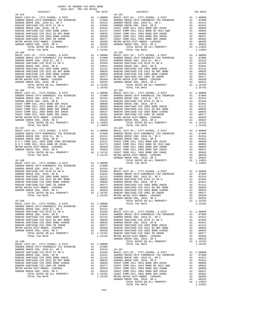| COUNTY OF ORANGE TAX RATE BOOK<br>2016-2017 TRA TAX RATES                                                                                                                                                              |          |                                                                                                                                                                                      |                          |
|------------------------------------------------------------------------------------------------------------------------------------------------------------------------------------------------------------------------|----------|--------------------------------------------------------------------------------------------------------------------------------------------------------------------------------------|--------------------------|
| DISTRICT                                                                                                                                                                                                               |          | TAX RATE                                                                                                                                                                             |                          |
| $18 - 184$                                                                                                                                                                                                             |          |                                                                                                                                                                                      | 18-191                   |
|                                                                                                                                                                                                                        |          |                                                                                                                                                                                      |                          |
|                                                                                                                                                                                                                        |          |                                                                                                                                                                                      |                          |
|                                                                                                                                                                                                                        |          |                                                                                                                                                                                      |                          |
|                                                                                                                                                                                                                        |          |                                                                                                                                                                                      |                          |
|                                                                                                                                                                                                                        |          |                                                                                                                                                                                      |                          |
|                                                                                                                                                                                                                        |          |                                                                                                                                                                                      |                          |
|                                                                                                                                                                                                                        |          |                                                                                                                                                                                      |                          |
|                                                                                                                                                                                                                        |          |                                                                                                                                                                                      |                          |
|                                                                                                                                                                                                                        |          |                                                                                                                                                                                      |                          |
|                                                                                                                                                                                                                        |          |                                                                                                                                                                                      |                          |
|                                                                                                                                                                                                                        |          |                                                                                                                                                                                      |                          |
|                                                                                                                                                                                                                        |          |                                                                                                                                                                                      |                          |
|                                                                                                                                                                                                                        |          |                                                                                                                                                                                      |                          |
|                                                                                                                                                                                                                        |          |                                                                                                                                                                                      |                          |
|                                                                                                                                                                                                                        |          |                                                                                                                                                                                      |                          |
|                                                                                                                                                                                                                        |          |                                                                                                                                                                                      |                          |
|                                                                                                                                                                                                                        |          |                                                                                                                                                                                      |                          |
|                                                                                                                                                                                                                        |          |                                                                                                                                                                                      |                          |
|                                                                                                                                                                                                                        |          |                                                                                                                                                                                      |                          |
| $18 - 186$                                                                                                                                                                                                             |          |                                                                                                                                                                                      |                          |
|                                                                                                                                                                                                                        |          |                                                                                                                                                                                      |                          |
|                                                                                                                                                                                                                        |          |                                                                                                                                                                                      |                          |
|                                                                                                                                                                                                                        |          |                                                                                                                                                                                      |                          |
|                                                                                                                                                                                                                        |          |                                                                                                                                                                                      |                          |
|                                                                                                                                                                                                                        |          |                                                                                                                                                                                      |                          |
|                                                                                                                                                                                                                        |          |                                                                                                                                                                                      |                          |
|                                                                                                                                                                                                                        |          |                                                                                                                                                                                      |                          |
|                                                                                                                                                                                                                        |          |                                                                                                                                                                                      |                          |
|                                                                                                                                                                                                                        |          |                                                                                                                                                                                      |                          |
|                                                                                                                                                                                                                        |          |                                                                                                                                                                                      |                          |
|                                                                                                                                                                                                                        |          |                                                                                                                                                                                      |                          |
|                                                                                                                                                                                                                        |          |                                                                                                                                                                                      |                          |
|                                                                                                                                                                                                                        |          |                                                                                                                                                                                      |                          |
|                                                                                                                                                                                                                        |          |                                                                                                                                                                                      |                          |
|                                                                                                                                                                                                                        |          |                                                                                                                                                                                      |                          |
|                                                                                                                                                                                                                        |          |                                                                                                                                                                                      |                          |
|                                                                                                                                                                                                                        |          |                                                                                                                                                                                      |                          |
|                                                                                                                                                                                                                        |          |                                                                                                                                                                                      | GARDEN                   |
| 18-188                                                                                                                                                                                                                 |          |                                                                                                                                                                                      |                          |
| GARDEN GROVE-1974 PARAMEDIC TAX OVERRIDE<br>SARDEN GROVE-1974 PARAMEDIC TAX OVERRIDE<br>A1 .07000 GARDEN GROVE USD, 2010 EL, SR C<br>BAMCHO GARDEN SARDEN BARRIDE – 20000 PAMCHO GARDEN SARDEN BARRIDE – 2000 EL, SR C |          |                                                                                                                                                                                      |                          |
|                                                                                                                                                                                                                        |          |                                                                                                                                                                                      |                          |
| RANCHO SANTIAGO CCD SFID #1 SR A<br>GARDEN GROVE USD, 2010, SR B                                                                                                                                                       |          |                                                                                                                                                                                      |                          |
| RANCHO SANTIAGO CCD 2002 BOND 2003A                                                                                                                                                                                    |          |                                                                                                                                                                                      |                          |
|                                                                                                                                                                                                                        |          |                                                                                                                                                                                      |                          |
|                                                                                                                                                                                                                        |          |                                                                                                                                                                                      |                          |
|                                                                                                                                                                                                                        |          |                                                                                                                                                                                      |                          |
| NEARLY SANTIAGO CCD 2012 GO REF BOND<br>RANCHO SANTIAGO CCD 2002 BOND #2006C<br>RANCHO SANTIAGO CCD 2002 SR 2005B<br>METRO WATER DIST-MWDOC- 1205999<br>GARDEN GROVE USD, 2010, SR A                                   |          |                                                                                                                                                                                      |                          |
| TOTAL TAX RATE                                                                                                                                                                                                         |          | 1.16782                                                                                                                                                                              | METRO W                  |
|                                                                                                                                                                                                                        |          |                                                                                                                                                                                      | GARDEN                   |
| $18 - 189$<br>BASIC LEVY-CO., CITY, SCHOOL, & DIST                                                                                                                                                                     |          | A1 1.00000                                                                                                                                                                           |                          |
| GARDEN GROVE-1974 PARAMEDIC TAX OVERRIDE                                                                                                                                                                               |          | A1 .07000                                                                                                                                                                            |                          |
| GARDEN GROVE USD, 2010 EL, SR C                                                                                                                                                                                        |          | A1 .02314 18-196                                                                                                                                                                     | BASIC L                  |
| RANCHO SANTIAGO CCD SFID #1 SR A<br>GARDEN GROVE USD, 2010, SR B                                                                                                                                                       | A1<br>A1 | .01946<br>.01841                                                                                                                                                                     | GARDEN                   |
| RANCHO SANTIAGO CCD 2002 BOND 2003A                                                                                                                                                                                    |          |                                                                                                                                                                                      |                          |
| RANCHO SANTIAGO CCD 2012 GO REF BOND                                                                                                                                                                                   |          |                                                                                                                                                                                      |                          |
| RANCHO SANTIAGO CCD 2002 BOND #2006C<br>RANCHO SANTIAGO CCD 2002 SR 2005B                                                                                                                                              |          |                                                                                                                                                                                      |                          |
| METRO WATER DIST-MWDOC- 1205999                                                                                                                                                                                        |          |                                                                                                                                                                                      |                          |
| GARDEN GROVE USD, 2010, SR A                                                                                                                                                                                           |          |                                                                                                                                                                                      |                          |
| TOTAL RATES ON ALL PROPERTY<br>TOTAL TAX RATE                                                                                                                                                                          |          | A1 .01841 GARDEN<br>A1 .01131 GARDEN<br>A1 .00835 RANCHO<br>A1 .00656 GARDEN<br>A1 .00350 RANCHO<br>A1 .00350 RANCHO<br>A1 .00352 RANCHO<br>A1 1.15782 MATCHO<br>1.16782 METRO METRO |                          |
|                                                                                                                                                                                                                        |          |                                                                                                                                                                                      | GARDEN                   |
| $18 - 190$<br>BASIC LEVY-CO., CITY, SCHOOL, & DIST                                                                                                                                                                     |          |                                                                                                                                                                                      |                          |
| GARDEN GROVE-1974 PARAMEDIC TAX OVERRIDE                                                                                                                                                                               |          | A1 1.00000<br>A1 .07000                                                                                                                                                              |                          |
| GARDEN GROVE USD, 2010 EL, SR C<br>RANCHO SANTIAGO CCD SFID #1 SR A                                                                                                                                                    | A1<br>A1 | .01946                                                                                                                                                                               | .02314 18-197<br>BASIC L |
| GARDEN GROVE USD, 2010, SR B                                                                                                                                                                                           |          |                                                                                                                                                                                      |                          |
| RANCHO SANTIAGO CCD 2002 BOND 2003A                                                                                                                                                                                    |          |                                                                                                                                                                                      |                          |
| RANCHO SANTIAGO CCD 2012 GO REF BOND<br>RANCHO SANTIAGO CCD 2002 BOND #2006C                                                                                                                                           |          |                                                                                                                                                                                      |                          |
| RANCHO SANTIAGO CCD 2002 SR 2005B                                                                                                                                                                                      |          |                                                                                                                                                                                      |                          |
| METRO WATER DIST-MWDOC- 1205999                                                                                                                                                                                        |          |                                                                                                                                                                                      |                          |
| GARDEN GROVE USD, 2010, SR A                                                                                                                                                                                           |          |                                                                                                                                                                                      |                          |

| DISTRICT   | TAX RATE | DISTRICT                                                                                                                                                                                                                                                                            | TAX RATE |
|------------|----------|-------------------------------------------------------------------------------------------------------------------------------------------------------------------------------------------------------------------------------------------------------------------------------------|----------|
|            |          | $18 - 191$<br>$\begin{tabular}{l cccc} 18-184 & 100000 & 18-184 & 100000 & 18-184 & 100000 & 18-184 & 100000 & 18-184 & 100000 & 18-184 & 100000 & 18-184 & 100000 & 18-184 & 100000 & 18-184 & 100000 & 18-184 & 100000 & 18-184 & 100000 & 18-184 & 100000 & 18-184 & 100000 & 1$ |          |
|            |          |                                                                                                                                                                                                                                                                                     |          |
|            |          |                                                                                                                                                                                                                                                                                     |          |
|            |          |                                                                                                                                                                                                                                                                                     |          |
|            |          |                                                                                                                                                                                                                                                                                     |          |
|            |          |                                                                                                                                                                                                                                                                                     |          |
|            |          |                                                                                                                                                                                                                                                                                     |          |
|            |          |                                                                                                                                                                                                                                                                                     |          |
|            |          |                                                                                                                                                                                                                                                                                     |          |
|            |          |                                                                                                                                                                                                                                                                                     |          |
|            |          |                                                                                                                                                                                                                                                                                     |          |
|            |          |                                                                                                                                                                                                                                                                                     |          |
|            |          |                                                                                                                                                                                                                                                                                     |          |
|            |          |                                                                                                                                                                                                                                                                                     |          |
|            |          |                                                                                                                                                                                                                                                                                     |          |
|            |          |                                                                                                                                                                                                                                                                                     |          |
|            |          |                                                                                                                                                                                                                                                                                     |          |
|            |          |                                                                                                                                                                                                                                                                                     |          |
|            |          |                                                                                                                                                                                                                                                                                     |          |
|            |          |                                                                                                                                                                                                                                                                                     |          |
|            |          |                                                                                                                                                                                                                                                                                     |          |
|            |          |                                                                                                                                                                                                                                                                                     |          |
|            |          |                                                                                                                                                                                                                                                                                     |          |
|            |          |                                                                                                                                                                                                                                                                                     |          |
|            |          |                                                                                                                                                                                                                                                                                     |          |
|            |          |                                                                                                                                                                                                                                                                                     |          |
|            |          |                                                                                                                                                                                                                                                                                     |          |
|            |          |                                                                                                                                                                                                                                                                                     |          |
|            |          |                                                                                                                                                                                                                                                                                     |          |
|            |          |                                                                                                                                                                                                                                                                                     |          |
|            |          |                                                                                                                                                                                                                                                                                     |          |
|            |          |                                                                                                                                                                                                                                                                                     |          |
|            |          |                                                                                                                                                                                                                                                                                     |          |
| $18 - 187$ |          | $18 - 194$                                                                                                                                                                                                                                                                          |          |
|            |          |                                                                                                                                                                                                                                                                                     |          |
|            |          |                                                                                                                                                                                                                                                                                     |          |
|            |          |                                                                                                                                                                                                                                                                                     |          |
|            |          |                                                                                                                                                                                                                                                                                     |          |
|            |          |                                                                                                                                                                                                                                                                                     |          |
|            |          |                                                                                                                                                                                                                                                                                     |          |
|            |          |                                                                                                                                                                                                                                                                                     |          |
|            |          |                                                                                                                                                                                                                                                                                     |          |
|            |          |                                                                                                                                                                                                                                                                                     |          |
|            |          |                                                                                                                                                                                                                                                                                     |          |
|            |          |                                                                                                                                                                                                                                                                                     |          |
|            |          |                                                                                                                                                                                                                                                                                     |          |
|            |          |                                                                                                                                                                                                                                                                                     |          |
|            |          |                                                                                                                                                                                                                                                                                     |          |
|            |          |                                                                                                                                                                                                                                                                                     |          |
|            |          |                                                                                                                                                                                                                                                                                     |          |
|            |          |                                                                                                                                                                                                                                                                                     |          |
|            |          |                                                                                                                                                                                                                                                                                     |          |
|            |          |                                                                                                                                                                                                                                                                                     |          |
|            |          |                                                                                                                                                                                                                                                                                     |          |
|            |          |                                                                                                                                                                                                                                                                                     |          |
|            |          |                                                                                                                                                                                                                                                                                     |          |
|            |          |                                                                                                                                                                                                                                                                                     |          |
|            |          |                                                                                                                                                                                                                                                                                     |          |
|            |          |                                                                                                                                                                                                                                                                                     |          |
|            |          |                                                                                                                                                                                                                                                                                     |          |
|            |          |                                                                                                                                                                                                                                                                                     |          |
|            |          |                                                                                                                                                                                                                                                                                     |          |
|            |          |                                                                                                                                                                                                                                                                                     |          |
|            |          |                                                                                                                                                                                                                                                                                     |          |
|            |          |                                                                                                                                                                                                                                                                                     |          |
|            |          |                                                                                                                                                                                                                                                                                     |          |
|            |          |                                                                                                                                                                                                                                                                                     |          |
|            |          |                                                                                                                                                                                                                                                                                     |          |
|            |          |                                                                                                                                                                                                                                                                                     |          |
|            |          |                                                                                                                                                                                                                                                                                     |          |
|            |          |                                                                                                                                                                                                                                                                                     |          |
|            |          |                                                                                                                                                                                                                                                                                     |          |
|            |          |                                                                                                                                                                                                                                                                                     |          |
|            |          |                                                                                                                                                                                                                                                                                     |          |
|            |          |                                                                                                                                                                                                                                                                                     |          |
|            |          |                                                                                                                                                                                                                                                                                     |          |
|            |          |                                                                                                                                                                                                                                                                                     |          |
|            |          |                                                                                                                                                                                                                                                                                     |          |
|            |          |                                                                                                                                                                                                                                                                                     | 1.14953  |
|            |          |                                                                                                                                                                                                                                                                                     |          |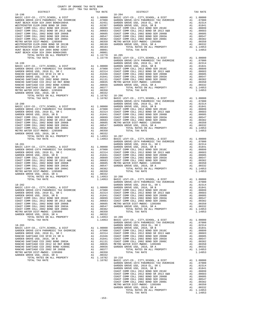|                                                                              |                 |                                                                                                                                                                                                                      | GARDEN           |
|------------------------------------------------------------------------------|-----------------|----------------------------------------------------------------------------------------------------------------------------------------------------------------------------------------------------------------------|------------------|
|                                                                              |                 |                                                                                                                                                                                                                      |                  |
|                                                                              |                 |                                                                                                                                                                                                                      |                  |
|                                                                              |                 |                                                                                                                                                                                                                      |                  |
|                                                                              |                 |                                                                                                                                                                                                                      |                  |
|                                                                              |                 |                                                                                                                                                                                                                      |                  |
|                                                                              |                 |                                                                                                                                                                                                                      |                  |
|                                                                              |                 |                                                                                                                                                                                                                      |                  |
|                                                                              |                 |                                                                                                                                                                                                                      |                  |
|                                                                              |                 |                                                                                                                                                                                                                      |                  |
|                                                                              |                 |                                                                                                                                                                                                                      |                  |
|                                                                              |                 |                                                                                                                                                                                                                      |                  |
|                                                                              |                 |                                                                                                                                                                                                                      | GARDEN           |
|                                                                              |                 |                                                                                                                                                                                                                      |                  |
|                                                                              |                 |                                                                                                                                                                                                                      |                  |
|                                                                              |                 |                                                                                                                                                                                                                      |                  |
|                                                                              |                 |                                                                                                                                                                                                                      |                  |
|                                                                              |                 |                                                                                                                                                                                                                      |                  |
|                                                                              |                 |                                                                                                                                                                                                                      |                  |
|                                                                              |                 |                                                                                                                                                                                                                      |                  |
|                                                                              |                 |                                                                                                                                                                                                                      |                  |
|                                                                              |                 |                                                                                                                                                                                                                      |                  |
|                                                                              |                 |                                                                                                                                                                                                                      |                  |
|                                                                              |                 |                                                                                                                                                                                                                      | GARDEN           |
|                                                                              |                 |                                                                                                                                                                                                                      |                  |
|                                                                              |                 |                                                                                                                                                                                                                      |                  |
|                                                                              |                 |                                                                                                                                                                                                                      |                  |
|                                                                              |                 |                                                                                                                                                                                                                      |                  |
|                                                                              |                 |                                                                                                                                                                                                                      |                  |
|                                                                              |                 |                                                                                                                                                                                                                      |                  |
|                                                                              |                 |                                                                                                                                                                                                                      |                  |
|                                                                              |                 |                                                                                                                                                                                                                      |                  |
|                                                                              |                 |                                                                                                                                                                                                                      |                  |
|                                                                              |                 |                                                                                                                                                                                                                      |                  |
|                                                                              |                 |                                                                                                                                                                                                                      | GARDEN           |
|                                                                              |                 |                                                                                                                                                                                                                      |                  |
|                                                                              |                 |                                                                                                                                                                                                                      |                  |
|                                                                              |                 |                                                                                                                                                                                                                      |                  |
|                                                                              |                 |                                                                                                                                                                                                                      |                  |
|                                                                              |                 |                                                                                                                                                                                                                      |                  |
| COAST COMM COLL 2002 BOND SER 2006B                                          | $\overline{A1}$ | .00605                                                                                                                                                                                                               | METRO W          |
| COAST COMM COLL 2002 BOND SER 2003A                                          | A1              | .00547                                                                                                                                                                                                               | GARDEN           |
| COAST COMM COLL 2002 BOND SER 2006C<br>METRO WATER DIST-MWDOC- 1205999       | A1<br>A1        | .00382<br>.00350                                                                                                                                                                                                     |                  |
| GARDEN GROVE USD, 2010, SR A                                                 | A1              | .00332                                                                                                                                                                                                               |                  |
| TOTAL RATES ON ALL PROPERTY                                                  |                 | A1 1.14953                                                                                                                                                                                                           | 18-209           |
| TOTAL TAX RATE                                                               |                 | 1.14953                                                                                                                                                                                                              | BASIC L          |
| $18 - 203$                                                                   |                 |                                                                                                                                                                                                                      | GARDEN<br>GARDEN |
| BASIC LEVY-CO., CITY, SCHOOL, & DIST                                         | A1              | 1.00000                                                                                                                                                                                                              | GARDEN           |
| GARDEN GROVE-1974 PARAMEDIC TAX OVERRIDE                                     |                 |                                                                                                                                                                                                                      |                  |
| GARDEN GROVE USD, 2010 EL, SR C<br>RANCHO SANTIAGO CCD SFID #1 SR A          |                 | A1 .00000 GABTE<br>A1 .07000 GABT C<br>A1 .02314 COAST C<br>A1 .01314 COAST C<br>A1 .01841 COAST C<br>A1 .01841 COAST C<br>A1 .00855 METRO W<br>A1 .00855 GARDEN<br>A1 .00377<br>A1 .00377<br>A1 .00377<br>A1 .00377 |                  |
| GARDEN GROVE USD, 2010, SR B                                                 |                 |                                                                                                                                                                                                                      |                  |
| RANCHO SANTIAGO CCD 2002 BOND 2003A                                          |                 |                                                                                                                                                                                                                      |                  |
| RANCHO SANTIAGO CCD 2012 GO REF BOND<br>RANCHO SANTIAGO CCD 2002 BOND #2006C |                 |                                                                                                                                                                                                                      |                  |
| RANCHO SANTIAGO CCD 2002 SR 2005B                                            |                 |                                                                                                                                                                                                                      |                  |
| METRO WATER DIST-MWDOC- 1205999                                              |                 | A1 .00350                                                                                                                                                                                                            |                  |
| GARDEN GROVE USD, 2010, SR A<br>TOTAL RATES ON ALL PROPERTY                  | A1              | .00332<br>A1 1.16782                                                                                                                                                                                                 | 18-210           |
| TOTAL TAX RATE                                                               |                 | 1.16782                                                                                                                                                                                                              | BASIC L          |
|                                                                              |                 |                                                                                                                                                                                                                      | CADDUM           |

| COUNTY OF ORANGE TAX RATE BOOK<br>2016-2017 TRA TAX RATES |          |                                                                                                                                                                                                                                                                                                                                                                          |          |
|-----------------------------------------------------------|----------|--------------------------------------------------------------------------------------------------------------------------------------------------------------------------------------------------------------------------------------------------------------------------------------------------------------------------------------------------------------------------|----------|
| DISTRICT                                                  | TAX RATE | DISTRICT                                                                                                                                                                                                                                                                                                                                                                 | TAX RATE |
|                                                           |          | $18 - 204$<br>$\begin{tabular}{cccc} 18-198 & \rule{0.2cm}{0.12cm} & \rule{0.2cm}{0.12cm} & \rule{0.2cm}{0.12cm} & \rule{0.2cm}{0.12cm} & \rule{0.2cm}{0.12cm} & \rule{0.2cm}{0.12cm} & \rule{0.2cm}{0.12cm} & \rule{0.2cm}{0.12cm} & \rule{0.2cm}{0.12cm} & \rule{0.2cm}{0.12cm} & \rule{0.2cm}{0.12cm} & \rule{0.2cm}{0.12cm} & \rule{0.2cm}{0.12cm} & \rule{0.2cm}{0$ |          |
|                                                           |          |                                                                                                                                                                                                                                                                                                                                                                          |          |
|                                                           |          |                                                                                                                                                                                                                                                                                                                                                                          |          |
|                                                           |          |                                                                                                                                                                                                                                                                                                                                                                          |          |
|                                                           |          |                                                                                                                                                                                                                                                                                                                                                                          |          |
|                                                           |          |                                                                                                                                                                                                                                                                                                                                                                          |          |
|                                                           |          |                                                                                                                                                                                                                                                                                                                                                                          |          |
|                                                           |          |                                                                                                                                                                                                                                                                                                                                                                          |          |
|                                                           |          |                                                                                                                                                                                                                                                                                                                                                                          |          |
|                                                           |          |                                                                                                                                                                                                                                                                                                                                                                          |          |
|                                                           |          |                                                                                                                                                                                                                                                                                                                                                                          |          |
|                                                           |          |                                                                                                                                                                                                                                                                                                                                                                          |          |
|                                                           |          |                                                                                                                                                                                                                                                                                                                                                                          |          |
|                                                           |          |                                                                                                                                                                                                                                                                                                                                                                          |          |
|                                                           |          |                                                                                                                                                                                                                                                                                                                                                                          |          |
|                                                           |          |                                                                                                                                                                                                                                                                                                                                                                          |          |
|                                                           |          |                                                                                                                                                                                                                                                                                                                                                                          |          |
|                                                           |          |                                                                                                                                                                                                                                                                                                                                                                          |          |
|                                                           |          |                                                                                                                                                                                                                                                                                                                                                                          |          |
|                                                           |          |                                                                                                                                                                                                                                                                                                                                                                          |          |
|                                                           |          |                                                                                                                                                                                                                                                                                                                                                                          |          |
|                                                           |          |                                                                                                                                                                                                                                                                                                                                                                          |          |
|                                                           |          |                                                                                                                                                                                                                                                                                                                                                                          |          |
|                                                           |          |                                                                                                                                                                                                                                                                                                                                                                          |          |
|                                                           |          |                                                                                                                                                                                                                                                                                                                                                                          |          |
|                                                           |          |                                                                                                                                                                                                                                                                                                                                                                          |          |
|                                                           |          |                                                                                                                                                                                                                                                                                                                                                                          |          |
|                                                           |          |                                                                                                                                                                                                                                                                                                                                                                          |          |
|                                                           |          |                                                                                                                                                                                                                                                                                                                                                                          |          |
|                                                           |          |                                                                                                                                                                                                                                                                                                                                                                          |          |
|                                                           |          |                                                                                                                                                                                                                                                                                                                                                                          |          |
|                                                           |          |                                                                                                                                                                                                                                                                                                                                                                          |          |
|                                                           |          |                                                                                                                                                                                                                                                                                                                                                                          |          |
|                                                           |          |                                                                                                                                                                                                                                                                                                                                                                          |          |
|                                                           |          |                                                                                                                                                                                                                                                                                                                                                                          |          |
|                                                           |          |                                                                                                                                                                                                                                                                                                                                                                          |          |
|                                                           |          |                                                                                                                                                                                                                                                                                                                                                                          |          |
|                                                           |          |                                                                                                                                                                                                                                                                                                                                                                          |          |
|                                                           |          |                                                                                                                                                                                                                                                                                                                                                                          |          |
|                                                           |          |                                                                                                                                                                                                                                                                                                                                                                          |          |
|                                                           |          |                                                                                                                                                                                                                                                                                                                                                                          |          |
|                                                           |          |                                                                                                                                                                                                                                                                                                                                                                          |          |
|                                                           |          |                                                                                                                                                                                                                                                                                                                                                                          |          |
|                                                           |          |                                                                                                                                                                                                                                                                                                                                                                          |          |
|                                                           |          |                                                                                                                                                                                                                                                                                                                                                                          |          |
|                                                           |          |                                                                                                                                                                                                                                                                                                                                                                          |          |
|                                                           |          |                                                                                                                                                                                                                                                                                                                                                                          |          |
|                                                           |          |                                                                                                                                                                                                                                                                                                                                                                          |          |
|                                                           |          |                                                                                                                                                                                                                                                                                                                                                                          |          |
|                                                           |          |                                                                                                                                                                                                                                                                                                                                                                          |          |
|                                                           |          |                                                                                                                                                                                                                                                                                                                                                                          |          |
|                                                           |          |                                                                                                                                                                                                                                                                                                                                                                          |          |
|                                                           |          |                                                                                                                                                                                                                                                                                                                                                                          |          |
|                                                           |          |                                                                                                                                                                                                                                                                                                                                                                          |          |
|                                                           |          |                                                                                                                                                                                                                                                                                                                                                                          |          |
|                                                           |          |                                                                                                                                                                                                                                                                                                                                                                          |          |
|                                                           |          |                                                                                                                                                                                                                                                                                                                                                                          |          |
|                                                           |          |                                                                                                                                                                                                                                                                                                                                                                          |          |
|                                                           |          |                                                                                                                                                                                                                                                                                                                                                                          |          |
|                                                           |          |                                                                                                                                                                                                                                                                                                                                                                          |          |
|                                                           |          |                                                                                                                                                                                                                                                                                                                                                                          |          |
|                                                           |          |                                                                                                                                                                                                                                                                                                                                                                          |          |
|                                                           |          |                                                                                                                                                                                                                                                                                                                                                                          |          |
|                                                           |          |                                                                                                                                                                                                                                                                                                                                                                          |          |
|                                                           |          |                                                                                                                                                                                                                                                                                                                                                                          |          |
|                                                           |          |                                                                                                                                                                                                                                                                                                                                                                          |          |
|                                                           |          |                                                                                                                                                                                                                                                                                                                                                                          |          |
|                                                           |          |                                                                                                                                                                                                                                                                                                                                                                          |          |
|                                                           |          |                                                                                                                                                                                                                                                                                                                                                                          |          |
|                                                           |          |                                                                                                                                                                                                                                                                                                                                                                          |          |
|                                                           |          |                                                                                                                                                                                                                                                                                                                                                                          |          |
|                                                           |          |                                                                                                                                                                                                                                                                                                                                                                          |          |
|                                                           |          |                                                                                                                                                                                                                                                                                                                                                                          |          |
|                                                           |          |                                                                                                                                                                                                                                                                                                                                                                          |          |
|                                                           |          |                                                                                                                                                                                                                                                                                                                                                                          |          |
|                                                           |          |                                                                                                                                                                                                                                                                                                                                                                          |          |
|                                                           |          |                                                                                                                                                                                                                                                                                                                                                                          |          |
|                                                           |          |                                                                                                                                                                                                                                                                                                                                                                          |          |
|                                                           |          |                                                                                                                                                                                                                                                                                                                                                                          |          |
|                                                           |          |                                                                                                                                                                                                                                                                                                                                                                          |          |
|                                                           |          |                                                                                                                                                                                                                                                                                                                                                                          |          |
|                                                           |          |                                                                                                                                                                                                                                                                                                                                                                          |          |
|                                                           |          |                                                                                                                                                                                                                                                                                                                                                                          |          |
|                                                           |          |                                                                                                                                                                                                                                                                                                                                                                          |          |
|                                                           |          |                                                                                                                                                                                                                                                                                                                                                                          |          |
|                                                           |          |                                                                                                                                                                                                                                                                                                                                                                          |          |
|                                                           |          |                                                                                                                                                                                                                                                                                                                                                                          |          |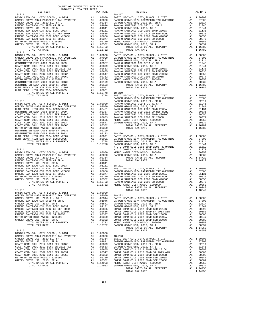|                                                                                                                                                                                                                                                                                                                                                                                                                                                                                       | COUNTY OF ORANGE TAX RATE BOOK<br>2016-2017 TRA TAX RATES |                                                                                                                                                                                                                                                                                      |
|---------------------------------------------------------------------------------------------------------------------------------------------------------------------------------------------------------------------------------------------------------------------------------------------------------------------------------------------------------------------------------------------------------------------------------------------------------------------------------------|-----------------------------------------------------------|--------------------------------------------------------------------------------------------------------------------------------------------------------------------------------------------------------------------------------------------------------------------------------------|
| DISTRICT                                                                                                                                                                                                                                                                                                                                                                                                                                                                              |                                                           | TAX RATE                                                                                                                                                                                                                                                                             |
|                                                                                                                                                                                                                                                                                                                                                                                                                                                                                       |                                                           |                                                                                                                                                                                                                                                                                      |
|                                                                                                                                                                                                                                                                                                                                                                                                                                                                                       |                                                           |                                                                                                                                                                                                                                                                                      |
|                                                                                                                                                                                                                                                                                                                                                                                                                                                                                       |                                                           |                                                                                                                                                                                                                                                                                      |
| $18 - 214$                                                                                                                                                                                                                                                                                                                                                                                                                                                                            |                                                           | NOCC<br>NOCC                                                                                                                                                                                                                                                                         |
| $18 - 215$<br>BASIC LEVY-CO., CITY, SCHOOL, & DIST<br>GARDEN GROVE-1974 PARAMEDIC TAX OVERRIDE<br>GARDEN GROVE USD, 2010 EL, SR C<br>RANCHO SANTIAGO CCD SFID #1 SR A<br>GARDEN GROVE USD, 2010, SR B<br>RANCHO SANTIAGO CCD 2002 BOND 2003A<br>RANCHO SANTIAGO CCD 2012 GO REF BOND<br>RANCHO SANTIAGO CCD 2002 BOND #2006C<br>RANCHO SANTIAGO CCD 2002 SR 2005B<br>METRO WATER DIST-MWDOC- 1205999<br>GARDEN GROVE USD, 2010, SR A<br>TOTAL RATES ON ALL PROPERTY<br>TOTAL TAX RATE |                                                           | A1 1.00000<br>A1 1.00000 18-222<br>A1 .07000 18-222<br>A1 .02314 BASIC L<br>A1 .01946 GARDEN<br>A1 .01946 GARDEN<br>A1 .01311 GARDEN<br>A1 .00335 COAST C<br>A1 .00356 COAST C<br>A1 .00350 COAST C<br>A1 .00350 COAST C<br>A1 .00332 COAST C<br>A1 .00332 COAST C                   |
| $18 - 216$<br>BASIC LEVY-CO., CITY, SCHOOL, & DIST<br>GARDEN GROVE-1974 PARAMEDIC TAX OVERRIDE<br>GARDEN GROVE USD, 2010 EL, SR C<br>GARDEN GROVE USD, 2010, SR B<br>COAST COMM COLL 2012 BOND SER 2016C<br>COAST COMM COLL 2012 BOND SR 2013 A&B<br>COAST COMM COLL 2002 BOND SER 2006B<br>COAST COMM COLL 2002 BOND SER 2003A<br>COAST COMM COLL 2002 BOND SER 2006C<br>METRO WATER DIST-MWDOC- 1205999<br>GARDEN GROVE USD, 2010, SR A<br>TOTAL RATES ON ALL PROPERTY              | A1                                                        | 1.00000<br>A1 .00000 18-223<br>A1 .02314 BASIC L<br>A1 .02314 GARDEN<br>A1 .00899 GARDEN<br>A1 .00683 GARDEN<br>A1 .00605 COAST C<br>A1 .00567 COAST C<br>A1 .00567 COAST C<br>1 .00382 COAST C<br>A1 .00382 COAST C<br>A1 .00350 COAST C<br>A1 .00332 COAST C<br>A1 1.14953 METRO W |

| DISTRICT                                                                                                                               | TAX RATE | DISTRICT   | TAX RATE |
|----------------------------------------------------------------------------------------------------------------------------------------|----------|------------|----------|
|                                                                                                                                        |          | $18 - 217$ |          |
|                                                                                                                                        |          |            |          |
|                                                                                                                                        |          |            |          |
|                                                                                                                                        |          |            |          |
|                                                                                                                                        |          |            |          |
|                                                                                                                                        |          |            |          |
|                                                                                                                                        |          |            |          |
|                                                                                                                                        |          |            |          |
|                                                                                                                                        |          |            |          |
|                                                                                                                                        |          |            |          |
|                                                                                                                                        |          |            |          |
|                                                                                                                                        |          |            |          |
|                                                                                                                                        |          |            |          |
|                                                                                                                                        |          |            |          |
|                                                                                                                                        |          |            |          |
|                                                                                                                                        |          |            |          |
|                                                                                                                                        |          |            |          |
|                                                                                                                                        |          |            |          |
|                                                                                                                                        |          |            |          |
|                                                                                                                                        |          |            |          |
|                                                                                                                                        |          |            |          |
|                                                                                                                                        |          |            |          |
|                                                                                                                                        |          |            |          |
|                                                                                                                                        |          |            |          |
|                                                                                                                                        |          |            |          |
|                                                                                                                                        |          |            |          |
|                                                                                                                                        |          |            |          |
|                                                                                                                                        |          |            |          |
|                                                                                                                                        |          |            |          |
|                                                                                                                                        |          |            |          |
|                                                                                                                                        |          |            |          |
|                                                                                                                                        |          |            |          |
|                                                                                                                                        |          |            |          |
|                                                                                                                                        |          |            |          |
|                                                                                                                                        |          |            |          |
|                                                                                                                                        |          |            |          |
|                                                                                                                                        |          |            |          |
|                                                                                                                                        |          |            |          |
|                                                                                                                                        |          |            |          |
|                                                                                                                                        |          |            |          |
|                                                                                                                                        |          |            |          |
|                                                                                                                                        |          |            |          |
|                                                                                                                                        |          |            |          |
|                                                                                                                                        |          |            |          |
|                                                                                                                                        |          |            |          |
|                                                                                                                                        |          |            |          |
|                                                                                                                                        |          |            |          |
|                                                                                                                                        |          |            |          |
|                                                                                                                                        |          |            |          |
|                                                                                                                                        |          |            |          |
|                                                                                                                                        |          |            |          |
|                                                                                                                                        |          |            |          |
|                                                                                                                                        |          |            |          |
|                                                                                                                                        |          |            |          |
|                                                                                                                                        |          |            |          |
|                                                                                                                                        |          |            |          |
|                                                                                                                                        |          |            |          |
|                                                                                                                                        |          |            |          |
| BASIC LEVY-CO., CITY, SCHOOL, & DIST A1 1.00000<br>GARDEN GROUE-1974 PARAMEDIC TAX OVERRIDE A1 .07000<br>CARDEN CROWE HED 2010 FI SP C |          | $18 - 222$ |          |
|                                                                                                                                        |          |            |          |
|                                                                                                                                        |          |            |          |
|                                                                                                                                        |          |            |          |
|                                                                                                                                        |          |            |          |
|                                                                                                                                        |          |            |          |
|                                                                                                                                        |          |            |          |
|                                                                                                                                        |          |            |          |
|                                                                                                                                        |          |            |          |
|                                                                                                                                        |          |            |          |
|                                                                                                                                        |          |            |          |
|                                                                                                                                        |          |            |          |
|                                                                                                                                        |          |            |          |
|                                                                                                                                        |          |            |          |
|                                                                                                                                        |          |            |          |
|                                                                                                                                        |          |            |          |
|                                                                                                                                        |          |            |          |
|                                                                                                                                        |          |            |          |
|                                                                                                                                        |          |            |          |
|                                                                                                                                        |          |            |          |
|                                                                                                                                        |          |            |          |
|                                                                                                                                        |          |            |          |
|                                                                                                                                        |          |            |          |
|                                                                                                                                        |          |            |          |
|                                                                                                                                        |          |            |          |
|                                                                                                                                        |          |            |          |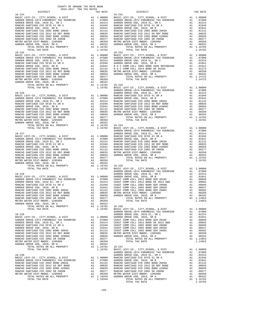| COUNTY OF ORANGE TAX RATE BOOK<br>2016-2017 TRA TAX RATES |          |                        |          |
|-----------------------------------------------------------|----------|------------------------|----------|
| DISTRICT<br>$18 - 224$                                    | TAX RATE | DISTRICT<br>$18 - 231$ | TAX RATE |
|                                                           |          |                        |          |
|                                                           |          |                        |          |
|                                                           |          |                        |          |
|                                                           |          |                        |          |
|                                                           |          |                        |          |
|                                                           |          |                        |          |
|                                                           |          |                        |          |
|                                                           |          |                        |          |
|                                                           |          |                        |          |
|                                                           |          |                        |          |
|                                                           |          |                        |          |
|                                                           |          |                        |          |
|                                                           |          |                        |          |
|                                                           |          |                        |          |
|                                                           |          |                        |          |
|                                                           |          |                        |          |
|                                                           |          |                        |          |
|                                                           |          |                        |          |
|                                                           |          |                        |          |
|                                                           |          |                        |          |
|                                                           |          |                        |          |
|                                                           |          |                        |          |
|                                                           |          |                        |          |
|                                                           |          |                        |          |
|                                                           |          |                        |          |
|                                                           |          |                        |          |
|                                                           |          |                        |          |
|                                                           |          |                        |          |
|                                                           |          |                        |          |
|                                                           |          |                        |          |
|                                                           |          |                        |          |
|                                                           |          |                        |          |
|                                                           |          |                        |          |
|                                                           |          |                        |          |
|                                                           |          |                        |          |
|                                                           |          |                        |          |
|                                                           |          |                        |          |
|                                                           |          |                        |          |
|                                                           |          |                        |          |
|                                                           |          |                        |          |
|                                                           |          |                        |          |
|                                                           |          |                        |          |
|                                                           |          |                        |          |
|                                                           |          |                        |          |
|                                                           |          |                        |          |
|                                                           |          |                        |          |
|                                                           |          |                        |          |
|                                                           |          |                        |          |
|                                                           |          |                        |          |
|                                                           |          |                        |          |
|                                                           |          |                        |          |
|                                                           |          |                        |          |
|                                                           |          |                        |          |
|                                                           |          |                        |          |
|                                                           |          |                        |          |
|                                                           |          |                        |          |
|                                                           |          |                        |          |
|                                                           |          |                        |          |
|                                                           |          |                        |          |
|                                                           |          |                        |          |
|                                                           |          |                        |          |
|                                                           |          |                        |          |
|                                                           |          |                        |          |
|                                                           |          |                        |          |
|                                                           |          |                        |          |
|                                                           |          |                        |          |
|                                                           |          |                        |          |
|                                                           |          |                        |          |
|                                                           |          |                        |          |
|                                                           |          |                        |          |
|                                                           |          |                        |          |
|                                                           |          |                        |          |
|                                                           |          |                        |          |
|                                                           |          |                        |          |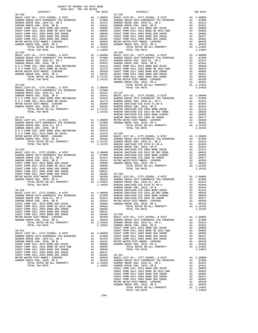| COUNTY OF ORANGE TAX RATE BOOK<br>2016-2017 TRA TAX RATES |          |                        |          |
|-----------------------------------------------------------|----------|------------------------|----------|
| DISTRICT<br>$18 - 238$                                    | TAX RATE | DISTRICT<br>$18 - 245$ | TAX RATE |
|                                                           |          |                        |          |
|                                                           |          |                        |          |
|                                                           |          |                        |          |
|                                                           |          |                        |          |
|                                                           |          |                        |          |
|                                                           |          |                        |          |
|                                                           |          |                        |          |
|                                                           |          |                        |          |
|                                                           |          |                        |          |
|                                                           |          |                        |          |

|  | $-156-$ |  |  |
|--|---------|--|--|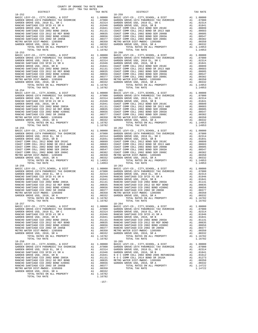COUNTY OF ORANGE TAX RATE BOOK 2016-2017 TRA TAX RATES

 DISTRICT TAX RATE DISTRICT TAX RATE 18-252 18-259 BASIC LEVY-CO., CITY,SCHOOL, & DIST A1 1.00000 BASIC LEVY-CO., CITY,SCHOOL, & DIST A1 1.00000 GARDEN GROVE-1974 PARAMEDIC TAX OVERRIDE A1 .07000 GARDEN GROVE-1974 PARAMEDIC TAX OVERRIDE A1 .07000 GARDEN GROVE USD, 2010 EL, SR C A1 .02314 GARDEN GROVE USD, 2010 EL, SR C A1 .02314 RANCHO SANTIAGO CCD SFID #1 SR A A1 .01946 GARDEN GROVE USD, 2010, SR B A1 .01841 GARDEN GROVE USD, 2010, SR B A1 .01841 COAST COMM COLL 2012 BOND SER 2016C A1 .00899 RANCHO SANTIAGO CCD 2002 BOND 2003A A1 .01131 COAST COMM COLL 2012 BOND SR 2013 A&B A1 .00683 RANCHO SANTIAGO CCD 2012 GO REF BOND A1 .00835 COAST COMM COLL 2002 BOND SER 2006B A1 .00605 RANCHO SANTIAGO CCD 2002 BOND #2006C A1 .00656 COAST COMM COLL 2002 BOND SER 2003A A1 .00547 RANCHO SANTIAGO CCD 2002 SR 2005B A1 .00377 COAST COMM COLL 2002 BOND SER 2006C A1 .00382 METRO WATER DIST-MWDOC- 1205999 A1 .00350 METRO WATER DIST-MWDOC- 1205999 A1 .00350 GARDEN GROVE USD, 2010, SR A A1 .00332 GARDEN GROVE USD, 2010, SR A A1 .00332 TOTAL RATES ON ALL PROPERTY A1 1.16782 TOTAL RATES ON ALL PROPERTY A1 1.14953 TOTAL TAX RATE 1.16782 TOTAL TAX RATE 1.14953  $\begin{tabular}{cccc} 18-253 \\ \text{BASIDE} & \text{BAC} & \text{CITY}, \text{SCHOOL}, & \text{A DIST} \\ \text{GARDEN GROVE-1974 } \text{PARMEDIC TAX OVERIDE} & \text{A1 } 1.00000 \\ \text{GARDEN GROVE-1974 } \text{PARMEDIC TAX OVERIDE} & \text{A1 } 1.07000 \\ \text{GARDEN GROVE-1974 } \text{PARMEDIC TAX OVERIDE} & \text{A1 } 1.07000 \\ \text{GARDEN GROVE-1974 } \text{PARMEDIC TAX OVERIDE} & \text{A1 } 1.0$  $\begin{tabular}{l|c|c|c|c|c} \multicolumn{4}{c}{BAREEN GROV-C0},&CITY,SCHOOL, &CITY,SCHOOL, &CIST &A1 & 1.00000 & BASIC LEVY-CO., CITY,SCHOOL, &C DIST &A1 & 1.00000 & GARDEN GROV-E197 &A1 & 1.00000 & GARDEN GROV-E197 &A1 & 1.00000 & GARDEN GROV-E197 &A1 & 1.00000 & GARDEN GROV-E197 &A1 & 1.00000 & GARDEN GROV-E1 &A1 & 1.00000 & GARDEN GROV-E1$  TOTAL TAX RATE 1.16782 TOTAL TAX RATE 1.14953 18-255 18-262 BASIC LEVY-CO., CITY,SCHOOL, & DIST A1 1.00000 BASIC LEVY-CO., CITY,SCHOOL, & DIST A1 1.00000 GARDEN GROVE-1974 PARAMEDIC TAX OVERRIDE A1 .07000 GARDEN GROVE-1974 PARAMEDIC TAX OVERRIDE A1 .07000 GARDEN GROVE USD, 2010 EL, SR C A1 .02314 GARDEN GROVE USD, 2010 EL, SR C A1 .02314 GARDEN GROVE USD, 2010, SR B A1 .01841 GARDEN GROVE USD, 2010, SR B A1 .01841 COAST COMM COLL 2012 BOND SER 2016C A1 .00899 COAST COMM COLL 2012 BOND SER 2016C A1 .00899 COAST COMM COLL 2012 BOND SR 2013 A&B A1 .00683 COAST COMM COLL 2012 BOND SR 2013 A&B A1 .00683 COAST COMM COLL 2002 BOND SER 2006B A1 .00605 COAST COMM COLL 2002 BOND SER 2006B A1 .00605 COAST COMM COLL 2002 BOND SER 2003A A1 .00547 COAST COMM COLL 2002 BOND SER 2003A A1 .00547 COAST COMM COLL 2002 BOND SER 2006C A1 .00382 COAST COMM COLL 2002 BOND SER 2006C A1 .00382 METRO WATER DIST-MWDOC- 1205999 A1 .00350 METRO WATER DIST-MWDOC- 1205999 A1 .00350 GARDEN GROVE USD, 2010, SR A A1 .00332 GARDEN GROVE USD, 2010, SR A A1 .00332 TOTAL RATES ON ALL PROPERTY A1 1.14953 TOTAL RATES ON ALL PROPERTY A1 1.14953 TOTAL TAX RATE 1.14953 TOTAL TAX RATE 1.14953 18-256 18-263 BASIC LEVY-CO., CITY,SCHOOL, & DIST A1 1.00000 BASIC LEVY-CO., CITY,SCHOOL, & DIST A1 1.00000 GARDEN GROVE-1974 PARAMEDIC TAX OVERRIDE A1 .07000 GARDEN GROVE-1974 PARAMEDIC TAX OVERRIDE A1 .07000 GARDEN GROVE USD, 2010 EL, SR C A1 .02314 GARDEN GROVE USD, 2010 EL, SR C A1 .02314 RANCHO SANTIAGO CCD SFID #1 SR A A1 .01946 RANCHO SANTIAGO CCD SFID #1 SR A A1 .01946 GARDEN GROVE USD, 2010, SR B A1 .01841 GARDEN GROVE USD, 2010, SR B A1 .01841 RANCHO SANTIAGO CCD 2002 BOND 2003A A1 .01131 RANCHO SANTIAGO CCD 2002 BOND 2003A A1 .01131 RANCHO SANTIAGO CCD 2012 GO REF BOND A1 .00835 RANCHO SANTIAGO CCD 2012 GO REF BOND A1 .00835 RANCHO SANTIAGO CCD 2002 BOND #2006C A1 .00656 RANCHO SANTIAGO CCD 2002 BOND #2006C A1 .00656 RANCHO SANTIAGO CCD 2002 SR 2005B A1 .00377 RANCHO SANTIAGO CCD 2002 SR 2005B A1 .00377 METRO WATER DIST-MWDOC- 1205999 A1 .00350 METRO WATER DIST-MWDOC- 1205999 A1 .00350 GARDEN GROVE USD, 2010, SR A A1 .00332 GARDEN GROVE USD, 2010, SR A A1 .00332 TOTAL RATES ON ALL PROPERTY A1 1.16782 TOTAL RATES ON ALL PROPERTY A1 1.16782 TOTAL TAX RATE 1.16782 TOTAL TAX RATE 1.16782  $\begin{tabular}{cccc} 18-257 \\ \text{BASDEN GROV} & 19-4 & 100000 \\ \text{GARDBN GROV} & 0.7177, \text{SCHOOL}, & 6. DIST \\ \text{GARDBN GROV} & 0.01851 & 0.0000 \\ \text{GARDBN GROV} & 0.01851 & 0.0000 \\ \text{GARDBN GROV} & 0.01851 & 0.0000 \\ \text{GARDBN GROV} & 0.01851 & 0.0000 \\ \text{GARDBN GROV} & 0.01851 & 0.0000$ BASIC LEVY-CO., CITY,SCHOOL, & DIST A1 1.00000 BASIC LEVY-CO., CITY,SCHOOL, & DIST A1 1.00000<br>GARDEN GROVE-1974 PARAMEDIC TAX OVERRIDE  $\begin{tabular}{l|c|c|c|c|c} GARDEN GROVE USD, 2010 EL, SR C & A1 & .02314 & GARDEN GROVE USD, 2010, SR C & A1 & .02314 \\ RANCHO SMINTAGO CCD SETID H1 SR & A1 & .01841 & 01844 & GARDEN GROVE USD, 2010, SR B & A1 & .01841 \\ GRMCHO SMINTAGO CDD 2002 BOND 2003 A & A1 & .01841 & N & O C COMM COLL 2002 BOND 2005 REFUNDING & A1 & .01841 \\ RANCHO SMINTAGO CD 2002 BOND 2003$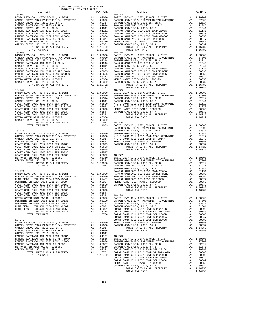| DISTRICT                                 |      | TAX RATE                                                                                                                                                                                |                  |
|------------------------------------------|------|-----------------------------------------------------------------------------------------------------------------------------------------------------------------------------------------|------------------|
|                                          |      |                                                                                                                                                                                         |                  |
|                                          |      |                                                                                                                                                                                         |                  |
|                                          |      |                                                                                                                                                                                         |                  |
|                                          |      |                                                                                                                                                                                         |                  |
|                                          |      |                                                                                                                                                                                         |                  |
|                                          |      |                                                                                                                                                                                         |                  |
|                                          |      |                                                                                                                                                                                         |                  |
|                                          |      |                                                                                                                                                                                         |                  |
|                                          |      |                                                                                                                                                                                         |                  |
|                                          |      |                                                                                                                                                                                         |                  |
|                                          |      |                                                                                                                                                                                         |                  |
|                                          |      |                                                                                                                                                                                         |                  |
|                                          |      |                                                                                                                                                                                         |                  |
|                                          |      |                                                                                                                                                                                         |                  |
| $18 - 268$                               |      |                                                                                                                                                                                         | $18 - 274$       |
|                                          |      |                                                                                                                                                                                         |                  |
|                                          |      |                                                                                                                                                                                         |                  |
|                                          |      |                                                                                                                                                                                         |                  |
|                                          |      |                                                                                                                                                                                         |                  |
|                                          |      |                                                                                                                                                                                         |                  |
|                                          |      |                                                                                                                                                                                         |                  |
|                                          |      |                                                                                                                                                                                         |                  |
|                                          |      |                                                                                                                                                                                         |                  |
|                                          |      |                                                                                                                                                                                         |                  |
|                                          |      |                                                                                                                                                                                         |                  |
|                                          |      |                                                                                                                                                                                         |                  |
|                                          |      |                                                                                                                                                                                         |                  |
|                                          |      |                                                                                                                                                                                         |                  |
| TOTAL TAX RATE                           |      | 1.16782                                                                                                                                                                                 |                  |
|                                          |      |                                                                                                                                                                                         |                  |
|                                          |      |                                                                                                                                                                                         |                  |
|                                          |      |                                                                                                                                                                                         |                  |
|                                          |      |                                                                                                                                                                                         |                  |
|                                          |      |                                                                                                                                                                                         |                  |
|                                          |      |                                                                                                                                                                                         |                  |
|                                          |      |                                                                                                                                                                                         |                  |
|                                          |      |                                                                                                                                                                                         |                  |
|                                          |      |                                                                                                                                                                                         |                  |
|                                          |      |                                                                                                                                                                                         |                  |
|                                          |      |                                                                                                                                                                                         |                  |
|                                          |      |                                                                                                                                                                                         |                  |
|                                          |      |                                                                                                                                                                                         |                  |
|                                          |      |                                                                                                                                                                                         |                  |
|                                          |      |                                                                                                                                                                                         | GARDEN           |
|                                          |      |                                                                                                                                                                                         |                  |
|                                          |      |                                                                                                                                                                                         |                  |
|                                          |      |                                                                                                                                                                                         |                  |
|                                          |      |                                                                                                                                                                                         |                  |
|                                          |      |                                                                                                                                                                                         |                  |
|                                          |      |                                                                                                                                                                                         |                  |
|                                          |      |                                                                                                                                                                                         |                  |
|                                          |      |                                                                                                                                                                                         |                  |
|                                          |      |                                                                                                                                                                                         |                  |
|                                          |      |                                                                                                                                                                                         |                  |
|                                          |      |                                                                                                                                                                                         |                  |
|                                          |      |                                                                                                                                                                                         |                  |
|                                          |      |                                                                                                                                                                                         |                  |
|                                          |      |                                                                                                                                                                                         |                  |
|                                          |      |                                                                                                                                                                                         |                  |
|                                          |      |                                                                                                                                                                                         | GARDEN           |
| 18-271                                   |      |                                                                                                                                                                                         | RANCHO           |
|                                          |      |                                                                                                                                                                                         |                  |
|                                          |      |                                                                                                                                                                                         |                  |
|                                          |      |                                                                                                                                                                                         |                  |
|                                          |      |                                                                                                                                                                                         |                  |
|                                          |      |                                                                                                                                                                                         |                  |
|                                          |      |                                                                                                                                                                                         |                  |
|                                          |      |                                                                                                                                                                                         |                  |
|                                          |      |                                                                                                                                                                                         |                  |
|                                          |      |                                                                                                                                                                                         |                  |
|                                          |      |                                                                                                                                                                                         |                  |
| WESTMINSTER ELEM-2008 BOND SR 2013B      | Al - | .00199                                                                                                                                                                                  |                  |
| WESTMINSTER ELEM-2008 BOND SR 2013       | A1   | .00183                                                                                                                                                                                  | GARDEN<br>GARDEN |
| HUNT BEACH HIGH SCH 2004 BOND #2007      | A1   | .00091                                                                                                                                                                                  | ${\tt GARDEN}$   |
| HUNT BEACH HIGH SCH 2004 BOND#2005       |      |                                                                                                                                                                                         |                  |
| TOTAL RATES ON ALL PROPERTY              |      |                                                                                                                                                                                         |                  |
| TOTAL TAX RATE                           |      | A1 .00001 COAST C<br>A1 1.15778 COAST C<br>1.15778 COAST C                                                                                                                              |                  |
|                                          |      |                                                                                                                                                                                         | COAST C          |
| $18 - 272$                               |      |                                                                                                                                                                                         | COAST C          |
| BASIC LEVY-CO., CITY, SCHOOL, & DIST     |      | A1 1.00000 METRO W<br>A1 .07000 GARDEN                                                                                                                                                  |                  |
| GARDEN GROVE-1974 PARAMEDIC TAX OVERRIDE |      |                                                                                                                                                                                         |                  |
| GARDEN GROVE USD, 2010 EL, SR C          | A1   | .02314                                                                                                                                                                                  |                  |
| RANCHO SANTIAGO CCD SFID #1 SR A         | A1   | .01946                                                                                                                                                                                  |                  |
| GARDEN GROVE USD, 2010, SR B             | A1   | .01841                                                                                                                                                                                  |                  |
| RANCHO SANTIAGO CCD 2002 BOND 2003A      |      |                                                                                                                                                                                         |                  |
|                                          |      |                                                                                                                                                                                         |                  |
| RANCHO SANTIAGO CCD 2012 GO REF BOND     |      |                                                                                                                                                                                         |                  |
| RANCHO SANTIAGO CCD 2002 BOND #2006C     |      |                                                                                                                                                                                         |                  |
| RANCHO SANTIAGO CCD 2002 SR 2005B        |      |                                                                                                                                                                                         |                  |
| METRO WATER DIST-MWDOC- 1205999          |      |                                                                                                                                                                                         |                  |
| GARDEN GROVE USD, 2010, SR A             |      |                                                                                                                                                                                         |                  |
| TOTAL RATES ON ALL PROPERTY              |      |                                                                                                                                                                                         |                  |
| TOTAL TAX RATE                           |      | A1 .0131<br>18-279<br>A1 .00835 BASIC L<br>A1 .00656 GARDEN<br>A1 .00350 GARDEN<br>A1 .00350 GARDEN<br>A1 .00352 COAST C<br>A1 1.16782 COAST C<br>A1 1.16782 COAST C<br>1.16782 COAST C |                  |
|                                          |      |                                                                                                                                                                                         | COAST C          |
|                                          |      |                                                                                                                                                                                         | COAST C          |

| $2016-2017\begin{array}{l} \texttt{?} \\ \texttt{TRA} \\ \texttt{TRA} \\ \texttt{RATES} \end{array}$ DISTRICT | TAX RATE | DISTRICT   | TAX RATE |
|---------------------------------------------------------------------------------------------------------------|----------|------------|----------|
| $18 - 266$                                                                                                    |          | $18 - 273$ |          |
|                                                                                                               |          |            |          |
|                                                                                                               |          |            |          |
|                                                                                                               |          |            |          |
|                                                                                                               |          |            |          |
|                                                                                                               |          |            |          |
|                                                                                                               |          |            |          |
|                                                                                                               |          |            |          |
|                                                                                                               |          |            |          |
|                                                                                                               |          |            |          |
|                                                                                                               |          |            |          |
|                                                                                                               |          |            |          |
|                                                                                                               |          |            |          |
|                                                                                                               |          |            |          |
|                                                                                                               |          |            |          |
|                                                                                                               |          |            |          |
|                                                                                                               |          |            |          |
|                                                                                                               |          |            |          |
|                                                                                                               |          |            |          |
|                                                                                                               |          |            |          |
|                                                                                                               |          |            |          |
|                                                                                                               |          |            |          |
|                                                                                                               |          |            |          |
|                                                                                                               |          |            |          |
|                                                                                                               |          |            |          |
|                                                                                                               |          |            |          |
|                                                                                                               |          |            |          |
|                                                                                                               |          |            |          |
|                                                                                                               |          |            |          |
|                                                                                                               |          |            |          |
|                                                                                                               |          |            |          |
|                                                                                                               |          |            |          |
|                                                                                                               |          |            |          |
|                                                                                                               |          |            |          |
|                                                                                                               |          |            |          |
|                                                                                                               |          |            |          |
|                                                                                                               |          |            |          |
|                                                                                                               |          |            |          |
|                                                                                                               |          |            |          |
|                                                                                                               |          |            |          |
|                                                                                                               |          |            |          |
|                                                                                                               |          |            |          |
|                                                                                                               |          |            |          |
|                                                                                                               |          |            |          |
|                                                                                                               |          |            |          |
|                                                                                                               |          |            |          |
|                                                                                                               |          |            |          |
|                                                                                                               |          |            |          |
|                                                                                                               |          |            |          |
|                                                                                                               |          |            |          |
|                                                                                                               |          |            |          |
|                                                                                                               |          |            |          |
|                                                                                                               |          |            |          |
|                                                                                                               |          |            |          |
|                                                                                                               |          |            |          |
|                                                                                                               |          |            |          |
|                                                                                                               |          |            |          |
|                                                                                                               |          |            |          |
|                                                                                                               |          |            |          |
|                                                                                                               |          |            |          |
|                                                                                                               |          |            |          |
|                                                                                                               |          |            |          |
|                                                                                                               |          |            |          |
|                                                                                                               |          |            |          |
|                                                                                                               |          |            |          |
|                                                                                                               |          |            |          |
|                                                                                                               |          |            |          |
|                                                                                                               |          |            |          |
|                                                                                                               |          |            |          |
|                                                                                                               |          |            |          |
|                                                                                                               |          |            |          |
|                                                                                                               |          |            |          |
|                                                                                                               |          |            |          |
|                                                                                                               |          |            |          |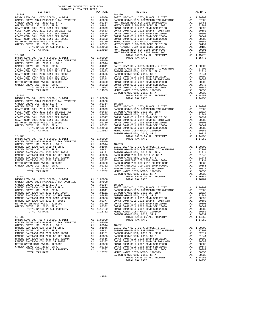| COUNTY OF ORANGE TAX RATE BOOK<br>2016-2017 TRA TAX RATES | TAX RATE | DISTRICT | TAX RATE |
|-----------------------------------------------------------|----------|----------|----------|
|                                                           |          |          |          |
|                                                           |          |          |          |
|                                                           |          |          |          |
|                                                           |          |          |          |
|                                                           |          |          |          |
|                                                           |          |          |          |
|                                                           |          |          |          |
|                                                           |          |          |          |
|                                                           |          |          |          |
|                                                           |          |          |          |
|                                                           |          |          |          |
|                                                           |          |          |          |
|                                                           |          |          |          |
|                                                           |          |          |          |
|                                                           |          |          |          |
|                                                           |          |          |          |
|                                                           |          |          |          |
|                                                           |          |          |          |
|                                                           |          |          |          |
|                                                           |          |          |          |
|                                                           |          |          |          |
|                                                           |          |          |          |
|                                                           |          |          |          |
|                                                           |          |          |          |
|                                                           |          |          |          |
|                                                           |          |          |          |
|                                                           |          |          |          |
|                                                           |          |          |          |
|                                                           |          |          |          |
|                                                           |          |          |          |
|                                                           |          |          |          |
|                                                           |          |          |          |
|                                                           |          |          |          |
|                                                           |          |          |          |
|                                                           |          |          |          |
|                                                           |          |          |          |
|                                                           |          |          |          |
|                                                           |          |          |          |
|                                                           |          |          |          |
|                                                           |          |          |          |
|                                                           |          |          |          |
|                                                           |          |          |          |
|                                                           |          |          |          |
|                                                           |          |          |          |
|                                                           |          |          |          |
|                                                           |          |          |          |
|                                                           |          |          |          |
|                                                           |          |          |          |
|                                                           |          |          |          |
|                                                           |          |          |          |
|                                                           |          |          |          |
|                                                           |          |          |          |
|                                                           |          |          |          |
|                                                           |          |          |          |
|                                                           |          |          |          |
|                                                           |          |          |          |
|                                                           |          |          |          |
|                                                           |          |          |          |
|                                                           |          |          |          |
|                                                           |          |          |          |
|                                                           |          |          |          |
|                                                           |          |          |          |
|                                                           |          |          |          |
|                                                           |          |          |          |
|                                                           |          |          |          |
|                                                           |          |          |          |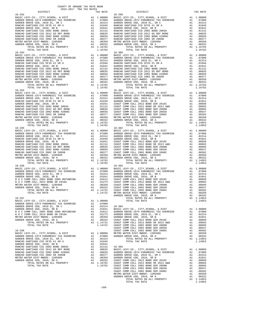| COUNTY OF ORANGE TAX RATE BOOK<br>2016-2017 TRA TAX RATES                      |    |                                                                                |            |
|--------------------------------------------------------------------------------|----|--------------------------------------------------------------------------------|------------|
| DISTRICT                                                                       |    | TAX RATE                                                                       |            |
| $18 - 292$                                                                     |    |                                                                                | $18 - 299$ |
|                                                                                |    |                                                                                |            |
|                                                                                |    |                                                                                |            |
|                                                                                |    |                                                                                |            |
|                                                                                |    |                                                                                |            |
|                                                                                |    |                                                                                |            |
|                                                                                |    |                                                                                |            |
|                                                                                |    |                                                                                |            |
|                                                                                |    |                                                                                |            |
|                                                                                |    |                                                                                |            |
|                                                                                |    |                                                                                |            |
|                                                                                |    | 1.16782                                                                        |            |
|                                                                                |    |                                                                                |            |
|                                                                                |    |                                                                                |            |
|                                                                                |    |                                                                                |            |
|                                                                                |    |                                                                                |            |
|                                                                                |    |                                                                                |            |
|                                                                                |    |                                                                                |            |
|                                                                                |    |                                                                                |            |
|                                                                                |    |                                                                                |            |
|                                                                                |    |                                                                                |            |
|                                                                                |    |                                                                                |            |
|                                                                                |    |                                                                                |            |
|                                                                                |    |                                                                                |            |
|                                                                                |    |                                                                                |            |
|                                                                                |    |                                                                                |            |
|                                                                                |    |                                                                                |            |
|                                                                                |    |                                                                                |            |
|                                                                                |    |                                                                                |            |
|                                                                                |    |                                                                                |            |
|                                                                                |    |                                                                                |            |
|                                                                                |    |                                                                                |            |
|                                                                                |    |                                                                                |            |
|                                                                                |    |                                                                                |            |
|                                                                                |    |                                                                                |            |
|                                                                                |    |                                                                                |            |
|                                                                                |    |                                                                                |            |
|                                                                                |    |                                                                                |            |
|                                                                                |    |                                                                                |            |
|                                                                                |    |                                                                                |            |
|                                                                                |    |                                                                                |            |
|                                                                                |    |                                                                                |            |
|                                                                                |    |                                                                                |            |
|                                                                                |    |                                                                                |            |
|                                                                                |    |                                                                                |            |
|                                                                                |    |                                                                                |            |
|                                                                                |    |                                                                                |            |
|                                                                                |    |                                                                                |            |
|                                                                                |    |                                                                                |            |
|                                                                                |    |                                                                                |            |
|                                                                                |    |                                                                                |            |
|                                                                                |    |                                                                                |            |
|                                                                                |    |                                                                                |            |
|                                                                                |    |                                                                                |            |
|                                                                                |    |                                                                                |            |
|                                                                                |    |                                                                                |            |
|                                                                                |    |                                                                                |            |
|                                                                                |    |                                                                                |            |
|                                                                                |    |                                                                                |            |
|                                                                                |    |                                                                                | GARDEN     |
| $18 - 297$                                                                     |    |                                                                                |            |
| BASIC LEVY-CO., CITY, SCHOOL, & DIST                                           |    | $A1$ 1.00000<br>Al $0.783$                                                     |            |
| GARDEN GROVE-1974 PARAMEDIC TAX OVERRIDE                                       |    | A1 .07000                                                                      |            |
| GARDEN GROVE USD, 2010 EL, SR C                                                |    | A1 .02314                                                                      | $18 - 304$ |
| GARDEN GROVE USD, 2010, SR B                                                   |    | A1.01841                                                                       | BASIC L    |
| N O C COMM COLL 2002 BOND 2005 REFUNDING<br>N O C COMM COLL 2014 BOND SR 2016A | A1 | .01612<br>.01273                                                               | GARDEN     |
| METRO WATER DIST-MWDOC- 1205999                                                | A1 |                                                                                | GARDEN     |
| GARDEN GROVE USD, 2010, SR A                                                   |    |                                                                                |            |
| TOTAL RATES ON ALL PROPERTY                                                    |    |                                                                                |            |
| TOTAL TAX RATE                                                                 |    | Al .00350 GARDEN<br>Al .00332 COAST C<br>Al 1.14722 COAST C<br>1.14722 COAST C |            |
|                                                                                |    |                                                                                | COAST C    |
| $18 - 298$                                                                     |    |                                                                                | COAST C    |
| BASIC LEVY-CO., CITY, SCHOOL, & DIST                                           |    |                                                                                |            |
| GARDEN GROVE-1974 PARAMEDIC TAX OVERRIDE                                       |    |                                                                                |            |
| GARDEN GROVE USD, 2010 EL, SR C                                                |    |                                                                                |            |
| RANCHO SANTIAGO CCD SFID #1 SR A<br>GARDEN GROVE USD, 2010, SR B               |    | A1 .01946<br>A1.01841                                                          |            |
| RANCHO SANTIAGO CCD 2002 BOND 2003A                                            |    | A1 .01131                                                                      | $18 - 305$ |
| RANCHO SANTIAGO CCD 2012 GO REF BOND                                           | A1 | .00835                                                                         | BASIC L    |
| RANCHO SANTIAGO CCD 2002 BOND #2006C                                           | A1 | .00656                                                                         | GARDEN     |
| RANCHO SANTIAGO CCD 2002 SR 2005B                                              | A1 | .00377                                                                         | GARDEN     |
| METRO WATER DIST-MWDOC- 1205999                                                |    |                                                                                |            |
| GARDEN GROVE USD, 2010, SR A                                                   |    | A1 .00350 GARDEN<br>A1 .00332 COAST C<br>A1 1.16782 COAST C                    |            |
| TOTAL RATES ON ALL PROPERTY                                                    |    | 1.16782 COAST C                                                                |            |
| TOTAL TAX RATE                                                                 |    |                                                                                |            |

| 2016-2017 TRA TAX RATES<br>DISTRICT | TAX RATE | DISTRICT   | TAX RATE |
|-------------------------------------|----------|------------|----------|
|                                     |          |            |          |
|                                     |          |            |          |
|                                     |          |            |          |
|                                     |          |            |          |
|                                     |          |            |          |
|                                     |          |            |          |
|                                     |          |            |          |
|                                     |          |            |          |
|                                     |          |            |          |
|                                     |          |            |          |
|                                     |          |            |          |
|                                     |          |            |          |
|                                     |          |            |          |
|                                     |          |            |          |
|                                     |          |            |          |
|                                     |          |            |          |
|                                     |          |            |          |
|                                     |          |            |          |
|                                     |          |            |          |
|                                     |          |            |          |
|                                     |          |            |          |
|                                     |          |            |          |
|                                     |          |            |          |
|                                     |          |            |          |
|                                     |          |            |          |
|                                     |          |            |          |
|                                     |          |            |          |
|                                     |          |            |          |
|                                     |          |            |          |
|                                     |          |            |          |
|                                     |          |            |          |
|                                     |          |            |          |
|                                     |          |            |          |
|                                     |          |            |          |
|                                     |          |            |          |
|                                     |          |            |          |
|                                     |          |            |          |
|                                     |          |            |          |
|                                     |          |            |          |
|                                     |          |            |          |
|                                     |          |            |          |
|                                     |          |            |          |
|                                     |          |            |          |
| $18 - 296$                          |          | $18 - 303$ |          |
|                                     |          |            |          |
|                                     |          |            |          |
|                                     |          |            |          |
|                                     |          |            |          |
|                                     |          |            |          |
|                                     |          |            |          |
|                                     |          |            |          |
|                                     |          |            |          |
|                                     |          |            |          |
|                                     |          |            |          |
|                                     |          |            |          |
|                                     |          |            |          |
|                                     |          |            |          |
|                                     |          |            |          |
|                                     |          |            |          |
|                                     |          |            |          |
|                                     |          |            |          |
|                                     |          |            |          |
|                                     |          |            |          |
|                                     |          |            |          |
|                                     |          |            |          |
|                                     |          |            |          |
|                                     |          |            |          |
|                                     |          |            |          |
|                                     |          |            |          |
|                                     |          |            |          |
|                                     |          |            |          |
|                                     |          |            |          |
|                                     |          |            |          |
|                                     |          |            |          |
|                                     |          |            |          |
|                                     |          |            |          |
|                                     |          |            |          |
|                                     |          |            |          |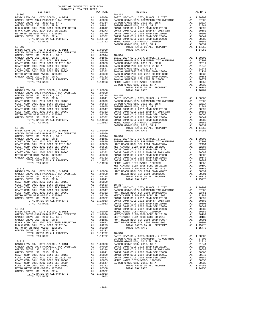| COUNTY OF ORANGE TAX RATE BOOK<br>2016-2017 TRA TAX RATES<br>DISTRICT |          |          |          |
|-----------------------------------------------------------------------|----------|----------|----------|
|                                                                       | TAX RATE | DISTRICT | TAX RATE |
|                                                                       |          |          |          |
|                                                                       |          |          |          |
|                                                                       |          |          |          |
|                                                                       |          |          |          |
|                                                                       |          |          |          |
|                                                                       |          |          |          |
|                                                                       |          |          |          |
|                                                                       |          |          |          |
|                                                                       |          |          |          |
|                                                                       |          |          |          |
|                                                                       |          |          |          |
|                                                                       |          |          |          |
|                                                                       |          |          |          |
|                                                                       |          |          |          |
|                                                                       |          |          |          |
|                                                                       |          |          |          |
|                                                                       |          |          |          |
|                                                                       |          |          |          |
|                                                                       |          |          |          |
|                                                                       |          |          |          |
|                                                                       |          |          |          |
|                                                                       |          |          |          |
|                                                                       |          |          |          |
|                                                                       |          |          |          |
|                                                                       |          |          |          |
|                                                                       |          |          |          |
|                                                                       |          |          |          |
|                                                                       |          |          |          |
|                                                                       |          |          |          |
|                                                                       |          |          |          |
|                                                                       |          |          |          |
|                                                                       |          |          |          |
|                                                                       |          |          |          |
|                                                                       |          |          |          |
|                                                                       |          |          |          |
|                                                                       |          |          |          |
|                                                                       |          |          |          |
|                                                                       |          |          |          |
|                                                                       |          |          |          |
|                                                                       |          |          |          |
|                                                                       |          |          |          |
|                                                                       |          |          |          |
|                                                                       |          |          |          |
|                                                                       |          |          |          |
|                                                                       |          |          |          |
|                                                                       |          |          |          |
|                                                                       |          |          |          |
|                                                                       |          |          |          |
|                                                                       |          |          |          |
|                                                                       |          |          |          |
|                                                                       |          |          |          |
|                                                                       |          |          |          |
|                                                                       |          |          |          |
|                                                                       |          |          |          |
|                                                                       |          |          |          |
|                                                                       |          |          |          |
|                                                                       |          |          |          |
|                                                                       |          |          |          |
|                                                                       |          |          |          |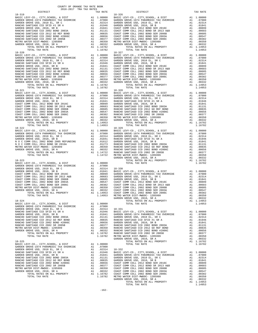| $18 - 319$                                                                                                                                                                                                                        |    |                                                                                                                                                                                                                          | $18 - 326$        |
|-----------------------------------------------------------------------------------------------------------------------------------------------------------------------------------------------------------------------------------|----|--------------------------------------------------------------------------------------------------------------------------------------------------------------------------------------------------------------------------|-------------------|
|                                                                                                                                                                                                                                   |    |                                                                                                                                                                                                                          |                   |
|                                                                                                                                                                                                                                   |    |                                                                                                                                                                                                                          |                   |
|                                                                                                                                                                                                                                   |    |                                                                                                                                                                                                                          |                   |
|                                                                                                                                                                                                                                   |    |                                                                                                                                                                                                                          |                   |
|                                                                                                                                                                                                                                   |    |                                                                                                                                                                                                                          |                   |
|                                                                                                                                                                                                                                   |    |                                                                                                                                                                                                                          |                   |
|                                                                                                                                                                                                                                   |    |                                                                                                                                                                                                                          |                   |
|                                                                                                                                                                                                                                   |    |                                                                                                                                                                                                                          |                   |
| TOTAL TAX RATE                                                                                                                                                                                                                    |    | 1.16782                                                                                                                                                                                                                  |                   |
|                                                                                                                                                                                                                                   |    |                                                                                                                                                                                                                          |                   |
|                                                                                                                                                                                                                                   |    |                                                                                                                                                                                                                          |                   |
|                                                                                                                                                                                                                                   |    |                                                                                                                                                                                                                          |                   |
|                                                                                                                                                                                                                                   |    |                                                                                                                                                                                                                          |                   |
|                                                                                                                                                                                                                                   |    |                                                                                                                                                                                                                          |                   |
|                                                                                                                                                                                                                                   |    |                                                                                                                                                                                                                          |                   |
|                                                                                                                                                                                                                                   |    |                                                                                                                                                                                                                          |                   |
|                                                                                                                                                                                                                                   |    |                                                                                                                                                                                                                          |                   |
|                                                                                                                                                                                                                                   |    |                                                                                                                                                                                                                          |                   |
|                                                                                                                                                                                                                                   |    |                                                                                                                                                                                                                          |                   |
|                                                                                                                                                                                                                                   |    |                                                                                                                                                                                                                          |                   |
|                                                                                                                                                                                                                                   |    |                                                                                                                                                                                                                          |                   |
|                                                                                                                                                                                                                                   |    |                                                                                                                                                                                                                          |                   |
|                                                                                                                                                                                                                                   |    |                                                                                                                                                                                                                          |                   |
|                                                                                                                                                                                                                                   |    |                                                                                                                                                                                                                          |                   |
|                                                                                                                                                                                                                                   |    |                                                                                                                                                                                                                          |                   |
|                                                                                                                                                                                                                                   |    |                                                                                                                                                                                                                          |                   |
|                                                                                                                                                                                                                                   |    |                                                                                                                                                                                                                          |                   |
|                                                                                                                                                                                                                                   |    |                                                                                                                                                                                                                          |                   |
|                                                                                                                                                                                                                                   |    |                                                                                                                                                                                                                          |                   |
| $18 - 322$                                                                                                                                                                                                                        |    |                                                                                                                                                                                                                          | $18 - 329$        |
|                                                                                                                                                                                                                                   |    |                                                                                                                                                                                                                          |                   |
|                                                                                                                                                                                                                                   |    |                                                                                                                                                                                                                          |                   |
|                                                                                                                                                                                                                                   |    |                                                                                                                                                                                                                          |                   |
|                                                                                                                                                                                                                                   |    |                                                                                                                                                                                                                          |                   |
|                                                                                                                                                                                                                                   |    |                                                                                                                                                                                                                          |                   |
|                                                                                                                                                                                                                                   |    |                                                                                                                                                                                                                          |                   |
|                                                                                                                                                                                                                                   |    |                                                                                                                                                                                                                          |                   |
|                                                                                                                                                                                                                                   |    |                                                                                                                                                                                                                          | GARDEN            |
| $18 - 323$                                                                                                                                                                                                                        |    |                                                                                                                                                                                                                          |                   |
| BASIC LEVY-CO., CITY, SCHOOL, & DIST $\begin{array}{ccc} \text{A1} & 1.00000 \\ \text{GADRDEN GROVE} & 1974 \text{ PARAMEDIC TAX} & \text{A1} \\ \text{GADENN GPOVE TIGD A21} & \text{GADN TAX} & \text{GADN TAX} \\ \end{array}$ |    |                                                                                                                                                                                                                          |                   |
|                                                                                                                                                                                                                                   |    |                                                                                                                                                                                                                          |                   |
|                                                                                                                                                                                                                                   |    |                                                                                                                                                                                                                          |                   |
|                                                                                                                                                                                                                                   |    |                                                                                                                                                                                                                          |                   |
|                                                                                                                                                                                                                                   |    |                                                                                                                                                                                                                          |                   |
|                                                                                                                                                                                                                                   |    |                                                                                                                                                                                                                          |                   |
|                                                                                                                                                                                                                                   |    |                                                                                                                                                                                                                          |                   |
|                                                                                                                                                                                                                                   |    |                                                                                                                                                                                                                          |                   |
|                                                                                                                                                                                                                                   |    |                                                                                                                                                                                                                          |                   |
|                                                                                                                                                                                                                                   |    |                                                                                                                                                                                                                          | GARDEN            |
| $18 - 324$                                                                                                                                                                                                                        |    |                                                                                                                                                                                                                          |                   |
|                                                                                                                                                                                                                                   |    |                                                                                                                                                                                                                          |                   |
|                                                                                                                                                                                                                                   |    | .02314                                                                                                                                                                                                                   | $18 - 331$        |
| RANCHO SANTIAGO CCD SFID #1 SR A                                                                                                                                                                                                  | A1 | .01946                                                                                                                                                                                                                   | BASIC L           |
| GARDEN GROVE USD, 2010, SR B<br>RANCHO SANTIAGO CCD 2002 BOND 2003A                                                                                                                                                               |    | A1 .01940 BASIC L<br>A1 .01841 GARDEN<br>A1 .0131 GARDEN<br>A1 .00335 RANCHO<br>A1 .00355 RANCHO<br>A1 .00377 RANCHO<br>A1 .00332 RANCHO<br>A1 .00332 RANCHO<br>A1 .00332 RANCHO<br>A1 1.16782 METRO METRO 1.16782 METRO |                   |
| RANCHO SANTIAGO CCD 2012 GO REF BOND                                                                                                                                                                                              |    |                                                                                                                                                                                                                          |                   |
| RANCHO SANTIAGO CCD 2002 BOND #2006C<br>RANCHO SANTIAGO CCD 2002 SR 2005B                                                                                                                                                         |    |                                                                                                                                                                                                                          |                   |
| METRO WATER DIST-MWDOC- 1205999                                                                                                                                                                                                   |    |                                                                                                                                                                                                                          |                   |
| GARDEN GROVE USD, 2010, SR A                                                                                                                                                                                                      |    |                                                                                                                                                                                                                          |                   |
| TOTAL RATES ON ALL PROPERTY<br>TOTAL TAX RATE                                                                                                                                                                                     |    |                                                                                                                                                                                                                          |                   |
|                                                                                                                                                                                                                                   |    |                                                                                                                                                                                                                          | GARDEN            |
| $18 - 325$<br>BASIC LEVY-CO., CITY, SCHOOL, & DIST                                                                                                                                                                                |    | A1 1.00000                                                                                                                                                                                                               |                   |
| BASIC LEVI-CO., CIII, SCHOOL, & DISI<br>GARDEN GROVE-1974 PARAMEDIC TAX OVERRIDE                                                                                                                                                  |    | A1 .07000                                                                                                                                                                                                                |                   |
| GARDEN GROVE USD, 2010 EL, SR C                                                                                                                                                                                                   | A1 | .02314                                                                                                                                                                                                                   | 18-332<br>BASIC L |
| RANCHO SANTIAGO CCD SFID #1 SR A<br>GARDEN GROVE USD, 2010, SR B                                                                                                                                                                  | A1 | .01946                                                                                                                                                                                                                   |                   |
| RANCHO SANTIAGO CCD 2002 BOND 2003A                                                                                                                                                                                               |    |                                                                                                                                                                                                                          |                   |
| RANCHO SANTIAGO CCD 2012 GO REF BOND<br>RANCHO SANTIAGO CCD 2002 BOND #2006C                                                                                                                                                      |    |                                                                                                                                                                                                                          |                   |
| RANCHO SANTIAGO CCD 2002 SR 2005B                                                                                                                                                                                                 |    |                                                                                                                                                                                                                          |                   |
| METRO WATER DIST-MWDOC- 1205999                                                                                                                                                                                                   |    |                                                                                                                                                                                                                          |                   |
| GARDEN GROVE USD, 2010, SR A<br>TOTAL RATES ON ALL PROPERTY                                                                                                                                                                       |    | A1 .01940 BASIC L<br>A1 .01841 GARDEN<br>A1 .01131 GARDEN<br>A1 .00335 GARDEN<br>A1 .00355 GARDEN<br>A1 .00350 COAST C<br>A1 .00350 COAST C<br>A1 .00332 COAST C<br>A1 1.16782 COAST C                                   |                   |
|                                                                                                                                                                                                                                   |    |                                                                                                                                                                                                                          |                   |

| COUNTY OF ORANGE TAX RATE BOOK<br>2016-2017 TRA TAX RATES                                                                                                                                                                                                               |          |            |          |
|-------------------------------------------------------------------------------------------------------------------------------------------------------------------------------------------------------------------------------------------------------------------------|----------|------------|----------|
| DISTRICT                                                                                                                                                                                                                                                                | TAX RATE | DISTRICT   | TAX RATE |
| $18 - 319$                                                                                                                                                                                                                                                              |          | $18 - 326$ |          |
|                                                                                                                                                                                                                                                                         |          |            |          |
|                                                                                                                                                                                                                                                                         |          |            |          |
|                                                                                                                                                                                                                                                                         |          |            |          |
|                                                                                                                                                                                                                                                                         |          |            |          |
|                                                                                                                                                                                                                                                                         |          |            |          |
|                                                                                                                                                                                                                                                                         |          |            |          |
|                                                                                                                                                                                                                                                                         |          |            |          |
|                                                                                                                                                                                                                                                                         |          |            |          |
|                                                                                                                                                                                                                                                                         |          |            |          |
|                                                                                                                                                                                                                                                                         |          |            |          |
|                                                                                                                                                                                                                                                                         |          |            |          |
|                                                                                                                                                                                                                                                                         |          |            |          |
|                                                                                                                                                                                                                                                                         |          |            |          |
|                                                                                                                                                                                                                                                                         |          |            |          |
|                                                                                                                                                                                                                                                                         |          |            |          |
|                                                                                                                                                                                                                                                                         |          |            |          |
|                                                                                                                                                                                                                                                                         |          |            |          |
|                                                                                                                                                                                                                                                                         |          |            |          |
|                                                                                                                                                                                                                                                                         |          |            |          |
|                                                                                                                                                                                                                                                                         |          |            |          |
| $\begin{tabular}{ c c c c c c c c c c c c c} \hline & 70746 & 70746 & 10746 & 10746 & 10746 & 10746 & 10746 & 10746 & 10746 & 10746 & 10746 & 10746 & 10746 & 10746 & 10746 & 10746 & 10746 & 10746 & 10746 & 10746 & 10746 & 10746 & 10746 & 10746 & 10746 & 10746 & $ |          |            |          |
|                                                                                                                                                                                                                                                                         |          |            |          |
|                                                                                                                                                                                                                                                                         |          |            |          |
|                                                                                                                                                                                                                                                                         |          |            |          |
|                                                                                                                                                                                                                                                                         |          |            |          |
|                                                                                                                                                                                                                                                                         |          |            |          |
|                                                                                                                                                                                                                                                                         |          |            |          |
|                                                                                                                                                                                                                                                                         |          |            |          |
|                                                                                                                                                                                                                                                                         |          |            |          |
| $18 - 322$                                                                                                                                                                                                                                                              |          | $18 - 329$ |          |
|                                                                                                                                                                                                                                                                         |          |            |          |
|                                                                                                                                                                                                                                                                         |          |            |          |
|                                                                                                                                                                                                                                                                         |          |            |          |
|                                                                                                                                                                                                                                                                         |          |            |          |
|                                                                                                                                                                                                                                                                         |          |            |          |
|                                                                                                                                                                                                                                                                         |          |            |          |
|                                                                                                                                                                                                                                                                         |          |            |          |
|                                                                                                                                                                                                                                                                         |          |            |          |
|                                                                                                                                                                                                                                                                         |          |            |          |
|                                                                                                                                                                                                                                                                         |          |            |          |
|                                                                                                                                                                                                                                                                         |          |            |          |
|                                                                                                                                                                                                                                                                         |          |            |          |
|                                                                                                                                                                                                                                                                         |          |            |          |
|                                                                                                                                                                                                                                                                         |          |            |          |
|                                                                                                                                                                                                                                                                         |          |            |          |
|                                                                                                                                                                                                                                                                         |          |            |          |
|                                                                                                                                                                                                                                                                         |          |            |          |
|                                                                                                                                                                                                                                                                         |          |            |          |
|                                                                                                                                                                                                                                                                         |          |            |          |
|                                                                                                                                                                                                                                                                         |          |            |          |
|                                                                                                                                                                                                                                                                         |          |            |          |
|                                                                                                                                                                                                                                                                         |          |            |          |
|                                                                                                                                                                                                                                                                         |          |            |          |
|                                                                                                                                                                                                                                                                         |          |            |          |
|                                                                                                                                                                                                                                                                         |          |            |          |
|                                                                                                                                                                                                                                                                         |          |            |          |
|                                                                                                                                                                                                                                                                         |          |            |          |
|                                                                                                                                                                                                                                                                         |          |            |          |
|                                                                                                                                                                                                                                                                         |          |            |          |
|                                                                                                                                                                                                                                                                         |          |            |          |
|                                                                                                                                                                                                                                                                         |          |            |          |
|                                                                                                                                                                                                                                                                         |          |            |          |
|                                                                                                                                                                                                                                                                         |          |            |          |
|                                                                                                                                                                                                                                                                         |          |            |          |
|                                                                                                                                                                                                                                                                         |          |            |          |
|                                                                                                                                                                                                                                                                         |          |            |          |
|                                                                                                                                                                                                                                                                         |          |            |          |
|                                                                                                                                                                                                                                                                         |          |            |          |
|                                                                                                                                                                                                                                                                         |          |            |          |
|                                                                                                                                                                                                                                                                         |          |            |          |
|                                                                                                                                                                                                                                                                         |          |            |          |
|                                                                                                                                                                                                                                                                         |          |            |          |
|                                                                                                                                                                                                                                                                         |          |            |          |
|                                                                                                                                                                                                                                                                         |          |            |          |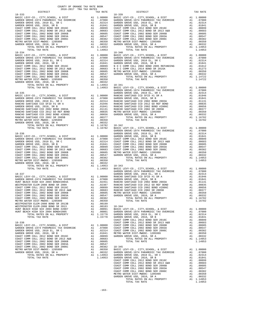| COUNTY OF ORANGE TAX RATE BOOK                                                                                                                                                                                                                                                                                                                                                                                                             |                |                                                                                                                                                                                   |
|--------------------------------------------------------------------------------------------------------------------------------------------------------------------------------------------------------------------------------------------------------------------------------------------------------------------------------------------------------------------------------------------------------------------------------------------|----------------|-----------------------------------------------------------------------------------------------------------------------------------------------------------------------------------|
| 2016-2017 TRA TAX RATES<br>DISTRICT                                                                                                                                                                                                                                                                                                                                                                                                        | TAX RATE       |                                                                                                                                                                                   |
| $\begin{tabular}{l c c c} \multicolumn{1}{c}{\textbf{RASTC }} \textbf{LEYY-CO.}, \textbf{CITY}, \textbf{SCHOOL}, \textbf{ & \textbf{DIST}} & \textbf{TAX RATE} \\ \multicolumn{1}{c}{\textbf{GARDEN GROVE-1974 } PARMEDIC TAX OVERRIDE} & \textbf{A1} & 1.00000} & \textbf{BASIC L} \\ \multicolumn{1}{c}{\textbf{GARDEN GROVE USD}}, \textbf{ 2010 E, SR C} & \textbf{A1} & .07000} & \textbf{GARDEN} \\ \multicolumn{1}{c}{\textbf{GARD$ |                |                                                                                                                                                                                   |
|                                                                                                                                                                                                                                                                                                                                                                                                                                            |                |                                                                                                                                                                                   |
|                                                                                                                                                                                                                                                                                                                                                                                                                                            |                |                                                                                                                                                                                   |
|                                                                                                                                                                                                                                                                                                                                                                                                                                            |                |                                                                                                                                                                                   |
|                                                                                                                                                                                                                                                                                                                                                                                                                                            |                |                                                                                                                                                                                   |
|                                                                                                                                                                                                                                                                                                                                                                                                                                            |                |                                                                                                                                                                                   |
|                                                                                                                                                                                                                                                                                                                                                                                                                                            |                |                                                                                                                                                                                   |
|                                                                                                                                                                                                                                                                                                                                                                                                                                            |                |                                                                                                                                                                                   |
|                                                                                                                                                                                                                                                                                                                                                                                                                                            |                |                                                                                                                                                                                   |
|                                                                                                                                                                                                                                                                                                                                                                                                                                            |                |                                                                                                                                                                                   |
|                                                                                                                                                                                                                                                                                                                                                                                                                                            |                |                                                                                                                                                                                   |
|                                                                                                                                                                                                                                                                                                                                                                                                                                            |                |                                                                                                                                                                                   |
|                                                                                                                                                                                                                                                                                                                                                                                                                                            |                |                                                                                                                                                                                   |
|                                                                                                                                                                                                                                                                                                                                                                                                                                            |                |                                                                                                                                                                                   |
|                                                                                                                                                                                                                                                                                                                                                                                                                                            |                |                                                                                                                                                                                   |
|                                                                                                                                                                                                                                                                                                                                                                                                                                            |                |                                                                                                                                                                                   |
|                                                                                                                                                                                                                                                                                                                                                                                                                                            |                |                                                                                                                                                                                   |
|                                                                                                                                                                                                                                                                                                                                                                                                                                            |                |                                                                                                                                                                                   |
|                                                                                                                                                                                                                                                                                                                                                                                                                                            |                |                                                                                                                                                                                   |
|                                                                                                                                                                                                                                                                                                                                                                                                                                            |                |                                                                                                                                                                                   |
|                                                                                                                                                                                                                                                                                                                                                                                                                                            |                |                                                                                                                                                                                   |
|                                                                                                                                                                                                                                                                                                                                                                                                                                            |                |                                                                                                                                                                                   |
|                                                                                                                                                                                                                                                                                                                                                                                                                                            |                | GARDEN                                                                                                                                                                            |
|                                                                                                                                                                                                                                                                                                                                                                                                                                            |                |                                                                                                                                                                                   |
|                                                                                                                                                                                                                                                                                                                                                                                                                                            |                |                                                                                                                                                                                   |
|                                                                                                                                                                                                                                                                                                                                                                                                                                            |                |                                                                                                                                                                                   |
|                                                                                                                                                                                                                                                                                                                                                                                                                                            |                |                                                                                                                                                                                   |
|                                                                                                                                                                                                                                                                                                                                                                                                                                            |                |                                                                                                                                                                                   |
|                                                                                                                                                                                                                                                                                                                                                                                                                                            |                |                                                                                                                                                                                   |
|                                                                                                                                                                                                                                                                                                                                                                                                                                            |                |                                                                                                                                                                                   |
|                                                                                                                                                                                                                                                                                                                                                                                                                                            |                |                                                                                                                                                                                   |
|                                                                                                                                                                                                                                                                                                                                                                                                                                            |                |                                                                                                                                                                                   |
|                                                                                                                                                                                                                                                                                                                                                                                                                                            |                |                                                                                                                                                                                   |
|                                                                                                                                                                                                                                                                                                                                                                                                                                            |                |                                                                                                                                                                                   |
|                                                                                                                                                                                                                                                                                                                                                                                                                                            |                | GARDEN                                                                                                                                                                            |
|                                                                                                                                                                                                                                                                                                                                                                                                                                            |                |                                                                                                                                                                                   |
|                                                                                                                                                                                                                                                                                                                                                                                                                                            |                |                                                                                                                                                                                   |
|                                                                                                                                                                                                                                                                                                                                                                                                                                            |                |                                                                                                                                                                                   |
|                                                                                                                                                                                                                                                                                                                                                                                                                                            |                |                                                                                                                                                                                   |
|                                                                                                                                                                                                                                                                                                                                                                                                                                            |                |                                                                                                                                                                                   |
|                                                                                                                                                                                                                                                                                                                                                                                                                                            |                |                                                                                                                                                                                   |
|                                                                                                                                                                                                                                                                                                                                                                                                                                            |                |                                                                                                                                                                                   |
|                                                                                                                                                                                                                                                                                                                                                                                                                                            |                |                                                                                                                                                                                   |
|                                                                                                                                                                                                                                                                                                                                                                                                                                            |                |                                                                                                                                                                                   |
|                                                                                                                                                                                                                                                                                                                                                                                                                                            |                |                                                                                                                                                                                   |
|                                                                                                                                                                                                                                                                                                                                                                                                                                            |                |                                                                                                                                                                                   |
|                                                                                                                                                                                                                                                                                                                                                                                                                                            |                | GARDEN                                                                                                                                                                            |
|                                                                                                                                                                                                                                                                                                                                                                                                                                            |                |                                                                                                                                                                                   |
|                                                                                                                                                                                                                                                                                                                                                                                                                                            |                |                                                                                                                                                                                   |
|                                                                                                                                                                                                                                                                                                                                                                                                                                            |                |                                                                                                                                                                                   |
|                                                                                                                                                                                                                                                                                                                                                                                                                                            |                |                                                                                                                                                                                   |
|                                                                                                                                                                                                                                                                                                                                                                                                                                            |                |                                                                                                                                                                                   |
|                                                                                                                                                                                                                                                                                                                                                                                                                                            |                | METRO W                                                                                                                                                                           |
| COAST COMM COLL 2002 BOND SER 2003A                                                                                                                                                                                                                                                                                                                                                                                                        | A1 .00547      |                                                                                                                                                                                   |
| COAST COMM COLL 2002 BOND SER 2006C                                                                                                                                                                                                                                                                                                                                                                                                        |                | A1 .00382<br>A1 .00382<br>A1 .00350<br>A1 .00199<br>A1 .00091 BASIC L<br>A1 .00091 BASIC L<br>A1 .00091 GARDEN<br>A1 .00001 GARDEN                                                |
| METRO WATER DIST-MWDOC- 1205999                                                                                                                                                                                                                                                                                                                                                                                                            |                |                                                                                                                                                                                   |
| WESTMINSTER ELEM-2008 BOND SR 2013B<br>WESTMINSTER ELEM-2008 BOND SR 2013                                                                                                                                                                                                                                                                                                                                                                  |                |                                                                                                                                                                                   |
| HUNT BEACH HIGH SCH 2004 BOND #2007                                                                                                                                                                                                                                                                                                                                                                                                        |                |                                                                                                                                                                                   |
| HUNT BEACH HIGH SCH 2004 BOND#2005                                                                                                                                                                                                                                                                                                                                                                                                         |                |                                                                                                                                                                                   |
| TOTAL RATES ON ALL PROPERTY                                                                                                                                                                                                                                                                                                                                                                                                                | A1 1.15778     | GARDEN                                                                                                                                                                            |
| TOTAL TAX RATE                                                                                                                                                                                                                                                                                                                                                                                                                             | 1.15778        | GARDEN<br>COAST C                                                                                                                                                                 |
| $18 - 338$                                                                                                                                                                                                                                                                                                                                                                                                                                 |                | COAST C                                                                                                                                                                           |
|                                                                                                                                                                                                                                                                                                                                                                                                                                            |                |                                                                                                                                                                                   |
|                                                                                                                                                                                                                                                                                                                                                                                                                                            |                |                                                                                                                                                                                   |
|                                                                                                                                                                                                                                                                                                                                                                                                                                            |                |                                                                                                                                                                                   |
|                                                                                                                                                                                                                                                                                                                                                                                                                                            |                |                                                                                                                                                                                   |
| COAST COMM COLL 2012 BOND SR 2013 A&B                                                                                                                                                                                                                                                                                                                                                                                                      |                |                                                                                                                                                                                   |
| COAST COMM COLL 2002 BOND SER 2006B                                                                                                                                                                                                                                                                                                                                                                                                        |                |                                                                                                                                                                                   |
| COAST COMM COLL 2002 BOND SER 2003A<br>COAST COMM COLL 2002 BOND SER 2006C                                                                                                                                                                                                                                                                                                                                                                 |                |                                                                                                                                                                                   |
| METRO WATER DIST-MWDOC- 1205999                                                                                                                                                                                                                                                                                                                                                                                                            |                | A1 .00683<br>A1 .00683<br>A1 .00683<br>A1 .00382<br>A1 .00380<br>A1 .00332<br>CARDEN<br>A1 .00332<br>CARDEN<br>A1 1.14953<br>CARDEN<br>A1 .14953<br>CARDEN<br>A1 .14953<br>CARDEN |
| GARDEN GROVE USD, 2010, SR A                                                                                                                                                                                                                                                                                                                                                                                                               |                |                                                                                                                                                                                   |
| TOTAL RATES ON ALL PROPERTY                                                                                                                                                                                                                                                                                                                                                                                                                |                |                                                                                                                                                                                   |
| TOTAL TAX RATE                                                                                                                                                                                                                                                                                                                                                                                                                             | 1.14953 GARDEN |                                                                                                                                                                                   |

| 2016-2017 TRA TAX RATES<br>DISTRICT | TAX RATE | DISTRICT                                                                                                                                                                                                                                                                                                                            | TAX RATE |
|-------------------------------------|----------|-------------------------------------------------------------------------------------------------------------------------------------------------------------------------------------------------------------------------------------------------------------------------------------------------------------------------------------|----------|
| $18 - 333$                          |          | $18 - 339$                                                                                                                                                                                                                                                                                                                          |          |
|                                     |          |                                                                                                                                                                                                                                                                                                                                     |          |
|                                     |          |                                                                                                                                                                                                                                                                                                                                     |          |
|                                     |          |                                                                                                                                                                                                                                                                                                                                     |          |
|                                     |          |                                                                                                                                                                                                                                                                                                                                     |          |
|                                     |          |                                                                                                                                                                                                                                                                                                                                     |          |
|                                     |          |                                                                                                                                                                                                                                                                                                                                     |          |
|                                     |          |                                                                                                                                                                                                                                                                                                                                     |          |
|                                     |          |                                                                                                                                                                                                                                                                                                                                     |          |
|                                     |          |                                                                                                                                                                                                                                                                                                                                     |          |
|                                     |          |                                                                                                                                                                                                                                                                                                                                     |          |
|                                     |          |                                                                                                                                                                                                                                                                                                                                     |          |
|                                     |          |                                                                                                                                                                                                                                                                                                                                     |          |
|                                     |          |                                                                                                                                                                                                                                                                                                                                     |          |
|                                     |          |                                                                                                                                                                                                                                                                                                                                     |          |
|                                     |          |                                                                                                                                                                                                                                                                                                                                     |          |
|                                     |          |                                                                                                                                                                                                                                                                                                                                     |          |
|                                     |          |                                                                                                                                                                                                                                                                                                                                     |          |
|                                     |          |                                                                                                                                                                                                                                                                                                                                     |          |
|                                     |          |                                                                                                                                                                                                                                                                                                                                     |          |
|                                     |          |                                                                                                                                                                                                                                                                                                                                     |          |
|                                     |          |                                                                                                                                                                                                                                                                                                                                     |          |
|                                     |          |                                                                                                                                                                                                                                                                                                                                     |          |
|                                     |          |                                                                                                                                                                                                                                                                                                                                     |          |
|                                     |          |                                                                                                                                                                                                                                                                                                                                     |          |
|                                     |          |                                                                                                                                                                                                                                                                                                                                     |          |
|                                     |          |                                                                                                                                                                                                                                                                                                                                     |          |
|                                     |          |                                                                                                                                                                                                                                                                                                                                     |          |
|                                     |          |                                                                                                                                                                                                                                                                                                                                     |          |
|                                     |          |                                                                                                                                                                                                                                                                                                                                     |          |
|                                     |          |                                                                                                                                                                                                                                                                                                                                     |          |
|                                     |          |                                                                                                                                                                                                                                                                                                                                     |          |
|                                     |          | $\begin{tabular}{l cccc} \multicolumn{4}{c}{\textbf{1.14953}} & $\cdots$ & $\cdots$ & $\cdots$ & $\cdots$ \\[0.0000$ & $1.14953$ & $1.14953$ & $1.8851C LEVY-C0$, $\zeta$ & $1.14953$ \\[0.00000$ & $1.14953$ & $1.14953$ & $1.881C LEVY-C0$, $\zeta$ & $1.577$ \\[0.00000$ & $1.14953$ & $1.14953$ & $1.14953$ & $1.14953$ & $1.1$ |          |
|                                     |          |                                                                                                                                                                                                                                                                                                                                     |          |
|                                     |          |                                                                                                                                                                                                                                                                                                                                     |          |
|                                     |          |                                                                                                                                                                                                                                                                                                                                     |          |
|                                     |          |                                                                                                                                                                                                                                                                                                                                     |          |
|                                     |          |                                                                                                                                                                                                                                                                                                                                     |          |
|                                     |          |                                                                                                                                                                                                                                                                                                                                     |          |
|                                     |          |                                                                                                                                                                                                                                                                                                                                     |          |
|                                     |          |                                                                                                                                                                                                                                                                                                                                     |          |
|                                     |          |                                                                                                                                                                                                                                                                                                                                     |          |
|                                     |          |                                                                                                                                                                                                                                                                                                                                     |          |
|                                     |          |                                                                                                                                                                                                                                                                                                                                     |          |
|                                     |          |                                                                                                                                                                                                                                                                                                                                     |          |
|                                     |          |                                                                                                                                                                                                                                                                                                                                     |          |
|                                     |          |                                                                                                                                                                                                                                                                                                                                     |          |
|                                     |          |                                                                                                                                                                                                                                                                                                                                     |          |
|                                     |          |                                                                                                                                                                                                                                                                                                                                     |          |
|                                     |          |                                                                                                                                                                                                                                                                                                                                     |          |
|                                     |          |                                                                                                                                                                                                                                                                                                                                     |          |
|                                     |          |                                                                                                                                                                                                                                                                                                                                     |          |
|                                     |          |                                                                                                                                                                                                                                                                                                                                     |          |
|                                     |          |                                                                                                                                                                                                                                                                                                                                     |          |
|                                     |          |                                                                                                                                                                                                                                                                                                                                     |          |
|                                     |          |                                                                                                                                                                                                                                                                                                                                     |          |
|                                     |          |                                                                                                                                                                                                                                                                                                                                     |          |
|                                     |          |                                                                                                                                                                                                                                                                                                                                     |          |
|                                     |          |                                                                                                                                                                                                                                                                                                                                     |          |
|                                     |          |                                                                                                                                                                                                                                                                                                                                     |          |
|                                     |          |                                                                                                                                                                                                                                                                                                                                     |          |
|                                     |          |                                                                                                                                                                                                                                                                                                                                     |          |
|                                     |          |                                                                                                                                                                                                                                                                                                                                     |          |
|                                     |          |                                                                                                                                                                                                                                                                                                                                     |          |
|                                     |          |                                                                                                                                                                                                                                                                                                                                     |          |
|                                     |          |                                                                                                                                                                                                                                                                                                                                     |          |
|                                     |          |                                                                                                                                                                                                                                                                                                                                     |          |
|                                     |          |                                                                                                                                                                                                                                                                                                                                     |          |
|                                     |          |                                                                                                                                                                                                                                                                                                                                     |          |
|                                     |          |                                                                                                                                                                                                                                                                                                                                     |          |
|                                     |          |                                                                                                                                                                                                                                                                                                                                     |          |
|                                     |          |                                                                                                                                                                                                                                                                                                                                     |          |
|                                     |          |                                                                                                                                                                                                                                                                                                                                     |          |
|                                     |          |                                                                                                                                                                                                                                                                                                                                     |          |
|                                     |          |                                                                                                                                                                                                                                                                                                                                     |          |
|                                     |          |                                                                                                                                                                                                                                                                                                                                     |          |
|                                     |          |                                                                                                                                                                                                                                                                                                                                     |          |
|                                     |          |                                                                                                                                                                                                                                                                                                                                     |          |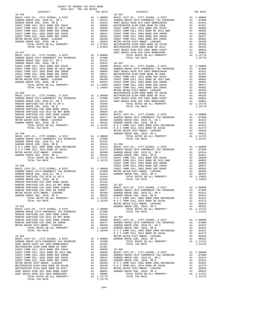| COUNTY OF ORANGE TAX RATE BOOK     |           |          |          |
|------------------------------------|-----------|----------|----------|
| DISTRICT                           | TAX RATE  | DISTRICT | TAX RATE |
|                                    |           |          |          |
|                                    |           |          |          |
|                                    |           |          |          |
|                                    |           |          |          |
|                                    |           |          |          |
|                                    |           |          |          |
|                                    |           |          |          |
|                                    |           |          |          |
|                                    |           |          |          |
|                                    |           |          |          |
|                                    |           |          |          |
|                                    |           |          |          |
|                                    |           |          |          |
|                                    |           |          |          |
|                                    |           |          |          |
|                                    |           |          |          |
|                                    |           |          |          |
|                                    |           |          |          |
|                                    |           |          |          |
|                                    |           |          |          |
|                                    |           |          |          |
|                                    |           |          |          |
|                                    |           |          |          |
|                                    |           |          |          |
|                                    |           |          |          |
|                                    |           |          |          |
|                                    |           |          |          |
|                                    |           |          |          |
|                                    |           |          |          |
|                                    |           |          |          |
|                                    |           |          |          |
|                                    |           |          |          |
|                                    |           |          |          |
|                                    |           |          |          |
|                                    |           |          |          |
|                                    |           |          |          |
|                                    |           |          |          |
|                                    |           |          |          |
|                                    |           |          |          |
|                                    |           |          |          |
|                                    |           |          |          |
|                                    |           |          |          |
|                                    |           |          |          |
|                                    |           |          |          |
|                                    |           |          |          |
|                                    |           |          |          |
|                                    |           |          |          |
|                                    |           |          |          |
|                                    |           |          |          |
|                                    |           |          |          |
|                                    |           |          |          |
|                                    |           |          |          |
|                                    |           |          |          |
|                                    |           |          |          |
|                                    |           |          |          |
|                                    |           |          |          |
|                                    |           |          |          |
|                                    |           |          |          |
|                                    |           |          |          |
|                                    |           |          |          |
|                                    |           |          |          |
|                                    |           |          |          |
| WESTMINSTER ELEM-2008 BOND SR 2009 | A1 .02387 | 10.250   |          |

| BASIC LEVY-CO., CITY, SCHOOL, & DIST     | A1.            | 1,00000    | GARDEN GROVE USD, 2010, SR A             | A1             | .00332     |
|------------------------------------------|----------------|------------|------------------------------------------|----------------|------------|
| GARDEN GROVE-1974 PARAMEDIC TAX OVERRIDE | A1             | .07000     | TOTAL RATES ON ALL PROPERTY              |                | A1 1.14722 |
| HUNT BEACH HIGH SCH 2004 BOND#2004A      | A <sub>1</sub> | .02451     | TOTAL TAX RATE                           |                | 1.14722    |
| WESTMINSTER ELEM-2008 BOND SR 2009       | A1             | .02387     |                                          |                |            |
| COAST COMM COLL 2012 BOND SER 2016C      | A1             | .00899     | $18 - 359$                               |                |            |
| COAST COMM COLL 2012 BOND SR 2013 A&B    | A1             | .00683     | BASIC LEVY-CO., CITY, SCHOOL, & DIST     |                | A1 1,00000 |
| COAST COMM COLL 2002 BOND SER 2006B      | A1             | .00605     | GARDEN GROVE-1974 PARAMEDIC TAX OVERRIDE | A <sub>1</sub> | .07000     |
| COAST COMM COLL 2002 BOND SER 2003A      | A1             | .00547     | GARDEN GROVE USD, 2010 EL, SR C          | A <sub>1</sub> | .02314     |
| COAST COMM COLL 2002 BOND SER 2006C      | A1             | .00382     | GARDEN GROVE USD, 2010, SR B             | A <sub>1</sub> | .01841     |
| METRO WATER DIST-MWDOC- 1205999          | A1             | .00350     | N O C COMM COLL 2002 BOND 2005 REFUNDING | A <sub>1</sub> | .01612     |
| WESTMINSTER ELEM-2008 BOND SR 2013B      | A1             | .00199     | N O C COMM COLL 2014 BOND SR 2016A       | A <sub>1</sub> | .01273     |
| WESTMINSTER ELEM-2008 BOND SR 2013       | A1             | .00183     | METRO WATER DIST-MWDOC- 1205999          | A <sub>1</sub> | .00350     |
| HUNT BEACH HIGH SCH 2004 BOND #2007      | A1             | .00091     | GARDEN GROVE USD, 2010, SR A             | A <sub>1</sub> | .00332     |
| HUNT BEACH HIGH SCH 2004 BOND#2005       | A1             | .00001     | TOTAL RATES ON ALL PROPERTY              |                | A1 1.14722 |
| TOTAL RATES ON ALL PROPERTY              |                | A1 1.15778 | TOTAL TAX RATE                           |                | 1.14722    |
| TOTAL TAX RATE                           |                | 1.15778    |                                          |                |            |

-164-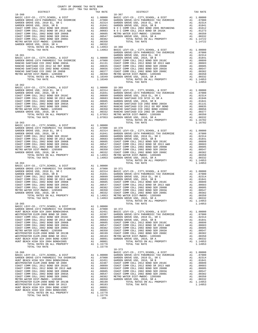| COUNTY OF ORANGE TAX RATE BOOK<br>2016-2017 TRA TAX RATES<br>$2016-2017\quad\text{TRA TAX RATES}\label{eq:2016-2017}$ DISTRICT                   |          |                |          |
|--------------------------------------------------------------------------------------------------------------------------------------------------|----------|----------------|----------|
|                                                                                                                                                  | TAX RATE | DISTRICT       | TAX RATE |
| $18 - 360$                                                                                                                                       |          | $18 - 367$     |          |
|                                                                                                                                                  |          |                |          |
|                                                                                                                                                  |          |                |          |
|                                                                                                                                                  |          |                |          |
|                                                                                                                                                  |          |                |          |
|                                                                                                                                                  |          |                |          |
|                                                                                                                                                  |          |                |          |
|                                                                                                                                                  |          |                |          |
|                                                                                                                                                  |          |                |          |
|                                                                                                                                                  |          |                |          |
|                                                                                                                                                  |          |                |          |
|                                                                                                                                                  |          |                |          |
|                                                                                                                                                  |          |                |          |
|                                                                                                                                                  |          |                |          |
|                                                                                                                                                  |          |                |          |
|                                                                                                                                                  |          |                |          |
|                                                                                                                                                  |          |                |          |
|                                                                                                                                                  |          |                |          |
| $P_{\text{LRC}}$ 1.14953<br>$P_{\text{CVE}}$ USD, 2010, SR A $\text{L}$<br>$P_{\text{CVE}}$ TOTAL RATES ON ALL PROPERTY A1 1.14953<br>$18 - 365$ |          | TOTAL TAX RATE | 1.14953  |
|                                                                                                                                                  |          |                |          |
|                                                                                                                                                  |          |                |          |
|                                                                                                                                                  |          |                |          |
|                                                                                                                                                  |          |                |          |
|                                                                                                                                                  |          |                |          |
|                                                                                                                                                  |          |                |          |
|                                                                                                                                                  |          |                |          |
|                                                                                                                                                  |          |                |          |
|                                                                                                                                                  |          |                |          |
|                                                                                                                                                  |          |                |          |
|                                                                                                                                                  |          |                |          |
|                                                                                                                                                  |          |                |          |
|                                                                                                                                                  |          |                |          |
|                                                                                                                                                  |          |                |          |
|                                                                                                                                                  |          |                |          |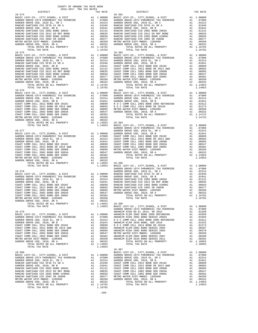| TOTAL RATES ON ALL PROPERTY                                 |                                                                                                                         | A1 1.16782           |                       |
|-------------------------------------------------------------|-------------------------------------------------------------------------------------------------------------------------|----------------------|-----------------------|
| TOTAL TAX RATE                                              |                                                                                                                         | 1.16782              |                       |
| $18 - 375$                                                  |                                                                                                                         |                      | 18-382                |
|                                                             |                                                                                                                         |                      |                       |
|                                                             |                                                                                                                         |                      |                       |
|                                                             |                                                                                                                         |                      |                       |
|                                                             |                                                                                                                         |                      |                       |
|                                                             |                                                                                                                         |                      |                       |
|                                                             |                                                                                                                         |                      |                       |
|                                                             |                                                                                                                         |                      |                       |
|                                                             |                                                                                                                         |                      |                       |
| TOTAL TAX RATE                                              |                                                                                                                         | 1.16782              |                       |
|                                                             |                                                                                                                         |                      |                       |
|                                                             |                                                                                                                         |                      |                       |
|                                                             |                                                                                                                         |                      |                       |
|                                                             |                                                                                                                         |                      |                       |
|                                                             |                                                                                                                         |                      |                       |
|                                                             |                                                                                                                         |                      |                       |
|                                                             |                                                                                                                         |                      |                       |
|                                                             |                                                                                                                         |                      |                       |
|                                                             |                                                                                                                         |                      |                       |
|                                                             |                                                                                                                         |                      |                       |
|                                                             |                                                                                                                         |                      | GARDEN                |
| 18-377                                                      |                                                                                                                         |                      | GARDEN                |
|                                                             |                                                                                                                         |                      |                       |
|                                                             |                                                                                                                         |                      |                       |
|                                                             |                                                                                                                         |                      |                       |
|                                                             |                                                                                                                         |                      |                       |
|                                                             |                                                                                                                         |                      |                       |
|                                                             |                                                                                                                         |                      |                       |
|                                                             |                                                                                                                         |                      |                       |
|                                                             |                                                                                                                         |                      |                       |
| TOTAL TAX RATE                                              |                                                                                                                         | 1.14953              | BASIC L               |
|                                                             |                                                                                                                         |                      | GARDEN                |
| $18 - 378$                                                  |                                                                                                                         |                      | GARDEN                |
|                                                             |                                                                                                                         |                      |                       |
|                                                             |                                                                                                                         |                      |                       |
|                                                             |                                                                                                                         |                      |                       |
|                                                             |                                                                                                                         |                      |                       |
|                                                             |                                                                                                                         |                      |                       |
|                                                             |                                                                                                                         |                      |                       |
| METRO WATER DIST-MWDOC- 1205999                             |                                                                                                                         |                      |                       |
| GARDEN GROVE USD, 2010, SR A<br>TOTAL RATES ON ALL PROPERTY |                                                                                                                         |                      |                       |
| TOTAL TAX RATE                                              | Al .005,<br>Al .00382<br>Al .00350<br>Al .00352<br>Al 1.14953 18-386<br>Al 1.14953 BASIC I<br>CRARDER CARDER<br>ANAHEIN |                      |                       |
|                                                             |                                                                                                                         |                      |                       |
| 18-379                                                      |                                                                                                                         |                      | <b>ANAHEIM</b>        |
|                                                             |                                                                                                                         |                      |                       |
|                                                             |                                                                                                                         |                      |                       |
|                                                             |                                                                                                                         |                      |                       |
|                                                             |                                                                                                                         |                      |                       |
|                                                             |                                                                                                                         |                      |                       |
|                                                             |                                                                                                                         |                      |                       |
|                                                             |                                                                                                                         |                      |                       |
| GARDEN GROVE USD, 2010, SR A<br>TOTAL RATES ON ALL PROPERTY | A1                                                                                                                      | .00332<br>A1 1.14953 |                       |
| TOTAL TAX RATE                                              |                                                                                                                         | 1.14953              |                       |
| $18 - 380$                                                  |                                                                                                                         |                      | $18 - 387$<br>BASIC L |
|                                                             |                                                                                                                         |                      |                       |
|                                                             |                                                                                                                         |                      |                       |
|                                                             |                                                                                                                         |                      |                       |
|                                                             |                                                                                                                         |                      |                       |
|                                                             |                                                                                                                         |                      |                       |
|                                                             |                                                                                                                         |                      |                       |
|                                                             |                                                                                                                         |                      |                       |
| GARDEN GROVE USD, 2010, SR A                                | A1                                                                                                                      | .00332               |                       |
| TOTAL RATES ON ALL PROPERTY                                 |                                                                                                                         | A1 1.16782           |                       |
| TOTAL TAX RATE                                              |                                                                                                                         | 1.16782              |                       |
|                                                             |                                                                                                                         |                      |                       |

| DISTRICT   | TAX RATE | DISTRICT | TAX RATE |
|------------|----------|----------|----------|
| $18 - 374$ |          | 18-381   |          |
|            |          |          |          |
|            |          |          |          |
|            |          |          |          |
|            |          |          |          |
|            |          |          |          |
|            |          |          |          |
|            |          |          |          |
|            |          |          |          |
|            |          |          |          |
|            |          |          |          |
|            |          |          |          |
|            |          |          |          |
|            |          |          |          |
|            |          |          |          |
|            |          |          |          |
|            |          |          |          |
|            |          |          |          |
|            |          |          |          |
|            |          |          |          |
|            |          |          |          |
|            |          |          |          |
|            |          |          |          |
|            |          |          |          |
|            |          |          |          |
|            |          |          |          |
|            |          |          |          |
|            |          |          |          |
|            |          |          |          |
|            |          |          |          |
|            |          |          |          |
|            |          |          |          |
|            |          |          |          |
|            |          |          |          |
|            |          |          |          |
|            |          |          |          |
|            |          |          |          |
|            |          |          |          |
|            |          |          |          |
|            |          |          |          |
|            |          |          |          |
|            |          |          |          |
|            |          |          |          |
|            |          |          |          |
|            |          |          |          |
|            |          |          |          |
|            |          |          |          |
|            |          |          |          |
|            |          |          |          |
|            |          |          |          |
|            |          |          |          |
|            |          |          |          |
|            |          |          |          |
|            |          |          |          |
|            |          |          |          |
|            |          |          |          |
|            |          |          |          |
|            |          |          |          |
|            |          |          |          |
|            |          |          |          |
|            |          |          |          |
|            |          |          |          |
|            |          |          |          |
|            |          |          |          |
|            |          |          |          |
|            |          |          |          |
|            |          |          |          |
|            |          |          |          |
|            |          |          |          |
|            |          |          |          |
|            |          |          |          |
|            |          |          |          |
|            |          |          |          |
|            |          |          |          |
|            |          |          |          |
|            |          |          |          |
|            |          |          |          |
|            |          |          |          |
|            |          |          |          |
|            |          |          |          |
|            |          |          |          |
|            |          |          |          |
|            |          |          |          |
|            |          |          |          |
|            |          |          |          |
|            |          |          |          |
|            |          |          |          |
|            |          |          |          |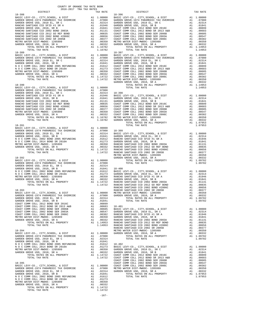| COUNTY OF ORANGE TAX RATE BOOK<br>2016-2017 TRA TAX RATES |          |            |          |
|-----------------------------------------------------------|----------|------------|----------|
| DISTRICT                                                  | TAX RATE | DISTRICT   | TAX RATE |
| $18 - 388$                                                |          | $18 - 396$ |          |
|                                                           |          |            |          |
|                                                           |          |            |          |
|                                                           |          |            |          |
|                                                           |          |            |          |
|                                                           |          |            |          |
|                                                           |          |            |          |
|                                                           |          |            |          |
|                                                           |          |            |          |
|                                                           |          |            |          |
|                                                           |          |            |          |
|                                                           |          |            |          |
|                                                           |          |            |          |
|                                                           |          |            |          |
|                                                           |          |            |          |
|                                                           |          |            |          |
|                                                           |          |            |          |
|                                                           |          |            |          |
|                                                           |          |            |          |
|                                                           |          |            |          |
|                                                           |          |            |          |
|                                                           |          |            |          |
|                                                           |          |            |          |
|                                                           |          |            |          |
|                                                           |          |            |          |
|                                                           |          |            |          |
|                                                           |          |            |          |
|                                                           |          |            |          |
|                                                           |          |            |          |
|                                                           |          |            |          |
|                                                           |          |            |          |
|                                                           |          |            |          |
|                                                           |          |            |          |
|                                                           |          |            |          |
|                                                           |          |            |          |
|                                                           |          |            |          |
|                                                           |          |            |          |
|                                                           |          |            |          |
|                                                           |          |            |          |
|                                                           |          |            |          |
|                                                           |          |            |          |
|                                                           |          |            |          |
|                                                           |          |            |          |
|                                                           |          |            |          |
|                                                           |          |            |          |
|                                                           |          |            |          |
|                                                           |          |            |          |
|                                                           |          |            |          |
|                                                           |          |            |          |
|                                                           |          |            |          |
|                                                           |          |            |          |
|                                                           |          |            |          |
|                                                           |          |            |          |
|                                                           |          |            |          |
|                                                           |          |            |          |
|                                                           |          |            |          |
|                                                           |          |            |          |
|                                                           |          |            |          |
|                                                           |          |            |          |
|                                                           |          |            |          |
|                                                           |          |            |          |
|                                                           |          |            |          |
|                                                           |          |            |          |
|                                                           |          |            |          |
|                                                           |          |            |          |
|                                                           |          |            |          |
|                                                           |          |            |          |
|                                                           |          |            |          |
|                                                           |          |            |          |
|                                                           |          |            |          |
|                                                           |          |            |          |
|                                                           |          |            |          |

-167-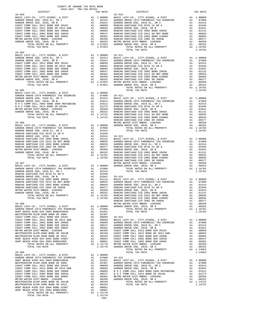| COUNTY OF ORANGE TAX RATE BOOK<br>$2016-2017\quad\text{TRA TAX RATES}\label{eq:2016-2017}$ DISTRICT                                                                                                                                                                                                                                                                     |          |                        |          |
|-------------------------------------------------------------------------------------------------------------------------------------------------------------------------------------------------------------------------------------------------------------------------------------------------------------------------------------------------------------------------|----------|------------------------|----------|
| $18 - 403$                                                                                                                                                                                                                                                                                                                                                              | TAX RATE | DISTRICT<br>$18 - 410$ | TAX RATE |
|                                                                                                                                                                                                                                                                                                                                                                         |          |                        |          |
|                                                                                                                                                                                                                                                                                                                                                                         |          |                        |          |
|                                                                                                                                                                                                                                                                                                                                                                         |          |                        |          |
|                                                                                                                                                                                                                                                                                                                                                                         |          |                        |          |
|                                                                                                                                                                                                                                                                                                                                                                         |          |                        |          |
|                                                                                                                                                                                                                                                                                                                                                                         |          |                        |          |
|                                                                                                                                                                                                                                                                                                                                                                         |          |                        |          |
|                                                                                                                                                                                                                                                                                                                                                                         |          |                        |          |
|                                                                                                                                                                                                                                                                                                                                                                         |          |                        |          |
| $18 - 404$                                                                                                                                                                                                                                                                                                                                                              |          | TOTAL TAX RATE         | 1.16782  |
|                                                                                                                                                                                                                                                                                                                                                                         |          |                        |          |
|                                                                                                                                                                                                                                                                                                                                                                         |          |                        |          |
|                                                                                                                                                                                                                                                                                                                                                                         |          |                        |          |
|                                                                                                                                                                                                                                                                                                                                                                         |          |                        |          |
|                                                                                                                                                                                                                                                                                                                                                                         |          |                        |          |
|                                                                                                                                                                                                                                                                                                                                                                         |          |                        |          |
|                                                                                                                                                                                                                                                                                                                                                                         |          |                        |          |
|                                                                                                                                                                                                                                                                                                                                                                         |          |                        |          |
|                                                                                                                                                                                                                                                                                                                                                                         |          |                        |          |
| $18 - 405$                                                                                                                                                                                                                                                                                                                                                              |          | TOTAL TAX RATE         | 1.16782  |
|                                                                                                                                                                                                                                                                                                                                                                         |          |                        |          |
|                                                                                                                                                                                                                                                                                                                                                                         |          |                        |          |
|                                                                                                                                                                                                                                                                                                                                                                         |          |                        |          |
|                                                                                                                                                                                                                                                                                                                                                                         |          |                        |          |
|                                                                                                                                                                                                                                                                                                                                                                         |          |                        |          |
|                                                                                                                                                                                                                                                                                                                                                                         |          |                        |          |
|                                                                                                                                                                                                                                                                                                                                                                         |          |                        |          |
|                                                                                                                                                                                                                                                                                                                                                                         |          |                        |          |
|                                                                                                                                                                                                                                                                                                                                                                         |          |                        |          |
|                                                                                                                                                                                                                                                                                                                                                                         |          |                        |          |
|                                                                                                                                                                                                                                                                                                                                                                         |          |                        |          |
|                                                                                                                                                                                                                                                                                                                                                                         |          |                        |          |
|                                                                                                                                                                                                                                                                                                                                                                         |          |                        |          |
|                                                                                                                                                                                                                                                                                                                                                                         |          |                        |          |
|                                                                                                                                                                                                                                                                                                                                                                         |          |                        |          |
|                                                                                                                                                                                                                                                                                                                                                                         |          |                        |          |
|                                                                                                                                                                                                                                                                                                                                                                         |          |                        |          |
|                                                                                                                                                                                                                                                                                                                                                                         |          |                        |          |
|                                                                                                                                                                                                                                                                                                                                                                         |          |                        |          |
|                                                                                                                                                                                                                                                                                                                                                                         |          |                        |          |
|                                                                                                                                                                                                                                                                                                                                                                         |          |                        |          |
|                                                                                                                                                                                                                                                                                                                                                                         |          |                        |          |
|                                                                                                                                                                                                                                                                                                                                                                         |          |                        |          |
|                                                                                                                                                                                                                                                                                                                                                                         |          |                        |          |
|                                                                                                                                                                                                                                                                                                                                                                         |          |                        |          |
|                                                                                                                                                                                                                                                                                                                                                                         |          |                        |          |
|                                                                                                                                                                                                                                                                                                                                                                         |          |                        |          |
|                                                                                                                                                                                                                                                                                                                                                                         |          |                        |          |
|                                                                                                                                                                                                                                                                                                                                                                         |          |                        |          |
|                                                                                                                                                                                                                                                                                                                                                                         |          |                        |          |
|                                                                                                                                                                                                                                                                                                                                                                         |          |                        |          |
|                                                                                                                                                                                                                                                                                                                                                                         |          |                        |          |
| $\begin{tabular}{@{}c@{}}\textbf{METRO WATER DIF-MBIO}-1205999 & \textbf{A1} & .00350 & \textbf{GREDER} & 0310 & \textbf{SRB} & 0310 & \textbf{SRB} \\ \textbf{GADER R GNER DIF-R DIF-RI PIO}-120599 & \textbf{A1} & .0014 & .0014 & .0014 \\ \textbf{TO RAL RISTS} & 0.017 & .017 & .017 & .017 & .017 & .018 \\ \textbf{HSTO WATER DIF-RI}-0.017 & .017 & .017 & .01$ |          |                        |          |
|                                                                                                                                                                                                                                                                                                                                                                         |          |                        |          |
|                                                                                                                                                                                                                                                                                                                                                                         |          |                        |          |
|                                                                                                                                                                                                                                                                                                                                                                         |          |                        |          |
|                                                                                                                                                                                                                                                                                                                                                                         |          |                        |          |
|                                                                                                                                                                                                                                                                                                                                                                         |          |                        |          |
|                                                                                                                                                                                                                                                                                                                                                                         |          |                        |          |
|                                                                                                                                                                                                                                                                                                                                                                         |          |                        |          |
|                                                                                                                                                                                                                                                                                                                                                                         |          |                        |          |
|                                                                                                                                                                                                                                                                                                                                                                         |          |                        |          |
|                                                                                                                                                                                                                                                                                                                                                                         |          |                        |          |
|                                                                                                                                                                                                                                                                                                                                                                         |          |                        |          |
|                                                                                                                                                                                                                                                                                                                                                                         |          |                        |          |
|                                                                                                                                                                                                                                                                                                                                                                         |          |                        |          |
|                                                                                                                                                                                                                                                                                                                                                                         |          |                        |          |
|                                                                                                                                                                                                                                                                                                                                                                         |          |                        |          |
|                                                                                                                                                                                                                                                                                                                                                                         |          |                        |          |
|                                                                                                                                                                                                                                                                                                                                                                         |          |                        |          |
|                                                                                                                                                                                                                                                                                                                                                                         |          |                        |          |
|                                                                                                                                                                                                                                                                                                                                                                         |          |                        |          |
|                                                                                                                                                                                                                                                                                                                                                                         | $-168-$  |                        |          |
|                                                                                                                                                                                                                                                                                                                                                                         |          |                        |          |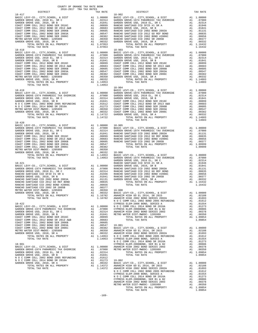| COUNTY OF ORANGE TAX RATE BOOK<br>2016-2017 TRA TAX RATES                                                                                                                                                                                                                                                                                                                                                                                                                              |          |                                                                                                                          |                        |
|----------------------------------------------------------------------------------------------------------------------------------------------------------------------------------------------------------------------------------------------------------------------------------------------------------------------------------------------------------------------------------------------------------------------------------------------------------------------------------------|----------|--------------------------------------------------------------------------------------------------------------------------|------------------------|
| DISTRICT                                                                                                                                                                                                                                                                                                                                                                                                                                                                               |          | TAX RATE                                                                                                                 |                        |
| $18 - 417$                                                                                                                                                                                                                                                                                                                                                                                                                                                                             |          |                                                                                                                          | 18-902                 |
|                                                                                                                                                                                                                                                                                                                                                                                                                                                                                        |          |                                                                                                                          |                        |
|                                                                                                                                                                                                                                                                                                                                                                                                                                                                                        |          |                                                                                                                          |                        |
|                                                                                                                                                                                                                                                                                                                                                                                                                                                                                        |          |                                                                                                                          |                        |
|                                                                                                                                                                                                                                                                                                                                                                                                                                                                                        |          |                                                                                                                          |                        |
|                                                                                                                                                                                                                                                                                                                                                                                                                                                                                        |          |                                                                                                                          |                        |
|                                                                                                                                                                                                                                                                                                                                                                                                                                                                                        |          |                                                                                                                          |                        |
|                                                                                                                                                                                                                                                                                                                                                                                                                                                                                        |          |                                                                                                                          |                        |
|                                                                                                                                                                                                                                                                                                                                                                                                                                                                                        |          |                                                                                                                          |                        |
|                                                                                                                                                                                                                                                                                                                                                                                                                                                                                        |          |                                                                                                                          |                        |
| TOTAL TAX RATE                                                                                                                                                                                                                                                                                                                                                                                                                                                                         |          | 1.07953                                                                                                                  |                        |
| $18 - 418$                                                                                                                                                                                                                                                                                                                                                                                                                                                                             |          |                                                                                                                          | $18 - 903$             |
|                                                                                                                                                                                                                                                                                                                                                                                                                                                                                        |          |                                                                                                                          |                        |
|                                                                                                                                                                                                                                                                                                                                                                                                                                                                                        |          |                                                                                                                          |                        |
|                                                                                                                                                                                                                                                                                                                                                                                                                                                                                        |          |                                                                                                                          |                        |
|                                                                                                                                                                                                                                                                                                                                                                                                                                                                                        |          |                                                                                                                          |                        |
|                                                                                                                                                                                                                                                                                                                                                                                                                                                                                        |          |                                                                                                                          |                        |
|                                                                                                                                                                                                                                                                                                                                                                                                                                                                                        |          |                                                                                                                          |                        |
|                                                                                                                                                                                                                                                                                                                                                                                                                                                                                        |          |                                                                                                                          |                        |
|                                                                                                                                                                                                                                                                                                                                                                                                                                                                                        |          |                                                                                                                          |                        |
|                                                                                                                                                                                                                                                                                                                                                                                                                                                                                        |          |                                                                                                                          |                        |
|                                                                                                                                                                                                                                                                                                                                                                                                                                                                                        |          |                                                                                                                          |                        |
|                                                                                                                                                                                                                                                                                                                                                                                                                                                                                        |          |                                                                                                                          |                        |
|                                                                                                                                                                                                                                                                                                                                                                                                                                                                                        |          |                                                                                                                          | $18 - 904$             |
|                                                                                                                                                                                                                                                                                                                                                                                                                                                                                        |          |                                                                                                                          |                        |
|                                                                                                                                                                                                                                                                                                                                                                                                                                                                                        |          |                                                                                                                          |                        |
|                                                                                                                                                                                                                                                                                                                                                                                                                                                                                        |          |                                                                                                                          |                        |
|                                                                                                                                                                                                                                                                                                                                                                                                                                                                                        |          |                                                                                                                          |                        |
|                                                                                                                                                                                                                                                                                                                                                                                                                                                                                        |          |                                                                                                                          |                        |
|                                                                                                                                                                                                                                                                                                                                                                                                                                                                                        |          |                                                                                                                          |                        |
|                                                                                                                                                                                                                                                                                                                                                                                                                                                                                        |          |                                                                                                                          |                        |
|                                                                                                                                                                                                                                                                                                                                                                                                                                                                                        |          |                                                                                                                          |                        |
|                                                                                                                                                                                                                                                                                                                                                                                                                                                                                        |          |                                                                                                                          |                        |
|                                                                                                                                                                                                                                                                                                                                                                                                                                                                                        |          |                                                                                                                          |                        |
| $18 - 420$                                                                                                                                                                                                                                                                                                                                                                                                                                                                             |          |                                                                                                                          |                        |
|                                                                                                                                                                                                                                                                                                                                                                                                                                                                                        |          |                                                                                                                          |                        |
|                                                                                                                                                                                                                                                                                                                                                                                                                                                                                        |          |                                                                                                                          |                        |
|                                                                                                                                                                                                                                                                                                                                                                                                                                                                                        |          |                                                                                                                          |                        |
|                                                                                                                                                                                                                                                                                                                                                                                                                                                                                        |          |                                                                                                                          |                        |
|                                                                                                                                                                                                                                                                                                                                                                                                                                                                                        |          |                                                                                                                          |                        |
|                                                                                                                                                                                                                                                                                                                                                                                                                                                                                        |          |                                                                                                                          |                        |
|                                                                                                                                                                                                                                                                                                                                                                                                                                                                                        |          |                                                                                                                          |                        |
|                                                                                                                                                                                                                                                                                                                                                                                                                                                                                        |          |                                                                                                                          |                        |
|                                                                                                                                                                                                                                                                                                                                                                                                                                                                                        |          |                                                                                                                          |                        |
|                                                                                                                                                                                                                                                                                                                                                                                                                                                                                        |          |                                                                                                                          |                        |
|                                                                                                                                                                                                                                                                                                                                                                                                                                                                                        |          |                                                                                                                          |                        |
|                                                                                                                                                                                                                                                                                                                                                                                                                                                                                        |          |                                                                                                                          |                        |
|                                                                                                                                                                                                                                                                                                                                                                                                                                                                                        |          |                                                                                                                          |                        |
|                                                                                                                                                                                                                                                                                                                                                                                                                                                                                        |          |                                                                                                                          |                        |
|                                                                                                                                                                                                                                                                                                                                                                                                                                                                                        |          |                                                                                                                          |                        |
|                                                                                                                                                                                                                                                                                                                                                                                                                                                                                        |          |                                                                                                                          |                        |
|                                                                                                                                                                                                                                                                                                                                                                                                                                                                                        |          |                                                                                                                          |                        |
|                                                                                                                                                                                                                                                                                                                                                                                                                                                                                        |          |                                                                                                                          |                        |
|                                                                                                                                                                                                                                                                                                                                                                                                                                                                                        |          |                                                                                                                          |                        |
|                                                                                                                                                                                                                                                                                                                                                                                                                                                                                        |          |                                                                                                                          |                        |
|                                                                                                                                                                                                                                                                                                                                                                                                                                                                                        |          |                                                                                                                          |                        |
|                                                                                                                                                                                                                                                                                                                                                                                                                                                                                        |          |                                                                                                                          |                        |
| TOTAL RATES ON ALL PROPERTY                                                                                                                                                                                                                                                                                                                                                                                                                                                            | $A1$ $1$ |                                                                                                                          | 1.16782 ANAHEIM        |
| TOTAL TAX RATE                                                                                                                                                                                                                                                                                                                                                                                                                                                                         |          | 1.16782                                                                                                                  | ANAHEIM                |
| $18 - 422$                                                                                                                                                                                                                                                                                                                                                                                                                                                                             |          |                                                                                                                          | NOCC<br><b>CYPRESS</b> |
|                                                                                                                                                                                                                                                                                                                                                                                                                                                                                        |          |                                                                                                                          |                        |
|                                                                                                                                                                                                                                                                                                                                                                                                                                                                                        |          |                                                                                                                          |                        |
|                                                                                                                                                                                                                                                                                                                                                                                                                                                                                        |          |                                                                                                                          |                        |
|                                                                                                                                                                                                                                                                                                                                                                                                                                                                                        |          |                                                                                                                          |                        |
| COAST COMM COLL 2012 BOND SER 2016C                                                                                                                                                                                                                                                                                                                                                                                                                                                    | A1       | .00899                                                                                                                   |                        |
| COAST COMM COLL 2012 BOND SR 2013 A&B<br>COAST COMM COLL 2002 BOND SER 2006B                                                                                                                                                                                                                                                                                                                                                                                                           |          | A1 .00683                                                                                                                |                        |
| COAST COMM COLL 2002 BOND SER 2003A                                                                                                                                                                                                                                                                                                                                                                                                                                                    |          | A1 .00605<br>A1 .00547                                                                                                   |                        |
| COAST COMM COLL 2002 BOND SER 2006C                                                                                                                                                                                                                                                                                                                                                                                                                                                    |          |                                                                                                                          |                        |
| METRO WATER DIST-MWDOC- 1205999                                                                                                                                                                                                                                                                                                                                                                                                                                                        |          |                                                                                                                          |                        |
| GARDEN GROVE USD, 2010, SR A                                                                                                                                                                                                                                                                                                                                                                                                                                                           |          | A1 .00547 19-001<br>A1 .00382 BASIC L<br>A1 .00330 ANAHEIM<br>A1 .00332 ANAHEIM<br>A1 1.14953 N O C C<br>1.14953 CYPRESS |                        |
| TOTAL RATES ON ALL PROPERTY                                                                                                                                                                                                                                                                                                                                                                                                                                                            |          |                                                                                                                          |                        |
| TOTAL TAX RATE                                                                                                                                                                                                                                                                                                                                                                                                                                                                         |          |                                                                                                                          | NOCC                   |
| $18 - 901$                                                                                                                                                                                                                                                                                                                                                                                                                                                                             |          |                                                                                                                          | CYPRESS                |
| BASIC LEVY-CO., CITY, SCHOOL, & DIST                                                                                                                                                                                                                                                                                                                                                                                                                                                   |          | A1 1.00000 ANAHEIM<br>A1 .07000 METROW                                                                                   |                        |
| BASIC LEVY-CO., CITY, SCHOOL, & DIST<br>GARDEN GROVE-1974 PARAMEDIC TAX OVERRIDE                                                                                                                                                                                                                                                                                                                                                                                                       |          |                                                                                                                          |                        |
| GARDEN GROVE USD, 2010 EL, SR C                                                                                                                                                                                                                                                                                                                                                                                                                                                        | A1       | .02314                                                                                                                   |                        |
| GARDEN GROVE USD, 2010, SR B                                                                                                                                                                                                                                                                                                                                                                                                                                                           | A1       | .01841                                                                                                                   |                        |
|                                                                                                                                                                                                                                                                                                                                                                                                                                                                                        |          | .01612                                                                                                                   |                        |
| $\begin{tabular}{lllllllllllll} \textsc{N} & $\textsc{O}$ & $\textsc{O}$ & $\textsc{M}$ & $\textsc{Al}$ \\ \textsc{N} & $\textsc{O}$ & $\textsc{COMM}$ & $\textsc{COLL}$ & $2014$ & $BND$ & $2016 \textsc{A}$ & $\textsc{Al}$ \\ \textsc{N} & $\textsc{O}$ & $\textsc{COMM}$ & $\textsc{COLL}$ & $2014$ & $BND$ & $2016 \textsc{A}$ & $\textsc{Al}$ \\ \textsc{GAPDEN} & $\textsc{GROYE}$ & $\textsc{15D}$ & $2010$ & $\textsc{co}$ & $\textsc{h}$ \\$<br>GARDEN GROVE USD, 2010, SR A |          |                                                                                                                          |                        |
| TOTAL RATES ON ALL PROPERTY                                                                                                                                                                                                                                                                                                                                                                                                                                                            |          |                                                                                                                          |                        |
| TOTAL TAX RATE                                                                                                                                                                                                                                                                                                                                                                                                                                                                         |          | A1 .01273 19-002<br>A1 .00332 BASIC L<br>A1 1.14372 ANAHEIM<br>1.14372 ANAHEIM                                           | $\sim$ $\sim$          |

| DISTRICT   | ZUID-ZUIT IRA IAA RAIBS<br>TAX RATE | DISTRICT   | TAX RATE |
|------------|-------------------------------------|------------|----------|
| $18 - 417$ |                                     | $18 - 902$ |          |
|            |                                     |            |          |
| $18 - 420$ |                                     |            |          |
|            |                                     |            |          |
|            |                                     |            |          |
|            |                                     |            |          |
|            |                                     |            |          |
|            |                                     |            |          |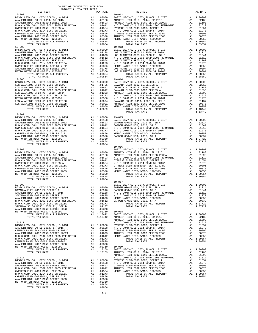| TOTAL RATES ON ALL PROPERTY<br>TOTAL TAX RATE | A1.                                                                                                                                                                                                                           | 1.10159<br>1.10159 |
|-----------------------------------------------|-------------------------------------------------------------------------------------------------------------------------------------------------------------------------------------------------------------------------------|--------------------|
|                                               |                                                                                                                                                                                                                               |                    |
| $19 - 011$                                    |                                                                                                                                                                                                                               |                    |
| BASIC LEVY-CO., CITY, SCHOOL, & DIST          | A1                                                                                                                                                                                                                            | 1.00000            |
| ANAHEIM HIGH GO EL 2014, SR 2015              | A1                                                                                                                                                                                                                            | .02188             |
| ANAHEIM HIGH 2002 BOND SERIES 2002A           | A1 a                                                                                                                                                                                                                          | .01693             |
| N O C COMM COLL 2002 BOND 2005 REFUNDING      | A1 and a set of the set of the set of the set of the set of the set of the set of the set of the set of the set of the set of the set of the set of the set of the set of the set of the set of the set of the set of the set | .01612             |
| CYPRESS ELEM-2008 BOND, SERIES A              | A1                                                                                                                                                                                                                            | .01554             |
| N O C COMM COLL 2014 BOND SR 2016A            | A1                                                                                                                                                                                                                            | .01273             |
| CYPRESS ELEM-2008BOND, SER B1 & B2            | A1                                                                                                                                                                                                                            | .00806             |
| ANAHEIM HIGH 2002 BOND SERIES 2003            | A1                                                                                                                                                                                                                            | .00378             |
| METRO WATER DIST-MWDOC- 1205999               | A1                                                                                                                                                                                                                            | .00350             |
| TOTAL RATES ON ALL PROPERTY                   |                                                                                                                                                                                                                               | A1 1.09854         |
| TOTAL TAX RATE                                |                                                                                                                                                                                                                               | 1.09854            |

-170-

 DISTRICT TAX RATE DISTRICT TAX RATE CYPRESS ELEM-2008 BOND, SERIES A A1 .01554 CYPRESS ELEM-2008 BOND, SERIES A A1 .01554

| $19 - 007$                                                                                                                                                                                                                                                                                                                                                                                                  |  |  |
|-------------------------------------------------------------------------------------------------------------------------------------------------------------------------------------------------------------------------------------------------------------------------------------------------------------------------------------------------------------------------------------------------------------|--|--|
|                                                                                                                                                                                                                                                                                                                                                                                                             |  |  |
| $\begin{tabular}{c c c c} \multicolumn{1}{c}{\textbf{1.09854}} & \multicolumn{1}{c}{\textbf{1.09854}} & \multicolumn{1}{c}{\textbf{1.09854}} & \multicolumn{1}{c}{\textbf{1.09854}} & \multicolumn{1}{c}{\textbf{1.00000}} & \multicolumn{1}{c}{\textbf{1.00000}} & \multicolumn{1}{c}{\textbf{1.00000}} & \multicolumn{1}{c}{\textbf{1.00000}} & \multicolumn{1}{c}{\textbf{1.00000}} & \multicolumn{1}{c$ |  |  |
|                                                                                                                                                                                                                                                                                                                                                                                                             |  |  |
|                                                                                                                                                                                                                                                                                                                                                                                                             |  |  |
|                                                                                                                                                                                                                                                                                                                                                                                                             |  |  |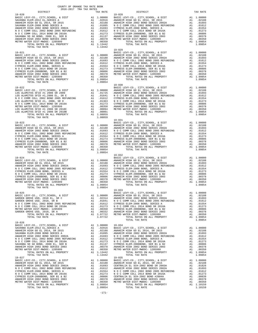| COUNTY OF ORANGE TAX RATE BOOK<br>2016-2017 TRA TAX RATES                                                                                                                                                                                                            |  |                               |          |
|----------------------------------------------------------------------------------------------------------------------------------------------------------------------------------------------------------------------------------------------------------------------|--|-------------------------------|----------|
|                                                                                                                                                                                                                                                                      |  | TAX RATE DISTRICT<br>$19-028$ | TAX RATE |
|                                                                                                                                                                                                                                                                      |  |                               |          |
|                                                                                                                                                                                                                                                                      |  |                               |          |
|                                                                                                                                                                                                                                                                      |  |                               |          |
|                                                                                                                                                                                                                                                                      |  |                               |          |
|                                                                                                                                                                                                                                                                      |  |                               |          |
|                                                                                                                                                                                                                                                                      |  |                               |          |
|                                                                                                                                                                                                                                                                      |  |                               |          |
|                                                                                                                                                                                                                                                                      |  |                               |          |
|                                                                                                                                                                                                                                                                      |  |                               |          |
|                                                                                                                                                                                                                                                                      |  |                               |          |
| $\begin{tabular}{l c c c c c} \hline 19-021 & 19-029 & 19-029 & 19-029 & 19-029 & 19-029 & 19-029 & 19-029 & 19-029 & 19-029 & 19-029 & 19-029 & 19-029 & 19-029 & 19-029 & 19-029 & 19-029 & 19-029 & 19-020 & 19-020 & 19-020 & 19-020 & 19-020 & 19-020 & 19-020$ |  |                               |          |
|                                                                                                                                                                                                                                                                      |  |                               |          |
|                                                                                                                                                                                                                                                                      |  |                               |          |
|                                                                                                                                                                                                                                                                      |  |                               |          |
|                                                                                                                                                                                                                                                                      |  |                               |          |
|                                                                                                                                                                                                                                                                      |  |                               |          |
|                                                                                                                                                                                                                                                                      |  |                               |          |
|                                                                                                                                                                                                                                                                      |  |                               |          |
|                                                                                                                                                                                                                                                                      |  |                               |          |
|                                                                                                                                                                                                                                                                      |  |                               |          |
|                                                                                                                                                                                                                                                                      |  | $\frac{19-030}{BA9+0}$        |          |
|                                                                                                                                                                                                                                                                      |  |                               |          |
|                                                                                                                                                                                                                                                                      |  |                               |          |
|                                                                                                                                                                                                                                                                      |  |                               |          |
|                                                                                                                                                                                                                                                                      |  |                               |          |
|                                                                                                                                                                                                                                                                      |  |                               |          |
|                                                                                                                                                                                                                                                                      |  |                               |          |
|                                                                                                                                                                                                                                                                      |  |                               |          |
|                                                                                                                                                                                                                                                                      |  |                               |          |
|                                                                                                                                                                                                                                                                      |  |                               |          |
|                                                                                                                                                                                                                                                                      |  |                               |          |
|                                                                                                                                                                                                                                                                      |  |                               |          |
|                                                                                                                                                                                                                                                                      |  |                               |          |
|                                                                                                                                                                                                                                                                      |  |                               |          |
|                                                                                                                                                                                                                                                                      |  |                               |          |
|                                                                                                                                                                                                                                                                      |  |                               |          |
|                                                                                                                                                                                                                                                                      |  |                               |          |
|                                                                                                                                                                                                                                                                      |  |                               |          |
|                                                                                                                                                                                                                                                                      |  |                               |          |
|                                                                                                                                                                                                                                                                      |  |                               |          |
|                                                                                                                                                                                                                                                                      |  |                               |          |
|                                                                                                                                                                                                                                                                      |  |                               |          |
|                                                                                                                                                                                                                                                                      |  |                               |          |
|                                                                                                                                                                                                                                                                      |  |                               |          |
|                                                                                                                                                                                                                                                                      |  |                               |          |
|                                                                                                                                                                                                                                                                      |  |                               |          |
|                                                                                                                                                                                                                                                                      |  |                               |          |
|                                                                                                                                                                                                                                                                      |  |                               |          |
|                                                                                                                                                                                                                                                                      |  |                               |          |
|                                                                                                                                                                                                                                                                      |  |                               |          |
|                                                                                                                                                                                                                                                                      |  |                               |          |
|                                                                                                                                                                                                                                                                      |  |                               |          |
| $\begin{tabular}{c c c c} 19-04 & 1.09854 & 1.09854 & 1.09854 & 1.09854 & 1.09854 & 1.09854 & 1.09854 & 1.09854 & 1.09854 & 1.09854 & 1.09854 & 1.09854 & 1.09854 & 1.09854 & 1.09854 & 1.09854 & 1.09854 & 1.09854 & 1.09854 & 1.09854 & 1.09854 & 1.09854 & $      |  |                               |          |
|                                                                                                                                                                                                                                                                      |  |                               |          |
|                                                                                                                                                                                                                                                                      |  |                               |          |
|                                                                                                                                                                                                                                                                      |  |                               |          |
|                                                                                                                                                                                                                                                                      |  |                               |          |
|                                                                                                                                                                                                                                                                      |  |                               |          |
|                                                                                                                                                                                                                                                                      |  |                               |          |
|                                                                                                                                                                                                                                                                      |  |                               |          |
|                                                                                                                                                                                                                                                                      |  |                               |          |
| $19 - 026$                                                                                                                                                                                                                                                           |  |                               |          |
|                                                                                                                                                                                                                                                                      |  |                               |          |
|                                                                                                                                                                                                                                                                      |  |                               |          |
|                                                                                                                                                                                                                                                                      |  |                               |          |
|                                                                                                                                                                                                                                                                      |  |                               |          |
|                                                                                                                                                                                                                                                                      |  |                               |          |
|                                                                                                                                                                                                                                                                      |  |                               |          |
|                                                                                                                                                                                                                                                                      |  |                               |          |
|                                                                                                                                                                                                                                                                      |  |                               |          |
|                                                                                                                                                                                                                                                                      |  |                               |          |
|                                                                                                                                                                                                                                                                      |  |                               |          |
|                                                                                                                                                                                                                                                                      |  |                               |          |
|                                                                                                                                                                                                                                                                      |  |                               |          |
|                                                                                                                                                                                                                                                                      |  |                               |          |
|                                                                                                                                                                                                                                                                      |  |                               |          |
|                                                                                                                                                                                                                                                                      |  |                               |          |
|                                                                                                                                                                                                                                                                      |  |                               |          |
|                                                                                                                                                                                                                                                                      |  |                               |          |
|                                                                                                                                                                                                                                                                      |  |                               |          |
|                                                                                                                                                                                                                                                                      |  |                               |          |
|                                                                                                                                                                                                                                                                      |  |                               |          |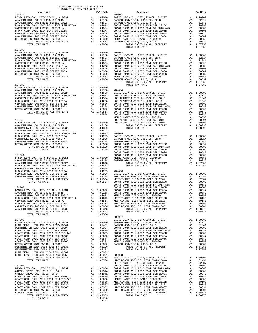| COUNTY OF ORANGE TAX RATE BOOK<br>2016-2017 TRA TAX RATES                                                                                    |          |                        |          |
|----------------------------------------------------------------------------------------------------------------------------------------------|----------|------------------------|----------|
| $2016-2017\begin{array}{lcl} & \text{SUSY} & \text{IAX RATE} \\ \text{RATESTRICT} & \text{RATESTR} & \text{RATES} \end{array}$<br>$19 - 036$ | TAX RATE | DISTRICT<br>$20 - 002$ | TAX RATE |
|                                                                                                                                              |          |                        |          |
|                                                                                                                                              |          |                        |          |
|                                                                                                                                              |          |                        |          |
|                                                                                                                                              |          |                        |          |
|                                                                                                                                              |          |                        |          |
|                                                                                                                                              |          |                        |          |
|                                                                                                                                              |          |                        |          |
|                                                                                                                                              |          | $20 - 007$             |          |
|                                                                                                                                              |          |                        |          |
|                                                                                                                                              |          |                        |          |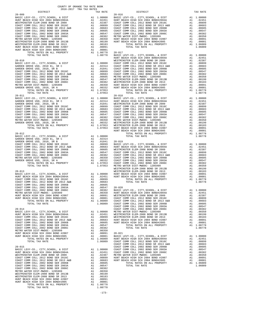| DISTRICT<br>$\begin{tabular}{@{}c@{}}\hline & \textbf{DISTRICT} & \textbf{TAX RATE} & \textbf{DISTRICT} & \textbf{TAX RATE} \\ \hline \textbf{BACIE VV-CO, CITY, SCHOOL, & \textbf{L D10000} & \textbf{BASTWINSTERE, ELEM-2008 BOND SR 2016} & \textbf{A1} & 0.00010 \\ \textbf{RSTMINISTER ELEM-2008 BOND SR 2019} & \textbf{A1} & 0.00000 & \textbf{PASIC AUPS} \\ \hline \textbf{COAST COMM COLL 2012 BOND SR 2$ | TAX RATE | DISTRICT | TAX RATE |
|---------------------------------------------------------------------------------------------------------------------------------------------------------------------------------------------------------------------------------------------------------------------------------------------------------------------------------------------------------------------------------------------------------------------|----------|----------|----------|
|                                                                                                                                                                                                                                                                                                                                                                                                                     |          |          |          |
|                                                                                                                                                                                                                                                                                                                                                                                                                     |          |          |          |
|                                                                                                                                                                                                                                                                                                                                                                                                                     |          |          |          |
|                                                                                                                                                                                                                                                                                                                                                                                                                     |          |          |          |
|                                                                                                                                                                                                                                                                                                                                                                                                                     |          |          |          |
|                                                                                                                                                                                                                                                                                                                                                                                                                     |          |          |          |
|                                                                                                                                                                                                                                                                                                                                                                                                                     |          |          |          |
|                                                                                                                                                                                                                                                                                                                                                                                                                     |          |          |          |
|                                                                                                                                                                                                                                                                                                                                                                                                                     |          |          |          |
|                                                                                                                                                                                                                                                                                                                                                                                                                     |          |          |          |
|                                                                                                                                                                                                                                                                                                                                                                                                                     |          |          |          |
|                                                                                                                                                                                                                                                                                                                                                                                                                     |          |          |          |
|                                                                                                                                                                                                                                                                                                                                                                                                                     |          |          |          |
|                                                                                                                                                                                                                                                                                                                                                                                                                     |          |          |          |
|                                                                                                                                                                                                                                                                                                                                                                                                                     |          |          |          |
|                                                                                                                                                                                                                                                                                                                                                                                                                     |          |          |          |
|                                                                                                                                                                                                                                                                                                                                                                                                                     |          |          |          |
|                                                                                                                                                                                                                                                                                                                                                                                                                     |          |          |          |
|                                                                                                                                                                                                                                                                                                                                                                                                                     |          |          |          |
|                                                                                                                                                                                                                                                                                                                                                                                                                     |          |          |          |
|                                                                                                                                                                                                                                                                                                                                                                                                                     |          |          |          |
|                                                                                                                                                                                                                                                                                                                                                                                                                     |          |          |          |
|                                                                                                                                                                                                                                                                                                                                                                                                                     |          |          |          |
|                                                                                                                                                                                                                                                                                                                                                                                                                     |          |          |          |
|                                                                                                                                                                                                                                                                                                                                                                                                                     |          |          |          |
|                                                                                                                                                                                                                                                                                                                                                                                                                     |          |          |          |
|                                                                                                                                                                                                                                                                                                                                                                                                                     |          |          |          |
|                                                                                                                                                                                                                                                                                                                                                                                                                     |          |          |          |
|                                                                                                                                                                                                                                                                                                                                                                                                                     |          |          |          |
|                                                                                                                                                                                                                                                                                                                                                                                                                     |          |          |          |
|                                                                                                                                                                                                                                                                                                                                                                                                                     |          |          |          |
|                                                                                                                                                                                                                                                                                                                                                                                                                     |          |          |          |
|                                                                                                                                                                                                                                                                                                                                                                                                                     |          |          |          |
|                                                                                                                                                                                                                                                                                                                                                                                                                     |          |          |          |
|                                                                                                                                                                                                                                                                                                                                                                                                                     |          |          |          |
|                                                                                                                                                                                                                                                                                                                                                                                                                     |          |          |          |
|                                                                                                                                                                                                                                                                                                                                                                                                                     |          |          |          |
|                                                                                                                                                                                                                                                                                                                                                                                                                     |          |          |          |
|                                                                                                                                                                                                                                                                                                                                                                                                                     |          |          |          |
|                                                                                                                                                                                                                                                                                                                                                                                                                     |          |          |          |
|                                                                                                                                                                                                                                                                                                                                                                                                                     |          |          |          |
|                                                                                                                                                                                                                                                                                                                                                                                                                     |          |          |          |
|                                                                                                                                                                                                                                                                                                                                                                                                                     |          |          |          |
|                                                                                                                                                                                                                                                                                                                                                                                                                     |          |          |          |
|                                                                                                                                                                                                                                                                                                                                                                                                                     |          |          |          |
|                                                                                                                                                                                                                                                                                                                                                                                                                     |          |          |          |
|                                                                                                                                                                                                                                                                                                                                                                                                                     |          |          |          |
|                                                                                                                                                                                                                                                                                                                                                                                                                     |          |          |          |
|                                                                                                                                                                                                                                                                                                                                                                                                                     |          |          |          |
|                                                                                                                                                                                                                                                                                                                                                                                                                     |          |          |          |
|                                                                                                                                                                                                                                                                                                                                                                                                                     |          |          |          |
|                                                                                                                                                                                                                                                                                                                                                                                                                     |          |          |          |
|                                                                                                                                                                                                                                                                                                                                                                                                                     |          |          |          |
|                                                                                                                                                                                                                                                                                                                                                                                                                     |          |          |          |
|                                                                                                                                                                                                                                                                                                                                                                                                                     |          |          |          |
|                                                                                                                                                                                                                                                                                                                                                                                                                     |          |          |          |
|                                                                                                                                                                                                                                                                                                                                                                                                                     |          |          |          |
|                                                                                                                                                                                                                                                                                                                                                                                                                     |          |          |          |
|                                                                                                                                                                                                                                                                                                                                                                                                                     |          |          |          |
|                                                                                                                                                                                                                                                                                                                                                                                                                     |          |          |          |
|                                                                                                                                                                                                                                                                                                                                                                                                                     |          |          |          |
|                                                                                                                                                                                                                                                                                                                                                                                                                     |          |          |          |
|                                                                                                                                                                                                                                                                                                                                                                                                                     |          |          |          |
|                                                                                                                                                                                                                                                                                                                                                                                                                     |          |          |          |
|                                                                                                                                                                                                                                                                                                                                                                                                                     |          |          |          |
|                                                                                                                                                                                                                                                                                                                                                                                                                     |          |          |          |
|                                                                                                                                                                                                                                                                                                                                                                                                                     |          |          |          |
|                                                                                                                                                                                                                                                                                                                                                                                                                     |          |          |          |
|                                                                                                                                                                                                                                                                                                                                                                                                                     |          |          |          |
|                                                                                                                                                                                                                                                                                                                                                                                                                     |          |          |          |
|                                                                                                                                                                                                                                                                                                                                                                                                                     |          |          |          |
|                                                                                                                                                                                                                                                                                                                                                                                                                     |          |          |          |
|                                                                                                                                                                                                                                                                                                                                                                                                                     |          |          |          |
|                                                                                                                                                                                                                                                                                                                                                                                                                     |          |          |          |
|                                                                                                                                                                                                                                                                                                                                                                                                                     |          |          |          |
|                                                                                                                                                                                                                                                                                                                                                                                                                     |          |          |          |
|                                                                                                                                                                                                                                                                                                                                                                                                                     |          |          |          |
|                                                                                                                                                                                                                                                                                                                                                                                                                     |          |          |          |
|                                                                                                                                                                                                                                                                                                                                                                                                                     |          |          |          |
| HOW TRACH HIGH SCH 2003 ARDEN (1903) MS. 100891<br>HOW TRACH HIGH SCH 2004 BORD 2005 (1904) MS. 1009101 COAST COMM COLL 2012 BORD SR 2015<br>TOTAL BATES ON ALL PROPERTY AT 1.00001 COAST COMM COLL 2012 BORD SR 2015<br>TOTAL TAXE                                                                                                                                                                                 |          |          |          |
|                                                                                                                                                                                                                                                                                                                                                                                                                     |          |          |          |

-173-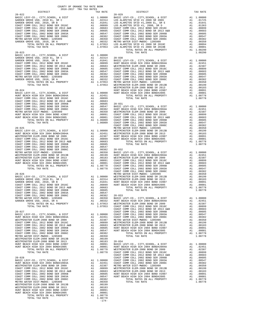| COUNTY OF ORANGE TAX RATE BOOK<br>$2016-2017\begin{array}{l} \multicolumn{1}{c}{\begin{tabular}{c} \multicolumn{1}{c}{\textbf{1.A}}\end{tabular}}\end{array}}\begin{tabular}{l} \multicolumn{1}{c}{\textbf{1.A}}\end{tabular}}\end{tabular}\begin{tabular}{l} \multicolumn{1}{c}{\textbf{1.A}}\end{tabular}}\end{tabular}\label{tab:2B}$ DISTRICT |                    |            |          |
|---------------------------------------------------------------------------------------------------------------------------------------------------------------------------------------------------------------------------------------------------------------------------------------------------------------------------------------------------|--------------------|------------|----------|
|                                                                                                                                                                                                                                                                                                                                                   | TAX RATE           | DISTRICT   | TAX RATE |
| $20 - 022$                                                                                                                                                                                                                                                                                                                                        |                    | $20 - 029$ |          |
|                                                                                                                                                                                                                                                                                                                                                   |                    |            |          |
|                                                                                                                                                                                                                                                                                                                                                   |                    |            |          |
|                                                                                                                                                                                                                                                                                                                                                   |                    |            |          |
|                                                                                                                                                                                                                                                                                                                                                   |                    |            |          |
|                                                                                                                                                                                                                                                                                                                                                   |                    |            |          |
|                                                                                                                                                                                                                                                                                                                                                   |                    |            |          |
|                                                                                                                                                                                                                                                                                                                                                   |                    |            |          |
|                                                                                                                                                                                                                                                                                                                                                   |                    |            |          |
|                                                                                                                                                                                                                                                                                                                                                   |                    |            |          |
|                                                                                                                                                                                                                                                                                                                                                   |                    |            |          |
|                                                                                                                                                                                                                                                                                                                                                   |                    |            |          |
|                                                                                                                                                                                                                                                                                                                                                   |                    |            |          |
|                                                                                                                                                                                                                                                                                                                                                   |                    |            |          |
|                                                                                                                                                                                                                                                                                                                                                   |                    |            |          |
|                                                                                                                                                                                                                                                                                                                                                   |                    |            |          |
|                                                                                                                                                                                                                                                                                                                                                   |                    |            |          |
|                                                                                                                                                                                                                                                                                                                                                   |                    |            |          |
|                                                                                                                                                                                                                                                                                                                                                   |                    |            |          |
|                                                                                                                                                                                                                                                                                                                                                   |                    |            |          |
|                                                                                                                                                                                                                                                                                                                                                   |                    |            |          |
|                                                                                                                                                                                                                                                                                                                                                   |                    |            |          |
|                                                                                                                                                                                                                                                                                                                                                   |                    |            |          |
|                                                                                                                                                                                                                                                                                                                                                   |                    |            |          |
|                                                                                                                                                                                                                                                                                                                                                   |                    |            |          |
|                                                                                                                                                                                                                                                                                                                                                   |                    |            |          |
|                                                                                                                                                                                                                                                                                                                                                   |                    |            |          |
|                                                                                                                                                                                                                                                                                                                                                   |                    |            |          |
|                                                                                                                                                                                                                                                                                                                                                   |                    |            |          |
|                                                                                                                                                                                                                                                                                                                                                   |                    |            |          |
|                                                                                                                                                                                                                                                                                                                                                   |                    |            |          |
|                                                                                                                                                                                                                                                                                                                                                   |                    |            |          |
|                                                                                                                                                                                                                                                                                                                                                   |                    |            |          |
|                                                                                                                                                                                                                                                                                                                                                   |                    |            |          |
|                                                                                                                                                                                                                                                                                                                                                   |                    |            |          |
|                                                                                                                                                                                                                                                                                                                                                   |                    |            |          |
|                                                                                                                                                                                                                                                                                                                                                   |                    |            |          |
|                                                                                                                                                                                                                                                                                                                                                   |                    |            |          |
|                                                                                                                                                                                                                                                                                                                                                   |                    |            |          |
|                                                                                                                                                                                                                                                                                                                                                   |                    |            |          |
|                                                                                                                                                                                                                                                                                                                                                   |                    |            |          |
|                                                                                                                                                                                                                                                                                                                                                   |                    |            |          |
|                                                                                                                                                                                                                                                                                                                                                   |                    |            |          |
|                                                                                                                                                                                                                                                                                                                                                   |                    |            |          |
|                                                                                                                                                                                                                                                                                                                                                   |                    |            |          |
|                                                                                                                                                                                                                                                                                                                                                   |                    |            |          |
|                                                                                                                                                                                                                                                                                                                                                   |                    |            |          |
|                                                                                                                                                                                                                                                                                                                                                   |                    |            |          |
|                                                                                                                                                                                                                                                                                                                                                   |                    |            |          |
|                                                                                                                                                                                                                                                                                                                                                   |                    |            |          |
|                                                                                                                                                                                                                                                                                                                                                   |                    |            |          |
|                                                                                                                                                                                                                                                                                                                                                   |                    |            |          |
|                                                                                                                                                                                                                                                                                                                                                   |                    |            |          |
|                                                                                                                                                                                                                                                                                                                                                   |                    |            |          |
|                                                                                                                                                                                                                                                                                                                                                   |                    |            |          |
|                                                                                                                                                                                                                                                                                                                                                   |                    |            |          |
|                                                                                                                                                                                                                                                                                                                                                   |                    |            |          |
|                                                                                                                                                                                                                                                                                                                                                   |                    |            |          |
|                                                                                                                                                                                                                                                                                                                                                   |                    |            |          |
|                                                                                                                                                                                                                                                                                                                                                   |                    |            |          |
|                                                                                                                                                                                                                                                                                                                                                   |                    |            |          |
|                                                                                                                                                                                                                                                                                                                                                   |                    |            |          |
|                                                                                                                                                                                                                                                                                                                                                   |                    |            |          |
|                                                                                                                                                                                                                                                                                                                                                   |                    |            |          |
|                                                                                                                                                                                                                                                                                                                                                   |                    |            |          |
|                                                                                                                                                                                                                                                                                                                                                   |                    |            |          |
|                                                                                                                                                                                                                                                                                                                                                   |                    |            |          |
|                                                                                                                                                                                                                                                                                                                                                   |                    |            |          |
|                                                                                                                                                                                                                                                                                                                                                   |                    |            |          |
|                                                                                                                                                                                                                                                                                                                                                   |                    |            |          |
|                                                                                                                                                                                                                                                                                                                                                   |                    |            |          |
|                                                                                                                                                                                                                                                                                                                                                   |                    |            |          |
|                                                                                                                                                                                                                                                                                                                                                   |                    |            |          |
|                                                                                                                                                                                                                                                                                                                                                   |                    |            |          |
|                                                                                                                                                                                                                                                                                                                                                   |                    |            |          |
|                                                                                                                                                                                                                                                                                                                                                   |                    |            |          |
|                                                                                                                                                                                                                                                                                                                                                   |                    |            |          |
|                                                                                                                                                                                                                                                                                                                                                   |                    |            |          |
|                                                                                                                                                                                                                                                                                                                                                   | $1.08778$<br>-174- |            |          |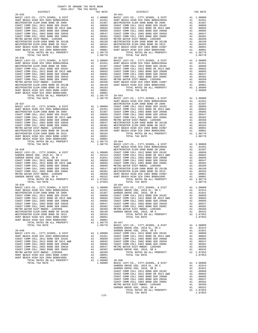| BASIC LEVI-CU., CIII, SCHOOL, & DISI<br>HUNT BEACH HIGH SCH 2004 BOND#2004A  | A1 .00000 BASIC LINE<br>A1 .02451 HUNT BE<br>A1 .02451 HUNT BE<br>A1 .00899 COAST C<br>A1 .00663 COAST C<br>A1 .00665 COAST C<br>A1 .00562 COAST C<br>A1 .00382 COAST C<br>A1 .00382 COAST C<br>A1 .00382 METMIN<br>A1 .00199 MESTMIN<br>A1 .00091 H |                                                                                                                                                                                                                                                                                                                                                                                                                                                                                                                       |            |
|------------------------------------------------------------------------------|------------------------------------------------------------------------------------------------------------------------------------------------------------------------------------------------------------------------------------------------------|-----------------------------------------------------------------------------------------------------------------------------------------------------------------------------------------------------------------------------------------------------------------------------------------------------------------------------------------------------------------------------------------------------------------------------------------------------------------------------------------------------------------------|------------|
| WESTMINSTER ELEM-2008 BOND SR 2009                                           |                                                                                                                                                                                                                                                      |                                                                                                                                                                                                                                                                                                                                                                                                                                                                                                                       |            |
| COAST COMM COLL 2012 BOND SER 2016C                                          |                                                                                                                                                                                                                                                      |                                                                                                                                                                                                                                                                                                                                                                                                                                                                                                                       |            |
| COAST COMM COLL 2012 BOND SR 2013 A&B                                        |                                                                                                                                                                                                                                                      |                                                                                                                                                                                                                                                                                                                                                                                                                                                                                                                       |            |
| COAST COMM COLL 2002 BOND SER 2006B                                          |                                                                                                                                                                                                                                                      |                                                                                                                                                                                                                                                                                                                                                                                                                                                                                                                       |            |
| COAST COMM COLL 2002 BOND SER 2003A                                          |                                                                                                                                                                                                                                                      |                                                                                                                                                                                                                                                                                                                                                                                                                                                                                                                       |            |
| COAST COMM COLL 2002 BOND SER 2006C                                          |                                                                                                                                                                                                                                                      |                                                                                                                                                                                                                                                                                                                                                                                                                                                                                                                       |            |
| METRO WATER DIST-MWDOC- 1205999                                              |                                                                                                                                                                                                                                                      |                                                                                                                                                                                                                                                                                                                                                                                                                                                                                                                       |            |
| WESTMINSTER ELEM-2008 BOND SR 2013B                                          |                                                                                                                                                                                                                                                      |                                                                                                                                                                                                                                                                                                                                                                                                                                                                                                                       |            |
| WESTMINSTER ELEM-2008 BOND SR 2013                                           |                                                                                                                                                                                                                                                      |                                                                                                                                                                                                                                                                                                                                                                                                                                                                                                                       |            |
| HUNT BEACH HIGH SCH 2004 BOND #2007                                          |                                                                                                                                                                                                                                                      |                                                                                                                                                                                                                                                                                                                                                                                                                                                                                                                       |            |
| HUNT BEACH HIGH SCH 2004 BOND#2005                                           |                                                                                                                                                                                                                                                      |                                                                                                                                                                                                                                                                                                                                                                                                                                                                                                                       |            |
| TOTAL RATES ON ALL PROPERTY                                                  |                                                                                                                                                                                                                                                      | A1 1.08778                                                                                                                                                                                                                                                                                                                                                                                                                                                                                                            |            |
| TOTAL TAX RATE<br>$20 - 036$                                                 |                                                                                                                                                                                                                                                      | 1.08778                                                                                                                                                                                                                                                                                                                                                                                                                                                                                                               |            |
|                                                                              |                                                                                                                                                                                                                                                      |                                                                                                                                                                                                                                                                                                                                                                                                                                                                                                                       | $20 - 042$ |
| BASIC LEVY-CO., CITY, SCHOOL, & DIST<br>HUNT BEACH HIGH SCH 2004 BOND#2004A  |                                                                                                                                                                                                                                                      |                                                                                                                                                                                                                                                                                                                                                                                                                                                                                                                       |            |
| WESTMINSTER ELEM-2008 BOND SR 2009                                           |                                                                                                                                                                                                                                                      |                                                                                                                                                                                                                                                                                                                                                                                                                                                                                                                       |            |
| COAST COMM COLL 2012 BOND SER 2016C                                          |                                                                                                                                                                                                                                                      |                                                                                                                                                                                                                                                                                                                                                                                                                                                                                                                       |            |
|                                                                              |                                                                                                                                                                                                                                                      |                                                                                                                                                                                                                                                                                                                                                                                                                                                                                                                       |            |
| COAST COMM COLL 2012 BOND SR 2013 A&B COAST COMM COLL 2002 BOND SER 2006B    |                                                                                                                                                                                                                                                      |                                                                                                                                                                                                                                                                                                                                                                                                                                                                                                                       |            |
| COAST COMM COLL 2002 BOND SER 2003A                                          |                                                                                                                                                                                                                                                      |                                                                                                                                                                                                                                                                                                                                                                                                                                                                                                                       |            |
| COAST COMM COLL 2002 BOND SER 2006C                                          |                                                                                                                                                                                                                                                      |                                                                                                                                                                                                                                                                                                                                                                                                                                                                                                                       |            |
| METRO WATER DIST-MWDOC- 1205999                                              |                                                                                                                                                                                                                                                      |                                                                                                                                                                                                                                                                                                                                                                                                                                                                                                                       |            |
| WESTMINSTER ELEM-2008 BOND SR 2013B                                          |                                                                                                                                                                                                                                                      |                                                                                                                                                                                                                                                                                                                                                                                                                                                                                                                       |            |
| WESTMINSTER ELEM-2008 BOND SR 2013                                           |                                                                                                                                                                                                                                                      |                                                                                                                                                                                                                                                                                                                                                                                                                                                                                                                       |            |
| HUNT BEACH HIGH SCH 2004 BOND #2007                                          |                                                                                                                                                                                                                                                      |                                                                                                                                                                                                                                                                                                                                                                                                                                                                                                                       |            |
| HUNT BEACH HIGH SCH 2004 BOND#2005                                           |                                                                                                                                                                                                                                                      |                                                                                                                                                                                                                                                                                                                                                                                                                                                                                                                       |            |
| TOTAL RATES ON ALL PROPERTY                                                  |                                                                                                                                                                                                                                                      | $\begin{tabular}{ll} 1.08778 & \quad 20-043 \\ 1.08778 & \quad BASIC \ \end{tabular}$                                                                                                                                                                                                                                                                                                                                                                                                                                 |            |
| TOTAL TAX RATE                                                               |                                                                                                                                                                                                                                                      |                                                                                                                                                                                                                                                                                                                                                                                                                                                                                                                       |            |
|                                                                              |                                                                                                                                                                                                                                                      |                                                                                                                                                                                                                                                                                                                                                                                                                                                                                                                       | HUNT BE    |
| $20 - 037$                                                                   |                                                                                                                                                                                                                                                      | WESTMIN WESTMIN WESTMIN 20067 COAST COAST COAST COAST COAST COAST COAST COAST COAST COAST COAST COAST COAST COAST COAST COAST COAST COAST COAST COAST COAST COAST COAST COAST COAST COAST COAST COAST COAST COAST COAST COAST                                                                                                                                                                                                                                                                                         | WESTMIN    |
| BASIC LEVY-CO., CITY, SCHOOL, & DIST<br>HUNT BEACH HIGH SCH 2004 BOND#2004A  |                                                                                                                                                                                                                                                      |                                                                                                                                                                                                                                                                                                                                                                                                                                                                                                                       |            |
|                                                                              |                                                                                                                                                                                                                                                      |                                                                                                                                                                                                                                                                                                                                                                                                                                                                                                                       |            |
| WESTMINSTER ELEM-2008 BOND SR 2009                                           |                                                                                                                                                                                                                                                      |                                                                                                                                                                                                                                                                                                                                                                                                                                                                                                                       |            |
| COAST COMM COLL 2012 BOND SER 2016C                                          |                                                                                                                                                                                                                                                      |                                                                                                                                                                                                                                                                                                                                                                                                                                                                                                                       |            |
| COAST COMM COLL 2012 BOND SR 2013 A&B                                        |                                                                                                                                                                                                                                                      |                                                                                                                                                                                                                                                                                                                                                                                                                                                                                                                       |            |
| COAST COMM COLL 2002 BOND SER 2006B                                          |                                                                                                                                                                                                                                                      |                                                                                                                                                                                                                                                                                                                                                                                                                                                                                                                       |            |
| COAST COMM COLL 2002 BOND SER 2003A                                          |                                                                                                                                                                                                                                                      |                                                                                                                                                                                                                                                                                                                                                                                                                                                                                                                       |            |
| COAST COMM COLL 2002 BOND SER 2006C<br>METRO WATER DIST-MWDOC- 1205999       |                                                                                                                                                                                                                                                      |                                                                                                                                                                                                                                                                                                                                                                                                                                                                                                                       |            |
|                                                                              |                                                                                                                                                                                                                                                      |                                                                                                                                                                                                                                                                                                                                                                                                                                                                                                                       |            |
| WESTMINSTER ELEM-2008 BOND SR 2013B<br>WESTMINSTER ELEM-2008 BOND SR 2013    |                                                                                                                                                                                                                                                      |                                                                                                                                                                                                                                                                                                                                                                                                                                                                                                                       |            |
| HUNT BEACH HIGH SCH 2004 BOND #2007                                          |                                                                                                                                                                                                                                                      |                                                                                                                                                                                                                                                                                                                                                                                                                                                                                                                       |            |
| HUNT BEACH HIGH SCH 2004 BOND#2005                                           |                                                                                                                                                                                                                                                      |                                                                                                                                                                                                                                                                                                                                                                                                                                                                                                                       |            |
| TOTAL RATES ON ALL PROPERTY                                                  |                                                                                                                                                                                                                                                      |                                                                                                                                                                                                                                                                                                                                                                                                                                                                                                                       |            |
| TOTAL TAX RATE                                                               |                                                                                                                                                                                                                                                      |                                                                                                                                                                                                                                                                                                                                                                                                                                                                                                                       |            |
|                                                                              |                                                                                                                                                                                                                                                      |                                                                                                                                                                                                                                                                                                                                                                                                                                                                                                                       | HUNT BE    |
| $20 - 038$                                                                   |                                                                                                                                                                                                                                                      | HUNT BE<br>A1 1.00000 COAST C<br>A1 .02314 COAST C<br>A1 .01841 COAST C<br>A1 .01841 COAST C<br>A1 .00699 COAST C<br>A1 .00605 COAST C<br>A1 .00605 METRO W<br>A1 .00320 WESTMIN<br>A1 .00332 HUNT BE<br>A1 .00332 HUNT BE<br>A1 .00332 HUNT BE<br>A1                                                                                                                                                                                                                                                                 |            |
| BASIC LEVY-CO., CITY, SCHOOL, & DIST                                         |                                                                                                                                                                                                                                                      |                                                                                                                                                                                                                                                                                                                                                                                                                                                                                                                       |            |
| GARDEN GROVE USD, 2010 EL, SR C                                              |                                                                                                                                                                                                                                                      |                                                                                                                                                                                                                                                                                                                                                                                                                                                                                                                       |            |
| GARDEN GROVE USD, 2010, SR B                                                 |                                                                                                                                                                                                                                                      |                                                                                                                                                                                                                                                                                                                                                                                                                                                                                                                       |            |
| COAST COMM COLL 2012 BOND SER 2016C                                          |                                                                                                                                                                                                                                                      |                                                                                                                                                                                                                                                                                                                                                                                                                                                                                                                       |            |
| COAST COMM COLL 2012 BOND SR 2013 A&B                                        |                                                                                                                                                                                                                                                      |                                                                                                                                                                                                                                                                                                                                                                                                                                                                                                                       |            |
| COAST COMM COLL 2002 BOND SER 2006B                                          |                                                                                                                                                                                                                                                      |                                                                                                                                                                                                                                                                                                                                                                                                                                                                                                                       |            |
| COAST COMM COLL 2002 BOND SER 2003A                                          |                                                                                                                                                                                                                                                      |                                                                                                                                                                                                                                                                                                                                                                                                                                                                                                                       |            |
| COAST COMM COLL 2002 BOND SER 2006C                                          |                                                                                                                                                                                                                                                      |                                                                                                                                                                                                                                                                                                                                                                                                                                                                                                                       |            |
| METRO WATER DIST-MWDOC- 1205999                                              |                                                                                                                                                                                                                                                      |                                                                                                                                                                                                                                                                                                                                                                                                                                                                                                                       |            |
| GARDEN GROVE USD, 2010, SR A                                                 |                                                                                                                                                                                                                                                      |                                                                                                                                                                                                                                                                                                                                                                                                                                                                                                                       |            |
| TOTAL RATES ON ALL PROPERTY                                                  |                                                                                                                                                                                                                                                      | A1 1.07953                                                                                                                                                                                                                                                                                                                                                                                                                                                                                                            |            |
| TOTAL TAX RATE                                                               |                                                                                                                                                                                                                                                      | 1.07953                                                                                                                                                                                                                                                                                                                                                                                                                                                                                                               |            |
| $20 - 039$                                                                   | 20-046<br>A1 1.00000 BASIC L<br>A1 .02451 GARDEN<br>A1 .02387 GARDEN<br>A1 .00689 COAST C<br>A1 .00605 COAST C<br>A1 .00605 COAST C<br>A1 .00605 COAST C<br>A1 .00605 COAST C                                                                        |                                                                                                                                                                                                                                                                                                                                                                                                                                                                                                                       | $20 - 046$ |
| BASIC LEVY-CO., CITY, SCHOOL, & DIST<br>HUNT BEACH HIGH SCH 2004 BOND#2004A  |                                                                                                                                                                                                                                                      |                                                                                                                                                                                                                                                                                                                                                                                                                                                                                                                       |            |
| WESTMINSTER ELEM-2008 BOND SR 2009                                           |                                                                                                                                                                                                                                                      |                                                                                                                                                                                                                                                                                                                                                                                                                                                                                                                       |            |
|                                                                              |                                                                                                                                                                                                                                                      |                                                                                                                                                                                                                                                                                                                                                                                                                                                                                                                       |            |
| COAST COMM COLL 2012 BOND SER 2016C<br>COAST COMM COLL 2012 BOND SR 2013 A&B |                                                                                                                                                                                                                                                      |                                                                                                                                                                                                                                                                                                                                                                                                                                                                                                                       |            |
| COAST COMM COLL 2002 BOND SER 2006B                                          |                                                                                                                                                                                                                                                      |                                                                                                                                                                                                                                                                                                                                                                                                                                                                                                                       |            |
| COAST COMM COLL 2002 BOND SER 2003A                                          |                                                                                                                                                                                                                                                      |                                                                                                                                                                                                                                                                                                                                                                                                                                                                                                                       |            |
| COAST COMM COLL 2002 BOND SER 2006C                                          | A1                                                                                                                                                                                                                                                   | .00382                                                                                                                                                                                                                                                                                                                                                                                                                                                                                                                | COAST C    |
| METRO WATER DIST-MWDOC- 1205999                                              | A1                                                                                                                                                                                                                                                   |                                                                                                                                                                                                                                                                                                                                                                                                                                                                                                                       |            |
| WESTMINSTER ELEM-2008 BOND SR 2013B                                          |                                                                                                                                                                                                                                                      | ت دهمان ـ 00382<br>-00350 METRO W.<br>-00199 GARDEN<br>A1 .00199                                                                                                                                                                                                                                                                                                                                                                                                                                                      |            |
| WESTMINSTER ELEM-2008 BOND SR 2013                                           | A1                                                                                                                                                                                                                                                   | .00183                                                                                                                                                                                                                                                                                                                                                                                                                                                                                                                |            |
| HUNT BEACH HIGH SCH 2004 BOND #2007                                          | A1                                                                                                                                                                                                                                                   | .00091                                                                                                                                                                                                                                                                                                                                                                                                                                                                                                                |            |
| HUNT BEACH HIGH SCH 2004 BOND#2005                                           | A1                                                                                                                                                                                                                                                   | .00001                                                                                                                                                                                                                                                                                                                                                                                                                                                                                                                |            |
| TOTAL RATES ON ALL PROPERTY                                                  |                                                                                                                                                                                                                                                      | A1 1.08778                                                                                                                                                                                                                                                                                                                                                                                                                                                                                                            | $20 - 047$ |
| TOTAL TAX RATE                                                               |                                                                                                                                                                                                                                                      | 1.08778                                                                                                                                                                                                                                                                                                                                                                                                                                                                                                               | BASIC L    |
|                                                                              |                                                                                                                                                                                                                                                      |                                                                                                                                                                                                                                                                                                                                                                                                                                                                                                                       | GARDEN     |
| $20 - 040$                                                                   |                                                                                                                                                                                                                                                      |                                                                                                                                                                                                                                                                                                                                                                                                                                                                                                                       | GARDEN     |
| BASIC LEVY-CO., CITY, SCHOOL, & DIST                                         |                                                                                                                                                                                                                                                      | A1 1.00000 COAST C<br>A1 .02451 COAST C                                                                                                                                                                                                                                                                                                                                                                                                                                                                               |            |
| HUNT BEACH HIGH SCH 2004 BOND#2004A                                          |                                                                                                                                                                                                                                                      | A1.02451                                                                                                                                                                                                                                                                                                                                                                                                                                                                                                              |            |
| COAST COMM COLL 2012 BOND SER 2016C                                          | A1                                                                                                                                                                                                                                                   | .00899                                                                                                                                                                                                                                                                                                                                                                                                                                                                                                                | COAST C    |
| COAST COMM COLL 2012 BOND SR 2013 A&B                                        | A1                                                                                                                                                                                                                                                   | .00683                                                                                                                                                                                                                                                                                                                                                                                                                                                                                                                | COAST C    |
| COAST COMM COLL 2002 BOND SER 2006B                                          | A1                                                                                                                                                                                                                                                   | .00605                                                                                                                                                                                                                                                                                                                                                                                                                                                                                                                | COAST C    |
| COAST COMM COLL 2002 BOND SER 2003A                                          |                                                                                                                                                                                                                                                      |                                                                                                                                                                                                                                                                                                                                                                                                                                                                                                                       |            |
| COAST COMM COLL 2002 BOND SER 2006C                                          |                                                                                                                                                                                                                                                      | $\begin{tabular}{ccc} \multicolumn{2}{c}{\begin{tabular}{c} $\cdots$ & $\cdots$ & $\cdots$ \\ \multicolumn{2}{c}{$\neg$ & $\cdots$ & $\cdots$ \\ $\cdots$ & $\cdots$ & $\cdots$ \\ $\cdots$ & $\cdots$ & $\cdots$ \\ $\cdots$ & $\cdots$ & $\cdots$ \\ $\cdots$ & $\cdots$ & $\cdots$ \\ $\cdots$ & $\cdots$ & $\cdots$ \\ $\cdots$ & $\cdots$ & $\cdots$ \\ $\cdots$ & $\cdots$ & $\cdots$ \\ $\cdots$ & $\cdots$ & $\cdots$ \\ $\cdots$ & $\cdots$ & $\cdots$ \\ $\cdots$ & $\cdots$ & $\cdots$ \\ $\cdots$ & $\cd$ |            |
| METRO WATER DIST-MWDOC- 1205999                                              |                                                                                                                                                                                                                                                      |                                                                                                                                                                                                                                                                                                                                                                                                                                                                                                                       |            |

| DISTRICT   | TAX RATE | DISTRICT   | TAX RATE |
|------------|----------|------------|----------|
| $20 - 035$ |          | $20 - 041$ |          |
|            |          |            |          |
|            |          |            |          |
|            |          |            |          |
|            |          |            |          |
|            |          |            |          |
|            |          |            |          |
|            |          |            |          |
|            |          |            |          |
|            |          |            |          |
|            |          |            |          |
|            |          |            |          |
|            |          |            |          |
|            |          |            |          |
|            |          |            |          |
|            |          |            |          |
|            |          |            |          |
|            |          |            |          |
|            |          |            |          |
|            |          |            |          |
|            |          |            |          |
|            |          |            |          |
|            |          |            |          |
|            |          |            |          |
|            |          |            |          |
|            |          |            |          |
|            |          |            |          |
|            |          |            |          |
|            |          |            |          |
|            |          |            |          |
|            |          |            |          |
|            |          |            |          |
|            |          |            |          |
|            |          |            |          |
|            |          |            |          |
|            |          |            |          |
|            |          |            |          |
|            |          |            |          |
|            |          |            |          |
|            |          |            |          |
|            |          |            |          |
|            |          |            |          |
|            |          |            |          |
|            |          |            |          |
|            |          |            |          |
|            |          |            |          |
|            |          |            |          |
|            |          |            |          |
|            |          |            |          |
|            |          |            |          |
|            |          |            |          |
|            |          |            |          |
|            |          |            |          |
|            |          |            |          |
|            |          |            |          |
|            |          |            |          |
|            |          |            |          |
|            |          |            |          |
|            |          |            |          |
|            |          |            |          |
|            |          |            |          |
|            |          |            |          |
|            |          |            |          |
|            |          |            |          |
|            |          |            |          |
|            |          |            |          |
|            |          |            |          |
|            |          |            |          |
|            |          |            |          |
|            |          |            |          |
|            |          |            |          |
|            |          |            |          |
|            |          |            |          |
|            |          |            |          |
|            |          |            |          |
|            |          |            |          |
|            |          |            |          |
|            |          |            |          |
|            |          |            |          |
|            |          |            |          |
|            |          |            |          |
|            |          |            |          |
|            |          |            |          |
|            |          |            |          |
|            |          |            |          |
|            |          |            |          |
|            |          |            |          |
|            |          |            |          |
|            |          |            |          |
|            |          |            |          |
|            |          |            |          |
|            |          |            |          |
|            |          |            |          |
|            |          |            |          |
|            |          |            |          |
|            |          |            |          |
|            |          |            |          |
|            |          |            |          |
|            |          |            |          |
|            |          |            |          |
|            |          |            |          |
|            |          |            |          |
|            |          |            |          |
|            |          |            |          |
|            |          |            |          |
|            |          |            |          |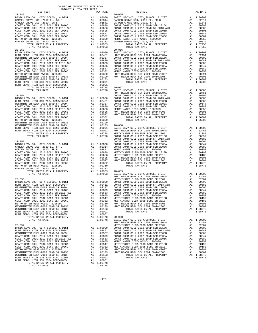| $\begin{tabular}{@{}c@{}}\hline \textbf{GADRDSN (S070 1507, 02010, 581 & 1.00332 & 20-053 & 20-059 & 20-059 & 20-059 & 20-059 & 20-059 & 20-059 & 20-059 & 20-059 & 20-059 & 20-059 & 20-059 & 20-059 & 20-059 & 20-059 & 20-059 & 20-059 & 20-059 & 20-059 & 20-059 & 20-$ |  |  |  |
|-----------------------------------------------------------------------------------------------------------------------------------------------------------------------------------------------------------------------------------------------------------------------------|--|--|--|
|                                                                                                                                                                                                                                                                             |  |  |  |
|                                                                                                                                                                                                                                                                             |  |  |  |
|                                                                                                                                                                                                                                                                             |  |  |  |
|                                                                                                                                                                                                                                                                             |  |  |  |
|                                                                                                                                                                                                                                                                             |  |  |  |
|                                                                                                                                                                                                                                                                             |  |  |  |
|                                                                                                                                                                                                                                                                             |  |  |  |
|                                                                                                                                                                                                                                                                             |  |  |  |
|                                                                                                                                                                                                                                                                             |  |  |  |
|                                                                                                                                                                                                                                                                             |  |  |  |
|                                                                                                                                                                                                                                                                             |  |  |  |

TOTAL RATES ON ALL PROPERTY A1 1.08778 TOTAL TAX RATE 1.08778

-176-

| DISTRICT   | CHINA ANI ANI INA TUSTUS | TAX RATE | DISTRICT                                                                                                                                                                                                                                                                                                | TAX RATE |
|------------|--------------------------|----------|---------------------------------------------------------------------------------------------------------------------------------------------------------------------------------------------------------------------------------------------------------------------------------------------------------|----------|
| $20 - 049$ |                          |          | $20 - 055$                                                                                                                                                                                                                                                                                              |          |
|            |                          |          |                                                                                                                                                                                                                                                                                                         |          |
|            |                          |          |                                                                                                                                                                                                                                                                                                         |          |
|            |                          |          |                                                                                                                                                                                                                                                                                                         |          |
|            |                          |          |                                                                                                                                                                                                                                                                                                         |          |
|            |                          |          |                                                                                                                                                                                                                                                                                                         |          |
|            |                          |          |                                                                                                                                                                                                                                                                                                         |          |
|            |                          |          |                                                                                                                                                                                                                                                                                                         |          |
|            |                          |          |                                                                                                                                                                                                                                                                                                         |          |
|            |                          |          |                                                                                                                                                                                                                                                                                                         |          |
|            |                          |          |                                                                                                                                                                                                                                                                                                         |          |
|            |                          |          |                                                                                                                                                                                                                                                                                                         |          |
|            |                          |          |                                                                                                                                                                                                                                                                                                         |          |
|            |                          |          |                                                                                                                                                                                                                                                                                                         |          |
|            |                          |          |                                                                                                                                                                                                                                                                                                         |          |
|            |                          |          |                                                                                                                                                                                                                                                                                                         |          |
|            |                          |          |                                                                                                                                                                                                                                                                                                         |          |
|            |                          |          |                                                                                                                                                                                                                                                                                                         |          |
|            |                          |          |                                                                                                                                                                                                                                                                                                         |          |
|            |                          |          |                                                                                                                                                                                                                                                                                                         |          |
|            |                          |          |                                                                                                                                                                                                                                                                                                         |          |
|            |                          |          |                                                                                                                                                                                                                                                                                                         |          |
|            |                          |          |                                                                                                                                                                                                                                                                                                         |          |
|            |                          |          |                                                                                                                                                                                                                                                                                                         |          |
|            |                          |          |                                                                                                                                                                                                                                                                                                         |          |
|            |                          |          |                                                                                                                                                                                                                                                                                                         |          |
|            |                          |          |                                                                                                                                                                                                                                                                                                         |          |
|            |                          |          |                                                                                                                                                                                                                                                                                                         |          |
|            |                          |          |                                                                                                                                                                                                                                                                                                         |          |
|            |                          |          |                                                                                                                                                                                                                                                                                                         |          |
|            |                          |          |                                                                                                                                                                                                                                                                                                         |          |
|            |                          |          |                                                                                                                                                                                                                                                                                                         |          |
|            |                          |          |                                                                                                                                                                                                                                                                                                         |          |
|            |                          |          |                                                                                                                                                                                                                                                                                                         |          |
|            |                          |          |                                                                                                                                                                                                                                                                                                         |          |
|            |                          |          |                                                                                                                                                                                                                                                                                                         |          |
|            |                          |          |                                                                                                                                                                                                                                                                                                         |          |
|            |                          |          |                                                                                                                                                                                                                                                                                                         |          |
|            |                          |          |                                                                                                                                                                                                                                                                                                         |          |
|            |                          |          |                                                                                                                                                                                                                                                                                                         |          |
|            |                          |          |                                                                                                                                                                                                                                                                                                         |          |
|            |                          |          |                                                                                                                                                                                                                                                                                                         |          |
|            |                          |          |                                                                                                                                                                                                                                                                                                         |          |
|            |                          |          |                                                                                                                                                                                                                                                                                                         |          |
|            |                          |          |                                                                                                                                                                                                                                                                                                         |          |
|            |                          |          |                                                                                                                                                                                                                                                                                                         |          |
|            |                          |          |                                                                                                                                                                                                                                                                                                         |          |
|            |                          |          |                                                                                                                                                                                                                                                                                                         |          |
|            |                          |          |                                                                                                                                                                                                                                                                                                         |          |
|            |                          |          |                                                                                                                                                                                                                                                                                                         |          |
|            |                          |          |                                                                                                                                                                                                                                                                                                         |          |
|            |                          |          |                                                                                                                                                                                                                                                                                                         |          |
|            |                          |          |                                                                                                                                                                                                                                                                                                         |          |
|            |                          |          |                                                                                                                                                                                                                                                                                                         |          |
|            |                          |          |                                                                                                                                                                                                                                                                                                         |          |
|            |                          |          |                                                                                                                                                                                                                                                                                                         |          |
|            |                          |          |                                                                                                                                                                                                                                                                                                         |          |
|            |                          |          |                                                                                                                                                                                                                                                                                                         |          |
|            |                          |          |                                                                                                                                                                                                                                                                                                         |          |
|            |                          |          |                                                                                                                                                                                                                                                                                                         |          |
|            |                          |          |                                                                                                                                                                                                                                                                                                         |          |
|            |                          |          |                                                                                                                                                                                                                                                                                                         |          |
|            |                          |          |                                                                                                                                                                                                                                                                                                         |          |
|            |                          |          |                                                                                                                                                                                                                                                                                                         |          |
|            |                          |          |                                                                                                                                                                                                                                                                                                         |          |
|            |                          |          |                                                                                                                                                                                                                                                                                                         |          |
|            |                          |          |                                                                                                                                                                                                                                                                                                         |          |
|            |                          |          |                                                                                                                                                                                                                                                                                                         |          |
|            |                          |          |                                                                                                                                                                                                                                                                                                         |          |
|            |                          |          |                                                                                                                                                                                                                                                                                                         |          |
|            |                          |          |                                                                                                                                                                                                                                                                                                         |          |
|            |                          |          |                                                                                                                                                                                                                                                                                                         |          |
|            |                          |          | $\begin{tabular}{l c c c c c} \hline \textsc{HUT} & \textsc{BCTA} & \textsc{HUT} & \textsc{BCTA} & \textsc{BCTB} & \textsc{A1} & 0.0001 & 0.0010 & 0.0011 & 0.00001 & 0.0001 & 0.0001 & 0.0001 & 0.0001 & 0.0001 & 0.0001 & 0.0001 & 0.0001 & 0.0001 & 0.0001 & 0.0001 & 0.0001 & 0.0001 & 0.0001 & 0.$ |          |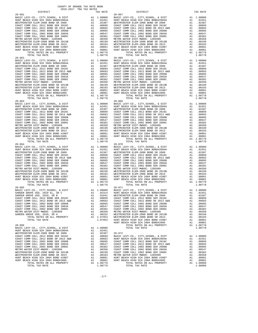TOTAL RATES ON COAST COMM COLL 2002 BOND SER 2003A<br>COAST COMM COLL 2002 BOND SER 2006C TOTAL RATES ON ALL PROPERTY A1 1.08778 TOTAL RATES ON ALL PROPERTY A1 1.06009 TOTAL TAX RATE 1.08778 TOTAL TAX RATE 1.06009

| DISTRICT | TAX RATE | DISTRICT | TAX RATE |
|----------|----------|----------|----------|
|          |          |          |          |
|          |          |          |          |
|          |          |          |          |
|          |          |          |          |
|          |          |          |          |
|          |          |          |          |
|          |          |          |          |
|          |          |          |          |
|          |          |          |          |
|          |          |          |          |
|          |          |          |          |
|          |          |          |          |
|          |          |          |          |
|          |          |          |          |
|          |          |          |          |
|          |          |          |          |
|          |          |          |          |
|          |          |          |          |
|          |          |          |          |
|          |          |          |          |
|          |          |          |          |
|          |          |          |          |
|          |          |          |          |
|          |          |          |          |
|          |          |          |          |
|          |          |          |          |
|          |          |          |          |
|          |          |          |          |
|          |          |          |          |
|          |          |          |          |
|          |          |          |          |
|          |          |          |          |
|          |          |          |          |
|          |          |          |          |
|          |          |          |          |
|          |          |          |          |
|          |          |          |          |
|          |          |          |          |
|          |          |          |          |
|          |          |          |          |
|          |          |          |          |
|          |          |          |          |
|          |          |          |          |
|          |          |          |          |
|          |          |          |          |
|          |          |          |          |
|          |          |          |          |
|          |          |          |          |
|          |          |          |          |
|          |          |          |          |
|          |          |          |          |
|          |          |          |          |
|          |          |          |          |
|          |          |          |          |
|          |          |          |          |
|          |          |          |          |
|          |          |          |          |
|          |          |          |          |
|          |          |          |          |
|          |          |          |          |
|          |          |          |          |
|          |          |          |          |
|          |          |          |          |
|          |          |          |          |
|          |          |          |          |
|          |          |          |          |
|          |          |          |          |
|          |          |          |          |
|          |          |          |          |
|          |          |          |          |
|          |          |          |          |
|          |          |          |          |
|          |          |          |          |
|          |          |          |          |
|          |          |          |          |
|          |          |          |          |
|          |          |          |          |
|          |          |          |          |
|          |          |          |          |
|          |          |          |          |
|          |          |          |          |
|          |          |          |          |
|          |          |          |          |
|          |          |          |          |
|          |          |          |          |
|          |          |          |          |
|          |          |          |          |
|          |          |          |          |
|          |          |          |          |
|          |          |          |          |
|          |          |          |          |
|          |          |          |          |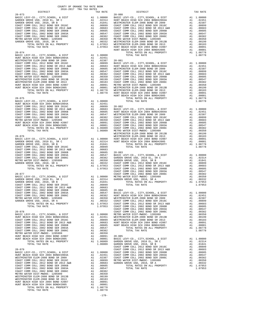| DISTRICT | TAX RATE | DISTRICT | TAX RATE |
|----------|----------|----------|----------|
|          |          |          |          |
|          |          |          |          |
|          |          |          |          |
|          |          |          |          |
|          |          |          |          |
|          |          |          |          |
|          |          |          |          |
|          |          |          |          |
|          |          |          |          |
|          |          |          |          |
|          |          |          |          |
|          |          |          |          |
|          |          |          |          |
|          |          |          |          |
|          |          |          |          |
|          |          |          |          |
|          |          |          |          |
|          |          |          |          |
|          |          |          |          |
|          |          |          |          |
|          |          |          |          |
|          |          |          |          |
|          |          |          |          |
|          |          |          |          |
|          |          |          |          |
|          |          |          |          |
|          |          |          |          |
|          |          |          |          |
|          |          |          |          |
|          |          |          |          |
|          |          |          |          |
|          |          |          |          |
|          |          |          |          |
|          |          |          |          |
|          |          |          |          |
|          |          |          |          |
|          |          |          |          |
|          |          |          |          |
|          |          |          |          |
|          |          |          |          |
|          |          |          |          |
|          |          |          |          |
|          |          |          |          |
|          |          |          |          |
|          |          |          |          |
|          |          |          |          |
|          |          |          |          |
|          |          |          |          |
|          |          |          |          |
|          |          |          |          |
|          |          |          |          |
|          |          |          |          |
|          |          |          |          |
|          |          |          |          |
|          |          |          |          |
|          |          |          |          |
|          |          |          |          |
|          |          |          |          |
|          |          |          |          |
|          |          |          |          |
|          |          |          |          |
|          |          |          |          |
|          |          |          |          |
|          |          |          |          |
|          |          |          |          |
|          |          |          |          |
|          |          |          |          |
|          |          |          |          |
|          |          |          |          |
|          |          |          |          |
|          |          |          |          |
|          |          |          |          |
|          |          |          |          |
|          |          |          |          |
|          |          |          |          |
|          |          |          |          |
|          |          |          |          |
|          |          |          |          |
|          |          |          |          |

-178-

| : RATE         | DISTRICT                                                                                                                                                                                                                                    | TAX RAT                                                            |
|----------------|---------------------------------------------------------------------------------------------------------------------------------------------------------------------------------------------------------------------------------------------|--------------------------------------------------------------------|
| 00000          | $20 - 080$<br>BASIC LEVY-CO., CITY, SCHOOL, & DIST                                                                                                                                                                                          | A1 1.0000                                                          |
| 02314          | HUNT BEACH HIGH SCH 2004 BOND#2004A                                                                                                                                                                                                         | A1<br>.0245                                                        |
| 01841          | WESTMINSTER ELEM-2008 BOND SR 2009                                                                                                                                                                                                          | A1<br>.0238                                                        |
| 00899          | COAST COMM COLL 2012 BOND SER 2016C                                                                                                                                                                                                         | A1<br>.0089<br>.0068<br>A1                                         |
|                | COAST COMM COLL 2012 BOND SR 2013 A&B<br>COAST COMM COLL 2002 BOND SER 2006B                                                                                                                                                                | A1<br>.0060                                                        |
|                |                                                                                                                                                                                                                                             | A1<br>.0054                                                        |
|                |                                                                                                                                                                                                                                             | A1<br>.0038                                                        |
|                |                                                                                                                                                                                                                                             | A1<br>.0035<br>A1<br>.0019                                         |
|                |                                                                                                                                                                                                                                             | A1<br>.0018                                                        |
|                |                                                                                                                                                                                                                                             | .0009<br>A1                                                        |
|                |                                                                                                                                                                                                                                             | A1<br>.0000                                                        |
|                |                                                                                                                                                                                                                                             | A1<br>1.0877<br>1.0877                                             |
| 02451          |                                                                                                                                                                                                                                             |                                                                    |
| 02387          | $20 - 081$                                                                                                                                                                                                                                  |                                                                    |
|                |                                                                                                                                                                                                                                             | A1<br>1.0000<br>A1<br>.0245                                        |
|                |                                                                                                                                                                                                                                             | A1<br>.0238                                                        |
|                |                                                                                                                                                                                                                                             | A1<br>.0089                                                        |
|                |                                                                                                                                                                                                                                             | A1<br>.0068                                                        |
|                |                                                                                                                                                                                                                                             | A1<br>.0060<br>A1<br>.0054                                         |
|                |                                                                                                                                                                                                                                             | .0038                                                              |
|                |                                                                                                                                                                                                                                             | $\begin{array}{c} \mathtt{Al} \\ \mathtt{Al} \end{array}$<br>.0035 |
|                |                                                                                                                                                                                                                                             | A1<br>.0019<br>A1                                                  |
|                |                                                                                                                                                                                                                                             | .0018<br>A1<br>.0009                                               |
|                | HUNT BEACH HIGH SCH 2004 BOND#2005                                                                                                                                                                                                          | A1<br>.0000                                                        |
|                | TOTAL RATES ON ALL PROPERTY                                                                                                                                                                                                                 | A1 1.0877                                                          |
| 00000<br>02451 | TOTAL TAX RATE                                                                                                                                                                                                                              | 1.0877                                                             |
|                |                                                                                                                                                                                                                                             |                                                                    |
|                |                                                                                                                                                                                                                                             | A1<br>1.0000                                                       |
|                |                                                                                                                                                                                                                                             | A1<br>.0245<br>.0238                                               |
|                |                                                                                                                                                                                                                                             | A1<br>A1<br>.0089                                                  |
|                |                                                                                                                                                                                                                                             | A1<br>.0068                                                        |
|                |                                                                                                                                                                                                                                             | A1<br>.0060                                                        |
|                | 02451<br>00899 20-082<br>00683 BASIC LEVY-CO., CITY, SCHOOL, & DIST<br>00663 HUNT BEACH HIGH SCH 2004 BOND#2004A<br>006547 WESTMINSTER ELEM-2008 BOND SR 2009<br>00382 COAST COMM COLL 2012 BOND SR 2016<br>00380 COAST COMM COLL 2012 BO   | A1<br>.0054<br>A1<br>.0038                                         |
|                |                                                                                                                                                                                                                                             | A1<br>.0035                                                        |
|                | WESTMINSTER ELEM-2008 BOND SR 2013B                                                                                                                                                                                                         | A1<br>.0019                                                        |
|                | WESTMINSTER ELEM-2008 BOND SR 2013                                                                                                                                                                                                          | A1<br>.0018                                                        |
| 00000<br>02314 | HUNT BEACH HIGH SCH 2004 BOND #2007<br>HUNT BEACH HIGH SCH 2004 BOND#2005                                                                                                                                                                   | A1<br>.0009<br>.0000<br>A1                                         |
| 01841          | TOTAL RATES ON ALL PROPERTY                                                                                                                                                                                                                 | 1.0877<br>A1                                                       |
| 00899          | TOTAL TAX RATE                                                                                                                                                                                                                              | 1.0877                                                             |
| 00683          |                                                                                                                                                                                                                                             |                                                                    |
|                | 00665<br>00665<br>20-083<br>00547 BASIC LEVY-CO., CITY, SCHOOL, & DIST<br>00382 GARDEN GROVE USD, 2010 EL, SR C<br>00350 GARDEN GROVE USD, 2010, SR B<br>00332 COAST COMM COLL 2012 BOND SR 2015<br>07953 COAST COMM COLL 2012 BOND SR 2013 | A1<br>1.0000                                                       |
|                |                                                                                                                                                                                                                                             | A1<br>.0231                                                        |
|                |                                                                                                                                                                                                                                             | A1<br>.0184                                                        |
|                |                                                                                                                                                                                                                                             | .0089<br>A1<br>A1<br>.0068                                         |
|                |                                                                                                                                                                                                                                             | A1<br>.0060                                                        |
|                | COAST COMM COLL 2002 BOND SER 2003A                                                                                                                                                                                                         | A1<br>.0054                                                        |
|                | COAST COMM COLL 2002 BOND SER 2006C                                                                                                                                                                                                         | A1<br>.0038                                                        |
|                |                                                                                                                                                                                                                                             | A1<br>.0035<br>.0033<br>A1                                         |
|                | $\begin{array}{lll} 00000 & \text{METRO WATER DIST-MMDOC-} & 1205999 \\ 02314 & \text{GARDEN GROVE USD,} & 2010\text{, SR A} \\ 01841 & \text{TOTAL RATES ON ALL PROP:} \end{array}$<br>TOTAL RATES ON ALL PROPERTY                         | 1.0795<br>A1                                                       |
| 00899          | TOTAL TAX RATE                                                                                                                                                                                                                              | 1.0795                                                             |
| 00683          |                                                                                                                                                                                                                                             |                                                                    |
|                | 00605<br>00605 20-084<br>00382 HUNT BEACH HIGH SCH 2004 BOND#2004A<br>00382 HUNT BEACH HIGH SCH 2004 BOND SR 2009<br>00350 WESTMINSTER ELEM-2008 BOND SR 2009                                                                               | A1 1.0000                                                          |
|                |                                                                                                                                                                                                                                             | .0245<br>A1                                                        |
| 00332          | COAST COMM COLL 2012 BOND SER 2016C                                                                                                                                                                                                         | A1<br>.0238<br>.0089<br>Α1                                         |
| 07953          | COAST COMM COLL 2012 BOND SR 2013 A&B                                                                                                                                                                                                       | Α1<br>.0068                                                        |
| 07953          | COAST COMM COLL 2002 BOND SER 2006B                                                                                                                                                                                                         | Α1<br>.006(                                                        |
|                | COAST COMM COLL 2002 BOND SER 2003A                                                                                                                                                                                                         | A1<br>.0054                                                        |
| 00000          | COAST COMM COLL 2002 BOND SER 2006C<br>METRO WATER DIST-MWDOC- 1205999                                                                                                                                                                      | A1<br>.0038<br>.0035<br>A1                                         |
| 02451          | WESTMINSTER ELEM-2008 BOND SR 2013B                                                                                                                                                                                                         | .0019<br>A1                                                        |
| 00899          | WESTMINSTER ELEM-2008 BOND SR 2013                                                                                                                                                                                                          | A1<br>.0018                                                        |
| 00683<br>00605 | HUNT BEACH HIGH SCH 2004 BOND #2007<br>HUNT BEACH HIGH SCH 2004 BOND#2005                                                                                                                                                                   | .0009<br>A1<br>.0000<br>A1                                         |
| 00547          | TOTAL RATES ON ALL PROPERTY                                                                                                                                                                                                                 | A1<br>1.0877                                                       |
| 00382          | TOTAL TAX RATE                                                                                                                                                                                                                              | 1.0877                                                             |
| 00350          | $20 - 085$                                                                                                                                                                                                                                  |                                                                    |
| 00091<br>00001 | BASIC LEVY-CO., CITY, SCHOOL, & DIST                                                                                                                                                                                                        | A1<br>1.0000                                                       |
| 06009          | GARDEN GROVE USD, 2010 EL, SR C                                                                                                                                                                                                             | A1<br>.0231                                                        |
| 06009          | GARDEN GROVE USD, 2010, SR B                                                                                                                                                                                                                | .0184<br>A1                                                        |
|                | COAST COMM COLL 2012 BOND SER 2016C<br>COAST COMM COLL 2012 BOND SR 2013 A&B                                                                                                                                                                | A1<br>.0089<br>A1<br>.0068                                         |
| 00000          | COAST COMM COLL 2002 BOND SER 2006B                                                                                                                                                                                                         | A1<br>.0060                                                        |
| 02451          | COAST COMM COLL 2002 BOND SER 2003A                                                                                                                                                                                                         | .0054<br>A1                                                        |
| 02387          | COAST COMM COLL 2002 BOND SER 2006C                                                                                                                                                                                                         | .0038<br>A1                                                        |
| 00899<br>00683 | METRO WATER DIST-MWDOC- 1205999<br>GARDEN GROVE USD, 2010, SR A                                                                                                                                                                             | A1<br>.0035<br>.0033<br>A1                                         |
| 00605          | TOTAL RATES ON ALL PROPERTY                                                                                                                                                                                                                 | 1.0795<br>A1                                                       |
| 00547          | TOTAL TAX RATE                                                                                                                                                                                                                              | 1.0795                                                             |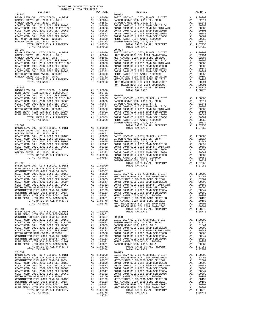| DISTRICT | TAX RATE | DISTRICT | TAX RATE |
|----------|----------|----------|----------|
|          |          |          |          |
|          |          |          |          |
|          |          |          |          |
|          |          |          |          |
|          |          |          |          |
|          |          |          |          |
|          |          |          |          |
|          |          |          |          |
|          |          |          |          |
|          |          |          |          |
|          |          |          |          |
|          |          |          |          |
|          |          |          |          |
|          |          |          |          |
|          |          |          |          |
|          |          |          |          |
|          |          |          |          |
|          |          |          |          |
|          |          |          |          |
|          |          |          |          |
|          |          |          |          |
|          |          |          |          |
|          |          |          |          |
|          |          |          |          |
|          |          |          |          |
|          |          |          |          |
|          |          |          |          |
|          |          |          |          |
|          |          |          |          |
|          |          |          |          |
|          |          |          |          |
|          |          |          |          |
|          |          |          |          |
|          |          |          |          |
|          |          |          |          |
|          |          |          |          |
|          |          |          |          |
|          |          |          |          |
|          |          |          |          |
|          |          |          |          |
|          |          |          |          |
|          |          |          |          |
|          |          |          |          |
|          |          |          |          |
|          |          |          |          |
|          |          |          |          |
|          |          |          |          |
|          |          |          |          |
|          |          |          |          |
|          |          |          |          |
|          |          |          |          |
|          |          |          |          |
|          |          |          |          |
|          |          |          |          |
|          |          |          |          |
|          |          |          |          |
|          |          |          |          |
|          |          |          |          |
|          |          |          |          |
|          |          |          |          |
|          |          |          |          |
|          |          |          |          |
|          |          |          |          |
|          |          |          |          |
|          |          |          |          |
|          |          |          |          |
|          |          |          |          |
|          |          |          |          |
|          |          |          |          |
|          |          |          |          |
|          |          |          |          |
|          |          |          |          |
|          |          |          |          |
|          |          |          |          |
|          |          |          |          |
|          |          |          |          |
|          |          |          |          |
|          |          |          |          |
|          |          |          |          |
|          |          |          |          |
|          |          |          |          |
|          |          |          |          |
|          |          |          |          |
|          |          |          |          |
|          |          |          |          |
|          |          |          |          |
|          |          |          |          |
|          |          |          |          |
|          |          |          |          |
|          |          |          |          |
|          |          |          |          |
|          |          |          |          |
|          |          |          |          |
|          |          |          |          |
|          |          |          |          |
|          |          |          |          |
|          |          |          |          |
|          |          |          |          |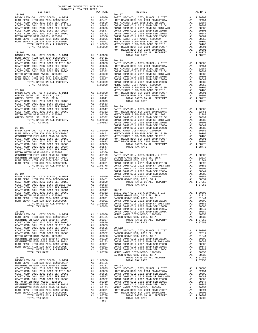| DISTRICT | 2010-2017 IRA IAA RAILD<br>TAX RATE | DISTRICT   | TAX RATE |
|----------|-------------------------------------|------------|----------|
|          |                                     | $20 - 107$ |          |
|          |                                     |            |          |
|          |                                     |            |          |
|          |                                     |            |          |
|          |                                     |            |          |
|          |                                     |            |          |
|          |                                     |            |          |
|          |                                     |            |          |
|          |                                     |            |          |
|          |                                     |            |          |
|          |                                     |            |          |
|          |                                     |            |          |
|          |                                     |            |          |
|          |                                     |            |          |
|          |                                     |            |          |
|          |                                     |            |          |
|          |                                     |            |          |
|          |                                     |            |          |
|          |                                     |            |          |
|          |                                     |            |          |
|          |                                     |            |          |
|          |                                     |            |          |
|          |                                     |            |          |
|          |                                     |            |          |
|          |                                     |            |          |
|          |                                     |            |          |
|          |                                     |            |          |
|          |                                     |            |          |
|          |                                     |            |          |
|          |                                     |            |          |
|          |                                     |            |          |
|          |                                     |            |          |
|          |                                     |            |          |
|          |                                     |            |          |
|          |                                     |            |          |
|          |                                     |            |          |
|          |                                     |            |          |
|          |                                     |            |          |
|          |                                     |            |          |
|          |                                     |            |          |
|          |                                     |            |          |
|          |                                     |            |          |
|          |                                     |            |          |
|          |                                     |            |          |
|          |                                     |            |          |
|          |                                     |            |          |
|          |                                     |            |          |
|          |                                     |            |          |
|          |                                     |            |          |
|          |                                     |            |          |
|          |                                     |            |          |
|          |                                     |            |          |
|          |                                     |            |          |
|          |                                     |            |          |
|          |                                     |            |          |
|          |                                     |            |          |
|          |                                     |            |          |
|          |                                     |            |          |
|          |                                     |            |          |
|          |                                     |            |          |
|          |                                     |            |          |
|          |                                     |            |          |
|          |                                     |            |          |
|          |                                     |            |          |
|          |                                     |            |          |
|          |                                     |            |          |
|          |                                     |            |          |
|          |                                     |            |          |
|          |                                     |            |          |
|          |                                     |            |          |
|          |                                     |            |          |
|          |                                     |            |          |
|          |                                     |            |          |
|          |                                     |            |          |
|          |                                     |            |          |
|          |                                     |            |          |
|          |                                     |            |          |
|          |                                     |            |          |
|          |                                     |            |          |
|          |                                     |            |          |
|          |                                     |            |          |
|          |                                     |            |          |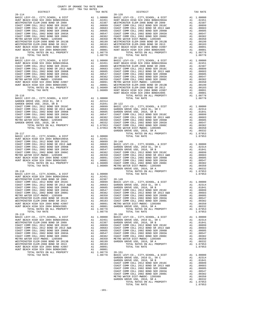| TOTAL RATES ON ALL PROPERTY                                                                                                                                                                                                           |                                                                                                                                                                                                                                                                                                                                                                                                      | A1 1.08778                                                                                                                                                                                                                                             |                    |
|---------------------------------------------------------------------------------------------------------------------------------------------------------------------------------------------------------------------------------------|------------------------------------------------------------------------------------------------------------------------------------------------------------------------------------------------------------------------------------------------------------------------------------------------------------------------------------------------------------------------------------------------------|--------------------------------------------------------------------------------------------------------------------------------------------------------------------------------------------------------------------------------------------------------|--------------------|
| TOTAL TAX RATE                                                                                                                                                                                                                        |                                                                                                                                                                                                                                                                                                                                                                                                      | 1.08778                                                                                                                                                                                                                                                |                    |
| $20 - 115$                                                                                                                                                                                                                            |                                                                                                                                                                                                                                                                                                                                                                                                      |                                                                                                                                                                                                                                                        | $20 - 121$         |
| BASIC LEVY-CO., CITY, SCHOOL, & DIST<br>HUNT BEACH HIGH SCH 2004 BOND#2004A                                                                                                                                                           | $\begin{tabular}{cc} $20-121$ \\ \hline \text{A1} & 1.00000 & \text{BASIC L} \\ \hline \text{A1} & .02451 & \text{HUNT BE} \\ \text{A1} & .00899 & \text{WESTMIM} \\ \text{A1} & .00683 & \text{COAST C} \\ \text{A1} & .00605 & \text{COAST C} \\ \text{A1} & .00547 & \text{COAST C} \\ \text{A1} & .00382 & \text{COAST C} \\ \text{A1} & .00350 & \text{COAST C} \\ \text{A1} & .00091 & \text{$ |                                                                                                                                                                                                                                                        |                    |
| COAST COMM COLL 2012 BOND SER 2016C                                                                                                                                                                                                   |                                                                                                                                                                                                                                                                                                                                                                                                      |                                                                                                                                                                                                                                                        |                    |
| COAST COMM COLL 2012 BOND SR 2013 A&B                                                                                                                                                                                                 |                                                                                                                                                                                                                                                                                                                                                                                                      |                                                                                                                                                                                                                                                        |                    |
| COAST COMM COLL 2002 BOND SER 2006B<br>COAST COMM COLL 2002 BOND SER 2003A                                                                                                                                                            |                                                                                                                                                                                                                                                                                                                                                                                                      |                                                                                                                                                                                                                                                        |                    |
| COAST COMM COLL 2002 BOND SER 2006C                                                                                                                                                                                                   |                                                                                                                                                                                                                                                                                                                                                                                                      |                                                                                                                                                                                                                                                        |                    |
| METRO WATER DIST-MWDOC- 1205999                                                                                                                                                                                                       |                                                                                                                                                                                                                                                                                                                                                                                                      |                                                                                                                                                                                                                                                        |                    |
| HUNT BEACH HIGH SCH 2004 BOND #2007<br>HUNT BEACH HIGH SCH 2004 BOND#2005                                                                                                                                                             |                                                                                                                                                                                                                                                                                                                                                                                                      |                                                                                                                                                                                                                                                        |                    |
| HUNT BEACH HIGH SCH 2004 BOND#2005<br>TOTAL RATES ON ALL PROPERTY                                                                                                                                                                     |                                                                                                                                                                                                                                                                                                                                                                                                      |                                                                                                                                                                                                                                                        |                    |
| TOTAL TAX RATE                                                                                                                                                                                                                        |                                                                                                                                                                                                                                                                                                                                                                                                      |                                                                                                                                                                                                                                                        |                    |
|                                                                                                                                                                                                                                       |                                                                                                                                                                                                                                                                                                                                                                                                      |                                                                                                                                                                                                                                                        | HUNT BE            |
| $20 - 116$                                                                                                                                                                                                                            |                                                                                                                                                                                                                                                                                                                                                                                                      |                                                                                                                                                                                                                                                        |                    |
| BASIC LEVY-CO., CITY, SCHOOL, & DIST<br>GARDEN GROVE USD, 2010 EL, SR C                                                                                                                                                               |                                                                                                                                                                                                                                                                                                                                                                                                      | A1 1.00000<br>A1 .02314                                                                                                                                                                                                                                |                    |
|                                                                                                                                                                                                                                       |                                                                                                                                                                                                                                                                                                                                                                                                      |                                                                                                                                                                                                                                                        |                    |
|                                                                                                                                                                                                                                       |                                                                                                                                                                                                                                                                                                                                                                                                      |                                                                                                                                                                                                                                                        |                    |
|                                                                                                                                                                                                                                       |                                                                                                                                                                                                                                                                                                                                                                                                      |                                                                                                                                                                                                                                                        |                    |
| GARDEN GROE USD. 2010 EL, SR C and 1.01841 20-122<br>CARDEN GROE USD. 2010, SR B<br>COAST COMM COLL 2012 BOND SER 2016C and 1.01841 20-122<br>COAST COMM COLL 2012 BOND SER 2016<br>COAST COMM COLL 2002 BOND SER 2006B A1 0.0689 GAR |                                                                                                                                                                                                                                                                                                                                                                                                      |                                                                                                                                                                                                                                                        |                    |
|                                                                                                                                                                                                                                       |                                                                                                                                                                                                                                                                                                                                                                                                      |                                                                                                                                                                                                                                                        |                    |
|                                                                                                                                                                                                                                       |                                                                                                                                                                                                                                                                                                                                                                                                      |                                                                                                                                                                                                                                                        |                    |
|                                                                                                                                                                                                                                       |                                                                                                                                                                                                                                                                                                                                                                                                      |                                                                                                                                                                                                                                                        |                    |
|                                                                                                                                                                                                                                       |                                                                                                                                                                                                                                                                                                                                                                                                      |                                                                                                                                                                                                                                                        |                    |
|                                                                                                                                                                                                                                       |                                                                                                                                                                                                                                                                                                                                                                                                      |                                                                                                                                                                                                                                                        | GARDEN             |
| $20 - 117$                                                                                                                                                                                                                            |                                                                                                                                                                                                                                                                                                                                                                                                      |                                                                                                                                                                                                                                                        |                    |
| BASIC LEVY-CO., CITY, SCHOOL, & DIST<br>HUNT BEACH HIGH SCH 2004 BOND#2004A                                                                                                                                                           |                                                                                                                                                                                                                                                                                                                                                                                                      | A1 1.00000                                                                                                                                                                                                                                             |                    |
| COAST COMM COLL 2012 BOND SER 2016C                                                                                                                                                                                                   |                                                                                                                                                                                                                                                                                                                                                                                                      |                                                                                                                                                                                                                                                        |                    |
| COAST COMM COLL 2012 BOND SR 2013 A&B                                                                                                                                                                                                 |                                                                                                                                                                                                                                                                                                                                                                                                      |                                                                                                                                                                                                                                                        |                    |
| COAST COMM COLL 2002 BOND SER 2006B<br>COAST COMM COLL 2002 BOND SER 2003A                                                                                                                                                            |                                                                                                                                                                                                                                                                                                                                                                                                      |                                                                                                                                                                                                                                                        |                    |
| COAST COMM COLL 2002 BOND SER 2006C                                                                                                                                                                                                   |                                                                                                                                                                                                                                                                                                                                                                                                      |                                                                                                                                                                                                                                                        |                    |
| METRO WATER DIST-MWDOC- 1205999                                                                                                                                                                                                       |                                                                                                                                                                                                                                                                                                                                                                                                      |                                                                                                                                                                                                                                                        |                    |
| HUNT BEACH HIGH SCH 2004 BOND #2007<br>HUNT BEACH HIGH SCH 2004 BOND#2005                                                                                                                                                             |                                                                                                                                                                                                                                                                                                                                                                                                      |                                                                                                                                                                                                                                                        |                    |
| HUNT BEACH HIGH SCH 2004 BOND#2005<br>TOTAL RATES ON ALL PROPERTY                                                                                                                                                                     |                                                                                                                                                                                                                                                                                                                                                                                                      | A1 1.0000<br>A1 .02451<br>A1 .00899 20-148<br>A1 .00693 BASIC L<br>A1 .00605 BARDEN<br>A1 .00505 GARDEN<br>A1 .00547 GARDEN<br>A1 .00350 COAST C<br>A1 .00091 COAST C<br>A1 .00091 COAST C<br>A1 .00001 COAST C<br>A1 .00000 COAST C<br>A1 .00000 COAS |                    |
| TOTAL TAX RATE                                                                                                                                                                                                                        |                                                                                                                                                                                                                                                                                                                                                                                                      |                                                                                                                                                                                                                                                        |                    |
|                                                                                                                                                                                                                                       |                                                                                                                                                                                                                                                                                                                                                                                                      |                                                                                                                                                                                                                                                        | GARDEN             |
| $20 - 118$                                                                                                                                                                                                                            |                                                                                                                                                                                                                                                                                                                                                                                                      |                                                                                                                                                                                                                                                        |                    |
| BASIC LEVY-CO., CITY, SCHOOL, & DIST<br>HUNT BEACH HIGH SCH 2004 BOND#2004A                                                                                                                                                           | A1 1.00000<br>A1 .02451<br>A1 .02387                                                                                                                                                                                                                                                                                                                                                                 |                                                                                                                                                                                                                                                        |                    |
| WESTMINSTER ELEM-2008 BOND SR 2009                                                                                                                                                                                                    |                                                                                                                                                                                                                                                                                                                                                                                                      | $.02387$ $20-149$                                                                                                                                                                                                                                      |                    |
| COAST COMM COLL 2012 BOND SER 2016C                                                                                                                                                                                                   | A1                                                                                                                                                                                                                                                                                                                                                                                                   | .00899                                                                                                                                                                                                                                                 | BASIC L            |
| COAST COMM COLL 2012 BOND SR 2013 A&B<br>COAST COMM COLL 2002 BOND SER 2006B                                                                                                                                                          |                                                                                                                                                                                                                                                                                                                                                                                                      |                                                                                                                                                                                                                                                        |                    |
| COAST COMM COLL 2002 BOND SER 2003A                                                                                                                                                                                                   |                                                                                                                                                                                                                                                                                                                                                                                                      |                                                                                                                                                                                                                                                        |                    |
| COAST COMM COLL 2002 BOND SER 2006C                                                                                                                                                                                                   |                                                                                                                                                                                                                                                                                                                                                                                                      | A1 .00899 BASIC L<br>A1 .00683 GARDEN<br>A1 .00605 GARDEN<br>A1 .00547 COAST C<br>A1 .00382 COAST C<br>A1 .00380 COAST C<br>A1 .00199 COAST C<br>A1 .00193 COAST C<br>A1 .00091 METRO W<br>A1 .00001 GARDEN<br>A1 .00001 GARDEN<br>A1 .00001 GARDEN    |                    |
| METRO WATER DIST-MWDOC- 1205999                                                                                                                                                                                                       |                                                                                                                                                                                                                                                                                                                                                                                                      |                                                                                                                                                                                                                                                        |                    |
| WESTMINSTER ELEM-2008 BOND SR 2013B<br>WESTMINSTER ELEM-2008 BOND SR 2013                                                                                                                                                             |                                                                                                                                                                                                                                                                                                                                                                                                      |                                                                                                                                                                                                                                                        |                    |
| HUNT BEACH HIGH SCH 2004 BOND #2007                                                                                                                                                                                                   |                                                                                                                                                                                                                                                                                                                                                                                                      |                                                                                                                                                                                                                                                        |                    |
| HUNT BEACH HIGH SCH 2004 BOND#2005                                                                                                                                                                                                    |                                                                                                                                                                                                                                                                                                                                                                                                      |                                                                                                                                                                                                                                                        |                    |
| TOTAL RATES ON ALL PROPERTY                                                                                                                                                                                                           |                                                                                                                                                                                                                                                                                                                                                                                                      |                                                                                                                                                                                                                                                        |                    |
| TOTAL TAX RATE<br>$20 - 119$                                                                                                                                                                                                          |                                                                                                                                                                                                                                                                                                                                                                                                      | 1.08778                                                                                                                                                                                                                                                | $20 - 150$         |
| BASIC LEVY-CO., CITY, SCHOOL, & DIST                                                                                                                                                                                                  |                                                                                                                                                                                                                                                                                                                                                                                                      | A1 1.00000 BASIC L                                                                                                                                                                                                                                     |                    |
| HUNT BEACH HIGH SCH 2004 BOND#2004A                                                                                                                                                                                                   | A1                                                                                                                                                                                                                                                                                                                                                                                                   | .02451                                                                                                                                                                                                                                                 | GARDEN             |
| WESTMINSTER ELEM-2008 BOND SR 2009<br>COAST COMM COLL 2012 BOND SER 2016C                                                                                                                                                             | A1                                                                                                                                                                                                                                                                                                                                                                                                   | .02387                                                                                                                                                                                                                                                 | GARDEN             |
| COAST COMM COLL 2012 BOND SR 2013 A&B                                                                                                                                                                                                 | A1<br>A1                                                                                                                                                                                                                                                                                                                                                                                             | .00899<br>.00683                                                                                                                                                                                                                                       | COAST C<br>COAST C |
| COAST COMM COLL 2002 BOND SER 2006B                                                                                                                                                                                                   | A1                                                                                                                                                                                                                                                                                                                                                                                                   | .00605                                                                                                                                                                                                                                                 | COAST C            |
| COAST COMM COLL 2002 BOND SER 2003A                                                                                                                                                                                                   | A1                                                                                                                                                                                                                                                                                                                                                                                                   | .00547                                                                                                                                                                                                                                                 | COAST C            |
| COAST COMM COLL 2002 BOND SER 2006C<br>METRO WATER DIST-MWDOC- 1205999                                                                                                                                                                | A1<br>A1                                                                                                                                                                                                                                                                                                                                                                                             | .00382<br>.00350                                                                                                                                                                                                                                       | COAST C<br>METRO W |
| WESTMINSTER ELEM-2008 BOND SR 2013B                                                                                                                                                                                                   | A1                                                                                                                                                                                                                                                                                                                                                                                                   | .00199                                                                                                                                                                                                                                                 | GARDEN             |
| WESTMINSTER ELEM-2008 BOND SR 2013                                                                                                                                                                                                    | A1                                                                                                                                                                                                                                                                                                                                                                                                   | .00183                                                                                                                                                                                                                                                 |                    |
| HUNT BEACH HIGH SCH 2004 BOND #2007                                                                                                                                                                                                   | A1                                                                                                                                                                                                                                                                                                                                                                                                   | .00091                                                                                                                                                                                                                                                 |                    |
| HUNT BEACH HIGH SCH 2004 BOND#2005<br>TOTAL RATES ON ALL PROPERTY                                                                                                                                                                     | A1                                                                                                                                                                                                                                                                                                                                                                                                   | .00001<br>A1 1.08778                                                                                                                                                                                                                                   | $20 - 151$         |
|                                                                                                                                                                                                                                       |                                                                                                                                                                                                                                                                                                                                                                                                      |                                                                                                                                                                                                                                                        |                    |

| DISTRICT | TAX RATE | DISTRICT | TAX RATE |
|----------|----------|----------|----------|
|          |          |          |          |
|          |          |          |          |
|          |          |          |          |
|          |          |          |          |
|          |          |          |          |
|          |          |          |          |
|          |          |          |          |
|          |          |          |          |
|          |          |          |          |
|          |          |          |          |
|          |          |          |          |
|          |          |          |          |
|          |          |          |          |
|          |          |          |          |
|          |          |          |          |
|          |          |          |          |
|          |          |          |          |
|          |          |          |          |
|          |          |          |          |
|          |          |          |          |
|          |          |          |          |
|          |          |          |          |
|          |          |          |          |
|          |          |          |          |
|          |          |          |          |
|          |          |          |          |
|          |          |          |          |
|          |          |          |          |
|          |          |          |          |
|          |          |          |          |
|          |          |          |          |
|          |          |          |          |
|          |          |          |          |
|          |          |          |          |
|          |          |          |          |
|          |          |          |          |
|          |          |          |          |
|          |          |          |          |
|          |          |          |          |
|          |          |          |          |
|          |          |          |          |
|          |          |          |          |
|          |          |          |          |
|          |          |          |          |
|          |          |          |          |
|          |          |          |          |
|          |          |          |          |
|          |          |          |          |
|          |          |          |          |
|          |          |          |          |
|          |          |          |          |
|          |          |          |          |
|          |          |          |          |
|          |          |          |          |
|          |          |          |          |
|          |          |          |          |
|          |          |          |          |
|          |          |          |          |
|          |          |          |          |
|          |          |          |          |
|          |          |          |          |
|          |          |          |          |
|          |          |          |          |
|          |          |          |          |
|          |          |          |          |
|          |          |          |          |
|          |          |          |          |
|          |          |          |          |
|          |          |          |          |
|          |          |          |          |
|          |          |          |          |
|          |          |          |          |
|          |          |          |          |
|          |          |          |          |
|          |          |          |          |
|          |          |          |          |
|          |          |          |          |
|          |          |          |          |
|          |          |          |          |
|          |          |          |          |
|          |          |          |          |
|          |          |          |          |
|          |          |          |          |
|          |          |          |          |
|          |          |          |          |
|          |          |          |          |
|          |          |          |          |
|          |          |          |          |
|          |          |          |          |
|          |          |          |          |
|          |          |          |          |
|          |          |          |          |
|          |          |          |          |
|          |          |          |          |
|          |          |          |          |
|          |          |          |          |
|          |          |          |          |
|          |          |          |          |
|          |          |          |          |
|          |          |          |          |
|          |          |          |          |
|          |          |          |          |

-181-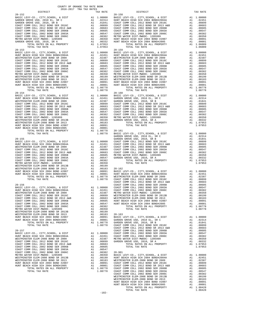| TOTAL TAX RATE<br>$20 - 153$                                                                                          |                                                                                                                                                                                                                                                                                                                                                                                                                       | 1.07953                                                                                                                                                                       | $20 - 159$                     |
|-----------------------------------------------------------------------------------------------------------------------|-----------------------------------------------------------------------------------------------------------------------------------------------------------------------------------------------------------------------------------------------------------------------------------------------------------------------------------------------------------------------------------------------------------------------|-------------------------------------------------------------------------------------------------------------------------------------------------------------------------------|--------------------------------|
| BASIC LEVY-CO., CITY, SCHOOL, & DIST                                                                                  |                                                                                                                                                                                                                                                                                                                                                                                                                       |                                                                                                                                                                               |                                |
| HUNT BEACH HIGH SCH $2004$ BOND#2004A                                                                                 |                                                                                                                                                                                                                                                                                                                                                                                                                       |                                                                                                                                                                               |                                |
| WESTMINSTER ELEM-2008 BOND SR 2009<br>COAST COMM COLL 2012 BOND SER 2016C                                             |                                                                                                                                                                                                                                                                                                                                                                                                                       |                                                                                                                                                                               |                                |
| COAST COMM COLL 2012 BOND SR 2013 A&B                                                                                 |                                                                                                                                                                                                                                                                                                                                                                                                                       |                                                                                                                                                                               |                                |
| COAST COMM COLL 2002 BOND SER 2006B                                                                                   |                                                                                                                                                                                                                                                                                                                                                                                                                       |                                                                                                                                                                               |                                |
|                                                                                                                       | $\begin{tabular}{cc} {\bf A1} & 1.00000 & {\bf Ba3-159} \\ {\bf A1} & .02451 & {\bf HUNT BE} \\ {\bf A1} & .02451 & {\bf HUNT BE} \\ {\bf A1} & .00899 & {\bf COAST} & {\bf C} \\ {\bf A1} & .00663 & {\bf COAST} & {\bf C} \\ {\bf A1} & .00665 & {\bf COAST} & {\bf C} \\ {\bf A1} & .00645 & {\bf COAST} & {\bf C} \\ {\bf A1} & .00382 & {\bf COAST} & {\bf C} \\ {\bf A1} & .00382 & {\bf COAST} & {\bf WETMIN}$ |                                                                                                                                                                               |                                |
| METRO WATER DIST-MWDOC- 1205999                                                                                       |                                                                                                                                                                                                                                                                                                                                                                                                                       |                                                                                                                                                                               |                                |
| WESTMINSTER ELEM-2008 BOND SR 2013B<br>WESTMINSTER ELEM-2008 BOND SR 2013                                             |                                                                                                                                                                                                                                                                                                                                                                                                                       |                                                                                                                                                                               |                                |
| HUNT BEACH HIGH SCH 2004 BOND #2007                                                                                   |                                                                                                                                                                                                                                                                                                                                                                                                                       |                                                                                                                                                                               |                                |
| HUNT BEACH HIGH SCH 2004 BOND#2005                                                                                    |                                                                                                                                                                                                                                                                                                                                                                                                                       |                                                                                                                                                                               |                                |
| TOTAL RATES ON ALL PROPERTY<br>TOTAL TAX RATE                                                                         |                                                                                                                                                                                                                                                                                                                                                                                                                       | A1 1.08778<br>1.08778                                                                                                                                                         |                                |
| $20 - 154$                                                                                                            |                                                                                                                                                                                                                                                                                                                                                                                                                       |                                                                                                                                                                               | $20 - 160$                     |
| BASIC LEVY-CO., CITY, SCHOOL, & DIST                                                                                  |                                                                                                                                                                                                                                                                                                                                                                                                                       |                                                                                                                                                                               |                                |
| HUNT BEACH HIGH SCH 2004 BOND#2004A<br>WESTMINSTER ELEM-2008 BOND SR 2009                                             |                                                                                                                                                                                                                                                                                                                                                                                                                       |                                                                                                                                                                               |                                |
| COAST COMM COLL 2012 BOND SER 2016C                                                                                   |                                                                                                                                                                                                                                                                                                                                                                                                                       |                                                                                                                                                                               |                                |
| COAST COMM COLL 2012 BOND SR 2013 A&B COAST COMM COLL 2002 BOND SER 2006B                                             |                                                                                                                                                                                                                                                                                                                                                                                                                       |                                                                                                                                                                               |                                |
| COAST COMM COLL 2002 BOND SER 2003A                                                                                   | 20-160<br>Al 1.00000 BASIC L<br>Al .02451 GARDEN<br>Al .02357 GARDEN<br>Al .00899 GOAST C<br>Al .00683 COAST C<br>Al .00683 COAST C<br>Al .006547 COAST C<br>Al .00352 COAST C<br>Al .00352 GARDEN<br>Al .00199 GARDEN<br>Al .00199 GARDEN<br>Al .0019                                                                                                                                                                |                                                                                                                                                                               |                                |
| COAST COMM COLL 2002 BOND SER 2006C                                                                                   |                                                                                                                                                                                                                                                                                                                                                                                                                       |                                                                                                                                                                               |                                |
| METRO WATER DIST-MWDOC- 1205999                                                                                       |                                                                                                                                                                                                                                                                                                                                                                                                                       |                                                                                                                                                                               |                                |
| WESTMINSTER ELEM-2008 BOND SR 2013B<br>WESTMINSTER ELEM-2008 BOND SR 2013                                             |                                                                                                                                                                                                                                                                                                                                                                                                                       |                                                                                                                                                                               |                                |
| HUNT BEACH HIGH SCH 2004 BOND #2007                                                                                   |                                                                                                                                                                                                                                                                                                                                                                                                                       |                                                                                                                                                                               |                                |
| HUNT BEACH HIGH SCH 2004 BOND#2005<br>TOTAL RATES ON ALL PROPERTY                                                     |                                                                                                                                                                                                                                                                                                                                                                                                                       |                                                                                                                                                                               |                                |
| TOTAL TAX RATE                                                                                                        |                                                                                                                                                                                                                                                                                                                                                                                                                       | $\begin{tabular}{cc} 1.08778 & \hspace{1.5mm} 20-161 \\ 1.08778 & \hspace{1.5mm} BASIC & L \end{tabular}$                                                                     |                                |
|                                                                                                                       |                                                                                                                                                                                                                                                                                                                                                                                                                       |                                                                                                                                                                               | GARDEN                         |
| $20 - 155$<br>BASIC LEVY-CO., CITY, SCHOOL, & DIST                                                                    |                                                                                                                                                                                                                                                                                                                                                                                                                       | GARDEN GARDEN<br>A1 1.00000 GOAST C<br>A1 .02451 COAST C<br>A1 .02387 COAST C<br>A1 .00693 COAST C<br>A1 .00663 METRO W<br>A1 .006647 GARDEN<br>A1 .00547 GARDEN<br>A1 .00382 | GARDEN                         |
| HUNT BEACH HIGH SCH 2004 BOND#2004A                                                                                   |                                                                                                                                                                                                                                                                                                                                                                                                                       |                                                                                                                                                                               |                                |
| WESTMINSTER ELEM-2008 BOND SR 2009                                                                                    |                                                                                                                                                                                                                                                                                                                                                                                                                       |                                                                                                                                                                               |                                |
| COAST COMM COLL 2012 BOND SER 2016C<br>COAST COMM COLL 2012 BOND SR 2013 A&B                                          |                                                                                                                                                                                                                                                                                                                                                                                                                       |                                                                                                                                                                               |                                |
| COAST COMM COLL 2002 BOND SER 2006B                                                                                   |                                                                                                                                                                                                                                                                                                                                                                                                                       |                                                                                                                                                                               |                                |
| COAST COMM COLL 2002 BOND SER 2003A<br>COAST COMM COLL 2002 BOND SER 2006C                                            |                                                                                                                                                                                                                                                                                                                                                                                                                       |                                                                                                                                                                               |                                |
| METRO WATER DIST-MWDOC- 1205999                                                                                       |                                                                                                                                                                                                                                                                                                                                                                                                                       |                                                                                                                                                                               |                                |
| WESTMINSTER ELEM-2008 BOND SR 2013B                                                                                   |                                                                                                                                                                                                                                                                                                                                                                                                                       | A1 .00350<br>A1 .00350<br>A1 .00193 20-162<br>A1 .00091 BASIC L<br>A1 .00001 BASIC L<br>A1 1.08778 WESTMIN<br>1.08778 COAST C<br>COAST COAST                                  |                                |
| WESTMINSTER ELEM-2008 BOND SR 2013<br>HUNT BEACH HIGH SCH 2004 BOND #2007                                             |                                                                                                                                                                                                                                                                                                                                                                                                                       |                                                                                                                                                                               |                                |
| HUNT BEACH HIGH SCH 2004 BOND#2005                                                                                    |                                                                                                                                                                                                                                                                                                                                                                                                                       |                                                                                                                                                                               |                                |
| TOTAL RATES ON ALL PROPERTY                                                                                           |                                                                                                                                                                                                                                                                                                                                                                                                                       |                                                                                                                                                                               |                                |
| TOTAL TAX RATE                                                                                                        |                                                                                                                                                                                                                                                                                                                                                                                                                       |                                                                                                                                                                               | COAST C                        |
| $20 - 156$                                                                                                            |                                                                                                                                                                                                                                                                                                                                                                                                                       |                                                                                                                                                                               |                                |
| BASIC LEVY-CO., CITY, SCHOOL, & DIST<br>HUNT BEACH HIGH SCH 2004 BOND#2004A                                           |                                                                                                                                                                                                                                                                                                                                                                                                                       |                                                                                                                                                                               |                                |
| WESTMINSTER ELEM-2008 BOND SR 2009                                                                                    |                                                                                                                                                                                                                                                                                                                                                                                                                       |                                                                                                                                                                               |                                |
| COAST COMM COLL 2012 BOND SER 2016C                                                                                   |                                                                                                                                                                                                                                                                                                                                                                                                                       |                                                                                                                                                                               |                                |
| COAST COMM COLL 2012 BOND SR 2013 A&B<br>COAST COMM COLL 2012 BOND SR 2013 A&B<br>COAST COMM COLL 2002 BOND SER 2006B | CAST CONST CONST CONST CONST CONST CONST CONST CONST CONST CONST CONST CONST CONST CONST CONST CONST CONST CONST CONST AND 0.00000 NEW THE ALL 0.00547 HUNT BE ALL 0.00547 HUNT BE ALL 0.00547 HUNT BE ALL 0.00547 HUNT BE ALL                                                                                                                                                                                        |                                                                                                                                                                               |                                |
| COAST COMM COLL 2002 BOND SER 2003A                                                                                   |                                                                                                                                                                                                                                                                                                                                                                                                                       |                                                                                                                                                                               |                                |
| COAST COMM COLL 2002 BOND SER 2006C                                                                                   | A1                                                                                                                                                                                                                                                                                                                                                                                                                    | A1 .00382<br>A1 .00350                                                                                                                                                        |                                |
| METRO WATER DIST-MWDOC- 1205999<br>WESTMINSTER ELEM-2008 BOND SR 2013B                                                |                                                                                                                                                                                                                                                                                                                                                                                                                       | A1 .00199                                                                                                                                                                     |                                |
| WESTMINSTER ELEM-2008 BOND SR 2013                                                                                    |                                                                                                                                                                                                                                                                                                                                                                                                                       | A1 .00183                                                                                                                                                                     | $20 - 163$                     |
| HUNT BEACH HIGH SCH 2004 BOND #2007                                                                                   | A1                                                                                                                                                                                                                                                                                                                                                                                                                    | .00091                                                                                                                                                                        | BASIC L                        |
| HUNT BEACH HIGH SCH 2004 BOND#2005<br>TOTAL RATES ON ALL PROPERTY                                                     | A1                                                                                                                                                                                                                                                                                                                                                                                                                    | 11 .00091 PASIC<br>Al .00001 GARDEN<br>Al 1.08778 GARDEN<br>1.08778 COAST C                                                                                                   |                                |
| TOTAL TAX RATE                                                                                                        |                                                                                                                                                                                                                                                                                                                                                                                                                       |                                                                                                                                                                               |                                |
|                                                                                                                       |                                                                                                                                                                                                                                                                                                                                                                                                                       |                                                                                                                                                                               | COAST C                        |
| $20 - 157$<br>BASIC LEVY-CO., CITY, SCHOOL, & DIST                                                                    |                                                                                                                                                                                                                                                                                                                                                                                                                       |                                                                                                                                                                               | COAST C                        |
| HUNT BEACH HIGH SCH 2004 BOND#2004A                                                                                   |                                                                                                                                                                                                                                                                                                                                                                                                                       | A1  1.00000  COAST  C<br>A1  .02451  COAST  C<br>A1.02451                                                                                                                     |                                |
| WESTMINSTER ELEM-2008 BOND SR 2009                                                                                    | A1                                                                                                                                                                                                                                                                                                                                                                                                                    |                                                                                                                                                                               | .02387 METROW<br>.00899 GARDEN |
| COAST COMM COLL 2012 BOND SER 2016C<br>COAST COMM COLL 2012 BOND SR 2013 A&B                                          | A1                                                                                                                                                                                                                                                                                                                                                                                                                    | A1 .00683                                                                                                                                                                     |                                |
| COAST COMM COLL 2002 BOND SER 2006B                                                                                   |                                                                                                                                                                                                                                                                                                                                                                                                                       | A1 .00605                                                                                                                                                                     |                                |
| COAST COMM COLL 2002 BOND SER 2003A<br>COAST COMM COLL 2002 BOND SER 2006C                                            |                                                                                                                                                                                                                                                                                                                                                                                                                       | A1.00547                                                                                                                                                                      |                                |
| METRO WATER DIST-MWDOC- 1205999                                                                                       |                                                                                                                                                                                                                                                                                                                                                                                                                       | A1 .00382 20-901<br>A1 .00350 BASIC L<br>A1 .00350 HUNT BE<br>A1 .00183 WESTMIN<br>A1 .00091 COAST C<br>A1 .00091 COAST C<br>A1 .00091 COAST C                                |                                |
| WESTMINSTER ELEM-2008 BOND SR 2013B                                                                                   |                                                                                                                                                                                                                                                                                                                                                                                                                       |                                                                                                                                                                               |                                |
| WESTMINSTER ELEM-2008 BOND SR 2013<br>HUNT BEACH HIGH SCH 2004 BOND #2007                                             |                                                                                                                                                                                                                                                                                                                                                                                                                       |                                                                                                                                                                               |                                |
| HUNT BEACH HIGH SCH 2004 BOND#2005                                                                                    |                                                                                                                                                                                                                                                                                                                                                                                                                       |                                                                                                                                                                               |                                |
| TOTAL RATES ON ALL PROPERTY                                                                                           |                                                                                                                                                                                                                                                                                                                                                                                                                       |                                                                                                                                                                               |                                |

| COUNTY OF ORANGE TAX RATE BOOK<br>$2016-2017\quad\text{TRA TAX RATES}\label{eq:2016-2017}$ DISTRICT |          |            |          |  |
|-----------------------------------------------------------------------------------------------------|----------|------------|----------|--|
|                                                                                                     | TAX RATE | DISTRICT   | TAX RATE |  |
| $20 - 152$                                                                                          |          | $20 - 158$ |          |  |
|                                                                                                     |          |            |          |  |
|                                                                                                     |          |            |          |  |
|                                                                                                     |          |            |          |  |
|                                                                                                     |          |            |          |  |
|                                                                                                     |          |            |          |  |
|                                                                                                     |          |            |          |  |
|                                                                                                     |          |            |          |  |
|                                                                                                     |          |            |          |  |
|                                                                                                     |          |            |          |  |
|                                                                                                     |          |            |          |  |
|                                                                                                     |          |            |          |  |
|                                                                                                     |          |            |          |  |
|                                                                                                     |          |            |          |  |
|                                                                                                     |          |            |          |  |
|                                                                                                     |          |            |          |  |
|                                                                                                     |          |            |          |  |
|                                                                                                     |          |            |          |  |
|                                                                                                     |          |            |          |  |
|                                                                                                     |          |            |          |  |
|                                                                                                     |          |            |          |  |
|                                                                                                     |          |            |          |  |
| $20 - 154$                                                                                          |          | $20 - 160$ |          |  |
|                                                                                                     |          |            |          |  |
|                                                                                                     |          |            |          |  |
|                                                                                                     |          |            |          |  |
|                                                                                                     |          |            |          |  |
|                                                                                                     |          |            |          |  |
|                                                                                                     |          |            |          |  |
|                                                                                                     |          |            |          |  |
|                                                                                                     |          |            |          |  |
|                                                                                                     |          |            |          |  |
|                                                                                                     |          |            |          |  |
|                                                                                                     |          |            |          |  |
|                                                                                                     |          |            |          |  |
|                                                                                                     |          |            |          |  |
|                                                                                                     |          |            |          |  |
|                                                                                                     |          |            |          |  |
|                                                                                                     |          |            |          |  |
|                                                                                                     |          |            |          |  |
|                                                                                                     |          |            |          |  |
|                                                                                                     |          |            |          |  |
|                                                                                                     |          |            |          |  |
|                                                                                                     |          |            |          |  |
|                                                                                                     |          |            |          |  |
|                                                                                                     |          |            |          |  |
|                                                                                                     |          |            |          |  |
|                                                                                                     |          |            |          |  |
|                                                                                                     |          |            |          |  |
|                                                                                                     |          |            |          |  |
|                                                                                                     |          |            |          |  |
|                                                                                                     |          |            |          |  |
|                                                                                                     |          |            |          |  |
|                                                                                                     |          |            |          |  |
|                                                                                                     |          |            |          |  |
|                                                                                                     |          |            |          |  |
|                                                                                                     |          |            |          |  |
|                                                                                                     |          |            |          |  |
|                                                                                                     |          |            |          |  |
|                                                                                                     |          |            |          |  |
|                                                                                                     |          |            |          |  |
|                                                                                                     |          |            |          |  |
|                                                                                                     |          |            |          |  |
|                                                                                                     |          |            |          |  |
|                                                                                                     |          |            |          |  |
|                                                                                                     |          |            |          |  |
|                                                                                                     |          |            |          |  |
|                                                                                                     |          |            |          |  |
|                                                                                                     |          |            |          |  |
|                                                                                                     |          |            |          |  |
|                                                                                                     |          |            |          |  |
|                                                                                                     |          |            |          |  |
|                                                                                                     |          |            |          |  |
|                                                                                                     |          |            |          |  |
|                                                                                                     |          |            |          |  |
|                                                                                                     |          |            |          |  |
|                                                                                                     | $-182-$  |            |          |  |
|                                                                                                     |          |            |          |  |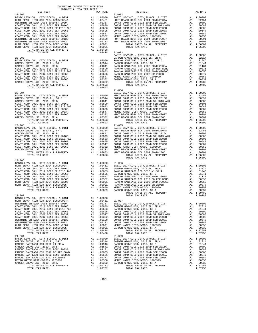| TOTAL TAX RATE                                                                                                     |                                                     |                                        |                   |
|--------------------------------------------------------------------------------------------------------------------|-----------------------------------------------------|----------------------------------------|-------------------|
|                                                                                                                    |                                                     | $1.08428$ $21-003$<br>BASIC L          |                   |
| $20 - 903$                                                                                                         |                                                     |                                        | GARDEN            |
|                                                                                                                    |                                                     |                                        |                   |
|                                                                                                                    |                                                     |                                        |                   |
|                                                                                                                    |                                                     |                                        |                   |
|                                                                                                                    |                                                     |                                        |                   |
|                                                                                                                    |                                                     |                                        |                   |
|                                                                                                                    |                                                     |                                        |                   |
|                                                                                                                    |                                                     |                                        |                   |
|                                                                                                                    |                                                     |                                        |                   |
|                                                                                                                    |                                                     |                                        | $21 - 004$        |
| $20 - 904$                                                                                                         |                                                     |                                        | BASIC L           |
|                                                                                                                    |                                                     |                                        |                   |
|                                                                                                                    |                                                     |                                        |                   |
|                                                                                                                    |                                                     |                                        |                   |
|                                                                                                                    |                                                     |                                        |                   |
|                                                                                                                    |                                                     |                                        |                   |
|                                                                                                                    |                                                     |                                        |                   |
|                                                                                                                    |                                                     |                                        |                   |
|                                                                                                                    |                                                     |                                        |                   |
|                                                                                                                    |                                                     |                                        |                   |
|                                                                                                                    |                                                     |                                        |                   |
|                                                                                                                    |                                                     |                                        |                   |
|                                                                                                                    |                                                     |                                        |                   |
|                                                                                                                    |                                                     |                                        |                   |
|                                                                                                                    |                                                     |                                        |                   |
|                                                                                                                    |                                                     |                                        |                   |
|                                                                                                                    |                                                     |                                        |                   |
| TOTAL TAX RATE                                                                                                     |                                                     | 1.07603                                |                   |
| $20 - 906$                                                                                                         |                                                     |                                        |                   |
|                                                                                                                    |                                                     |                                        |                   |
|                                                                                                                    |                                                     |                                        |                   |
|                                                                                                                    |                                                     |                                        |                   |
|                                                                                                                    |                                                     |                                        |                   |
|                                                                                                                    |                                                     |                                        |                   |
|                                                                                                                    |                                                     |                                        |                   |
|                                                                                                                    |                                                     |                                        |                   |
|                                                                                                                    |                                                     |                                        |                   |
|                                                                                                                    |                                                     |                                        |                   |
| $20 - 907$                                                                                                         |                                                     |                                        |                   |
| BASIC LEVY-CO., CITY, SCHOOL, & DIST<br>HUNT BEACH HIGH SCH 2004 BOND#2004A<br>TUNT BEACH HIGH SCHOOL TO THE COLOR |                                                     |                                        |                   |
| WESTMINSTER ELEM-2008 BOND SR 2009                                                                                 | A1 1.00000<br>A1 .02451 21-007<br>A1 .02387 BASIC L |                                        |                   |
| COAST COMM COLL 2012 BOND SER 2016C                                                                                | A1                                                  | .00899<br>A1 .00683<br>A1 .00663       | GARDEN            |
| COAST COMM COLL 2012 BOND SR 2013 A&B<br>COAST COMM COLL 2002 BOND SER 2006B                                       |                                                     |                                        | GARDEN<br>COAST C |
| COAST COMM COLL 2002 BOND SER 2003A                                                                                | A1                                                  | .00547                                 | COAST C           |
| COAST COMM COLL 2002 BOND SER 2006C                                                                                |                                                     | A1 .00382 COAST C<br>A1 .00199 COAST C |                   |
| WESTMINSTER ELEM-2008 BOND SR 2013B<br>WESTMINSTER ELEM-2008 BOND SR 2013                                          |                                                     | A1.00183                               | COAST C           |
| HUNT BEACH HIGH SCH 2004 BOND #2007                                                                                |                                                     | A1.00091                               | METRO W           |
| HUNT BEACH HIGH SCH 2004 BOND#2005                                                                                 | A1                                                  | .00001                                 | GARDEN            |
| TOTAL RATES ON ALL PROPERTY<br>TOTAL TAX RATE                                                                      |                                                     | A1 1.08428<br>1.08428                  |                   |
| $21 - 001$                                                                                                         |                                                     |                                        | $21 - 009$        |
| BASIC LEVY-CO., CITY, SCHOOL, & DIST                                                                               |                                                     |                                        |                   |
| GARDEN GROVE USD, 2010 EL, SR C<br>RANCHO SANTIAGO CCD SFID #1 SR A                                                |                                                     |                                        |                   |
| GARDEN GROVE USD, 2010, SR B                                                                                       |                                                     |                                        |                   |
| RANCHO SANTIAGO CCD 2002 BOND 2003A                                                                                |                                                     |                                        |                   |
| RANCHO SANTIAGO CCD 2012 GO REF BOND<br>RANCHO SANTIAGO CCD 2002 BOND #2006C                                       |                                                     |                                        |                   |
| RANCHO SANTIAGO CCD 2002 SR 2005B                                                                                  |                                                     |                                        |                   |
| METRO WATER DIST-MWDOC- 1205999                                                                                    |                                                     |                                        |                   |
| GARDEN GROVE USD, 2010, SR A                                                                                       |                                                     | A1 .00332                              | GARDEN            |

| $20 - 902$ | TOTAL TAX RATE                       |                | 1.08428 21-003 | $21 - 002$                                                                                                                                                                                                                                                                                                                                                                                                       |  |
|------------|--------------------------------------|----------------|----------------|------------------------------------------------------------------------------------------------------------------------------------------------------------------------------------------------------------------------------------------------------------------------------------------------------------------------------------------------------------------------------------------------------------------|--|
|            |                                      |                |                | $\begin{tabular}{c c c c} \multicolumn{4}{c}{\textbf{20-903}} & \multicolumn{4}{c}{\textbf{20-903}} & \multicolumn{4}{c}{\textbf{20-903}} & \multicolumn{4}{c}{\textbf{20-903}} & \multicolumn{4}{c}{\textbf{20-903}} & \multicolumn{4}{c}{\textbf{20-903}} & \multicolumn{4}{c}{\textbf{20-903}} & \multicolumn{4}{c}{\textbf{20-903}} & \multicolumn{4}{c}{\textbf{20-903}} & \multicolumn{4}{c}{\textbf{20-9$ |  |
|            |                                      |                |                | $21 - 004$                                                                                                                                                                                                                                                                                                                                                                                                       |  |
|            |                                      |                |                |                                                                                                                                                                                                                                                                                                                                                                                                                  |  |
|            |                                      |                |                | TOTAL TAX RATE                                                                                                                                                                                                                                                                                                                                                                                                   |  |
|            | BASIC LEVY-CO., CITY, SCHOOL, & DIST | $A1 \t1.00000$ |                |                                                                                                                                                                                                                                                                                                                                                                                                                  |  |
|            |                                      |                |                |                                                                                                                                                                                                                                                                                                                                                                                                                  |  |

COUNTY OF ORANGE TAX RATE BOOK<br>2016-2017 TRA TAX RATES DISTRICT DISTRICT TAX RATE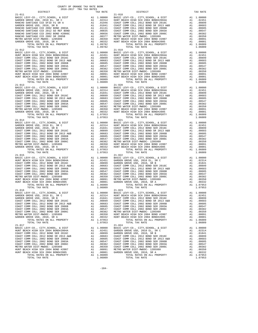| TAX RATE<br>DISTRICT |  | DISTRICT | TAX RATE |
|----------------------|--|----------|----------|
|                      |  |          |          |
|                      |  |          |          |
|                      |  |          |          |
|                      |  |          |          |
|                      |  |          |          |
|                      |  |          |          |
|                      |  |          |          |
|                      |  |          |          |
|                      |  |          |          |
|                      |  |          |          |
|                      |  |          |          |
|                      |  |          |          |
|                      |  |          |          |
|                      |  |          |          |
|                      |  |          |          |
|                      |  |          |          |
|                      |  |          |          |
|                      |  |          |          |
|                      |  |          |          |
|                      |  |          |          |
|                      |  |          |          |
|                      |  |          |          |
|                      |  |          |          |
|                      |  |          |          |
|                      |  |          |          |
|                      |  |          |          |
|                      |  |          |          |
|                      |  |          |          |
|                      |  |          |          |
|                      |  |          |          |
|                      |  |          |          |
|                      |  |          |          |
|                      |  |          |          |
|                      |  |          |          |
|                      |  |          |          |
|                      |  |          |          |
|                      |  |          |          |
|                      |  |          |          |
|                      |  |          |          |
|                      |  |          |          |
|                      |  |          |          |
|                      |  |          |          |
|                      |  |          |          |
|                      |  |          |          |
|                      |  |          |          |
|                      |  |          |          |
|                      |  |          |          |
|                      |  |          |          |
|                      |  |          |          |
|                      |  |          |          |
|                      |  |          |          |
|                      |  |          |          |
|                      |  |          |          |
|                      |  |          |          |
|                      |  |          |          |
|                      |  |          |          |
|                      |  |          |          |
|                      |  |          |          |
|                      |  |          |          |
|                      |  |          |          |
|                      |  |          |          |
|                      |  |          |          |
|                      |  |          |          |
|                      |  |          |          |
|                      |  |          |          |
|                      |  |          |          |
|                      |  |          |          |
|                      |  |          |          |
|                      |  |          |          |
|                      |  |          |          |
|                      |  |          |          |
|                      |  |          |          |
|                      |  |          |          |
|                      |  |          |          |
|                      |  |          |          |
|                      |  |          |          |
|                      |  |          |          |
|                      |  |          |          |
|                      |  |          |          |
|                      |  |          |          |
|                      |  |          |          |
|                      |  |          |          |
|                      |  |          |          |
|                      |  |          |          |
|                      |  |          |          |
|                      |  |          |          |
|                      |  |          |          |
|                      |  |          |          |

-184-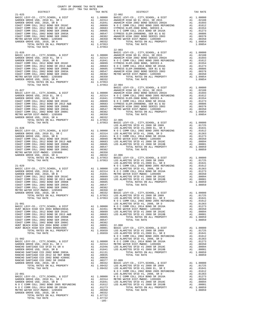| $21 - 025$                                                                                                                           |                                                                                                                                         |                                                                                | $22 - 002$         |
|--------------------------------------------------------------------------------------------------------------------------------------|-----------------------------------------------------------------------------------------------------------------------------------------|--------------------------------------------------------------------------------|--------------------|
|                                                                                                                                      |                                                                                                                                         |                                                                                |                    |
|                                                                                                                                      |                                                                                                                                         |                                                                                |                    |
|                                                                                                                                      |                                                                                                                                         |                                                                                |                    |
|                                                                                                                                      |                                                                                                                                         |                                                                                |                    |
|                                                                                                                                      |                                                                                                                                         |                                                                                |                    |
|                                                                                                                                      |                                                                                                                                         |                                                                                |                    |
|                                                                                                                                      |                                                                                                                                         |                                                                                |                    |
|                                                                                                                                      |                                                                                                                                         |                                                                                | $22 - 003$         |
| $21 - 026$                                                                                                                           |                                                                                                                                         |                                                                                | BASIC L            |
|                                                                                                                                      |                                                                                                                                         |                                                                                |                    |
|                                                                                                                                      |                                                                                                                                         |                                                                                |                    |
|                                                                                                                                      |                                                                                                                                         |                                                                                |                    |
|                                                                                                                                      |                                                                                                                                         |                                                                                |                    |
|                                                                                                                                      |                                                                                                                                         |                                                                                |                    |
|                                                                                                                                      |                                                                                                                                         |                                                                                |                    |
|                                                                                                                                      |                                                                                                                                         |                                                                                |                    |
| TOTAL TAX RATE                                                                                                                       |                                                                                                                                         | $1.07953$ $22-004$<br>BASIC L                                                  |                    |
| $21 - 027$                                                                                                                           |                                                                                                                                         |                                                                                | ANAHEIM            |
|                                                                                                                                      |                                                                                                                                         |                                                                                |                    |
|                                                                                                                                      |                                                                                                                                         |                                                                                |                    |
|                                                                                                                                      |                                                                                                                                         |                                                                                |                    |
|                                                                                                                                      |                                                                                                                                         |                                                                                |                    |
|                                                                                                                                      |                                                                                                                                         |                                                                                |                    |
|                                                                                                                                      |                                                                                                                                         |                                                                                |                    |
|                                                                                                                                      |                                                                                                                                         |                                                                                |                    |
|                                                                                                                                      |                                                                                                                                         |                                                                                |                    |
| $21 - 028$                                                                                                                           |                                                                                                                                         |                                                                                | LOS ALA<br>LOS ALA |
|                                                                                                                                      |                                                                                                                                         |                                                                                |                    |
|                                                                                                                                      |                                                                                                                                         |                                                                                |                    |
|                                                                                                                                      |                                                                                                                                         |                                                                                |                    |
|                                                                                                                                      |                                                                                                                                         |                                                                                |                    |
|                                                                                                                                      |                                                                                                                                         |                                                                                |                    |
|                                                                                                                                      |                                                                                                                                         |                                                                                |                    |
|                                                                                                                                      |                                                                                                                                         |                                                                                |                    |
|                                                                                                                                      |                                                                                                                                         |                                                                                |                    |
|                                                                                                                                      |                                                                                                                                         |                                                                                | LOS ALA            |
| $21 - 029$                                                                                                                           |                                                                                                                                         |                                                                                | NOCC               |
|                                                                                                                                      |                                                                                                                                         |                                                                                |                    |
|                                                                                                                                      |                                                                                                                                         |                                                                                |                    |
|                                                                                                                                      |                                                                                                                                         |                                                                                |                    |
|                                                                                                                                      |                                                                                                                                         |                                                                                |                    |
|                                                                                                                                      |                                                                                                                                         |                                                                                |                    |
|                                                                                                                                      |                                                                                                                                         |                                                                                |                    |
|                                                                                                                                      |                                                                                                                                         |                                                                                |                    |
|                                                                                                                                      |                                                                                                                                         |                                                                                | NOCC               |
| $21 - 901$<br>BASIC LEVY-CO., CITY, SCHOOL, & DIST                                                                                   |                                                                                                                                         |                                                                                | LOS ALA            |
| HUNT BEACH HIGH SCH 2004 BOND#2004A                                                                                                  | A1 1.00000 NOCC<br>A1 .02451 METROW<br>A1 .00899 LOS ALA<br>A1 .00683 LOS ALA                                                           |                                                                                |                    |
| COAST COMM COLL 2012 BOND SER 2016C<br>COAST COMM COLL 2012 BOND SR 2013 A&B                                                         |                                                                                                                                         |                                                                                |                    |
| COAST COMM COLL 2002 BOND SER 2006B                                                                                                  |                                                                                                                                         |                                                                                |                    |
| COAST COMM COLL 2002 BOND SER 2003A<br>COAST COMM COLL 2002 BOND SER 2006C                                                           |                                                                                                                                         |                                                                                |                    |
| HUNT BEACH HIGH SCH 2004 BOND #2007                                                                                                  | A1 .0038<br>A1 .00382<br>A1 .00031 22-008<br>A1 .00001 BASIC L<br>A1 .00001 BASIC LOS ALA<br>A1 1.05659 LOS ALA<br>NOCC<br>NOCC LOS ALA |                                                                                |                    |
| HUNT BEACH HIGH SCH 2004 BOND#2005<br>TOTAL RATES ON ALL PROPERTY                                                                    |                                                                                                                                         |                                                                                |                    |
| TOTAL TAX RATE                                                                                                                       |                                                                                                                                         |                                                                                |                    |
| $21 - 902$                                                                                                                           |                                                                                                                                         |                                                                                |                    |
| BASIC LEVY-CO., CITY, SCHOOL, & DIST                                                                                                 |                                                                                                                                         | A1 1.00000 NOCC<br>A1 .02314 METRO W<br>A1 .01946 LOS ALA<br>A1 .01841 LOS ALA |                    |
| GARDEN GROVE USD, 2010 EL, SR C<br>RANCHO SANTIAGO CCD SFID #1 SR A                                                                  |                                                                                                                                         |                                                                                |                    |
|                                                                                                                                      |                                                                                                                                         |                                                                                |                    |
|                                                                                                                                      |                                                                                                                                         |                                                                                |                    |
|                                                                                                                                      |                                                                                                                                         |                                                                                |                    |
|                                                                                                                                      |                                                                                                                                         |                                                                                |                    |
|                                                                                                                                      |                                                                                                                                         |                                                                                |                    |
|                                                                                                                                      |                                                                                                                                         |                                                                                | NOCC               |
| $22 - 001$                                                                                                                           |                                                                                                                                         |                                                                                | LOS ALA            |
|                                                                                                                                      |                                                                                                                                         |                                                                                |                    |
|                                                                                                                                      |                                                                                                                                         |                                                                                |                    |
|                                                                                                                                      | A1                                                                                                                                      | .01273                                                                         |                    |
| N O C COMM COLL 2014 BOND SR 2016A<br>METRO WATER DIST-MWDOC- 1205999<br>GARDEN GROVE USD, 2010, SR A<br>TOTAL RATES ON ALL PROPERTY | A1                                                                                                                                      | A1 .00350<br>.00332                                                            |                    |
|                                                                                                                                      |                                                                                                                                         | A1 1.07722                                                                     |                    |
| TOTAL TAX RATE                                                                                                                       |                                                                                                                                         | 1.07722                                                                        |                    |

| $2016-2017\begin{array}{l} \multicolumn{1}{c}{\begin{tabular}{c} \multicolumn{1}{c}{\textbf{1.A}}\end{tabular}}\end{array}}\begin{tabular}{l} \multicolumn{1}{c}{\textbf{1.A}}\end{tabular}}\end{tabular}\begin{tabular}{l} \multicolumn{1}{c}{\textbf{1.A}}\end{tabular}}\end{tabular}\label{tab:2B}$ DISTRICT | COUNTY OF ORANGE TAX RATE BOOK |         |                                                                                                                                                                                                                               |          |
|-----------------------------------------------------------------------------------------------------------------------------------------------------------------------------------------------------------------------------------------------------------------------------------------------------------------|--------------------------------|---------|-------------------------------------------------------------------------------------------------------------------------------------------------------------------------------------------------------------------------------|----------|
| $21 - 025$                                                                                                                                                                                                                                                                                                      | TAX RATE                       |         | DISTRICT<br>$22 - 002$                                                                                                                                                                                                        | TAX RATE |
|                                                                                                                                                                                                                                                                                                                 |                                |         |                                                                                                                                                                                                                               |          |
|                                                                                                                                                                                                                                                                                                                 |                                |         |                                                                                                                                                                                                                               |          |
|                                                                                                                                                                                                                                                                                                                 |                                |         |                                                                                                                                                                                                                               |          |
|                                                                                                                                                                                                                                                                                                                 |                                |         |                                                                                                                                                                                                                               |          |
|                                                                                                                                                                                                                                                                                                                 |                                |         |                                                                                                                                                                                                                               |          |
|                                                                                                                                                                                                                                                                                                                 |                                |         |                                                                                                                                                                                                                               |          |
|                                                                                                                                                                                                                                                                                                                 |                                |         |                                                                                                                                                                                                                               |          |
|                                                                                                                                                                                                                                                                                                                 |                                |         |                                                                                                                                                                                                                               |          |
|                                                                                                                                                                                                                                                                                                                 |                                |         |                                                                                                                                                                                                                               |          |
|                                                                                                                                                                                                                                                                                                                 |                                |         |                                                                                                                                                                                                                               |          |
|                                                                                                                                                                                                                                                                                                                 |                                |         |                                                                                                                                                                                                                               |          |
|                                                                                                                                                                                                                                                                                                                 |                                |         |                                                                                                                                                                                                                               |          |
|                                                                                                                                                                                                                                                                                                                 |                                |         |                                                                                                                                                                                                                               |          |
|                                                                                                                                                                                                                                                                                                                 |                                |         |                                                                                                                                                                                                                               |          |
|                                                                                                                                                                                                                                                                                                                 |                                |         |                                                                                                                                                                                                                               |          |
|                                                                                                                                                                                                                                                                                                                 |                                |         |                                                                                                                                                                                                                               |          |
|                                                                                                                                                                                                                                                                                                                 |                                |         |                                                                                                                                                                                                                               |          |
|                                                                                                                                                                                                                                                                                                                 |                                |         |                                                                                                                                                                                                                               |          |
|                                                                                                                                                                                                                                                                                                                 |                                |         |                                                                                                                                                                                                                               |          |
|                                                                                                                                                                                                                                                                                                                 |                                |         |                                                                                                                                                                                                                               |          |
|                                                                                                                                                                                                                                                                                                                 |                                |         |                                                                                                                                                                                                                               |          |
|                                                                                                                                                                                                                                                                                                                 |                                |         |                                                                                                                                                                                                                               |          |
|                                                                                                                                                                                                                                                                                                                 |                                |         |                                                                                                                                                                                                                               |          |
|                                                                                                                                                                                                                                                                                                                 |                                |         |                                                                                                                                                                                                                               |          |
|                                                                                                                                                                                                                                                                                                                 |                                |         |                                                                                                                                                                                                                               |          |
|                                                                                                                                                                                                                                                                                                                 |                                |         |                                                                                                                                                                                                                               |          |
|                                                                                                                                                                                                                                                                                                                 |                                |         |                                                                                                                                                                                                                               |          |
|                                                                                                                                                                                                                                                                                                                 |                                |         |                                                                                                                                                                                                                               |          |
|                                                                                                                                                                                                                                                                                                                 |                                |         |                                                                                                                                                                                                                               |          |
|                                                                                                                                                                                                                                                                                                                 |                                |         |                                                                                                                                                                                                                               |          |
|                                                                                                                                                                                                                                                                                                                 |                                |         |                                                                                                                                                                                                                               |          |
|                                                                                                                                                                                                                                                                                                                 |                                |         |                                                                                                                                                                                                                               |          |
|                                                                                                                                                                                                                                                                                                                 |                                |         |                                                                                                                                                                                                                               |          |
|                                                                                                                                                                                                                                                                                                                 |                                |         |                                                                                                                                                                                                                               |          |
|                                                                                                                                                                                                                                                                                                                 |                                |         |                                                                                                                                                                                                                               |          |
|                                                                                                                                                                                                                                                                                                                 |                                |         |                                                                                                                                                                                                                               |          |
|                                                                                                                                                                                                                                                                                                                 |                                |         |                                                                                                                                                                                                                               |          |
|                                                                                                                                                                                                                                                                                                                 |                                |         |                                                                                                                                                                                                                               |          |
|                                                                                                                                                                                                                                                                                                                 |                                |         |                                                                                                                                                                                                                               |          |
|                                                                                                                                                                                                                                                                                                                 |                                |         |                                                                                                                                                                                                                               |          |
|                                                                                                                                                                                                                                                                                                                 |                                |         |                                                                                                                                                                                                                               |          |
|                                                                                                                                                                                                                                                                                                                 |                                |         |                                                                                                                                                                                                                               |          |
|                                                                                                                                                                                                                                                                                                                 |                                |         |                                                                                                                                                                                                                               |          |
|                                                                                                                                                                                                                                                                                                                 |                                |         |                                                                                                                                                                                                                               |          |
|                                                                                                                                                                                                                                                                                                                 |                                |         |                                                                                                                                                                                                                               |          |
|                                                                                                                                                                                                                                                                                                                 |                                |         |                                                                                                                                                                                                                               |          |
|                                                                                                                                                                                                                                                                                                                 |                                |         |                                                                                                                                                                                                                               |          |
|                                                                                                                                                                                                                                                                                                                 |                                |         |                                                                                                                                                                                                                               |          |
|                                                                                                                                                                                                                                                                                                                 |                                |         |                                                                                                                                                                                                                               |          |
|                                                                                                                                                                                                                                                                                                                 |                                |         |                                                                                                                                                                                                                               |          |
|                                                                                                                                                                                                                                                                                                                 |                                |         |                                                                                                                                                                                                                               |          |
|                                                                                                                                                                                                                                                                                                                 |                                |         |                                                                                                                                                                                                                               |          |
|                                                                                                                                                                                                                                                                                                                 |                                |         |                                                                                                                                                                                                                               |          |
|                                                                                                                                                                                                                                                                                                                 |                                |         |                                                                                                                                                                                                                               |          |
|                                                                                                                                                                                                                                                                                                                 |                                |         |                                                                                                                                                                                                                               |          |
|                                                                                                                                                                                                                                                                                                                 |                                | $-185-$ | COART COME STATE (1970 SEE 20018 22.00 22.00 22.00 22.00 22.00 22.00 22.00 22.00 23.00 23.00 23.00 23.00 23.00 23.00 23.00 23.00 23.00 23.00 23.00 23.00 23.00 23.00 23.00 23.00 23.00 23.00 23.00 23.00 23.00 23.00 23.00 23 |          |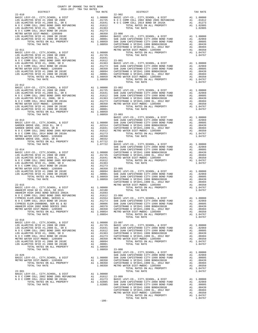| COUNTY OF ORANGE TAX RATE BOOK<br>2016-2017 TRA TAX RATES |  |                                                                                                                                                                                                                                                                                                                                                                                                          |          |
|-----------------------------------------------------------|--|----------------------------------------------------------------------------------------------------------------------------------------------------------------------------------------------------------------------------------------------------------------------------------------------------------------------------------------------------------------------------------------------------------|----------|
| DISTRICT<br>$22 - 010$                                    |  | $\begin{array}{ll}\n\text{1.1.1}\n\text{1.1.1}\n\text{1.1.1}\n\text{1.1.1}\n\text{1.1.1}\n\text{1.1.1}\n\text{1.1.1}\n\text{1.1.1}\n\text{1.1.1}\n\text{1.1.1}\n\text{1.1.1}\n\text{1.1.1}\n\text{1.1.1}\n\text{1.1.1}\n\text{1.1.1}\n\text{1.1.1}\n\text{1.1.1}\n\text{1.1.1}\n\text{1.1.1}\n\text{1.1.1}\n\text{1.1.1}\n\text$                                                                         | TAX RATE |
|                                                           |  |                                                                                                                                                                                                                                                                                                                                                                                                          |          |
|                                                           |  |                                                                                                                                                                                                                                                                                                                                                                                                          |          |
|                                                           |  |                                                                                                                                                                                                                                                                                                                                                                                                          |          |
|                                                           |  |                                                                                                                                                                                                                                                                                                                                                                                                          |          |
|                                                           |  |                                                                                                                                                                                                                                                                                                                                                                                                          |          |
|                                                           |  |                                                                                                                                                                                                                                                                                                                                                                                                          |          |
|                                                           |  |                                                                                                                                                                                                                                                                                                                                                                                                          |          |
|                                                           |  |                                                                                                                                                                                                                                                                                                                                                                                                          |          |
|                                                           |  |                                                                                                                                                                                                                                                                                                                                                                                                          |          |
|                                                           |  |                                                                                                                                                                                                                                                                                                                                                                                                          |          |
|                                                           |  |                                                                                                                                                                                                                                                                                                                                                                                                          |          |
|                                                           |  |                                                                                                                                                                                                                                                                                                                                                                                                          |          |
|                                                           |  |                                                                                                                                                                                                                                                                                                                                                                                                          |          |
|                                                           |  |                                                                                                                                                                                                                                                                                                                                                                                                          |          |
|                                                           |  |                                                                                                                                                                                                                                                                                                                                                                                                          |          |
|                                                           |  |                                                                                                                                                                                                                                                                                                                                                                                                          |          |
|                                                           |  |                                                                                                                                                                                                                                                                                                                                                                                                          |          |
|                                                           |  |                                                                                                                                                                                                                                                                                                                                                                                                          |          |
| $22 - 012$                                                |  |                                                                                                                                                                                                                                                                                                                                                                                                          |          |
|                                                           |  |                                                                                                                                                                                                                                                                                                                                                                                                          |          |
|                                                           |  |                                                                                                                                                                                                                                                                                                                                                                                                          |          |
|                                                           |  |                                                                                                                                                                                                                                                                                                                                                                                                          |          |
|                                                           |  |                                                                                                                                                                                                                                                                                                                                                                                                          |          |
|                                                           |  |                                                                                                                                                                                                                                                                                                                                                                                                          |          |
|                                                           |  |                                                                                                                                                                                                                                                                                                                                                                                                          |          |
|                                                           |  |                                                                                                                                                                                                                                                                                                                                                                                                          |          |
|                                                           |  |                                                                                                                                                                                                                                                                                                                                                                                                          |          |
|                                                           |  |                                                                                                                                                                                                                                                                                                                                                                                                          |          |
|                                                           |  |                                                                                                                                                                                                                                                                                                                                                                                                          |          |
|                                                           |  |                                                                                                                                                                                                                                                                                                                                                                                                          |          |
|                                                           |  |                                                                                                                                                                                                                                                                                                                                                                                                          |          |
|                                                           |  |                                                                                                                                                                                                                                                                                                                                                                                                          |          |
|                                                           |  |                                                                                                                                                                                                                                                                                                                                                                                                          |          |
|                                                           |  |                                                                                                                                                                                                                                                                                                                                                                                                          |          |
|                                                           |  |                                                                                                                                                                                                                                                                                                                                                                                                          |          |
|                                                           |  |                                                                                                                                                                                                                                                                                                                                                                                                          |          |
|                                                           |  |                                                                                                                                                                                                                                                                                                                                                                                                          |          |
|                                                           |  |                                                                                                                                                                                                                                                                                                                                                                                                          |          |
|                                                           |  |                                                                                                                                                                                                                                                                                                                                                                                                          |          |
|                                                           |  |                                                                                                                                                                                                                                                                                                                                                                                                          |          |
|                                                           |  |                                                                                                                                                                                                                                                                                                                                                                                                          |          |
|                                                           |  |                                                                                                                                                                                                                                                                                                                                                                                                          |          |
|                                                           |  |                                                                                                                                                                                                                                                                                                                                                                                                          |          |
|                                                           |  |                                                                                                                                                                                                                                                                                                                                                                                                          |          |
|                                                           |  |                                                                                                                                                                                                                                                                                                                                                                                                          |          |
|                                                           |  |                                                                                                                                                                                                                                                                                                                                                                                                          |          |
|                                                           |  |                                                                                                                                                                                                                                                                                                                                                                                                          |          |
|                                                           |  | $\begin{tabular}{l c c c c c} \multicolumn{4}{c}{ANAEHEIM HIGH 2002 BOND SEREIES 2002A} & \multicolumn{4}{c}{A1} & .01693 \\ \multicolumn{4}{c}{NNAHEIM HIGH 2002 BOND SEREIES 2002A} & \multicolumn{4}{c}{A1} & .01693 \\ \multicolumn{4}{c}{N O C COMOCLL 2008 BOND 2005 REFFUNDING} & \multicolumn{4}{c}{A1} & .01612 & 23-006 \\ \multicolumn{4}{c}{N O C COMOCLL 2014 BOND SREIES A} & \multic$     |          |
|                                                           |  |                                                                                                                                                                                                                                                                                                                                                                                                          |          |
|                                                           |  |                                                                                                                                                                                                                                                                                                                                                                                                          |          |
|                                                           |  |                                                                                                                                                                                                                                                                                                                                                                                                          |          |
|                                                           |  |                                                                                                                                                                                                                                                                                                                                                                                                          |          |
|                                                           |  |                                                                                                                                                                                                                                                                                                                                                                                                          |          |
| $22 - 016$                                                |  |                                                                                                                                                                                                                                                                                                                                                                                                          |          |
|                                                           |  |                                                                                                                                                                                                                                                                                                                                                                                                          |          |
|                                                           |  |                                                                                                                                                                                                                                                                                                                                                                                                          |          |
|                                                           |  |                                                                                                                                                                                                                                                                                                                                                                                                          |          |
|                                                           |  |                                                                                                                                                                                                                                                                                                                                                                                                          |          |
|                                                           |  |                                                                                                                                                                                                                                                                                                                                                                                                          |          |
|                                                           |  |                                                                                                                                                                                                                                                                                                                                                                                                          |          |
|                                                           |  |                                                                                                                                                                                                                                                                                                                                                                                                          |          |
|                                                           |  |                                                                                                                                                                                                                                                                                                                                                                                                          |          |
|                                                           |  |                                                                                                                                                                                                                                                                                                                                                                                                          |          |
|                                                           |  | $\begin{tabular}{c c c c c} \multicolumn{3}{c c c c} \multicolumn{3}{c c c} \multicolumn{3}{c c c} \multicolumn{3}{c c c} \multicolumn{3}{c c c} \multicolumn{3}{c c c} \multicolumn{3}{c c c} \multicolumn{3}{c c c} \multicolumn{3}{c c c} \multicolumn{3}{c c c} \multicolumn{3}{c c c} \multicolumn{3}{c c c} \multicolumn{3}{c c c} \multicolumn{3}{c c c} \multicolumn{3}{c c c} \multicolumn{3}{$ |          |
|                                                           |  |                                                                                                                                                                                                                                                                                                                                                                                                          |          |
|                                                           |  |                                                                                                                                                                                                                                                                                                                                                                                                          |          |
|                                                           |  |                                                                                                                                                                                                                                                                                                                                                                                                          |          |
|                                                           |  |                                                                                                                                                                                                                                                                                                                                                                                                          |          |
|                                                           |  | $\begin{tabular}{l c c c c c} \hline \texttt{TOTAL} \texttt{IAA} \texttt{AAA} & \texttt{0.0000} & \texttt{1.00000} & \texttt{1.00000} & \texttt{1.00000} & \texttt{1.00000} & \texttt{1.00000} & \texttt{1.00000} & \texttt{1.00000} & \texttt{1.00000} & \texttt{1.00000} & \texttt{1.00000} & \texttt{1.00000} & \texttt{1.00000} & \texttt{1.00$                                                      |          |
|                                                           |  |                                                                                                                                                                                                                                                                                                                                                                                                          |          |
|                                                           |  |                                                                                                                                                                                                                                                                                                                                                                                                          |          |
|                                                           |  |                                                                                                                                                                                                                                                                                                                                                                                                          |          |
|                                                           |  |                                                                                                                                                                                                                                                                                                                                                                                                          |          |
|                                                           |  |                                                                                                                                                                                                                                                                                                                                                                                                          |          |
|                                                           |  |                                                                                                                                                                                                                                                                                                                                                                                                          |          |
|                                                           |  |                                                                                                                                                                                                                                                                                                                                                                                                          |          |

-186-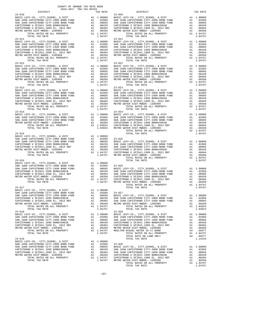|            |         | $\begin{tabular}{c c c c c} \multicolumn{1}{c}{23-011} & \multicolumn{1}{c}{23-012} & \multicolumn{1}{c}{23-012} & \multicolumn{1}{c}{23-012} & \multicolumn{1}{c}{23-012} & \multicolumn{1}{c}{23-012} & \multicolumn{1}{c}{23-012} & \multicolumn{1}{c}{23-012} & \multicolumn{1}{c}{23-012} & \multicolumn{1}{c}{23-012} & \multicolumn{1}{c}{23-012} & \multicolumn{1}{c}{23-012} &$ |         |
|------------|---------|------------------------------------------------------------------------------------------------------------------------------------------------------------------------------------------------------------------------------------------------------------------------------------------------------------------------------------------------------------------------------------------|---------|
|            |         |                                                                                                                                                                                                                                                                                                                                                                                          |         |
|            |         |                                                                                                                                                                                                                                                                                                                                                                                          |         |
|            |         |                                                                                                                                                                                                                                                                                                                                                                                          |         |
|            |         |                                                                                                                                                                                                                                                                                                                                                                                          |         |
|            |         |                                                                                                                                                                                                                                                                                                                                                                                          |         |
|            |         |                                                                                                                                                                                                                                                                                                                                                                                          |         |
| $23 - 012$ |         | $23 - 022$                                                                                                                                                                                                                                                                                                                                                                               |         |
|            |         |                                                                                                                                                                                                                                                                                                                                                                                          |         |
|            |         |                                                                                                                                                                                                                                                                                                                                                                                          |         |
|            |         |                                                                                                                                                                                                                                                                                                                                                                                          |         |
|            |         |                                                                                                                                                                                                                                                                                                                                                                                          |         |
|            |         |                                                                                                                                                                                                                                                                                                                                                                                          |         |
|            |         |                                                                                                                                                                                                                                                                                                                                                                                          |         |
|            |         |                                                                                                                                                                                                                                                                                                                                                                                          |         |
|            |         |                                                                                                                                                                                                                                                                                                                                                                                          |         |
|            |         |                                                                                                                                                                                                                                                                                                                                                                                          |         |
|            |         |                                                                                                                                                                                                                                                                                                                                                                                          |         |
|            |         |                                                                                                                                                                                                                                                                                                                                                                                          |         |
|            |         |                                                                                                                                                                                                                                                                                                                                                                                          |         |
|            |         |                                                                                                                                                                                                                                                                                                                                                                                          |         |
|            |         |                                                                                                                                                                                                                                                                                                                                                                                          |         |
|            |         |                                                                                                                                                                                                                                                                                                                                                                                          |         |
|            |         |                                                                                                                                                                                                                                                                                                                                                                                          |         |
|            |         |                                                                                                                                                                                                                                                                                                                                                                                          |         |
|            |         |                                                                                                                                                                                                                                                                                                                                                                                          |         |
|            |         |                                                                                                                                                                                                                                                                                                                                                                                          |         |
|            |         |                                                                                                                                                                                                                                                                                                                                                                                          |         |
|            |         |                                                                                                                                                                                                                                                                                                                                                                                          |         |
|            |         |                                                                                                                                                                                                                                                                                                                                                                                          |         |
|            |         |                                                                                                                                                                                                                                                                                                                                                                                          |         |
|            |         |                                                                                                                                                                                                                                                                                                                                                                                          |         |
|            |         |                                                                                                                                                                                                                                                                                                                                                                                          |         |
|            |         |                                                                                                                                                                                                                                                                                                                                                                                          |         |
|            |         |                                                                                                                                                                                                                                                                                                                                                                                          |         |
|            |         |                                                                                                                                                                                                                                                                                                                                                                                          |         |
|            |         |                                                                                                                                                                                                                                                                                                                                                                                          |         |
|            |         |                                                                                                                                                                                                                                                                                                                                                                                          |         |
|            |         |                                                                                                                                                                                                                                                                                                                                                                                          |         |
|            |         |                                                                                                                                                                                                                                                                                                                                                                                          |         |
|            |         |                                                                                                                                                                                                                                                                                                                                                                                          |         |
|            |         |                                                                                                                                                                                                                                                                                                                                                                                          |         |
|            |         |                                                                                                                                                                                                                                                                                                                                                                                          |         |
|            |         |                                                                                                                                                                                                                                                                                                                                                                                          |         |
|            |         |                                                                                                                                                                                                                                                                                                                                                                                          |         |
|            |         |                                                                                                                                                                                                                                                                                                                                                                                          |         |
|            |         |                                                                                                                                                                                                                                                                                                                                                                                          |         |
|            |         |                                                                                                                                                                                                                                                                                                                                                                                          |         |
|            |         |                                                                                                                                                                                                                                                                                                                                                                                          |         |
|            |         |                                                                                                                                                                                                                                                                                                                                                                                          |         |
|            |         |                                                                                                                                                                                                                                                                                                                                                                                          | 1.03924 |
| $23 - 018$ | 1.04767 | $23 - 028$                                                                                                                                                                                                                                                                                                                                                                               |         |
|            |         |                                                                                                                                                                                                                                                                                                                                                                                          |         |
|            |         |                                                                                                                                                                                                                                                                                                                                                                                          |         |
|            |         |                                                                                                                                                                                                                                                                                                                                                                                          |         |
|            |         |                                                                                                                                                                                                                                                                                                                                                                                          |         |
|            |         |                                                                                                                                                                                                                                                                                                                                                                                          |         |
|            |         | $\begin{tabular}{c c c c c} \multicolumn{4}{c}{23-018} \multicolumn{4}{c}{23-018} \multicolumn{4}{c}{23-018} \multicolumn{4}{c}{23-019} \multicolumn{4}{c}{23-019} \multicolumn{4}{c}{23-019} \multicolumn{4}{c}{23-019} \multicolumn{4}{c}{23-019} \multicolumn{4}{c}{23-019} \multicolumn{4}{c}{23-019} \multicolumn{4}{c}{23-019} \multicolumn{4}{c}{23-019} \multicolumn{4}{c}{23-$  |         |
|            |         |                                                                                                                                                                                                                                                                                                                                                                                          |         |
| $23 - 019$ |         | TOTAL TAX RATE                                                                                                                                                                                                                                                                                                                                                                           | 1.14144 |
|            |         |                                                                                                                                                                                                                                                                                                                                                                                          |         |
|            |         |                                                                                                                                                                                                                                                                                                                                                                                          |         |
|            |         |                                                                                                                                                                                                                                                                                                                                                                                          |         |
|            |         |                                                                                                                                                                                                                                                                                                                                                                                          |         |
|            |         |                                                                                                                                                                                                                                                                                                                                                                                          |         |
|            |         |                                                                                                                                                                                                                                                                                                                                                                                          |         |
|            |         |                                                                                                                                                                                                                                                                                                                                                                                          |         |
|            |         |                                                                                                                                                                                                                                                                                                                                                                                          |         |

COUNTY OF ORANGE TAX RATE BOOK 2016-2017 TRA TAX RATES

TOTAL RATES ON ALL PROPERTY A1 1.04767<br>
TOTAL TAX RATE 1.04767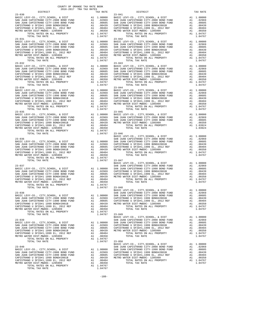|                                                                                    |    |                                                       | $23 - 042$            |
|------------------------------------------------------------------------------------|----|-------------------------------------------------------|-----------------------|
|                                                                                    |    |                                                       |                       |
|                                                                                    |    |                                                       |                       |
|                                                                                    |    |                                                       |                       |
|                                                                                    |    |                                                       |                       |
|                                                                                    |    |                                                       |                       |
| TOTAL TAX RATE                                                                     |    | 1.04767                                               |                       |
| $23 - 032$                                                                         |    |                                                       | $23 - 043$            |
|                                                                                    |    |                                                       |                       |
|                                                                                    |    |                                                       |                       |
|                                                                                    |    |                                                       |                       |
|                                                                                    |    |                                                       |                       |
|                                                                                    |    |                                                       |                       |
|                                                                                    |    |                                                       |                       |
| $23 - 034$                                                                         |    |                                                       | $23 - 044$            |
|                                                                                    |    |                                                       |                       |
|                                                                                    |    |                                                       |                       |
|                                                                                    |    |                                                       |                       |
|                                                                                    |    |                                                       |                       |
|                                                                                    |    |                                                       |                       |
| TOTAL TAX RATE                                                                     |    | 1.04767                                               |                       |
|                                                                                    |    |                                                       |                       |
|                                                                                    |    |                                                       |                       |
|                                                                                    |    |                                                       |                       |
|                                                                                    |    |                                                       |                       |
|                                                                                    |    |                                                       |                       |
|                                                                                    |    |                                                       |                       |
|                                                                                    |    |                                                       | BASIC L               |
|                                                                                    |    |                                                       |                       |
|                                                                                    |    |                                                       |                       |
|                                                                                    |    |                                                       |                       |
|                                                                                    |    |                                                       |                       |
|                                                                                    |    |                                                       |                       |
|                                                                                    |    |                                                       |                       |
|                                                                                    |    | 1.04767 23-047                                        |                       |
| $23 - 037$                                                                         |    |                                                       | BASIC L               |
|                                                                                    |    |                                                       | SAN JUA               |
|                                                                                    |    |                                                       |                       |
|                                                                                    |    |                                                       |                       |
|                                                                                    |    |                                                       |                       |
|                                                                                    |    |                                                       |                       |
|                                                                                    |    |                                                       |                       |
|                                                                                    |    |                                                       | BASIC L               |
| $23 - 038$                                                                         |    |                                                       | SAN JUA               |
|                                                                                    |    |                                                       |                       |
|                                                                                    |    |                                                       |                       |
| CAPISTRANO U SFID#1 1999 BOND#2001B                                                |    | A1 .00439                                             | METRO W               |
| CAPISTRANO U SFID#1,1999 EL, 2012 REF                                              |    | $A1$ . 00404<br>Al . 00404                            |                       |
| METRO WATER DIST-MWDOC- 1205999<br>TOTAL RATES ON ALL PROPERTY                     |    | A1 1.04767                                            |                       |
| TOTAL TAX RATE                                                                     |    | 1.04767                                               | $23 - 049$            |
|                                                                                    |    |                                                       | BASIC L               |
| $23 - 039$<br>BASIC LEVY-CO., CITY, SCHOOL, & DIST                                 |    | A1 1.00000                                            | SAN JUA<br>SAN JUA    |
| SAN JUAN CAPISTRANO CITY-2008 BOND FUND                                            |    | A1.02969                                              | CAPISTR               |
| SAN JUAN CAPISTRANO CITY-1990 BOND FUND                                            | A1 | .00605<br>.00439                                      | CAPISTR               |
| CAPISTRANO U SFID#1 1999 BOND#2001B<br>CAPISTRANO U SFID#1,1999 EL, 2012 REF       | A1 | A1 .00404                                             | METRO W               |
| METRO WATER DIST-MWDOC- 1205999                                                    |    | A1 .00350                                             |                       |
| TOTAL RATES ON ALL PROPERTY                                                        |    | A1 1.04767                                            |                       |
| TOTAL TAX RATE                                                                     |    | 1.04767                                               | $23 - 050$<br>BASIC L |
| $23 - 040$                                                                         |    |                                                       | SAN JUA               |
| BASIC LEVY-CO., CITY, SCHOOL, & DIST                                               |    | A1 1.00000<br>A1 1.00000 SAN JUA<br>A1 .02969 CAPISTR |                       |
| SAN JUAN CAPISTRANO CITY-2008 BOND FUND<br>SAN JUAN CAPISTRANO CITY-1990 BOND FUND |    |                                                       |                       |
| CAPISTRANO U SFID#1 1999 BOND#2001B                                                |    | A1 .00605 CAPISTR<br>A1 .00439 METROW                 |                       |
| CAPISTRANO U SFID#1,1999 EL, 2012 REF                                              |    | A1 .00404                                             |                       |
| METRO WATER DIST-MWDOC- 1205999                                                    | A1 | .00350                                                |                       |

| COUNTY OF ORANGE TAX RATE BOOK<br>$2016-2017\quad\text{TRA RATES}\xspace$ DISTRICT                                                                                                                                                                                                                                                                                                                                    |          |                        |          |
|-----------------------------------------------------------------------------------------------------------------------------------------------------------------------------------------------------------------------------------------------------------------------------------------------------------------------------------------------------------------------------------------------------------------------|----------|------------------------|----------|
| $23 - 030$                                                                                                                                                                                                                                                                                                                                                                                                            | TAX RATE | DISTRICT<br>$23 - 041$ | TAX RATE |
|                                                                                                                                                                                                                                                                                                                                                                                                                       |          |                        |          |
| $23 - 031$                                                                                                                                                                                                                                                                                                                                                                                                            |          | $23 - 042$             |          |
|                                                                                                                                                                                                                                                                                                                                                                                                                       |          |                        |          |
| $23 - 034$                                                                                                                                                                                                                                                                                                                                                                                                            |          | $23 - 044$             |          |
|                                                                                                                                                                                                                                                                                                                                                                                                                       |          |                        |          |
|                                                                                                                                                                                                                                                                                                                                                                                                                       |          |                        |          |
| $\begin{tabular}{cccc} \texttt{23-036} & \texttt{1.03924} & \texttt{1.03924} & \texttt{1.03924} \\ & & \texttt{BASTC LEVY-CO.}, \texttt{CITY}, \texttt{SCHOOL}, \texttt{ & DIST} & \texttt{A1} & \texttt{1.00000} \\ \texttt{BASIC LEVY-CO.}, \texttt{CITY}, \texttt{SCHOOL}, \texttt{ & DIST} & \texttt{A1} & \texttt{1.00000} \\ \texttt{BASIC LEVY-CO.}, \texttt{CITY}, \texttt{SCHOOL}, \texttt{ & DIST} & \text$ |          |                        |          |
|                                                                                                                                                                                                                                                                                                                                                                                                                       |          |                        |          |
|                                                                                                                                                                                                                                                                                                                                                                                                                       |          |                        |          |
|                                                                                                                                                                                                                                                                                                                                                                                                                       |          |                        |          |
|                                                                                                                                                                                                                                                                                                                                                                                                                       |          |                        |          |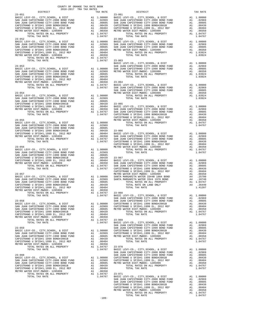| DISTRICT                                                                                                                           |    | TAX RATE                                                    |            |
|------------------------------------------------------------------------------------------------------------------------------------|----|-------------------------------------------------------------|------------|
| $23 - 051$                                                                                                                         |    |                                                             | $23 - 061$ |
|                                                                                                                                    |    |                                                             |            |
|                                                                                                                                    |    |                                                             |            |
|                                                                                                                                    |    |                                                             |            |
|                                                                                                                                    |    |                                                             |            |
|                                                                                                                                    |    |                                                             |            |
|                                                                                                                                    |    |                                                             |            |
|                                                                                                                                    |    |                                                             |            |
|                                                                                                                                    |    |                                                             |            |
|                                                                                                                                    |    |                                                             |            |
|                                                                                                                                    |    |                                                             |            |
|                                                                                                                                    |    |                                                             |            |
|                                                                                                                                    |    |                                                             |            |
|                                                                                                                                    |    |                                                             |            |
|                                                                                                                                    |    |                                                             |            |
|                                                                                                                                    |    |                                                             |            |
|                                                                                                                                    |    |                                                             |            |
|                                                                                                                                    |    |                                                             |            |
| $23 - 053$                                                                                                                         |    |                                                             | SAN JUA    |
|                                                                                                                                    |    |                                                             |            |
|                                                                                                                                    |    |                                                             |            |
|                                                                                                                                    |    |                                                             |            |
|                                                                                                                                    |    |                                                             |            |
|                                                                                                                                    |    |                                                             |            |
|                                                                                                                                    |    |                                                             |            |
|                                                                                                                                    |    |                                                             |            |
|                                                                                                                                    |    |                                                             | SAN JUA    |
|                                                                                                                                    |    |                                                             |            |
|                                                                                                                                    |    |                                                             |            |
|                                                                                                                                    |    |                                                             |            |
|                                                                                                                                    |    |                                                             |            |
|                                                                                                                                    |    |                                                             |            |
|                                                                                                                                    |    |                                                             |            |
|                                                                                                                                    |    |                                                             |            |
|                                                                                                                                    |    |                                                             |            |
|                                                                                                                                    |    |                                                             | CAPISTR    |
| $23 - 055$                                                                                                                         |    |                                                             | METRO W    |
|                                                                                                                                    |    |                                                             |            |
|                                                                                                                                    |    |                                                             |            |
|                                                                                                                                    |    |                                                             |            |
|                                                                                                                                    |    |                                                             |            |
|                                                                                                                                    |    |                                                             |            |
|                                                                                                                                    |    |                                                             |            |
|                                                                                                                                    |    |                                                             |            |
|                                                                                                                                    |    |                                                             | CAPISTR    |
|                                                                                                                                    |    |                                                             | METRO W    |
|                                                                                                                                    |    |                                                             |            |
|                                                                                                                                    |    |                                                             |            |
|                                                                                                                                    |    |                                                             |            |
|                                                                                                                                    |    |                                                             |            |
|                                                                                                                                    |    |                                                             |            |
|                                                                                                                                    |    |                                                             |            |
|                                                                                                                                    |    |                                                             |            |
|                                                                                                                                    |    |                                                             |            |
|                                                                                                                                    |    |                                                             | CAPISTR    |
|                                                                                                                                    |    |                                                             |            |
|                                                                                                                                    |    |                                                             |            |
|                                                                                                                                    |    |                                                             |            |
|                                                                                                                                    |    |                                                             |            |
|                                                                                                                                    |    |                                                             |            |
|                                                                                                                                    |    |                                                             |            |
|                                                                                                                                    |    |                                                             |            |
|                                                                                                                                    |    |                                                             |            |
|                                                                                                                                    |    |                                                             |            |
|                                                                                                                                    |    |                                                             |            |
| BASIC LEVY-CO., CITY, SCHOOL, & DIST                                                                                               |    | A1 1.00000                                                  | CAPISTR    |
| SAN JUAN CAPISTRANO CITY-2008 BOND FUND<br>SAN JUAN CAPISTRANO CITY-1990 BOND FUND                                                 |    | A1 .02969 CAPISTR<br>A1 .00605 METRO W                      |            |
| CAPISTRANO U SFID#1 1999 BOND#2001B                                                                                                |    |                                                             |            |
|                                                                                                                                    |    | A1.00439                                                    |            |
| CAPISTRANO U SFID#1,1999 EL, 2012 REF<br>METRO WATER DIST-MWDOC- 1205999                                                           | A1 | A1 .00404<br>.00350                                         |            |
| TOTAL RATES ON ALL PROPERTY                                                                                                        |    | A1 1.04767                                                  | $23 - 069$ |
| TOTAL TAX RATE                                                                                                                     |    | 1.04767                                                     | BASIC L    |
|                                                                                                                                    |    |                                                             | SAN JUA    |
| $23 - 059$                                                                                                                         |    |                                                             | SAN JUA    |
| BASIC LEVY-CO., CITY, SCHOOL, & DIST                                                                                               |    | A1 1.00000 CAPISTR<br>A1 .02969 CAPISTR<br>A1 .00605 METROW |            |
|                                                                                                                                    |    |                                                             |            |
| BASIC LEVITOR (APISTRANO CITY-2008 BOND FUND<br>SAN JUAN CAPISTRANO CITY-2008 BOND FUND<br>SAN JUAN CAPISTRANO CITY-1990 BOND FUND |    |                                                             |            |
| CAPISTRANO U SFID#1 1999 BOND#2001B                                                                                                | A1 | .00439                                                      |            |
| CAPISTRANO U SFID#1,1999 EL, 2012 REF                                                                                              | A1 | .00404                                                      |            |
| METRO WATER DIST-MWDOC- 1205999<br>TOTAL RATES ON ALL PROPERTY                                                                     | A1 | .00350<br>A1 1.04767                                        | $23 - 070$ |
| TOTAL TAX RATE                                                                                                                     |    | 1.04767                                                     | BASIC L    |
|                                                                                                                                    |    |                                                             | SAN JUA    |
| $23 - 060$                                                                                                                         |    |                                                             | SAN JUA    |
| BASIC LEVY-CO., CITY, SCHOOL, & DIST                                                                                               |    | A1 1.00000                                                  | CAPISTR    |
| SAN JUAN CAPISTRANO CITY-2008 BOND FUND                                                                                            |    | A1.02969                                                    | CAPISTR    |
| SAN JUAN CAPISTRANO CITY-1990 BOND FUND                                                                                            | A1 | .00605                                                      | METRO W    |
| CAPISTRANO U SFID#1 1999 BOND#2001B                                                                                                | A1 | .00439                                                      |            |
| CAPISTRANO U SFID#1,1999 EL, 2012 REF                                                                                              |    | A1 .00404                                                   |            |
| METRO WATER DIST-MWDOC- 1205999                                                                                                    | A1 | .00350                                                      |            |
| TOTAL RATES ON ALL PROPERTY                                                                                                        |    | A1 1.04767                                                  | $23 - 071$ |
| TOTAL TAX RATE                                                                                                                     |    | 1.04767 BASIC L                                             |            |

| COUNTY OF ORANGE TAX RATE BOOK<br>2016-2017 TRA TAX RATES                                                                                                                                                                                                                                                                                                                                                                             |          |            |          |
|---------------------------------------------------------------------------------------------------------------------------------------------------------------------------------------------------------------------------------------------------------------------------------------------------------------------------------------------------------------------------------------------------------------------------------------|----------|------------|----------|
| DISTRICT                                                                                                                                                                                                                                                                                                                                                                                                                              | TAX RATE | DISTRICT   | TAX RATE |
| $23 - 051$                                                                                                                                                                                                                                                                                                                                                                                                                            |          | $23 - 061$ |          |
| $23 - 052$                                                                                                                                                                                                                                                                                                                                                                                                                            |          | $23 - 062$ |          |
|                                                                                                                                                                                                                                                                                                                                                                                                                                       |          |            |          |
|                                                                                                                                                                                                                                                                                                                                                                                                                                       |          |            |          |
|                                                                                                                                                                                                                                                                                                                                                                                                                                       |          |            |          |
|                                                                                                                                                                                                                                                                                                                                                                                                                                       |          |            |          |
|                                                                                                                                                                                                                                                                                                                                                                                                                                       |          |            |          |
|                                                                                                                                                                                                                                                                                                                                                                                                                                       |          |            |          |
|                                                                                                                                                                                                                                                                                                                                                                                                                                       |          |            |          |
|                                                                                                                                                                                                                                                                                                                                                                                                                                       |          |            |          |
|                                                                                                                                                                                                                                                                                                                                                                                                                                       |          |            |          |
|                                                                                                                                                                                                                                                                                                                                                                                                                                       |          |            |          |
|                                                                                                                                                                                                                                                                                                                                                                                                                                       |          |            |          |
|                                                                                                                                                                                                                                                                                                                                                                                                                                       |          |            |          |
|                                                                                                                                                                                                                                                                                                                                                                                                                                       |          |            |          |
|                                                                                                                                                                                                                                                                                                                                                                                                                                       |          |            |          |
|                                                                                                                                                                                                                                                                                                                                                                                                                                       |          |            |          |
|                                                                                                                                                                                                                                                                                                                                                                                                                                       |          |            |          |
|                                                                                                                                                                                                                                                                                                                                                                                                                                       |          |            |          |
|                                                                                                                                                                                                                                                                                                                                                                                                                                       |          |            |          |
|                                                                                                                                                                                                                                                                                                                                                                                                                                       |          |            |          |
|                                                                                                                                                                                                                                                                                                                                                                                                                                       |          |            |          |
|                                                                                                                                                                                                                                                                                                                                                                                                                                       |          |            |          |
|                                                                                                                                                                                                                                                                                                                                                                                                                                       |          |            |          |
|                                                                                                                                                                                                                                                                                                                                                                                                                                       |          |            |          |
|                                                                                                                                                                                                                                                                                                                                                                                                                                       |          |            |          |
|                                                                                                                                                                                                                                                                                                                                                                                                                                       |          |            |          |
|                                                                                                                                                                                                                                                                                                                                                                                                                                       |          |            |          |
|                                                                                                                                                                                                                                                                                                                                                                                                                                       |          |            |          |
|                                                                                                                                                                                                                                                                                                                                                                                                                                       |          |            |          |
|                                                                                                                                                                                                                                                                                                                                                                                                                                       |          |            |          |
|                                                                                                                                                                                                                                                                                                                                                                                                                                       |          |            |          |
|                                                                                                                                                                                                                                                                                                                                                                                                                                       |          |            |          |
|                                                                                                                                                                                                                                                                                                                                                                                                                                       |          |            |          |
|                                                                                                                                                                                                                                                                                                                                                                                                                                       |          |            |          |
|                                                                                                                                                                                                                                                                                                                                                                                                                                       |          |            |          |
|                                                                                                                                                                                                                                                                                                                                                                                                                                       |          |            |          |
|                                                                                                                                                                                                                                                                                                                                                                                                                                       |          |            |          |
|                                                                                                                                                                                                                                                                                                                                                                                                                                       |          |            |          |
| $\begin{tabular}{cccccc} $\mathsf{L}(\mathsf{A}\mathsf{L}\ \texttt{RATE} & \mathsf{S}(\mathsf{A}\mathsf{L}\mathsf{L}\ \texttt{PQDEFRTY}$ & $\mathsf{A1}$ & $\mathsf{1.04767}$ & $\mathsf{23-068}$ & $\mathsf{1.41207}$ \\ $\mathsf{1.41767}$ & $\mathsf{BAB1C EWY-OO},$, $\mathsf{CITY},\mathsf{SCHOOL},$\mathsf{E}\ \texttt{DATE} & $\mathsf{A1}$ & $\mathsf{1.00000}$ & $\mathsf{CAPISTRANO U STIPAID} & $\mathsf{1.1999} & $\math$ |          |            |          |
|                                                                                                                                                                                                                                                                                                                                                                                                                                       |          |            |          |
|                                                                                                                                                                                                                                                                                                                                                                                                                                       |          |            |          |
|                                                                                                                                                                                                                                                                                                                                                                                                                                       |          |            |          |
|                                                                                                                                                                                                                                                                                                                                                                                                                                       |          |            |          |
|                                                                                                                                                                                                                                                                                                                                                                                                                                       |          |            |          |
|                                                                                                                                                                                                                                                                                                                                                                                                                                       |          |            |          |
|                                                                                                                                                                                                                                                                                                                                                                                                                                       |          |            |          |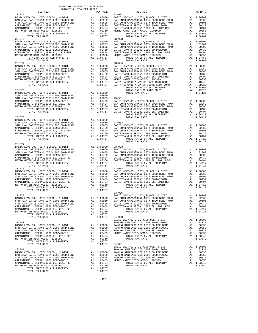|                                                                                                                                                                                                                                                                                                                                                                                                                |  | TOTAL TAX RATE                                                                                                                                         | 1.04417 |
|----------------------------------------------------------------------------------------------------------------------------------------------------------------------------------------------------------------------------------------------------------------------------------------------------------------------------------------------------------------------------------------------------------------|--|--------------------------------------------------------------------------------------------------------------------------------------------------------|---------|
| $23 - 077$                                                                                                                                                                                                                                                                                                                                                                                                     |  |                                                                                                                                                        |         |
|                                                                                                                                                                                                                                                                                                                                                                                                                |  |                                                                                                                                                        |         |
|                                                                                                                                                                                                                                                                                                                                                                                                                |  |                                                                                                                                                        |         |
|                                                                                                                                                                                                                                                                                                                                                                                                                |  |                                                                                                                                                        |         |
|                                                                                                                                                                                                                                                                                                                                                                                                                |  |                                                                                                                                                        |         |
|                                                                                                                                                                                                                                                                                                                                                                                                                |  |                                                                                                                                                        |         |
|                                                                                                                                                                                                                                                                                                                                                                                                                |  |                                                                                                                                                        |         |
|                                                                                                                                                                                                                                                                                                                                                                                                                |  |                                                                                                                                                        |         |
|                                                                                                                                                                                                                                                                                                                                                                                                                |  |                                                                                                                                                        |         |
|                                                                                                                                                                                                                                                                                                                                                                                                                |  |                                                                                                                                                        |         |
| $23 - 078$                                                                                                                                                                                                                                                                                                                                                                                                     |  | $23 - 904$                                                                                                                                             |         |
|                                                                                                                                                                                                                                                                                                                                                                                                                |  |                                                                                                                                                        |         |
|                                                                                                                                                                                                                                                                                                                                                                                                                |  |                                                                                                                                                        |         |
|                                                                                                                                                                                                                                                                                                                                                                                                                |  |                                                                                                                                                        |         |
|                                                                                                                                                                                                                                                                                                                                                                                                                |  |                                                                                                                                                        |         |
|                                                                                                                                                                                                                                                                                                                                                                                                                |  |                                                                                                                                                        |         |
|                                                                                                                                                                                                                                                                                                                                                                                                                |  |                                                                                                                                                        |         |
|                                                                                                                                                                                                                                                                                                                                                                                                                |  | $23 - 905$                                                                                                                                             |         |
|                                                                                                                                                                                                                                                                                                                                                                                                                |  |                                                                                                                                                        |         |
|                                                                                                                                                                                                                                                                                                                                                                                                                |  |                                                                                                                                                        |         |
|                                                                                                                                                                                                                                                                                                                                                                                                                |  | 23-079<br>BASIC LEVY-CO., CITY, SCHOOL, & DIST<br>BASIC LEVY-CO., CITY, SCHOOL, & DIST<br>Al 1.00000 SAN JUAN CAPISTRANO CITY-2008 BOND FUND AL .02969 |         |
|                                                                                                                                                                                                                                                                                                                                                                                                                |  |                                                                                                                                                        |         |
|                                                                                                                                                                                                                                                                                                                                                                                                                |  |                                                                                                                                                        |         |
|                                                                                                                                                                                                                                                                                                                                                                                                                |  |                                                                                                                                                        |         |
|                                                                                                                                                                                                                                                                                                                                                                                                                |  |                                                                                                                                                        |         |
|                                                                                                                                                                                                                                                                                                                                                                                                                |  |                                                                                                                                                        |         |
|                                                                                                                                                                                                                                                                                                                                                                                                                |  |                                                                                                                                                        |         |
|                                                                                                                                                                                                                                                                                                                                                                                                                |  |                                                                                                                                                        |         |
|                                                                                                                                                                                                                                                                                                                                                                                                                |  |                                                                                                                                                        |         |
|                                                                                                                                                                                                                                                                                                                                                                                                                |  |                                                                                                                                                        |         |
|                                                                                                                                                                                                                                                                                                                                                                                                                |  |                                                                                                                                                        |         |
|                                                                                                                                                                                                                                                                                                                                                                                                                |  |                                                                                                                                                        |         |
|                                                                                                                                                                                                                                                                                                                                                                                                                |  |                                                                                                                                                        |         |
|                                                                                                                                                                                                                                                                                                                                                                                                                |  |                                                                                                                                                        |         |
|                                                                                                                                                                                                                                                                                                                                                                                                                |  |                                                                                                                                                        |         |
|                                                                                                                                                                                                                                                                                                                                                                                                                |  |                                                                                                                                                        |         |
| $\begin{tabular}{cccc} \texttt{23-080} & \texttt{1.04417} & \texttt{24-000} & \texttt{BASTC LEvy-CO.}, & \texttt{CITY}, \texttt{SCHOOL}, & \texttt{A DIST} & \texttt{A1 1.00000} \\ & \texttt{RASTC LEvy-CO.}, & \texttt{CITY}, \texttt{SCHOOL}, & \texttt{A DIST} & \texttt{A1 1.00000} \\ \texttt{RASTC LEvy-CO.}, & \texttt{CITY}, \texttt{SCHOOL}, & \texttt{A DIST} & \texttt{A1 1.00000} \\ \texttt{RAN$ |  |                                                                                                                                                        |         |
|                                                                                                                                                                                                                                                                                                                                                                                                                |  |                                                                                                                                                        |         |
|                                                                                                                                                                                                                                                                                                                                                                                                                |  |                                                                                                                                                        |         |
|                                                                                                                                                                                                                                                                                                                                                                                                                |  |                                                                                                                                                        |         |
|                                                                                                                                                                                                                                                                                                                                                                                                                |  |                                                                                                                                                        |         |
|                                                                                                                                                                                                                                                                                                                                                                                                                |  |                                                                                                                                                        |         |
| $\begin{tabular}{c c c c c} \multicolumn{4}{c c c} \multicolumn{4}{c c c} \multicolumn{4}{c c c} \multicolumn{4}{c c c} \multicolumn{4}{c c c} \multicolumn{4}{c c c} \multicolumn{4}{c c c} \multicolumn{4}{c c c} \multicolumn{4}{c c c} \multicolumn{4}{c c c} \multicolumn{4}{c c c} \multicolumn{4}{c c c} \multicolumn{4}{c c c} \multicolumn{4}{c c c} \multicolumn{4}{c c c} \multicolumn{4}{c $       |  |                                                                                                                                                        |         |

-190-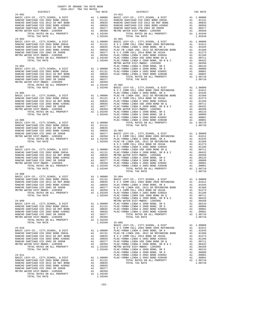| DISTRICT                                                                                                                                                                                                                                                                                                                                                                                                                                    |                                                                                                                                                                                                                                                                                                                           | TAX RATE                                                                                                                                                                                                          |                               |
|---------------------------------------------------------------------------------------------------------------------------------------------------------------------------------------------------------------------------------------------------------------------------------------------------------------------------------------------------------------------------------------------------------------------------------------------|---------------------------------------------------------------------------------------------------------------------------------------------------------------------------------------------------------------------------------------------------------------------------------------------------------------------------|-------------------------------------------------------------------------------------------------------------------------------------------------------------------------------------------------------------------|-------------------------------|
| $24 - 002$<br>BASIC LEVY-CO., CITY, SCHOOL, & DIST<br>RANCHO SANTIAGO CCD 2002 BOND 2003A<br>--------- SANTIAGO CCD 2012 GO REF BOND<br>RANCHO SANTIAGO CCD 2002 BOND #2006C<br>RANCHO SANTIAGO CCD 2002 SR 2005B<br>METRO WATER DIST-MWDOC- 1205999<br>TOTAT TIMPOC- 1205999<br>TOTAL RATES ON ALL PROPERTY<br>TOTAL TAX RATE                                                                                                              | $\begin{tabular}{ll} {\bf A1} & 1.00000 & 24-012 \\ {\bf A1} & .01131 & {\bf RANC} & {\bf A1} \\ {\bf A1} & .00835 & {\bf RANCHO} \\ {\bf A1} & .00656 & {\bf RANCHO} \\ {\bf A1} & .00577 & {\bf RANCHO} \\ {\bf A1} & .00350 & {\bf METRO W} \\ {\bf A1} & 1.03349 & \\ {\bf A1} & 1.03349 & {\bf A1} \\ \end{tabular}$ | 1.03349                                                                                                                                                                                                           | $24 - 012$                    |
| $24 - 003$                                                                                                                                                                                                                                                                                                                                                                                                                                  |                                                                                                                                                                                                                                                                                                                           |                                                                                                                                                                                                                   | $25 - 001$<br>METRO W         |
| $24 - 004$                                                                                                                                                                                                                                                                                                                                                                                                                                  |                                                                                                                                                                                                                                                                                                                           |                                                                                                                                                                                                                   | PLAC-YO                       |
| $\begin{tabular}{l c c c c c} & \multicolumn{1}{c}{\textbf{N} & $\mathcal{O}$ C}\\ \multicolumn{1}{c}{\textbf{BASE L} & $\mathcal{E}$V1-GO.}, $\mathcal{C}$ ITY, SCHOOL, $\&$ DIST$ & \multicolumn{1}{c}{\textbf{R}AC-HO} & \multicolumn{1}{c}{\textbf{PLAC-YB}}\\ \multicolumn{1}{c}{\textbf{RAMCHO SAMITAGO CCD 2002 BOND 2003A}} & \multicolumn{1}{c}{\textbf{A1}} & \multicolumn{1}{c}{\textbf{1.00000}} & \multicolumn{1}{c}{\textbf{$ |                                                                                                                                                                                                                                                                                                                           |                                                                                                                                                                                                                   | NOCC                          |
|                                                                                                                                                                                                                                                                                                                                                                                                                                             |                                                                                                                                                                                                                                                                                                                           |                                                                                                                                                                                                                   | NOCC                          |
| 24-007<br>BASIC LEVY-CO., CITY, SCHOOL, & DIST<br>RANCHO SANTIAGO CCD 2002 BOND 2003<br>RANCHO SANTIAGO CCD 2012 GO REF BOND<br>RANCHO SANTIAGO CCD 2002 BOND #2006C<br>RANCHO SANTIAGO CCD 2002 SR 2005B<br>PANCHO SANTIAGO CCD 2002 SR 2<br>METRO WATER DIST-MWDOC- 1205999<br>TOTAL TAX RATE                                                                                                                                             |                                                                                                                                                                                                                                                                                                                           | 1.03349                                                                                                                                                                                                           | PLAC-YO                       |
| $24 - 008$                                                                                                                                                                                                                                                                                                                                                                                                                                  |                                                                                                                                                                                                                                                                                                                           |                                                                                                                                                                                                                   | PLAC-YO                       |
| $24 - 009$<br>BASIC LEVY-CO., CITY, SCHOOL, & DIST<br>RANCHO SANTIAGO CCD 2002 BOND 2003A<br>RANCHO SANTIAGO CCD 2012 GO REF BOND<br>RANCHO SANTIAGO CCD 2002 BOND #2006C<br>RANCHO SANTIAGO CCD 2002 SR 2005B<br>METRO WATER DIST-MWDOC- 1205999<br>TOTAL RATES ON ALL PROPERTY<br>TOTAL TAX RATE                                                                                                                                          | A1                                                                                                                                                                                                                                                                                                                        | A1 1.00000 PLAC-YO<br>A1 .01131 PLAC-YO<br>A1 .00835 PLAC-YO<br>A1 .00656 PLAC-YO<br>A1.00377<br>.00350<br>A1 1.03349<br>1.03349                                                                                  | METRO W<br>$25 - 005$         |
| $24 - 010$<br>BASIC LEVY-CO., CITY, SCHOOL, & DIST<br>RANCHO SANTIAGO CCD 2002 BOND 2003A<br>RANCHO SANTIAGO CCD 2012 GO REF BOND<br>RANCHO SANTIAGO CCD 2002 BOND #2006C<br>RANCHO SANTIAGO CCD 2002 SR 2005B<br>METRO WATER DIST-MWDOC- 1205999<br>TOTAL RATES ON ALL PROPERTY<br>TOTAL TAX RATE                                                                                                                                          |                                                                                                                                                                                                                                                                                                                           | Al 1.00000 PLAC-YO C C C AL 00835 N O C C AL 00835 N O C C AL 00835 N O C C AL 00370 PLAC-YO Al 1.03349 METRO W<br>Al 1.0335 M O C C AL 00377 PLAC-YO Al 1.03349 METRO W<br>Al 1.03349 METRO W<br>1.03349 PLAC-YO | BASIC L<br>NOCC               |
| $24 - 011$<br>BASIC LEVY-CO., CITY, SCHOOL, & DIST<br>RANCHO SANTIAGO CCD 2002 BOND 2003A<br>RANCHO SANTIAGO CCD 2012 GO REF BOND<br>RANCHO SANTIAGO CCD 2002 BOND #2006C<br>RANCHO SANTIAGO CCD 2002 SR 2005B<br>METRO WATER DIST-MWDOC- 1205999<br>TOTAL RATES ON ALL PROPERTY<br>TOTAL TAX RATE                                                                                                                                          | A1                                                                                                                                                                                                                                                                                                                        | A1 1.00000<br>A1 .01131<br>.00835<br>A1 .00656<br>A1 .00377<br>A1 .00350<br>A1 1.03349<br>1.03349                                                                                                                 | PLAC-YO<br>PLAC-YO<br>PLAC-YO |

COUNTY OF ORANGE TAX RATE BOOK 2016-2017 TRA TAX RATES

| $24 - 008$                                                                                                                                                                                                                                                                                           |  |  |  |
|------------------------------------------------------------------------------------------------------------------------------------------------------------------------------------------------------------------------------------------------------------------------------------------------------|--|--|--|
|                                                                                                                                                                                                                                                                                                      |  |  |  |
|                                                                                                                                                                                                                                                                                                      |  |  |  |
|                                                                                                                                                                                                                                                                                                      |  |  |  |
|                                                                                                                                                                                                                                                                                                      |  |  |  |
|                                                                                                                                                                                                                                                                                                      |  |  |  |
|                                                                                                                                                                                                                                                                                                      |  |  |  |
|                                                                                                                                                                                                                                                                                                      |  |  |  |
|                                                                                                                                                                                                                                                                                                      |  |  |  |
|                                                                                                                                                                                                                                                                                                      |  |  |  |
|                                                                                                                                                                                                                                                                                                      |  |  |  |
|                                                                                                                                                                                                                                                                                                      |  |  |  |
|                                                                                                                                                                                                                                                                                                      |  |  |  |
|                                                                                                                                                                                                                                                                                                      |  |  |  |
|                                                                                                                                                                                                                                                                                                      |  |  |  |
|                                                                                                                                                                                                                                                                                                      |  |  |  |
|                                                                                                                                                                                                                                                                                                      |  |  |  |
|                                                                                                                                                                                                                                                                                                      |  |  |  |
|                                                                                                                                                                                                                                                                                                      |  |  |  |
|                                                                                                                                                                                                                                                                                                      |  |  |  |
|                                                                                                                                                                                                                                                                                                      |  |  |  |
|                                                                                                                                                                                                                                                                                                      |  |  |  |
|                                                                                                                                                                                                                                                                                                      |  |  |  |
|                                                                                                                                                                                                                                                                                                      |  |  |  |
|                                                                                                                                                                                                                                                                                                      |  |  |  |
|                                                                                                                                                                                                                                                                                                      |  |  |  |
|                                                                                                                                                                                                                                                                                                      |  |  |  |
|                                                                                                                                                                                                                                                                                                      |  |  |  |
|                                                                                                                                                                                                                                                                                                      |  |  |  |
|                                                                                                                                                                                                                                                                                                      |  |  |  |
|                                                                                                                                                                                                                                                                                                      |  |  |  |
|                                                                                                                                                                                                                                                                                                      |  |  |  |
|                                                                                                                                                                                                                                                                                                      |  |  |  |
|                                                                                                                                                                                                                                                                                                      |  |  |  |
|                                                                                                                                                                                                                                                                                                      |  |  |  |
| $\begin{tabular}{c cccc} 24-010 & .03749 & 25-005 & .03749 & .03710 & .03710 & .03710 & .03710 & .03710 & .03710 & .03710 & .03710 & .03710 & .03710 & .03710 & .03710 & .03710 & .03710 & .03710 & .03710 & .03710 & .03710 & .03710 & .03710 & .03710 & .03710 & .03710 & .03710 & .03710 & .0371$ |  |  |  |
|                                                                                                                                                                                                                                                                                                      |  |  |  |

-191-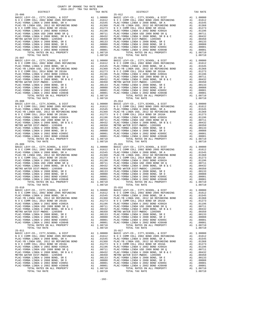COUNTY OF ORANGE TAX RATE BOOK 2016-2017 TRA TAX RATES DISTRICT TAX RATE DISTRICT TAX RATE 25-006 25-012 BASIC LEVY-CO., CITY,SCHOOL, & DIST A1 1.00000 BASIC LEVY-CO., CITY,SCHOOL, & DIST A1 1.00000 N O C COMM COLL 2002 BOND 2005 REFUNDING A1 .01612 N O C COMM COLL 2002 BOND 2005 REFUNDING A1 .01612 PLAC-YORBA LINDA U 2008 BOND, SR A A1 .01545 PLAC-YORBA LINDA U 2008 BOND, SR A A1 .01545 PLAC-YB LINDA USD, 2012 GO REFUNDING BOND A1 .01368 PLAC-YB LINDA USD, 2012 GO REFUNDING BOND A1 .01368 N O C COMM COLL 2014 BOND SR 2016A A1 .01273 N O C COMM COLL 2014 BOND SR 2016A A1 .01273 PLAC-YORBA LINDA U 2002 BOND #2002A A1 .01196 PLAC-YORBA LINDA U 2002 BOND #2002A A1 .01196 PLAC-YORBA LINDA USD 2008 BOND SR Q A1 .00711 PLAC-YORBA LINDA USD 2008 BOND SR Q A1 .00711 PLAC-YORBA LINDA U 2008 BOND, SR B & C A1 .00432 PLAC-YORBA LINDA U 2008 BOND, SR B & C A1 .00432 METRO WATER DIST-MWDOC- 1205999 A1 .00350 METRO WATER DIST-MWDOC- 1205999 A1 .00350 PLAC-YORBA LINDA U 2008 BOND, SR E A1 .00133 PLAC-YORBA LINDA U 2008 BOND, SR E A1 .00133 PLAC-YORBA LINDA U 2008 BOND, SR D A1 .00088 PLAC-YORBA LINDA U 2008 BOND, SR D A1 .00088 PLAC-YORBA LINDA U 2002 BOND #2005C A1 .00001 PLAC-YORBA LINDA U 2002 BOND #2005C A1 .00001 PLAC-YORBA LINDA U 2002 BOND #2004B A1 .00001 PLAC-YORBA LINDA U 2002 BOND #2004B A1 .00001 TOTAL RATES ON ALL PROPERTY A1 1.08710 TOTAL RATES ON ALL PROPERTY A1 1.08710 TOTAL TAX RATE 1.08710 TOTAL TAX RATE 1.08710 25-007 25-013 BASIC LEVY-CO., CITY,SCHOOL, & DIST A1 1.00000 BASIC LEVY-CO., CITY,SCHOOL, & DIST A1 1.00000 N O C COMM COLL 2002 BOND 2005 REFUNDING A1 .01612 N O C COMM COLL 2002 BOND 2005 REFUNDING A1 .01612 PLAC-YORBA LINDA U 2008 BOND, SR A A1 .01545 PLAC-YORBA LINDA U 2008 BOND, SR A A1 .01545 PLAC-YB LINDA USD, 2012 GO REFUNDING BOND A1 .01368 PLAC-YB LINDA USD, 2012 GO REFUNDING BOND A1 .01368 N O C COMM COLL 2014 BOND SR 2016A A1 .01273 N O C COMM COLL 2014 BOND SR 2016A A1 .01273 PLAC-YORBA LINDA U 2002 BOND #2002A A1 .01196 PLAC-YORBA LINDA U 2002 BOND #2002A A1 .01196 PLAC-YORBA LINDA USD 2008 BOND SR Q A1 .00711 PLAC-YORBA LINDA USD 2008 BOND SR Q A1 .00711 9 PLAC -YORBA LINDA U 2008 BOND, SR B & C<br>
METRO WATER DIST -WINDOC - 120599 PLAC -YORBA LINDA U 2008 BOND, SR B & C<br>
METRO WATER DIST -WINDOC - 120599 PLAC -YORBA LINDA U 2008 BOND, SR B A 1<br>
PLAC -YORBA LINDA U 2008 BOND  $\begin{tabular}{ c | c | c | c} \hline 25-008 & 25-014 & 2002 BOND, 205-14 & 0.0000 & BASTC LEVY-CO., CITY, SCHOOL, & DIST & A1 1.00000 & BASTC LEVY-CO., CITY, SCHOOL, & DIST & A1 1.00000 & BISTC LEVY-CO., CITY, SCHOOL, & DIST & A1 1.00000 & BASTC LEVY-CO., CITY, SCHOOL, & DIST & A1 1.00000 & BASTC LEVY-CO., CITY, SCHOOL, & DIST & A1 1.00000 & BASTC LEVY-CO$  $\begin{tabular}{ c | c | c | c} \hline 25-019 & 25-011 & 0.0000 & 0.0000 & 0.00000 & 0.00000 & 0.000000 & 0.000000 & 0.000000 & 0.000000 & 0.000000 & 0.000000 & 0.000000 & 0.000000 & 0.000000 & 0.000000 & 0.000000 & 0.000000 & 0.000000 & 0.000000 & 0.000000 & 0.$  $\begin{tabular}{ c | c | c | c} \hline 25-010 & 25-010 & 26-010 & 26-010 & 26-010 & 26-0100 & 26-01000 & 26-01000 & 26-010000 & 26-010000 & 26-010000 & 26-010000 & 26-010000 & 26-010000 & 26-010000 & 26-010000 & 26-010000 & 26-010000 & 26-010000 & 26-010000 & 2$  25-011 25-017 BASIC LEVY-CO., CITY, SCHOOL, & DIST<br>NOC COMM COLL 2002 DON DONG COMM COLL 2002 BOND 2008 DONG COMM COLL 2002 DONG COMM COLL 2002 DONG COMM COLL 20<br>PLAC-YORBA LINDA U 2008 DONG DONG RETUNDING A1 .01545 PLAC-YORBA LINDA U 2  $\begin{tabular}{0.95\textwidth} {\bf N O C COM COL} 2014 BOND SR 2016 A & 0.1273 & 0.1273  
PLAC-YORBA LINDA U 2002 BOND 42008 BOND SR 2016 A & 0.1273  
PLAC-YORBA LINDA U 2008 BOND SR Q & 0.10011  
PLAC-YORBA LINDA U 2008 BOND SR R Q & 0.100111  
PLAC-YORBA LINDA U 2008 BOND SR R B & 0.100121  
MLCP-YORBA LINDA U 2008 BOND SER B & 1.0032  
MLPC-$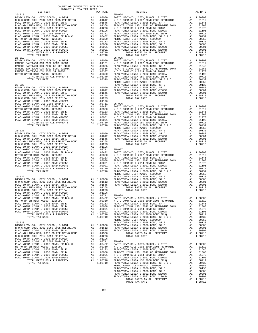| COUNTY OF ORANGE TAX RATE BOOK<br>$2016-2017\quad\text{TRA TAX RATES}\label{eq:2016-2017}$ DISTRICT |                                                                                                                                                                                                                                                                                                                                                                                                                                                                                                 |          |
|-----------------------------------------------------------------------------------------------------|-------------------------------------------------------------------------------------------------------------------------------------------------------------------------------------------------------------------------------------------------------------------------------------------------------------------------------------------------------------------------------------------------------------------------------------------------------------------------------------------------|----------|
| $25 - 018$                                                                                          | $\begin{array}{cccc}\texttt{min} & \texttt{max} & \texttt{max} & \texttt{max} & \texttt{max} & \texttt{max} & \texttt{max} & \texttt{max} & \texttt{max} & \texttt{max} & \texttt{max} & \texttt{max} & \texttt{max} & \texttt{max} & \texttt{max} & \texttt{max} & \texttt{max} & \texttt{max} & \texttt{max} & \texttt{max} & \texttt{max} & \texttt{max} & \texttt{max} & \texttt{max} & \texttt{max} & \texttt{max} & \texttt{max} & \texttt{max} & \texttt{max} & \texttt{max} & \texttt{$ | TAX RATE |
|                                                                                                     |                                                                                                                                                                                                                                                                                                                                                                                                                                                                                                 |          |
|                                                                                                     |                                                                                                                                                                                                                                                                                                                                                                                                                                                                                                 |          |
|                                                                                                     |                                                                                                                                                                                                                                                                                                                                                                                                                                                                                                 |          |
|                                                                                                     |                                                                                                                                                                                                                                                                                                                                                                                                                                                                                                 |          |
|                                                                                                     |                                                                                                                                                                                                                                                                                                                                                                                                                                                                                                 |          |
|                                                                                                     |                                                                                                                                                                                                                                                                                                                                                                                                                                                                                                 |          |
|                                                                                                     |                                                                                                                                                                                                                                                                                                                                                                                                                                                                                                 |          |
|                                                                                                     |                                                                                                                                                                                                                                                                                                                                                                                                                                                                                                 |          |
|                                                                                                     |                                                                                                                                                                                                                                                                                                                                                                                                                                                                                                 |          |
|                                                                                                     |                                                                                                                                                                                                                                                                                                                                                                                                                                                                                                 |          |
|                                                                                                     |                                                                                                                                                                                                                                                                                                                                                                                                                                                                                                 |          |
|                                                                                                     |                                                                                                                                                                                                                                                                                                                                                                                                                                                                                                 |          |
|                                                                                                     |                                                                                                                                                                                                                                                                                                                                                                                                                                                                                                 |          |
|                                                                                                     |                                                                                                                                                                                                                                                                                                                                                                                                                                                                                                 |          |
|                                                                                                     |                                                                                                                                                                                                                                                                                                                                                                                                                                                                                                 |          |
|                                                                                                     |                                                                                                                                                                                                                                                                                                                                                                                                                                                                                                 |          |
|                                                                                                     |                                                                                                                                                                                                                                                                                                                                                                                                                                                                                                 |          |
|                                                                                                     |                                                                                                                                                                                                                                                                                                                                                                                                                                                                                                 |          |
|                                                                                                     |                                                                                                                                                                                                                                                                                                                                                                                                                                                                                                 |          |
|                                                                                                     |                                                                                                                                                                                                                                                                                                                                                                                                                                                                                                 |          |
|                                                                                                     |                                                                                                                                                                                                                                                                                                                                                                                                                                                                                                 |          |
|                                                                                                     |                                                                                                                                                                                                                                                                                                                                                                                                                                                                                                 |          |
|                                                                                                     |                                                                                                                                                                                                                                                                                                                                                                                                                                                                                                 |          |
|                                                                                                     |                                                                                                                                                                                                                                                                                                                                                                                                                                                                                                 |          |
|                                                                                                     |                                                                                                                                                                                                                                                                                                                                                                                                                                                                                                 |          |
|                                                                                                     |                                                                                                                                                                                                                                                                                                                                                                                                                                                                                                 |          |
|                                                                                                     |                                                                                                                                                                                                                                                                                                                                                                                                                                                                                                 |          |
|                                                                                                     |                                                                                                                                                                                                                                                                                                                                                                                                                                                                                                 |          |
|                                                                                                     |                                                                                                                                                                                                                                                                                                                                                                                                                                                                                                 |          |
|                                                                                                     |                                                                                                                                                                                                                                                                                                                                                                                                                                                                                                 |          |
|                                                                                                     |                                                                                                                                                                                                                                                                                                                                                                                                                                                                                                 |          |
|                                                                                                     |                                                                                                                                                                                                                                                                                                                                                                                                                                                                                                 |          |
|                                                                                                     |                                                                                                                                                                                                                                                                                                                                                                                                                                                                                                 |          |
|                                                                                                     |                                                                                                                                                                                                                                                                                                                                                                                                                                                                                                 |          |
|                                                                                                     |                                                                                                                                                                                                                                                                                                                                                                                                                                                                                                 |          |
|                                                                                                     |                                                                                                                                                                                                                                                                                                                                                                                                                                                                                                 |          |
|                                                                                                     |                                                                                                                                                                                                                                                                                                                                                                                                                                                                                                 |          |
|                                                                                                     |                                                                                                                                                                                                                                                                                                                                                                                                                                                                                                 |          |
|                                                                                                     |                                                                                                                                                                                                                                                                                                                                                                                                                                                                                                 |          |
|                                                                                                     |                                                                                                                                                                                                                                                                                                                                                                                                                                                                                                 |          |
|                                                                                                     |                                                                                                                                                                                                                                                                                                                                                                                                                                                                                                 |          |
|                                                                                                     |                                                                                                                                                                                                                                                                                                                                                                                                                                                                                                 |          |
|                                                                                                     |                                                                                                                                                                                                                                                                                                                                                                                                                                                                                                 |          |
|                                                                                                     |                                                                                                                                                                                                                                                                                                                                                                                                                                                                                                 |          |
|                                                                                                     |                                                                                                                                                                                                                                                                                                                                                                                                                                                                                                 |          |
|                                                                                                     |                                                                                                                                                                                                                                                                                                                                                                                                                                                                                                 |          |
|                                                                                                     |                                                                                                                                                                                                                                                                                                                                                                                                                                                                                                 |          |
|                                                                                                     |                                                                                                                                                                                                                                                                                                                                                                                                                                                                                                 |          |
|                                                                                                     |                                                                                                                                                                                                                                                                                                                                                                                                                                                                                                 |          |
|                                                                                                     |                                                                                                                                                                                                                                                                                                                                                                                                                                                                                                 |          |
|                                                                                                     |                                                                                                                                                                                                                                                                                                                                                                                                                                                                                                 |          |
|                                                                                                     |                                                                                                                                                                                                                                                                                                                                                                                                                                                                                                 |          |
|                                                                                                     |                                                                                                                                                                                                                                                                                                                                                                                                                                                                                                 |          |
|                                                                                                     |                                                                                                                                                                                                                                                                                                                                                                                                                                                                                                 |          |
|                                                                                                     |                                                                                                                                                                                                                                                                                                                                                                                                                                                                                                 |          |
|                                                                                                     |                                                                                                                                                                                                                                                                                                                                                                                                                                                                                                 |          |
|                                                                                                     |                                                                                                                                                                                                                                                                                                                                                                                                                                                                                                 |          |
|                                                                                                     |                                                                                                                                                                                                                                                                                                                                                                                                                                                                                                 |          |
|                                                                                                     |                                                                                                                                                                                                                                                                                                                                                                                                                                                                                                 |          |
|                                                                                                     |                                                                                                                                                                                                                                                                                                                                                                                                                                                                                                 |          |
|                                                                                                     |                                                                                                                                                                                                                                                                                                                                                                                                                                                                                                 |          |
|                                                                                                     |                                                                                                                                                                                                                                                                                                                                                                                                                                                                                                 |          |
|                                                                                                     |                                                                                                                                                                                                                                                                                                                                                                                                                                                                                                 |          |
|                                                                                                     |                                                                                                                                                                                                                                                                                                                                                                                                                                                                                                 |          |
|                                                                                                     |                                                                                                                                                                                                                                                                                                                                                                                                                                                                                                 |          |
|                                                                                                     |                                                                                                                                                                                                                                                                                                                                                                                                                                                                                                 |          |
|                                                                                                     |                                                                                                                                                                                                                                                                                                                                                                                                                                                                                                 |          |
|                                                                                                     |                                                                                                                                                                                                                                                                                                                                                                                                                                                                                                 |          |
|                                                                                                     |                                                                                                                                                                                                                                                                                                                                                                                                                                                                                                 |          |
|                                                                                                     |                                                                                                                                                                                                                                                                                                                                                                                                                                                                                                 |          |
|                                                                                                     |                                                                                                                                                                                                                                                                                                                                                                                                                                                                                                 |          |
|                                                                                                     |                                                                                                                                                                                                                                                                                                                                                                                                                                                                                                 |          |
|                                                                                                     |                                                                                                                                                                                                                                                                                                                                                                                                                                                                                                 |          |
|                                                                                                     |                                                                                                                                                                                                                                                                                                                                                                                                                                                                                                 |          |
|                                                                                                     |                                                                                                                                                                                                                                                                                                                                                                                                                                                                                                 |          |
|                                                                                                     |                                                                                                                                                                                                                                                                                                                                                                                                                                                                                                 |          |

TOTAL TAX RATE 1.08710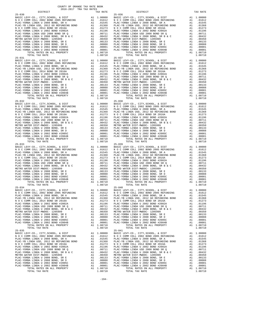COUNTY OF ORANGE TAX RATE BOOK 2016-2017 TRA TAX RATES DISTRICT TAX RATE DISTRICT TAX RATE 25-030 25-036 BASIC LEVY-CO., CITY,SCHOOL, & DIST A1 1.00000 BASIC LEVY-CO., CITY,SCHOOL, & DIST A1 1.00000 N O C COMM COLL 2002 BOND 2005 REFUNDING A1 .01612 N O C COMM COLL 2002 BOND 2005 REFUNDING A1 .01612 PLAC-YORBA LINDA U 2008 BOND, SR A A1 .01545 PLAC-YORBA LINDA U 2008 BOND, SR A A1 .01545 PLAC-YB LINDA USD, 2012 GO REFUNDING BOND A1 .01368 PLAC-YB LINDA USD, 2012 GO REFUNDING BOND A1 .01368 N O C COMM COLL 2014 BOND SR 2016A A1 .01273 N O C COMM COLL 2014 BOND SR 2016A A1 .01273 PLAC-YORBA LINDA U 2002 BOND #2002A A1 .01196 PLAC-YORBA LINDA U 2002 BOND #2002A A1 .01196 PLAC-YORBA LINDA USD 2008 BOND SR Q A1 .00711 PLAC-YORBA LINDA USD 2008 BOND SR Q A1 .00711 PLAC-YORBA LINDA U 2008 BOND, SR B & C A1 .00432 PLAC-YORBA LINDA U 2008 BOND, SR B & C A1 .00432 METRO WATER DIST-MWDOC- 1205999 A1 .00350 METRO WATER DIST-MWDOC- 1205999 A1 .00350 PLAC-YORBA LINDA U 2008 BOND, SR E A1 .00133 PLAC-YORBA LINDA U 2008 BOND, SR E A1 .00133 PLAC-YORBA LINDA U 2008 BOND, SR D A1 .00088 PLAC-YORBA LINDA U 2008 BOND, SR D A1 .00088 PLAC-YORBA LINDA U 2002 BOND #2005C A1 .00001 PLAC-YORBA LINDA U 2002 BOND #2005C A1 .00001 PLAC-YORBA LINDA U 2002 BOND #2004B A1 .00001 PLAC-YORBA LINDA U 2002 BOND #2004B A1 .00001 TOTAL RATES ON ALL PROPERTY A1 1.08710 TOTAL RATES ON ALL PROPERTY A1 1.08710 TOTAL TAX RATE 1.08710 TOTAL TAX RATE 1.08710 25-031 25-037 BASIC LEVY-CO., CITY,SCHOOL, & DIST A1 1.00000 BASIC LEVY-CO., CITY,SCHOOL, & DIST A1 1.00000 N O C COMM COLL 2002 BOND 2005 REFUNDING A1 .01612 N O C COMM COLL 2002 BOND 2005 REFUNDING A1 .01612 PLAC-YORBA LINDA U 2008 BOND, SR A A1 .01545 PLAC-YORBA LINDA U 2008 BOND, SR A A1 .01545 PLAC-YB LINDA USD, 2012 GO REFUNDING BOND A1 .01368 PLAC-YB LINDA USD, 2012 GO REFUNDING BOND A1 .01368 N O C COMM COLL 2014 BOND SR 2016A A1 .01273 N O C COMM COLL 2014 BOND SR 2016A A1 .01273 PLAC-YORBA LINDA U 2002 BOND #2002A A1 .01196 PLAC-YORBA LINDA U 2002 BOND #2002A A1 .01196 PLAC-YORBA LINDA USD 2008 BOND SR Q A1 .00711 PLAC-YORBA LINDA USD 2008 BOND SR Q A1 .00711 9 PLAC -YORBA LINDA U 2008 BOND, SR B & C<br>
METRO WATER DIST -WINDOC - 120599 PLAC -YORBA LINDA U 2008 BOND, SR B & C<br>
METRO WATER DIST -WINDOC - 120599 PLAC -YORBA LINDA U 2008 BOND, SR B A 1<br>
PLAC -YORBA LINDA U 2008 BOND 25-032 25-038 BASIC LEVY-CO., CITY,SCHOOL, & DIST A1 1.00000 BASIC LEVY-CO., CITY,SCHOOL, & DIST A1 1.00000 N O C COMM COLL 2002 BOND 2005 REFUNDING A1 .01612 N O C COMM COLL 2002 BOND 2005 REFUNDING A1 .01612 PLAC-YORBA LINDA U 2008 BOND, SR A A1 .01545 PLAC-YORBA LINDA U 2008 BOND, SR A A1 .01545 PLAC-YB LINDA USD, 2012 GO REFUNDING BOND A1 .01368 PLAC-YB LINDA USD, 2012 GO REFUNDING BOND A1 .01368 N O C COMM COLL 2014 BOND SR 2016A A1 .01273 N O C COMM COLL 2014 BOND SR 2016A A1 .01273 PLAC-YORBA LINDA U 2002 BOND #2002A A1 .01196 PLAC-YORBA LINDA U 2002 BOND #2002A A1 .01196 PLAC-YORBA LINDA USD 2008 BOND SR Q A1 .00711 PLAC-YORBA LINDA USD 2008 BOND SR Q A1 .00711 PLAC-YORBA LINDA U 2008 BOND, SR B & C A1 .00432 PLAC-YORBA LINDA U 2008 BOND, SR B & C A1 .00432 METRO WATER DIST-MWDOC- 1205999 A1 .00350 METRO WATER DIST-MWDOC- 1205999 A1 .00350 PLAC-YORBA LINDA U 2008 BOND, SR E A1 .00133 PLAC-YORBA LINDA U 2008 BOND, SR E A1 .00133 PLAC-YORBA LINDA U 2008 BOND, SR D A1 .00088 PLAC-YORBA LINDA U 2008 BOND, SR D A1 .00088 PLAC-YORBA LINDA U 2002 BOND #2005C A1 .00001 PLAC-YORBA LINDA U 2002 BOND #2005C A1 .00001 PLAC-YORBA LINDA U 2002 BOND #2004B A1 .00001 PLAC-YORBA LINDA U 2002 BOND #2004B A1 .00001 TOTAL RATES ON ALL PROPERTY A1 1.08710 TOTAL RATES ON ALL PROPERTY A1 1.08710 TOTAL TAX RATE 1.08710 TOTAL TAX RATE 1.08710  $\begin{tabular}{ c | c | c| c|c} \hline 25-033 & 25-039 \\ \hline \text{RAC}-\text{YORBA LINDA U 2002 BOND } 2005 \text{ REFDMDIMG} & \text{A1 } 1.00000 & \text{BASTC LEVY-CO., CITY, SCHOOL, & \& DIST \\ \hline \text{PLAC-YORB LINDA U 2002 BOND } 2005 \text{ REFDMDIMG} & \text{A1 } 0.01545 & \text{PLAC-CYORB LINDA U 2002 BOND } 2005 \text{ REFDMDIMG} & \text{A1 } 0.$  25-034 25-040 BASIC LEVY-CO., CITY,SCHOOL, & DIST A1 1.00000 BASIC LEVY-CO., CITY,SCHOOL, & DIST A1 1.00000 N O C COMM COLL 2002 BOND 2005 REFUNDING A1 .01612 N O C COMM COLL 2002 BOND 2005 REFUNDING A1 .01612 PLAC-YORBA LINDA U 2008 BOND, SR A A1 .01545 PLAC-YORBA LINDA U 2008 BOND, SR A A1 .01545 PLAC-YB LINDA USD, 2012 GO REFUNDING BOND A1 .01368 PLAC-YB LINDA USD, 2012 GO REFUNDING BOND A1 .01368 N O C COMM COLL 2014 BOND SR 2016A A1 .01273 N O C COMM COLL 2014 BOND SR 2016A A1 .01273 PLAC-YORBA LINDA U 2002 BOND #2002A A1 .01196 PLAC-YORBA LINDA U 2002 BOND #2002A A1 .01196 PLAC-YORBA LINDA USD 2008 BOND SR Q A1 .00711 PLAC-YORBA LINDA USD 2008 BOND SR Q A1 .00711 PLAC-YORBA LINDA U 2008 BOND, SR B & C A1 .00432 PLAC-YORBA LINDA U 2008 BOND, SR B & C A1 .00432 METRO WATER DIST-MWDOC- 1205999 A1 .00350 METRO WATER DIST-MWDOC- 1205999 A1 .00350 PLAC-YORBA LINDA U 2008 BOND, SR E A1 .00133 PLAC-YORBA LINDA U 2008 BOND, SR E A1 .00133 PLAC-YORBA LINDA U 2008 BOND, SR D A1 .00088 PLAC-YORBA LINDA U 2008 BOND, SR D A1 .00088 PLAC-YORBA LINDA U 2002 BOND #2005C A1 .00001 PLAC-YORBA LINDA U 2002 BOND #2005C A1 .00001 PLAC-YORBA LINDA U 2002 BOND #2004B A1 .00001 PLAC-YORBA LINDA U 2002 BOND #2004B A1 .00001 TOTAL RATES ON ALL PROPERTY A1 1.08710 TOTAL RATES ON ALL PROPERTY A1 1.08710 TOTAL TAX RATE 1.08710 TOTAL TAX RATE 1.08710 25-035 25-041 BASIC LEVY-CO., CITY, SCHOOL, & DIST<br>NOC COMM COLL 2002 DON DONG COMM COLL 2002 BOND 2008 DONG COMM COLL 2002 DONG COMM COLL 2002 DONG COMM COLL 20<br>PLAC-YORBA LINDA U 2008 DONG DONG RETUNDING A1 .01545 PLAC-YORBA LINDA U 2  $\begin{tabular}{0.95\textwidth} {\bf N O C COM COL} 2014 BOND SR 2016 A & 0.1273 & 0.1273  
PLAC-YORBA LINDA U 2002 BOND 42008 BOND SR 2016 A & 0.1273  
PLAC-YORBA LINDA U 2008 BOND SR Q & 0.10011  
PLAC-YORBA LINDA U 2008 BOND SR R Q & 0.100111  
PLAC-YORBA LINDA U 2008 BOND SR R B & 0.100121  
MLCP-YORBA LINDA U 2008 BOND SER B & 1.0032  
MLPC-$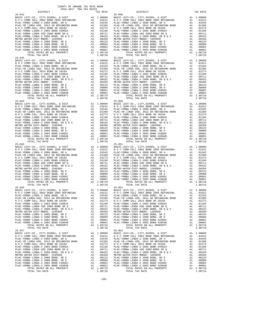COUNTY OF ORANGE TAX RATE BOOK 2016-2017 TRA TAX RATES DISTRICT TAX RATE DISTRICT TAX RATE 25-042 25-048 BASIC LEVY-CO., CITY,SCHOOL, & DIST A1 1.00000 BASIC LEVY-CO., CITY,SCHOOL, & DIST A1 1.00000 N O C COMM COLL 2002 BOND 2005 REFUNDING A1 .01612 N O C COMM COLL 2002 BOND 2005 REFUNDING A1 .01612 PLAC-YORBA LINDA U 2008 BOND, SR A A1 .01545 PLAC-YORBA LINDA U 2008 BOND, SR A A1 .01545 PLAC-YB LINDA USD, 2012 GO REFUNDING BOND A1 .01368 PLAC-YB LINDA USD, 2012 GO REFUNDING BOND A1 .01368 N O C COMM COLL 2014 BOND SR 2016A A1 .01273 N O C COMM COLL 2014 BOND SR 2016A A1 .01273 PLAC-YORBA LINDA U 2002 BOND #2002A A1 .01196 PLAC-YORBA LINDA U 2002 BOND #2002A A1 .01196 PLAC-YORBA LINDA USD 2008 BOND SR Q A1 .00711 PLAC-YORBA LINDA USD 2008 BOND SR Q A1 .00711 PLAC-YORBA LINDA U 2008 BOND, SR B & C A1 .00432 PLAC-YORBA LINDA U 2008 BOND, SR B & C A1 .00432 METRO WATER DIST-MWDOC- 1205999 A1 .00350 METRO WATER DIST-MWDOC- 1205999 A1 .00350 PLAC-YORBA LINDA U 2008 BOND, SR E A1 .00133 PLAC-YORBA LINDA U 2008 BOND, SR E A1 .00133 PLAC-YORBA LINDA U 2008 BOND, SR D A1 .00088 PLAC-YORBA LINDA U 2008 BOND, SR D A1 .00088 PLAC-YORBA LINDA U 2002 BOND #2005C A1 .00001 PLAC-YORBA LINDA U 2002 BOND #2005C A1 .00001 PLAC-YORBA LINDA U 2002 BOND #2004B A1 .00001 PLAC-YORBA LINDA U 2002 BOND #2004B A1 .00001 TOTAL RATES ON ALL PROPERTY A1 1.08710 TOTAL RATES ON ALL PROPERTY A1 1.08710 TOTAL TAX RATE 1.08710 TOTAL TAX RATE 1.08710 25-043 25-049 BASIC LEVY-CO., CITY,SCHOOL, & DIST A1 1.00000 BASIC LEVY-CO., CITY,SCHOOL, & DIST A1 1.00000 N O C COMM COLL 2002 BOND 2005 REFUNDING A1 .01612 N O C COMM COLL 2002 BOND 2005 REFUNDING A1 .01612 PLAC-YORBA LINDA U 2008 BOND, SR A A1 .01545 PLAC-YORBA LINDA U 2008 BOND, SR A A1 .01545 PLAC-YB LINDA USD, 2012 GO REFUNDING BOND A1 .01368 PLAC-YB LINDA USD, 2012 GO REFUNDING BOND A1 .01368 N O C COMM COLL 2014 BOND SR 2016A A1 .01273 N O C COMM COLL 2014 BOND SR 2016A A1 .01273 PLAC-YORBA LINDA U 2002 BOND #2002A A1 .01196 PLAC-YORBA LINDA U 2002 BOND #2002A A1 .01196 PLAC-YORBA LINDA USD 2008 BOND SR Q A1 .00711 PLAC-YORBA LINDA USD 2008 BOND SR Q A1 .00711 9 PLAC -YORBA LINDA U 2008 BOND, SR B & C<br>
METRO WATER DIST -WINDOC - 120599 PLAC -YORBA LINDA U 2008 BOND, SR B & C<br>
METRO WATER DIST -WINDOC - 120599 PLAC -YORBA LINDA U 2008 BOND, SR B A 1<br>
PLAC -YORBA LINDA U 2008 BOND 25-044 25-050 BASIC LEVY-CO., CITY,SCHOOL, & DIST A1 1.00000 BASIC LEVY-CO., CITY,SCHOOL, & DIST A1 1.00000 N O C COMM COLL 2002 BOND 2005 REFUNDING A1 .01612 N O C COMM COLL 2002 BOND 2005 REFUNDING A1 .01612 PLAC-YORBA LINDA U 2008 BOND, SR A A1 .01545 PLAC-YORBA LINDA U 2008 BOND, SR A A1 .01545 PLAC-YB LINDA USD, 2012 GO REFUNDING BOND A1 .01368 PLAC-YB LINDA USD, 2012 GO REFUNDING BOND A1 .01368 N O C COMM COLL 2014 BOND SR 2016A A1 .01273 N O C COMM COLL 2014 BOND SR 2016A A1 .01273 PLAC-YORBA LINDA U 2002 BOND #2002A A1 .01196 PLAC-YORBA LINDA U 2002 BOND #2002A A1 .01196 PLAC-YORBA LINDA USD 2008 BOND SR Q A1 .00711 PLAC-YORBA LINDA USD 2008 BOND SR Q A1 .00711 PLAC-YORBA LINDA U 2008 BOND, SR B & C A1 .00432 PLAC-YORBA LINDA U 2008 BOND, SR B & C A1 .00432 METRO WATER DIST-MWDOC- 1205999 A1 .00350 METRO WATER DIST-MWDOC- 1205999 A1 .00350 PLAC-YORBA LINDA U 2008 BOND, SR E A1 .00133 PLAC-YORBA LINDA U 2008 BOND, SR E A1 .00133 PLAC-YORBA LINDA U 2008 BOND, SR D A1 .00088 PLAC-YORBA LINDA U 2008 BOND, SR D A1 .00088 PLAC-YORBA LINDA U 2002 BOND #2005C A1 .00001 PLAC-YORBA LINDA U 2002 BOND #2005C A1 .00001 PLAC-YORBA LINDA U 2002 BOND #2004B A1 .00001 PLAC-YORBA LINDA U 2002 BOND #2004B A1 .00001 TOTAL RATES ON ALL PROPERTY A1 1.08710 TOTAL RATES ON ALL PROPERTY A1 1.08710 TOTAL TAX RATE 1.08710 TOTAL TAX RATE 1.08710  $\begin{tabular}{ c | c | c | c} \hline 25-0451 & 2002 BOND & 25-051 & 25-051 & 25-051 & 25-051 & 25-051 & 25-051 & 25-051 & 25-051 & 25-051 & 25-051 & 25-051 & 25-051 & 25-051 & 25-051 & 25-051 & 25-051 & 25-051 & 25-051 & 25-051 & 25-051 & 25-051 & 25-051 & 25-051 &$  $\begin{tabular}{ c | c | c | c} \hline 25-046 & 25-046 & 2002 BOND & BASIC LEVY-CO., CITY, SCHOOL, & DIST & A1 1.00000 & BASIC LEVY-CO., CITY, SCHOOL, & DIST & A1 1.00000 & BISTC LEVY-CO., CITY, SCHOOL, & DIST & A1 1.00000 & BISTC LEVY-CO., CITY, SCHOOL, & DIST & A1 1.00000 & BISTC LEVY-CO., CITY, SCHOOL, & DIST & A1 1.00000 & BASTC LEVY-CO., CITY, SCHOOL, & DIST & A1$  25-047 25-053 BASIC LEVY-CO., CITY, SCHOOL, & DIST<br>NOC COMM COLL 2002 DON DONG COMM COLL 2002 BOND 2008 DONG COMM COLL 2002 DONG COMM COLL 2002 DONG COMM COLL 20<br>PLAC-YORBA LINDA U 2008 DONG DONG RETUNDING A1 .01545 PLAC-YORBA LINDA U 2  $\begin{tabular}{0.95\textwidth} {\bf N O C COM COL} 2014 BOND SR 2016 A & 0.1273 & 0.1273  
PLAC-YORBA LINDA U 2002 BOND 42008 BOND SR 2016 A & 0.1273  
PLAC-YORBA LINDA U 2008 BOND SR Q & 0.10011  
PLAC-YORBA LINDA U 2008 BOND SR R Q & 0.100111  
PLAC-YORBA LINDA U 2008 BOND SR R B & 0.100121  
MLCP-YORBA LINDA U 2008 BOND SER B & 1.0032  
MLPC-$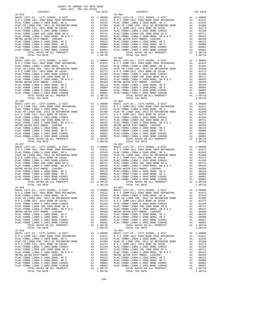COUNTY OF ORANGE TAX RATE BOOK 2016-2017 TRA TAX RATES DISTRICT TAX RATE DISTRICT TAX RATE 25-054 25-060 BASIC LEVY-CO., CITY,SCHOOL, & DIST A1 1.00000 BASIC LEVY-CO., CITY,SCHOOL, & DIST A1 1.00000 N O C COMM COLL 2002 BOND 2005 REFUNDING A1 .01612 N O C COMM COLL 2002 BOND 2005 REFUNDING A1 .01612 PLAC-YORBA LINDA U 2008 BOND, SR A A1 .01545 PLAC-YORBA LINDA U 2008 BOND, SR A A1 .01545 PLAC-YB LINDA USD, 2012 GO REFUNDING BOND A1 .01368 PLAC-YB LINDA USD, 2012 GO REFUNDING BOND A1 .01368 N O C COMM COLL 2014 BOND SR 2016A A1 .01273 N O C COMM COLL 2014 BOND SR 2016A A1 .01273 PLAC-YORBA LINDA U 2002 BOND #2002A A1 .01196 PLAC-YORBA LINDA U 2002 BOND #2002A A1 .01196 PLAC-YORBA LINDA USD 2008 BOND SR Q A1 .00711 PLAC-YORBA LINDA USD 2008 BOND SR Q A1 .00711 PLAC-YORBA LINDA U 2008 BOND, SR B & C A1 .00432 PLAC-YORBA LINDA U 2008 BOND, SR B & C A1 .00432 METRO WATER DIST-MWDOC- 1205999 A1 .00350 METRO WATER DIST-MWDOC- 1205999 A1 .00350 PLAC-YORBA LINDA U 2008 BOND, SR E A1 .00133 PLAC-YORBA LINDA U 2008 BOND, SR E A1 .00133 PLAC-YORBA LINDA U 2008 BOND, SR D A1 .00088 PLAC-YORBA LINDA U 2008 BOND, SR D A1 .00088 PLAC-YORBA LINDA U 2002 BOND #2005C A1 .00001 PLAC-YORBA LINDA U 2002 BOND #2005C A1 .00001 PLAC-YORBA LINDA U 2002 BOND #2004B A1 .00001 PLAC-YORBA LINDA U 2002 BOND #2004B A1 .00001 TOTAL RATES ON ALL PROPERTY A1 1.08710 TOTAL RATES ON ALL PROPERTY A1 1.08710 TOTAL TAX RATE 1.08710 TOTAL TAX RATE 1.08710 25-055 25-061 BASIC LEVY-CO., CITY,SCHOOL, & DIST A1 1.00000 BASIC LEVY-CO., CITY,SCHOOL, & DIST A1 1.00000 N O C COMM COLL 2002 BOND 2005 REFUNDING A1 .01612 N O C COMM COLL 2002 BOND 2005 REFUNDING A1 .01612 PLAC-YORBA LINDA U 2008 BOND, SR A A1 .01545 PLAC-YORBA LINDA U 2008 BOND, SR A A1 .01545 PLAC-YB LINDA USD, 2012 GO REFUNDING BOND A1 .01368 PLAC-YB LINDA USD, 2012 GO REFUNDING BOND A1 .01368 N O C COMM COLL 2014 BOND SR 2016A A1 .01273 N O C COMM COLL 2014 BOND SR 2016A A1 .01273 PLAC-YORBA LINDA U 2002 BOND #2002A A1 .01196 PLAC-YORBA LINDA U 2002 BOND #2002A A1 .01196 PLAC-YORBA LINDA USD 2008 BOND SR Q A1 .00711 PLAC-YORBA LINDA USD 2008 BOND SR Q A1 .00711 9 PLAC -YORBA LINDA U 2008 BOND, SR B & C<br>
METRO WATER DIST -WINDOC - 120599 PLAC -YORBA LINDA U 2008 BOND, SR B & C<br>
METRO WATER DIST -WINDOC - 120599 PLAC -YORBA LINDA U 2008 BOND, SR B A 1<br>
PLAC -YORBA LINDA U 2008 BOND  $\begin{tabular}{ c | c | c | c} \hline 25-056 & 100000 & 2200000 & 2400000 & 25-062 & 25-062 & 25-062 & 25-062 & 25-062 & 25-062 & 25-062 & 25-062 & 25-062 & 25-062 & 25-062 & 25-062 & 25-062 & 25-062 & 25-062 & 25-062 & 25-062 & 25-062 & 25-062 & 25-062 & 25-062 &$  $\begin{tabular}{ c | c | c} 25-057 & 25-063 & 25-063 \\ \hline \text{RAC}-\text{YORBA LINDA U 2002 BOND } 2005 \text{ REFDINDING} & \text{A1 } 1.00000 & \text{BASTC LEVY-CO., CITY, SCHOOL, & \& DIST \\ \text{PLAC-YORB LINDA U 2002 BOND } 2005 \text{ REFDINDING} & \text{A1 } 0.01545 & \text{PLAC-CYORB LINDA U 2003 BOND } 2005 \text{ REFDINDING} & \text{A1 } 0.01545$  25-058 25-064 BASIC LEVY-CO., CITY,SCHOOL, & DIST A1 1.00000 BASIC LEVY-CO., CITY,SCHOOL, & DIST A1 1.00000 N O C COMM COLL 2002 BOND 2005 REFUNDING A1 .01612 N O C COMM COLL 2002 BOND 2005 REFUNDING A1 .01612 PLAC-YORBA LINDA U 2008 BOND, SR A A1 .01545 PLAC-YORBA LINDA U 2008 BOND, SR A A1 .01545 PLAC-YB LINDA USD, 2012 GO REFUNDING BOND A1 .01368 PLAC-YB LINDA USD, 2012 GO REFUNDING BOND A1 .01368 N O C COMM COLL 2014 BOND SR 2016A A1 .01273 N O C COMM COLL 2014 BOND SR 2016A A1 .01273 PLAC-YORBA LINDA U 2002 BOND #2002A A1 .01196 PLAC-YORBA LINDA U 2002 BOND #2002A A1 .01196 PLAC-YORBA LINDA USD 2008 BOND SR Q A1 .00711 PLAC-YORBA LINDA USD 2008 BOND SR Q A1 .00711 PLAC-YORBA LINDA U 2008 BOND, SR B & C A1 .00432 PLAC-YORBA LINDA U 2008 BOND, SR B & C A1 .00432 METRO WATER DIST-MWDOC- 1205999 A1 .00350 METRO WATER DIST-MWDOC- 1205999 A1 .00350 PLAC-YORBA LINDA U 2008 BOND, SR E A1 .00133 PLAC-YORBA LINDA U 2008 BOND, SR E A1 .00133 PLAC-YORBA LINDA U 2008 BOND, SR D A1 .00088 PLAC-YORBA LINDA U 2008 BOND, SR D A1 .00088 PLAC-YORBA LINDA U 2002 BOND #2005C A1 .00001 PLAC-YORBA LINDA U 2002 BOND #2005C A1 .00001 PLAC-YORBA LINDA U 2002 BOND #2004B A1 .00001 PLAC-YORBA LINDA U 2002 BOND #2004B A1 .00001 TOTAL RATES ON ALL PROPERTY A1 1.08710 TOTAL RATES ON ALL PROPERTY A1 1.08710 TOTAL TAX RATE 1.08710 TOTAL TAX RATE 1.08710 25-059 25-065 BASIC LEVY-CO., CITY, SCHOOL, & DIST<br>NOC COMM COLL 2002 DON DONG COMM COLL 2002 BOND 2008 DONG COMM COLL 2002 DONG COMM COLL 2002 DONG COMM COLL 20<br>PLAC-YORBA LINDA U 2008 DONG DONG RETUNDING A1 .01545 PLAC-YORBA LINDA U 2  $\begin{tabular}{0.95\textwidth} {\bf N O C COM COL} 2014 BOND SR 2016 A & 0.1273 & 0.1273  
PLAC-YORBA LINDA U 2002 BOND 42008 BOND SR 2016 A & 0.1273  
PLAC-YORBA LINDA U 2008 BOND SR Q & 0.10011  
PLAC-YORBA LINDA U 2008 BOND SR R Q & 0.100111  
PLAC-YORBA LINDA U 2008 BOND SR R B & 0.100121  
MLCP-YORBA LINDA U 2008 BOND SER B & 1.0032  
MLPC-$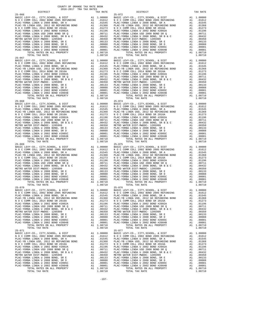| COUNTY OF ORANGE TAX RATE BOOK<br>$2016-2017\quad\text{TRA TAX RATES}\label{eq:2016-2017}$ DISTRICT |          |                                    |              |
|-----------------------------------------------------------------------------------------------------|----------|------------------------------------|--------------|
|                                                                                                     | TAX RATE | DISTRICT                           | TAX RATE     |
| $25 - 066$                                                                                          |          | $25 - 072$                         |              |
|                                                                                                     |          |                                    |              |
|                                                                                                     |          |                                    |              |
|                                                                                                     |          |                                    |              |
|                                                                                                     |          |                                    |              |
|                                                                                                     |          |                                    |              |
|                                                                                                     |          |                                    |              |
|                                                                                                     |          |                                    |              |
|                                                                                                     |          |                                    |              |
|                                                                                                     |          |                                    |              |
|                                                                                                     |          |                                    |              |
|                                                                                                     |          |                                    |              |
|                                                                                                     |          |                                    |              |
|                                                                                                     |          |                                    |              |
|                                                                                                     |          |                                    |              |
|                                                                                                     |          |                                    |              |
|                                                                                                     |          |                                    |              |
|                                                                                                     |          |                                    |              |
|                                                                                                     |          |                                    |              |
|                                                                                                     |          |                                    |              |
|                                                                                                     |          |                                    |              |
|                                                                                                     |          |                                    |              |
|                                                                                                     |          |                                    |              |
|                                                                                                     |          |                                    |              |
|                                                                                                     |          |                                    |              |
|                                                                                                     |          |                                    |              |
|                                                                                                     |          |                                    |              |
|                                                                                                     |          |                                    |              |
|                                                                                                     |          |                                    |              |
|                                                                                                     |          |                                    |              |
|                                                                                                     |          |                                    |              |
|                                                                                                     |          |                                    |              |
|                                                                                                     |          |                                    |              |
|                                                                                                     |          |                                    |              |
|                                                                                                     |          |                                    |              |
|                                                                                                     |          |                                    |              |
|                                                                                                     |          |                                    |              |
|                                                                                                     |          |                                    |              |
|                                                                                                     |          |                                    |              |
|                                                                                                     |          |                                    |              |
|                                                                                                     |          |                                    |              |
|                                                                                                     |          |                                    |              |
|                                                                                                     |          |                                    |              |
|                                                                                                     |          |                                    |              |
|                                                                                                     |          |                                    |              |
|                                                                                                     |          |                                    |              |
|                                                                                                     |          |                                    |              |
|                                                                                                     |          |                                    |              |
|                                                                                                     |          |                                    |              |
|                                                                                                     |          |                                    |              |
| PLAC-YORBA LINDA U 2008 BOND, SR A MALL 01545                                                       |          | PLAC-YORBA LINDA U 2008 BOND, SR A | A1<br>.01545 |
|                                                                                                     |          |                                    |              |
|                                                                                                     |          |                                    |              |
|                                                                                                     |          |                                    |              |
|                                                                                                     |          |                                    |              |
|                                                                                                     |          |                                    |              |
|                                                                                                     |          |                                    |              |
|                                                                                                     |          |                                    |              |
|                                                                                                     |          |                                    |              |
| TOTAL TAX RATE                                                                                      | 1.08710  | TOTAL TAX RATE                     | 1.08710      |
| $25 - 071$                                                                                          |          | $25 - 077$                         |              |
|                                                                                                     |          |                                    |              |
|                                                                                                     |          |                                    |              |
|                                                                                                     |          |                                    |              |
|                                                                                                     |          |                                    |              |
|                                                                                                     |          |                                    |              |
|                                                                                                     |          |                                    |              |
|                                                                                                     |          |                                    |              |
|                                                                                                     |          |                                    |              |
|                                                                                                     |          |                                    |              |
|                                                                                                     |          |                                    |              |
| TOTAL TAX RATE                                                                                      | 1.08710  | TOTAL TAX RATE                     | 1.08710      |
|                                                                                                     |          |                                    |              |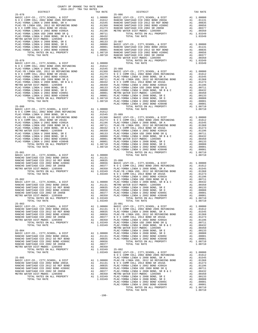| 2016-2017 TRA TAX RATES |  |  |  |
|-------------------------|--|--|--|
|                         |  |  |  |
|                         |  |  |  |
|                         |  |  |  |
|                         |  |  |  |
|                         |  |  |  |
|                         |  |  |  |
|                         |  |  |  |
|                         |  |  |  |
|                         |  |  |  |
|                         |  |  |  |
|                         |  |  |  |
|                         |  |  |  |
|                         |  |  |  |
|                         |  |  |  |
|                         |  |  |  |
|                         |  |  |  |
|                         |  |  |  |
|                         |  |  |  |
|                         |  |  |  |
|                         |  |  |  |
|                         |  |  |  |
|                         |  |  |  |
|                         |  |  |  |
|                         |  |  |  |
|                         |  |  |  |
|                         |  |  |  |
|                         |  |  |  |
|                         |  |  |  |
|                         |  |  |  |
|                         |  |  |  |
|                         |  |  |  |
|                         |  |  |  |
|                         |  |  |  |
|                         |  |  |  |
|                         |  |  |  |
|                         |  |  |  |
|                         |  |  |  |
|                         |  |  |  |
|                         |  |  |  |
|                         |  |  |  |
|                         |  |  |  |
|                         |  |  |  |
|                         |  |  |  |
|                         |  |  |  |
|                         |  |  |  |
|                         |  |  |  |
|                         |  |  |  |
|                         |  |  |  |
|                         |  |  |  |
|                         |  |  |  |
|                         |  |  |  |
|                         |  |  |  |
|                         |  |  |  |
|                         |  |  |  |
|                         |  |  |  |
|                         |  |  |  |
|                         |  |  |  |
|                         |  |  |  |
|                         |  |  |  |
|                         |  |  |  |
|                         |  |  |  |
|                         |  |  |  |
|                         |  |  |  |
|                         |  |  |  |
|                         |  |  |  |
|                         |  |  |  |
|                         |  |  |  |
|                         |  |  |  |
|                         |  |  |  |
|                         |  |  |  |
|                         |  |  |  |
|                         |  |  |  |

COUNTY OF ORANGE TAX RATE BOOK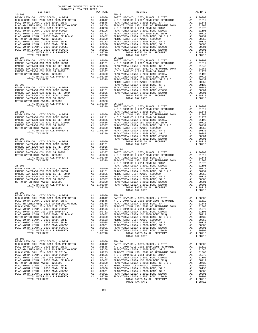| $2016-2017\begin{array}{lcl}\text{I-AA KAI'E B} \text{OOK}\\ \text{DISTRICT} \end{array}$ |  |                               |          |
|-------------------------------------------------------------------------------------------|--|-------------------------------|----------|
| $25 - 093$                                                                                |  | $TAX RATE$<br>25-101 DISTRICT | TAX RATE |
|                                                                                           |  |                               |          |
|                                                                                           |  |                               |          |
|                                                                                           |  |                               |          |
|                                                                                           |  |                               |          |
|                                                                                           |  |                               |          |
|                                                                                           |  |                               |          |
|                                                                                           |  |                               |          |
|                                                                                           |  |                               |          |
|                                                                                           |  |                               |          |
|                                                                                           |  |                               |          |
|                                                                                           |  |                               |          |
|                                                                                           |  |                               |          |
|                                                                                           |  |                               |          |
|                                                                                           |  |                               |          |
|                                                                                           |  |                               |          |
|                                                                                           |  |                               |          |
|                                                                                           |  |                               |          |
|                                                                                           |  |                               |          |
|                                                                                           |  |                               |          |
|                                                                                           |  |                               |          |
|                                                                                           |  |                               |          |
|                                                                                           |  |                               |          |
|                                                                                           |  |                               |          |
|                                                                                           |  |                               |          |
|                                                                                           |  |                               |          |
|                                                                                           |  |                               |          |
|                                                                                           |  |                               |          |
|                                                                                           |  |                               |          |
|                                                                                           |  |                               |          |
|                                                                                           |  |                               |          |
|                                                                                           |  |                               |          |
|                                                                                           |  |                               |          |
|                                                                                           |  |                               |          |
|                                                                                           |  |                               |          |
|                                                                                           |  |                               |          |
|                                                                                           |  |                               |          |
|                                                                                           |  |                               |          |
|                                                                                           |  |                               |          |
|                                                                                           |  |                               |          |
|                                                                                           |  |                               |          |
|                                                                                           |  |                               |          |
|                                                                                           |  |                               |          |
|                                                                                           |  |                               |          |
|                                                                                           |  |                               |          |
|                                                                                           |  |                               |          |
|                                                                                           |  |                               |          |
|                                                                                           |  |                               |          |
|                                                                                           |  |                               |          |
|                                                                                           |  |                               |          |
|                                                                                           |  |                               |          |
|                                                                                           |  |                               |          |
|                                                                                           |  |                               |          |
|                                                                                           |  |                               |          |
| $25 - 099$                                                                                |  |                               |          |
|                                                                                           |  |                               |          |
|                                                                                           |  |                               |          |
|                                                                                           |  |                               |          |
|                                                                                           |  |                               |          |
|                                                                                           |  |                               |          |
|                                                                                           |  |                               |          |
|                                                                                           |  |                               |          |
|                                                                                           |  |                               |          |
|                                                                                           |  |                               |          |
|                                                                                           |  |                               |          |
|                                                                                           |  |                               |          |
|                                                                                           |  |                               |          |
|                                                                                           |  |                               |          |
|                                                                                           |  |                               |          |
|                                                                                           |  |                               |          |
|                                                                                           |  |                               |          |
|                                                                                           |  |                               |          |
|                                                                                           |  |                               |          |
|                                                                                           |  |                               |          |
|                                                                                           |  |                               |          |
|                                                                                           |  |                               |          |
|                                                                                           |  |                               |          |
|                                                                                           |  |                               |          |
|                                                                                           |  |                               |          |
|                                                                                           |  |                               |          |
|                                                                                           |  |                               |          |
|                                                                                           |  |                               |          |

| RATE  | DISTRICT                          |
|-------|-----------------------------------|
|       | $25 - 101$                        |
| 10000 | BASIC LEVY-CO., CITY, SCHOOL, & D |
| 1612  | N O C COMM COLL 2002 BOND 2005 R  |
| 1545  | PLAC-YORBA LINDA U 2008 BOND, SR  |
| 1368  | PLAC-YB LINDA USD, 2012 GO REFUN  |
| 1273  | N O C COMM COLL 2014 BOND SR 201  |
| 1196  | PLAC-YORBA LINDA U 2002 BOND #20  |
| 10711 | PLAC-YORBA LINDA USD 2008 BOND S  |
| 0432  | PLAC-YORBA LINDA U 2008 BOND, SR  |
| 0350  | METRO WATER DIST-MWDOC- 1205999   |
| 0133  | PLAC-YORBA LINDA U 2008 BOND. SR  |
| 10088 | PLAC-YORBA LINDA U 2008 BOND. SR  |
| 0001  | PLAC-YORBA LINDA U 2002 BOND #20  |
| 10001 | PLAC-YORBA LINDA U 2002 BOND #20  |
| 18710 | TOTAL RATES ON ALL PROPE          |
| 8710  | TOTAL TAX RATE                    |
|       | $25 - 102$                        |
| 10000 | BASIC LEVY-CO., CITY, SCHOOL, & D |
| 1131  | N O C COMM COLL 2002 BOND 2005 R  |
| 0835  | PLAC-YORBA LINDA U 2008 BOND, SR  |
| 0656  | PLAC-YB LINDA USD, 2012 GO REFUN  |
| 10377 | N O C COMM COLL 2014 BOND SR 201  |
| 0350  | PLAC-YORBA LINDA U 2002 BOND #20  |
| 13349 | PLAC-YORRA LINDA HSD 2008 ROND S  |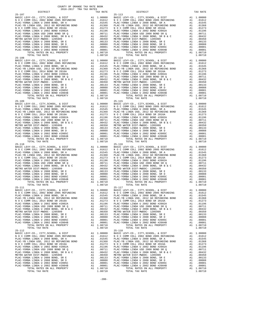| COUNTY OF ORANGE TAX RATE BOOK<br>$2016-2017\quad\text{TRA TAX RATES}\label{eq:2016-2017}$ DISTRICT                                                                                                                                                                                                                                                                                                                   |    |           |                                                                                 |                           |
|-----------------------------------------------------------------------------------------------------------------------------------------------------------------------------------------------------------------------------------------------------------------------------------------------------------------------------------------------------------------------------------------------------------------------|----|-----------|---------------------------------------------------------------------------------|---------------------------|
|                                                                                                                                                                                                                                                                                                                                                                                                                       |    | TAX RATE  | DISTRICT                                                                        | TAX RATE                  |
| $25 - 107$                                                                                                                                                                                                                                                                                                                                                                                                            |    |           | $25 - 113$                                                                      |                           |
|                                                                                                                                                                                                                                                                                                                                                                                                                       |    |           |                                                                                 |                           |
|                                                                                                                                                                                                                                                                                                                                                                                                                       |    |           |                                                                                 |                           |
|                                                                                                                                                                                                                                                                                                                                                                                                                       |    |           |                                                                                 |                           |
|                                                                                                                                                                                                                                                                                                                                                                                                                       |    |           |                                                                                 |                           |
|                                                                                                                                                                                                                                                                                                                                                                                                                       |    |           |                                                                                 |                           |
|                                                                                                                                                                                                                                                                                                                                                                                                                       |    |           |                                                                                 |                           |
|                                                                                                                                                                                                                                                                                                                                                                                                                       |    |           |                                                                                 |                           |
|                                                                                                                                                                                                                                                                                                                                                                                                                       |    |           |                                                                                 |                           |
|                                                                                                                                                                                                                                                                                                                                                                                                                       |    |           |                                                                                 |                           |
|                                                                                                                                                                                                                                                                                                                                                                                                                       |    |           |                                                                                 |                           |
|                                                                                                                                                                                                                                                                                                                                                                                                                       |    |           |                                                                                 |                           |
|                                                                                                                                                                                                                                                                                                                                                                                                                       |    |           |                                                                                 |                           |
|                                                                                                                                                                                                                                                                                                                                                                                                                       |    |           |                                                                                 |                           |
|                                                                                                                                                                                                                                                                                                                                                                                                                       |    |           |                                                                                 |                           |
|                                                                                                                                                                                                                                                                                                                                                                                                                       |    |           |                                                                                 |                           |
|                                                                                                                                                                                                                                                                                                                                                                                                                       |    |           |                                                                                 |                           |
|                                                                                                                                                                                                                                                                                                                                                                                                                       |    |           |                                                                                 |                           |
|                                                                                                                                                                                                                                                                                                                                                                                                                       |    |           |                                                                                 |                           |
|                                                                                                                                                                                                                                                                                                                                                                                                                       |    |           |                                                                                 |                           |
|                                                                                                                                                                                                                                                                                                                                                                                                                       |    |           |                                                                                 |                           |
|                                                                                                                                                                                                                                                                                                                                                                                                                       |    |           |                                                                                 |                           |
|                                                                                                                                                                                                                                                                                                                                                                                                                       |    |           |                                                                                 |                           |
|                                                                                                                                                                                                                                                                                                                                                                                                                       |    |           |                                                                                 |                           |
|                                                                                                                                                                                                                                                                                                                                                                                                                       |    |           |                                                                                 |                           |
|                                                                                                                                                                                                                                                                                                                                                                                                                       |    |           |                                                                                 |                           |
|                                                                                                                                                                                                                                                                                                                                                                                                                       |    |           |                                                                                 |                           |
|                                                                                                                                                                                                                                                                                                                                                                                                                       |    |           |                                                                                 |                           |
|                                                                                                                                                                                                                                                                                                                                                                                                                       |    |           |                                                                                 |                           |
|                                                                                                                                                                                                                                                                                                                                                                                                                       |    |           |                                                                                 |                           |
|                                                                                                                                                                                                                                                                                                                                                                                                                       |    |           |                                                                                 |                           |
|                                                                                                                                                                                                                                                                                                                                                                                                                       |    |           |                                                                                 |                           |
|                                                                                                                                                                                                                                                                                                                                                                                                                       |    |           |                                                                                 |                           |
|                                                                                                                                                                                                                                                                                                                                                                                                                       |    |           |                                                                                 |                           |
|                                                                                                                                                                                                                                                                                                                                                                                                                       |    |           |                                                                                 |                           |
|                                                                                                                                                                                                                                                                                                                                                                                                                       |    |           |                                                                                 |                           |
|                                                                                                                                                                                                                                                                                                                                                                                                                       |    |           |                                                                                 |                           |
|                                                                                                                                                                                                                                                                                                                                                                                                                       |    |           |                                                                                 |                           |
|                                                                                                                                                                                                                                                                                                                                                                                                                       |    |           |                                                                                 |                           |
|                                                                                                                                                                                                                                                                                                                                                                                                                       |    |           |                                                                                 |                           |
|                                                                                                                                                                                                                                                                                                                                                                                                                       |    |           |                                                                                 |                           |
|                                                                                                                                                                                                                                                                                                                                                                                                                       |    |           |                                                                                 |                           |
|                                                                                                                                                                                                                                                                                                                                                                                                                       |    |           |                                                                                 |                           |
|                                                                                                                                                                                                                                                                                                                                                                                                                       |    |           |                                                                                 |                           |
|                                                                                                                                                                                                                                                                                                                                                                                                                       |    |           |                                                                                 |                           |
|                                                                                                                                                                                                                                                                                                                                                                                                                       |    |           |                                                                                 |                           |
|                                                                                                                                                                                                                                                                                                                                                                                                                       |    |           |                                                                                 |                           |
|                                                                                                                                                                                                                                                                                                                                                                                                                       |    |           |                                                                                 |                           |
|                                                                                                                                                                                                                                                                                                                                                                                                                       |    |           |                                                                                 |                           |
|                                                                                                                                                                                                                                                                                                                                                                                                                       |    |           |                                                                                 |                           |
| PLAC-YORBA LINDA U 2008 BOND, SR A                                                                                                                                                                                                                                                                                                                                                                                    | A1 | .01545    | PLAC-YORBA LINDA U 2008 BOND, SR A                                              | A1<br>.01545              |
|                                                                                                                                                                                                                                                                                                                                                                                                                       |    |           |                                                                                 |                           |
| $\begin{tabular}{l c c c c c c} \hline \texttt{PLAC-YORBA LINDA U 2008 BOND SRE A} & 0.01545 & \texttt{PLAC-YORBA LINDA U 2008 BOND SRE B} & 0.0001 & 0.0001 & 0.0001 & 0.0001 & 0.001 & 0.001 & 0.001 & 0.001 & 0.001 & 0.001 & 0.001 & 0.001 & 0.001 & 0.001 & 0.001 & 0.001 & 0.001 & 0.001 & 0.001 & $                                                                                                            |    |           |                                                                                 |                           |
|                                                                                                                                                                                                                                                                                                                                                                                                                       |    |           |                                                                                 |                           |
|                                                                                                                                                                                                                                                                                                                                                                                                                       |    |           |                                                                                 |                           |
|                                                                                                                                                                                                                                                                                                                                                                                                                       |    |           |                                                                                 |                           |
|                                                                                                                                                                                                                                                                                                                                                                                                                       |    |           |                                                                                 |                           |
|                                                                                                                                                                                                                                                                                                                                                                                                                       |    |           |                                                                                 |                           |
|                                                                                                                                                                                                                                                                                                                                                                                                                       |    |           |                                                                                 |                           |
| TOTAL TAX RATE                                                                                                                                                                                                                                                                                                                                                                                                        |    | 1.08710   | TOTAL TAX RATE                                                                  | 1.08710                   |
| $25 - 112$                                                                                                                                                                                                                                                                                                                                                                                                            |    |           | $25 - 118$                                                                      |                           |
|                                                                                                                                                                                                                                                                                                                                                                                                                       |    |           | BASIC LEVY-CO., CITY,SCHOOL, & DIST<br>N O C COMM COLL 2002 BOND 2005 REFUNDING | A1 1.00000                |
| PLAC-YORBA LINDA U 2008 BOND, SR A                                                                                                                                                                                                                                                                                                                                                                                    |    | A1 .01545 | PLAC-YORBA LINDA U 2008 BOND, SR A                                              | A1 .01612<br>A1 .01545    |
|                                                                                                                                                                                                                                                                                                                                                                                                                       |    |           |                                                                                 | A1 .01368                 |
|                                                                                                                                                                                                                                                                                                                                                                                                                       |    |           |                                                                                 | A1 .01273                 |
|                                                                                                                                                                                                                                                                                                                                                                                                                       |    |           |                                                                                 | A1 .01196<br>A1 .00711    |
|                                                                                                                                                                                                                                                                                                                                                                                                                       |    |           |                                                                                 | A1 .00432                 |
|                                                                                                                                                                                                                                                                                                                                                                                                                       |    |           |                                                                                 | A1 .00350                 |
|                                                                                                                                                                                                                                                                                                                                                                                                                       |    |           |                                                                                 | A1 .00133<br>A1<br>.00088 |
|                                                                                                                                                                                                                                                                                                                                                                                                                       |    |           |                                                                                 | A1 .00001                 |
|                                                                                                                                                                                                                                                                                                                                                                                                                       |    |           |                                                                                 | A1 .00001                 |
| $\begin{tabular}{l c c c c c} \hline \texttt{PLAC-YORBA LINDA U 2008 BOND, SR A & .01545 & PLAC-YORBA LINDA U 2008 BOND, SR A \\ \hline \texttt{PLAC-YORBA LINDA U 2012 GO REFDUNING BOND A1 & .01368 PLAC-YORBA LINDA U 2012 GO REFDUNING BOND A2 & .01273 & N O C COMM COLL 2014 BOND SR 2016A \\ \hline \texttt{PLAC-YORBA LINDA U 2002 BOND H 2002B & .01196 & PLAC-YORBA LINDA U 2002 BOND H $<br>TOTAL TAX RATE |    | 1.08710   | TOTAL TAX RATE                                                                  | A1 1.08710<br>1.08710     |
|                                                                                                                                                                                                                                                                                                                                                                                                                       |    |           |                                                                                 |                           |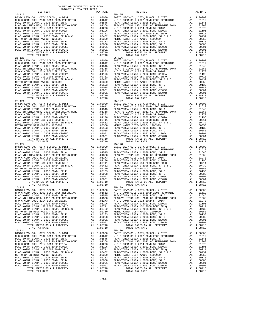COUNTY OF ORANGE TAX RATE BOOK 2016-2017 TRA TAX RATES DISTRICT TAX RATE DISTRICT TAX RATE 25-119 25-125 BASIC LEVY-CO., CITY,SCHOOL, & DIST A1 1.00000 BASIC LEVY-CO., CITY,SCHOOL, & DIST A1 1.00000 N O C COMM COLL 2002 BOND 2005 REFUNDING A1 .01612 N O C COMM COLL 2002 BOND 2005 REFUNDING A1 .01612 PLAC-YORBA LINDA U 2008 BOND, SR A A1 .01545 PLAC-YORBA LINDA U 2008 BOND, SR A A1 .01545 PLAC-YB LINDA USD, 2012 GO REFUNDING BOND A1 .01368 PLAC-YB LINDA USD, 2012 GO REFUNDING BOND A1 .01368 N O C COMM COLL 2014 BOND SR 2016A A1 .01273 N O C COMM COLL 2014 BOND SR 2016A A1 .01273 PLAC-YORBA LINDA U 2002 BOND #2002A A1 .01196 PLAC-YORBA LINDA U 2002 BOND #2002A A1 .01196 PLAC-YORBA LINDA USD 2008 BOND SR Q A1 .00711 PLAC-YORBA LINDA USD 2008 BOND SR Q A1 .00711 PLAC-YORBA LINDA U 2008 BOND, SR B & C A1 .00432 PLAC-YORBA LINDA U 2008 BOND, SR B & C A1 .00432 METRO WATER DIST-MWDOC- 1205999 A1 .00350 METRO WATER DIST-MWDOC- 1205999 A1 .00350 PLAC-YORBA LINDA U 2008 BOND, SR E A1 .00133 PLAC-YORBA LINDA U 2008 BOND, SR E A1 .00133 PLAC-YORBA LINDA U 2008 BOND, SR D A1 .00088 PLAC-YORBA LINDA U 2008 BOND, SR D A1 .00088 PLAC-YORBA LINDA U 2002 BOND #2005C A1 .00001 PLAC-YORBA LINDA U 2002 BOND #2005C A1 .00001 PLAC-YORBA LINDA U 2002 BOND #2004B A1 .00001 PLAC-YORBA LINDA U 2002 BOND #2004B A1 .00001 TOTAL RATES ON ALL PROPERTY A1 1.08710 TOTAL RATES ON ALL PROPERTY A1 1.08710 TOTAL TAX RATE 1.08710 TOTAL TAX RATE 1.08710 25-120 25-126 BASIC LEVY-CO., CITY,SCHOOL, & DIST A1 1.00000 BASIC LEVY-CO., CITY,SCHOOL, & DIST A1 1.00000 N O C COMM COLL 2002 BOND 2005 REFUNDING A1 .01612 N O C COMM COLL 2002 BOND 2005 REFUNDING A1 .01612 PLAC-YORBA LINDA U 2008 BOND, SR A A1 .01545 PLAC-YORBA LINDA U 2008 BOND, SR A A1 .01545 PLAC-YB LINDA USD, 2012 GO REFUNDING BOND A1 .01368 PLAC-YB LINDA USD, 2012 GO REFUNDING BOND A1 .01368 N O C COMM COLL 2014 BOND SR 2016A A1 .01273 N O C COMM COLL 2014 BOND SR 2016A A1 .01273 PLAC-YORBA LINDA U 2002 BOND #2002A A1 .01196 PLAC-YORBA LINDA U 2002 BOND #2002A A1 .01196 PLAC-YORBA LINDA USD 2008 BOND SR Q A1 .00711 PLAC-YORBA LINDA USD 2008 BOND SR Q A1 .00711 9 PLAC -YORBA LINDA U 2008 BOND, SR B & C<br>
METRO WATER DIST -WINDOC - 120599 PLAC -YORBA LINDA U 2008 BOND, SR B & C<br>
METRO WATER DIST -WINDOC - 120599 PLAC -YORBA LINDA U 2008 BOND, SR B A 1<br>
PLAC -YORBA LINDA U 2008 BOND  $\begin{tabular}{ c | c| c|c|c|c} \hline 25-121 & 25-121 & 26-121 & 2008 & 2008 & 2008 & 2008 & 2008 & 2008 & 2008 & 2008 & 2008 & 2008 & 2008 & 2008 & 2008 & 2008 & 2008 & 2008 & 2008 & 2008 & 2008 & 2008 & 2008 & 2008 & 2008 & 2008 & 2008 & 2008 & 2008 & 2008 & 2008 &$  $\begin{tabular}{ c| c| c|c|c|c} \hline 25-122 & 25-128 & 25-128 & 25-128 & 25-128 & 25-128 & 25-128 & 25-128 & 25-128 & 25-128 & 25-128 & 25-128 & 25-128 & 25-128 & 25-128 & 25-128 & 25-128 & 25-128 & 25-128 & 25-128 & 25-128 & 25-128 & 25-128 & 25-128 & 25-128$  25-123 25-129 BASIC LEVY-CO., CITY,SCHOOL, & DIST A1 1.00000 BASIC LEVY-CO., CITY,SCHOOL, & DIST A1 1.00000 N O C COMM COLL 2002 BOND 2005 REFUNDING A1 .01612 N O C COMM COLL 2002 BOND 2005 REFUNDING A1 .01612 PLAC-YORBA LINDA U 2008 BOND, SR A A1 .01545 PLAC-YORBA LINDA U 2008 BOND, SR A A1 .01545 PLAC-YB LINDA USD, 2012 GO REFUNDING BOND A1 .01368 PLAC-YB LINDA USD, 2012 GO REFUNDING BOND A1 .01368 N O C COMM COLL 2014 BOND SR 2016A A1 .01273 N O C COMM COLL 2014 BOND SR 2016A A1 .01273 PLAC-YORBA LINDA U 2002 BOND #2002A A1 .01196 PLAC-YORBA LINDA U 2002 BOND #2002A A1 .01196 PLAC-YORBA LINDA USD 2008 BOND SR Q A1 .00711 PLAC-YORBA LINDA USD 2008 BOND SR Q A1 .00711 PLAC-YORBA LINDA U 2008 BOND, SR B & C A1 .00432 PLAC-YORBA LINDA U 2008 BOND, SR B & C A1 .00432 METRO WATER DIST-MWDOC- 1205999 A1 .00350 METRO WATER DIST-MWDOC- 1205999 A1 .00350 PLAC-YORBA LINDA U 2008 BOND, SR E A1 .00133 PLAC-YORBA LINDA U 2008 BOND, SR E A1 .00133 PLAC-YORBA LINDA U 2008 BOND, SR D A1 .00088 PLAC-YORBA LINDA U 2008 BOND, SR D A1 .00088 PLAC-YORBA LINDA U 2002 BOND #2005C A1 .00001 PLAC-YORBA LINDA U 2002 BOND #2005C A1 .00001 PLAC-YORBA LINDA U 2002 BOND #2004B A1 .00001 PLAC-YORBA LINDA U 2002 BOND #2004B A1 .00001 TOTAL RATES ON ALL PROPERTY A1 1.08710 TOTAL RATES ON ALL PROPERTY A1 1.08710 TOTAL TAX RATE 1.08710 TOTAL TAX RATE 1.08710 25-124 25-130 BASIC LEVY-CO., CITY, SCHOOL, & DIST<br>NOC COMM COLL 2002 DON DONG COMM COLL 2002 BOND 2008 DONG COMM COLL 2002 DONG COMM COLL 2002 DONG COMM COLL 20<br>PLAC-YORBA LINDA U 2008 DONG DONG RETUNDING A1 .01545 PLAC-YORBA LINDA U 2  $\begin{tabular}{0.95\textwidth} {\bf N O C COM COL} 2014 BOND SR 2016 A & 0.1273 & 0.1273  
PLAC-YORBA LINDA U 2002 BOND 42008 BOND SR 2016 A & 0.1273  
PLAC-YORBA LINDA U 2008 BOND SR Q & 0.10011  
PLAC-YORBA LINDA U 2008 BOND SR R Q & 0.100111  
PLAC-YORBA LINDA U 2008 BOND SR R B & 0.100121  
MLCP-YORBA LINDA U 2008 BOND SER B & 1.0032  
MLPC-$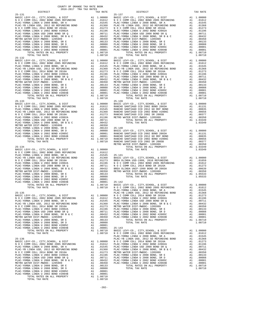TOTAL RATES ON ALL PROPERTY A1 1.08710 TOTAL TAX RATE 1.08710

| 35-131 DISTRICT (2016-2017 TRA TAX RIKE TAX RATES (2016-2017 TRA TAX RATES (2017 TRA TAX RATES (2017 TRA TAX RATES (2016-2017 TRA TAX RATES (2016-2017 TRA TAX RATES (2016-2017 TRA TAX RATES (2016-2017 TRA TAX RATES (2016- |  |  |  |
|-------------------------------------------------------------------------------------------------------------------------------------------------------------------------------------------------------------------------------|--|--|--|
|                                                                                                                                                                                                                               |  |  |  |
|                                                                                                                                                                                                                               |  |  |  |
|                                                                                                                                                                                                                               |  |  |  |
|                                                                                                                                                                                                                               |  |  |  |
|                                                                                                                                                                                                                               |  |  |  |
|                                                                                                                                                                                                                               |  |  |  |
|                                                                                                                                                                                                                               |  |  |  |
|                                                                                                                                                                                                                               |  |  |  |
|                                                                                                                                                                                                                               |  |  |  |
|                                                                                                                                                                                                                               |  |  |  |
|                                                                                                                                                                                                                               |  |  |  |
|                                                                                                                                                                                                                               |  |  |  |
|                                                                                                                                                                                                                               |  |  |  |
|                                                                                                                                                                                                                               |  |  |  |
|                                                                                                                                                                                                                               |  |  |  |
|                                                                                                                                                                                                                               |  |  |  |
|                                                                                                                                                                                                                               |  |  |  |
|                                                                                                                                                                                                                               |  |  |  |
|                                                                                                                                                                                                                               |  |  |  |
|                                                                                                                                                                                                                               |  |  |  |
|                                                                                                                                                                                                                               |  |  |  |
|                                                                                                                                                                                                                               |  |  |  |
|                                                                                                                                                                                                                               |  |  |  |
|                                                                                                                                                                                                                               |  |  |  |
|                                                                                                                                                                                                                               |  |  |  |
|                                                                                                                                                                                                                               |  |  |  |
|                                                                                                                                                                                                                               |  |  |  |
|                                                                                                                                                                                                                               |  |  |  |
|                                                                                                                                                                                                                               |  |  |  |
|                                                                                                                                                                                                                               |  |  |  |
|                                                                                                                                                                                                                               |  |  |  |
|                                                                                                                                                                                                                               |  |  |  |
|                                                                                                                                                                                                                               |  |  |  |
|                                                                                                                                                                                                                               |  |  |  |
|                                                                                                                                                                                                                               |  |  |  |
|                                                                                                                                                                                                                               |  |  |  |
|                                                                                                                                                                                                                               |  |  |  |
|                                                                                                                                                                                                                               |  |  |  |
|                                                                                                                                                                                                                               |  |  |  |
|                                                                                                                                                                                                                               |  |  |  |
|                                                                                                                                                                                                                               |  |  |  |
|                                                                                                                                                                                                                               |  |  |  |
|                                                                                                                                                                                                                               |  |  |  |
|                                                                                                                                                                                                                               |  |  |  |
|                                                                                                                                                                                                                               |  |  |  |
|                                                                                                                                                                                                                               |  |  |  |
|                                                                                                                                                                                                                               |  |  |  |
|                                                                                                                                                                                                                               |  |  |  |
|                                                                                                                                                                                                                               |  |  |  |
|                                                                                                                                                                                                                               |  |  |  |
|                                                                                                                                                                                                                               |  |  |  |
|                                                                                                                                                                                                                               |  |  |  |
|                                                                                                                                                                                                                               |  |  |  |
|                                                                                                                                                                                                                               |  |  |  |
| 25 - 130 - 2023 - 2014 - 2023 - 2023 - 2023 - 2023 - 2023 - 2023 - 2023 - 2023 - 2023 - 2023 - 2023 - 2023 - 2023 - 2023 - 2023 - 2023 - 2023 - 2023 - 2023 - 2023 - 2023 - 2023 - 2023 - 2023 - 2023 - 2023 - 2023 - 2023 -  |  |  |  |
|                                                                                                                                                                                                                               |  |  |  |
|                                                                                                                                                                                                                               |  |  |  |
|                                                                                                                                                                                                                               |  |  |  |
|                                                                                                                                                                                                                               |  |  |  |
|                                                                                                                                                                                                                               |  |  |  |
|                                                                                                                                                                                                                               |  |  |  |
|                                                                                                                                                                                                                               |  |  |  |
|                                                                                                                                                                                                                               |  |  |  |
|                                                                                                                                                                                                                               |  |  |  |
|                                                                                                                                                                                                                               |  |  |  |
|                                                                                                                                                                                                                               |  |  |  |
|                                                                                                                                                                                                                               |  |  |  |
|                                                                                                                                                                                                                               |  |  |  |
|                                                                                                                                                                                                                               |  |  |  |
|                                                                                                                                                                                                                               |  |  |  |
|                                                                                                                                                                                                                               |  |  |  |
|                                                                                                                                                                                                                               |  |  |  |
|                                                                                                                                                                                                                               |  |  |  |
|                                                                                                                                                                                                                               |  |  |  |
|                                                                                                                                                                                                                               |  |  |  |
|                                                                                                                                                                                                                               |  |  |  |
|                                                                                                                                                                                                                               |  |  |  |
|                                                                                                                                                                                                                               |  |  |  |
|                                                                                                                                                                                                                               |  |  |  |
|                                                                                                                                                                                                                               |  |  |  |
|                                                                                                                                                                                                                               |  |  |  |
|                                                                                                                                                                                                                               |  |  |  |

-202-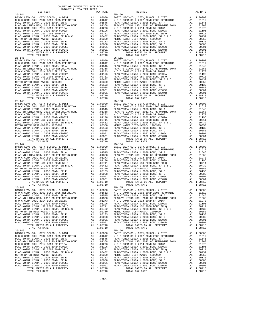| COUNTY OF ORANGE TAX RATE BOOK<br>$2016-2017 \quad \text{TRA RATE}$ DISTRICT $\hspace{0.5cm}$                                                                                                                                 |              |                                                                                                                                                                                                                                                                                                                     |                           |
|-------------------------------------------------------------------------------------------------------------------------------------------------------------------------------------------------------------------------------|--------------|---------------------------------------------------------------------------------------------------------------------------------------------------------------------------------------------------------------------------------------------------------------------------------------------------------------------|---------------------------|
|                                                                                                                                                                                                                               | TAX RATE     | DISTRICT                                                                                                                                                                                                                                                                                                            | TAX RATE                  |
| $25 - 144$                                                                                                                                                                                                                    |              | $25 - 150$                                                                                                                                                                                                                                                                                                          |                           |
|                                                                                                                                                                                                                               |              |                                                                                                                                                                                                                                                                                                                     |                           |
|                                                                                                                                                                                                                               |              |                                                                                                                                                                                                                                                                                                                     |                           |
|                                                                                                                                                                                                                               |              |                                                                                                                                                                                                                                                                                                                     |                           |
|                                                                                                                                                                                                                               |              |                                                                                                                                                                                                                                                                                                                     |                           |
|                                                                                                                                                                                                                               |              |                                                                                                                                                                                                                                                                                                                     |                           |
|                                                                                                                                                                                                                               |              |                                                                                                                                                                                                                                                                                                                     |                           |
|                                                                                                                                                                                                                               |              |                                                                                                                                                                                                                                                                                                                     |                           |
|                                                                                                                                                                                                                               |              |                                                                                                                                                                                                                                                                                                                     |                           |
|                                                                                                                                                                                                                               |              |                                                                                                                                                                                                                                                                                                                     |                           |
|                                                                                                                                                                                                                               |              |                                                                                                                                                                                                                                                                                                                     |                           |
|                                                                                                                                                                                                                               |              |                                                                                                                                                                                                                                                                                                                     |                           |
|                                                                                                                                                                                                                               |              |                                                                                                                                                                                                                                                                                                                     |                           |
|                                                                                                                                                                                                                               |              |                                                                                                                                                                                                                                                                                                                     |                           |
|                                                                                                                                                                                                                               |              |                                                                                                                                                                                                                                                                                                                     |                           |
|                                                                                                                                                                                                                               |              |                                                                                                                                                                                                                                                                                                                     |                           |
|                                                                                                                                                                                                                               |              |                                                                                                                                                                                                                                                                                                                     |                           |
|                                                                                                                                                                                                                               |              |                                                                                                                                                                                                                                                                                                                     |                           |
|                                                                                                                                                                                                                               |              |                                                                                                                                                                                                                                                                                                                     |                           |
|                                                                                                                                                                                                                               |              |                                                                                                                                                                                                                                                                                                                     |                           |
|                                                                                                                                                                                                                               |              |                                                                                                                                                                                                                                                                                                                     |                           |
|                                                                                                                                                                                                                               |              |                                                                                                                                                                                                                                                                                                                     |                           |
|                                                                                                                                                                                                                               |              |                                                                                                                                                                                                                                                                                                                     |                           |
|                                                                                                                                                                                                                               |              |                                                                                                                                                                                                                                                                                                                     |                           |
|                                                                                                                                                                                                                               |              |                                                                                                                                                                                                                                                                                                                     |                           |
|                                                                                                                                                                                                                               |              |                                                                                                                                                                                                                                                                                                                     |                           |
|                                                                                                                                                                                                                               |              |                                                                                                                                                                                                                                                                                                                     |                           |
|                                                                                                                                                                                                                               |              |                                                                                                                                                                                                                                                                                                                     |                           |
|                                                                                                                                                                                                                               |              |                                                                                                                                                                                                                                                                                                                     |                           |
|                                                                                                                                                                                                                               |              |                                                                                                                                                                                                                                                                                                                     |                           |
|                                                                                                                                                                                                                               |              |                                                                                                                                                                                                                                                                                                                     |                           |
|                                                                                                                                                                                                                               |              |                                                                                                                                                                                                                                                                                                                     |                           |
|                                                                                                                                                                                                                               |              |                                                                                                                                                                                                                                                                                                                     |                           |
|                                                                                                                                                                                                                               |              |                                                                                                                                                                                                                                                                                                                     |                           |
|                                                                                                                                                                                                                               |              |                                                                                                                                                                                                                                                                                                                     |                           |
|                                                                                                                                                                                                                               |              |                                                                                                                                                                                                                                                                                                                     |                           |
|                                                                                                                                                                                                                               |              |                                                                                                                                                                                                                                                                                                                     |                           |
|                                                                                                                                                                                                                               |              |                                                                                                                                                                                                                                                                                                                     |                           |
|                                                                                                                                                                                                                               |              |                                                                                                                                                                                                                                                                                                                     |                           |
|                                                                                                                                                                                                                               |              |                                                                                                                                                                                                                                                                                                                     |                           |
|                                                                                                                                                                                                                               |              |                                                                                                                                                                                                                                                                                                                     |                           |
|                                                                                                                                                                                                                               |              |                                                                                                                                                                                                                                                                                                                     |                           |
|                                                                                                                                                                                                                               |              |                                                                                                                                                                                                                                                                                                                     |                           |
|                                                                                                                                                                                                                               |              |                                                                                                                                                                                                                                                                                                                     |                           |
|                                                                                                                                                                                                                               |              |                                                                                                                                                                                                                                                                                                                     |                           |
|                                                                                                                                                                                                                               |              |                                                                                                                                                                                                                                                                                                                     |                           |
|                                                                                                                                                                                                                               |              |                                                                                                                                                                                                                                                                                                                     |                           |
|                                                                                                                                                                                                                               |              |                                                                                                                                                                                                                                                                                                                     |                           |
|                                                                                                                                                                                                                               |              |                                                                                                                                                                                                                                                                                                                     |                           |
|                                                                                                                                                                                                                               |              |                                                                                                                                                                                                                                                                                                                     |                           |
| FACTORIZE LEARN SURFAINS AND A SURFAINS AND A CONFERENT PROPERTY. THE CAR CORRECT SURFAINS AND A SURFAINS AND A CONFERENT CHANNEL CONFERENCE IN A SURFAIN OF A SURFAINS AND A SURFAINS AND A SURFAINS AND A SURFAINS AND A SU |              |                                                                                                                                                                                                                                                                                                                     |                           |
| PLAC-YORBA LINDA U 2008 BOND, SR A                                                                                                                                                                                            | A1<br>.01545 | PLAC-YORBA LINDA U 2008 BOND, SR A                                                                                                                                                                                                                                                                                  | A1<br>.01545              |
|                                                                                                                                                                                                                               |              |                                                                                                                                                                                                                                                                                                                     |                           |
|                                                                                                                                                                                                                               |              |                                                                                                                                                                                                                                                                                                                     |                           |
|                                                                                                                                                                                                                               |              |                                                                                                                                                                                                                                                                                                                     |                           |
|                                                                                                                                                                                                                               |              |                                                                                                                                                                                                                                                                                                                     |                           |
|                                                                                                                                                                                                                               |              |                                                                                                                                                                                                                                                                                                                     |                           |
|                                                                                                                                                                                                                               |              | $[{\tt PLAC-YORBA\ LINDA U 2008\ BOND\ SRE\ A\ L10108\ BND\ A1\ 01208\ BOND\ A2008\ BND\ A31\ 01273\ B1AC-YORBA\ LINDA U 2008\ BOND\ A41\ 01273\ B1AC-YORBA\ LINDA U 2008\ BOND\ A1\ 01273\ B1AC-YORBA\ LINDA U 2008\ BOND\ A2008\ BND\ A1\ 01273\ B1AC-YORBA\ LINDA U 2008\ BOND\ A2008\ BND\ A1\ 01273\ B1AC-YOR$ |                           |
|                                                                                                                                                                                                                               |              |                                                                                                                                                                                                                                                                                                                     |                           |
|                                                                                                                                                                                                                               |              |                                                                                                                                                                                                                                                                                                                     |                           |
| TOTAL TAX RATE<br>$25 - 149$                                                                                                                                                                                                  | 1.08710      | TOTAL TAX RATE<br>$25 - 156$                                                                                                                                                                                                                                                                                        | 1.08710                   |
|                                                                                                                                                                                                                               |              |                                                                                                                                                                                                                                                                                                                     | A1 1,00000                |
|                                                                                                                                                                                                                               |              | BASIC LEVY-CO., CITY,SCHOOL, & DIST<br>N O C COMM COLL 2002 BOND 2005 REFUNDING                                                                                                                                                                                                                                     | A1 .01612                 |
|                                                                                                                                                                                                                               |              | PLAC-YORBA LINDA U 2008 BOND, SR A                                                                                                                                                                                                                                                                                  | A1 .01545<br>A1 .01368    |
|                                                                                                                                                                                                                               |              |                                                                                                                                                                                                                                                                                                                     | A1 .01273                 |
|                                                                                                                                                                                                                               |              |                                                                                                                                                                                                                                                                                                                     | A1 .01196                 |
|                                                                                                                                                                                                                               |              |                                                                                                                                                                                                                                                                                                                     | A1 .00711<br>A1 .00432    |
|                                                                                                                                                                                                                               |              |                                                                                                                                                                                                                                                                                                                     | A1 .00350                 |
|                                                                                                                                                                                                                               |              |                                                                                                                                                                                                                                                                                                                     | A1 .00133                 |
|                                                                                                                                                                                                                               |              |                                                                                                                                                                                                                                                                                                                     | A1<br>.00088<br>A1 .00001 |
|                                                                                                                                                                                                                               |              |                                                                                                                                                                                                                                                                                                                     | A1 .00001                 |
|                                                                                                                                                                                                                               |              |                                                                                                                                                                                                                                                                                                                     | A1 1.08710                |
| TOTAL TAX RATE                                                                                                                                                                                                                | 1.08710      | TOTAL TAX RATE                                                                                                                                                                                                                                                                                                      | 1.08710                   |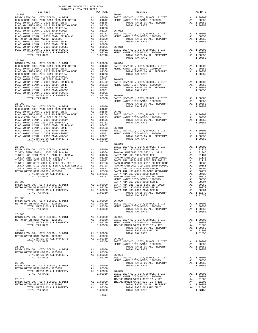| COUNTY OF ORANGE TAX RATE BOOK<br>2016-2017 TRA TAX RATES<br>$2016-2017 \quad \text{TRA RATES}$ DISTRICT $\hspace{0.5cm}$                                                                                                                                                                                                                                                                                                                          |         |                                 |          |
|----------------------------------------------------------------------------------------------------------------------------------------------------------------------------------------------------------------------------------------------------------------------------------------------------------------------------------------------------------------------------------------------------------------------------------------------------|---------|---------------------------------|----------|
|                                                                                                                                                                                                                                                                                                                                                                                                                                                    |         | TAX RATE<br>26-011 DISTRICT     | TAX RATE |
| $\begin{tabular}{@{}c@{}}\textbf{25-157}& \textbf{115}7 \textbf{16} \textbf{16} & \textbf{16} \textbf{17} \textbf{17} \textbf{18} & \textbf{17} \textbf{18} \textbf{18} \textbf{18} & \textbf{18} \textbf{18} \textbf{19} & \textbf{19} \textbf{18} \textbf{19} \\ \textbf{18-15} \textbf{18} \textbf{19} \textbf{10} \textbf{10} \textbf{10} \textbf{10} \textbf{10} \textbf{10} \textbf{1$                                                       |         |                                 |          |
|                                                                                                                                                                                                                                                                                                                                                                                                                                                    |         |                                 |          |
|                                                                                                                                                                                                                                                                                                                                                                                                                                                    |         |                                 |          |
|                                                                                                                                                                                                                                                                                                                                                                                                                                                    |         |                                 |          |
|                                                                                                                                                                                                                                                                                                                                                                                                                                                    |         |                                 |          |
|                                                                                                                                                                                                                                                                                                                                                                                                                                                    |         |                                 |          |
|                                                                                                                                                                                                                                                                                                                                                                                                                                                    |         |                                 |          |
|                                                                                                                                                                                                                                                                                                                                                                                                                                                    |         |                                 |          |
|                                                                                                                                                                                                                                                                                                                                                                                                                                                    |         |                                 |          |
|                                                                                                                                                                                                                                                                                                                                                                                                                                                    |         |                                 |          |
|                                                                                                                                                                                                                                                                                                                                                                                                                                                    |         |                                 |          |
|                                                                                                                                                                                                                                                                                                                                                                                                                                                    |         |                                 |          |
|                                                                                                                                                                                                                                                                                                                                                                                                                                                    |         |                                 |          |
|                                                                                                                                                                                                                                                                                                                                                                                                                                                    |         |                                 |          |
| $25 - 901$                                                                                                                                                                                                                                                                                                                                                                                                                                         |         |                                 |          |
|                                                                                                                                                                                                                                                                                                                                                                                                                                                    |         |                                 |          |
|                                                                                                                                                                                                                                                                                                                                                                                                                                                    |         |                                 |          |
|                                                                                                                                                                                                                                                                                                                                                                                                                                                    |         |                                 |          |
|                                                                                                                                                                                                                                                                                                                                                                                                                                                    |         |                                 |          |
|                                                                                                                                                                                                                                                                                                                                                                                                                                                    |         |                                 |          |
|                                                                                                                                                                                                                                                                                                                                                                                                                                                    |         |                                 |          |
|                                                                                                                                                                                                                                                                                                                                                                                                                                                    |         |                                 |          |
|                                                                                                                                                                                                                                                                                                                                                                                                                                                    |         |                                 |          |
|                                                                                                                                                                                                                                                                                                                                                                                                                                                    |         |                                 |          |
|                                                                                                                                                                                                                                                                                                                                                                                                                                                    |         |                                 |          |
|                                                                                                                                                                                                                                                                                                                                                                                                                                                    |         |                                 |          |
|                                                                                                                                                                                                                                                                                                                                                                                                                                                    |         |                                 |          |
|                                                                                                                                                                                                                                                                                                                                                                                                                                                    |         |                                 |          |
|                                                                                                                                                                                                                                                                                                                                                                                                                                                    |         |                                 |          |
|                                                                                                                                                                                                                                                                                                                                                                                                                                                    |         |                                 |          |
|                                                                                                                                                                                                                                                                                                                                                                                                                                                    |         |                                 |          |
|                                                                                                                                                                                                                                                                                                                                                                                                                                                    |         |                                 |          |
|                                                                                                                                                                                                                                                                                                                                                                                                                                                    |         |                                 |          |
|                                                                                                                                                                                                                                                                                                                                                                                                                                                    |         |                                 |          |
|                                                                                                                                                                                                                                                                                                                                                                                                                                                    |         |                                 |          |
|                                                                                                                                                                                                                                                                                                                                                                                                                                                    |         |                                 |          |
|                                                                                                                                                                                                                                                                                                                                                                                                                                                    |         |                                 |          |
|                                                                                                                                                                                                                                                                                                                                                                                                                                                    |         |                                 |          |
|                                                                                                                                                                                                                                                                                                                                                                                                                                                    |         |                                 |          |
|                                                                                                                                                                                                                                                                                                                                                                                                                                                    |         |                                 |          |
|                                                                                                                                                                                                                                                                                                                                                                                                                                                    |         |                                 |          |
|                                                                                                                                                                                                                                                                                                                                                                                                                                                    |         |                                 |          |
|                                                                                                                                                                                                                                                                                                                                                                                                                                                    |         |                                 |          |
|                                                                                                                                                                                                                                                                                                                                                                                                                                                    |         |                                 |          |
|                                                                                                                                                                                                                                                                                                                                                                                                                                                    |         |                                 |          |
|                                                                                                                                                                                                                                                                                                                                                                                                                                                    |         |                                 |          |
|                                                                                                                                                                                                                                                                                                                                                                                                                                                    |         |                                 |          |
|                                                                                                                                                                                                                                                                                                                                                                                                                                                    |         |                                 |          |
|                                                                                                                                                                                                                                                                                                                                                                                                                                                    |         |                                 |          |
|                                                                                                                                                                                                                                                                                                                                                                                                                                                    |         |                                 |          |
|                                                                                                                                                                                                                                                                                                                                                                                                                                                    |         |                                 |          |
|                                                                                                                                                                                                                                                                                                                                                                                                                                                    |         |                                 |          |
|                                                                                                                                                                                                                                                                                                                                                                                                                                                    |         |                                 |          |
|                                                                                                                                                                                                                                                                                                                                                                                                                                                    |         |                                 |          |
|                                                                                                                                                                                                                                                                                                                                                                                                                                                    |         |                                 |          |
| $\begin{tabular}{cccc} {\bf 1.02336} & {\bf 26-010} & {\bf 26-019} \\ {\bf 2707AL} \end{tabular} \hfill {\bf 1.00000} & {\bf 28.810} & {\bf 26-019} \\ {\bf 28-000} & {\bf 28.810} & {\bf 28.820} \\ {\bf 29-010} & {\bf 29.835} \\ {\bf 20.811} \end{tabular} \hfill {\bf 29.836} \\ {\bf 20.811} \end{tabular} \hfill {\bf 20.81} \\ {\bf 21.02009}$                                                                                             |         |                                 |          |
| $26 - 005$                                                                                                                                                                                                                                                                                                                                                                                                                                         |         | $\frac{1}{2}$<br>TOTAL TAX RATE | 1.11672  |
| 26-005<br>BASIC LEVY-CO., CITY, SCHOOL, & DIST<br>METRO WATER DIST<br>—MWDOC-1205999<br>METRO WATER DIST—MWDOC-1205999<br>TOTAL RATES ON ALL PROPERTY A1 1.00350<br>                                                                                                                                                                                                                                                                               |         |                                 |          |
|                                                                                                                                                                                                                                                                                                                                                                                                                                                    |         |                                 |          |
|                                                                                                                                                                                                                                                                                                                                                                                                                                                    |         |                                 |          |
|                                                                                                                                                                                                                                                                                                                                                                                                                                                    |         | TOTAL TAX RATE                  | 1.00350  |
|                                                                                                                                                                                                                                                                                                                                                                                                                                                    |         |                                 |          |
|                                                                                                                                                                                                                                                                                                                                                                                                                                                    |         |                                 |          |
|                                                                                                                                                                                                                                                                                                                                                                                                                                                    |         |                                 |          |
|                                                                                                                                                                                                                                                                                                                                                                                                                                                    |         |                                 |          |
|                                                                                                                                                                                                                                                                                                                                                                                                                                                    |         |                                 |          |
| $\begin{tabular}{lllllllllllllllll} \multicolumn{4}{c}{\textbf{26-006}} & \multicolumn{4}{c}{\textbf{26-006}} & \multicolumn{4}{c}{\textbf{26-006}} & \multicolumn{4}{c}{\textbf{26-006}} & \multicolumn{4}{c}{\textbf{26-006}} & \multicolumn{4}{c}{\textbf{26-006}} & \multicolumn{4}{c}{\textbf{26-021}} & \multicolumn{4}{c}{\textbf{26-021}} & \multicolumn{4}{c}{\textbf{26-021}} & \multicolumn{4}{c}{\textbf{26$                           |         |                                 |          |
| $\begin{tabular}{lllllllllllllllllllll} \hline 26-007 & & & & & & & & & & & & & & \\ \hline \text{BASTC LEVY-CO., CITY, SCHOOL, & & & & & & & & & & & \\ \text{METRO WATER DIST-MWDOC- 1205999} & & & & & & & & & & & \\ \text{METRO WATER DIST-MWDOC- 1205999} & & & & & & & & & & \\ \text{TOTAL RATES ON ALL PROPERTIESTY & & & & & & & & & \\ \text{TOTAL TAX RATE & & & & & & & & & \\ \text{TOTAL TAX RATE & & & & & & & & \\ \text{TOTAL T$ |         |                                 |          |
|                                                                                                                                                                                                                                                                                                                                                                                                                                                    |         |                                 |          |
|                                                                                                                                                                                                                                                                                                                                                                                                                                                    |         |                                 |          |
|                                                                                                                                                                                                                                                                                                                                                                                                                                                    |         |                                 |          |
|                                                                                                                                                                                                                                                                                                                                                                                                                                                    |         |                                 |          |
|                                                                                                                                                                                                                                                                                                                                                                                                                                                    |         |                                 |          |
|                                                                                                                                                                                                                                                                                                                                                                                                                                                    |         |                                 |          |
|                                                                                                                                                                                                                                                                                                                                                                                                                                                    |         |                                 |          |
|                                                                                                                                                                                                                                                                                                                                                                                                                                                    |         |                                 |          |
|                                                                                                                                                                                                                                                                                                                                                                                                                                                    |         |                                 |          |
|                                                                                                                                                                                                                                                                                                                                                                                                                                                    |         |                                 |          |
|                                                                                                                                                                                                                                                                                                                                                                                                                                                    |         |                                 |          |
|                                                                                                                                                                                                                                                                                                                                                                                                                                                    |         |                                 |          |
|                                                                                                                                                                                                                                                                                                                                                                                                                                                    |         |                                 |          |
|                                                                                                                                                                                                                                                                                                                                                                                                                                                    |         |                                 |          |
|                                                                                                                                                                                                                                                                                                                                                                                                                                                    |         |                                 |          |
|                                                                                                                                                                                                                                                                                                                                                                                                                                                    |         |                                 |          |
|                                                                                                                                                                                                                                                                                                                                                                                                                                                    |         |                                 |          |
|                                                                                                                                                                                                                                                                                                                                                                                                                                                    |         |                                 |          |
|                                                                                                                                                                                                                                                                                                                                                                                                                                                    |         |                                 |          |
|                                                                                                                                                                                                                                                                                                                                                                                                                                                    | $-204-$ |                                 |          |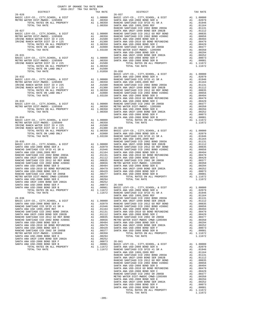| COUNTY OF ORANGE TAX RATE BOOK<br>2016-2017 TRA TAX RATES<br>DISTRICT TAX RI |                                                                                                                                                                                                                              |  |
|------------------------------------------------------------------------------|------------------------------------------------------------------------------------------------------------------------------------------------------------------------------------------------------------------------------|--|
|                                                                              |                                                                                                                                                                                                                              |  |
|                                                                              |                                                                                                                                                                                                                              |  |
|                                                                              |                                                                                                                                                                                                                              |  |
|                                                                              |                                                                                                                                                                                                                              |  |
|                                                                              |                                                                                                                                                                                                                              |  |
|                                                                              |                                                                                                                                                                                                                              |  |
|                                                                              |                                                                                                                                                                                                                              |  |
|                                                                              |                                                                                                                                                                                                                              |  |
|                                                                              |                                                                                                                                                                                                                              |  |
|                                                                              |                                                                                                                                                                                                                              |  |
|                                                                              |                                                                                                                                                                                                                              |  |
|                                                                              |                                                                                                                                                                                                                              |  |
|                                                                              |                                                                                                                                                                                                                              |  |
|                                                                              |                                                                                                                                                                                                                              |  |
|                                                                              |                                                                                                                                                                                                                              |  |
|                                                                              |                                                                                                                                                                                                                              |  |
|                                                                              |                                                                                                                                                                                                                              |  |
|                                                                              |                                                                                                                                                                                                                              |  |
|                                                                              |                                                                                                                                                                                                                              |  |
|                                                                              |                                                                                                                                                                                                                              |  |
|                                                                              |                                                                                                                                                                                                                              |  |
|                                                                              |                                                                                                                                                                                                                              |  |
|                                                                              |                                                                                                                                                                                                                              |  |
|                                                                              |                                                                                                                                                                                                                              |  |
|                                                                              | The street of the street of the street of the street of the street of the street of the street of the street of the street of the street of the street of the street of the street of the street of the street of the street |  |
|                                                                              |                                                                                                                                                                                                                              |  |
|                                                                              |                                                                                                                                                                                                                              |  |
|                                                                              |                                                                                                                                                                                                                              |  |
|                                                                              |                                                                                                                                                                                                                              |  |
|                                                                              |                                                                                                                                                                                                                              |  |
|                                                                              |                                                                                                                                                                                                                              |  |
|                                                                              |                                                                                                                                                                                                                              |  |
|                                                                              |                                                                                                                                                                                                                              |  |
|                                                                              |                                                                                                                                                                                                                              |  |
|                                                                              |                                                                                                                                                                                                                              |  |
|                                                                              |                                                                                                                                                                                                                              |  |
|                                                                              |                                                                                                                                                                                                                              |  |
|                                                                              |                                                                                                                                                                                                                              |  |
|                                                                              |                                                                                                                                                                                                                              |  |
|                                                                              |                                                                                                                                                                                                                              |  |
|                                                                              |                                                                                                                                                                                                                              |  |
|                                                                              |                                                                                                                                                                                                                              |  |
|                                                                              |                                                                                                                                                                                                                              |  |
|                                                                              |                                                                                                                                                                                                                              |  |
|                                                                              |                                                                                                                                                                                                                              |  |
|                                                                              |                                                                                                                                                                                                                              |  |
|                                                                              |                                                                                                                                                                                                                              |  |
|                                                                              |                                                                                                                                                                                                                              |  |
|                                                                              |                                                                                                                                                                                                                              |  |
|                                                                              |                                                                                                                                                                                                                              |  |
|                                                                              |                                                                                                                                                                                                                              |  |
|                                                                              |                                                                                                                                                                                                                              |  |
|                                                                              |                                                                                                                                                                                                                              |  |
|                                                                              |                                                                                                                                                                                                                              |  |
|                                                                              |                                                                                                                                                                                                                              |  |
|                                                                              |                                                                                                                                                                                                                              |  |
|                                                                              |                                                                                                                                                                                                                              |  |
|                                                                              |                                                                                                                                                                                                                              |  |
|                                                                              |                                                                                                                                                                                                                              |  |
|                                                                              |                                                                                                                                                                                                                              |  |
|                                                                              |                                                                                                                                                                                                                              |  |
|                                                                              |                                                                                                                                                                                                                              |  |
|                                                                              |                                                                                                                                                                                                                              |  |
|                                                                              |                                                                                                                                                                                                                              |  |
|                                                                              |                                                                                                                                                                                                                              |  |
|                                                                              |                                                                                                                                                                                                                              |  |
|                                                                              |                                                                                                                                                                                                                              |  |
|                                                                              |                                                                                                                                                                                                                              |  |
|                                                                              |                                                                                                                                                                                                                              |  |
|                                                                              |                                                                                                                                                                                                                              |  |
|                                                                              |                                                                                                                                                                                                                              |  |
|                                                                              |                                                                                                                                                                                                                              |  |
|                                                                              |                                                                                                                                                                                                                              |  |
|                                                                              |                                                                                                                                                                                                                              |  |
|                                                                              |                                                                                                                                                                                                                              |  |
|                                                                              |                                                                                                                                                                                                                              |  |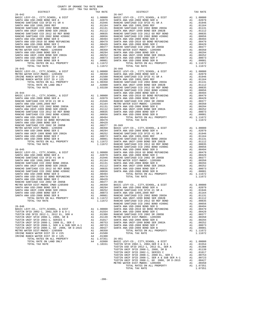| $26 - 042$                                                                                               |          |                                                                                                                                                                                                                                       | $26 - 047$         |
|----------------------------------------------------------------------------------------------------------|----------|---------------------------------------------------------------------------------------------------------------------------------------------------------------------------------------------------------------------------------------|--------------------|
|                                                                                                          |          |                                                                                                                                                                                                                                       |                    |
|                                                                                                          |          |                                                                                                                                                                                                                                       |                    |
|                                                                                                          |          |                                                                                                                                                                                                                                       |                    |
|                                                                                                          |          |                                                                                                                                                                                                                                       |                    |
|                                                                                                          |          |                                                                                                                                                                                                                                       |                    |
|                                                                                                          |          |                                                                                                                                                                                                                                       |                    |
|                                                                                                          |          |                                                                                                                                                                                                                                       |                    |
|                                                                                                          |          |                                                                                                                                                                                                                                       |                    |
|                                                                                                          |          |                                                                                                                                                                                                                                       |                    |
|                                                                                                          |          |                                                                                                                                                                                                                                       |                    |
|                                                                                                          |          |                                                                                                                                                                                                                                       |                    |
|                                                                                                          |          |                                                                                                                                                                                                                                       |                    |
|                                                                                                          |          |                                                                                                                                                                                                                                       |                    |
|                                                                                                          |          |                                                                                                                                                                                                                                       |                    |
|                                                                                                          |          |                                                                                                                                                                                                                                       |                    |
| TOTAL RATES ON ALL PROPERTY<br>TOTAL TAX RATE                                                            |          | A1 1.11672<br>1.11672                                                                                                                                                                                                                 |                    |
| $26 - 043$                                                                                               |          |                                                                                                                                                                                                                                       | $26 - 048$         |
| BASIC LEVY-CO., CITY, SCHOOL, & DIST                                                                     |          |                                                                                                                                                                                                                                       |                    |
| METRO WATER DIST-MWDOC- 1205999                                                                          |          |                                                                                                                                                                                                                                       |                    |
| IRVINE RANCH WATER DIST ID # 225<br>IRVINE RANCH WATER DIST ID # 225<br>IRVINE RANCH WATER DIST ID # 125 |          |                                                                                                                                                                                                                                       |                    |
|                                                                                                          |          |                                                                                                                                                                                                                                       |                    |
|                                                                                                          |          |                                                                                                                                                                                                                                       |                    |
|                                                                                                          |          |                                                                                                                                                                                                                                       |                    |
|                                                                                                          |          |                                                                                                                                                                                                                                       | RANCHO             |
|                                                                                                          |          |                                                                                                                                                                                                                                       |                    |
|                                                                                                          |          |                                                                                                                                                                                                                                       |                    |
|                                                                                                          |          |                                                                                                                                                                                                                                       |                    |
|                                                                                                          |          |                                                                                                                                                                                                                                       |                    |
|                                                                                                          |          |                                                                                                                                                                                                                                       |                    |
|                                                                                                          |          |                                                                                                                                                                                                                                       |                    |
|                                                                                                          |          |                                                                                                                                                                                                                                       |                    |
|                                                                                                          |          |                                                                                                                                                                                                                                       |                    |
|                                                                                                          |          |                                                                                                                                                                                                                                       |                    |
|                                                                                                          |          |                                                                                                                                                                                                                                       |                    |
|                                                                                                          |          |                                                                                                                                                                                                                                       |                    |
|                                                                                                          |          |                                                                                                                                                                                                                                       |                    |
|                                                                                                          |          |                                                                                                                                                                                                                                       |                    |
|                                                                                                          |          |                                                                                                                                                                                                                                       |                    |
|                                                                                                          |          |                                                                                                                                                                                                                                       |                    |
|                                                                                                          |          |                                                                                                                                                                                                                                       |                    |
|                                                                                                          |          |                                                                                                                                                                                                                                       |                    |
|                                                                                                          |          |                                                                                                                                                                                                                                       |                    |
|                                                                                                          |          |                                                                                                                                                                                                                                       |                    |
| $26 - 045$                                                                                               |          |                                                                                                                                                                                                                                       | SANTA A            |
| BASIC LEVY-CO., CITY, SCHOOL, & DIST                                                                     |          | MAI 1.00000 SANTA A<br>A1 .02079 SANTA A<br>A1 .01946 RANCHO<br>A1 .01164 RANCHO<br>A1 .01164 METRO W<br>A1 .01131 SANTA A<br>A1 .01112 SANTA A<br>A1 .00835 SANTA A<br>A1 .00494<br>A1 .00494<br>A1 .00494<br>A1 .00494<br>A1 .00494 |                    |
| SANTA ANA USD-2008 BOND SER A                                                                            |          |                                                                                                                                                                                                                                       |                    |
| RANCHO SANTIAGO CCD SFID #1 SR A<br>SANTA ANA USD 1999, 2009 REF                                         |          |                                                                                                                                                                                                                                       |                    |
| RANCHO SANTIAGO CCD 2002 BOND 2003A                                                                      |          |                                                                                                                                                                                                                                       |                    |
| SANTA ANA UNIF-1999 BOND SER 2002B                                                                       |          |                                                                                                                                                                                                                                       |                    |
| RANCHO SANTIAGO CCD 2012 GO REF BOND                                                                     |          |                                                                                                                                                                                                                                       |                    |
| RANCHO SANTIAGO CCD 2002 BOND #2006C                                                                     |          |                                                                                                                                                                                                                                       |                    |
| SANTA ANA USD-2008 BOND SER D<br>SANTA ANA USD-2000 BOND SER D<br>SANTA ANA USD-2010 GO BOND REFUNDING   |          |                                                                                                                                                                                                                                       |                    |
|                                                                                                          |          |                                                                                                                                                                                                                                       |                    |
| SANTA ANA USD-2008 BOND SER C<br>RANCHO SANTIAGO CCD 2002 SR 2005B                                       | A1       | .00429                                                                                                                                                                                                                                |                    |
| METRO WATER DIST-MWDOC CMWD-1205999                                                                      |          |                                                                                                                                                                                                                                       |                    |
| SANTA ANA USD-2008 BOND SER E                                                                            |          |                                                                                                                                                                                                                                       |                    |
| SANTA ANA UNIF-1999 BOND SER 2002A                                                                       |          |                                                                                                                                                                                                                                       |                    |
| SANTA ANA USD-2008 BOND SER F                                                                            |          |                                                                                                                                                                                                                                       |                    |
|                                                                                                          |          |                                                                                                                                                                                                                                       |                    |
|                                                                                                          |          |                                                                                                                                                                                                                                       |                    |
|                                                                                                          |          |                                                                                                                                                                                                                                       |                    |
|                                                                                                          |          |                                                                                                                                                                                                                                       | RANCHO             |
| $26 - 046$<br>BASIC LEVY-CO., CITY, SCHOOL, & DIST                                                       | A1       | 1.00000                                                                                                                                                                                                                               | SANTA A<br>SANTA A |
| TUSTIN SFID 2002-1, 2002, SER D & D-1                                                                    |          | A1 .01554                                                                                                                                                                                                                             | SANTA A            |
| TUSTIN USD SFID 2012-1, 2012 EL, SER A                                                                   | A1       | .01388                                                                                                                                                                                                                                | RANCHO             |
| TUSTIN UNIF SFID 2008-1, 2008, SR B                                                                      | A1       | .01139                                                                                                                                                                                                                                | METRO W            |
| TUSTIN UNIF SFID 2002-1, SERIES C                                                                        | A1       | .01017                                                                                                                                                                                                                                | SANTA A            |
| TUSTIN UNIF SFID 2008-1, 2008 EL, SER C                                                                  | A1       | .00753                                                                                                                                                                                                                                | SANTA A            |
| TUSTIN UNIF SFID 2008-1, SER A & SUB SER A-1                                                             | A1       | .00723                                                                                                                                                                                                                                | SANTA A            |
| TUSTIN UNIF SFID 2008-1, GO 2008, SR D-2015<br>METRO WATER DIST-MWDOC- 1205999                           |          | A1.00427                                                                                                                                                                                                                              | SANTA A            |
| IRVINE RANCH WATER DIST ID # 225                                                                         | A1<br>A4 | .00350<br>.01500                                                                                                                                                                                                                      |                    |
| IRVINE RANCH WATER DIST ID # 125                                                                         | A4       | .01300                                                                                                                                                                                                                                |                    |
| TOTAL RATES ON ALL PROPERTY                                                                              |          | A1 1.07351                                                                                                                                                                                                                            | $26 - 051$         |
| TOTAL RATE ON LAND ONLY                                                                                  | A4       | .02800                                                                                                                                                                                                                                | BASIC L            |
| TOTAL TAX RATE                                                                                           |          | 1.10151                                                                                                                                                                                                                               | TUSTIN             |

| COUNTY OF ORANGE TAX RATE BOOK<br>$2016-2017 \quad \text{TRA TAX RATES}$ DISTRICT $\hspace{2.5cm}$ |          |          |          |
|----------------------------------------------------------------------------------------------------|----------|----------|----------|
|                                                                                                    | TAX RATE | DISTRICT | TAX RATE |
|                                                                                                    |          |          |          |
|                                                                                                    |          |          |          |
|                                                                                                    |          |          |          |
|                                                                                                    |          |          |          |
|                                                                                                    |          |          |          |
|                                                                                                    |          |          |          |
|                                                                                                    |          |          |          |
|                                                                                                    |          |          |          |
|                                                                                                    |          |          |          |
|                                                                                                    |          |          |          |
|                                                                                                    |          |          |          |
|                                                                                                    |          |          |          |
|                                                                                                    |          |          |          |
|                                                                                                    |          |          |          |
|                                                                                                    |          |          |          |
|                                                                                                    |          |          |          |
|                                                                                                    |          |          |          |
|                                                                                                    |          |          |          |
|                                                                                                    |          |          |          |
|                                                                                                    |          |          |          |
|                                                                                                    |          |          |          |
|                                                                                                    |          |          |          |
|                                                                                                    |          |          |          |
|                                                                                                    |          |          |          |
|                                                                                                    |          |          |          |
|                                                                                                    |          |          |          |
|                                                                                                    |          |          |          |
|                                                                                                    |          |          |          |
|                                                                                                    |          |          |          |
|                                                                                                    |          |          |          |
|                                                                                                    |          |          |          |
|                                                                                                    |          |          |          |
|                                                                                                    |          |          |          |
|                                                                                                    |          |          |          |
|                                                                                                    |          |          |          |
|                                                                                                    |          |          |          |
|                                                                                                    |          |          |          |
|                                                                                                    |          |          |          |
|                                                                                                    |          |          |          |
|                                                                                                    |          |          |          |
|                                                                                                    |          |          |          |
|                                                                                                    |          |          |          |
|                                                                                                    |          |          |          |
|                                                                                                    |          |          |          |
|                                                                                                    |          |          |          |
|                                                                                                    |          |          |          |
|                                                                                                    |          |          |          |
|                                                                                                    |          |          |          |
|                                                                                                    |          |          |          |
|                                                                                                    |          |          |          |
|                                                                                                    |          |          |          |
|                                                                                                    |          |          |          |
|                                                                                                    |          |          |          |
|                                                                                                    |          |          |          |
|                                                                                                    |          |          |          |
|                                                                                                    |          |          |          |
|                                                                                                    |          |          |          |
|                                                                                                    |          |          |          |
|                                                                                                    |          |          |          |
|                                                                                                    |          |          |          |
|                                                                                                    |          |          |          |
|                                                                                                    |          |          |          |
|                                                                                                    |          |          |          |
|                                                                                                    |          |          |          |
|                                                                                                    |          |          |          |
|                                                                                                    |          |          |          |
|                                                                                                    |          |          |          |
|                                                                                                    |          |          |          |
|                                                                                                    |          |          |          |
|                                                                                                    |          |          |          |
|                                                                                                    |          |          |          |
|                                                                                                    |          |          |          |
|                                                                                                    |          |          |          |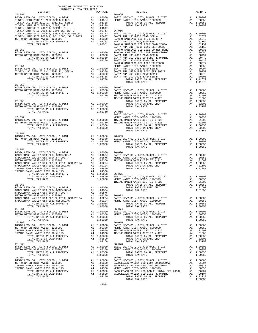|                |                |                                                                                                                                                                                                                                                                                                                                                                                                                                                                                                               | TAX RATE |
|----------------|----------------|---------------------------------------------------------------------------------------------------------------------------------------------------------------------------------------------------------------------------------------------------------------------------------------------------------------------------------------------------------------------------------------------------------------------------------------------------------------------------------------------------------------|----------|
| $26 - 052$     |                |                                                                                                                                                                                                                                                                                                                                                                                                                                                                                                               |          |
|                |                |                                                                                                                                                                                                                                                                                                                                                                                                                                                                                                               |          |
|                |                |                                                                                                                                                                                                                                                                                                                                                                                                                                                                                                               |          |
|                |                |                                                                                                                                                                                                                                                                                                                                                                                                                                                                                                               |          |
|                |                |                                                                                                                                                                                                                                                                                                                                                                                                                                                                                                               |          |
|                |                |                                                                                                                                                                                                                                                                                                                                                                                                                                                                                                               |          |
|                |                |                                                                                                                                                                                                                                                                                                                                                                                                                                                                                                               |          |
|                |                |                                                                                                                                                                                                                                                                                                                                                                                                                                                                                                               |          |
|                |                |                                                                                                                                                                                                                                                                                                                                                                                                                                                                                                               |          |
|                |                |                                                                                                                                                                                                                                                                                                                                                                                                                                                                                                               |          |
|                |                |                                                                                                                                                                                                                                                                                                                                                                                                                                                                                                               |          |
|                |                |                                                                                                                                                                                                                                                                                                                                                                                                                                                                                                               |          |
|                |                |                                                                                                                                                                                                                                                                                                                                                                                                                                                                                                               |          |
|                |                |                                                                                                                                                                                                                                                                                                                                                                                                                                                                                                               |          |
|                |                |                                                                                                                                                                                                                                                                                                                                                                                                                                                                                                               |          |
|                |                |                                                                                                                                                                                                                                                                                                                                                                                                                                                                                                               |          |
|                |                |                                                                                                                                                                                                                                                                                                                                                                                                                                                                                                               |          |
|                |                |                                                                                                                                                                                                                                                                                                                                                                                                                                                                                                               |          |
|                |                |                                                                                                                                                                                                                                                                                                                                                                                                                                                                                                               |          |
| $26 - 055$     |                |                                                                                                                                                                                                                                                                                                                                                                                                                                                                                                               |          |
|                |                |                                                                                                                                                                                                                                                                                                                                                                                                                                                                                                               |          |
|                |                |                                                                                                                                                                                                                                                                                                                                                                                                                                                                                                               |          |
|                |                |                                                                                                                                                                                                                                                                                                                                                                                                                                                                                                               |          |
|                |                |                                                                                                                                                                                                                                                                                                                                                                                                                                                                                                               |          |
|                |                |                                                                                                                                                                                                                                                                                                                                                                                                                                                                                                               |          |
|                |                |                                                                                                                                                                                                                                                                                                                                                                                                                                                                                                               |          |
| TOTAL TAX RATE | 1.00350 26-068 |                                                                                                                                                                                                                                                                                                                                                                                                                                                                                                               |          |
|                |                | $\begin{tabular}{lllllllllllllllllll} \multicolumn{3}{c}{\begin{tabular}{l} \multicolumn{3}{c}{\begin{tabular}{c} \multicolumn{3}{c}{\begin{tabular}{c} \multicolumn{3}{c}{\begin{tabular}{c} \multicolumn{3}{c}{\begin{tabular}{c} \multicolumn{3}{c}{\begin{tabular}{c} \multicolumn{3}{c}{\begin{tabular}{c} \multicolumn{3}{c}{\begin{tabular}{c} \multicolumn{3}{c}{\begin{tabular}{c} \multicolumn{3}{c}{\begin{tabular}{c} \multicolumn{3}{c}{\begin{tabular}{c} \multicolumn{3}{c}{\begin{tabular}{c$ |          |
|                |                |                                                                                                                                                                                                                                                                                                                                                                                                                                                                                                               |          |
|                |                |                                                                                                                                                                                                                                                                                                                                                                                                                                                                                                               |          |
|                |                |                                                                                                                                                                                                                                                                                                                                                                                                                                                                                                               |          |
|                |                |                                                                                                                                                                                                                                                                                                                                                                                                                                                                                                               |          |
|                |                |                                                                                                                                                                                                                                                                                                                                                                                                                                                                                                               |          |
|                |                |                                                                                                                                                                                                                                                                                                                                                                                                                                                                                                               |          |
|                |                |                                                                                                                                                                                                                                                                                                                                                                                                                                                                                                               |          |
|                |                |                                                                                                                                                                                                                                                                                                                                                                                                                                                                                                               |          |
|                |                | $\begin{array}{cccccccc} 26-058 & & & & & & \\ \texttt{BASTC LEVY-CO} & , & \texttt{CITY}, \texttt{SCHOOL} & \& \texttt{DIST} & \texttt{A1} & 1.00000 & 26-069 & \\ \texttt{METRO WATER DIST-WFDCO} & - 1205999 & & & & & \\ \texttt{METRO WATER DIST-WFDCO} & - 1205999 & & & & \\ \texttt{TOTAL RATES ON ALL PROBERTY} & & & & & \\ \texttt{TOTAL TAX RATE} & & & & & \\ \end{array} \quad \begin{array}{cccc} \texttt{A1} & 1.00$                                                                          |          |
|                |                |                                                                                                                                                                                                                                                                                                                                                                                                                                                                                                               |          |
|                |                |                                                                                                                                                                                                                                                                                                                                                                                                                                                                                                               |          |
|                |                |                                                                                                                                                                                                                                                                                                                                                                                                                                                                                                               |          |
|                |                |                                                                                                                                                                                                                                                                                                                                                                                                                                                                                                               |          |
|                |                |                                                                                                                                                                                                                                                                                                                                                                                                                                                                                                               |          |
|                |                |                                                                                                                                                                                                                                                                                                                                                                                                                                                                                                               |          |
|                |                |                                                                                                                                                                                                                                                                                                                                                                                                                                                                                                               |          |
|                |                |                                                                                                                                                                                                                                                                                                                                                                                                                                                                                                               |          |
|                |                |                                                                                                                                                                                                                                                                                                                                                                                                                                                                                                               |          |
|                |                |                                                                                                                                                                                                                                                                                                                                                                                                                                                                                                               |          |
|                |                |                                                                                                                                                                                                                                                                                                                                                                                                                                                                                                               |          |
|                |                |                                                                                                                                                                                                                                                                                                                                                                                                                                                                                                               |          |
|                |                |                                                                                                                                                                                                                                                                                                                                                                                                                                                                                                               |          |
|                |                |                                                                                                                                                                                                                                                                                                                                                                                                                                                                                                               |          |
|                |                |                                                                                                                                                                                                                                                                                                                                                                                                                                                                                                               |          |
|                |                |                                                                                                                                                                                                                                                                                                                                                                                                                                                                                                               |          |
|                |                |                                                                                                                                                                                                                                                                                                                                                                                                                                                                                                               |          |
|                |                |                                                                                                                                                                                                                                                                                                                                                                                                                                                                                                               |          |
|                |                |                                                                                                                                                                                                                                                                                                                                                                                                                                                                                                               |          |
|                |                |                                                                                                                                                                                                                                                                                                                                                                                                                                                                                                               |          |
|                |                |                                                                                                                                                                                                                                                                                                                                                                                                                                                                                                               |          |
|                |                |                                                                                                                                                                                                                                                                                                                                                                                                                                                                                                               |          |
|                |                |                                                                                                                                                                                                                                                                                                                                                                                                                                                                                                               |          |
|                |                |                                                                                                                                                                                                                                                                                                                                                                                                                                                                                                               |          |
|                |                |                                                                                                                                                                                                                                                                                                                                                                                                                                                                                                               |          |
|                |                |                                                                                                                                                                                                                                                                                                                                                                                                                                                                                                               |          |
|                |                |                                                                                                                                                                                                                                                                                                                                                                                                                                                                                                               |          |
|                |                |                                                                                                                                                                                                                                                                                                                                                                                                                                                                                                               |          |
|                |                |                                                                                                                                                                                                                                                                                                                                                                                                                                                                                                               |          |
|                |                |                                                                                                                                                                                                                                                                                                                                                                                                                                                                                                               |          |
|                |                |                                                                                                                                                                                                                                                                                                                                                                                                                                                                                                               |          |
|                |                |                                                                                                                                                                                                                                                                                                                                                                                                                                                                                                               |          |
|                |                |                                                                                                                                                                                                                                                                                                                                                                                                                                                                                                               |          |
|                |                |                                                                                                                                                                                                                                                                                                                                                                                                                                                                                                               |          |
|                |                |                                                                                                                                                                                                                                                                                                                                                                                                                                                                                                               |          |

-207-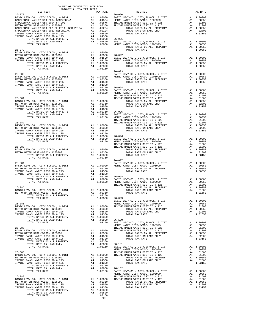| COUNTY OF ORANGE TAX RATE BOOK<br>2016-2017 TRA TAX RATES<br>$2016-2017\begin{array}{lcl} 1\ \text{RA-RA} & \text{RATE B} \text{OOK}\\ 2016-2017 & \text{TRA TAX RATES}\\ \end{array}$<br>$\begin{tabular}{ l c c c c} \multicolumn{4}{c c c} {\mbox{\small{DISTRICT}} & \mbox{\small{DISTRICT}} & \mbox{\small{26-017}} & \mbox{\small{TRR-RTB}} & \mbox{\small{26-090}} & \mbox{\small{DISTRICT}} & \mbox{\small{26-018}} & \mbox{\small{26-090}} & \mbox{\small{26-090}} & \mbox{\small{26-090}} & \mbox{\small{26-090}} & \mbox{\small{26-090}} & \mbox{\small{26-090}} & \mbox{\small{26-090}} & \m$ |         |  |
|-----------------------------------------------------------------------------------------------------------------------------------------------------------------------------------------------------------------------------------------------------------------------------------------------------------------------------------------------------------------------------------------------------------------------------------------------------------------------------------------------------------------------------------------------------------------------------------------------------------|---------|--|
|                                                                                                                                                                                                                                                                                                                                                                                                                                                                                                                                                                                                           |         |  |
|                                                                                                                                                                                                                                                                                                                                                                                                                                                                                                                                                                                                           |         |  |
|                                                                                                                                                                                                                                                                                                                                                                                                                                                                                                                                                                                                           |         |  |
|                                                                                                                                                                                                                                                                                                                                                                                                                                                                                                                                                                                                           |         |  |
|                                                                                                                                                                                                                                                                                                                                                                                                                                                                                                                                                                                                           |         |  |
|                                                                                                                                                                                                                                                                                                                                                                                                                                                                                                                                                                                                           |         |  |
|                                                                                                                                                                                                                                                                                                                                                                                                                                                                                                                                                                                                           |         |  |
|                                                                                                                                                                                                                                                                                                                                                                                                                                                                                                                                                                                                           |         |  |
|                                                                                                                                                                                                                                                                                                                                                                                                                                                                                                                                                                                                           |         |  |
|                                                                                                                                                                                                                                                                                                                                                                                                                                                                                                                                                                                                           |         |  |
|                                                                                                                                                                                                                                                                                                                                                                                                                                                                                                                                                                                                           |         |  |
| $\begin{tabular}{l c c c c c c} \multicolumn{3}{c c c} \multicolumn{3}{c c c} \multicolumn{3}{c c c} \multicolumn{3}{c c} \multicolumn{3}{c c} \multicolumn{3}{c c} \multicolumn{3}{c c} \multicolumn{3}{c c} \multicolumn{3}{c c} \multicolumn{3}{c c} \multicolumn{3}{c c} \multicolumn{3}{c c} \multicolumn{3}{c c} \multicolumn{3}{c c} \multicolumn{3}{c c} \multicolumn{3}{c c} \multicolumn{3}{c c} \multicolumn{3}{$                                                                                                                                                                              |         |  |
|                                                                                                                                                                                                                                                                                                                                                                                                                                                                                                                                                                                                           |         |  |
|                                                                                                                                                                                                                                                                                                                                                                                                                                                                                                                                                                                                           |         |  |
|                                                                                                                                                                                                                                                                                                                                                                                                                                                                                                                                                                                                           |         |  |
|                                                                                                                                                                                                                                                                                                                                                                                                                                                                                                                                                                                                           |         |  |
|                                                                                                                                                                                                                                                                                                                                                                                                                                                                                                                                                                                                           |         |  |
|                                                                                                                                                                                                                                                                                                                                                                                                                                                                                                                                                                                                           |         |  |
|                                                                                                                                                                                                                                                                                                                                                                                                                                                                                                                                                                                                           |         |  |
|                                                                                                                                                                                                                                                                                                                                                                                                                                                                                                                                                                                                           |         |  |
|                                                                                                                                                                                                                                                                                                                                                                                                                                                                                                                                                                                                           |         |  |
|                                                                                                                                                                                                                                                                                                                                                                                                                                                                                                                                                                                                           |         |  |
|                                                                                                                                                                                                                                                                                                                                                                                                                                                                                                                                                                                                           |         |  |
|                                                                                                                                                                                                                                                                                                                                                                                                                                                                                                                                                                                                           |         |  |
|                                                                                                                                                                                                                                                                                                                                                                                                                                                                                                                                                                                                           |         |  |
|                                                                                                                                                                                                                                                                                                                                                                                                                                                                                                                                                                                                           |         |  |
|                                                                                                                                                                                                                                                                                                                                                                                                                                                                                                                                                                                                           |         |  |
|                                                                                                                                                                                                                                                                                                                                                                                                                                                                                                                                                                                                           |         |  |
|                                                                                                                                                                                                                                                                                                                                                                                                                                                                                                                                                                                                           |         |  |
|                                                                                                                                                                                                                                                                                                                                                                                                                                                                                                                                                                                                           |         |  |
|                                                                                                                                                                                                                                                                                                                                                                                                                                                                                                                                                                                                           |         |  |
|                                                                                                                                                                                                                                                                                                                                                                                                                                                                                                                                                                                                           |         |  |
|                                                                                                                                                                                                                                                                                                                                                                                                                                                                                                                                                                                                           |         |  |
|                                                                                                                                                                                                                                                                                                                                                                                                                                                                                                                                                                                                           |         |  |
|                                                                                                                                                                                                                                                                                                                                                                                                                                                                                                                                                                                                           |         |  |
|                                                                                                                                                                                                                                                                                                                                                                                                                                                                                                                                                                                                           |         |  |
|                                                                                                                                                                                                                                                                                                                                                                                                                                                                                                                                                                                                           |         |  |
|                                                                                                                                                                                                                                                                                                                                                                                                                                                                                                                                                                                                           |         |  |
|                                                                                                                                                                                                                                                                                                                                                                                                                                                                                                                                                                                                           |         |  |
|                                                                                                                                                                                                                                                                                                                                                                                                                                                                                                                                                                                                           |         |  |
|                                                                                                                                                                                                                                                                                                                                                                                                                                                                                                                                                                                                           |         |  |
|                                                                                                                                                                                                                                                                                                                                                                                                                                                                                                                                                                                                           |         |  |
|                                                                                                                                                                                                                                                                                                                                                                                                                                                                                                                                                                                                           |         |  |
|                                                                                                                                                                                                                                                                                                                                                                                                                                                                                                                                                                                                           |         |  |
|                                                                                                                                                                                                                                                                                                                                                                                                                                                                                                                                                                                                           |         |  |
|                                                                                                                                                                                                                                                                                                                                                                                                                                                                                                                                                                                                           |         |  |
|                                                                                                                                                                                                                                                                                                                                                                                                                                                                                                                                                                                                           |         |  |
|                                                                                                                                                                                                                                                                                                                                                                                                                                                                                                                                                                                                           |         |  |
|                                                                                                                                                                                                                                                                                                                                                                                                                                                                                                                                                                                                           |         |  |
|                                                                                                                                                                                                                                                                                                                                                                                                                                                                                                                                                                                                           |         |  |
|                                                                                                                                                                                                                                                                                                                                                                                                                                                                                                                                                                                                           |         |  |
|                                                                                                                                                                                                                                                                                                                                                                                                                                                                                                                                                                                                           |         |  |
| $\begin{tabular}{c c c c} \multicolumn{1}{c}{\textbf{26--084}} & \multicolumn{1}{c}{\textbf{26--084}} & \multicolumn{1}{c}{\textbf{26--084}} & \multicolumn{1}{c}{\textbf{26--084}} & \multicolumn{1}{c}{\textbf{26--084}} & \multicolumn{1}{c}{\textbf{26--097}} & \multicolumn{1}{c}{\textbf{26--097}} & \multicolumn{1}{c}{\textbf{26--098}} & \multicolumn{1}{c}{\textbf{26--097}} & \multicolumn{1}{c}{\textbf{26--0$                                                                                                                                                                                |         |  |
|                                                                                                                                                                                                                                                                                                                                                                                                                                                                                                                                                                                                           |         |  |
|                                                                                                                                                                                                                                                                                                                                                                                                                                                                                                                                                                                                           |         |  |
|                                                                                                                                                                                                                                                                                                                                                                                                                                                                                                                                                                                                           |         |  |
|                                                                                                                                                                                                                                                                                                                                                                                                                                                                                                                                                                                                           |         |  |
|                                                                                                                                                                                                                                                                                                                                                                                                                                                                                                                                                                                                           |         |  |
|                                                                                                                                                                                                                                                                                                                                                                                                                                                                                                                                                                                                           |         |  |
|                                                                                                                                                                                                                                                                                                                                                                                                                                                                                                                                                                                                           |         |  |
|                                                                                                                                                                                                                                                                                                                                                                                                                                                                                                                                                                                                           |         |  |
|                                                                                                                                                                                                                                                                                                                                                                                                                                                                                                                                                                                                           |         |  |
|                                                                                                                                                                                                                                                                                                                                                                                                                                                                                                                                                                                                           |         |  |
|                                                                                                                                                                                                                                                                                                                                                                                                                                                                                                                                                                                                           |         |  |
|                                                                                                                                                                                                                                                                                                                                                                                                                                                                                                                                                                                                           |         |  |
|                                                                                                                                                                                                                                                                                                                                                                                                                                                                                                                                                                                                           |         |  |
|                                                                                                                                                                                                                                                                                                                                                                                                                                                                                                                                                                                                           |         |  |
|                                                                                                                                                                                                                                                                                                                                                                                                                                                                                                                                                                                                           |         |  |
|                                                                                                                                                                                                                                                                                                                                                                                                                                                                                                                                                                                                           |         |  |
|                                                                                                                                                                                                                                                                                                                                                                                                                                                                                                                                                                                                           |         |  |
|                                                                                                                                                                                                                                                                                                                                                                                                                                                                                                                                                                                                           |         |  |
|                                                                                                                                                                                                                                                                                                                                                                                                                                                                                                                                                                                                           |         |  |
|                                                                                                                                                                                                                                                                                                                                                                                                                                                                                                                                                                                                           |         |  |
|                                                                                                                                                                                                                                                                                                                                                                                                                                                                                                                                                                                                           |         |  |
|                                                                                                                                                                                                                                                                                                                                                                                                                                                                                                                                                                                                           |         |  |
|                                                                                                                                                                                                                                                                                                                                                                                                                                                                                                                                                                                                           |         |  |
|                                                                                                                                                                                                                                                                                                                                                                                                                                                                                                                                                                                                           |         |  |
|                                                                                                                                                                                                                                                                                                                                                                                                                                                                                                                                                                                                           |         |  |
| METRO WEEN DUIT-MANU AND CHOINNER (1997)<br>METRO WEEN DUIT-MANU AND PROPERTY<br>1993 - 24-04<br>1993 - 24-04<br>1993 - 24-04<br>1993 - 24-04<br>1993 - 24-04<br>1993 - 24-04<br>1993 - 24-04<br>1993 - 24-04<br>1993 - 24-04<br>1993 - 24-04<br>1993                                                                                                                                                                                                                                                                                                                                                     |         |  |
|                                                                                                                                                                                                                                                                                                                                                                                                                                                                                                                                                                                                           |         |  |
|                                                                                                                                                                                                                                                                                                                                                                                                                                                                                                                                                                                                           |         |  |
|                                                                                                                                                                                                                                                                                                                                                                                                                                                                                                                                                                                                           | $-208-$ |  |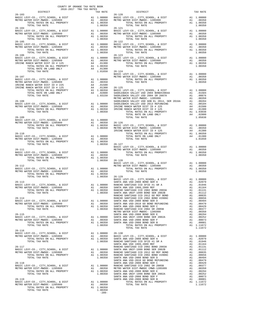| COUNTY OF ORANGE TAX RATE BOOK<br>2016-2017 TRA TAX RATES                                                                                                                                                                                                                                                                                                                                                      |          |                        |          |
|----------------------------------------------------------------------------------------------------------------------------------------------------------------------------------------------------------------------------------------------------------------------------------------------------------------------------------------------------------------------------------------------------------------|----------|------------------------|----------|
| $\begin{minipage}{0.5\textwidth} \begin{minipage}{0.5\textwidth} \centering \begin{tabular}{@{}l@{}} \textbf{2016-2017} & \textbf{TRA} & \textbf{RATE B} & \textbf{300K} \\ \textbf{2016-2017} & \textbf{TRA} & \textbf{RAK RATES} \\ \textbf{5018-2017} & \textbf{TRA} & \textbf{RATES} \\ \textbf{1018-2018} & \textbf{1018-2018} & \textbf{1018-2018} \\ \textbf{2028-2018} & \textbf{1018-2$<br>$26 - 103$ | TAX RATE | DISTRICT<br>$26 - 120$ | TAX RATE |
|                                                                                                                                                                                                                                                                                                                                                                                                                |          |                        |          |
|                                                                                                                                                                                                                                                                                                                                                                                                                |          |                        |          |
|                                                                                                                                                                                                                                                                                                                                                                                                                |          |                        |          |
|                                                                                                                                                                                                                                                                                                                                                                                                                |          |                        |          |
|                                                                                                                                                                                                                                                                                                                                                                                                                |          |                        |          |
|                                                                                                                                                                                                                                                                                                                                                                                                                |          |                        |          |
| $26 - 106$                                                                                                                                                                                                                                                                                                                                                                                                     |          | $26 - 123$             |          |
|                                                                                                                                                                                                                                                                                                                                                                                                                |          |                        |          |
|                                                                                                                                                                                                                                                                                                                                                                                                                |          |                        |          |
|                                                                                                                                                                                                                                                                                                                                                                                                                |          |                        |          |
|                                                                                                                                                                                                                                                                                                                                                                                                                |          |                        |          |
|                                                                                                                                                                                                                                                                                                                                                                                                                |          |                        |          |
|                                                                                                                                                                                                                                                                                                                                                                                                                |          |                        |          |
|                                                                                                                                                                                                                                                                                                                                                                                                                |          |                        |          |
|                                                                                                                                                                                                                                                                                                                                                                                                                |          |                        |          |
|                                                                                                                                                                                                                                                                                                                                                                                                                |          |                        |          |
|                                                                                                                                                                                                                                                                                                                                                                                                                |          |                        |          |
|                                                                                                                                                                                                                                                                                                                                                                                                                |          |                        |          |
|                                                                                                                                                                                                                                                                                                                                                                                                                |          |                        |          |
|                                                                                                                                                                                                                                                                                                                                                                                                                |          |                        |          |
|                                                                                                                                                                                                                                                                                                                                                                                                                |          |                        |          |
|                                                                                                                                                                                                                                                                                                                                                                                                                |          |                        |          |
|                                                                                                                                                                                                                                                                                                                                                                                                                |          |                        |          |
|                                                                                                                                                                                                                                                                                                                                                                                                                |          |                        |          |
|                                                                                                                                                                                                                                                                                                                                                                                                                |          |                        |          |
|                                                                                                                                                                                                                                                                                                                                                                                                                |          |                        |          |
|                                                                                                                                                                                                                                                                                                                                                                                                                |          |                        |          |
|                                                                                                                                                                                                                                                                                                                                                                                                                |          |                        |          |
|                                                                                                                                                                                                                                                                                                                                                                                                                |          |                        |          |
|                                                                                                                                                                                                                                                                                                                                                                                                                |          |                        |          |
|                                                                                                                                                                                                                                                                                                                                                                                                                |          |                        |          |
|                                                                                                                                                                                                                                                                                                                                                                                                                |          |                        |          |
|                                                                                                                                                                                                                                                                                                                                                                                                                |          |                        |          |
|                                                                                                                                                                                                                                                                                                                                                                                                                |          |                        |          |
|                                                                                                                                                                                                                                                                                                                                                                                                                |          |                        |          |
|                                                                                                                                                                                                                                                                                                                                                                                                                |          |                        |          |
|                                                                                                                                                                                                                                                                                                                                                                                                                |          |                        |          |
|                                                                                                                                                                                                                                                                                                                                                                                                                |          |                        |          |
|                                                                                                                                                                                                                                                                                                                                                                                                                |          |                        |          |
|                                                                                                                                                                                                                                                                                                                                                                                                                |          |                        |          |
|                                                                                                                                                                                                                                                                                                                                                                                                                |          |                        |          |
|                                                                                                                                                                                                                                                                                                                                                                                                                |          |                        |          |
|                                                                                                                                                                                                                                                                                                                                                                                                                |          |                        |          |
| $26 - 116$                                                                                                                                                                                                                                                                                                                                                                                                     |          |                        |          |
|                                                                                                                                                                                                                                                                                                                                                                                                                |          |                        |          |
|                                                                                                                                                                                                                                                                                                                                                                                                                |          |                        |          |
|                                                                                                                                                                                                                                                                                                                                                                                                                |          |                        |          |
|                                                                                                                                                                                                                                                                                                                                                                                                                |          |                        |          |
|                                                                                                                                                                                                                                                                                                                                                                                                                |          |                        |          |
|                                                                                                                                                                                                                                                                                                                                                                                                                |          |                        |          |
|                                                                                                                                                                                                                                                                                                                                                                                                                |          |                        |          |
|                                                                                                                                                                                                                                                                                                                                                                                                                |          |                        |          |
|                                                                                                                                                                                                                                                                                                                                                                                                                |          |                        |          |
|                                                                                                                                                                                                                                                                                                                                                                                                                |          |                        |          |
|                                                                                                                                                                                                                                                                                                                                                                                                                |          |                        |          |
|                                                                                                                                                                                                                                                                                                                                                                                                                |          |                        |          |
|                                                                                                                                                                                                                                                                                                                                                                                                                | 1.00350  |                        |          |
|                                                                                                                                                                                                                                                                                                                                                                                                                |          |                        |          |
|                                                                                                                                                                                                                                                                                                                                                                                                                |          |                        |          |
|                                                                                                                                                                                                                                                                                                                                                                                                                |          |                        |          |
|                                                                                                                                                                                                                                                                                                                                                                                                                | $-209-$  |                        |          |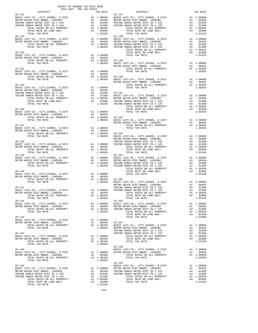| COUNTY OF ORANGE TAX RATE BOOK<br>2016-2017 TRA TAX RATES                                                                                                                                                                                                                                                                                                                                                                     |          |                                                                                         |                                                      |
|-------------------------------------------------------------------------------------------------------------------------------------------------------------------------------------------------------------------------------------------------------------------------------------------------------------------------------------------------------------------------------------------------------------------------------|----------|-----------------------------------------------------------------------------------------|------------------------------------------------------|
| DISTRICT                                                                                                                                                                                                                                                                                                                                                                                                                      |          | TAX RATE                                                                                |                                                      |
|                                                                                                                                                                                                                                                                                                                                                                                                                               |          |                                                                                         |                                                      |
| $26 - 132$<br>A A HONDREY CO., CITY, SCHOOL, & DIST A 1 1.00000 BASIC LABSIC LEVY-CO., CITY, SCHOOL, & DIST A 1 1.00000 BASIC LABSIC LABSIC LONGREY AND TOTAL RATES ON ALL PROPERTY A 1 .00350 METRO WETRO TOTAL FAXIES ON ALL PROPERTY A 1                                                                                                                                                                                   |          |                                                                                         | $26 - 148$                                           |
|                                                                                                                                                                                                                                                                                                                                                                                                                               |          |                                                                                         | METRO W                                              |
| $26 - 134$<br>BASIC LEVY-CO., CITY, SCHOOL, & DIST A1 1.00000<br>METRO WATER DIST-MWDOC- 1205999<br>LEVY-CO., CITY, SCHOOL, & DIST<br>NATER DIST-MWDOC-1205999<br>TOTAL RATES ON ALL PROPERTY A1 1.00350 26-150<br>TOTAL RATES ON ALL PROPERTY A1 1.00350 BASIC L<br>METRO WE TROW                                                                                                                                            |          |                                                                                         | METRO W                                              |
| $26 - 135$                                                                                                                                                                                                                                                                                                                                                                                                                    |          |                                                                                         |                                                      |
| $\begin{tabular}{lllllllllllllllllllllll} \multicolumn{4}{c}{\textbf{26-136}}\\ \multicolumn{4}{c}{\textbf{BASE LEVY-C0.}, & CITY, SCHOOL, & E DIST} & \multicolumn{4}{c}{\textbf{A1}} & 1.00000\\ \multicolumn{4}{c}{\textbf{METRO WATER DIST-MMDOC- 120599}} & \multicolumn{4}{c}{\textbf{A1}} & .00350\\ \multicolumn{4}{c}{\textbf{METRO WATER DIST-MMDOC- 120599}} & \multicolumn{4}{c}{\textbf{A1}} & .00350\\ & & 1.0$ |          |                                                                                         |                                                      |
| 26-137<br>BASIC LEVY-CO., CITY, SCHOOL, & DIST<br>METRO WATER DIST-MWDOC-1205999<br>TOTAL RATES ON ALL PROPERTY<br>TOTAL RATES ON ALL PROPERTY<br>26-153<br>TOTAL RATES ON ALL PROPERTY<br>26-153<br>1.00350<br>METRO METRO METRO N                                                                                                                                                                                           |          |                                                                                         | METRO W                                              |
| $26 - 138$<br>IRVINE<br>A1 1.00000 IRVINE<br>A1 00350<br>BASIC LEVY-CO., CITY, SCHOOL, & DIST<br>METRO WATER DIST-MWDOC- 1205999<br>TOTAL RATES ON ALL PROPERTY<br>TOTAL TAX RATE                                                                                                                                                                                                                                             |          | A1 1.00350<br>1.00350                                                                   |                                                      |
| $26 - 139$                                                                                                                                                                                                                                                                                                                                                                                                                    |          |                                                                                         | $26 - 154$                                           |
| $26 - 140$<br>BASIC LEVY-CO., CITY, SCHOOL, & DIST<br>A1 1.00000<br>A1 .00350<br>A1 1.00350 26-155<br>1.00350 BASICL<br>THERE<br>METRO WATER DIST-MWDOC- 1205999<br>TOTAL RATES ON ALL PROPERTY<br>TOTAL TAX RATE                                                                                                                                                                                                             |          |                                                                                         | METRO W                                              |
| $26 - 141$<br>$\begin{tabular}{ccccc} A1 & 1.00000 & \text{IRVINE} \\ \text{\texttt{A1}} & 1.00000 & \text{IRVINE} \end{tabular}$<br>BASIC LEVY-CO., CITY, SCHOOL, & DIST<br>METRO WATER DIST-MWDOC- 1205999<br>TOTAL RATES ON ALL PROPERTY<br>TOTAL TAX RATE                                                                                                                                                                 |          | A1 .00350<br>A1 1.00350<br>1.00350                                                      |                                                      |
| $26 - 142$<br>BASIC LEVY-CO., CITY, SCHOOL, & DIST<br>METRO WATER DIST-MWDOC- 1205999<br>TOTAL RATES ON ALL PROPERTY<br>TOTAL TAX RATE                                                                                                                                                                                                                                                                                        |          | A1   1.00000   BASIC   L<br>A1   .00350   METRO   W<br>A1   1.00350   IRVINE<br>1.00350 | $26 - 156$                                           |
| $26 - 143$<br>BASIC LEVY-CO., CITY, SCHOOL, & DIST<br>METRO WATER DIST-MWDOC- 1205999<br>TOTAL RATES ON ALL PROPERTY<br>TOTAL TAX RATE                                                                                                                                                                                                                                                                                        |          | A1 1.00000<br>A1 .00350 26-157<br>A1 1.00350<br>1.00350                                 | BASIC L<br>METRO W<br>IRVINE                         |
| $26 - 144$<br>BASIC LEVY-CO., CITY, SCHOOL, & DIST<br>METRO WATER DIST-MWDOC- 1205999<br>TOTAL RATES ON ALL PROPERTY<br>TOTAL TAX RATE                                                                                                                                                                                                                                                                                        |          | A1 1.00000<br>A1 .00350<br>A1 1.00350<br>1.00350                                        | IRVINE                                               |
| $26 - 145$<br>BASIC LEVY-CO., CITY, SCHOOL, & DIST<br>METRO WATER DIST-MWDOC- 1205999<br>TOTAL RATES ON ALL PROPERTY<br>TOTAL TAX RATE                                                                                                                                                                                                                                                                                        |          | A1 1.00000 METRO W<br>A1 .00350<br>A1 1.00350<br>1.00350                                | $26 - 158$<br>BASIC L                                |
| $26 - 146$<br>BASIC LEVY-CO., CITY, SCHOOL, & DIST<br>METRO WATER DIST-MWDOC- 1205999<br>IRVINE RANCH WATER DIST ID # 225<br>IRVINE RANCH WATER DIST ID # 125<br>TOTAL RATES ON ALL PROPERTY<br>TOTAL RATE ON LAND ONLY<br>TOTAL TAX RATE                                                                                                                                                                                     | A4<br>A4 | A1 1.00000<br>A1 .00350<br>.01500<br>.01300<br>A1 1.00350<br>A4 .02800<br>1.03150       | $26 - 159$<br>BASIC L<br>METRO W<br>IRVINE<br>IRVINE |

| $\sim$ $\sim$ $\sim$ $\sim$ $\sim$<br>$-1$ |                                                                                                                                                                                                                                                                                                                                                                                                                 |  |
|--------------------------------------------|-----------------------------------------------------------------------------------------------------------------------------------------------------------------------------------------------------------------------------------------------------------------------------------------------------------------------------------------------------------------------------------------------------------------|--|
| <b>DISTRICT</b>                            |                                                                                                                                                                                                                                                                                                                                                                                                                 |  |
|                                            |                                                                                                                                                                                                                                                                                                                                                                                                                 |  |
|                                            |                                                                                                                                                                                                                                                                                                                                                                                                                 |  |
|                                            |                                                                                                                                                                                                                                                                                                                                                                                                                 |  |
|                                            |                                                                                                                                                                                                                                                                                                                                                                                                                 |  |
|                                            |                                                                                                                                                                                                                                                                                                                                                                                                                 |  |
|                                            |                                                                                                                                                                                                                                                                                                                                                                                                                 |  |
|                                            |                                                                                                                                                                                                                                                                                                                                                                                                                 |  |
|                                            |                                                                                                                                                                                                                                                                                                                                                                                                                 |  |
|                                            |                                                                                                                                                                                                                                                                                                                                                                                                                 |  |
|                                            |                                                                                                                                                                                                                                                                                                                                                                                                                 |  |
|                                            |                                                                                                                                                                                                                                                                                                                                                                                                                 |  |
|                                            |                                                                                                                                                                                                                                                                                                                                                                                                                 |  |
|                                            |                                                                                                                                                                                                                                                                                                                                                                                                                 |  |
|                                            |                                                                                                                                                                                                                                                                                                                                                                                                                 |  |
|                                            |                                                                                                                                                                                                                                                                                                                                                                                                                 |  |
|                                            |                                                                                                                                                                                                                                                                                                                                                                                                                 |  |
|                                            |                                                                                                                                                                                                                                                                                                                                                                                                                 |  |
|                                            |                                                                                                                                                                                                                                                                                                                                                                                                                 |  |
|                                            |                                                                                                                                                                                                                                                                                                                                                                                                                 |  |
|                                            |                                                                                                                                                                                                                                                                                                                                                                                                                 |  |
|                                            |                                                                                                                                                                                                                                                                                                                                                                                                                 |  |
|                                            |                                                                                                                                                                                                                                                                                                                                                                                                                 |  |
|                                            |                                                                                                                                                                                                                                                                                                                                                                                                                 |  |
|                                            |                                                                                                                                                                                                                                                                                                                                                                                                                 |  |
|                                            |                                                                                                                                                                                                                                                                                                                                                                                                                 |  |
|                                            |                                                                                                                                                                                                                                                                                                                                                                                                                 |  |
|                                            |                                                                                                                                                                                                                                                                                                                                                                                                                 |  |
|                                            |                                                                                                                                                                                                                                                                                                                                                                                                                 |  |
|                                            |                                                                                                                                                                                                                                                                                                                                                                                                                 |  |
|                                            |                                                                                                                                                                                                                                                                                                                                                                                                                 |  |
|                                            |                                                                                                                                                                                                                                                                                                                                                                                                                 |  |
|                                            |                                                                                                                                                                                                                                                                                                                                                                                                                 |  |
|                                            |                                                                                                                                                                                                                                                                                                                                                                                                                 |  |
|                                            |                                                                                                                                                                                                                                                                                                                                                                                                                 |  |
|                                            |                                                                                                                                                                                                                                                                                                                                                                                                                 |  |
|                                            |                                                                                                                                                                                                                                                                                                                                                                                                                 |  |
|                                            |                                                                                                                                                                                                                                                                                                                                                                                                                 |  |
|                                            |                                                                                                                                                                                                                                                                                                                                                                                                                 |  |
|                                            |                                                                                                                                                                                                                                                                                                                                                                                                                 |  |
|                                            |                                                                                                                                                                                                                                                                                                                                                                                                                 |  |
|                                            |                                                                                                                                                                                                                                                                                                                                                                                                                 |  |
|                                            |                                                                                                                                                                                                                                                                                                                                                                                                                 |  |
|                                            |                                                                                                                                                                                                                                                                                                                                                                                                                 |  |
|                                            |                                                                                                                                                                                                                                                                                                                                                                                                                 |  |
|                                            |                                                                                                                                                                                                                                                                                                                                                                                                                 |  |
|                                            |                                                                                                                                                                                                                                                                                                                                                                                                                 |  |
|                                            |                                                                                                                                                                                                                                                                                                                                                                                                                 |  |
|                                            | $\begin{tabular}{l c c c c c c} \multicolumn{1}{c}{\textbf{26-142}} & \multicolumn{1}{c}{\textbf{26-142}} & \multicolumn{1}{c}{\textbf{26-156}} & \multicolumn{1}{c}{\textbf{26-156}} & \multicolumn{1}{c}{\textbf{26-166}} & \multicolumn{1}{c}{\textbf{26-166}} & \multicolumn{1}{c}{\textbf{26-166}} & \multicolumn{1}{c}{\textbf{26-166}} & \multicolumn{1}{c}{\textbf{26-166}} & \multicolumn{1}{c}{\text$ |  |
|                                            |                                                                                                                                                                                                                                                                                                                                                                                                                 |  |
|                                            |                                                                                                                                                                                                                                                                                                                                                                                                                 |  |
|                                            |                                                                                                                                                                                                                                                                                                                                                                                                                 |  |
|                                            |                                                                                                                                                                                                                                                                                                                                                                                                                 |  |
|                                            |                                                                                                                                                                                                                                                                                                                                                                                                                 |  |
|                                            |                                                                                                                                                                                                                                                                                                                                                                                                                 |  |
|                                            |                                                                                                                                                                                                                                                                                                                                                                                                                 |  |
|                                            |                                                                                                                                                                                                                                                                                                                                                                                                                 |  |
|                                            |                                                                                                                                                                                                                                                                                                                                                                                                                 |  |
|                                            |                                                                                                                                                                                                                                                                                                                                                                                                                 |  |
|                                            | $26 - 158$                                                                                                                                                                                                                                                                                                                                                                                                      |  |
|                                            |                                                                                                                                                                                                                                                                                                                                                                                                                 |  |
|                                            |                                                                                                                                                                                                                                                                                                                                                                                                                 |  |
|                                            |                                                                                                                                                                                                                                                                                                                                                                                                                 |  |
|                                            | $\begin{array}{cccccccccccc} \texttt{111} & \texttt{20--150} & \texttt{20--150} & \texttt{20--150} & \texttt{20--150} & \texttt{20--150} & \texttt{20--150} & \texttt{20--150} & \texttt{31} & 1.00000 & \texttt{10--150} & \texttt{31} & 1.00000 & \texttt{10--150} & \texttt{31} & 1.00000 & \texttt{310} & \texttt{310} & \texttt{310} & \texttt{310} & \texttt{310$<br>$26 - 159$                           |  |
|                                            | $\begin{tabular}{lllllllllllllllllllll} \multicolumn{3}{c}{26-146} & \multicolumn{3}{c}{26-146} & \multicolumn{3}{c}{26-146} & \multicolumn{3}{c}{26-146} & \multicolumn{3}{c}{26-146} & \multicolumn{3}{c}{26-146} & \multicolumn{3}{c}{26-146} & \multicolumn{3}{c}{BASLC LEVY-C0.}, & \text{CITY}, \text{SCHOOL}, & \text{$\&$ DIST$} & \text{$\&$ A1$ $1.00000} & \text{$\&$ BASIC LEVY-C0.}, & \text{$     |  |
|                                            |                                                                                                                                                                                                                                                                                                                                                                                                                 |  |
|                                            |                                                                                                                                                                                                                                                                                                                                                                                                                 |  |
|                                            |                                                                                                                                                                                                                                                                                                                                                                                                                 |  |
|                                            |                                                                                                                                                                                                                                                                                                                                                                                                                 |  |
|                                            |                                                                                                                                                                                                                                                                                                                                                                                                                 |  |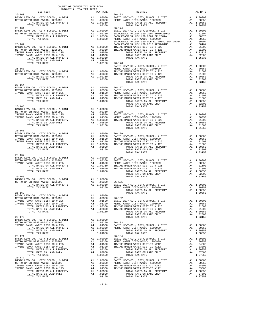| COUNTY OF ORANGE TAX RATE BOOK<br>$2016-2017\begin{array}{l} \text{ 1.4}\text{ FWHL BUCA}\\ \text{ 2016-2017} \end{array} \begin{array}{l} \text{ 1.4}\text{FWHR} \\ \text{ 1.4}\text{ FWHR} \\ \text{ 2.4}\text{ FWHR} \end{array}$ |  |                                                                                                                                                                                                                                                                                                                                                                                                                   |          |
|--------------------------------------------------------------------------------------------------------------------------------------------------------------------------------------------------------------------------------------|--|-------------------------------------------------------------------------------------------------------------------------------------------------------------------------------------------------------------------------------------------------------------------------------------------------------------------------------------------------------------------------------------------------------------------|----------|
| $26 - 160$                                                                                                                                                                                                                           |  | TRA TAX RATES $\begin{tabular}{ll} \bf \texttt{TRA} & \bf \texttt{MAX} & \bf \texttt{RATE} \\ \bf \texttt{MAX} & \bf \texttt{RATE} \\ & \bf \texttt{26-173} \end{tabular}$                                                                                                                                                                                                                                        | TAX RATE |
|                                                                                                                                                                                                                                      |  |                                                                                                                                                                                                                                                                                                                                                                                                                   |          |
|                                                                                                                                                                                                                                      |  |                                                                                                                                                                                                                                                                                                                                                                                                                   |          |
|                                                                                                                                                                                                                                      |  |                                                                                                                                                                                                                                                                                                                                                                                                                   |          |
|                                                                                                                                                                                                                                      |  |                                                                                                                                                                                                                                                                                                                                                                                                                   |          |
|                                                                                                                                                                                                                                      |  | $\begin{tabular}{cccccccc} \texttt{1.0150} & \texttt{1.0150} & \texttt{26-176} & \texttt{26-176} \\ \texttt{26-163} & \texttt{BASIC LEV-CO.}, & \texttt{CITY}, \texttt{SCHOOL}, & \texttt{& DIST} & \texttt{A1} & 1.00000 \\ \texttt{BASIC LEV-CO.}, & \texttt{CITY}, \texttt{SCHOOL}, & \texttt{CIST} & \texttt{A1} & 1.00000 \\ \texttt{RSTRO WATER DIST-MWDOC-} & 1205999 & \texttt{A1} & 0.00350 \\$          |          |
| $26 - 164$                                                                                                                                                                                                                           |  |                                                                                                                                                                                                                                                                                                                                                                                                                   |          |
|                                                                                                                                                                                                                                      |  |                                                                                                                                                                                                                                                                                                                                                                                                                   |          |
|                                                                                                                                                                                                                                      |  |                                                                                                                                                                                                                                                                                                                                                                                                                   |          |
|                                                                                                                                                                                                                                      |  |                                                                                                                                                                                                                                                                                                                                                                                                                   |          |
|                                                                                                                                                                                                                                      |  |                                                                                                                                                                                                                                                                                                                                                                                                                   |          |
|                                                                                                                                                                                                                                      |  |                                                                                                                                                                                                                                                                                                                                                                                                                   |          |
|                                                                                                                                                                                                                                      |  | $\begin{tabular}{lllllllllllllllllllllll} \textbf{26-166} & & & & & & & & \\ \textbf{BASTC LEVY-CO. , CITY, SCHOOL, & & DIST RITC WATER DIST-MIDOC- 1205999 & & & & & & \\ \textbf{METRO WATER DIST-MIDOC- 1205999} & & & & & & & \\ \textbf{18-100000} & & & & & & & & \\ \textbf{18-100000} & & & & & & & & \\ \textbf{18-100000} & & & & & & & & \\ \textbf{18-100000} & & & & & & & & \\ \textbf{18-1$        |          |
| 26-167                                                                                                                                                                                                                               |  |                                                                                                                                                                                                                                                                                                                                                                                                                   |          |
|                                                                                                                                                                                                                                      |  |                                                                                                                                                                                                                                                                                                                                                                                                                   |          |
|                                                                                                                                                                                                                                      |  |                                                                                                                                                                                                                                                                                                                                                                                                                   |          |
|                                                                                                                                                                                                                                      |  |                                                                                                                                                                                                                                                                                                                                                                                                                   |          |
|                                                                                                                                                                                                                                      |  |                                                                                                                                                                                                                                                                                                                                                                                                                   |          |
|                                                                                                                                                                                                                                      |  | $\begin{tabular}{l c c c c} \multicolumn{4}{c}{\textbf{26-169}} \multicolumn{4}{c}{\textbf{26-161}} \multicolumn{4}{c}{\textbf{26-162}} \multicolumn{4}{c}{\textbf{26-162}} \multicolumn{4}{c}{\textbf{26-163}} \multicolumn{4}{c}{\textbf{26-164}} \multicolumn{4}{c}{\textbf{26-162}} \multicolumn{4}{c}{\textbf{26-163}} \multicolumn{4}{c}{\textbf{26-164}} \multicolumn{4}{c}{\textbf{26-165}} \multicolumn$ |          |
|                                                                                                                                                                                                                                      |  |                                                                                                                                                                                                                                                                                                                                                                                                                   |          |
|                                                                                                                                                                                                                                      |  |                                                                                                                                                                                                                                                                                                                                                                                                                   |          |
|                                                                                                                                                                                                                                      |  |                                                                                                                                                                                                                                                                                                                                                                                                                   |          |
|                                                                                                                                                                                                                                      |  |                                                                                                                                                                                                                                                                                                                                                                                                                   |          |
|                                                                                                                                                                                                                                      |  |                                                                                                                                                                                                                                                                                                                                                                                                                   |          |
|                                                                                                                                                                                                                                      |  |                                                                                                                                                                                                                                                                                                                                                                                                                   |          |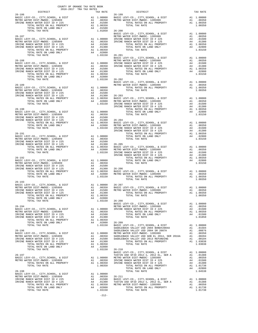| COUNTY OF ORANGE TAX RATE BOOK<br>2016-2017 TRA TAX RATES<br>$2016-2017\begin{array}{lcl}\text{\small 2-14A} & \text{RATE BOK}\\ \text{\small 2016-2017} & \text{TRA TAX RATES} \end{array}$ |          |                                                                                                                                                                                                                                                                    |          |
|----------------------------------------------------------------------------------------------------------------------------------------------------------------------------------------------|----------|--------------------------------------------------------------------------------------------------------------------------------------------------------------------------------------------------------------------------------------------------------------------|----------|
|                                                                                                                                                                                              | TAX RATE | DISTRICT                                                                                                                                                                                                                                                           | TAX RATE |
| $26 - 186$                                                                                                                                                                                   |          | $26 - 199$                                                                                                                                                                                                                                                         |          |
|                                                                                                                                                                                              |          |                                                                                                                                                                                                                                                                    |          |
|                                                                                                                                                                                              |          |                                                                                                                                                                                                                                                                    |          |
|                                                                                                                                                                                              |          |                                                                                                                                                                                                                                                                    |          |
|                                                                                                                                                                                              |          |                                                                                                                                                                                                                                                                    |          |
|                                                                                                                                                                                              |          |                                                                                                                                                                                                                                                                    |          |
|                                                                                                                                                                                              |          |                                                                                                                                                                                                                                                                    |          |
|                                                                                                                                                                                              |          |                                                                                                                                                                                                                                                                    |          |
|                                                                                                                                                                                              |          |                                                                                                                                                                                                                                                                    |          |
|                                                                                                                                                                                              |          |                                                                                                                                                                                                                                                                    |          |
|                                                                                                                                                                                              |          |                                                                                                                                                                                                                                                                    |          |
|                                                                                                                                                                                              |          |                                                                                                                                                                                                                                                                    |          |
|                                                                                                                                                                                              |          |                                                                                                                                                                                                                                                                    |          |
|                                                                                                                                                                                              |          |                                                                                                                                                                                                                                                                    |          |
|                                                                                                                                                                                              |          |                                                                                                                                                                                                                                                                    |          |
|                                                                                                                                                                                              |          |                                                                                                                                                                                                                                                                    |          |
|                                                                                                                                                                                              |          |                                                                                                                                                                                                                                                                    |          |
|                                                                                                                                                                                              |          |                                                                                                                                                                                                                                                                    |          |
|                                                                                                                                                                                              |          |                                                                                                                                                                                                                                                                    |          |
|                                                                                                                                                                                              |          |                                                                                                                                                                                                                                                                    |          |
|                                                                                                                                                                                              |          |                                                                                                                                                                                                                                                                    |          |
|                                                                                                                                                                                              |          |                                                                                                                                                                                                                                                                    |          |
|                                                                                                                                                                                              |          |                                                                                                                                                                                                                                                                    |          |
|                                                                                                                                                                                              |          |                                                                                                                                                                                                                                                                    |          |
|                                                                                                                                                                                              |          |                                                                                                                                                                                                                                                                    |          |
|                                                                                                                                                                                              |          |                                                                                                                                                                                                                                                                    |          |
|                                                                                                                                                                                              |          |                                                                                                                                                                                                                                                                    |          |
|                                                                                                                                                                                              |          |                                                                                                                                                                                                                                                                    |          |
|                                                                                                                                                                                              |          |                                                                                                                                                                                                                                                                    |          |
|                                                                                                                                                                                              |          |                                                                                                                                                                                                                                                                    |          |
|                                                                                                                                                                                              |          |                                                                                                                                                                                                                                                                    |          |
|                                                                                                                                                                                              |          |                                                                                                                                                                                                                                                                    |          |
|                                                                                                                                                                                              |          |                                                                                                                                                                                                                                                                    |          |
|                                                                                                                                                                                              |          |                                                                                                                                                                                                                                                                    |          |
|                                                                                                                                                                                              |          |                                                                                                                                                                                                                                                                    |          |
|                                                                                                                                                                                              |          |                                                                                                                                                                                                                                                                    |          |
|                                                                                                                                                                                              |          |                                                                                                                                                                                                                                                                    |          |
|                                                                                                                                                                                              |          |                                                                                                                                                                                                                                                                    |          |
|                                                                                                                                                                                              |          |                                                                                                                                                                                                                                                                    |          |
|                                                                                                                                                                                              |          |                                                                                                                                                                                                                                                                    |          |
|                                                                                                                                                                                              |          |                                                                                                                                                                                                                                                                    |          |
|                                                                                                                                                                                              |          |                                                                                                                                                                                                                                                                    |          |
|                                                                                                                                                                                              |          |                                                                                                                                                                                                                                                                    |          |
|                                                                                                                                                                                              |          |                                                                                                                                                                                                                                                                    |          |
|                                                                                                                                                                                              |          |                                                                                                                                                                                                                                                                    |          |
|                                                                                                                                                                                              |          |                                                                                                                                                                                                                                                                    |          |
|                                                                                                                                                                                              |          |                                                                                                                                                                                                                                                                    |          |
|                                                                                                                                                                                              |          |                                                                                                                                                                                                                                                                    |          |
| $26 - 193$                                                                                                                                                                                   |          |                                                                                                                                                                                                                                                                    |          |
|                                                                                                                                                                                              |          |                                                                                                                                                                                                                                                                    |          |
|                                                                                                                                                                                              |          |                                                                                                                                                                                                                                                                    |          |
|                                                                                                                                                                                              |          | Al 1.00000 26-207<br>METRO WATER DIST MEDIC LEVY-CO., CITY, SCHOOL, & DIST Al 1.00000<br>IRVINE RANCH WATER DIST ID #225 Al .00350 BASIC LEVY-CO., CITY, SCHOOL, & DIST Al 1.00000<br>IRVINE RANCH WATER DIST ID #225 A4 .01300 METR                               |          |
| MARINE MILE PROPERTY AT 1.00350<br>TOTAL RATES ON ALL PROPERTY A1 1.00350<br>TOTAL RATE ON LAND ONLY A4 .02800<br>TOTAL TAX RATE 1.03150 26-208<br>BASIC L                                   |          | $\frac{1}{2}$<br>TOTAL TAX RATE                                                                                                                                                                                                                                    | 1.00350  |
|                                                                                                                                                                                              |          |                                                                                                                                                                                                                                                                    |          |
|                                                                                                                                                                                              |          |                                                                                                                                                                                                                                                                    |          |
|                                                                                                                                                                                              |          |                                                                                                                                                                                                                                                                    |          |
|                                                                                                                                                                                              |          |                                                                                                                                                                                                                                                                    |          |
|                                                                                                                                                                                              |          | $\begin{tabular}{cccc} 26-194 & 1.03150 & 26-208 & 1.00350 & 1.00350 & 1.00350 & 1.00350 & 1.00350 & 1.00350 & 1.00350 & 1.00350 & 1.00350 & 1.00350 & 1.00350 & 1.00350 & 1.00350 & 1.00350 & 1.00350 & 1.00350 & 1.00350 & 1.00350 & 1.00350 & 1.00350 & 1.0035$ |          |
|                                                                                                                                                                                              |          |                                                                                                                                                                                                                                                                    |          |
|                                                                                                                                                                                              |          |                                                                                                                                                                                                                                                                    |          |
|                                                                                                                                                                                              |          |                                                                                                                                                                                                                                                                    |          |
|                                                                                                                                                                                              |          |                                                                                                                                                                                                                                                                    |          |
|                                                                                                                                                                                              |          |                                                                                                                                                                                                                                                                    |          |
|                                                                                                                                                                                              |          |                                                                                                                                                                                                                                                                    |          |
|                                                                                                                                                                                              |          |                                                                                                                                                                                                                                                                    |          |
|                                                                                                                                                                                              |          |                                                                                                                                                                                                                                                                    |          |
|                                                                                                                                                                                              |          |                                                                                                                                                                                                                                                                    |          |
|                                                                                                                                                                                              |          |                                                                                                                                                                                                                                                                    |          |
|                                                                                                                                                                                              |          |                                                                                                                                                                                                                                                                    |          |
|                                                                                                                                                                                              |          |                                                                                                                                                                                                                                                                    |          |
|                                                                                                                                                                                              |          |                                                                                                                                                                                                                                                                    |          |
|                                                                                                                                                                                              |          |                                                                                                                                                                                                                                                                    |          |
|                                                                                                                                                                                              |          |                                                                                                                                                                                                                                                                    |          |
|                                                                                                                                                                                              |          |                                                                                                                                                                                                                                                                    |          |
|                                                                                                                                                                                              |          |                                                                                                                                                                                                                                                                    |          |
|                                                                                                                                                                                              |          |                                                                                                                                                                                                                                                                    |          |
|                                                                                                                                                                                              |          |                                                                                                                                                                                                                                                                    |          |
|                                                                                                                                                                                              |          |                                                                                                                                                                                                                                                                    |          |
|                                                                                                                                                                                              |          |                                                                                                                                                                                                                                                                    |          |
|                                                                                                                                                                                              |          |                                                                                                                                                                                                                                                                    |          |
|                                                                                                                                                                                              |          |                                                                                                                                                                                                                                                                    |          |

-212-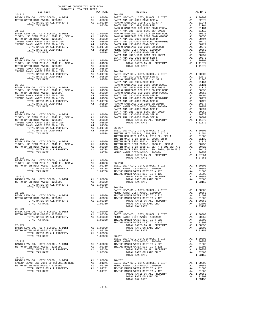| COUNTY OF ORANGE TAX RATE BOOK<br>$\begin{minipage}{0.5\textwidth} \begin{tabular}{@{}c@{}} \multicolumn{2}{c}{\textbf{1.5}\textwidth} \multicolumn{2}{c}{\textbf{1.6}\textwidth} \end{tabular} \end{minipage} \begin{minipage}{0.5\textwidth} \begin{tabular}{@{}c@{}} \multicolumn{2}{c}{\textbf{1.6}\textwidth} \multicolumn{2}{c}{\textbf{1.6}\textwidth} \end{tabular} \end{minipage} \begin{minipage}{0.5\textwidth} \begin{tabular}{@{}c@{}} \multicolumn{2}{c}{\textbf{1.6}\textwidth} \multicolumn{2}{c}{\textbf{1.6$ |                |                                                                                                                                                                                                                                                                                                                                                                                                             |          |
|--------------------------------------------------------------------------------------------------------------------------------------------------------------------------------------------------------------------------------------------------------------------------------------------------------------------------------------------------------------------------------------------------------------------------------------------------------------------------------------------------------------------------------|----------------|-------------------------------------------------------------------------------------------------------------------------------------------------------------------------------------------------------------------------------------------------------------------------------------------------------------------------------------------------------------------------------------------------------------|----------|
| $26 - 212$                                                                                                                                                                                                                                                                                                                                                                                                                                                                                                                     |                | TAX RATE DISTRICT<br>26-225                                                                                                                                                                                                                                                                                                                                                                                 | TAX RATE |
|                                                                                                                                                                                                                                                                                                                                                                                                                                                                                                                                |                |                                                                                                                                                                                                                                                                                                                                                                                                             |          |
|                                                                                                                                                                                                                                                                                                                                                                                                                                                                                                                                |                |                                                                                                                                                                                                                                                                                                                                                                                                             |          |
|                                                                                                                                                                                                                                                                                                                                                                                                                                                                                                                                |                |                                                                                                                                                                                                                                                                                                                                                                                                             |          |
|                                                                                                                                                                                                                                                                                                                                                                                                                                                                                                                                |                |                                                                                                                                                                                                                                                                                                                                                                                                             |          |
|                                                                                                                                                                                                                                                                                                                                                                                                                                                                                                                                |                |                                                                                                                                                                                                                                                                                                                                                                                                             |          |
|                                                                                                                                                                                                                                                                                                                                                                                                                                                                                                                                |                |                                                                                                                                                                                                                                                                                                                                                                                                             |          |
|                                                                                                                                                                                                                                                                                                                                                                                                                                                                                                                                |                |                                                                                                                                                                                                                                                                                                                                                                                                             |          |
|                                                                                                                                                                                                                                                                                                                                                                                                                                                                                                                                |                |                                                                                                                                                                                                                                                                                                                                                                                                             |          |
|                                                                                                                                                                                                                                                                                                                                                                                                                                                                                                                                |                |                                                                                                                                                                                                                                                                                                                                                                                                             |          |
|                                                                                                                                                                                                                                                                                                                                                                                                                                                                                                                                |                |                                                                                                                                                                                                                                                                                                                                                                                                             |          |
|                                                                                                                                                                                                                                                                                                                                                                                                                                                                                                                                |                |                                                                                                                                                                                                                                                                                                                                                                                                             |          |
|                                                                                                                                                                                                                                                                                                                                                                                                                                                                                                                                |                |                                                                                                                                                                                                                                                                                                                                                                                                             |          |
|                                                                                                                                                                                                                                                                                                                                                                                                                                                                                                                                |                |                                                                                                                                                                                                                                                                                                                                                                                                             |          |
|                                                                                                                                                                                                                                                                                                                                                                                                                                                                                                                                |                |                                                                                                                                                                                                                                                                                                                                                                                                             |          |
|                                                                                                                                                                                                                                                                                                                                                                                                                                                                                                                                |                |                                                                                                                                                                                                                                                                                                                                                                                                             |          |
|                                                                                                                                                                                                                                                                                                                                                                                                                                                                                                                                |                |                                                                                                                                                                                                                                                                                                                                                                                                             |          |
|                                                                                                                                                                                                                                                                                                                                                                                                                                                                                                                                |                |                                                                                                                                                                                                                                                                                                                                                                                                             |          |
|                                                                                                                                                                                                                                                                                                                                                                                                                                                                                                                                |                |                                                                                                                                                                                                                                                                                                                                                                                                             |          |
|                                                                                                                                                                                                                                                                                                                                                                                                                                                                                                                                |                |                                                                                                                                                                                                                                                                                                                                                                                                             |          |
|                                                                                                                                                                                                                                                                                                                                                                                                                                                                                                                                |                |                                                                                                                                                                                                                                                                                                                                                                                                             |          |
|                                                                                                                                                                                                                                                                                                                                                                                                                                                                                                                                |                |                                                                                                                                                                                                                                                                                                                                                                                                             |          |
|                                                                                                                                                                                                                                                                                                                                                                                                                                                                                                                                |                |                                                                                                                                                                                                                                                                                                                                                                                                             |          |
|                                                                                                                                                                                                                                                                                                                                                                                                                                                                                                                                |                |                                                                                                                                                                                                                                                                                                                                                                                                             |          |
|                                                                                                                                                                                                                                                                                                                                                                                                                                                                                                                                |                |                                                                                                                                                                                                                                                                                                                                                                                                             |          |
|                                                                                                                                                                                                                                                                                                                                                                                                                                                                                                                                |                |                                                                                                                                                                                                                                                                                                                                                                                                             |          |
|                                                                                                                                                                                                                                                                                                                                                                                                                                                                                                                                |                |                                                                                                                                                                                                                                                                                                                                                                                                             |          |
|                                                                                                                                                                                                                                                                                                                                                                                                                                                                                                                                |                |                                                                                                                                                                                                                                                                                                                                                                                                             |          |
|                                                                                                                                                                                                                                                                                                                                                                                                                                                                                                                                |                |                                                                                                                                                                                                                                                                                                                                                                                                             |          |
|                                                                                                                                                                                                                                                                                                                                                                                                                                                                                                                                |                |                                                                                                                                                                                                                                                                                                                                                                                                             |          |
|                                                                                                                                                                                                                                                                                                                                                                                                                                                                                                                                |                |                                                                                                                                                                                                                                                                                                                                                                                                             |          |
|                                                                                                                                                                                                                                                                                                                                                                                                                                                                                                                                |                |                                                                                                                                                                                                                                                                                                                                                                                                             |          |
|                                                                                                                                                                                                                                                                                                                                                                                                                                                                                                                                |                |                                                                                                                                                                                                                                                                                                                                                                                                             |          |
|                                                                                                                                                                                                                                                                                                                                                                                                                                                                                                                                |                |                                                                                                                                                                                                                                                                                                                                                                                                             |          |
|                                                                                                                                                                                                                                                                                                                                                                                                                                                                                                                                |                |                                                                                                                                                                                                                                                                                                                                                                                                             |          |
|                                                                                                                                                                                                                                                                                                                                                                                                                                                                                                                                |                |                                                                                                                                                                                                                                                                                                                                                                                                             |          |
|                                                                                                                                                                                                                                                                                                                                                                                                                                                                                                                                |                |                                                                                                                                                                                                                                                                                                                                                                                                             |          |
|                                                                                                                                                                                                                                                                                                                                                                                                                                                                                                                                |                |                                                                                                                                                                                                                                                                                                                                                                                                             |          |
|                                                                                                                                                                                                                                                                                                                                                                                                                                                                                                                                |                |                                                                                                                                                                                                                                                                                                                                                                                                             |          |
|                                                                                                                                                                                                                                                                                                                                                                                                                                                                                                                                |                |                                                                                                                                                                                                                                                                                                                                                                                                             |          |
|                                                                                                                                                                                                                                                                                                                                                                                                                                                                                                                                |                |                                                                                                                                                                                                                                                                                                                                                                                                             |          |
|                                                                                                                                                                                                                                                                                                                                                                                                                                                                                                                                |                |                                                                                                                                                                                                                                                                                                                                                                                                             |          |
|                                                                                                                                                                                                                                                                                                                                                                                                                                                                                                                                |                |                                                                                                                                                                                                                                                                                                                                                                                                             |          |
|                                                                                                                                                                                                                                                                                                                                                                                                                                                                                                                                |                |                                                                                                                                                                                                                                                                                                                                                                                                             |          |
|                                                                                                                                                                                                                                                                                                                                                                                                                                                                                                                                |                |                                                                                                                                                                                                                                                                                                                                                                                                             |          |
|                                                                                                                                                                                                                                                                                                                                                                                                                                                                                                                                |                |                                                                                                                                                                                                                                                                                                                                                                                                             |          |
|                                                                                                                                                                                                                                                                                                                                                                                                                                                                                                                                |                |                                                                                                                                                                                                                                                                                                                                                                                                             |          |
|                                                                                                                                                                                                                                                                                                                                                                                                                                                                                                                                |                |                                                                                                                                                                                                                                                                                                                                                                                                             |          |
|                                                                                                                                                                                                                                                                                                                                                                                                                                                                                                                                |                |                                                                                                                                                                                                                                                                                                                                                                                                             |          |
|                                                                                                                                                                                                                                                                                                                                                                                                                                                                                                                                |                |                                                                                                                                                                                                                                                                                                                                                                                                             |          |
|                                                                                                                                                                                                                                                                                                                                                                                                                                                                                                                                |                |                                                                                                                                                                                                                                                                                                                                                                                                             |          |
|                                                                                                                                                                                                                                                                                                                                                                                                                                                                                                                                |                |                                                                                                                                                                                                                                                                                                                                                                                                             |          |
| TOTAL TAX RATE                                                                                                                                                                                                                                                                                                                                                                                                                                                                                                                 | 1.00350 26-229 | BASIC LEVY-CO., CITY, SCHOOL, & DIST<br>MASIC LEVY-CO., CITY, SCHOOL, & DIST<br>MARIA CONTRACT LEVING 1995099                                                                                                                                                                                                                                                                                               |          |
|                                                                                                                                                                                                                                                                                                                                                                                                                                                                                                                                |                |                                                                                                                                                                                                                                                                                                                                                                                                             |          |
|                                                                                                                                                                                                                                                                                                                                                                                                                                                                                                                                |                |                                                                                                                                                                                                                                                                                                                                                                                                             |          |
|                                                                                                                                                                                                                                                                                                                                                                                                                                                                                                                                |                |                                                                                                                                                                                                                                                                                                                                                                                                             |          |
|                                                                                                                                                                                                                                                                                                                                                                                                                                                                                                                                |                |                                                                                                                                                                                                                                                                                                                                                                                                             |          |
|                                                                                                                                                                                                                                                                                                                                                                                                                                                                                                                                |                |                                                                                                                                                                                                                                                                                                                                                                                                             |          |
|                                                                                                                                                                                                                                                                                                                                                                                                                                                                                                                                |                |                                                                                                                                                                                                                                                                                                                                                                                                             |          |
|                                                                                                                                                                                                                                                                                                                                                                                                                                                                                                                                |                |                                                                                                                                                                                                                                                                                                                                                                                                             |          |
|                                                                                                                                                                                                                                                                                                                                                                                                                                                                                                                                |                |                                                                                                                                                                                                                                                                                                                                                                                                             |          |
|                                                                                                                                                                                                                                                                                                                                                                                                                                                                                                                                |                |                                                                                                                                                                                                                                                                                                                                                                                                             |          |
|                                                                                                                                                                                                                                                                                                                                                                                                                                                                                                                                |                |                                                                                                                                                                                                                                                                                                                                                                                                             |          |
|                                                                                                                                                                                                                                                                                                                                                                                                                                                                                                                                |                |                                                                                                                                                                                                                                                                                                                                                                                                             |          |
|                                                                                                                                                                                                                                                                                                                                                                                                                                                                                                                                |                |                                                                                                                                                                                                                                                                                                                                                                                                             |          |
|                                                                                                                                                                                                                                                                                                                                                                                                                                                                                                                                |                |                                                                                                                                                                                                                                                                                                                                                                                                             |          |
|                                                                                                                                                                                                                                                                                                                                                                                                                                                                                                                                |                |                                                                                                                                                                                                                                                                                                                                                                                                             |          |
|                                                                                                                                                                                                                                                                                                                                                                                                                                                                                                                                |                |                                                                                                                                                                                                                                                                                                                                                                                                             |          |
|                                                                                                                                                                                                                                                                                                                                                                                                                                                                                                                                |                |                                                                                                                                                                                                                                                                                                                                                                                                             |          |
|                                                                                                                                                                                                                                                                                                                                                                                                                                                                                                                                |                |                                                                                                                                                                                                                                                                                                                                                                                                             |          |
|                                                                                                                                                                                                                                                                                                                                                                                                                                                                                                                                |                |                                                                                                                                                                                                                                                                                                                                                                                                             |          |
|                                                                                                                                                                                                                                                                                                                                                                                                                                                                                                                                |                |                                                                                                                                                                                                                                                                                                                                                                                                             |          |
|                                                                                                                                                                                                                                                                                                                                                                                                                                                                                                                                |                |                                                                                                                                                                                                                                                                                                                                                                                                             |          |
| $26 - 224$                                                                                                                                                                                                                                                                                                                                                                                                                                                                                                                     |                | $\begin{tabular}{lllllllllllllllllllllll} \textbf{26-224} & & & & & & & \\ \textbf{26-224} & & & & & & & \\ \textbf{26-225} & & & & & & & \\ \textbf{26-236} & & & & & & & \\ \textbf{26-24} & & & & & & & \\ \textbf{26-25} & & & & & & & \\ \textbf{26-26} & & & & & & & \\ \textbf{26-27} & & & & & & & \\ \textbf{27-28} & & & & & & & \\ \textbf{28-29} & & & & & & & \\ \textbf{28-20} & & & & & & &$ |          |
|                                                                                                                                                                                                                                                                                                                                                                                                                                                                                                                                |                |                                                                                                                                                                                                                                                                                                                                                                                                             |          |
|                                                                                                                                                                                                                                                                                                                                                                                                                                                                                                                                |                |                                                                                                                                                                                                                                                                                                                                                                                                             |          |
|                                                                                                                                                                                                                                                                                                                                                                                                                                                                                                                                |                |                                                                                                                                                                                                                                                                                                                                                                                                             |          |
|                                                                                                                                                                                                                                                                                                                                                                                                                                                                                                                                |                |                                                                                                                                                                                                                                                                                                                                                                                                             |          |
|                                                                                                                                                                                                                                                                                                                                                                                                                                                                                                                                |                |                                                                                                                                                                                                                                                                                                                                                                                                             |          |
|                                                                                                                                                                                                                                                                                                                                                                                                                                                                                                                                |                |                                                                                                                                                                                                                                                                                                                                                                                                             |          |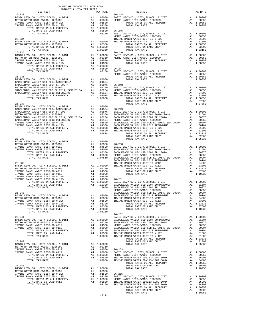| $\begin{minipage}{.4\linewidth} \begin{tabular}{lcccccc} . & . & . & . & . \\ . & . & . & . \\ . & . & . & . \\ . & . & . & . \\ \end{tabular} \end{minipage}$ DISTRICT |  |                                                        |          |
|-------------------------------------------------------------------------------------------------------------------------------------------------------------------------|--|--------------------------------------------------------|----------|
| $26 - 233$                                                                                                                                                              |  | TAX RATE DISTRICT<br>TAX RATE 26-244                   | TAX RATE |
|                                                                                                                                                                         |  |                                                        |          |
|                                                                                                                                                                         |  |                                                        |          |
|                                                                                                                                                                         |  |                                                        |          |
|                                                                                                                                                                         |  |                                                        |          |
|                                                                                                                                                                         |  |                                                        |          |
|                                                                                                                                                                         |  |                                                        |          |
|                                                                                                                                                                         |  |                                                        |          |
|                                                                                                                                                                         |  |                                                        |          |
|                                                                                                                                                                         |  |                                                        |          |
|                                                                                                                                                                         |  |                                                        |          |
|                                                                                                                                                                         |  |                                                        |          |
|                                                                                                                                                                         |  |                                                        |          |
|                                                                                                                                                                         |  |                                                        |          |
|                                                                                                                                                                         |  |                                                        |          |
|                                                                                                                                                                         |  |                                                        |          |
|                                                                                                                                                                         |  |                                                        |          |
|                                                                                                                                                                         |  |                                                        |          |
|                                                                                                                                                                         |  |                                                        |          |
|                                                                                                                                                                         |  |                                                        |          |
|                                                                                                                                                                         |  |                                                        |          |
|                                                                                                                                                                         |  |                                                        |          |
|                                                                                                                                                                         |  |                                                        |          |
|                                                                                                                                                                         |  |                                                        |          |
|                                                                                                                                                                         |  |                                                        |          |
|                                                                                                                                                                         |  |                                                        |          |
|                                                                                                                                                                         |  |                                                        |          |
|                                                                                                                                                                         |  |                                                        |          |
|                                                                                                                                                                         |  |                                                        |          |
|                                                                                                                                                                         |  |                                                        |          |
|                                                                                                                                                                         |  |                                                        |          |
|                                                                                                                                                                         |  |                                                        |          |
|                                                                                                                                                                         |  |                                                        |          |
|                                                                                                                                                                         |  |                                                        |          |
|                                                                                                                                                                         |  |                                                        |          |
|                                                                                                                                                                         |  |                                                        |          |
|                                                                                                                                                                         |  |                                                        |          |
|                                                                                                                                                                         |  |                                                        |          |
|                                                                                                                                                                         |  |                                                        |          |
|                                                                                                                                                                         |  |                                                        |          |
|                                                                                                                                                                         |  |                                                        |          |
|                                                                                                                                                                         |  |                                                        |          |
|                                                                                                                                                                         |  |                                                        |          |
|                                                                                                                                                                         |  |                                                        |          |
|                                                                                                                                                                         |  |                                                        |          |
|                                                                                                                                                                         |  |                                                        |          |
|                                                                                                                                                                         |  |                                                        |          |
|                                                                                                                                                                         |  |                                                        |          |
|                                                                                                                                                                         |  |                                                        |          |
|                                                                                                                                                                         |  |                                                        |          |
|                                                                                                                                                                         |  |                                                        |          |
| $26 - 240$                                                                                                                                                              |  | SADDLEBACK VALLEY USD GOB EL 2014, SER 2016A A1 .00204 |          |
|                                                                                                                                                                         |  |                                                        |          |
|                                                                                                                                                                         |  |                                                        |          |
|                                                                                                                                                                         |  |                                                        |          |
|                                                                                                                                                                         |  |                                                        |          |
|                                                                                                                                                                         |  |                                                        |          |
|                                                                                                                                                                         |  |                                                        |          |
|                                                                                                                                                                         |  | $26 - 252$                                             |          |
|                                                                                                                                                                         |  |                                                        |          |
|                                                                                                                                                                         |  |                                                        |          |
|                                                                                                                                                                         |  |                                                        |          |
|                                                                                                                                                                         |  |                                                        |          |
|                                                                                                                                                                         |  |                                                        |          |
|                                                                                                                                                                         |  |                                                        |          |
|                                                                                                                                                                         |  |                                                        |          |
|                                                                                                                                                                         |  |                                                        |          |
|                                                                                                                                                                         |  |                                                        |          |
|                                                                                                                                                                         |  |                                                        |          |
|                                                                                                                                                                         |  |                                                        |          |
|                                                                                                                                                                         |  |                                                        |          |
|                                                                                                                                                                         |  |                                                        |          |
|                                                                                                                                                                         |  |                                                        |          |
|                                                                                                                                                                         |  |                                                        |          |
|                                                                                                                                                                         |  |                                                        |          |
|                                                                                                                                                                         |  |                                                        |          |
|                                                                                                                                                                         |  |                                                        |          |
|                                                                                                                                                                         |  |                                                        |          |
|                                                                                                                                                                         |  |                                                        |          |
|                                                                                                                                                                         |  |                                                        |          |
|                                                                                                                                                                         |  |                                                        |          |

-214-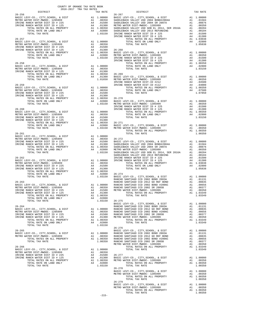| COUNTY OF ORANGE TAX RATE BOOK<br>2016-2017 TRA TAX RATES<br>$2016-2017\begin{array}{l} \circ \hspace{0.1cm} \circ \hspace{0.1cm} \circ \hspace{0.1cm} \circ \hspace{0.1cm} \circ \hspace{0.1cm} \circ \hspace{0.1cm} \circ \hspace{0.1cm} \circ \hspace{0.1cm} \circ \hspace{0.1cm} \text{RAR RATES} \hspace{0.1cm} \\ \text{DISTRICT} \end{array}$ |          |                                                                                                                                                                                                                                                                                                                                                                                                 |          |
|------------------------------------------------------------------------------------------------------------------------------------------------------------------------------------------------------------------------------------------------------------------------------------------------------------------------------------------------------|----------|-------------------------------------------------------------------------------------------------------------------------------------------------------------------------------------------------------------------------------------------------------------------------------------------------------------------------------------------------------------------------------------------------|----------|
|                                                                                                                                                                                                                                                                                                                                                      | TAX RATE | DISTRICT<br>26-2158 2007<br>MONTO MONTENO - CITY, SCROOL 6 10 12 2000 10000 10000 10000 10000 10000 10000 20000 10000 20000 20000 10000 20000 10000 20000 10000 20000 10000 20000 20000 20000 20000 20000 20000 20000 20000 20000 20000 200                                                                                                                                                     | TAX RATE |
|                                                                                                                                                                                                                                                                                                                                                      |          |                                                                                                                                                                                                                                                                                                                                                                                                 |          |
|                                                                                                                                                                                                                                                                                                                                                      |          |                                                                                                                                                                                                                                                                                                                                                                                                 |          |
|                                                                                                                                                                                                                                                                                                                                                      |          |                                                                                                                                                                                                                                                                                                                                                                                                 |          |
|                                                                                                                                                                                                                                                                                                                                                      |          |                                                                                                                                                                                                                                                                                                                                                                                                 |          |
|                                                                                                                                                                                                                                                                                                                                                      |          |                                                                                                                                                                                                                                                                                                                                                                                                 |          |
|                                                                                                                                                                                                                                                                                                                                                      |          |                                                                                                                                                                                                                                                                                                                                                                                                 |          |
|                                                                                                                                                                                                                                                                                                                                                      |          |                                                                                                                                                                                                                                                                                                                                                                                                 |          |
|                                                                                                                                                                                                                                                                                                                                                      |          |                                                                                                                                                                                                                                                                                                                                                                                                 |          |
|                                                                                                                                                                                                                                                                                                                                                      |          |                                                                                                                                                                                                                                                                                                                                                                                                 |          |
|                                                                                                                                                                                                                                                                                                                                                      |          |                                                                                                                                                                                                                                                                                                                                                                                                 |          |
|                                                                                                                                                                                                                                                                                                                                                      |          |                                                                                                                                                                                                                                                                                                                                                                                                 |          |
|                                                                                                                                                                                                                                                                                                                                                      |          |                                                                                                                                                                                                                                                                                                                                                                                                 |          |
|                                                                                                                                                                                                                                                                                                                                                      |          |                                                                                                                                                                                                                                                                                                                                                                                                 |          |
|                                                                                                                                                                                                                                                                                                                                                      |          |                                                                                                                                                                                                                                                                                                                                                                                                 |          |
|                                                                                                                                                                                                                                                                                                                                                      |          |                                                                                                                                                                                                                                                                                                                                                                                                 |          |
|                                                                                                                                                                                                                                                                                                                                                      |          |                                                                                                                                                                                                                                                                                                                                                                                                 |          |
|                                                                                                                                                                                                                                                                                                                                                      |          |                                                                                                                                                                                                                                                                                                                                                                                                 |          |
|                                                                                                                                                                                                                                                                                                                                                      |          |                                                                                                                                                                                                                                                                                                                                                                                                 |          |
|                                                                                                                                                                                                                                                                                                                                                      |          |                                                                                                                                                                                                                                                                                                                                                                                                 |          |
|                                                                                                                                                                                                                                                                                                                                                      |          |                                                                                                                                                                                                                                                                                                                                                                                                 |          |
|                                                                                                                                                                                                                                                                                                                                                      |          |                                                                                                                                                                                                                                                                                                                                                                                                 |          |
|                                                                                                                                                                                                                                                                                                                                                      |          |                                                                                                                                                                                                                                                                                                                                                                                                 |          |
|                                                                                                                                                                                                                                                                                                                                                      |          |                                                                                                                                                                                                                                                                                                                                                                                                 |          |
|                                                                                                                                                                                                                                                                                                                                                      |          |                                                                                                                                                                                                                                                                                                                                                                                                 |          |
|                                                                                                                                                                                                                                                                                                                                                      |          |                                                                                                                                                                                                                                                                                                                                                                                                 |          |
|                                                                                                                                                                                                                                                                                                                                                      |          |                                                                                                                                                                                                                                                                                                                                                                                                 |          |
|                                                                                                                                                                                                                                                                                                                                                      |          |                                                                                                                                                                                                                                                                                                                                                                                                 |          |
|                                                                                                                                                                                                                                                                                                                                                      |          |                                                                                                                                                                                                                                                                                                                                                                                                 |          |
|                                                                                                                                                                                                                                                                                                                                                      |          |                                                                                                                                                                                                                                                                                                                                                                                                 |          |
|                                                                                                                                                                                                                                                                                                                                                      |          |                                                                                                                                                                                                                                                                                                                                                                                                 |          |
|                                                                                                                                                                                                                                                                                                                                                      |          |                                                                                                                                                                                                                                                                                                                                                                                                 |          |
|                                                                                                                                                                                                                                                                                                                                                      |          |                                                                                                                                                                                                                                                                                                                                                                                                 |          |
|                                                                                                                                                                                                                                                                                                                                                      |          |                                                                                                                                                                                                                                                                                                                                                                                                 |          |
|                                                                                                                                                                                                                                                                                                                                                      |          |                                                                                                                                                                                                                                                                                                                                                                                                 |          |
|                                                                                                                                                                                                                                                                                                                                                      |          |                                                                                                                                                                                                                                                                                                                                                                                                 |          |
|                                                                                                                                                                                                                                                                                                                                                      |          |                                                                                                                                                                                                                                                                                                                                                                                                 |          |
|                                                                                                                                                                                                                                                                                                                                                      |          |                                                                                                                                                                                                                                                                                                                                                                                                 |          |
|                                                                                                                                                                                                                                                                                                                                                      |          |                                                                                                                                                                                                                                                                                                                                                                                                 |          |
|                                                                                                                                                                                                                                                                                                                                                      |          |                                                                                                                                                                                                                                                                                                                                                                                                 |          |
|                                                                                                                                                                                                                                                                                                                                                      |          |                                                                                                                                                                                                                                                                                                                                                                                                 |          |
|                                                                                                                                                                                                                                                                                                                                                      |          |                                                                                                                                                                                                                                                                                                                                                                                                 |          |
|                                                                                                                                                                                                                                                                                                                                                      |          |                                                                                                                                                                                                                                                                                                                                                                                                 |          |
|                                                                                                                                                                                                                                                                                                                                                      |          | $\begin{tabular}{c c c c c c} \hline \textsc{10TAL} \textsc{RATE} \textsc{0N} \textsc{LAN} \textsc{0N} \textsc{1N} & \textsc{0N} \textsc{1N} \textsc{1N} & \textsc{0N} \textsc{1N} \textsc{1N} \textsc{1N} & \textsc{0N} \textsc{1N} \textsc{1N} \textsc{1N} \textsc{1N} \textsc{1N} \textsc{1N} \textsc{1N} \textsc{1N} \textsc{1N} \textsc{1N} \textsc{1N} \textsc{1N} \textsc{1N} \textsc{1$ |          |
|                                                                                                                                                                                                                                                                                                                                                      |          |                                                                                                                                                                                                                                                                                                                                                                                                 |          |
|                                                                                                                                                                                                                                                                                                                                                      |          |                                                                                                                                                                                                                                                                                                                                                                                                 |          |
|                                                                                                                                                                                                                                                                                                                                                      |          |                                                                                                                                                                                                                                                                                                                                                                                                 |          |
|                                                                                                                                                                                                                                                                                                                                                      |          |                                                                                                                                                                                                                                                                                                                                                                                                 |          |
|                                                                                                                                                                                                                                                                                                                                                      |          | $\frac{1}{2}$<br>TOTAL TAX RATE                                                                                                                                                                                                                                                                                                                                                                 | 1.03349  |
|                                                                                                                                                                                                                                                                                                                                                      |          |                                                                                                                                                                                                                                                                                                                                                                                                 |          |
|                                                                                                                                                                                                                                                                                                                                                      |          |                                                                                                                                                                                                                                                                                                                                                                                                 |          |
|                                                                                                                                                                                                                                                                                                                                                      |          |                                                                                                                                                                                                                                                                                                                                                                                                 |          |
|                                                                                                                                                                                                                                                                                                                                                      |          |                                                                                                                                                                                                                                                                                                                                                                                                 |          |
|                                                                                                                                                                                                                                                                                                                                                      |          |                                                                                                                                                                                                                                                                                                                                                                                                 |          |
|                                                                                                                                                                                                                                                                                                                                                      |          |                                                                                                                                                                                                                                                                                                                                                                                                 |          |
|                                                                                                                                                                                                                                                                                                                                                      |          |                                                                                                                                                                                                                                                                                                                                                                                                 |          |
|                                                                                                                                                                                                                                                                                                                                                      |          |                                                                                                                                                                                                                                                                                                                                                                                                 |          |
|                                                                                                                                                                                                                                                                                                                                                      |          |                                                                                                                                                                                                                                                                                                                                                                                                 |          |
|                                                                                                                                                                                                                                                                                                                                                      |          |                                                                                                                                                                                                                                                                                                                                                                                                 |          |
|                                                                                                                                                                                                                                                                                                                                                      |          |                                                                                                                                                                                                                                                                                                                                                                                                 |          |
|                                                                                                                                                                                                                                                                                                                                                      |          |                                                                                                                                                                                                                                                                                                                                                                                                 |          |
|                                                                                                                                                                                                                                                                                                                                                      |          |                                                                                                                                                                                                                                                                                                                                                                                                 |          |
|                                                                                                                                                                                                                                                                                                                                                      |          |                                                                                                                                                                                                                                                                                                                                                                                                 |          |
|                                                                                                                                                                                                                                                                                                                                                      |          |                                                                                                                                                                                                                                                                                                                                                                                                 |          |
|                                                                                                                                                                                                                                                                                                                                                      |          |                                                                                                                                                                                                                                                                                                                                                                                                 |          |
|                                                                                                                                                                                                                                                                                                                                                      |          |                                                                                                                                                                                                                                                                                                                                                                                                 |          |
|                                                                                                                                                                                                                                                                                                                                                      |          | $26 - 278$                                                                                                                                                                                                                                                                                                                                                                                      |          |
|                                                                                                                                                                                                                                                                                                                                                      |          | 26-278<br>BASIC LEVY-CO., CITY, SCHOOL, & DIST and 1.00000<br>METRO WATER DIST-MWDOC-1205999 A1 .00350<br>TOTAL RATES ON ALL PROPERTY A1 1.00350<br>TOTAL TATES ON ALL PROPERTY 1.00350                                                                                                                                                                                                         |          |
|                                                                                                                                                                                                                                                                                                                                                      |          |                                                                                                                                                                                                                                                                                                                                                                                                 |          |
|                                                                                                                                                                                                                                                                                                                                                      |          | TOTAL TAX RATE                                                                                                                                                                                                                                                                                                                                                                                  | 1.00350  |
|                                                                                                                                                                                                                                                                                                                                                      |          | $26 - 279$                                                                                                                                                                                                                                                                                                                                                                                      |          |
|                                                                                                                                                                                                                                                                                                                                                      |          | EXACTLEVY-CO., CITY, SCHOOL, & DIST Al 1.00000<br>METRO WATER DIST-MWDOC- 1205999 Al .00350<br>TOTAL RATES ON ALL PROPERTY AL 1.00350<br>TOTAL TAX RATE                                                                                                                                                                                                                                         |          |
|                                                                                                                                                                                                                                                                                                                                                      |          |                                                                                                                                                                                                                                                                                                                                                                                                 |          |
|                                                                                                                                                                                                                                                                                                                                                      | $-215-$  | TOTAL TAX RATE                                                                                                                                                                                                                                                                                                                                                                                  | 1.00350  |
|                                                                                                                                                                                                                                                                                                                                                      |          |                                                                                                                                                                                                                                                                                                                                                                                                 |          |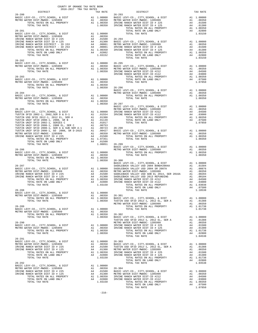| $26 - 280$ |  | TAR RATE DISTRICT TAR RATE DISTRICT                                                                                                                                                                                                                                                                                                                                                                   | TAX RATE |
|------------|--|-------------------------------------------------------------------------------------------------------------------------------------------------------------------------------------------------------------------------------------------------------------------------------------------------------------------------------------------------------------------------------------------------------|----------|
|            |  |                                                                                                                                                                                                                                                                                                                                                                                                       |          |
|            |  |                                                                                                                                                                                                                                                                                                                                                                                                       |          |
|            |  |                                                                                                                                                                                                                                                                                                                                                                                                       |          |
|            |  |                                                                                                                                                                                                                                                                                                                                                                                                       |          |
|            |  |                                                                                                                                                                                                                                                                                                                                                                                                       |          |
|            |  |                                                                                                                                                                                                                                                                                                                                                                                                       |          |
|            |  |                                                                                                                                                                                                                                                                                                                                                                                                       |          |
| $26 - 282$ |  |                                                                                                                                                                                                                                                                                                                                                                                                       |          |
|            |  |                                                                                                                                                                                                                                                                                                                                                                                                       |          |
|            |  |                                                                                                                                                                                                                                                                                                                                                                                                       |          |
|            |  |                                                                                                                                                                                                                                                                                                                                                                                                       |          |
|            |  |                                                                                                                                                                                                                                                                                                                                                                                                       |          |
|            |  |                                                                                                                                                                                                                                                                                                                                                                                                       |          |
|            |  |                                                                                                                                                                                                                                                                                                                                                                                                       |          |
|            |  |                                                                                                                                                                                                                                                                                                                                                                                                       |          |
|            |  |                                                                                                                                                                                                                                                                                                                                                                                                       |          |
|            |  |                                                                                                                                                                                                                                                                                                                                                                                                       |          |
|            |  |                                                                                                                                                                                                                                                                                                                                                                                                       |          |
|            |  |                                                                                                                                                                                                                                                                                                                                                                                                       |          |
|            |  |                                                                                                                                                                                                                                                                                                                                                                                                       |          |
|            |  |                                                                                                                                                                                                                                                                                                                                                                                                       |          |
|            |  |                                                                                                                                                                                                                                                                                                                                                                                                       |          |
|            |  |                                                                                                                                                                                                                                                                                                                                                                                                       |          |
|            |  |                                                                                                                                                                                                                                                                                                                                                                                                       |          |
|            |  |                                                                                                                                                                                                                                                                                                                                                                                                       |          |
|            |  |                                                                                                                                                                                                                                                                                                                                                                                                       |          |
|            |  |                                                                                                                                                                                                                                                                                                                                                                                                       |          |
|            |  |                                                                                                                                                                                                                                                                                                                                                                                                       |          |
|            |  |                                                                                                                                                                                                                                                                                                                                                                                                       |          |
|            |  |                                                                                                                                                                                                                                                                                                                                                                                                       |          |
|            |  |                                                                                                                                                                                                                                                                                                                                                                                                       |          |
|            |  |                                                                                                                                                                                                                                                                                                                                                                                                       |          |
|            |  |                                                                                                                                                                                                                                                                                                                                                                                                       |          |
|            |  |                                                                                                                                                                                                                                                                                                                                                                                                       |          |
|            |  |                                                                                                                                                                                                                                                                                                                                                                                                       |          |
|            |  |                                                                                                                                                                                                                                                                                                                                                                                                       |          |
|            |  | $\begin{tabular}{c c c c c} \hline \text{TOTAL TAX RATE} & & & & & & & 1.00350 & 26-300 & 6-3000 & 8-30000 & 6-30000 & 6-30000 & 8-30000 & 8-30000 & 8-30000 & 8-30000 & 8-30000 & 8-30000 & 8-30000 & 8-30000 & 8-30000 & 8-30000 & 8-30000 & 8-30000 & 8-30000 & 8-30000 & 8-300$                                                                                                                   |          |
|            |  |                                                                                                                                                                                                                                                                                                                                                                                                       |          |
|            |  |                                                                                                                                                                                                                                                                                                                                                                                                       |          |
|            |  |                                                                                                                                                                                                                                                                                                                                                                                                       |          |
|            |  |                                                                                                                                                                                                                                                                                                                                                                                                       |          |
|            |  |                                                                                                                                                                                                                                                                                                                                                                                                       |          |
|            |  |                                                                                                                                                                                                                                                                                                                                                                                                       |          |
|            |  |                                                                                                                                                                                                                                                                                                                                                                                                       |          |
|            |  |                                                                                                                                                                                                                                                                                                                                                                                                       |          |
|            |  |                                                                                                                                                                                                                                                                                                                                                                                                       |          |
|            |  | $\begin{tabular}{@{}c@{}}\hline\textbf{26--280}&\textbf{28--281}&\textbf{28--282}&\textbf{28--286}\\\textbf{METRO WATER DIST-MDOC}-1205999&\textbf{ALI, PROPERITY}\\ \hline\textbf{METRO WATER DIST-MDOC}-120599&\textbf{ALI, PROPERITY}\\ \hline\textbf{METRO WATER DIST-MDOC}-120599&\textbf{ALI, PROPERITY}\\ \hline\textbf{METRO WATER DIST-MDOC}-120599&\textbf{ALI, 00150}\\ \hline\textbf{MET$ |          |
|            |  |                                                                                                                                                                                                                                                                                                                                                                                                       |          |
|            |  |                                                                                                                                                                                                                                                                                                                                                                                                       |          |
|            |  |                                                                                                                                                                                                                                                                                                                                                                                                       |          |
|            |  |                                                                                                                                                                                                                                                                                                                                                                                                       |          |
|            |  | $\begin{tabular}{lllllllllllllllllllllll} \textsc{291} & \textsc{A1} & 1.00000 & 26-303 \\ \textsc{BASIC LEVY-CO.}, & \textsc{CTY}, \textsc{SCHODL}, & \textsc{A} & \textsc{DIST} & \textsc{A1} & 1.00000 \\ \textsc{METER DIST-MWDOC} & 1205999 & \textsc{A1} & .00350 & \textsc{BASIC LEVY-CO.}, & \textsc{CTY}, \textsc{SCHODL}, & \textsc{DIST} & \textsc{A1} & 1.00000 \\ \textsc{IRVINE RN$     |          |
|            |  |                                                                                                                                                                                                                                                                                                                                                                                                       |          |
|            |  |                                                                                                                                                                                                                                                                                                                                                                                                       |          |
|            |  |                                                                                                                                                                                                                                                                                                                                                                                                       |          |
|            |  |                                                                                                                                                                                                                                                                                                                                                                                                       |          |
|            |  |                                                                                                                                                                                                                                                                                                                                                                                                       |          |
|            |  |                                                                                                                                                                                                                                                                                                                                                                                                       |          |
|            |  | $\begin{tabular}{lllllllllllllllllllllll} \textsc{TOT1AL} & \textsc{14A} & \textsc{14A} & \textsc{14A} & \textsc{14A} & \textsc{14A} & \textsc{14A} & \textsc{14A} & \textsc{14A} & \textsc{14A} & \textsc{14A} & \textsc{14A} & \textsc{14A} & \textsc{14A} & \textsc{14A} & \textsc{14A} & \textsc{14A} & \textsc{14A} & \textsc{14A} & \textsc{14A} & \textsc{14A} & \textsc{14A} & \text$         |          |
|            |  |                                                                                                                                                                                                                                                                                                                                                                                                       |          |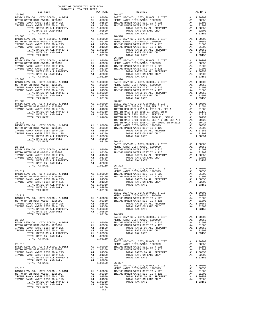| COUNTY OF ORANGE TAX RATE BOOK<br>$\begin{tabular}{lllllllll} & . & . & . & . & . \\ & . & . & . & . \\ & . & 2016-2017 & TRA TAX RATES \\ \end{tabular}$<br>DISTRICT |          |                                                                                                                                                                                                                                                                                                                                                                                                                                                                                                                |          |
|-----------------------------------------------------------------------------------------------------------------------------------------------------------------------|----------|----------------------------------------------------------------------------------------------------------------------------------------------------------------------------------------------------------------------------------------------------------------------------------------------------------------------------------------------------------------------------------------------------------------------------------------------------------------------------------------------------------------|----------|
| $26 - 305$                                                                                                                                                            | TAX RATE | DISTRICT<br>$26 - 317$                                                                                                                                                                                                                                                                                                                                                                                                                                                                                         | TAX RATE |
|                                                                                                                                                                       |          |                                                                                                                                                                                                                                                                                                                                                                                                                                                                                                                |          |
| $26 - 306$                                                                                                                                                            |          | $26 - 318$                                                                                                                                                                                                                                                                                                                                                                                                                                                                                                     |          |
| $26 - 307$                                                                                                                                                            |          | $26 - 319$                                                                                                                                                                                                                                                                                                                                                                                                                                                                                                     |          |
|                                                                                                                                                                       |          |                                                                                                                                                                                                                                                                                                                                                                                                                                                                                                                |          |
|                                                                                                                                                                       |          |                                                                                                                                                                                                                                                                                                                                                                                                                                                                                                                |          |
|                                                                                                                                                                       |          | $\begin{tabular}{@{}c@{}} 26-309 & $\cdots$ & $26-321 & $20000 \\ 26-309 & $241 & $100000 \\ \hline \texttt{METRO WATER DIST - MMDOC- 1205999} & \texttt{Al} & 1.00000 \\ \hline \texttt{METRO WATER DIST - MMDOC- 1205999} & \texttt{Al} & 1.00000 \\ \hline \texttt{METRO WATER DIST - MMDOC- 1205999} & \texttt{Al} & 1.00000 \\ \hline \texttt{METRO WATER DIST - MMDOC- $                                                                                                                                 |          |
|                                                                                                                                                                       |          |                                                                                                                                                                                                                                                                                                                                                                                                                                                                                                                |          |
|                                                                                                                                                                       |          |                                                                                                                                                                                                                                                                                                                                                                                                                                                                                                                |          |
|                                                                                                                                                                       |          | $\begin{tabular}{lllllllllllllllllllll} \multicolumn{4}{c}{\begin{tabular}{l} \multicolumn{4}{c}{\begin{tabular}{l} \multicolumn{4}{c}{\begin{tabular}{l} \multicolumn{4}{c}{\begin{tabular}{l} \multicolumn{4}{c}{\begin{tabular}{l} \multicolumn{4}{c}{\begin{tabular}{l} \multicolumn{4}{c}{\begin{tabular}{c} \multicolumn{4}{c}{\begin{tabular}{c} \multicolumn{4}{c}{\begin{tabular}{c} \multicolumn{4}{c}{\begin{tabular}{c} \multicolumn{4}{c}{\begin{tabular}{c} \multicolumn{4}{c}{\begin{tabular}{$ |          |
|                                                                                                                                                                       |          | $\begin{tabular}{lllllllllllllllllllllll} \multicolumn{3}{c}{26-313} & & & & & & & & & & & & \\ 26-313 & & & & & & & & & & & & & \\ 26-312 & & & & & & & & & & & & & \\ 26-313 & & & & & & & & & & & & & \\ 26-314 & & & & & & & & & & & & & \\ 26-315 & & & & & & & & & & & & & \\ 26-316 & & & & & & & & & & & & & \\ 26-317 & & & & & & & & & & & & & \\ 26-318 & & & & & & & & & & & & \\ 26-3$                                                                                                            |          |
|                                                                                                                                                                       |          |                                                                                                                                                                                                                                                                                                                                                                                                                                                                                                                |          |
|                                                                                                                                                                       |          |                                                                                                                                                                                                                                                                                                                                                                                                                                                                                                                |          |
|                                                                                                                                                                       |          | $\begin{tabular}{c c c c c} \multicolumn{4}{c c c c} \multicolumn{4}{c c c} \multicolumn{4}{c c c} \multicolumn{4}{c c c} \multicolumn{4}{c c c} \multicolumn{4}{c c c} \multicolumn{4}{c c c} \multicolumn{4}{c c c} \multicolumn{4}{c c c} \multicolumn{4}{c c c} \multicolumn{4}{c c c} \multicolumn{4}{c c c} \multicolumn{4}{c c c} \multicolumn{4}{c c c} \multicolumn{4}{c c c} \multicolumn{4}{$                                                                                                       |          |

|                      | 1.000                                                                                                                                                                                                          |
|----------------------|----------------------------------------------------------------------------------------------------------------------------------------------------------------------------------------------------------------|
|                      | .003                                                                                                                                                                                                           |
|                      | .015<br>.013                                                                                                                                                                                                   |
|                      | A1 1.003                                                                                                                                                                                                       |
|                      | .028                                                                                                                                                                                                           |
|                      | 1.031                                                                                                                                                                                                          |
|                      |                                                                                                                                                                                                                |
| A1                   | 1.000                                                                                                                                                                                                          |
| A1                   | .003                                                                                                                                                                                                           |
|                      | .015                                                                                                                                                                                                           |
|                      | .013                                                                                                                                                                                                           |
|                      | .028                                                                                                                                                                                                           |
|                      | 1.031                                                                                                                                                                                                          |
|                      |                                                                                                                                                                                                                |
|                      | A1 1.000                                                                                                                                                                                                       |
| A1                   | .003                                                                                                                                                                                                           |
|                      | .015                                                                                                                                                                                                           |
|                      | .013                                                                                                                                                                                                           |
|                      | .028                                                                                                                                                                                                           |
|                      | 1.031                                                                                                                                                                                                          |
|                      |                                                                                                                                                                                                                |
|                      | A1 1.000                                                                                                                                                                                                       |
| A1                   | .003                                                                                                                                                                                                           |
| A4                   | .015                                                                                                                                                                                                           |
| A4                   | .013                                                                                                                                                                                                           |
|                      | A1 1.003                                                                                                                                                                                                       |
|                      | .028<br>1.031                                                                                                                                                                                                  |
|                      |                                                                                                                                                                                                                |
|                      | A1 1.000                                                                                                                                                                                                       |
|                      | A1 .015                                                                                                                                                                                                        |
| A1                   | .013                                                                                                                                                                                                           |
| A1                   | .011                                                                                                                                                                                                           |
|                      |                                                                                                                                                                                                                |
|                      |                                                                                                                                                                                                                |
|                      |                                                                                                                                                                                                                |
|                      |                                                                                                                                                                                                                |
|                      |                                                                                                                                                                                                                |
|                      | A1 1.073                                                                                                                                                                                                       |
| A4                   | .013                                                                                                                                                                                                           |
|                      | 1.086                                                                                                                                                                                                          |
| A4<br>A4<br>A1<br>A4 | .015<br>.013<br>1.003<br>.028<br>1.031                                                                                                                                                                         |
|                      |                                                                                                                                                                                                                |
| A1                   | 1.000                                                                                                                                                                                                          |
| A1                   | .003                                                                                                                                                                                                           |
|                      | .015                                                                                                                                                                                                           |
|                      | .013<br>1.003                                                                                                                                                                                                  |
|                      | .028                                                                                                                                                                                                           |
|                      | 1.031                                                                                                                                                                                                          |
|                      |                                                                                                                                                                                                                |
|                      |                                                                                                                                                                                                                |
|                      | A1 1.000                                                                                                                                                                                                       |
| A1                   | .003                                                                                                                                                                                                           |
|                      | .015                                                                                                                                                                                                           |
|                      | .013<br>1.003                                                                                                                                                                                                  |
|                      | .028                                                                                                                                                                                                           |
|                      | 1.031                                                                                                                                                                                                          |
|                      |                                                                                                                                                                                                                |
|                      |                                                                                                                                                                                                                |
| Α1                   | 1.000                                                                                                                                                                                                          |
| A1                   | .003                                                                                                                                                                                                           |
|                      | .015                                                                                                                                                                                                           |
|                      | .013                                                                                                                                                                                                           |
|                      | 1.003<br>.028                                                                                                                                                                                                  |
|                      | 1.031                                                                                                                                                                                                          |
|                      |                                                                                                                                                                                                                |
|                      |                                                                                                                                                                                                                |
| A1                   | 1.000                                                                                                                                                                                                          |
| A1                   | .003                                                                                                                                                                                                           |
| A4                   | .015                                                                                                                                                                                                           |
|                      | .013<br>1.003                                                                                                                                                                                                  |
|                      | .028                                                                                                                                                                                                           |
|                      | 1.031                                                                                                                                                                                                          |
|                      |                                                                                                                                                                                                                |
|                      |                                                                                                                                                                                                                |
|                      | A1 1.000                                                                                                                                                                                                       |
| A1                   | .003                                                                                                                                                                                                           |
|                      | .015                                                                                                                                                                                                           |
|                      |                                                                                                                                                                                                                |
| A4                   | .013                                                                                                                                                                                                           |
| A4                   | A1 1.003<br>.028                                                                                                                                                                                               |
|                      | A1<br>A1<br>A4<br>A4<br>A4<br>A4<br>A4<br>A1 1.003<br>A4<br>A4<br>A4<br>A1 1.003<br>A4<br>A4<br>A1 1.000<br>A1<br>A4<br>A4<br>A1<br>A4<br>A4<br>A4<br>A1<br>A4<br>A4<br>A4<br>A1<br>A4<br>A4<br>A1<br>A4<br>A4 |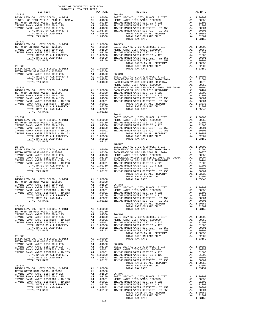| COUNTY OF ORANGE TAX RATE BOOK<br>$\begin{tabular}{lllllll} & $\textsc{--}-$ & $\textsc{--}-$ & $\textsc{--} $ & $\textsc{--} $ & $\textsc{--} $ \\ & $ & $ & $ & $ & $ & $ & $ \\ \textsc{DISTRICT} & & & & $ & $ & $ & $ & $ & $ \\ \end{tabular} \vspace{.2in} \begin{tabular}{lllllllll} \textsc{--} & $\textsc{--} $ & $\textsc{--} $ & $\textsc{--} $ & $\textsc{--} $ & $\textsc{--} $ & $\textsc{--} $ & $\textsc{--} $ & $\textsc{--} $ & $\textsc{--} $ & $\textsc{--} $ & $\textsc{--} $ & $\textsc{--} $$ |          |                                                                                                                                                                                                                                                                       |          |
|-----------------------------------------------------------------------------------------------------------------------------------------------------------------------------------------------------------------------------------------------------------------------------------------------------------------------------------------------------------------------------------------------------------------------------------------------------------------------------------------------------------------------|----------|-----------------------------------------------------------------------------------------------------------------------------------------------------------------------------------------------------------------------------------------------------------------------|----------|
| $26 - 328$                                                                                                                                                                                                                                                                                                                                                                                                                                                                                                            | TAX RATE | DISTRICT<br>$26 - 338$                                                                                                                                                                                                                                                | TAX RATE |
|                                                                                                                                                                                                                                                                                                                                                                                                                                                                                                                       |          |                                                                                                                                                                                                                                                                       |          |
|                                                                                                                                                                                                                                                                                                                                                                                                                                                                                                                       |          |                                                                                                                                                                                                                                                                       |          |
| $26 - 329$                                                                                                                                                                                                                                                                                                                                                                                                                                                                                                            |          |                                                                                                                                                                                                                                                                       |          |
|                                                                                                                                                                                                                                                                                                                                                                                                                                                                                                                       |          | $\begin{array}{cccccc} 26-319 & 100100 & 26-319 & 1101152 & 101152 & 101152 & 101152 & 101152 & 101152 & 101152 & 101152 & 101152 & 101152 & 101152 & 101152 & 101152 & 101152 & 101152 & 101152 & 101152 & 101152 & 101152 & 101152 & 101152 & 101152 & 101152 & 10$ |          |
|                                                                                                                                                                                                                                                                                                                                                                                                                                                                                                                       |          |                                                                                                                                                                                                                                                                       |          |
|                                                                                                                                                                                                                                                                                                                                                                                                                                                                                                                       |          |                                                                                                                                                                                                                                                                       |          |
|                                                                                                                                                                                                                                                                                                                                                                                                                                                                                                                       |          |                                                                                                                                                                                                                                                                       |          |
|                                                                                                                                                                                                                                                                                                                                                                                                                                                                                                                       |          |                                                                                                                                                                                                                                                                       |          |
|                                                                                                                                                                                                                                                                                                                                                                                                                                                                                                                       |          |                                                                                                                                                                                                                                                                       |          |
|                                                                                                                                                                                                                                                                                                                                                                                                                                                                                                                       |          |                                                                                                                                                                                                                                                                       |          |
|                                                                                                                                                                                                                                                                                                                                                                                                                                                                                                                       |          |                                                                                                                                                                                                                                                                       |          |
|                                                                                                                                                                                                                                                                                                                                                                                                                                                                                                                       |          |                                                                                                                                                                                                                                                                       |          |
|                                                                                                                                                                                                                                                                                                                                                                                                                                                                                                                       |          |                                                                                                                                                                                                                                                                       |          |
|                                                                                                                                                                                                                                                                                                                                                                                                                                                                                                                       |          |                                                                                                                                                                                                                                                                       |          |
|                                                                                                                                                                                                                                                                                                                                                                                                                                                                                                                       |          |                                                                                                                                                                                                                                                                       |          |
|                                                                                                                                                                                                                                                                                                                                                                                                                                                                                                                       |          |                                                                                                                                                                                                                                                                       |          |
|                                                                                                                                                                                                                                                                                                                                                                                                                                                                                                                       |          |                                                                                                                                                                                                                                                                       |          |
|                                                                                                                                                                                                                                                                                                                                                                                                                                                                                                                       |          |                                                                                                                                                                                                                                                                       |          |
|                                                                                                                                                                                                                                                                                                                                                                                                                                                                                                                       |          |                                                                                                                                                                                                                                                                       |          |
|                                                                                                                                                                                                                                                                                                                                                                                                                                                                                                                       |          |                                                                                                                                                                                                                                                                       |          |
|                                                                                                                                                                                                                                                                                                                                                                                                                                                                                                                       |          |                                                                                                                                                                                                                                                                       |          |
|                                                                                                                                                                                                                                                                                                                                                                                                                                                                                                                       |          |                                                                                                                                                                                                                                                                       |          |
|                                                                                                                                                                                                                                                                                                                                                                                                                                                                                                                       |          |                                                                                                                                                                                                                                                                       |          |
|                                                                                                                                                                                                                                                                                                                                                                                                                                                                                                                       |          |                                                                                                                                                                                                                                                                       |          |
|                                                                                                                                                                                                                                                                                                                                                                                                                                                                                                                       |          |                                                                                                                                                                                                                                                                       |          |
|                                                                                                                                                                                                                                                                                                                                                                                                                                                                                                                       |          |                                                                                                                                                                                                                                                                       |          |
|                                                                                                                                                                                                                                                                                                                                                                                                                                                                                                                       |          |                                                                                                                                                                                                                                                                       |          |
|                                                                                                                                                                                                                                                                                                                                                                                                                                                                                                                       |          |                                                                                                                                                                                                                                                                       |          |
|                                                                                                                                                                                                                                                                                                                                                                                                                                                                                                                       |          |                                                                                                                                                                                                                                                                       |          |
|                                                                                                                                                                                                                                                                                                                                                                                                                                                                                                                       |          |                                                                                                                                                                                                                                                                       |          |
|                                                                                                                                                                                                                                                                                                                                                                                                                                                                                                                       |          |                                                                                                                                                                                                                                                                       |          |
|                                                                                                                                                                                                                                                                                                                                                                                                                                                                                                                       |          |                                                                                                                                                                                                                                                                       |          |
|                                                                                                                                                                                                                                                                                                                                                                                                                                                                                                                       |          |                                                                                                                                                                                                                                                                       |          |
|                                                                                                                                                                                                                                                                                                                                                                                                                                                                                                                       |          |                                                                                                                                                                                                                                                                       |          |
|                                                                                                                                                                                                                                                                                                                                                                                                                                                                                                                       |          |                                                                                                                                                                                                                                                                       |          |
|                                                                                                                                                                                                                                                                                                                                                                                                                                                                                                                       |          |                                                                                                                                                                                                                                                                       |          |
|                                                                                                                                                                                                                                                                                                                                                                                                                                                                                                                       |          |                                                                                                                                                                                                                                                                       |          |
|                                                                                                                                                                                                                                                                                                                                                                                                                                                                                                                       |          |                                                                                                                                                                                                                                                                       |          |
|                                                                                                                                                                                                                                                                                                                                                                                                                                                                                                                       |          |                                                                                                                                                                                                                                                                       |          |
|                                                                                                                                                                                                                                                                                                                                                                                                                                                                                                                       |          |                                                                                                                                                                                                                                                                       |          |
|                                                                                                                                                                                                                                                                                                                                                                                                                                                                                                                       |          |                                                                                                                                                                                                                                                                       |          |
|                                                                                                                                                                                                                                                                                                                                                                                                                                                                                                                       |          |                                                                                                                                                                                                                                                                       |          |
|                                                                                                                                                                                                                                                                                                                                                                                                                                                                                                                       |          |                                                                                                                                                                                                                                                                       |          |
|                                                                                                                                                                                                                                                                                                                                                                                                                                                                                                                       |          |                                                                                                                                                                                                                                                                       |          |
|                                                                                                                                                                                                                                                                                                                                                                                                                                                                                                                       |          |                                                                                                                                                                                                                                                                       |          |
|                                                                                                                                                                                                                                                                                                                                                                                                                                                                                                                       |          |                                                                                                                                                                                                                                                                       |          |
|                                                                                                                                                                                                                                                                                                                                                                                                                                                                                                                       |          |                                                                                                                                                                                                                                                                       |          |
|                                                                                                                                                                                                                                                                                                                                                                                                                                                                                                                       |          |                                                                                                                                                                                                                                                                       |          |
|                                                                                                                                                                                                                                                                                                                                                                                                                                                                                                                       |          |                                                                                                                                                                                                                                                                       |          |
|                                                                                                                                                                                                                                                                                                                                                                                                                                                                                                                       |          |                                                                                                                                                                                                                                                                       |          |
|                                                                                                                                                                                                                                                                                                                                                                                                                                                                                                                       |          |                                                                                                                                                                                                                                                                       |          |
|                                                                                                                                                                                                                                                                                                                                                                                                                                                                                                                       |          | $-218-$                                                                                                                                                                                                                                                               |          |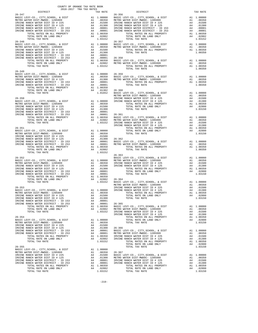| COUNTY OF ORANGE TAX RATE BOOK<br>$2016-2017\quad\text{TRA TAX RATES}\label{eq:2016-2017}$ DISTRICT |          |                        |          |
|-----------------------------------------------------------------------------------------------------|----------|------------------------|----------|
| $26 - 347$                                                                                          | TAX RATE | DISTRICT<br>$26 - 356$ | TAX RATE |
|                                                                                                     |          |                        |          |
|                                                                                                     |          |                        |          |
| $26 - 349$                                                                                          |          |                        |          |
|                                                                                                     |          |                        |          |
|                                                                                                     |          |                        |          |
|                                                                                                     |          |                        |          |
|                                                                                                     |          |                        |          |
|                                                                                                     |          |                        |          |
|                                                                                                     |          |                        |          |
|                                                                                                     |          |                        |          |
|                                                                                                     |          |                        |          |
|                                                                                                     |          |                        |          |
|                                                                                                     |          |                        |          |
|                                                                                                     |          |                        |          |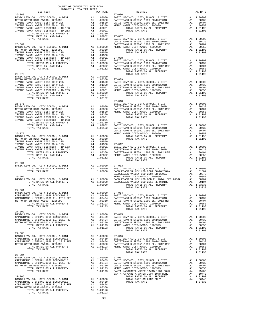| DISTRICT   | 2016-2017 TRA TAX RATES<br>TAX RATE | $\begin{array}{c}\n 27-006 \\  \text{p} \cdot \text{c}\n \end{array}$                                                                                                                                                                                                                                                                                                                              | TAX RATE |
|------------|-------------------------------------|----------------------------------------------------------------------------------------------------------------------------------------------------------------------------------------------------------------------------------------------------------------------------------------------------------------------------------------------------------------------------------------------------|----------|
| $26 - 368$ |                                     |                                                                                                                                                                                                                                                                                                                                                                                                    |          |
|            |                                     |                                                                                                                                                                                                                                                                                                                                                                                                    |          |
|            |                                     |                                                                                                                                                                                                                                                                                                                                                                                                    |          |
|            |                                     |                                                                                                                                                                                                                                                                                                                                                                                                    |          |
|            |                                     |                                                                                                                                                                                                                                                                                                                                                                                                    |          |
|            |                                     |                                                                                                                                                                                                                                                                                                                                                                                                    |          |
|            |                                     |                                                                                                                                                                                                                                                                                                                                                                                                    |          |
|            |                                     |                                                                                                                                                                                                                                                                                                                                                                                                    |          |
|            |                                     |                                                                                                                                                                                                                                                                                                                                                                                                    |          |
|            |                                     |                                                                                                                                                                                                                                                                                                                                                                                                    |          |
|            |                                     |                                                                                                                                                                                                                                                                                                                                                                                                    |          |
|            |                                     |                                                                                                                                                                                                                                                                                                                                                                                                    |          |
|            |                                     |                                                                                                                                                                                                                                                                                                                                                                                                    |          |
|            |                                     |                                                                                                                                                                                                                                                                                                                                                                                                    |          |
|            |                                     |                                                                                                                                                                                                                                                                                                                                                                                                    |          |
|            |                                     |                                                                                                                                                                                                                                                                                                                                                                                                    |          |
|            |                                     |                                                                                                                                                                                                                                                                                                                                                                                                    |          |
|            |                                     |                                                                                                                                                                                                                                                                                                                                                                                                    |          |
|            |                                     |                                                                                                                                                                                                                                                                                                                                                                                                    |          |
|            |                                     |                                                                                                                                                                                                                                                                                                                                                                                                    |          |
|            |                                     |                                                                                                                                                                                                                                                                                                                                                                                                    |          |
|            |                                     |                                                                                                                                                                                                                                                                                                                                                                                                    |          |
|            |                                     |                                                                                                                                                                                                                                                                                                                                                                                                    |          |
|            |                                     |                                                                                                                                                                                                                                                                                                                                                                                                    |          |
|            |                                     |                                                                                                                                                                                                                                                                                                                                                                                                    |          |
|            |                                     |                                                                                                                                                                                                                                                                                                                                                                                                    |          |
|            |                                     |                                                                                                                                                                                                                                                                                                                                                                                                    |          |
|            |                                     |                                                                                                                                                                                                                                                                                                                                                                                                    |          |
|            |                                     |                                                                                                                                                                                                                                                                                                                                                                                                    |          |
|            |                                     |                                                                                                                                                                                                                                                                                                                                                                                                    |          |
|            |                                     |                                                                                                                                                                                                                                                                                                                                                                                                    |          |
|            |                                     |                                                                                                                                                                                                                                                                                                                                                                                                    |          |
|            |                                     |                                                                                                                                                                                                                                                                                                                                                                                                    |          |
|            |                                     |                                                                                                                                                                                                                                                                                                                                                                                                    |          |
|            |                                     |                                                                                                                                                                                                                                                                                                                                                                                                    |          |
|            |                                     |                                                                                                                                                                                                                                                                                                                                                                                                    |          |
|            |                                     |                                                                                                                                                                                                                                                                                                                                                                                                    |          |
|            |                                     |                                                                                                                                                                                                                                                                                                                                                                                                    |          |
|            |                                     |                                                                                                                                                                                                                                                                                                                                                                                                    |          |
|            |                                     |                                                                                                                                                                                                                                                                                                                                                                                                    |          |
|            |                                     |                                                                                                                                                                                                                                                                                                                                                                                                    |          |
|            |                                     |                                                                                                                                                                                                                                                                                                                                                                                                    |          |
|            |                                     |                                                                                                                                                                                                                                                                                                                                                                                                    |          |
|            |                                     |                                                                                                                                                                                                                                                                                                                                                                                                    |          |
|            |                                     |                                                                                                                                                                                                                                                                                                                                                                                                    |          |
|            |                                     |                                                                                                                                                                                                                                                                                                                                                                                                    |          |
|            |                                     | $\begin{tabular}{lllllllllllllllllllllll} \textsc{26-901} & \textsc{RATES ON ALL PROPERTIES} & \textsc{A1} & 1.00000 & 27-013 & \textsc{36-901} & \textsc{56-902} & \textsc{707AL RATES ON ALL PROPERTIES} & \textsc{A1} & 1.00000 & \textsc{28-302} & \textsc{36-902} & \textsc{56-902} & \textsc{66-902} & \textsc{66-902} & \textsc{707AL RATES ON ALL PROPERTIES} & \textsc{A1} & 1.00000 & \$ |          |
|            |                                     |                                                                                                                                                                                                                                                                                                                                                                                                    |          |
|            |                                     |                                                                                                                                                                                                                                                                                                                                                                                                    |          |
|            |                                     |                                                                                                                                                                                                                                                                                                                                                                                                    |          |
|            |                                     |                                                                                                                                                                                                                                                                                                                                                                                                    |          |
|            |                                     |                                                                                                                                                                                                                                                                                                                                                                                                    |          |
|            |                                     |                                                                                                                                                                                                                                                                                                                                                                                                    | 1.01193  |
|            |                                     |                                                                                                                                                                                                                                                                                                                                                                                                    |          |
|            |                                     |                                                                                                                                                                                                                                                                                                                                                                                                    |          |
|            |                                     |                                                                                                                                                                                                                                                                                                                                                                                                    |          |
|            |                                     |                                                                                                                                                                                                                                                                                                                                                                                                    |          |
|            |                                     |                                                                                                                                                                                                                                                                                                                                                                                                    |          |
|            |                                     |                                                                                                                                                                                                                                                                                                                                                                                                    |          |
|            |                                     |                                                                                                                                                                                                                                                                                                                                                                                                    |          |
|            |                                     |                                                                                                                                                                                                                                                                                                                                                                                                    |          |
|            |                                     |                                                                                                                                                                                                                                                                                                                                                                                                    |          |
|            |                                     |                                                                                                                                                                                                                                                                                                                                                                                                    |          |
|            |                                     |                                                                                                                                                                                                                                                                                                                                                                                                    |          |
|            |                                     | TOTAL TAX RATE                                                                                                                                                                                                                                                                                                                                                                                     | 1.01193  |
| $27 - 004$ |                                     |                                                                                                                                                                                                                                                                                                                                                                                                    |          |
|            |                                     |                                                                                                                                                                                                                                                                                                                                                                                                    |          |
|            |                                     |                                                                                                                                                                                                                                                                                                                                                                                                    |          |
|            |                                     |                                                                                                                                                                                                                                                                                                                                                                                                    |          |
|            |                                     |                                                                                                                                                                                                                                                                                                                                                                                                    |          |
|            |                                     |                                                                                                                                                                                                                                                                                                                                                                                                    |          |
|            |                                     | $\begin{tabular}{@{}c@{\small\hbox{2-1--014}}\hline 27-004 & 27-017\\BASL (GeVY-CO, , CITY, SCHOOL, & DIST & A1 & 1.00000 & 27-017\\CAPISTRANO U SETDH1 1999 BOND#2001B & A1 & .00439 & BASIC LEVY-CO, , CITY, SCHOOL, & DIST & A1 & 1.00000\\CAPISTRING WATER DIST-RNO U SETDF1 1999 BCDN DFTO WATER DIST-RIMO U SETDF1 1999 BONDH2001B & A1 & .00439\\METRO WATER DIST-RNO$                      |          |
|            |                                     |                                                                                                                                                                                                                                                                                                                                                                                                    |          |
|            |                                     |                                                                                                                                                                                                                                                                                                                                                                                                    |          |
|            |                                     |                                                                                                                                                                                                                                                                                                                                                                                                    |          |
|            |                                     |                                                                                                                                                                                                                                                                                                                                                                                                    |          |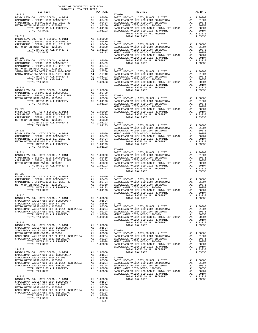| TAX RATE<br>DISTRICT |  | DISTRICT                                                                                                                                                                                                                                                                                                                                                                                                                                                                                                                                            | TAX RATE |
|----------------------|--|-----------------------------------------------------------------------------------------------------------------------------------------------------------------------------------------------------------------------------------------------------------------------------------------------------------------------------------------------------------------------------------------------------------------------------------------------------------------------------------------------------------------------------------------------------|----------|
| $27 - 018$           |  | $27 - 030$<br>$\begin{tabular}{@{}c@{\thinspace}c@{\thinspace}c@{\thinspace}c@{\thinspace}c@{\thinspace}c@{\thinspace}c@{\thinspace}c@{\thinspace}c@{\thinspace}c@{\thinspace}c@{\thinspace}c@{\thinspace}c@{\thinspace}c@{\thinspace}c@{\thinspace}c@{\thinspace}c@{\thinspace}c@{\thinspace}c@{\thinspace}c@{\thinspace}c@{\thinspace}c@{\thinspace}c@{\thinspace}c@{\thinspace}c@{\thinspace}c@{\thinspace}c@{\thinspace}c@{\thinspace}c@{\thinspace}c@{\thinspace}c@{\thinspace}c@{\thinspace}c@{\thinspace}c@{\thinspace}c@{\thinspace}c@$     |          |
|                      |  |                                                                                                                                                                                                                                                                                                                                                                                                                                                                                                                                                     |          |
|                      |  |                                                                                                                                                                                                                                                                                                                                                                                                                                                                                                                                                     |          |
|                      |  |                                                                                                                                                                                                                                                                                                                                                                                                                                                                                                                                                     |          |
|                      |  |                                                                                                                                                                                                                                                                                                                                                                                                                                                                                                                                                     |          |
|                      |  |                                                                                                                                                                                                                                                                                                                                                                                                                                                                                                                                                     |          |
|                      |  |                                                                                                                                                                                                                                                                                                                                                                                                                                                                                                                                                     |          |
|                      |  |                                                                                                                                                                                                                                                                                                                                                                                                                                                                                                                                                     |          |
|                      |  |                                                                                                                                                                                                                                                                                                                                                                                                                                                                                                                                                     |          |
|                      |  |                                                                                                                                                                                                                                                                                                                                                                                                                                                                                                                                                     |          |
|                      |  |                                                                                                                                                                                                                                                                                                                                                                                                                                                                                                                                                     |          |
|                      |  |                                                                                                                                                                                                                                                                                                                                                                                                                                                                                                                                                     |          |
|                      |  |                                                                                                                                                                                                                                                                                                                                                                                                                                                                                                                                                     |          |
|                      |  |                                                                                                                                                                                                                                                                                                                                                                                                                                                                                                                                                     |          |
|                      |  |                                                                                                                                                                                                                                                                                                                                                                                                                                                                                                                                                     |          |
|                      |  |                                                                                                                                                                                                                                                                                                                                                                                                                                                                                                                                                     |          |
|                      |  |                                                                                                                                                                                                                                                                                                                                                                                                                                                                                                                                                     |          |
|                      |  |                                                                                                                                                                                                                                                                                                                                                                                                                                                                                                                                                     |          |
|                      |  |                                                                                                                                                                                                                                                                                                                                                                                                                                                                                                                                                     |          |
| $27 - 025$           |  | $\begin{tabular}{@{}c@{\thinspace}c@{\thinspace}c@{\thinspace}c@{\thinspace}c@{\thinspace}c@{\thinspace}c@{\thinspace}c@{\thinspace}c@{\thinspace}c@{\thinspace}c@{\thinspace}c@{\thinspace}c@{\thinspace}c@{\thinspace}c@{\thinspace}c@{\thinspace}c@{\thinspace}c@{\thinspace}c@{\thinspace}c@{\thinspace}c@{\thinspace}c@{\thinspace}c@{\thinspace}c@{\thinspace}c@{\thinspace}c@{\thinspace}c@{\thinspace}c@{\thinspace}c@{\thinspace}c@{\thinspace}c@{\thinspace}c@{\thinspace}c@{\thinspace}c@{\thinspace}c@{\thinspace}c@$<br>TOTAL TAX RATE | 1.03038  |
|                      |  |                                                                                                                                                                                                                                                                                                                                                                                                                                                                                                                                                     |          |
|                      |  |                                                                                                                                                                                                                                                                                                                                                                                                                                                                                                                                                     |          |
|                      |  |                                                                                                                                                                                                                                                                                                                                                                                                                                                                                                                                                     |          |
|                      |  |                                                                                                                                                                                                                                                                                                                                                                                                                                                                                                                                                     |          |
|                      |  |                                                                                                                                                                                                                                                                                                                                                                                                                                                                                                                                                     |          |
|                      |  |                                                                                                                                                                                                                                                                                                                                                                                                                                                                                                                                                     |          |
|                      |  |                                                                                                                                                                                                                                                                                                                                                                                                                                                                                                                                                     |          |
|                      |  |                                                                                                                                                                                                                                                                                                                                                                                                                                                                                                                                                     |          |
|                      |  |                                                                                                                                                                                                                                                                                                                                                                                                                                                                                                                                                     |          |
|                      |  |                                                                                                                                                                                                                                                                                                                                                                                                                                                                                                                                                     |          |
|                      |  |                                                                                                                                                                                                                                                                                                                                                                                                                                                                                                                                                     |          |
|                      |  |                                                                                                                                                                                                                                                                                                                                                                                                                                                                                                                                                     |          |
|                      |  |                                                                                                                                                                                                                                                                                                                                                                                                                                                                                                                                                     |          |
|                      |  |                                                                                                                                                                                                                                                                                                                                                                                                                                                                                                                                                     |          |
|                      |  |                                                                                                                                                                                                                                                                                                                                                                                                                                                                                                                                                     |          |
|                      |  |                                                                                                                                                                                                                                                                                                                                                                                                                                                                                                                                                     |          |
|                      |  |                                                                                                                                                                                                                                                                                                                                                                                                                                                                                                                                                     |          |
|                      |  |                                                                                                                                                                                                                                                                                                                                                                                                                                                                                                                                                     |          |
|                      |  |                                                                                                                                                                                                                                                                                                                                                                                                                                                                                                                                                     |          |
|                      |  |                                                                                                                                                                                                                                                                                                                                                                                                                                                                                                                                                     |          |
|                      |  |                                                                                                                                                                                                                                                                                                                                                                                                                                                                                                                                                     |          |
|                      |  |                                                                                                                                                                                                                                                                                                                                                                                                                                                                                                                                                     |          |
|                      |  |                                                                                                                                                                                                                                                                                                                                                                                                                                                                                                                                                     |          |
|                      |  |                                                                                                                                                                                                                                                                                                                                                                                                                                                                                                                                                     |          |
|                      |  |                                                                                                                                                                                                                                                                                                                                                                                                                                                                                                                                                     |          |
|                      |  |                                                                                                                                                                                                                                                                                                                                                                                                                                                                                                                                                     |          |
|                      |  |                                                                                                                                                                                                                                                                                                                                                                                                                                                                                                                                                     |          |
|                      |  |                                                                                                                                                                                                                                                                                                                                                                                                                                                                                                                                                     |          |
|                      |  |                                                                                                                                                                                                                                                                                                                                                                                                                                                                                                                                                     |          |

COUNTY OF ORANGE TAX RATE BOOK 2016-2017 TRA TAX RATES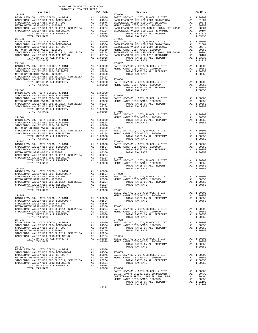| COUNTY OF ORANGE TAX RATE BOOK<br>2016-2017 TRA TAX RATES |          |                                                                                                                                                                                                                                                                                                                                                                                                                       |            |          |
|-----------------------------------------------------------|----------|-----------------------------------------------------------------------------------------------------------------------------------------------------------------------------------------------------------------------------------------------------------------------------------------------------------------------------------------------------------------------------------------------------------------------|------------|----------|
| 2016-2017 TRA TAX RATES<br>DISTRICT                       | TAX RATE | DISTRICT                                                                                                                                                                                                                                                                                                                                                                                                              |            | TAX RATE |
|                                                           |          | $27 - 050$                                                                                                                                                                                                                                                                                                                                                                                                            |            |          |
|                                                           |          |                                                                                                                                                                                                                                                                                                                                                                                                                       |            |          |
|                                                           |          |                                                                                                                                                                                                                                                                                                                                                                                                                       |            |          |
|                                                           |          |                                                                                                                                                                                                                                                                                                                                                                                                                       |            |          |
|                                                           |          |                                                                                                                                                                                                                                                                                                                                                                                                                       |            |          |
|                                                           |          |                                                                                                                                                                                                                                                                                                                                                                                                                       |            |          |
|                                                           |          |                                                                                                                                                                                                                                                                                                                                                                                                                       |            |          |
|                                                           |          |                                                                                                                                                                                                                                                                                                                                                                                                                       |            |          |
|                                                           |          |                                                                                                                                                                                                                                                                                                                                                                                                                       |            |          |
|                                                           |          |                                                                                                                                                                                                                                                                                                                                                                                                                       |            |          |
|                                                           |          |                                                                                                                                                                                                                                                                                                                                                                                                                       |            |          |
|                                                           |          |                                                                                                                                                                                                                                                                                                                                                                                                                       |            |          |
|                                                           |          |                                                                                                                                                                                                                                                                                                                                                                                                                       |            |          |
|                                                           |          |                                                                                                                                                                                                                                                                                                                                                                                                                       |            |          |
|                                                           |          |                                                                                                                                                                                                                                                                                                                                                                                                                       |            |          |
|                                                           |          |                                                                                                                                                                                                                                                                                                                                                                                                                       |            |          |
|                                                           |          |                                                                                                                                                                                                                                                                                                                                                                                                                       |            |          |
|                                                           |          |                                                                                                                                                                                                                                                                                                                                                                                                                       |            |          |
|                                                           |          |                                                                                                                                                                                                                                                                                                                                                                                                                       |            |          |
|                                                           |          |                                                                                                                                                                                                                                                                                                                                                                                                                       |            |          |
|                                                           |          |                                                                                                                                                                                                                                                                                                                                                                                                                       |            |          |
|                                                           |          |                                                                                                                                                                                                                                                                                                                                                                                                                       |            |          |
|                                                           |          |                                                                                                                                                                                                                                                                                                                                                                                                                       |            |          |
|                                                           |          |                                                                                                                                                                                                                                                                                                                                                                                                                       |            |          |
|                                                           |          |                                                                                                                                                                                                                                                                                                                                                                                                                       |            |          |
|                                                           |          |                                                                                                                                                                                                                                                                                                                                                                                                                       |            |          |
|                                                           |          |                                                                                                                                                                                                                                                                                                                                                                                                                       |            |          |
|                                                           |          |                                                                                                                                                                                                                                                                                                                                                                                                                       |            |          |
|                                                           |          |                                                                                                                                                                                                                                                                                                                                                                                                                       |            |          |
|                                                           |          |                                                                                                                                                                                                                                                                                                                                                                                                                       |            |          |
|                                                           |          |                                                                                                                                                                                                                                                                                                                                                                                                                       |            |          |
|                                                           |          |                                                                                                                                                                                                                                                                                                                                                                                                                       |            |          |
|                                                           |          |                                                                                                                                                                                                                                                                                                                                                                                                                       |            |          |
|                                                           |          |                                                                                                                                                                                                                                                                                                                                                                                                                       |            |          |
|                                                           |          |                                                                                                                                                                                                                                                                                                                                                                                                                       |            |          |
|                                                           |          |                                                                                                                                                                                                                                                                                                                                                                                                                       |            |          |
|                                                           |          |                                                                                                                                                                                                                                                                                                                                                                                                                       |            |          |
|                                                           |          |                                                                                                                                                                                                                                                                                                                                                                                                                       |            |          |
|                                                           |          |                                                                                                                                                                                                                                                                                                                                                                                                                       |            |          |
|                                                           |          |                                                                                                                                                                                                                                                                                                                                                                                                                       |            |          |
|                                                           |          |                                                                                                                                                                                                                                                                                                                                                                                                                       |            |          |
|                                                           |          |                                                                                                                                                                                                                                                                                                                                                                                                                       |            |          |
|                                                           |          |                                                                                                                                                                                                                                                                                                                                                                                                                       |            |          |
|                                                           |          |                                                                                                                                                                                                                                                                                                                                                                                                                       |            |          |
|                                                           |          |                                                                                                                                                                                                                                                                                                                                                                                                                       |            |          |
|                                                           |          |                                                                                                                                                                                                                                                                                                                                                                                                                       |            |          |
|                                                           |          |                                                                                                                                                                                                                                                                                                                                                                                                                       |            |          |
|                                                           |          |                                                                                                                                                                                                                                                                                                                                                                                                                       |            |          |
|                                                           |          |                                                                                                                                                                                                                                                                                                                                                                                                                       |            |          |
|                                                           |          |                                                                                                                                                                                                                                                                                                                                                                                                                       |            |          |
|                                                           |          |                                                                                                                                                                                                                                                                                                                                                                                                                       |            |          |
|                                                           |          |                                                                                                                                                                                                                                                                                                                                                                                                                       |            |          |
|                                                           |          |                                                                                                                                                                                                                                                                                                                                                                                                                       |            |          |
|                                                           |          |                                                                                                                                                                                                                                                                                                                                                                                                                       |            |          |
|                                                           |          |                                                                                                                                                                                                                                                                                                                                                                                                                       |            |          |
|                                                           |          |                                                                                                                                                                                                                                                                                                                                                                                                                       |            |          |
|                                                           |          | $\begin{tabular}{l c c c c c} \multicolumn{1}{c}{\textbf{AA1}} & 1.00350 & \multicolumn{1}{c}{\textbf{27--040}} & \multicolumn{1}{c}{\textbf{27--040}} & \multicolumn{1}{c}{\textbf{27--040}} & \multicolumn{1}{c}{\textbf{27--040}} & \multicolumn{1}{c}{\textbf{27--040}} & \multicolumn{1}{c}{\textbf{27--040}} & \multicolumn{1}{c}{\textbf{27--040}} & \multicolumn{1}{c}{\textbf{27--040}} & \multicolumn{1}{c$ |            |          |
|                                                           |          | BASIC LEVY-CO., CITY, SCHOOL, & DIST                                                                                                                                                                                                                                                                                                                                                                                  | A1 1.00000 |          |
|                                                           |          |                                                                                                                                                                                                                                                                                                                                                                                                                       |            |          |
|                                                           |          |                                                                                                                                                                                                                                                                                                                                                                                                                       |            |          |
|                                                           |          |                                                                                                                                                                                                                                                                                                                                                                                                                       |            |          |
|                                                           |          |                                                                                                                                                                                                                                                                                                                                                                                                                       |            |          |
|                                                           |          |                                                                                                                                                                                                                                                                                                                                                                                                                       |            |          |
|                                                           |          |                                                                                                                                                                                                                                                                                                                                                                                                                       |            |          |
|                                                           |          |                                                                                                                                                                                                                                                                                                                                                                                                                       |            |          |
|                                                           |          |                                                                                                                                                                                                                                                                                                                                                                                                                       |            |          |
|                                                           |          |                                                                                                                                                                                                                                                                                                                                                                                                                       |            |          |
|                                                           |          |                                                                                                                                                                                                                                                                                                                                                                                                                       |            |          |
|                                                           |          |                                                                                                                                                                                                                                                                                                                                                                                                                       |            |          |
|                                                           |          |                                                                                                                                                                                                                                                                                                                                                                                                                       |            |          |
|                                                           |          |                                                                                                                                                                                                                                                                                                                                                                                                                       |            |          |
|                                                           |          |                                                                                                                                                                                                                                                                                                                                                                                                                       |            |          |
|                                                           |          |                                                                                                                                                                                                                                                                                                                                                                                                                       |            |          |
|                                                           |          |                                                                                                                                                                                                                                                                                                                                                                                                                       |            |          |
|                                                           |          |                                                                                                                                                                                                                                                                                                                                                                                                                       |            |          |
|                                                           |          |                                                                                                                                                                                                                                                                                                                                                                                                                       |            |          |
|                                                           |          |                                                                                                                                                                                                                                                                                                                                                                                                                       |            |          |
|                                                           |          |                                                                                                                                                                                                                                                                                                                                                                                                                       |            |          |
|                                                           |          | $\begin{tabular}{l c c c c c c} \multicolumn{2}{c c c c} \multicolumn{2}{c c c} \multicolumn{2}{c c c} \multicolumn{2}{c c c} \multicolumn{2}{c c c} \multicolumn{2}{c c c} \multicolumn{2}{c c c} \multicolumn{2}{c c c} \multicolumn{2}{c c c} \multicolumn{2}{c c c} \multicolumn{2}{c c c} \multicolumn{2}{c c c} \multicolumn{2}{c c c} \multicolumn{2}{c c c} \multicolumn{2}{c c c} \multic$                   |            |          |
|                                                           |          |                                                                                                                                                                                                                                                                                                                                                                                                                       |            |          |
|                                                           |          |                                                                                                                                                                                                                                                                                                                                                                                                                       |            |          |
|                                                           |          |                                                                                                                                                                                                                                                                                                                                                                                                                       |            |          |
|                                                           |          |                                                                                                                                                                                                                                                                                                                                                                                                                       |            |          |
|                                                           |          |                                                                                                                                                                                                                                                                                                                                                                                                                       |            |          |
|                                                           |          |                                                                                                                                                                                                                                                                                                                                                                                                                       |            |          |
|                                                           |          |                                                                                                                                                                                                                                                                                                                                                                                                                       |            |          |
|                                                           |          |                                                                                                                                                                                                                                                                                                                                                                                                                       |            |          |
|                                                           |          | TOTAL TAX RATE                                                                                                                                                                                                                                                                                                                                                                                                        | 1.01193    |          |

-222-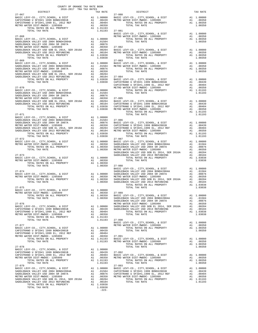| $$\tt 2.5$$ $$\tt 2016-2017$$ TRA TAX RATES DISTRICT                                                                                                  |         |                                                                                                                                                                                                                                                                                                                                                                                                                                                                                                             |          |
|-------------------------------------------------------------------------------------------------------------------------------------------------------|---------|-------------------------------------------------------------------------------------------------------------------------------------------------------------------------------------------------------------------------------------------------------------------------------------------------------------------------------------------------------------------------------------------------------------------------------------------------------------------------------------------------------------|----------|
|                                                                                                                                                       |         | TRA TAX RATES<br>TAX RATE 27-080 DISTRICT                                                                                                                                                                                                                                                                                                                                                                                                                                                                   | TAX RATE |
| $27 - 067$                                                                                                                                            |         |                                                                                                                                                                                                                                                                                                                                                                                                                                                                                                             |          |
|                                                                                                                                                       |         |                                                                                                                                                                                                                                                                                                                                                                                                                                                                                                             |          |
|                                                                                                                                                       |         |                                                                                                                                                                                                                                                                                                                                                                                                                                                                                                             |          |
|                                                                                                                                                       |         |                                                                                                                                                                                                                                                                                                                                                                                                                                                                                                             |          |
|                                                                                                                                                       |         |                                                                                                                                                                                                                                                                                                                                                                                                                                                                                                             |          |
|                                                                                                                                                       |         |                                                                                                                                                                                                                                                                                                                                                                                                                                                                                                             |          |
|                                                                                                                                                       |         |                                                                                                                                                                                                                                                                                                                                                                                                                                                                                                             |          |
|                                                                                                                                                       |         |                                                                                                                                                                                                                                                                                                                                                                                                                                                                                                             |          |
|                                                                                                                                                       |         |                                                                                                                                                                                                                                                                                                                                                                                                                                                                                                             |          |
|                                                                                                                                                       |         |                                                                                                                                                                                                                                                                                                                                                                                                                                                                                                             |          |
|                                                                                                                                                       |         |                                                                                                                                                                                                                                                                                                                                                                                                                                                                                                             |          |
|                                                                                                                                                       |         |                                                                                                                                                                                                                                                                                                                                                                                                                                                                                                             |          |
|                                                                                                                                                       |         |                                                                                                                                                                                                                                                                                                                                                                                                                                                                                                             |          |
|                                                                                                                                                       |         |                                                                                                                                                                                                                                                                                                                                                                                                                                                                                                             |          |
|                                                                                                                                                       |         |                                                                                                                                                                                                                                                                                                                                                                                                                                                                                                             |          |
|                                                                                                                                                       |         |                                                                                                                                                                                                                                                                                                                                                                                                                                                                                                             |          |
|                                                                                                                                                       |         |                                                                                                                                                                                                                                                                                                                                                                                                                                                                                                             |          |
|                                                                                                                                                       |         |                                                                                                                                                                                                                                                                                                                                                                                                                                                                                                             |          |
|                                                                                                                                                       |         |                                                                                                                                                                                                                                                                                                                                                                                                                                                                                                             |          |
|                                                                                                                                                       |         |                                                                                                                                                                                                                                                                                                                                                                                                                                                                                                             |          |
|                                                                                                                                                       |         |                                                                                                                                                                                                                                                                                                                                                                                                                                                                                                             |          |
|                                                                                                                                                       |         |                                                                                                                                                                                                                                                                                                                                                                                                                                                                                                             |          |
|                                                                                                                                                       |         |                                                                                                                                                                                                                                                                                                                                                                                                                                                                                                             |          |
|                                                                                                                                                       |         |                                                                                                                                                                                                                                                                                                                                                                                                                                                                                                             |          |
|                                                                                                                                                       |         |                                                                                                                                                                                                                                                                                                                                                                                                                                                                                                             |          |
|                                                                                                                                                       |         |                                                                                                                                                                                                                                                                                                                                                                                                                                                                                                             |          |
|                                                                                                                                                       |         |                                                                                                                                                                                                                                                                                                                                                                                                                                                                                                             |          |
|                                                                                                                                                       |         |                                                                                                                                                                                                                                                                                                                                                                                                                                                                                                             |          |
|                                                                                                                                                       |         |                                                                                                                                                                                                                                                                                                                                                                                                                                                                                                             |          |
|                                                                                                                                                       |         |                                                                                                                                                                                                                                                                                                                                                                                                                                                                                                             |          |
|                                                                                                                                                       |         |                                                                                                                                                                                                                                                                                                                                                                                                                                                                                                             |          |
|                                                                                                                                                       |         |                                                                                                                                                                                                                                                                                                                                                                                                                                                                                                             |          |
|                                                                                                                                                       |         |                                                                                                                                                                                                                                                                                                                                                                                                                                                                                                             |          |
|                                                                                                                                                       |         |                                                                                                                                                                                                                                                                                                                                                                                                                                                                                                             |          |
|                                                                                                                                                       |         |                                                                                                                                                                                                                                                                                                                                                                                                                                                                                                             |          |
|                                                                                                                                                       |         |                                                                                                                                                                                                                                                                                                                                                                                                                                                                                                             |          |
|                                                                                                                                                       |         |                                                                                                                                                                                                                                                                                                                                                                                                                                                                                                             |          |
|                                                                                                                                                       |         |                                                                                                                                                                                                                                                                                                                                                                                                                                                                                                             |          |
|                                                                                                                                                       |         |                                                                                                                                                                                                                                                                                                                                                                                                                                                                                                             |          |
|                                                                                                                                                       |         |                                                                                                                                                                                                                                                                                                                                                                                                                                                                                                             |          |
|                                                                                                                                                       |         |                                                                                                                                                                                                                                                                                                                                                                                                                                                                                                             |          |
|                                                                                                                                                       |         |                                                                                                                                                                                                                                                                                                                                                                                                                                                                                                             |          |
|                                                                                                                                                       |         |                                                                                                                                                                                                                                                                                                                                                                                                                                                                                                             |          |
| $27 - 075$                                                                                                                                            |         | TOTAL TAX RATE                                                                                                                                                                                                                                                                                                                                                                                                                                                                                              | 1.03038  |
| BASIC LEVY-CO., CITY, SCHOOL, & DIST $\begin{array}{ccc} \text{A1} & 1.00000 \\ \text{METRO} & \text{MATER} & \text{DITST} & \text{MIST} \end{array}$ |         |                                                                                                                                                                                                                                                                                                                                                                                                                                                                                                             |          |
|                                                                                                                                                       |         |                                                                                                                                                                                                                                                                                                                                                                                                                                                                                                             |          |
|                                                                                                                                                       |         |                                                                                                                                                                                                                                                                                                                                                                                                                                                                                                             |          |
|                                                                                                                                                       |         |                                                                                                                                                                                                                                                                                                                                                                                                                                                                                                             |          |
|                                                                                                                                                       |         |                                                                                                                                                                                                                                                                                                                                                                                                                                                                                                             |          |
|                                                                                                                                                       |         |                                                                                                                                                                                                                                                                                                                                                                                                                                                                                                             |          |
|                                                                                                                                                       |         |                                                                                                                                                                                                                                                                                                                                                                                                                                                                                                             |          |
|                                                                                                                                                       |         |                                                                                                                                                                                                                                                                                                                                                                                                                                                                                                             |          |
|                                                                                                                                                       |         |                                                                                                                                                                                                                                                                                                                                                                                                                                                                                                             |          |
|                                                                                                                                                       |         |                                                                                                                                                                                                                                                                                                                                                                                                                                                                                                             |          |
|                                                                                                                                                       |         |                                                                                                                                                                                                                                                                                                                                                                                                                                                                                                             |          |
|                                                                                                                                                       |         |                                                                                                                                                                                                                                                                                                                                                                                                                                                                                                             |          |
|                                                                                                                                                       |         | $\begin{tabular}{lllllllllllllllllllllll} \multicolumn{4}{c }{\begin{tabular}{l} \multicolumn{4}{c}{\begin{tabular}{l} \multicolumn{4}{c}{\begin{tabular}{l} \multicolumn{4}{c}{\begin{tabular}{l} \multicolumn{4}{c}{\begin{tabular}{l} \multicolumn{4}{c}{\begin{tabular}{l} \multicolumn{4}{c}{\begin{tabular}{c} \multicolumn{4}{c}{\begin{tabular}{c} \multicolumn{4}{c}{\begin{tabular}{c} \multicolumn{4}{c}{\begin{tabular}{c} \multicolumn{4}{c}{\begin{tabular}{c} \multicolumn{4}{c}{\begin{tab$ |          |
|                                                                                                                                                       |         |                                                                                                                                                                                                                                                                                                                                                                                                                                                                                                             |          |
|                                                                                                                                                       |         |                                                                                                                                                                                                                                                                                                                                                                                                                                                                                                             |          |
|                                                                                                                                                       |         |                                                                                                                                                                                                                                                                                                                                                                                                                                                                                                             |          |
|                                                                                                                                                       |         |                                                                                                                                                                                                                                                                                                                                                                                                                                                                                                             |          |
|                                                                                                                                                       |         |                                                                                                                                                                                                                                                                                                                                                                                                                                                                                                             |          |
| $27 - 079$                                                                                                                                            |         | $27 - 093$                                                                                                                                                                                                                                                                                                                                                                                                                                                                                                  |          |
|                                                                                                                                                       |         |                                                                                                                                                                                                                                                                                                                                                                                                                                                                                                             |          |
|                                                                                                                                                       |         |                                                                                                                                                                                                                                                                                                                                                                                                                                                                                                             |          |
|                                                                                                                                                       |         |                                                                                                                                                                                                                                                                                                                                                                                                                                                                                                             |          |
|                                                                                                                                                       |         |                                                                                                                                                                                                                                                                                                                                                                                                                                                                                                             |          |
|                                                                                                                                                       |         |                                                                                                                                                                                                                                                                                                                                                                                                                                                                                                             |          |
| TOTAL TAX RATE                                                                                                                                        | 1.03038 |                                                                                                                                                                                                                                                                                                                                                                                                                                                                                                             |          |
|                                                                                                                                                       | $-223-$ |                                                                                                                                                                                                                                                                                                                                                                                                                                                                                                             |          |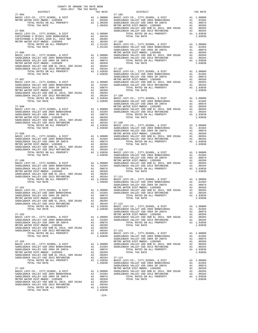| COUNTY OF ORANGE TAX RATE BOOK<br>2016-2017 TRA TAX RATES<br>$2016-2017\begin{array}{lcl} & \text{SUSY} & \text{IAX RATE} \\ \text{RATESTRICT} & \text{RATESTR} & \text{RATES} \end{array}$ |          |          |          |
|---------------------------------------------------------------------------------------------------------------------------------------------------------------------------------------------|----------|----------|----------|
|                                                                                                                                                                                             | TAX RATE | DISTRICT | TAX RATE |
|                                                                                                                                                                                             |          |          |          |
|                                                                                                                                                                                             |          |          |          |
|                                                                                                                                                                                             |          |          |          |
|                                                                                                                                                                                             |          |          |          |
|                                                                                                                                                                                             |          |          |          |
|                                                                                                                                                                                             |          |          |          |
|                                                                                                                                                                                             |          |          |          |
|                                                                                                                                                                                             |          |          |          |
|                                                                                                                                                                                             |          |          |          |
|                                                                                                                                                                                             |          |          |          |
|                                                                                                                                                                                             |          |          |          |
|                                                                                                                                                                                             |          |          |          |
|                                                                                                                                                                                             |          |          |          |
|                                                                                                                                                                                             |          |          |          |
|                                                                                                                                                                                             |          |          |          |
|                                                                                                                                                                                             |          |          |          |
|                                                                                                                                                                                             |          |          |          |
|                                                                                                                                                                                             |          |          |          |
|                                                                                                                                                                                             |          |          |          |
|                                                                                                                                                                                             |          |          |          |
|                                                                                                                                                                                             |          |          |          |
|                                                                                                                                                                                             |          |          |          |
|                                                                                                                                                                                             |          |          |          |
|                                                                                                                                                                                             |          |          |          |
|                                                                                                                                                                                             |          |          |          |
|                                                                                                                                                                                             |          |          |          |
|                                                                                                                                                                                             |          |          |          |
|                                                                                                                                                                                             |          |          |          |
|                                                                                                                                                                                             |          |          |          |
|                                                                                                                                                                                             |          |          |          |
|                                                                                                                                                                                             |          |          |          |
|                                                                                                                                                                                             |          |          |          |
|                                                                                                                                                                                             |          |          |          |
|                                                                                                                                                                                             |          |          |          |
|                                                                                                                                                                                             |          |          |          |
|                                                                                                                                                                                             |          |          |          |
|                                                                                                                                                                                             |          |          |          |
|                                                                                                                                                                                             |          |          |          |
|                                                                                                                                                                                             |          |          |          |
|                                                                                                                                                                                             |          |          |          |
|                                                                                                                                                                                             |          |          |          |
|                                                                                                                                                                                             |          |          |          |
|                                                                                                                                                                                             |          |          |          |
|                                                                                                                                                                                             |          |          |          |
|                                                                                                                                                                                             |          |          |          |
|                                                                                                                                                                                             |          |          |          |
|                                                                                                                                                                                             |          |          |          |
|                                                                                                                                                                                             |          |          |          |
|                                                                                                                                                                                             |          |          |          |
|                                                                                                                                                                                             |          |          |          |
|                                                                                                                                                                                             |          |          |          |
|                                                                                                                                                                                             |          |          |          |
|                                                                                                                                                                                             |          |          |          |
|                                                                                                                                                                                             |          |          |          |
|                                                                                                                                                                                             |          |          |          |
|                                                                                                                                                                                             |          |          |          |
|                                                                                                                                                                                             |          |          |          |
|                                                                                                                                                                                             |          |          |          |
|                                                                                                                                                                                             |          |          |          |
|                                                                                                                                                                                             |          |          |          |
|                                                                                                                                                                                             |          |          |          |
|                                                                                                                                                                                             |          |          |          |
|                                                                                                                                                                                             |          |          |          |
|                                                                                                                                                                                             |          |          |          |
|                                                                                                                                                                                             |          |          |          |
|                                                                                                                                                                                             |          |          |          |
|                                                                                                                                                                                             |          |          |          |
|                                                                                                                                                                                             |          |          |          |
|                                                                                                                                                                                             |          |          |          |
|                                                                                                                                                                                             |          |          |          |
|                                                                                                                                                                                             |          |          |          |
|                                                                                                                                                                                             |          |          |          |
|                                                                                                                                                                                             |          |          |          |
|                                                                                                                                                                                             |          |          |          |
|                                                                                                                                                                                             |          |          |          |

-224-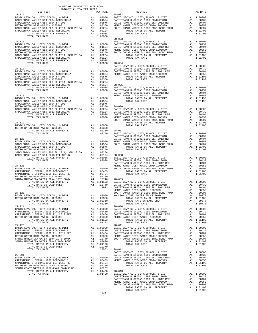| COUNTY OF ORANGE TAX RATE BOOK<br>2016-2017 TRA TAX RATES                                                                                                                                                                                                                                                                                                                                                                |          |                        |          |
|--------------------------------------------------------------------------------------------------------------------------------------------------------------------------------------------------------------------------------------------------------------------------------------------------------------------------------------------------------------------------------------------------------------------------|----------|------------------------|----------|
| $27 - 115$                                                                                                                                                                                                                                                                                                                                                                                                               | TAX RATE | DISTRICT<br>$28 - 002$ | TAX RATE |
|                                                                                                                                                                                                                                                                                                                                                                                                                          |          |                        |          |
|                                                                                                                                                                                                                                                                                                                                                                                                                          |          |                        |          |
|                                                                                                                                                                                                                                                                                                                                                                                                                          |          |                        |          |
|                                                                                                                                                                                                                                                                                                                                                                                                                          |          |                        |          |
|                                                                                                                                                                                                                                                                                                                                                                                                                          |          |                        |          |
|                                                                                                                                                                                                                                                                                                                                                                                                                          |          |                        |          |
| $\begin{tabular}{l c c c c c} \multicolumn{2}{c}{27.116} & 28-003 & \multicolumn{2}{c}{\textbf{BASE }} \textbf{LEVY-CO.}, \textbf{CITY}, \textbf{SCHOOL}, \textbf{ & \textbf{DIST}} & \textbf{A1} & 1.00000 \\ \textbf{BASE } \textbf{LEVY-CO.}, \textbf{CITY}, \textbf{SCHOOL}, \textbf{ & \textbf{DIST}} & \textbf{A1} & 1.00000 \\ \textbf{SADDEBACK } \textbf{VALEY } \textbf{USD } 2004 & \textbf{BONDH} 2004A & \$ |          |                        |          |
|                                                                                                                                                                                                                                                                                                                                                                                                                          |          |                        |          |
|                                                                                                                                                                                                                                                                                                                                                                                                                          |          |                        |          |
|                                                                                                                                                                                                                                                                                                                                                                                                                          |          |                        |          |
|                                                                                                                                                                                                                                                                                                                                                                                                                          |          |                        |          |
|                                                                                                                                                                                                                                                                                                                                                                                                                          |          |                        |          |
|                                                                                                                                                                                                                                                                                                                                                                                                                          |          |                        |          |
|                                                                                                                                                                                                                                                                                                                                                                                                                          |          |                        |          |
|                                                                                                                                                                                                                                                                                                                                                                                                                          |          |                        |          |
|                                                                                                                                                                                                                                                                                                                                                                                                                          |          |                        |          |
|                                                                                                                                                                                                                                                                                                                                                                                                                          |          |                        |          |
|                                                                                                                                                                                                                                                                                                                                                                                                                          |          |                        |          |
|                                                                                                                                                                                                                                                                                                                                                                                                                          |          |                        |          |
|                                                                                                                                                                                                                                                                                                                                                                                                                          |          |                        |          |
|                                                                                                                                                                                                                                                                                                                                                                                                                          |          |                        |          |
|                                                                                                                                                                                                                                                                                                                                                                                                                          |          |                        |          |
|                                                                                                                                                                                                                                                                                                                                                                                                                          |          |                        |          |
|                                                                                                                                                                                                                                                                                                                                                                                                                          |          |                        |          |
|                                                                                                                                                                                                                                                                                                                                                                                                                          |          |                        |          |
|                                                                                                                                                                                                                                                                                                                                                                                                                          |          |                        |          |
|                                                                                                                                                                                                                                                                                                                                                                                                                          |          |                        |          |
|                                                                                                                                                                                                                                                                                                                                                                                                                          |          |                        |          |
|                                                                                                                                                                                                                                                                                                                                                                                                                          |          |                        |          |
|                                                                                                                                                                                                                                                                                                                                                                                                                          |          |                        |          |
| $\begin{tabular}{l cccc} \textbf{METRO} & \textbf{METRO} & \textbf{27-140} & \textbf{1.00000} & \textbf{1.00000} & \textbf{28-007} & \textbf{28-000} & \textbf{28-007} & \textbf{28-000} & \textbf{28-000} & \textbf{28-000} & \textbf{28-000} & \textbf{28-000} & \textbf{28-000} & \textbf{28-000} & \textbf{28-000} & \textbf{28-000} & \textbf{28-000$                                                               |          |                        |          |
|                                                                                                                                                                                                                                                                                                                                                                                                                          |          |                        |          |
|                                                                                                                                                                                                                                                                                                                                                                                                                          |          |                        |          |
|                                                                                                                                                                                                                                                                                                                                                                                                                          |          |                        |          |
|                                                                                                                                                                                                                                                                                                                                                                                                                          |          |                        |          |
|                                                                                                                                                                                                                                                                                                                                                                                                                          |          |                        |          |
|                                                                                                                                                                                                                                                                                                                                                                                                                          |          |                        |          |
|                                                                                                                                                                                                                                                                                                                                                                                                                          |          |                        |          |
|                                                                                                                                                                                                                                                                                                                                                                                                                          |          |                        |          |
|                                                                                                                                                                                                                                                                                                                                                                                                                          |          |                        |          |
|                                                                                                                                                                                                                                                                                                                                                                                                                          |          |                        |          |
|                                                                                                                                                                                                                                                                                                                                                                                                                          |          |                        |          |
|                                                                                                                                                                                                                                                                                                                                                                                                                          |          |                        |          |
|                                                                                                                                                                                                                                                                                                                                                                                                                          |          |                        |          |
|                                                                                                                                                                                                                                                                                                                                                                                                                          |          |                        |          |
|                                                                                                                                                                                                                                                                                                                                                                                                                          |          |                        |          |
|                                                                                                                                                                                                                                                                                                                                                                                                                          |          |                        |          |
|                                                                                                                                                                                                                                                                                                                                                                                                                          |          |                        |          |
|                                                                                                                                                                                                                                                                                                                                                                                                                          |          |                        |          |
| $\begin{tabular}{l c c c c c c c c} \hline \texttt{BASTC LEVY-CO.}, & \texttt{CTTY}, \texttt{SCHODL}, & \texttt{A DIST} & \texttt{A1} & 1.00000 & \texttt{MOLITON NIGUEL WATER ID} & \texttt{H7ED} & \texttt{BND} & \texttt{A1} & .00377 \\ \hline \texttt{METRO WATER DIST-MMDOC-1205999} & \texttt{A1} & .00350 & \texttt{TOTAL RATES ON ALL PROPERTIES} & \texttt{A1} & 1.01400 \\ \texttt{TOTL MATER DIST$           |          |                        |          |
|                                                                                                                                                                                                                                                                                                                                                                                                                          |          |                        |          |
|                                                                                                                                                                                                                                                                                                                                                                                                                          |          |                        |          |
|                                                                                                                                                                                                                                                                                                                                                                                                                          |          |                        |          |
|                                                                                                                                                                                                                                                                                                                                                                                                                          |          |                        |          |
|                                                                                                                                                                                                                                                                                                                                                                                                                          |          |                        |          |
|                                                                                                                                                                                                                                                                                                                                                                                                                          |          |                        |          |
|                                                                                                                                                                                                                                                                                                                                                                                                                          |          |                        |          |
|                                                                                                                                                                                                                                                                                                                                                                                                                          |          |                        |          |
|                                                                                                                                                                                                                                                                                                                                                                                                                          |          |                        |          |
|                                                                                                                                                                                                                                                                                                                                                                                                                          |          |                        |          |
|                                                                                                                                                                                                                                                                                                                                                                                                                          |          |                        |          |
|                                                                                                                                                                                                                                                                                                                                                                                                                          |          |                        |          |
|                                                                                                                                                                                                                                                                                                                                                                                                                          |          |                        |          |
|                                                                                                                                                                                                                                                                                                                                                                                                                          |          |                        |          |
|                                                                                                                                                                                                                                                                                                                                                                                                                          |          |                        |          |
|                                                                                                                                                                                                                                                                                                                                                                                                                          |          |                        |          |
|                                                                                                                                                                                                                                                                                                                                                                                                                          |          |                        |          |
|                                                                                                                                                                                                                                                                                                                                                                                                                          |          |                        |          |
|                                                                                                                                                                                                                                                                                                                                                                                                                          |          |                        |          |
|                                                                                                                                                                                                                                                                                                                                                                                                                          |          |                        |          |
|                                                                                                                                                                                                                                                                                                                                                                                                                          |          |                        |          |
| $\begin{tabular}{@{}c@{\hspace{0.2cm}}c@{\hspace{0.2cm}}c@{\hspace{0.2cm}}c@{\hspace{0.2cm}}c@{\hspace{0.2cm}}c@{\hspace{0.2cm}}c@{\hspace{0.2cm}}c@{\hspace{0.2cm}}c@{\hspace{0.2cm}}c@{\hspace{0.2cm}}c@{\hspace{0.2cm}}c@{\hspace{0.2cm}}c@{\hspace{0.2cm}}c@{\hspace{0.2cm}}c@{\hspace{0.2cm}}c@{\hspace{0.2cm}}c@{\hspace{0.2cm}}c@{\hspace{0.2cm}}c@{\hspace{0.2cm}}c@{\$                                          |          |                        |          |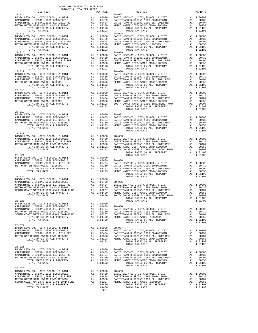| COUNTY OF ORANGE TAX RATE BOOK<br>2016-2017 TRA TAX RATES                                                                                                                                                                                                                 |                                                                                                                |                 |
|---------------------------------------------------------------------------------------------------------------------------------------------------------------------------------------------------------------------------------------------------------------------------|----------------------------------------------------------------------------------------------------------------|-----------------|
| DISTRICT<br>$28 - 014$                                                                                                                                                                                                                                                    | TAX RATE                                                                                                       | $28 - 027$      |
|                                                                                                                                                                                                                                                                           |                                                                                                                |                 |
|                                                                                                                                                                                                                                                                           |                                                                                                                |                 |
|                                                                                                                                                                                                                                                                           |                                                                                                                |                 |
|                                                                                                                                                                                                                                                                           |                                                                                                                |                 |
| TOTAL TAX RATE<br>$28 - 015$                                                                                                                                                                                                                                              | 1.01193                                                                                                        | $28 - 028$      |
|                                                                                                                                                                                                                                                                           |                                                                                                                |                 |
|                                                                                                                                                                                                                                                                           |                                                                                                                |                 |
|                                                                                                                                                                                                                                                                           |                                                                                                                |                 |
|                                                                                                                                                                                                                                                                           |                                                                                                                |                 |
| TOTAL TAX RATE                                                                                                                                                                                                                                                            | 1.01193                                                                                                        |                 |
| $28 - 016$                                                                                                                                                                                                                                                                |                                                                                                                | $28 - 029$      |
|                                                                                                                                                                                                                                                                           |                                                                                                                |                 |
|                                                                                                                                                                                                                                                                           |                                                                                                                |                 |
|                                                                                                                                                                                                                                                                           |                                                                                                                |                 |
|                                                                                                                                                                                                                                                                           |                                                                                                                |                 |
| $28 - 017$                                                                                                                                                                                                                                                                |                                                                                                                | $28 - 030$      |
|                                                                                                                                                                                                                                                                           |                                                                                                                |                 |
|                                                                                                                                                                                                                                                                           |                                                                                                                |                 |
|                                                                                                                                                                                                                                                                           |                                                                                                                |                 |
| TOTAL TAX RATE                                                                                                                                                                                                                                                            | 1.01193                                                                                                        |                 |
| $28 - 018$                                                                                                                                                                                                                                                                |                                                                                                                | $28 - 031$      |
|                                                                                                                                                                                                                                                                           |                                                                                                                |                 |
|                                                                                                                                                                                                                                                                           |                                                                                                                |                 |
|                                                                                                                                                                                                                                                                           |                                                                                                                |                 |
|                                                                                                                                                                                                                                                                           |                                                                                                                |                 |
| TOTAL TAX RATE                                                                                                                                                                                                                                                            | 1.01193                                                                                                        |                 |
| $28 - 019$                                                                                                                                                                                                                                                                |                                                                                                                |                 |
|                                                                                                                                                                                                                                                                           |                                                                                                                |                 |
|                                                                                                                                                                                                                                                                           |                                                                                                                |                 |
|                                                                                                                                                                                                                                                                           |                                                                                                                |                 |
|                                                                                                                                                                                                                                                                           |                                                                                                                |                 |
| TOTAL TAX RATE                                                                                                                                                                                                                                                            | 1.01193                                                                                                        |                 |
| $28 - 020$                                                                                                                                                                                                                                                                |                                                                                                                |                 |
|                                                                                                                                                                                                                                                                           |                                                                                                                |                 |
|                                                                                                                                                                                                                                                                           |                                                                                                                |                 |
|                                                                                                                                                                                                                                                                           |                                                                                                                |                 |
|                                                                                                                                                                                                                                                                           |                                                                                                                |                 |
|                                                                                                                                                                                                                                                                           |                                                                                                                |                 |
| $28 - 021$                                                                                                                                                                                                                                                                |                                                                                                                |                 |
|                                                                                                                                                                                                                                                                           | A1 1.00000<br>A1 .00439                                                                                        |                 |
|                                                                                                                                                                                                                                                                           |                                                                                                                |                 |
|                                                                                                                                                                                                                                                                           |                                                                                                                |                 |
| BASIC LEVY-CO., CITY, SCHOOL, & DIST<br>CAPISTRANO U SFID#1 1999 BOND#2001B<br>CAPISTRANO U SFID#1,1999 EL, 2012 REF<br>METRO WATER DIST-MWDOC- 1205999<br>TOTAL RATES ON ALL PROPERTY                                                                                    | A1 .00000<br>A1 .00439 28-034<br>A1 .00439 28-034<br>A1 .00350 CAPISTR<br>A1 1.01193 CAPISTR<br>1.01193 METROW |                 |
| TOTAL TAX RATE                                                                                                                                                                                                                                                            |                                                                                                                |                 |
| $28 - 022$                                                                                                                                                                                                                                                                |                                                                                                                |                 |
|                                                                                                                                                                                                                                                                           |                                                                                                                |                 |
|                                                                                                                                                                                                                                                                           |                                                                                                                |                 |
| BASIC LEVY-CO., CITY, SCHOOL, & DIST<br>CAPISTRANO U SFID#1 1999 BOND#2001B<br>CAPISTRANO U SFID#1,1999 EL, 2012 REF<br>METRO WATER DIST-MWDOC CMWD-1205999                                                                                                               |                                                                                                                |                 |
|                                                                                                                                                                                                                                                                           |                                                                                                                |                 |
|                                                                                                                                                                                                                                                                           |                                                                                                                |                 |
| TOTAL TAX RATE                                                                                                                                                                                                                                                            |                                                                                                                | 1.01400 SOUTH C |
| $28 - 023$                                                                                                                                                                                                                                                                |                                                                                                                |                 |
|                                                                                                                                                                                                                                                                           | A1 1.00000                                                                                                     |                 |
|                                                                                                                                                                                                                                                                           |                                                                                                                |                 |
|                                                                                                                                                                                                                                                                           |                                                                                                                |                 |
|                                                                                                                                                                                                                                                                           |                                                                                                                |                 |
| TOTAL TAX RATE                                                                                                                                                                                                                                                            | 1.01400                                                                                                        |                 |
|                                                                                                                                                                                                                                                                           |                                                                                                                |                 |
| $28 - 024$                                                                                                                                                                                                                                                                |                                                                                                                |                 |
| BASIC LEVY-CO., CITY, SCHOOL, & DIST<br>BASIC LEVY-CO., CITY, SCHOOL, & DIST<br>CAPISTRANO U SFID#1 1999 BOND#2001B<br>CAPISTRANO U SFID#1, 1999 EL, 2012 REF<br>PERSION U SFID#1, 1999 EL, 2012 REF                                                                      |                                                                                                                |                 |
|                                                                                                                                                                                                                                                                           |                                                                                                                |                 |
| METRO WATER DIST-MWDOC CMWD-1205999                                                                                                                                                                                                                                       |                                                                                                                |                 |
| TOTAL RATES ON ALL PROPERTY                                                                                                                                                                                                                                               | A1 1.00000 28-037<br>A1 .00439 BASIC L<br>A1 .00404 CAPISTR<br>A1 .00350 CAPISTR<br>A1 1.01193 METROW          |                 |
| TOTAL TAX RATE                                                                                                                                                                                                                                                            | 1.01193                                                                                                        |                 |
| $28 - 025$                                                                                                                                                                                                                                                                |                                                                                                                |                 |
| BASIC LEVY-CO., CITY, SCHOOL, & DIST<br>BASIC LEVY-CO., CITY, SCHOOL, & DIST<br>CAPISTRANO U SFID#1 1999 BOND#2001B<br>CAPISTRANO U SFID#1,1999 BL, 2012 REF<br>METRO WATER DIST-MWDOC CMWD-1205999<br>METRO WATER DIST-MWDOC CMWD-1205999<br>TOTAL RATES ON ALL PROPERTY | A1 1.00000 28-038                                                                                              |                 |
|                                                                                                                                                                                                                                                                           | A1.00439                                                                                                       | BASIC L         |
|                                                                                                                                                                                                                                                                           | A1 .00404 CAPISTR<br>A1 .00350 CAPISTR<br>A1 1.01193 METROW                                                    |                 |
| TOTAL RATES ON ALL PROPERTY                                                                                                                                                                                                                                               |                                                                                                                |                 |
| TOTAL TAX RATE                                                                                                                                                                                                                                                            | 1.01193                                                                                                        |                 |
| $28 - 026$                                                                                                                                                                                                                                                                |                                                                                                                |                 |
|                                                                                                                                                                                                                                                                           |                                                                                                                |                 |
|                                                                                                                                                                                                                                                                           |                                                                                                                |                 |
|                                                                                                                                                                                                                                                                           |                                                                                                                |                 |
|                                                                                                                                                                                                                                                                           |                                                                                                                |                 |
| TOTAL RATES ON ALL PROPERTY<br>TOTAL TAX RATE                                                                                                                                                                                                                             | A1 1.01400<br>1.01400                                                                                          |                 |
|                                                                                                                                                                                                                                                                           | $-226-$                                                                                                        |                 |

| DISTRICT   | CAINA ANI AAI INA-UIUS<br>TAX RATE |                    | DISTRICT                               | TAX RATE |
|------------|------------------------------------|--------------------|----------------------------------------|----------|
| $28 - 014$ |                                    |                    | $28 - 027$                             |          |
|            |                                    |                    |                                        |          |
|            |                                    |                    |                                        |          |
|            |                                    |                    |                                        |          |
|            |                                    |                    |                                        |          |
| $28 - 015$ |                                    |                    | $28 - 028$                             |          |
|            |                                    |                    |                                        |          |
|            |                                    |                    |                                        |          |
|            |                                    |                    |                                        |          |
|            |                                    |                    |                                        |          |
|            |                                    |                    |                                        |          |
|            |                                    |                    |                                        |          |
|            |                                    |                    |                                        |          |
|            |                                    |                    |                                        |          |
| $28 - 017$ |                                    |                    | $28 - 030$                             |          |
|            |                                    |                    |                                        |          |
|            |                                    |                    |                                        |          |
|            |                                    |                    |                                        |          |
|            |                                    |                    |                                        |          |
|            |                                    |                    |                                        |          |
|            |                                    |                    |                                        |          |
|            |                                    |                    |                                        |          |
|            |                                    |                    |                                        |          |
|            |                                    |                    |                                        |          |
|            |                                    |                    | TOTAL TAX RATE                         | 1.01400  |
|            |                                    |                    |                                        |          |
|            |                                    |                    |                                        |          |
|            |                                    |                    |                                        |          |
|            |                                    |                    |                                        |          |
|            |                                    |                    |                                        |          |
|            |                                    |                    |                                        |          |
|            |                                    |                    |                                        |          |
|            |                                    |                    |                                        |          |
|            |                                    |                    |                                        |          |
|            |                                    |                    |                                        |          |
|            |                                    |                    |                                        |          |
|            |                                    |                    |                                        |          |
|            |                                    |                    |                                        |          |
|            |                                    |                    |                                        |          |
|            |                                    |                    |                                        |          |
|            |                                    |                    |                                        |          |
|            |                                    |                    |                                        |          |
|            |                                    |                    |                                        |          |
|            |                                    |                    |                                        |          |
|            |                                    |                    |                                        |          |
|            |                                    |                    |                                        |          |
|            |                                    |                    |                                        |          |
|            |                                    |                    | TOTAL RATES ON ALL PROPERTY A1 1.01400 |          |
|            |                                    |                    |                                        |          |
|            |                                    |                    |                                        |          |
|            |                                    |                    |                                        |          |
|            |                                    |                    |                                        |          |
|            |                                    |                    |                                        |          |
|            |                                    |                    |                                        |          |
| $28 - 024$ |                                    |                    |                                        |          |
|            |                                    |                    |                                        |          |
|            |                                    |                    |                                        |          |
|            |                                    |                    |                                        |          |
|            |                                    |                    |                                        |          |
|            |                                    |                    |                                        |          |
|            |                                    |                    |                                        |          |
|            |                                    |                    |                                        |          |
|            |                                    |                    |                                        |          |
|            |                                    |                    |                                        |          |
|            |                                    |                    |                                        |          |
| $28 - 026$ |                                    |                    |                                        |          |
|            |                                    |                    |                                        |          |
|            |                                    |                    |                                        |          |
|            |                                    |                    |                                        |          |
|            |                                    |                    |                                        |          |
|            |                                    | $1.01400$<br>-226- |                                        |          |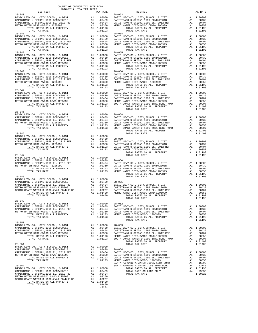| COUNTY OF ORANGE TAX RATE BOOK<br>2016-2017 TRA TAX RATES                                                                                                                                                                              |    |                                |                                                                                                                                                                                                                                                     |
|----------------------------------------------------------------------------------------------------------------------------------------------------------------------------------------------------------------------------------------|----|--------------------------------|-----------------------------------------------------------------------------------------------------------------------------------------------------------------------------------------------------------------------------------------------------|
| DISTRICT                                                                                                                                                                                                                               |    | TAX RATE                       |                                                                                                                                                                                                                                                     |
|                                                                                                                                                                                                                                        |    |                                |                                                                                                                                                                                                                                                     |
|                                                                                                                                                                                                                                        |    |                                |                                                                                                                                                                                                                                                     |
|                                                                                                                                                                                                                                        |    |                                | $28 - 054$                                                                                                                                                                                                                                          |
|                                                                                                                                                                                                                                        |    |                                |                                                                                                                                                                                                                                                     |
|                                                                                                                                                                                                                                        |    |                                |                                                                                                                                                                                                                                                     |
| TOTAL TAX RATE                                                                                                                                                                                                                         |    | 1.01193                        |                                                                                                                                                                                                                                                     |
| $28 - 042$                                                                                                                                                                                                                             |    |                                | $28 - 055$                                                                                                                                                                                                                                          |
|                                                                                                                                                                                                                                        |    |                                |                                                                                                                                                                                                                                                     |
|                                                                                                                                                                                                                                        |    |                                |                                                                                                                                                                                                                                                     |
| $28 - 043$                                                                                                                                                                                                                             |    |                                | $28 - 056$                                                                                                                                                                                                                                          |
|                                                                                                                                                                                                                                        |    |                                |                                                                                                                                                                                                                                                     |
|                                                                                                                                                                                                                                        |    |                                |                                                                                                                                                                                                                                                     |
|                                                                                                                                                                                                                                        |    |                                |                                                                                                                                                                                                                                                     |
| TOTAL TAX RATE                                                                                                                                                                                                                         |    | 1.01193                        |                                                                                                                                                                                                                                                     |
| $28 - 044$                                                                                                                                                                                                                             |    |                                | $28 - 057$                                                                                                                                                                                                                                          |
|                                                                                                                                                                                                                                        |    |                                |                                                                                                                                                                                                                                                     |
|                                                                                                                                                                                                                                        |    |                                |                                                                                                                                                                                                                                                     |
| TOTAL TAX RATE                                                                                                                                                                                                                         |    | 1.01193                        |                                                                                                                                                                                                                                                     |
| $28 - 045$                                                                                                                                                                                                                             |    |                                |                                                                                                                                                                                                                                                     |
|                                                                                                                                                                                                                                        |    |                                |                                                                                                                                                                                                                                                     |
|                                                                                                                                                                                                                                        |    |                                |                                                                                                                                                                                                                                                     |
|                                                                                                                                                                                                                                        |    |                                |                                                                                                                                                                                                                                                     |
| ERIC LEVY-CO., CITY, SCHOOL, & DIST A1 1.00000 28-058<br>CAPISTRANO U SFID#1 1999 BOND#2001B A1 .00439 BASIC L<br>CAPISTRANO U SFID#1,1999 BL, 2012 REF A1 .00404 CAPISTR<br>METRO WATER DIST-MWDOC- 1205999 A1 .00404 CAPISTR<br>METR |    |                                |                                                                                                                                                                                                                                                     |
| $28 - 046$                                                                                                                                                                                                                             |    |                                |                                                                                                                                                                                                                                                     |
|                                                                                                                                                                                                                                        |    |                                |                                                                                                                                                                                                                                                     |
|                                                                                                                                                                                                                                        |    |                                |                                                                                                                                                                                                                                                     |
|                                                                                                                                                                                                                                        |    |                                |                                                                                                                                                                                                                                                     |
| $28 - 047$                                                                                                                                                                                                                             |    |                                |                                                                                                                                                                                                                                                     |
|                                                                                                                                                                                                                                        |    |                                |                                                                                                                                                                                                                                                     |
|                                                                                                                                                                                                                                        |    |                                |                                                                                                                                                                                                                                                     |
|                                                                                                                                                                                                                                        |    |                                |                                                                                                                                                                                                                                                     |
|                                                                                                                                                                                                                                        |    |                                |                                                                                                                                                                                                                                                     |
| $28 - 048$                                                                                                                                                                                                                             |    |                                |                                                                                                                                                                                                                                                     |
|                                                                                                                                                                                                                                        |    |                                |                                                                                                                                                                                                                                                     |
| BASIC LEVY-CO., CITY, SCHOOL, & DIST<br>CAPISTRANO U SFID#1 1999 BOND#2001B<br>CAPISTRANO U SFID#1, 1999 EL, 2012 REF<br>METRO WATER DIST-MWDOC CMWD-1205999                                                                           |    |                                |                                                                                                                                                                                                                                                     |
|                                                                                                                                                                                                                                        |    |                                |                                                                                                                                                                                                                                                     |
| TOTAL TAX RATE                                                                                                                                                                                                                         |    | 1.01400                        |                                                                                                                                                                                                                                                     |
| $28 - 049$<br>BASIC LEVY-CO., CITY, SCHOOL, & DIST                                                                                                                                                                                     |    |                                |                                                                                                                                                                                                                                                     |
| CAPISTRANO U SFID#1 1999 BOND#2001B<br>CAPISTRANO U SFID#1 1999 BOND#2001B<br>CAPISTRANO U SFID#1,1999 EL, 2012 REF                                                                                                                    |    |                                |                                                                                                                                                                                                                                                     |
| METRO WATER DIST-MWDOC- 1205999                                                                                                                                                                                                        |    |                                | $\begin{tabular}{llllll} \texttt{A1} & 1.00000 & 28-062 \\ \texttt{A1} & .00439 & \texttt{BASIC L} \\ \texttt{A1} & .00404 & \texttt{CAPISTR} \\ \texttt{A1} & .00350 & \texttt{CAPISTR} \\ \texttt{A1} & 1.01193 & \texttt{METRO W} \end{tabular}$ |
| TOTAL RATES ON ALL PROPERTY                                                                                                                                                                                                            |    |                                |                                                                                                                                                                                                                                                     |
| TOTAL TAX RATE                                                                                                                                                                                                                         |    | 1.01193                        |                                                                                                                                                                                                                                                     |
| $28 - 050$<br>BASIC LEVY-CO., CITY, SCHOOL, & DIST                                                                                                                                                                                     |    |                                |                                                                                                                                                                                                                                                     |
| BASIC LEVY-CO., CITY,SCHOOL, & DIST<br>CAPISTRANO U SFID#1 1999 BOND#2001B<br>CAPISTRANO U SFID#1,1999 EL, 2012 REF<br>METRO WATER DIST-MWDOC CMWD-1205999                                                                             |    |                                |                                                                                                                                                                                                                                                     |
| METRO WATER DIST-MWDOC CMWD-1205999                                                                                                                                                                                                    |    |                                |                                                                                                                                                                                                                                                     |
| TOTAL RATES ON ALL PROPERTY<br>TOTAL TAX RATE                                                                                                                                                                                          |    |                                | A1 1.00000 28-063<br>A1 .00439 BASIC L<br>A1 .00404 CAPISTR<br>A1 .00350 CAPISTR<br>A1 1.01193 METRO W<br>1.01193 SOUTH C                                                                                                                           |
| $28 - 051$                                                                                                                                                                                                                             |    |                                |                                                                                                                                                                                                                                                     |
| BASIC LEVY-CO., CITY, SCHOOL, & DIST<br>CAPISTRANO U SFID#1 1999 BOND#2001B                                                                                                                                                            |    | A1 1.00000<br>A1 .00439 28-064 |                                                                                                                                                                                                                                                     |
|                                                                                                                                                                                                                                        | A1 | .00404                         | BASIC L                                                                                                                                                                                                                                             |
| CAPISTRANO U SFID#1 1999 BOND#2001B<br>CAPISTRANO U SFID#1,1999 EL, 2012 REF<br>METRO WATER DIST-MWDOC CMWD-1205999<br>TOTAL RATES ON ALL PROPERTY<br>TOTAL RATES ON ALL PROPERTY                                                      |    |                                | A1 .00350 CAPISTR<br>A1 1.01193 CAPISTR<br>1.01193 METROW                                                                                                                                                                                           |
| TOTAL TAX RATE                                                                                                                                                                                                                         |    |                                |                                                                                                                                                                                                                                                     |
| $28 - 052$                                                                                                                                                                                                                             |    |                                | SANTA M<br>SANTA M                                                                                                                                                                                                                                  |
|                                                                                                                                                                                                                                        |    |                                |                                                                                                                                                                                                                                                     |
|                                                                                                                                                                                                                                        |    |                                |                                                                                                                                                                                                                                                     |
|                                                                                                                                                                                                                                        |    |                                |                                                                                                                                                                                                                                                     |
|                                                                                                                                                                                                                                        |    |                                |                                                                                                                                                                                                                                                     |
| TOTAL TAX RATE                                                                                                                                                                                                                         |    | 1.01400<br>$-227-$             |                                                                                                                                                                                                                                                     |
|                                                                                                                                                                                                                                        |    |                                |                                                                                                                                                                                                                                                     |

| DISTRICT   | ZUI0-ZUI/ IRA IAA KAILD<br>TAX RATE | DISTRICT                                                                                                                                                                                                                                                                                                                                                                | TAX RATE |
|------------|-------------------------------------|-------------------------------------------------------------------------------------------------------------------------------------------------------------------------------------------------------------------------------------------------------------------------------------------------------------------------------------------------------------------------|----------|
| $28 - 040$ |                                     | $28 - 053$                                                                                                                                                                                                                                                                                                                                                              |          |
|            |                                     |                                                                                                                                                                                                                                                                                                                                                                         |          |
|            |                                     |                                                                                                                                                                                                                                                                                                                                                                         |          |
|            |                                     |                                                                                                                                                                                                                                                                                                                                                                         |          |
|            |                                     |                                                                                                                                                                                                                                                                                                                                                                         |          |
| $28 - 041$ |                                     | $28 - 054$                                                                                                                                                                                                                                                                                                                                                              |          |
|            |                                     |                                                                                                                                                                                                                                                                                                                                                                         |          |
|            |                                     |                                                                                                                                                                                                                                                                                                                                                                         |          |
|            |                                     |                                                                                                                                                                                                                                                                                                                                                                         |          |
|            |                                     |                                                                                                                                                                                                                                                                                                                                                                         |          |
|            |                                     |                                                                                                                                                                                                                                                                                                                                                                         |          |
|            |                                     |                                                                                                                                                                                                                                                                                                                                                                         |          |
|            |                                     |                                                                                                                                                                                                                                                                                                                                                                         |          |
|            |                                     |                                                                                                                                                                                                                                                                                                                                                                         |          |
|            |                                     |                                                                                                                                                                                                                                                                                                                                                                         |          |
| $28 - 043$ |                                     | $28 - 056$                                                                                                                                                                                                                                                                                                                                                              |          |
|            |                                     |                                                                                                                                                                                                                                                                                                                                                                         |          |
|            |                                     |                                                                                                                                                                                                                                                                                                                                                                         |          |
|            |                                     |                                                                                                                                                                                                                                                                                                                                                                         |          |
|            |                                     |                                                                                                                                                                                                                                                                                                                                                                         |          |
|            |                                     |                                                                                                                                                                                                                                                                                                                                                                         |          |
|            |                                     |                                                                                                                                                                                                                                                                                                                                                                         |          |
|            |                                     |                                                                                                                                                                                                                                                                                                                                                                         |          |
|            |                                     |                                                                                                                                                                                                                                                                                                                                                                         |          |
|            |                                     |                                                                                                                                                                                                                                                                                                                                                                         |          |
|            |                                     |                                                                                                                                                                                                                                                                                                                                                                         |          |
| $28 - 045$ |                                     | TOTAL TAX RATE                                                                                                                                                                                                                                                                                                                                                          | 1.01400  |
|            |                                     |                                                                                                                                                                                                                                                                                                                                                                         |          |
|            |                                     |                                                                                                                                                                                                                                                                                                                                                                         |          |
|            |                                     |                                                                                                                                                                                                                                                                                                                                                                         |          |
|            |                                     |                                                                                                                                                                                                                                                                                                                                                                         |          |
|            |                                     |                                                                                                                                                                                                                                                                                                                                                                         |          |
|            |                                     |                                                                                                                                                                                                                                                                                                                                                                         |          |
|            |                                     |                                                                                                                                                                                                                                                                                                                                                                         |          |
|            |                                     |                                                                                                                                                                                                                                                                                                                                                                         |          |
|            |                                     |                                                                                                                                                                                                                                                                                                                                                                         |          |
|            |                                     |                                                                                                                                                                                                                                                                                                                                                                         |          |
|            |                                     |                                                                                                                                                                                                                                                                                                                                                                         |          |
|            |                                     |                                                                                                                                                                                                                                                                                                                                                                         |          |
|            |                                     |                                                                                                                                                                                                                                                                                                                                                                         |          |
|            |                                     |                                                                                                                                                                                                                                                                                                                                                                         |          |
|            |                                     |                                                                                                                                                                                                                                                                                                                                                                         |          |
|            |                                     |                                                                                                                                                                                                                                                                                                                                                                         |          |
|            |                                     |                                                                                                                                                                                                                                                                                                                                                                         |          |
|            |                                     |                                                                                                                                                                                                                                                                                                                                                                         |          |
|            |                                     |                                                                                                                                                                                                                                                                                                                                                                         |          |
|            |                                     |                                                                                                                                                                                                                                                                                                                                                                         |          |
|            |                                     |                                                                                                                                                                                                                                                                                                                                                                         |          |
|            |                                     |                                                                                                                                                                                                                                                                                                                                                                         |          |
|            |                                     |                                                                                                                                                                                                                                                                                                                                                                         |          |
|            |                                     | TOTAL TAX RATE                                                                                                                                                                                                                                                                                                                                                          | 1.01193  |
|            |                                     | $\begin{tabular}{lllllllllllllllllllllll} \texttt{28-049} & \texttt{AA1 1.00000} & \texttt{28-062} \\ \texttt{BASIC LEVY-CO., CITY, SCHOOL, & DIST & A1 1.00000 & 28-062 \\ \texttt{CAPISTERANO U SFIDH1 1999 BONDF42001B} & \texttt{A1 00040} & \texttt{A1 00000} & \texttt{28-062} \\ \texttt{CAPISTERANO U SFIDH1 1999 BONDF42001B} & \texttt{A1 00404} & \texttt{C$ |          |
|            |                                     |                                                                                                                                                                                                                                                                                                                                                                         |          |
|            |                                     |                                                                                                                                                                                                                                                                                                                                                                         |          |
|            |                                     |                                                                                                                                                                                                                                                                                                                                                                         |          |
|            |                                     |                                                                                                                                                                                                                                                                                                                                                                         |          |
|            |                                     | TOTAL TAX RATE                                                                                                                                                                                                                                                                                                                                                          | 1.01193  |
|            |                                     |                                                                                                                                                                                                                                                                                                                                                                         |          |
|            |                                     |                                                                                                                                                                                                                                                                                                                                                                         |          |
|            |                                     |                                                                                                                                                                                                                                                                                                                                                                         |          |
|            |                                     |                                                                                                                                                                                                                                                                                                                                                                         |          |
|            |                                     |                                                                                                                                                                                                                                                                                                                                                                         |          |
|            |                                     |                                                                                                                                                                                                                                                                                                                                                                         |          |
|            |                                     |                                                                                                                                                                                                                                                                                                                                                                         |          |
|            |                                     |                                                                                                                                                                                                                                                                                                                                                                         |          |
|            |                                     |                                                                                                                                                                                                                                                                                                                                                                         |          |
|            |                                     |                                                                                                                                                                                                                                                                                                                                                                         |          |
|            |                                     |                                                                                                                                                                                                                                                                                                                                                                         |          |
|            |                                     |                                                                                                                                                                                                                                                                                                                                                                         |          |
|            |                                     |                                                                                                                                                                                                                                                                                                                                                                         |          |
|            |                                     |                                                                                                                                                                                                                                                                                                                                                                         |          |
|            |                                     |                                                                                                                                                                                                                                                                                                                                                                         |          |
|            |                                     |                                                                                                                                                                                                                                                                                                                                                                         |          |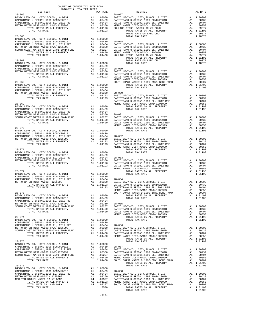| COUNTY OF ORANGE TAX RATE BOOK<br>2016-2017 TRA TAX RATES<br>$2016-2017\quad\text{TRA TAX RATES}\label{eq:2016-2017}$ DISTRICT |          |                |          |
|--------------------------------------------------------------------------------------------------------------------------------|----------|----------------|----------|
|                                                                                                                                | TAX RATE | DISTRICT       | TAX RATE |
| $28 - 065$                                                                                                                     |          | $28 - 077$     |          |
|                                                                                                                                |          |                |          |
|                                                                                                                                |          |                |          |
|                                                                                                                                |          |                |          |
|                                                                                                                                |          |                |          |
|                                                                                                                                |          |                |          |
|                                                                                                                                |          |                |          |
|                                                                                                                                |          |                |          |
|                                                                                                                                |          |                |          |
|                                                                                                                                |          |                |          |
|                                                                                                                                |          |                |          |
|                                                                                                                                |          |                |          |
|                                                                                                                                |          |                |          |
|                                                                                                                                |          |                |          |
|                                                                                                                                |          |                |          |
|                                                                                                                                |          |                |          |
|                                                                                                                                |          |                |          |
|                                                                                                                                |          |                |          |
|                                                                                                                                |          |                |          |
|                                                                                                                                |          |                |          |
|                                                                                                                                |          |                |          |
|                                                                                                                                |          |                |          |
|                                                                                                                                |          |                |          |
|                                                                                                                                |          |                |          |
|                                                                                                                                |          |                |          |
|                                                                                                                                |          |                |          |
|                                                                                                                                |          |                |          |
|                                                                                                                                |          |                |          |
|                                                                                                                                |          |                |          |
|                                                                                                                                |          |                |          |
|                                                                                                                                |          |                |          |
|                                                                                                                                |          |                |          |
|                                                                                                                                |          |                |          |
|                                                                                                                                |          |                |          |
|                                                                                                                                |          |                |          |
|                                                                                                                                |          |                |          |
|                                                                                                                                |          |                |          |
|                                                                                                                                |          |                |          |
|                                                                                                                                |          |                |          |
|                                                                                                                                |          |                |          |
|                                                                                                                                |          |                |          |
|                                                                                                                                |          |                |          |
|                                                                                                                                |          |                |          |
|                                                                                                                                |          |                |          |
|                                                                                                                                |          |                |          |
|                                                                                                                                |          |                |          |
|                                                                                                                                |          |                |          |
|                                                                                                                                |          |                |          |
|                                                                                                                                |          |                |          |
|                                                                                                                                |          |                |          |
|                                                                                                                                |          |                |          |
|                                                                                                                                |          |                |          |
|                                                                                                                                |          |                |          |
|                                                                                                                                |          |                |          |
|                                                                                                                                |          |                |          |
|                                                                                                                                |          |                |          |
|                                                                                                                                |          |                |          |
|                                                                                                                                |          |                |          |
|                                                                                                                                |          |                |          |
|                                                                                                                                |          |                |          |
|                                                                                                                                |          |                |          |
|                                                                                                                                |          |                |          |
|                                                                                                                                |          |                |          |
|                                                                                                                                |          |                |          |
|                                                                                                                                |          |                |          |
|                                                                                                                                |          |                |          |
|                                                                                                                                |          |                |          |
|                                                                                                                                |          |                |          |
|                                                                                                                                |          |                |          |
|                                                                                                                                |          |                |          |
|                                                                                                                                |          |                |          |
|                                                                                                                                |          |                |          |
|                                                                                                                                |          |                |          |
|                                                                                                                                |          |                |          |
|                                                                                                                                |          |                |          |
|                                                                                                                                |          |                |          |
|                                                                                                                                |          | TOTAL TAX RATE | 1.01400  |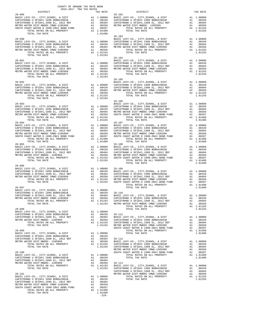| COUNTY OF ORANGE TAX RATE BOOK<br>2016-2017 TRA TAX RATES                                               |         |                                                                                                                                                                                                                                                                                                                                                                                                                                  |          |
|---------------------------------------------------------------------------------------------------------|---------|----------------------------------------------------------------------------------------------------------------------------------------------------------------------------------------------------------------------------------------------------------------------------------------------------------------------------------------------------------------------------------------------------------------------------------|----------|
| DISTRICT                                                                                                |         | TRA TAX RATES $\begin{tabular}{ll} \bf TRA TAX RATES & \tt{TAX RATE} \\ \bf{TAX RATE & \tt{28-102} \end{tabular}$                                                                                                                                                                                                                                                                                                                | TAX RATE |
| $28 - 089$                                                                                              |         |                                                                                                                                                                                                                                                                                                                                                                                                                                  |          |
|                                                                                                         |         |                                                                                                                                                                                                                                                                                                                                                                                                                                  |          |
|                                                                                                         |         |                                                                                                                                                                                                                                                                                                                                                                                                                                  |          |
|                                                                                                         |         |                                                                                                                                                                                                                                                                                                                                                                                                                                  |          |
|                                                                                                         |         |                                                                                                                                                                                                                                                                                                                                                                                                                                  |          |
|                                                                                                         |         |                                                                                                                                                                                                                                                                                                                                                                                                                                  |          |
|                                                                                                         |         |                                                                                                                                                                                                                                                                                                                                                                                                                                  |          |
|                                                                                                         |         |                                                                                                                                                                                                                                                                                                                                                                                                                                  |          |
|                                                                                                         |         |                                                                                                                                                                                                                                                                                                                                                                                                                                  |          |
|                                                                                                         |         |                                                                                                                                                                                                                                                                                                                                                                                                                                  |          |
|                                                                                                         |         |                                                                                                                                                                                                                                                                                                                                                                                                                                  |          |
|                                                                                                         |         |                                                                                                                                                                                                                                                                                                                                                                                                                                  |          |
|                                                                                                         |         |                                                                                                                                                                                                                                                                                                                                                                                                                                  |          |
|                                                                                                         |         |                                                                                                                                                                                                                                                                                                                                                                                                                                  |          |
|                                                                                                         |         |                                                                                                                                                                                                                                                                                                                                                                                                                                  |          |
|                                                                                                         |         |                                                                                                                                                                                                                                                                                                                                                                                                                                  |          |
|                                                                                                         |         |                                                                                                                                                                                                                                                                                                                                                                                                                                  |          |
|                                                                                                         |         |                                                                                                                                                                                                                                                                                                                                                                                                                                  |          |
|                                                                                                         |         |                                                                                                                                                                                                                                                                                                                                                                                                                                  |          |
|                                                                                                         |         |                                                                                                                                                                                                                                                                                                                                                                                                                                  |          |
|                                                                                                         |         | $\begin{tabular}{l c c c c c} \multicolumn{1}{c}{\textbf{28--09}} & \multicolumn{1}{c}{\textbf{28--09}} & \multicolumn{1}{c}{\textbf{28--09}} & \multicolumn{1}{c}{\textbf{28--09}} & \multicolumn{1}{c}{\textbf{28--09}} & \multicolumn{1}{c}{\textbf{28--09}} & \multicolumn{1}{c}{\textbf{28--09}} & \multicolumn{1}{c}{\textbf{28--09}} & \multicolumn{1}{c}{\textbf{28--09}} & \multicolumn{1}{c}{\textbf{28--09}} & \mult$ |          |
|                                                                                                         |         | $28 - 106$                                                                                                                                                                                                                                                                                                                                                                                                                       |          |
|                                                                                                         |         |                                                                                                                                                                                                                                                                                                                                                                                                                                  |          |
|                                                                                                         |         |                                                                                                                                                                                                                                                                                                                                                                                                                                  |          |
|                                                                                                         |         |                                                                                                                                                                                                                                                                                                                                                                                                                                  |          |
|                                                                                                         |         |                                                                                                                                                                                                                                                                                                                                                                                                                                  |          |
|                                                                                                         |         | $\begin{tabular}{cccccccc} $28-023$ & $108-021$ & $14.00000$ & $28-106$ & $14.00000$ & $28-106$ & $14.00000$ & $28-021$ & $14.00000$ & $28-021$ & $14.00000$ & $28-021$ & $14.00000$ \\ \hline \texttt{0.872570A300} & 0.871794 & 1999 & 80009800 & 141.00000 & 0.0000000 & 0.000000000$                                                                                                                                         |          |
|                                                                                                         |         |                                                                                                                                                                                                                                                                                                                                                                                                                                  |          |
|                                                                                                         |         |                                                                                                                                                                                                                                                                                                                                                                                                                                  |          |
|                                                                                                         |         |                                                                                                                                                                                                                                                                                                                                                                                                                                  |          |
|                                                                                                         |         |                                                                                                                                                                                                                                                                                                                                                                                                                                  |          |
|                                                                                                         |         |                                                                                                                                                                                                                                                                                                                                                                                                                                  |          |
|                                                                                                         |         |                                                                                                                                                                                                                                                                                                                                                                                                                                  |          |
|                                                                                                         |         |                                                                                                                                                                                                                                                                                                                                                                                                                                  |          |
|                                                                                                         |         |                                                                                                                                                                                                                                                                                                                                                                                                                                  |          |
|                                                                                                         |         |                                                                                                                                                                                                                                                                                                                                                                                                                                  |          |
|                                                                                                         |         |                                                                                                                                                                                                                                                                                                                                                                                                                                  |          |
|                                                                                                         |         |                                                                                                                                                                                                                                                                                                                                                                                                                                  |          |
|                                                                                                         |         |                                                                                                                                                                                                                                                                                                                                                                                                                                  |          |
|                                                                                                         |         |                                                                                                                                                                                                                                                                                                                                                                                                                                  |          |
|                                                                                                         |         |                                                                                                                                                                                                                                                                                                                                                                                                                                  |          |
|                                                                                                         |         |                                                                                                                                                                                                                                                                                                                                                                                                                                  |          |
|                                                                                                         |         |                                                                                                                                                                                                                                                                                                                                                                                                                                  |          |
| BASIC LEVY-CO., CITY, SCHOOL, & DIST A1 1.00000<br>CAPISTRANO U SFID#1 1999 BOND#2001B A1 .00439 28-110 |         |                                                                                                                                                                                                                                                                                                                                                                                                                                  |          |
|                                                                                                         |         |                                                                                                                                                                                                                                                                                                                                                                                                                                  |          |
|                                                                                                         |         |                                                                                                                                                                                                                                                                                                                                                                                                                                  |          |
|                                                                                                         |         |                                                                                                                                                                                                                                                                                                                                                                                                                                  |          |
|                                                                                                         |         | TOTAL TAX RATE                                                                                                                                                                                                                                                                                                                                                                                                                   | 1.01193  |
|                                                                                                         |         |                                                                                                                                                                                                                                                                                                                                                                                                                                  |          |
|                                                                                                         |         |                                                                                                                                                                                                                                                                                                                                                                                                                                  |          |
|                                                                                                         |         |                                                                                                                                                                                                                                                                                                                                                                                                                                  |          |
|                                                                                                         |         |                                                                                                                                                                                                                                                                                                                                                                                                                                  |          |
|                                                                                                         |         |                                                                                                                                                                                                                                                                                                                                                                                                                                  |          |
|                                                                                                         |         |                                                                                                                                                                                                                                                                                                                                                                                                                                  |          |
|                                                                                                         |         |                                                                                                                                                                                                                                                                                                                                                                                                                                  |          |
|                                                                                                         |         |                                                                                                                                                                                                                                                                                                                                                                                                                                  |          |
|                                                                                                         |         |                                                                                                                                                                                                                                                                                                                                                                                                                                  |          |
|                                                                                                         |         |                                                                                                                                                                                                                                                                                                                                                                                                                                  |          |
|                                                                                                         |         |                                                                                                                                                                                                                                                                                                                                                                                                                                  |          |
|                                                                                                         |         |                                                                                                                                                                                                                                                                                                                                                                                                                                  |          |
|                                                                                                         |         |                                                                                                                                                                                                                                                                                                                                                                                                                                  |          |
|                                                                                                         |         | $\begin{tabular}{@{}c@{}}\hline 28-098\\ 28-098\\ 28-028\\ 28-028\\ 28-028\\ 28-028\\ 28-028\\ 28-028\\ 28-028\\ 28-028\\ 28-029\\ 28-029\\ 28-029\\ 28-029\\ 28-029\\ 28-029\\ 28-029\\ 28-029\\ 28-029\\ 28-029\\ 28-029\\ 28-029\\ 28-029\\ 28-029\\ 28-029\\ 28-0$                                                                                                                                                           |          |
|                                                                                                         |         |                                                                                                                                                                                                                                                                                                                                                                                                                                  |          |
|                                                                                                         |         |                                                                                                                                                                                                                                                                                                                                                                                                                                  |          |
|                                                                                                         |         |                                                                                                                                                                                                                                                                                                                                                                                                                                  |          |
|                                                                                                         |         |                                                                                                                                                                                                                                                                                                                                                                                                                                  |          |
|                                                                                                         |         |                                                                                                                                                                                                                                                                                                                                                                                                                                  |          |
|                                                                                                         |         |                                                                                                                                                                                                                                                                                                                                                                                                                                  |          |
|                                                                                                         |         |                                                                                                                                                                                                                                                                                                                                                                                                                                  |          |
|                                                                                                         | $-229-$ |                                                                                                                                                                                                                                                                                                                                                                                                                                  |          |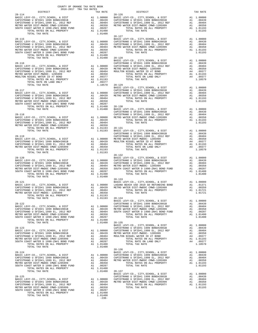| COUNTY OF ORANGE TAX RATE BOOK<br>2016-2017 TRA TAX RATES                                                                                |  |                                                                                                                                                                                                                                                                                                                                                                                                                     |          |
|------------------------------------------------------------------------------------------------------------------------------------------|--|---------------------------------------------------------------------------------------------------------------------------------------------------------------------------------------------------------------------------------------------------------------------------------------------------------------------------------------------------------------------------------------------------------------------|----------|
| DISTRICT<br>$28 - 114$                                                                                                                   |  | RA TAX RATES<br>TAX RATE POLICY DISTRICT<br>$28 - 126$                                                                                                                                                                                                                                                                                                                                                              | TAX RATE |
|                                                                                                                                          |  |                                                                                                                                                                                                                                                                                                                                                                                                                     |          |
|                                                                                                                                          |  |                                                                                                                                                                                                                                                                                                                                                                                                                     |          |
|                                                                                                                                          |  |                                                                                                                                                                                                                                                                                                                                                                                                                     |          |
|                                                                                                                                          |  |                                                                                                                                                                                                                                                                                                                                                                                                                     |          |
|                                                                                                                                          |  |                                                                                                                                                                                                                                                                                                                                                                                                                     |          |
|                                                                                                                                          |  |                                                                                                                                                                                                                                                                                                                                                                                                                     |          |
|                                                                                                                                          |  |                                                                                                                                                                                                                                                                                                                                                                                                                     |          |
|                                                                                                                                          |  |                                                                                                                                                                                                                                                                                                                                                                                                                     |          |
|                                                                                                                                          |  |                                                                                                                                                                                                                                                                                                                                                                                                                     |          |
|                                                                                                                                          |  |                                                                                                                                                                                                                                                                                                                                                                                                                     |          |
|                                                                                                                                          |  |                                                                                                                                                                                                                                                                                                                                                                                                                     |          |
|                                                                                                                                          |  |                                                                                                                                                                                                                                                                                                                                                                                                                     |          |
|                                                                                                                                          |  |                                                                                                                                                                                                                                                                                                                                                                                                                     |          |
|                                                                                                                                          |  |                                                                                                                                                                                                                                                                                                                                                                                                                     |          |
|                                                                                                                                          |  |                                                                                                                                                                                                                                                                                                                                                                                                                     |          |
|                                                                                                                                          |  |                                                                                                                                                                                                                                                                                                                                                                                                                     |          |
|                                                                                                                                          |  |                                                                                                                                                                                                                                                                                                                                                                                                                     |          |
|                                                                                                                                          |  |                                                                                                                                                                                                                                                                                                                                                                                                                     |          |
|                                                                                                                                          |  |                                                                                                                                                                                                                                                                                                                                                                                                                     |          |
|                                                                                                                                          |  |                                                                                                                                                                                                                                                                                                                                                                                                                     |          |
|                                                                                                                                          |  |                                                                                                                                                                                                                                                                                                                                                                                                                     |          |
|                                                                                                                                          |  |                                                                                                                                                                                                                                                                                                                                                                                                                     |          |
|                                                                                                                                          |  |                                                                                                                                                                                                                                                                                                                                                                                                                     |          |
|                                                                                                                                          |  |                                                                                                                                                                                                                                                                                                                                                                                                                     |          |
|                                                                                                                                          |  |                                                                                                                                                                                                                                                                                                                                                                                                                     |          |
|                                                                                                                                          |  |                                                                                                                                                                                                                                                                                                                                                                                                                     |          |
|                                                                                                                                          |  |                                                                                                                                                                                                                                                                                                                                                                                                                     |          |
|                                                                                                                                          |  |                                                                                                                                                                                                                                                                                                                                                                                                                     |          |
|                                                                                                                                          |  |                                                                                                                                                                                                                                                                                                                                                                                                                     |          |
|                                                                                                                                          |  |                                                                                                                                                                                                                                                                                                                                                                                                                     |          |
|                                                                                                                                          |  |                                                                                                                                                                                                                                                                                                                                                                                                                     |          |
|                                                                                                                                          |  |                                                                                                                                                                                                                                                                                                                                                                                                                     |          |
|                                                                                                                                          |  |                                                                                                                                                                                                                                                                                                                                                                                                                     |          |
|                                                                                                                                          |  |                                                                                                                                                                                                                                                                                                                                                                                                                     |          |
|                                                                                                                                          |  |                                                                                                                                                                                                                                                                                                                                                                                                                     |          |
|                                                                                                                                          |  |                                                                                                                                                                                                                                                                                                                                                                                                                     |          |
|                                                                                                                                          |  |                                                                                                                                                                                                                                                                                                                                                                                                                     |          |
|                                                                                                                                          |  |                                                                                                                                                                                                                                                                                                                                                                                                                     |          |
|                                                                                                                                          |  |                                                                                                                                                                                                                                                                                                                                                                                                                     |          |
|                                                                                                                                          |  |                                                                                                                                                                                                                                                                                                                                                                                                                     |          |
|                                                                                                                                          |  |                                                                                                                                                                                                                                                                                                                                                                                                                     |          |
|                                                                                                                                          |  |                                                                                                                                                                                                                                                                                                                                                                                                                     |          |
|                                                                                                                                          |  |                                                                                                                                                                                                                                                                                                                                                                                                                     |          |
|                                                                                                                                          |  |                                                                                                                                                                                                                                                                                                                                                                                                                     |          |
|                                                                                                                                          |  |                                                                                                                                                                                                                                                                                                                                                                                                                     |          |
|                                                                                                                                          |  | $\begin{tabular}{ccccc} 28-121 & 28-133 & 28-133 & 28-133 & 28-133 & 28-134 & 28-135 & 28-136 & 28-137 & 28-137 & 28-138 & 28-137 & 28-137 & 28-137 & 28-137 & 28-137 & 28-137 & 28-137 & 28-137 & 28-137 & 28-137 & 28-137 & 28-137 & 28-137 & 28-137 & 28-137 & 28$                                                                                                                                               |          |
|                                                                                                                                          |  |                                                                                                                                                                                                                                                                                                                                                                                                                     |          |
|                                                                                                                                          |  |                                                                                                                                                                                                                                                                                                                                                                                                                     |          |
|                                                                                                                                          |  | TOTAL TAX RATE                                                                                                                                                                                                                                                                                                                                                                                                      | 1.01721  |
| METRO WATER DIST-MWDOC-1205999<br>TOTAL RATES ON ALL PROPERTY A1 1.01193<br>TOTAL TAX RATE 1.01193<br>TOTAL TAX RATE 1.01193<br>BASIC LI |  |                                                                                                                                                                                                                                                                                                                                                                                                                     |          |
|                                                                                                                                          |  |                                                                                                                                                                                                                                                                                                                                                                                                                     |          |
|                                                                                                                                          |  |                                                                                                                                                                                                                                                                                                                                                                                                                     |          |
|                                                                                                                                          |  |                                                                                                                                                                                                                                                                                                                                                                                                                     |          |
|                                                                                                                                          |  |                                                                                                                                                                                                                                                                                                                                                                                                                     |          |
|                                                                                                                                          |  |                                                                                                                                                                                                                                                                                                                                                                                                                     |          |
|                                                                                                                                          |  |                                                                                                                                                                                                                                                                                                                                                                                                                     |          |
|                                                                                                                                          |  |                                                                                                                                                                                                                                                                                                                                                                                                                     |          |
|                                                                                                                                          |  |                                                                                                                                                                                                                                                                                                                                                                                                                     |          |
|                                                                                                                                          |  |                                                                                                                                                                                                                                                                                                                                                                                                                     |          |
|                                                                                                                                          |  |                                                                                                                                                                                                                                                                                                                                                                                                                     |          |
|                                                                                                                                          |  |                                                                                                                                                                                                                                                                                                                                                                                                                     |          |
|                                                                                                                                          |  |                                                                                                                                                                                                                                                                                                                                                                                                                     |          |
|                                                                                                                                          |  |                                                                                                                                                                                                                                                                                                                                                                                                                     |          |
|                                                                                                                                          |  | $28 - 136$                                                                                                                                                                                                                                                                                                                                                                                                          |          |
|                                                                                                                                          |  |                                                                                                                                                                                                                                                                                                                                                                                                                     |          |
|                                                                                                                                          |  |                                                                                                                                                                                                                                                                                                                                                                                                                     |          |
|                                                                                                                                          |  |                                                                                                                                                                                                                                                                                                                                                                                                                     |          |
|                                                                                                                                          |  |                                                                                                                                                                                                                                                                                                                                                                                                                     |          |
|                                                                                                                                          |  |                                                                                                                                                                                                                                                                                                                                                                                                                     |          |
|                                                                                                                                          |  |                                                                                                                                                                                                                                                                                                                                                                                                                     |          |
|                                                                                                                                          |  | $\begin{tabular}{c c c c c} \multicolumn{4}{c }{\textbf{28--125}} & \multicolumn{4}{c }{\textbf{28--125}} & \multicolumn{4}{c }{\textbf{28--125}} & \multicolumn{4}{c }{\textbf{28--125}} & \multicolumn{4}{c }{\textbf{28--125}} & \multicolumn{4}{c }{\textbf{28--125}} & \multicolumn{4}{c }{\textbf{28--125}} & \multicolumn{4}{c }{\textbf{28--125}} & \multicolumn{4}{c }{\textbf{28--125}} & \multicolumn{4$ |          |
|                                                                                                                                          |  |                                                                                                                                                                                                                                                                                                                                                                                                                     |          |
|                                                                                                                                          |  |                                                                                                                                                                                                                                                                                                                                                                                                                     |          |
|                                                                                                                                          |  |                                                                                                                                                                                                                                                                                                                                                                                                                     |          |
|                                                                                                                                          |  |                                                                                                                                                                                                                                                                                                                                                                                                                     |          |
|                                                                                                                                          |  |                                                                                                                                                                                                                                                                                                                                                                                                                     |          |
|                                                                                                                                          |  |                                                                                                                                                                                                                                                                                                                                                                                                                     |          |

| 439        | 000 BASIC LEVY-CO., CITY, SCHOOL, & DIST<br>CAPISTRANO U SFID#1 1999 BOND#2001B                                     | A1                            | A1 1.000<br>.004  |
|------------|---------------------------------------------------------------------------------------------------------------------|-------------------------------|-------------------|
| 404        | CAPISTRANO U SFID#1,1999 EL, 2012 REF<br>METRO WATER DIST-MWDOC CMWD-1205999                                        | A1                            | .004              |
| 350        | TOTAL RATES ON ALL PROPERTY                                                                                         | A1                            | .003              |
| 207<br>400 | TOTAL TAX RATE                                                                                                      |                               | A1 1.011<br>1.011 |
| 400        |                                                                                                                     |                               |                   |
|            | $28 - 127$<br>BASIC LEVY-CO., CITY, SCHOOL, & DIST                                                                  | A1                            | 1.000             |
| 000        | CAPISTRANO U SFID#1 1999 BOND#2001B                                                                                 | A1                            | .004              |
| 439        | CAPISTRANO U SFID#1,1999 EL, 2012 REF<br>METRO WATER DIST-MWDOC CMWD-1205999                                        | A1                            | .004              |
| 404        | TOTAL RATES ON ALL PROPERTY                                                                                         | A1                            | .003              |
| 350<br>207 | TOTAL TAX RATE                                                                                                      |                               | A1 1.011<br>1.011 |
| 400        |                                                                                                                     |                               |                   |
| 400        | $28 - 128$                                                                                                          |                               |                   |
|            | BASIC LEVY-CO., CITY, SCHOOL, & DIST                                                                                |                               | A1 1.000          |
| 000        | CAPISTRANO U SFID#1 1999 BOND#2001B<br>CAPISTRANO U SFID#1,1999 EL, 2012 REF                                        | A1<br>A1                      | .004<br>.004      |
| 439        | METRO WATER DIST-MWDOC- 1205999                                                                                     | A1                            | .003              |
| 404        | MOULTON NIGUEL WATER ID #7 BOND                                                                                     | A4                            | .093              |
| 350        | TOTAL RATES ON ALL PROPERTY                                                                                         |                               | A1 1.011          |
| 377<br>193 | TOTAL RATE ON LAND ONLY<br>TOTAL TAX RATE                                                                           | A4                            | .093<br>1.105     |
| 377        |                                                                                                                     |                               |                   |
| 570        | $28 - 129$                                                                                                          |                               |                   |
|            | BASIC LEVY-CO., CITY, SCHOOL, & DIST                                                                                | A1                            | 1.000             |
|            | CAPISTRANO U SFID#1 1999 BOND#2001B                                                                                 | A1<br>A1                      | .004<br>.004      |
|            | 000 CAPISTRANO U SFID#1,1999 EL, 2012 REF<br>439 METRO WATER DIST-MWDOC CMWD-1205999                                | A1                            | .003              |
| 404        | TOTAL RATES ON ALL PROPERTY                                                                                         |                               | A1 1.011          |
| 350        | TOTAL TAX RATE                                                                                                      |                               | 1.011             |
| 207<br>400 | $28 - 130$                                                                                                          |                               |                   |
| 400        | BASIC LEVY-CO., CITY, SCHOOL, & DIST                                                                                |                               | A1 1.000          |
|            | CAPISTRANO U SFID#1 1999 BOND#2001B                                                                                 |                               | A1 .004           |
|            | CAPISTRANO U SFID#1,1999 EL, 2012 REF                                                                               | A1                            | .004              |
| 000        | METRO WATER DIST-MWDOC CMWD-1205999                                                                                 | A1                            | .003              |
| 439<br>404 | TOTAL RATES ON ALL PROPERTY<br>TOTAL TAX RATE                                                                       |                               | A1 1.011<br>1.011 |
| 350        |                                                                                                                     |                               |                   |
| 193        | 28-131<br>BASIC LEVY-CO., CITY,SCHOOL, & DIST                                                                       |                               |                   |
| 193        |                                                                                                                     |                               | A1 1.000          |
|            | CAPISTRANO U SFID#1 1999 BOND#2001B<br>CAPISTRANO U SFID#1,1999 EL, 2012 REF                                        | A1                            | A1.004<br>.004    |
| 000        | METRO WATER DIST-MWDOC- 1205999                                                                                     | A1                            | .003              |
| 439        | MOULTON NIGUEL WATER ID #7 BOND                                                                                     | A4                            | .093              |
| 404        | TOTAL RATES ON ALL PROPERTY                                                                                         |                               | A1 1.011          |
| 350<br>193 | TOTAL RATE ON LAND ONLY<br>TOTAL TAX RATE                                                                           | A4                            | .093<br>1.105     |
| 193        |                                                                                                                     |                               |                   |
|            | $28 - 132$                                                                                                          |                               |                   |
|            | BASIC LEVY-CO., CITY, SCHOOL, & DIST                                                                                |                               | A1 1.000          |
| 000<br>439 | CAPISTRANO U SFID#1 1999 BOND#2001B                                                                                 | A1<br>A1                      | .004              |
| 404        |                                                                                                                     |                               | .004<br>.003      |
| 350        | CAPISTRANO U SFID#1,1999 EL, 2012 REF<br>METRO WATER DIST-MWDOC- 1205999<br>SOUTH COAST WATER D 1990-ZN#1 BOND FUND | $\frac{\text{A1}}{\text{A1}}$ | .002              |
| 207        | TOTAL RATES ON ALL PROPERTY                                                                                         |                               | A1 1.014          |
| 400        | TOTAL TAX RATE                                                                                                      |                               | 1.014             |
| 400        | $28 - 133$                                                                                                          |                               |                   |
|            | BASIC LEVY-CO., CITY, SCHOOL, & DIST                                                                                |                               | A1 1.000          |
| 000        | LAGUNA BEACH USD 2010 GO REFUNDING BOND<br>METRO WATER DIST-MWDOC CMWD-1205999                                      | A1                            | .013              |
| 439        | METRO WATER DIST-MWDOC CMWD-1205999                                                                                 | A1                            | .003              |
| 404<br>350 | TOTAL RATES ON ALL PROPERTY<br>TOTAL TAX RATE                                                                       | A1                            | 1.017<br>1.017    |
| 193        |                                                                                                                     |                               |                   |
| 193        | $28 - 134$                                                                                                          |                               |                   |
|            | BASIC LEVY-CO., CITY, SCHOOL, & DIST                                                                                | A1                            | 1.000             |
| 000        | CAPISTRANO U SFID#1 1999 BOND#2001B<br>CAPISTRANO U SFID#1,1999 EL, 2012 REF                                        | A1                            | .004<br>.004      |
| 439        | METRO WATER DIST-MWDOC CMWD-1205999                                                                                 | A1<br>A1                      | .003              |
| 404        | SOUTH COAST WATER D 1990-ZN#1 BOND FUND                                                                             | A1                            | .002              |
| 350        | TOTAL RATES ON ALL PROPERTY                                                                                         |                               | A1 1.014          |
| 207        | TOTAL TAX RATE                                                                                                      |                               | 1.014             |
| 400<br>400 | $28 - 135$                                                                                                          |                               |                   |
|            | BASIC LEVY-CO., CITY, SCHOOL, & DIST                                                                                | A1                            | 1.000             |
|            | CAPISTRANO U SFID#1 1999 BOND#2001B                                                                                 | A1                            | .004              |
| 000        | CAPISTRANO U SFID#1,1999 EL, 2012 REF                                                                               | A1                            | .004              |
| 439<br>404 | METRO WATER DIST-MWDOC- 1205999<br>MOULTON NIGUEL WATER ID #7 BOND                                                  | A1<br>A4                      | .003<br>.093      |
| 350        | TOTAL RATES ON ALL PROPERTY                                                                                         |                               | A1 1.011          |
| 207        | TOTAL RATE ON LAND ONLY                                                                                             | A4                            | .093              |
| 400        | TOTAL TAX RATE                                                                                                      |                               | 1.105             |
| 400        | $28 - 136$                                                                                                          |                               |                   |
|            | BASIC LEVY-CO., CITY, SCHOOL, & DIST                                                                                |                               | A1 1.000          |
| 000        | CAPISTRANO U SFID#1 1999 BOND#2001B                                                                                 | A1                            | .004              |
| 439        | CAPISTRANO U SFID#1,1999 EL, 2012 REF                                                                               | A1                            | .004              |
| 404        | METRO WATER DIST-MWDOC CMWD-1205999                                                                                 | A1                            | .003              |
| 350<br>207 | TOTAL RATES ON ALL PROPERTY                                                                                         |                               | A1 1.011<br>1.011 |
| 400        | TOTAL TAX RATE                                                                                                      |                               |                   |
| 400        | 28-137                                                                                                              |                               |                   |
|            | BASIC LEVY-CO., CITY, SCHOOL, & DIST                                                                                |                               | A1 1.000          |
|            | CAPISTRANO U SFID#1 1999 BOND#2001B<br>CAPISTRANO U SFID#1,1999 EL, 2012 REF                                        | A1                            | .004              |
| 000<br>439 | METRO WATER DIST-MWDOC CMWD-1205999                                                                                 | A1<br>A1                      | .004<br>.003      |
| 404        | TOTAL RATES ON ALL PROPERTY                                                                                         | A1                            | 1.011             |
| 350        | TOTAL TAX RATE                                                                                                      |                               | 1.011             |
| 207<br>100 |                                                                                                                     |                               |                   |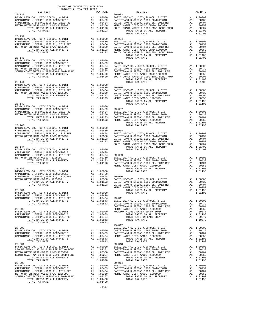| $2016-2017 \begin{array}{l} 2.244 \text{ KATE} \\ \text{TRR} \\ \text{TRR} \\ \text{TRR} \\ \text{TRR} \\ \end{array}$<br>$28 - 138$ | COUNTY OF ORANGE TAX RATE BOOK<br>2016-2017 TRA TAX RATES | TAX RATE | DISTRICT                                                                                                                                                                                                                                                                                                                                            | TAX RATE |
|--------------------------------------------------------------------------------------------------------------------------------------|-----------------------------------------------------------|----------|-----------------------------------------------------------------------------------------------------------------------------------------------------------------------------------------------------------------------------------------------------------------------------------------------------------------------------------------------------|----------|
|                                                                                                                                      |                                                           |          | $29 - 003$                                                                                                                                                                                                                                                                                                                                          |          |
|                                                                                                                                      |                                                           |          |                                                                                                                                                                                                                                                                                                                                                     |          |
|                                                                                                                                      |                                                           |          |                                                                                                                                                                                                                                                                                                                                                     |          |
|                                                                                                                                      |                                                           |          |                                                                                                                                                                                                                                                                                                                                                     |          |
|                                                                                                                                      |                                                           |          |                                                                                                                                                                                                                                                                                                                                                     |          |
|                                                                                                                                      |                                                           |          |                                                                                                                                                                                                                                                                                                                                                     |          |
|                                                                                                                                      |                                                           |          |                                                                                                                                                                                                                                                                                                                                                     |          |
|                                                                                                                                      |                                                           |          |                                                                                                                                                                                                                                                                                                                                                     |          |
|                                                                                                                                      |                                                           |          |                                                                                                                                                                                                                                                                                                                                                     |          |
|                                                                                                                                      |                                                           |          |                                                                                                                                                                                                                                                                                                                                                     |          |
|                                                                                                                                      |                                                           |          | $\begin{tabular}{cccccccc} $28-139$ & $707 \text{A} \cup 104.764$ & $707 \text{A} \cup 104.764$ & $707 \text{A} \cup 104.764$ & $707 \text{A} \cup 104.764$ & $707 \text{A} \cup 104.764$ & $707 \text{A} \cup 104.764$ \\ \text{CAP157RAMO U SFIDH 1999 BOND42001B} & \text{A1} & 0.0439 & \text{BABIC LRWV-CO} \text{, CITY, SCHOL, 4 DISTT T AN$ |          |
|                                                                                                                                      |                                                           |          |                                                                                                                                                                                                                                                                                                                                                     |          |
|                                                                                                                                      |                                                           |          |                                                                                                                                                                                                                                                                                                                                                     |          |
|                                                                                                                                      |                                                           |          |                                                                                                                                                                                                                                                                                                                                                     |          |
|                                                                                                                                      |                                                           |          |                                                                                                                                                                                                                                                                                                                                                     |          |
|                                                                                                                                      |                                                           |          |                                                                                                                                                                                                                                                                                                                                                     |          |
|                                                                                                                                      |                                                           |          |                                                                                                                                                                                                                                                                                                                                                     |          |
|                                                                                                                                      |                                                           |          |                                                                                                                                                                                                                                                                                                                                                     |          |
|                                                                                                                                      |                                                           |          |                                                                                                                                                                                                                                                                                                                                                     |          |
|                                                                                                                                      |                                                           |          |                                                                                                                                                                                                                                                                                                                                                     |          |
|                                                                                                                                      |                                                           |          |                                                                                                                                                                                                                                                                                                                                                     |          |
|                                                                                                                                      |                                                           |          |                                                                                                                                                                                                                                                                                                                                                     |          |
|                                                                                                                                      |                                                           |          |                                                                                                                                                                                                                                                                                                                                                     |          |
|                                                                                                                                      |                                                           |          |                                                                                                                                                                                                                                                                                                                                                     |          |
|                                                                                                                                      |                                                           |          |                                                                                                                                                                                                                                                                                                                                                     |          |
|                                                                                                                                      |                                                           |          |                                                                                                                                                                                                                                                                                                                                                     |          |
|                                                                                                                                      |                                                           |          |                                                                                                                                                                                                                                                                                                                                                     |          |
|                                                                                                                                      |                                                           |          |                                                                                                                                                                                                                                                                                                                                                     |          |
|                                                                                                                                      |                                                           |          |                                                                                                                                                                                                                                                                                                                                                     |          |
|                                                                                                                                      |                                                           |          |                                                                                                                                                                                                                                                                                                                                                     |          |
|                                                                                                                                      |                                                           |          |                                                                                                                                                                                                                                                                                                                                                     |          |
|                                                                                                                                      |                                                           |          |                                                                                                                                                                                                                                                                                                                                                     |          |
|                                                                                                                                      |                                                           |          |                                                                                                                                                                                                                                                                                                                                                     |          |
|                                                                                                                                      |                                                           |          |                                                                                                                                                                                                                                                                                                                                                     |          |
|                                                                                                                                      |                                                           |          |                                                                                                                                                                                                                                                                                                                                                     |          |
|                                                                                                                                      |                                                           |          |                                                                                                                                                                                                                                                                                                                                                     |          |
|                                                                                                                                      |                                                           |          |                                                                                                                                                                                                                                                                                                                                                     |          |
|                                                                                                                                      |                                                           |          |                                                                                                                                                                                                                                                                                                                                                     |          |
|                                                                                                                                      |                                                           |          |                                                                                                                                                                                                                                                                                                                                                     |          |
|                                                                                                                                      |                                                           |          |                                                                                                                                                                                                                                                                                                                                                     |          |
|                                                                                                                                      |                                                           |          |                                                                                                                                                                                                                                                                                                                                                     |          |
|                                                                                                                                      |                                                           |          |                                                                                                                                                                                                                                                                                                                                                     |          |
|                                                                                                                                      |                                                           |          |                                                                                                                                                                                                                                                                                                                                                     |          |
|                                                                                                                                      |                                                           |          |                                                                                                                                                                                                                                                                                                                                                     |          |
|                                                                                                                                      |                                                           |          |                                                                                                                                                                                                                                                                                                                                                     |          |
|                                                                                                                                      |                                                           |          |                                                                                                                                                                                                                                                                                                                                                     |          |
|                                                                                                                                      |                                                           |          |                                                                                                                                                                                                                                                                                                                                                     |          |
|                                                                                                                                      |                                                           |          |                                                                                                                                                                                                                                                                                                                                                     |          |
|                                                                                                                                      |                                                           |          |                                                                                                                                                                                                                                                                                                                                                     |          |
|                                                                                                                                      |                                                           |          |                                                                                                                                                                                                                                                                                                                                                     |          |
|                                                                                                                                      |                                                           |          |                                                                                                                                                                                                                                                                                                                                                     |          |
|                                                                                                                                      |                                                           |          |                                                                                                                                                                                                                                                                                                                                                     |          |
|                                                                                                                                      |                                                           |          |                                                                                                                                                                                                                                                                                                                                                     |          |
|                                                                                                                                      |                                                           |          |                                                                                                                                                                                                                                                                                                                                                     |          |
|                                                                                                                                      |                                                           |          |                                                                                                                                                                                                                                                                                                                                                     |          |
|                                                                                                                                      |                                                           |          |                                                                                                                                                                                                                                                                                                                                                     |          |
|                                                                                                                                      |                                                           |          |                                                                                                                                                                                                                                                                                                                                                     |          |
|                                                                                                                                      |                                                           |          |                                                                                                                                                                                                                                                                                                                                                     |          |
|                                                                                                                                      |                                                           |          |                                                                                                                                                                                                                                                                                                                                                     |          |
|                                                                                                                                      |                                                           |          |                                                                                                                                                                                                                                                                                                                                                     |          |
|                                                                                                                                      |                                                           |          |                                                                                                                                                                                                                                                                                                                                                     |          |
|                                                                                                                                      |                                                           |          |                                                                                                                                                                                                                                                                                                                                                     |          |
|                                                                                                                                      |                                                           |          |                                                                                                                                                                                                                                                                                                                                                     |          |
|                                                                                                                                      |                                                           |          |                                                                                                                                                                                                                                                                                                                                                     |          |
|                                                                                                                                      |                                                           |          |                                                                                                                                                                                                                                                                                                                                                     |          |
|                                                                                                                                      |                                                           |          |                                                                                                                                                                                                                                                                                                                                                     |          |
|                                                                                                                                      |                                                           |          |                                                                                                                                                                                                                                                                                                                                                     |          |
|                                                                                                                                      |                                                           |          |                                                                                                                                                                                                                                                                                                                                                     |          |
|                                                                                                                                      |                                                           |          |                                                                                                                                                                                                                                                                                                                                                     |          |
|                                                                                                                                      |                                                           |          |                                                                                                                                                                                                                                                                                                                                                     |          |
|                                                                                                                                      |                                                           |          |                                                                                                                                                                                                                                                                                                                                                     |          |
|                                                                                                                                      |                                                           |          |                                                                                                                                                                                                                                                                                                                                                     |          |
|                                                                                                                                      |                                                           |          |                                                                                                                                                                                                                                                                                                                                                     |          |
|                                                                                                                                      |                                                           |          |                                                                                                                                                                                                                                                                                                                                                     |          |
|                                                                                                                                      |                                                           |          |                                                                                                                                                                                                                                                                                                                                                     |          |
|                                                                                                                                      |                                                           |          |                                                                                                                                                                                                                                                                                                                                                     |          |
|                                                                                                                                      |                                                           |          |                                                                                                                                                                                                                                                                                                                                                     |          |

-231-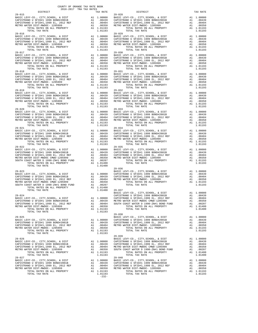| DISTRICT                                                                                                                                                                                                                                 |                           | TAX RATE                                                                                                                            |                                                        |
|------------------------------------------------------------------------------------------------------------------------------------------------------------------------------------------------------------------------------------------|---------------------------|-------------------------------------------------------------------------------------------------------------------------------------|--------------------------------------------------------|
| $29 - 015$                                                                                                                                                                                                                               |                           |                                                                                                                                     | 29-028                                                 |
|                                                                                                                                                                                                                                          |                           |                                                                                                                                     |                                                        |
| TOTAL TAX RATE                                                                                                                                                                                                                           |                           | 1.01193                                                                                                                             |                                                        |
| $29 - 018$                                                                                                                                                                                                                               |                           |                                                                                                                                     | $29 - 031$                                             |
| $29 - 019$                                                                                                                                                                                                                               |                           |                                                                                                                                     | $29 - 032$                                             |
|                                                                                                                                                                                                                                          |                           |                                                                                                                                     |                                                        |
| $29 - 021$<br>TOTAL RATES ON ALL PROPERTY<br>TOTAL TAX RATE                                                                                                                                                                              |                           | A1 .00350<br>A1 1.01193<br>1.01193                                                                                                  | $29 - 034$                                             |
| $29 - 022$                                                                                                                                                                                                                               |                           |                                                                                                                                     | $29 - 035$                                             |
| $29 - 023$                                                                                                                                                                                                                               |                           |                                                                                                                                     | $29 - 036$<br>BASIC L                                  |
| $29 - 024$<br>BASIC LEVY-CO., CITY, SCHOOL, & DIST A1 1.00000 CAPISTR<br>CAPISTRANO U SFID#1 1999 BOND#2001B<br>CAPISTRANO U SFID#1,1999 EL, 2012 REF<br>METRO WATER DIST-MWDOC- 1205999<br>TOTAL RATES ON ALL PROPERTY                  |                           | $1.01400$ $29-037$<br>A1 .00439<br>A1 1.01193                                                                                       | BASIC L<br>CAPISTR<br>METRO W<br>SOUTH C               |
| TOTAL TAX RATE<br>$29 - 025$<br>BASIC LEVY-CO., CITY, SCHOOL, & DIST<br>CAPISTRANO U SFID#1 1999 BOND#2001B<br>CAPISTRANO U SFID#1,1999 EL, 2012 REF<br>METRO WATER DIST-MWDOC- 1205999<br>TOTAL RATES ON ALL PROPERTY                   | A1<br>A1<br>$\mathbf{A1}$ | 1.01193<br>A1 1.00000<br>.00439<br>.00404<br>.00350<br>A1 1.01193                                                                   | $29 - 038$<br>BASIC L<br>CAPISTR<br>CAPISTR<br>METRO W |
| TOTAL TAX RATE<br>$29 - 026$<br>BASIC LEVY-CO., CITY, SCHOOL, & DIST<br>CAPISTRANO U SFID#1 1999 BOND#2001B<br>CAPISTRANO U SFID#1,1999 EL, 2012 REF<br>METRO WATER DIST-MWDOC- 1205999<br>TOTAL RATES ON ALL PROPERTY<br>TOTAL TAX RATE | A1<br>$\mathtt{Al}$       | 1.01193<br>A1 1.00000<br>1.00000 CAPISTR<br>.00439 CAPISTR<br>.00404 METROW<br>.00350 SOUTH C<br>A1 .00439<br>A1 1.01193<br>1.01193 | $29 - 039$<br>BASIC L                                  |
| $29 - 027$<br>BASIC LEVY-CO., CITY, SCHOOL, & DIST<br>CAPISTRANO U SFID#1 1999 BOND#2001B<br>CAPISTRANO U SFID#1,1999 EL, 2012 REF<br>METRO WATER DIST-MWDOC- 1205999                                                                    |                           | A1 1.00000<br>A1 .00439<br>A1 .00404 CAPISTR<br>A1 .00350 METROW                                                                    | $29 - 040$<br>BASIC L<br>CAPISTR                       |

| COUNTY OF ORANGE TAX RATE BOOK<br>2016-2017 TRA TAX RATES<br>$2016-2017\begin{array}{l} \text{ 1.4A} \text{ RATE BC} \\ \text{ 2016-2017} \text{ TRA} \text{ TAX RATES} \end{array}$                                                                                                                                                                                                     |            |                                      |          |
|------------------------------------------------------------------------------------------------------------------------------------------------------------------------------------------------------------------------------------------------------------------------------------------------------------------------------------------------------------------------------------------|------------|--------------------------------------|----------|
| $29 - 015$                                                                                                                                                                                                                                                                                                                                                                               | TAX RATE   | DISTRICT<br>$29 - 028$               | TAX RATE |
|                                                                                                                                                                                                                                                                                                                                                                                          |            |                                      |          |
|                                                                                                                                                                                                                                                                                                                                                                                          |            |                                      |          |
| $29 - 017$                                                                                                                                                                                                                                                                                                                                                                               | $29 - 030$ |                                      |          |
| $29 - 019$                                                                                                                                                                                                                                                                                                                                                                               |            |                                      |          |
|                                                                                                                                                                                                                                                                                                                                                                                          | $29 - 032$ |                                      |          |
|                                                                                                                                                                                                                                                                                                                                                                                          |            |                                      |          |
| $29 - 021$                                                                                                                                                                                                                                                                                                                                                                               |            | $29 - 034$                           |          |
|                                                                                                                                                                                                                                                                                                                                                                                          |            |                                      |          |
|                                                                                                                                                                                                                                                                                                                                                                                          |            |                                      |          |
|                                                                                                                                                                                                                                                                                                                                                                                          |            | BASIC LEVY-CO., CITY, SCHOOL, & DIST |          |
|                                                                                                                                                                                                                                                                                                                                                                                          |            |                                      |          |
| $\begin{tabular}{l c c c c} \multicolumn{1}{c}{29-026} & \multicolumn{1}{c}{29-039} & \multicolumn{1}{c}{29-039} & \multicolumn{1}{c}{29-039} & \multicolumn{1}{c}{29-039} & \multicolumn{1}{c}{29-039} & \multicolumn{1}{c}{29-039} & \multicolumn{1}{c}{29-039} & \multicolumn{1}{c}{29-039} & \multicolumn{1}{c}{29-039} & \multicolumn{1}{c}{29-039} & \multicolumn{1}{c}{20+037} &$ |            |                                      |          |
|                                                                                                                                                                                                                                                                                                                                                                                          |            |                                      |          |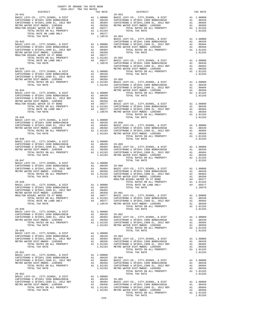| $\begin{minipage}{.4\linewidth} \begin{tabular}{lcccccc} \multicolumn{2}{c}{\textbf{0.1}} & \multicolumn{2}{c}{\textbf{0.1}} & \multicolumn{2}{c}{\textbf{0.1}} & \multicolumn{2}{c}{\textbf{0.1}} & \multicolumn{2}{c}{\textbf{0.1}} & \multicolumn{2}{c}{\textbf{0.1}} & \multicolumn{2}{c}{\textbf{0.1}} & \multicolumn{2}{c}{\textbf{0.1}} & \multicolumn{2}{c}{\textbf{0.1}} & \multicolumn{2}{c}{\textbf{0.1}} & \multicolumn{2}{c}{\textbf{0.1}} &$ |         |                                                                                                                                                                                                                                                                                                                                                                                                                  |          |
|------------------------------------------------------------------------------------------------------------------------------------------------------------------------------------------------------------------------------------------------------------------------------------------------------------------------------------------------------------------------------------------------------------------------------------------------------------|---------|------------------------------------------------------------------------------------------------------------------------------------------------------------------------------------------------------------------------------------------------------------------------------------------------------------------------------------------------------------------------------------------------------------------|----------|
| $29 - 041$                                                                                                                                                                                                                                                                                                                                                                                                                                                 |         |                                                                                                                                                                                                                                                                                                                                                                                                                  | TAX RATE |
|                                                                                                                                                                                                                                                                                                                                                                                                                                                            |         | $\begin{tabular}{l c c c c c} \multicolumn{1}{c}{\textbf{29-041}} & \multicolumn{1}{c}{29-054} \\ \multicolumn{1}{c}{\textbf{29-041}} & \multicolumn{1}{c}{\textbf{29-054}} & \multicolumn{1}{c}{\textbf{29-054}} & \multicolumn{1}{c}{\textbf{29-054}} & \multicolumn{1}{c}{\textbf{29-054}} & \multicolumn{1}{c}{\textbf{29-054}} & \multicolumn{1}{c}{\textbf{29-054}} \\ \multicolumn{1}{c}{\textbf{RATES}}$ |          |
|                                                                                                                                                                                                                                                                                                                                                                                                                                                            |         |                                                                                                                                                                                                                                                                                                                                                                                                                  |          |
|                                                                                                                                                                                                                                                                                                                                                                                                                                                            |         |                                                                                                                                                                                                                                                                                                                                                                                                                  |          |
|                                                                                                                                                                                                                                                                                                                                                                                                                                                            |         |                                                                                                                                                                                                                                                                                                                                                                                                                  |          |
|                                                                                                                                                                                                                                                                                                                                                                                                                                                            |         |                                                                                                                                                                                                                                                                                                                                                                                                                  |          |
| TOTAL RATE ON LAND ONLY $\begin{bmatrix} 1.0197 \\ 2.9-044 \\ 2.9-045 \\ 2.9-045 \\ 2.9-045 \\ 2.9-045 \\ 2.9-045 \\ 2.9-045 \\ 2.9-045 \\ 2.9-045 \\ 2.9-045 \\ 2.9-045 \\ 2.9-045 \\ 2.9-045 \\ 2.9-045 \\ 2.9-045 \\ 2.9-045 \\ 2.9-045 \\ 2.9-045 \\ 2.9-045 \\ 2.9-045 \\ 2$                                                                                                                                                                          |         |                                                                                                                                                                                                                                                                                                                                                                                                                  |          |
|                                                                                                                                                                                                                                                                                                                                                                                                                                                            |         |                                                                                                                                                                                                                                                                                                                                                                                                                  |          |
|                                                                                                                                                                                                                                                                                                                                                                                                                                                            |         |                                                                                                                                                                                                                                                                                                                                                                                                                  |          |
|                                                                                                                                                                                                                                                                                                                                                                                                                                                            |         |                                                                                                                                                                                                                                                                                                                                                                                                                  |          |
|                                                                                                                                                                                                                                                                                                                                                                                                                                                            |         |                                                                                                                                                                                                                                                                                                                                                                                                                  |          |
|                                                                                                                                                                                                                                                                                                                                                                                                                                                            |         |                                                                                                                                                                                                                                                                                                                                                                                                                  |          |
|                                                                                                                                                                                                                                                                                                                                                                                                                                                            |         |                                                                                                                                                                                                                                                                                                                                                                                                                  |          |
|                                                                                                                                                                                                                                                                                                                                                                                                                                                            |         |                                                                                                                                                                                                                                                                                                                                                                                                                  |          |
|                                                                                                                                                                                                                                                                                                                                                                                                                                                            |         |                                                                                                                                                                                                                                                                                                                                                                                                                  |          |
|                                                                                                                                                                                                                                                                                                                                                                                                                                                            |         |                                                                                                                                                                                                                                                                                                                                                                                                                  |          |
|                                                                                                                                                                                                                                                                                                                                                                                                                                                            |         |                                                                                                                                                                                                                                                                                                                                                                                                                  |          |
|                                                                                                                                                                                                                                                                                                                                                                                                                                                            |         |                                                                                                                                                                                                                                                                                                                                                                                                                  |          |
|                                                                                                                                                                                                                                                                                                                                                                                                                                                            |         |                                                                                                                                                                                                                                                                                                                                                                                                                  |          |
|                                                                                                                                                                                                                                                                                                                                                                                                                                                            |         |                                                                                                                                                                                                                                                                                                                                                                                                                  |          |
|                                                                                                                                                                                                                                                                                                                                                                                                                                                            |         |                                                                                                                                                                                                                                                                                                                                                                                                                  |          |
|                                                                                                                                                                                                                                                                                                                                                                                                                                                            |         |                                                                                                                                                                                                                                                                                                                                                                                                                  |          |
|                                                                                                                                                                                                                                                                                                                                                                                                                                                            |         |                                                                                                                                                                                                                                                                                                                                                                                                                  |          |
|                                                                                                                                                                                                                                                                                                                                                                                                                                                            |         |                                                                                                                                                                                                                                                                                                                                                                                                                  |          |
|                                                                                                                                                                                                                                                                                                                                                                                                                                                            |         |                                                                                                                                                                                                                                                                                                                                                                                                                  |          |
|                                                                                                                                                                                                                                                                                                                                                                                                                                                            |         |                                                                                                                                                                                                                                                                                                                                                                                                                  |          |
|                                                                                                                                                                                                                                                                                                                                                                                                                                                            |         |                                                                                                                                                                                                                                                                                                                                                                                                                  |          |
|                                                                                                                                                                                                                                                                                                                                                                                                                                                            |         |                                                                                                                                                                                                                                                                                                                                                                                                                  |          |
|                                                                                                                                                                                                                                                                                                                                                                                                                                                            |         |                                                                                                                                                                                                                                                                                                                                                                                                                  |          |
|                                                                                                                                                                                                                                                                                                                                                                                                                                                            |         |                                                                                                                                                                                                                                                                                                                                                                                                                  |          |
|                                                                                                                                                                                                                                                                                                                                                                                                                                                            |         |                                                                                                                                                                                                                                                                                                                                                                                                                  |          |
|                                                                                                                                                                                                                                                                                                                                                                                                                                                            |         |                                                                                                                                                                                                                                                                                                                                                                                                                  |          |
|                                                                                                                                                                                                                                                                                                                                                                                                                                                            |         |                                                                                                                                                                                                                                                                                                                                                                                                                  |          |
|                                                                                                                                                                                                                                                                                                                                                                                                                                                            |         |                                                                                                                                                                                                                                                                                                                                                                                                                  |          |
|                                                                                                                                                                                                                                                                                                                                                                                                                                                            |         |                                                                                                                                                                                                                                                                                                                                                                                                                  |          |
|                                                                                                                                                                                                                                                                                                                                                                                                                                                            |         |                                                                                                                                                                                                                                                                                                                                                                                                                  |          |
|                                                                                                                                                                                                                                                                                                                                                                                                                                                            |         |                                                                                                                                                                                                                                                                                                                                                                                                                  |          |
|                                                                                                                                                                                                                                                                                                                                                                                                                                                            |         |                                                                                                                                                                                                                                                                                                                                                                                                                  |          |
|                                                                                                                                                                                                                                                                                                                                                                                                                                                            |         |                                                                                                                                                                                                                                                                                                                                                                                                                  |          |
|                                                                                                                                                                                                                                                                                                                                                                                                                                                            |         |                                                                                                                                                                                                                                                                                                                                                                                                                  |          |
|                                                                                                                                                                                                                                                                                                                                                                                                                                                            |         |                                                                                                                                                                                                                                                                                                                                                                                                                  |          |
|                                                                                                                                                                                                                                                                                                                                                                                                                                                            |         |                                                                                                                                                                                                                                                                                                                                                                                                                  |          |
|                                                                                                                                                                                                                                                                                                                                                                                                                                                            |         |                                                                                                                                                                                                                                                                                                                                                                                                                  |          |
|                                                                                                                                                                                                                                                                                                                                                                                                                                                            |         |                                                                                                                                                                                                                                                                                                                                                                                                                  |          |
|                                                                                                                                                                                                                                                                                                                                                                                                                                                            |         |                                                                                                                                                                                                                                                                                                                                                                                                                  |          |
|                                                                                                                                                                                                                                                                                                                                                                                                                                                            |         |                                                                                                                                                                                                                                                                                                                                                                                                                  |          |
|                                                                                                                                                                                                                                                                                                                                                                                                                                                            |         | $\begin{tabular}{@{}c@{}}\hline 29-046 & 101193 \\ \hline \textbf{BASIC LEVY-CO.}, & CITY, SCHOOL, & 5 DIST & \textbf{A1 } 1.00000 \\ \hline \textbf{CAPISTRAMO U SFDH1 1999 BONDH2001B} & \textbf{A1 } 1.00000 \\ \hline \textbf{CAPISTRAMO U SFDH1 1999 BONDH2001B} & \textbf{A1 } 0.00459 \\ \hline \textbf{ARTDS WATER DISTH-MDO C} & 1205999 & \textbf{A1 } 0.00$                                           |          |
|                                                                                                                                                                                                                                                                                                                                                                                                                                                            |         |                                                                                                                                                                                                                                                                                                                                                                                                                  |          |
|                                                                                                                                                                                                                                                                                                                                                                                                                                                            |         |                                                                                                                                                                                                                                                                                                                                                                                                                  |          |
|                                                                                                                                                                                                                                                                                                                                                                                                                                                            |         |                                                                                                                                                                                                                                                                                                                                                                                                                  |          |
|                                                                                                                                                                                                                                                                                                                                                                                                                                                            |         |                                                                                                                                                                                                                                                                                                                                                                                                                  |          |
|                                                                                                                                                                                                                                                                                                                                                                                                                                                            |         |                                                                                                                                                                                                                                                                                                                                                                                                                  |          |
|                                                                                                                                                                                                                                                                                                                                                                                                                                                            |         |                                                                                                                                                                                                                                                                                                                                                                                                                  |          |
|                                                                                                                                                                                                                                                                                                                                                                                                                                                            |         |                                                                                                                                                                                                                                                                                                                                                                                                                  |          |
|                                                                                                                                                                                                                                                                                                                                                                                                                                                            |         |                                                                                                                                                                                                                                                                                                                                                                                                                  |          |
|                                                                                                                                                                                                                                                                                                                                                                                                                                                            |         |                                                                                                                                                                                                                                                                                                                                                                                                                  |          |
|                                                                                                                                                                                                                                                                                                                                                                                                                                                            |         |                                                                                                                                                                                                                                                                                                                                                                                                                  |          |
|                                                                                                                                                                                                                                                                                                                                                                                                                                                            |         |                                                                                                                                                                                                                                                                                                                                                                                                                  |          |
|                                                                                                                                                                                                                                                                                                                                                                                                                                                            |         |                                                                                                                                                                                                                                                                                                                                                                                                                  |          |
|                                                                                                                                                                                                                                                                                                                                                                                                                                                            |         |                                                                                                                                                                                                                                                                                                                                                                                                                  |          |
|                                                                                                                                                                                                                                                                                                                                                                                                                                                            |         |                                                                                                                                                                                                                                                                                                                                                                                                                  |          |
|                                                                                                                                                                                                                                                                                                                                                                                                                                                            |         |                                                                                                                                                                                                                                                                                                                                                                                                                  |          |
|                                                                                                                                                                                                                                                                                                                                                                                                                                                            |         |                                                                                                                                                                                                                                                                                                                                                                                                                  |          |
|                                                                                                                                                                                                                                                                                                                                                                                                                                                            |         |                                                                                                                                                                                                                                                                                                                                                                                                                  |          |
|                                                                                                                                                                                                                                                                                                                                                                                                                                                            |         | $\begin{tabular}{l c c c c c} \hline \texttt{TOTAL TAA RATE} & \texttt{RATE} & \texttt{1.00000} & \texttt{101m} & \texttt{1.0000} \\ \hline \texttt{RASEC LEVY-CO., CITY, SCHOOL, & \texttt{EDTT} & \texttt{A1 1.00000} & \texttt{101m} & \texttt{1.0000} \\ \texttt{CAPISTRANO U SFID#1,1999 EL, 2012 REF} & \texttt{A1 1.00439} & \texttt{29-063} & \texttt{1.01493} & \$                                      |          |
|                                                                                                                                                                                                                                                                                                                                                                                                                                                            |         |                                                                                                                                                                                                                                                                                                                                                                                                                  |          |
|                                                                                                                                                                                                                                                                                                                                                                                                                                                            |         |                                                                                                                                                                                                                                                                                                                                                                                                                  |          |
|                                                                                                                                                                                                                                                                                                                                                                                                                                                            |         |                                                                                                                                                                                                                                                                                                                                                                                                                  |          |
|                                                                                                                                                                                                                                                                                                                                                                                                                                                            |         |                                                                                                                                                                                                                                                                                                                                                                                                                  |          |
|                                                                                                                                                                                                                                                                                                                                                                                                                                                            |         |                                                                                                                                                                                                                                                                                                                                                                                                                  |          |
|                                                                                                                                                                                                                                                                                                                                                                                                                                                            |         |                                                                                                                                                                                                                                                                                                                                                                                                                  |          |
|                                                                                                                                                                                                                                                                                                                                                                                                                                                            |         |                                                                                                                                                                                                                                                                                                                                                                                                                  |          |
|                                                                                                                                                                                                                                                                                                                                                                                                                                                            |         |                                                                                                                                                                                                                                                                                                                                                                                                                  |          |
|                                                                                                                                                                                                                                                                                                                                                                                                                                                            |         |                                                                                                                                                                                                                                                                                                                                                                                                                  |          |
|                                                                                                                                                                                                                                                                                                                                                                                                                                                            |         | $\begin{tabular}{lllllllllllllllllllllll} \begin{tabular}{l} \multicolumn{4}{c} {\bf TOTAL RATES & 0N ALL FNCFAL1}\\ \hline 29-052 & {\bf TOTAL RATES & 0N ALL FNCFAL11}\\ \hline CAPISTSRANO U SFIDH1 1999 BONDH2001B & 01 & 00439 & 29-065\\ \hline \multicolumn{4}{c} {\bf APISTRO WATERO U STDFI1} & 1999 BONDF3001B & 01 & 00439 & 01 & 01043\\ \hline \multicolumn{4}{c} {\bf APISTRO WATERD U STDF$       |          |
|                                                                                                                                                                                                                                                                                                                                                                                                                                                            | $-233-$ |                                                                                                                                                                                                                                                                                                                                                                                                                  |          |
|                                                                                                                                                                                                                                                                                                                                                                                                                                                            |         |                                                                                                                                                                                                                                                                                                                                                                                                                  |          |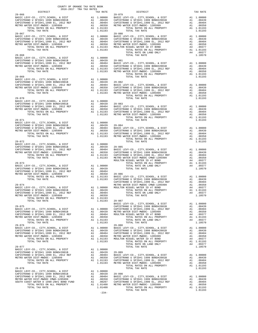| COUNTY OF ORANGE TAX RATE BOOK<br>2016-2017 TRA TAX RATES |  |         |                   |          |  |  |  |
|-----------------------------------------------------------|--|---------|-------------------|----------|--|--|--|
| DISTRICT<br>$29 - 066$                                    |  |         | TAX RATE DISTRICT | TAX RATE |  |  |  |
|                                                           |  |         |                   |          |  |  |  |
| $29 - 067$                                                |  |         | $29 - 080$        |          |  |  |  |
|                                                           |  |         |                   |          |  |  |  |
|                                                           |  |         |                   |          |  |  |  |
|                                                           |  |         |                   |          |  |  |  |
|                                                           |  |         |                   |          |  |  |  |
|                                                           |  |         |                   |          |  |  |  |
|                                                           |  |         |                   |          |  |  |  |
|                                                           |  |         | TOTAL TAX RATE    |          |  |  |  |
|                                                           |  |         |                   |          |  |  |  |
|                                                           |  |         |                   |          |  |  |  |
|                                                           |  |         |                   |          |  |  |  |
|                                                           |  |         |                   |          |  |  |  |
|                                                           |  |         |                   |          |  |  |  |
|                                                           |  |         |                   |          |  |  |  |
|                                                           |  |         |                   |          |  |  |  |
|                                                           |  |         |                   |          |  |  |  |
|                                                           |  |         |                   |          |  |  |  |
|                                                           |  |         |                   |          |  |  |  |
|                                                           |  |         |                   |          |  |  |  |
|                                                           |  |         |                   |          |  |  |  |
|                                                           |  |         |                   |          |  |  |  |
|                                                           |  |         |                   |          |  |  |  |
|                                                           |  |         |                   |          |  |  |  |
|                                                           |  |         |                   |          |  |  |  |
|                                                           |  |         |                   |          |  |  |  |
|                                                           |  |         |                   |          |  |  |  |
|                                                           |  |         |                   |          |  |  |  |
|                                                           |  |         |                   |          |  |  |  |
|                                                           |  |         |                   |          |  |  |  |
|                                                           |  |         |                   |          |  |  |  |
|                                                           |  |         |                   |          |  |  |  |
|                                                           |  |         |                   |          |  |  |  |
|                                                           |  |         |                   |          |  |  |  |
|                                                           |  |         |                   |          |  |  |  |
|                                                           |  |         |                   |          |  |  |  |
|                                                           |  |         |                   |          |  |  |  |
|                                                           |  | $-234-$ |                   |          |  |  |  |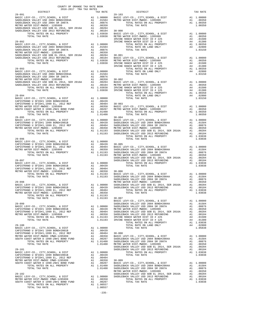| e de la componente de la componente de la componente de la componente de la componente de la componente de la<br>Entre de la componente de la componente de la componente de la componente de la componente de la componente de<br>TOTAL TAX RATE<br>1.01193 30-007 | TAX RATE |
|---------------------------------------------------------------------------------------------------------------------------------------------------------------------------------------------------------------------------------------------------------------------|----------|
|                                                                                                                                                                                                                                                                     |          |
|                                                                                                                                                                                                                                                                     |          |
|                                                                                                                                                                                                                                                                     |          |
|                                                                                                                                                                                                                                                                     |          |
|                                                                                                                                                                                                                                                                     |          |
|                                                                                                                                                                                                                                                                     |          |
|                                                                                                                                                                                                                                                                     |          |
|                                                                                                                                                                                                                                                                     |          |
|                                                                                                                                                                                                                                                                     |          |
|                                                                                                                                                                                                                                                                     |          |
|                                                                                                                                                                                                                                                                     |          |
|                                                                                                                                                                                                                                                                     |          |
|                                                                                                                                                                                                                                                                     |          |
|                                                                                                                                                                                                                                                                     |          |
|                                                                                                                                                                                                                                                                     |          |
|                                                                                                                                                                                                                                                                     |          |
|                                                                                                                                                                                                                                                                     |          |
|                                                                                                                                                                                                                                                                     |          |
|                                                                                                                                                                                                                                                                     |          |
|                                                                                                                                                                                                                                                                     |          |
|                                                                                                                                                                                                                                                                     |          |
|                                                                                                                                                                                                                                                                     |          |
|                                                                                                                                                                                                                                                                     |          |
|                                                                                                                                                                                                                                                                     |          |
|                                                                                                                                                                                                                                                                     |          |
|                                                                                                                                                                                                                                                                     |          |
|                                                                                                                                                                                                                                                                     |          |
|                                                                                                                                                                                                                                                                     |          |
|                                                                                                                                                                                                                                                                     |          |
|                                                                                                                                                                                                                                                                     |          |
|                                                                                                                                                                                                                                                                     |          |
|                                                                                                                                                                                                                                                                     |          |
|                                                                                                                                                                                                                                                                     |          |
|                                                                                                                                                                                                                                                                     |          |
|                                                                                                                                                                                                                                                                     |          |
|                                                                                                                                                                                                                                                                     |          |
|                                                                                                                                                                                                                                                                     |          |
|                                                                                                                                                                                                                                                                     |          |
|                                                                                                                                                                                                                                                                     |          |
|                                                                                                                                                                                                                                                                     |          |
|                                                                                                                                                                                                                                                                     |          |
|                                                                                                                                                                                                                                                                     |          |
|                                                                                                                                                                                                                                                                     |          |
|                                                                                                                                                                                                                                                                     |          |
|                                                                                                                                                                                                                                                                     |          |
|                                                                                                                                                                                                                                                                     |          |
|                                                                                                                                                                                                                                                                     |          |
|                                                                                                                                                                                                                                                                     |          |
|                                                                                                                                                                                                                                                                     |          |
|                                                                                                                                                                                                                                                                     |          |
|                                                                                                                                                                                                                                                                     |          |
|                                                                                                                                                                                                                                                                     |          |
|                                                                                                                                                                                                                                                                     |          |
|                                                                                                                                                                                                                                                                     |          |
|                                                                                                                                                                                                                                                                     |          |
|                                                                                                                                                                                                                                                                     |          |
|                                                                                                                                                                                                                                                                     |          |
|                                                                                                                                                                                                                                                                     |          |
|                                                                                                                                                                                                                                                                     |          |
|                                                                                                                                                                                                                                                                     |          |
|                                                                                                                                                                                                                                                                     |          |
|                                                                                                                                                                                                                                                                     |          |
|                                                                                                                                                                                                                                                                     |          |
|                                                                                                                                                                                                                                                                     |          |
|                                                                                                                                                                                                                                                                     |          |
|                                                                                                                                                                                                                                                                     |          |
|                                                                                                                                                                                                                                                                     |          |
|                                                                                                                                                                                                                                                                     |          |
|                                                                                                                                                                                                                                                                     |          |
|                                                                                                                                                                                                                                                                     |          |
|                                                                                                                                                                                                                                                                     |          |

-235-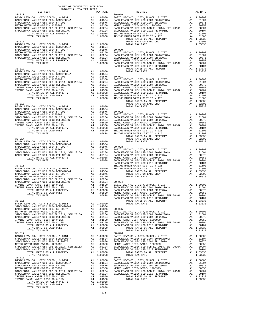| COUNTY OF ORANGE TAX RATE BOOK<br>2016-2017 TRA TAX RATES<br>$2016-2017\begin{array}{l} \texttt{?} \\ \texttt{TRA} \\ \texttt{TRA} \\ \texttt{RATES} \end{array}$ DISTRICT |          |                                                                                                                                                                                                                                                                                                                                                                                                                                            |          |
|----------------------------------------------------------------------------------------------------------------------------------------------------------------------------|----------|--------------------------------------------------------------------------------------------------------------------------------------------------------------------------------------------------------------------------------------------------------------------------------------------------------------------------------------------------------------------------------------------------------------------------------------------|----------|
|                                                                                                                                                                            | TAX RATE | DISTRICT<br>$\begin{tabular}{l c c c c} \multicolumn{4}{c}{DISTRICT} & \multicolumn{4}{c}{DISTRICT} & \multicolumn{4}{c}{\textbf{20-010}} & \multicolumn{4}{c}{DISTRICT} & \multicolumn{4}{c}{\textbf{20-010}} & \multicolumn{4}{c}{\textbf{20-010}} & \multicolumn{4}{c}{\textbf{20-010}} & \multicolumn{4}{c}{\textbf{20-010}} & \multicolumn{4}{c}{\textbf{20-010}} & \multicolumn{4}{c}{\textbf{20-010}} & \multicolumn{4}{c}{\textbf$ | TAX RATE |
|                                                                                                                                                                            |          |                                                                                                                                                                                                                                                                                                                                                                                                                                            |          |
|                                                                                                                                                                            |          |                                                                                                                                                                                                                                                                                                                                                                                                                                            |          |
|                                                                                                                                                                            |          |                                                                                                                                                                                                                                                                                                                                                                                                                                            |          |
|                                                                                                                                                                            |          |                                                                                                                                                                                                                                                                                                                                                                                                                                            |          |
|                                                                                                                                                                            |          |                                                                                                                                                                                                                                                                                                                                                                                                                                            |          |
|                                                                                                                                                                            |          |                                                                                                                                                                                                                                                                                                                                                                                                                                            |          |
|                                                                                                                                                                            |          |                                                                                                                                                                                                                                                                                                                                                                                                                                            |          |
|                                                                                                                                                                            |          |                                                                                                                                                                                                                                                                                                                                                                                                                                            |          |
|                                                                                                                                                                            |          |                                                                                                                                                                                                                                                                                                                                                                                                                                            |          |
|                                                                                                                                                                            |          |                                                                                                                                                                                                                                                                                                                                                                                                                                            |          |
|                                                                                                                                                                            |          |                                                                                                                                                                                                                                                                                                                                                                                                                                            |          |
|                                                                                                                                                                            |          |                                                                                                                                                                                                                                                                                                                                                                                                                                            |          |
|                                                                                                                                                                            |          |                                                                                                                                                                                                                                                                                                                                                                                                                                            |          |
|                                                                                                                                                                            |          |                                                                                                                                                                                                                                                                                                                                                                                                                                            |          |
|                                                                                                                                                                            |          |                                                                                                                                                                                                                                                                                                                                                                                                                                            |          |
|                                                                                                                                                                            |          |                                                                                                                                                                                                                                                                                                                                                                                                                                            |          |
|                                                                                                                                                                            |          |                                                                                                                                                                                                                                                                                                                                                                                                                                            |          |
|                                                                                                                                                                            |          |                                                                                                                                                                                                                                                                                                                                                                                                                                            |          |
|                                                                                                                                                                            |          |                                                                                                                                                                                                                                                                                                                                                                                                                                            |          |
|                                                                                                                                                                            |          |                                                                                                                                                                                                                                                                                                                                                                                                                                            |          |
|                                                                                                                                                                            |          |                                                                                                                                                                                                                                                                                                                                                                                                                                            |          |
|                                                                                                                                                                            |          |                                                                                                                                                                                                                                                                                                                                                                                                                                            |          |
|                                                                                                                                                                            |          |                                                                                                                                                                                                                                                                                                                                                                                                                                            |          |
|                                                                                                                                                                            |          |                                                                                                                                                                                                                                                                                                                                                                                                                                            |          |
|                                                                                                                                                                            |          |                                                                                                                                                                                                                                                                                                                                                                                                                                            |          |
|                                                                                                                                                                            |          |                                                                                                                                                                                                                                                                                                                                                                                                                                            |          |
|                                                                                                                                                                            |          |                                                                                                                                                                                                                                                                                                                                                                                                                                            |          |
|                                                                                                                                                                            |          |                                                                                                                                                                                                                                                                                                                                                                                                                                            |          |
|                                                                                                                                                                            |          |                                                                                                                                                                                                                                                                                                                                                                                                                                            |          |
|                                                                                                                                                                            |          |                                                                                                                                                                                                                                                                                                                                                                                                                                            |          |
|                                                                                                                                                                            |          |                                                                                                                                                                                                                                                                                                                                                                                                                                            |          |
|                                                                                                                                                                            |          |                                                                                                                                                                                                                                                                                                                                                                                                                                            |          |
|                                                                                                                                                                            |          |                                                                                                                                                                                                                                                                                                                                                                                                                                            |          |
|                                                                                                                                                                            |          |                                                                                                                                                                                                                                                                                                                                                                                                                                            |          |
|                                                                                                                                                                            |          |                                                                                                                                                                                                                                                                                                                                                                                                                                            |          |
|                                                                                                                                                                            |          |                                                                                                                                                                                                                                                                                                                                                                                                                                            |          |
|                                                                                                                                                                            |          |                                                                                                                                                                                                                                                                                                                                                                                                                                            |          |
|                                                                                                                                                                            |          |                                                                                                                                                                                                                                                                                                                                                                                                                                            |          |
|                                                                                                                                                                            |          |                                                                                                                                                                                                                                                                                                                                                                                                                                            |          |
|                                                                                                                                                                            |          |                                                                                                                                                                                                                                                                                                                                                                                                                                            |          |
|                                                                                                                                                                            |          |                                                                                                                                                                                                                                                                                                                                                                                                                                            |          |
|                                                                                                                                                                            |          |                                                                                                                                                                                                                                                                                                                                                                                                                                            |          |
|                                                                                                                                                                            |          |                                                                                                                                                                                                                                                                                                                                                                                                                                            |          |
|                                                                                                                                                                            |          |                                                                                                                                                                                                                                                                                                                                                                                                                                            |          |
|                                                                                                                                                                            |          |                                                                                                                                                                                                                                                                                                                                                                                                                                            |          |
|                                                                                                                                                                            |          |                                                                                                                                                                                                                                                                                                                                                                                                                                            |          |
|                                                                                                                                                                            |          |                                                                                                                                                                                                                                                                                                                                                                                                                                            |          |
|                                                                                                                                                                            |          |                                                                                                                                                                                                                                                                                                                                                                                                                                            |          |
|                                                                                                                                                                            |          |                                                                                                                                                                                                                                                                                                                                                                                                                                            |          |
|                                                                                                                                                                            |          |                                                                                                                                                                                                                                                                                                                                                                                                                                            |          |
|                                                                                                                                                                            |          |                                                                                                                                                                                                                                                                                                                                                                                                                                            |          |
|                                                                                                                                                                            |          |                                                                                                                                                                                                                                                                                                                                                                                                                                            |          |
|                                                                                                                                                                            |          |                                                                                                                                                                                                                                                                                                                                                                                                                                            |          |
|                                                                                                                                                                            |          |                                                                                                                                                                                                                                                                                                                                                                                                                                            |          |
|                                                                                                                                                                            |          |                                                                                                                                                                                                                                                                                                                                                                                                                                            |          |
|                                                                                                                                                                            |          |                                                                                                                                                                                                                                                                                                                                                                                                                                            |          |
|                                                                                                                                                                            |          |                                                                                                                                                                                                                                                                                                                                                                                                                                            |          |
|                                                                                                                                                                            |          |                                                                                                                                                                                                                                                                                                                                                                                                                                            |          |
|                                                                                                                                                                            |          |                                                                                                                                                                                                                                                                                                                                                                                                                                            |          |
|                                                                                                                                                                            |          |                                                                                                                                                                                                                                                                                                                                                                                                                                            |          |
|                                                                                                                                                                            |          |                                                                                                                                                                                                                                                                                                                                                                                                                                            |          |
|                                                                                                                                                                            |          |                                                                                                                                                                                                                                                                                                                                                                                                                                            |          |
|                                                                                                                                                                            |          |                                                                                                                                                                                                                                                                                                                                                                                                                                            |          |
|                                                                                                                                                                            |          |                                                                                                                                                                                                                                                                                                                                                                                                                                            |          |
|                                                                                                                                                                            |          |                                                                                                                                                                                                                                                                                                                                                                                                                                            |          |
|                                                                                                                                                                            |          | $\begin{tabular}{c cccc} {\bf TUTAL { { {ARTE}} } & {\bf{1.05538}} & {\bf{1.05838}} & {\bf{1.05838}} & {\bf{1.05838}} & {\bf{1.05838}} & {\bf{1.05838}} & {\bf{1.05838}} & {\bf{1.05838}} & {\bf{1.05838}} & {\bf{1.05838}} & {\bf{1.05838}} & {\bf{1.05838}} & {\bf{1.05838}} & {\bf{1.05838}} & {\bf{1.05838}} & {\bf{1.05838}} & {\bf{1.$                                                                                               |          |
|                                                                                                                                                                            |          |                                                                                                                                                                                                                                                                                                                                                                                                                                            |          |
|                                                                                                                                                                            |          |                                                                                                                                                                                                                                                                                                                                                                                                                                            |          |
|                                                                                                                                                                            |          |                                                                                                                                                                                                                                                                                                                                                                                                                                            |          |
|                                                                                                                                                                            |          |                                                                                                                                                                                                                                                                                                                                                                                                                                            |          |
|                                                                                                                                                                            |          |                                                                                                                                                                                                                                                                                                                                                                                                                                            |          |
|                                                                                                                                                                            |          |                                                                                                                                                                                                                                                                                                                                                                                                                                            |          |
|                                                                                                                                                                            |          |                                                                                                                                                                                                                                                                                                                                                                                                                                            |          |
|                                                                                                                                                                            |          |                                                                                                                                                                                                                                                                                                                                                                                                                                            |          |
|                                                                                                                                                                            |          |                                                                                                                                                                                                                                                                                                                                                                                                                                            |          |
|                                                                                                                                                                            |          |                                                                                                                                                                                                                                                                                                                                                                                                                                            |          |
|                                                                                                                                                                            |          |                                                                                                                                                                                                                                                                                                                                                                                                                                            |          |
|                                                                                                                                                                            |          |                                                                                                                                                                                                                                                                                                                                                                                                                                            |          |
|                                                                                                                                                                            |          |                                                                                                                                                                                                                                                                                                                                                                                                                                            |          |
|                                                                                                                                                                            |          |                                                                                                                                                                                                                                                                                                                                                                                                                                            |          |
|                                                                                                                                                                            |          |                                                                                                                                                                                                                                                                                                                                                                                                                                            |          |
|                                                                                                                                                                            |          |                                                                                                                                                                                                                                                                                                                                                                                                                                            |          |
|                                                                                                                                                                            |          |                                                                                                                                                                                                                                                                                                                                                                                                                                            |          |
|                                                                                                                                                                            |          |                                                                                                                                                                                                                                                                                                                                                                                                                                            |          |
|                                                                                                                                                                            |          |                                                                                                                                                                                                                                                                                                                                                                                                                                            |          |
|                                                                                                                                                                            |          |                                                                                                                                                                                                                                                                                                                                                                                                                                            |          |
|                                                                                                                                                                            |          |                                                                                                                                                                                                                                                                                                                                                                                                                                            |          |
|                                                                                                                                                                            | $-236-$  |                                                                                                                                                                                                                                                                                                                                                                                                                                            |          |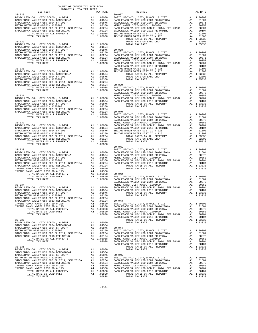| COUNTY OF ORANGE TAX RATE BOOK<br>2016-2017 TRA TAX RATES<br>$2016-2017\begin{array}{l} \texttt{?} \\ \texttt{TRA} \\ \texttt{TRA} \\ \texttt{RATES} \end{array}$ DISTRICT |          |            |          |
|----------------------------------------------------------------------------------------------------------------------------------------------------------------------------|----------|------------|----------|
|                                                                                                                                                                            | TAX RATE | DISTRICT   | TAX RATE |
|                                                                                                                                                                            |          |            |          |
|                                                                                                                                                                            |          |            |          |
|                                                                                                                                                                            |          |            |          |
|                                                                                                                                                                            |          |            |          |
|                                                                                                                                                                            |          |            |          |
|                                                                                                                                                                            |          |            |          |
|                                                                                                                                                                            |          |            |          |
|                                                                                                                                                                            |          |            |          |
|                                                                                                                                                                            |          |            |          |
|                                                                                                                                                                            |          |            |          |
|                                                                                                                                                                            |          |            |          |
|                                                                                                                                                                            |          |            |          |
|                                                                                                                                                                            |          |            |          |
|                                                                                                                                                                            |          |            |          |
|                                                                                                                                                                            |          |            |          |
|                                                                                                                                                                            |          |            |          |
|                                                                                                                                                                            |          |            |          |
|                                                                                                                                                                            |          |            |          |
|                                                                                                                                                                            |          | $30 - 041$ |          |
|                                                                                                                                                                            |          |            |          |
|                                                                                                                                                                            |          |            |          |
|                                                                                                                                                                            |          |            |          |
|                                                                                                                                                                            |          |            |          |
|                                                                                                                                                                            |          |            |          |
|                                                                                                                                                                            |          |            |          |
|                                                                                                                                                                            |          |            |          |
|                                                                                                                                                                            |          |            |          |
|                                                                                                                                                                            |          |            |          |
|                                                                                                                                                                            |          |            |          |
|                                                                                                                                                                            |          |            |          |
|                                                                                                                                                                            |          |            |          |
|                                                                                                                                                                            |          |            |          |
|                                                                                                                                                                            |          |            |          |
|                                                                                                                                                                            |          |            |          |
|                                                                                                                                                                            |          |            |          |
|                                                                                                                                                                            |          |            |          |
|                                                                                                                                                                            |          |            |          |
|                                                                                                                                                                            |          |            |          |
|                                                                                                                                                                            |          |            |          |
|                                                                                                                                                                            |          |            |          |
|                                                                                                                                                                            |          |            |          |
|                                                                                                                                                                            |          |            |          |
|                                                                                                                                                                            |          |            |          |
|                                                                                                                                                                            |          |            |          |
|                                                                                                                                                                            |          |            |          |
|                                                                                                                                                                            |          |            |          |
|                                                                                                                                                                            |          |            |          |
|                                                                                                                                                                            |          |            |          |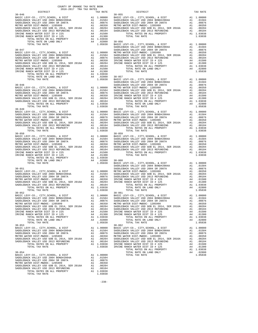| 2016-2017 TRA TAX RATES<br>DISTRICT | TAX RATE | DISTRICT                                                                                                                                                                                                                                                                                                                                                                                         | TAX RATE |
|-------------------------------------|----------|--------------------------------------------------------------------------------------------------------------------------------------------------------------------------------------------------------------------------------------------------------------------------------------------------------------------------------------------------------------------------------------------------|----------|
|                                     |          | $30 - 055$                                                                                                                                                                                                                                                                                                                                                                                       |          |
|                                     |          |                                                                                                                                                                                                                                                                                                                                                                                                  |          |
|                                     |          |                                                                                                                                                                                                                                                                                                                                                                                                  |          |
|                                     |          |                                                                                                                                                                                                                                                                                                                                                                                                  |          |
|                                     |          |                                                                                                                                                                                                                                                                                                                                                                                                  |          |
|                                     |          |                                                                                                                                                                                                                                                                                                                                                                                                  |          |
|                                     |          |                                                                                                                                                                                                                                                                                                                                                                                                  |          |
|                                     |          |                                                                                                                                                                                                                                                                                                                                                                                                  |          |
|                                     |          |                                                                                                                                                                                                                                                                                                                                                                                                  |          |
|                                     |          |                                                                                                                                                                                                                                                                                                                                                                                                  |          |
|                                     |          |                                                                                                                                                                                                                                                                                                                                                                                                  |          |
|                                     |          |                                                                                                                                                                                                                                                                                                                                                                                                  |          |
|                                     |          |                                                                                                                                                                                                                                                                                                                                                                                                  |          |
|                                     |          |                                                                                                                                                                                                                                                                                                                                                                                                  |          |
|                                     |          |                                                                                                                                                                                                                                                                                                                                                                                                  |          |
|                                     |          |                                                                                                                                                                                                                                                                                                                                                                                                  |          |
|                                     |          |                                                                                                                                                                                                                                                                                                                                                                                                  |          |
|                                     |          |                                                                                                                                                                                                                                                                                                                                                                                                  |          |
|                                     |          |                                                                                                                                                                                                                                                                                                                                                                                                  |          |
|                                     |          |                                                                                                                                                                                                                                                                                                                                                                                                  |          |
|                                     |          |                                                                                                                                                                                                                                                                                                                                                                                                  |          |
|                                     |          |                                                                                                                                                                                                                                                                                                                                                                                                  |          |
|                                     |          |                                                                                                                                                                                                                                                                                                                                                                                                  |          |
|                                     |          |                                                                                                                                                                                                                                                                                                                                                                                                  |          |
|                                     |          |                                                                                                                                                                                                                                                                                                                                                                                                  |          |
|                                     |          |                                                                                                                                                                                                                                                                                                                                                                                                  |          |
|                                     |          |                                                                                                                                                                                                                                                                                                                                                                                                  |          |
|                                     |          |                                                                                                                                                                                                                                                                                                                                                                                                  |          |
|                                     |          |                                                                                                                                                                                                                                                                                                                                                                                                  |          |
|                                     |          |                                                                                                                                                                                                                                                                                                                                                                                                  |          |
|                                     |          |                                                                                                                                                                                                                                                                                                                                                                                                  |          |
|                                     |          |                                                                                                                                                                                                                                                                                                                                                                                                  |          |
|                                     |          |                                                                                                                                                                                                                                                                                                                                                                                                  |          |
|                                     |          |                                                                                                                                                                                                                                                                                                                                                                                                  |          |
|                                     |          |                                                                                                                                                                                                                                                                                                                                                                                                  |          |
|                                     |          |                                                                                                                                                                                                                                                                                                                                                                                                  |          |
|                                     |          |                                                                                                                                                                                                                                                                                                                                                                                                  |          |
|                                     |          |                                                                                                                                                                                                                                                                                                                                                                                                  |          |
|                                     |          |                                                                                                                                                                                                                                                                                                                                                                                                  |          |
|                                     |          |                                                                                                                                                                                                                                                                                                                                                                                                  |          |
|                                     |          |                                                                                                                                                                                                                                                                                                                                                                                                  |          |
|                                     |          |                                                                                                                                                                                                                                                                                                                                                                                                  |          |
|                                     |          |                                                                                                                                                                                                                                                                                                                                                                                                  |          |
|                                     |          |                                                                                                                                                                                                                                                                                                                                                                                                  |          |
|                                     |          |                                                                                                                                                                                                                                                                                                                                                                                                  |          |
|                                     |          |                                                                                                                                                                                                                                                                                                                                                                                                  |          |
|                                     |          |                                                                                                                                                                                                                                                                                                                                                                                                  |          |
|                                     |          |                                                                                                                                                                                                                                                                                                                                                                                                  |          |
|                                     |          |                                                                                                                                                                                                                                                                                                                                                                                                  |          |
|                                     |          |                                                                                                                                                                                                                                                                                                                                                                                                  |          |
|                                     |          |                                                                                                                                                                                                                                                                                                                                                                                                  |          |
|                                     |          | $\begin{tabular}{l c c c c c} \hline \text{TOTAL RATE ON LAND ONLY} & \text{A4} & .02800 & 30-060 & \\ \hline \text{30-051} & 1.05838 & \text{BASIC LEVY-CO.}, \text{CITY}, \text{SCHOOL}, & \text{A DIST} & \text{A DIST} & 1.00000 & \text{SADDEBACK VALLEY USD 2004 ARDLEBACK} & \text{A DIST} & 1.00000 & \text{SADDEBACK VALEY USD 2004 SRDDEBACK} & \text{A DIST} & 1.00000 & \text{SADDE$ |          |
|                                     |          |                                                                                                                                                                                                                                                                                                                                                                                                  |          |
|                                     |          |                                                                                                                                                                                                                                                                                                                                                                                                  |          |
|                                     |          |                                                                                                                                                                                                                                                                                                                                                                                                  |          |
|                                     |          |                                                                                                                                                                                                                                                                                                                                                                                                  |          |
|                                     |          |                                                                                                                                                                                                                                                                                                                                                                                                  |          |
|                                     |          |                                                                                                                                                                                                                                                                                                                                                                                                  |          |
|                                     |          |                                                                                                                                                                                                                                                                                                                                                                                                  |          |
|                                     |          |                                                                                                                                                                                                                                                                                                                                                                                                  |          |
|                                     |          |                                                                                                                                                                                                                                                                                                                                                                                                  |          |
|                                     |          |                                                                                                                                                                                                                                                                                                                                                                                                  |          |
|                                     |          |                                                                                                                                                                                                                                                                                                                                                                                                  |          |
|                                     |          |                                                                                                                                                                                                                                                                                                                                                                                                  |          |
|                                     |          |                                                                                                                                                                                                                                                                                                                                                                                                  |          |
|                                     |          |                                                                                                                                                                                                                                                                                                                                                                                                  |          |
|                                     |          |                                                                                                                                                                                                                                                                                                                                                                                                  |          |
|                                     |          |                                                                                                                                                                                                                                                                                                                                                                                                  |          |
|                                     |          |                                                                                                                                                                                                                                                                                                                                                                                                  |          |
|                                     |          |                                                                                                                                                                                                                                                                                                                                                                                                  |          |
|                                     |          |                                                                                                                                                                                                                                                                                                                                                                                                  |          |
|                                     |          |                                                                                                                                                                                                                                                                                                                                                                                                  |          |
|                                     |          |                                                                                                                                                                                                                                                                                                                                                                                                  |          |
|                                     |          |                                                                                                                                                                                                                                                                                                                                                                                                  |          |
|                                     |          |                                                                                                                                                                                                                                                                                                                                                                                                  |          |
|                                     |          |                                                                                                                                                                                                                                                                                                                                                                                                  |          |

-238-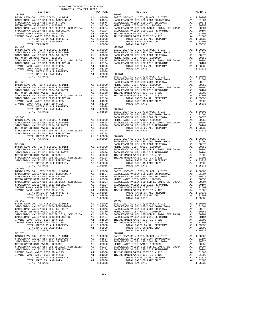| COUNTY OF ORANGE TAX RATE BOOK<br>2016-2017 TRA TAX RATES<br>$2016-2017\quad\text{TRA TAX RATES}\label{eq:2016-2017}$ DISTRICT |          |                                                                                                                                                                                                                              |          |
|--------------------------------------------------------------------------------------------------------------------------------|----------|------------------------------------------------------------------------------------------------------------------------------------------------------------------------------------------------------------------------------|----------|
|                                                                                                                                | TAX RATE | DISTRICT                                                                                                                                                                                                                     | TAX RATE |
| $30 - 063$                                                                                                                     |          | $30 - 071$                                                                                                                                                                                                                   |          |
|                                                                                                                                |          |                                                                                                                                                                                                                              |          |
|                                                                                                                                |          |                                                                                                                                                                                                                              |          |
|                                                                                                                                |          |                                                                                                                                                                                                                              |          |
|                                                                                                                                |          |                                                                                                                                                                                                                              |          |
|                                                                                                                                |          |                                                                                                                                                                                                                              |          |
|                                                                                                                                |          |                                                                                                                                                                                                                              |          |
|                                                                                                                                |          |                                                                                                                                                                                                                              |          |
|                                                                                                                                |          |                                                                                                                                                                                                                              |          |
|                                                                                                                                |          |                                                                                                                                                                                                                              |          |
|                                                                                                                                |          |                                                                                                                                                                                                                              |          |
|                                                                                                                                |          |                                                                                                                                                                                                                              |          |
|                                                                                                                                |          |                                                                                                                                                                                                                              |          |
|                                                                                                                                |          |                                                                                                                                                                                                                              |          |
|                                                                                                                                |          |                                                                                                                                                                                                                              |          |
|                                                                                                                                |          |                                                                                                                                                                                                                              |          |
|                                                                                                                                |          |                                                                                                                                                                                                                              |          |
|                                                                                                                                |          |                                                                                                                                                                                                                              |          |
|                                                                                                                                |          |                                                                                                                                                                                                                              |          |
|                                                                                                                                |          |                                                                                                                                                                                                                              |          |
|                                                                                                                                |          |                                                                                                                                                                                                                              |          |
|                                                                                                                                |          |                                                                                                                                                                                                                              |          |
|                                                                                                                                |          | 270724 AND COLLEGE COMPANY (1992) 21-0222 AND 270724 AND 270722 AND 270722 AND 27122 AND 27122 AND 28122 AND 2812 AND 2822 AND 2822 AND 2822 AND 2822 AND 2822 AND 2822 AND 2822 AND 282 AND 282 AND 282 AND 282 AND 282 AND |          |
|                                                                                                                                |          |                                                                                                                                                                                                                              |          |
|                                                                                                                                |          |                                                                                                                                                                                                                              |          |
|                                                                                                                                |          |                                                                                                                                                                                                                              |          |
|                                                                                                                                |          |                                                                                                                                                                                                                              |          |
| $30 - 068$                                                                                                                     |          | $30 - 076$                                                                                                                                                                                                                   |          |
|                                                                                                                                |          |                                                                                                                                                                                                                              |          |
|                                                                                                                                |          |                                                                                                                                                                                                                              |          |
|                                                                                                                                |          |                                                                                                                                                                                                                              |          |
|                                                                                                                                |          |                                                                                                                                                                                                                              |          |
|                                                                                                                                |          |                                                                                                                                                                                                                              |          |
| TOTAL RATES ON ALL PROPERTY FOR A 1.02800 TOTAL RATE ON LAND ONLY A4 1.02800 TOTAL TAX RATE<br>$30 - 069$                      |          | TOTAL RATE ON ALD ONLY A4 .02800<br>TOTAL TAX RATE ON LAND ONLY A4 .02800<br>TOTAL TAX RATE 1.05838                                                                                                                          |          |
|                                                                                                                                |          |                                                                                                                                                                                                                              |          |
|                                                                                                                                |          |                                                                                                                                                                                                                              |          |
|                                                                                                                                |          |                                                                                                                                                                                                                              |          |
|                                                                                                                                |          |                                                                                                                                                                                                                              |          |
|                                                                                                                                |          |                                                                                                                                                                                                                              |          |
|                                                                                                                                |          |                                                                                                                                                                                                                              |          |
|                                                                                                                                |          |                                                                                                                                                                                                                              |          |
|                                                                                                                                |          |                                                                                                                                                                                                                              |          |
|                                                                                                                                |          |                                                                                                                                                                                                                              |          |
|                                                                                                                                |          |                                                                                                                                                                                                                              |          |
|                                                                                                                                |          |                                                                                                                                                                                                                              |          |
|                                                                                                                                |          |                                                                                                                                                                                                                              |          |
|                                                                                                                                |          |                                                                                                                                                                                                                              |          |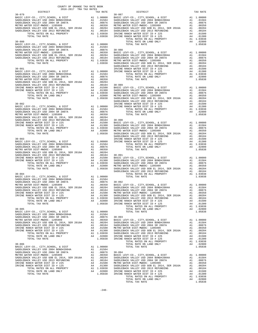| COUNTY OF ORANGE TAX RATE BOOK<br>2016-2017 TRA TAX RATES<br>DISTRICT |  |                                                                                                                                                                                                                                                                                                                                                                                                                                                                             |          |
|-----------------------------------------------------------------------|--|-----------------------------------------------------------------------------------------------------------------------------------------------------------------------------------------------------------------------------------------------------------------------------------------------------------------------------------------------------------------------------------------------------------------------------------------------------------------------------|----------|
|                                                                       |  |                                                                                                                                                                                                                                                                                                                                                                                                                                                                             | TAX RATE |
|                                                                       |  |                                                                                                                                                                                                                                                                                                                                                                                                                                                                             |          |
|                                                                       |  |                                                                                                                                                                                                                                                                                                                                                                                                                                                                             |          |
|                                                                       |  |                                                                                                                                                                                                                                                                                                                                                                                                                                                                             |          |
|                                                                       |  |                                                                                                                                                                                                                                                                                                                                                                                                                                                                             |          |
|                                                                       |  |                                                                                                                                                                                                                                                                                                                                                                                                                                                                             |          |
|                                                                       |  |                                                                                                                                                                                                                                                                                                                                                                                                                                                                             |          |
|                                                                       |  |                                                                                                                                                                                                                                                                                                                                                                                                                                                                             |          |
|                                                                       |  |                                                                                                                                                                                                                                                                                                                                                                                                                                                                             |          |
|                                                                       |  |                                                                                                                                                                                                                                                                                                                                                                                                                                                                             |          |
|                                                                       |  |                                                                                                                                                                                                                                                                                                                                                                                                                                                                             |          |
|                                                                       |  |                                                                                                                                                                                                                                                                                                                                                                                                                                                                             |          |
|                                                                       |  |                                                                                                                                                                                                                                                                                                                                                                                                                                                                             |          |
|                                                                       |  |                                                                                                                                                                                                                                                                                                                                                                                                                                                                             |          |
|                                                                       |  |                                                                                                                                                                                                                                                                                                                                                                                                                                                                             |          |
|                                                                       |  |                                                                                                                                                                                                                                                                                                                                                                                                                                                                             |          |
|                                                                       |  |                                                                                                                                                                                                                                                                                                                                                                                                                                                                             |          |
|                                                                       |  |                                                                                                                                                                                                                                                                                                                                                                                                                                                                             |          |
|                                                                       |  |                                                                                                                                                                                                                                                                                                                                                                                                                                                                             |          |
|                                                                       |  |                                                                                                                                                                                                                                                                                                                                                                                                                                                                             |          |
|                                                                       |  |                                                                                                                                                                                                                                                                                                                                                                                                                                                                             |          |
|                                                                       |  |                                                                                                                                                                                                                                                                                                                                                                                                                                                                             |          |
|                                                                       |  |                                                                                                                                                                                                                                                                                                                                                                                                                                                                             |          |
|                                                                       |  |                                                                                                                                                                                                                                                                                                                                                                                                                                                                             |          |
|                                                                       |  |                                                                                                                                                                                                                                                                                                                                                                                                                                                                             |          |
|                                                                       |  |                                                                                                                                                                                                                                                                                                                                                                                                                                                                             |          |
|                                                                       |  |                                                                                                                                                                                                                                                                                                                                                                                                                                                                             |          |
|                                                                       |  |                                                                                                                                                                                                                                                                                                                                                                                                                                                                             |          |
|                                                                       |  |                                                                                                                                                                                                                                                                                                                                                                                                                                                                             |          |
|                                                                       |  |                                                                                                                                                                                                                                                                                                                                                                                                                                                                             |          |
|                                                                       |  |                                                                                                                                                                                                                                                                                                                                                                                                                                                                             |          |
|                                                                       |  |                                                                                                                                                                                                                                                                                                                                                                                                                                                                             |          |
|                                                                       |  |                                                                                                                                                                                                                                                                                                                                                                                                                                                                             |          |
|                                                                       |  |                                                                                                                                                                                                                                                                                                                                                                                                                                                                             |          |
|                                                                       |  |                                                                                                                                                                                                                                                                                                                                                                                                                                                                             |          |
|                                                                       |  |                                                                                                                                                                                                                                                                                                                                                                                                                                                                             |          |
|                                                                       |  |                                                                                                                                                                                                                                                                                                                                                                                                                                                                             |          |
|                                                                       |  |                                                                                                                                                                                                                                                                                                                                                                                                                                                                             |          |
|                                                                       |  |                                                                                                                                                                                                                                                                                                                                                                                                                                                                             |          |
|                                                                       |  |                                                                                                                                                                                                                                                                                                                                                                                                                                                                             |          |
|                                                                       |  |                                                                                                                                                                                                                                                                                                                                                                                                                                                                             |          |
|                                                                       |  |                                                                                                                                                                                                                                                                                                                                                                                                                                                                             |          |
|                                                                       |  |                                                                                                                                                                                                                                                                                                                                                                                                                                                                             |          |
|                                                                       |  |                                                                                                                                                                                                                                                                                                                                                                                                                                                                             |          |
|                                                                       |  |                                                                                                                                                                                                                                                                                                                                                                                                                                                                             |          |
|                                                                       |  |                                                                                                                                                                                                                                                                                                                                                                                                                                                                             |          |
|                                                                       |  |                                                                                                                                                                                                                                                                                                                                                                                                                                                                             |          |
|                                                                       |  |                                                                                                                                                                                                                                                                                                                                                                                                                                                                             |          |
|                                                                       |  |                                                                                                                                                                                                                                                                                                                                                                                                                                                                             |          |
|                                                                       |  |                                                                                                                                                                                                                                                                                                                                                                                                                                                                             |          |
|                                                                       |  |                                                                                                                                                                                                                                                                                                                                                                                                                                                                             |          |
|                                                                       |  |                                                                                                                                                                                                                                                                                                                                                                                                                                                                             |          |
|                                                                       |  |                                                                                                                                                                                                                                                                                                                                                                                                                                                                             |          |
|                                                                       |  |                                                                                                                                                                                                                                                                                                                                                                                                                                                                             |          |
|                                                                       |  |                                                                                                                                                                                                                                                                                                                                                                                                                                                                             |          |
|                                                                       |  |                                                                                                                                                                                                                                                                                                                                                                                                                                                                             |          |
|                                                                       |  |                                                                                                                                                                                                                                                                                                                                                                                                                                                                             |          |
|                                                                       |  |                                                                                                                                                                                                                                                                                                                                                                                                                                                                             |          |
|                                                                       |  |                                                                                                                                                                                                                                                                                                                                                                                                                                                                             |          |
|                                                                       |  |                                                                                                                                                                                                                                                                                                                                                                                                                                                                             |          |
|                                                                       |  |                                                                                                                                                                                                                                                                                                                                                                                                                                                                             |          |
|                                                                       |  |                                                                                                                                                                                                                                                                                                                                                                                                                                                                             |          |
|                                                                       |  |                                                                                                                                                                                                                                                                                                                                                                                                                                                                             |          |
|                                                                       |  |                                                                                                                                                                                                                                                                                                                                                                                                                                                                             |          |
|                                                                       |  |                                                                                                                                                                                                                                                                                                                                                                                                                                                                             |          |
|                                                                       |  |                                                                                                                                                                                                                                                                                                                                                                                                                                                                             |          |
|                                                                       |  | $\begin{tabular}{c c c c} \hline {\tt TOTAL RATE & TOTAL RATE & TOTAL RATE & $\tau$ & $TOTAL RATE & $\tau$ & $TOTAL RATE & $\tau$ & $TOTAL RATE & $\tau$ & $TOTAL RATE & $\tau$ & $TOTAL RATE & $\tau$ & $TOTAL RATE & $\tau$ & $TOTAL RATE & $\tau$ & $TOTAL RATE & $\tau$ & $TOTAL RATE & $\tau$ & $TOTAL RATE & $\tau$ & $TOTAL RATE & $\tau$ & $TOTAL RATE & $\tau$ & $TOTAL RATE & $\tau$ & $TOTAL RATE & $\tau$ & $TOTAL RATE & $\tau$ & $TOTAL RATE & $\tau$ & $TOT$ |          |
|                                                                       |  |                                                                                                                                                                                                                                                                                                                                                                                                                                                                             |          |
|                                                                       |  |                                                                                                                                                                                                                                                                                                                                                                                                                                                                             |          |
|                                                                       |  |                                                                                                                                                                                                                                                                                                                                                                                                                                                                             |          |
|                                                                       |  |                                                                                                                                                                                                                                                                                                                                                                                                                                                                             |          |
|                                                                       |  |                                                                                                                                                                                                                                                                                                                                                                                                                                                                             |          |
|                                                                       |  |                                                                                                                                                                                                                                                                                                                                                                                                                                                                             |          |
|                                                                       |  |                                                                                                                                                                                                                                                                                                                                                                                                                                                                             |          |
|                                                                       |  |                                                                                                                                                                                                                                                                                                                                                                                                                                                                             |          |
|                                                                       |  |                                                                                                                                                                                                                                                                                                                                                                                                                                                                             |          |
|                                                                       |  |                                                                                                                                                                                                                                                                                                                                                                                                                                                                             |          |
|                                                                       |  |                                                                                                                                                                                                                                                                                                                                                                                                                                                                             |          |
|                                                                       |  |                                                                                                                                                                                                                                                                                                                                                                                                                                                                             |          |
|                                                                       |  |                                                                                                                                                                                                                                                                                                                                                                                                                                                                             |          |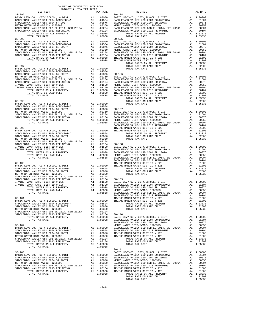| COUNTY OF ORANGE TAX RATE BOOK<br>2016-2017 TRA TAX RATES<br>$2016-2017\quad\text{TRA RATES}\label{eq:2016-2017}$ DISTRICT |  |            |  |
|----------------------------------------------------------------------------------------------------------------------------|--|------------|--|
|                                                                                                                            |  |            |  |
|                                                                                                                            |  |            |  |
|                                                                                                                            |  |            |  |
|                                                                                                                            |  |            |  |
|                                                                                                                            |  |            |  |
|                                                                                                                            |  |            |  |
|                                                                                                                            |  |            |  |
|                                                                                                                            |  |            |  |
|                                                                                                                            |  |            |  |
|                                                                                                                            |  |            |  |
|                                                                                                                            |  |            |  |
|                                                                                                                            |  |            |  |
|                                                                                                                            |  |            |  |
|                                                                                                                            |  |            |  |
|                                                                                                                            |  |            |  |
|                                                                                                                            |  |            |  |
|                                                                                                                            |  |            |  |
|                                                                                                                            |  |            |  |
|                                                                                                                            |  |            |  |
|                                                                                                                            |  |            |  |
|                                                                                                                            |  |            |  |
|                                                                                                                            |  |            |  |
|                                                                                                                            |  |            |  |
|                                                                                                                            |  |            |  |
|                                                                                                                            |  |            |  |
|                                                                                                                            |  |            |  |
|                                                                                                                            |  |            |  |
|                                                                                                                            |  |            |  |
|                                                                                                                            |  |            |  |
|                                                                                                                            |  |            |  |
|                                                                                                                            |  |            |  |
|                                                                                                                            |  |            |  |
|                                                                                                                            |  |            |  |
|                                                                                                                            |  |            |  |
|                                                                                                                            |  |            |  |
|                                                                                                                            |  |            |  |
|                                                                                                                            |  |            |  |
|                                                                                                                            |  |            |  |
|                                                                                                                            |  |            |  |
|                                                                                                                            |  |            |  |
|                                                                                                                            |  |            |  |
|                                                                                                                            |  |            |  |
|                                                                                                                            |  |            |  |
|                                                                                                                            |  |            |  |
|                                                                                                                            |  |            |  |
|                                                                                                                            |  |            |  |
|                                                                                                                            |  |            |  |
|                                                                                                                            |  |            |  |
|                                                                                                                            |  |            |  |
|                                                                                                                            |  |            |  |
|                                                                                                                            |  |            |  |
|                                                                                                                            |  |            |  |
|                                                                                                                            |  | $30 - 111$ |  |
|                                                                                                                            |  |            |  |
|                                                                                                                            |  |            |  |
|                                                                                                                            |  |            |  |
|                                                                                                                            |  |            |  |
|                                                                                                                            |  |            |  |
|                                                                                                                            |  |            |  |
|                                                                                                                            |  |            |  |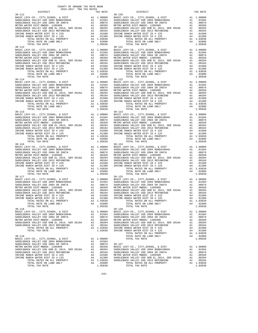| 2016-2017 TRA TAX RATES<br>DISTRICT | TAX KATES<br>TAX RATE DISTRICT                                                                                                                                                                                                                                                                                                                                                              | TAX RATE |
|-------------------------------------|---------------------------------------------------------------------------------------------------------------------------------------------------------------------------------------------------------------------------------------------------------------------------------------------------------------------------------------------------------------------------------------------|----------|
| $30 - 112$                          | $30 - 120$                                                                                                                                                                                                                                                                                                                                                                                  |          |
|                                     |                                                                                                                                                                                                                                                                                                                                                                                             |          |
|                                     |                                                                                                                                                                                                                                                                                                                                                                                             |          |
| $30 - 115$                          | $30 - 123$                                                                                                                                                                                                                                                                                                                                                                                  |          |
| $30 - 116$                          | $30 - 124$                                                                                                                                                                                                                                                                                                                                                                                  |          |
| $30 - 117$                          | $30 - 125$                                                                                                                                                                                                                                                                                                                                                                                  |          |
|                                     | $\begin{tabular}{c c c c c} 30-118 & 30-126 \\ \texttt{BADLEBACK} \texttt{VALLEY} \texttt{CO}, \texttt{CITY}, \texttt{SCHOOL}, \texttt{& \texttt{DIST}} & \texttt{A1} & 1.00000 & \texttt{BASIDLEBACK} \texttt{VALLEY} \texttt{USD} & 2004 BONDH#2004A & \texttt{A1} & .01504 \\ \texttt{SADDLEBACK} \texttt{VALLEY} \texttt{USD} & 2004 BONDH#2004A & \texttt{A1} & .01504 \\ \texttt{SAD$ |          |
|                                     |                                                                                                                                                                                                                                                                                                                                                                                             |          |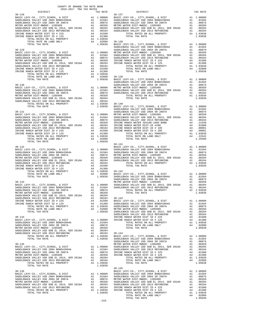| 2016-2017 TRA TAX RATES<br>DISTRICT                                                                                                                                                                                                     | TAX RATE | DISTRICT   | TAX RATE |
|-----------------------------------------------------------------------------------------------------------------------------------------------------------------------------------------------------------------------------------------|----------|------------|----------|
| $30 - 128$                                                                                                                                                                                                                              |          | $30 - 137$ |          |
|                                                                                                                                                                                                                                         |          |            |          |
|                                                                                                                                                                                                                                         |          |            |          |
|                                                                                                                                                                                                                                         |          |            |          |
|                                                                                                                                                                                                                                         |          |            |          |
|                                                                                                                                                                                                                                         |          |            |          |
|                                                                                                                                                                                                                                         |          |            |          |
|                                                                                                                                                                                                                                         |          |            |          |
|                                                                                                                                                                                                                                         |          |            |          |
|                                                                                                                                                                                                                                         |          |            |          |
|                                                                                                                                                                                                                                         |          |            |          |
|                                                                                                                                                                                                                                         |          |            |          |
|                                                                                                                                                                                                                                         |          |            |          |
|                                                                                                                                                                                                                                         |          |            |          |
|                                                                                                                                                                                                                                         |          |            |          |
|                                                                                                                                                                                                                                         |          |            |          |
|                                                                                                                                                                                                                                         |          |            |          |
|                                                                                                                                                                                                                                         |          |            |          |
|                                                                                                                                                                                                                                         |          |            |          |
|                                                                                                                                                                                                                                         |          |            |          |
|                                                                                                                                                                                                                                         |          |            |          |
|                                                                                                                                                                                                                                         |          |            |          |
|                                                                                                                                                                                                                                         |          |            |          |
|                                                                                                                                                                                                                                         |          |            |          |
|                                                                                                                                                                                                                                         |          |            |          |
|                                                                                                                                                                                                                                         |          |            |          |
|                                                                                                                                                                                                                                         |          |            |          |
|                                                                                                                                                                                                                                         |          |            |          |
|                                                                                                                                                                                                                                         |          |            |          |
|                                                                                                                                                                                                                                         |          |            |          |
|                                                                                                                                                                                                                                         |          |            |          |
|                                                                                                                                                                                                                                         |          |            |          |
|                                                                                                                                                                                                                                         |          |            |          |
|                                                                                                                                                                                                                                         |          |            |          |
|                                                                                                                                                                                                                                         |          |            |          |
|                                                                                                                                                                                                                                         |          |            |          |
|                                                                                                                                                                                                                                         |          | $30 - 141$ |          |
|                                                                                                                                                                                                                                         |          |            |          |
|                                                                                                                                                                                                                                         |          |            |          |
|                                                                                                                                                                                                                                         |          |            |          |
|                                                                                                                                                                                                                                         |          |            |          |
|                                                                                                                                                                                                                                         |          |            |          |
|                                                                                                                                                                                                                                         |          |            |          |
|                                                                                                                                                                                                                                         |          |            |          |
|                                                                                                                                                                                                                                         |          |            |          |
|                                                                                                                                                                                                                                         |          |            |          |
|                                                                                                                                                                                                                                         |          |            |          |
|                                                                                                                                                                                                                                         |          |            |          |
|                                                                                                                                                                                                                                         |          |            |          |
|                                                                                                                                                                                                                                         |          |            |          |
|                                                                                                                                                                                                                                         |          |            |          |
|                                                                                                                                                                                                                                         |          |            |          |
|                                                                                                                                                                                                                                         |          |            |          |
|                                                                                                                                                                                                                                         |          |            |          |
|                                                                                                                                                                                                                                         |          |            |          |
|                                                                                                                                                                                                                                         |          |            |          |
|                                                                                                                                                                                                                                         |          |            |          |
|                                                                                                                                                                                                                                         |          |            |          |
|                                                                                                                                                                                                                                         |          |            |          |
|                                                                                                                                                                                                                                         |          |            |          |
|                                                                                                                                                                                                                                         |          |            |          |
|                                                                                                                                                                                                                                         |          |            |          |
|                                                                                                                                                                                                                                         |          |            |          |
|                                                                                                                                                                                                                                         |          |            |          |
|                                                                                                                                                                                                                                         |          |            |          |
|                                                                                                                                                                                                                                         |          |            |          |
|                                                                                                                                                                                                                                         |          |            |          |
|                                                                                                                                                                                                                                         |          |            |          |
|                                                                                                                                                                                                                                         |          |            |          |
|                                                                                                                                                                                                                                         |          |            |          |
|                                                                                                                                                                                                                                         |          |            |          |
|                                                                                                                                                                                                                                         |          | $30 - 145$ |          |
|                                                                                                                                                                                                                                         |          |            |          |
| METRO MYRR DIST-MONOC-1205999<br>SADDLERACK VALLEY USD OGO EL 2013 (1930)<br>SADDLERACK VALLEY USD OGO EL 2014 (1930)<br>SADDLERACK VALLEY USD OGO EL 2014 (1930)<br>IRVIN ENCE NORTHAL TAX RATE (1930)<br>TOTAL RATE ON LAND PODERTY ( |          |            |          |
|                                                                                                                                                                                                                                         |          |            |          |
|                                                                                                                                                                                                                                         |          |            |          |
|                                                                                                                                                                                                                                         |          |            |          |
|                                                                                                                                                                                                                                         |          |            |          |
|                                                                                                                                                                                                                                         |          |            |          |
|                                                                                                                                                                                                                                         |          |            |          |
|                                                                                                                                                                                                                                         |          |            |          |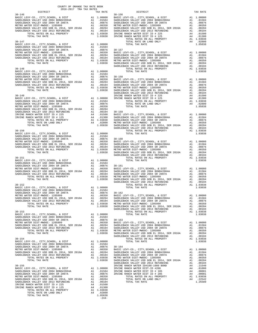| COUNTY OF ORANGE TAX RATE BOOK<br>2016-2017 TRA TAX RATES<br>$2016-2017\quad\text{TRA RATES}\label{eq:2016-2017}$ DISTRICT                                                                                                                                                                                                                                                                                     |          |          |          |
|----------------------------------------------------------------------------------------------------------------------------------------------------------------------------------------------------------------------------------------------------------------------------------------------------------------------------------------------------------------------------------------------------------------|----------|----------|----------|
| $\begin{tabular}{l c c c c c} \multicolumn{4}{c}{DISTRICT} & \multicolumn{4}{c}{\begin{tabular}{c} DISTRICT\\ \hline BASIC LEVY-CO, CITY, SCHOOL, & DISTT\\ \hline SADDEEBACK VALEY USD 2004 BONDH2004A & A1 & .01504 & SADDEEBACK VALEY USD 2004 BONDH2004A & A1 & .01504\\ \hline SADDEEBACK VALEY USD 2004 SONDLEBACK VALEY USD 2004 SADDEBACK VALEY USD 2004 SappLEBACK VALEY USD 2007A & A1 & .01504\\ \$ | TAX RATE | DISTRICT | TAX RATE |
|                                                                                                                                                                                                                                                                                                                                                                                                                |          |          |          |
|                                                                                                                                                                                                                                                                                                                                                                                                                |          |          |          |
|                                                                                                                                                                                                                                                                                                                                                                                                                |          |          |          |
|                                                                                                                                                                                                                                                                                                                                                                                                                |          |          |          |
|                                                                                                                                                                                                                                                                                                                                                                                                                |          |          |          |
|                                                                                                                                                                                                                                                                                                                                                                                                                |          |          |          |
|                                                                                                                                                                                                                                                                                                                                                                                                                |          |          |          |
|                                                                                                                                                                                                                                                                                                                                                                                                                |          |          |          |
|                                                                                                                                                                                                                                                                                                                                                                                                                |          |          |          |
|                                                                                                                                                                                                                                                                                                                                                                                                                |          |          |          |
|                                                                                                                                                                                                                                                                                                                                                                                                                |          |          |          |
|                                                                                                                                                                                                                                                                                                                                                                                                                |          |          |          |
|                                                                                                                                                                                                                                                                                                                                                                                                                |          |          |          |
|                                                                                                                                                                                                                                                                                                                                                                                                                |          |          |          |
|                                                                                                                                                                                                                                                                                                                                                                                                                |          |          |          |
|                                                                                                                                                                                                                                                                                                                                                                                                                |          |          |          |
|                                                                                                                                                                                                                                                                                                                                                                                                                |          |          |          |
|                                                                                                                                                                                                                                                                                                                                                                                                                |          |          |          |
|                                                                                                                                                                                                                                                                                                                                                                                                                |          |          |          |
|                                                                                                                                                                                                                                                                                                                                                                                                                |          |          |          |
|                                                                                                                                                                                                                                                                                                                                                                                                                |          |          |          |
|                                                                                                                                                                                                                                                                                                                                                                                                                |          |          |          |
|                                                                                                                                                                                                                                                                                                                                                                                                                |          |          |          |
|                                                                                                                                                                                                                                                                                                                                                                                                                |          |          |          |
|                                                                                                                                                                                                                                                                                                                                                                                                                |          |          |          |
|                                                                                                                                                                                                                                                                                                                                                                                                                |          |          |          |
|                                                                                                                                                                                                                                                                                                                                                                                                                |          |          |          |
|                                                                                                                                                                                                                                                                                                                                                                                                                |          |          |          |
|                                                                                                                                                                                                                                                                                                                                                                                                                |          |          |          |
|                                                                                                                                                                                                                                                                                                                                                                                                                |          |          |          |
|                                                                                                                                                                                                                                                                                                                                                                                                                |          |          |          |
|                                                                                                                                                                                                                                                                                                                                                                                                                |          |          |          |
|                                                                                                                                                                                                                                                                                                                                                                                                                |          |          |          |
|                                                                                                                                                                                                                                                                                                                                                                                                                |          |          |          |
|                                                                                                                                                                                                                                                                                                                                                                                                                |          |          |          |
|                                                                                                                                                                                                                                                                                                                                                                                                                |          |          |          |
|                                                                                                                                                                                                                                                                                                                                                                                                                |          |          |          |
|                                                                                                                                                                                                                                                                                                                                                                                                                |          |          |          |
|                                                                                                                                                                                                                                                                                                                                                                                                                |          |          |          |
|                                                                                                                                                                                                                                                                                                                                                                                                                |          |          |          |
|                                                                                                                                                                                                                                                                                                                                                                                                                |          |          |          |
|                                                                                                                                                                                                                                                                                                                                                                                                                |          |          |          |
|                                                                                                                                                                                                                                                                                                                                                                                                                |          |          |          |
|                                                                                                                                                                                                                                                                                                                                                                                                                |          |          |          |
|                                                                                                                                                                                                                                                                                                                                                                                                                |          |          |          |
|                                                                                                                                                                                                                                                                                                                                                                                                                |          |          |          |
|                                                                                                                                                                                                                                                                                                                                                                                                                |          |          |          |
|                                                                                                                                                                                                                                                                                                                                                                                                                |          |          |          |
|                                                                                                                                                                                                                                                                                                                                                                                                                |          |          |          |
|                                                                                                                                                                                                                                                                                                                                                                                                                |          |          |          |
|                                                                                                                                                                                                                                                                                                                                                                                                                |          |          |          |
|                                                                                                                                                                                                                                                                                                                                                                                                                |          |          |          |
|                                                                                                                                                                                                                                                                                                                                                                                                                |          |          |          |
|                                                                                                                                                                                                                                                                                                                                                                                                                |          |          |          |
|                                                                                                                                                                                                                                                                                                                                                                                                                |          |          |          |
|                                                                                                                                                                                                                                                                                                                                                                                                                |          |          |          |
|                                                                                                                                                                                                                                                                                                                                                                                                                |          |          |          |
|                                                                                                                                                                                                                                                                                                                                                                                                                |          |          |          |
|                                                                                                                                                                                                                                                                                                                                                                                                                |          |          |          |
|                                                                                                                                                                                                                                                                                                                                                                                                                |          |          |          |
|                                                                                                                                                                                                                                                                                                                                                                                                                |          |          |          |
|                                                                                                                                                                                                                                                                                                                                                                                                                |          |          |          |
|                                                                                                                                                                                                                                                                                                                                                                                                                |          |          |          |
|                                                                                                                                                                                                                                                                                                                                                                                                                |          |          |          |
|                                                                                                                                                                                                                                                                                                                                                                                                                |          |          |          |
|                                                                                                                                                                                                                                                                                                                                                                                                                |          |          |          |
|                                                                                                                                                                                                                                                                                                                                                                                                                |          |          |          |
|                                                                                                                                                                                                                                                                                                                                                                                                                |          |          |          |
|                                                                                                                                                                                                                                                                                                                                                                                                                |          |          |          |
|                                                                                                                                                                                                                                                                                                                                                                                                                |          |          |          |
|                                                                                                                                                                                                                                                                                                                                                                                                                |          |          |          |
|                                                                                                                                                                                                                                                                                                                                                                                                                |          |          |          |
|                                                                                                                                                                                                                                                                                                                                                                                                                |          |          |          |
|                                                                                                                                                                                                                                                                                                                                                                                                                |          |          |          |
|                                                                                                                                                                                                                                                                                                                                                                                                                |          |          |          |
|                                                                                                                                                                                                                                                                                                                                                                                                                |          |          |          |
|                                                                                                                                                                                                                                                                                                                                                                                                                |          |          |          |
|                                                                                                                                                                                                                                                                                                                                                                                                                |          |          |          |
|                                                                                                                                                                                                                                                                                                                                                                                                                |          |          |          |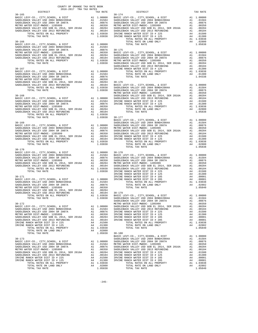| COUNTY OF ORANGE TAX RATE BOOK                                                                                                                                                                                                                                                                                                                                                                                                                                                                                               |  |                                                                                                                                                                                                                                           |          |
|------------------------------------------------------------------------------------------------------------------------------------------------------------------------------------------------------------------------------------------------------------------------------------------------------------------------------------------------------------------------------------------------------------------------------------------------------------------------------------------------------------------------------|--|-------------------------------------------------------------------------------------------------------------------------------------------------------------------------------------------------------------------------------------------|----------|
| $\begin{tabular}{lllllll} & $\textsc{--}\xspace$ & $\textsc{--}\xspace$ & $\textsc{--}\xspace$ & $\textsc{--}\xspace$ & $\textsc{--}\xspace$ & $\textsc{--}\xspace$ & $\textsc{--}\xspace$ & $\textsc{--}\xspace$ & $\textsc{--}\xspace$ & $\textsc{--}\xspace$ & $\textsc{--}\xspace$ & $\textsc{--}\xspace$ & $\textsc{--}\xspace$ & $\textsc{--}\xspace$ & $\textsc{--}\xspace$ & $\textsc{--}\xspace$ & $\textsc{--}\xspace$ & $\textsc{--}\xspace$ & $\textsc{--}\xspace$ & $\textsc{--}\xspace$ & $\textsc{--}\xspace$ |  | TRA TAX RATES<br>TAX RATE 015TRICT<br>30-174                                                                                                                                                                                              | TAX RATE |
| $30 - 165$                                                                                                                                                                                                                                                                                                                                                                                                                                                                                                                   |  | 30–165 (2007) 2014–2017 TAX RATES<br>2014–2017 TAX RATES<br>2014–2017 TAX RATES<br>2015–2017 TAX RATES<br>2015–2017 TAX RATES<br>2015–2017 (2007) 2015–2017 TAX RATES<br>2016–2017 (2007) 2015–2017 (2007) 2015–2017 (2007) 2015–2017 (20 |          |
|                                                                                                                                                                                                                                                                                                                                                                                                                                                                                                                              |  |                                                                                                                                                                                                                                           |          |
|                                                                                                                                                                                                                                                                                                                                                                                                                                                                                                                              |  |                                                                                                                                                                                                                                           |          |
|                                                                                                                                                                                                                                                                                                                                                                                                                                                                                                                              |  |                                                                                                                                                                                                                                           |          |
|                                                                                                                                                                                                                                                                                                                                                                                                                                                                                                                              |  |                                                                                                                                                                                                                                           |          |
|                                                                                                                                                                                                                                                                                                                                                                                                                                                                                                                              |  |                                                                                                                                                                                                                                           |          |
|                                                                                                                                                                                                                                                                                                                                                                                                                                                                                                                              |  |                                                                                                                                                                                                                                           |          |
|                                                                                                                                                                                                                                                                                                                                                                                                                                                                                                                              |  |                                                                                                                                                                                                                                           |          |
|                                                                                                                                                                                                                                                                                                                                                                                                                                                                                                                              |  |                                                                                                                                                                                                                                           |          |
|                                                                                                                                                                                                                                                                                                                                                                                                                                                                                                                              |  |                                                                                                                                                                                                                                           |          |
|                                                                                                                                                                                                                                                                                                                                                                                                                                                                                                                              |  |                                                                                                                                                                                                                                           |          |
|                                                                                                                                                                                                                                                                                                                                                                                                                                                                                                                              |  |                                                                                                                                                                                                                                           |          |
|                                                                                                                                                                                                                                                                                                                                                                                                                                                                                                                              |  |                                                                                                                                                                                                                                           |          |
|                                                                                                                                                                                                                                                                                                                                                                                                                                                                                                                              |  |                                                                                                                                                                                                                                           |          |
|                                                                                                                                                                                                                                                                                                                                                                                                                                                                                                                              |  |                                                                                                                                                                                                                                           |          |
|                                                                                                                                                                                                                                                                                                                                                                                                                                                                                                                              |  |                                                                                                                                                                                                                                           |          |
|                                                                                                                                                                                                                                                                                                                                                                                                                                                                                                                              |  |                                                                                                                                                                                                                                           |          |
|                                                                                                                                                                                                                                                                                                                                                                                                                                                                                                                              |  |                                                                                                                                                                                                                                           |          |
|                                                                                                                                                                                                                                                                                                                                                                                                                                                                                                                              |  |                                                                                                                                                                                                                                           |          |
|                                                                                                                                                                                                                                                                                                                                                                                                                                                                                                                              |  |                                                                                                                                                                                                                                           |          |
|                                                                                                                                                                                                                                                                                                                                                                                                                                                                                                                              |  |                                                                                                                                                                                                                                           |          |
|                                                                                                                                                                                                                                                                                                                                                                                                                                                                                                                              |  |                                                                                                                                                                                                                                           |          |
| $30 - 170$                                                                                                                                                                                                                                                                                                                                                                                                                                                                                                                   |  |                                                                                                                                                                                                                                           |          |
|                                                                                                                                                                                                                                                                                                                                                                                                                                                                                                                              |  |                                                                                                                                                                                                                                           |          |
|                                                                                                                                                                                                                                                                                                                                                                                                                                                                                                                              |  |                                                                                                                                                                                                                                           |          |
|                                                                                                                                                                                                                                                                                                                                                                                                                                                                                                                              |  |                                                                                                                                                                                                                                           |          |
|                                                                                                                                                                                                                                                                                                                                                                                                                                                                                                                              |  |                                                                                                                                                                                                                                           |          |
|                                                                                                                                                                                                                                                                                                                                                                                                                                                                                                                              |  |                                                                                                                                                                                                                                           |          |
|                                                                                                                                                                                                                                                                                                                                                                                                                                                                                                                              |  |                                                                                                                                                                                                                                           |          |
|                                                                                                                                                                                                                                                                                                                                                                                                                                                                                                                              |  |                                                                                                                                                                                                                                           |          |
|                                                                                                                                                                                                                                                                                                                                                                                                                                                                                                                              |  |                                                                                                                                                                                                                                           |          |
|                                                                                                                                                                                                                                                                                                                                                                                                                                                                                                                              |  |                                                                                                                                                                                                                                           |          |
|                                                                                                                                                                                                                                                                                                                                                                                                                                                                                                                              |  |                                                                                                                                                                                                                                           |          |
|                                                                                                                                                                                                                                                                                                                                                                                                                                                                                                                              |  |                                                                                                                                                                                                                                           |          |
|                                                                                                                                                                                                                                                                                                                                                                                                                                                                                                                              |  |                                                                                                                                                                                                                                           |          |
|                                                                                                                                                                                                                                                                                                                                                                                                                                                                                                                              |  |                                                                                                                                                                                                                                           |          |
|                                                                                                                                                                                                                                                                                                                                                                                                                                                                                                                              |  |                                                                                                                                                                                                                                           |          |
|                                                                                                                                                                                                                                                                                                                                                                                                                                                                                                                              |  |                                                                                                                                                                                                                                           |          |
|                                                                                                                                                                                                                                                                                                                                                                                                                                                                                                                              |  |                                                                                                                                                                                                                                           |          |
|                                                                                                                                                                                                                                                                                                                                                                                                                                                                                                                              |  |                                                                                                                                                                                                                                           |          |
|                                                                                                                                                                                                                                                                                                                                                                                                                                                                                                                              |  |                                                                                                                                                                                                                                           |          |
|                                                                                                                                                                                                                                                                                                                                                                                                                                                                                                                              |  |                                                                                                                                                                                                                                           |          |
|                                                                                                                                                                                                                                                                                                                                                                                                                                                                                                                              |  |                                                                                                                                                                                                                                           |          |
|                                                                                                                                                                                                                                                                                                                                                                                                                                                                                                                              |  |                                                                                                                                                                                                                                           |          |
|                                                                                                                                                                                                                                                                                                                                                                                                                                                                                                                              |  |                                                                                                                                                                                                                                           |          |
|                                                                                                                                                                                                                                                                                                                                                                                                                                                                                                                              |  |                                                                                                                                                                                                                                           |          |
|                                                                                                                                                                                                                                                                                                                                                                                                                                                                                                                              |  |                                                                                                                                                                                                                                           |          |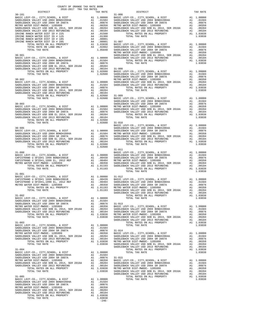| COUNTY OF ORANGE TAX RATE BOOK<br>2016-2017 TRA TAX RATES<br>$2016-2017\quad\text{TRA RATES}\label{eq:2016-2017}$ DISTRICT |          |                                                                                                                                                                                                                                                                                                                                                                                                          |           |
|----------------------------------------------------------------------------------------------------------------------------|----------|----------------------------------------------------------------------------------------------------------------------------------------------------------------------------------------------------------------------------------------------------------------------------------------------------------------------------------------------------------------------------------------------------------|-----------|
| $30 - 181$                                                                                                                 | TAX RATE | DISTRICT<br>$31 - 006$                                                                                                                                                                                                                                                                                                                                                                                   | TAX RATE  |
|                                                                                                                            |          |                                                                                                                                                                                                                                                                                                                                                                                                          |           |
|                                                                                                                            |          |                                                                                                                                                                                                                                                                                                                                                                                                          |           |
|                                                                                                                            |          |                                                                                                                                                                                                                                                                                                                                                                                                          |           |
|                                                                                                                            |          |                                                                                                                                                                                                                                                                                                                                                                                                          |           |
|                                                                                                                            |          |                                                                                                                                                                                                                                                                                                                                                                                                          |           |
|                                                                                                                            |          |                                                                                                                                                                                                                                                                                                                                                                                                          |           |
|                                                                                                                            |          |                                                                                                                                                                                                                                                                                                                                                                                                          |           |
|                                                                                                                            |          |                                                                                                                                                                                                                                                                                                                                                                                                          |           |
|                                                                                                                            |          |                                                                                                                                                                                                                                                                                                                                                                                                          |           |
|                                                                                                                            |          |                                                                                                                                                                                                                                                                                                                                                                                                          |           |
|                                                                                                                            |          |                                                                                                                                                                                                                                                                                                                                                                                                          |           |
|                                                                                                                            |          |                                                                                                                                                                                                                                                                                                                                                                                                          |           |
|                                                                                                                            |          |                                                                                                                                                                                                                                                                                                                                                                                                          |           |
|                                                                                                                            |          |                                                                                                                                                                                                                                                                                                                                                                                                          |           |
|                                                                                                                            |          |                                                                                                                                                                                                                                                                                                                                                                                                          |           |
|                                                                                                                            |          |                                                                                                                                                                                                                                                                                                                                                                                                          |           |
|                                                                                                                            |          |                                                                                                                                                                                                                                                                                                                                                                                                          |           |
|                                                                                                                            |          |                                                                                                                                                                                                                                                                                                                                                                                                          |           |
|                                                                                                                            |          |                                                                                                                                                                                                                                                                                                                                                                                                          |           |
|                                                                                                                            |          |                                                                                                                                                                                                                                                                                                                                                                                                          |           |
|                                                                                                                            |          |                                                                                                                                                                                                                                                                                                                                                                                                          |           |
|                                                                                                                            |          |                                                                                                                                                                                                                                                                                                                                                                                                          |           |
|                                                                                                                            |          |                                                                                                                                                                                                                                                                                                                                                                                                          |           |
|                                                                                                                            |          |                                                                                                                                                                                                                                                                                                                                                                                                          |           |
|                                                                                                                            |          |                                                                                                                                                                                                                                                                                                                                                                                                          |           |
|                                                                                                                            |          |                                                                                                                                                                                                                                                                                                                                                                                                          |           |
|                                                                                                                            |          |                                                                                                                                                                                                                                                                                                                                                                                                          |           |
|                                                                                                                            |          |                                                                                                                                                                                                                                                                                                                                                                                                          |           |
|                                                                                                                            |          |                                                                                                                                                                                                                                                                                                                                                                                                          |           |
|                                                                                                                            |          | $\begin{tabular}{c c c c c} \multicolumn{4}{c c c} \multicolumn{4}{c c c} \multicolumn{4}{c c c} \multicolumn{4}{c c c} \multicolumn{4}{c c c} \multicolumn{4}{c c c} \multicolumn{4}{c c c} \multicolumn{4}{c c c} \multicolumn{4}{c c c} \multicolumn{4}{c c c} \multicolumn{4}{c c c} \multicolumn{4}{c c c} \multicolumn{4}{c c c} \multicolumn{4}{c c c} \multicolumn{4}{c c c} \multicolumn{4}{c $ |           |
|                                                                                                                            |          |                                                                                                                                                                                                                                                                                                                                                                                                          |           |
|                                                                                                                            |          |                                                                                                                                                                                                                                                                                                                                                                                                          |           |
|                                                                                                                            |          |                                                                                                                                                                                                                                                                                                                                                                                                          |           |
|                                                                                                                            |          |                                                                                                                                                                                                                                                                                                                                                                                                          |           |
|                                                                                                                            |          |                                                                                                                                                                                                                                                                                                                                                                                                          |           |
|                                                                                                                            |          |                                                                                                                                                                                                                                                                                                                                                                                                          |           |
|                                                                                                                            |          |                                                                                                                                                                                                                                                                                                                                                                                                          |           |
|                                                                                                                            |          | $31 - 011$                                                                                                                                                                                                                                                                                                                                                                                               |           |
|                                                                                                                            |          |                                                                                                                                                                                                                                                                                                                                                                                                          |           |
|                                                                                                                            |          |                                                                                                                                                                                                                                                                                                                                                                                                          |           |
|                                                                                                                            |          |                                                                                                                                                                                                                                                                                                                                                                                                          |           |
|                                                                                                                            |          |                                                                                                                                                                                                                                                                                                                                                                                                          |           |
|                                                                                                                            |          | TOTAL TAX RATE                                                                                                                                                                                                                                                                                                                                                                                           | 1.03038   |
|                                                                                                                            |          |                                                                                                                                                                                                                                                                                                                                                                                                          |           |
|                                                                                                                            |          |                                                                                                                                                                                                                                                                                                                                                                                                          |           |
|                                                                                                                            |          |                                                                                                                                                                                                                                                                                                                                                                                                          |           |
|                                                                                                                            |          |                                                                                                                                                                                                                                                                                                                                                                                                          |           |
|                                                                                                                            |          |                                                                                                                                                                                                                                                                                                                                                                                                          |           |
|                                                                                                                            |          | SADDLEBACK VALLEY USD 2013 REFUNDING                                                                                                                                                                                                                                                                                                                                                                     | A1 .00104 |
|                                                                                                                            |          |                                                                                                                                                                                                                                                                                                                                                                                                          |           |
|                                                                                                                            |          |                                                                                                                                                                                                                                                                                                                                                                                                          |           |
|                                                                                                                            |          |                                                                                                                                                                                                                                                                                                                                                                                                          |           |
|                                                                                                                            |          |                                                                                                                                                                                                                                                                                                                                                                                                          |           |
|                                                                                                                            |          |                                                                                                                                                                                                                                                                                                                                                                                                          |           |
|                                                                                                                            |          |                                                                                                                                                                                                                                                                                                                                                                                                          |           |
|                                                                                                                            |          |                                                                                                                                                                                                                                                                                                                                                                                                          |           |
|                                                                                                                            |          |                                                                                                                                                                                                                                                                                                                                                                                                          |           |
|                                                                                                                            |          |                                                                                                                                                                                                                                                                                                                                                                                                          |           |
|                                                                                                                            |          |                                                                                                                                                                                                                                                                                                                                                                                                          |           |
|                                                                                                                            |          |                                                                                                                                                                                                                                                                                                                                                                                                          |           |
|                                                                                                                            |          |                                                                                                                                                                                                                                                                                                                                                                                                          |           |
|                                                                                                                            |          |                                                                                                                                                                                                                                                                                                                                                                                                          |           |
|                                                                                                                            |          |                                                                                                                                                                                                                                                                                                                                                                                                          |           |
|                                                                                                                            |          |                                                                                                                                                                                                                                                                                                                                                                                                          |           |
|                                                                                                                            |          |                                                                                                                                                                                                                                                                                                                                                                                                          |           |
|                                                                                                                            |          |                                                                                                                                                                                                                                                                                                                                                                                                          |           |
|                                                                                                                            |          |                                                                                                                                                                                                                                                                                                                                                                                                          |           |
|                                                                                                                            |          |                                                                                                                                                                                                                                                                                                                                                                                                          |           |
|                                                                                                                            |          |                                                                                                                                                                                                                                                                                                                                                                                                          |           |
|                                                                                                                            |          |                                                                                                                                                                                                                                                                                                                                                                                                          |           |
|                                                                                                                            |          |                                                                                                                                                                                                                                                                                                                                                                                                          |           |
|                                                                                                                            |          |                                                                                                                                                                                                                                                                                                                                                                                                          |           |
|                                                                                                                            |          |                                                                                                                                                                                                                                                                                                                                                                                                          |           |
|                                                                                                                            |          |                                                                                                                                                                                                                                                                                                                                                                                                          |           |
|                                                                                                                            |          |                                                                                                                                                                                                                                                                                                                                                                                                          |           |
|                                                                                                                            |          |                                                                                                                                                                                                                                                                                                                                                                                                          |           |
|                                                                                                                            |          |                                                                                                                                                                                                                                                                                                                                                                                                          |           |
|                                                                                                                            |          |                                                                                                                                                                                                                                                                                                                                                                                                          |           |
|                                                                                                                            |          |                                                                                                                                                                                                                                                                                                                                                                                                          |           |
|                                                                                                                            |          |                                                                                                                                                                                                                                                                                                                                                                                                          |           |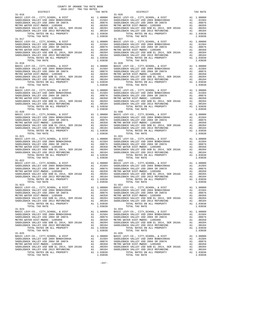| COUNTY OF ORANGE TAX RATE BOOK<br>2016-2017 TRA TAX RATES<br>$2016-2017\quad\text{TRA TAX RATES}\label{eq:2016-2017}$ DISTRICT |          |                                                                                                                                                                                                                                                                                                                                                                                                                       |          |
|--------------------------------------------------------------------------------------------------------------------------------|----------|-----------------------------------------------------------------------------------------------------------------------------------------------------------------------------------------------------------------------------------------------------------------------------------------------------------------------------------------------------------------------------------------------------------------------|----------|
|                                                                                                                                | TAX RATE | DISTRICT                                                                                                                                                                                                                                                                                                                                                                                                              | TAX RATE |
| $31 - 016$                                                                                                                     |          | $31 - 026$<br>$\begin{tabular}{c c c c c} 31-016 & 31-016 \\ \hline BASDLEBACK\ VALLEY\ CO\ ,\ CITY, SCHOOL\ ,\ &EVY-CO\ ,\ CITY, SCHOOL\ ,\ &EDIST \\\[-2mm] BASIC LEVY-CO\ ,\ &CITY, SCHOOL\ ,\ &EDIST \\\[-2mm] SADLEBACK\ VALLEY\ USD\ 2004\ BONDH2004A & A1 \quad .01504 \\\[-2mm] SADDEBACK\ VALLEY\ USD\ 2004\ SADDEBACK\ VALLEY\ USD\ 2004\ SRDDEBACK\ VALLEY\ USD\ 2004\$                                    |          |
|                                                                                                                                |          |                                                                                                                                                                                                                                                                                                                                                                                                                       |          |
|                                                                                                                                |          | $\begin{tabular}{cccc} 31-017 & 1014 \text{L} & 104 \text{L} & 104 \text{L} & 104 \text{L} & 104 \text{L} & 104 \text{L} & 104 \text{L} & 104 \text{L} & 104 \text{L} & 104 \text{L} & 104 \text{L} & 104 \text{L} & 104 \text{L} & 104 \text{L} & 104 \text{L} & 104 \text{L} & 104 \text{L} & 104 \text{L} & 104 \text{L} & 104 \text{L} & 10$                                                                      |          |
|                                                                                                                                |          |                                                                                                                                                                                                                                                                                                                                                                                                                       |          |
| $31 - 019$                                                                                                                     |          | $31 - 029$                                                                                                                                                                                                                                                                                                                                                                                                            |          |
|                                                                                                                                |          | $\begin{tabular}{c c c c} 31-019 & 31-019 \\ \texttt{BADLEBACK} \texttt{VALLEY} -\texttt{CO.}, \texttt{CITY}, \texttt{CHOO1}, \texttt{& \texttt{DIST}} & \texttt{A1} & 1.00000 & \texttt{BASIDLEBACK} \texttt{VALLEY} -\texttt{CO.}, \texttt{CITY}, \texttt{SCHOO1}, \texttt{& \texttt{DIST}} & \texttt{A1} & 1.00000 \\ \texttt{SADDLEBACK} \texttt{VALLEY} \texttt{USD} & 2004 \texttt{BONDH} & 2004 \text$         |          |
|                                                                                                                                |          | $\begin{tabular}{c c c c} 31-020 & 31-030 \\ \texttt{BADLEBACK VALUEY-CO} & \texttt{CITY}, \texttt{SCHOOL}, & \texttt{EUY-CO} & \texttt{CITY}, \texttt{SCHOOL}, & \texttt{EUST} & \texttt{A1} & 1.00000 \\ \texttt{SADDEBACK VALUEY USD 2004 BONDH#2004A} & \texttt{A1} & .01504 & \texttt{BADDEBACK VALUEY USD 2004 BONDH#2004A} & \texttt{A1} & .01504 \\ \texttt{SADDEBACK VALUEY USD 2004 B$                      |          |
|                                                                                                                                |          |                                                                                                                                                                                                                                                                                                                                                                                                                       |          |
|                                                                                                                                |          |                                                                                                                                                                                                                                                                                                                                                                                                                       |          |
| TOTAL TAX RATE                                                                                                                 | 1.03038  | $\begin{tabular}{l c c c c c} \texttt{MALLEY} & 0.0164 & 0.0164 & 0.00168 & 0.00168 & 0.00168 & 0.00168 & 0.00168 & 0.00168 & 0.00168 & 0.00168 & 0.00168 & 0.00168 & 0.00168 & 0.00168 & 0.00168 & 0.00168 & 0.00168 & 0.00168 & 0.00168 & 0.00168 & 0.00168 & 0.00$<br>TOTAL TAX RATE                                                                                                                               | 1.03038  |
| $31 - 024$                                                                                                                     |          | $31 - 034$<br>$\begin{tabular}{c c c c c} 31-024 & 31-034 \\ \texttt{BADLEBACK} \texttt{CEVY-CO} \,, \texttt{CITY}, \texttt{SCHOOL}, \texttt{& \texttt{DIST}} & \texttt{A1} & 1.00000 & \texttt{BASIC} \texttt{LEVY-CO} \,, \texttt{CITY}, \texttt{SCHOOL}, \texttt{& \texttt{DIST}} & \texttt{A1} & 1.00000 \\ \texttt{SADDLEBACK} \texttt{VALEY} \texttt{USD} \texttt{2004} \texttt{BONDH2004A} & \texttt{A1} & .0$ |          |
|                                                                                                                                |          |                                                                                                                                                                                                                                                                                                                                                                                                                       |          |

 $-247-$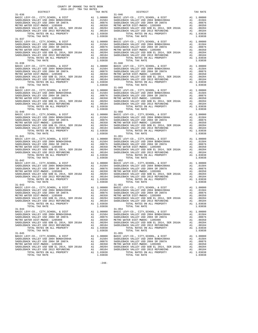| COUNTY OF ORANGE TAX RATE BOOK<br>2016-2017 TRA TAX RATES<br>$2016-2017\quad\text{TRA RATES}\xspace$ DISTRICT |          |                                                                                                                                                                                                                                                                                                                                                                                                               |          |
|---------------------------------------------------------------------------------------------------------------|----------|---------------------------------------------------------------------------------------------------------------------------------------------------------------------------------------------------------------------------------------------------------------------------------------------------------------------------------------------------------------------------------------------------------------|----------|
|                                                                                                               | TAX RATE | DISTRICT                                                                                                                                                                                                                                                                                                                                                                                                      | TAX RATE |
| $31 - 036$                                                                                                    |          | $31 - 046$<br>$\begin{tabular}{c c c c c} 31-036 & 31-046 \\ \texttt{BADLEBACK VALUEY-CO} & , \texttt{CITY}, \texttt{SCHOOL}, & \texttt{EUY-CO}, & , \texttt{CITY}, \texttt{SCHOOL}, & \texttt{EDIST} & \texttt{A1 1.00000} \\ \texttt{SADDEBACK VALUEY USD 2004 BONDH2004A} & \texttt{A1 0.01504} & \texttt{SADDEBACK VALUEY USD 2004 SRDDEBACK VALUEY USD 2004 SRDDEBACK} & \texttt{A1 0.01504} & \texttt{$ |          |
|                                                                                                               |          |                                                                                                                                                                                                                                                                                                                                                                                                               |          |
|                                                                                                               |          |                                                                                                                                                                                                                                                                                                                                                                                                               |          |
|                                                                                                               |          |                                                                                                                                                                                                                                                                                                                                                                                                               |          |
|                                                                                                               |          |                                                                                                                                                                                                                                                                                                                                                                                                               |          |
|                                                                                                               |          |                                                                                                                                                                                                                                                                                                                                                                                                               |          |
|                                                                                                               |          |                                                                                                                                                                                                                                                                                                                                                                                                               |          |
|                                                                                                               |          |                                                                                                                                                                                                                                                                                                                                                                                                               |          |
|                                                                                                               |          |                                                                                                                                                                                                                                                                                                                                                                                                               |          |
|                                                                                                               |          |                                                                                                                                                                                                                                                                                                                                                                                                               |          |
|                                                                                                               |          |                                                                                                                                                                                                                                                                                                                                                                                                               |          |
|                                                                                                               |          |                                                                                                                                                                                                                                                                                                                                                                                                               |          |
|                                                                                                               |          |                                                                                                                                                                                                                                                                                                                                                                                                               |          |
|                                                                                                               |          |                                                                                                                                                                                                                                                                                                                                                                                                               |          |
|                                                                                                               |          |                                                                                                                                                                                                                                                                                                                                                                                                               |          |
|                                                                                                               |          |                                                                                                                                                                                                                                                                                                                                                                                                               |          |
|                                                                                                               |          |                                                                                                                                                                                                                                                                                                                                                                                                               |          |
| $31 - 039$                                                                                                    |          | $31 - 049$                                                                                                                                                                                                                                                                                                                                                                                                    |          |
|                                                                                                               |          | $\begin{tabular}{c c c c} 31-039 & 31-049 \\ \texttt{SADDEBACK VALUEY -CO} \ , \ \texttt{CITY}, \texttt{SCHOOL}, \ \ & \texttt{BIST} & \texttt{A1} & 1.00000 & \texttt{BASIDLEBACK VALUEY} & \texttt{SDF} & \texttt{A1} & 1.00000 \\ \texttt{SADDEBACK VALUEY USD 2004 BONDH#2004A} & \texttt{A1} & .01504 & \texttt{SADDEBACK VALUEY USD 2004 SNDLEBACK VALUEY USD 2004 SRLDERACK VALUEY USD 20$             |          |
|                                                                                                               |          |                                                                                                                                                                                                                                                                                                                                                                                                               |          |
|                                                                                                               |          |                                                                                                                                                                                                                                                                                                                                                                                                               |          |
|                                                                                                               |          |                                                                                                                                                                                                                                                                                                                                                                                                               |          |
|                                                                                                               |          |                                                                                                                                                                                                                                                                                                                                                                                                               |          |
|                                                                                                               |          |                                                                                                                                                                                                                                                                                                                                                                                                               |          |
|                                                                                                               |          |                                                                                                                                                                                                                                                                                                                                                                                                               |          |
|                                                                                                               |          |                                                                                                                                                                                                                                                                                                                                                                                                               |          |
|                                                                                                               |          |                                                                                                                                                                                                                                                                                                                                                                                                               |          |
|                                                                                                               |          |                                                                                                                                                                                                                                                                                                                                                                                                               |          |
|                                                                                                               |          |                                                                                                                                                                                                                                                                                                                                                                                                               |          |
|                                                                                                               |          | $\begin{tabular}{c c c c c} 31-040 & 31-050 & 31-050 \\ \texttt{BADLEBACK VALUEY-CO, CITY, SCHOOL, & DIST & A1 & 1.00000 & BASIC LEVY-CO., CITY, SCHOOL, & DIST & A1 & 1.00000 \\ \texttt{SADDEBACK VALUEY USD 2004 BONDH2004A & A1 & .01504 & SADDLEBACK VALUEY USD 2004 SNDDEBACK VALUEY USD 2004 SNDLEBACK VALUEY USD 2004 SNDLEBACK VALUEY USD 2004 SNDLEBACK VALUEY USD 2004 SNDLEBACK VALUEY USD 200$   |          |
|                                                                                                               |          |                                                                                                                                                                                                                                                                                                                                                                                                               |          |
|                                                                                                               |          |                                                                                                                                                                                                                                                                                                                                                                                                               |          |
|                                                                                                               |          |                                                                                                                                                                                                                                                                                                                                                                                                               |          |
|                                                                                                               |          |                                                                                                                                                                                                                                                                                                                                                                                                               |          |
|                                                                                                               |          |                                                                                                                                                                                                                                                                                                                                                                                                               |          |
|                                                                                                               |          |                                                                                                                                                                                                                                                                                                                                                                                                               |          |
|                                                                                                               |          |                                                                                                                                                                                                                                                                                                                                                                                                               |          |
|                                                                                                               |          |                                                                                                                                                                                                                                                                                                                                                                                                               |          |
|                                                                                                               |          |                                                                                                                                                                                                                                                                                                                                                                                                               |          |
|                                                                                                               |          |                                                                                                                                                                                                                                                                                                                                                                                                               |          |
|                                                                                                               |          |                                                                                                                                                                                                                                                                                                                                                                                                               |          |
|                                                                                                               |          |                                                                                                                                                                                                                                                                                                                                                                                                               |          |
|                                                                                                               |          | $\begin{tabular}{cccc} {\bf 10.41 } {\bf 1.03038 } {\bf 2.1-041 } {\bf 2.03038 } {\bf 2.0308 } {\bf 3.00015800, } & {\bf 1.03038 } {\bf 3.00015800, } & {\bf 1.03038 } {\bf 3.00015800, } & {\bf 1.03038 } {\bf 3.00015800, } & {\bf 1.03008 } {\bf 3.00015800, } & {\bf 1.03008 } {\bf 3.00015800, } & {\bf 1.0300$                                                                                          |          |
|                                                                                                               |          |                                                                                                                                                                                                                                                                                                                                                                                                               |          |
|                                                                                                               |          |                                                                                                                                                                                                                                                                                                                                                                                                               |          |
|                                                                                                               |          |                                                                                                                                                                                                                                                                                                                                                                                                               |          |
|                                                                                                               |          |                                                                                                                                                                                                                                                                                                                                                                                                               |          |
| TOTAL TAX RATE                                                                                                | 1.03038  | $\begin{tabular}{l c c c c c} \texttt{MADDEBACK VALLEX} & \texttt{A1} & .00350 & \texttt{A1} & .00350 & \texttt{METRO WALEX} & 0.0350 & 0.0104 & \texttt{SADDLEBACK VALLEX} & 0.0104 & 0.00350 & 0.0004 & 0.00004 & 0.00004 & 0.00004 & 0.00004 & 0.00004 & 0.00004 & 0.00004 & 0.00004 & 0.00004 & 0.00004 & $<br>TOTAL TAX RATE                                                                             | 1.03038  |
| $31 - 044$                                                                                                    |          | $31 - 054$                                                                                                                                                                                                                                                                                                                                                                                                    |          |
|                                                                                                               |          |                                                                                                                                                                                                                                                                                                                                                                                                               |          |
|                                                                                                               |          |                                                                                                                                                                                                                                                                                                                                                                                                               |          |
|                                                                                                               |          |                                                                                                                                                                                                                                                                                                                                                                                                               |          |
|                                                                                                               |          |                                                                                                                                                                                                                                                                                                                                                                                                               |          |
|                                                                                                               |          |                                                                                                                                                                                                                                                                                                                                                                                                               |          |
|                                                                                                               |          | $\begin{tabular}{c c c c c} 31-044 & 31-044 & 31-054 \\ \hline BASIC LEVY-CO\ ,\ CITY, SCHOOL\ ,\ &E DIST \\ \end{tabular} \begin{tabular}{c c c c} 31-044 & 31-054 & 31-054 \\ \end{tabular} \begin{tabular}{c c c} 31-054 & 31-054 \\ \end{tabular} \begin{tabular}{c c c} 31-054 & 31-0554 \\ \end{tabular} \begin{tabular}{c c c} 31-054 & 31-0554 \\ \end{tab$                                           |          |
|                                                                                                               |          |                                                                                                                                                                                                                                                                                                                                                                                                               |          |
|                                                                                                               |          |                                                                                                                                                                                                                                                                                                                                                                                                               |          |
|                                                                                                               |          |                                                                                                                                                                                                                                                                                                                                                                                                               |          |
|                                                                                                               |          |                                                                                                                                                                                                                                                                                                                                                                                                               |          |
|                                                                                                               |          |                                                                                                                                                                                                                                                                                                                                                                                                               |          |
|                                                                                                               |          |                                                                                                                                                                                                                                                                                                                                                                                                               |          |

 $-248-$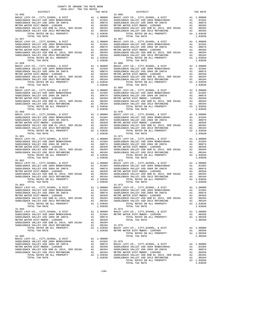| COUNTY OF ORANGE TAX RATE BOOK<br>2016-2017 TRA TAX RATES<br>2016-2017 TRA TAX RATES<br>DISTRICT | TAX RATE | DISTRICT                                                                                                                                                                                                                                                                                                                                                                                                       | TAX RATE |
|--------------------------------------------------------------------------------------------------|----------|----------------------------------------------------------------------------------------------------------------------------------------------------------------------------------------------------------------------------------------------------------------------------------------------------------------------------------------------------------------------------------------------------------------|----------|
| $31 - 056$                                                                                       |          | $31 - 066$                                                                                                                                                                                                                                                                                                                                                                                                     |          |
|                                                                                                  |          |                                                                                                                                                                                                                                                                                                                                                                                                                |          |
|                                                                                                  |          |                                                                                                                                                                                                                                                                                                                                                                                                                |          |
|                                                                                                  |          |                                                                                                                                                                                                                                                                                                                                                                                                                |          |
|                                                                                                  |          |                                                                                                                                                                                                                                                                                                                                                                                                                |          |
|                                                                                                  |          |                                                                                                                                                                                                                                                                                                                                                                                                                |          |
|                                                                                                  |          |                                                                                                                                                                                                                                                                                                                                                                                                                |          |
|                                                                                                  |          |                                                                                                                                                                                                                                                                                                                                                                                                                |          |
|                                                                                                  |          |                                                                                                                                                                                                                                                                                                                                                                                                                |          |
|                                                                                                  |          |                                                                                                                                                                                                                                                                                                                                                                                                                |          |
|                                                                                                  |          |                                                                                                                                                                                                                                                                                                                                                                                                                |          |
|                                                                                                  |          |                                                                                                                                                                                                                                                                                                                                                                                                                |          |
|                                                                                                  |          |                                                                                                                                                                                                                                                                                                                                                                                                                |          |
|                                                                                                  |          |                                                                                                                                                                                                                                                                                                                                                                                                                |          |
|                                                                                                  |          |                                                                                                                                                                                                                                                                                                                                                                                                                |          |
| $31 - 059$                                                                                       |          | $31 - 069$                                                                                                                                                                                                                                                                                                                                                                                                     |          |
|                                                                                                  |          | $\begin{tabular}{c c c c} 31-059 \\ \texttt{BADLEBACK} \texttt{CEVY-CO} \,, \texttt{CITY}, \texttt{SCHOOL}, \texttt{& \texttt{DIST}} & \texttt{A1} & 1.00000 & \texttt{BASIDLEBACK} \texttt{VALLEY} \texttt{USD} & 2004 \texttt{BONDH} 2004 \texttt{AD} & \texttt{A1} & 1.00000 \\ \texttt{SADDLEBACK} \texttt{VALLEY} \texttt{USD} & 2004 \texttt{BONDH} 2004 \texttt{AD} & \texttt{A1} & 0$                  |          |
|                                                                                                  |          |                                                                                                                                                                                                                                                                                                                                                                                                                |          |
|                                                                                                  |          |                                                                                                                                                                                                                                                                                                                                                                                                                |          |
|                                                                                                  |          |                                                                                                                                                                                                                                                                                                                                                                                                                |          |
|                                                                                                  |          |                                                                                                                                                                                                                                                                                                                                                                                                                |          |
|                                                                                                  |          |                                                                                                                                                                                                                                                                                                                                                                                                                |          |
|                                                                                                  |          |                                                                                                                                                                                                                                                                                                                                                                                                                |          |
|                                                                                                  |          |                                                                                                                                                                                                                                                                                                                                                                                                                |          |
|                                                                                                  |          |                                                                                                                                                                                                                                                                                                                                                                                                                |          |
|                                                                                                  |          |                                                                                                                                                                                                                                                                                                                                                                                                                |          |
| $31 - 061$                                                                                       |          | $31 - 071$                                                                                                                                                                                                                                                                                                                                                                                                     |          |
|                                                                                                  |          |                                                                                                                                                                                                                                                                                                                                                                                                                |          |
|                                                                                                  |          |                                                                                                                                                                                                                                                                                                                                                                                                                |          |
|                                                                                                  |          |                                                                                                                                                                                                                                                                                                                                                                                                                |          |
|                                                                                                  |          |                                                                                                                                                                                                                                                                                                                                                                                                                |          |
|                                                                                                  |          |                                                                                                                                                                                                                                                                                                                                                                                                                |          |
|                                                                                                  |          |                                                                                                                                                                                                                                                                                                                                                                                                                |          |
|                                                                                                  |          |                                                                                                                                                                                                                                                                                                                                                                                                                |          |
|                                                                                                  |          |                                                                                                                                                                                                                                                                                                                                                                                                                |          |
|                                                                                                  |          |                                                                                                                                                                                                                                                                                                                                                                                                                |          |
|                                                                                                  |          |                                                                                                                                                                                                                                                                                                                                                                                                                |          |
|                                                                                                  |          | $\begin{tabular}{cccc} {\bf TOLL TNA} & {\bf TCRL T,XR RATE & 1.03038 & {\bf TOLL TAX RATE \\ \bf{SADDEBRACHLW-CO}, {\bf C. TCTY, SCHOOL}, {\bf 6. DIST} & {\bf 8.1.00008} & {\bf RAGIC LEWC}, {\bf C. TCTY, SCHOOL}, {\bf C. TCTY, SCHOOL}, {\bf C. TCTY, SCHOOL}, {\bf C. TCTY, SCHOOL}, {\bf C. TCTY, SCHOOL}, {\bf C. TCTY, SCHOOL}, {\bf C. TCTY, SCHOOL}, {\bf C. TCTY, SCHOOL}, {\bf C. TCTY, SCHOOL},$ |          |
|                                                                                                  |          |                                                                                                                                                                                                                                                                                                                                                                                                                |          |
|                                                                                                  |          |                                                                                                                                                                                                                                                                                                                                                                                                                |          |
|                                                                                                  |          | $\begin{tabular}{l c c c c c c} \texttt{MALLEY USD } 2016 & \texttt{METRO WALLEY USD} 2016 & \texttt{METRO WALLEY USD} 2016 & \texttt{METRO WALEST} 2016 & \texttt{METRO WALEST} 2016 & \texttt{METRO WALEST} 2016 & \texttt{METRO WALEST} 2016 & \texttt{METRO WALEST} 2016 & \texttt{METRO WALEST} 2016 & \texttt{METRO WALEST} 2016 & \texttt{METRO WALEST} 2016$                                           |          |
| TOTAL TAX RATE                                                                                   | 1.03038  | TOTAL TAX RATE                                                                                                                                                                                                                                                                                                                                                                                                 | 1.03038  |
| $31 - 064$                                                                                       |          | $31 - 074$                                                                                                                                                                                                                                                                                                                                                                                                     |          |
|                                                                                                  |          |                                                                                                                                                                                                                                                                                                                                                                                                                |          |
|                                                                                                  |          |                                                                                                                                                                                                                                                                                                                                                                                                                |          |
|                                                                                                  |          |                                                                                                                                                                                                                                                                                                                                                                                                                |          |
|                                                                                                  |          |                                                                                                                                                                                                                                                                                                                                                                                                                |          |
|                                                                                                  |          | $\begin{tabular}{c c c c c} 31-064 & 31-074 \\ \texttt{BADLEBACK} \texttt{VALEY} \texttt{USD} \texttt{2004} & \texttt{BOND} \texttt{H} \texttt{2004} & \texttt{BASIC} \texttt{LEYY-CO.}, \texttt{CITY}, \texttt{SCHOOL}, \texttt{ & \texttt{DIST}} & \texttt{A1} \texttt{ 1.00000} \\ \texttt{SADDEBACK} \texttt{VALLEY} \texttt{USD} \texttt{2004} & \texttt{BOND} \texttt{42004A} & \texttt{A$               |          |
|                                                                                                  |          |                                                                                                                                                                                                                                                                                                                                                                                                                |          |
|                                                                                                  |          |                                                                                                                                                                                                                                                                                                                                                                                                                |          |
|                                                                                                  |          |                                                                                                                                                                                                                                                                                                                                                                                                                |          |
|                                                                                                  |          |                                                                                                                                                                                                                                                                                                                                                                                                                |          |
|                                                                                                  |          |                                                                                                                                                                                                                                                                                                                                                                                                                |          |
|                                                                                                  |          |                                                                                                                                                                                                                                                                                                                                                                                                                |          |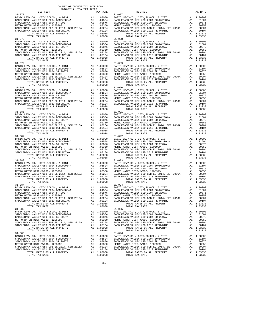| COUNTY OF ORANGE TAX RATE BOOK<br>2016-2017 TRA TAX RATES<br>$2016-2017\quad\text{TRA TAX RATES}\label{eq:2016-2017}$ DISTRICT |          |                                                                                                                                                                                                                                                                                                                                                                                                                   |          |
|--------------------------------------------------------------------------------------------------------------------------------|----------|-------------------------------------------------------------------------------------------------------------------------------------------------------------------------------------------------------------------------------------------------------------------------------------------------------------------------------------------------------------------------------------------------------------------|----------|
|                                                                                                                                | TAX RATE | DISTRICT                                                                                                                                                                                                                                                                                                                                                                                                          | TAX RATE |
| $31 - 077$                                                                                                                     |          | $31 - 087$<br>$\begin{tabular}{c c c c c} 31-077 & 31-087 \\ \hline BASDLEBACK\ VALLEY \texttt{CLO}\,, \hspace{0.5cm} CITY, SCHOOL\,, \hspace{0.5cm} & DIST & A1 & 1.00000 \\ \texttt{SADLEBACK\ VALLEY \texttt{USD 2004 BONDF42004A}} & A1 & .01504 & BASIDLEBACK\ VALLEY \texttt{USD 2004 BONDF42004A} & A1 & .01504 \\ \texttt{SADDEBACK\ VALLEY \texttt{USD 2004 BONDF42004A}} & A1$                          |          |
|                                                                                                                                |          | $\begin{tabular}{@{}c c c c} 11 & 1014 \text{ I} & 1014 \text{ I} & 1014 \text{ I} & 1014 \text{ I} & 1014 \text{ I} & 1014 \text{ I} & 1014 \text{ I} & 1014 \text{ I} & 1014 \text{ I} & 1014 \text{ I} & 1014 \text{ I} & 1014 \text{ I} & 1014 \text{ I} & 1014 \text{ I} & 1014 \text{ I} & 1014 \text{ I} & 1014 \text{ I} & 1014 \text{ I} & 1$                                                            |          |
| $31 - 080$                                                                                                                     |          | $31 - 090$                                                                                                                                                                                                                                                                                                                                                                                                        |          |
|                                                                                                                                |          | $\begin{tabular}{c c c c c} 31-080 & 31-090 \\ \texttt{BADLEBACK} \texttt{VALLEY} \texttt{CO}, \texttt{CITY}, \texttt{CHOOA} & \texttt{A1} & 1.00000 & \texttt{BASIDLEBACK} \texttt{VALLEY} \texttt{USD} & 2004 \texttt{BONDH} 2004 \texttt{A} & \texttt{A1} & 1.00000 \\ \texttt{SADDEBACK} \texttt{VALLEY} \texttt{USD} & 2004 \texttt{BONDH} 2004 \texttt{A} & \texttt{A1} & .015$                             |          |
|                                                                                                                                |          | $\begin{tabular}{c c c c} 31-081 & 31-081 & 31-091 \\ \hline BASDLEBACK VALLEY USD 2004 BONDH#2004A & 21 & 0.01504 & BASIC LEVY-CO., CITY, SCHOOL, & & DIST & A1 & 1.00000 \\ \hline SADDEBACK VALLEY USD 2004 BONDH#2004A & 21 & 0.01504 & 3ADLEBACK VALLEY USD 2004 SRDDEBACK VALLEY USD 2004 SRLP BACK VALLEY USD 2004 SRLP BACK VALLEY USD 2015099$                                                           |          |
|                                                                                                                                |          |                                                                                                                                                                                                                                                                                                                                                                                                                   |          |
|                                                                                                                                |          |                                                                                                                                                                                                                                                                                                                                                                                                                   |          |
| TOTAL TAX RATE                                                                                                                 | 1.03038  | $\begin{tabular}{l c c c c c} \texttt{MALLEY} & 0.0164 & 0.0164 & 0.00168 & 0.00168 & 0.00168 & 0.00168 & 0.00168 & 0.00168 & 0.00168 & 0.00168 & 0.00168 & 0.00168 & 0.00168 & 0.00168 & 0.00168 & 0.00168 & 0.00168 & 0.00168 & 0.00168 & 0.00168 & 0.00168 & 0.00$<br>TOTAL TAX RATE                                                                                                                           | 1.03038  |
| $31 - 085$                                                                                                                     |          | $31 - 095$<br>$\begin{tabular}{c c c c c} 31-085 & 31-085 \\ \texttt{BADLEBACK} \texttt{CEVY-CO} \,, \texttt{CITY}, \texttt{SCHOOL}, \texttt{& DIST} & \texttt{A1} & 1.00000 & \texttt{BASIC} \texttt{LEVY-CO} \,, \texttt{CITY}, \texttt{SCHOOL}, \texttt{& DIST} & \texttt{A1} & 1.00000 \\ \texttt{SADDEBACK} \texttt{VALEY} \texttt{USD} \texttt{2004} \texttt{BONDH2004A} & \texttt{A1} & .01504 & \texttt{$ |          |
|                                                                                                                                |          |                                                                                                                                                                                                                                                                                                                                                                                                                   |          |

-250-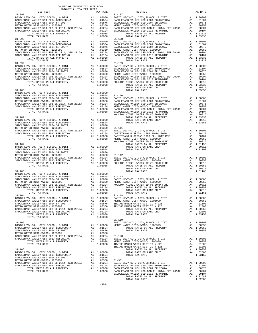| COUNTY OF ORANGE TAX RATE BOOK<br>2016-2017 TRA TAX RATES<br>$2016-2017\quad\text{TRA RATE B}$ DISTRICT 2016-2017 TRA TAX RATES | TAX RATE | DISTRICT                                                                                                                                                                                                                                                     | TAX RATE |
|---------------------------------------------------------------------------------------------------------------------------------|----------|--------------------------------------------------------------------------------------------------------------------------------------------------------------------------------------------------------------------------------------------------------------|----------|
| $31 - 097$                                                                                                                      |          | $31 - 107$                                                                                                                                                                                                                                                   |          |
|                                                                                                                                 |          |                                                                                                                                                                                                                                                              |          |
|                                                                                                                                 |          |                                                                                                                                                                                                                                                              |          |
|                                                                                                                                 |          |                                                                                                                                                                                                                                                              |          |
|                                                                                                                                 |          |                                                                                                                                                                                                                                                              |          |
|                                                                                                                                 |          |                                                                                                                                                                                                                                                              |          |
|                                                                                                                                 |          |                                                                                                                                                                                                                                                              |          |
|                                                                                                                                 |          |                                                                                                                                                                                                                                                              |          |
|                                                                                                                                 |          |                                                                                                                                                                                                                                                              |          |
|                                                                                                                                 |          |                                                                                                                                                                                                                                                              |          |
|                                                                                                                                 |          |                                                                                                                                                                                                                                                              |          |
|                                                                                                                                 |          |                                                                                                                                                                                                                                                              |          |
|                                                                                                                                 |          |                                                                                                                                                                                                                                                              |          |
|                                                                                                                                 |          |                                                                                                                                                                                                                                                              |          |
|                                                                                                                                 |          |                                                                                                                                                                                                                                                              |          |
|                                                                                                                                 |          |                                                                                                                                                                                                                                                              |          |
|                                                                                                                                 |          |                                                                                                                                                                                                                                                              |          |
|                                                                                                                                 |          |                                                                                                                                                                                                                                                              |          |
|                                                                                                                                 |          |                                                                                                                                                                                                                                                              |          |
|                                                                                                                                 |          |                                                                                                                                                                                                                                                              |          |
|                                                                                                                                 |          |                                                                                                                                                                                                                                                              |          |
|                                                                                                                                 |          |                                                                                                                                                                                                                                                              |          |
|                                                                                                                                 |          |                                                                                                                                                                                                                                                              |          |
|                                                                                                                                 |          |                                                                                                                                                                                                                                                              |          |
|                                                                                                                                 |          |                                                                                                                                                                                                                                                              |          |
|                                                                                                                                 |          |                                                                                                                                                                                                                                                              |          |
|                                                                                                                                 |          |                                                                                                                                                                                                                                                              |          |
|                                                                                                                                 |          |                                                                                                                                                                                                                                                              |          |
|                                                                                                                                 |          |                                                                                                                                                                                                                                                              |          |
|                                                                                                                                 |          |                                                                                                                                                                                                                                                              |          |
|                                                                                                                                 |          |                                                                                                                                                                                                                                                              |          |
|                                                                                                                                 |          |                                                                                                                                                                                                                                                              |          |
|                                                                                                                                 |          |                                                                                                                                                                                                                                                              |          |
|                                                                                                                                 |          |                                                                                                                                                                                                                                                              |          |
|                                                                                                                                 |          |                                                                                                                                                                                                                                                              |          |
|                                                                                                                                 |          |                                                                                                                                                                                                                                                              |          |
|                                                                                                                                 |          |                                                                                                                                                                                                                                                              |          |
|                                                                                                                                 |          |                                                                                                                                                                                                                                                              |          |
|                                                                                                                                 |          |                                                                                                                                                                                                                                                              |          |
|                                                                                                                                 |          |                                                                                                                                                                                                                                                              |          |
|                                                                                                                                 |          |                                                                                                                                                                                                                                                              |          |
|                                                                                                                                 |          | TOTAL TAX RATE                                                                                                                                                                                                                                               |          |
|                                                                                                                                 |          |                                                                                                                                                                                                                                                              |          |
|                                                                                                                                 |          |                                                                                                                                                                                                                                                              |          |
|                                                                                                                                 |          |                                                                                                                                                                                                                                                              |          |
|                                                                                                                                 |          |                                                                                                                                                                                                                                                              |          |
|                                                                                                                                 |          |                                                                                                                                                                                                                                                              |          |
|                                                                                                                                 |          |                                                                                                                                                                                                                                                              |          |
| 31-104                                                                                                                          |          | $31-118$                                                                                                                                                                                                                                                     |          |
|                                                                                                                                 |          |                                                                                                                                                                                                                                                              |          |
|                                                                                                                                 |          |                                                                                                                                                                                                                                                              |          |
|                                                                                                                                 |          |                                                                                                                                                                                                                                                              |          |
|                                                                                                                                 |          |                                                                                                                                                                                                                                                              |          |
|                                                                                                                                 |          | $\begin{tabular}{l c c c c c} 31-104 & 31-100000 & 31-118 & 31-100000 & 31-118 & 31-100000 & 31-118 & 31-100000 & 31-118 & 31-100000 & 31-118 & 31-100000 & 31-118 & 31-100000 & 31-100000 & 31-100000 & 31-100000 & 31-100000 & 31-100000 & 31-100000 & 31$ |          |
|                                                                                                                                 |          |                                                                                                                                                                                                                                                              |          |
|                                                                                                                                 |          |                                                                                                                                                                                                                                                              |          |
|                                                                                                                                 |          |                                                                                                                                                                                                                                                              |          |
|                                                                                                                                 |          |                                                                                                                                                                                                                                                              |          |
|                                                                                                                                 |          |                                                                                                                                                                                                                                                              |          |
|                                                                                                                                 |          |                                                                                                                                                                                                                                                              |          |
|                                                                                                                                 |          |                                                                                                                                                                                                                                                              |          |
|                                                                                                                                 |          |                                                                                                                                                                                                                                                              |          |
|                                                                                                                                 |          |                                                                                                                                                                                                                                                              |          |
|                                                                                                                                 |          |                                                                                                                                                                                                                                                              |          |
|                                                                                                                                 |          |                                                                                                                                                                                                                                                              |          |
|                                                                                                                                 |          |                                                                                                                                                                                                                                                              |          |
|                                                                                                                                 |          |                                                                                                                                                                                                                                                              |          |
|                                                                                                                                 |          |                                                                                                                                                                                                                                                              |          |
|                                                                                                                                 |          |                                                                                                                                                                                                                                                              |          |
|                                                                                                                                 |          |                                                                                                                                                                                                                                                              |          |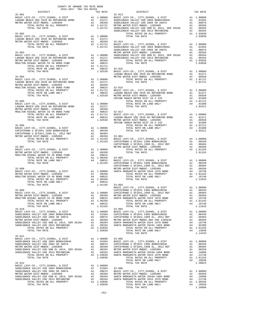|            |  | TRA TAX RATES<br>TAX RATE<br>32-013 DISTRICT | TAX RATE |
|------------|--|----------------------------------------------|----------|
|            |  |                                              |          |
|            |  |                                              |          |
|            |  |                                              |          |
|            |  |                                              |          |
|            |  |                                              |          |
|            |  |                                              |          |
|            |  |                                              |          |
|            |  |                                              |          |
|            |  |                                              |          |
|            |  |                                              |          |
|            |  |                                              |          |
|            |  |                                              |          |
|            |  |                                              |          |
|            |  |                                              |          |
|            |  |                                              |          |
|            |  |                                              |          |
|            |  |                                              |          |
|            |  |                                              |          |
|            |  |                                              |          |
|            |  |                                              |          |
|            |  |                                              |          |
|            |  |                                              |          |
|            |  |                                              |          |
|            |  |                                              |          |
|            |  |                                              |          |
|            |  |                                              |          |
|            |  |                                              |          |
|            |  |                                              |          |
|            |  |                                              |          |
|            |  |                                              |          |
|            |  |                                              |          |
|            |  |                                              |          |
| $32 - 009$ |  |                                              |          |
|            |  |                                              |          |
|            |  |                                              |          |
|            |  |                                              |          |
|            |  |                                              |          |
|            |  |                                              |          |
|            |  |                                              |          |
|            |  |                                              |          |
|            |  |                                              |          |
|            |  |                                              |          |
|            |  |                                              |          |
|            |  |                                              |          |
|            |  |                                              |          |
|            |  |                                              |          |
|            |  |                                              |          |
|            |  |                                              |          |
|            |  |                                              |          |
|            |  |                                              |          |
|            |  |                                              |          |
|            |  |                                              |          |
|            |  |                                              |          |
|            |  |                                              |          |
|            |  |                                              |          |
|            |  |                                              |          |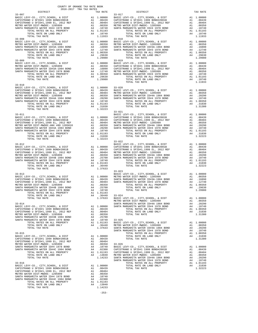| COUNTY OF ORANGE TAX RATE BOOK<br>2016-2017 TRA TAX RATES                                                                                       |    |                                                                                           |                       |
|-------------------------------------------------------------------------------------------------------------------------------------------------|----|-------------------------------------------------------------------------------------------|-----------------------|
| DISTRICT<br>$33 - 007$                                                                                                                          |    | TAX RATE                                                                                  | $33 - 017$            |
|                                                                                                                                                 |    |                                                                                           |                       |
|                                                                                                                                                 |    |                                                                                           |                       |
|                                                                                                                                                 |    |                                                                                           |                       |
|                                                                                                                                                 |    |                                                                                           |                       |
| TOTAL TAX RATE<br>$33 - 008$                                                                                                                    |    | 1.11933                                                                                   | $33 - 018$            |
|                                                                                                                                                 |    |                                                                                           |                       |
|                                                                                                                                                 |    |                                                                                           |                       |
|                                                                                                                                                 |    |                                                                                           |                       |
|                                                                                                                                                 |    |                                                                                           |                       |
| TOTAL TAX RATE                                                                                                                                  |    | 1,29980                                                                                   |                       |
| $33 - 009$                                                                                                                                      |    |                                                                                           | $33 - 019$            |
|                                                                                                                                                 |    |                                                                                           |                       |
|                                                                                                                                                 |    |                                                                                           |                       |
|                                                                                                                                                 |    |                                                                                           |                       |
|                                                                                                                                                 |    |                                                                                           |                       |
| TOTAL TAX RATE                                                                                                                                  |    | 1.29980                                                                                   |                       |
| $33 - 010$                                                                                                                                      |    |                                                                                           |                       |
|                                                                                                                                                 |    |                                                                                           |                       |
|                                                                                                                                                 |    |                                                                                           |                       |
|                                                                                                                                                 |    |                                                                                           |                       |
|                                                                                                                                                 |    |                                                                                           |                       |
|                                                                                                                                                 |    |                                                                                           |                       |
| TOTAL TAX RATE                                                                                                                                  |    | 1.32223                                                                                   |                       |
| $33 - 011$                                                                                                                                      |    |                                                                                           | $33 - 021$            |
|                                                                                                                                                 |    |                                                                                           | BASIC L               |
|                                                                                                                                                 |    |                                                                                           |                       |
|                                                                                                                                                 |    |                                                                                           |                       |
|                                                                                                                                                 |    |                                                                                           |                       |
|                                                                                                                                                 |    |                                                                                           |                       |
|                                                                                                                                                 |    |                                                                                           |                       |
| TOTAL TAX RATE                                                                                                                                  |    | 1.32223                                                                                   | $33 - 022$            |
| $33 - 012$                                                                                                                                      |    |                                                                                           | BASIC L               |
|                                                                                                                                                 |    |                                                                                           |                       |
|                                                                                                                                                 |    |                                                                                           |                       |
|                                                                                                                                                 |    |                                                                                           |                       |
|                                                                                                                                                 |    |                                                                                           |                       |
|                                                                                                                                                 |    |                                                                                           |                       |
| TOTAL TAX RATE                                                                                                                                  |    | 1.37633                                                                                   |                       |
| $33 - 013$                                                                                                                                      |    |                                                                                           | $33 - 023$<br>BASIC L |
|                                                                                                                                                 |    |                                                                                           |                       |
|                                                                                                                                                 |    |                                                                                           |                       |
|                                                                                                                                                 |    |                                                                                           |                       |
|                                                                                                                                                 |    |                                                                                           |                       |
|                                                                                                                                                 |    |                                                                                           |                       |
| TOTAL RATE ON LAND ONLY                                                                                                                         |    | A4 .36440 33-024<br>1.37633 BASIC L                                                       |                       |
| TOTAL TAX RATE                                                                                                                                  |    |                                                                                           | METRO W               |
| $33 - 014$                                                                                                                                      |    |                                                                                           | SANTA M               |
| BASIC LEVY-CO., CITY, SCHOOL, & DIST<br>CAPISTRANO U SFID#1 1999 BOND#2001B                                                                     |    | A1 1.00000 SANTA M<br>A1 .00439                                                           |                       |
| CAPISTRANO U SFID#1 1999 BOND#2001B<br>CAPISTRANO U SFID#1,1999 EL, 2012 REF                                                                    | A1 | .00404                                                                                    |                       |
| METRO WATER DIST-MWDOC- 1205999                                                                                                                 | A1 | .00350                                                                                    |                       |
| METRO WATER DIST-MWDOC- 1205999<br>SANTA MARGARITA WATER ID#4B 1984 BOND<br>SANTA MARGARITA WATER ID#4 1978 BOND<br>TOTAL RATES ON ALL PROPERTY |    |                                                                                           |                       |
| TOTAL RATE ON LAND ONLY                                                                                                                         |    |                                                                                           |                       |
| TOTAL TAX RATE                                                                                                                                  |    | A4 .25700<br>A4 .10740 33-025<br>A4 .10740 33-025<br>A4 .36440 METRO W<br>1.37633 SANTA M |                       |
| $33 - 015$                                                                                                                                      |    |                                                                                           | SANTA M               |
| BASIC LEVY-CO., CITY, SCHOOL, & DIST                                                                                                            |    | A1 1.00000                                                                                |                       |
| CAPISTRANO U SFID#1 1999 BOND#2001B<br>CAPISIRANO U SFID#1 1999 BL, 2012 REF<br>CAPISTRANO U SFID#1,1999 EL, 2012 REF                           |    | A1 .00439<br>A1 .00404                                                                    |                       |
| METRO WATER DIST-MWDOC- 1205999                                                                                                                 |    |                                                                                           |                       |
| SANTA MARGARITA WATER ID#4 1978 BOND                                                                                                            |    | A1 .00350 33-026<br>A4 .10740 BASIC L                                                     |                       |
| SANTA MARGARITA WATER ID#4C 1984 BOND<br>TOTAL RATES ON ALL PROPERTY                                                                            |    |                                                                                           |                       |
| TOTAL RATE ON LAND ONLY                                                                                                                         |    |                                                                                           |                       |
| TOTAL TAX RATE                                                                                                                                  |    | A4 .02300 CAPISTR<br>A1 1.01193 CAPISTR<br>A4 .13040 METROW<br>1.14233 SANTA M            | SANTA M               |
| $33 - 016$                                                                                                                                      |    |                                                                                           |                       |
| CAPISTRANO U SFIDH 1999 BOND#2001B<br>CAPISTRANO U SFIDH 1999 BOND#2001B A1 00420<br>CAPISTRANO U OTTELL 1000                                   |    |                                                                                           |                       |
| CAPISTRANO U SFID#1,1999 EL, 2012 REF                                                                                                           | A1 | .00404                                                                                    |                       |
| METRO WATER DIST-MWDOC- 1205999                                                                                                                 | A1 | .00350                                                                                    |                       |
|                                                                                                                                                 |    | A4 .10740<br>A4 .02300<br>A1 1.01193                                                      |                       |
| --- --------------- MATER ID#4 1978 BOND<br>SANTA MARGARITA WATER ID#4C 1984 BOND<br>TOTAL RATES ON ALL PROPERTY<br>TOTAL RATE ON LAND ON '     |    |                                                                                           |                       |
| TOTAL TAX RATE                                                                                                                                  |    | A4 .13040<br>1.14233                                                                      |                       |
|                                                                                                                                                 |    | $-253-$                                                                                   |                       |
|                                                                                                                                                 |    |                                                                                           |                       |

| DISTRICT   | 2016-2017 TRA TAX RATES<br>TAX RATE | DISTRICT                                                                                                                                                                                                                                                                                                                                                                                | TAX RATE |
|------------|-------------------------------------|-----------------------------------------------------------------------------------------------------------------------------------------------------------------------------------------------------------------------------------------------------------------------------------------------------------------------------------------------------------------------------------------|----------|
| $33 - 007$ |                                     | $33 - 017$                                                                                                                                                                                                                                                                                                                                                                              |          |
|            |                                     |                                                                                                                                                                                                                                                                                                                                                                                         |          |
|            |                                     |                                                                                                                                                                                                                                                                                                                                                                                         |          |
|            |                                     |                                                                                                                                                                                                                                                                                                                                                                                         |          |
|            |                                     |                                                                                                                                                                                                                                                                                                                                                                                         |          |
|            |                                     |                                                                                                                                                                                                                                                                                                                                                                                         |          |
|            |                                     |                                                                                                                                                                                                                                                                                                                                                                                         |          |
|            |                                     |                                                                                                                                                                                                                                                                                                                                                                                         |          |
|            |                                     |                                                                                                                                                                                                                                                                                                                                                                                         |          |
|            |                                     |                                                                                                                                                                                                                                                                                                                                                                                         |          |
|            |                                     |                                                                                                                                                                                                                                                                                                                                                                                         |          |
|            |                                     |                                                                                                                                                                                                                                                                                                                                                                                         |          |
|            |                                     |                                                                                                                                                                                                                                                                                                                                                                                         |          |
|            |                                     |                                                                                                                                                                                                                                                                                                                                                                                         |          |
|            |                                     |                                                                                                                                                                                                                                                                                                                                                                                         |          |
|            |                                     |                                                                                                                                                                                                                                                                                                                                                                                         |          |
|            |                                     |                                                                                                                                                                                                                                                                                                                                                                                         |          |
|            |                                     | $\begin{tabular}{c c c c c} \multicolumn{1}{c}{33-019} \multicolumn{1}{c}{33-019} \multicolumn{1}{c}{33-019} \multicolumn{1}{c}{33-019} \multicolumn{1}{c}{33-019} \multicolumn{1}{c}{33-019} \multicolumn{1}{c}{33-019} \multicolumn{1}{c}{33-019} \multicolumn{1}{c}{33-019} \multicolumn{1}{c}{33-019} \multicolumn{1}{c}{33-019} \multicolumn{1}{c}{33-019} \multicolumn{1}{c}{33-$ |          |
| $33 - 010$ |                                     |                                                                                                                                                                                                                                                                                                                                                                                         |          |
|            |                                     |                                                                                                                                                                                                                                                                                                                                                                                         |          |
|            |                                     |                                                                                                                                                                                                                                                                                                                                                                                         |          |
|            |                                     |                                                                                                                                                                                                                                                                                                                                                                                         |          |
|            |                                     |                                                                                                                                                                                                                                                                                                                                                                                         |          |
|            |                                     |                                                                                                                                                                                                                                                                                                                                                                                         |          |
|            |                                     |                                                                                                                                                                                                                                                                                                                                                                                         |          |
|            |                                     |                                                                                                                                                                                                                                                                                                                                                                                         |          |
|            |                                     |                                                                                                                                                                                                                                                                                                                                                                                         |          |
|            |                                     |                                                                                                                                                                                                                                                                                                                                                                                         |          |
|            |                                     |                                                                                                                                                                                                                                                                                                                                                                                         |          |
|            |                                     |                                                                                                                                                                                                                                                                                                                                                                                         |          |
|            |                                     |                                                                                                                                                                                                                                                                                                                                                                                         |          |
|            |                                     |                                                                                                                                                                                                                                                                                                                                                                                         |          |
|            |                                     | $33 - 022$                                                                                                                                                                                                                                                                                                                                                                              |          |
|            |                                     |                                                                                                                                                                                                                                                                                                                                                                                         |          |
|            |                                     |                                                                                                                                                                                                                                                                                                                                                                                         |          |
|            |                                     |                                                                                                                                                                                                                                                                                                                                                                                         |          |
|            |                                     |                                                                                                                                                                                                                                                                                                                                                                                         |          |
|            |                                     |                                                                                                                                                                                                                                                                                                                                                                                         |          |
|            |                                     |                                                                                                                                                                                                                                                                                                                                                                                         |          |
|            |                                     |                                                                                                                                                                                                                                                                                                                                                                                         |          |
|            |                                     | $33 - 023$                                                                                                                                                                                                                                                                                                                                                                              |          |
|            |                                     |                                                                                                                                                                                                                                                                                                                                                                                         |          |
|            |                                     |                                                                                                                                                                                                                                                                                                                                                                                         |          |
|            |                                     |                                                                                                                                                                                                                                                                                                                                                                                         |          |
|            |                                     |                                                                                                                                                                                                                                                                                                                                                                                         |          |
|            |                                     |                                                                                                                                                                                                                                                                                                                                                                                         |          |
|            |                                     |                                                                                                                                                                                                                                                                                                                                                                                         |          |
|            |                                     |                                                                                                                                                                                                                                                                                                                                                                                         |          |
|            |                                     |                                                                                                                                                                                                                                                                                                                                                                                         |          |
|            |                                     |                                                                                                                                                                                                                                                                                                                                                                                         |          |
|            |                                     |                                                                                                                                                                                                                                                                                                                                                                                         |          |
|            |                                     |                                                                                                                                                                                                                                                                                                                                                                                         |          |
|            |                                     |                                                                                                                                                                                                                                                                                                                                                                                         |          |
|            |                                     |                                                                                                                                                                                                                                                                                                                                                                                         |          |
|            |                                     |                                                                                                                                                                                                                                                                                                                                                                                         |          |
|            |                                     |                                                                                                                                                                                                                                                                                                                                                                                         |          |
|            |                                     |                                                                                                                                                                                                                                                                                                                                                                                         |          |
|            |                                     |                                                                                                                                                                                                                                                                                                                                                                                         |          |
|            |                                     |                                                                                                                                                                                                                                                                                                                                                                                         |          |
|            |                                     |                                                                                                                                                                                                                                                                                                                                                                                         |          |
|            |                                     |                                                                                                                                                                                                                                                                                                                                                                                         |          |
|            |                                     |                                                                                                                                                                                                                                                                                                                                                                                         |          |
|            |                                     |                                                                                                                                                                                                                                                                                                                                                                                         |          |
|            |                                     |                                                                                                                                                                                                                                                                                                                                                                                         |          |
|            |                                     |                                                                                                                                                                                                                                                                                                                                                                                         |          |
|            |                                     |                                                                                                                                                                                                                                                                                                                                                                                         |          |
|            |                                     |                                                                                                                                                                                                                                                                                                                                                                                         |          |
|            | $1.0710$                            |                                                                                                                                                                                                                                                                                                                                                                                         |          |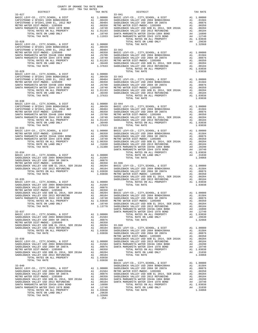| COUNTY OF ORANGE TAX RATE BOOK<br>2016-2017 TRA TAX RATES<br>$2016-2017\quad\text{TRA RATES}\label{eq:2016-2017}$ DISTRICT $$$ |          |                                                                                                                                                                                                                                  |          |
|--------------------------------------------------------------------------------------------------------------------------------|----------|----------------------------------------------------------------------------------------------------------------------------------------------------------------------------------------------------------------------------------|----------|
|                                                                                                                                | TAX RATE | DISTRICT                                                                                                                                                                                                                         | TAX RATE |
|                                                                                                                                |          |                                                                                                                                                                                                                                  |          |
|                                                                                                                                |          |                                                                                                                                                                                                                                  |          |
|                                                                                                                                |          |                                                                                                                                                                                                                                  |          |
|                                                                                                                                |          |                                                                                                                                                                                                                                  |          |
|                                                                                                                                |          |                                                                                                                                                                                                                                  |          |
|                                                                                                                                |          |                                                                                                                                                                                                                                  |          |
|                                                                                                                                |          |                                                                                                                                                                                                                                  |          |
|                                                                                                                                |          |                                                                                                                                                                                                                                  |          |
|                                                                                                                                |          |                                                                                                                                                                                                                                  |          |
|                                                                                                                                |          |                                                                                                                                                                                                                                  |          |
|                                                                                                                                |          |                                                                                                                                                                                                                                  |          |
|                                                                                                                                |          |                                                                                                                                                                                                                                  |          |
|                                                                                                                                |          |                                                                                                                                                                                                                                  |          |
|                                                                                                                                |          |                                                                                                                                                                                                                                  |          |
|                                                                                                                                |          | TOTAL TAX RATE                                                                                                                                                                                                                   |          |
|                                                                                                                                |          |                                                                                                                                                                                                                                  |          |
|                                                                                                                                |          |                                                                                                                                                                                                                                  |          |
|                                                                                                                                |          |                                                                                                                                                                                                                                  |          |
|                                                                                                                                |          |                                                                                                                                                                                                                                  |          |
|                                                                                                                                |          |                                                                                                                                                                                                                                  |          |
|                                                                                                                                |          |                                                                                                                                                                                                                                  |          |
|                                                                                                                                |          |                                                                                                                                                                                                                                  |          |
| $33 - 030$                                                                                                                     |          |                                                                                                                                                                                                                                  |          |
|                                                                                                                                |          |                                                                                                                                                                                                                                  |          |
|                                                                                                                                |          |                                                                                                                                                                                                                                  |          |
|                                                                                                                                |          |                                                                                                                                                                                                                                  |          |
|                                                                                                                                |          |                                                                                                                                                                                                                                  |          |
|                                                                                                                                |          |                                                                                                                                                                                                                                  |          |
|                                                                                                                                |          | 33–0301 AND ONLY THE PROPERTY AND TOTAL RATE ON LAND ONLY AND TOTAL RATE ON LAND ONLY AND TOTAL RATE ON LAND ONLY AND CAPTER AND CAPTER AT A 1 1,00000 CONDERACK VALLEY USD 2004 BONDH#2004A<br>CAPTER AND SET AND SALL PROPERTY |          |
|                                                                                                                                |          |                                                                                                                                                                                                                                  |          |
|                                                                                                                                |          |                                                                                                                                                                                                                                  |          |
|                                                                                                                                |          |                                                                                                                                                                                                                                  |          |
|                                                                                                                                |          |                                                                                                                                                                                                                                  |          |
|                                                                                                                                |          |                                                                                                                                                                                                                                  |          |
|                                                                                                                                |          |                                                                                                                                                                                                                                  |          |
|                                                                                                                                |          |                                                                                                                                                                                                                                  |          |
|                                                                                                                                |          |                                                                                                                                                                                                                                  |          |
|                                                                                                                                |          |                                                                                                                                                                                                                                  |          |
|                                                                                                                                |          |                                                                                                                                                                                                                                  |          |
|                                                                                                                                |          |                                                                                                                                                                                                                                  |          |
|                                                                                                                                |          |                                                                                                                                                                                                                                  |          |
|                                                                                                                                |          |                                                                                                                                                                                                                                  |          |
|                                                                                                                                |          |                                                                                                                                                                                                                                  |          |
|                                                                                                                                |          |                                                                                                                                                                                                                                  |          |
|                                                                                                                                |          |                                                                                                                                                                                                                                  |          |
|                                                                                                                                |          |                                                                                                                                                                                                                                  |          |
|                                                                                                                                |          |                                                                                                                                                                                                                                  |          |
|                                                                                                                                |          |                                                                                                                                                                                                                                  |          |
|                                                                                                                                |          |                                                                                                                                                                                                                                  |          |
|                                                                                                                                |          |                                                                                                                                                                                                                                  |          |
|                                                                                                                                |          |                                                                                                                                                                                                                                  |          |
|                                                                                                                                |          |                                                                                                                                                                                                                                  |          |
|                                                                                                                                |          |                                                                                                                                                                                                                                  |          |
|                                                                                                                                |          |                                                                                                                                                                                                                                  |          |
|                                                                                                                                |          |                                                                                                                                                                                                                                  |          |
|                                                                                                                                |          |                                                                                                                                                                                                                                  |          |
|                                                                                                                                |          |                                                                                                                                                                                                                                  |          |
|                                                                                                                                |          |                                                                                                                                                                                                                                  |          |
|                                                                                                                                |          |                                                                                                                                                                                                                                  |          |
|                                                                                                                                |          |                                                                                                                                                                                                                                  |          |
|                                                                                                                                |          |                                                                                                                                                                                                                                  |          |
|                                                                                                                                |          |                                                                                                                                                                                                                                  |          |
|                                                                                                                                |          |                                                                                                                                                                                                                                  |          |
|                                                                                                                                |          |                                                                                                                                                                                                                                  |          |
|                                                                                                                                |          |                                                                                                                                                                                                                                  |          |
|                                                                                                                                |          |                                                                                                                                                                                                                                  |          |
|                                                                                                                                |          |                                                                                                                                                                                                                                  |          |
|                                                                                                                                |          |                                                                                                                                                                                                                                  |          |
|                                                                                                                                |          |                                                                                                                                                                                                                                  |          |
|                                                                                                                                |          |                                                                                                                                                                                                                                  |          |
|                                                                                                                                |          |                                                                                                                                                                                                                                  |          |
|                                                                                                                                |          |                                                                                                                                                                                                                                  |          |
|                                                                                                                                |          |                                                                                                                                                                                                                                  |          |
|                                                                                                                                |          |                                                                                                                                                                                                                                  |          |
|                                                                                                                                |          |                                                                                                                                                                                                                                  |          |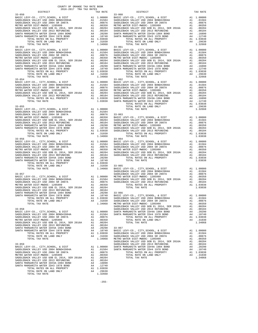| COUNTY OF ORANGE TAX RATE BOOK<br>2016-2017 TRA TAX RATES |          |            |          |
|-----------------------------------------------------------|----------|------------|----------|
| $33 - 050$                                                | TAX RATE | DISTRICT   | TAX RATE |
|                                                           |          | $33 - 060$ |          |
|                                                           |          |            |          |
|                                                           |          |            |          |
|                                                           |          |            |          |
|                                                           |          |            |          |
|                                                           |          |            |          |
|                                                           |          |            |          |
|                                                           |          |            |          |
|                                                           |          |            |          |
|                                                           |          |            |          |
|                                                           |          |            |          |
|                                                           |          |            |          |
|                                                           |          |            |          |
|                                                           |          |            |          |
|                                                           |          |            |          |
|                                                           |          |            |          |
|                                                           |          |            |          |
|                                                           |          |            |          |
|                                                           |          |            |          |
|                                                           |          |            |          |
|                                                           |          |            |          |
|                                                           |          |            |          |
|                                                           |          |            |          |
|                                                           |          |            |          |
|                                                           |          |            |          |
|                                                           |          |            |          |
|                                                           |          |            |          |
|                                                           |          |            |          |
|                                                           |          |            |          |
|                                                           |          |            |          |
|                                                           |          |            |          |
|                                                           |          |            |          |
|                                                           |          |            |          |
|                                                           |          |            |          |
|                                                           |          | $33 - 064$ |          |
|                                                           |          |            |          |
|                                                           |          |            |          |
|                                                           |          |            |          |
|                                                           |          |            |          |
|                                                           |          |            |          |
|                                                           |          |            |          |
|                                                           |          |            |          |
|                                                           |          |            |          |
|                                                           |          |            |          |
|                                                           |          |            |          |
|                                                           |          |            |          |
|                                                           |          |            |          |
|                                                           |          |            |          |
|                                                           |          |            |          |
|                                                           |          |            |          |
|                                                           |          |            |          |
|                                                           |          |            |          |
|                                                           |          |            |          |
|                                                           |          |            |          |
|                                                           |          |            |          |
|                                                           |          |            |          |
|                                                           |          |            |          |
|                                                           |          |            |          |
|                                                           |          |            |          |
|                                                           |          |            |          |
|                                                           |          |            |          |
|                                                           |          |            |          |
|                                                           |          |            |          |
|                                                           |          |            |          |
|                                                           |          |            |          |
|                                                           |          |            |          |
|                                                           |          |            |          |
|                                                           |          |            |          |
|                                                           |          |            |          |
|                                                           |          |            |          |
|                                                           |          |            |          |
|                                                           |          |            |          |
|                                                           |          |            |          |

 $-255-$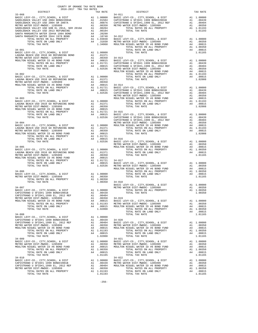| ${\small \begin{tabular}{l c c c c c c} \multicolumn{4}{c }{\textbf{CPISTRANO U SFLIF1}_1999 & \textbf{EL}, 2012 REF} & \textbf{AL} & .00404 \\ \multicolumn{4}{c }{\textbf{METRO WISTF1}_11999 & \textbf{EL}, 2012 REF} & \textbf{AL} & .00404 \\ \multicolumn{4}{c }{\textbf{METRO WATER ID}} & \textbf{ED} & \textbf{ED} & \textbf{AL} & .00350 & 34-019 \\ \multicolumn{4}{c }{\textbf{METRO WATER ID}} & \$   |  |  |  |
|--------------------------------------------------------------------------------------------------------------------------------------------------------------------------------------------------------------------------------------------------------------------------------------------------------------------------------------------------------------------------------------------------------------------|--|--|--|
|                                                                                                                                                                                                                                                                                                                                                                                                                    |  |  |  |
|                                                                                                                                                                                                                                                                                                                                                                                                                    |  |  |  |
|                                                                                                                                                                                                                                                                                                                                                                                                                    |  |  |  |
|                                                                                                                                                                                                                                                                                                                                                                                                                    |  |  |  |
|                                                                                                                                                                                                                                                                                                                                                                                                                    |  |  |  |
|                                                                                                                                                                                                                                                                                                                                                                                                                    |  |  |  |
|                                                                                                                                                                                                                                                                                                                                                                                                                    |  |  |  |
|                                                                                                                                                                                                                                                                                                                                                                                                                    |  |  |  |
|                                                                                                                                                                                                                                                                                                                                                                                                                    |  |  |  |
|                                                                                                                                                                                                                                                                                                                                                                                                                    |  |  |  |
|                                                                                                                                                                                                                                                                                                                                                                                                                    |  |  |  |
|                                                                                                                                                                                                                                                                                                                                                                                                                    |  |  |  |
|                                                                                                                                                                                                                                                                                                                                                                                                                    |  |  |  |
|                                                                                                                                                                                                                                                                                                                                                                                                                    |  |  |  |
|                                                                                                                                                                                                                                                                                                                                                                                                                    |  |  |  |
|                                                                                                                                                                                                                                                                                                                                                                                                                    |  |  |  |
|                                                                                                                                                                                                                                                                                                                                                                                                                    |  |  |  |
| $\begin{tabular}{cccc} 34-008 \\ \hline \textbf{ADIST-EMO U SFTIMD} & \textbf{XCHOOL}, & \textbf{E DST} \\ \hline \textbf{ADIST-EMO U SFTIMD} & \textbf{SOS-EMO} \\ \hline \textbf{ADIST-EMO U SFTIND} & \textbf{A1} & 0.0000 \\ \hline \textbf{ADIST-EMO U SFTIND} & \textbf{A1} & 0.0000 \\ \hline \textbf{ADIST-EMO U SFTIND} & \textbf{A1} & 0.0000 \\ \hline \textbf{ADIST-EMO U SFTIND} & \textbf{A2} & 0.0$ |  |  |  |
|                                                                                                                                                                                                                                                                                                                                                                                                                    |  |  |  |
|                                                                                                                                                                                                                                                                                                                                                                                                                    |  |  |  |
|                                                                                                                                                                                                                                                                                                                                                                                                                    |  |  |  |
|                                                                                                                                                                                                                                                                                                                                                                                                                    |  |  |  |

COUNTY OF ORANGE TAX RATE BOOK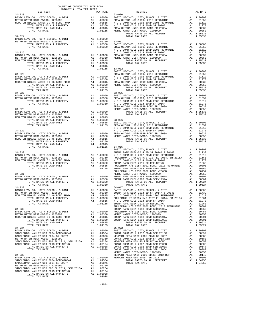| $\begin{tabular}{lllllllll} & $\textsc{0.04}$. & $\textsc{0.04}$. & $\textsc{0.04}$. & $\textsc{0.04}$. \\ & $\textsc{0.04}$ & $\textsc{0.04}$ & $\textsc{0.04}$ & $\textsc{0.04}$ & $\textsc{0.04}$ & $\textsc{0.04}$ \\ & $\textsc{0.04}$ & $\textsc{0.04}$ & $\textsc{0.04}$ & $\textsc{0.04}$ & $\textsc{0.04}$ & $\textsc{0.04}$ & $\textsc{0.04}$ & $\textsc{0.04}$ \\ & $\textsc{0.04}$ & $\textsc{0.04}$ &$ |  |                                                                                                                                                                                                                                                                                                                                                                                                             |          |
|---------------------------------------------------------------------------------------------------------------------------------------------------------------------------------------------------------------------------------------------------------------------------------------------------------------------------------------------------------------------------------------------------------------------|--|-------------------------------------------------------------------------------------------------------------------------------------------------------------------------------------------------------------------------------------------------------------------------------------------------------------------------------------------------------------------------------------------------------------|----------|
| $34 - 023$                                                                                                                                                                                                                                                                                                                                                                                                          |  | IRA IAA KAIES<br>TAX RATE 53-000 DISTRICT                                                                                                                                                                                                                                                                                                                                                                   | TAX RATE |
|                                                                                                                                                                                                                                                                                                                                                                                                                     |  | $\begin{tabular}{l c c c c c} \multicolumn{4}{c}{\textbf{A1}} & 1.00000 & \multicolumn{4}{c}{\textbf{BASIC LEV-CO.}}, & \texttt{CITY}, \texttt{SCHOOL}, & \texttt{EDST} & \texttt{A1} & 1.00000 \\ \multicolumn{4}{c}{\textbf{BASIC LEV-CO.}}, & \texttt{CITY}, \texttt{SCHOOL}, & \texttt{EDST} & \texttt{A1} & 1.00000 \\ \multicolumn{4}{c}{\textbf{METRO WATER DIST-}WIDOC-1205999} & \texttt{A1} & .0$ |          |
|                                                                                                                                                                                                                                                                                                                                                                                                                     |  |                                                                                                                                                                                                                                                                                                                                                                                                             |          |
|                                                                                                                                                                                                                                                                                                                                                                                                                     |  |                                                                                                                                                                                                                                                                                                                                                                                                             |          |
|                                                                                                                                                                                                                                                                                                                                                                                                                     |  |                                                                                                                                                                                                                                                                                                                                                                                                             |          |
|                                                                                                                                                                                                                                                                                                                                                                                                                     |  |                                                                                                                                                                                                                                                                                                                                                                                                             |          |
|                                                                                                                                                                                                                                                                                                                                                                                                                     |  |                                                                                                                                                                                                                                                                                                                                                                                                             |          |
|                                                                                                                                                                                                                                                                                                                                                                                                                     |  |                                                                                                                                                                                                                                                                                                                                                                                                             |          |
|                                                                                                                                                                                                                                                                                                                                                                                                                     |  |                                                                                                                                                                                                                                                                                                                                                                                                             |          |
|                                                                                                                                                                                                                                                                                                                                                                                                                     |  |                                                                                                                                                                                                                                                                                                                                                                                                             |          |
|                                                                                                                                                                                                                                                                                                                                                                                                                     |  |                                                                                                                                                                                                                                                                                                                                                                                                             |          |
|                                                                                                                                                                                                                                                                                                                                                                                                                     |  |                                                                                                                                                                                                                                                                                                                                                                                                             |          |
|                                                                                                                                                                                                                                                                                                                                                                                                                     |  |                                                                                                                                                                                                                                                                                                                                                                                                             |          |
|                                                                                                                                                                                                                                                                                                                                                                                                                     |  |                                                                                                                                                                                                                                                                                                                                                                                                             |          |
|                                                                                                                                                                                                                                                                                                                                                                                                                     |  |                                                                                                                                                                                                                                                                                                                                                                                                             |          |
|                                                                                                                                                                                                                                                                                                                                                                                                                     |  |                                                                                                                                                                                                                                                                                                                                                                                                             |          |
|                                                                                                                                                                                                                                                                                                                                                                                                                     |  |                                                                                                                                                                                                                                                                                                                                                                                                             |          |
|                                                                                                                                                                                                                                                                                                                                                                                                                     |  |                                                                                                                                                                                                                                                                                                                                                                                                             |          |
|                                                                                                                                                                                                                                                                                                                                                                                                                     |  |                                                                                                                                                                                                                                                                                                                                                                                                             |          |
|                                                                                                                                                                                                                                                                                                                                                                                                                     |  |                                                                                                                                                                                                                                                                                                                                                                                                             |          |
|                                                                                                                                                                                                                                                                                                                                                                                                                     |  |                                                                                                                                                                                                                                                                                                                                                                                                             |          |
|                                                                                                                                                                                                                                                                                                                                                                                                                     |  |                                                                                                                                                                                                                                                                                                                                                                                                             |          |
|                                                                                                                                                                                                                                                                                                                                                                                                                     |  |                                                                                                                                                                                                                                                                                                                                                                                                             |          |
|                                                                                                                                                                                                                                                                                                                                                                                                                     |  |                                                                                                                                                                                                                                                                                                                                                                                                             |          |
|                                                                                                                                                                                                                                                                                                                                                                                                                     |  |                                                                                                                                                                                                                                                                                                                                                                                                             |          |
|                                                                                                                                                                                                                                                                                                                                                                                                                     |  |                                                                                                                                                                                                                                                                                                                                                                                                             |          |
|                                                                                                                                                                                                                                                                                                                                                                                                                     |  |                                                                                                                                                                                                                                                                                                                                                                                                             |          |
|                                                                                                                                                                                                                                                                                                                                                                                                                     |  |                                                                                                                                                                                                                                                                                                                                                                                                             |          |
|                                                                                                                                                                                                                                                                                                                                                                                                                     |  |                                                                                                                                                                                                                                                                                                                                                                                                             |          |
|                                                                                                                                                                                                                                                                                                                                                                                                                     |  |                                                                                                                                                                                                                                                                                                                                                                                                             |          |
|                                                                                                                                                                                                                                                                                                                                                                                                                     |  |                                                                                                                                                                                                                                                                                                                                                                                                             |          |
|                                                                                                                                                                                                                                                                                                                                                                                                                     |  |                                                                                                                                                                                                                                                                                                                                                                                                             |          |
|                                                                                                                                                                                                                                                                                                                                                                                                                     |  |                                                                                                                                                                                                                                                                                                                                                                                                             |          |
|                                                                                                                                                                                                                                                                                                                                                                                                                     |  |                                                                                                                                                                                                                                                                                                                                                                                                             |          |
|                                                                                                                                                                                                                                                                                                                                                                                                                     |  |                                                                                                                                                                                                                                                                                                                                                                                                             |          |
|                                                                                                                                                                                                                                                                                                                                                                                                                     |  |                                                                                                                                                                                                                                                                                                                                                                                                             |          |
|                                                                                                                                                                                                                                                                                                                                                                                                                     |  |                                                                                                                                                                                                                                                                                                                                                                                                             |          |
|                                                                                                                                                                                                                                                                                                                                                                                                                     |  |                                                                                                                                                                                                                                                                                                                                                                                                             |          |
|                                                                                                                                                                                                                                                                                                                                                                                                                     |  |                                                                                                                                                                                                                                                                                                                                                                                                             |          |
|                                                                                                                                                                                                                                                                                                                                                                                                                     |  |                                                                                                                                                                                                                                                                                                                                                                                                             |          |
|                                                                                                                                                                                                                                                                                                                                                                                                                     |  |                                                                                                                                                                                                                                                                                                                                                                                                             |          |
|                                                                                                                                                                                                                                                                                                                                                                                                                     |  |                                                                                                                                                                                                                                                                                                                                                                                                             |          |
|                                                                                                                                                                                                                                                                                                                                                                                                                     |  |                                                                                                                                                                                                                                                                                                                                                                                                             |          |
|                                                                                                                                                                                                                                                                                                                                                                                                                     |  |                                                                                                                                                                                                                                                                                                                                                                                                             |          |
|                                                                                                                                                                                                                                                                                                                                                                                                                     |  |                                                                                                                                                                                                                                                                                                                                                                                                             |          |
|                                                                                                                                                                                                                                                                                                                                                                                                                     |  |                                                                                                                                                                                                                                                                                                                                                                                                             |          |
|                                                                                                                                                                                                                                                                                                                                                                                                                     |  |                                                                                                                                                                                                                                                                                                                                                                                                             |          |
|                                                                                                                                                                                                                                                                                                                                                                                                                     |  |                                                                                                                                                                                                                                                                                                                                                                                                             |          |
|                                                                                                                                                                                                                                                                                                                                                                                                                     |  | $\begin{tabular}{cccccccc} \textbf{34--030} & \textbf{14--04} & \textbf{14--04} & \textbf{14--04} & \textbf{14--04} & \textbf{14--04} & \textbf{14--04} & \textbf{14--04} & \textbf{14--04} & \textbf{14--04} & \textbf{14--04} \\ \textbf{14--030} & \textbf{14--04} & \textbf{14--04} & \textbf{14--04} & \textbf{14--04} & \textbf{14--04} & \textbf{14--04} & \textbf{14--04} \\$                       |          |
|                                                                                                                                                                                                                                                                                                                                                                                                                     |  | $\begin{tabular}{lllllllll} $34-032$ & $54-017$ \\ BA1 & 1.00000 & BAST & $54-017$ \\ BA2 & 1.00000 & BAST & $54-017$ \\ METD & METD & MTCD & 1.00000 & $54-017$ \\ METD & METD & 1.00000 & $54-017$ & $54-017$ & $54-017$ \\ A1 & 1.00000 & 1.00000 & $54-017$ & $54-017$ & $54-017$ & $54-017$ \\ \end{tabular}$                                                                                          |          |
|                                                                                                                                                                                                                                                                                                                                                                                                                     |  | 01739. METRO WATER DIST-MWDOC-1205999 ME A1 .00350 BUENA PARK ELEM-2014 BD SR 2014A & 2014B                                                                                                                                                                                                                                                                                                                 |          |
|                                                                                                                                                                                                                                                                                                                                                                                                                     |  |                                                                                                                                                                                                                                                                                                                                                                                                             |          |
|                                                                                                                                                                                                                                                                                                                                                                                                                     |  | $\begin{tabular}{l c c c c c} \multicolumn{4}{l}{\textbf{METRO WATER DIST-MINDCC--1205999}} & \multicolumn{4}{l}{\textbf{A1}} & .00350 & \multicolumn{4}{l}{\textbf{BURA PARK ELEM-2014 BDR 2014B B CR 2014B B CR 2014B B CR 2014B B CR 2014B B CR 2014B B CR 2014B B CR 2014B B CR 2014B B CR 2014B B CR 2014B B CR 2014B B CR 2014B B CR 2014B B CR 2014$                                                 |          |
|                                                                                                                                                                                                                                                                                                                                                                                                                     |  |                                                                                                                                                                                                                                                                                                                                                                                                             |          |
|                                                                                                                                                                                                                                                                                                                                                                                                                     |  |                                                                                                                                                                                                                                                                                                                                                                                                             |          |
|                                                                                                                                                                                                                                                                                                                                                                                                                     |  |                                                                                                                                                                                                                                                                                                                                                                                                             |          |
|                                                                                                                                                                                                                                                                                                                                                                                                                     |  |                                                                                                                                                                                                                                                                                                                                                                                                             |          |
|                                                                                                                                                                                                                                                                                                                                                                                                                     |  |                                                                                                                                                                                                                                                                                                                                                                                                             |          |
|                                                                                                                                                                                                                                                                                                                                                                                                                     |  |                                                                                                                                                                                                                                                                                                                                                                                                             |          |
|                                                                                                                                                                                                                                                                                                                                                                                                                     |  |                                                                                                                                                                                                                                                                                                                                                                                                             |          |
|                                                                                                                                                                                                                                                                                                                                                                                                                     |  |                                                                                                                                                                                                                                                                                                                                                                                                             |          |
|                                                                                                                                                                                                                                                                                                                                                                                                                     |  |                                                                                                                                                                                                                                                                                                                                                                                                             |          |
|                                                                                                                                                                                                                                                                                                                                                                                                                     |  |                                                                                                                                                                                                                                                                                                                                                                                                             |          |
|                                                                                                                                                                                                                                                                                                                                                                                                                     |  |                                                                                                                                                                                                                                                                                                                                                                                                             |          |
|                                                                                                                                                                                                                                                                                                                                                                                                                     |  |                                                                                                                                                                                                                                                                                                                                                                                                             |          |
|                                                                                                                                                                                                                                                                                                                                                                                                                     |  |                                                                                                                                                                                                                                                                                                                                                                                                             |          |
|                                                                                                                                                                                                                                                                                                                                                                                                                     |  |                                                                                                                                                                                                                                                                                                                                                                                                             |          |
|                                                                                                                                                                                                                                                                                                                                                                                                                     |  |                                                                                                                                                                                                                                                                                                                                                                                                             |          |
|                                                                                                                                                                                                                                                                                                                                                                                                                     |  |                                                                                                                                                                                                                                                                                                                                                                                                             |          |
|                                                                                                                                                                                                                                                                                                                                                                                                                     |  |                                                                                                                                                                                                                                                                                                                                                                                                             |          |
|                                                                                                                                                                                                                                                                                                                                                                                                                     |  |                                                                                                                                                                                                                                                                                                                                                                                                             |          |
|                                                                                                                                                                                                                                                                                                                                                                                                                     |  |                                                                                                                                                                                                                                                                                                                                                                                                             |          |
|                                                                                                                                                                                                                                                                                                                                                                                                                     |  |                                                                                                                                                                                                                                                                                                                                                                                                             |          |
|                                                                                                                                                                                                                                                                                                                                                                                                                     |  |                                                                                                                                                                                                                                                                                                                                                                                                             |          |
|                                                                                                                                                                                                                                                                                                                                                                                                                     |  |                                                                                                                                                                                                                                                                                                                                                                                                             |          |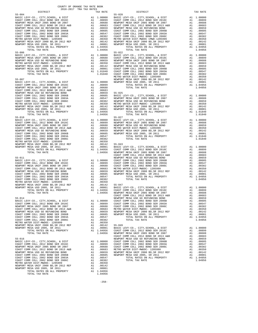| risino maissa piol ninpod tauggaa     | --- | .          |
|---------------------------------------|-----|------------|
| NEWPORT MESA UNIF 2000 BD.SR 2012 REF | A1  | .00142     |
| NEWPORT MESA USD 2005, SR 2011        | A1  | .00001     |
| TOTAL RATES ON ALL PROPERTY           |     | A1 1.04956 |
| TOTAL TAX RATE                        |     | 1.04956    |
|                                       |     |            |
| $55 - 016$                            |     |            |
| BASIC LEVY-CO., CITY, SCHOOL, & DIST  |     | A1 1,00000 |
| COAST COMM COLL 2012 BOND SER 2016C   | A1  | .00899     |
| NEWPORT MESA UNIF 2005 BOND SR 2007   | A1  | .00688     |
| COAST COMM COLL 2012 BOND SR 2013 A&B | A1  | .00683     |
| NEWPORT MESA USD GO REFUNDING BOND    | A1  | .00659     |
| COAST COMM COLL 2002 BOND SER 2006B   | A1  | .00605     |
| COAST COMM COLL 2002 BOND SER 2003A   | A1  | .00547     |
| COAST COMM COLL 2002 BOND SER 2006C   | A1  | .00382     |
| METRO WATER DIST-MWDOC- 1205999       | A1  | .00350     |
| NEWPORT MESA UNIF 2000 BD.SR 2012 REF | A1  | .00142     |
| NEWPORT MESA USD 2005, SR 2011        | A1  | .00001     |
| TOTAL RATES ON ALL PROPERTY           | A1  | 1.04956    |
| TOTAL TAX RATE                        |     | 1.04956    |

| DISTRICT                           | TAX RATE | DISTRICT | TAX RATE |
|------------------------------------|----------|----------|----------|
|                                    |          |          |          |
|                                    |          |          |          |
|                                    |          |          |          |
|                                    |          |          |          |
|                                    |          |          |          |
|                                    |          |          |          |
|                                    |          |          |          |
|                                    |          |          |          |
|                                    |          |          |          |
|                                    |          |          |          |
|                                    |          |          |          |
|                                    |          |          |          |
|                                    |          |          |          |
|                                    |          |          |          |
|                                    |          |          |          |
|                                    |          |          |          |
|                                    |          |          |          |
|                                    |          |          |          |
|                                    |          |          |          |
|                                    |          |          |          |
|                                    |          |          |          |
|                                    |          |          |          |
|                                    |          |          |          |
|                                    |          |          |          |
|                                    |          |          |          |
|                                    |          |          |          |
|                                    |          |          |          |
|                                    |          |          |          |
|                                    |          |          |          |
|                                    |          |          |          |
|                                    |          |          |          |
|                                    |          |          |          |
|                                    |          |          |          |
|                                    |          |          |          |
|                                    |          |          |          |
|                                    |          |          |          |
|                                    |          |          |          |
|                                    |          |          |          |
|                                    |          |          |          |
|                                    |          |          |          |
|                                    |          |          |          |
|                                    |          |          |          |
|                                    |          |          |          |
|                                    |          |          |          |
|                                    |          |          |          |
|                                    |          |          |          |
|                                    |          |          |          |
|                                    |          |          |          |
|                                    |          |          |          |
|                                    |          |          |          |
|                                    |          |          |          |
|                                    |          |          |          |
|                                    |          |          |          |
|                                    |          |          |          |
|                                    |          |          |          |
|                                    |          |          |          |
|                                    |          |          |          |
|                                    |          |          |          |
|                                    |          |          |          |
|                                    |          |          |          |
|                                    |          |          |          |
|                                    |          |          |          |
|                                    |          |          |          |
|                                    |          |          |          |
|                                    |          |          |          |
|                                    |          |          |          |
|                                    |          |          |          |
|                                    |          |          |          |
|                                    |          |          |          |
|                                    |          |          |          |
|                                    |          |          |          |
|                                    |          |          |          |
|                                    |          |          |          |
|                                    |          |          |          |
|                                    |          |          |          |
|                                    |          |          |          |
|                                    |          |          |          |
|                                    |          |          |          |
|                                    |          |          |          |
|                                    |          |          |          |
|                                    |          |          |          |
|                                    |          |          |          |
|                                    |          |          |          |
|                                    |          |          |          |
|                                    |          |          |          |
|                                    |          |          |          |
|                                    |          |          |          |
|                                    |          |          |          |
|                                    |          |          |          |
|                                    |          |          |          |
|                                    |          |          |          |
|                                    |          |          |          |
|                                    |          |          |          |
|                                    |          |          |          |
|                                    |          |          |          |
|                                    |          |          |          |
|                                    |          |          |          |
| www.pop.woo.thirp.coo.pp.cp.co.com |          |          |          |

-258-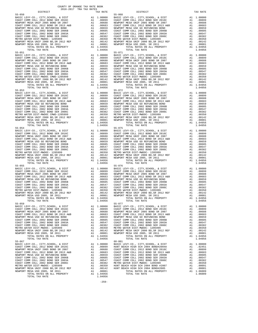|                                                                                                                                          |                                                                                                                                                                                                                                                        | A1 1.04956         |                    |
|------------------------------------------------------------------------------------------------------------------------------------------|--------------------------------------------------------------------------------------------------------------------------------------------------------------------------------------------------------------------------------------------------------|--------------------|--------------------|
| TOTAL TAX RATE                                                                                                                           |                                                                                                                                                                                                                                                        | 1.04956            |                    |
| $55 - 053$                                                                                                                               |                                                                                                                                                                                                                                                        |                    | $55 - 072$         |
|                                                                                                                                          |                                                                                                                                                                                                                                                        |                    |                    |
|                                                                                                                                          |                                                                                                                                                                                                                                                        |                    |                    |
|                                                                                                                                          |                                                                                                                                                                                                                                                        |                    |                    |
|                                                                                                                                          |                                                                                                                                                                                                                                                        |                    |                    |
|                                                                                                                                          |                                                                                                                                                                                                                                                        |                    |                    |
|                                                                                                                                          |                                                                                                                                                                                                                                                        |                    |                    |
|                                                                                                                                          |                                                                                                                                                                                                                                                        |                    |                    |
|                                                                                                                                          |                                                                                                                                                                                                                                                        |                    |                    |
|                                                                                                                                          |                                                                                                                                                                                                                                                        |                    |                    |
|                                                                                                                                          |                                                                                                                                                                                                                                                        |                    |                    |
|                                                                                                                                          |                                                                                                                                                                                                                                                        |                    |                    |
| TOTAL TAX RATE<br>$55 - 054$                                                                                                             |                                                                                                                                                                                                                                                        | 1.04956            | $55 - 075$         |
| BASIC LEVY-CO., CITY, SCHOOL, & DIST                                                                                                     |                                                                                                                                                                                                                                                        |                    |                    |
| COAST COMM COLL 2012 BOND SER 2016C<br>NEWDORT MESA INIE 2005 BOND SER 2007                                                              |                                                                                                                                                                                                                                                        |                    |                    |
| NEWPORT MESA UNIF 2005 BOND SR 2007                                                                                                      |                                                                                                                                                                                                                                                        |                    |                    |
| COAST COMM COLL 2012 BOND SR 2013 A&B                                                                                                    |                                                                                                                                                                                                                                                        |                    |                    |
| NEWPORT MESA USD GO REFUNDING BOND                                                                                                       |                                                                                                                                                                                                                                                        |                    |                    |
| COAST COMM COLL 2002 BOND SER 2006B                                                                                                      |                                                                                                                                                                                                                                                        |                    |                    |
| COAST COMM COLL 2002 BOND SER 2003A<br>COAST COMM COLL 2002 BOND SER 2006C<br>METRO WATER DIST-MWDOC- 1205999<br>NEWPORT MESA THATE COCL |                                                                                                                                                                                                                                                        |                    |                    |
|                                                                                                                                          |                                                                                                                                                                                                                                                        |                    |                    |
|                                                                                                                                          |                                                                                                                                                                                                                                                        |                    |                    |
| NEWPORT MESA UNIF 2000 BD, SR 2012 REF<br>NEWPORT MESA USD 2005, SR 2011<br>NEWPORT MESA USD 2005, SR 2011                               |                                                                                                                                                                                                                                                        |                    |                    |
| TOTAL RATES ON ALL PROPERTY                                                                                                              | 55-075<br>A1 1.00000 BASIC L<br>A1 .00899 COAST C<br>A1 .00688 NEWPORT<br>A1 .00683 COAST C<br>A1 .00659 NEWPORT<br>A1 .00605 COAST C<br>A1 .00382 COAST C<br>A1 .00382 COAST C<br>A1 .00350 METRO W<br>A1 .00350 METRO W<br>A1 .00142 NEWPORT<br>A1 . | A1 1.04956         |                    |
| TOTAL TAX RATE                                                                                                                           |                                                                                                                                                                                                                                                        | 1.04956            |                    |
| $55 - 055$                                                                                                                               |                                                                                                                                                                                                                                                        |                    | 55-076             |
|                                                                                                                                          |                                                                                                                                                                                                                                                        |                    |                    |
|                                                                                                                                          |                                                                                                                                                                                                                                                        |                    |                    |
|                                                                                                                                          |                                                                                                                                                                                                                                                        |                    |                    |
|                                                                                                                                          |                                                                                                                                                                                                                                                        |                    |                    |
|                                                                                                                                          |                                                                                                                                                                                                                                                        |                    |                    |
|                                                                                                                                          |                                                                                                                                                                                                                                                        |                    |                    |
|                                                                                                                                          |                                                                                                                                                                                                                                                        |                    |                    |
|                                                                                                                                          |                                                                                                                                                                                                                                                        |                    |                    |
|                                                                                                                                          |                                                                                                                                                                                                                                                        |                    |                    |
|                                                                                                                                          |                                                                                                                                                                                                                                                        |                    |                    |
| TOTAL RATES ON ALL PROPERTY<br>TOTAL TAX RATE                                                                                            |                                                                                                                                                                                                                                                        | A1 1.04956         |                    |
| $55 - 059$                                                                                                                               |                                                                                                                                                                                                                                                        | 1.04956            | 55-077             |
| BASIC LEVY-CO., CITY, SCHOOL, & DIST                                                                                                     | 55-077<br>A1 1.00000 BASIC L<br>A1 .00899 COAST C<br>A1 .00688 NEWPORT<br>A1 .00668 NEWPORT<br>A1 .00659 COAST C<br>A1 .00659 COAST C<br>A1 .00547 COAST C<br>A1 .00350 METRO W<br>A1 .00350 METRO W<br>A1 .00142 MEWPORT<br>A1 .00142 MEWPORT<br>A1 . |                    |                    |
| BASIC LEVY-CO., CITY, SCHOOL, & DIST<br>COAST COMM COLL 2012 BOND SER 2016C<br>NEWDORE MEER INIE 2005 BOND SER 2007                      |                                                                                                                                                                                                                                                        |                    |                    |
| NEWPORT MESA UNIF 2005 BOND SR 2007                                                                                                      |                                                                                                                                                                                                                                                        |                    |                    |
| COAST COMM COLL 2012 BOND SR 2013 A&B                                                                                                    |                                                                                                                                                                                                                                                        |                    |                    |
| NEWPORT MESA USD GO REFUNDING BOND                                                                                                       |                                                                                                                                                                                                                                                        |                    |                    |
| COAST COMM COLL 2002 BOND SER 2006B                                                                                                      |                                                                                                                                                                                                                                                        |                    |                    |
| COAST COMM COLL 2002 BOND SER 2003A                                                                                                      |                                                                                                                                                                                                                                                        |                    |                    |
| COAST COMM COLL 2002 BOND SER 2006C<br>METRO WATER DIST-MWDOC- 1205999                                                                   |                                                                                                                                                                                                                                                        |                    |                    |
| NEWPORT MESA UNIF 2000 BD, SR 2012 REF<br>NEWPORT MESA USD 2005, SR 2011                                                                 |                                                                                                                                                                                                                                                        |                    |                    |
|                                                                                                                                          |                                                                                                                                                                                                                                                        |                    |                    |
| TOTAL RATES ON ALL PROPERTY                                                                                                              |                                                                                                                                                                                                                                                        | A1 1.04956         |                    |
| TOTAL TAX RATE                                                                                                                           |                                                                                                                                                                                                                                                        | 1.04956            |                    |
| $55 - 067$                                                                                                                               |                                                                                                                                                                                                                                                        |                    | $60 - 001$         |
| BASIC LEVY-CO., CITY, SCHOOL, & DIST                                                                                                     |                                                                                                                                                                                                                                                        | A1 1.00000 BASIC L |                    |
| COAST COMM COLL 2012 BOND SER 2016C                                                                                                      | A1                                                                                                                                                                                                                                                     | .00899             | HUNT BE            |
| NEWPORT MESA UNIF 2005 BOND SR 2007                                                                                                      | A1                                                                                                                                                                                                                                                     | .00688             | COAST C            |
| COAST COMM COLL 2012 BOND SR 2013 A&B<br>NEWPORT MESA USD GO REFUNDING BOND                                                              | A1<br>A1                                                                                                                                                                                                                                               | .00683<br>.00659   | COAST C<br>COAST C |
| COAST COMM COLL 2002 BOND SER 2006B                                                                                                      | A1                                                                                                                                                                                                                                                     | .00605             | COAST C            |
| COAST COMM COLL 2002 BOND SER 2003A                                                                                                      | A1                                                                                                                                                                                                                                                     | .00547             | COAST C            |
| COAST COMM COLL 2002 BOND SER 2006C                                                                                                      | A1                                                                                                                                                                                                                                                     | .00382             | METRO W            |
| METRO WATER DIST-MWDOC- 1205999                                                                                                          | A1                                                                                                                                                                                                                                                     | .00350             | HUNT BE            |
| NEWPORT MESA UNIF 2000 BD, SR 2012 REF                                                                                                   | A1                                                                                                                                                                                                                                                     | .00142             | HUNT BE            |
| NEWPORT MESA USD 2005, SR 2011                                                                                                           | A1                                                                                                                                                                                                                                                     | .00001             |                    |
| TOTAL RATES ON ALL PROPERTY                                                                                                              |                                                                                                                                                                                                                                                        | A1 1.04956         |                    |
| TOTAL TAX RATE                                                                                                                           |                                                                                                                                                                                                                                                        | 1.04956            |                    |

| レエウエルエニエ                                                                                                                                                                                                                                                                                                                                                                      | TWV WITH | ----------     | TWV WITH |
|-------------------------------------------------------------------------------------------------------------------------------------------------------------------------------------------------------------------------------------------------------------------------------------------------------------------------------------------------------------------------------|----------|----------------|----------|
|                                                                                                                                                                                                                                                                                                                                                                               |          |                |          |
|                                                                                                                                                                                                                                                                                                                                                                               |          |                |          |
|                                                                                                                                                                                                                                                                                                                                                                               |          |                |          |
|                                                                                                                                                                                                                                                                                                                                                                               |          |                |          |
|                                                                                                                                                                                                                                                                                                                                                                               |          |                |          |
|                                                                                                                                                                                                                                                                                                                                                                               |          |                |          |
|                                                                                                                                                                                                                                                                                                                                                                               |          |                |          |
|                                                                                                                                                                                                                                                                                                                                                                               |          |                |          |
|                                                                                                                                                                                                                                                                                                                                                                               |          |                |          |
|                                                                                                                                                                                                                                                                                                                                                                               |          |                |          |
|                                                                                                                                                                                                                                                                                                                                                                               |          |                |          |
|                                                                                                                                                                                                                                                                                                                                                                               |          |                |          |
|                                                                                                                                                                                                                                                                                                                                                                               |          |                |          |
|                                                                                                                                                                                                                                                                                                                                                                               |          |                |          |
|                                                                                                                                                                                                                                                                                                                                                                               |          |                |          |
|                                                                                                                                                                                                                                                                                                                                                                               |          |                |          |
|                                                                                                                                                                                                                                                                                                                                                                               |          |                |          |
|                                                                                                                                                                                                                                                                                                                                                                               |          |                |          |
|                                                                                                                                                                                                                                                                                                                                                                               |          |                |          |
|                                                                                                                                                                                                                                                                                                                                                                               |          |                |          |
|                                                                                                                                                                                                                                                                                                                                                                               |          |                |          |
|                                                                                                                                                                                                                                                                                                                                                                               |          |                |          |
|                                                                                                                                                                                                                                                                                                                                                                               |          |                |          |
|                                                                                                                                                                                                                                                                                                                                                                               |          |                |          |
|                                                                                                                                                                                                                                                                                                                                                                               |          |                |          |
|                                                                                                                                                                                                                                                                                                                                                                               |          |                |          |
|                                                                                                                                                                                                                                                                                                                                                                               |          |                |          |
|                                                                                                                                                                                                                                                                                                                                                                               |          |                |          |
|                                                                                                                                                                                                                                                                                                                                                                               |          |                |          |
|                                                                                                                                                                                                                                                                                                                                                                               |          |                |          |
|                                                                                                                                                                                                                                                                                                                                                                               |          |                |          |
|                                                                                                                                                                                                                                                                                                                                                                               |          |                |          |
|                                                                                                                                                                                                                                                                                                                                                                               |          |                |          |
|                                                                                                                                                                                                                                                                                                                                                                               |          |                |          |
|                                                                                                                                                                                                                                                                                                                                                                               |          |                |          |
|                                                                                                                                                                                                                                                                                                                                                                               |          |                |          |
|                                                                                                                                                                                                                                                                                                                                                                               |          |                |          |
|                                                                                                                                                                                                                                                                                                                                                                               |          |                |          |
|                                                                                                                                                                                                                                                                                                                                                                               |          |                |          |
|                                                                                                                                                                                                                                                                                                                                                                               |          |                |          |
|                                                                                                                                                                                                                                                                                                                                                                               |          |                |          |
|                                                                                                                                                                                                                                                                                                                                                                               |          |                |          |
|                                                                                                                                                                                                                                                                                                                                                                               |          |                |          |
|                                                                                                                                                                                                                                                                                                                                                                               |          |                |          |
|                                                                                                                                                                                                                                                                                                                                                                               |          |                |          |
|                                                                                                                                                                                                                                                                                                                                                                               |          |                |          |
|                                                                                                                                                                                                                                                                                                                                                                               |          |                |          |
|                                                                                                                                                                                                                                                                                                                                                                               |          |                |          |
|                                                                                                                                                                                                                                                                                                                                                                               |          |                |          |
|                                                                                                                                                                                                                                                                                                                                                                               |          |                |          |
|                                                                                                                                                                                                                                                                                                                                                                               |          |                |          |
|                                                                                                                                                                                                                                                                                                                                                                               |          |                |          |
|                                                                                                                                                                                                                                                                                                                                                                               |          |                |          |
|                                                                                                                                                                                                                                                                                                                                                                               |          |                |          |
|                                                                                                                                                                                                                                                                                                                                                                               |          |                |          |
|                                                                                                                                                                                                                                                                                                                                                                               |          |                |          |
|                                                                                                                                                                                                                                                                                                                                                                               |          |                |          |
|                                                                                                                                                                                                                                                                                                                                                                               |          |                |          |
|                                                                                                                                                                                                                                                                                                                                                                               |          |                |          |
| TOTAL TAX RATE                                                                                                                                                                                                                                                                                                                                                                | 1.04956  | TOTAL TAX RATE | 1.04956  |
|                                                                                                                                                                                                                                                                                                                                                                               |          |                |          |
|                                                                                                                                                                                                                                                                                                                                                                               |          |                |          |
|                                                                                                                                                                                                                                                                                                                                                                               |          |                |          |
|                                                                                                                                                                                                                                                                                                                                                                               |          |                |          |
|                                                                                                                                                                                                                                                                                                                                                                               |          |                |          |
|                                                                                                                                                                                                                                                                                                                                                                               |          |                |          |
|                                                                                                                                                                                                                                                                                                                                                                               |          |                |          |
|                                                                                                                                                                                                                                                                                                                                                                               |          |                |          |
|                                                                                                                                                                                                                                                                                                                                                                               |          |                |          |
|                                                                                                                                                                                                                                                                                                                                                                               |          |                |          |
|                                                                                                                                                                                                                                                                                                                                                                               |          |                |          |
|                                                                                                                                                                                                                                                                                                                                                                               |          |                |          |
|                                                                                                                                                                                                                                                                                                                                                                               |          |                |          |
|                                                                                                                                                                                                                                                                                                                                                                               |          |                |          |
|                                                                                                                                                                                                                                                                                                                                                                               |          |                |          |
|                                                                                                                                                                                                                                                                                                                                                                               |          |                |          |
|                                                                                                                                                                                                                                                                                                                                                                               |          |                |          |
|                                                                                                                                                                                                                                                                                                                                                                               |          |                |          |
|                                                                                                                                                                                                                                                                                                                                                                               |          |                |          |
|                                                                                                                                                                                                                                                                                                                                                                               |          |                |          |
|                                                                                                                                                                                                                                                                                                                                                                               |          |                |          |
|                                                                                                                                                                                                                                                                                                                                                                               |          |                |          |
| $\begin{tabular}{cccccc} $55-0.59$ & $707 \text{A} & $74 \text{A} & $10.4956$ & $10.4956$ & $10.4956$ & $10.4956$ & $10.4956$ & $10.4956$ & $10.4956$ & $10.4956$ & $10.4956$ \\ \text{RAGR} & \text{EMV} & \text{CMR} & \text{CMR} & \text{CMR} & \text{CMR} & \text{CMR} & \text{CMR} & \text{CMR} & \text{CMR} & \text{CMR} & \text{CMR} & \text{CMR} &$<br>TOTAL TAY RATE |          |                |          |
|                                                                                                                                                                                                                                                                                                                                                                               |          |                |          |

-259-

COUNTY OF ORANGE TAX RATE BOOK<br>2016-2017 TRA TAX RATES DISTRICT DISTRICT TAX RATE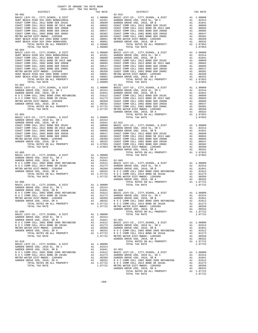| COUNTY OF ORANGE TAX RATE BOOK<br>2016-2017 TRA TAX RATES                |    |                                                                                                          |            |
|--------------------------------------------------------------------------|----|----------------------------------------------------------------------------------------------------------|------------|
| DISTRICT                                                                 |    | TAX RATE                                                                                                 |            |
|                                                                          |    |                                                                                                          |            |
|                                                                          |    |                                                                                                          |            |
|                                                                          |    |                                                                                                          |            |
|                                                                          |    |                                                                                                          |            |
|                                                                          |    |                                                                                                          |            |
|                                                                          |    |                                                                                                          |            |
|                                                                          |    |                                                                                                          |            |
|                                                                          |    |                                                                                                          |            |
|                                                                          |    |                                                                                                          |            |
|                                                                          |    |                                                                                                          |            |
|                                                                          |    |                                                                                                          |            |
|                                                                          |    |                                                                                                          |            |
|                                                                          |    |                                                                                                          |            |
|                                                                          |    |                                                                                                          |            |
|                                                                          |    |                                                                                                          |            |
|                                                                          |    |                                                                                                          |            |
|                                                                          |    |                                                                                                          |            |
|                                                                          |    |                                                                                                          |            |
|                                                                          |    |                                                                                                          |            |
|                                                                          |    |                                                                                                          |            |
|                                                                          |    |                                                                                                          |            |
|                                                                          |    |                                                                                                          |            |
|                                                                          |    |                                                                                                          |            |
|                                                                          |    |                                                                                                          |            |
|                                                                          |    |                                                                                                          |            |
|                                                                          |    |                                                                                                          |            |
|                                                                          |    |                                                                                                          |            |
|                                                                          |    |                                                                                                          |            |
|                                                                          |    |                                                                                                          |            |
|                                                                          |    |                                                                                                          |            |
|                                                                          |    |                                                                                                          |            |
|                                                                          |    |                                                                                                          | GARDEN     |
|                                                                          |    |                                                                                                          |            |
|                                                                          |    |                                                                                                          |            |
|                                                                          |    |                                                                                                          |            |
|                                                                          |    |                                                                                                          |            |
|                                                                          |    |                                                                                                          |            |
|                                                                          |    |                                                                                                          |            |
|                                                                          |    |                                                                                                          |            |
|                                                                          |    |                                                                                                          |            |
|                                                                          |    |                                                                                                          |            |
|                                                                          |    |                                                                                                          |            |
|                                                                          |    |                                                                                                          |            |
|                                                                          |    |                                                                                                          |            |
|                                                                          |    |                                                                                                          |            |
|                                                                          |    |                                                                                                          |            |
|                                                                          |    |                                                                                                          |            |
|                                                                          |    |                                                                                                          |            |
|                                                                          |    |                                                                                                          |            |
|                                                                          |    |                                                                                                          |            |
|                                                                          |    |                                                                                                          |            |
|                                                                          |    |                                                                                                          |            |
|                                                                          |    |                                                                                                          |            |
| $62 - 006$                                                               |    |                                                                                                          |            |
|                                                                          |    |                                                                                                          |            |
|                                                                          |    |                                                                                                          |            |
|                                                                          |    |                                                                                                          |            |
|                                                                          |    |                                                                                                          |            |
| N O C COMM COLL 2014 BOND SR 2016A                                       |    | A1 .01273 GARDEN                                                                                         |            |
| METRO WATER DIST-MWDOC- 1205999                                          | A1 | .00350                                                                                                   | GARDEN     |
| GARDEN GROVE USD, 2010, SR A<br>TOTAL RATES ON ALL PROPERTY              | A1 | A1 .00332 NOCC<br>A1 1.07722 NOCC                                                                        |            |
| TOTAL TAX RATE                                                           |    | 1.07722                                                                                                  | METRO W    |
|                                                                          |    |                                                                                                          | GARDEN     |
| $62 - 009$                                                               |    |                                                                                                          |            |
| BASIC LEVY-CO., CITY, SCHOOL, & DIST                                     |    | A1 1.00000                                                                                               |            |
| GARDEN GROVE USD, 2010 EL, SR C                                          |    | A1 .02314                                                                                                |            |
| GARDEN GROVE USD, 2010, SR B<br>N O C COMM COLL 2002 BOND 2005 REFUNDING | A1 | .01841 62-051<br>A1 .01612                                                                               | BASIC L    |
| N O C COMM COLL 2014 BOND SR 2016A                                       |    |                                                                                                          |            |
| METRO WATER DIST-MWDOC- 1205999                                          |    |                                                                                                          |            |
| GARDEN GROVE USD, 2010, SR A                                             |    |                                                                                                          |            |
| TOTAL RATES ON ALL PROPERTY                                              |    | A1 .01273<br>A1 .01273 GARDEN<br>A1 .01350 GARDEN<br>A1 .00332 NOCC<br>A1 1.07722 NOCC<br>1.07722 METROW |            |
| TOTAL TAX RATE                                                           |    |                                                                                                          |            |
|                                                                          |    |                                                                                                          | GARDEN     |
| $62 - 010$<br>BASIC LEVY-CO., CITY, SCHOOL, & DIST                       |    | A1 1.00000                                                                                               |            |
| GARDEN GROVE USD, 2010 EL, SR C                                          |    | A1.02314                                                                                                 |            |
| GARDEN GROVE USD, 2010, SR B                                             | A1 | .01841                                                                                                   | $62 - 052$ |
| N O C COMM COLL 2002 BOND 2005 REFUNDING                                 | A1 | .01612                                                                                                   | BASIC L    |
| N O C COMM COLL 2014 BOND SR 2016A                                       | A1 | .01273                                                                                                   | GARDEN     |
| METRO WATER DIST-MWDOC- 1205999                                          |    |                                                                                                          |            |
| GARDEN GROVE USD, 2010, SR A                                             |    | A1 .00350 GARDEN<br>A1 .00350 GARDEN<br>A1 .00332 NOCC<br>A1 1.07722 NOCC<br>1.07722 METROW              |            |
| TOTAL RATES ON ALL PROPERTY                                              |    |                                                                                                          |            |
| TOTAL TAX RATE                                                           |    |                                                                                                          |            |

| TAX RATE<br>DISTRICT |  | DISTRICT | TAX RATE |
|----------------------|--|----------|----------|
|                      |  |          |          |
|                      |  |          |          |
|                      |  |          |          |
|                      |  |          |          |
|                      |  |          |          |
|                      |  |          |          |
|                      |  |          |          |
|                      |  |          |          |
|                      |  |          |          |
|                      |  |          |          |
|                      |  |          |          |
|                      |  |          |          |
|                      |  |          |          |
|                      |  |          |          |
|                      |  |          |          |
|                      |  |          |          |
|                      |  |          |          |
|                      |  |          |          |
|                      |  |          |          |
|                      |  |          |          |
|                      |  |          |          |
|                      |  |          |          |
|                      |  |          |          |
|                      |  |          |          |
|                      |  |          |          |
|                      |  |          |          |
|                      |  |          |          |
|                      |  |          |          |
|                      |  |          |          |
|                      |  |          |          |
|                      |  |          |          |
|                      |  |          |          |
|                      |  |          |          |
|                      |  |          |          |
|                      |  |          |          |
|                      |  |          |          |
|                      |  |          |          |
|                      |  |          |          |
|                      |  |          |          |
|                      |  |          |          |
|                      |  |          |          |
|                      |  |          |          |
|                      |  |          |          |
|                      |  |          |          |
|                      |  |          |          |
|                      |  |          |          |
|                      |  |          |          |
|                      |  |          |          |
|                      |  |          |          |
|                      |  |          |          |
|                      |  |          |          |
|                      |  |          |          |
|                      |  |          |          |
|                      |  |          |          |
|                      |  |          |          |
|                      |  |          |          |
|                      |  |          |          |
|                      |  |          |          |
|                      |  |          |          |
|                      |  |          |          |
|                      |  |          |          |
|                      |  |          |          |
|                      |  |          |          |
|                      |  |          |          |
|                      |  |          |          |
|                      |  |          |          |
|                      |  |          |          |
|                      |  |          |          |
|                      |  |          |          |
|                      |  |          |          |
|                      |  |          |          |
|                      |  |          |          |
|                      |  |          |          |
|                      |  |          |          |
|                      |  |          |          |
|                      |  |          |          |
|                      |  |          |          |
|                      |  |          |          |
|                      |  |          |          |
|                      |  |          |          |
|                      |  |          |          |
|                      |  |          |          |
|                      |  |          |          |
|                      |  |          |          |
|                      |  |          |          |
|                      |  |          |          |
|                      |  |          |          |
|                      |  |          |          |
|                      |  |          |          |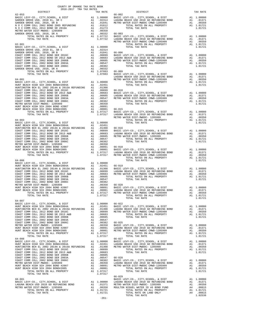| COUNTY OF ORANGE TAX RATE BOOK<br>$\begin{minipage}{0.5\textwidth} \begin{tabular}{c} \multicolumn{2}{c}{\textwidth} \begin{tabular}{c} $\color{red}\text{1} & $\color{red}\text{1} & $\color{blue}\text{1} & $\color{blue}\text{1} & $\color{blue}\text{1} & $\color{blue}\text{1} & $\color{blue}\text{1} & $\color{blue}\text{1} & $\color{blue}\text{1} & $\color{blue}\text{1} & $\color{blue}\text{1} & $\color{blue}\text{1} & $\color{blue}\text{1} & $\color{blue}\text{1} & $\color{blue}\text{1} & $\color{blue}\text{1} & $\color{blue}\text{1} & $\color{blue}\text{$ |         |                |          |
|------------------------------------------------------------------------------------------------------------------------------------------------------------------------------------------------------------------------------------------------------------------------------------------------------------------------------------------------------------------------------------------------------------------------------------------------------------------------------------------------------------------------------------------------------------------------------------|---------|----------------|----------|
| $62 - 053$                                                                                                                                                                                                                                                                                                                                                                                                                                                                                                                                                                         |         | $66 - 002$     | TAX RATE |
|                                                                                                                                                                                                                                                                                                                                                                                                                                                                                                                                                                                    |         |                |          |
|                                                                                                                                                                                                                                                                                                                                                                                                                                                                                                                                                                                    |         |                |          |
|                                                                                                                                                                                                                                                                                                                                                                                                                                                                                                                                                                                    |         |                |          |
|                                                                                                                                                                                                                                                                                                                                                                                                                                                                                                                                                                                    |         |                |          |
|                                                                                                                                                                                                                                                                                                                                                                                                                                                                                                                                                                                    |         |                |          |
|                                                                                                                                                                                                                                                                                                                                                                                                                                                                                                                                                                                    |         |                |          |
|                                                                                                                                                                                                                                                                                                                                                                                                                                                                                                                                                                                    |         |                |          |
|                                                                                                                                                                                                                                                                                                                                                                                                                                                                                                                                                                                    |         |                |          |
|                                                                                                                                                                                                                                                                                                                                                                                                                                                                                                                                                                                    |         |                |          |
|                                                                                                                                                                                                                                                                                                                                                                                                                                                                                                                                                                                    |         |                |          |
|                                                                                                                                                                                                                                                                                                                                                                                                                                                                                                                                                                                    |         |                |          |
|                                                                                                                                                                                                                                                                                                                                                                                                                                                                                                                                                                                    |         |                |          |
|                                                                                                                                                                                                                                                                                                                                                                                                                                                                                                                                                                                    |         |                |          |
|                                                                                                                                                                                                                                                                                                                                                                                                                                                                                                                                                                                    |         |                |          |
|                                                                                                                                                                                                                                                                                                                                                                                                                                                                                                                                                                                    |         |                |          |
|                                                                                                                                                                                                                                                                                                                                                                                                                                                                                                                                                                                    |         |                |          |
|                                                                                                                                                                                                                                                                                                                                                                                                                                                                                                                                                                                    |         |                |          |
|                                                                                                                                                                                                                                                                                                                                                                                                                                                                                                                                                                                    |         |                |          |
|                                                                                                                                                                                                                                                                                                                                                                                                                                                                                                                                                                                    |         |                |          |
|                                                                                                                                                                                                                                                                                                                                                                                                                                                                                                                                                                                    |         |                |          |
|                                                                                                                                                                                                                                                                                                                                                                                                                                                                                                                                                                                    |         |                |          |
|                                                                                                                                                                                                                                                                                                                                                                                                                                                                                                                                                                                    |         |                |          |
|                                                                                                                                                                                                                                                                                                                                                                                                                                                                                                                                                                                    |         |                |          |
|                                                                                                                                                                                                                                                                                                                                                                                                                                                                                                                                                                                    |         |                |          |
|                                                                                                                                                                                                                                                                                                                                                                                                                                                                                                                                                                                    |         |                |          |
|                                                                                                                                                                                                                                                                                                                                                                                                                                                                                                                                                                                    |         |                |          |
|                                                                                                                                                                                                                                                                                                                                                                                                                                                                                                                                                                                    |         |                |          |
|                                                                                                                                                                                                                                                                                                                                                                                                                                                                                                                                                                                    |         |                |          |
|                                                                                                                                                                                                                                                                                                                                                                                                                                                                                                                                                                                    |         |                |          |
|                                                                                                                                                                                                                                                                                                                                                                                                                                                                                                                                                                                    |         |                |          |
|                                                                                                                                                                                                                                                                                                                                                                                                                                                                                                                                                                                    |         |                |          |
|                                                                                                                                                                                                                                                                                                                                                                                                                                                                                                                                                                                    |         |                |          |
|                                                                                                                                                                                                                                                                                                                                                                                                                                                                                                                                                                                    |         |                |          |
|                                                                                                                                                                                                                                                                                                                                                                                                                                                                                                                                                                                    |         |                |          |
|                                                                                                                                                                                                                                                                                                                                                                                                                                                                                                                                                                                    |         |                |          |
|                                                                                                                                                                                                                                                                                                                                                                                                                                                                                                                                                                                    |         |                |          |
|                                                                                                                                                                                                                                                                                                                                                                                                                                                                                                                                                                                    |         |                |          |
|                                                                                                                                                                                                                                                                                                                                                                                                                                                                                                                                                                                    |         |                |          |
|                                                                                                                                                                                                                                                                                                                                                                                                                                                                                                                                                                                    |         |                |          |
|                                                                                                                                                                                                                                                                                                                                                                                                                                                                                                                                                                                    |         |                |          |
|                                                                                                                                                                                                                                                                                                                                                                                                                                                                                                                                                                                    |         |                |          |
|                                                                                                                                                                                                                                                                                                                                                                                                                                                                                                                                                                                    |         |                |          |
|                                                                                                                                                                                                                                                                                                                                                                                                                                                                                                                                                                                    |         |                |          |
|                                                                                                                                                                                                                                                                                                                                                                                                                                                                                                                                                                                    |         |                |          |
|                                                                                                                                                                                                                                                                                                                                                                                                                                                                                                                                                                                    |         |                |          |
| $64 - 007$                                                                                                                                                                                                                                                                                                                                                                                                                                                                                                                                                                         |         | TOTAL TAX RATE | 1.01721  |
|                                                                                                                                                                                                                                                                                                                                                                                                                                                                                                                                                                                    |         |                |          |
|                                                                                                                                                                                                                                                                                                                                                                                                                                                                                                                                                                                    |         |                |          |
|                                                                                                                                                                                                                                                                                                                                                                                                                                                                                                                                                                                    |         |                |          |
|                                                                                                                                                                                                                                                                                                                                                                                                                                                                                                                                                                                    |         |                |          |
|                                                                                                                                                                                                                                                                                                                                                                                                                                                                                                                                                                                    |         |                |          |
|                                                                                                                                                                                                                                                                                                                                                                                                                                                                                                                                                                                    |         |                |          |
|                                                                                                                                                                                                                                                                                                                                                                                                                                                                                                                                                                                    |         |                |          |
|                                                                                                                                                                                                                                                                                                                                                                                                                                                                                                                                                                                    |         |                |          |
|                                                                                                                                                                                                                                                                                                                                                                                                                                                                                                                                                                                    |         |                |          |
|                                                                                                                                                                                                                                                                                                                                                                                                                                                                                                                                                                                    |         |                |          |
|                                                                                                                                                                                                                                                                                                                                                                                                                                                                                                                                                                                    |         |                |          |
|                                                                                                                                                                                                                                                                                                                                                                                                                                                                                                                                                                                    |         |                |          |
|                                                                                                                                                                                                                                                                                                                                                                                                                                                                                                                                                                                    |         |                |          |
|                                                                                                                                                                                                                                                                                                                                                                                                                                                                                                                                                                                    |         |                |          |
|                                                                                                                                                                                                                                                                                                                                                                                                                                                                                                                                                                                    |         |                |          |
|                                                                                                                                                                                                                                                                                                                                                                                                                                                                                                                                                                                    |         |                |          |
|                                                                                                                                                                                                                                                                                                                                                                                                                                                                                                                                                                                    |         |                |          |
|                                                                                                                                                                                                                                                                                                                                                                                                                                                                                                                                                                                    |         |                |          |
|                                                                                                                                                                                                                                                                                                                                                                                                                                                                                                                                                                                    |         |                |          |
|                                                                                                                                                                                                                                                                                                                                                                                                                                                                                                                                                                                    |         |                |          |
|                                                                                                                                                                                                                                                                                                                                                                                                                                                                                                                                                                                    |         |                |          |
|                                                                                                                                                                                                                                                                                                                                                                                                                                                                                                                                                                                    |         |                |          |
|                                                                                                                                                                                                                                                                                                                                                                                                                                                                                                                                                                                    |         |                |          |
|                                                                                                                                                                                                                                                                                                                                                                                                                                                                                                                                                                                    | $-261-$ |                |          |
|                                                                                                                                                                                                                                                                                                                                                                                                                                                                                                                                                                                    |         |                |          |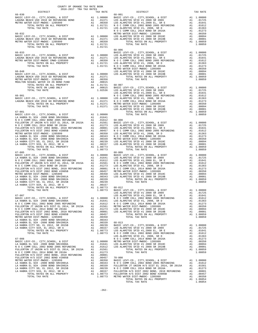|                                                                                                                                                                                                                                             |  | TAX RATE $68-001$ DISTRICT | TAX RATE |
|---------------------------------------------------------------------------------------------------------------------------------------------------------------------------------------------------------------------------------------------|--|----------------------------|----------|
| 66-030                                                                                                                                                                                                                                      |  |                            |          |
|                                                                                                                                                                                                                                             |  |                            |          |
|                                                                                                                                                                                                                                             |  |                            |          |
|                                                                                                                                                                                                                                             |  |                            |          |
|                                                                                                                                                                                                                                             |  |                            |          |
|                                                                                                                                                                                                                                             |  |                            |          |
|                                                                                                                                                                                                                                             |  |                            |          |
|                                                                                                                                                                                                                                             |  |                            |          |
|                                                                                                                                                                                                                                             |  |                            |          |
|                                                                                                                                                                                                                                             |  |                            |          |
|                                                                                                                                                                                                                                             |  | $68 - 006$                 |          |
|                                                                                                                                                                                                                                             |  |                            |          |
|                                                                                                                                                                                                                                             |  |                            |          |
|                                                                                                                                                                                                                                             |  |                            |          |
|                                                                                                                                                                                                                                             |  |                            |          |
|                                                                                                                                                                                                                                             |  |                            |          |
|                                                                                                                                                                                                                                             |  |                            |          |
|                                                                                                                                                                                                                                             |  |                            |          |
|                                                                                                                                                                                                                                             |  |                            |          |
|                                                                                                                                                                                                                                             |  |                            |          |
|                                                                                                                                                                                                                                             |  |                            |          |
|                                                                                                                                                                                                                                             |  |                            |          |
|                                                                                                                                                                                                                                             |  |                            |          |
|                                                                                                                                                                                                                                             |  |                            |          |
|                                                                                                                                                                                                                                             |  |                            |          |
|                                                                                                                                                                                                                                             |  |                            |          |
|                                                                                                                                                                                                                                             |  |                            |          |
|                                                                                                                                                                                                                                             |  |                            |          |
|                                                                                                                                                                                                                                             |  |                            |          |
|                                                                                                                                                                                                                                             |  |                            |          |
|                                                                                                                                                                                                                                             |  |                            |          |
|                                                                                                                                                                                                                                             |  |                            |          |
|                                                                                                                                                                                                                                             |  |                            |          |
|                                                                                                                                                                                                                                             |  |                            |          |
|                                                                                                                                                                                                                                             |  |                            |          |
|                                                                                                                                                                                                                                             |  |                            |          |
|                                                                                                                                                                                                                                             |  |                            |          |
|                                                                                                                                                                                                                                             |  |                            |          |
|                                                                                                                                                                                                                                             |  |                            |          |
|                                                                                                                                                                                                                                             |  |                            |          |
|                                                                                                                                                                                                                                             |  |                            |          |
|                                                                                                                                                                                                                                             |  |                            |          |
|                                                                                                                                                                                                                                             |  |                            |          |
|                                                                                                                                                                                                                                             |  |                            |          |
|                                                                                                                                                                                                                                             |  |                            |          |
|                                                                                                                                                                                                                                             |  |                            |          |
|                                                                                                                                                                                                                                             |  |                            |          |
|                                                                                                                                                                                                                                             |  |                            |          |
|                                                                                                                                                                                                                                             |  |                            |          |
|                                                                                                                                                                                                                                             |  |                            |          |
|                                                                                                                                                                                                                                             |  |                            |          |
|                                                                                                                                                                                                                                             |  |                            |          |
|                                                                                                                                                                                                                                             |  |                            |          |
|                                                                                                                                                                                                                                             |  |                            |          |
|                                                                                                                                                                                                                                             |  |                            |          |
|                                                                                                                                                                                                                                             |  |                            |          |
|                                                                                                                                                                                                                                             |  |                            |          |
|                                                                                                                                                                                                                                             |  |                            |          |
|                                                                                                                                                                                                                                             |  |                            |          |
|                                                                                                                                                                                                                                             |  |                            |          |
|                                                                                                                                                                                                                                             |  |                            |          |
|                                                                                                                                                                                                                                             |  |                            |          |
|                                                                                                                                                                                                                                             |  |                            |          |
|                                                                                                                                                                                                                                             |  |                            |          |
|                                                                                                                                                                                                                                             |  |                            |          |
|                                                                                                                                                                                                                                             |  |                            |          |
|                                                                                                                                                                                                                                             |  |                            |          |
|                                                                                                                                                                                                                                             |  |                            |          |
|                                                                                                                                                                                                                                             |  |                            |          |
|                                                                                                                                                                                                                                             |  |                            |          |
|                                                                                                                                                                                                                                             |  |                            |          |
|                                                                                                                                                                                                                                             |  |                            |          |
|                                                                                                                                                                                                                                             |  |                            |          |
|                                                                                                                                                                                                                                             |  |                            |          |
|                                                                                                                                                                                                                                             |  |                            |          |
|                                                                                                                                                                                                                                             |  |                            |          |
|                                                                                                                                                                                                                                             |  |                            |          |
|                                                                                                                                                                                                                                             |  |                            |          |
|                                                                                                                                                                                                                                             |  |                            |          |
|                                                                                                                                                                                                                                             |  |                            |          |
| $\begin{smallmatrix} 1.0311&0.0000&0.0000&0.0000&0.0000&0.0000&0.0000&0.0000&0.0000&0.0000&0.0000&0.0000&0.0000&0.0000&0.0000&0.0000&0.0000&0.0000&0.0000&0.0000&0.0000&0.0000&0.0000&0.0000&0.0000&0.0000&0.0000&0.0000&0.0000&0.0000&0.0$ |  |                            |          |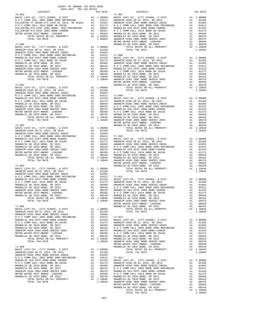| COUNTY OF ORANGE TAX RATE BOOK<br>2016-2017 TRA TAX RATES                            |  |                                     |          |
|--------------------------------------------------------------------------------------|--|-------------------------------------|----------|
| $2016-2017\begin{array}{l} \text{CNOT} \\ \text{TRA TAX RATES} \end{array}$ DISTRICT |  | TAX RATE $$71-007$ $$\tt DISTRICT$$ | TAX RATE |
|                                                                                      |  |                                     |          |
|                                                                                      |  |                                     |          |
|                                                                                      |  |                                     |          |
|                                                                                      |  |                                     |          |
|                                                                                      |  |                                     |          |
|                                                                                      |  |                                     |          |
|                                                                                      |  |                                     |          |
|                                                                                      |  |                                     |          |
|                                                                                      |  |                                     |          |
|                                                                                      |  |                                     |          |
|                                                                                      |  |                                     |          |
|                                                                                      |  |                                     |          |
|                                                                                      |  |                                     |          |
|                                                                                      |  |                                     |          |
|                                                                                      |  |                                     |          |
|                                                                                      |  |                                     |          |
|                                                                                      |  |                                     |          |
|                                                                                      |  |                                     |          |
|                                                                                      |  |                                     |          |
|                                                                                      |  |                                     |          |
|                                                                                      |  |                                     |          |
|                                                                                      |  |                                     |          |
|                                                                                      |  |                                     |          |
|                                                                                      |  |                                     |          |
|                                                                                      |  |                                     |          |
|                                                                                      |  |                                     |          |
|                                                                                      |  |                                     |          |
|                                                                                      |  |                                     |          |
|                                                                                      |  |                                     |          |
|                                                                                      |  |                                     |          |
|                                                                                      |  |                                     |          |
|                                                                                      |  |                                     |          |
|                                                                                      |  |                                     |          |
|                                                                                      |  |                                     |          |
|                                                                                      |  |                                     |          |
|                                                                                      |  |                                     |          |
|                                                                                      |  |                                     |          |
|                                                                                      |  |                                     |          |
|                                                                                      |  |                                     |          |
|                                                                                      |  |                                     |          |
|                                                                                      |  |                                     |          |
|                                                                                      |  |                                     |          |
|                                                                                      |  |                                     |          |
|                                                                                      |  |                                     |          |
|                                                                                      |  |                                     |          |
|                                                                                      |  |                                     |          |
|                                                                                      |  |                                     |          |
|                                                                                      |  |                                     |          |
|                                                                                      |  |                                     |          |
|                                                                                      |  |                                     |          |
|                                                                                      |  |                                     |          |
|                                                                                      |  |                                     |          |
|                                                                                      |  |                                     |          |
|                                                                                      |  |                                     |          |
|                                                                                      |  |                                     |          |
|                                                                                      |  |                                     |          |
|                                                                                      |  |                                     |          |
|                                                                                      |  |                                     |          |
|                                                                                      |  |                                     |          |
|                                                                                      |  |                                     |          |
|                                                                                      |  |                                     |          |
|                                                                                      |  |                                     |          |
|                                                                                      |  |                                     |          |
|                                                                                      |  |                                     |          |
|                                                                                      |  |                                     |          |
|                                                                                      |  |                                     |          |
|                                                                                      |  |                                     |          |
|                                                                                      |  |                                     |          |
|                                                                                      |  |                                     |          |
|                                                                                      |  |                                     |          |
|                                                                                      |  |                                     |          |
|                                                                                      |  |                                     |          |
|                                                                                      |  |                                     |          |
|                                                                                      |  |                                     |          |
|                                                                                      |  |                                     |          |
|                                                                                      |  |                                     |          |
|                                                                                      |  |                                     |          |
|                                                                                      |  |                                     |          |
|                                                                                      |  |                                     |          |
|                                                                                      |  |                                     |          |
|                                                                                      |  |                                     |          |
|                                                                                      |  |                                     |          |
|                                                                                      |  |                                     |          |
|                                                                                      |  |                                     |          |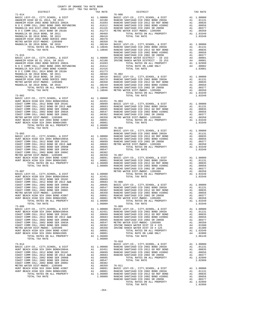| AUIU-AUIT INA IAA NAIBU<br>DISTRICT |  | TAX RATE | DISTRICT                                                                                                                                                                                                                                                                                                                                                                       | TAX RATE |
|-------------------------------------|--|----------|--------------------------------------------------------------------------------------------------------------------------------------------------------------------------------------------------------------------------------------------------------------------------------------------------------------------------------------------------------------------------------|----------|
| $71 - 014$                          |  |          | $76 - 000$                                                                                                                                                                                                                                                                                                                                                                     |          |
|                                     |  |          |                                                                                                                                                                                                                                                                                                                                                                                |          |
|                                     |  |          |                                                                                                                                                                                                                                                                                                                                                                                |          |
|                                     |  |          |                                                                                                                                                                                                                                                                                                                                                                                |          |
|                                     |  |          |                                                                                                                                                                                                                                                                                                                                                                                |          |
|                                     |  |          |                                                                                                                                                                                                                                                                                                                                                                                |          |
|                                     |  |          |                                                                                                                                                                                                                                                                                                                                                                                |          |
|                                     |  |          |                                                                                                                                                                                                                                                                                                                                                                                |          |
|                                     |  |          |                                                                                                                                                                                                                                                                                                                                                                                |          |
|                                     |  |          |                                                                                                                                                                                                                                                                                                                                                                                |          |
|                                     |  |          |                                                                                                                                                                                                                                                                                                                                                                                |          |
|                                     |  |          |                                                                                                                                                                                                                                                                                                                                                                                |          |
|                                     |  |          |                                                                                                                                                                                                                                                                                                                                                                                |          |
|                                     |  |          |                                                                                                                                                                                                                                                                                                                                                                                |          |
|                                     |  |          |                                                                                                                                                                                                                                                                                                                                                                                |          |
|                                     |  |          |                                                                                                                                                                                                                                                                                                                                                                                |          |
|                                     |  |          |                                                                                                                                                                                                                                                                                                                                                                                |          |
|                                     |  |          |                                                                                                                                                                                                                                                                                                                                                                                |          |
|                                     |  |          |                                                                                                                                                                                                                                                                                                                                                                                |          |
|                                     |  |          |                                                                                                                                                                                                                                                                                                                                                                                |          |
|                                     |  |          |                                                                                                                                                                                                                                                                                                                                                                                |          |
|                                     |  |          |                                                                                                                                                                                                                                                                                                                                                                                |          |
|                                     |  |          |                                                                                                                                                                                                                                                                                                                                                                                |          |
|                                     |  |          |                                                                                                                                                                                                                                                                                                                                                                                |          |
|                                     |  |          |                                                                                                                                                                                                                                                                                                                                                                                |          |
|                                     |  |          |                                                                                                                                                                                                                                                                                                                                                                                |          |
|                                     |  |          |                                                                                                                                                                                                                                                                                                                                                                                |          |
|                                     |  |          |                                                                                                                                                                                                                                                                                                                                                                                |          |
|                                     |  |          |                                                                                                                                                                                                                                                                                                                                                                                |          |
|                                     |  |          |                                                                                                                                                                                                                                                                                                                                                                                |          |
|                                     |  |          |                                                                                                                                                                                                                                                                                                                                                                                |          |
|                                     |  |          |                                                                                                                                                                                                                                                                                                                                                                                |          |
|                                     |  |          |                                                                                                                                                                                                                                                                                                                                                                                |          |
|                                     |  |          | $\begin{tabular}{cccc} \textbf{70-10}, \textbf{10-00} & \textbf{70-01}, \textbf{10-00} \\ \textbf{71-003}, \textbf{10-01}, \textbf{10-02}, \textbf{10-03} \\ \textbf{10-02}, \textbf{10-03} \\ \textbf{10-03} \\ \textbf{10-04} \\ \textbf{10-04} \\ \textbf{10-04} \\ \textbf{10-04} \\ \textbf{10-04} \\ \textbf{10-04} \\ \textbf{10-04} \\ \textbf{10-04} \\ \textbf{10-0$ |          |
|                                     |  |          |                                                                                                                                                                                                                                                                                                                                                                                |          |
|                                     |  |          |                                                                                                                                                                                                                                                                                                                                                                                |          |
|                                     |  |          |                                                                                                                                                                                                                                                                                                                                                                                |          |
|                                     |  |          |                                                                                                                                                                                                                                                                                                                                                                                |          |
|                                     |  |          |                                                                                                                                                                                                                                                                                                                                                                                |          |
|                                     |  |          |                                                                                                                                                                                                                                                                                                                                                                                |          |
|                                     |  |          |                                                                                                                                                                                                                                                                                                                                                                                |          |
|                                     |  |          |                                                                                                                                                                                                                                                                                                                                                                                |          |
|                                     |  |          |                                                                                                                                                                                                                                                                                                                                                                                |          |
|                                     |  |          |                                                                                                                                                                                                                                                                                                                                                                                |          |
|                                     |  |          |                                                                                                                                                                                                                                                                                                                                                                                |          |
|                                     |  |          |                                                                                                                                                                                                                                                                                                                                                                                |          |
|                                     |  |          |                                                                                                                                                                                                                                                                                                                                                                                |          |
|                                     |  |          |                                                                                                                                                                                                                                                                                                                                                                                |          |
|                                     |  |          |                                                                                                                                                                                                                                                                                                                                                                                |          |
|                                     |  |          |                                                                                                                                                                                                                                                                                                                                                                                |          |
|                                     |  |          |                                                                                                                                                                                                                                                                                                                                                                                |          |
|                                     |  |          |                                                                                                                                                                                                                                                                                                                                                                                |          |
|                                     |  |          |                                                                                                                                                                                                                                                                                                                                                                                |          |
|                                     |  |          |                                                                                                                                                                                                                                                                                                                                                                                |          |
|                                     |  |          |                                                                                                                                                                                                                                                                                                                                                                                |          |
|                                     |  |          |                                                                                                                                                                                                                                                                                                                                                                                |          |
|                                     |  |          |                                                                                                                                                                                                                                                                                                                                                                                |          |
|                                     |  |          |                                                                                                                                                                                                                                                                                                                                                                                |          |
|                                     |  |          |                                                                                                                                                                                                                                                                                                                                                                                |          |
|                                     |  |          |                                                                                                                                                                                                                                                                                                                                                                                |          |
|                                     |  |          |                                                                                                                                                                                                                                                                                                                                                                                |          |
|                                     |  |          |                                                                                                                                                                                                                                                                                                                                                                                |          |
|                                     |  |          |                                                                                                                                                                                                                                                                                                                                                                                |          |
|                                     |  |          |                                                                                                                                                                                                                                                                                                                                                                                |          |
|                                     |  |          |                                                                                                                                                                                                                                                                                                                                                                                |          |
|                                     |  |          |                                                                                                                                                                                                                                                                                                                                                                                |          |
|                                     |  |          | METRO WITHE MACHINEARS (1977) MACHINEARS (1978) MACHINEARS (1978) MACHINEARS (1978) 2005 1120 (1978) 1005 12005 12005 12006 12006 12006 12006 12006 12006 12006 12006 12006 12006 12006 12006 12006 12006 12006 12006 12006 1                                                                                                                                                  |          |
|                                     |  |          |                                                                                                                                                                                                                                                                                                                                                                                |          |
|                                     |  |          |                                                                                                                                                                                                                                                                                                                                                                                |          |
|                                     |  |          |                                                                                                                                                                                                                                                                                                                                                                                |          |
|                                     |  |          |                                                                                                                                                                                                                                                                                                                                                                                |          |
|                                     |  |          |                                                                                                                                                                                                                                                                                                                                                                                |          |
|                                     |  |          |                                                                                                                                                                                                                                                                                                                                                                                |          |
|                                     |  |          |                                                                                                                                                                                                                                                                                                                                                                                |          |
|                                     |  |          |                                                                                                                                                                                                                                                                                                                                                                                |          |
|                                     |  |          |                                                                                                                                                                                                                                                                                                                                                                                |          |
|                                     |  |          |                                                                                                                                                                                                                                                                                                                                                                                |          |
|                                     |  |          |                                                                                                                                                                                                                                                                                                                                                                                |          |
|                                     |  |          |                                                                                                                                                                                                                                                                                                                                                                                |          |
|                                     |  |          |                                                                                                                                                                                                                                                                                                                                                                                |          |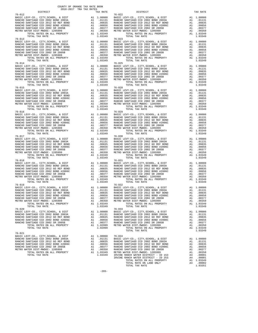|                                                          |         | $\begin{tabular}{cccccccc} $76-114$ & $177A, $14876$ & $141$ & $1.03449$ & $777A, $14876$ & $1.03449$ & $1.03449$ & $1.03449$ & $1.03449$ & $1.03449$ & $1.03449$ & $1.03449$ & $1.03449$ & $1.03449$ & $1.03449$ & $1.03449$ & $1.03449$ & $1.03449$ & $1.03449$ & $1.03449$ & $1.03449$ |         |  |
|----------------------------------------------------------|---------|-------------------------------------------------------------------------------------------------------------------------------------------------------------------------------------------------------------------------------------------------------------------------------------------|---------|--|
|                                                          |         |                                                                                                                                                                                                                                                                                           |         |  |
|                                                          |         |                                                                                                                                                                                                                                                                                           |         |  |
|                                                          |         |                                                                                                                                                                                                                                                                                           |         |  |
|                                                          |         |                                                                                                                                                                                                                                                                                           |         |  |
|                                                          |         |                                                                                                                                                                                                                                                                                           |         |  |
|                                                          |         |                                                                                                                                                                                                                                                                                           |         |  |
|                                                          |         |                                                                                                                                                                                                                                                                                           |         |  |
|                                                          |         |                                                                                                                                                                                                                                                                                           |         |  |
|                                                          |         |                                                                                                                                                                                                                                                                                           |         |  |
|                                                          |         |                                                                                                                                                                                                                                                                                           |         |  |
|                                                          |         |                                                                                                                                                                                                                                                                                           |         |  |
|                                                          |         |                                                                                                                                                                                                                                                                                           |         |  |
|                                                          |         |                                                                                                                                                                                                                                                                                           |         |  |
|                                                          |         |                                                                                                                                                                                                                                                                                           |         |  |
|                                                          |         | $\begin{tabular}{l c c c c c} \hline $76-019$ & $76-032$ & $76-032$ & $76-032$ & $76-032$ & $76-032$ & $76-032$ & $76-032$ & $76-032$ & $76-032$ & $76-032$ & $76-032$ & $76-032$ & $76-032$ & $76-032$ & $76-032$ & $76-032$ & $76-032$ & $76-032$ & $76-032$ & $76-032$ & $76-032$ & $$ |         |  |
|                                                          |         |                                                                                                                                                                                                                                                                                           |         |  |
| TOTAL RATES ON ALL PROPERTY A1 1.03349<br>TOTAL TAX RATE |         | TOTAL RATES ON ALL PROPERTY A1 1.03349<br>TOTAL RATES ON ALL PROPERTY A1 1.03349                                                                                                                                                                                                          |         |  |
| TOTAL TAX RATE                                           | 1.03349 | TOTAL TAX RATE                                                                                                                                                                                                                                                                            | 1.03349 |  |
| 76-020                                                   |         | $76 - 033$                                                                                                                                                                                                                                                                                |         |  |
|                                                          |         |                                                                                                                                                                                                                                                                                           |         |  |
|                                                          |         |                                                                                                                                                                                                                                                                                           |         |  |
|                                                          |         |                                                                                                                                                                                                                                                                                           |         |  |
|                                                          |         |                                                                                                                                                                                                                                                                                           |         |  |
|                                                          |         |                                                                                                                                                                                                                                                                                           |         |  |
|                                                          |         |                                                                                                                                                                                                                                                                                           |         |  |
|                                                          |         |                                                                                                                                                                                                                                                                                           |         |  |
|                                                          |         |                                                                                                                                                                                                                                                                                           |         |  |
| $76 - 021$                                               |         |                                                                                                                                                                                                                                                                                           |         |  |
|                                                          |         |                                                                                                                                                                                                                                                                                           |         |  |
|                                                          |         |                                                                                                                                                                                                                                                                                           |         |  |
|                                                          |         |                                                                                                                                                                                                                                                                                           |         |  |
|                                                          |         |                                                                                                                                                                                                                                                                                           |         |  |
|                                                          |         |                                                                                                                                                                                                                                                                                           |         |  |
|                                                          |         |                                                                                                                                                                                                                                                                                           |         |  |
|                                                          |         |                                                                                                                                                                                                                                                                                           |         |  |

|                |         | $\begin{tabular}{l c c c c c} \hline 76-013 & 76-023 \\ \hline \texttt{RANCHO SANTIAGO CCD, CITY, SCHOOL, & DIST & A1 1.00000 \\ \texttt{RANCHO SANTIAGO CCD 2002 BOND 2003A & A1 01131 \\ \texttt{RANCHO SANTIAGO CCD 2002 BOND 2003A & A1 01131 \\ \texttt{RANCHO SANTIAGO CCD 2002 BOND 2003A & A1 01131 \\ \texttt{RANCHO SANTIAGO CCD 2002 BOND 2003B & A1 00835 \\$                                             |            |         |
|----------------|---------|-----------------------------------------------------------------------------------------------------------------------------------------------------------------------------------------------------------------------------------------------------------------------------------------------------------------------------------------------------------------------------------------------------------------------|------------|---------|
|                |         |                                                                                                                                                                                                                                                                                                                                                                                                                       |            |         |
|                |         |                                                                                                                                                                                                                                                                                                                                                                                                                       |            |         |
|                |         |                                                                                                                                                                                                                                                                                                                                                                                                                       |            |         |
|                |         |                                                                                                                                                                                                                                                                                                                                                                                                                       |            |         |
|                |         |                                                                                                                                                                                                                                                                                                                                                                                                                       |            |         |
|                |         |                                                                                                                                                                                                                                                                                                                                                                                                                       |            |         |
|                |         |                                                                                                                                                                                                                                                                                                                                                                                                                       |            |         |
|                |         |                                                                                                                                                                                                                                                                                                                                                                                                                       |            |         |
|                |         |                                                                                                                                                                                                                                                                                                                                                                                                                       |            |         |
|                |         |                                                                                                                                                                                                                                                                                                                                                                                                                       |            |         |
|                |         |                                                                                                                                                                                                                                                                                                                                                                                                                       |            |         |
|                |         |                                                                                                                                                                                                                                                                                                                                                                                                                       |            |         |
|                |         |                                                                                                                                                                                                                                                                                                                                                                                                                       |            |         |
|                |         |                                                                                                                                                                                                                                                                                                                                                                                                                       |            |         |
|                |         |                                                                                                                                                                                                                                                                                                                                                                                                                       |            |         |
|                |         |                                                                                                                                                                                                                                                                                                                                                                                                                       |            |         |
|                |         |                                                                                                                                                                                                                                                                                                                                                                                                                       |            |         |
|                |         |                                                                                                                                                                                                                                                                                                                                                                                                                       |            |         |
|                |         |                                                                                                                                                                                                                                                                                                                                                                                                                       |            |         |
|                |         |                                                                                                                                                                                                                                                                                                                                                                                                                       |            |         |
|                |         |                                                                                                                                                                                                                                                                                                                                                                                                                       |            |         |
|                |         |                                                                                                                                                                                                                                                                                                                                                                                                                       |            |         |
|                |         |                                                                                                                                                                                                                                                                                                                                                                                                                       |            |         |
|                |         |                                                                                                                                                                                                                                                                                                                                                                                                                       |            |         |
|                |         |                                                                                                                                                                                                                                                                                                                                                                                                                       |            |         |
|                |         |                                                                                                                                                                                                                                                                                                                                                                                                                       |            |         |
|                |         |                                                                                                                                                                                                                                                                                                                                                                                                                       |            |         |
|                |         |                                                                                                                                                                                                                                                                                                                                                                                                                       |            |         |
|                |         |                                                                                                                                                                                                                                                                                                                                                                                                                       |            |         |
|                |         |                                                                                                                                                                                                                                                                                                                                                                                                                       |            |         |
|                |         |                                                                                                                                                                                                                                                                                                                                                                                                                       |            |         |
|                |         |                                                                                                                                                                                                                                                                                                                                                                                                                       |            |         |
|                |         |                                                                                                                                                                                                                                                                                                                                                                                                                       |            |         |
|                |         |                                                                                                                                                                                                                                                                                                                                                                                                                       |            |         |
|                |         |                                                                                                                                                                                                                                                                                                                                                                                                                       |            |         |
|                |         |                                                                                                                                                                                                                                                                                                                                                                                                                       |            |         |
|                |         |                                                                                                                                                                                                                                                                                                                                                                                                                       |            |         |
|                |         |                                                                                                                                                                                                                                                                                                                                                                                                                       |            |         |
|                |         |                                                                                                                                                                                                                                                                                                                                                                                                                       |            |         |
|                |         |                                                                                                                                                                                                                                                                                                                                                                                                                       |            |         |
|                |         |                                                                                                                                                                                                                                                                                                                                                                                                                       |            |         |
|                |         |                                                                                                                                                                                                                                                                                                                                                                                                                       |            |         |
|                |         |                                                                                                                                                                                                                                                                                                                                                                                                                       |            |         |
|                |         |                                                                                                                                                                                                                                                                                                                                                                                                                       |            |         |
|                |         |                                                                                                                                                                                                                                                                                                                                                                                                                       |            |         |
|                |         | $\begin{smallmatrix} \textbf{1.6} & \textbf{0.6} & \textbf{0.6} & \textbf{0.6} & \textbf{0.6} & \textbf{0.6} & \textbf{0.6} & \textbf{0.6} & \textbf{0.6} & \textbf{0.6} & \textbf{0.6} & \textbf{0.6} & \textbf{0.6} & \textbf{0.6} & \textbf{0.6} & \textbf{0.6} & \textbf{0.6} & \textbf{0.6} & \textbf{0.6} & \textbf{0.6} & \textbf{0.6} & \textbf{0.6} & \textbf{0.6} & \textbf{0.6$                            |            |         |
|                |         |                                                                                                                                                                                                                                                                                                                                                                                                                       |            |         |
|                |         |                                                                                                                                                                                                                                                                                                                                                                                                                       |            |         |
|                |         |                                                                                                                                                                                                                                                                                                                                                                                                                       |            |         |
|                |         |                                                                                                                                                                                                                                                                                                                                                                                                                       |            |         |
|                |         |                                                                                                                                                                                                                                                                                                                                                                                                                       |            |         |
|                |         |                                                                                                                                                                                                                                                                                                                                                                                                                       |            |         |
|                |         |                                                                                                                                                                                                                                                                                                                                                                                                                       |            |         |
|                |         |                                                                                                                                                                                                                                                                                                                                                                                                                       |            |         |
|                |         |                                                                                                                                                                                                                                                                                                                                                                                                                       |            |         |
|                |         |                                                                                                                                                                                                                                                                                                                                                                                                                       |            |         |
|                |         |                                                                                                                                                                                                                                                                                                                                                                                                                       |            |         |
|                |         |                                                                                                                                                                                                                                                                                                                                                                                                                       |            |         |
|                |         |                                                                                                                                                                                                                                                                                                                                                                                                                       |            |         |
|                |         |                                                                                                                                                                                                                                                                                                                                                                                                                       |            |         |
|                |         |                                                                                                                                                                                                                                                                                                                                                                                                                       |            |         |
|                |         |                                                                                                                                                                                                                                                                                                                                                                                                                       |            |         |
|                |         |                                                                                                                                                                                                                                                                                                                                                                                                                       |            |         |
|                |         |                                                                                                                                                                                                                                                                                                                                                                                                                       |            |         |
|                |         |                                                                                                                                                                                                                                                                                                                                                                                                                       |            |         |
|                |         |                                                                                                                                                                                                                                                                                                                                                                                                                       |            |         |
|                |         |                                                                                                                                                                                                                                                                                                                                                                                                                       |            |         |
|                |         |                                                                                                                                                                                                                                                                                                                                                                                                                       |            |         |
|                |         |                                                                                                                                                                                                                                                                                                                                                                                                                       |            |         |
|                |         |                                                                                                                                                                                                                                                                                                                                                                                                                       |            |         |
|                |         |                                                                                                                                                                                                                                                                                                                                                                                                                       |            |         |
|                |         |                                                                                                                                                                                                                                                                                                                                                                                                                       |            |         |
| TOTAL TAX RATE | 1.02999 | TOTAL RATES ON ALL PROPERTY                                                                                                                                                                                                                                                                                                                                                                                           | A1 1.03349 |         |
|                |         | TOTAL TAX RATE<br>$\begin{tabular}{l c c c c c} \multicolumn{4}{c}{\textbf{76--021}} & \multicolumn{4}{c}{\textbf{BASE LEVY-CO.}, & \textbf{CITY}, \textbf{SCHOOL}, & \textbf{a DIST} & \textbf{AA 1.00000} & \textbf{76--034} & \textbf{RANCHO} & \textbf{XDST} & \textbf{A1 1.00000} & \textbf{76--034} & \textbf{RANCHO} & \textbf{XDST} & \textbf{A1 1.00000} & \textbf{76--034} & \textbf{RANCHO} & \textbf{BAT$ |            | 1.03349 |
|                |         |                                                                                                                                                                                                                                                                                                                                                                                                                       |            |         |
|                |         |                                                                                                                                                                                                                                                                                                                                                                                                                       |            |         |
|                |         |                                                                                                                                                                                                                                                                                                                                                                                                                       |            |         |
|                |         |                                                                                                                                                                                                                                                                                                                                                                                                                       |            |         |
|                |         |                                                                                                                                                                                                                                                                                                                                                                                                                       |            |         |
|                |         |                                                                                                                                                                                                                                                                                                                                                                                                                       |            |         |
|                |         |                                                                                                                                                                                                                                                                                                                                                                                                                       |            |         |
|                |         |                                                                                                                                                                                                                                                                                                                                                                                                                       |            |         |
|                |         |                                                                                                                                                                                                                                                                                                                                                                                                                       |            |         |
|                |         |                                                                                                                                                                                                                                                                                                                                                                                                                       |            |         |
|                |         |                                                                                                                                                                                                                                                                                                                                                                                                                       |            |         |
|                |         |                                                                                                                                                                                                                                                                                                                                                                                                                       |            |         |
|                |         |                                                                                                                                                                                                                                                                                                                                                                                                                       |            |         |
|                |         |                                                                                                                                                                                                                                                                                                                                                                                                                       |            |         |

-265-

COUNTY OF ORANGE TAX RATE BOOK 2016-2017 TRA TAX RATES

DISTRICT TAX RATE DISTRICT TAX RATE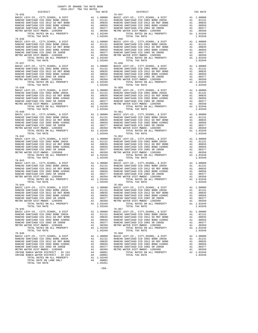| $\begin{tabular}{l cccc} \hline \textbf{RASC} & \textbf{EV} & \textbf{GU} & \textbf{GU} & \textbf{GU} & \textbf{GU} & \textbf{GU} & \textbf{GU} & \textbf{GU} & \textbf{GU} & \textbf{GU} & \textbf{GU} & \textbf{GU} & \textbf{GU} & \textbf{GU} & \textbf{GU} & \textbf{GU} & \textbf{GU} & \textbf{GU} & \textbf{GU} & \textbf{GU} & \textbf{GU} & \textbf{GU} & \textbf{GU} & \textbf{GU} & \textbf{GU}$ |  |                                         |         |
|--------------------------------------------------------------------------------------------------------------------------------------------------------------------------------------------------------------------------------------------------------------------------------------------------------------------------------------------------------------------------------------------------------------|--|-----------------------------------------|---------|
|                                                                                                                                                                                                                                                                                                                                                                                                              |  |                                         |         |
|                                                                                                                                                                                                                                                                                                                                                                                                              |  |                                         |         |
|                                                                                                                                                                                                                                                                                                                                                                                                              |  |                                         |         |
|                                                                                                                                                                                                                                                                                                                                                                                                              |  |                                         |         |
|                                                                                                                                                                                                                                                                                                                                                                                                              |  |                                         |         |
|                                                                                                                                                                                                                                                                                                                                                                                                              |  |                                         |         |
|                                                                                                                                                                                                                                                                                                                                                                                                              |  |                                         |         |
|                                                                                                                                                                                                                                                                                                                                                                                                              |  |                                         |         |
|                                                                                                                                                                                                                                                                                                                                                                                                              |  |                                         |         |
|                                                                                                                                                                                                                                                                                                                                                                                                              |  |                                         |         |
|                                                                                                                                                                                                                                                                                                                                                                                                              |  |                                         |         |
|                                                                                                                                                                                                                                                                                                                                                                                                              |  |                                         |         |
|                                                                                                                                                                                                                                                                                                                                                                                                              |  |                                         |         |
|                                                                                                                                                                                                                                                                                                                                                                                                              |  |                                         |         |
|                                                                                                                                                                                                                                                                                                                                                                                                              |  |                                         |         |
| $\begin{tabular}{l c c c c c} \hline 76-038 & 76-050 & 76-050 \\ \hline \texttt{RANCHO} \texttt{SASTL EVV-CO} \texttt{C, CITY}, \texttt{CITV}, \texttt{SCHOOL} \texttt{A} & 1.00000 & \texttt{BASTC} \texttt{LEVV-CO} \texttt{C, CITY}, \texttt{SCHOOL} \texttt{A} & 1.00000 \\ \texttt{RANCHO} \texttt{SANTIAGO} \texttt{CCD} \texttt{2002} \texttt{BOND} \texttt{2003A} & \texttt{A1} & $                  |  |                                         |         |
|                                                                                                                                                                                                                                                                                                                                                                                                              |  |                                         |         |
|                                                                                                                                                                                                                                                                                                                                                                                                              |  |                                         |         |
|                                                                                                                                                                                                                                                                                                                                                                                                              |  |                                         |         |
|                                                                                                                                                                                                                                                                                                                                                                                                              |  |                                         |         |
|                                                                                                                                                                                                                                                                                                                                                                                                              |  |                                         |         |
|                                                                                                                                                                                                                                                                                                                                                                                                              |  |                                         |         |
|                                                                                                                                                                                                                                                                                                                                                                                                              |  |                                         |         |
|                                                                                                                                                                                                                                                                                                                                                                                                              |  |                                         |         |
|                                                                                                                                                                                                                                                                                                                                                                                                              |  |                                         |         |
|                                                                                                                                                                                                                                                                                                                                                                                                              |  |                                         |         |
|                                                                                                                                                                                                                                                                                                                                                                                                              |  |                                         |         |
|                                                                                                                                                                                                                                                                                                                                                                                                              |  |                                         |         |
|                                                                                                                                                                                                                                                                                                                                                                                                              |  |                                         |         |
|                                                                                                                                                                                                                                                                                                                                                                                                              |  |                                         |         |
|                                                                                                                                                                                                                                                                                                                                                                                                              |  |                                         |         |
|                                                                                                                                                                                                                                                                                                                                                                                                              |  |                                         |         |
|                                                                                                                                                                                                                                                                                                                                                                                                              |  |                                         |         |
|                                                                                                                                                                                                                                                                                                                                                                                                              |  |                                         |         |
|                                                                                                                                                                                                                                                                                                                                                                                                              |  |                                         |         |
|                                                                                                                                                                                                                                                                                                                                                                                                              |  |                                         |         |
|                                                                                                                                                                                                                                                                                                                                                                                                              |  |                                         |         |
|                                                                                                                                                                                                                                                                                                                                                                                                              |  |                                         |         |
|                                                                                                                                                                                                                                                                                                                                                                                                              |  |                                         |         |
|                                                                                                                                                                                                                                                                                                                                                                                                              |  |                                         |         |
|                                                                                                                                                                                                                                                                                                                                                                                                              |  |                                         |         |
|                                                                                                                                                                                                                                                                                                                                                                                                              |  |                                         |         |
|                                                                                                                                                                                                                                                                                                                                                                                                              |  |                                         |         |
|                                                                                                                                                                                                                                                                                                                                                                                                              |  |                                         |         |
| TOTAL TAX RATE<br>$76 - 045$                                                                                                                                                                                                                                                                                                                                                                                 |  | 1.03349<br>TOTAL TAX RATE<br>$76 - 057$ | 1.03349 |
|                                                                                                                                                                                                                                                                                                                                                                                                              |  |                                         |         |
|                                                                                                                                                                                                                                                                                                                                                                                                              |  |                                         |         |
|                                                                                                                                                                                                                                                                                                                                                                                                              |  |                                         |         |
|                                                                                                                                                                                                                                                                                                                                                                                                              |  |                                         |         |
|                                                                                                                                                                                                                                                                                                                                                                                                              |  |                                         |         |
|                                                                                                                                                                                                                                                                                                                                                                                                              |  |                                         |         |
|                                                                                                                                                                                                                                                                                                                                                                                                              |  |                                         |         |
|                                                                                                                                                                                                                                                                                                                                                                                                              |  |                                         |         |
|                                                                                                                                                                                                                                                                                                                                                                                                              |  |                                         |         |
|                                                                                                                                                                                                                                                                                                                                                                                                              |  |                                         |         |
|                                                                                                                                                                                                                                                                                                                                                                                                              |  |                                         |         |
|                                                                                                                                                                                                                                                                                                                                                                                                              |  |                                         |         |
|                                                                                                                                                                                                                                                                                                                                                                                                              |  |                                         |         |
|                                                                                                                                                                                                                                                                                                                                                                                                              |  |                                         |         |

-266-

| ---------                                                                                                                                                                                                                                                                                                                                                                                                   | aran sunaw | ---------                                                                                                                                                                                                                                                                                                                                                                                                          |  |
|-------------------------------------------------------------------------------------------------------------------------------------------------------------------------------------------------------------------------------------------------------------------------------------------------------------------------------------------------------------------------------------------------------------|------------|--------------------------------------------------------------------------------------------------------------------------------------------------------------------------------------------------------------------------------------------------------------------------------------------------------------------------------------------------------------------------------------------------------------------|--|
| $76 - 035$<br>$\begin{tabular}{l c c c c c} \hline 76-035 & 76-047 \\ \hline \texttt{RANCHO} \texttt{SASTL LEVY-CO.}, \texttt{CITY}, \texttt{SCHOOL}, \& \texttt{DIST} & \texttt{A1} & 1.00000 \\ \texttt{RANCHO} \texttt{SANTIAGO} \texttt{CCD} \texttt{2002} \texttt{BOND} \texttt{2003A} & \texttt{A1} & .01131 & \texttt{RANCHO} \texttt{SANTIAGO} \texttt{CCD} \texttt{2003} \texttt{QND} \texttt{200$ |            | $76 - 047$                                                                                                                                                                                                                                                                                                                                                                                                         |  |
|                                                                                                                                                                                                                                                                                                                                                                                                             |            |                                                                                                                                                                                                                                                                                                                                                                                                                    |  |
|                                                                                                                                                                                                                                                                                                                                                                                                             |            |                                                                                                                                                                                                                                                                                                                                                                                                                    |  |
|                                                                                                                                                                                                                                                                                                                                                                                                             |            |                                                                                                                                                                                                                                                                                                                                                                                                                    |  |
|                                                                                                                                                                                                                                                                                                                                                                                                             |            |                                                                                                                                                                                                                                                                                                                                                                                                                    |  |
|                                                                                                                                                                                                                                                                                                                                                                                                             |            |                                                                                                                                                                                                                                                                                                                                                                                                                    |  |
|                                                                                                                                                                                                                                                                                                                                                                                                             |            |                                                                                                                                                                                                                                                                                                                                                                                                                    |  |
|                                                                                                                                                                                                                                                                                                                                                                                                             |            |                                                                                                                                                                                                                                                                                                                                                                                                                    |  |
|                                                                                                                                                                                                                                                                                                                                                                                                             |            |                                                                                                                                                                                                                                                                                                                                                                                                                    |  |
|                                                                                                                                                                                                                                                                                                                                                                                                             |            |                                                                                                                                                                                                                                                                                                                                                                                                                    |  |
|                                                                                                                                                                                                                                                                                                                                                                                                             |            |                                                                                                                                                                                                                                                                                                                                                                                                                    |  |
| $\begin{tabular}{l c c c c c} \hline 76-036 & 76-048 \\ \hline \texttt{RANC} & \texttt{KEY-CO} & \texttt{CITY}, \texttt{SCHOOL}, & \texttt{EUY-CO} & \texttt{CITY}, \texttt{SCHOOL}, & \texttt{EUST} & \texttt{A1} & 1.00000 \\ \texttt{RANC} & \texttt{SANTIAGO} & \texttt{CCD} & 2002 & \texttt{BOND} & 2003 \texttt{A} & 0.0131 & \texttt{RANC} & \texttt{SANTIAGO} & \texttt{CCD} & 2002 &$             |            |                                                                                                                                                                                                                                                                                                                                                                                                                    |  |
|                                                                                                                                                                                                                                                                                                                                                                                                             |            |                                                                                                                                                                                                                                                                                                                                                                                                                    |  |
|                                                                                                                                                                                                                                                                                                                                                                                                             |            |                                                                                                                                                                                                                                                                                                                                                                                                                    |  |
|                                                                                                                                                                                                                                                                                                                                                                                                             |            |                                                                                                                                                                                                                                                                                                                                                                                                                    |  |
|                                                                                                                                                                                                                                                                                                                                                                                                             |            |                                                                                                                                                                                                                                                                                                                                                                                                                    |  |
|                                                                                                                                                                                                                                                                                                                                                                                                             |            |                                                                                                                                                                                                                                                                                                                                                                                                                    |  |
|                                                                                                                                                                                                                                                                                                                                                                                                             |            |                                                                                                                                                                                                                                                                                                                                                                                                                    |  |
|                                                                                                                                                                                                                                                                                                                                                                                                             |            |                                                                                                                                                                                                                                                                                                                                                                                                                    |  |
|                                                                                                                                                                                                                                                                                                                                                                                                             |            |                                                                                                                                                                                                                                                                                                                                                                                                                    |  |
|                                                                                                                                                                                                                                                                                                                                                                                                             |            |                                                                                                                                                                                                                                                                                                                                                                                                                    |  |
|                                                                                                                                                                                                                                                                                                                                                                                                             |            |                                                                                                                                                                                                                                                                                                                                                                                                                    |  |
|                                                                                                                                                                                                                                                                                                                                                                                                             |            |                                                                                                                                                                                                                                                                                                                                                                                                                    |  |
|                                                                                                                                                                                                                                                                                                                                                                                                             |            |                                                                                                                                                                                                                                                                                                                                                                                                                    |  |
|                                                                                                                                                                                                                                                                                                                                                                                                             |            |                                                                                                                                                                                                                                                                                                                                                                                                                    |  |
|                                                                                                                                                                                                                                                                                                                                                                                                             |            |                                                                                                                                                                                                                                                                                                                                                                                                                    |  |
|                                                                                                                                                                                                                                                                                                                                                                                                             |            |                                                                                                                                                                                                                                                                                                                                                                                                                    |  |
|                                                                                                                                                                                                                                                                                                                                                                                                             |            |                                                                                                                                                                                                                                                                                                                                                                                                                    |  |
|                                                                                                                                                                                                                                                                                                                                                                                                             |            |                                                                                                                                                                                                                                                                                                                                                                                                                    |  |
|                                                                                                                                                                                                                                                                                                                                                                                                             |            |                                                                                                                                                                                                                                                                                                                                                                                                                    |  |
|                                                                                                                                                                                                                                                                                                                                                                                                             |            |                                                                                                                                                                                                                                                                                                                                                                                                                    |  |
|                                                                                                                                                                                                                                                                                                                                                                                                             |            |                                                                                                                                                                                                                                                                                                                                                                                                                    |  |
|                                                                                                                                                                                                                                                                                                                                                                                                             |            | $\begin{tabular}{l c c c c c} \hline 76-037 & 76-049 & 76-049 & 76-049 & 76-049 & 76-049 & 76-049 & 76-049 & 76-049 & 76-049 & 76-049 & 76-049 & 76-049 & 76-049 & 76-049 & 76-049 & 76-049 & 76-049 & 76-049 & 76-049 & 76-049 & 76-049 & 76-049 & 76-049 & 76-049$                                                                                                                                               |  |
|                                                                                                                                                                                                                                                                                                                                                                                                             |            |                                                                                                                                                                                                                                                                                                                                                                                                                    |  |
|                                                                                                                                                                                                                                                                                                                                                                                                             |            |                                                                                                                                                                                                                                                                                                                                                                                                                    |  |
|                                                                                                                                                                                                                                                                                                                                                                                                             |            |                                                                                                                                                                                                                                                                                                                                                                                                                    |  |
|                                                                                                                                                                                                                                                                                                                                                                                                             |            |                                                                                                                                                                                                                                                                                                                                                                                                                    |  |
|                                                                                                                                                                                                                                                                                                                                                                                                             |            |                                                                                                                                                                                                                                                                                                                                                                                                                    |  |
|                                                                                                                                                                                                                                                                                                                                                                                                             |            |                                                                                                                                                                                                                                                                                                                                                                                                                    |  |
|                                                                                                                                                                                                                                                                                                                                                                                                             |            |                                                                                                                                                                                                                                                                                                                                                                                                                    |  |
|                                                                                                                                                                                                                                                                                                                                                                                                             |            |                                                                                                                                                                                                                                                                                                                                                                                                                    |  |
|                                                                                                                                                                                                                                                                                                                                                                                                             |            |                                                                                                                                                                                                                                                                                                                                                                                                                    |  |
|                                                                                                                                                                                                                                                                                                                                                                                                             |            |                                                                                                                                                                                                                                                                                                                                                                                                                    |  |
|                                                                                                                                                                                                                                                                                                                                                                                                             |            |                                                                                                                                                                                                                                                                                                                                                                                                                    |  |
|                                                                                                                                                                                                                                                                                                                                                                                                             |            |                                                                                                                                                                                                                                                                                                                                                                                                                    |  |
|                                                                                                                                                                                                                                                                                                                                                                                                             |            |                                                                                                                                                                                                                                                                                                                                                                                                                    |  |
|                                                                                                                                                                                                                                                                                                                                                                                                             |            |                                                                                                                                                                                                                                                                                                                                                                                                                    |  |
|                                                                                                                                                                                                                                                                                                                                                                                                             |            |                                                                                                                                                                                                                                                                                                                                                                                                                    |  |
|                                                                                                                                                                                                                                                                                                                                                                                                             |            |                                                                                                                                                                                                                                                                                                                                                                                                                    |  |
|                                                                                                                                                                                                                                                                                                                                                                                                             |            |                                                                                                                                                                                                                                                                                                                                                                                                                    |  |
|                                                                                                                                                                                                                                                                                                                                                                                                             |            |                                                                                                                                                                                                                                                                                                                                                                                                                    |  |
|                                                                                                                                                                                                                                                                                                                                                                                                             |            |                                                                                                                                                                                                                                                                                                                                                                                                                    |  |
|                                                                                                                                                                                                                                                                                                                                                                                                             |            |                                                                                                                                                                                                                                                                                                                                                                                                                    |  |
|                                                                                                                                                                                                                                                                                                                                                                                                             |            |                                                                                                                                                                                                                                                                                                                                                                                                                    |  |
|                                                                                                                                                                                                                                                                                                                                                                                                             |            |                                                                                                                                                                                                                                                                                                                                                                                                                    |  |
|                                                                                                                                                                                                                                                                                                                                                                                                             |            |                                                                                                                                                                                                                                                                                                                                                                                                                    |  |
|                                                                                                                                                                                                                                                                                                                                                                                                             |            |                                                                                                                                                                                                                                                                                                                                                                                                                    |  |
|                                                                                                                                                                                                                                                                                                                                                                                                             |            |                                                                                                                                                                                                                                                                                                                                                                                                                    |  |
|                                                                                                                                                                                                                                                                                                                                                                                                             |            |                                                                                                                                                                                                                                                                                                                                                                                                                    |  |
|                                                                                                                                                                                                                                                                                                                                                                                                             |            |                                                                                                                                                                                                                                                                                                                                                                                                                    |  |
|                                                                                                                                                                                                                                                                                                                                                                                                             |            |                                                                                                                                                                                                                                                                                                                                                                                                                    |  |
|                                                                                                                                                                                                                                                                                                                                                                                                             |            |                                                                                                                                                                                                                                                                                                                                                                                                                    |  |
|                                                                                                                                                                                                                                                                                                                                                                                                             |            |                                                                                                                                                                                                                                                                                                                                                                                                                    |  |
|                                                                                                                                                                                                                                                                                                                                                                                                             |            |                                                                                                                                                                                                                                                                                                                                                                                                                    |  |
|                                                                                                                                                                                                                                                                                                                                                                                                             |            |                                                                                                                                                                                                                                                                                                                                                                                                                    |  |
|                                                                                                                                                                                                                                                                                                                                                                                                             |            |                                                                                                                                                                                                                                                                                                                                                                                                                    |  |
| $76 - 043$                                                                                                                                                                                                                                                                                                                                                                                                  |            | $76 - 055$                                                                                                                                                                                                                                                                                                                                                                                                         |  |
|                                                                                                                                                                                                                                                                                                                                                                                                             |            |                                                                                                                                                                                                                                                                                                                                                                                                                    |  |
|                                                                                                                                                                                                                                                                                                                                                                                                             |            |                                                                                                                                                                                                                                                                                                                                                                                                                    |  |
|                                                                                                                                                                                                                                                                                                                                                                                                             |            |                                                                                                                                                                                                                                                                                                                                                                                                                    |  |
|                                                                                                                                                                                                                                                                                                                                                                                                             |            |                                                                                                                                                                                                                                                                                                                                                                                                                    |  |
|                                                                                                                                                                                                                                                                                                                                                                                                             |            |                                                                                                                                                                                                                                                                                                                                                                                                                    |  |
|                                                                                                                                                                                                                                                                                                                                                                                                             |            |                                                                                                                                                                                                                                                                                                                                                                                                                    |  |
|                                                                                                                                                                                                                                                                                                                                                                                                             |            |                                                                                                                                                                                                                                                                                                                                                                                                                    |  |
|                                                                                                                                                                                                                                                                                                                                                                                                             |            | $\begin{tabular}{l c c c c c} \hline 76-043 & 76-055 \\ \hline \texttt{BASIC LEVY-CO.}\,, & \texttt{CITY}, \texttt{SCHOOL}\,, & \texttt{& DIST} & \texttt{A1} & 1.00000 & \texttt{BASIC LEVY-CO.}\,, & \texttt{CITY}, \texttt{SCHOOL}\,, & \texttt{& DIST} & \texttt{A1} & 1.00000 \\ \texttt{RANCEO SANTIAGO CCD 2002 BOND 2003A} & \texttt{A1} & .01131 & \texttt{RANCED SANTIAGO CCD 2003A} & \text$            |  |
|                                                                                                                                                                                                                                                                                                                                                                                                             |            |                                                                                                                                                                                                                                                                                                                                                                                                                    |  |
|                                                                                                                                                                                                                                                                                                                                                                                                             |            |                                                                                                                                                                                                                                                                                                                                                                                                                    |  |
|                                                                                                                                                                                                                                                                                                                                                                                                             |            |                                                                                                                                                                                                                                                                                                                                                                                                                    |  |
|                                                                                                                                                                                                                                                                                                                                                                                                             |            |                                                                                                                                                                                                                                                                                                                                                                                                                    |  |
|                                                                                                                                                                                                                                                                                                                                                                                                             |            |                                                                                                                                                                                                                                                                                                                                                                                                                    |  |
|                                                                                                                                                                                                                                                                                                                                                                                                             |            |                                                                                                                                                                                                                                                                                                                                                                                                                    |  |
|                                                                                                                                                                                                                                                                                                                                                                                                             |            |                                                                                                                                                                                                                                                                                                                                                                                                                    |  |
|                                                                                                                                                                                                                                                                                                                                                                                                             |            |                                                                                                                                                                                                                                                                                                                                                                                                                    |  |
|                                                                                                                                                                                                                                                                                                                                                                                                             |            |                                                                                                                                                                                                                                                                                                                                                                                                                    |  |
|                                                                                                                                                                                                                                                                                                                                                                                                             |            |                                                                                                                                                                                                                                                                                                                                                                                                                    |  |
|                                                                                                                                                                                                                                                                                                                                                                                                             |            |                                                                                                                                                                                                                                                                                                                                                                                                                    |  |
|                                                                                                                                                                                                                                                                                                                                                                                                             |            |                                                                                                                                                                                                                                                                                                                                                                                                                    |  |
|                                                                                                                                                                                                                                                                                                                                                                                                             |            |                                                                                                                                                                                                                                                                                                                                                                                                                    |  |
|                                                                                                                                                                                                                                                                                                                                                                                                             |            |                                                                                                                                                                                                                                                                                                                                                                                                                    |  |
|                                                                                                                                                                                                                                                                                                                                                                                                             |            |                                                                                                                                                                                                                                                                                                                                                                                                                    |  |
|                                                                                                                                                                                                                                                                                                                                                                                                             |            |                                                                                                                                                                                                                                                                                                                                                                                                                    |  |
|                                                                                                                                                                                                                                                                                                                                                                                                             |            |                                                                                                                                                                                                                                                                                                                                                                                                                    |  |
|                                                                                                                                                                                                                                                                                                                                                                                                             |            |                                                                                                                                                                                                                                                                                                                                                                                                                    |  |
|                                                                                                                                                                                                                                                                                                                                                                                                             |            |                                                                                                                                                                                                                                                                                                                                                                                                                    |  |
|                                                                                                                                                                                                                                                                                                                                                                                                             |            |                                                                                                                                                                                                                                                                                                                                                                                                                    |  |
|                                                                                                                                                                                                                                                                                                                                                                                                             |            |                                                                                                                                                                                                                                                                                                                                                                                                                    |  |
|                                                                                                                                                                                                                                                                                                                                                                                                             |            |                                                                                                                                                                                                                                                                                                                                                                                                                    |  |
|                                                                                                                                                                                                                                                                                                                                                                                                             |            |                                                                                                                                                                                                                                                                                                                                                                                                                    |  |
|                                                                                                                                                                                                                                                                                                                                                                                                             |            |                                                                                                                                                                                                                                                                                                                                                                                                                    |  |
|                                                                                                                                                                                                                                                                                                                                                                                                             |            |                                                                                                                                                                                                                                                                                                                                                                                                                    |  |
| $76 - 046$                                                                                                                                                                                                                                                                                                                                                                                                  |            | $76 - 058$                                                                                                                                                                                                                                                                                                                                                                                                         |  |
|                                                                                                                                                                                                                                                                                                                                                                                                             |            |                                                                                                                                                                                                                                                                                                                                                                                                                    |  |
|                                                                                                                                                                                                                                                                                                                                                                                                             |            |                                                                                                                                                                                                                                                                                                                                                                                                                    |  |
|                                                                                                                                                                                                                                                                                                                                                                                                             |            |                                                                                                                                                                                                                                                                                                                                                                                                                    |  |
|                                                                                                                                                                                                                                                                                                                                                                                                             |            |                                                                                                                                                                                                                                                                                                                                                                                                                    |  |
|                                                                                                                                                                                                                                                                                                                                                                                                             |            |                                                                                                                                                                                                                                                                                                                                                                                                                    |  |
|                                                                                                                                                                                                                                                                                                                                                                                                             |            |                                                                                                                                                                                                                                                                                                                                                                                                                    |  |
|                                                                                                                                                                                                                                                                                                                                                                                                             |            |                                                                                                                                                                                                                                                                                                                                                                                                                    |  |
|                                                                                                                                                                                                                                                                                                                                                                                                             |            |                                                                                                                                                                                                                                                                                                                                                                                                                    |  |
|                                                                                                                                                                                                                                                                                                                                                                                                             |            |                                                                                                                                                                                                                                                                                                                                                                                                                    |  |
|                                                                                                                                                                                                                                                                                                                                                                                                             |            | $\begin{tabular}{l c c c c c} \hline $76-046$ & $76-058$ \\ \hline \texttt{BASIC LEVY-CO} \ , & CITY, STROOL \ , & E DIST & \texttt{A1} & 1.00000 & \texttt{BASIC LEVY-CO} \ , & CITY, SCHOOL \ , & E DIST & \texttt{A1} & 1.00000 \\ \texttt{RANCE BATIC LEVY-CO} \ , & CITY, SCHOOL \ , & E DIST & \texttt{A1} & 1.00000 \\ \texttt{RANCEO SANTIAGO CCD 2012 SO REF BOND & \texttt{A1} & .01131 & \texttt{RANCE$ |  |

COUNTY OF ORANGE TAX RATE BOOK<br>2016-2017 TRA TAX RATES DISTRICT DISTRICT TAX RATE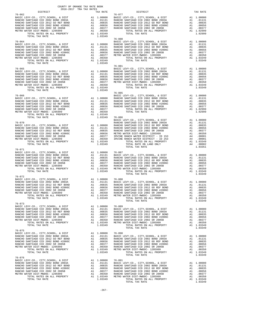| DISTRICT       | ZUID-ZUI/ TRA TAX RATES<br>TAX RATE | DISTRICT                                                                                                                                                                                                                                                                                                                                                                                                                                    | TAX RATE |
|----------------|-------------------------------------|---------------------------------------------------------------------------------------------------------------------------------------------------------------------------------------------------------------------------------------------------------------------------------------------------------------------------------------------------------------------------------------------------------------------------------------------|----------|
| $76 - 062$     |                                     | $76 - 077$                                                                                                                                                                                                                                                                                                                                                                                                                                  |          |
| TOTAL TAX RATE | 1.03349                             | $76 - 080$                                                                                                                                                                                                                                                                                                                                                                                                                                  |          |
|                |                                     |                                                                                                                                                                                                                                                                                                                                                                                                                                             |          |
|                |                                     |                                                                                                                                                                                                                                                                                                                                                                                                                                             |          |
|                |                                     |                                                                                                                                                                                                                                                                                                                                                                                                                                             |          |
|                |                                     |                                                                                                                                                                                                                                                                                                                                                                                                                                             |          |
|                |                                     |                                                                                                                                                                                                                                                                                                                                                                                                                                             |          |
|                |                                     |                                                                                                                                                                                                                                                                                                                                                                                                                                             |          |
|                |                                     |                                                                                                                                                                                                                                                                                                                                                                                                                                             |          |
|                |                                     |                                                                                                                                                                                                                                                                                                                                                                                                                                             |          |
|                |                                     |                                                                                                                                                                                                                                                                                                                                                                                                                                             |          |
|                |                                     |                                                                                                                                                                                                                                                                                                                                                                                                                                             |          |
|                |                                     |                                                                                                                                                                                                                                                                                                                                                                                                                                             |          |
|                |                                     |                                                                                                                                                                                                                                                                                                                                                                                                                                             |          |
|                |                                     |                                                                                                                                                                                                                                                                                                                                                                                                                                             |          |
|                |                                     |                                                                                                                                                                                                                                                                                                                                                                                                                                             |          |
|                |                                     |                                                                                                                                                                                                                                                                                                                                                                                                                                             |          |
|                |                                     |                                                                                                                                                                                                                                                                                                                                                                                                                                             |          |
| $76 - 071$     |                                     |                                                                                                                                                                                                                                                                                                                                                                                                                                             |          |
|                |                                     |                                                                                                                                                                                                                                                                                                                                                                                                                                             |          |
|                |                                     |                                                                                                                                                                                                                                                                                                                                                                                                                                             |          |
|                |                                     |                                                                                                                                                                                                                                                                                                                                                                                                                                             |          |
|                |                                     | TOTAL TAX RATE                                                                                                                                                                                                                                                                                                                                                                                                                              | 1.03349  |
| $76 - 072$     |                                     |                                                                                                                                                                                                                                                                                                                                                                                                                                             |          |
|                |                                     |                                                                                                                                                                                                                                                                                                                                                                                                                                             |          |
|                |                                     |                                                                                                                                                                                                                                                                                                                                                                                                                                             |          |
|                |                                     |                                                                                                                                                                                                                                                                                                                                                                                                                                             |          |
| TOTAL TAX RATE |                                     | 1.03349 TOTAL RATES ON ALL PROPERTY A1 1.03349<br>TOTAL TAX RATE                                                                                                                                                                                                                                                                                                                                                                            | 1.03349  |
|                |                                     |                                                                                                                                                                                                                                                                                                                                                                                                                                             |          |
|                |                                     |                                                                                                                                                                                                                                                                                                                                                                                                                                             |          |
|                |                                     |                                                                                                                                                                                                                                                                                                                                                                                                                                             |          |
|                |                                     |                                                                                                                                                                                                                                                                                                                                                                                                                                             |          |
|                |                                     |                                                                                                                                                                                                                                                                                                                                                                                                                                             |          |
|                |                                     |                                                                                                                                                                                                                                                                                                                                                                                                                                             |          |
|                |                                     |                                                                                                                                                                                                                                                                                                                                                                                                                                             |          |
|                |                                     |                                                                                                                                                                                                                                                                                                                                                                                                                                             |          |
|                |                                     |                                                                                                                                                                                                                                                                                                                                                                                                                                             |          |
|                |                                     | $\begin{tabular}{l c c c c c} \multicolumn{4}{c}{\textbf{76--075}}\textbf{BASTC LEVY-CO.}, & CITY, SCHOOL}, & & DIST \end{tabular} \begin{tabular}{l c c c} \multicolumn{4}{c}{\textbf{RASTC LEVY-CO.}}, & CITY, SCHOOL}, & & DIST \end{tabular} \begin{tabular}{l c c c} \multicolumn{4}{c}{\textbf{RASTC LEVY-CO.}}, & CITY, SCHOOL}, & & DIST \end{tabular} \begin{tabular}{l c c c} \multicolumn{4}{c}{\textbf{RANCHO SANTIAGO CCD 200$ |          |
|                |                                     |                                                                                                                                                                                                                                                                                                                                                                                                                                             |          |
|                |                                     |                                                                                                                                                                                                                                                                                                                                                                                                                                             |          |
|                |                                     |                                                                                                                                                                                                                                                                                                                                                                                                                                             |          |
|                |                                     |                                                                                                                                                                                                                                                                                                                                                                                                                                             |          |
|                |                                     |                                                                                                                                                                                                                                                                                                                                                                                                                                             |          |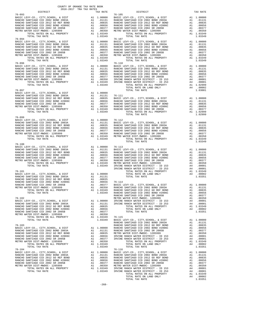| $\begin{tabular}{l c c c c c c c c} \multicolumn{2}{c}{\textbf{RAWCHO}} & \multicolumn{2}{c}{\textbf{SAWCHO}} & \multicolumn{2}{c}{\textbf{SAWCHO}} & \multicolumn{2}{c}{\textbf{AAWCHO}} & \multicolumn{2}{c}{\textbf{RAWCHO}} & \multicolumn{2}{c}{\textbf{RAWCHO}} & \multicolumn{2}{c}{\textbf{RAWCHO}} & \multicolumn{2}{c}{\textbf{RAWCHO}} & \multicolumn{2}{c}{\textbf{RAWCHO}} & \multicolumn{2}{c}{\textbf{RAWCHO}} & \multicolumn{2}{c}{\textbf{RAWCHO$ |                                                                                                                                                                                                                                                                                                                                                                                          |                                                                                       |                                                                                 |
|--------------------------------------------------------------------------------------------------------------------------------------------------------------------------------------------------------------------------------------------------------------------------------------------------------------------------------------------------------------------------------------------------------------------------------------------------------------------|------------------------------------------------------------------------------------------------------------------------------------------------------------------------------------------------------------------------------------------------------------------------------------------------------------------------------------------------------------------------------------------|---------------------------------------------------------------------------------------|---------------------------------------------------------------------------------|
| TOTAL TAX RATE                                                                                                                                                                                                                                                                                                                                                                                                                                                     |                                                                                                                                                                                                                                                                                                                                                                                          | 1.03349                                                                               |                                                                                 |
| $76 - 094$<br>BASIC LEVY-CO., CITY, SCHOOL, & DIST<br>RANCHO SANTIAGO CCD 2002 BOND 2003A<br>------- JANI1AGU CCD 2012 GO REF BOND<br>RANCHO SANTIAGO CCD 2002 BOND #2006C<br>RANCHO SANTIAGO CCD 2002 SR 2005B<br>METRO WATER DIST-MWDOC 100565<br>METRO WATER DIST-MWDOC- 1205999<br>TOTAL RATES ON ALL PROPERTY<br>TOTAL TAX RATE                                                                                                                               | $\begin{tabular}{ll} \multicolumn{2}{l}{{\bf 76--107}}\\ \multicolumn{2}{l}{\bf 76--107}\\ \multicolumn{2}{l}{\bf 741} & .01131} & {\bf RANCHO}\\ \multicolumn{2}{l}{\bf 741} & .00835} & {\bf RANCHO}\\ \multicolumn{2}{l}{\bf 741} & .00835} & {\bf RANCHO}\\ \multicolumn{2}{l}{\bf 741} & .00656 & {\bf RANCHO}\\ \multicolumn{2}{l}{\bf 741} & .00350} & {\bf METRO} \end{tabular}$ | 1.03349                                                                               | $76 - 107$                                                                      |
| TOTAL TAX RATE                                                                                                                                                                                                                                                                                                                                                                                                                                                     |                                                                                                                                                                                                                                                                                                                                                                                          | 1.03349                                                                               |                                                                                 |
| $76 - 097$<br>PASIC LEVY-CO., CITY, SCHOOL, & DIST<br>RANCHO SANTIAGO CCD 2002 BOND 2003A<br>RANCHO SANTIAGO CCD 2012 GO REF BOND<br>RANCHO SANTIAGO CCD 2002 BOND #2006C<br>RANCHO SANTIAGO CCD 2002 BR 2005R<br>RANCHO SANTIAGO CCD 2002 SR 2005B<br>METRO WATER DIST-MWDOC- 1205999<br>TOTAL TAX RATE                                                                                                                                                           |                                                                                                                                                                                                                                                                                                                                                                                          | 1.03349                                                                               |                                                                                 |
| $76 - 099$<br>TOTAL TAX RATE                                                                                                                                                                                                                                                                                                                                                                                                                                       |                                                                                                                                                                                                                                                                                                                                                                                          | 1.03349                                                                               |                                                                                 |
| $76 - 100$                                                                                                                                                                                                                                                                                                                                                                                                                                                         |                                                                                                                                                                                                                                                                                                                                                                                          |                                                                                       |                                                                                 |
| $76 - 101$<br>BASIC LEVY-CO., CITY, SCHOOL, & DIST<br>BASIC LEVY-CO., CITY, SCHOOL, & DIST<br>RANCHO SANTIAGO CCD 2002 BOND 2003A<br>RANCHO SANTIAGO CCD 2012 GO REF BOND<br>RANCHO SANTIAGO CCD 2002 BOND #2006C<br>RANCHO SANTIAGO CCD 2002 SR 2005B<br>METRO WATER DIST-MWDOC- 1205999<br>RANCHO SANTIAGO CCD 2002 SR 2005B<br>METRO WATER DIST-MWDOC- 1205999<br>$76 - 102$<br>BASIC LEVY-CO., CITY, SCHOOL, & DIST                                            |                                                                                                                                                                                                                                                                                                                                                                                          |                                                                                       | RANCHO                                                                          |
| RANCHO SANTIAGO CCD 2002 BOND 2003A<br>RANCHO SANTIAGO CCD 2012 GO REF BOND<br>RANCHO SANTIAGO CCD 2002 BOND #2006C<br>RANCHO SANTIAGO CCD 2002 SR 2005B<br>METRO WATER DIST-MWDOC- 1205999<br>TOTAL RATES ON ALL PROPERTY<br>TOTAL TAX RATE                                                                                                                                                                                                                       | NETRO WE<br>A1 1.00000 IRVINE<br>A1 .01131 IRVINE<br>A1 .00835<br><br>A1<br>A1<br>A1                                                                                                                                                                                                                                                                                                     | .00656<br>.00377<br>.00350<br>A1 1.03349<br>1.03349                                   | $76 - 115$<br>BASIC L<br>RANCHO                                                 |
| $76 - 103$<br>BASIC LEVY-CO., CITY, SCHOOL, & DIST<br>RANCHO SANTIAGO CCD 2002 BOND 2003A<br>RANCHO SANTIAGO CCD 2012 GO REF BOND<br>RANCHO SANTIAGO CCD 2002 BOND #2006C<br>RANCHO SANTIAGO CCD 2002 SR 2005B<br>METRO WATER DIST-MWDOC- 1205999<br>TOTAL RATES ON ALL PROPERTY<br>TOTAL TAX RATE                                                                                                                                                                 | A1<br>A1<br>A1<br>A1<br>A1                                                                                                                                                                                                                                                                                                                                                               | 1.00000<br>.01131<br>.00835<br>A1 .00656<br>.00377<br>.00350<br>A1 1.03349<br>1.03349 | RANCHO<br>RANCHO<br>RANCHO<br>METRO W<br>IRVINE<br>IRVINE                       |
| $76 - 104$<br>BASIC LEVY-CO., CITY, SCHOOL, & DIST<br>RANCHO SANTIAGO CCD 2002 BOND 2003A<br>RANCHO SANTIAGO CCD 2012 GO REF BOND<br>RANCHO SANTIAGO CCD 2002 BOND #2006C<br>RANCHO SANTIAGO CCD 2002 SR 2005B<br>METRO WATER DIST-MWDOC- 1205999<br>TOTAL RATES ON ALL PROPERTY                                                                                                                                                                                   | A1<br>A1<br>A1                                                                                                                                                                                                                                                                                                                                                                           | A1 1.00000<br>A1 .01131<br>A1 .00835<br>.00656<br>.00350<br>A1 1.03349 IRVINE         | $76 - 116$<br>BASIC L<br>RANCHO<br>RANCHO<br>RANCHO<br>.00377 RANCHO<br>METRO W |

| DISTRICT                                                                                                                                                                                                                                                                                                                                                                                                               | 2016-2017 TRA TAX RATES<br>TAX RATE | DISTRICT                                                                                                                                                                                                                                                                                   | TAX RATE |
|------------------------------------------------------------------------------------------------------------------------------------------------------------------------------------------------------------------------------------------------------------------------------------------------------------------------------------------------------------------------------------------------------------------------|-------------------------------------|--------------------------------------------------------------------------------------------------------------------------------------------------------------------------------------------------------------------------------------------------------------------------------------------|----------|
|                                                                                                                                                                                                                                                                                                                                                                                                                        |                                     |                                                                                                                                                                                                                                                                                            |          |
|                                                                                                                                                                                                                                                                                                                                                                                                                        |                                     |                                                                                                                                                                                                                                                                                            |          |
|                                                                                                                                                                                                                                                                                                                                                                                                                        |                                     |                                                                                                                                                                                                                                                                                            |          |
|                                                                                                                                                                                                                                                                                                                                                                                                                        |                                     |                                                                                                                                                                                                                                                                                            |          |
|                                                                                                                                                                                                                                                                                                                                                                                                                        |                                     |                                                                                                                                                                                                                                                                                            |          |
| $\begin{tabular}{lcccc} 76-093 & DISTRICT & TAX RATE & DISTRICT & TAX RATE \\ BASIC LEV-CO & CITY, SCHOOL, & E DIST & TAX RATE \\ RANCE BANTIAGO CCD 2002 BOND 2003A & A1 & 1.00000 & BASIC LEV-CO, CITY, SCHOOL BOND 2003A & A1 & 1.00000 \\ RANCEO SANTIAGO COD 2012 GO REF BOND & A1 & 0.0835 & RANCECO SANTIAGO CCD 2012 GO REF BOND & A1 & 0.0835 \\ RANCEO SANTIAGO COD 2012 GO REF BOND & A2006C & A1 & 0.0835$ |                                     |                                                                                                                                                                                                                                                                                            |          |
|                                                                                                                                                                                                                                                                                                                                                                                                                        |                                     | $\begin{tabular}{l ll} $76-096$ & $1071$ & $100000$ & $1071$ & $100000$ & $1071$ & $100000$ & $1071$ & $100000$ & $1071$ & $100000$ & $100000$ & $100000$ & $100000$ & $100000$ & $100000$ & $100000$ & $100000$ & $100000$ & $100000$ & $100000$ & $100000$ & $100000$ & $100000$ & $100$ |          |
|                                                                                                                                                                                                                                                                                                                                                                                                                        |                                     |                                                                                                                                                                                                                                                                                            |          |
|                                                                                                                                                                                                                                                                                                                                                                                                                        |                                     |                                                                                                                                                                                                                                                                                            |          |
|                                                                                                                                                                                                                                                                                                                                                                                                                        |                                     |                                                                                                                                                                                                                                                                                            |          |
|                                                                                                                                                                                                                                                                                                                                                                                                                        |                                     |                                                                                                                                                                                                                                                                                            |          |
|                                                                                                                                                                                                                                                                                                                                                                                                                        |                                     |                                                                                                                                                                                                                                                                                            |          |
|                                                                                                                                                                                                                                                                                                                                                                                                                        |                                     |                                                                                                                                                                                                                                                                                            |          |
|                                                                                                                                                                                                                                                                                                                                                                                                                        |                                     |                                                                                                                                                                                                                                                                                            |          |
|                                                                                                                                                                                                                                                                                                                                                                                                                        |                                     |                                                                                                                                                                                                                                                                                            |          |
|                                                                                                                                                                                                                                                                                                                                                                                                                        |                                     |                                                                                                                                                                                                                                                                                            |          |
|                                                                                                                                                                                                                                                                                                                                                                                                                        |                                     |                                                                                                                                                                                                                                                                                            |          |
|                                                                                                                                                                                                                                                                                                                                                                                                                        |                                     |                                                                                                                                                                                                                                                                                            |          |
|                                                                                                                                                                                                                                                                                                                                                                                                                        |                                     |                                                                                                                                                                                                                                                                                            |          |
|                                                                                                                                                                                                                                                                                                                                                                                                                        |                                     |                                                                                                                                                                                                                                                                                            |          |
|                                                                                                                                                                                                                                                                                                                                                                                                                        |                                     |                                                                                                                                                                                                                                                                                            |          |
|                                                                                                                                                                                                                                                                                                                                                                                                                        |                                     |                                                                                                                                                                                                                                                                                            |          |
|                                                                                                                                                                                                                                                                                                                                                                                                                        |                                     |                                                                                                                                                                                                                                                                                            |          |
|                                                                                                                                                                                                                                                                                                                                                                                                                        |                                     |                                                                                                                                                                                                                                                                                            |          |
|                                                                                                                                                                                                                                                                                                                                                                                                                        |                                     |                                                                                                                                                                                                                                                                                            |          |
|                                                                                                                                                                                                                                                                                                                                                                                                                        |                                     |                                                                                                                                                                                                                                                                                            |          |
|                                                                                                                                                                                                                                                                                                                                                                                                                        |                                     |                                                                                                                                                                                                                                                                                            |          |
|                                                                                                                                                                                                                                                                                                                                                                                                                        |                                     |                                                                                                                                                                                                                                                                                            |          |
|                                                                                                                                                                                                                                                                                                                                                                                                                        |                                     |                                                                                                                                                                                                                                                                                            |          |
|                                                                                                                                                                                                                                                                                                                                                                                                                        |                                     |                                                                                                                                                                                                                                                                                            |          |
|                                                                                                                                                                                                                                                                                                                                                                                                                        |                                     |                                                                                                                                                                                                                                                                                            |          |
|                                                                                                                                                                                                                                                                                                                                                                                                                        |                                     |                                                                                                                                                                                                                                                                                            |          |
|                                                                                                                                                                                                                                                                                                                                                                                                                        |                                     | $\begin{tabular}{cccccccc} $78-101$ (WV+0.7, 767-0001, 767-00010, 60177\\ \hline 104316 (WV+0.7, 677-000101, 60177\\ \hline 104316 (WV+0.7, 677-00010, 6017-00010, 6017-00010, 6017-00010, 6017-00010, 6017-00010, 6017-00010, 6017-00010, 6017-00010, 6017$                               |          |
| $76 - 100$                                                                                                                                                                                                                                                                                                                                                                                                             |                                     |                                                                                                                                                                                                                                                                                            |          |
|                                                                                                                                                                                                                                                                                                                                                                                                                        |                                     |                                                                                                                                                                                                                                                                                            |          |
|                                                                                                                                                                                                                                                                                                                                                                                                                        |                                     |                                                                                                                                                                                                                                                                                            |          |
|                                                                                                                                                                                                                                                                                                                                                                                                                        |                                     |                                                                                                                                                                                                                                                                                            |          |
|                                                                                                                                                                                                                                                                                                                                                                                                                        |                                     |                                                                                                                                                                                                                                                                                            |          |
|                                                                                                                                                                                                                                                                                                                                                                                                                        |                                     |                                                                                                                                                                                                                                                                                            |          |
|                                                                                                                                                                                                                                                                                                                                                                                                                        |                                     |                                                                                                                                                                                                                                                                                            |          |
|                                                                                                                                                                                                                                                                                                                                                                                                                        |                                     |                                                                                                                                                                                                                                                                                            |          |
|                                                                                                                                                                                                                                                                                                                                                                                                                        |                                     |                                                                                                                                                                                                                                                                                            |          |
|                                                                                                                                                                                                                                                                                                                                                                                                                        |                                     |                                                                                                                                                                                                                                                                                            |          |
|                                                                                                                                                                                                                                                                                                                                                                                                                        |                                     |                                                                                                                                                                                                                                                                                            |          |
|                                                                                                                                                                                                                                                                                                                                                                                                                        |                                     |                                                                                                                                                                                                                                                                                            |          |
|                                                                                                                                                                                                                                                                                                                                                                                                                        |                                     |                                                                                                                                                                                                                                                                                            |          |
|                                                                                                                                                                                                                                                                                                                                                                                                                        |                                     |                                                                                                                                                                                                                                                                                            |          |
|                                                                                                                                                                                                                                                                                                                                                                                                                        |                                     |                                                                                                                                                                                                                                                                                            |          |
|                                                                                                                                                                                                                                                                                                                                                                                                                        |                                     |                                                                                                                                                                                                                                                                                            |          |
|                                                                                                                                                                                                                                                                                                                                                                                                                        |                                     |                                                                                                                                                                                                                                                                                            |          |
|                                                                                                                                                                                                                                                                                                                                                                                                                        |                                     |                                                                                                                                                                                                                                                                                            |          |
|                                                                                                                                                                                                                                                                                                                                                                                                                        |                                     |                                                                                                                                                                                                                                                                                            |          |
|                                                                                                                                                                                                                                                                                                                                                                                                                        |                                     |                                                                                                                                                                                                                                                                                            |          |
|                                                                                                                                                                                                                                                                                                                                                                                                                        |                                     |                                                                                                                                                                                                                                                                                            |          |
|                                                                                                                                                                                                                                                                                                                                                                                                                        |                                     |                                                                                                                                                                                                                                                                                            |          |
|                                                                                                                                                                                                                                                                                                                                                                                                                        |                                     |                                                                                                                                                                                                                                                                                            |          |
|                                                                                                                                                                                                                                                                                                                                                                                                                        |                                     |                                                                                                                                                                                                                                                                                            |          |
|                                                                                                                                                                                                                                                                                                                                                                                                                        |                                     |                                                                                                                                                                                                                                                                                            |          |
|                                                                                                                                                                                                                                                                                                                                                                                                                        |                                     |                                                                                                                                                                                                                                                                                            |          |
|                                                                                                                                                                                                                                                                                                                                                                                                                        |                                     |                                                                                                                                                                                                                                                                                            |          |
|                                                                                                                                                                                                                                                                                                                                                                                                                        |                                     |                                                                                                                                                                                                                                                                                            |          |
|                                                                                                                                                                                                                                                                                                                                                                                                                        |                                     | $\begin{tabular}{l c c c c c} \hline 76-104 & 76-116 & 76-116 & 76-116 & 76-116 & 76-116 & 76-116 & 76-116 & 76-116 & 76-116 & 76-116 & 76-116 & 76-116 & 76-116 & 76-116 & 76-116 & 76-116 & 76-116 & 76-116 & 76-116 & 76-116 & 76-116 & 76-116 & 76-116 & 76-116$                       |          |
|                                                                                                                                                                                                                                                                                                                                                                                                                        |                                     |                                                                                                                                                                                                                                                                                            |          |
|                                                                                                                                                                                                                                                                                                                                                                                                                        |                                     |                                                                                                                                                                                                                                                                                            |          |
|                                                                                                                                                                                                                                                                                                                                                                                                                        |                                     |                                                                                                                                                                                                                                                                                            |          |
|                                                                                                                                                                                                                                                                                                                                                                                                                        |                                     |                                                                                                                                                                                                                                                                                            |          |
|                                                                                                                                                                                                                                                                                                                                                                                                                        |                                     |                                                                                                                                                                                                                                                                                            |          |
|                                                                                                                                                                                                                                                                                                                                                                                                                        |                                     |                                                                                                                                                                                                                                                                                            |          |
|                                                                                                                                                                                                                                                                                                                                                                                                                        |                                     |                                                                                                                                                                                                                                                                                            |          |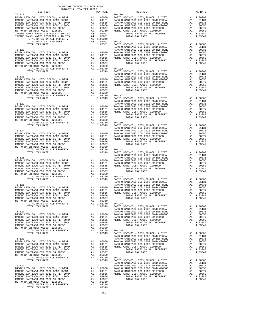| DISTRICT | 2016-2017 TRA TAX RATES | TAX RATE | DISTRICT                                                                                                                                                                                                                                  | TAX RATE |
|----------|-------------------------|----------|-------------------------------------------------------------------------------------------------------------------------------------------------------------------------------------------------------------------------------------------|----------|
|          |                         |          |                                                                                                                                                                                                                                           |          |
|          |                         |          |                                                                                                                                                                                                                                           |          |
|          |                         |          |                                                                                                                                                                                                                                           |          |
|          |                         |          |                                                                                                                                                                                                                                           |          |
|          |                         |          |                                                                                                                                                                                                                                           |          |
|          |                         |          |                                                                                                                                                                                                                                           |          |
|          |                         |          |                                                                                                                                                                                                                                           |          |
|          |                         |          |                                                                                                                                                                                                                                           |          |
|          |                         |          |                                                                                                                                                                                                                                           |          |
|          |                         |          |                                                                                                                                                                                                                                           |          |
|          |                         |          |                                                                                                                                                                                                                                           |          |
|          |                         |          |                                                                                                                                                                                                                                           |          |
|          |                         |          |                                                                                                                                                                                                                                           |          |
|          |                         |          |                                                                                                                                                                                                                                           |          |
|          |                         |          |                                                                                                                                                                                                                                           |          |
|          |                         |          |                                                                                                                                                                                                                                           |          |
|          |                         |          |                                                                                                                                                                                                                                           |          |
|          |                         |          |                                                                                                                                                                                                                                           |          |
|          |                         |          |                                                                                                                                                                                                                                           |          |
|          |                         |          |                                                                                                                                                                                                                                           |          |
|          |                         |          |                                                                                                                                                                                                                                           |          |
|          |                         |          |                                                                                                                                                                                                                                           |          |
|          |                         |          |                                                                                                                                                                                                                                           |          |
|          |                         |          |                                                                                                                                                                                                                                           |          |
|          |                         |          |                                                                                                                                                                                                                                           |          |
|          |                         |          |                                                                                                                                                                                                                                           |          |
|          |                         |          |                                                                                                                                                                                                                                           |          |
|          |                         |          |                                                                                                                                                                                                                                           |          |
|          |                         |          |                                                                                                                                                                                                                                           |          |
|          |                         |          |                                                                                                                                                                                                                                           |          |
|          |                         |          |                                                                                                                                                                                                                                           |          |
|          |                         |          |                                                                                                                                                                                                                                           |          |
|          |                         |          |                                                                                                                                                                                                                                           |          |
|          |                         |          |                                                                                                                                                                                                                                           |          |
|          |                         |          |                                                                                                                                                                                                                                           |          |
|          |                         |          |                                                                                                                                                                                                                                           |          |
|          |                         |          |                                                                                                                                                                                                                                           |          |
|          |                         |          |                                                                                                                                                                                                                                           |          |
|          |                         |          |                                                                                                                                                                                                                                           |          |
|          |                         |          |                                                                                                                                                                                                                                           |          |
|          |                         |          |                                                                                                                                                                                                                                           |          |
|          |                         |          |                                                                                                                                                                                                                                           |          |
|          |                         |          |                                                                                                                                                                                                                                           |          |
|          |                         |          |                                                                                                                                                                                                                                           |          |
|          |                         |          |                                                                                                                                                                                                                                           |          |
|          |                         |          |                                                                                                                                                                                                                                           |          |
|          |                         |          |                                                                                                                                                                                                                                           |          |
|          |                         |          |                                                                                                                                                                                                                                           |          |
|          |                         |          |                                                                                                                                                                                                                                           |          |
|          |                         |          |                                                                                                                                                                                                                                           |          |
|          |                         |          |                                                                                                                                                                                                                                           |          |
|          |                         |          |                                                                                                                                                                                                                                           |          |
|          |                         |          |                                                                                                                                                                                                                                           |          |
|          |                         |          |                                                                                                                                                                                                                                           |          |
|          |                         |          |                                                                                                                                                                                                                                           |          |
|          |                         |          |                                                                                                                                                                                                                                           |          |
|          |                         |          |                                                                                                                                                                                                                                           |          |
|          |                         |          |                                                                                                                                                                                                                                           |          |
|          |                         |          |                                                                                                                                                                                                                                           |          |
|          |                         |          |                                                                                                                                                                                                                                           |          |
|          |                         |          |                                                                                                                                                                                                                                           |          |
|          |                         |          |                                                                                                                                                                                                                                           |          |
|          |                         |          |                                                                                                                                                                                                                                           |          |
|          |                         |          |                                                                                                                                                                                                                                           |          |
|          |                         |          | PARCED SIMPTRON COD 5012 ENG.<br>RANGEL SARTING COD 5001 END #2006C<br>RANGEL SARTING COD 5001 ENG.<br>RANGEL SARTING COD 5001 ENG.<br>RANGEL SARTING COD 5001 ENG.<br>NETTO MATERIAL COD 5001 ENG.<br>NETTO MATERIAL STATES ON A 1.00035 |          |
|          |                         |          |                                                                                                                                                                                                                                           |          |
|          |                         |          |                                                                                                                                                                                                                                           |          |
|          |                         |          |                                                                                                                                                                                                                                           |          |
|          |                         |          |                                                                                                                                                                                                                                           |          |
|          |                         |          |                                                                                                                                                                                                                                           |          |
|          |                         |          |                                                                                                                                                                                                                                           |          |
|          |                         |          |                                                                                                                                                                                                                                           |          |
|          |                         |          |                                                                                                                                                                                                                                           |          |
|          |                         |          |                                                                                                                                                                                                                                           |          |

COUNTY OF ORANGE TAX RATE BOOK

-269-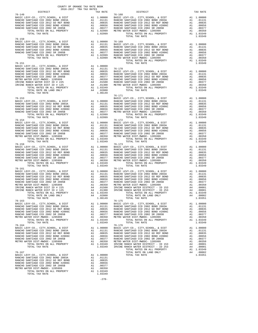| COUNTY OF ORANGE TAX RATE BOOK<br>2016-2017 TRA TAX RATES<br>$2016-2017\quad\text{TRA TAX RATES}\label{eq:2016-2017}$ DISTRICT |          |                                                                                                                                                                                                                                                                                                                                                                                                                                                               |          |
|--------------------------------------------------------------------------------------------------------------------------------|----------|---------------------------------------------------------------------------------------------------------------------------------------------------------------------------------------------------------------------------------------------------------------------------------------------------------------------------------------------------------------------------------------------------------------------------------------------------------------|----------|
|                                                                                                                                | TAX RATE | DISTRICT<br>$\begin{tabular}{l c c c c c} \multicolumn{1}{c}{DISTRTCT} & \multicolumn{1}{c}{\begin{tabular}{c} DISTRTCT\\ \hline \multicolumn{1}{c}{\begin{tabular}{c} DISTRTCT\\ \text{RANCHO SANTIAGO CCD 2002 BOND 2003A} & \multicolumn{1}{c}{\begin{tabular}{c} $A1$ & $1,00000$ & BASTC LEVY-CO., CITY, SCHOOL, & $DIST$ \\ \text{RANCHO SANTIAGO CCD 2002 BOND 2003A & A1 & .01131 & RANCHO SANTIAGO CCD 2002 BOND 2003A &$                            | TAX RATE |
|                                                                                                                                |          |                                                                                                                                                                                                                                                                                                                                                                                                                                                               |          |
|                                                                                                                                |          |                                                                                                                                                                                                                                                                                                                                                                                                                                                               |          |
|                                                                                                                                |          |                                                                                                                                                                                                                                                                                                                                                                                                                                                               |          |
|                                                                                                                                |          |                                                                                                                                                                                                                                                                                                                                                                                                                                                               |          |
|                                                                                                                                |          |                                                                                                                                                                                                                                                                                                                                                                                                                                                               |          |
|                                                                                                                                |          |                                                                                                                                                                                                                                                                                                                                                                                                                                                               |          |
|                                                                                                                                |          |                                                                                                                                                                                                                                                                                                                                                                                                                                                               |          |
|                                                                                                                                |          | $\begin{tabular}{l c c c c c} \multicolumn{4}{c}{\textbf{76--150}} \multicolumn{4}{c}{\textbf{RANCHO}} \textbf{SANTIAGO} \textbf{CCD}, & \textbf{CITY}, \textbf{SCHODL}, & \textbf{R DIST} & \textbf{A1} & 1.00000 & 76-169 \\ \multicolumn{4}{c}{\textbf{RANCHO}} \textbf{SANTIAGO} \textbf{CCD} & 2002 & \textbf{BOND} & 2003 \textbf{A} & \textbf{A1} & 0.0131 & \textbf{BASIC LEVY-CO.}, & \textbf{CITY$                                                  |          |
|                                                                                                                                |          |                                                                                                                                                                                                                                                                                                                                                                                                                                                               |          |
|                                                                                                                                |          |                                                                                                                                                                                                                                                                                                                                                                                                                                                               |          |
|                                                                                                                                |          |                                                                                                                                                                                                                                                                                                                                                                                                                                                               |          |
|                                                                                                                                |          |                                                                                                                                                                                                                                                                                                                                                                                                                                                               |          |
|                                                                                                                                |          |                                                                                                                                                                                                                                                                                                                                                                                                                                                               |          |
|                                                                                                                                |          |                                                                                                                                                                                                                                                                                                                                                                                                                                                               |          |
|                                                                                                                                |          | $\begin{tabular}{l c c c c c} \multicolumn{1}{c}{\textbf{76-151}} & \multicolumn{1}{c}{\textbf{1}} & \multicolumn{1}{c}{\textbf{1}} & \multicolumn{1}{c}{\textbf{1}} & \multicolumn{1}{c}{\textbf{1}} & \multicolumn{1}{c}{\textbf{1}} & \multicolumn{1}{c}{\textbf{1}} & \multicolumn{1}{c}{\textbf{1}} & \multicolumn{1}{c}{\textbf{1}} & \multicolumn{1}{c}{\textbf{1}} & \multicolumn{1}{c}{\textbf{1}} & \multicolumn{1}{c}{\textbf{1}} & \multicolumn{$ |          |
|                                                                                                                                |          |                                                                                                                                                                                                                                                                                                                                                                                                                                                               |          |
|                                                                                                                                |          |                                                                                                                                                                                                                                                                                                                                                                                                                                                               |          |
|                                                                                                                                |          |                                                                                                                                                                                                                                                                                                                                                                                                                                                               |          |
|                                                                                                                                |          |                                                                                                                                                                                                                                                                                                                                                                                                                                                               |          |
|                                                                                                                                |          |                                                                                                                                                                                                                                                                                                                                                                                                                                                               |          |
|                                                                                                                                |          |                                                                                                                                                                                                                                                                                                                                                                                                                                                               |          |
|                                                                                                                                |          |                                                                                                                                                                                                                                                                                                                                                                                                                                                               |          |
|                                                                                                                                |          |                                                                                                                                                                                                                                                                                                                                                                                                                                                               |          |
|                                                                                                                                |          | $76 - 171$                                                                                                                                                                                                                                                                                                                                                                                                                                                    |          |
|                                                                                                                                |          |                                                                                                                                                                                                                                                                                                                                                                                                                                                               |          |
|                                                                                                                                |          |                                                                                                                                                                                                                                                                                                                                                                                                                                                               |          |
|                                                                                                                                |          |                                                                                                                                                                                                                                                                                                                                                                                                                                                               |          |
|                                                                                                                                |          |                                                                                                                                                                                                                                                                                                                                                                                                                                                               |          |
|                                                                                                                                |          |                                                                                                                                                                                                                                                                                                                                                                                                                                                               |          |
|                                                                                                                                |          |                                                                                                                                                                                                                                                                                                                                                                                                                                                               |          |
|                                                                                                                                |          |                                                                                                                                                                                                                                                                                                                                                                                                                                                               |          |
|                                                                                                                                |          |                                                                                                                                                                                                                                                                                                                                                                                                                                                               |          |
|                                                                                                                                |          |                                                                                                                                                                                                                                                                                                                                                                                                                                                               |          |
|                                                                                                                                |          |                                                                                                                                                                                                                                                                                                                                                                                                                                                               |          |
|                                                                                                                                |          |                                                                                                                                                                                                                                                                                                                                                                                                                                                               |          |
|                                                                                                                                |          |                                                                                                                                                                                                                                                                                                                                                                                                                                                               |          |
|                                                                                                                                |          |                                                                                                                                                                                                                                                                                                                                                                                                                                                               |          |
|                                                                                                                                |          |                                                                                                                                                                                                                                                                                                                                                                                                                                                               |          |
|                                                                                                                                |          |                                                                                                                                                                                                                                                                                                                                                                                                                                                               |          |
|                                                                                                                                |          |                                                                                                                                                                                                                                                                                                                                                                                                                                                               |          |
|                                                                                                                                |          |                                                                                                                                                                                                                                                                                                                                                                                                                                                               |          |
|                                                                                                                                |          |                                                                                                                                                                                                                                                                                                                                                                                                                                                               |          |
|                                                                                                                                |          |                                                                                                                                                                                                                                                                                                                                                                                                                                                               |          |
|                                                                                                                                |          |                                                                                                                                                                                                                                                                                                                                                                                                                                                               |          |
|                                                                                                                                |          | $\begin{tabular}{l c c c c c} \hline 76-161 & 76-174 \\ \hline \texttt{RANCHO SANTIAGO CCD , CITY, SCHOOL, & DIST} & \texttt{A1 1.00000} & \texttt{BASTC LEVY-CO., CITY, SCHOOL, & DIST} & \texttt{A1 1.00000} \\ \texttt{RANCHO SANTIAGO CCD 2002 BOND 2003A} & \texttt{A1 01131} & \texttt{RANCHO SANTIAGO CCD 2002 BOND 2003A} & \texttt{A1 01131} \\ \texttt{RANCHO SANTIAGO CCD$                                                                         |          |
|                                                                                                                                |          |                                                                                                                                                                                                                                                                                                                                                                                                                                                               |          |
|                                                                                                                                |          |                                                                                                                                                                                                                                                                                                                                                                                                                                                               |          |
|                                                                                                                                |          |                                                                                                                                                                                                                                                                                                                                                                                                                                                               |          |
|                                                                                                                                |          |                                                                                                                                                                                                                                                                                                                                                                                                                                                               |          |
|                                                                                                                                |          |                                                                                                                                                                                                                                                                                                                                                                                                                                                               |          |
|                                                                                                                                |          |                                                                                                                                                                                                                                                                                                                                                                                                                                                               |          |
| TANCH WHILE A LAND ONLY TOTAL RATES ON ALL PROPERTY TOTAL RATE ON LAND ONLY A4 0.02800 1.06149                                 |          | TOTAL RATE ON LAND ONLY 24 .00002<br>TOTAL RATE ON LAND ONLY 24 .00002<br>TOTAL RATE ON LAND ONLY TOTAL TAX RATE $76-175 \label{eq:17}$                                                                                                                                                                                                                                                                                                                       |          |
|                                                                                                                                |          | $\begin{tabular}{l c c c c c} \multicolumn{1}{c}{\begin{tabular}{l c c c} \multicolumn{1}{c}{\begin{tabular}{l c c c} \multicolumn{1}{c}{\begin{tabular}{l c c} \multicolumn{1}{c}{\begin{tabular}{l c c} \multicolumn{1}{c}{\begin{tabular}{l c} \multicolumn{1}{c}{\begin{tabular}{l c} \multicolumn{1}{c}{\begin{tabular}{l c} \multicolumn{1}{c}{\begin{tabular}{l c} \multicolumn{1}{c}{\begin{tabular}{l c} \multicolumn{1}{c}{\begin{tabular}{l c}$    |          |
|                                                                                                                                |          |                                                                                                                                                                                                                                                                                                                                                                                                                                                               |          |
|                                                                                                                                |          |                                                                                                                                                                                                                                                                                                                                                                                                                                                               |          |
|                                                                                                                                |          |                                                                                                                                                                                                                                                                                                                                                                                                                                                               |          |
|                                                                                                                                |          |                                                                                                                                                                                                                                                                                                                                                                                                                                                               |          |
|                                                                                                                                |          |                                                                                                                                                                                                                                                                                                                                                                                                                                                               |          |
|                                                                                                                                |          |                                                                                                                                                                                                                                                                                                                                                                                                                                                               |          |
|                                                                                                                                |          |                                                                                                                                                                                                                                                                                                                                                                                                                                                               |          |
|                                                                                                                                |          |                                                                                                                                                                                                                                                                                                                                                                                                                                                               |          |
|                                                                                                                                |          |                                                                                                                                                                                                                                                                                                                                                                                                                                                               |          |
|                                                                                                                                |          |                                                                                                                                                                                                                                                                                                                                                                                                                                                               |          |
|                                                                                                                                |          |                                                                                                                                                                                                                                                                                                                                                                                                                                                               |          |
|                                                                                                                                |          |                                                                                                                                                                                                                                                                                                                                                                                                                                                               |          |
|                                                                                                                                |          |                                                                                                                                                                                                                                                                                                                                                                                                                                                               |          |
|                                                                                                                                |          |                                                                                                                                                                                                                                                                                                                                                                                                                                                               |          |
|                                                                                                                                |          |                                                                                                                                                                                                                                                                                                                                                                                                                                                               |          |
|                                                                                                                                |          |                                                                                                                                                                                                                                                                                                                                                                                                                                                               |          |
|                                                                                                                                |          |                                                                                                                                                                                                                                                                                                                                                                                                                                                               |          |
|                                                                                                                                |          |                                                                                                                                                                                                                                                                                                                                                                                                                                                               |          |
|                                                                                                                                |          |                                                                                                                                                                                                                                                                                                                                                                                                                                                               |          |
|                                                                                                                                |          |                                                                                                                                                                                                                                                                                                                                                                                                                                                               |          |

-270-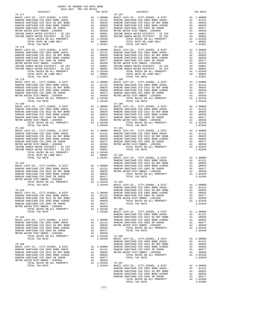| レエウエルエニエ   | tuv vute | ----------                                                                                                                                                                                                                                                                                                                                                                                                                                                                                                                                                                                                                                                                                                                                                                                                                                                    | TWV WITH |
|------------|----------|---------------------------------------------------------------------------------------------------------------------------------------------------------------------------------------------------------------------------------------------------------------------------------------------------------------------------------------------------------------------------------------------------------------------------------------------------------------------------------------------------------------------------------------------------------------------------------------------------------------------------------------------------------------------------------------------------------------------------------------------------------------------------------------------------------------------------------------------------------------|----------|
| $76 - 177$ |          | 76-187                                                                                                                                                                                                                                                                                                                                                                                                                                                                                                                                                                                                                                                                                                                                                                                                                                                        |          |
|            |          |                                                                                                                                                                                                                                                                                                                                                                                                                                                                                                                                                                                                                                                                                                                                                                                                                                                               |          |
|            |          |                                                                                                                                                                                                                                                                                                                                                                                                                                                                                                                                                                                                                                                                                                                                                                                                                                                               |          |
|            |          |                                                                                                                                                                                                                                                                                                                                                                                                                                                                                                                                                                                                                                                                                                                                                                                                                                                               |          |
|            |          |                                                                                                                                                                                                                                                                                                                                                                                                                                                                                                                                                                                                                                                                                                                                                                                                                                                               |          |
|            |          |                                                                                                                                                                                                                                                                                                                                                                                                                                                                                                                                                                                                                                                                                                                                                                                                                                                               |          |
|            |          |                                                                                                                                                                                                                                                                                                                                                                                                                                                                                                                                                                                                                                                                                                                                                                                                                                                               |          |
|            |          |                                                                                                                                                                                                                                                                                                                                                                                                                                                                                                                                                                                                                                                                                                                                                                                                                                                               |          |
|            |          |                                                                                                                                                                                                                                                                                                                                                                                                                                                                                                                                                                                                                                                                                                                                                                                                                                                               |          |
|            |          |                                                                                                                                                                                                                                                                                                                                                                                                                                                                                                                                                                                                                                                                                                                                                                                                                                                               |          |
|            |          |                                                                                                                                                                                                                                                                                                                                                                                                                                                                                                                                                                                                                                                                                                                                                                                                                                                               |          |
|            |          |                                                                                                                                                                                                                                                                                                                                                                                                                                                                                                                                                                                                                                                                                                                                                                                                                                                               |          |
|            |          | $\begin{tabular}{l c c c c c} \hline 76-177 & 76-187 \\ \hline \texttt{RANCHO SANTIAGO CCD, 2002 BOND 2003A} & \texttt{A1} & 1.00000 & \texttt{BASTC LEVY-CO.}, \texttt{CITY}, \texttt{SCHOOL}, 4 \texttt{DIST} & \texttt{A1} & 1.00000 \\ \texttt{RANCHO SANTIAGO CCD 2002 BOND 2003A} & \texttt{A1} & .01131 & \texttt{RANCHO SANTIAGO CCD 2002 BOND 2003A} & \texttt{A1}$<br>$\begin{tabular}{l c c c c c} \multicolumn{1}{c}{\begin{tabular}{l c c c} \multicolumn{1}{c}{\begin{tabular}[c]{c} \multicolumn{1}{c}{\begin{tabular}[c]{c} \multicolumn{1}{c}{\begin{tabular}[c]{c} \multicolumn{1}{c}{\begin{tabular}[c]{c} \multicolumn{1}{c}{\begin{tabular}[c]{c} \multicolumn{1}{c}{\begin{tabular}[c]{c} \multicolumn{1}{c}{\begin{tabular}[c]{c} \multicolumn{1}{c}{\begin{tabular}[c]{c} \multicolumn{1}{c}{\begin{tabular}[c]{c} \multicolumn{1}{c$ |          |
|            |          |                                                                                                                                                                                                                                                                                                                                                                                                                                                                                                                                                                                                                                                                                                                                                                                                                                                               |          |
|            |          |                                                                                                                                                                                                                                                                                                                                                                                                                                                                                                                                                                                                                                                                                                                                                                                                                                                               |          |
|            |          |                                                                                                                                                                                                                                                                                                                                                                                                                                                                                                                                                                                                                                                                                                                                                                                                                                                               |          |
|            |          |                                                                                                                                                                                                                                                                                                                                                                                                                                                                                                                                                                                                                                                                                                                                                                                                                                                               |          |
|            |          |                                                                                                                                                                                                                                                                                                                                                                                                                                                                                                                                                                                                                                                                                                                                                                                                                                                               |          |
|            |          |                                                                                                                                                                                                                                                                                                                                                                                                                                                                                                                                                                                                                                                                                                                                                                                                                                                               |          |
|            |          |                                                                                                                                                                                                                                                                                                                                                                                                                                                                                                                                                                                                                                                                                                                                                                                                                                                               |          |
|            |          |                                                                                                                                                                                                                                                                                                                                                                                                                                                                                                                                                                                                                                                                                                                                                                                                                                                               |          |
|            |          |                                                                                                                                                                                                                                                                                                                                                                                                                                                                                                                                                                                                                                                                                                                                                                                                                                                               |          |
|            |          |                                                                                                                                                                                                                                                                                                                                                                                                                                                                                                                                                                                                                                                                                                                                                                                                                                                               |          |
|            |          |                                                                                                                                                                                                                                                                                                                                                                                                                                                                                                                                                                                                                                                                                                                                                                                                                                                               |          |
|            |          |                                                                                                                                                                                                                                                                                                                                                                                                                                                                                                                                                                                                                                                                                                                                                                                                                                                               |          |
| $76 - 179$ |          | $76 - 189$                                                                                                                                                                                                                                                                                                                                                                                                                                                                                                                                                                                                                                                                                                                                                                                                                                                    |          |
|            |          |                                                                                                                                                                                                                                                                                                                                                                                                                                                                                                                                                                                                                                                                                                                                                                                                                                                               |          |
|            |          |                                                                                                                                                                                                                                                                                                                                                                                                                                                                                                                                                                                                                                                                                                                                                                                                                                                               |          |
|            |          |                                                                                                                                                                                                                                                                                                                                                                                                                                                                                                                                                                                                                                                                                                                                                                                                                                                               |          |
|            |          |                                                                                                                                                                                                                                                                                                                                                                                                                                                                                                                                                                                                                                                                                                                                                                                                                                                               |          |
|            |          |                                                                                                                                                                                                                                                                                                                                                                                                                                                                                                                                                                                                                                                                                                                                                                                                                                                               |          |
|            |          |                                                                                                                                                                                                                                                                                                                                                                                                                                                                                                                                                                                                                                                                                                                                                                                                                                                               |          |
|            |          |                                                                                                                                                                                                                                                                                                                                                                                                                                                                                                                                                                                                                                                                                                                                                                                                                                                               |          |
|            |          |                                                                                                                                                                                                                                                                                                                                                                                                                                                                                                                                                                                                                                                                                                                                                                                                                                                               |          |
|            |          | $\begin{tabular}{l c c c c c} \hline 76-179 & 76-189 \\ \hline \texttt{RANC} & \texttt{KEY-CO} & \texttt{CITY}, \texttt{CHOOL}, & \texttt{CITY}, \texttt{SCHOOL}, & \texttt{CITY}, \texttt{SCHOOL}, & \texttt{CIST} & \texttt{A1} & 1.00000 \\ \texttt{RANC} & \texttt{SANTIAGO} & \texttt{CCD} & 2002 & \texttt{BOND} & 2003 \texttt{A} & 01131 \\ \texttt{RANC} & \texttt{SANTIAGO} & \texttt{CCD} & 20$                                                                                                                                                                                                                                                                                                                                                                                                                                                    |          |
|            |          |                                                                                                                                                                                                                                                                                                                                                                                                                                                                                                                                                                                                                                                                                                                                                                                                                                                               |          |
|            |          |                                                                                                                                                                                                                                                                                                                                                                                                                                                                                                                                                                                                                                                                                                                                                                                                                                                               |          |
|            |          |                                                                                                                                                                                                                                                                                                                                                                                                                                                                                                                                                                                                                                                                                                                                                                                                                                                               |          |
|            |          |                                                                                                                                                                                                                                                                                                                                                                                                                                                                                                                                                                                                                                                                                                                                                                                                                                                               |          |
|            |          |                                                                                                                                                                                                                                                                                                                                                                                                                                                                                                                                                                                                                                                                                                                                                                                                                                                               |          |
|            |          |                                                                                                                                                                                                                                                                                                                                                                                                                                                                                                                                                                                                                                                                                                                                                                                                                                                               |          |
|            |          |                                                                                                                                                                                                                                                                                                                                                                                                                                                                                                                                                                                                                                                                                                                                                                                                                                                               |          |
|            |          |                                                                                                                                                                                                                                                                                                                                                                                                                                                                                                                                                                                                                                                                                                                                                                                                                                                               |          |
|            |          |                                                                                                                                                                                                                                                                                                                                                                                                                                                                                                                                                                                                                                                                                                                                                                                                                                                               |          |
|            |          |                                                                                                                                                                                                                                                                                                                                                                                                                                                                                                                                                                                                                                                                                                                                                                                                                                                               |          |
|            |          |                                                                                                                                                                                                                                                                                                                                                                                                                                                                                                                                                                                                                                                                                                                                                                                                                                                               |          |
|            |          |                                                                                                                                                                                                                                                                                                                                                                                                                                                                                                                                                                                                                                                                                                                                                                                                                                                               |          |
|            |          |                                                                                                                                                                                                                                                                                                                                                                                                                                                                                                                                                                                                                                                                                                                                                                                                                                                               |          |
|            |          |                                                                                                                                                                                                                                                                                                                                                                                                                                                                                                                                                                                                                                                                                                                                                                                                                                                               |          |
|            |          |                                                                                                                                                                                                                                                                                                                                                                                                                                                                                                                                                                                                                                                                                                                                                                                                                                                               |          |
|            |          |                                                                                                                                                                                                                                                                                                                                                                                                                                                                                                                                                                                                                                                                                                                                                                                                                                                               |          |
|            |          |                                                                                                                                                                                                                                                                                                                                                                                                                                                                                                                                                                                                                                                                                                                                                                                                                                                               |          |
|            |          |                                                                                                                                                                                                                                                                                                                                                                                                                                                                                                                                                                                                                                                                                                                                                                                                                                                               |          |
|            |          |                                                                                                                                                                                                                                                                                                                                                                                                                                                                                                                                                                                                                                                                                                                                                                                                                                                               |          |
|            |          |                                                                                                                                                                                                                                                                                                                                                                                                                                                                                                                                                                                                                                                                                                                                                                                                                                                               |          |
|            |          |                                                                                                                                                                                                                                                                                                                                                                                                                                                                                                                                                                                                                                                                                                                                                                                                                                                               |          |
|            |          |                                                                                                                                                                                                                                                                                                                                                                                                                                                                                                                                                                                                                                                                                                                                                                                                                                                               |          |
|            |          |                                                                                                                                                                                                                                                                                                                                                                                                                                                                                                                                                                                                                                                                                                                                                                                                                                                               |          |
|            |          |                                                                                                                                                                                                                                                                                                                                                                                                                                                                                                                                                                                                                                                                                                                                                                                                                                                               |          |
|            |          |                                                                                                                                                                                                                                                                                                                                                                                                                                                                                                                                                                                                                                                                                                                                                                                                                                                               |          |
|            |          |                                                                                                                                                                                                                                                                                                                                                                                                                                                                                                                                                                                                                                                                                                                                                                                                                                                               |          |
|            |          |                                                                                                                                                                                                                                                                                                                                                                                                                                                                                                                                                                                                                                                                                                                                                                                                                                                               |          |
|            |          |                                                                                                                                                                                                                                                                                                                                                                                                                                                                                                                                                                                                                                                                                                                                                                                                                                                               |          |
|            |          |                                                                                                                                                                                                                                                                                                                                                                                                                                                                                                                                                                                                                                                                                                                                                                                                                                                               |          |
|            |          |                                                                                                                                                                                                                                                                                                                                                                                                                                                                                                                                                                                                                                                                                                                                                                                                                                                               |          |
|            |          |                                                                                                                                                                                                                                                                                                                                                                                                                                                                                                                                                                                                                                                                                                                                                                                                                                                               |          |
|            |          |                                                                                                                                                                                                                                                                                                                                                                                                                                                                                                                                                                                                                                                                                                                                                                                                                                                               |          |
|            |          |                                                                                                                                                                                                                                                                                                                                                                                                                                                                                                                                                                                                                                                                                                                                                                                                                                                               |          |
|            |          |                                                                                                                                                                                                                                                                                                                                                                                                                                                                                                                                                                                                                                                                                                                                                                                                                                                               |          |
|            |          |                                                                                                                                                                                                                                                                                                                                                                                                                                                                                                                                                                                                                                                                                                                                                                                                                                                               |          |
|            |          |                                                                                                                                                                                                                                                                                                                                                                                                                                                                                                                                                                                                                                                                                                                                                                                                                                                               |          |
|            |          |                                                                                                                                                                                                                                                                                                                                                                                                                                                                                                                                                                                                                                                                                                                                                                                                                                                               |          |
|            |          |                                                                                                                                                                                                                                                                                                                                                                                                                                                                                                                                                                                                                                                                                                                                                                                                                                                               |          |
|            |          |                                                                                                                                                                                                                                                                                                                                                                                                                                                                                                                                                                                                                                                                                                                                                                                                                                                               |          |
|            |          |                                                                                                                                                                                                                                                                                                                                                                                                                                                                                                                                                                                                                                                                                                                                                                                                                                                               |          |
|            |          |                                                                                                                                                                                                                                                                                                                                                                                                                                                                                                                                                                                                                                                                                                                                                                                                                                                               |          |
|            |          |                                                                                                                                                                                                                                                                                                                                                                                                                                                                                                                                                                                                                                                                                                                                                                                                                                                               |          |
|            |          |                                                                                                                                                                                                                                                                                                                                                                                                                                                                                                                                                                                                                                                                                                                                                                                                                                                               |          |
|            |          |                                                                                                                                                                                                                                                                                                                                                                                                                                                                                                                                                                                                                                                                                                                                                                                                                                                               |          |
|            |          |                                                                                                                                                                                                                                                                                                                                                                                                                                                                                                                                                                                                                                                                                                                                                                                                                                                               |          |
|            |          |                                                                                                                                                                                                                                                                                                                                                                                                                                                                                                                                                                                                                                                                                                                                                                                                                                                               |          |
|            |          |                                                                                                                                                                                                                                                                                                                                                                                                                                                                                                                                                                                                                                                                                                                                                                                                                                                               |          |
|            |          |                                                                                                                                                                                                                                                                                                                                                                                                                                                                                                                                                                                                                                                                                                                                                                                                                                                               |          |
|            |          |                                                                                                                                                                                                                                                                                                                                                                                                                                                                                                                                                                                                                                                                                                                                                                                                                                                               |          |
|            |          |                                                                                                                                                                                                                                                                                                                                                                                                                                                                                                                                                                                                                                                                                                                                                                                                                                                               |          |
|            |          |                                                                                                                                                                                                                                                                                                                                                                                                                                                                                                                                                                                                                                                                                                                                                                                                                                                               |          |
|            |          |                                                                                                                                                                                                                                                                                                                                                                                                                                                                                                                                                                                                                                                                                                                                                                                                                                                               |          |
|            |          |                                                                                                                                                                                                                                                                                                                                                                                                                                                                                                                                                                                                                                                                                                                                                                                                                                                               |          |
|            |          |                                                                                                                                                                                                                                                                                                                                                                                                                                                                                                                                                                                                                                                                                                                                                                                                                                                               |          |
|            |          |                                                                                                                                                                                                                                                                                                                                                                                                                                                                                                                                                                                                                                                                                                                                                                                                                                                               |          |
|            |          |                                                                                                                                                                                                                                                                                                                                                                                                                                                                                                                                                                                                                                                                                                                                                                                                                                                               |          |
|            |          |                                                                                                                                                                                                                                                                                                                                                                                                                                                                                                                                                                                                                                                                                                                                                                                                                                                               |          |
|            |          |                                                                                                                                                                                                                                                                                                                                                                                                                                                                                                                                                                                                                                                                                                                                                                                                                                                               |          |
|            |          |                                                                                                                                                                                                                                                                                                                                                                                                                                                                                                                                                                                                                                                                                                                                                                                                                                                               |          |
|            |          |                                                                                                                                                                                                                                                                                                                                                                                                                                                                                                                                                                                                                                                                                                                                                                                                                                                               |          |
|            |          |                                                                                                                                                                                                                                                                                                                                                                                                                                                                                                                                                                                                                                                                                                                                                                                                                                                               |          |
|            |          | RANCHO SANTIAGO CCD 2002 BORBE POND A1 .00037<br>RANCHO SANTIAGO CCD 2002 BORBE POND A1 .00035 NETRO WATER DISTLANCHO CCD 2002 SE ANCHO SANTIAGO CCD 2002 BORBE POND 1.000550<br>RANCHO SANTIAGO CCD 2002 BORBE POND A1 .000550<br>                                                                                                                                                                                                                                                                                                                                                                                                                                                                                                                                                                                                                           |          |
|            |          |                                                                                                                                                                                                                                                                                                                                                                                                                                                                                                                                                                                                                                                                                                                                                                                                                                                               |          |
|            |          |                                                                                                                                                                                                                                                                                                                                                                                                                                                                                                                                                                                                                                                                                                                                                                                                                                                               |          |

| $76 - 177$                                                                                                                                                                                                                      | $2016-2017\begin{array}{l} \multicolumn{1}{c}{\text{Tr}}\text{A} & \text{RATE} \end{array}$ DISTRICT $$\tt 2016-2017$\tt TRA}$<br>TAX RATE | DISTRICT                                                                                                                                                                                                                                                                                                                                                                                                          | TAX RATE |
|---------------------------------------------------------------------------------------------------------------------------------------------------------------------------------------------------------------------------------|--------------------------------------------------------------------------------------------------------------------------------------------|-------------------------------------------------------------------------------------------------------------------------------------------------------------------------------------------------------------------------------------------------------------------------------------------------------------------------------------------------------------------------------------------------------------------|----------|
|                                                                                                                                                                                                                                 |                                                                                                                                            | $76 - 187$<br>$\begin{tabular}{l c c c c c} \hline 76-177 & 76-187 \\ \hline RANCE BAYC-CO, CITY, SCHOOL, & DIST \\ \hline RANCEO SANTIAGO CCD 2002 BOND 2003A & A1 & .01131 \\ \hline RANCEO SANTIAGO CCD 2012 GO REF BOND & A1 & .01131 \\ \hline RANCEO SANTIAGO CCD 2012 GO REF BOND & A1 & .01131 \\ \hline RANCEO SANTIAGO CCD 2002 BOND 2003A & A1 & .01131 \\ \hline RANCEO SANTIAGO CCD 2002 BOND 2003A$ |          |
|                                                                                                                                                                                                                                 |                                                                                                                                            |                                                                                                                                                                                                                                                                                                                                                                                                                   |          |
|                                                                                                                                                                                                                                 |                                                                                                                                            |                                                                                                                                                                                                                                                                                                                                                                                                                   |          |
|                                                                                                                                                                                                                                 |                                                                                                                                            |                                                                                                                                                                                                                                                                                                                                                                                                                   |          |
|                                                                                                                                                                                                                                 |                                                                                                                                            |                                                                                                                                                                                                                                                                                                                                                                                                                   |          |
|                                                                                                                                                                                                                                 |                                                                                                                                            |                                                                                                                                                                                                                                                                                                                                                                                                                   |          |
|                                                                                                                                                                                                                                 |                                                                                                                                            |                                                                                                                                                                                                                                                                                                                                                                                                                   |          |
|                                                                                                                                                                                                                                 |                                                                                                                                            |                                                                                                                                                                                                                                                                                                                                                                                                                   |          |
|                                                                                                                                                                                                                                 |                                                                                                                                            |                                                                                                                                                                                                                                                                                                                                                                                                                   |          |
|                                                                                                                                                                                                                                 |                                                                                                                                            |                                                                                                                                                                                                                                                                                                                                                                                                                   |          |
|                                                                                                                                                                                                                                 |                                                                                                                                            |                                                                                                                                                                                                                                                                                                                                                                                                                   |          |
|                                                                                                                                                                                                                                 |                                                                                                                                            |                                                                                                                                                                                                                                                                                                                                                                                                                   |          |
|                                                                                                                                                                                                                                 |                                                                                                                                            |                                                                                                                                                                                                                                                                                                                                                                                                                   |          |
|                                                                                                                                                                                                                                 |                                                                                                                                            |                                                                                                                                                                                                                                                                                                                                                                                                                   |          |
|                                                                                                                                                                                                                                 |                                                                                                                                            |                                                                                                                                                                                                                                                                                                                                                                                                                   |          |
|                                                                                                                                                                                                                                 |                                                                                                                                            |                                                                                                                                                                                                                                                                                                                                                                                                                   |          |
|                                                                                                                                                                                                                                 |                                                                                                                                            |                                                                                                                                                                                                                                                                                                                                                                                                                   |          |
|                                                                                                                                                                                                                                 |                                                                                                                                            |                                                                                                                                                                                                                                                                                                                                                                                                                   |          |
|                                                                                                                                                                                                                                 |                                                                                                                                            |                                                                                                                                                                                                                                                                                                                                                                                                                   |          |
|                                                                                                                                                                                                                                 |                                                                                                                                            |                                                                                                                                                                                                                                                                                                                                                                                                                   |          |
|                                                                                                                                                                                                                                 |                                                                                                                                            |                                                                                                                                                                                                                                                                                                                                                                                                                   |          |
|                                                                                                                                                                                                                                 |                                                                                                                                            |                                                                                                                                                                                                                                                                                                                                                                                                                   |          |
|                                                                                                                                                                                                                                 |                                                                                                                                            |                                                                                                                                                                                                                                                                                                                                                                                                                   |          |
|                                                                                                                                                                                                                                 |                                                                                                                                            |                                                                                                                                                                                                                                                                                                                                                                                                                   |          |
|                                                                                                                                                                                                                                 |                                                                                                                                            |                                                                                                                                                                                                                                                                                                                                                                                                                   |          |
|                                                                                                                                                                                                                                 |                                                                                                                                            |                                                                                                                                                                                                                                                                                                                                                                                                                   |          |
|                                                                                                                                                                                                                                 |                                                                                                                                            |                                                                                                                                                                                                                                                                                                                                                                                                                   |          |
|                                                                                                                                                                                                                                 |                                                                                                                                            |                                                                                                                                                                                                                                                                                                                                                                                                                   |          |
|                                                                                                                                                                                                                                 |                                                                                                                                            |                                                                                                                                                                                                                                                                                                                                                                                                                   |          |
|                                                                                                                                                                                                                                 |                                                                                                                                            |                                                                                                                                                                                                                                                                                                                                                                                                                   |          |
|                                                                                                                                                                                                                                 |                                                                                                                                            |                                                                                                                                                                                                                                                                                                                                                                                                                   |          |
|                                                                                                                                                                                                                                 |                                                                                                                                            |                                                                                                                                                                                                                                                                                                                                                                                                                   |          |
|                                                                                                                                                                                                                                 |                                                                                                                                            |                                                                                                                                                                                                                                                                                                                                                                                                                   |          |
|                                                                                                                                                                                                                                 |                                                                                                                                            |                                                                                                                                                                                                                                                                                                                                                                                                                   |          |
|                                                                                                                                                                                                                                 |                                                                                                                                            |                                                                                                                                                                                                                                                                                                                                                                                                                   |          |
|                                                                                                                                                                                                                                 |                                                                                                                                            |                                                                                                                                                                                                                                                                                                                                                                                                                   |          |
| $76 - 181$                                                                                                                                                                                                                      |                                                                                                                                            | $76 - 191$                                                                                                                                                                                                                                                                                                                                                                                                        |          |
|                                                                                                                                                                                                                                 |                                                                                                                                            |                                                                                                                                                                                                                                                                                                                                                                                                                   |          |
|                                                                                                                                                                                                                                 |                                                                                                                                            |                                                                                                                                                                                                                                                                                                                                                                                                                   |          |
|                                                                                                                                                                                                                                 |                                                                                                                                            |                                                                                                                                                                                                                                                                                                                                                                                                                   |          |
|                                                                                                                                                                                                                                 |                                                                                                                                            |                                                                                                                                                                                                                                                                                                                                                                                                                   |          |
|                                                                                                                                                                                                                                 |                                                                                                                                            |                                                                                                                                                                                                                                                                                                                                                                                                                   |          |
|                                                                                                                                                                                                                                 |                                                                                                                                            |                                                                                                                                                                                                                                                                                                                                                                                                                   |          |
|                                                                                                                                                                                                                                 |                                                                                                                                            |                                                                                                                                                                                                                                                                                                                                                                                                                   |          |
|                                                                                                                                                                                                                                 |                                                                                                                                            |                                                                                                                                                                                                                                                                                                                                                                                                                   |          |
|                                                                                                                                                                                                                                 |                                                                                                                                            |                                                                                                                                                                                                                                                                                                                                                                                                                   |          |
|                                                                                                                                                                                                                                 |                                                                                                                                            |                                                                                                                                                                                                                                                                                                                                                                                                                   |          |
|                                                                                                                                                                                                                                 |                                                                                                                                            |                                                                                                                                                                                                                                                                                                                                                                                                                   |          |
|                                                                                                                                                                                                                                 |                                                                                                                                            |                                                                                                                                                                                                                                                                                                                                                                                                                   |          |
|                                                                                                                                                                                                                                 |                                                                                                                                            |                                                                                                                                                                                                                                                                                                                                                                                                                   |          |
|                                                                                                                                                                                                                                 |                                                                                                                                            |                                                                                                                                                                                                                                                                                                                                                                                                                   |          |
|                                                                                                                                                                                                                                 |                                                                                                                                            |                                                                                                                                                                                                                                                                                                                                                                                                                   |          |
|                                                                                                                                                                                                                                 |                                                                                                                                            |                                                                                                                                                                                                                                                                                                                                                                                                                   |          |
|                                                                                                                                                                                                                                 |                                                                                                                                            |                                                                                                                                                                                                                                                                                                                                                                                                                   |          |
|                                                                                                                                                                                                                                 |                                                                                                                                            |                                                                                                                                                                                                                                                                                                                                                                                                                   |          |
|                                                                                                                                                                                                                                 |                                                                                                                                            |                                                                                                                                                                                                                                                                                                                                                                                                                   |          |
|                                                                                                                                                                                                                                 |                                                                                                                                            |                                                                                                                                                                                                                                                                                                                                                                                                                   |          |
|                                                                                                                                                                                                                                 |                                                                                                                                            |                                                                                                                                                                                                                                                                                                                                                                                                                   |          |
|                                                                                                                                                                                                                                 |                                                                                                                                            |                                                                                                                                                                                                                                                                                                                                                                                                                   |          |
|                                                                                                                                                                                                                                 |                                                                                                                                            |                                                                                                                                                                                                                                                                                                                                                                                                                   |          |
|                                                                                                                                                                                                                                 |                                                                                                                                            |                                                                                                                                                                                                                                                                                                                                                                                                                   |          |
|                                                                                                                                                                                                                                 |                                                                                                                                            |                                                                                                                                                                                                                                                                                                                                                                                                                   |          |
|                                                                                                                                                                                                                                 |                                                                                                                                            |                                                                                                                                                                                                                                                                                                                                                                                                                   |          |
|                                                                                                                                                                                                                                 |                                                                                                                                            |                                                                                                                                                                                                                                                                                                                                                                                                                   |          |
|                                                                                                                                                                                                                                 |                                                                                                                                            |                                                                                                                                                                                                                                                                                                                                                                                                                   |          |
|                                                                                                                                                                                                                                 |                                                                                                                                            |                                                                                                                                                                                                                                                                                                                                                                                                                   |          |
|                                                                                                                                                                                                                                 |                                                                                                                                            |                                                                                                                                                                                                                                                                                                                                                                                                                   |          |
|                                                                                                                                                                                                                                 |                                                                                                                                            |                                                                                                                                                                                                                                                                                                                                                                                                                   |          |
|                                                                                                                                                                                                                                 |                                                                                                                                            |                                                                                                                                                                                                                                                                                                                                                                                                                   |          |
|                                                                                                                                                                                                                                 |                                                                                                                                            |                                                                                                                                                                                                                                                                                                                                                                                                                   |          |
|                                                                                                                                                                                                                                 |                                                                                                                                            |                                                                                                                                                                                                                                                                                                                                                                                                                   |          |
|                                                                                                                                                                                                                                 |                                                                                                                                            |                                                                                                                                                                                                                                                                                                                                                                                                                   |          |
|                                                                                                                                                                                                                                 |                                                                                                                                            |                                                                                                                                                                                                                                                                                                                                                                                                                   |          |
|                                                                                                                                                                                                                                 |                                                                                                                                            |                                                                                                                                                                                                                                                                                                                                                                                                                   |          |
|                                                                                                                                                                                                                                 |                                                                                                                                            |                                                                                                                                                                                                                                                                                                                                                                                                                   |          |
|                                                                                                                                                                                                                                 |                                                                                                                                            |                                                                                                                                                                                                                                                                                                                                                                                                                   |          |
|                                                                                                                                                                                                                                 |                                                                                                                                            |                                                                                                                                                                                                                                                                                                                                                                                                                   |          |
|                                                                                                                                                                                                                                 |                                                                                                                                            |                                                                                                                                                                                                                                                                                                                                                                                                                   |          |
|                                                                                                                                                                                                                                 |                                                                                                                                            |                                                                                                                                                                                                                                                                                                                                                                                                                   |          |
|                                                                                                                                                                                                                                 |                                                                                                                                            |                                                                                                                                                                                                                                                                                                                                                                                                                   |          |
|                                                                                                                                                                                                                                 |                                                                                                                                            |                                                                                                                                                                                                                                                                                                                                                                                                                   |          |
|                                                                                                                                                                                                                                 |                                                                                                                                            |                                                                                                                                                                                                                                                                                                                                                                                                                   |          |
|                                                                                                                                                                                                                                 |                                                                                                                                            |                                                                                                                                                                                                                                                                                                                                                                                                                   |          |
|                                                                                                                                                                                                                                 |                                                                                                                                            |                                                                                                                                                                                                                                                                                                                                                                                                                   |          |
|                                                                                                                                                                                                                                 |                                                                                                                                            |                                                                                                                                                                                                                                                                                                                                                                                                                   |          |
|                                                                                                                                                                                                                                 |                                                                                                                                            |                                                                                                                                                                                                                                                                                                                                                                                                                   |          |
| 76-18<br>76-17 (1971). CHY, SCHOOL 6 DEST AND PARCHO SANTAGO COD 2002 RENE SONT 100000 PARCHO SANTIFACO COD 2002 RENE SONT 100000 PARCHO SANTIFACO COD 2002 RENE SONTAGO COD 2002 RENE SONTAGO COD 2002 RENE SONTAGO COD 2002 R |                                                                                                                                            |                                                                                                                                                                                                                                                                                                                                                                                                                   |          |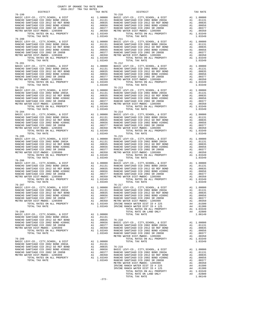| BASIC LEVY-CO., CITY, SCHOOL, & DIST<br>RANCHO SANTIAGO CCD 2002 BOND 2003A                                                                                                                     | A1 1.00000 BASIC L<br>A1 .01835 RANCHO<br>A1 .00835 RANCHO<br>A1 .00656 RANCHO<br>A1 .00377 RANCHO<br>A1 .03349<br>A1 1.03349                                                                                                                                                                                                               |                       |                  |
|-------------------------------------------------------------------------------------------------------------------------------------------------------------------------------------------------|---------------------------------------------------------------------------------------------------------------------------------------------------------------------------------------------------------------------------------------------------------------------------------------------------------------------------------------------|-----------------------|------------------|
| RANCHO SANTIAGO CCD 2012 GO REF BOND                                                                                                                                                            |                                                                                                                                                                                                                                                                                                                                             |                       |                  |
| RANCHO SANTIAGO CCD 2002 BOND #2006C                                                                                                                                                            |                                                                                                                                                                                                                                                                                                                                             |                       |                  |
| RANCHO SANTIAGO CCD 2002 SR 2005B                                                                                                                                                               |                                                                                                                                                                                                                                                                                                                                             |                       |                  |
| METRO WATER DIST-MWDOC- 1205999                                                                                                                                                                 |                                                                                                                                                                                                                                                                                                                                             |                       |                  |
| TOTAL RATES ON ALL PROPERTY<br>TOTAL TAX RATE                                                                                                                                                   |                                                                                                                                                                                                                                                                                                                                             | 1.03349               |                  |
| $76 - 200$                                                                                                                                                                                      | 76-211<br>A1 1.00000 BASIC L<br>A1 .01131 RANCHO<br>A1 .00835 RANCHO<br>A1 .00656 RANCHO<br>A1 .00377 RANCHO<br>A1 .00350 METRO W                                                                                                                                                                                                           |                       | $76 - 211$       |
| BASIC LEVY-CO., CITY, SCHOOL, & DIST<br>RANCHO SANTIAGO CCD 2002 BOND 2003A                                                                                                                     |                                                                                                                                                                                                                                                                                                                                             |                       |                  |
| RANCHO SANTIAGO CCD 2012 GO REF BOND                                                                                                                                                            |                                                                                                                                                                                                                                                                                                                                             |                       |                  |
| RANCHO SANTIAGO CCD 2002 BOND #2006C                                                                                                                                                            |                                                                                                                                                                                                                                                                                                                                             |                       |                  |
| RANCHO SANTIAGO CCD 2002 SR 2005B                                                                                                                                                               |                                                                                                                                                                                                                                                                                                                                             |                       |                  |
| METRO WATER DIST-MWDOC- 1205999                                                                                                                                                                 |                                                                                                                                                                                                                                                                                                                                             |                       |                  |
| TOTAL RATES ON ALL PROPERTY<br>TOTAL TAX RATE                                                                                                                                                   |                                                                                                                                                                                                                                                                                                                                             | A1 1.03349<br>1.03349 |                  |
| $76 - 201$                                                                                                                                                                                      | $\begin{tabular}{ll} \bf{A1} & 1.00000 & BAGC L1 \\ \bf{A1} & .01131 & RANCHO \\ \bf{A1} & .00835 & RANCHO \\ \bf{A1} & .00856 & RANCHO \\ \bf{A1} & .00566 & RANCHO \\ \bf{A1} & .00377 & RANCHO \\ \bf{A1} & .00350 & METRO W \\ \bf{A1} & 1.03349 & \\ \bf{A2} & .03349 & .01180 & .01180 \\ \bf{A3} & .00350 & .01180 & .01180 \\ \bf{$ |                       | $76 - 212$       |
| BASIC LEVY-CO., CITY, SCHOOL, & DIST                                                                                                                                                            |                                                                                                                                                                                                                                                                                                                                             |                       |                  |
| RANCHO SANTIAGO CCD 2002 BOND 2003A<br>RANCHO SANTIAGO CCD 2012 GO REF BOND                                                                                                                     |                                                                                                                                                                                                                                                                                                                                             |                       |                  |
| RANCHO SANTIAGO CCD 2002 BOND #2006C                                                                                                                                                            |                                                                                                                                                                                                                                                                                                                                             |                       |                  |
| RANCHO SANTIAGO CCD 2002 SR 2005B                                                                                                                                                               |                                                                                                                                                                                                                                                                                                                                             |                       |                  |
| METRO WATER DIST-MWDOC- 1205999                                                                                                                                                                 |                                                                                                                                                                                                                                                                                                                                             |                       |                  |
| TOTAL RATES ON ALL PROPERTY                                                                                                                                                                     |                                                                                                                                                                                                                                                                                                                                             |                       |                  |
| TOTAL TAX RATE<br>$76 - 202$                                                                                                                                                                    |                                                                                                                                                                                                                                                                                                                                             | 1.03349               | $76 - 213$       |
| BASIC LEVY-CO., CITY, SCHOOL, & DIST                                                                                                                                                            | A1 1.00000 BASIC L<br>A1 .01131 RANCHO<br>A1 .00835 RANCHO<br>A1 .00855 RANCHO<br>A1 .00377 RANCHO<br>A1 .00350 METRO W                                                                                                                                                                                                                     |                       |                  |
| RANCHO SANTIAGO CCD 2002 BOND 2003A                                                                                                                                                             |                                                                                                                                                                                                                                                                                                                                             |                       |                  |
| RANCHO SANTIAGO CCD 2012 GO REF BOND                                                                                                                                                            |                                                                                                                                                                                                                                                                                                                                             |                       |                  |
| RANCHO SANTIAGO CCD 2002 BOND #2006C                                                                                                                                                            |                                                                                                                                                                                                                                                                                                                                             |                       |                  |
| RANCHO SANTIAGO CCD 2002 SR 2005B                                                                                                                                                               |                                                                                                                                                                                                                                                                                                                                             |                       |                  |
| METRO WATER DIST-MWDOC- 1205999<br>TOTAL RATES ON ALL PROPERTY                                                                                                                                  |                                                                                                                                                                                                                                                                                                                                             | A1 1.03349            |                  |
| TOTAL TAX RATE                                                                                                                                                                                  |                                                                                                                                                                                                                                                                                                                                             | 1.03349               |                  |
| $76 - 204$                                                                                                                                                                                      |                                                                                                                                                                                                                                                                                                                                             |                       | $76 - 214$       |
| BASIC LEVY-CO., CITY, SCHOOL, & DIST                                                                                                                                                            | A1 1.00000 BASIC<br>A1 .01131 RANCHO<br>A1 .00835 RANCHO<br>A1 .00856 RANCHO<br>A1 .00377 RANCHO<br>A1 .00377 RANCHO<br>A1 .00377 RANCHO<br>A1 .00377 METRO W                                                                                                                                                                               |                       |                  |
| RANCHO SANTIAGO CCD 2002 BOND 2003A<br>RANCHO SANTIAGO CCD 2002 BOND 2003A<br>RANCHO SANTIAGO CCD 2012 GO REF BOND<br>RANCHO SANTIAGO CCD 2002 BOND #2006C<br>PANCHO SANTIAGO CCD 2002 BD 2005D |                                                                                                                                                                                                                                                                                                                                             |                       |                  |
|                                                                                                                                                                                                 |                                                                                                                                                                                                                                                                                                                                             |                       |                  |
| RANCHO SANTIAGO CCD 2002 SR 2005B                                                                                                                                                               |                                                                                                                                                                                                                                                                                                                                             |                       |                  |
| METRO WATER DIST-MWDOC- 1205999                                                                                                                                                                 |                                                                                                                                                                                                                                                                                                                                             |                       |                  |
| TOTAL RATES ON ALL PROPERTY<br>TOTAL TAX RATE                                                                                                                                                   |                                                                                                                                                                                                                                                                                                                                             | A1 1.03349            |                  |
| $76 - 205$                                                                                                                                                                                      |                                                                                                                                                                                                                                                                                                                                             | 1.03349               | $76 - 215$       |
| BASIC LEVY-CO., CITY, SCHOOL, & DIST                                                                                                                                                            |                                                                                                                                                                                                                                                                                                                                             |                       |                  |
| RANCHO SANTIAGO CCD 2002 BOND 2003A                                                                                                                                                             |                                                                                                                                                                                                                                                                                                                                             |                       |                  |
| RANCHO SANTIAGO CCD 2012 GO REF BOND                                                                                                                                                            |                                                                                                                                                                                                                                                                                                                                             |                       |                  |
| RANCHO SANTIAGO CCD 2002 BOND #2006C                                                                                                                                                            |                                                                                                                                                                                                                                                                                                                                             |                       |                  |
| RANCHO SANTIAGO CCD 2002 SR 2005B<br>METRO WATER DIST-MWDOC- 1205999                                                                                                                            |                                                                                                                                                                                                                                                                                                                                             |                       |                  |
| TOTAL RATES ON ALL PROPERTY                                                                                                                                                                     |                                                                                                                                                                                                                                                                                                                                             |                       |                  |
| TOTAL TAX RATE                                                                                                                                                                                  |                                                                                                                                                                                                                                                                                                                                             | 1.03349               |                  |
| $76 - 206$                                                                                                                                                                                      | 76-216<br>A1 1.00000 BASIC L<br>A1 .01131 RANCHO<br>A1 .00835 RANCHO<br>A1 .00356 RANCHO<br>A1 .00377 RANCHO<br>A1 .00350 METRO W<br>A1 1.03349                                                                                                                                                                                             |                       | $76 - 216$       |
| BASIC LEVY-CO., CITY, SCHOOL, & DIST<br>RANCHO SANTIAGO CCD 2002 BOND 2003A                                                                                                                     |                                                                                                                                                                                                                                                                                                                                             |                       |                  |
| RANCHO SANTIAGO CCD 2012 GO REF BOND                                                                                                                                                            |                                                                                                                                                                                                                                                                                                                                             |                       |                  |
| RANCHO SANTIAGO CCD 2002 BOND #2006C                                                                                                                                                            |                                                                                                                                                                                                                                                                                                                                             |                       |                  |
| RANCHO SANTIAGO CCD 2002 SR 2005B                                                                                                                                                               |                                                                                                                                                                                                                                                                                                                                             |                       |                  |
| METRO WATER DIST-MWDOC- 1205999                                                                                                                                                                 |                                                                                                                                                                                                                                                                                                                                             |                       |                  |
| TOTAL RATES ON ALL PROPERTY                                                                                                                                                                     |                                                                                                                                                                                                                                                                                                                                             |                       |                  |
| TOTAL TAX RATE                                                                                                                                                                                  |                                                                                                                                                                                                                                                                                                                                             | 1.03349               |                  |
|                                                                                                                                                                                                 |                                                                                                                                                                                                                                                                                                                                             |                       |                  |
|                                                                                                                                                                                                 |                                                                                                                                                                                                                                                                                                                                             |                       |                  |
|                                                                                                                                                                                                 |                                                                                                                                                                                                                                                                                                                                             |                       |                  |
|                                                                                                                                                                                                 |                                                                                                                                                                                                                                                                                                                                             |                       |                  |
|                                                                                                                                                                                                 |                                                                                                                                                                                                                                                                                                                                             |                       |                  |
|                                                                                                                                                                                                 |                                                                                                                                                                                                                                                                                                                                             |                       |                  |
| TOTAL TAX RATE                                                                                                                                                                                  |                                                                                                                                                                                                                                                                                                                                             | 1.03349               | IRVINE           |
| $76 - 208$                                                                                                                                                                                      |                                                                                                                                                                                                                                                                                                                                             |                       |                  |
| BASIC LEVY-CO., CITY, SCHOOL, & DIST                                                                                                                                                            | A1                                                                                                                                                                                                                                                                                                                                          | 1.00000               |                  |
| RANCHO SANTIAGO CCD 2002 BOND 2003A                                                                                                                                                             |                                                                                                                                                                                                                                                                                                                                             | A1 .01131             |                  |
| RANCHO SANTIAGO CCD 2012 GO REF BOND                                                                                                                                                            | A1                                                                                                                                                                                                                                                                                                                                          | .00835                | 76-218           |
| RANCHO SANTIAGO CCD 2002 BOND #2006C                                                                                                                                                            | A1                                                                                                                                                                                                                                                                                                                                          | .00656                | BASIC L          |
| RANCHO SANTIAGO CCD 2002 SR 2005B<br>METRO WATER DIST-MWDOC- 1205999                                                                                                                            | A1<br>A1                                                                                                                                                                                                                                                                                                                                    | .00377<br>.00350      | RANCHO<br>RANCHO |
| TOTAL RATES ON ALL PROPERTY                                                                                                                                                                     |                                                                                                                                                                                                                                                                                                                                             | A1 1.03349            | RANCHO           |
| TOTAL TAX RATE                                                                                                                                                                                  |                                                                                                                                                                                                                                                                                                                                             | 1.03349 RANCHO        |                  |
|                                                                                                                                                                                                 |                                                                                                                                                                                                                                                                                                                                             |                       | METRO W          |
| $76 - 209$<br>BASIC LEVY-CO., CITY, SCHOOL, & DIST                                                                                                                                              |                                                                                                                                                                                                                                                                                                                                             | A1 1.00000            |                  |
| RANCHO SANTIAGO CCD 2002 BOND 2003A                                                                                                                                                             |                                                                                                                                                                                                                                                                                                                                             | A1 .01131             |                  |
| RANCHO SANTIAGO CCD 2012 GO REF BOND                                                                                                                                                            | A1                                                                                                                                                                                                                                                                                                                                          | .00835                | $76 - 219$       |
| RANCHO SANTIAGO CCD 2002 BOND #2006C                                                                                                                                                            |                                                                                                                                                                                                                                                                                                                                             | A1 .00656             | BASIC L          |

| DISTRICT                                                                                                                                                                                                                                                                                                                                                                                                                                                                                             | TAX RATE | DISTRICT | TAX RATE |
|------------------------------------------------------------------------------------------------------------------------------------------------------------------------------------------------------------------------------------------------------------------------------------------------------------------------------------------------------------------------------------------------------------------------------------------------------------------------------------------------------|----------|----------|----------|
|                                                                                                                                                                                                                                                                                                                                                                                                                                                                                                      |          |          |          |
|                                                                                                                                                                                                                                                                                                                                                                                                                                                                                                      |          |          |          |
|                                                                                                                                                                                                                                                                                                                                                                                                                                                                                                      |          |          |          |
|                                                                                                                                                                                                                                                                                                                                                                                                                                                                                                      |          |          |          |
|                                                                                                                                                                                                                                                                                                                                                                                                                                                                                                      |          |          |          |
|                                                                                                                                                                                                                                                                                                                                                                                                                                                                                                      |          |          |          |
|                                                                                                                                                                                                                                                                                                                                                                                                                                                                                                      |          |          |          |
|                                                                                                                                                                                                                                                                                                                                                                                                                                                                                                      |          |          |          |
| $\begin{tabular}{l c c c c c} \multicolumn{1}{c}{\begin{tabular}{c} \multicolumn{1}{c}{\begin{tabular}{c} \multicolumn{1}{c}{\begin{tabular}{c} \multicolumn{1}{c}{\begin{tabular}{c} \multicolumn{1}{c}{\begin{tabular}{c} \multicolumn{1}{c}{\begin{tabular}{c} \multicolumn{1}{c}{\begin{tabular}{c} \multicolumn{1}{c}{\begin{tabular}{c} \multicolumn{1}{c}{\begin{tabular}{c} \multicolumn{1}{c}{\begin{tabular}{c} \multicolumn{1}{c}{\begin{tabular}{c} \multicolumn{1}{c}{\begin{tabular}{$ |          |          |          |
|                                                                                                                                                                                                                                                                                                                                                                                                                                                                                                      |          |          |          |
|                                                                                                                                                                                                                                                                                                                                                                                                                                                                                                      |          |          |          |
|                                                                                                                                                                                                                                                                                                                                                                                                                                                                                                      |          |          |          |
|                                                                                                                                                                                                                                                                                                                                                                                                                                                                                                      |          |          |          |
|                                                                                                                                                                                                                                                                                                                                                                                                                                                                                                      |          |          |          |
|                                                                                                                                                                                                                                                                                                                                                                                                                                                                                                      |          |          |          |
|                                                                                                                                                                                                                                                                                                                                                                                                                                                                                                      |          |          |          |
|                                                                                                                                                                                                                                                                                                                                                                                                                                                                                                      |          |          |          |
|                                                                                                                                                                                                                                                                                                                                                                                                                                                                                                      |          |          |          |
|                                                                                                                                                                                                                                                                                                                                                                                                                                                                                                      |          |          |          |
|                                                                                                                                                                                                                                                                                                                                                                                                                                                                                                      |          |          |          |
|                                                                                                                                                                                                                                                                                                                                                                                                                                                                                                      |          |          |          |
|                                                                                                                                                                                                                                                                                                                                                                                                                                                                                                      |          |          |          |
| $\begin{tabular}{l c c c c} \hline 76-201 & 76-212 \\ \hline \texttt{RANCBO CEN-IC }} & 76-212 \\ \texttt{RANCHO SANTIAGO CCD 2002 BOND 2003A} & \texttt{A1} & 1.00000 & \texttt{BASTC LEVY-CO.}, \texttt{CITY}, \texttt{SCHOOL}, & \texttt{E DIST} & \texttt{A1} & 1.00000 \\ \texttt{RANCHO SANTIAGO CCD 2002 BOND 2003A} & \texttt{A1} & .01131 & \texttt{RANCHO SANTIAGO CCD 20$                                                                                                                 |          |          |          |
|                                                                                                                                                                                                                                                                                                                                                                                                                                                                                                      |          |          |          |
|                                                                                                                                                                                                                                                                                                                                                                                                                                                                                                      |          |          |          |
|                                                                                                                                                                                                                                                                                                                                                                                                                                                                                                      |          |          |          |
|                                                                                                                                                                                                                                                                                                                                                                                                                                                                                                      |          |          |          |
|                                                                                                                                                                                                                                                                                                                                                                                                                                                                                                      |          |          |          |
|                                                                                                                                                                                                                                                                                                                                                                                                                                                                                                      |          |          |          |
|                                                                                                                                                                                                                                                                                                                                                                                                                                                                                                      |          |          |          |
|                                                                                                                                                                                                                                                                                                                                                                                                                                                                                                      |          |          |          |
|                                                                                                                                                                                                                                                                                                                                                                                                                                                                                                      |          |          |          |
|                                                                                                                                                                                                                                                                                                                                                                                                                                                                                                      |          |          |          |
|                                                                                                                                                                                                                                                                                                                                                                                                                                                                                                      |          |          |          |
|                                                                                                                                                                                                                                                                                                                                                                                                                                                                                                      |          |          |          |
|                                                                                                                                                                                                                                                                                                                                                                                                                                                                                                      |          |          |          |
|                                                                                                                                                                                                                                                                                                                                                                                                                                                                                                      |          |          |          |
|                                                                                                                                                                                                                                                                                                                                                                                                                                                                                                      |          |          |          |
|                                                                                                                                                                                                                                                                                                                                                                                                                                                                                                      |          |          |          |
|                                                                                                                                                                                                                                                                                                                                                                                                                                                                                                      |          |          |          |
|                                                                                                                                                                                                                                                                                                                                                                                                                                                                                                      |          |          |          |
|                                                                                                                                                                                                                                                                                                                                                                                                                                                                                                      |          |          |          |
|                                                                                                                                                                                                                                                                                                                                                                                                                                                                                                      |          |          |          |
|                                                                                                                                                                                                                                                                                                                                                                                                                                                                                                      |          |          |          |
|                                                                                                                                                                                                                                                                                                                                                                                                                                                                                                      |          |          |          |
|                                                                                                                                                                                                                                                                                                                                                                                                                                                                                                      |          |          |          |
|                                                                                                                                                                                                                                                                                                                                                                                                                                                                                                      |          |          |          |
|                                                                                                                                                                                                                                                                                                                                                                                                                                                                                                      |          |          |          |
|                                                                                                                                                                                                                                                                                                                                                                                                                                                                                                      |          |          |          |
|                                                                                                                                                                                                                                                                                                                                                                                                                                                                                                      |          |          |          |
|                                                                                                                                                                                                                                                                                                                                                                                                                                                                                                      |          |          |          |
| $\begin{tabular}{l c c c c c} \hline 76-206 & 76-206 & 76-206 \\ \hline \texttt{RANC} & \texttt{REVY-C0} &, \texttt{CITY}, \texttt{SCHOOL}, & \texttt{EUY-C0} &, \texttt{CITY}, \texttt{SCHOOL}, & \texttt{EUST} & \texttt{A1} & 1.00000 \\ \texttt{RANCHO SANTIAGO CCD 2002 BOND 2003A} & \texttt{A1} & .01131 & \texttt{RANCHO SANTIAGO CCD 2002 BOND 2003A} & \texttt{A1} & .01$                                                                                                                  |          |          |          |
|                                                                                                                                                                                                                                                                                                                                                                                                                                                                                                      |          |          |          |
|                                                                                                                                                                                                                                                                                                                                                                                                                                                                                                      |          |          |          |
|                                                                                                                                                                                                                                                                                                                                                                                                                                                                                                      |          |          |          |
|                                                                                                                                                                                                                                                                                                                                                                                                                                                                                                      |          |          |          |
|                                                                                                                                                                                                                                                                                                                                                                                                                                                                                                      |          |          |          |
|                                                                                                                                                                                                                                                                                                                                                                                                                                                                                                      |          |          |          |
|                                                                                                                                                                                                                                                                                                                                                                                                                                                                                                      |          |          |          |
|                                                                                                                                                                                                                                                                                                                                                                                                                                                                                                      |          |          |          |
|                                                                                                                                                                                                                                                                                                                                                                                                                                                                                                      |          |          |          |
|                                                                                                                                                                                                                                                                                                                                                                                                                                                                                                      |          |          |          |
|                                                                                                                                                                                                                                                                                                                                                                                                                                                                                                      |          |          |          |
|                                                                                                                                                                                                                                                                                                                                                                                                                                                                                                      |          |          |          |
|                                                                                                                                                                                                                                                                                                                                                                                                                                                                                                      |          |          |          |
|                                                                                                                                                                                                                                                                                                                                                                                                                                                                                                      |          |          |          |
|                                                                                                                                                                                                                                                                                                                                                                                                                                                                                                      |          |          |          |
|                                                                                                                                                                                                                                                                                                                                                                                                                                                                                                      |          |          |          |
|                                                                                                                                                                                                                                                                                                                                                                                                                                                                                                      |          |          |          |
|                                                                                                                                                                                                                                                                                                                                                                                                                                                                                                      |          |          |          |
|                                                                                                                                                                                                                                                                                                                                                                                                                                                                                                      |          |          |          |
|                                                                                                                                                                                                                                                                                                                                                                                                                                                                                                      |          |          |          |
|                                                                                                                                                                                                                                                                                                                                                                                                                                                                                                      |          |          |          |
|                                                                                                                                                                                                                                                                                                                                                                                                                                                                                                      |          |          |          |
|                                                                                                                                                                                                                                                                                                                                                                                                                                                                                                      |          |          |          |
|                                                                                                                                                                                                                                                                                                                                                                                                                                                                                                      |          |          |          |
|                                                                                                                                                                                                                                                                                                                                                                                                                                                                                                      |          |          |          |
|                                                                                                                                                                                                                                                                                                                                                                                                                                                                                                      |          |          |          |
|                                                                                                                                                                                                                                                                                                                                                                                                                                                                                                      |          |          |          |
|                                                                                                                                                                                                                                                                                                                                                                                                                                                                                                      |          |          |          |
|                                                                                                                                                                                                                                                                                                                                                                                                                                                                                                      |          |          |          |
|                                                                                                                                                                                                                                                                                                                                                                                                                                                                                                      |          |          |          |
|                                                                                                                                                                                                                                                                                                                                                                                                                                                                                                      |          |          |          |
|                                                                                                                                                                                                                                                                                                                                                                                                                                                                                                      |          |          |          |
|                                                                                                                                                                                                                                                                                                                                                                                                                                                                                                      |          |          |          |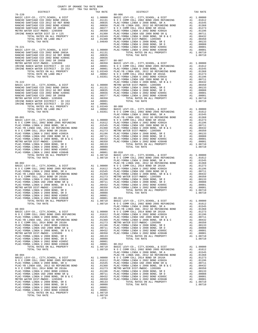| COUNTY OF ORANGE TAX RATE BOOK<br>2016-2017 TRA TAX RATES |                                                                                                                                                                                                                               |          |
|-----------------------------------------------------------|-------------------------------------------------------------------------------------------------------------------------------------------------------------------------------------------------------------------------------|----------|
| DISTRICT                                                  | TAX RATES TAX RATE<br>PISTRICT<br>PISTRICT<br>$80 - 006$                                                                                                                                                                      | TAX RATE |
|                                                           |                                                                                                                                                                                                                               |          |
|                                                           |                                                                                                                                                                                                                               |          |
|                                                           |                                                                                                                                                                                                                               |          |
|                                                           |                                                                                                                                                                                                                               |          |
|                                                           |                                                                                                                                                                                                                               |          |
|                                                           |                                                                                                                                                                                                                               |          |
|                                                           |                                                                                                                                                                                                                               |          |
|                                                           |                                                                                                                                                                                                                               |          |
|                                                           |                                                                                                                                                                                                                               |          |
|                                                           |                                                                                                                                                                                                                               |          |
|                                                           |                                                                                                                                                                                                                               |          |
|                                                           |                                                                                                                                                                                                                               |          |
|                                                           |                                                                                                                                                                                                                               |          |
|                                                           |                                                                                                                                                                                                                               |          |
|                                                           |                                                                                                                                                                                                                               |          |
|                                                           |                                                                                                                                                                                                                               |          |
|                                                           |                                                                                                                                                                                                                               |          |
|                                                           |                                                                                                                                                                                                                               |          |
|                                                           |                                                                                                                                                                                                                               |          |
|                                                           |                                                                                                                                                                                                                               |          |
|                                                           |                                                                                                                                                                                                                               |          |
|                                                           |                                                                                                                                                                                                                               |          |
|                                                           |                                                                                                                                                                                                                               |          |
|                                                           |                                                                                                                                                                                                                               |          |
|                                                           |                                                                                                                                                                                                                               |          |
|                                                           |                                                                                                                                                                                                                               |          |
|                                                           |                                                                                                                                                                                                                               |          |
|                                                           |                                                                                                                                                                                                                               |          |
|                                                           |                                                                                                                                                                                                                               |          |
|                                                           |                                                                                                                                                                                                                               |          |
|                                                           |                                                                                                                                                                                                                               |          |
|                                                           |                                                                                                                                                                                                                               |          |
|                                                           |                                                                                                                                                                                                                               |          |
|                                                           |                                                                                                                                                                                                                               |          |
|                                                           |                                                                                                                                                                                                                               |          |
|                                                           |                                                                                                                                                                                                                               |          |
|                                                           |                                                                                                                                                                                                                               |          |
|                                                           |                                                                                                                                                                                                                               |          |
|                                                           |                                                                                                                                                                                                                               |          |
|                                                           |                                                                                                                                                                                                                               |          |
|                                                           |                                                                                                                                                                                                                               |          |
|                                                           |                                                                                                                                                                                                                               |          |
|                                                           |                                                                                                                                                                                                                               |          |
|                                                           |                                                                                                                                                                                                                               |          |
|                                                           |                                                                                                                                                                                                                               |          |
|                                                           |                                                                                                                                                                                                                               |          |
|                                                           |                                                                                                                                                                                                                               |          |
|                                                           |                                                                                                                                                                                                                               |          |
|                                                           |                                                                                                                                                                                                                               |          |
|                                                           |                                                                                                                                                                                                                               |          |
|                                                           |                                                                                                                                                                                                                               |          |
|                                                           |                                                                                                                                                                                                                               |          |
|                                                           |                                                                                                                                                                                                                               |          |
|                                                           |                                                                                                                                                                                                                               |          |
|                                                           |                                                                                                                                                                                                                               |          |
|                                                           |                                                                                                                                                                                                                               |          |
|                                                           |                                                                                                                                                                                                                               |          |
|                                                           |                                                                                                                                                                                                                               |          |
|                                                           |                                                                                                                                                                                                                               |          |
|                                                           |                                                                                                                                                                                                                               |          |
|                                                           |                                                                                                                                                                                                                               |          |
|                                                           |                                                                                                                                                                                                                               |          |
|                                                           |                                                                                                                                                                                                                               |          |
|                                                           |                                                                                                                                                                                                                               |          |
|                                                           |                                                                                                                                                                                                                               |          |
|                                                           | 36760 MWHz = 2014 1000 MWHz = 11000 MWHz = 12000 MWHz = 12000 MWHz = 12000 MWHz = 12000 MWHz = 12000 MWHz = 12000 MWHz = 12000 MWHz = 12000 MWHz = 12000 MWHz = 12000 MWHz = 12000 MWHz = 12000 MWHz = 12000 MWHz = 12000 MWH |          |

-273-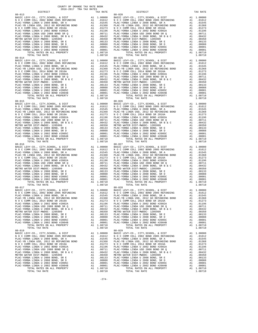| COUNTY OF ORANGE TAX RATE BOOK<br>$2016-2017\quad\text{TRA TAX RATES}\label{eq:2016-2017}$ DISTRICT |              |                                                                                                                                                                                                                                                                                                                                                                                   |                           |
|-----------------------------------------------------------------------------------------------------|--------------|-----------------------------------------------------------------------------------------------------------------------------------------------------------------------------------------------------------------------------------------------------------------------------------------------------------------------------------------------------------------------------------|---------------------------|
|                                                                                                     | TAX RATE     | DISTRICT                                                                                                                                                                                                                                                                                                                                                                          | TAX RATE                  |
| $80 - 013$                                                                                          |              | $80 - 020$                                                                                                                                                                                                                                                                                                                                                                        |                           |
|                                                                                                     |              |                                                                                                                                                                                                                                                                                                                                                                                   |                           |
|                                                                                                     |              |                                                                                                                                                                                                                                                                                                                                                                                   |                           |
|                                                                                                     |              |                                                                                                                                                                                                                                                                                                                                                                                   |                           |
|                                                                                                     |              |                                                                                                                                                                                                                                                                                                                                                                                   |                           |
|                                                                                                     |              |                                                                                                                                                                                                                                                                                                                                                                                   |                           |
|                                                                                                     |              |                                                                                                                                                                                                                                                                                                                                                                                   |                           |
|                                                                                                     |              |                                                                                                                                                                                                                                                                                                                                                                                   |                           |
|                                                                                                     |              |                                                                                                                                                                                                                                                                                                                                                                                   |                           |
|                                                                                                     |              |                                                                                                                                                                                                                                                                                                                                                                                   |                           |
|                                                                                                     |              |                                                                                                                                                                                                                                                                                                                                                                                   |                           |
|                                                                                                     |              |                                                                                                                                                                                                                                                                                                                                                                                   |                           |
|                                                                                                     |              |                                                                                                                                                                                                                                                                                                                                                                                   |                           |
|                                                                                                     |              |                                                                                                                                                                                                                                                                                                                                                                                   |                           |
|                                                                                                     |              |                                                                                                                                                                                                                                                                                                                                                                                   |                           |
|                                                                                                     |              |                                                                                                                                                                                                                                                                                                                                                                                   |                           |
|                                                                                                     |              |                                                                                                                                                                                                                                                                                                                                                                                   |                           |
|                                                                                                     |              |                                                                                                                                                                                                                                                                                                                                                                                   |                           |
|                                                                                                     |              |                                                                                                                                                                                                                                                                                                                                                                                   |                           |
|                                                                                                     |              |                                                                                                                                                                                                                                                                                                                                                                                   |                           |
|                                                                                                     |              |                                                                                                                                                                                                                                                                                                                                                                                   |                           |
|                                                                                                     |              |                                                                                                                                                                                                                                                                                                                                                                                   |                           |
|                                                                                                     |              |                                                                                                                                                                                                                                                                                                                                                                                   |                           |
|                                                                                                     |              |                                                                                                                                                                                                                                                                                                                                                                                   |                           |
|                                                                                                     |              |                                                                                                                                                                                                                                                                                                                                                                                   |                           |
|                                                                                                     |              |                                                                                                                                                                                                                                                                                                                                                                                   |                           |
|                                                                                                     |              |                                                                                                                                                                                                                                                                                                                                                                                   |                           |
|                                                                                                     |              |                                                                                                                                                                                                                                                                                                                                                                                   |                           |
|                                                                                                     |              |                                                                                                                                                                                                                                                                                                                                                                                   |                           |
|                                                                                                     |              |                                                                                                                                                                                                                                                                                                                                                                                   |                           |
|                                                                                                     |              |                                                                                                                                                                                                                                                                                                                                                                                   |                           |
|                                                                                                     |              |                                                                                                                                                                                                                                                                                                                                                                                   |                           |
|                                                                                                     |              |                                                                                                                                                                                                                                                                                                                                                                                   |                           |
|                                                                                                     |              |                                                                                                                                                                                                                                                                                                                                                                                   |                           |
|                                                                                                     |              |                                                                                                                                                                                                                                                                                                                                                                                   |                           |
|                                                                                                     |              |                                                                                                                                                                                                                                                                                                                                                                                   |                           |
|                                                                                                     |              |                                                                                                                                                                                                                                                                                                                                                                                   |                           |
|                                                                                                     |              |                                                                                                                                                                                                                                                                                                                                                                                   |                           |
|                                                                                                     |              |                                                                                                                                                                                                                                                                                                                                                                                   |                           |
|                                                                                                     |              |                                                                                                                                                                                                                                                                                                                                                                                   |                           |
|                                                                                                     |              |                                                                                                                                                                                                                                                                                                                                                                                   |                           |
|                                                                                                     |              |                                                                                                                                                                                                                                                                                                                                                                                   |                           |
|                                                                                                     |              |                                                                                                                                                                                                                                                                                                                                                                                   |                           |
|                                                                                                     |              |                                                                                                                                                                                                                                                                                                                                                                                   |                           |
|                                                                                                     |              |                                                                                                                                                                                                                                                                                                                                                                                   |                           |
|                                                                                                     |              |                                                                                                                                                                                                                                                                                                                                                                                   |                           |
|                                                                                                     |              |                                                                                                                                                                                                                                                                                                                                                                                   |                           |
|                                                                                                     |              |                                                                                                                                                                                                                                                                                                                                                                                   |                           |
|                                                                                                     |              |                                                                                                                                                                                                                                                                                                                                                                                   |                           |
|                                                                                                     |              | 80-017<br>BASIC LEVY-CO., CITY, SCHOOL, & DIST<br>NO C COMM COLL 2002 BOND 2005 REFUNDING A1 0.0000 BASIC LEVY-CO., CITY, SCHOOL, & DIST A1 1.00000<br>NO C COMM COLL 2002 BOND 2005 REFUNDING A1 0.01612 NO C COMM COLL 2002 BOND                                                                                                                                                |                           |
|                                                                                                     |              |                                                                                                                                                                                                                                                                                                                                                                                   |                           |
| PLAC-YORBA LINDA U 2008 BOND, SR A                                                                  | A1<br>.01545 | PLAC-YORBA LINDA U 2008 BOND, SR A                                                                                                                                                                                                                                                                                                                                                | A1<br>.01545              |
|                                                                                                     |              | $[{\tt PLAC-YORBA\text{ LINDA U 2008 BOND SRE A 1.01545 }\over{PLAC-YORBA\text{ LINDA U 2008 BOND SRE B 2015 }\over{PLAC-YORBA\text{ LINDA U 2008 BOND SRE B 2016 A 2008 BOND SRE B 2016 B 2017 }\over{PLAC-YORBA\text{ LINDA U 2008 BOND SRE B 2016 B 2017 }\over{PLAC-YORBA\text{ LINDA U 2008 BOND SRE B 2016 A 2008 BOND SRE B 2016 B 2017 }\over{PLAC-YORBA\text{ LINDA U 2$ |                           |
|                                                                                                     |              |                                                                                                                                                                                                                                                                                                                                                                                   |                           |
|                                                                                                     |              |                                                                                                                                                                                                                                                                                                                                                                                   |                           |
|                                                                                                     |              |                                                                                                                                                                                                                                                                                                                                                                                   |                           |
|                                                                                                     |              |                                                                                                                                                                                                                                                                                                                                                                                   |                           |
|                                                                                                     |              |                                                                                                                                                                                                                                                                                                                                                                                   |                           |
|                                                                                                     |              |                                                                                                                                                                                                                                                                                                                                                                                   |                           |
|                                                                                                     |              |                                                                                                                                                                                                                                                                                                                                                                                   |                           |
| TOTAL TAX RATE<br>$80 - 019$                                                                        | 1.08710      | TOTAL TAX RATE<br>$80 - 029$                                                                                                                                                                                                                                                                                                                                                      | 1.08710                   |
|                                                                                                     |              |                                                                                                                                                                                                                                                                                                                                                                                   | A1 1,00000                |
|                                                                                                     |              | BASIC LEVY-CO., CITY,SCHOOL, & DIST<br>N O C COMM COLL 2002 BOND 2005 REFUNDING                                                                                                                                                                                                                                                                                                   | A1 .01612                 |
|                                                                                                     | A1 .01545    | PLAC-YORBA LINDA U 2008 BOND, SR A                                                                                                                                                                                                                                                                                                                                                | A1 .01545<br>A1 .01368    |
|                                                                                                     |              |                                                                                                                                                                                                                                                                                                                                                                                   | A1 .01273                 |
|                                                                                                     |              |                                                                                                                                                                                                                                                                                                                                                                                   | A1 .01196                 |
|                                                                                                     |              |                                                                                                                                                                                                                                                                                                                                                                                   | A1 .00711<br>A1 .00432    |
|                                                                                                     |              |                                                                                                                                                                                                                                                                                                                                                                                   | A1 .00350                 |
|                                                                                                     |              |                                                                                                                                                                                                                                                                                                                                                                                   | A1 .00133                 |
|                                                                                                     |              |                                                                                                                                                                                                                                                                                                                                                                                   | A1<br>.00088<br>A1 .00001 |
|                                                                                                     |              |                                                                                                                                                                                                                                                                                                                                                                                   | A1 .00001                 |
|                                                                                                     |              |                                                                                                                                                                                                                                                                                                                                                                                   | A1 1.08710                |
| TOTAL TAX RATE                                                                                      | 1.08710      | TOTAL TAX RATE                                                                                                                                                                                                                                                                                                                                                                    | 1.08710                   |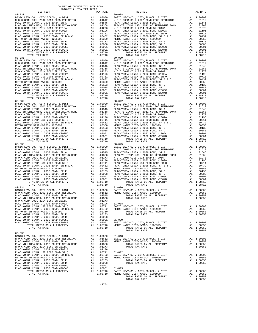| COUNTY OF ORANGE TAX RATE BOOK<br>$2016-2017\quad\text{TRA RATES}\label{eq:2016-2017}$ DISTRICT                                                                                                                                                                                                                                                                                                                   |          |                        |          |
|-------------------------------------------------------------------------------------------------------------------------------------------------------------------------------------------------------------------------------------------------------------------------------------------------------------------------------------------------------------------------------------------------------------------|----------|------------------------|----------|
| $80 - 030$                                                                                                                                                                                                                                                                                                                                                                                                        | TAX RATE | DISTRICT<br>$80 - 038$ | TAX RATE |
|                                                                                                                                                                                                                                                                                                                                                                                                                   |          |                        |          |
|                                                                                                                                                                                                                                                                                                                                                                                                                   |          |                        |          |
|                                                                                                                                                                                                                                                                                                                                                                                                                   |          |                        |          |
|                                                                                                                                                                                                                                                                                                                                                                                                                   |          |                        |          |
|                                                                                                                                                                                                                                                                                                                                                                                                                   |          |                        |          |
|                                                                                                                                                                                                                                                                                                                                                                                                                   |          |                        |          |
|                                                                                                                                                                                                                                                                                                                                                                                                                   |          |                        |          |
|                                                                                                                                                                                                                                                                                                                                                                                                                   |          |                        |          |
|                                                                                                                                                                                                                                                                                                                                                                                                                   |          |                        |          |
|                                                                                                                                                                                                                                                                                                                                                                                                                   |          |                        |          |
|                                                                                                                                                                                                                                                                                                                                                                                                                   |          |                        |          |
|                                                                                                                                                                                                                                                                                                                                                                                                                   |          |                        |          |
|                                                                                                                                                                                                                                                                                                                                                                                                                   |          |                        |          |
|                                                                                                                                                                                                                                                                                                                                                                                                                   |          |                        |          |
|                                                                                                                                                                                                                                                                                                                                                                                                                   |          |                        |          |
|                                                                                                                                                                                                                                                                                                                                                                                                                   |          |                        |          |
|                                                                                                                                                                                                                                                                                                                                                                                                                   |          |                        |          |
|                                                                                                                                                                                                                                                                                                                                                                                                                   |          |                        |          |
|                                                                                                                                                                                                                                                                                                                                                                                                                   |          |                        |          |
|                                                                                                                                                                                                                                                                                                                                                                                                                   |          |                        |          |
|                                                                                                                                                                                                                                                                                                                                                                                                                   |          |                        |          |
|                                                                                                                                                                                                                                                                                                                                                                                                                   |          |                        |          |
|                                                                                                                                                                                                                                                                                                                                                                                                                   |          |                        |          |
|                                                                                                                                                                                                                                                                                                                                                                                                                   |          |                        |          |
|                                                                                                                                                                                                                                                                                                                                                                                                                   |          |                        |          |
|                                                                                                                                                                                                                                                                                                                                                                                                                   |          |                        |          |
|                                                                                                                                                                                                                                                                                                                                                                                                                   |          |                        |          |
|                                                                                                                                                                                                                                                                                                                                                                                                                   |          |                        |          |
|                                                                                                                                                                                                                                                                                                                                                                                                                   |          |                        |          |
|                                                                                                                                                                                                                                                                                                                                                                                                                   |          |                        |          |
|                                                                                                                                                                                                                                                                                                                                                                                                                   |          |                        |          |
|                                                                                                                                                                                                                                                                                                                                                                                                                   |          |                        |          |
| $\begin{array}{cccccccc} \texttt{80-034} & \texttt{30-034} & \texttt{81-006} & \texttt{81-006} & \texttt{81-006} & \texttt{81-006} & \texttt{81-007} & \texttt{81-008} & \texttt{81-008} & \texttt{81-008} & \texttt{81-008} & \texttt{81-008} & \texttt{81-008} & \texttt{81-008} & \texttt{81-008} & \texttt{81-008} & \texttt{81-008} & \texttt{81-0$                                                          |          |                        |          |
|                                                                                                                                                                                                                                                                                                                                                                                                                   |          |                        |          |
|                                                                                                                                                                                                                                                                                                                                                                                                                   |          |                        |          |
|                                                                                                                                                                                                                                                                                                                                                                                                                   |          |                        |          |
|                                                                                                                                                                                                                                                                                                                                                                                                                   |          |                        |          |
|                                                                                                                                                                                                                                                                                                                                                                                                                   |          |                        |          |
|                                                                                                                                                                                                                                                                                                                                                                                                                   |          |                        |          |
|                                                                                                                                                                                                                                                                                                                                                                                                                   |          |                        |          |
| $\begin{tabular}{l c c c c} \hline \texttt{RIST-MFDOC} & \texttt{ECVY-CO}, & \texttt{CUTY}, & \texttt{SCHODM} & \texttt{COU-M} & \texttt{COU} & \texttt{COU} & \texttt{COU} & \texttt{COU} & \texttt{COU} \\ \hline \texttt{FIAC-YOERA} & \texttt{LINDA} & \texttt{USD} & \texttt{7OZ} & \texttt{BODB} & \texttt{DSD} & \texttt{R2} & \texttt{R2} & \texttt{15} \\ \hline \texttt{FIAC-YOERA} & \texttt{LINDA} &$ |          |                        |          |
|                                                                                                                                                                                                                                                                                                                                                                                                                   |          |                        |          |
|                                                                                                                                                                                                                                                                                                                                                                                                                   |          |                        |          |
|                                                                                                                                                                                                                                                                                                                                                                                                                   |          |                        |          |
|                                                                                                                                                                                                                                                                                                                                                                                                                   |          |                        |          |
|                                                                                                                                                                                                                                                                                                                                                                                                                   |          |                        |          |
|                                                                                                                                                                                                                                                                                                                                                                                                                   |          |                        |          |
|                                                                                                                                                                                                                                                                                                                                                                                                                   |          |                        |          |
|                                                                                                                                                                                                                                                                                                                                                                                                                   |          |                        |          |
|                                                                                                                                                                                                                                                                                                                                                                                                                   |          |                        | 1.00350  |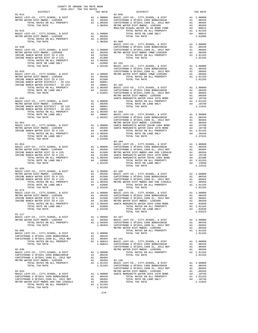|            | 2016-2017 TRA TAX RATES | $\begin{tabular}{l c c c c c} \multicolumn{1}{c}{ \begin{tabular}{c} $81-014$ & $max RATE$ \\ \rule{0.2cm}{0.1cm} \multicolumn{1}{c}{ \begin{tabular}{c} $81-014$ & $max RATE$ \\ \rule{0.2cm}{0.1cm} \multicolumn{1}{c}{ \begin{tabular}{c} $81-016$ \\ \rule{0.2cm}{0.1cm} \multicolumn{1}{c}{ \begin{tabular}{c} $81-015$ \\ \rule{0.2cm}{0.1cm} \multicolumn{1}{c}{ \begin{tabular}{c} $81-015$ \\ \rule{0.2$     |  |
|------------|-------------------------|-----------------------------------------------------------------------------------------------------------------------------------------------------------------------------------------------------------------------------------------------------------------------------------------------------------------------------------------------------------------------------------------------------------------------|--|
|            |                         |                                                                                                                                                                                                                                                                                                                                                                                                                       |  |
|            |                         |                                                                                                                                                                                                                                                                                                                                                                                                                       |  |
|            |                         |                                                                                                                                                                                                                                                                                                                                                                                                                       |  |
|            |                         |                                                                                                                                                                                                                                                                                                                                                                                                                       |  |
|            |                         |                                                                                                                                                                                                                                                                                                                                                                                                                       |  |
|            |                         |                                                                                                                                                                                                                                                                                                                                                                                                                       |  |
|            |                         |                                                                                                                                                                                                                                                                                                                                                                                                                       |  |
|            |                         |                                                                                                                                                                                                                                                                                                                                                                                                                       |  |
|            |                         |                                                                                                                                                                                                                                                                                                                                                                                                                       |  |
|            |                         |                                                                                                                                                                                                                                                                                                                                                                                                                       |  |
|            |                         |                                                                                                                                                                                                                                                                                                                                                                                                                       |  |
|            |                         |                                                                                                                                                                                                                                                                                                                                                                                                                       |  |
|            |                         |                                                                                                                                                                                                                                                                                                                                                                                                                       |  |
|            |                         |                                                                                                                                                                                                                                                                                                                                                                                                                       |  |
|            |                         |                                                                                                                                                                                                                                                                                                                                                                                                                       |  |
|            |                         |                                                                                                                                                                                                                                                                                                                                                                                                                       |  |
|            |                         |                                                                                                                                                                                                                                                                                                                                                                                                                       |  |
|            |                         |                                                                                                                                                                                                                                                                                                                                                                                                                       |  |
|            |                         |                                                                                                                                                                                                                                                                                                                                                                                                                       |  |
|            |                         |                                                                                                                                                                                                                                                                                                                                                                                                                       |  |
|            |                         |                                                                                                                                                                                                                                                                                                                                                                                                                       |  |
|            |                         |                                                                                                                                                                                                                                                                                                                                                                                                                       |  |
|            |                         |                                                                                                                                                                                                                                                                                                                                                                                                                       |  |
|            |                         |                                                                                                                                                                                                                                                                                                                                                                                                                       |  |
|            |                         |                                                                                                                                                                                                                                                                                                                                                                                                                       |  |
|            |                         |                                                                                                                                                                                                                                                                                                                                                                                                                       |  |
|            |                         |                                                                                                                                                                                                                                                                                                                                                                                                                       |  |
|            |                         |                                                                                                                                                                                                                                                                                                                                                                                                                       |  |
|            |                         |                                                                                                                                                                                                                                                                                                                                                                                                                       |  |
|            |                         |                                                                                                                                                                                                                                                                                                                                                                                                                       |  |
|            |                         |                                                                                                                                                                                                                                                                                                                                                                                                                       |  |
|            |                         |                                                                                                                                                                                                                                                                                                                                                                                                                       |  |
|            |                         |                                                                                                                                                                                                                                                                                                                                                                                                                       |  |
|            |                         |                                                                                                                                                                                                                                                                                                                                                                                                                       |  |
|            |                         |                                                                                                                                                                                                                                                                                                                                                                                                                       |  |
|            |                         |                                                                                                                                                                                                                                                                                                                                                                                                                       |  |
|            |                         |                                                                                                                                                                                                                                                                                                                                                                                                                       |  |
|            |                         |                                                                                                                                                                                                                                                                                                                                                                                                                       |  |
|            |                         |                                                                                                                                                                                                                                                                                                                                                                                                                       |  |
|            |                         | $\begin{tabular}{l c c c c c} \hline \text{TOTAL RATE} & \text{N}} & \text{RATE} & \text{RATE} & \text{RATE} \\ \hline \text{B1--054} & \text{B2--04} & \text{B2--04} & \text{B2--04} & \text{B2--04} & \text{B2--04} & \text{B2--04} \\ \hline \text{BASE} & \text{LEVY} - \text{CO} & \text{CITY}, \text{SCHOOL}, & \& \text{DIST} & \text{A1} & 1.00000 \\ \hline \text{METR} & \text{MRTR} & \text{DSTR} & \text$ |  |
|            |                         |                                                                                                                                                                                                                                                                                                                                                                                                                       |  |
|            |                         |                                                                                                                                                                                                                                                                                                                                                                                                                       |  |
|            |                         |                                                                                                                                                                                                                                                                                                                                                                                                                       |  |
|            |                         |                                                                                                                                                                                                                                                                                                                                                                                                                       |  |
|            |                         |                                                                                                                                                                                                                                                                                                                                                                                                                       |  |
|            |                         |                                                                                                                                                                                                                                                                                                                                                                                                                       |  |
|            |                         |                                                                                                                                                                                                                                                                                                                                                                                                                       |  |
|            |                         |                                                                                                                                                                                                                                                                                                                                                                                                                       |  |
|            |                         |                                                                                                                                                                                                                                                                                                                                                                                                                       |  |
|            |                         |                                                                                                                                                                                                                                                                                                                                                                                                                       |  |
|            |                         |                                                                                                                                                                                                                                                                                                                                                                                                                       |  |
| $81 - 117$ |                         | $\begin{array}{cccccc} 81-117 & 1774L & 174R & 1878 & 102423 & 102424 & 102424 & 102424 & 102424 & 102424 & 102424 & 102424 & 102424 & 102424 & 102424 & 102424 & 102424 & 102424 & 102424 & 102424 & 102424 & 102424 & 102424 & 102424 & 102424 & 102424 & 102424 & $                                                                                                                                                |  |
|            |                         |                                                                                                                                                                                                                                                                                                                                                                                                                       |  |
|            |                         |                                                                                                                                                                                                                                                                                                                                                                                                                       |  |
|            |                         |                                                                                                                                                                                                                                                                                                                                                                                                                       |  |
|            |                         |                                                                                                                                                                                                                                                                                                                                                                                                                       |  |
|            |                         |                                                                                                                                                                                                                                                                                                                                                                                                                       |  |
|            |                         |                                                                                                                                                                                                                                                                                                                                                                                                                       |  |
|            |                         |                                                                                                                                                                                                                                                                                                                                                                                                                       |  |
|            |                         |                                                                                                                                                                                                                                                                                                                                                                                                                       |  |
|            |                         |                                                                                                                                                                                                                                                                                                                                                                                                                       |  |
|            |                         |                                                                                                                                                                                                                                                                                                                                                                                                                       |  |
|            |                         |                                                                                                                                                                                                                                                                                                                                                                                                                       |  |
|            |                         |                                                                                                                                                                                                                                                                                                                                                                                                                       |  |
|            |                         |                                                                                                                                                                                                                                                                                                                                                                                                                       |  |
|            |                         |                                                                                                                                                                                                                                                                                                                                                                                                                       |  |
|            |                         |                                                                                                                                                                                                                                                                                                                                                                                                                       |  |
|            |                         |                                                                                                                                                                                                                                                                                                                                                                                                                       |  |
|            |                         |                                                                                                                                                                                                                                                                                                                                                                                                                       |  |
|            |                         |                                                                                                                                                                                                                                                                                                                                                                                                                       |  |
|            |                         |                                                                                                                                                                                                                                                                                                                                                                                                                       |  |
|            |                         |                                                                                                                                                                                                                                                                                                                                                                                                                       |  |

COUNTY OF ORANGE TAX RATE BOOK

-276-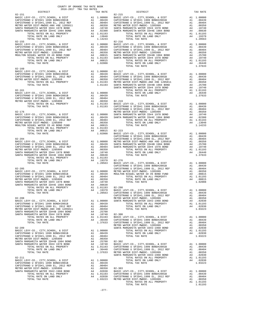| COUNTY OF ORANGE TAX RATE BOOK      |          |                                                                                                                                                                                                                                                                                                                                                                                                                      |          |
|-------------------------------------|----------|----------------------------------------------------------------------------------------------------------------------------------------------------------------------------------------------------------------------------------------------------------------------------------------------------------------------------------------------------------------------------------------------------------------------|----------|
| 2016-2017 TRA TAX RATES<br>DISTRICT | TAX RATE | DISTRICT                                                                                                                                                                                                                                                                                                                                                                                                             | TAX RATE |
| $82 - 151$                          |          | $82 - 215$                                                                                                                                                                                                                                                                                                                                                                                                           |          |
|                                     |          |                                                                                                                                                                                                                                                                                                                                                                                                                      |          |
|                                     |          |                                                                                                                                                                                                                                                                                                                                                                                                                      |          |
|                                     |          |                                                                                                                                                                                                                                                                                                                                                                                                                      |          |
|                                     |          |                                                                                                                                                                                                                                                                                                                                                                                                                      |          |
|                                     |          |                                                                                                                                                                                                                                                                                                                                                                                                                      |          |
|                                     |          |                                                                                                                                                                                                                                                                                                                                                                                                                      |          |
| $82 - 155$                          |          | $82 - 216$                                                                                                                                                                                                                                                                                                                                                                                                           |          |
|                                     |          |                                                                                                                                                                                                                                                                                                                                                                                                                      |          |
|                                     |          |                                                                                                                                                                                                                                                                                                                                                                                                                      |          |
|                                     |          |                                                                                                                                                                                                                                                                                                                                                                                                                      |          |
|                                     |          |                                                                                                                                                                                                                                                                                                                                                                                                                      |          |
|                                     |          |                                                                                                                                                                                                                                                                                                                                                                                                                      |          |
| $82 - 160$                          |          |                                                                                                                                                                                                                                                                                                                                                                                                                      |          |
|                                     |          |                                                                                                                                                                                                                                                                                                                                                                                                                      |          |
|                                     |          |                                                                                                                                                                                                                                                                                                                                                                                                                      |          |
|                                     |          |                                                                                                                                                                                                                                                                                                                                                                                                                      |          |
|                                     |          |                                                                                                                                                                                                                                                                                                                                                                                                                      |          |
|                                     |          |                                                                                                                                                                                                                                                                                                                                                                                                                      |          |
|                                     |          |                                                                                                                                                                                                                                                                                                                                                                                                                      |          |
|                                     |          |                                                                                                                                                                                                                                                                                                                                                                                                                      |          |
|                                     |          |                                                                                                                                                                                                                                                                                                                                                                                                                      |          |
|                                     |          |                                                                                                                                                                                                                                                                                                                                                                                                                      |          |
|                                     |          |                                                                                                                                                                                                                                                                                                                                                                                                                      |          |
|                                     |          |                                                                                                                                                                                                                                                                                                                                                                                                                      |          |
|                                     |          |                                                                                                                                                                                                                                                                                                                                                                                                                      |          |
|                                     |          |                                                                                                                                                                                                                                                                                                                                                                                                                      |          |
|                                     |          |                                                                                                                                                                                                                                                                                                                                                                                                                      |          |
|                                     |          |                                                                                                                                                                                                                                                                                                                                                                                                                      |          |
|                                     |          |                                                                                                                                                                                                                                                                                                                                                                                                                      |          |
|                                     |          |                                                                                                                                                                                                                                                                                                                                                                                                                      |          |
|                                     |          |                                                                                                                                                                                                                                                                                                                                                                                                                      |          |
|                                     |          |                                                                                                                                                                                                                                                                                                                                                                                                                      |          |
|                                     |          |                                                                                                                                                                                                                                                                                                                                                                                                                      |          |
|                                     |          |                                                                                                                                                                                                                                                                                                                                                                                                                      |          |
|                                     |          |                                                                                                                                                                                                                                                                                                                                                                                                                      |          |
|                                     |          |                                                                                                                                                                                                                                                                                                                                                                                                                      |          |
|                                     |          |                                                                                                                                                                                                                                                                                                                                                                                                                      |          |
|                                     |          |                                                                                                                                                                                                                                                                                                                                                                                                                      |          |
|                                     |          |                                                                                                                                                                                                                                                                                                                                                                                                                      |          |
|                                     |          |                                                                                                                                                                                                                                                                                                                                                                                                                      |          |
|                                     |          |                                                                                                                                                                                                                                                                                                                                                                                                                      |          |
|                                     |          |                                                                                                                                                                                                                                                                                                                                                                                                                      |          |
|                                     |          |                                                                                                                                                                                                                                                                                                                                                                                                                      |          |
|                                     |          |                                                                                                                                                                                                                                                                                                                                                                                                                      |          |
|                                     |          | $\begin{tabular}{c cccc} \multicolumn{4}{c}{\textbf{0.37633}} & \multicolumn{4}{c}{\textbf{0.4764}} & \multicolumn{4}{c}{\textbf{0.4764}} & \multicolumn{4}{c}{\textbf{0.4765}} & \multicolumn{4}{c}{\textbf{0.4766}} & \multicolumn{4}{c}{\textbf{0.4766}} & \multicolumn{4}{c}{\textbf{0.4766}} & \multicolumn{4}{c}{\textbf{0.4766}} & \multicolumn{4}{c}{\textbf{0.4766}} & \multicolumn{4}{c}{\textbf{0.4766}}$ |          |
|                                     |          |                                                                                                                                                                                                                                                                                                                                                                                                                      |          |
|                                     |          |                                                                                                                                                                                                                                                                                                                                                                                                                      |          |
|                                     |          |                                                                                                                                                                                                                                                                                                                                                                                                                      |          |
|                                     |          |                                                                                                                                                                                                                                                                                                                                                                                                                      |          |
|                                     |          |                                                                                                                                                                                                                                                                                                                                                                                                                      |          |
|                                     |          |                                                                                                                                                                                                                                                                                                                                                                                                                      |          |
|                                     |          |                                                                                                                                                                                                                                                                                                                                                                                                                      |          |
|                                     |          |                                                                                                                                                                                                                                                                                                                                                                                                                      |          |
|                                     |          |                                                                                                                                                                                                                                                                                                                                                                                                                      |          |
|                                     |          |                                                                                                                                                                                                                                                                                                                                                                                                                      |          |
|                                     |          |                                                                                                                                                                                                                                                                                                                                                                                                                      |          |
|                                     |          |                                                                                                                                                                                                                                                                                                                                                                                                                      |          |
|                                     |          |                                                                                                                                                                                                                                                                                                                                                                                                                      |          |
|                                     |          |                                                                                                                                                                                                                                                                                                                                                                                                                      |          |
|                                     |          |                                                                                                                                                                                                                                                                                                                                                                                                                      |          |
|                                     |          |                                                                                                                                                                                                                                                                                                                                                                                                                      |          |
|                                     |          |                                                                                                                                                                                                                                                                                                                                                                                                                      |          |
|                                     |          |                                                                                                                                                                                                                                                                                                                                                                                                                      |          |
|                                     |          |                                                                                                                                                                                                                                                                                                                                                                                                                      |          |
|                                     |          |                                                                                                                                                                                                                                                                                                                                                                                                                      |          |
|                                     |          |                                                                                                                                                                                                                                                                                                                                                                                                                      |          |
|                                     |          |                                                                                                                                                                                                                                                                                                                                                                                                                      |          |
|                                     |          |                                                                                                                                                                                                                                                                                                                                                                                                                      |          |
|                                     |          |                                                                                                                                                                                                                                                                                                                                                                                                                      |          |

- 
- TOTAL TAX RATE THAT A RATE THAT ALLOWS A LOTAL TAX RATE -277-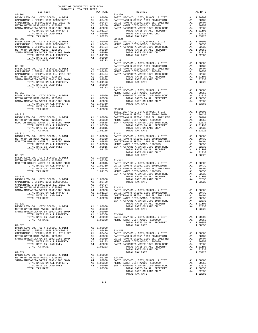| COUNTY OF ORANGE TAX RATE BOOK<br>2016-2017 TRA TAX RATES           |            |            |                                                                                  |
|---------------------------------------------------------------------|------------|------------|----------------------------------------------------------------------------------|
| DISTRICT                                                            |            | TAX RATE   |                                                                                  |
| $82 - 304$                                                          |            |            | $82 - 329$                                                                       |
|                                                                     |            |            |                                                                                  |
|                                                                     |            |            |                                                                                  |
|                                                                     |            |            |                                                                                  |
|                                                                     |            |            |                                                                                  |
|                                                                     |            |            |                                                                                  |
| TOTAL TAX RATE                                                      |            | 1.03223    |                                                                                  |
| $82 - 307$                                                          |            |            | $82 - 330$                                                                       |
|                                                                     |            |            |                                                                                  |
|                                                                     |            |            |                                                                                  |
|                                                                     |            |            |                                                                                  |
|                                                                     |            |            |                                                                                  |
|                                                                     |            |            |                                                                                  |
|                                                                     |            |            |                                                                                  |
| TOTAL TAX RATE                                                      |            |            | 1.03223 82-331                                                                   |
|                                                                     |            |            | BASIC L                                                                          |
|                                                                     |            |            |                                                                                  |
|                                                                     |            |            |                                                                                  |
|                                                                     |            |            |                                                                                  |
|                                                                     |            |            |                                                                                  |
|                                                                     |            |            |                                                                                  |
|                                                                     |            |            |                                                                                  |
|                                                                     |            |            |                                                                                  |
|                                                                     |            |            | BASIC L                                                                          |
| $82 - 312$                                                          |            |            | METRO W                                                                          |
|                                                                     |            |            |                                                                                  |
|                                                                     |            |            |                                                                                  |
|                                                                     |            |            |                                                                                  |
|                                                                     |            |            |                                                                                  |
| TOTAL TAX RATE                                                      |            |            | 1.02380 82-333                                                                   |
|                                                                     |            |            | BASIC L                                                                          |
| 82-313<br>BASIC LEVY-CO., CITY, SCHOOL, & DIST                      |            |            | CAPISTR                                                                          |
|                                                                     |            |            |                                                                                  |
|                                                                     |            |            |                                                                                  |
|                                                                     |            |            |                                                                                  |
|                                                                     |            |            |                                                                                  |
| TOTAL TAX RATE<br>$82 - 314$                                        |            | 1.01165    | 82-341                                                                           |
|                                                                     |            |            |                                                                                  |
|                                                                     |            |            |                                                                                  |
|                                                                     |            |            |                                                                                  |
|                                                                     |            |            |                                                                                  |
|                                                                     |            |            |                                                                                  |
| TOTAL TAX RATE                                                      |            | 1.01165    |                                                                                  |
|                                                                     |            |            |                                                                                  |
|                                                                     |            |            |                                                                                  |
|                                                                     |            |            |                                                                                  |
|                                                                     |            |            |                                                                                  |
|                                                                     |            |            |                                                                                  |
|                                                                     |            |            |                                                                                  |
|                                                                     |            |            | SANTA M                                                                          |
| $82 - 321$                                                          |            |            |                                                                                  |
|                                                                     |            |            |                                                                                  |
|                                                                     |            |            |                                                                                  |
|                                                                     |            |            |                                                                                  |
|                                                                     |            |            |                                                                                  |
| TOTAL RATES ON ALL PROPERTY                                         | A1 1.01193 |            | CAPISTR                                                                          |
| TOTAL RATE ON LAND ONLY                                             |            |            | A4 .02030 CAPISTR                                                                |
| TOTAL TAX RATE                                                      |            |            | 1.03223 METRO W                                                                  |
|                                                                     |            |            | SANTA M                                                                          |
| 82-322<br>BASIC LEVY-CO., CITY, SCHOOL, & DIST                      | A1         | 1.00000    |                                                                                  |
| METRO WATER DIST-MWDOC- 1205999                                     |            | A1 .00350  |                                                                                  |
| SANTA MARGARITA WATER ID#2-1968 BOND                                | A4         | .02030     |                                                                                  |
| TOTAL RATES ON ALL PROPERTY                                         |            | A1 1.00350 | 82-344<br>BASIC L                                                                |
| TOTAL RATE ON LAND ONLY                                             |            | A4 .02030  |                                                                                  |
| TOTAL TAX RATE                                                      |            |            | 1.02380 METRO W                                                                  |
| $82 - 323$                                                          |            |            |                                                                                  |
| BASIC LEVY-CO., CITY, SCHOOL, & DIST                                |            | A1 1.00000 |                                                                                  |
| CAPISTRANO U SFID#1 1999 BOND#2001B                                 |            |            | A1 .00439 82-345                                                                 |
| CAPISTRANO U SFID#1,1999 EL, 2012 REF                               | A1         | .00404     | BASIC L                                                                          |
| METRO WATER DIST-MWDOC- 1205999                                     |            |            |                                                                                  |
| SANTA MARGARITA WATER ID#2-1968 BOND                                |            |            | A1 .00350 CAPISTR<br>A4 .02030 CAPISTR<br>A1 .01193 METRO W<br>A4 .02030 SANTA M |
| TOTAL RATES ON ALL PROPERTY<br>TOTAL RATE ON LAND ONLY              |            |            |                                                                                  |
| TOTAL TAX RATE                                                      |            | 1.03223    |                                                                                  |
|                                                                     |            |            |                                                                                  |
| $82 - 324$                                                          |            |            |                                                                                  |
| BASIC LEVY-CO., CITY, SCHOOL, & DIST                                |            | A1 1.00000 |                                                                                  |
| METRO WATER DIST-MWDOC- 1205999                                     | A4         |            | A1 .00350 82-346                                                                 |
| SANTA MARGARITA WATER ID#2-1968 BOND<br>TOTAL RATES ON ALL PROPERTY |            | .02030     | BASIC L                                                                          |
| TOTAL RATE ON LAND ONLY                                             |            |            | A1 1.00350 METROW<br>A4 .02030 SANTAM                                            |
| TOTAL TAX RATE                                                      |            | 1.02380    |                                                                                  |
|                                                                     |            |            |                                                                                  |

| DISTRICT                                                                                                                                                                                                                                                                                                                                    | AUIUTAUI IRA IAA RAILD<br>TAX RATE | DISTRICT   | TAX RATE |
|---------------------------------------------------------------------------------------------------------------------------------------------------------------------------------------------------------------------------------------------------------------------------------------------------------------------------------------------|------------------------------------|------------|----------|
| $82 - 304$                                                                                                                                                                                                                                                                                                                                  |                                    | $82 - 329$ |          |
|                                                                                                                                                                                                                                                                                                                                             |                                    |            |          |
|                                                                                                                                                                                                                                                                                                                                             |                                    |            |          |
|                                                                                                                                                                                                                                                                                                                                             |                                    |            |          |
|                                                                                                                                                                                                                                                                                                                                             |                                    |            |          |
|                                                                                                                                                                                                                                                                                                                                             |                                    |            |          |
|                                                                                                                                                                                                                                                                                                                                             |                                    |            |          |
|                                                                                                                                                                                                                                                                                                                                             |                                    |            |          |
|                                                                                                                                                                                                                                                                                                                                             |                                    |            |          |
|                                                                                                                                                                                                                                                                                                                                             |                                    |            |          |
|                                                                                                                                                                                                                                                                                                                                             |                                    |            |          |
|                                                                                                                                                                                                                                                                                                                                             |                                    |            |          |
|                                                                                                                                                                                                                                                                                                                                             |                                    |            |          |
|                                                                                                                                                                                                                                                                                                                                             |                                    |            |          |
|                                                                                                                                                                                                                                                                                                                                             |                                    |            |          |
|                                                                                                                                                                                                                                                                                                                                             |                                    |            |          |
|                                                                                                                                                                                                                                                                                                                                             |                                    |            |          |
|                                                                                                                                                                                                                                                                                                                                             |                                    |            |          |
|                                                                                                                                                                                                                                                                                                                                             |                                    |            |          |
|                                                                                                                                                                                                                                                                                                                                             |                                    |            |          |
|                                                                                                                                                                                                                                                                                                                                             |                                    |            |          |
|                                                                                                                                                                                                                                                                                                                                             |                                    |            |          |
|                                                                                                                                                                                                                                                                                                                                             |                                    |            |          |
|                                                                                                                                                                                                                                                                                                                                             |                                    |            |          |
|                                                                                                                                                                                                                                                                                                                                             |                                    |            |          |
|                                                                                                                                                                                                                                                                                                                                             |                                    |            |          |
|                                                                                                                                                                                                                                                                                                                                             |                                    |            |          |
|                                                                                                                                                                                                                                                                                                                                             |                                    |            |          |
|                                                                                                                                                                                                                                                                                                                                             |                                    |            |          |
|                                                                                                                                                                                                                                                                                                                                             |                                    |            |          |
|                                                                                                                                                                                                                                                                                                                                             |                                    |            |          |
|                                                                                                                                                                                                                                                                                                                                             |                                    |            |          |
|                                                                                                                                                                                                                                                                                                                                             |                                    |            |          |
|                                                                                                                                                                                                                                                                                                                                             |                                    |            |          |
|                                                                                                                                                                                                                                                                                                                                             |                                    |            |          |
|                                                                                                                                                                                                                                                                                                                                             |                                    |            |          |
|                                                                                                                                                                                                                                                                                                                                             |                                    |            |          |
|                                                                                                                                                                                                                                                                                                                                             |                                    |            |          |
|                                                                                                                                                                                                                                                                                                                                             |                                    |            |          |
|                                                                                                                                                                                                                                                                                                                                             |                                    |            |          |
|                                                                                                                                                                                                                                                                                                                                             |                                    |            |          |
|                                                                                                                                                                                                                                                                                                                                             |                                    |            |          |
|                                                                                                                                                                                                                                                                                                                                             |                                    |            |          |
|                                                                                                                                                                                                                                                                                                                                             |                                    |            |          |
|                                                                                                                                                                                                                                                                                                                                             |                                    |            |          |
|                                                                                                                                                                                                                                                                                                                                             |                                    |            |          |
|                                                                                                                                                                                                                                                                                                                                             |                                    |            |          |
|                                                                                                                                                                                                                                                                                                                                             |                                    |            |          |
|                                                                                                                                                                                                                                                                                                                                             |                                    |            |          |
|                                                                                                                                                                                                                                                                                                                                             |                                    |            |          |
|                                                                                                                                                                                                                                                                                                                                             |                                    |            |          |
|                                                                                                                                                                                                                                                                                                                                             |                                    |            |          |
|                                                                                                                                                                                                                                                                                                                                             |                                    |            |          |
|                                                                                                                                                                                                                                                                                                                                             |                                    |            |          |
|                                                                                                                                                                                                                                                                                                                                             |                                    |            |          |
|                                                                                                                                                                                                                                                                                                                                             |                                    |            |          |
|                                                                                                                                                                                                                                                                                                                                             |                                    |            |          |
|                                                                                                                                                                                                                                                                                                                                             |                                    |            |          |
|                                                                                                                                                                                                                                                                                                                                             |                                    |            |          |
|                                                                                                                                                                                                                                                                                                                                             |                                    |            |          |
|                                                                                                                                                                                                                                                                                                                                             |                                    |            |          |
|                                                                                                                                                                                                                                                                                                                                             |                                    |            |          |
|                                                                                                                                                                                                                                                                                                                                             |                                    |            |          |
|                                                                                                                                                                                                                                                                                                                                             |                                    |            |          |
|                                                                                                                                                                                                                                                                                                                                             |                                    |            |          |
|                                                                                                                                                                                                                                                                                                                                             |                                    |            |          |
|                                                                                                                                                                                                                                                                                                                                             |                                    |            |          |
|                                                                                                                                                                                                                                                                                                                                             |                                    |            |          |
|                                                                                                                                                                                                                                                                                                                                             |                                    |            |          |
|                                                                                                                                                                                                                                                                                                                                             |                                    |            |          |
|                                                                                                                                                                                                                                                                                                                                             |                                    |            |          |
|                                                                                                                                                                                                                                                                                                                                             |                                    |            |          |
|                                                                                                                                                                                                                                                                                                                                             |                                    |            |          |
|                                                                                                                                                                                                                                                                                                                                             |                                    |            |          |
|                                                                                                                                                                                                                                                                                                                                             |                                    |            |          |
| $\begin{tabular}{lllllllllllllllllll} \multicolumn{4}{c}{\textbf{8ASTC LEVY-CO.}, CITY, SCHOOL, & $\&$ DIST$ & & $\&$1.00000$ & & $\&$3.0000$ & & $\&$3.0000$ & & $\&$5.0000$ & & $\&$5.0000$ & & $\&$6.0000$ & & $\&$7.0000$ & & $\&$8.0000$ & & $\&$8.0000$ & & $\&$9.0000$ & & $\&$9.0000$ & & $\&$9.0000$ & & $\&$1.00000$ & & $\&$1.0$ |                                    |            |          |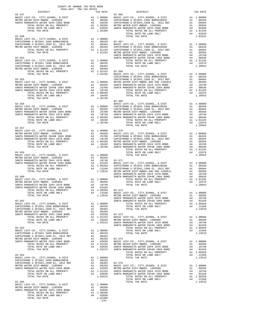| DISTRICT | TAX RATE | DISTRICT                                                                                                                                                                                                                                                                                            | TAX RATE |
|----------|----------|-----------------------------------------------------------------------------------------------------------------------------------------------------------------------------------------------------------------------------------------------------------------------------------------------------|----------|
|          |          |                                                                                                                                                                                                                                                                                                     |          |
|          |          |                                                                                                                                                                                                                                                                                                     |          |
|          |          |                                                                                                                                                                                                                                                                                                     |          |
|          |          |                                                                                                                                                                                                                                                                                                     |          |
|          |          | $82 - 369$                                                                                                                                                                                                                                                                                          |          |
|          |          |                                                                                                                                                                                                                                                                                                     |          |
|          |          |                                                                                                                                                                                                                                                                                                     |          |
|          |          |                                                                                                                                                                                                                                                                                                     |          |
|          |          | $\begin{tabular}{cccccccc} $8-357$ & $00000, $6$ & $10000$ & $270000, $6$ & $10000$ & $270000, $6$ & $10000$ & $270000, $6$ & $10000$ & $270000, $6$ & $10000$ & $270000, $6$ & $10000$ & $270000, $6$ & $10000$ & $270000, $6$ & $10000$ & $270000, $6$ & $10000$ & $270000, $6$ & $10000$ & $270$ |          |
|          |          |                                                                                                                                                                                                                                                                                                     |          |
|          |          |                                                                                                                                                                                                                                                                                                     |          |
|          |          |                                                                                                                                                                                                                                                                                                     |          |
|          |          |                                                                                                                                                                                                                                                                                                     |          |
|          |          |                                                                                                                                                                                                                                                                                                     |          |
|          |          |                                                                                                                                                                                                                                                                                                     |          |
|          |          |                                                                                                                                                                                                                                                                                                     |          |
|          |          |                                                                                                                                                                                                                                                                                                     |          |
|          |          |                                                                                                                                                                                                                                                                                                     |          |
|          | $-279-$  |                                                                                                                                                                                                                                                                                                     |          |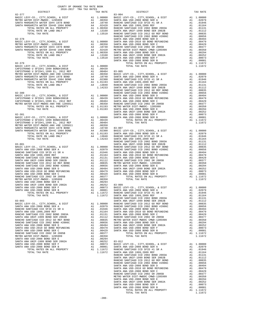| RA TAX KATES<br>TAX RATE DISTRICT<br>$82 - 377$<br>$83 - 004$ | COUNTY OF ORANGE TAX RATE BOOK |  |          |
|---------------------------------------------------------------|--------------------------------|--|----------|
|                                                               |                                |  | TAX RATE |
|                                                               |                                |  |          |
|                                                               |                                |  |          |
|                                                               |                                |  |          |
|                                                               |                                |  |          |
|                                                               |                                |  |          |
|                                                               |                                |  |          |
|                                                               |                                |  |          |
|                                                               |                                |  |          |
|                                                               |                                |  |          |
|                                                               |                                |  |          |
|                                                               |                                |  |          |
|                                                               |                                |  |          |
|                                                               |                                |  |          |
|                                                               |                                |  |          |
|                                                               |                                |  |          |
|                                                               |                                |  |          |
|                                                               |                                |  |          |
|                                                               |                                |  |          |
|                                                               |                                |  |          |
|                                                               |                                |  |          |
|                                                               |                                |  |          |
|                                                               |                                |  |          |
|                                                               |                                |  |          |
|                                                               |                                |  |          |
|                                                               |                                |  |          |
|                                                               |                                |  |          |
|                                                               |                                |  |          |
|                                                               |                                |  |          |
|                                                               |                                |  |          |
|                                                               |                                |  |          |
|                                                               |                                |  |          |
|                                                               |                                |  |          |
|                                                               |                                |  |          |
|                                                               |                                |  |          |
|                                                               |                                |  |          |
|                                                               |                                |  |          |
|                                                               |                                |  |          |
|                                                               |                                |  |          |
|                                                               |                                |  |          |
|                                                               |                                |  |          |
|                                                               |                                |  |          |
|                                                               |                                |  |          |
|                                                               |                                |  |          |
|                                                               |                                |  |          |
|                                                               |                                |  |          |
|                                                               |                                |  |          |
|                                                               |                                |  |          |
|                                                               |                                |  |          |
|                                                               |                                |  |          |
|                                                               |                                |  |          |
|                                                               |                                |  |          |
|                                                               |                                |  |          |
|                                                               |                                |  |          |
|                                                               |                                |  |          |
|                                                               |                                |  |          |
|                                                               |                                |  |          |
|                                                               |                                |  |          |
|                                                               |                                |  |          |
|                                                               |                                |  |          |

| DISTRICT | ZUID-ZUIT TRA TAX RATES | TAX RATE | DISTRICT                                                                                                                                                                                                                                                              | TAX RATE |
|----------|-------------------------|----------|-----------------------------------------------------------------------------------------------------------------------------------------------------------------------------------------------------------------------------------------------------------------------|----------|
|          |                         |          | $83 - 004$                                                                                                                                                                                                                                                            |          |
|          |                         |          |                                                                                                                                                                                                                                                                       |          |
|          |                         |          |                                                                                                                                                                                                                                                                       |          |
|          |                         |          |                                                                                                                                                                                                                                                                       |          |
|          |                         |          |                                                                                                                                                                                                                                                                       |          |
|          |                         |          |                                                                                                                                                                                                                                                                       |          |
|          |                         |          |                                                                                                                                                                                                                                                                       |          |
|          |                         |          |                                                                                                                                                                                                                                                                       |          |
|          |                         |          |                                                                                                                                                                                                                                                                       |          |
|          |                         |          |                                                                                                                                                                                                                                                                       |          |
|          |                         |          |                                                                                                                                                                                                                                                                       |          |
|          |                         |          |                                                                                                                                                                                                                                                                       |          |
|          |                         |          |                                                                                                                                                                                                                                                                       |          |
|          |                         |          |                                                                                                                                                                                                                                                                       |          |
|          |                         |          |                                                                                                                                                                                                                                                                       |          |
|          |                         |          |                                                                                                                                                                                                                                                                       |          |
|          |                         |          |                                                                                                                                                                                                                                                                       |          |
|          |                         |          |                                                                                                                                                                                                                                                                       |          |
|          |                         |          |                                                                                                                                                                                                                                                                       |          |
|          |                         |          |                                                                                                                                                                                                                                                                       |          |
|          |                         |          |                                                                                                                                                                                                                                                                       |          |
|          |                         |          |                                                                                                                                                                                                                                                                       |          |
|          |                         |          |                                                                                                                                                                                                                                                                       |          |
|          |                         |          |                                                                                                                                                                                                                                                                       |          |
|          |                         |          |                                                                                                                                                                                                                                                                       |          |
|          |                         |          |                                                                                                                                                                                                                                                                       |          |
|          |                         |          |                                                                                                                                                                                                                                                                       |          |
|          |                         |          |                                                                                                                                                                                                                                                                       |          |
|          |                         |          |                                                                                                                                                                                                                                                                       |          |
|          |                         |          |                                                                                                                                                                                                                                                                       |          |
|          |                         |          |                                                                                                                                                                                                                                                                       |          |
|          |                         |          |                                                                                                                                                                                                                                                                       |          |
|          |                         |          |                                                                                                                                                                                                                                                                       |          |
|          |                         |          |                                                                                                                                                                                                                                                                       |          |
|          |                         |          |                                                                                                                                                                                                                                                                       |          |
|          |                         |          |                                                                                                                                                                                                                                                                       |          |
|          |                         |          |                                                                                                                                                                                                                                                                       |          |
|          |                         |          |                                                                                                                                                                                                                                                                       |          |
|          |                         |          |                                                                                                                                                                                                                                                                       |          |
|          |                         |          |                                                                                                                                                                                                                                                                       |          |
|          |                         |          |                                                                                                                                                                                                                                                                       |          |
|          |                         |          |                                                                                                                                                                                                                                                                       |          |
|          |                         |          |                                                                                                                                                                                                                                                                       |          |
|          |                         |          |                                                                                                                                                                                                                                                                       |          |
|          |                         |          |                                                                                                                                                                                                                                                                       |          |
|          |                         |          |                                                                                                                                                                                                                                                                       |          |
|          |                         |          |                                                                                                                                                                                                                                                                       |          |
|          |                         |          |                                                                                                                                                                                                                                                                       |          |
|          |                         |          |                                                                                                                                                                                                                                                                       |          |
|          |                         |          |                                                                                                                                                                                                                                                                       |          |
|          |                         |          |                                                                                                                                                                                                                                                                       |          |
|          |                         |          |                                                                                                                                                                                                                                                                       |          |
|          |                         |          |                                                                                                                                                                                                                                                                       |          |
|          |                         |          |                                                                                                                                                                                                                                                                       |          |
|          |                         |          |                                                                                                                                                                                                                                                                       |          |
|          |                         |          |                                                                                                                                                                                                                                                                       |          |
|          |                         |          |                                                                                                                                                                                                                                                                       |          |
|          |                         |          |                                                                                                                                                                                                                                                                       |          |
|          |                         |          |                                                                                                                                                                                                                                                                       |          |
|          |                         |          |                                                                                                                                                                                                                                                                       |          |
|          |                         |          |                                                                                                                                                                                                                                                                       |          |
|          |                         |          |                                                                                                                                                                                                                                                                       |          |
|          |                         |          |                                                                                                                                                                                                                                                                       |          |
|          |                         |          | $\begin{bmatrix} 0.044 & 0.045 & 0.445 & 0.045 & 0.045 & 0.045 & 0.045 & 0.045 & 0.045 & 0.045 & 0.045 & 0.045 & 0.045 & 0.045 & 0.045 & 0.045 & 0.045 & 0.045 & 0.045 & 0.045 & 0.045 & 0.045 & 0.045 & 0.045 & 0.045 & 0.045 & 0.045 & 0.045 & 0.045 & 0.045 & 0.0$ |          |
|          |                         |          |                                                                                                                                                                                                                                                                       |          |
|          |                         |          |                                                                                                                                                                                                                                                                       |          |
|          |                         |          |                                                                                                                                                                                                                                                                       |          |
|          |                         |          |                                                                                                                                                                                                                                                                       |          |
|          |                         |          |                                                                                                                                                                                                                                                                       |          |
|          |                         |          |                                                                                                                                                                                                                                                                       |          |
|          |                         |          |                                                                                                                                                                                                                                                                       |          |
|          |                         |          |                                                                                                                                                                                                                                                                       |          |
|          |                         |          |                                                                                                                                                                                                                                                                       |          |
|          |                         |          |                                                                                                                                                                                                                                                                       |          |
|          |                         |          |                                                                                                                                                                                                                                                                       |          |
|          |                         |          |                                                                                                                                                                                                                                                                       |          |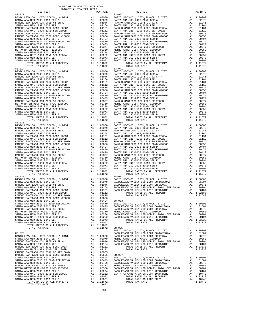| DISTRICT                             |                                                                                                                                                                                                                                                                                                                                                                                            | TAX RATE                                                                                                    |            |
|--------------------------------------|--------------------------------------------------------------------------------------------------------------------------------------------------------------------------------------------------------------------------------------------------------------------------------------------------------------------------------------------------------------------------------------------|-------------------------------------------------------------------------------------------------------------|------------|
| $83 - 013$                           |                                                                                                                                                                                                                                                                                                                                                                                            |                                                                                                             | $83 - 027$ |
| BASIC LEVY-CO., CITY, SCHOOL, & DIST |                                                                                                                                                                                                                                                                                                                                                                                            |                                                                                                             |            |
| SANTA ANA USD-2008 BOND SER A        |                                                                                                                                                                                                                                                                                                                                                                                            |                                                                                                             |            |
| RANCHO SANTIAGO CCD SFID #1 SR A     |                                                                                                                                                                                                                                                                                                                                                                                            |                                                                                                             |            |
| SANTA ANA USD 1999, 2009 REF         |                                                                                                                                                                                                                                                                                                                                                                                            |                                                                                                             |            |
| RANCHO SANTIAGO CCD 2002 BOND 2003A  |                                                                                                                                                                                                                                                                                                                                                                                            |                                                                                                             |            |
| SANTA ANA UNIF-1999 BOND SER 2002B   |                                                                                                                                                                                                                                                                                                                                                                                            |                                                                                                             |            |
| RANCHO SANTIAGO CCD 2012 GO REF BOND |                                                                                                                                                                                                                                                                                                                                                                                            |                                                                                                             |            |
| RANCHO SANTIAGO CCD 2002 BOND #2006C |                                                                                                                                                                                                                                                                                                                                                                                            |                                                                                                             |            |
| SANTA ANA USD-2008 BOND SER D        |                                                                                                                                                                                                                                                                                                                                                                                            |                                                                                                             |            |
| SANTA ANA USD-2010 GO BOND REFUNDING |                                                                                                                                                                                                                                                                                                                                                                                            |                                                                                                             |            |
| SANTA ANA USD-2008 BOND SER C        |                                                                                                                                                                                                                                                                                                                                                                                            |                                                                                                             |            |
| RANCHO SANTIAGO CCD 2002 SR 2005B    |                                                                                                                                                                                                                                                                                                                                                                                            |                                                                                                             |            |
| METRO WATER DIST-MWDOC- 1205999      |                                                                                                                                                                                                                                                                                                                                                                                            |                                                                                                             |            |
| SANTA ANA USD-2008 BOND SER E        |                                                                                                                                                                                                                                                                                                                                                                                            |                                                                                                             |            |
| SANTA ANA UNIF-1999 BOND SER 2002A   |                                                                                                                                                                                                                                                                                                                                                                                            |                                                                                                             |            |
| SANTA ANA USD-2008 BOND SER F        |                                                                                                                                                                                                                                                                                                                                                                                            |                                                                                                             |            |
| SANTA ANA USD-2008 BOND SER B        |                                                                                                                                                                                                                                                                                                                                                                                            |                                                                                                             |            |
| TOTAL RATES ON ALL PROPERTY          | $\begin{tabular}{cc} $\tt num \hspace{0.5cm} mm$ & $\tt 83-027$ \\ \text{Al} & 1.00000 & \text{BASTC L} \\ \text{Al} & 0.02079 & \text{SANTA A} \\ \text{Al} & 0.1946 & \text{RANTA A} \\ \text{Al} & 0.1151 & \text{RANTA A} \\ \text{Al} & 0.1112 & \text{SANTA A} \\ \text{Al} & 0.00855 & \text{RANTA A} \\ \text{Al} & 0.00656 & \text{RANTA A} \\ \text{Al} & 0.00494 & \text{SANTA$ |                                                                                                             |            |
| TOTAL TAX RATE                       | 1.11672<br>A1 1.00000 BASIC L<br>A1 1.00000 BASIC L<br>A1 .02079 SANTA A<br>0.1164 RANCHO<br>A1 .01164 SANTA A<br>A1 .01164 SANTA A<br>A1 .01164 SANTA A<br>A1 .01112 SANTA A<br>A1 .00835 RANCHO<br>A1 .00499 SANTA A<br>A1 .00479 SANTA A<br>A1 .004                                                                                                                                     | 1.11672                                                                                                     |            |
| $83 - 014$                           |                                                                                                                                                                                                                                                                                                                                                                                            |                                                                                                             |            |
| BASIC LEVY-CO., CITY, SCHOOL, & DIST |                                                                                                                                                                                                                                                                                                                                                                                            |                                                                                                             |            |
| SANTA ANA USD-2008 BOND SER A        |                                                                                                                                                                                                                                                                                                                                                                                            |                                                                                                             |            |
| RANCHO SANTIAGO CCD SFID #1 SR A     |                                                                                                                                                                                                                                                                                                                                                                                            |                                                                                                             |            |
| SANTA ANA USD 1999, 2009 REF         |                                                                                                                                                                                                                                                                                                                                                                                            |                                                                                                             |            |
| RANCHO SANTIAGO CCD 2002 BOND 2003A  |                                                                                                                                                                                                                                                                                                                                                                                            |                                                                                                             |            |
| SANTA ANA UNIF-1999 BOND SER 2002B   |                                                                                                                                                                                                                                                                                                                                                                                            |                                                                                                             |            |
| RANCHO SANTIAGO CCD 2012 GO REF BOND |                                                                                                                                                                                                                                                                                                                                                                                            |                                                                                                             |            |
| RANCHO SANTIAGO CCD 2002 BOND #2006C |                                                                                                                                                                                                                                                                                                                                                                                            |                                                                                                             |            |
| SANTA ANA USD-2008 BOND SER D        |                                                                                                                                                                                                                                                                                                                                                                                            |                                                                                                             |            |
| SANTA ANA USD-2010 GO BOND REFUNDING |                                                                                                                                                                                                                                                                                                                                                                                            |                                                                                                             |            |
| SANTA ANA USD-2008 BOND SER C        |                                                                                                                                                                                                                                                                                                                                                                                            |                                                                                                             |            |
| RANCHO SANTIAGO CCD 2002 SR 2005B    |                                                                                                                                                                                                                                                                                                                                                                                            |                                                                                                             |            |
| METRO WATER DIST-MWDOC CMWD-1205999  |                                                                                                                                                                                                                                                                                                                                                                                            |                                                                                                             |            |
| SANTA ANA USD-2008 BOND SER E        |                                                                                                                                                                                                                                                                                                                                                                                            |                                                                                                             |            |
| SANTA ANA UNIF-1999 BOND SER 2002A   |                                                                                                                                                                                                                                                                                                                                                                                            |                                                                                                             |            |
| SANTA ANA USD-2008 BOND SER F        |                                                                                                                                                                                                                                                                                                                                                                                            |                                                                                                             |            |
| SANTA ANA USD-2008 BOND SER B        |                                                                                                                                                                                                                                                                                                                                                                                            |                                                                                                             |            |
| TOTAL RATES ON ALL PROPERTY          |                                                                                                                                                                                                                                                                                                                                                                                            | A1 1.11672                                                                                                  |            |
| TOTAL TAX RATE                       |                                                                                                                                                                                                                                                                                                                                                                                            | 1.11672                                                                                                     |            |
| $83 - 015$                           |                                                                                                                                                                                                                                                                                                                                                                                            |                                                                                                             | $83 - 058$ |
| BASIC LEVY-CO., CITY, SCHOOL, & DIST |                                                                                                                                                                                                                                                                                                                                                                                            |                                                                                                             |            |
| SANTA ANA USD-2008 BOND SER A        |                                                                                                                                                                                                                                                                                                                                                                                            |                                                                                                             |            |
| RANCHO SANTIAGO CCD SFID #1 SR A     |                                                                                                                                                                                                                                                                                                                                                                                            |                                                                                                             |            |
| SANTA ANA USD 1999, 2009 REF         |                                                                                                                                                                                                                                                                                                                                                                                            |                                                                                                             |            |
| RANCHO SANTIAGO CCD 2002 BOND 2003A  |                                                                                                                                                                                                                                                                                                                                                                                            |                                                                                                             |            |
| SANTA ANA UNIF-1999 BOND SER 2002B   |                                                                                                                                                                                                                                                                                                                                                                                            |                                                                                                             |            |
| RANCHO SANTIAGO CCD 2012 GO REF BOND |                                                                                                                                                                                                                                                                                                                                                                                            |                                                                                                             |            |
| RANCHO SANTIAGO CCD 2002 BOND #2006C |                                                                                                                                                                                                                                                                                                                                                                                            |                                                                                                             |            |
| SANTA ANA USD-2008 BOND SER D        |                                                                                                                                                                                                                                                                                                                                                                                            |                                                                                                             |            |
| SANTA ANA USD-2010 GO BOND REFUNDING |                                                                                                                                                                                                                                                                                                                                                                                            |                                                                                                             |            |
| SANTA ANA USD-2008 BOND SER C        |                                                                                                                                                                                                                                                                                                                                                                                            |                                                                                                             |            |
| RANCHO SANTIAGO CCD 2002 SR 2005B    |                                                                                                                                                                                                                                                                                                                                                                                            |                                                                                                             |            |
| METRO WATER DIST-MWDOC- 1205999      |                                                                                                                                                                                                                                                                                                                                                                                            |                                                                                                             |            |
| SANTA ANA USD-2008 BOND SER E        |                                                                                                                                                                                                                                                                                                                                                                                            |                                                                                                             |            |
| SANTA ANA UNIF-1999 BOND SER 2002A   |                                                                                                                                                                                                                                                                                                                                                                                            |                                                                                                             |            |
| SANTA ANA USD-2008 BOND SER F        |                                                                                                                                                                                                                                                                                                                                                                                            |                                                                                                             |            |
| SANTA ANA USD-2008 BOND SER B        |                                                                                                                                                                                                                                                                                                                                                                                            |                                                                                                             |            |
| TOTAL RATES ON ALL PROPERTY          |                                                                                                                                                                                                                                                                                                                                                                                            | A1 1.11672                                                                                                  |            |
| TOTAL TAX RATE                       |                                                                                                                                                                                                                                                                                                                                                                                            | 1.11672                                                                                                     |            |
| $83 - 021$                           |                                                                                                                                                                                                                                                                                                                                                                                            |                                                                                                             | $88 - 001$ |
| BASIC LEVY-CO., CITY, SCHOOL, & DIST |                                                                                                                                                                                                                                                                                                                                                                                            |                                                                                                             |            |
| SANTA ANA USD-2008 BOND SER A        |                                                                                                                                                                                                                                                                                                                                                                                            |                                                                                                             |            |
| RANCHO SANTIAGO CCD SFID #1 SR A     |                                                                                                                                                                                                                                                                                                                                                                                            |                                                                                                             |            |
| SANTA ANA USD 1999, 2009 REF         |                                                                                                                                                                                                                                                                                                                                                                                            |                                                                                                             |            |
| RANCHO SANTIAGO CCD 2002 BOND 2003A  |                                                                                                                                                                                                                                                                                                                                                                                            | 84 1.00000<br>A1 .02079 SADDLEB<br>A1 .01946 SADDLEB<br>A1 .01164 SADDLEB<br>A1 .01131 SADDLEB<br>A1 .01112 |            |
| SANTA ANA UNIF-1999 BOND SER 2002B   |                                                                                                                                                                                                                                                                                                                                                                                            |                                                                                                             |            |
| RANCHO SANTIAGO CCD 2012 GO REF BOND | A1 .01112<br>A1 .00835<br>A1 .00656                                                                                                                                                                                                                                                                                                                                                        |                                                                                                             |            |
| RANCHO SANTIAGO CCD 2002 BOND #2006C |                                                                                                                                                                                                                                                                                                                                                                                            |                                                                                                             |            |
| SANTA ANA USD-2008 BOND SER D        |                                                                                                                                                                                                                                                                                                                                                                                            |                                                                                                             |            |
| SANTA ANA USD-2010 GO BOND REFUNDING |                                                                                                                                                                                                                                                                                                                                                                                            | A1 .00494 88-003<br>A1 .00479 BASIC L<br>A1 .00429 SADDLEB                                                  |            |
| SANTA ANA USD-2008 BOND SER C        |                                                                                                                                                                                                                                                                                                                                                                                            |                                                                                                             |            |
| RANCHO SANTIAGO CCD 2002 SR 2005B    |                                                                                                                                                                                                                                                                                                                                                                                            |                                                                                                             |            |
| METRO WATER DIST-MWDOC- 1205999      |                                                                                                                                                                                                                                                                                                                                                                                            | SADDLEB<br>A1 .00377 SADDLEB<br>A1 .00350 METROW<br>A1 .00294 SADDLEB<br>100294 SADDLEB                     |            |
| SANTA ANA USD-2008 BOND SER E        |                                                                                                                                                                                                                                                                                                                                                                                            | A1 .00294 SADDLEB<br>A1 .00252 SADDLEB                                                                      |            |
| SANTA ANA UNIF-1999 BOND SER 2002A   |                                                                                                                                                                                                                                                                                                                                                                                            |                                                                                                             |            |
| SANTA ANA USD-2008 BOND SER F        |                                                                                                                                                                                                                                                                                                                                                                                            | A1 .00073                                                                                                   |            |
| SANTA ANA USD-2008 BOND SER B        | A1                                                                                                                                                                                                                                                                                                                                                                                         | .00001                                                                                                      |            |
| TOTAL RATES ON ALL PROPERTY          |                                                                                                                                                                                                                                                                                                                                                                                            | A1 1.11672                                                                                                  |            |
| TOTAL TAX RATE                       |                                                                                                                                                                                                                                                                                                                                                                                            | 1.11672                                                                                                     | $88 - 005$ |
|                                      |                                                                                                                                                                                                                                                                                                                                                                                            |                                                                                                             | BASIC L    |
| $83 - 023$                           |                                                                                                                                                                                                                                                                                                                                                                                            |                                                                                                             | SADDLEB    |
| BASIC LEVY-CO., CITY, SCHOOL, & DIST |                                                                                                                                                                                                                                                                                                                                                                                            |                                                                                                             |            |
| SANTA ANA USD-2008 BOND SER A        |                                                                                                                                                                                                                                                                                                                                                                                            |                                                                                                             |            |
| RANCHO SANTIAGO CCD SFID #1 SR A     |                                                                                                                                                                                                                                                                                                                                                                                            |                                                                                                             |            |
| SANTA ANA USD 1999, 2009 REF         |                                                                                                                                                                                                                                                                                                                                                                                            | A1 1.00000 SADDLEB<br>A1 .02079 METRO W<br>A1 .01946 SADDLEB<br>A1 .01164 SADDLEB                           |            |
| RANCHO SANTIAGO CCD 2002 BOND 2003A  | A1                                                                                                                                                                                                                                                                                                                                                                                         | .01131                                                                                                      |            |
| SANTA ANA UNIF-1999 BOND SER 2002B   | A1                                                                                                                                                                                                                                                                                                                                                                                         | .01112                                                                                                      |            |
| RANCHO SANTIAGO CCD 2012 GO REF BOND |                                                                                                                                                                                                                                                                                                                                                                                            |                                                                                                             |            |
| RANCHO SANTIAGO CCD 2002 BOND #2006C |                                                                                                                                                                                                                                                                                                                                                                                            | A1 .00835<br>A1 .00656                                                                                      |            |
| SANTA ANA USD-2008 BOND SER D        |                                                                                                                                                                                                                                                                                                                                                                                            | A1 .00656 88-007<br>A1 .00494 BASIC L<br>A1 .00479 SADDLEB<br>A1 .00429 SADDLEB                             |            |
| SANTA ANA USD-2010 GO BOND REFUNDING |                                                                                                                                                                                                                                                                                                                                                                                            |                                                                                                             |            |
| SANTA ANA USD-2008 BOND SER C        |                                                                                                                                                                                                                                                                                                                                                                                            |                                                                                                             |            |
| RANCHO SANTIAGO CCD 2002 SR 2005B    |                                                                                                                                                                                                                                                                                                                                                                                            |                                                                                                             |            |
| METRO WATER DIST-MWDOC CMWD-1205999  |                                                                                                                                                                                                                                                                                                                                                                                            | A1 .00377 METRO W<br>A1 .00350 SADDLEB<br>A1 .00294 SADDLEB                                                 |            |
| SANTA ANA USD-2008 BOND SER E        |                                                                                                                                                                                                                                                                                                                                                                                            |                                                                                                             |            |
|                                      |                                                                                                                                                                                                                                                                                                                                                                                            |                                                                                                             |            |

| COUNTY OF ORANGE TAX RATE BOOK<br>$2016-2017\begin{array}{lcl}\text{EXAMPLE} & \text{FAX RATE} \\ \text{DISTRICT} & \text{TRA TAX RATES} \end{array}$ |          |            |          |
|-------------------------------------------------------------------------------------------------------------------------------------------------------|----------|------------|----------|
|                                                                                                                                                       | TAX RATE | DISTRICT   | TAX RATE |
|                                                                                                                                                       |          | $83 - 027$ |          |
|                                                                                                                                                       |          |            |          |
|                                                                                                                                                       |          |            |          |
|                                                                                                                                                       |          |            |          |
|                                                                                                                                                       |          |            |          |
|                                                                                                                                                       |          |            |          |
|                                                                                                                                                       |          |            |          |
|                                                                                                                                                       |          |            |          |
|                                                                                                                                                       |          |            |          |
|                                                                                                                                                       |          |            |          |
|                                                                                                                                                       |          |            |          |
|                                                                                                                                                       |          |            |          |
|                                                                                                                                                       |          |            |          |
|                                                                                                                                                       |          |            |          |
|                                                                                                                                                       |          |            |          |
|                                                                                                                                                       |          |            |          |
|                                                                                                                                                       |          |            |          |
|                                                                                                                                                       |          |            |          |
|                                                                                                                                                       |          |            |          |
|                                                                                                                                                       |          |            |          |
|                                                                                                                                                       |          |            |          |
|                                                                                                                                                       |          |            |          |
|                                                                                                                                                       |          |            |          |
|                                                                                                                                                       |          |            |          |
|                                                                                                                                                       |          |            |          |
|                                                                                                                                                       |          |            |          |
|                                                                                                                                                       |          |            |          |
|                                                                                                                                                       |          |            |          |
|                                                                                                                                                       |          |            |          |
|                                                                                                                                                       |          |            |          |
|                                                                                                                                                       |          |            |          |
|                                                                                                                                                       |          |            |          |
|                                                                                                                                                       |          |            |          |
|                                                                                                                                                       |          |            |          |
|                                                                                                                                                       |          |            |          |
|                                                                                                                                                       |          |            |          |
|                                                                                                                                                       |          |            |          |
|                                                                                                                                                       |          |            |          |
|                                                                                                                                                       |          |            |          |
|                                                                                                                                                       |          |            |          |
|                                                                                                                                                       |          |            |          |
|                                                                                                                                                       |          |            |          |
|                                                                                                                                                       |          |            |          |
|                                                                                                                                                       |          |            |          |
|                                                                                                                                                       |          |            |          |
|                                                                                                                                                       |          |            |          |
|                                                                                                                                                       |          |            |          |
|                                                                                                                                                       |          |            |          |
|                                                                                                                                                       |          |            |          |
|                                                                                                                                                       |          |            |          |
|                                                                                                                                                       |          |            |          |
|                                                                                                                                                       |          |            |          |
|                                                                                                                                                       |          |            |          |
|                                                                                                                                                       |          |            |          |
|                                                                                                                                                       |          |            |          |
|                                                                                                                                                       |          |            |          |
|                                                                                                                                                       |          |            |          |
|                                                                                                                                                       |          |            |          |
|                                                                                                                                                       |          |            |          |
|                                                                                                                                                       |          |            |          |
|                                                                                                                                                       |          |            |          |
|                                                                                                                                                       |          |            |          |
|                                                                                                                                                       |          |            |          |
|                                                                                                                                                       |          |            |          |
|                                                                                                                                                       |          |            |          |
|                                                                                                                                                       |          |            |          |
|                                                                                                                                                       |          |            |          |
|                                                                                                                                                       |          |            |          |
|                                                                                                                                                       |          |            |          |
|                                                                                                                                                       |          |            |          |
|                                                                                                                                                       |          |            |          |
|                                                                                                                                                       |          |            |          |
|                                                                                                                                                       |          |            |          |
|                                                                                                                                                       |          |            |          |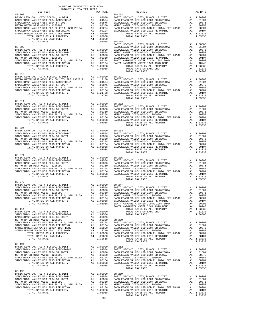| COUNTY OF ORANGE TAX RATE BOOK<br>2016-2017 TRA TAX RATES |         |                |          |
|-----------------------------------------------------------|---------|----------------|----------|
| DISTRICT<br>$88 - 008$                                    |         | $88 - 212$     | TAX RATE |
|                                                           |         |                |          |
|                                                           |         |                |          |
| $88 - 011$                                                |         |                |          |
|                                                           |         |                |          |
| $88 - 024$                                                |         | TOTAL TAX RATE | 1.03038  |
| 88-071                                                    |         | TOTAL TAX RATE | 1.03038  |
| $88 - 072$                                                |         |                |          |
|                                                           |         |                |          |
| 88-194                                                    |         | TOTAL TAX RATE | 1.03038  |
|                                                           |         |                |          |
|                                                           | $-282-$ |                |          |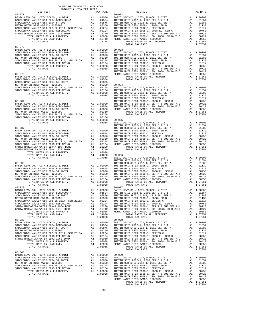| COUNTY OF ORANGE TAX RATE BOOK<br>2016-2017 TRA TAX RATES<br>$2016-2017\quad\text{TRA TAX RATES}\label{eq:2016-2017}$ DISTRICT | TAX RATE | DISTRICT       | TAX RATE |
|--------------------------------------------------------------------------------------------------------------------------------|----------|----------------|----------|
| $88 - 270$                                                                                                                     |          | $89 - 002$     |          |
|                                                                                                                                |          |                |          |
|                                                                                                                                |          |                |          |
|                                                                                                                                |          |                |          |
|                                                                                                                                |          |                |          |
|                                                                                                                                |          |                |          |
|                                                                                                                                |          |                |          |
|                                                                                                                                |          | TOTAL TAX RATE | 1.07351  |
| $88 - 272$                                                                                                                     |          |                |          |
|                                                                                                                                |          |                |          |
|                                                                                                                                |          |                |          |
|                                                                                                                                |          |                |          |
|                                                                                                                                |          |                |          |
|                                                                                                                                |          |                |          |
|                                                                                                                                |          |                |          |
|                                                                                                                                |          |                |          |
|                                                                                                                                |          |                |          |
|                                                                                                                                |          |                |          |
|                                                                                                                                |          |                |          |
|                                                                                                                                |          |                |          |
|                                                                                                                                |          |                |          |
|                                                                                                                                |          |                |          |
|                                                                                                                                |          |                |          |
|                                                                                                                                |          |                |          |
|                                                                                                                                |          |                |          |
|                                                                                                                                |          |                |          |
|                                                                                                                                |          |                |          |
|                                                                                                                                |          |                |          |
|                                                                                                                                |          |                |          |
|                                                                                                                                |          |                |          |
|                                                                                                                                |          |                |          |
|                                                                                                                                |          |                |          |
|                                                                                                                                |          |                |          |
|                                                                                                                                |          |                |          |
|                                                                                                                                |          |                |          |
|                                                                                                                                |          |                |          |
|                                                                                                                                |          |                |          |
|                                                                                                                                |          |                |          |
|                                                                                                                                |          |                |          |
|                                                                                                                                |          |                |          |
|                                                                                                                                |          |                |          |
|                                                                                                                                |          |                |          |
|                                                                                                                                |          |                |          |
|                                                                                                                                |          |                |          |
|                                                                                                                                |          |                |          |
|                                                                                                                                |          |                |          |
|                                                                                                                                |          |                |          |
|                                                                                                                                |          |                |          |
|                                                                                                                                |          |                |          |
|                                                                                                                                |          |                |          |
|                                                                                                                                |          |                |          |
|                                                                                                                                |          |                |          |
|                                                                                                                                |          |                |          |
|                                                                                                                                |          |                |          |
|                                                                                                                                |          |                |          |
|                                                                                                                                |          |                |          |
|                                                                                                                                |          |                |          |
|                                                                                                                                |          |                |          |
|                                                                                                                                |          |                |          |
|                                                                                                                                |          |                |          |
|                                                                                                                                |          |                |          |
|                                                                                                                                |          |                |          |
|                                                                                                                                |          |                |          |
|                                                                                                                                |          |                |          |
|                                                                                                                                |          |                |          |
|                                                                                                                                |          |                |          |
|                                                                                                                                |          |                |          |
|                                                                                                                                |          |                |          |
|                                                                                                                                |          |                |          |
|                                                                                                                                |          |                |          |
|                                                                                                                                |          |                |          |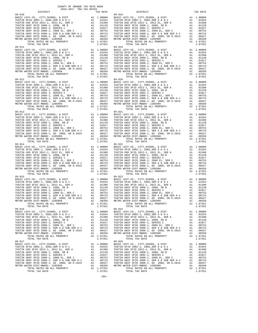89-016 89-024

 COUNTY OF ORANGE TAX RATE BOOK 2016-2017 TRA TAX RATES DISTRICT TAX RATE DISTRICT TAX RATE 89-010<br>
BASIC LEVY-CO., CITY, SCHOOL, & DIST<br>
TUSTIN SFID 2002-1, 2002, SER D & D-1<br>
TUSTIN SFID 2002-1, 2012 EL, SER A<br>
TUSTIN UNIF SFID 2008-1, 2008, SR B<br>
TUSTIN UNIF SFID 2008-1, 2008, SR B<br>
TUSTIN UNIF SFID 2008-1, SE BASIC LEVY-CO., CITY,SCHOOL, & DIST A1 1.00000 BASIC LEVY-CO., CITY,SCHOOL, & DIST A1 1.00000 TUSTIN SFID 2002-1, 2002,SER D & D-1 A1 .01554 TUSTIN SFID 2002-1, 2002,SER D & D-1 A1 .01554 TUSTIN USD SFID 2012-1, 2012 EL, SER A A1 .01388 TUSTIN USD SFID 2012-1, 2012 EL, SER A A1 .01388 TUSTIN UNIF SFID 2008-1, 2008, SR B A1 .01139 TUSTIN UNIF SFID 2008-1, 2008, SR B A1 .01139 TUSTIN UNIF SFID 2002-1, SERIES C A1 .01017 TUSTIN UNIF SFID 2002-1, SERIES C A1 .01017 TUSTIN UNIF SFID 2008-1, 2008 EL, SER C A1 .00753 TUSTIN UNIF SFID 2008-1, 2008 EL, SER C A1 .00753 TUSTIN UNIF SFID 2008-1, SER A & SUB SER A-1 A1 .00723 TUSTIN UNIF SFID 2008-1, SER A & SUB SER A-1 A1 .00723 TUSTIN UNIF SFID 2008-1, GO 2008, SR D-2015 A1 .00427 TUSTIN UNIF SFID 2008-1, GO 2008, SR D-2015 A1 .00427 METRO WATER DIST-MWDOC- 1205999 A1 .00350 METRO WATER DIST-MWDOC- 1205999 A1 .00350 TOTAL RATES ON ALL PROPERTY A1 1.07351 TOTAL RATES ON ALL PROPERTY A1 1.07351 TOTAL TAX RATE 1.07351 TOTAL TAX RATE 1.07351 89-011 89-019 BASIC LEVY-CO., CITY, SCHOOL, & DIST<br>
TUSTIN SFID 2002-1, 2002, SER D & D. Al 1.00000<br>
TUSTIN USD STID 2012-1, 2012 EL, SER A Al .01388<br>
TUSTIN USD SFID 2012-1, 2012 EL, SER A Al .01388<br>
TUSTIN UNIF SFID 2008-1, 2008, SR B TUSTIN UNIF SFID 2008-1, SER A & SUB SER A-1 A1 .00723 TUSTIN UNIF SFID 2008-1, SER A & SUB SER A-1 A1 .00723 TUSTIN UNIF SFID 2008-1, GO 2008, SR D-2015 A1 .00427 TUSTIN UNIF SFID 2008-1, GO 2008, SR D-2015 A1 .00427 METRO WATER DIST-MWDOC- 1205999 A1 .00350 METRO WATER DIST-MWDOC- 1205999 A1 .00350 TOTAL RATES ON ALL PROPERTY A1 1.07351 TOTAL RATES ON ALL PROPERTY A1 1.07351 TOTAL TAX RATE 1.07351 TOTAL TAX RATE 1.07351 89-012 89-020 BASIC LEVY-CO., CITY,SCHOOL, & DIST A1 1.00000 BASIC LEVY-CO., CITY,SCHOOL, & DIST A1 1.00000 TUSTIN SFID 2002-1, 2002,SER D & D-1 A1 .01554 TUSTIN SFID 2002-1, 2002,SER D & D-1 A1 .01554 TUSTIN USD SFID 2012-1, 2012 EL, SER A A1 .01388 TUSTIN USD SFID 2012-1, 2012 EL, SER A A1 .01388 TUSTIN UNIF SFID 2008-1, 2008, SR B A1 .01139 TUSTIN UNIF SFID 2008-1, 2008, SR B A1 .01139 TUSTIN UNIF SFID 2002-1, SERIES C A1 .01017 TUSTIN UNIF SFID 2002-1, SERIES C A1 .01017 TUSTIN UNIF SFID 2008-1, 2008 EL, SER C A1 .00753 TUSTIN UNIF SFID 2008-1, 2008 EL, SER C A1 .00753 TUSTIN UNIF SFID 2008-1, SER A & SUB SER A-1 A1 .00723 TUSTIN UNIF SFID 2008-1, SER A & SUB SER A-1 A1 .00723 TUSTIN UNIF SFID 2008-1, GO 2008, SR D-2015 A1 .00427 TUSTIN UNIF SFID 2008-1, GO 2008, SR D-2015 A1 .00427 METRO WATER DIST-MWDOC- 1205999 A1 .00350 METRO WATER DIST-MWDOC- 1205999 A1 .00350 TOTAL RATES ON ALL PROPERTY A1 1.07351 TOTAL RATES ON ALL PROPERTY A1 1.07351 TOTAL TAX RATE 1.07351 TOTAL TAX RATE 1.07351 89-013 89-021 BASIC LEVY-CO., CITY,SCHOOL, & DIST A1 1.00000 BASIC LEVY-CO., CITY,SCHOOL, & DIST A1 1.00000 TUSTIN SFID 2002-1, 2002,SER D & D-1 A1 .01554 TUSTIN SFID 2002-1, 2002,SER D & D-1 A1 .01554 TUSTIN USD SFID 2012-1, 2012 EL, SER A A1 .01388 TUSTIN USD SFID 2012-1, 2012 EL, SER A A1 .01388 TUSTIN UNIF SFID 2008-1, 2008, SR B A1 .01139 TUSTIN UNIF SFID 2008-1, 2008, SR B A1 .01139 TUSTIN UNIF SFID 2002-1, SERIES C A1 .01017 TUSTIN UNIF SFID 2002-1, SERIES C A1 .01017 TUSTIN UNIF SFID 2008-1, 2008 EL, SER C A1 .00753 TUSTIN UNIF SFID 2008-1, 2008 EL, SER C A1 .00753 TUSTIN UNIF SFID 2008-1, SER A & SUB SER A-1 A1 .00723 TUSTIN UNIF SFID 2008-1, SER A & SUB SER A-1 A1 .00723 TUSTIN UNIF SFID 2008-1, GO 2008, SR D-2015 A1 .00427 TUSTIN UNIF SFID 2008-1, GO 2008, SR D-2015 A1 .00427 METRO WATER DIST-MWDOC- 1205999 A1 .00350 METRO WATER DIST-MWDOC- 1205999 A1 .00350 TOTAL RATES ON ALL PROPERTY A1 1.07351 TOTAL RATES ON ALL PROPERTY A1 1.07351 TOTAL TAX RATE 1.07351 TOTAL TAX RATE 1.07351 89-014 89-022 BASIC LEVY-CO., CITY,SCHOOL, & DIST A1 1.00000 BASIC LEVY-CO., CITY,SCHOOL, & DIST A1 1.00000 TUSTIN SFID 2002-1, 2002,SER D & D-1 A1 .01554 TUSTIN SFID 2002-1, 2002,SER D & D-1 A1 .01554 TUSTIN USD SFID 2012-1, 2012 EL, SER A A1 .01388 TUSTIN USD SFID 2012-1, 2012 EL, SER A A1 .01388 TUSTIN UNIF SFID 2008-1, 2008, SR B A1 .01139 TUSTIN UNIF SFID 2008-1, 2008, SR B A1 .01139 TUSTIN UNIF SFID 2002-1, SERIES C A1 .01017 TUSTIN UNIF SFID 2002-1, SERIES C A1 .01017 TUSTIN UNIF SFID 2008–1, 2008 EL, SER C<br>TUSTIN UNIF SFID 2008–1, 2008 EL, SER A & SUB SER A-1 AL 00753<br>TUSTIN UNIF SFID 2008–1, SER A & SUB SER A-1 AL 00723<br>TUSTIN UNIF SFID 2008–1, GO 2008, SR D-2015 A1 0.00427<br>TUSTIN UNI 89-015 (1990)<br>BASIC LEVY-CO., CITY, SCHOOL, & DIST<br>TUSTIN SFID 2002-1, 2002, SER D & D-1 (1990)<br>TUSTIN USD SFID 2012-1, 2012 EL, SER A (1990)<br>TUSTIN USD SFID 2002-1, 2012 EL, SER A (1990)<br>TUSTIN UNIF SFID 2002-1, SER A A1 TUSTIN UNIF SFID 2008-1, 2008 EL, SER C<br>TUSTIN UNIF SFID 2008-1, SER A & SUB SER A-1 al 00753<br>TUSTIN UNIF SFID 2008-1, SER A & SUB SER A-1 al 00723<br>TUSTIN UNIF SFID 2008, SR D-2018, SR D-2015 al 00427<br>METRO WATER DIST-MWDO TOTAL TAX RATE 1.07351 TOTAL TAX RATE 1.07351 BASIC LEVY-CO., CITY,SCHOOL, & DIST A1 1.00000 BASIC LEVY-CO., CITY,SCHOOL, & DIST A1 1.00000 TUSTIN SFID 2002-1, 2002, SER D & D-1 A1 .01554 TUSTIN SFID 2002-1, 2002, SER D & D-1 A1 .01554<br>TUSTIN USD SFID 2012-1, 2012 EL, SER A A1 .01388 TUSTIN USD SFID 2012-1, 2012 EL, SER A A1 .01388<br>TUSTIN UNIF SFID 2002-1, SER TUSTIN UNIF SFID 2008–1, SER A & SUB SER A-1 (00723 TUSTIN UNIF SFID 2008–1, SER A & SUB SER A-1 (00723 TUSTIN UNIF SFID 2008–1, SER A & SUB SER A-1 (00427 TUSTIN UNIF SFID 2008–1, GO 2008), SR D-2015 (00427 TUSTIN UNIF S 89-017 89-025 BASIC LEVY-CO., CITY,SCHOOL, & DIST A1 1.00000 BASIC LEVY-CO., CITY,SCHOOL, & DIST A1 1.00000 TUSTIN SFID 2002-1, 2002,SER D & D-1 A1 .01554 TUSTIN SFID 2002-1, 2002,SER D & D-1 A1 .01554 TUSTIN USD SFID 2012-1, 2012 EL, SER A A1 .01388 TUSTIN USD SFID 2012-1, 2012 EL, SER A A1 .01388 TUSTIN UNIF SFID 2008-1, 2008, SR B A1 .01139 TUSTIN UNIF SFID 2008-1, 2008, SR B A1 .01139 TUSTIN UNIF SFID 2002-1, SERIES C A1 .01017 TUSTIN UNIF SFID 2002-1, SERIES C A1 .01017 TUSTIN UNIF SFID 2008-1, 2008 EL, SER CAI .00753 TUSTIN UNIF SFID 2008-1, 2008 EL, SER CAI .00753<br>TUSTIN UNIF SFID 2008-1, SER A & SUB SER A-1 AI .00723 TUSTIN UNIF SFID 2008-1, SER RA & SUB SER A-1 AI .00723<br>TUSTIN UNIF S TOTAL RATES ON ALL PROPERTY A1 1.07351 TOTAL RATES ON ALL PROPERTY A1 1.07351 TOTAL TAX RATE 1.07351 TOTAL TAX RATE 1.07351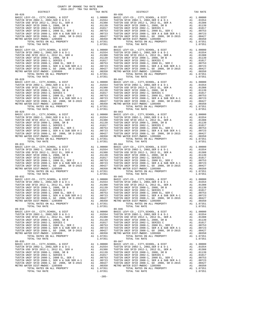| COUNTY OF ORANGE TAX RATE BOOK<br>2016-2017 TRA TAX RATES |          |                                                                                                                                                                                                                                                                                                                                                                                                                                                                                                                                               |          |
|-----------------------------------------------------------|----------|-----------------------------------------------------------------------------------------------------------------------------------------------------------------------------------------------------------------------------------------------------------------------------------------------------------------------------------------------------------------------------------------------------------------------------------------------------------------------------------------------------------------------------------------------|----------|
| DISTRICT                                                  | TAX RATE | DISTRICT                                                                                                                                                                                                                                                                                                                                                                                                                                                                                                                                      | TAX RATE |
| $89 - 026$                                                |          | $89 - 036$                                                                                                                                                                                                                                                                                                                                                                                                                                                                                                                                    |          |
|                                                           |          |                                                                                                                                                                                                                                                                                                                                                                                                                                                                                                                                               |          |
|                                                           |          |                                                                                                                                                                                                                                                                                                                                                                                                                                                                                                                                               |          |
|                                                           |          |                                                                                                                                                                                                                                                                                                                                                                                                                                                                                                                                               |          |
|                                                           |          | $\begin{minipage}[t] \begin{tabular}{0.95\textwidth}\begin{tabular}{0.95\textwidth}\begin{tabular}{0.95\textwidth}\begin{tabular}{0.95\textwidth}\begin{tabular}{0.95\textwidth}\begin{tabular}{0.95\textwidth}\begin{tabular}{0.95\textwidth}\begin{tabular}{0.95\textwidth}\begin{tabular}{0.95\textwidth}\begin{tabular}{0.95\textwidth}\begin{tabular}{0.95\textwidth}\begin{tabular}{0.95\textwidth}\begin{tabular}{0.95\textwidth}\begin{tabular}{0.95\textwidth}\begin{tabular}{0.95\textwidth}\begin{tabular}{0.95\textwidth}\begin{$ |          |
|                                                           |          | TUSTIN UNIF SFID 2008-1, SER A & SUB SER A-1 (00723 TUSTIN UNIF SFID 2008-1, SER A & SUB SER A-1 (00723 TUSTIN UNIF SFID 2008-1, SER A & SUB SER A-1 (00723 TUSTIN UNIF SFID 2008-1, SER A & SUB SER A-1 (00723 TUSTIN UNIF SF                                                                                                                                                                                                                                                                                                                |          |
| $89 - 034$                                                |          | $89 - 046$                                                                                                                                                                                                                                                                                                                                                                                                                                                                                                                                    |          |
|                                                           |          |                                                                                                                                                                                                                                                                                                                                                                                                                                                                                                                                               |          |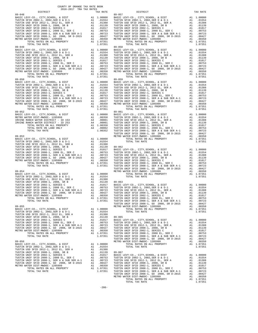| 2016-2017 TRA TAX RATES<br>DISTRICT | TAX RATE | DISTRICT                                                                                                                                                                                                                                                                       | TAX RATE |
|-------------------------------------|----------|--------------------------------------------------------------------------------------------------------------------------------------------------------------------------------------------------------------------------------------------------------------------------------|----------|
| $89 - 048$                          |          | $89 - 057$                                                                                                                                                                                                                                                                     |          |
|                                     |          |                                                                                                                                                                                                                                                                                |          |
|                                     |          |                                                                                                                                                                                                                                                                                |          |
|                                     |          |                                                                                                                                                                                                                                                                                |          |
|                                     |          |                                                                                                                                                                                                                                                                                |          |
|                                     |          |                                                                                                                                                                                                                                                                                |          |
|                                     |          |                                                                                                                                                                                                                                                                                |          |
|                                     |          |                                                                                                                                                                                                                                                                                |          |
|                                     |          |                                                                                                                                                                                                                                                                                |          |
|                                     |          |                                                                                                                                                                                                                                                                                |          |
|                                     |          |                                                                                                                                                                                                                                                                                |          |
|                                     |          |                                                                                                                                                                                                                                                                                |          |
|                                     |          |                                                                                                                                                                                                                                                                                |          |
|                                     |          |                                                                                                                                                                                                                                                                                |          |
|                                     |          |                                                                                                                                                                                                                                                                                |          |
|                                     |          |                                                                                                                                                                                                                                                                                |          |
|                                     |          |                                                                                                                                                                                                                                                                                |          |
|                                     |          |                                                                                                                                                                                                                                                                                |          |
|                                     |          |                                                                                                                                                                                                                                                                                |          |
|                                     |          |                                                                                                                                                                                                                                                                                |          |
|                                     |          |                                                                                                                                                                                                                                                                                |          |
|                                     |          |                                                                                                                                                                                                                                                                                |          |
|                                     |          |                                                                                                                                                                                                                                                                                |          |
|                                     |          |                                                                                                                                                                                                                                                                                |          |
|                                     |          |                                                                                                                                                                                                                                                                                |          |
|                                     |          |                                                                                                                                                                                                                                                                                |          |
|                                     |          |                                                                                                                                                                                                                                                                                |          |
|                                     |          |                                                                                                                                                                                                                                                                                |          |
|                                     |          |                                                                                                                                                                                                                                                                                |          |
|                                     |          |                                                                                                                                                                                                                                                                                |          |
|                                     |          |                                                                                                                                                                                                                                                                                |          |
|                                     |          |                                                                                                                                                                                                                                                                                |          |
|                                     |          |                                                                                                                                                                                                                                                                                |          |
|                                     |          |                                                                                                                                                                                                                                                                                |          |
|                                     |          |                                                                                                                                                                                                                                                                                |          |
|                                     |          |                                                                                                                                                                                                                                                                                |          |
|                                     |          |                                                                                                                                                                                                                                                                                |          |
|                                     |          |                                                                                                                                                                                                                                                                                |          |
|                                     |          |                                                                                                                                                                                                                                                                                |          |
|                                     |          |                                                                                                                                                                                                                                                                                |          |
|                                     |          |                                                                                                                                                                                                                                                                                |          |
|                                     |          | $\begin{array}{cccccccccccc} 10701 & 0.046 & 0.046 & 0.046 & 0.046 & 0.046 & 0.046 & 0.046 & 0.046 & 0.046 & 0.046 & 0.046 & 0.046 & 0.046 & 0.046 & 0.046 & 0.046 & 0.046 & 0.046 & 0.046 & 0.046 & 0.046 & 0.046 & 0.046 & 0.046 & 0.046 & 0.046 & 0.046 & 0.046 & 0.046 & $ |          |
|                                     |          |                                                                                                                                                                                                                                                                                |          |
|                                     |          |                                                                                                                                                                                                                                                                                |          |
|                                     |          |                                                                                                                                                                                                                                                                                |          |
|                                     |          |                                                                                                                                                                                                                                                                                |          |
|                                     |          |                                                                                                                                                                                                                                                                                |          |
|                                     |          |                                                                                                                                                                                                                                                                                |          |
|                                     |          |                                                                                                                                                                                                                                                                                |          |
|                                     |          |                                                                                                                                                                                                                                                                                |          |
|                                     |          |                                                                                                                                                                                                                                                                                |          |
|                                     |          |                                                                                                                                                                                                                                                                                |          |
|                                     |          |                                                                                                                                                                                                                                                                                |          |
|                                     |          |                                                                                                                                                                                                                                                                                |          |
|                                     |          |                                                                                                                                                                                                                                                                                |          |
|                                     |          |                                                                                                                                                                                                                                                                                |          |
|                                     |          |                                                                                                                                                                                                                                                                                |          |
|                                     |          |                                                                                                                                                                                                                                                                                |          |
|                                     |          |                                                                                                                                                                                                                                                                                |          |
|                                     |          |                                                                                                                                                                                                                                                                                |          |
|                                     |          |                                                                                                                                                                                                                                                                                |          |
|                                     |          |                                                                                                                                                                                                                                                                                |          |
|                                     |          |                                                                                                                                                                                                                                                                                |          |
|                                     |          |                                                                                                                                                                                                                                                                                |          |
|                                     |          |                                                                                                                                                                                                                                                                                |          |
|                                     |          |                                                                                                                                                                                                                                                                                |          |
|                                     |          |                                                                                                                                                                                                                                                                                |          |
|                                     |          |                                                                                                                                                                                                                                                                                |          |
|                                     |          |                                                                                                                                                                                                                                                                                |          |
|                                     |          |                                                                                                                                                                                                                                                                                |          |
|                                     |          |                                                                                                                                                                                                                                                                                |          |
|                                     |          |                                                                                                                                                                                                                                                                                |          |
|                                     |          |                                                                                                                                                                                                                                                                                |          |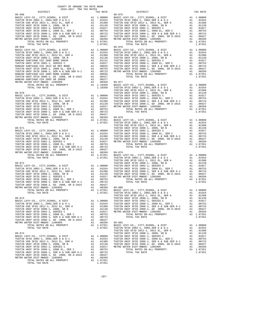| DISIRICI                               | IAA KAIL                                                                    |         |
|----------------------------------------|-----------------------------------------------------------------------------|---------|
| $89 - 068$                             |                                                                             | 89-075  |
|                                        |                                                                             |         |
|                                        |                                                                             |         |
|                                        |                                                                             |         |
|                                        |                                                                             |         |
|                                        |                                                                             |         |
|                                        |                                                                             |         |
|                                        |                                                                             |         |
|                                        |                                                                             |         |
|                                        |                                                                             |         |
| TOTAL TAX RATE                         | 1.07351                                                                     |         |
| $89 - 069$                             |                                                                             | 89-076  |
|                                        |                                                                             |         |
|                                        |                                                                             |         |
|                                        |                                                                             |         |
|                                        |                                                                             |         |
|                                        |                                                                             |         |
|                                        |                                                                             |         |
|                                        |                                                                             |         |
|                                        |                                                                             |         |
|                                        |                                                                             |         |
|                                        |                                                                             |         |
|                                        |                                                                             |         |
|                                        |                                                                             |         |
|                                        |                                                                             |         |
|                                        |                                                                             | TUSTIN  |
| $89 - 070$                             |                                                                             | TUSTIN  |
|                                        |                                                                             |         |
|                                        |                                                                             |         |
|                                        |                                                                             |         |
|                                        |                                                                             |         |
|                                        |                                                                             |         |
|                                        |                                                                             |         |
|                                        |                                                                             |         |
|                                        |                                                                             |         |
|                                        |                                                                             |         |
|                                        |                                                                             |         |
|                                        |                                                                             | TUSTIN  |
| $89 - 071$                             |                                                                             | TUSTIN  |
|                                        |                                                                             |         |
|                                        |                                                                             |         |
|                                        |                                                                             |         |
|                                        |                                                                             |         |
|                                        |                                                                             |         |
|                                        |                                                                             |         |
|                                        |                                                                             |         |
|                                        |                                                                             |         |
|                                        |                                                                             |         |
|                                        |                                                                             |         |
|                                        |                                                                             | TUSTIN  |
|                                        |                                                                             |         |
|                                        |                                                                             |         |
|                                        |                                                                             |         |
|                                        |                                                                             |         |
|                                        |                                                                             |         |
|                                        |                                                                             |         |
|                                        |                                                                             |         |
|                                        |                                                                             |         |
|                                        |                                                                             |         |
|                                        |                                                                             |         |
|                                        |                                                                             |         |
|                                        |                                                                             |         |
| BASIC LEVY-CO., CITY, SCHOOL, & DIST   | A1 1.00000                                                                  | TUSTIN  |
| TUSTIN SFID 2002-1, 2002, SER D & D-1  | A1 .01554                                                                   | TUSTIN  |
| TUSTIN USD SFID 2012-1, 2012 EL, SER A | A1 .01388                                                                   | TUSTIN  |
|                                        |                                                                             |         |
|                                        |                                                                             |         |
|                                        |                                                                             |         |
|                                        |                                                                             |         |
|                                        |                                                                             |         |
| TOTAL RATES ON ALL PROPERTY            | A1 1.07351                                                                  | BASIC L |
| TOTAL TAX RATE                         | 1.07351                                                                     | TUSTIN  |
|                                        |                                                                             | TUSTIN  |
| $89 - 074$                             |                                                                             | TUSTIN  |
| BASIC LEVY-CO., CITY, SCHOOL, & DIST   | A1 1.00000                                                                  | TUSTIN  |
|                                        |                                                                             |         |
|                                        |                                                                             |         |
|                                        |                                                                             |         |
|                                        |                                                                             |         |
|                                        |                                                                             |         |
|                                        | $\begin{array}{ccc}\n & & \sqrt{23} \\ A1 & 00427 \\ A1 & 002\n\end{array}$ |         |
|                                        |                                                                             |         |
| TOTAL RATES ON ALL PROPERTY            | A1 1.07351                                                                  |         |
| TOTAL TAX RATE                         | 1.07351                                                                     |         |
|                                        |                                                                             |         |

| COUNTY OF ORANGE TAX RATE BOOK<br>2016-2017 TRA TAX RATES |          |                        |          |
|-----------------------------------------------------------|----------|------------------------|----------|
| DISTRICT<br>$89 - 068$                                    | TAX RATE | DISTRICT<br>$89 - 075$ | TAX RATE |
|                                                           |          |                        |          |
|                                                           |          |                        |          |
|                                                           |          |                        |          |
|                                                           |          |                        |          |
|                                                           |          |                        |          |
|                                                           |          |                        |          |
|                                                           |          |                        |          |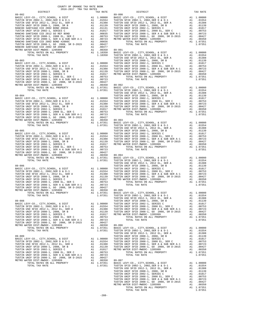| DISTRICT | TAX RATE | DISTRICT       | TAX RATE |
|----------|----------|----------------|----------|
|          |          |                |          |
|          |          |                |          |
|          |          |                |          |
|          |          |                |          |
|          |          |                |          |
|          |          |                |          |
|          |          |                |          |
|          |          |                |          |
|          |          |                |          |
|          |          |                |          |
|          |          |                |          |
|          |          |                |          |
|          |          |                |          |
|          |          |                |          |
|          |          |                |          |
|          |          |                |          |
|          |          |                |          |
|          |          |                |          |
|          |          |                |          |
|          |          |                |          |
|          |          |                |          |
|          |          |                |          |
|          |          |                |          |
|          |          |                |          |
|          |          |                |          |
|          |          |                |          |
|          |          |                |          |
|          |          |                |          |
|          |          |                |          |
|          |          |                |          |
|          |          |                |          |
|          |          |                |          |
|          |          |                |          |
|          |          |                |          |
|          |          |                |          |
|          |          |                |          |
|          |          |                |          |
|          |          |                |          |
|          |          |                |          |
|          |          |                |          |
|          |          |                |          |
|          |          |                |          |
|          |          |                |          |
|          |          |                |          |
|          |          |                |          |
|          |          |                |          |
|          |          |                |          |
|          |          |                |          |
|          |          |                |          |
|          |          |                |          |
|          |          |                |          |
|          |          |                |          |
|          |          |                |          |
|          |          |                |          |
|          |          |                |          |
|          |          |                |          |
|          |          |                |          |
|          |          |                |          |
|          |          |                |          |
|          |          |                |          |
|          |          |                |          |
|          |          |                |          |
|          |          |                |          |
|          |          |                |          |
|          |          |                |          |
|          |          |                |          |
|          |          |                |          |
|          |          |                |          |
|          |          |                |          |
|          |          |                |          |
|          |          |                |          |
|          |          |                |          |
|          |          |                |          |
|          |          |                |          |
|          |          |                |          |
|          |          |                |          |
|          |          |                |          |
|          |          |                |          |
|          |          |                |          |
|          |          |                |          |
|          |          |                |          |
|          |          |                |          |
|          |          |                |          |
|          |          |                |          |
|          |          |                |          |
|          |          |                |          |
|          |          |                |          |
|          |          |                |          |
|          |          |                |          |
|          |          |                |          |
|          |          |                |          |
|          |          | TOTAL TAX RATE |          |
|          |          |                |          |

COUNTY OF ORANGE TAX RATE BOOK 2016-2017 TRA TAX RATES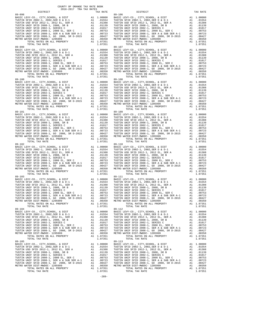89-104 89-112

 COUNTY OF ORANGE TAX RATE BOOK 2016-2017 TRA TAX RATES DISTRICT TAX RATE DISTRICT TAX RATE 89-098<br>
BASIC LEVY-CO., CITY, SCHOOL, & DIST<br>
TUSTIN SFID 2002-1, 2002, SER D & D-1<br>
TUSTIN SFID 2002-1, 2012 EL, SER A<br>
TUSTIN UNIF SFID 2008-1, 2008, SR B<br>
TUSTIN UNIF SFID 2008-1, 2008, SR B<br>
TUSTIN UNIF SFID 2008-1, SE BASIC LEVY-CO., CITY,SCHOOL, & DIST A1 1.00000 BASIC LEVY-CO., CITY,SCHOOL, & DIST A1 1.00000 TUSTIN SFID 2002-1, 2002,SER D & D-1 A1 .01554 TUSTIN SFID 2002-1, 2002,SER D & D-1 A1 .01554 TUSTIN USD SFID 2012-1, 2012 EL, SER A A1 .01388 TUSTIN USD SFID 2012-1, 2012 EL, SER A A1 .01388 TUSTIN UNIF SFID 2008-1, 2008, SR B A1 .01139 TUSTIN UNIF SFID 2008-1, 2008, SR B A1 .01139 TUSTIN UNIF SFID 2002-1, SERIES C A1 .01017 TUSTIN UNIF SFID 2002-1, SERIES C A1 .01017 TUSTIN UNIF SFID 2008-1, 2008 EL, SER C A1 .00753 TUSTIN UNIF SFID 2008-1, 2008 EL, SER C A1 .00753 TUSTIN UNIF SFID 2008-1, SER A & SUB SER A-1 A1 .00723 TUSTIN UNIF SFID 2008-1, SER A & SUB SER A-1 A1 .00723 TUSTIN UNIF SFID 2008-1, GO 2008, SR D-2015 A1 .00427 TUSTIN UNIF SFID 2008-1, GO 2008, SR D-2015 A1 .00427 METRO WATER DIST-MWDOC- 1205999 A1 .00350 METRO WATER DIST-MWDOC- 1205999 A1 .00350 TOTAL RATES ON ALL PROPERTY A1 1.07351 TOTAL RATES ON ALL PROPERTY A1 1.07351 TOTAL TAX RATE 1.07351 TOTAL TAX RATE 1.07351 89-099 89-107 BASIC LEVY-CO., CITY,SCHOOL, & DIST A1 1.00000 BASIC LEVY-CO., CITY,SCHOOL, & DIST A1 1.00000 TUSTIN SFID 2002-1, 2002,SER D & D-1 A1 .01554 TUSTIN SFID 2002-1, 2002,SER D & D-1 A1 .01554 TUSTIN USD SFID 2012-1, 2012 EL, SER A A1 .01388 TUSTIN USD SFID 2012-1, 2012 EL, SER A A1 .01388 TUSTIN UNIF SFID 2008-1, 2008, SR B A1 .01139 TUSTIN UNIF SFID 2008-1, 2008, SR B A1 .01139 TUSTIN UNIF SFID 2002-1, SERIES C A1 .01017 TUSTIN UNIF SFID 2002-1, SERIES C A1 .01017 TUSTIN UNIF SFID 2008-1, 2008 EL, SER C A1 .00753 TUSTIN UNIF SFID 2008-1, 2008 EL, SER C A1 .00753 TUSTIN UNIF SFID 2008-1, SER A & SUB SER A-1 A1 .00723 TUSTIN UNIF SFID 2008-1, SER A & SUB SER A-1 A1 .00723 TUSTIN UNIF SFID 2008-1, GO 2008, SR D-2015 A1 .00427 TUSTIN UNIF SFID 2008-1, GO 2008, SR D-2015 A1 .00427 METRO WATER DIST-MWDOC- 1205999 A1 .00350 METRO WATER DIST-MWDOC- 1205999 A1 .00350 TOTAL RATES ON ALL PROPERTY A1 1.07351 TOTAL RATES ON ALL PROPERTY A1 1.07351 TOTAL TAX RATE 1.07351 TOTAL TAX RATE 1.07351 89-100 89-108 BASIC LEVY-CO., CITY,SCHOOL, & DIST A1 1.00000 BASIC LEVY-CO., CITY,SCHOOL, & DIST A1 1.00000 TUSTIN SFID 2002-1, 2002,SER D & D-1 A1 .01554 TUSTIN SFID 2002-1, 2002,SER D & D-1 A1 .01554 TUSTIN USD SFID 2012-1, 2012 EL, SER A A1 .01388 TUSTIN USD SFID 2012-1, 2012 EL, SER A A1 .01388 TUSTIN UNIF SFID 2008-1, 2008, SR B A1 .01139 TUSTIN UNIF SFID 2008-1, 2008, SR B A1 .01139 TUSTIN UNIF SFID 2002-1, SERIES C A1 .01017 TUSTIN UNIF SFID 2002-1, SERIES C A1 .01017 TUSTIN UNIF SFID 2008-1, 2008 EL, SER C A1 .00753 TUSTIN UNIF SFID 2008-1, 2008 EL, SER C A1 .00753 TUSTIN UNIF SFID 2008-1, SER A & SUB SER A-1 A1 .00723 TUSTIN UNIF SFID 2008-1, SER A & SUB SER A-1 A1 .00723 TUSTIN UNIF SFID 2008-1, GO 2008, SR D-2015 A1 .00427 TUSTIN UNIF SFID 2008-1, GO 2008, SR D-2015 A1 .00427 METRO WATER DIST-MWDOC- 1205999 A1 .00350 METRO WATER DIST-MWDOC- 1205999 A1 .00350 TOTAL RATES ON ALL PROPERTY A1 1.07351 TOTAL RATES ON ALL PROPERTY A1 1.07351 TOTAL TAX RATE 1.07351 TOTAL TAX RATE 1.07351 89-101 89-109 BASIC LEVY-CO., CITY,SCHOOL, & DIST A1 1.00000 BASIC LEVY-CO., CITY,SCHOOL, & DIST A1 1.00000 TUSTIN SFID 2002-1, 2002,SER D & D-1 A1 .01554 TUSTIN SFID 2002-1, 2002,SER D & D-1 A1 .01554 TUSTIN USD SFID 2012-1, 2012 EL, SER A A1 .01388 TUSTIN USD SFID 2012-1, 2012 EL, SER A A1 .01388 TUSTIN UNIF SFID 2008-1, 2008, SR B A1 .01139 TUSTIN UNIF SFID 2008-1, 2008, SR B A1 .01139 TUSTIN UNIF SFID 2002-1, SERIES C A1 .01017 TUSTIN UNIF SFID 2002-1, SERIES C A1 .01017 TUSTIN UNIF SFID 2008-1, 2008 EL, SER C A1 .00753 TUSTIN UNIF SFID 2008-1, 2008 EL, SER C A1 .00753 TUSTIN UNIF SFID 2008-1, SER A & SUB SER A-1 A1 .00723 TUSTIN UNIF SFID 2008-1, SER A & SUB SER A-1 A1 .00723 TUSTIN UNIF SFID 2008-1, GO 2008, SR D-2015 A1 .00427 TUSTIN UNIF SFID 2008-1, GO 2008, SR D-2015 A1 .00427 METRO WATER DIST-MWDOC- 1205999 A1 .00350 METRO WATER DIST-MWDOC- 1205999 A1 .00350 TOTAL RATES ON ALL PROPERTY A1 1.07351 TOTAL RATES ON ALL PROPERTY A1 1.07351 TOTAL TAX RATE 1.07351 TOTAL TAX RATE 1.07351 89–10<br>
BASIC LEVY-CO., CITY, SCHOOL, & DIST<br>
TUSTIN USD STID 2002–1, 2002, SER D & D-1<br>
TUSTIN USD STID 2012–1, 2012 EL, SER A al .01554<br>
TUSTIN USD STID 2002–1, 2012 EL, SER A Al .01388<br>
TUSTIN UNIF STID 2002–1, 2028, SER TUSTIN UNIF SFID 2008–1, 2008 EL, SER C<br>TUSTIN UNIF SFID 2008–1, 2008 EL, SER A & SUB SER A-1 AL 00753<br>TUSTIN UNIF SFID 2008–1, SER A & SUB SER A-1 AL 00723<br>TUSTIN UNIF SFID 2008–1, GO 2008, SR D-2015 A1 0.00427<br>TUSTIN UNI 89-103 89-111 BASIC LEVY-CO., CITY,SCHOOL, & DIST A1 1.00000 BASIC LEVY-CO., CITY,SCHOOL, & DIST A1 1.00000 TUSTIN SFID 2002-1, 2002,SER D & D-1 A1 .01554 TUSTIN SFID 2002-1, 2002,SER D & D-1 A1 .01554 TUSTIN USD SFID 2012-1, 2012 EL, SER A A1 .01388 TUSTIN USD SFID 2012-1, 2012 EL, SER A A1 .01388 TUSTIN UNIF SFID 2008-1, 2008, SR B A1 .01139 TUSTIN UNIF SFID 2008-1, 2008, SR B A1 .01139 TUSTIN UNIF SFID 2002-1, SERIES C A1 .01017 TUSTIN UNIF SFID 2002-1, SERIES C A1 .01017 TUSTIN UNIF SFID 2008-1, 2008 EL, SER C<br>TUSTIN UNIF SFID 2008-1, SER A & SUB SER A-1 al 00753<br>TUSTIN UNIF SFID 2008-1, SER A & SUB SER A-1 al 00723<br>TUSTIN UNIF SFID 2008, SR D-2018, SR D-2015 al 00427<br>METRO WATER DIST-MWDO TOTAL TAX RATE 1.07351 TOTAL TAX RATE 1.07351 BASIC LEVY-CO., CITY,SCHOOL, & DIST A1 1.00000 BASIC LEVY-CO., CITY,SCHOOL, & DIST A1 1.00000 TUSTIN SFID 2002-1, 2002, SER D & D-1 A1 .01554 TUSTIN SFID 2002-1, 2002, SER D & D-1 A1 .01554<br>TUSTIN USD SFID 2012-1, 2012 EL, SER A A1 .01388 TUSTIN USD SFID 2012-1, 2012 EL, SER A A1 .01388<br>TUSTIN UNIF SFID 2002-1, SER TUSTIN UNIF SFID 2008–1, SER A & SUB SER A-1 (00723 TUSTIN UNIF SFID 2008–1, SER A & SUB SER A-1 (00723 TUSTIN UNIF SFID 2008–1, SER A & SUB SER A-1 (00427 TUSTIN UNIF SFID 2008–1, GO 2008), SR D-2015 (00427 TUSTIN UNIF S 89–105 <br>
BASIC LEVY-CO., CITY, SCHOOL, & DIST<br>
TUSTIN USD STID 2002–1, 2002, SER D & D-1 a1 .00000 BASIC LEVY-CO., CITY, SCHOOL, & DIST<br>
TUSTIN USD SFID 2002–1, 2012 EL, SER A a1 .01388 TUSTIN USD SFID 2012–1, 2012 EL, SER TUSTIN UNIF SFID 2008-1, 2008 EL, SER CAI .00753 TUSTIN UNIF SFID 2008-1, 2008 EL, SER CAI .00753<br>TUSTIN UNIF SFID 2008-1, SER A & SUB SER A-1 AI .00723 TUSTIN UNIF SFID 2008-1, SER RA & SUB SER A-1 AI .00723<br>TUSTIN UNIF S TOTAL RATES ON ALL PROPERTY A1 1.07351 TOTAL RATES ON ALL PROPERTY A1 1.07351 TOTAL TAX RATE 1.07351 TOTAL TAX RATE 1.07351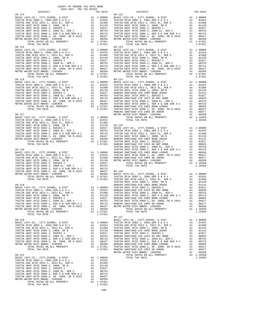| 2016-2017 TRA TAX RATES<br>DISTRICT |  | TAX RATE   |            |
|-------------------------------------|--|------------|------------|
|                                     |  |            |            |
|                                     |  |            |            |
|                                     |  |            |            |
|                                     |  |            |            |
|                                     |  |            |            |
|                                     |  |            |            |
|                                     |  |            |            |
|                                     |  |            |            |
|                                     |  |            |            |
| $89 - 115$                          |  |            | $89 - 123$ |
|                                     |  |            |            |
|                                     |  |            |            |
|                                     |  |            |            |
|                                     |  |            |            |
|                                     |  |            |            |
|                                     |  |            |            |
|                                     |  |            |            |
|                                     |  |            |            |
| $89 - 116$                          |  |            | $89 - 124$ |
|                                     |  |            |            |
|                                     |  |            |            |
|                                     |  |            |            |
|                                     |  |            |            |
|                                     |  |            |            |
|                                     |  |            |            |
|                                     |  |            |            |
|                                     |  |            |            |
|                                     |  |            |            |
|                                     |  |            |            |
|                                     |  |            |            |
|                                     |  |            |            |
|                                     |  |            |            |
|                                     |  |            |            |
|                                     |  |            |            |
|                                     |  |            |            |
|                                     |  |            |            |
|                                     |  |            |            |
|                                     |  |            |            |
|                                     |  |            | TUSTIN     |
| 89-118                              |  |            | TUSTIN     |
|                                     |  |            |            |
|                                     |  |            |            |
|                                     |  |            |            |
|                                     |  |            |            |
|                                     |  |            |            |
|                                     |  |            |            |
|                                     |  |            |            |
|                                     |  |            |            |
|                                     |  |            | TUSTIN     |
| 89-119                              |  |            | RANCHO     |
|                                     |  |            |            |
|                                     |  |            |            |
|                                     |  |            |            |
|                                     |  |            |            |
|                                     |  |            |            |
|                                     |  |            |            |
|                                     |  |            |            |
|                                     |  |            |            |
| TOTAL TAX RATE                      |  | 1.07351    | 89-127     |
|                                     |  |            |            |
|                                     |  |            |            |
|                                     |  |            |            |
|                                     |  |            |            |
|                                     |  |            |            |
|                                     |  |            |            |
|                                     |  |            |            |
|                                     |  |            |            |
|                                     |  |            |            |
|                                     |  |            | METRO W    |
| $89 - 121$                          |  |            |            |
|                                     |  |            |            |
|                                     |  |            |            |
|                                     |  |            |            |
|                                     |  |            |            |
|                                     |  |            |            |
|                                     |  |            |            |
|                                     |  |            |            |
| TOTAL RATES ON ALL PROPERTY         |  | A1 1.07351 |            |
| TOTAL TAX RATE                      |  | 1.07351    |            |

| COUNTY OF ORANGE TAX RATE BOOK<br>2016-2017 TRA TAX RATES<br>2016-2017 TRA TAX RATES |          |                                                                                                                                                                                                                               |          |
|--------------------------------------------------------------------------------------|----------|-------------------------------------------------------------------------------------------------------------------------------------------------------------------------------------------------------------------------------|----------|
| DISTRICT<br>89-114                                                                   | TAX RATE | DISTRICT<br>$89 - 122$                                                                                                                                                                                                        | TAX RATE |
|                                                                                      |          |                                                                                                                                                                                                                               |          |
|                                                                                      |          |                                                                                                                                                                                                                               |          |
|                                                                                      |          | 179714 APPR APPR (1971) 1971 11. PROPERTY 2012 11. PRINCIPAL INTERFERENCE AND A CONTENT ON A 119751 11. PRINCIPAL INTERFERENCE AND A 119751 11. PRINCIPAL INTERFERENCE AND A 119751 11. PRINCIPAL INTERFERENCE AND A 119751 1 |          |
|                                                                                      |          |                                                                                                                                                                                                                               |          |
|                                                                                      |          |                                                                                                                                                                                                                               |          |
|                                                                                      |          |                                                                                                                                                                                                                               |          |
|                                                                                      |          | $89 - 127$                                                                                                                                                                                                                    |          |
|                                                                                      |          |                                                                                                                                                                                                                               |          |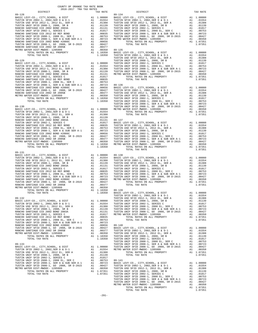| COUNTY OF ORANGE TAX RATE BOOK<br>2016-2017 TRA TAX RATES |          |                                                                                                                                                                                                                                                                                                                                                                                                               |          |  |
|-----------------------------------------------------------|----------|---------------------------------------------------------------------------------------------------------------------------------------------------------------------------------------------------------------------------------------------------------------------------------------------------------------------------------------------------------------------------------------------------------------|----------|--|
| DISTRICT                                                  | TAX RATE | DISTRICT                                                                                                                                                                                                                                                                                                                                                                                                      | TAX RATE |  |
|                                                           |          | $89 - 134$                                                                                                                                                                                                                                                                                                                                                                                                    |          |  |
|                                                           |          |                                                                                                                                                                                                                                                                                                                                                                                                               |          |  |
|                                                           |          |                                                                                                                                                                                                                                                                                                                                                                                                               |          |  |
|                                                           |          |                                                                                                                                                                                                                                                                                                                                                                                                               |          |  |
|                                                           |          |                                                                                                                                                                                                                                                                                                                                                                                                               |          |  |
|                                                           |          |                                                                                                                                                                                                                                                                                                                                                                                                               |          |  |
|                                                           |          |                                                                                                                                                                                                                                                                                                                                                                                                               |          |  |
|                                                           |          |                                                                                                                                                                                                                                                                                                                                                                                                               |          |  |
|                                                           |          |                                                                                                                                                                                                                                                                                                                                                                                                               |          |  |
|                                                           |          |                                                                                                                                                                                                                                                                                                                                                                                                               |          |  |
|                                                           |          |                                                                                                                                                                                                                                                                                                                                                                                                               |          |  |
|                                                           |          |                                                                                                                                                                                                                                                                                                                                                                                                               |          |  |
|                                                           |          |                                                                                                                                                                                                                                                                                                                                                                                                               |          |  |
|                                                           |          |                                                                                                                                                                                                                                                                                                                                                                                                               |          |  |
|                                                           |          |                                                                                                                                                                                                                                                                                                                                                                                                               |          |  |
|                                                           |          |                                                                                                                                                                                                                                                                                                                                                                                                               |          |  |
|                                                           |          |                                                                                                                                                                                                                                                                                                                                                                                                               |          |  |
|                                                           |          |                                                                                                                                                                                                                                                                                                                                                                                                               |          |  |
|                                                           |          |                                                                                                                                                                                                                                                                                                                                                                                                               |          |  |
|                                                           |          |                                                                                                                                                                                                                                                                                                                                                                                                               |          |  |
|                                                           |          |                                                                                                                                                                                                                                                                                                                                                                                                               |          |  |
|                                                           |          |                                                                                                                                                                                                                                                                                                                                                                                                               |          |  |
|                                                           |          |                                                                                                                                                                                                                                                                                                                                                                                                               |          |  |
|                                                           |          |                                                                                                                                                                                                                                                                                                                                                                                                               |          |  |
|                                                           |          |                                                                                                                                                                                                                                                                                                                                                                                                               |          |  |
|                                                           |          |                                                                                                                                                                                                                                                                                                                                                                                                               |          |  |
|                                                           |          |                                                                                                                                                                                                                                                                                                                                                                                                               |          |  |
|                                                           |          |                                                                                                                                                                                                                                                                                                                                                                                                               |          |  |
|                                                           |          |                                                                                                                                                                                                                                                                                                                                                                                                               |          |  |
|                                                           |          |                                                                                                                                                                                                                                                                                                                                                                                                               |          |  |
|                                                           |          |                                                                                                                                                                                                                                                                                                                                                                                                               |          |  |
|                                                           |          |                                                                                                                                                                                                                                                                                                                                                                                                               |          |  |
|                                                           |          |                                                                                                                                                                                                                                                                                                                                                                                                               |          |  |
|                                                           |          |                                                                                                                                                                                                                                                                                                                                                                                                               |          |  |
|                                                           |          |                                                                                                                                                                                                                                                                                                                                                                                                               |          |  |
|                                                           |          |                                                                                                                                                                                                                                                                                                                                                                                                               |          |  |
|                                                           |          |                                                                                                                                                                                                                                                                                                                                                                                                               |          |  |
|                                                           |          |                                                                                                                                                                                                                                                                                                                                                                                                               |          |  |
| $89 - 131$                                                |          |                                                                                                                                                                                                                                                                                                                                                                                                               |          |  |
|                                                           |          |                                                                                                                                                                                                                                                                                                                                                                                                               |          |  |
|                                                           |          |                                                                                                                                                                                                                                                                                                                                                                                                               |          |  |
|                                                           |          |                                                                                                                                                                                                                                                                                                                                                                                                               |          |  |
|                                                           |          |                                                                                                                                                                                                                                                                                                                                                                                                               |          |  |
|                                                           |          |                                                                                                                                                                                                                                                                                                                                                                                                               |          |  |
|                                                           |          |                                                                                                                                                                                                                                                                                                                                                                                                               |          |  |
|                                                           |          |                                                                                                                                                                                                                                                                                                                                                                                                               |          |  |
|                                                           |          |                                                                                                                                                                                                                                                                                                                                                                                                               |          |  |
|                                                           |          |                                                                                                                                                                                                                                                                                                                                                                                                               |          |  |
|                                                           |          |                                                                                                                                                                                                                                                                                                                                                                                                               |          |  |
|                                                           |          |                                                                                                                                                                                                                                                                                                                                                                                                               |          |  |
|                                                           |          |                                                                                                                                                                                                                                                                                                                                                                                                               |          |  |
|                                                           |          |                                                                                                                                                                                                                                                                                                                                                                                                               |          |  |
|                                                           |          |                                                                                                                                                                                                                                                                                                                                                                                                               |          |  |
|                                                           |          |                                                                                                                                                                                                                                                                                                                                                                                                               |          |  |
|                                                           |          |                                                                                                                                                                                                                                                                                                                                                                                                               |          |  |
|                                                           |          |                                                                                                                                                                                                                                                                                                                                                                                                               |          |  |
|                                                           |          |                                                                                                                                                                                                                                                                                                                                                                                                               |          |  |
|                                                           |          |                                                                                                                                                                                                                                                                                                                                                                                                               |          |  |
|                                                           |          |                                                                                                                                                                                                                                                                                                                                                                                                               |          |  |
|                                                           |          |                                                                                                                                                                                                                                                                                                                                                                                                               |          |  |
|                                                           |          | $\begin{array}{cccccccc} \text{MERW} & \text{MREB} & \text{MREB} & \text{MREB} & \text{MREB} & \text{MREB} & \text{MREB} & \text{MREB} & \text{MREB} & \text{MREB} & \text{MREB} & \text{MREB} & \text{MREB} & \text{MREB} & \text{MREB} & \text{MREB} & \text{MREB} & \text{MREB} & \text{MREB} & \text{MREB} & \text{MREB} & \text{MREB} & \text{MREB} & \text{MREB} & \text{MREB} & \text{MREB} & \text{M$ |          |  |
|                                                           |          |                                                                                                                                                                                                                                                                                                                                                                                                               |          |  |
|                                                           |          |                                                                                                                                                                                                                                                                                                                                                                                                               |          |  |
|                                                           |          |                                                                                                                                                                                                                                                                                                                                                                                                               |          |  |
|                                                           |          |                                                                                                                                                                                                                                                                                                                                                                                                               |          |  |
|                                                           |          |                                                                                                                                                                                                                                                                                                                                                                                                               |          |  |
|                                                           |          |                                                                                                                                                                                                                                                                                                                                                                                                               |          |  |
|                                                           |          |                                                                                                                                                                                                                                                                                                                                                                                                               |          |  |
|                                                           |          |                                                                                                                                                                                                                                                                                                                                                                                                               |          |  |
|                                                           |          |                                                                                                                                                                                                                                                                                                                                                                                                               |          |  |
|                                                           |          |                                                                                                                                                                                                                                                                                                                                                                                                               |          |  |
|                                                           |          |                                                                                                                                                                                                                                                                                                                                                                                                               |          |  |
|                                                           |          |                                                                                                                                                                                                                                                                                                                                                                                                               |          |  |
|                                                           |          |                                                                                                                                                                                                                                                                                                                                                                                                               |          |  |
|                                                           |          |                                                                                                                                                                                                                                                                                                                                                                                                               |          |  |
|                                                           |          |                                                                                                                                                                                                                                                                                                                                                                                                               |          |  |
|                                                           |          |                                                                                                                                                                                                                                                                                                                                                                                                               |          |  |
|                                                           |          |                                                                                                                                                                                                                                                                                                                                                                                                               |          |  |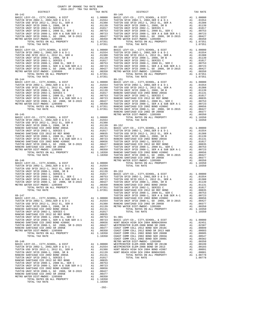| $89 - 145$<br>METRO W<br>RANCHO<br>TUSTIN<br>$89 - 147$<br>TUSTIN<br>COAST C<br>TOTAL RATES ON ALL PROPERTY<br>A1 1.10350 | COUNTY OF ORANGE TAX RATE BOOK<br>2016-2017 TRA TAX RATES |          |  |
|---------------------------------------------------------------------------------------------------------------------------|-----------------------------------------------------------|----------|--|
|                                                                                                                           | DISTRICT                                                  | TAX RATE |  |
|                                                                                                                           |                                                           |          |  |
|                                                                                                                           |                                                           |          |  |
|                                                                                                                           |                                                           |          |  |
|                                                                                                                           |                                                           |          |  |
|                                                                                                                           |                                                           |          |  |
|                                                                                                                           |                                                           |          |  |
|                                                                                                                           |                                                           |          |  |
|                                                                                                                           |                                                           |          |  |
|                                                                                                                           |                                                           |          |  |
|                                                                                                                           |                                                           |          |  |
|                                                                                                                           |                                                           |          |  |
|                                                                                                                           |                                                           |          |  |
|                                                                                                                           |                                                           |          |  |
|                                                                                                                           |                                                           |          |  |
|                                                                                                                           |                                                           |          |  |
|                                                                                                                           |                                                           |          |  |
|                                                                                                                           |                                                           |          |  |
|                                                                                                                           |                                                           |          |  |
|                                                                                                                           |                                                           |          |  |
|                                                                                                                           |                                                           |          |  |
|                                                                                                                           |                                                           |          |  |
|                                                                                                                           |                                                           |          |  |
|                                                                                                                           |                                                           |          |  |
|                                                                                                                           |                                                           |          |  |
|                                                                                                                           |                                                           |          |  |
|                                                                                                                           |                                                           |          |  |
|                                                                                                                           |                                                           |          |  |
|                                                                                                                           |                                                           |          |  |
|                                                                                                                           |                                                           |          |  |
|                                                                                                                           |                                                           |          |  |
|                                                                                                                           |                                                           |          |  |
|                                                                                                                           |                                                           |          |  |
|                                                                                                                           |                                                           |          |  |
|                                                                                                                           |                                                           |          |  |
|                                                                                                                           |                                                           |          |  |
|                                                                                                                           |                                                           |          |  |
|                                                                                                                           |                                                           |          |  |
|                                                                                                                           |                                                           |          |  |
|                                                                                                                           |                                                           |          |  |
|                                                                                                                           |                                                           |          |  |
|                                                                                                                           |                                                           |          |  |
|                                                                                                                           |                                                           |          |  |
|                                                                                                                           |                                                           |          |  |
|                                                                                                                           |                                                           |          |  |
|                                                                                                                           |                                                           |          |  |
|                                                                                                                           |                                                           |          |  |
|                                                                                                                           |                                                           |          |  |
|                                                                                                                           |                                                           |          |  |
|                                                                                                                           |                                                           |          |  |
|                                                                                                                           |                                                           |          |  |
|                                                                                                                           |                                                           |          |  |
|                                                                                                                           |                                                           |          |  |
|                                                                                                                           |                                                           |          |  |
|                                                                                                                           |                                                           |          |  |
|                                                                                                                           |                                                           |          |  |
|                                                                                                                           |                                                           |          |  |
|                                                                                                                           |                                                           |          |  |
|                                                                                                                           |                                                           |          |  |
|                                                                                                                           |                                                           |          |  |
|                                                                                                                           |                                                           |          |  |
|                                                                                                                           |                                                           |          |  |
|                                                                                                                           |                                                           |          |  |
|                                                                                                                           |                                                           |          |  |
|                                                                                                                           |                                                           |          |  |
|                                                                                                                           |                                                           |          |  |
|                                                                                                                           |                                                           |          |  |
|                                                                                                                           |                                                           |          |  |
|                                                                                                                           |                                                           |          |  |
|                                                                                                                           |                                                           |          |  |
|                                                                                                                           |                                                           |          |  |
|                                                                                                                           |                                                           |          |  |
|                                                                                                                           |                                                           |          |  |
|                                                                                                                           |                                                           |          |  |
|                                                                                                                           |                                                           |          |  |
|                                                                                                                           |                                                           |          |  |
|                                                                                                                           |                                                           |          |  |
|                                                                                                                           |                                                           |          |  |
|                                                                                                                           |                                                           |          |  |
|                                                                                                                           |                                                           |          |  |
|                                                                                                                           |                                                           |          |  |
|                                                                                                                           |                                                           |          |  |
|                                                                                                                           |                                                           |          |  |
|                                                                                                                           | TOTAL TAX RATE                                            | 1.10350  |  |

| DISTRICT   | 2020 2021 | TIAS TERT TAITED | TAX RATE | DISTRICT   | TAX RATE |
|------------|-----------|------------------|----------|------------|----------|
| $89 - 142$ |           |                  |          | $89 - 149$ |          |
|            |           |                  |          |            |          |
|            |           |                  |          |            |          |
|            |           |                  |          |            |          |
|            |           |                  |          |            |          |
|            |           |                  |          |            |          |
|            |           |                  |          |            |          |
|            |           |                  |          |            |          |

-292-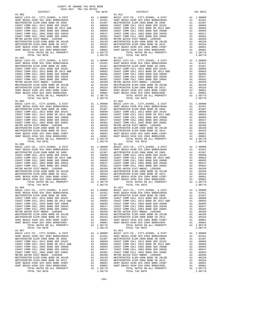| $91 - 003$ |  | $91 - 013$                                                                                                                                                                                                                                 |         |
|------------|--|--------------------------------------------------------------------------------------------------------------------------------------------------------------------------------------------------------------------------------------------|---------|
|            |  |                                                                                                                                                                                                                                            |         |
|            |  |                                                                                                                                                                                                                                            |         |
|            |  |                                                                                                                                                                                                                                            |         |
|            |  |                                                                                                                                                                                                                                            |         |
|            |  |                                                                                                                                                                                                                                            |         |
|            |  |                                                                                                                                                                                                                                            |         |
|            |  |                                                                                                                                                                                                                                            |         |
|            |  |                                                                                                                                                                                                                                            |         |
|            |  |                                                                                                                                                                                                                                            |         |
|            |  |                                                                                                                                                                                                                                            |         |
|            |  |                                                                                                                                                                                                                                            |         |
|            |  |                                                                                                                                                                                                                                            |         |
|            |  |                                                                                                                                                                                                                                            |         |
|            |  |                                                                                                                                                                                                                                            |         |
|            |  |                                                                                                                                                                                                                                            |         |
|            |  |                                                                                                                                                                                                                                            |         |
|            |  |                                                                                                                                                                                                                                            |         |
|            |  |                                                                                                                                                                                                                                            |         |
|            |  |                                                                                                                                                                                                                                            |         |
|            |  |                                                                                                                                                                                                                                            |         |
|            |  |                                                                                                                                                                                                                                            |         |
|            |  |                                                                                                                                                                                                                                            |         |
|            |  |                                                                                                                                                                                                                                            |         |
|            |  |                                                                                                                                                                                                                                            |         |
|            |  |                                                                                                                                                                                                                                            |         |
|            |  |                                                                                                                                                                                                                                            |         |
|            |  |                                                                                                                                                                                                                                            |         |
|            |  |                                                                                                                                                                                                                                            |         |
|            |  |                                                                                                                                                                                                                                            |         |
|            |  |                                                                                                                                                                                                                                            |         |
|            |  |                                                                                                                                                                                                                                            |         |
|            |  |                                                                                                                                                                                                                                            |         |
|            |  |                                                                                                                                                                                                                                            |         |
|            |  |                                                                                                                                                                                                                                            |         |
|            |  |                                                                                                                                                                                                                                            |         |
|            |  |                                                                                                                                                                                                                                            |         |
|            |  |                                                                                                                                                                                                                                            |         |
|            |  |                                                                                                                                                                                                                                            |         |
|            |  |                                                                                                                                                                                                                                            |         |
|            |  |                                                                                                                                                                                                                                            |         |
|            |  |                                                                                                                                                                                                                                            |         |
|            |  |                                                                                                                                                                                                                                            |         |
|            |  |                                                                                                                                                                                                                                            |         |
|            |  |                                                                                                                                                                                                                                            |         |
|            |  |                                                                                                                                                                                                                                            |         |
|            |  |                                                                                                                                                                                                                                            |         |
| $91 - 006$ |  | $91 - 023$                                                                                                                                                                                                                                 |         |
|            |  |                                                                                                                                                                                                                                            |         |
|            |  |                                                                                                                                                                                                                                            |         |
|            |  |                                                                                                                                                                                                                                            |         |
|            |  |                                                                                                                                                                                                                                            |         |
|            |  |                                                                                                                                                                                                                                            |         |
|            |  |                                                                                                                                                                                                                                            |         |
|            |  |                                                                                                                                                                                                                                            |         |
|            |  |                                                                                                                                                                                                                                            |         |
|            |  |                                                                                                                                                                                                                                            |         |
|            |  |                                                                                                                                                                                                                                            |         |
|            |  |                                                                                                                                                                                                                                            |         |
|            |  | MESTIMINSTER ELEM-2008 BOND SR 2013<br>MESTIMINSTER ELEM-2008 BOND SR 2013<br>HUNT BEACH HIGH SCH 2004 BOND #2007<br>HUNT BEACH HIGH SCH 2004 BOND #2007<br>HUNT BEACH HIGH SCH 2004 BOND #2007<br>HUNT BEACH HIGH SCH 2004 BOND #2007<br> |         |
|            |  |                                                                                                                                                                                                                                            |         |
|            |  |                                                                                                                                                                                                                                            |         |
| $91 - 007$ |  | $91 - 024$                                                                                                                                                                                                                                 |         |
|            |  |                                                                                                                                                                                                                                            |         |
|            |  |                                                                                                                                                                                                                                            |         |
|            |  |                                                                                                                                                                                                                                            |         |
|            |  |                                                                                                                                                                                                                                            |         |
|            |  |                                                                                                                                                                                                                                            |         |
|            |  |                                                                                                                                                                                                                                            |         |
|            |  |                                                                                                                                                                                                                                            |         |
|            |  |                                                                                                                                                                                                                                            |         |
|            |  |                                                                                                                                                                                                                                            |         |
|            |  |                                                                                                                                                                                                                                            |         |
|            |  |                                                                                                                                                                                                                                            |         |
|            |  |                                                                                                                                                                                                                                            |         |
|            |  |                                                                                                                                                                                                                                            |         |
|            |  |                                                                                                                                                                                                                                            |         |
|            |  |                                                                                                                                                                                                                                            | 1.08778 |

-293-

| DISTRICT                      | TAX RATE | DISTRICT      | TAX RATE |
|-------------------------------|----------|---------------|----------|
|                               |          |               |          |
|                               |          |               |          |
|                               |          |               |          |
|                               |          |               |          |
|                               |          |               |          |
| BRACH HEAR ONE DOOR BOTTLOODE | 0.0001   | $\frac{1}{2}$ |          |